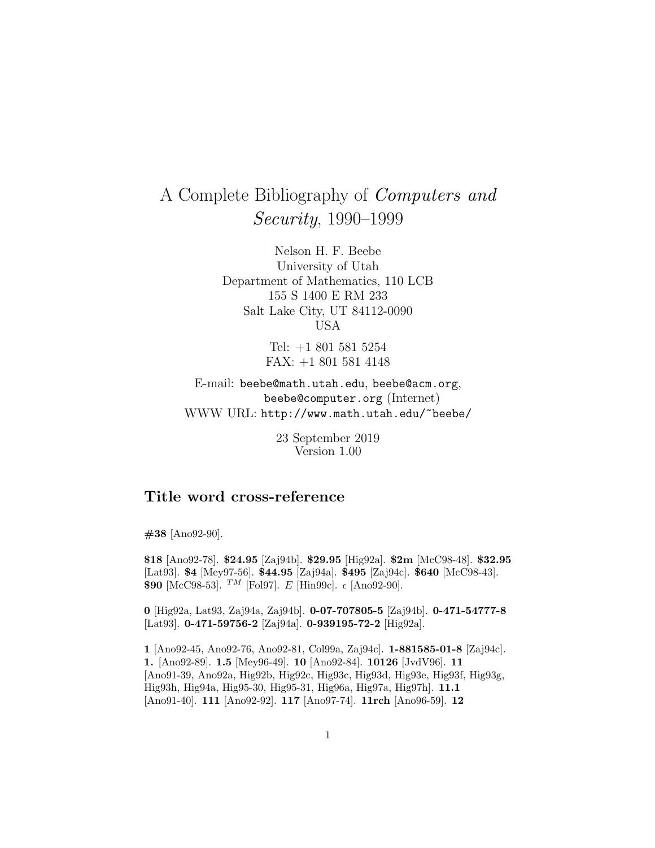## A Complete Bibliography of Computers and Security, 1990–1999

Nelson H. F. Beebe University of Utah Department of Mathematics, 110 LCB 155 S 1400 E RM 233 Salt Lake City, UT 84112-0090 USA

> Tel: +1 801 581 5254 FAX: +1 801 581 4148

E-mail: beebe@math.utah.edu, beebe@acm.org, beebe@computer.org (Internet) WWW URL: http://www.math.utah.edu/~beebe/

> 23 September 2019 Version 1.00

## **Title word cross-reference**

**#38** [Ano92-90].

**\$18** [Ano92-78]. **\$24.95** [Zaj94b]. **\$29.95** [Hig92a]. **\$2m** [McC98-48]. **\$32.95** [Lat93]. **\$4** [Mey97-56]. **\$44.95** [Zaj94a]. **\$495** [Zaj94c]. **\$640** [McC98-43]. **\$90** [McC98-53]. <sup>TM</sup> [Fol97]. E [Hin99c].  $\epsilon$  [Ano92-90].

**0** [Hig92a, Lat93, Zaj94a, Zaj94b]. **0-07-707805-5** [Zaj94b]. **0-471-54777-8** [Lat93]. **0-471-59756-2** [Zaj94a]. **0-939195-72-2** [Hig92a].

**1** [Ano92-45, Ano92-76, Ano92-81, Col99a, Zaj94c]. **1-881585-01-8** [Zaj94c]. **1.** [Ano92-89]. **1.5** [Mey96-49]. **10** [Ano92-84]. **10126** [JvdV96]. **11** [Ano91-39, Ano92a, Hig92b, Hig92c, Hig93c, Hig93d, Hig93e, Hig93f, Hig93g, Hig93h, Hig94a, Hig95-30, Hig95-31, Hig96a, Hig97a, Hig97h]. **11.1** [Ano91-40]. **111** [Ano92-92]. **117** [Ano97-74]. **11rch** [Ano96-59]. **12**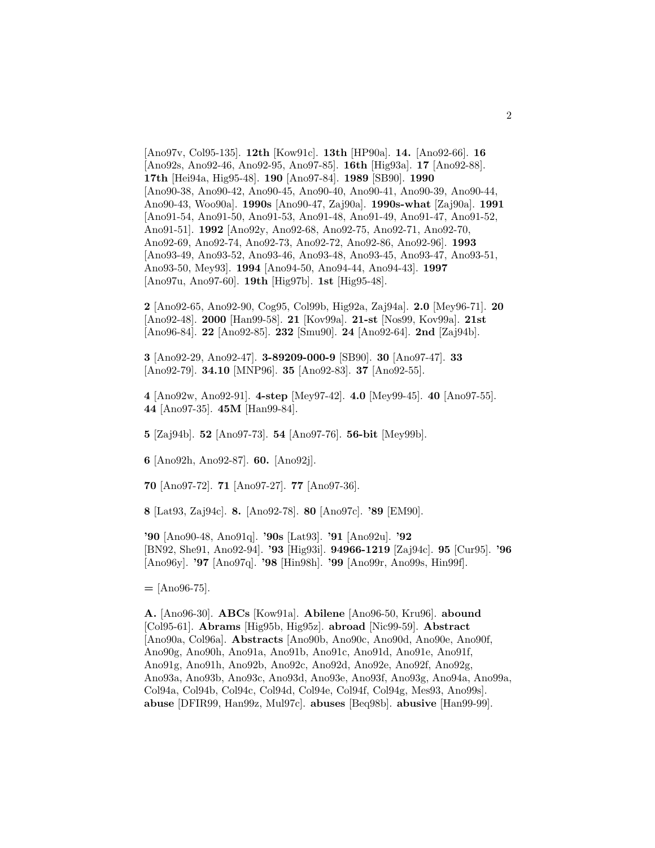[Ano97v, Col95-135]. **12th** [Kow91c]. **13th** [HP90a]. **14.** [Ano92-66]. **16** [Ano92s, Ano92-46, Ano92-95, Ano97-85]. **16th** [Hig93a]. **17** [Ano92-88]. **17th** [Hei94a, Hig95-48]. **190** [Ano97-84]. **1989** [SB90]. **1990** [Ano90-38, Ano90-42, Ano90-45, Ano90-40, Ano90-41, Ano90-39, Ano90-44, Ano90-43, Woo90a]. **1990s** [Ano90-47, Zaj90a]. **1990s-what** [Zaj90a]. **1991** [Ano91-54, Ano91-50, Ano91-53, Ano91-48, Ano91-49, Ano91-47, Ano91-52, Ano91-51]. **1992** [Ano92y, Ano92-68, Ano92-75, Ano92-71, Ano92-70, Ano92-69, Ano92-74, Ano92-73, Ano92-72, Ano92-86, Ano92-96]. **1993** [Ano93-49, Ano93-52, Ano93-46, Ano93-48, Ano93-45, Ano93-47, Ano93-51, Ano93-50, Mey93]. **1994** [Ano94-50, Ano94-44, Ano94-43]. **1997** [Ano97u, Ano97-60]. **19th** [Hig97b]. **1st** [Hig95-48].

**2** [Ano92-65, Ano92-90, Cog95, Col99b, Hig92a, Zaj94a]. **2.0** [Mey96-71]. **20** [Ano92-48]. **2000** [Han99-58]. **21** [Kov99a]. **21-st** [Nos99, Kov99a]. **21st** [Ano96-84]. **22** [Ano92-85]. **232** [Smu90]. **24** [Ano92-64]. **2nd** [Zaj94b].

**3** [Ano92-29, Ano92-47]. **3-89209-000-9** [SB90]. **30** [Ano97-47]. **33** [Ano92-79]. **34.10** [MNP96]. **35** [Ano92-83]. **37** [Ano92-55].

**4** [Ano92w, Ano92-91]. **4-step** [Mey97-42]. **4.0** [Mey99-45]. **40** [Ano97-55]. **44** [Ano97-35]. **45M** [Han99-84].

**5** [Zaj94b]. **52** [Ano97-73]. **54** [Ano97-76]. **56-bit** [Mey99b].

**6** [Ano92h, Ano92-87]. **60.** [Ano92j].

**70** [Ano97-72]. **71** [Ano97-27]. **77** [Ano97-36].

**8** [Lat93, Zaj94c]. **8.** [Ano92-78]. **80** [Ano97c]. **'89** [EM90].

**'90** [Ano90-48, Ano91q]. **'90s** [Lat93]. **'91** [Ano92u]. **'92** [BN92, She91, Ano92-94]. **'93** [Hig93i]. **94966-1219** [Zaj94c]. **95** [Cur95]. **'96** [Ano96y]. **'97** [Ano97q]. **'98** [Hin98h]. **'99** [Ano99r, Ano99s, Hin99f].

**=** [Ano96-75].

**A.** [Ano96-30]. **ABCs** [Kow91a]. **Abilene** [Ano96-50, Kru96]. **abound** [Col95-61]. **Abrams** [Hig95b, Hig95z]. **abroad** [Nic99-59]. **Abstract** [Ano90a, Col96a]. **Abstracts** [Ano90b, Ano90c, Ano90d, Ano90e, Ano90f, Ano90g, Ano90h, Ano91a, Ano91b, Ano91c, Ano91d, Ano91e, Ano91f, Ano91g, Ano91h, Ano92b, Ano92c, Ano92d, Ano92e, Ano92f, Ano92g, Ano93a, Ano93b, Ano93c, Ano93d, Ano93e, Ano93f, Ano93g, Ano94a, Ano99a, Col94a, Col94b, Col94c, Col94d, Col94e, Col94f, Col94g, Mes93, Ano99s]. **abuse** [DFIR99, Han99z, Mul97c]. **abuses** [Beq98b]. **abusive** [Han99-99].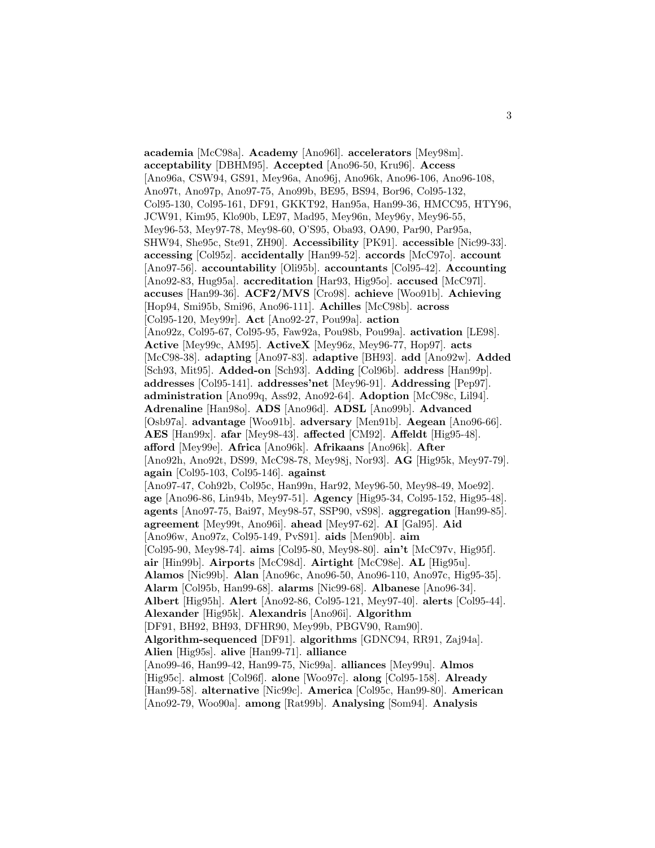**academia** [McC98a]. **Academy** [Ano96l]. **accelerators** [Mey98m]. **acceptability** [DBHM95]. **Accepted** [Ano96-50, Kru96]. **Access** [Ano96a, CSW94, GS91, Mey96a, Ano96j, Ano96k, Ano96-106, Ano96-108, Ano97t, Ano97p, Ano97-75, Ano99b, BE95, BS94, Bor96, Col95-132, Col95-130, Col95-161, DF91, GKKT92, Han95a, Han99-36, HMCC95, HTY96, JCW91, Kim95, Klo90b, LE97, Mad95, Mey96n, Mey96y, Mey96-55, Mey96-53, Mey97-78, Mey98-60, O'S95, Oba93, OA90, Par90, Par95a, SHW94, She95c, Ste91, ZH90]. **Accessibility** [PK91]. **accessible** [Nic99-33]. **accessing** [Col95z]. **accidentally** [Han99-52]. **accords** [McC97o]. **account** [Ano97-56]. **accountability** [Oli95b]. **accountants** [Col95-42]. **Accounting** [Ano92-83, Hug95a]. **accreditation** [Har93, Hig95o]. **accused** [McC97l]. **accuses** [Han99-36]. **ACF2/MVS** [Cro98]. **achieve** [Woo91b]. **Achieving** [Hop94, Smi95b, Smi96, Ano96-111]. **Achilles** [McC98b]. **across** [Col95-120, Mey99r]. **Act** [Ano92-27, Pou99a]. **action** [Ano92z, Col95-67, Col95-95, Faw92a, Pou98b, Pou99a]. **activation** [LE98]. **Active** [Mey99c, AM95]. **ActiveX** [Mey96z, Mey96-77, Hop97]. **acts** [McC98-38]. **adapting** [Ano97-83]. **adaptive** [BH93]. **add** [Ano92w]. **Added** [Sch93, Mit95]. **Added-on** [Sch93]. **Adding** [Col96b]. **address** [Han99p]. **addresses** [Col95-141]. **addresses'net** [Mey96-91]. **Addressing** [Pep97]. **administration** [Ano99q, Ass92, Ano92-64]. **Adoption** [McC98c, Lil94]. **Adrenaline** [Han98o]. **ADS** [Ano96d]. **ADSL** [Ano99b]. **Advanced** [Osb97a]. **advantage** [Woo91b]. **adversary** [Men91b]. **Aegean** [Ano96-66]. **AES** [Han99x]. **afar** [Mey98-43]. **affected** [CM92]. **Affeldt** [Hig95-48]. **afford** [Mey99e]. **Africa** [Ano96k]. **Afrikaans** [Ano96k]. **After** [Ano92h, Ano92t, DS99, McC98-78, Mey98j, Nor93]. **AG** [Hig95k, Mey97-79]. **again** [Col95-103, Col95-146]. **against** [Ano97-47, Coh92b, Col95c, Han99n, Har92, Mey96-50, Mey98-49, Moe92]. **age** [Ano96-86, Lin94b, Mey97-51]. **Agency** [Hig95-34, Col95-152, Hig95-48]. **agents** [Ano97-75, Bai97, Mey98-57, SSP90, vS98]. **aggregation** [Han99-85]. **agreement** [Mey99t, Ano96i]. **ahead** [Mey97-62]. **AI** [Gal95]. **Aid** [Ano96w, Ano97z, Col95-149, PvS91]. **aids** [Men90b]. **aim** [Col95-90, Mey98-74]. **aims** [Col95-80, Mey98-80]. **ain't** [McC97v, Hig95f]. **air** [Hin99b]. **Airports** [McC98d]. **Airtight** [McC98e]. **AL** [Hig95u]. **Alamos** [Nic99b]. **Alan** [Ano96c, Ano96-50, Ano96-110, Ano97c, Hig95-35]. **Alarm** [Col95b, Han99-68]. **alarms** [Nic99-68]. **Albanese** [Ano96-34]. **Albert** [Hig95h]. **Alert** [Ano92-86, Col95-121, Mey97-40]. **alerts** [Col95-44]. **Alexander** [Hig95k]. **Alexandris** [Ano96i]. **Algorithm** [DF91, BH92, BH93, DFHR90, Mey99b, PBGV90, Ram90]. **Algorithm-sequenced** [DF91]. **algorithms** [GDNC94, RR91, Zaj94a]. **Alien** [Hig95s]. **alive** [Han99-71]. **alliance** [Ano99-46, Han99-42, Han99-75, Nic99a]. **alliances** [Mey99u]. **Almos** [Hig95c]. **almost** [Col96f]. **alone** [Woo97c]. **along** [Col95-158]. **Already** [Han99-58]. **alternative** [Nic99c]. **America** [Col95c, Han99-80]. **American** [Ano92-79, Woo90a]. **among** [Rat99b]. **Analysing** [Som94]. **Analysis**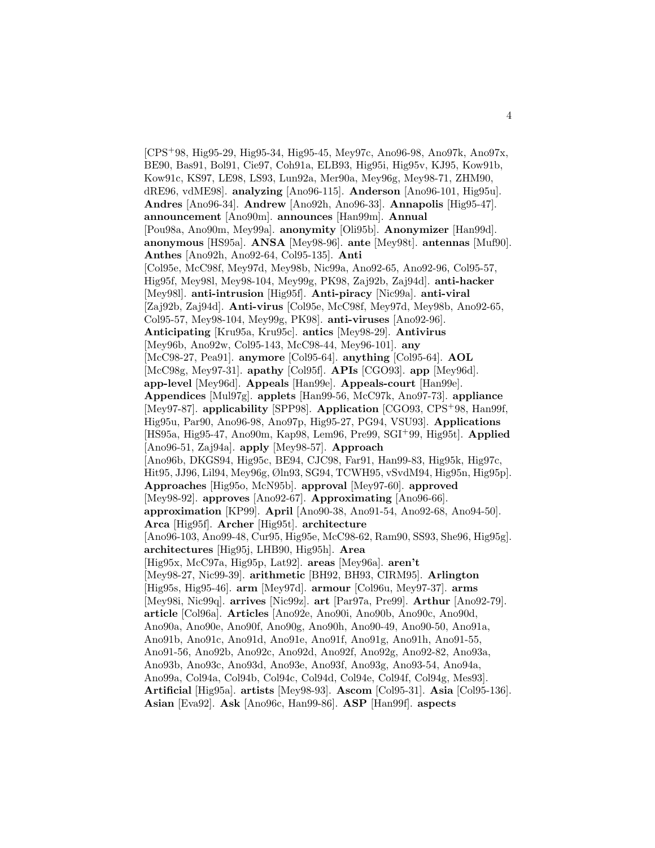[CPS<sup>+</sup>98, Hig95-29, Hig95-34, Hig95-45, Mey97c, Ano96-98, Ano97k, Ano97x, BE90, Bas91, Bol91, Cie97, Coh91a, ELB93, Hig95i, Hig95v, KJ95, Kow91b, Kow91c, KS97, LE98, LS93, Lun92a, Mer90a, Mey96g, Mey98-71, ZHM90, dRE96, vdME98]. **analyzing** [Ano96-115]. **Anderson** [Ano96-101, Hig95u]. **Andres** [Ano96-34]. **Andrew** [Ano92h, Ano96-33]. **Annapolis** [Hig95-47]. **announcement** [Ano90m]. **announces** [Han99m]. **Annual** [Pou98a, Ano90m, Mey99a]. **anonymity** [Oli95b]. **Anonymizer** [Han99d]. **anonymous** [HS95a]. **ANSA** [Mey98-96]. **ante** [Mey98t]. **antennas** [Muf90]. **Anthes** [Ano92h, Ano92-64, Col95-135]. **Anti** [Col95e, McC98f, Mey97d, Mey98b, Nic99a, Ano92-65, Ano92-96, Col95-57, Hig95f, Mey98l, Mey98-104, Mey99g, PK98, Zaj92b, Zaj94d]. **anti-hacker** [Mey98l]. **anti-intrusion** [Hig95f]. **Anti-piracy** [Nic99a]. **anti-viral** [Zaj92b, Zaj94d]. **Anti-virus** [Col95e, McC98f, Mey97d, Mey98b, Ano92-65, Col95-57, Mey98-104, Mey99g, PK98]. **anti-viruses** [Ano92-96]. **Anticipating** [Kru95a, Kru95c]. **antics** [Mey98-29]. **Antivirus** [Mey96b, Ano92w, Col95-143, McC98-44, Mey96-101]. **any** [McC98-27, Pea91]. **anymore** [Col95-64]. **anything** [Col95-64]. **AOL** [McC98g, Mey97-31]. **apathy** [Col95f]. **APIs** [CGO93]. **app** [Mey96d]. **app-level** [Mey96d]. **Appeals** [Han99e]. **Appeals-court** [Han99e]. **Appendices** [Mul97g]. **applets** [Han99-56, McC97k, Ano97-73]. **appliance** [Mey97-87]. **applicability** [SPP98]. **Application** [CGO93, CPS<sup>+</sup>98, Han99f, Hig95u, Par90, Ano96-98, Ano97p, Hig95-27, PG94, VSU93]. **Applications** [HS95a, Hig95-47, Ano90m, Kap98, Lem96, Pre99, SGI<sup>+</sup>99, Hig95t]. **Applied** [Ano96-51, Zaj94a]. **apply** [Mey98-57]. **Approach** [Ano96b, DKGS94, Hig95c, BE94, CJC98, Far91, Han99-83, Hig95k, Hig97c, Hit95, JJ96, Lil94, Mey96g, Øln93, SG94, TCWH95, vSvdM94, Hig95n, Hig95p]. **Approaches** [Hig95o, McN95b]. **approval** [Mey97-60]. **approved** [Mey98-92]. **approves** [Ano92-67]. **Approximating** [Ano96-66]. **approximation** [KP99]. **April** [Ano90-38, Ano91-54, Ano92-68, Ano94-50]. **Arca** [Hig95f]. **Archer** [Hig95t]. **architecture** [Ano96-103, Ano99-48, Cur95, Hig95e, McC98-62, Ram90, SS93, She96, Hig95g]. **architectures** [Hig95j, LHB90, Hig95h]. **Area** [Hig95x, McC97a, Hig95p, Lat92]. **areas** [Mey96a]. **aren't** [Mey98-27, Nic99-39]. **arithmetic** [BH92, BH93, CIRM95]. **Arlington** [Hig95s, Hig95-46]. **arm** [Mey97d]. **armour** [Col96u, Mey97-37]. **arms** [Mey98i, Nic99q]. **arrives** [Nic99z]. **art** [Par97a, Pre99]. **Arthur** [Ano92-79]. **article** [Col96a]. **Articles** [Ano92e, Ano90i, Ano90b, Ano90c, Ano90d, Ano90a, Ano90e, Ano90f, Ano90g, Ano90h, Ano90-49, Ano90-50, Ano91a, Ano91b, Ano91c, Ano91d, Ano91e, Ano91f, Ano91g, Ano91h, Ano91-55, Ano91-56, Ano92b, Ano92c, Ano92d, Ano92f, Ano92g, Ano92-82, Ano93a, Ano93b, Ano93c, Ano93d, Ano93e, Ano93f, Ano93g, Ano93-54, Ano94a, Ano99a, Col94a, Col94b, Col94c, Col94d, Col94e, Col94f, Col94g, Mes93]. **Artificial** [Hig95a]. **artists** [Mey98-93]. **Ascom** [Col95-31]. **Asia** [Col95-136]. **Asian** [Eva92]. **Ask** [Ano96c, Han99-86]. **ASP** [Han99f]. **aspects**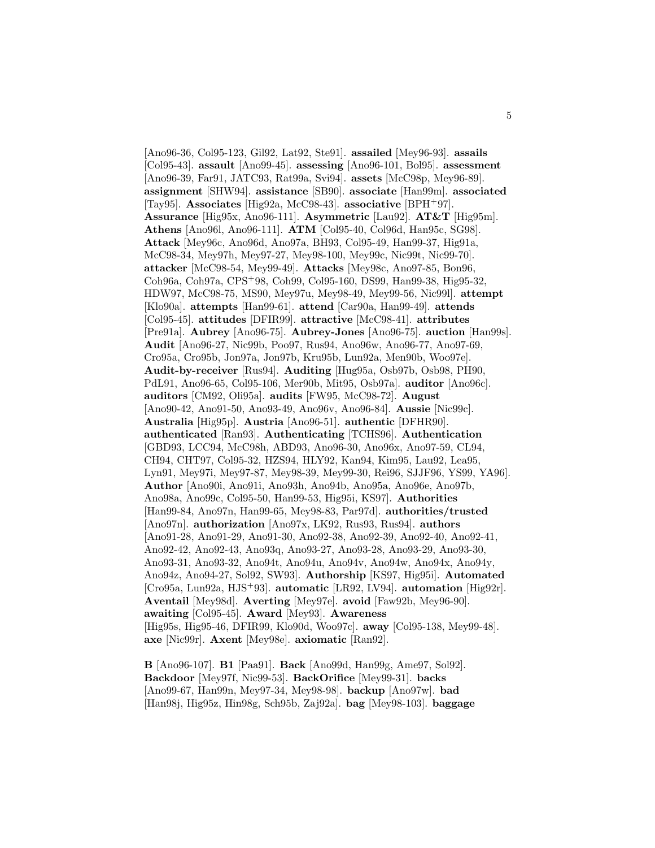[Ano96-36, Col95-123, Gil92, Lat92, Ste91]. **assailed** [Mey96-93]. **assails** [Col95-43]. **assault** [Ano99-45]. **assessing** [Ano96-101, Bol95]. **assessment** [Ano96-39, Far91, JATC93, Rat99a, Svi94]. **assets** [McC98p, Mey96-89]. **assignment** [SHW94]. **assistance** [SB90]. **associate** [Han99m]. **associated** [Tay95]. **Associates** [Hig92a, McC98-43]. **associative** [BPH<sup>+</sup>97]. **Assurance** [Hig95x, Ano96-111]. **Asymmetric** [Lau92]. **AT&T** [Hig95m]. **Athens** [Ano96l, Ano96-111]. **ATM** [Col95-40, Col96d, Han95c, SG98]. **Attack** [Mey96c, Ano96d, Ano97a, BH93, Col95-49, Han99-37, Hig91a, McC98-34, Mey97h, Mey97-27, Mey98-100, Mey99c, Nic99t, Nic99-70]. **attacker** [McC98-54, Mey99-49]. **Attacks** [Mey98c, Ano97-85, Bon96, Coh96a, Coh97a, CPS<sup>+</sup>98, Coh99, Col95-160, DS99, Han99-38, Hig95-32, HDW97, McC98-75, MS90, Mey97u, Mey98-49, Mey99-56, Nic99l]. **attempt** [Klo90a]. **attempts** [Han99-61]. **attend** [Car90a, Han99-49]. **attends** [Col95-45]. **attitudes** [DFIR99]. **attractive** [McC98-41]. **attributes** [Pre91a]. **Aubrey** [Ano96-75]. **Aubrey-Jones** [Ano96-75]. **auction** [Han99s]. **Audit** [Ano96-27, Nic99b, Poo97, Rus94, Ano96w, Ano96-77, Ano97-69, Cro95a, Cro95b, Jon97a, Jon97b, Kru95b, Lun92a, Men90b, Woo97e]. **Audit-by-receiver** [Rus94]. **Auditing** [Hug95a, Osb97b, Osb98, PH90, PdL91, Ano96-65, Col95-106, Mer90b, Mit95, Osb97a]. **auditor** [Ano96c]. **auditors** [CM92, Oli95a]. **audits** [FW95, McC98-72]. **August** [Ano90-42, Ano91-50, Ano93-49, Ano96v, Ano96-84]. **Aussie** [Nic99c]. **Australia** [Hig95p]. **Austria** [Ano96-51]. **authentic** [DFHR90]. **authenticated** [Ran93]. **Authenticating** [TCHS96]. **Authentication** [GBD93, LCC94, McC98h, ABD93, Ano96-30, Ano96x, Ano97-59, CL94, CH94, CHT97, Col95-32, HZS94, HLY92, Kan94, Kim95, Lau92, Lea95, Lyn91, Mey97i, Mey97-87, Mey98-39, Mey99-30, Rei96, SJJF96, YS99, YA96]. **Author** [Ano90i, Ano91i, Ano93h, Ano94b, Ano95a, Ano96e, Ano97b, Ano98a, Ano99c, Col95-50, Han99-53, Hig95i, KS97]. **Authorities** [Han99-84, Ano97n, Han99-65, Mey98-83, Par97d]. **authorities/trusted** [Ano97n]. **authorization** [Ano97x, LK92, Rus93, Rus94]. **authors** [Ano91-28, Ano91-29, Ano91-30, Ano92-38, Ano92-39, Ano92-40, Ano92-41, Ano92-42, Ano92-43, Ano93q, Ano93-27, Ano93-28, Ano93-29, Ano93-30, Ano93-31, Ano93-32, Ano94t, Ano94u, Ano94v, Ano94w, Ano94x, Ano94y, Ano94z, Ano94-27, Sol92, SW93]. **Authorship** [KS97, Hig95i]. **Automated** [Cro95a, Lun92a, HJS<sup>+</sup>93]. **automatic** [LR92, LV94]. **automation** [Hig92r]. **Aventail** [Mey98d]. **Averting** [Mey97e]. **avoid** [Faw92b, Mey96-90]. **awaiting** [Col95-45]. **Award** [Mey93]. **Awareness** [Hig95s, Hig95-46, DFIR99, Klo90d, Woo97c]. **away** [Col95-138, Mey99-48]. **axe** [Nic99r]. **Axent** [Mey98e]. **axiomatic** [Ran92].

**B** [Ano96-107]. **B1** [Paa91]. **Back** [Ano99d, Han99g, Ame97, Sol92]. **Backdoor** [Mey97f, Nic99-53]. **BackOrifice** [Mey99-31]. **backs** [Ano99-67, Han99n, Mey97-34, Mey98-98]. **backup** [Ano97w]. **bad** [Han98j, Hig95z, Hin98g, Sch95b, Zaj92a]. **bag** [Mey98-103]. **baggage**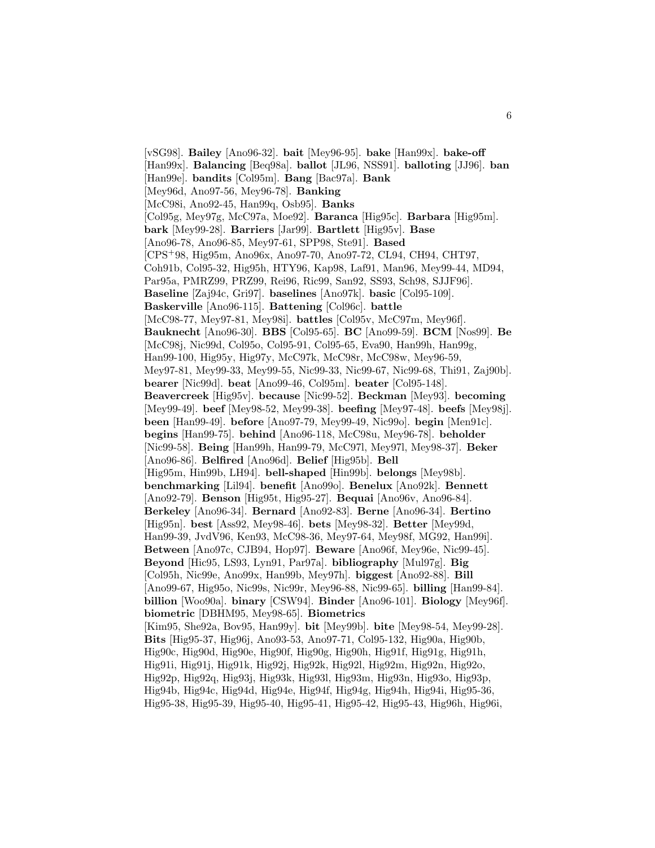[vSG98]. **Bailey** [Ano96-32]. **bait** [Mey96-95]. **bake** [Han99x]. **bake-off** [Han99x]. **Balancing** [Beq98a]. **ballot** [JL96, NSS91]. **balloting** [JJ96]. **ban** [Han99e]. **bandits** [Col95m]. **Bang** [Bac97a]. **Bank** [Mey96d, Ano97-56, Mey96-78]. **Banking** [McC98i, Ano92-45, Han99q, Osb95]. **Banks** [Col95g, Mey97g, McC97a, Moe92]. **Baranca** [Hig95c]. **Barbara** [Hig95m]. **bark** [Mey99-28]. **Barriers** [Jar99]. **Bartlett** [Hig95v]. **Base** [Ano96-78, Ano96-85, Mey97-61, SPP98, Ste91]. **Based** [CPS<sup>+</sup>98, Hig95m, Ano96x, Ano97-70, Ano97-72, CL94, CH94, CHT97, Coh91b, Col95-32, Hig95h, HTY96, Kap98, Laf91, Man96, Mey99-44, MD94, Par95a, PMRZ99, PRZ99, Rei96, Ric99, San92, SS93, Sch98, SJJF96]. **Baseline** [Zaj94c, Gri97]. **baselines** [Ano97k]. **basic** [Col95-109]. **Baskerville** [Ano96-115]. **Battening** [Col96c]. **battle** [McC98-77, Mey97-81, Mey98i]. **battles** [Col95v, McC97m, Mey96f]. **Bauknecht** [Ano96-30]. **BBS** [Col95-65]. **BC** [Ano99-59]. **BCM** [Nos99]. **Be** [McC98j, Nic99d, Col95o, Col95-91, Col95-65, Eva90, Han99h, Han99g, Han99-100, Hig95y, Hig97y, McC97k, McC98r, McC98w, Mey96-59, Mey97-81, Mey99-33, Mey99-55, Nic99-33, Nic99-67, Nic99-68, Thi91, Zaj90b]. **bearer** [Nic99d]. **beat** [Ano99-46, Col95m]. **beater** [Col95-148]. **Beavercreek** [Hig95v]. **because** [Nic99-52]. **Beckman** [Mey93]. **becoming** [Mey99-49]. **beef** [Mey98-52, Mey99-38]. **beefing** [Mey97-48]. **beefs** [Mey98j]. **been** [Han99-49]. **before** [Ano97-79, Mey99-49, Nic99o]. **begin** [Men91c]. **begins** [Han99-75]. **behind** [Ano96-118, McC98u, Mey96-78]. **beholder** [Nic99-58]. **Being** [Han99h, Han99-79, McC97l, Mey97l, Mey98-37]. **Beker** [Ano96-86]. **Belfired** [Ano96d]. **Belief** [Hig95b]. **Bell** [Hig95m, Hin99b, LH94]. **bell-shaped** [Hin99b]. **belongs** [Mey98b]. **benchmarking** [Lil94]. **benefit** [Ano99o]. **Benelux** [Ano92k]. **Bennett** [Ano92-79]. **Benson** [Hig95t, Hig95-27]. **Bequai** [Ano96v, Ano96-84]. **Berkeley** [Ano96-34]. **Bernard** [Ano92-83]. **Berne** [Ano96-34]. **Bertino** [Hig95n]. **best** [Ass92, Mey98-46]. **bets** [Mey98-32]. **Better** [Mey99d, Han99-39, JvdV96, Ken93, McC98-36, Mey97-64, Mey98f, MG92, Han99i]. **Between** [Ano97c, CJB94, Hop97]. **Beware** [Ano96f, Mey96e, Nic99-45]. **Beyond** [Hic95, LS93, Lyn91, Par97a]. **bibliography** [Mul97g]. **Big** [Col95h, Nic99e, Ano99x, Han99b, Mey97h]. **biggest** [Ano92-88]. **Bill** [Ano99-67, Hig95o, Nic99s, Nic99r, Mey96-88, Nic99-65]. **billing** [Han99-84]. **billion** [Woo90a]. **binary** [CSW94]. **Binder** [Ano96-101]. **Biology** [Mey96f]. **biometric** [DBHM95, Mey98-65]. **Biometrics** [Kim95, She92a, Bov95, Han99y]. **bit** [Mey99b]. **bite** [Mey98-54, Mey99-28]. **Bits** [Hig95-37, Hig96j, Ano93-53, Ano97-71, Col95-132, Hig90a, Hig90b, Hig90c, Hig90d, Hig90e, Hig90f, Hig90g, Hig90h, Hig91f, Hig91g, Hig91h, Hig91i, Hig91j, Hig91k, Hig92j, Hig92k, Hig92l, Hig92m, Hig92n, Hig92o, Hig92p, Hig92q, Hig93j, Hig93k, Hig93l, Hig93m, Hig93n, Hig93o, Hig93p, Hig94b, Hig94c, Hig94d, Hig94e, Hig94f, Hig94g, Hig94h, Hig94i, Hig95-36, Hig95-38, Hig95-39, Hig95-40, Hig95-41, Hig95-42, Hig95-43, Hig96h, Hig96i,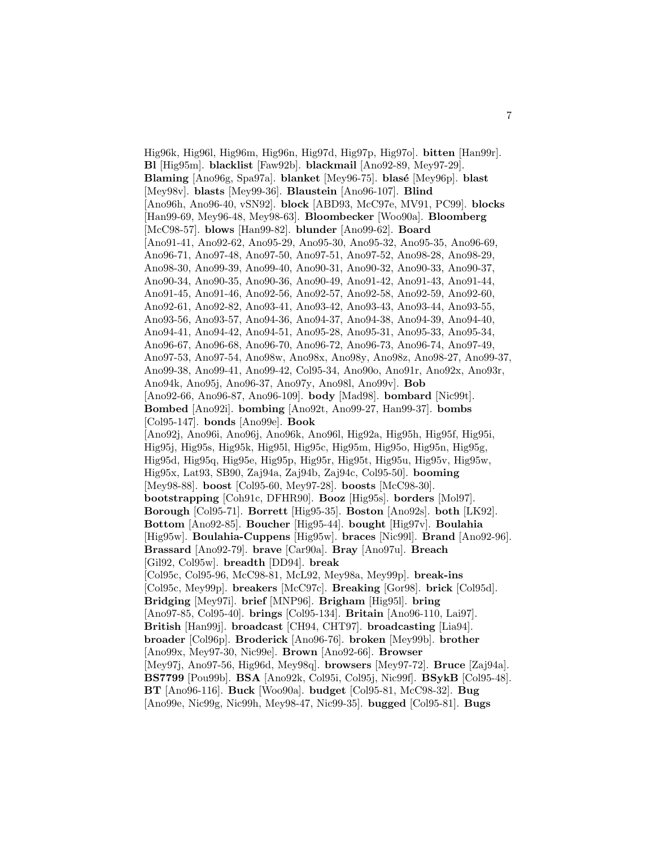Hig96k, Hig96l, Hig96m, Hig96n, Hig97d, Hig97p, Hig97o]. **bitten** [Han99r]. **Bl** [Hig95m]. **blacklist** [Faw92b]. **blackmail** [Ano92-89, Mey97-29]. **Blaming** [Ano96g, Spa97a]. **blanket** [Mey96-75]. **blas´e** [Mey96p]. **blast** [Mey98v]. **blasts** [Mey99-36]. **Blaustein** [Ano96-107]. **Blind** [Ano96h, Ano96-40, vSN92]. **block** [ABD93, McC97e, MV91, PC99]. **blocks** [Han99-69, Mey96-48, Mey98-63]. **Bloombecker** [Woo90a]. **Bloomberg** [McC98-57]. **blows** [Han99-82]. **blunder** [Ano99-62]. **Board** [Ano91-41, Ano92-62, Ano95-29, Ano95-30, Ano95-32, Ano95-35, Ano96-69, Ano96-71, Ano97-48, Ano97-50, Ano97-51, Ano97-52, Ano98-28, Ano98-29, Ano98-30, Ano99-39, Ano99-40, Ano90-31, Ano90-32, Ano90-33, Ano90-37, Ano90-34, Ano90-35, Ano90-36, Ano90-49, Ano91-42, Ano91-43, Ano91-44, Ano91-45, Ano91-46, Ano92-56, Ano92-57, Ano92-58, Ano92-59, Ano92-60, Ano92-61, Ano92-82, Ano93-41, Ano93-42, Ano93-43, Ano93-44, Ano93-55, Ano93-56, Ano93-57, Ano94-36, Ano94-37, Ano94-38, Ano94-39, Ano94-40, Ano94-41, Ano94-42, Ano94-51, Ano95-28, Ano95-31, Ano95-33, Ano95-34, Ano96-67, Ano96-68, Ano96-70, Ano96-72, Ano96-73, Ano96-74, Ano97-49, Ano97-53, Ano97-54, Ano98w, Ano98x, Ano98y, Ano98z, Ano98-27, Ano99-37, Ano99-38, Ano99-41, Ano99-42, Col95-34, Ano90o, Ano91r, Ano92x, Ano93r, Ano94k, Ano95j, Ano96-37, Ano97y, Ano98l, Ano99v]. **Bob** [Ano92-66, Ano96-87, Ano96-109]. **body** [Mad98]. **bombard** [Nic99t]. **Bombed** [Ano92i]. **bombing** [Ano92t, Ano99-27, Han99-37]. **bombs** [Col95-147]. **bonds** [Ano99e]. **Book** [Ano92j, Ano96i, Ano96j, Ano96k, Ano96l, Hig92a, Hig95h, Hig95f, Hig95i, Hig95j, Hig95s, Hig95k, Hig95l, Hig95c, Hig95m, Hig95o, Hig95n, Hig95g, Hig95d, Hig95q, Hig95e, Hig95p, Hig95r, Hig95t, Hig95u, Hig95v, Hig95w, Hig95x, Lat93, SB90, Zaj94a, Zaj94b, Zaj94c, Col95-50]. **booming** [Mey98-88]. **boost** [Col95-60, Mey97-28]. **boosts** [McC98-30]. **bootstrapping** [Coh91c, DFHR90]. **Booz** [Hig95s]. **borders** [Mol97]. **Borough** [Col95-71]. **Borrett** [Hig95-35]. **Boston** [Ano92s]. **both** [LK92]. **Bottom** [Ano92-85]. **Boucher** [Hig95-44]. **bought** [Hig97v]. **Boulahia** [Hig95w]. **Boulahia-Cuppens** [Hig95w]. **braces** [Nic99l]. **Brand** [Ano92-96]. **Brassard** [Ano92-79]. **brave** [Car90a]. **Bray** [Ano97u]. **Breach** [Gil92, Col95w]. **breadth** [DD94]. **break** [Col95c, Col95-96, McC98-81, McL92, Mey98a, Mey99p]. **break-ins** [Col95c, Mey99p]. **breakers** [McC97c]. **Breaking** [Gor98]. **brick** [Col95d]. **Bridging** [Mey97i]. **brief** [MNP96]. **Brigham** [Hig95l]. **bring** [Ano97-85, Col95-40]. **brings** [Col95-134]. **Britain** [Ano96-110, Lai97]. **British** [Han99j]. **broadcast** [CH94, CHT97]. **broadcasting** [Lia94]. **broader** [Col96p]. **Broderick** [Ano96-76]. **broken** [Mey99b]. **brother** [Ano99x, Mey97-30, Nic99e]. **Brown** [Ano92-66]. **Browser** [Mey97j, Ano97-56, Hig96d, Mey98q]. **browsers** [Mey97-72]. **Bruce** [Zaj94a]. **BS7799** [Pou99b]. **BSA** [Ano92k, Col95i, Col95j, Nic99f]. **BSykB** [Col95-48]. **BT** [Ano96-116]. **Buck** [Woo90a]. **budget** [Col95-81, McC98-32]. **Bug** [Ano99e, Nic99g, Nic99h, Mey98-47, Nic99-35]. **bugged** [Col95-81]. **Bugs**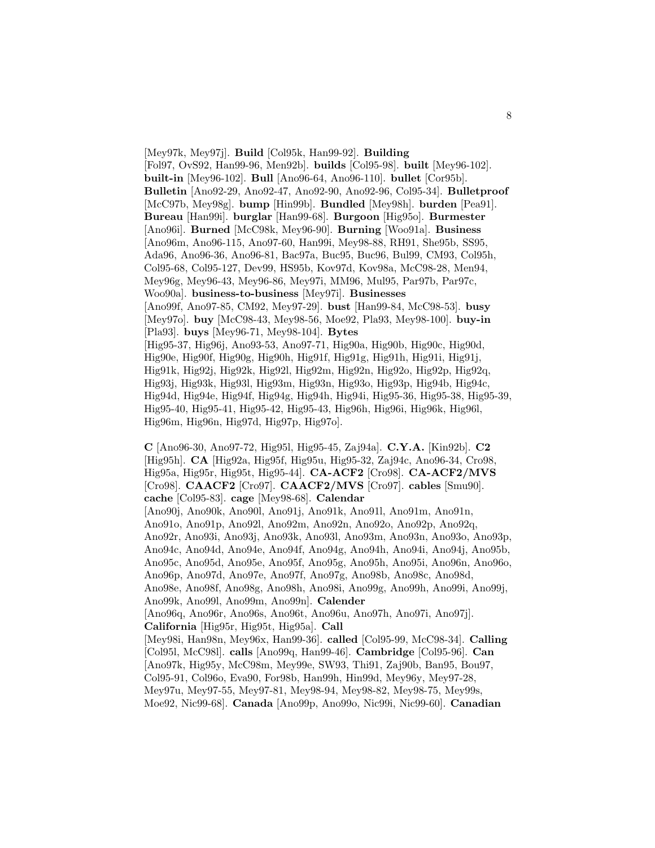[Mey97k, Mey97j]. **Build** [Col95k, Han99-92]. **Building** [Fol97, OvS92, Han99-96, Men92b]. **builds** [Col95-98]. **built** [Mey96-102]. **built-in** [Mey96-102]. **Bull** [Ano96-64, Ano96-110]. **bullet** [Cor95b]. **Bulletin** [Ano92-29, Ano92-47, Ano92-90, Ano92-96, Col95-34]. **Bulletproof** [McC97b, Mey98g]. **bump** [Hin99b]. **Bundled** [Mey98h]. **burden** [Pea91]. **Bureau** [Han99i]. **burglar** [Han99-68]. **Burgoon** [Hig95o]. **Burmester** [Ano96i]. **Burned** [McC98k, Mey96-90]. **Burning** [Woo91a]. **Business** [Ano96m, Ano96-115, Ano97-60, Han99i, Mey98-88, RH91, She95b, SS95, Ada96, Ano96-36, Ano96-81, Bac97a, Buc95, Buc96, Bul99, CM93, Col95h, Col95-68, Col95-127, Dev99, HS95b, Kov97d, Kov98a, McC98-28, Men94, Mey96g, Mey96-43, Mey96-86, Mey97i, MM96, Mul95, Par97b, Par97c, Woo90a]. **business-to-business** [Mey97i]. **Businesses** [Ano99f, Ano97-85, CM92, Mey97-29]. **bust** [Han99-84, McC98-53]. **busy** [Mey97o]. **buy** [McC98-43, Mey98-56, Moe92, Pla93, Mey98-100]. **buy-in** [Pla93]. **buys** [Mey96-71, Mey98-104]. **Bytes** [Hig95-37, Hig96j, Ano93-53, Ano97-71, Hig90a, Hig90b, Hig90c, Hig90d, Hig90e, Hig90f, Hig90g, Hig90h, Hig91f, Hig91g, Hig91h, Hig91i, Hig91j, Hig91k, Hig92j, Hig92k, Hig92l, Hig92m, Hig92n, Hig92o, Hig92p, Hig92q, Hig93j, Hig93k, Hig93l, Hig93m, Hig93n, Hig93o, Hig93p, Hig94b, Hig94c, Hig94d, Hig94e, Hig94f, Hig94g, Hig94h, Hig94i, Hig95-36, Hig95-38, Hig95-39, Hig95-40, Hig95-41, Hig95-42, Hig95-43, Hig96h, Hig96i, Hig96k, Hig96l, Hig96m, Hig96n, Hig97d, Hig97p, Hig97o].

**C** [Ano96-30, Ano97-72, Hig95l, Hig95-45, Zaj94a]. **C.Y.A.** [Kin92b]. **C2** [Hig95h]. **CA** [Hig92a, Hig95f, Hig95u, Hig95-32, Zaj94c, Ano96-34, Cro98, Hig95a, Hig95r, Hig95t, Hig95-44]. **CA-ACF2** [Cro98]. **CA-ACF2/MVS** [Cro98]. **CAACF2** [Cro97]. **CAACF2/MVS** [Cro97]. **cables** [Smu90]. **cache** [Col95-83]. **cage** [Mey98-68]. **Calendar** [Ano90j, Ano90k, Ano90l, Ano91j, Ano91k, Ano91l, Ano91m, Ano91n, Ano91o, Ano91p, Ano92l, Ano92m, Ano92n, Ano92o, Ano92p, Ano92q, Ano92r, Ano93i, Ano93j, Ano93k, Ano93l, Ano93m, Ano93n, Ano93o, Ano93p, Ano94c, Ano94d, Ano94e, Ano94f, Ano94g, Ano94h, Ano94i, Ano94j, Ano95b, Ano95c, Ano95d, Ano95e, Ano95f, Ano95g, Ano95h, Ano95i, Ano96n, Ano96o, Ano96p, Ano97d, Ano97e, Ano97f, Ano97g, Ano98b, Ano98c, Ano98d, Ano98e, Ano98f, Ano98g, Ano98h, Ano98i, Ano99g, Ano99h, Ano99i, Ano99j, Ano99k, Ano99l, Ano99m, Ano99n]. **Calender** [Ano96q, Ano96r, Ano96s, Ano96t, Ano96u, Ano97h, Ano97i, Ano97j]. **California** [Hig95r, Hig95t, Hig95a]. **Call** [Mey98i, Han98n, Mey96x, Han99-36]. **called** [Col95-99, McC98-34]. **Calling** [Col95l, McC98l]. **calls** [Ano99q, Han99-46]. **Cambridge** [Col95-96]. **Can** [Ano97k, Hig95y, McC98m, Mey99e, SW93, Thi91, Zaj90b, Ban95, Bou97, Col95-91, Col96o, Eva90, For98b, Han99h, Hin99d, Mey96y, Mey97-28, Mey97u, Mey97-55, Mey97-81, Mey98-94, Mey98-82, Mey98-75, Mey99s, Moe92, Nic99-68]. **Canada** [Ano99p, Ano99o, Nic99i, Nic99-60]. **Canadian**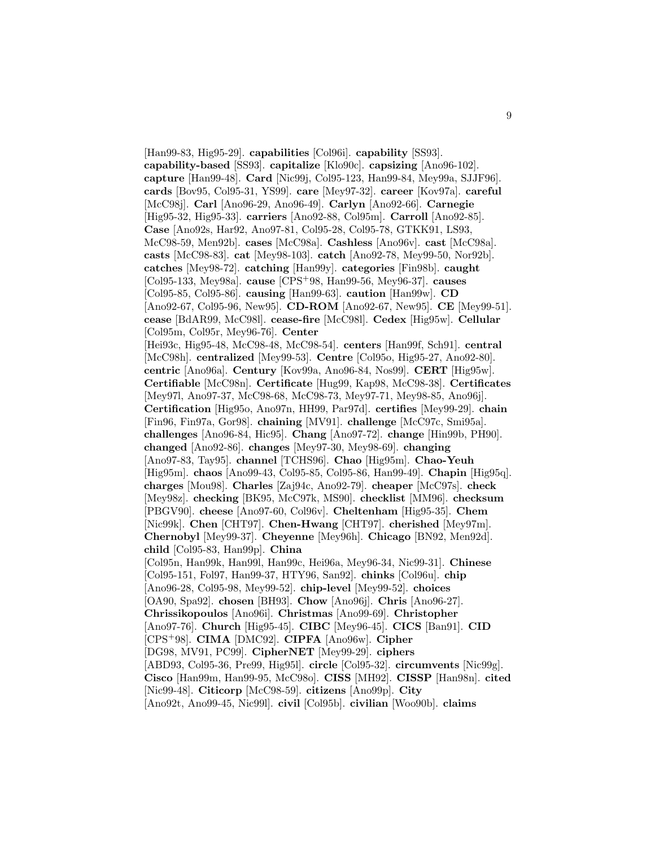[Han99-83, Hig95-29]. **capabilities** [Col96i]. **capability** [SS93]. **capability-based** [SS93]. **capitalize** [Klo90c]. **capsizing** [Ano96-102]. **capture** [Han99-48]. **Card** [Nic99j, Col95-123, Han99-84, Mey99a, SJJF96]. **cards** [Bov95, Col95-31, YS99]. **care** [Mey97-32]. **career** [Kov97a]. **careful** [McC98j]. **Carl** [Ano96-29, Ano96-49]. **Carlyn** [Ano92-66]. **Carnegie** [Hig95-32, Hig95-33]. **carriers** [Ano92-88, Col95m]. **Carroll** [Ano92-85]. **Case** [Ano92s, Har92, Ano97-81, Col95-28, Col95-78, GTKK91, LS93, McC98-59, Men92b]. **cases** [McC98a]. **Cashless** [Ano96v]. **cast** [McC98a]. **casts** [McC98-83]. **cat** [Mey98-103]. **catch** [Ano92-78, Mey99-50, Nor92b]. **catches** [Mey98-72]. **catching** [Han99y]. **categories** [Fin98b]. **caught** [Col95-133, Mey98a]. **cause** [CPS<sup>+</sup>98, Han99-56, Mey96-37]. **causes** [Col95-85, Col95-86]. **causing** [Han99-63]. **caution** [Han99w]. **CD** [Ano92-67, Col95-96, New95]. **CD-ROM** [Ano92-67, New95]. **CE** [Mey99-51]. **cease** [BdAR99, McC98l]. **cease-fire** [McC98l]. **Cedex** [Hig95w]. **Cellular** [Col95m, Col95r, Mey96-76]. **Center** [Hei93c, Hig95-48, McC98-48, McC98-54]. **centers** [Han99f, Sch91]. **central** [McC98h]. **centralized** [Mey99-53]. **Centre** [Col95o, Hig95-27, Ano92-80]. **centric** [Ano96a]. **Century** [Kov99a, Ano96-84, Nos99]. **CERT** [Hig95w]. **Certifiable** [McC98n]. **Certificate** [Hug99, Kap98, McC98-38]. **Certificates** [Mey97l, Ano97-37, McC98-68, McC98-73, Mey97-71, Mey98-85, Ano96j]. **Certification** [Hig95o, Ano97n, HH99, Par97d]. **certifies** [Mey99-29]. **chain** [Fin96, Fin97a, Gor98]. **chaining** [MV91]. **challenge** [McC97c, Smi95a]. **challenges** [Ano96-84, Hic95]. **Chang** [Ano97-72]. **change** [Hin99b, PH90]. **changed** [Ano92-86]. **changes** [Mey97-30, Mey98-69]. **changing** [Ano97-83, Tay95]. **channel** [TCHS96]. **Chao** [Hig95m]. **Chao-Yeuh** [Hig95m]. **chaos** [Ano99-43, Col95-85, Col95-86, Han99-49]. **Chapin** [Hig95q]. **charges** [Mou98]. **Charles** [Zaj94c, Ano92-79]. **cheaper** [McC97s]. **check** [Mey98z]. **checking** [BK95, McC97k, MS90]. **checklist** [MM96]. **checksum** [PBGV90]. **cheese** [Ano97-60, Col96v]. **Cheltenham** [Hig95-35]. **Chem** [Nic99k]. **Chen** [CHT97]. **Chen-Hwang** [CHT97]. **cherished** [Mey97m]. **Chernobyl** [Mey99-37]. **Cheyenne** [Mey96h]. **Chicago** [BN92, Men92d]. **child** [Col95-83, Han99p]. **China** [Col95n, Han99k, Han99l, Han99c, Hei96a, Mey96-34, Nic99-31]. **Chinese** [Col95-151, Fol97, Han99-37, HTY96, San92]. **chinks** [Col96u]. **chip** [Ano96-28, Col95-98, Mey99-52]. **chip-level** [Mey99-52]. **choices** [OA90, Spa92]. **chosen** [BH93]. **Chow** [Ano96j]. **Chris** [Ano96-27]. **Chrissikopoulos** [Ano96i]. **Christmas** [Ano99-69]. **Christopher** [Ano97-76]. **Church** [Hig95-45]. **CIBC** [Mey96-45]. **CICS** [Ban91]. **CID** [CPS<sup>+</sup>98]. **CIMA** [DMC92]. **CIPFA** [Ano96w]. **Cipher** [DG98, MV91, PC99]. **CipherNET** [Mey99-29]. **ciphers** [ABD93, Col95-36, Pre99, Hig95l]. **circle** [Col95-32]. **circumvents** [Nic99g]. **Cisco** [Han99m, Han99-95, McC98o]. **CISS** [MH92]. **CISSP** [Han98n]. **cited** [Nic99-48]. **Citicorp** [McC98-59]. **citizens** [Ano99p]. **City** [Ano92t, Ano99-45, Nic99l]. **civil** [Col95b]. **civilian** [Woo90b]. **claims**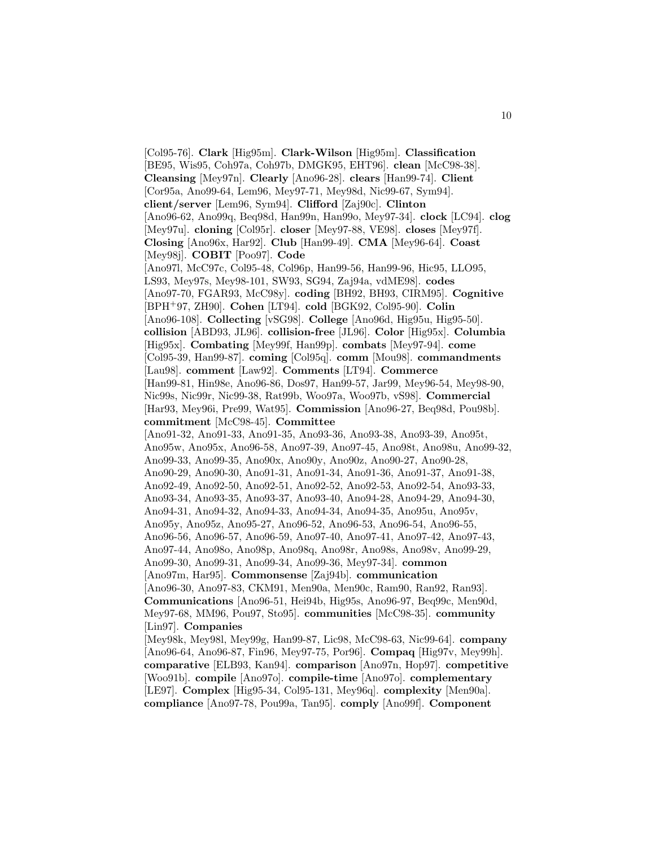[Col95-76]. **Clark** [Hig95m]. **Clark-Wilson** [Hig95m]. **Classification** [BE95, Wis95, Coh97a, Coh97b, DMGK95, EHT96]. **clean** [McC98-38]. **Cleansing** [Mey97n]. **Clearly** [Ano96-28]. **clears** [Han99-74]. **Client** [Cor95a, Ano99-64, Lem96, Mey97-71, Mey98d, Nic99-67, Sym94]. **client/server** [Lem96, Sym94]. **Clifford** [Zaj90c]. **Clinton** [Ano96-62, Ano99q, Beq98d, Han99n, Han99o, Mey97-34]. **clock** [LC94]. **clog** [Mey97u]. **cloning** [Col95r]. **closer** [Mey97-88, VE98]. **closes** [Mey97f]. **Closing** [Ano96x, Har92]. **Club** [Han99-49]. **CMA** [Mey96-64]. **Coast** [Mey98j]. **COBIT** [Poo97]. **Code** [Ano97l, McC97c, Col95-48, Col96p, Han99-56, Han99-96, Hic95, LLO95, LS93, Mey97s, Mey98-101, SW93, SG94, Zaj94a, vdME98]. **codes** [Ano97-70, FGAR93, McC98y]. **coding** [BH92, BH93, CIRM95]. **Cognitive** [BPH<sup>+</sup>97, ZH90]. **Cohen** [LT94]. **cold** [BGK92, Col95-90]. **Colin** [Ano96-108]. **Collecting** [vSG98]. **College** [Ano96d, Hig95u, Hig95-50]. **collision** [ABD93, JL96]. **collision-free** [JL96]. **Color** [Hig95x]. **Columbia** [Hig95x]. **Combating** [Mey99f, Han99p]. **combats** [Mey97-94]. **come** [Col95-39, Han99-87]. **coming** [Col95q]. **comm** [Mou98]. **commandments** [Lau98]. **comment** [Law92]. **Comments** [LT94]. **Commerce** [Han99-81, Hin98e, Ano96-86, Dos97, Han99-57, Jar99, Mey96-54, Mey98-90, Nic99s, Nic99r, Nic99-38, Rat99b, Woo97a, Woo97b, vS98]. **Commercial** [Har93, Mey96i, Pre99, Wat95]. **Commission** [Ano96-27, Beq98d, Pou98b]. **commitment** [McC98-45]. **Committee** [Ano91-32, Ano91-33, Ano91-35, Ano93-36, Ano93-38, Ano93-39, Ano95t, Ano95w, Ano95x, Ano96-58, Ano97-39, Ano97-45, Ano98t, Ano98u, Ano99-32, Ano99-33, Ano99-35, Ano90x, Ano90y, Ano90z, Ano90-27, Ano90-28, Ano90-29, Ano90-30, Ano91-31, Ano91-34, Ano91-36, Ano91-37, Ano91-38, Ano92-49, Ano92-50, Ano92-51, Ano92-52, Ano92-53, Ano92-54, Ano93-33, Ano93-34, Ano93-35, Ano93-37, Ano93-40, Ano94-28, Ano94-29, Ano94-30, Ano94-31, Ano94-32, Ano94-33, Ano94-34, Ano94-35, Ano95u, Ano95v, Ano95y, Ano95z, Ano95-27, Ano96-52, Ano96-53, Ano96-54, Ano96-55, Ano96-56, Ano96-57, Ano96-59, Ano97-40, Ano97-41, Ano97-42, Ano97-43, Ano97-44, Ano98o, Ano98p, Ano98q, Ano98r, Ano98s, Ano98v, Ano99-29, Ano99-30, Ano99-31, Ano99-34, Ano99-36, Mey97-34]. **common** [Ano97m, Har95]. **Commonsense** [Zaj94b]. **communication** [Ano96-30, Ano97-83, CKM91, Men90a, Men90c, Ram90, Ran92, Ran93]. **Communications** [Ano96-51, Hei94b, Hig95s, Ano96-97, Beq99c, Men90d, Mey97-68, MM96, Pou97, Sto95]. **communities** [McC98-35]. **community** [Lin97]. **Companies** [Mey98k, Mey98l, Mey99g, Han99-87, Lic98, McC98-63, Nic99-64]. **company** [Ano96-64, Ano96-87, Fin96, Mey97-75, Por96]. **Compaq** [Hig97v, Mey99h]. **comparative** [ELB93, Kan94]. **comparison** [Ano97n, Hop97]. **competitive** [Woo91b]. **compile** [Ano97o]. **compile-time** [Ano97o]. **complementary** [LE97]. **Complex** [Hig95-34, Col95-131, Mey96q]. **complexity** [Men90a]. **compliance** [Ano97-78, Pou99a, Tan95]. **comply** [Ano99f]. **Component**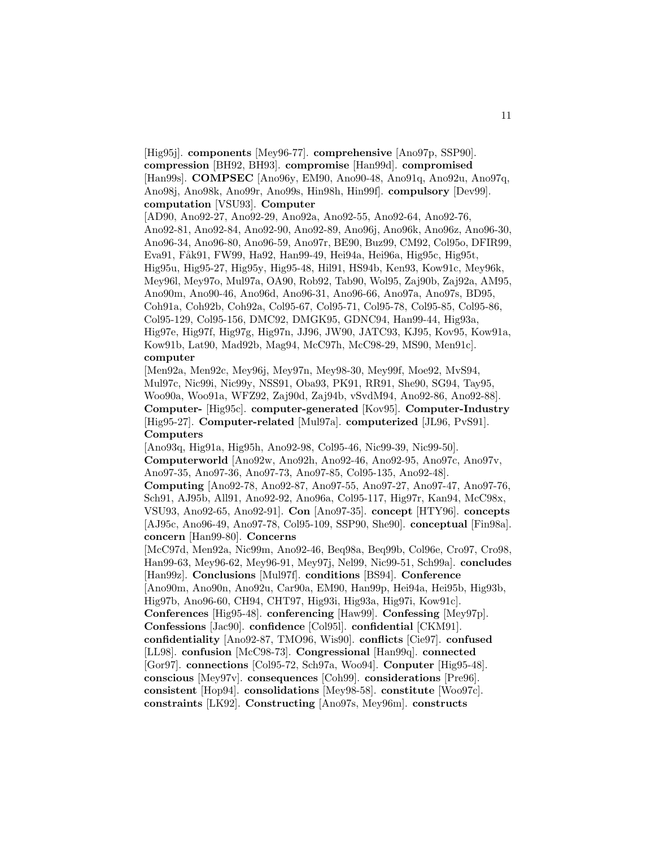[Hig95j]. **components** [Mey96-77]. **comprehensive** [Ano97p, SSP90]. **compression** [BH92, BH93]. **compromise** [Han99d]. **compromised** [Han99s]. **COMPSEC** [Ano96y, EM90, Ano90-48, Ano91q, Ano92u, Ano97q, Ano98j, Ano98k, Ano99r, Ano99s, Hin98h, Hin99f]. **compulsory** [Dev99]. **computation** [VSU93]. **Computer**

[AD90, Ano92-27, Ano92-29, Ano92a, Ano92-55, Ano92-64, Ano92-76, Ano92-81, Ano92-84, Ano92-90, Ano92-89, Ano96j, Ano96k, Ano96z, Ano96-30, Ano96-34, Ano96-80, Ano96-59, Ano97r, BE90, Buz99, CM92, Col95o, DFIR99, Eva91, Fåk91, FW99, Ha92, Han99-49, Hei94a, Hei96a, Hig95c, Hig95t, Hig95u, Hig95-27, Hig95y, Hig95-48, Hil91, HS94b, Ken93, Kow91c, Mey96k, Mey96l, Mey97o, Mul97a, OA90, Rob92, Tab90, Wol95, Zaj90b, Zaj92a, AM95, Ano90m, Ano90-46, Ano96d, Ano96-31, Ano96-66, Ano97a, Ano97s, BD95, Coh91a, Coh92b, Coh92a, Col95-67, Col95-71, Col95-78, Col95-85, Col95-86, Col95-129, Col95-156, DMC92, DMGK95, GDNC94, Han99-44, Hig93a, Hig97e, Hig97f, Hig97g, Hig97n, JJ96, JW90, JATC93, KJ95, Kov95, Kow91a, Kow91b, Lat90, Mad92b, Mag94, McC97h, McC98-29, MS90, Men91c]. **computer**

[Men92a, Men92c, Mey96j, Mey97n, Mey98-30, Mey99f, Moe92, MvS94, Mul97c, Nic99i, Nic99y, NSS91, Oba93, PK91, RR91, She90, SG94, Tay95, Woo90a, Woo91a, WFZ92, Zaj90d, Zaj94b, vSvdM94, Ano92-86, Ano92-88]. **Computer-** [Hig95c]. **computer-generated** [Kov95]. **Computer-Industry** [Hig95-27]. **Computer-related** [Mul97a]. **computerized** [JL96, PvS91]. **Computers**

[Ano93q, Hig91a, Hig95h, Ano92-98, Col95-46, Nic99-39, Nic99-50]. **Computerworld** [Ano92w, Ano92h, Ano92-46, Ano92-95, Ano97c, Ano97v, Ano97-35, Ano97-36, Ano97-73, Ano97-85, Col95-135, Ano92-48].

**Computing** [Ano92-78, Ano92-87, Ano97-55, Ano97-27, Ano97-47, Ano97-76, Sch91, AJ95b, All91, Ano92-92, Ano96a, Col95-117, Hig97r, Kan94, McC98x, VSU93, Ano92-65, Ano92-91]. **Con** [Ano97-35]. **concept** [HTY96]. **concepts** [AJ95c, Ano96-49, Ano97-78, Col95-109, SSP90, She90]. **conceptual** [Fin98a]. **concern** [Han99-80]. **Concerns**

[McC97d, Men92a, Nic99m, Ano92-46, Beq98a, Beq99b, Col96e, Cro97, Cro98, Han99-63, Mey96-62, Mey96-91, Mey97j, Nel99, Nic99-51, Sch99a]. **concludes** [Han99z]. **Conclusions** [Mul97f]. **conditions** [BS94]. **Conference** [Ano90m, Ano90n, Ano92u, Car90a, EM90, Han99p, Hei94a, Hei95b, Hig93b, Hig97b, Ano96-60, CH94, CHT97, Hig93i, Hig93a, Hig97i, Kow91c]. **Conferences** [Hig95-48]. **conferencing** [Haw99]. **Confessing** [Mey97p].

**Confessions** [Jac90]. **confidence** [Col95l]. **confidential** [CKM91]. **confidentiality** [Ano92-87, TMO96, Wis90]. **conflicts** [Cie97]. **confused** [LL98]. **confusion** [McC98-73]. **Congressional** [Han99q]. **connected** [Gor97]. **connections** [Col95-72, Sch97a, Woo94]. **Conputer** [Hig95-48]. **conscious** [Mey97v]. **consequences** [Coh99]. **considerations** [Pre96]. **consistent** [Hop94]. **consolidations** [Mey98-58]. **constitute** [Woo97c]. **constraints** [LK92]. **Constructing** [Ano97s, Mey96m]. **constructs**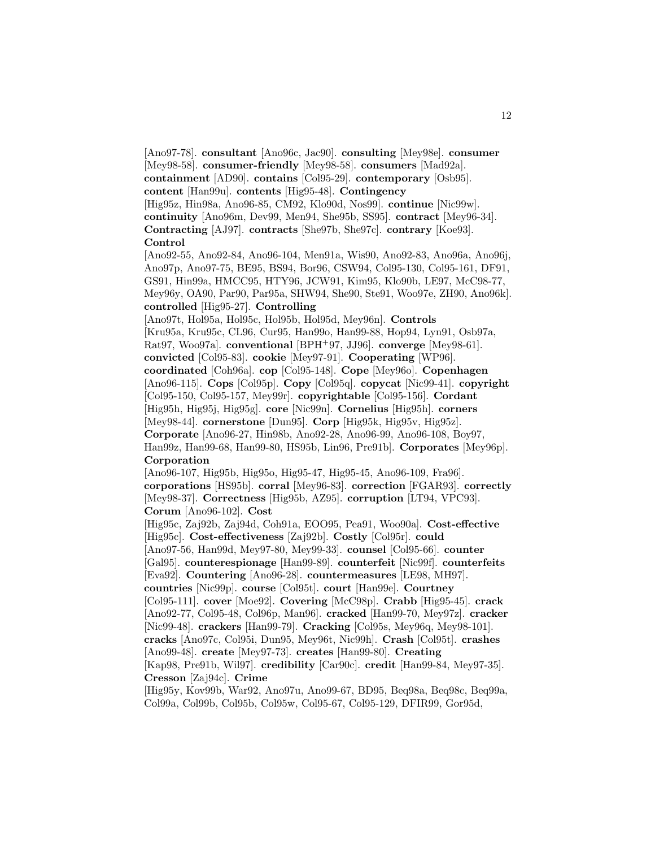[Ano97-78]. **consultant** [Ano96c, Jac90]. **consulting** [Mey98e]. **consumer** [Mey98-58]. **consumer-friendly** [Mey98-58]. **consumers** [Mad92a]. **containment** [AD90]. **contains** [Col95-29]. **contemporary** [Osb95]. **content** [Han99u]. **contents** [Hig95-48]. **Contingency** [Hig95z, Hin98a, Ano96-85, CM92, Klo90d, Nos99]. **continue** [Nic99w]. **continuity** [Ano96m, Dev99, Men94, She95b, SS95]. **contract** [Mey96-34]. **Contracting** [AJ97]. **contracts** [She97b, She97c]. **contrary** [Koe93]. **Control**

[Ano92-55, Ano92-84, Ano96-104, Men91a, Wis90, Ano92-83, Ano96a, Ano96j, Ano97p, Ano97-75, BE95, BS94, Bor96, CSW94, Col95-130, Col95-161, DF91, GS91, Hin99a, HMCC95, HTY96, JCW91, Kim95, Klo90b, LE97, McC98-77, Mey96y, OA90, Par90, Par95a, SHW94, She90, Ste91, Woo97e, ZH90, Ano96k]. **controlled** [Hig95-27]. **Controlling**

[Ano97t, Hol95a, Hol95c, Hol95b, Hol95d, Mey96n]. **Controls** [Kru95a, Kru95c, CL96, Cur95, Han99o, Han99-88, Hop94, Lyn91, Osb97a, Rat97, Woo97a]. **conventional** [BPH<sup>+</sup>97, JJ96]. **converge** [Mey98-61]. **convicted** [Col95-83]. **cookie** [Mey97-91]. **Cooperating** [WP96]. **coordinated** [Coh96a]. **cop** [Col95-148]. **Cope** [Mey96o]. **Copenhagen** [Ano96-115]. **Cops** [Col95p]. **Copy** [Col95q]. **copycat** [Nic99-41]. **copyright** [Col95-150, Col95-157, Mey99r]. **copyrightable** [Col95-156]. **Cordant** [Hig95h, Hig95j, Hig95g]. **core** [Nic99n]. **Cornelius** [Hig95h]. **corners** [Mey98-44]. **cornerstone** [Dun95]. **Corp** [Hig95k, Hig95v, Hig95z]. **Corporate** [Ano96-27, Hin98b, Ano92-28, Ano96-99, Ano96-108, Boy97, Han99z, Han99-68, Han99-80, HS95b, Lin96, Pre91b]. **Corporates** [Mey96p]. **Corporation**

[Ano96-107, Hig95b, Hig95o, Hig95-47, Hig95-45, Ano96-109, Fra96]. **corporations** [HS95b]. **corral** [Mey96-83]. **correction** [FGAR93]. **correctly** [Mey98-37]. **Correctness** [Hig95b, AZ95]. **corruption** [LT94, VPC93]. **Corum** [Ano96-102]. **Cost**

[Hig95c, Zaj92b, Zaj94d, Coh91a, EOO95, Pea91, Woo90a]. **Cost-effective** [Hig95c]. **Cost-effectiveness** [Zaj92b]. **Costly** [Col95r]. **could** [Ano97-56, Han99d, Mey97-80, Mey99-33]. **counsel** [Col95-66]. **counter** [Gal95]. **counterespionage** [Han99-89]. **counterfeit** [Nic99f]. **counterfeits** [Eva92]. **Countering** [Ano96-28]. **countermeasures** [LE98, MH97]. **countries** [Nic99p]. **course** [Col95t]. **court** [Han99e]. **Courtney** [Col95-111]. **cover** [Moe92]. **Covering** [McC98p]. **Crabb** [Hig95-45]. **crack** [Ano92-77, Col95-48, Col96p, Man96]. **cracked** [Han99-70, Mey97z]. **cracker** [Nic99-48]. **crackers** [Han99-79]. **Cracking** [Col95s, Mey96q, Mey98-101]. **cracks** [Ano97c, Col95i, Dun95, Mey96t, Nic99h]. **Crash** [Col95t]. **crashes** [Ano99-48]. **create** [Mey97-73]. **creates** [Han99-80]. **Creating** [Kap98, Pre91b, Wil97]. **credibility** [Car90c]. **credit** [Han99-84, Mey97-35]. **Cresson** [Zaj94c]. **Crime**

[Hig95y, Kov99b, War92, Ano97u, Ano99-67, BD95, Beq98a, Beq98c, Beq99a, Col99a, Col99b, Col95b, Col95w, Col95-67, Col95-129, DFIR99, Gor95d,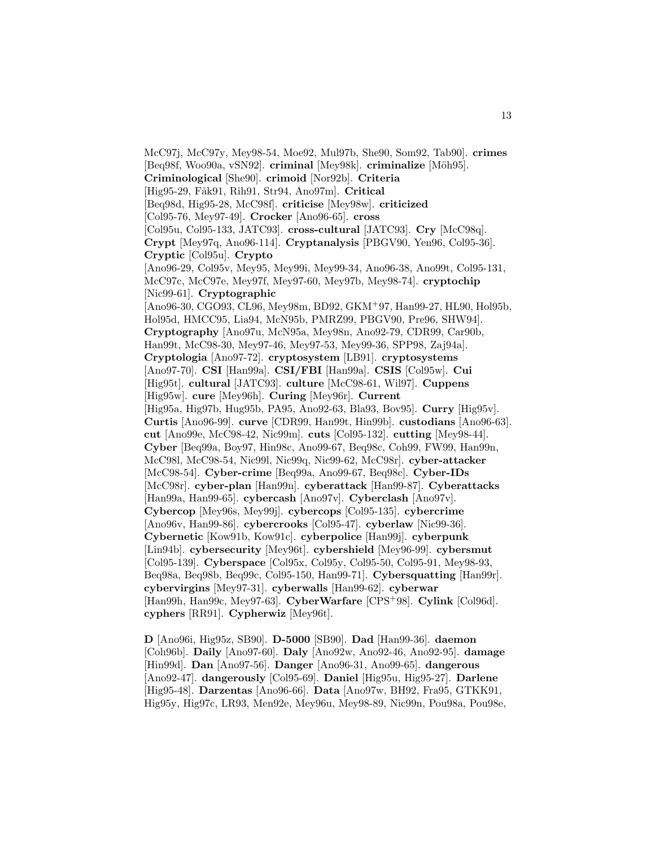McC97j, McC97y, Mey98-54, Moe92, Mul97b, She90, Som92, Tab90]. **crimes** [Beq98f, Woo90a, vSN92]. **criminal** [Mey98k]. **criminalize** [Möh95]. **Criminological** [She90]. **crimoid** [Nor92b]. **Criteria** [Hig95-29, Fåk91, Rih91, Str94, Ano97m]. **Critical** [Beq98d, Hig95-28, McC98f]. **criticise** [Mey98w]. **criticized** [Col95-76, Mey97-49]. **Crocker** [Ano96-65]. **cross** [Col95u, Col95-133, JATC93]. **cross-cultural** [JATC93]. **Cry** [McC98q]. **Crypt** [Mey97q, Ano96-114]. **Cryptanalysis** [PBGV90, Yen96, Col95-36]. **Cryptic** [Col95u]. **Crypto** [Ano96-29, Col95v, Mey95, Mey99i, Mey99-34, Ano96-38, Ano99t, Col95-131, McC97c, McC97e, Mey97f, Mey97-60, Mey97b, Mey98-74]. **cryptochip** [Nic99-61]. **Cryptographic** [Ano96-30, CGO93, CL96, Mey98m, BD92, GKM<sup>+</sup>97, Han99-27, HL90, Hol95b, Hol95d, HMCC95, Lia94, McN95b, PMRZ99, PBGV90, Pre96, SHW94]. **Cryptography** [Ano97u, McN95a, Mey98n, Ano92-79, CDR99, Car90b, Han99t, McC98-30, Mey97-46, Mey97-53, Mey99-36, SPP98, Zaj94a]. **Cryptologia** [Ano97-72]. **cryptosystem** [LB91]. **cryptosystems** [Ano97-70]. **CSI** [Han99a]. **CSI/FBI** [Han99a]. **CSIS** [Col95w]. **Cui** [Hig95t]. **cultural** [JATC93]. **culture** [McC98-61, Wil97]. **Cuppens** [Hig95w]. **cure** [Mey96h]. **Curing** [Mey96r]. **Current** [Hig95a, Hig97b, Hug95b, PA95, Ano92-63, Bla93, Bov95]. **Curry** [Hig95v]. **Curtis** [Ano96-99]. **curve** [CDR99, Han99t, Hin99b]. **custodians** [Ano96-63]. **cut** [Ano99e, McC98-42, Nic99m]. **cuts** [Col95-132]. **cutting** [Mey98-44]. **Cyber** [Beq99a, Boy97, Hin98c, Ano99-67, Beq98c, Coh99, FW99, Han99n, McC98l, McC98-54, Nic99l, Nic99q, Nic99-62, McC98r]. **cyber-attacker** [McC98-54]. **Cyber-crime** [Beq99a, Ano99-67, Beq98c]. **Cyber-IDs** [McC98r]. **cyber-plan** [Han99n]. **cyberattack** [Han99-87]. **Cyberattacks** [Han99a, Han99-65]. **cybercash** [Ano97v]. **Cyberclash** [Ano97v]. **Cybercop** [Mey96s, Mey99j]. **cybercops** [Col95-135]. **cybercrime** [Ano96v, Han99-86]. **cybercrooks** [Col95-47]. **cyberlaw** [Nic99-36]. **Cybernetic** [Kow91b, Kow91c]. **cyberpolice** [Han99j]. **cyberpunk** [Lin94b]. **cybersecurity** [Mey96t]. **cybershield** [Mey96-99]. **cybersmut** [Col95-139]. **Cyberspace** [Col95x, Col95y, Col95-50, Col95-91, Mey98-93, Beq98a, Beq98b, Beq99c, Col95-150, Han99-71]. **Cybersquatting** [Han99r]. **cybervirgins** [Mey97-31]. **cyberwalls** [Han99-62]. **cyberwar** [Han99h, Han99c, Mey97-63]. **CyberWarfare** [CPS<sup>+</sup>98]. **Cylink** [Col96d]. **cyphers** [RR91]. **Cypherwiz** [Mey96t].

**D** [Ano96i, Hig95z, SB90]. **D-5000** [SB90]. **Dad** [Han99-36]. **daemon** [Coh96b]. **Daily** [Ano97-60]. **Daly** [Ano92w, Ano92-46, Ano92-95]. **damage** [Hin99d]. **Dan** [Ano97-56]. **Danger** [Ano96-31, Ano99-65]. **dangerous** [Ano92-47]. **dangerously** [Col95-69]. **Daniel** [Hig95u, Hig95-27]. **Darlene** [Hig95-48]. **Darzentas** [Ano96-66]. **Data** [Ano97w, BH92, Fra95, GTKK91, Hig95y, Hig97c, LR93, Men92e, Mey96u, Mey98-89, Nic99n, Pou98a, Pou98e,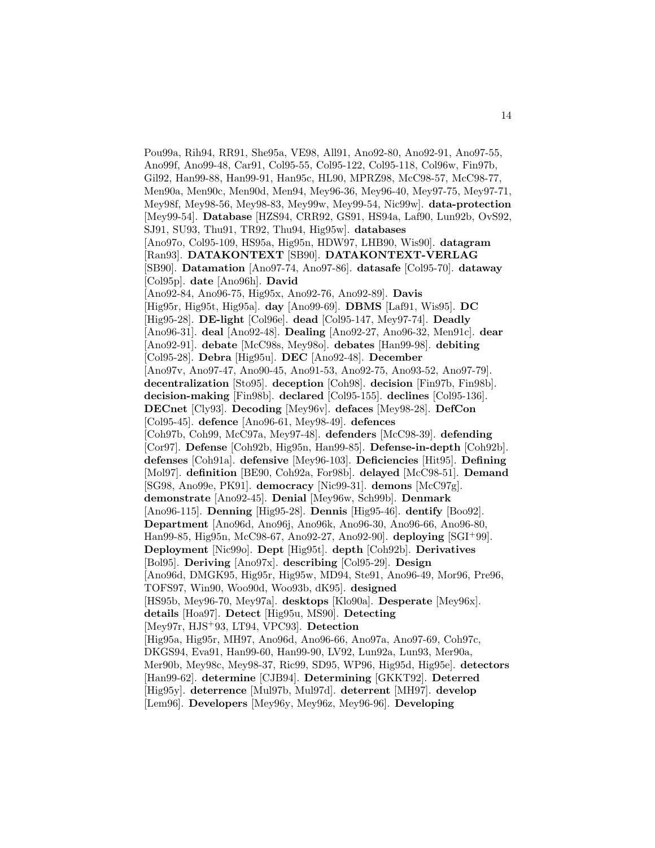Pou99a, Rih94, RR91, She95a, VE98, All91, Ano92-80, Ano92-91, Ano97-55, Ano99f, Ano99-48, Car91, Col95-55, Col95-122, Col95-118, Col96w, Fin97b, Gil92, Han99-88, Han99-91, Han95c, HL90, MPRZ98, McC98-57, McC98-77, Men90a, Men90c, Men90d, Men94, Mey96-36, Mey96-40, Mey97-75, Mey97-71, Mey98f, Mey98-56, Mey98-83, Mey99w, Mey99-54, Nic99w]. **data-protection** [Mey99-54]. **Database** [HZS94, CRR92, GS91, HS94a, Laf90, Lun92b, OvS92, SJ91, SU93, Thu91, TR92, Thu94, Hig95w]. **databases** [Ano97o, Col95-109, HS95a, Hig95n, HDW97, LHB90, Wis90]. **datagram** [Ran93]. **DATAKONTEXT** [SB90]. **DATAKONTEXT-VERLAG** [SB90]. **Datamation** [Ano97-74, Ano97-86]. **datasafe** [Col95-70]. **dataway** [Col95p]. **date** [Ano96h]. **David** [Ano92-84, Ano96-75, Hig95x, Ano92-76, Ano92-89]. **Davis** [Hig95r, Hig95t, Hig95a]. **day** [Ano99-69]. **DBMS** [Laf91, Wis95]. **DC** [Hig95-28]. **DE-light** [Col96e]. **dead** [Col95-147, Mey97-74]. **Deadly** [Ano96-31]. **deal** [Ano92-48]. **Dealing** [Ano92-27, Ano96-32, Men91c]. **dear** [Ano92-91]. **debate** [McC98s, Mey98o]. **debates** [Han99-98]. **debiting** [Col95-28]. **Debra** [Hig95u]. **DEC** [Ano92-48]. **December** [Ano97v, Ano97-47, Ano90-45, Ano91-53, Ano92-75, Ano93-52, Ano97-79]. **decentralization** [Sto95]. **deception** [Coh98]. **decision** [Fin97b, Fin98b]. **decision-making** [Fin98b]. **declared** [Col95-155]. **declines** [Col95-136]. **DECnet** [Cly93]. **Decoding** [Mey96v]. **defaces** [Mey98-28]. **DefCon** [Col95-45]. **defence** [Ano96-61, Mey98-49]. **defences** [Coh97b, Coh99, McC97a, Mey97-48]. **defenders** [McC98-39]. **defending** [Cor97]. **Defense** [Coh92b, Hig95n, Han99-85]. **Defense-in-depth** [Coh92b]. **defenses** [Coh91a]. **defensive** [Mey96-103]. **Deficiencies** [Hit95]. **Defining** [Mol97]. **definition** [BE90, Coh92a, For98b]. **delayed** [McC98-51]. **Demand** [SG98, Ano99e, PK91]. **democracy** [Nic99-31]. **demons** [McC97g]. **demonstrate** [Ano92-45]. **Denial** [Mey96w, Sch99b]. **Denmark** [Ano96-115]. **Denning** [Hig95-28]. **Dennis** [Hig95-46]. **dentify** [Boo92]. **Department** [Ano96d, Ano96j, Ano96k, Ano96-30, Ano96-66, Ano96-80, Han99-85, Hig95n, McC98-67, Ano92-27, Ano92-90]. **deploying** [SGI<sup>+</sup>99]. **Deployment** [Nic99o]. **Dept** [Hig95t]. **depth** [Coh92b]. **Derivatives** [Bol95]. **Deriving** [Ano97x]. **describing** [Col95-29]. **Design** [Ano96d, DMGK95, Hig95r, Hig95w, MD94, Ste91, Ano96-49, Mor96, Pre96, TOFS97, Win90, Woo90d, Woo93b, dK95]. **designed** [HS95b, Mey96-70, Mey97a]. **desktops** [Klo90a]. **Desperate** [Mey96x]. **details** [Hoa97]. **Detect** [Hig95u, MS90]. **Detecting** [Mey97r, HJS<sup>+</sup>93, LT94, VPC93]. **Detection** [Hig95a, Hig95r, MH97, Ano96d, Ano96-66, Ano97a, Ano97-69, Coh97c, DKGS94, Eva91, Han99-60, Han99-90, LV92, Lun92a, Lun93, Mer90a, Mer90b, Mey98c, Mey98-37, Ric99, SD95, WP96, Hig95d, Hig95e]. **detectors** [Han99-62]. **determine** [CJB94]. **Determining** [GKKT92]. **Deterred** [Hig95y]. **deterrence** [Mul97b, Mul97d]. **deterrent** [MH97]. **develop** [Lem96]. **Developers** [Mey96y, Mey96z, Mey96-96]. **Developing**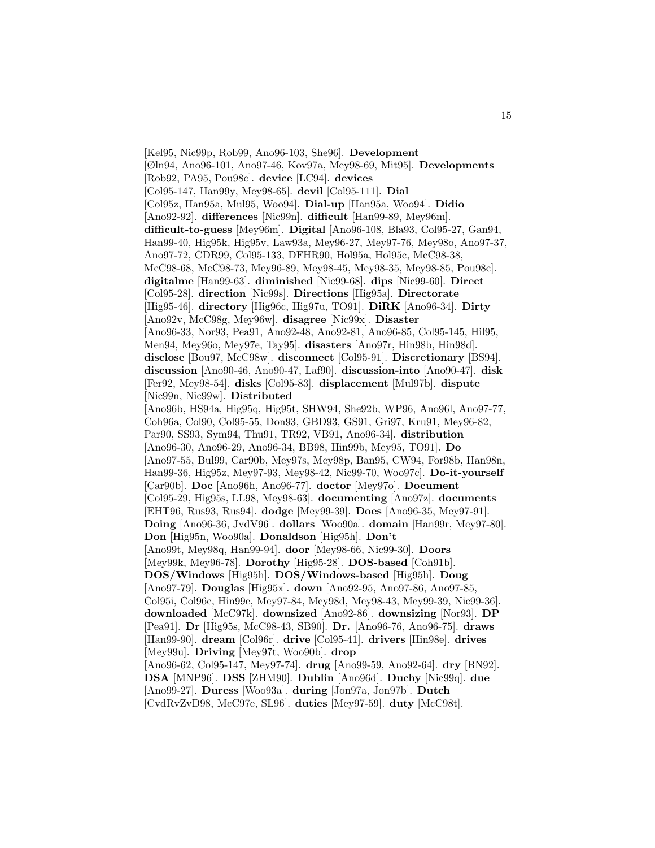[Kel95, Nic99p, Rob99, Ano96-103, She96]. **Development** [Øln94, Ano96-101, Ano97-46, Kov97a, Mey98-69, Mit95]. **Developments** [Rob92, PA95, Pou98c]. **device** [LC94]. **devices** [Col95-147, Han99y, Mey98-65]. **devil** [Col95-111]. **Dial** [Col95z, Han95a, Mul95, Woo94]. **Dial-up** [Han95a, Woo94]. **Didio** [Ano92-92]. **differences** [Nic99n]. **difficult** [Han99-89, Mey96m]. **difficult-to-guess** [Mey96m]. **Digital** [Ano96-108, Bla93, Col95-27, Gan94, Han99-40, Hig95k, Hig95v, Law93a, Mey96-27, Mey97-76, Mey98o, Ano97-37, Ano97-72, CDR99, Col95-133, DFHR90, Hol95a, Hol95c, McC98-38, McC98-68, McC98-73, Mey96-89, Mey98-45, Mey98-35, Mey98-85, Pou98c]. **digitalme** [Han99-63]. **diminished** [Nic99-68]. **dips** [Nic99-60]. **Direct** [Col95-28]. **direction** [Nic99s]. **Directions** [Hig95a]. **Directorate** [Hig95-46]. **directory** [Hig96c, Hig97u, TO91]. **DiRK** [Ano96-34]. **Dirty** [Ano92v, McC98g, Mey96w]. **disagree** [Nic99x]. **Disaster** [Ano96-33, Nor93, Pea91, Ano92-48, Ano92-81, Ano96-85, Col95-145, Hil95, Men94, Mey96o, Mey97e, Tay95]. **disasters** [Ano97r, Hin98b, Hin98d]. **disclose** [Bou97, McC98w]. **disconnect** [Col95-91]. **Discretionary** [BS94]. **discussion** [Ano90-46, Ano90-47, Laf90]. **discussion-into** [Ano90-47]. **disk** [Fer92, Mey98-54]. **disks** [Col95-83]. **displacement** [Mul97b]. **dispute** [Nic99n, Nic99w]. **Distributed** [Ano96b, HS94a, Hig95q, Hig95t, SHW94, She92b, WP96, Ano96l, Ano97-77, Coh96a, Col90, Col95-55, Don93, GBD93, GS91, Gri97, Kru91, Mey96-82, Par90, SS93, Sym94, Thu91, TR92, VB91, Ano96-34]. **distribution** [Ano96-30, Ano96-29, Ano96-34, BB98, Hin99b, Mey95, TO91]. **Do** [Ano97-55, Bul99, Car90b, Mey97s, Mey98p, Ban95, CW94, For98b, Han98n, Han99-36, Hig95z, Mey97-93, Mey98-42, Nic99-70, Woo97c]. **Do-it-yourself** [Car90b]. **Doc** [Ano96h, Ano96-77]. **doctor** [Mey97o]. **Document** [Col95-29, Hig95s, LL98, Mey98-63]. **documenting** [Ano97z]. **documents** [EHT96, Rus93, Rus94]. **dodge** [Mey99-39]. **Does** [Ano96-35, Mey97-91]. **Doing** [Ano96-36, JvdV96]. **dollars** [Woo90a]. **domain** [Han99r, Mey97-80]. **Don** [Hig95n, Woo90a]. **Donaldson** [Hig95h]. **Don't** [Ano99t, Mey98q, Han99-94]. **door** [Mey98-66, Nic99-30]. **Doors** [Mey99k, Mey96-78]. **Dorothy** [Hig95-28]. **DOS-based** [Coh91b]. **DOS/Windows** [Hig95h]. **DOS/Windows-based** [Hig95h]. **Doug** [Ano97-79]. **Douglas** [Hig95x]. **down** [Ano92-95, Ano97-86, Ano97-85, Col95i, Col96c, Hin99e, Mey97-84, Mey98d, Mey98-43, Mey99-39, Nic99-36]. **downloaded** [McC97k]. **downsized** [Ano92-86]. **downsizing** [Nor93]. **DP** [Pea91]. **Dr** [Hig95s, McC98-43, SB90]. **Dr.** [Ano96-76, Ano96-75]. **draws** [Han99-90]. **dream** [Col96r]. **drive** [Col95-41]. **drivers** [Hin98e]. **drives** [Mey99u]. **Driving** [Mey97t, Woo90b]. **drop** [Ano96-62, Col95-147, Mey97-74]. **drug** [Ano99-59, Ano92-64]. **dry** [BN92]. **DSA** [MNP96]. **DSS** [ZHM90]. **Dublin** [Ano96d]. **Duchy** [Nic99q]. **due** [Ano99-27]. **Duress** [Woo93a]. **during** [Jon97a, Jon97b]. **Dutch** [CvdRvZvD98, McC97e, SL96]. **duties** [Mey97-59]. **duty** [McC98t].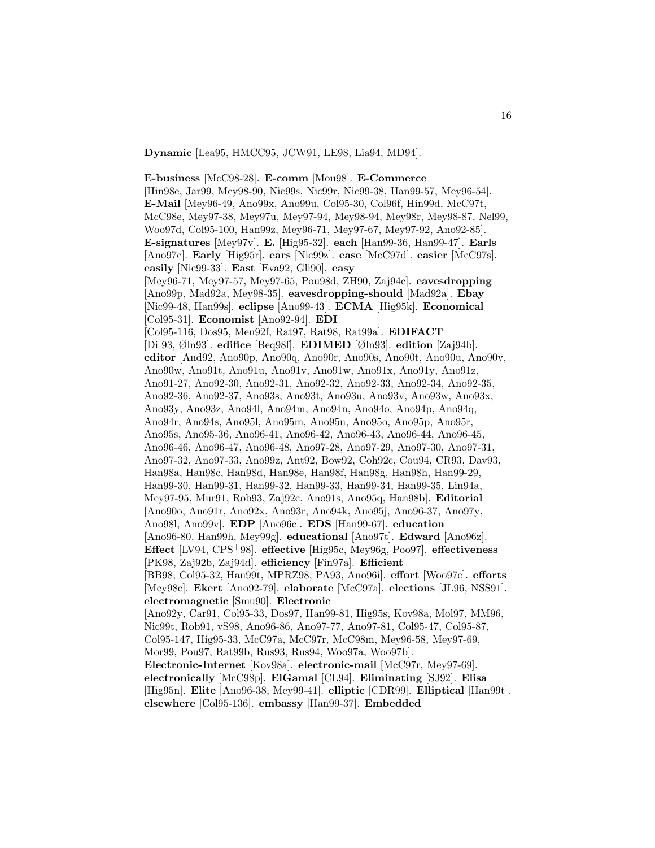**Dynamic** [Lea95, HMCC95, JCW91, LE98, Lia94, MD94].

**E-business** [McC98-28]. **E-comm** [Mou98]. **E-Commerce** [Hin98e, Jar99, Mey98-90, Nic99s, Nic99r, Nic99-38, Han99-57, Mey96-54]. **E-Mail** [Mey96-49, Ano99x, Ano99u, Col95-30, Col96f, Hin99d, McC97t, McC98e, Mey97-38, Mey97u, Mey97-94, Mey98-94, Mey98r, Mey98-87, Nel99, Woo97d, Col95-100, Han99z, Mey96-71, Mey97-67, Mey97-92, Ano92-85]. **E-signatures** [Mey97v]. **E.** [Hig95-32]. **each** [Han99-36, Han99-47]. **Earls** [Ano97c]. **Early** [Hig95r]. **ears** [Nic99z]. **ease** [McC97d]. **easier** [McC97s]. **easily** [Nic99-33]. **East** [Eva92, Gli90]. **easy** [Mey96-71, Mey97-57, Mey97-65, Pou98d, ZH90, Zaj94c]. **eavesdropping** [Ano99p, Mad92a, Mey98-35]. **eavesdropping-should** [Mad92a]. **Ebay** [Nic99-48, Han99s]. **eclipse** [Ano99-43]. **ECMA** [Hig95k]. **Economical** [Col95-31]. **Economist** [Ano92-94]. **EDI** [Col95-116, Dos95, Men92f, Rat97, Rat98, Rat99a]. **EDIFACT** [Di 93, Øln93]. **edifice** [Beq98f]. **EDIMED** [Øln93]. **edition** [Zaj94b]. **editor** [And92, Ano90p, Ano90q, Ano90r, Ano90s, Ano90t, Ano90u, Ano90v, Ano90w, Ano91t, Ano91u, Ano91v, Ano91w, Ano91x, Ano91y, Ano91z, Ano91-27, Ano92-30, Ano92-31, Ano92-32, Ano92-33, Ano92-34, Ano92-35, Ano92-36, Ano92-37, Ano93s, Ano93t, Ano93u, Ano93v, Ano93w, Ano93x, Ano93y, Ano93z, Ano94l, Ano94m, Ano94n, Ano94o, Ano94p, Ano94q, Ano94r, Ano94s, Ano95l, Ano95m, Ano95n, Ano95o, Ano95p, Ano95r, Ano95s, Ano95-36, Ano96-41, Ano96-42, Ano96-43, Ano96-44, Ano96-45, Ano96-46, Ano96-47, Ano96-48, Ano97-28, Ano97-29, Ano97-30, Ano97-31, Ano97-32, Ano97-33, Ano99z, Ant92, Bow92, Coh92c, Cou94, CR93, Dav93, Han98a, Han98c, Han98d, Han98e, Han98f, Han98g, Han98h, Han99-29, Han99-30, Han99-31, Han99-32, Han99-33, Han99-34, Han99-35, Lin94a, Mey97-95, Mur91, Rob93, Zaj92c, Ano91s, Ano95q, Han98b]. **Editorial** [Ano90o, Ano91r, Ano92x, Ano93r, Ano94k, Ano95j, Ano96-37, Ano97y, Ano98l, Ano99v]. **EDP** [Ano96c]. **EDS** [Han99-67]. **education** [Ano96-80, Han99h, Mey99g]. **educational** [Ano97t]. **Edward** [Ano96z]. **Effect** [LV94, CPS<sup>+</sup>98]. **effective** [Hig95c, Mey96g, Poo97]. **effectiveness** [PK98, Zaj92b, Zaj94d]. **efficiency** [Fin97a]. **Efficient** [BB98, Col95-32, Han99t, MPRZ98, PA93, Ano96i]. **effort** [Woo97c]. **efforts** [Mey98c]. **Ekert** [Ano92-79]. **elaborate** [McC97a]. **elections** [JL96, NSS91]. **electromagnetic** [Smu90]. **Electronic** [Ano92y, Car91, Col95-33, Dos97, Han99-81, Hig95s, Kov98a, Mol97, MM96, Nic99t, Rob91, vS98, Ano96-86, Ano97-77, Ano97-81, Col95-47, Col95-87, Col95-147, Hig95-33, McC97a, McC97r, McC98m, Mey96-58, Mey97-69, Mor99, Pou97, Rat99b, Rus93, Rus94, Woo97a, Woo97b]. **Electronic-Internet** [Kov98a]. **electronic-mail** [McC97r, Mey97-69]. **electronically** [McC98p]. **ElGamal** [CL94]. **Eliminating** [SJ92]. **Elisa** [Hig95n]. **Elite** [Ano96-38, Mey99-41]. **elliptic** [CDR99]. **Elliptical** [Han99t]. **elsewhere** [Col95-136]. **embassy** [Han99-37]. **Embedded**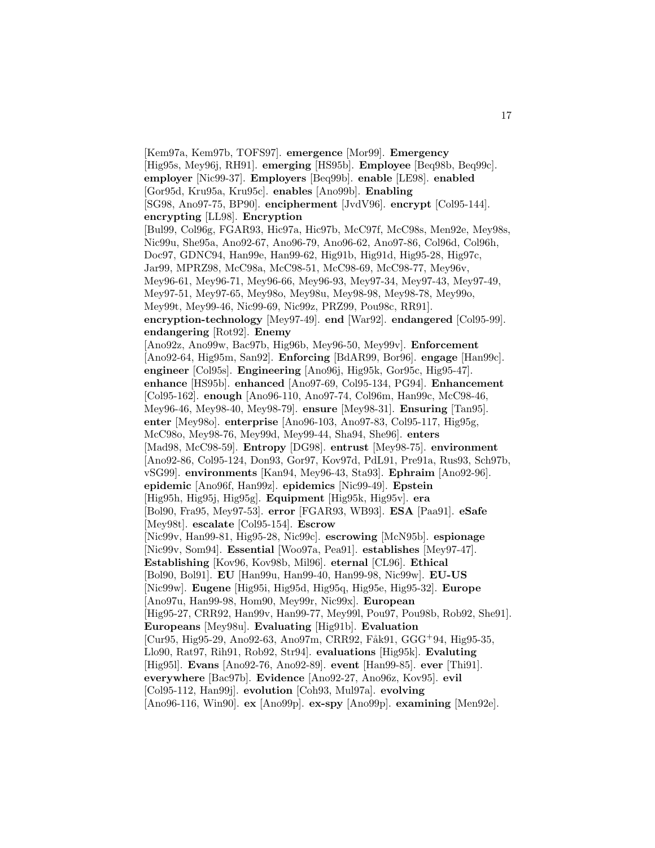[Kem97a, Kem97b, TOFS97]. **emergence** [Mor99]. **Emergency** [Hig95s, Mey96j, RH91]. **emerging** [HS95b]. **Employee** [Beq98b, Beq99c]. **employer** [Nic99-37]. **Employers** [Beq99b]. **enable** [LE98]. **enabled** [Gor95d, Kru95a, Kru95c]. **enables** [Ano99b]. **Enabling** [SG98, Ano97-75, BP90]. **encipherment** [JvdV96]. **encrypt** [Col95-144]. **encrypting** [LL98]. **Encryption** [Bul99, Col96g, FGAR93, Hic97a, Hic97b, McC97f, McC98s, Men92e, Mey98s, Nic99u, She95a, Ano92-67, Ano96-79, Ano96-62, Ano97-86, Col96d, Col96h, Doc97, GDNC94, Han99e, Han99-62, Hig91b, Hig91d, Hig95-28, Hig97c, Jar99, MPRZ98, McC98a, McC98-51, McC98-69, McC98-77, Mey96v, Mey96-61, Mey96-71, Mey96-66, Mey96-93, Mey97-34, Mey97-43, Mey97-49, Mey97-51, Mey97-65, Mey98o, Mey98u, Mey98-98, Mey98-78, Mey99o, Mey99t, Mey99-46, Nic99-69, Nic99z, PRZ99, Pou98c, RR91]. **encryption-technology** [Mey97-49]. **end** [War92]. **endangered** [Col95-99]. **endangering** [Rot92]. **Enemy** [Ano92z, Ano99w, Bac97b, Hig96b, Mey96-50, Mey99v]. **Enforcement** [Ano92-64, Hig95m, San92]. **Enforcing** [BdAR99, Bor96]. **engage** [Han99c]. **engineer** [Col95s]. **Engineering** [Ano96j, Hig95k, Gor95c, Hig95-47]. **enhance** [HS95b]. **enhanced** [Ano97-69, Col95-134, PG94]. **Enhancement** [Col95-162]. **enough** [Ano96-110, Ano97-74, Col96m, Han99c, McC98-46, Mey96-46, Mey98-40, Mey98-79]. **ensure** [Mey98-31]. **Ensuring** [Tan95]. **enter** [Mey98o]. **enterprise** [Ano96-103, Ano97-83, Col95-117, Hig95g, McC98o, Mey98-76, Mey99d, Mey99-44, Sha94, She96]. **enters** [Mad98, McC98-59]. **Entropy** [DG98]. **entrust** [Mey98-75]. **environment** [Ano92-86, Col95-124, Don93, Gor97, Kov97d, PdL91, Pre91a, Rus93, Sch97b, vSG99]. **environments** [Kan94, Mey96-43, Sta93]. **Ephraim** [Ano92-96]. **epidemic** [Ano96f, Han99z]. **epidemics** [Nic99-49]. **Epstein** [Hig95h, Hig95j, Hig95g]. **Equipment** [Hig95k, Hig95v]. **era** [Bol90, Fra95, Mey97-53]. **error** [FGAR93, WB93]. **ESA** [Paa91]. **eSafe** [Mey98t]. **escalate** [Col95-154]. **Escrow** [Nic99v, Han99-81, Hig95-28, Nic99c]. **escrowing** [McN95b]. **espionage** [Nic99v, Som94]. **Essential** [Woo97a, Pea91]. **establishes** [Mey97-47]. **Establishing** [Kov96, Kov98b, Mil96]. **eternal** [CL96]. **Ethical** [Bol90, Bol91]. **EU** [Han99u, Han99-40, Han99-98, Nic99w]. **EU-US** [Nic99w]. **Eugene** [Hig95i, Hig95d, Hig95q, Hig95e, Hig95-32]. **Europe** [Ano97u, Han99-98, Hom90, Mey99r, Nic99x]. **European** [Hig95-27, CRR92, Han99v, Han99-77, Mey99l, Pou97, Pou98b, Rob92, She91]. **Europeans** [Mey98u]. **Evaluating** [Hig91b]. **Evaluation** [Cur95, Hig95-29, Ano92-63, Ano97m, CRR92, Fåk91, GGG+94, Hig95-35, Llo90, Rat97, Rih91, Rob92, Str94]. **evaluations** [Hig95k]. **Evaluting** [Hig95l]. **Evans** [Ano92-76, Ano92-89]. **event** [Han99-85]. **ever** [Thi91]. **everywhere** [Bac97b]. **Evidence** [Ano92-27, Ano96z, Kov95]. **evil** [Col95-112, Han99j]. **evolution** [Coh93, Mul97a]. **evolving** [Ano96-116, Win90]. **ex** [Ano99p]. **ex-spy** [Ano99p]. **examining** [Men92e].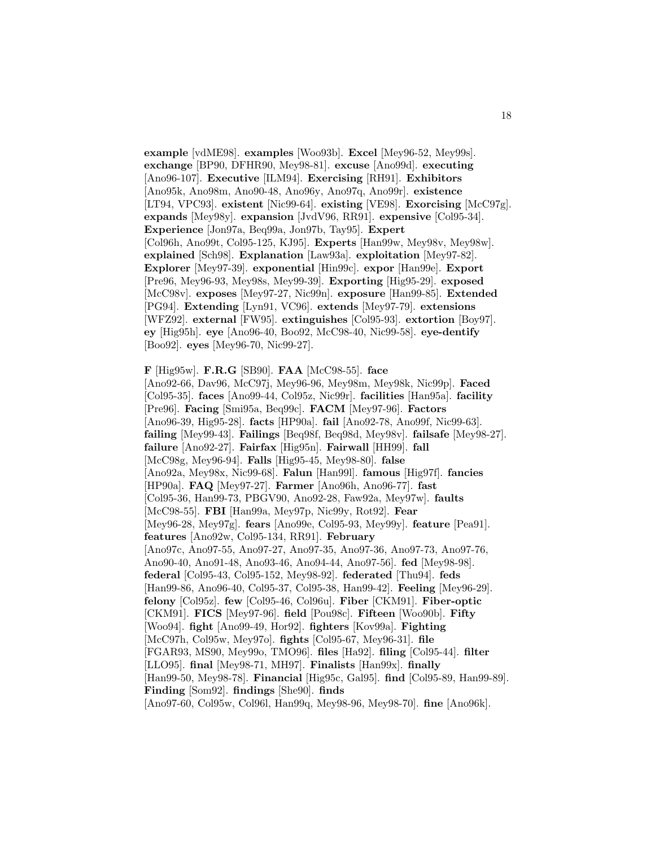**example** [vdME98]. **examples** [Woo93b]. **Excel** [Mey96-52, Mey99s]. **exchange** [BP90, DFHR90, Mey98-81]. **excuse** [Ano99d]. **executing** [Ano96-107]. **Executive** [ILM94]. **Exercising** [RH91]. **Exhibitors** [Ano95k, Ano98m, Ano90-48, Ano96y, Ano97q, Ano99r]. **existence** [LT94, VPC93]. **existent** [Nic99-64]. **existing** [VE98]. **Exorcising** [McC97g]. **expands** [Mey98y]. **expansion** [JvdV96, RR91]. **expensive** [Col95-34]. **Experience** [Jon97a, Beq99a, Jon97b, Tay95]. **Expert** [Col96h, Ano99t, Col95-125, KJ95]. **Experts** [Han99w, Mey98v, Mey98w]. **explained** [Sch98]. **Explanation** [Law93a]. **exploitation** [Mey97-82]. **Explorer** [Mey97-39]. **exponential** [Hin99c]. **expor** [Han99e]. **Export** [Pre96, Mey96-93, Mey98s, Mey99-39]. **Exporting** [Hig95-29]. **exposed** [McC98v]. **exposes** [Mey97-27, Nic99n]. **exposure** [Han99-85]. **Extended** [PG94]. **Extending** [Lyn91, VC96]. **extends** [Mey97-79]. **extensions** [WFZ92]. **external** [FW95]. **extinguishes** [Col95-93]. **extortion** [Boy97]. **ey** [Hig95h]. **eye** [Ano96-40, Boo92, McC98-40, Nic99-58]. **eye-dentify** [Boo92]. **eyes** [Mey96-70, Nic99-27].

**F** [Hig95w]. **F.R.G** [SB90]. **FAA** [McC98-55]. **face** [Ano92-66, Dav96, McC97j, Mey96-96, Mey98m, Mey98k, Nic99p]. **Faced** [Col95-35]. **faces** [Ano99-44, Col95z, Nic99r]. **facilities** [Han95a]. **facility** [Pre96]. **Facing** [Smi95a, Beq99c]. **FACM** [Mey97-96]. **Factors** [Ano96-39, Hig95-28]. **facts** [HP90a]. **fail** [Ano92-78, Ano99f, Nic99-63]. **failing** [Mey99-43]. **Failings** [Beq98f, Beq98d, Mey98v]. **failsafe** [Mey98-27]. **failure** [Ano92-27]. **Fairfax** [Hig95n]. **Fairwall** [HH99]. **fall** [McC98g, Mey96-94]. **Falls** [Hig95-45, Mey98-80]. **false** [Ano92a, Mey98x, Nic99-68]. **Falun** [Han99l]. **famous** [Hig97f]. **fancies** [HP90a]. **FAQ** [Mey97-27]. **Farmer** [Ano96h, Ano96-77]. **fast** [Col95-36, Han99-73, PBGV90, Ano92-28, Faw92a, Mey97w]. **faults** [McC98-55]. **FBI** [Han99a, Mey97p, Nic99y, Rot92]. **Fear** [Mey96-28, Mey97g]. **fears** [Ano99e, Col95-93, Mey99y]. **feature** [Pea91]. **features** [Ano92w, Col95-134, RR91]. **February** [Ano97c, Ano97-55, Ano97-27, Ano97-35, Ano97-36, Ano97-73, Ano97-76, Ano90-40, Ano91-48, Ano93-46, Ano94-44, Ano97-56]. **fed** [Mey98-98]. **federal** [Col95-43, Col95-152, Mey98-92]. **federated** [Thu94]. **feds** [Han99-86, Ano96-40, Col95-37, Col95-38, Han99-42]. **Feeling** [Mey96-29]. **felony** [Col95z]. **few** [Col95-46, Col96u]. **Fiber** [CKM91]. **Fiber-optic** [CKM91]. **FICS** [Mey97-96]. **field** [Pou98c]. **Fifteen** [Woo90b]. **Fifty** [Woo94]. **fight** [Ano99-49, Hor92]. **fighters** [Kov99a]. **Fighting** [McC97h, Col95w, Mey97o]. **fights** [Col95-67, Mey96-31]. **file** [FGAR93, MS90, Mey99o, TMO96]. **files** [Ha92]. **filing** [Col95-44]. **filter** [LLO95]. **final** [Mey98-71, MH97]. **Finalists** [Han99x]. **finally** [Han99-50, Mey98-78]. **Financial** [Hig95c, Gal95]. **find** [Col95-89, Han99-89]. **Finding** [Som92]. **findings** [She90]. **finds** [Ano97-60, Col95w, Col96l, Han99q, Mey98-96, Mey98-70]. **fine** [Ano96k].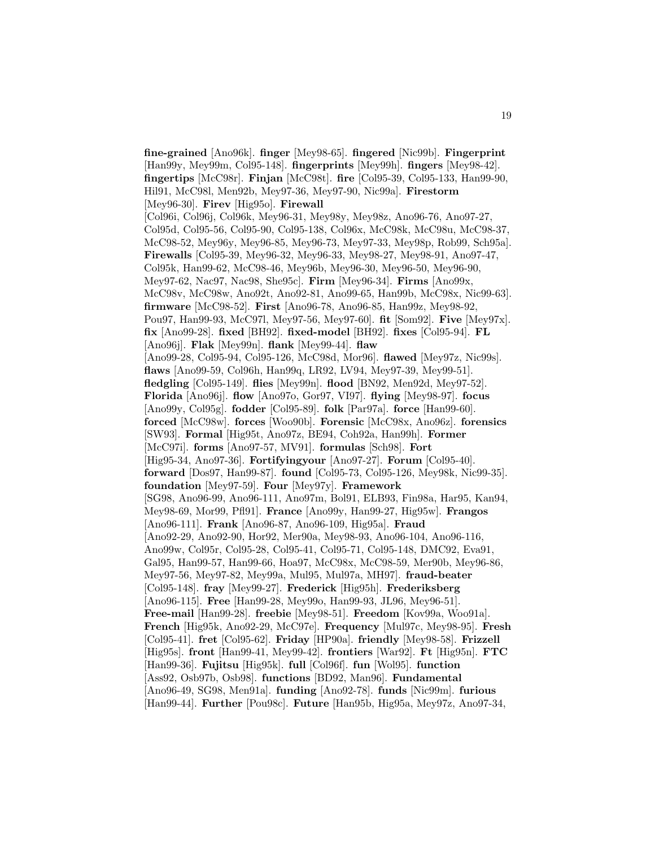**fine-grained** [Ano96k]. **finger** [Mey98-65]. **fingered** [Nic99b]. **Fingerprint** [Han99y, Mey99m, Col95-148]. **fingerprints** [Mey99h]. **fingers** [Mey98-42]. **fingertips** [McC98r]. **Finjan** [McC98t]. **fire** [Col95-39, Col95-133, Han99-90, Hil91, McC98l, Men92b, Mey97-36, Mey97-90, Nic99a]. **Firestorm** [Mey96-30]. **Firev** [Hig95o]. **Firewall** [Col96i, Col96j, Col96k, Mey96-31, Mey98y, Mey98z, Ano96-76, Ano97-27, Col95d, Col95-56, Col95-90, Col95-138, Col96x, McC98k, McC98u, McC98-37, McC98-52, Mey96y, Mey96-85, Mey96-73, Mey97-33, Mey98p, Rob99, Sch95a]. **Firewalls** [Col95-39, Mey96-32, Mey96-33, Mey98-27, Mey98-91, Ano97-47, Col95k, Han99-62, McC98-46, Mey96b, Mey96-30, Mey96-50, Mey96-90, Mey97-62, Nac97, Nac98, She95c]. **Firm** [Mey96-34]. **Firms** [Ano99x, McC98v, McC98w, Ano92t, Ano92-81, Ano99-65, Han99b, McC98x, Nic99-63]. **firmware** [McC98-52]. **First** [Ano96-78, Ano96-85, Han99z, Mey98-92, Pou97, Han99-93, McC97l, Mey97-56, Mey97-60]. **fit** [Som92]. **Five** [Mey97x]. **fix** [Ano99-28]. **fixed** [BH92]. **fixed-model** [BH92]. **fixes** [Col95-94]. **FL** [Ano96j]. **Flak** [Mey99n]. **flank** [Mey99-44]. **flaw** [Ano99-28, Col95-94, Col95-126, McC98d, Mor96]. **flawed** [Mey97z, Nic99s]. **flaws** [Ano99-59, Col96h, Han99q, LR92, LV94, Mey97-39, Mey99-51]. **fledgling** [Col95-149]. **flies** [Mey99n]. **flood** [BN92, Men92d, Mey97-52]. **Florida** [Ano96j]. **flow** [Ano97o, Gor97, VI97]. **flying** [Mey98-97]. **focus** [Ano99y, Col95g]. **fodder** [Col95-89]. **folk** [Par97a]. **force** [Han99-60]. **forced** [McC98w]. **forces** [Woo90b]. **Forensic** [McC98x, Ano96z]. **forensics** [SW93]. **Formal** [Hig95t, Ano97z, BE94, Coh92a, Han99h]. **Former** [McC97i]. **forms** [Ano97-57, MV91]. **formulas** [Sch98]. **Fort** [Hig95-34, Ano97-36]. **Fortifyingyour** [Ano97-27]. **Forum** [Col95-40]. **forward** [Dos97, Han99-87]. **found** [Col95-73, Col95-126, Mey98k, Nic99-35]. **foundation** [Mey97-59]. **Four** [Mey97y]. **Framework** [SG98, Ano96-99, Ano96-111, Ano97m, Bol91, ELB93, Fin98a, Har95, Kan94, Mey98-69, Mor99, Pfl91]. **France** [Ano99y, Han99-27, Hig95w]. **Frangos** [Ano96-111]. **Frank** [Ano96-87, Ano96-109, Hig95a]. **Fraud** [Ano92-29, Ano92-90, Hor92, Mer90a, Mey98-93, Ano96-104, Ano96-116, Ano99w, Col95r, Col95-28, Col95-41, Col95-71, Col95-148, DMC92, Eva91, Gal95, Han99-57, Han99-66, Hoa97, McC98x, McC98-59, Mer90b, Mey96-86, Mey97-56, Mey97-82, Mey99a, Mul95, Mul97a, MH97]. **fraud-beater** [Col95-148]. **fray** [Mey99-27]. **Frederick** [Hig95h]. **Frederiksberg** [Ano96-115]. **Free** [Han99-28, Mey99o, Han99-93, JL96, Mey96-51]. **Free-mail** [Han99-28]. **freebie** [Mey98-51]. **Freedom** [Kov99a, Woo91a]. **French** [Hig95k, Ano92-29, McC97e]. **Frequency** [Mul97c, Mey98-95]. **Fresh** [Col95-41]. **fret** [Col95-62]. **Friday** [HP90a]. **friendly** [Mey98-58]. **Frizzell** [Hig95s]. **front** [Han99-41, Mey99-42]. **frontiers** [War92]. **Ft** [Hig95n]. **FTC** [Han99-36]. **Fujitsu** [Hig95k]. **full** [Col96f]. **fun** [Wol95]. **function** [Ass92, Osb97b, Osb98]. **functions** [BD92, Man96]. **Fundamental** [Ano96-49, SG98, Men91a]. **funding** [Ano92-78]. **funds** [Nic99m]. **furious** [Han99-44]. **Further** [Pou98c]. **Future** [Han95b, Hig95a, Mey97z, Ano97-34,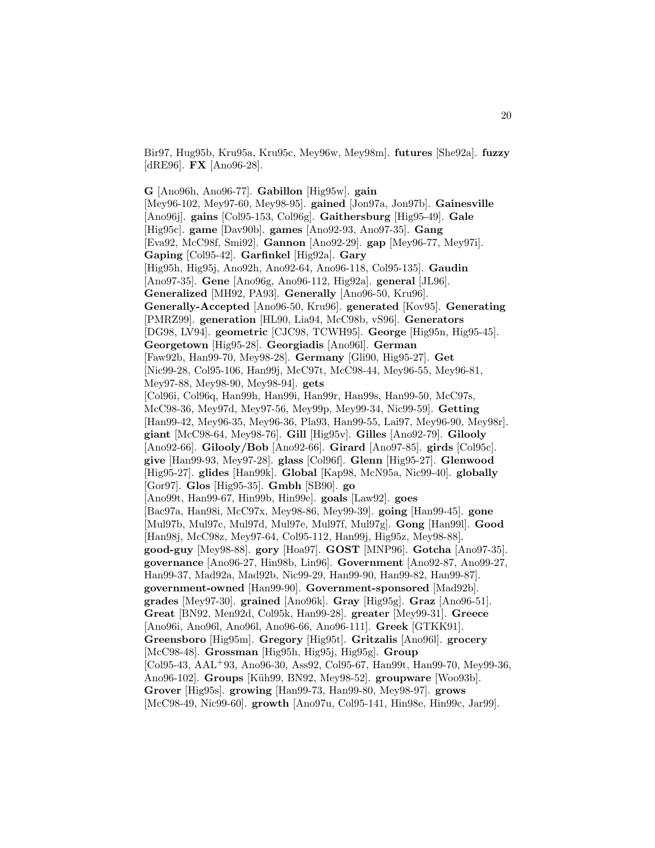Bir97, Hug95b, Kru95a, Kru95c, Mey96w, Mey98m]. **futures** [She92a]. **fuzzy** [dRE96]. **FX** [Ano96-28].

**G** [Ano96h, Ano96-77]. **Gabillon** [Hig95w]. **gain** [Mey96-102, Mey97-60, Mey98-95]. **gained** [Jon97a, Jon97b]. **Gainesville** [Ano96j]. **gains** [Col95-153, Col96g]. **Gaithersburg** [Hig95-49]. **Gale** [Hig95c]. **game** [Dav90b]. **games** [Ano92-93, Ano97-35]. **Gang** [Eva92, McC98f, Smi92]. **Gannon** [Ano92-29]. **gap** [Mey96-77, Mey97i]. **Gaping** [Col95-42]. **Garfinkel** [Hig92a]. **Gary** [Hig95h, Hig95j, Ano92h, Ano92-64, Ano96-118, Col95-135]. **Gaudin** [Ano97-35]. **Gene** [Ano96g, Ano96-112, Hig92a]. **general** [JL96]. **Generalized** [MH92, PA93]. **Generally** [Ano96-50, Kru96]. **Generally-Accepted** [Ano96-50, Kru96]. **generated** [Kov95]. **Generating** [PMRZ99]. **generation** [HL90, Lia94, McC98b, vS96]. **Generators** [DG98, LV94]. **geometric** [CJC98, TCWH95]. **George** [Hig95n, Hig95-45]. **Georgetown** [Hig95-28]. **Georgiadis** [Ano96l]. **German** [Faw92b, Han99-70, Mey98-28]. **Germany** [Gli90, Hig95-27]. **Get** [Nic99-28, Col95-106, Han99j, McC97t, McC98-44, Mey96-55, Mey96-81, Mey97-88, Mey98-90, Mey98-94]. **gets** [Col96i, Col96q, Han99h, Han99i, Han99r, Han99s, Han99-50, McC97s, McC98-36, Mey97d, Mey97-56, Mey99p, Mey99-34, Nic99-59]. **Getting** [Han99-42, Mey96-35, Mey96-36, Pla93, Han99-55, Lai97, Mey96-90, Mey98r]. **giant** [McC98-64, Mey98-76]. **Gill** [Hig95v]. **Gilles** [Ano92-79]. **Gilooly** [Ano92-66]. **Gilooly/Bob** [Ano92-66]. **Girard** [Ano97-85]. **girds** [Col95c]. **give** [Han99-93, Mey97-28]. **glass** [Col96f]. **Glenn** [Hig95-27]. **Glenwood** [Hig95-27]. **glides** [Han99k]. **Global** [Kap98, McN95a, Nic99-40]. **globally** [Gor97]. **Glos** [Hig95-35]. **Gmbh** [SB90]. **go** [Ano99t, Han99-67, Hin99b, Hin99e]. **goals** [Law92]. **goes** [Bac97a, Han98i, McC97x, Mey98-86, Mey99-39]. **going** [Han99-45]. **gone** [Mul97b, Mul97c, Mul97d, Mul97e, Mul97f, Mul97g]. **Gong** [Han99l]. **Good** [Han98j, McC98z, Mey97-64, Col95-112, Han99j, Hig95z, Mey98-88]. **good-guy** [Mey98-88]. **gory** [Hoa97]. **GOST** [MNP96]. **Gotcha** [Ano97-35]. **governance** [Ano96-27, Hin98b, Lin96]. **Government** [Ano92-87, Ano99-27, Han99-37, Mad92a, Mad92b, Nic99-29, Han99-90, Han99-82, Han99-87]. **government-owned** [Han99-90]. **Government-sponsored** [Mad92b]. **grades** [Mey97-30]. **grained** [Ano96k]. **Gray** [Hig95g]. **Graz** [Ano96-51]. **Great** [BN92, Men92d, Col95k, Han99-28]. **greater** [Mey99-31]. **Greece** [Ano96i, Ano96l, Ano96l, Ano96-66, Ano96-111]. **Greek** [GTKK91]. **Greensboro** [Hig95m]. **Gregory** [Hig95t]. **Gritzalis** [Ano96l]. **grocery** [McC98-48]. **Grossman** [Hig95h, Hig95j, Hig95g]. **Group** [Col95-43, AAL<sup>+</sup>93, Ano96-30, Ass92, Col95-67, Han99t, Han99-70, Mey99-36, Ano96-102]. **Groups** [K¨uh99, BN92, Mey98-52]. **groupware** [Woo93b]. **Grover** [Hig95s]. **growing** [Han99-73, Han99-80, Mey98-97]. **grows** [McC98-49, Nic99-60]. **growth** [Ano97u, Col95-141, Hin98e, Hin99c, Jar99].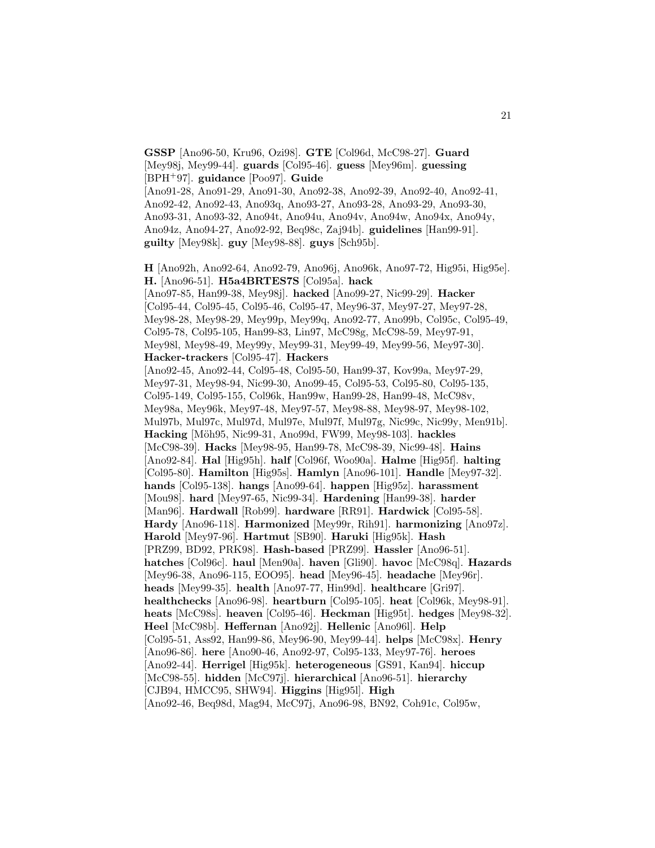[Mey98j, Mey99-44]. **guards** [Col95-46]. **guess** [Mey96m]. **guessing** [BPH<sup>+</sup>97]. **guidance** [Poo97]. **Guide** [Ano91-28, Ano91-29, Ano91-30, Ano92-38, Ano92-39, Ano92-40, Ano92-41, Ano92-42, Ano92-43, Ano93q, Ano93-27, Ano93-28, Ano93-29, Ano93-30, Ano93-31, Ano93-32, Ano94t, Ano94u, Ano94v, Ano94w, Ano94x, Ano94y, Ano94z, Ano94-27, Ano92-92, Beq98c, Zaj94b]. **guidelines** [Han99-91]. **guilty** [Mey98k]. **guy** [Mey98-88]. **guys** [Sch95b]. **H** [Ano92h, Ano92-64, Ano92-79, Ano96j, Ano96k, Ano97-72, Hig95i, Hig95e]. **H.** [Ano96-51]. **H5a4BRTES7S** [Col95a]. **hack** [Ano97-85, Han99-38, Mey98j]. **hacked** [Ano99-27, Nic99-29]. **Hacker** [Col95-44, Col95-45, Col95-46, Col95-47, Mey96-37, Mey97-27, Mey97-28, Mey98-28, Mey98-29, Mey99p, Mey99q, Ano92-77, Ano99b, Col95c, Col95-49, Col95-78, Col95-105, Han99-83, Lin97, McC98g, McC98-59, Mey97-91, Mey98l, Mey98-49, Mey99y, Mey99-31, Mey99-49, Mey99-56, Mey97-30]. **Hacker-trackers** [Col95-47]. **Hackers** [Ano92-45, Ano92-44, Col95-48, Col95-50, Han99-37, Kov99a, Mey97-29, Mey97-31, Mey98-94, Nic99-30, Ano99-45, Col95-53, Col95-80, Col95-135, Col95-149, Col95-155, Col96k, Han99w, Han99-28, Han99-48, McC98v, Mey98a, Mey96k, Mey97-48, Mey97-57, Mey98-88, Mey98-97, Mey98-102, Mul97b, Mul97c, Mul97d, Mul97e, Mul97f, Mul97g, Nic99c, Nic99y, Men91b]. **Hacking** [M¨oh95, Nic99-31, Ano99d, FW99, Mey98-103]. **hackles** [McC98-39]. **Hacks** [Mey98-95, Han99-78, McC98-39, Nic99-48]. **Hains** [Ano92-84]. **Hal** [Hig95h]. **half** [Col96f, Woo90a]. **Halme** [Hig95f]. **halting** [Col95-80]. **Hamilton** [Hig95s]. **Hamlyn** [Ano96-101]. **Handle** [Mey97-32]. **hands** [Col95-138]. **hangs** [Ano99-64]. **happen** [Hig95z]. **harassment** [Mou98]. **hard** [Mey97-65, Nic99-34]. **Hardening** [Han99-38]. **harder** [Man96]. **Hardwall** [Rob99]. **hardware** [RR91]. **Hardwick** [Col95-58]. **Hardy** [Ano96-118]. **Harmonized** [Mey99r, Rih91]. **harmonizing** [Ano97z]. **Harold** [Mey97-96]. **Hartmut** [SB90]. **Haruki** [Hig95k]. **Hash** [PRZ99, BD92, PRK98]. **Hash-based** [PRZ99]. **Hassler** [Ano96-51]. **hatches** [Col96c]. **haul** [Men90a]. **haven** [Gli90]. **havoc** [McC98q]. **Hazards** [Mey96-38, Ano96-115, EOO95]. **head** [Mey96-45]. **headache** [Mey96r]. **heads** [Mey99-35]. **health** [Ano97-77, Hin99d]. **healthcare** [Gri97]. **healthchecks** [Ano96-98]. **heartburn** [Col95-105]. **heat** [Col96k, Mey98-91]. **heats** [McC98s]. **heaven** [Col95-46]. **Heckman** [Hig95t]. **hedges** [Mey98-32]. **Heel** [McC98b]. **Heffernan** [Ano92j]. **Hellenic** [Ano96l]. **Help** [Col95-51, Ass92, Han99-86, Mey96-90, Mey99-44]. **helps** [McC98x]. **Henry** [Ano96-86]. **here** [Ano90-46, Ano92-97, Col95-133, Mey97-76]. **heroes** [Ano92-44]. **Herrigel** [Hig95k]. **heterogeneous** [GS91, Kan94]. **hiccup** [McC98-55]. **hidden** [McC97j]. **hierarchical** [Ano96-51]. **hierarchy** [CJB94, HMCC95, SHW94]. **Higgins** [Hig95l]. **High** [Ano92-46, Beq98d, Mag94, McC97j, Ano96-98, BN92, Coh91c, Col95w,

**GSSP** [Ano96-50, Kru96, Ozi98]. **GTE** [Col96d, McC98-27]. **Guard**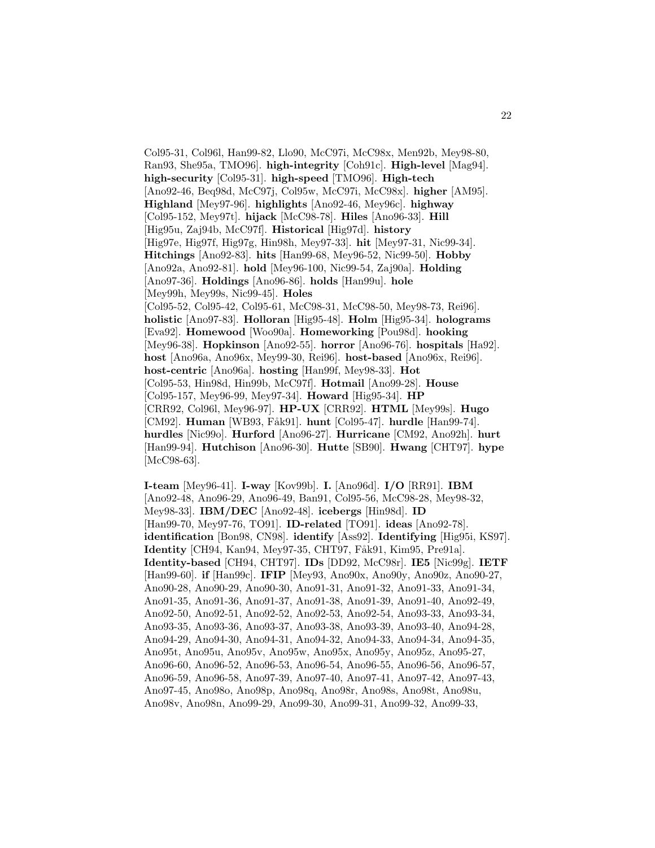Col95-31, Col96l, Han99-82, Llo90, McC97i, McC98x, Men92b, Mey98-80, Ran93, She95a, TMO96]. **high-integrity** [Coh91c]. **High-level** [Mag94]. **high-security** [Col95-31]. **high-speed** [TMO96]. **High-tech** [Ano92-46, Beq98d, McC97j, Col95w, McC97i, McC98x]. **higher** [AM95]. **Highland** [Mey97-96]. **highlights** [Ano92-46, Mey96c]. **highway** [Col95-152, Mey97t]. **hijack** [McC98-78]. **Hiles** [Ano96-33]. **Hill** [Hig95u, Zaj94b, McC97f]. **Historical** [Hig97d]. **history** [Hig97e, Hig97f, Hig97g, Hin98h, Mey97-33]. **hit** [Mey97-31, Nic99-34]. **Hitchings** [Ano92-83]. **hits** [Han99-68, Mey96-52, Nic99-50]. **Hobby** [Ano92a, Ano92-81]. **hold** [Mey96-100, Nic99-54, Zaj90a]. **Holding** [Ano97-36]. **Holdings** [Ano96-86]. **holds** [Han99u]. **hole** [Mey99h, Mey99s, Nic99-45]. **Holes** [Col95-52, Col95-42, Col95-61, McC98-31, McC98-50, Mey98-73, Rei96]. **holistic** [Ano97-83]. **Holloran** [Hig95-48]. **Holm** [Hig95-34]. **holograms** [Eva92]. **Homewood** [Woo90a]. **Homeworking** [Pou98d]. **hooking** [Mey96-38]. **Hopkinson** [Ano92-55]. **horror** [Ano96-76]. **hospitals** [Ha92]. **host** [Ano96a, Ano96x, Mey99-30, Rei96]. **host-based** [Ano96x, Rei96]. **host-centric** [Ano96a]. **hosting** [Han99f, Mey98-33]. **Hot** [Col95-53, Hin98d, Hin99b, McC97f]. **Hotmail** [Ano99-28]. **House** [Col95-157, Mey96-99, Mey97-34]. **Howard** [Hig95-34]. **HP** [CRR92, Col96l, Mey96-97]. **HP-UX** [CRR92]. **HTML** [Mey99s]. **Hugo** [CM92]. **Human** [WB93, F˚ak91]. **hunt** [Col95-47]. **hurdle** [Han99-74]. **hurdles** [Nic99o]. **Hurford** [Ano96-27]. **Hurricane** [CM92, Ano92h]. **hurt** [Han99-94]. **Hutchison** [Ano96-30]. **Hutte** [SB90]. **Hwang** [CHT97]. **hype** [McC98-63].

**I-team** [Mey96-41]. **I-way** [Kov99b]. **I.** [Ano96d]. **I/O** [RR91]. **IBM** [Ano92-48, Ano96-29, Ano96-49, Ban91, Col95-56, McC98-28, Mey98-32, Mey98-33]. **IBM/DEC** [Ano92-48]. **icebergs** [Hin98d]. **ID** [Han99-70, Mey97-76, TO91]. **ID-related** [TO91]. **ideas** [Ano92-78]. **identification** [Bon98, CN98]. **identify** [Ass92]. **Identifying** [Hig95i, KS97]. **Identity** [CH94, Kan94, Mey97-35, CHT97, Fåk91, Kim95, Pre91a]. **Identity-based** [CH94, CHT97]. **IDs** [DD92, McC98r]. **IE5** [Nic99g]. **IETF** [Han99-60]. **if** [Han99c]. **IFIP** [Mey93, Ano90x, Ano90y, Ano90z, Ano90-27, Ano90-28, Ano90-29, Ano90-30, Ano91-31, Ano91-32, Ano91-33, Ano91-34, Ano91-35, Ano91-36, Ano91-37, Ano91-38, Ano91-39, Ano91-40, Ano92-49, Ano92-50, Ano92-51, Ano92-52, Ano92-53, Ano92-54, Ano93-33, Ano93-34, Ano93-35, Ano93-36, Ano93-37, Ano93-38, Ano93-39, Ano93-40, Ano94-28, Ano94-29, Ano94-30, Ano94-31, Ano94-32, Ano94-33, Ano94-34, Ano94-35, Ano95t, Ano95u, Ano95v, Ano95w, Ano95x, Ano95y, Ano95z, Ano95-27, Ano96-60, Ano96-52, Ano96-53, Ano96-54, Ano96-55, Ano96-56, Ano96-57, Ano96-59, Ano96-58, Ano97-39, Ano97-40, Ano97-41, Ano97-42, Ano97-43, Ano97-45, Ano98o, Ano98p, Ano98q, Ano98r, Ano98s, Ano98t, Ano98u, Ano98v, Ano98n, Ano99-29, Ano99-30, Ano99-31, Ano99-32, Ano99-33,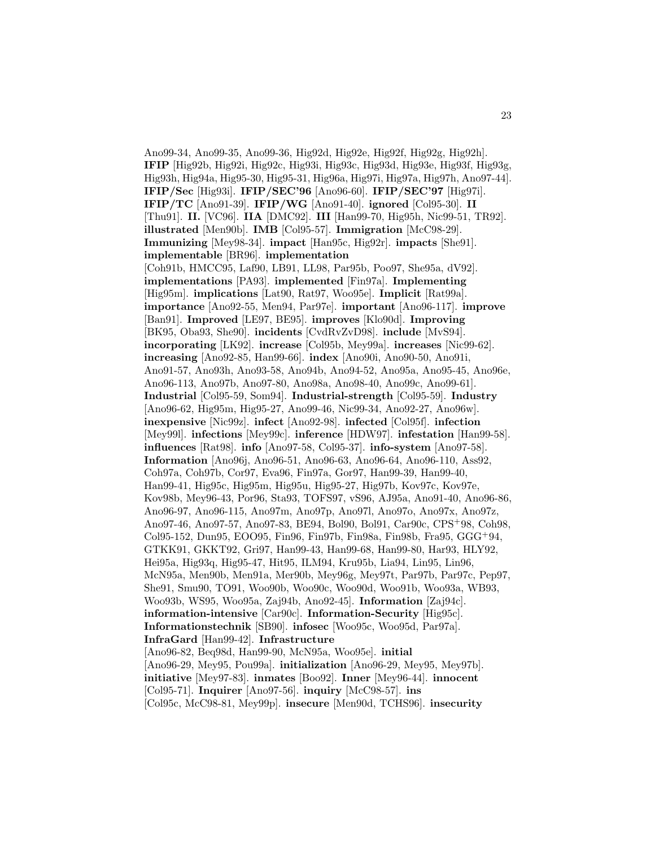Ano99-34, Ano99-35, Ano99-36, Hig92d, Hig92e, Hig92f, Hig92g, Hig92h]. **IFIP** [Hig92b, Hig92i, Hig92c, Hig93i, Hig93c, Hig93d, Hig93e, Hig93f, Hig93g, Hig93h, Hig94a, Hig95-30, Hig95-31, Hig96a, Hig97i, Hig97a, Hig97h, Ano97-44]. **IFIP/Sec** [Hig93i]. **IFIP/SEC'96** [Ano96-60]. **IFIP/SEC'97** [Hig97i]. **IFIP/TC** [Ano91-39]. **IFIP/WG** [Ano91-40]. **ignored** [Col95-30]. **II** [Thu91]. **II.** [VC96]. **IIA** [DMC92]. **III** [Han99-70, Hig95h, Nic99-51, TR92]. **illustrated** [Men90b]. **IMB** [Col95-57]. **Immigration** [McC98-29]. **Immunizing** [Mey98-34]. **impact** [Han95c, Hig92r]. **impacts** [She91]. **implementable** [BR96]. **implementation** [Coh91b, HMCC95, Laf90, LB91, LL98, Par95b, Poo97, She95a, dV92]. **implementations** [PA93]. **implemented** [Fin97a]. **Implementing** [Hig95m]. **implications** [Lat90, Rat97, Woo95e]. **Implicit** [Rat99a]. **importance** [Ano92-55, Men94, Par97e]. **important** [Ano96-117]. **improve** [Ban91]. **Improved** [LE97, BE95]. **improves** [Klo90d]. **Improving** [BK95, Oba93, She90]. **incidents** [CvdRvZvD98]. **include** [MvS94]. **incorporating** [LK92]. **increase** [Col95b, Mey99a]. **increases** [Nic99-62]. **increasing** [Ano92-85, Han99-66]. **index** [Ano90i, Ano90-50, Ano91i, Ano91-57, Ano93h, Ano93-58, Ano94b, Ano94-52, Ano95a, Ano95-45, Ano96e, Ano96-113, Ano97b, Ano97-80, Ano98a, Ano98-40, Ano99c, Ano99-61]. **Industrial** [Col95-59, Som94]. **Industrial-strength** [Col95-59]. **Industry** [Ano96-62, Hig95m, Hig95-27, Ano99-46, Nic99-34, Ano92-27, Ano96w]. **inexpensive** [Nic99z]. **infect** [Ano92-98]. **infected** [Col95f]. **infection** [Mey99l]. **infections** [Mey99c]. **inference** [HDW97]. **infestation** [Han99-58]. **influences** [Rat98]. **info** [Ano97-58, Col95-37]. **info-system** [Ano97-58]. **Information** [Ano96j, Ano96-51, Ano96-63, Ano96-64, Ano96-110, Ass92, Coh97a, Coh97b, Cor97, Eva96, Fin97a, Gor97, Han99-39, Han99-40, Han99-41, Hig95c, Hig95m, Hig95u, Hig95-27, Hig97b, Kov97c, Kov97e, Kov98b, Mey96-43, Por96, Sta93, TOFS97, vS96, AJ95a, Ano91-40, Ano96-86, Ano96-97, Ano96-115, Ano97m, Ano97p, Ano97l, Ano97o, Ano97x, Ano97z, Ano97-46, Ano97-57, Ano97-83, BE94, Bol90, Bol91, Car90c, CPS<sup>+</sup>98, Coh98, Col95-152, Dun95, EOO95, Fin96, Fin97b, Fin98a, Fin98b, Fra95, GGG<sup>+</sup>94, GTKK91, GKKT92, Gri97, Han99-43, Han99-68, Han99-80, Har93, HLY92, Hei95a, Hig93q, Hig95-47, Hit95, ILM94, Kru95b, Lia94, Lin95, Lin96, McN95a, Men90b, Men91a, Mer90b, Mey96g, Mey97t, Par97b, Par97c, Pep97, She91, Smu90, TO91, Woo90b, Woo90c, Woo90d, Woo91b, Woo93a, WB93, Woo93b, WS95, Woo95a, Zaj94b, Ano92-45]. **Information** [Zaj94c]. **information-intensive** [Car90c]. **Information-Security** [Hig95c]. **Informationstechnik** [SB90]. **infosec** [Woo95c, Woo95d, Par97a]. **InfraGard** [Han99-42]. **Infrastructure** [Ano96-82, Beq98d, Han99-90, McN95a, Woo95e]. **initial** [Ano96-29, Mey95, Pou99a]. **initialization** [Ano96-29, Mey95, Mey97b]. **initiative** [Mey97-83]. **inmates** [Boo92]. **Inner** [Mey96-44]. **innocent** [Col95-71]. **Inquirer** [Ano97-56]. **inquiry** [McC98-57]. **ins** [Col95c, McC98-81, Mey99p]. **insecure** [Men90d, TCHS96]. **insecurity**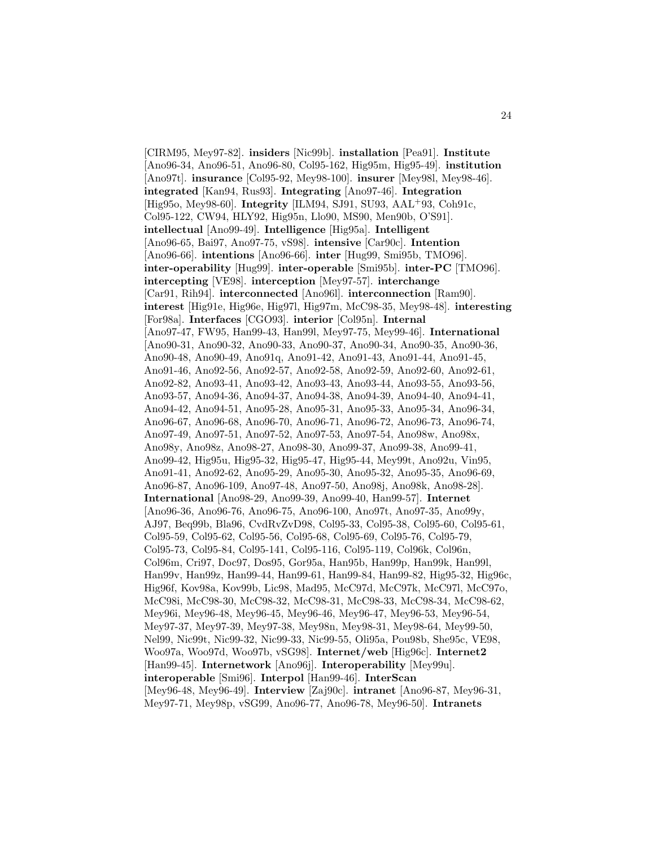[CIRM95, Mey97-82]. **insiders** [Nic99b]. **installation** [Pea91]. **Institute** [Ano96-34, Ano96-51, Ano96-80, Col95-162, Hig95m, Hig95-49]. **institution** [Ano97t]. **insurance** [Col95-92, Mey98-100]. **insurer** [Mey98l, Mey98-46]. **integrated** [Kan94, Rus93]. **Integrating** [Ano97-46]. **Integration** [Hig95o, Mey98-60]. **Integrity** [ILM94, SJ91, SU93, AAL<sup>+</sup>93, Coh91c, Col95-122, CW94, HLY92, Hig95n, Llo90, MS90, Men90b, O'S91]. **intellectual** [Ano99-49]. **Intelligence** [Hig95a]. **Intelligent** [Ano96-65, Bai97, Ano97-75, vS98]. **intensive** [Car90c]. **Intention** [Ano96-66]. **intentions** [Ano96-66]. **inter** [Hug99, Smi95b, TMO96]. **inter-operability** [Hug99]. **inter-operable** [Smi95b]. **inter-PC** [TMO96]. **intercepting** [VE98]. **interception** [Mey97-57]. **interchange** [Car91, Rih94]. **interconnected** [Ano96l]. **interconnection** [Ram90]. **interest** [Hig91e, Hig96e, Hig97l, Hig97m, McC98-35, Mey98-48]. **interesting** [For98a]. **Interfaces** [CGO93]. **interior** [Col95n]. **Internal** [Ano97-47, FW95, Han99-43, Han99l, Mey97-75, Mey99-46]. **International** [Ano90-31, Ano90-32, Ano90-33, Ano90-37, Ano90-34, Ano90-35, Ano90-36, Ano90-48, Ano90-49, Ano91q, Ano91-42, Ano91-43, Ano91-44, Ano91-45, Ano91-46, Ano92-56, Ano92-57, Ano92-58, Ano92-59, Ano92-60, Ano92-61, Ano92-82, Ano93-41, Ano93-42, Ano93-43, Ano93-44, Ano93-55, Ano93-56, Ano93-57, Ano94-36, Ano94-37, Ano94-38, Ano94-39, Ano94-40, Ano94-41, Ano94-42, Ano94-51, Ano95-28, Ano95-31, Ano95-33, Ano95-34, Ano96-34, Ano96-67, Ano96-68, Ano96-70, Ano96-71, Ano96-72, Ano96-73, Ano96-74, Ano97-49, Ano97-51, Ano97-52, Ano97-53, Ano97-54, Ano98w, Ano98x, Ano98y, Ano98z, Ano98-27, Ano98-30, Ano99-37, Ano99-38, Ano99-41, Ano99-42, Hig95u, Hig95-32, Hig95-47, Hig95-44, Mey99t, Ano92u, Vin95, Ano91-41, Ano92-62, Ano95-29, Ano95-30, Ano95-32, Ano95-35, Ano96-69, Ano96-87, Ano96-109, Ano97-48, Ano97-50, Ano98j, Ano98k, Ano98-28]. **International** [Ano98-29, Ano99-39, Ano99-40, Han99-57]. **Internet** [Ano96-36, Ano96-76, Ano96-75, Ano96-100, Ano97t, Ano97-35, Ano99y, AJ97, Beq99b, Bla96, CvdRvZvD98, Col95-33, Col95-38, Col95-60, Col95-61, Col95-59, Col95-62, Col95-56, Col95-68, Col95-69, Col95-76, Col95-79, Col95-73, Col95-84, Col95-141, Col95-116, Col95-119, Col96k, Col96n, Col96m, Cri97, Doc97, Dos95, Gor95a, Han95b, Han99p, Han99k, Han99l, Han99v, Han99z, Han99-44, Han99-61, Han99-84, Han99-82, Hig95-32, Hig96c, Hig96f, Kov98a, Kov99b, Lic98, Mad95, McC97d, McC97k, McC97l, McC97o, McC98i, McC98-30, McC98-32, McC98-31, McC98-33, McC98-34, McC98-62, Mey96i, Mey96-48, Mey96-45, Mey96-46, Mey96-47, Mey96-53, Mey96-54, Mey97-37, Mey97-39, Mey97-38, Mey98n, Mey98-31, Mey98-64, Mey99-50, Nel99, Nic99t, Nic99-32, Nic99-33, Nic99-55, Oli95a, Pou98b, She95c, VE98, Woo97a, Woo97d, Woo97b, vSG98]. **Internet/web** [Hig96c]. **Internet2** [Han99-45]. **Internetwork** [Ano96j]. **Interoperability** [Mey99u]. **interoperable** [Smi96]. **Interpol** [Han99-46]. **InterScan** [Mey96-48, Mey96-49]. **Interview** [Zaj90c]. **intranet** [Ano96-87, Mey96-31, Mey97-71, Mey98p, vSG99, Ano96-77, Ano96-78, Mey96-50]. **Intranets**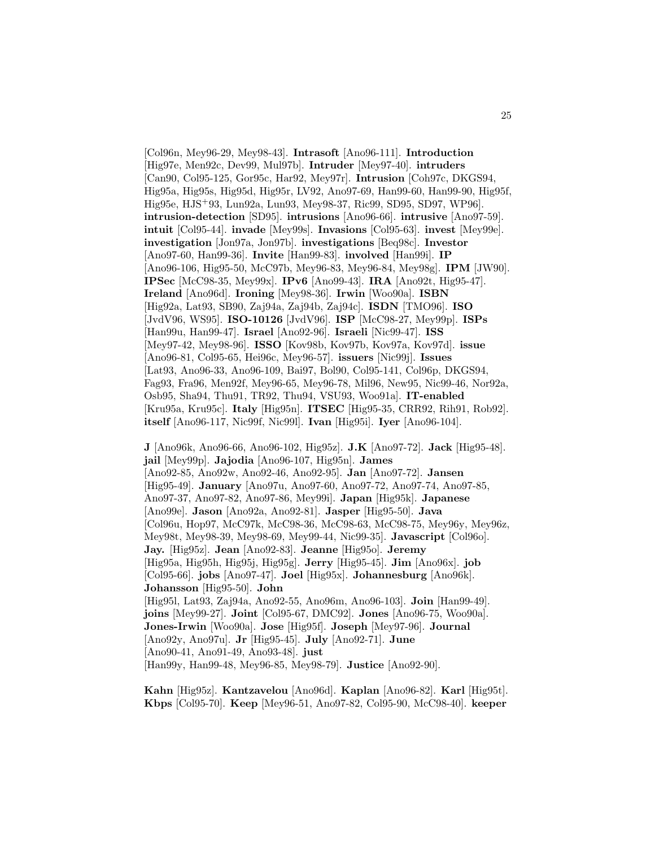[Col96n, Mey96-29, Mey98-43]. **Intrasoft** [Ano96-111]. **Introduction** [Hig97e, Men92c, Dev99, Mul97b]. **Intruder** [Mey97-40]. **intruders** [Can90, Col95-125, Gor95c, Har92, Mey97r]. **Intrusion** [Coh97c, DKGS94, Hig95a, Hig95s, Hig95d, Hig95r, LV92, Ano97-69, Han99-60, Han99-90, Hig95f, Hig95e, HJS<sup>+</sup>93, Lun92a, Lun93, Mey98-37, Ric99, SD95, SD97, WP96]. **intrusion-detection** [SD95]. **intrusions** [Ano96-66]. **intrusive** [Ano97-59]. **intuit** [Col95-44]. **invade** [Mey99s]. **Invasions** [Col95-63]. **invest** [Mey99e]. **investigation** [Jon97a, Jon97b]. **investigations** [Beq98c]. **Investor** [Ano97-60, Han99-36]. **Invite** [Han99-83]. **involved** [Han99i]. **IP** [Ano96-106, Hig95-50, McC97b, Mey96-83, Mey96-84, Mey98g]. **IPM** [JW90]. **IPSec** [McC98-35, Mey99x]. **IPv6** [Ano99-43]. **IRA** [Ano92t, Hig95-47]. **Ireland** [Ano96d]. **Ironing** [Mey98-36]. **Irwin** [Woo90a]. **ISBN** [Hig92a, Lat93, SB90, Zaj94a, Zaj94b, Zaj94c]. **ISDN** [TMO96]. **ISO** [JvdV96, WS95]. **ISO-10126** [JvdV96]. **ISP** [McC98-27, Mey99p]. **ISPs** [Han99u, Han99-47]. **Israel** [Ano92-96]. **Israeli** [Nic99-47]. **ISS** [Mey97-42, Mey98-96]. **ISSO** [Kov98b, Kov97b, Kov97a, Kov97d]. **issue** [Ano96-81, Col95-65, Hei96c, Mey96-57]. **issuers** [Nic99j]. **Issues** [Lat93, Ano96-33, Ano96-109, Bai97, Bol90, Col95-141, Col96p, DKGS94, Fag93, Fra96, Men92f, Mey96-65, Mey96-78, Mil96, New95, Nic99-46, Nor92a, Osb95, Sha94, Thu91, TR92, Thu94, VSU93, Woo91a]. **IT-enabled** [Kru95a, Kru95c]. **Italy** [Hig95n]. **ITSEC** [Hig95-35, CRR92, Rih91, Rob92]. **itself** [Ano96-117, Nic99f, Nic99l]. **Ivan** [Hig95i]. **Iyer** [Ano96-104].

**J** [Ano96k, Ano96-66, Ano96-102, Hig95z]. **J.K** [Ano97-72]. **Jack** [Hig95-48]. **jail** [Mey99p]. **Jajodia** [Ano96-107, Hig95n]. **James** [Ano92-85, Ano92w, Ano92-46, Ano92-95]. **Jan** [Ano97-72]. **Jansen** [Hig95-49]. **January** [Ano97u, Ano97-60, Ano97-72, Ano97-74, Ano97-85, Ano97-37, Ano97-82, Ano97-86, Mey99i]. **Japan** [Hig95k]. **Japanese** [Ano99e]. **Jason** [Ano92a, Ano92-81]. **Jasper** [Hig95-50]. **Java** [Col96u, Hop97, McC97k, McC98-36, McC98-63, McC98-75, Mey96y, Mey96z, Mey98t, Mey98-39, Mey98-69, Mey99-44, Nic99-35]. **Javascript** [Col96o]. **Jay.** [Hig95z]. **Jean** [Ano92-83]. **Jeanne** [Hig95o]. **Jeremy** [Hig95a, Hig95h, Hig95j, Hig95g]. **Jerry** [Hig95-45]. **Jim** [Ano96x]. **job** [Col95-66]. **jobs** [Ano97-47]. **Joel** [Hig95x]. **Johannesburg** [Ano96k]. **Johansson** [Hig95-50]. **John** [Hig95l, Lat93, Zaj94a, Ano92-55, Ano96m, Ano96-103]. **Join** [Han99-49]. **joins** [Mey99-27]. **Joint** [Col95-67, DMC92]. **Jones** [Ano96-75, Woo90a]. **Jones-Irwin** [Woo90a]. **Jose** [Hig95f]. **Joseph** [Mey97-96]. **Journal** [Ano92y, Ano97u]. **Jr** [Hig95-45]. **July** [Ano92-71]. **June** [Ano90-41, Ano91-49, Ano93-48]. **just** [Han99y, Han99-48, Mey96-85, Mey98-79]. **Justice** [Ano92-90].

**Kahn** [Hig95z]. **Kantzavelou** [Ano96d]. **Kaplan** [Ano96-82]. **Karl** [Hig95t]. **Kbps** [Col95-70]. **Keep** [Mey96-51, Ano97-82, Col95-90, McC98-40]. **keeper**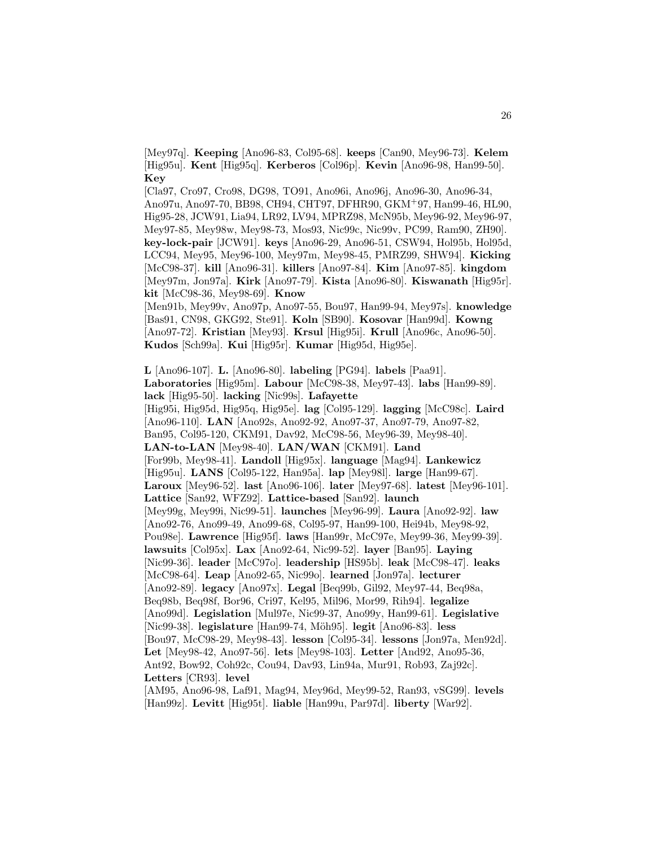[Mey97q]. **Keeping** [Ano96-83, Col95-68]. **keeps** [Can90, Mey96-73]. **Kelem** [Hig95u]. **Kent** [Hig95q]. **Kerberos** [Col96p]. **Kevin** [Ano96-98, Han99-50]. **Key**

[Cla97, Cro97, Cro98, DG98, TO91, Ano96i, Ano96j, Ano96-30, Ano96-34, Ano97u, Ano97-70, BB98, CH94, CHT97, DFHR90, GKM<sup>+</sup>97, Han99-46, HL90, Hig95-28, JCW91, Lia94, LR92, LV94, MPRZ98, McN95b, Mey96-92, Mey96-97, Mey97-85, Mey98w, Mey98-73, Mos93, Nic99c, Nic99v, PC99, Ram90, ZH90]. **key-lock-pair** [JCW91]. **keys** [Ano96-29, Ano96-51, CSW94, Hol95b, Hol95d, LCC94, Mey95, Mey96-100, Mey97m, Mey98-45, PMRZ99, SHW94]. **Kicking** [McC98-37]. **kill** [Ano96-31]. **killers** [Ano97-84]. **Kim** [Ano97-85]. **kingdom** [Mey97m, Jon97a]. **Kirk** [Ano97-79]. **Kista** [Ano96-80]. **Kiswanath** [Hig95r]. **kit** [McC98-36, Mey98-69]. **Know**

[Men91b, Mey99v, Ano97p, Ano97-55, Bou97, Han99-94, Mey97s]. **knowledge** [Bas91, CN98, GKG92, Ste91]. **Koln** [SB90]. **Kosovar** [Han99d]. **Kowng** [Ano97-72]. **Kristian** [Mey93]. **Krsul** [Hig95i]. **Krull** [Ano96c, Ano96-50]. **Kudos** [Sch99a]. **Kui** [Hig95r]. **Kumar** [Hig95d, Hig95e].

**L** [Ano96-107]. **L.** [Ano96-80]. **labeling** [PG94]. **labels** [Paa91]. **Laboratories** [Hig95m]. **Labour** [McC98-38, Mey97-43]. **labs** [Han99-89]. **lack** [Hig95-50]. **lacking** [Nic99s]. **Lafayette** [Hig95i, Hig95d, Hig95q, Hig95e]. **lag** [Col95-129]. **lagging** [McC98c]. **Laird** [Ano96-110]. **LAN** [Ano92s, Ano92-92, Ano97-37, Ano97-79, Ano97-82, Ban95, Col95-120, CKM91, Dav92, McC98-56, Mey96-39, Mey98-40]. **LAN-to-LAN** [Mey98-40]. **LAN/WAN** [CKM91]. **Land** [For99b, Mey98-41]. **Landoll** [Hig95x]. **language** [Mag94]. **Lankewicz** [Hig95u]. **LANS** [Col95-122, Han95a]. **lap** [Mey98l]. **large** [Han99-67]. **Laroux** [Mey96-52]. **last** [Ano96-106]. **later** [Mey97-68]. **latest** [Mey96-101]. **Lattice** [San92, WFZ92]. **Lattice-based** [San92]. **launch** [Mey99g, Mey99i, Nic99-51]. **launches** [Mey96-99]. **Laura** [Ano92-92]. **law** [Ano92-76, Ano99-49, Ano99-68, Col95-97, Han99-100, Hei94b, Mey98-92, Pou98e]. **Lawrence** [Hig95f]. **laws** [Han99r, McC97e, Mey99-36, Mey99-39]. **lawsuits** [Col95x]. **Lax** [Ano92-64, Nic99-52]. **layer** [Ban95]. **Laying** [Nic99-36]. **leader** [McC97o]. **leadership** [HS95b]. **leak** [McC98-47]. **leaks** [McC98-64]. **Leap** [Ano92-65, Nic99o]. **learned** [Jon97a]. **lecturer** [Ano92-89]. **legacy** [Ano97x]. **Legal** [Beq99b, Gil92, Mey97-44, Beq98a, Beq98b, Beq98f, Bor96, Cri97, Kel95, Mil96, Mor99, Rih94]. **legalize** [Ano99d]. **Legislation** [Mul97e, Nic99-37, Ano99y, Han99-61]. **Legislative** [Nic99-38]. **legislature** [Han99-74, M¨oh95]. **legit** [Ano96-83]. **less** [Bou97, McC98-29, Mey98-43]. **lesson** [Col95-34]. **lessons** [Jon97a, Men92d]. **Let** [Mey98-42, Ano97-56]. **lets** [Mey98-103]. **Letter** [And92, Ano95-36, Ant92, Bow92, Coh92c, Cou94, Dav93, Lin94a, Mur91, Rob93, Zaj92c]. **Letters** [CR93]. **level** [AM95, Ano96-98, Laf91, Mag94, Mey96d, Mey99-52, Ran93, vSG99]. **levels**

[Han99z]. **Levitt** [Hig95t]. **liable** [Han99u, Par97d]. **liberty** [War92].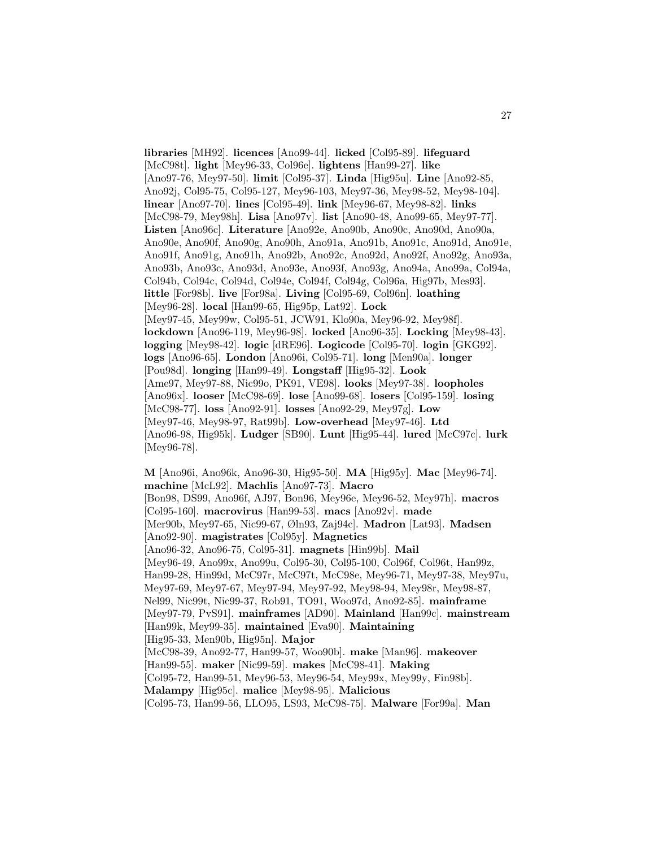**libraries** [MH92]. **licences** [Ano99-44]. **licked** [Col95-89]. **lifeguard** [McC98t]. **light** [Mey96-33, Col96e]. **lightens** [Han99-27]. **like** [Ano97-76, Mey97-50]. **limit** [Col95-37]. **Linda** [Hig95u]. **Line** [Ano92-85, Ano92j, Col95-75, Col95-127, Mey96-103, Mey97-36, Mey98-52, Mey98-104]. **linear** [Ano97-70]. **lines** [Col95-49]. **link** [Mey96-67, Mey98-82]. **links** [McC98-79, Mey98h]. **Lisa** [Ano97v]. **list** [Ano90-48, Ano99-65, Mey97-77]. **Listen** [Ano96c]. **Literature** [Ano92e, Ano90b, Ano90c, Ano90d, Ano90a, Ano90e, Ano90f, Ano90g, Ano90h, Ano91a, Ano91b, Ano91c, Ano91d, Ano91e, Ano91f, Ano91g, Ano91h, Ano92b, Ano92c, Ano92d, Ano92f, Ano92g, Ano93a, Ano93b, Ano93c, Ano93d, Ano93e, Ano93f, Ano93g, Ano94a, Ano99a, Col94a, Col94b, Col94c, Col94d, Col94e, Col94f, Col94g, Col96a, Hig97b, Mes93]. **little** [For98b]. **live** [For98a]. **Living** [Col95-69, Col96n]. **loathing** [Mey96-28]. **local** [Han99-65, Hig95p, Lat92]. **Lock** [Mey97-45, Mey99w, Col95-51, JCW91, Klo90a, Mey96-92, Mey98f]. **lockdown** [Ano96-119, Mey96-98]. **locked** [Ano96-35]. **Locking** [Mey98-43]. **logging** [Mey98-42]. **logic** [dRE96]. **Logicode** [Col95-70]. **login** [GKG92]. **logs** [Ano96-65]. **London** [Ano96i, Col95-71]. **long** [Men90a]. **longer** [Pou98d]. **longing** [Han99-49]. **Longstaff** [Hig95-32]. **Look** [Ame97, Mey97-88, Nic99o, PK91, VE98]. **looks** [Mey97-38]. **loopholes** [Ano96x]. **looser** [McC98-69]. **lose** [Ano99-68]. **losers** [Col95-159]. **losing** [McC98-77]. **loss** [Ano92-91]. **losses** [Ano92-29, Mey97g]. **Low** [Mey97-46, Mey98-97, Rat99b]. **Low-overhead** [Mey97-46]. **Ltd** [Ano96-98, Hig95k]. **Ludger** [SB90]. **Lunt** [Hig95-44]. **lured** [McC97c]. **lurk** [Mey96-78].

**M** [Ano96i, Ano96k, Ano96-30, Hig95-50]. **MA** [Hig95y]. **Mac** [Mey96-74]. **machine** [McL92]. **Machlis** [Ano97-73]. **Macro** [Bon98, DS99, Ano96f, AJ97, Bon96, Mey96e, Mey96-52, Mey97h]. **macros** [Col95-160]. **macrovirus** [Han99-53]. **macs** [Ano92v]. **made** [Mer90b, Mey97-65, Nic99-67, Øln93, Zaj94c]. **Madron** [Lat93]. **Madsen** [Ano92-90]. **magistrates** [Col95y]. **Magnetics** [Ano96-32, Ano96-75, Col95-31]. **magnets** [Hin99b]. **Mail** [Mey96-49, Ano99x, Ano99u, Col95-30, Col95-100, Col96f, Col96t, Han99z, Han99-28, Hin99d, McC97r, McC97t, McC98e, Mey96-71, Mey97-38, Mey97u, Mey97-69, Mey97-67, Mey97-94, Mey97-92, Mey98-94, Mey98r, Mey98-87, Nel99, Nic99t, Nic99-37, Rob91, TO91, Woo97d, Ano92-85]. **mainframe** [Mey97-79, PvS91]. **mainframes** [AD90]. **Mainland** [Han99c]. **mainstream** [Han99k, Mey99-35]. **maintained** [Eva90]. **Maintaining** [Hig95-33, Men90b, Hig95n]. **Major** [McC98-39, Ano92-77, Han99-57, Woo90b]. **make** [Man96]. **makeover** [Han99-55]. **maker** [Nic99-59]. **makes** [McC98-41]. **Making** [Col95-72, Han99-51, Mey96-53, Mey96-54, Mey99x, Mey99y, Fin98b]. **Malampy** [Hig95c]. **malice** [Mey98-95]. **Malicious**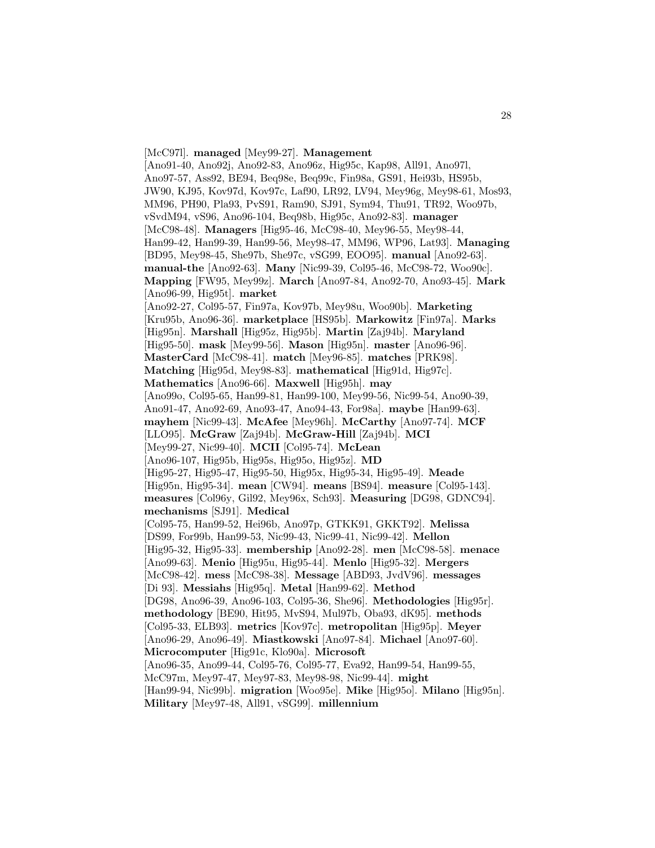[McC97l]. **managed** [Mey99-27]. **Management** [Ano91-40, Ano92j, Ano92-83, Ano96z, Hig95c, Kap98, All91, Ano97l, Ano97-57, Ass92, BE94, Beq98e, Beq99c, Fin98a, GS91, Hei93b, HS95b, JW90, KJ95, Kov97d, Kov97c, Laf90, LR92, LV94, Mey96g, Mey98-61, Mos93, MM96, PH90, Pla93, PvS91, Ram90, SJ91, Sym94, Thu91, TR92, Woo97b, vSvdM94, vS96, Ano96-104, Beq98b, Hig95c, Ano92-83]. **manager** [McC98-48]. **Managers** [Hig95-46, McC98-40, Mey96-55, Mey98-44, Han99-42, Han99-39, Han99-56, Mey98-47, MM96, WP96, Lat93]. **Managing** [BD95, Mey98-45, She97b, She97c, vSG99, EOO95]. **manual** [Ano92-63]. **manual-the** [Ano92-63]. **Many** [Nic99-39, Col95-46, McC98-72, Woo90c]. **Mapping** [FW95, Mey99z]. **March** [Ano97-84, Ano92-70, Ano93-45]. **Mark** [Ano96-99, Hig95t]. **market** [Ano92-27, Col95-57, Fin97a, Kov97b, Mey98u, Woo90b]. **Marketing** [Kru95b, Ano96-36]. **marketplace** [HS95b]. **Markowitz** [Fin97a]. **Marks** [Hig95n]. **Marshall** [Hig95z, Hig95b]. **Martin** [Zaj94b]. **Maryland** [Hig95-50]. **mask** [Mey99-56]. **Mason** [Hig95n]. **master** [Ano96-96]. **MasterCard** [McC98-41]. **match** [Mey96-85]. **matches** [PRK98]. **Matching** [Hig95d, Mey98-83]. **mathematical** [Hig91d, Hig97c]. **Mathematics** [Ano96-66]. **Maxwell** [Hig95h]. **may** [Ano99o, Col95-65, Han99-81, Han99-100, Mey99-56, Nic99-54, Ano90-39, Ano91-47, Ano92-69, Ano93-47, Ano94-43, For98a]. **maybe** [Han99-63]. **mayhem** [Nic99-43]. **McAfee** [Mey96h]. **McCarthy** [Ano97-74]. **MCF** [LLO95]. **McGraw** [Zaj94b]. **McGraw-Hill** [Zaj94b]. **MCI** [Mey99-27, Nic99-40]. **MCII** [Col95-74]. **McLean** [Ano96-107, Hig95b, Hig95s, Hig95o, Hig95z]. **MD** [Hig95-27, Hig95-47, Hig95-50, Hig95x, Hig95-34, Hig95-49]. **Meade** [Hig95n, Hig95-34]. **mean** [CW94]. **means** [BS94]. **measure** [Col95-143]. **measures** [Col96y, Gil92, Mey96x, Sch93]. **Measuring** [DG98, GDNC94]. **mechanisms** [SJ91]. **Medical** [Col95-75, Han99-52, Hei96b, Ano97p, GTKK91, GKKT92]. **Melissa** [DS99, For99b, Han99-53, Nic99-43, Nic99-41, Nic99-42]. **Mellon** [Hig95-32, Hig95-33]. **membership** [Ano92-28]. **men** [McC98-58]. **menace** [Ano99-63]. **Menio** [Hig95u, Hig95-44]. **Menlo** [Hig95-32]. **Mergers** [McC98-42]. **mess** [McC98-38]. **Message** [ABD93, JvdV96]. **messages** [Di 93]. **Messiahs** [Hig95q]. **Metal** [Han99-62]. **Method** [DG98, Ano96-39, Ano96-103, Col95-36, She96]. **Methodologies** [Hig95r]. **methodology** [BE90, Hit95, MvS94, Mul97b, Oba93, dK95]. **methods** [Col95-33, ELB93]. **metrics** [Kov97c]. **metropolitan** [Hig95p]. **Meyer** [Ano96-29, Ano96-49]. **Miastkowski** [Ano97-84]. **Michael** [Ano97-60]. **Microcomputer** [Hig91c, Klo90a]. **Microsoft** [Ano96-35, Ano99-44, Col95-76, Col95-77, Eva92, Han99-54, Han99-55, McC97m, Mey97-47, Mey97-83, Mey98-98, Nic99-44]. **might** [Han99-94, Nic99b]. **migration** [Woo95e]. **Mike** [Hig95o]. **Milano** [Hig95n]. **Military** [Mey97-48, All91, vSG99]. **millennium**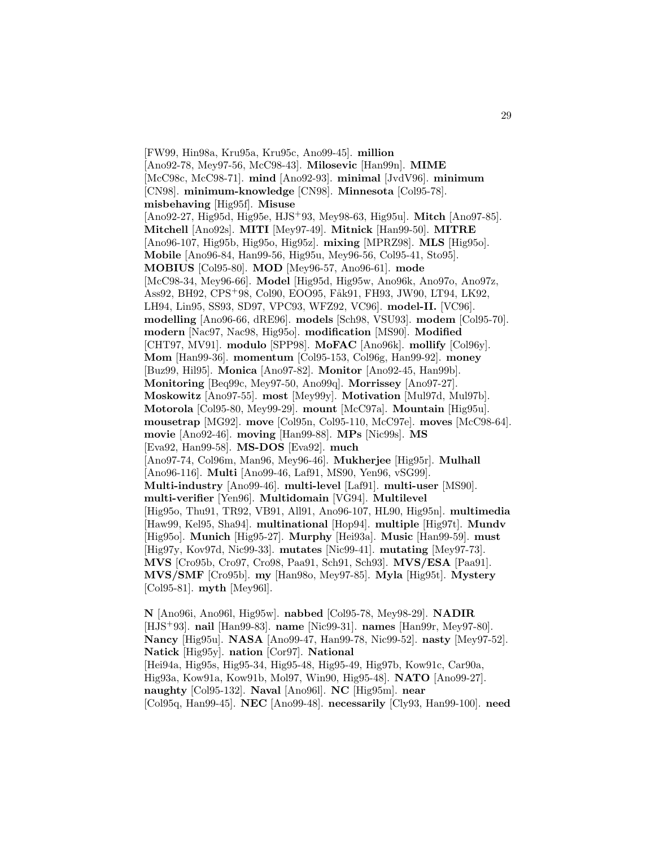[FW99, Hin98a, Kru95a, Kru95c, Ano99-45]. **million** [Ano92-78, Mey97-56, McC98-43]. **Milosevic** [Han99n]. **MIME** [McC98c, McC98-71]. **mind** [Ano92-93]. **minimal** [JvdV96]. **minimum** [CN98]. **minimum-knowledge** [CN98]. **Minnesota** [Col95-78]. **misbehaving** [Hig95f]. **Misuse** [Ano92-27, Hig95d, Hig95e, HJS<sup>+</sup>93, Mey98-63, Hig95u]. **Mitch** [Ano97-85]. **Mitchell** [Ano92s]. **MITI** [Mey97-49]. **Mitnick** [Han99-50]. **MITRE** [Ano96-107, Hig95b, Hig95o, Hig95z]. **mixing** [MPRZ98]. **MLS** [Hig95o]. **Mobile** [Ano96-84, Han99-56, Hig95u, Mey96-56, Col95-41, Sto95]. **MOBIUS** [Col95-80]. **MOD** [Mey96-57, Ano96-61]. **mode** [McC98-34, Mey96-66]. **Model** [Hig95d, Hig95w, Ano96k, Ano97o, Ano97z, Ass92, BH92, CPS+98, Col90, EOO95, Fåk91, FH93, JW90, LT94, LK92, LH94, Lin95, SS93, SD97, VPC93, WFZ92, VC96]. **model-II.** [VC96]. **modelling** [Ano96-66, dRE96]. **models** [Sch98, VSU93]. **modem** [Col95-70]. **modern** [Nac97, Nac98, Hig95o]. **modification** [MS90]. **Modified** [CHT97, MV91]. **modulo** [SPP98]. **MoFAC** [Ano96k]. **mollify** [Col96y]. **Mom** [Han99-36]. **momentum** [Col95-153, Col96g, Han99-92]. **money** [Buz99, Hil95]. **Monica** [Ano97-82]. **Monitor** [Ano92-45, Han99b]. **Monitoring** [Beq99c, Mey97-50, Ano99q]. **Morrissey** [Ano97-27]. **Moskowitz** [Ano97-55]. **most** [Mey99y]. **Motivation** [Mul97d, Mul97b]. **Motorola** [Col95-80, Mey99-29]. **mount** [McC97a]. **Mountain** [Hig95u]. **mousetrap** [MG92]. **move** [Col95n, Col95-110, McC97e]. **moves** [McC98-64]. **movie** [Ano92-46]. **moving** [Han99-88]. **MPs** [Nic99s]. **MS** [Eva92, Han99-58]. **MS-DOS** [Eva92]. **much** [Ano97-74, Col96m, Man96, Mey96-46]. **Mukherjee** [Hig95r]. **Mulhall** [Ano96-116]. **Multi** [Ano99-46, Laf91, MS90, Yen96, vSG99]. **Multi-industry** [Ano99-46]. **multi-level** [Laf91]. **multi-user** [MS90]. **multi-verifier** [Yen96]. **Multidomain** [VG94]. **Multilevel** [Hig95o, Thu91, TR92, VB91, All91, Ano96-107, HL90, Hig95n]. **multimedia** [Haw99, Kel95, Sha94]. **multinational** [Hop94]. **multiple** [Hig97t]. **Mundv** [Hig95o]. **Munich** [Hig95-27]. **Murphy** [Hei93a]. **Music** [Han99-59]. **must** [Hig97y, Kov97d, Nic99-33]. **mutates** [Nic99-41]. **mutating** [Mey97-73]. **MVS** [Cro95b, Cro97, Cro98, Paa91, Sch91, Sch93]. **MVS/ESA** [Paa91]. **MVS/SMF** [Cro95b]. **my** [Han98o, Mey97-85]. **Myla** [Hig95t]. **Mystery** [Col95-81]. **myth** [Mey96l].

**N** [Ano96i, Ano96l, Hig95w]. **nabbed** [Col95-78, Mey98-29]. **NADIR** [HJS<sup>+</sup>93]. **nail** [Han99-83]. **name** [Nic99-31]. **names** [Han99r, Mey97-80]. **Nancy** [Hig95u]. **NASA** [Ano99-47, Han99-78, Nic99-52]. **nasty** [Mey97-52]. **Natick** [Hig95y]. **nation** [Cor97]. **National** [Hei94a, Hig95s, Hig95-34, Hig95-48, Hig95-49, Hig97b, Kow91c, Car90a, Hig93a, Kow91a, Kow91b, Mol97, Win90, Hig95-48]. **NATO** [Ano99-27]. **naughty** [Col95-132]. **Naval** [Ano96l]. **NC** [Hig95m]. **near** [Col95q, Han99-45]. **NEC** [Ano99-48]. **necessarily** [Cly93, Han99-100]. **need**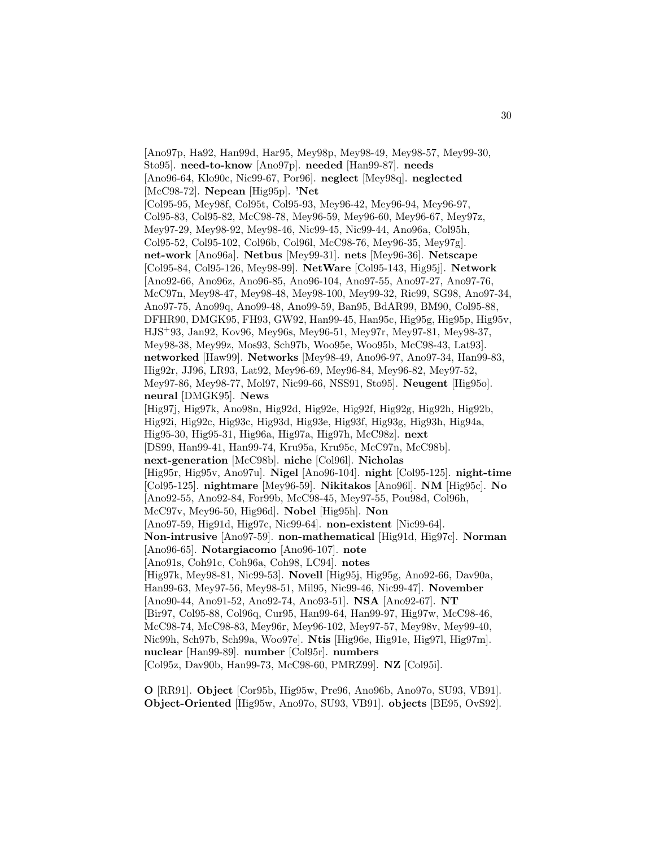[Ano97p, Ha92, Han99d, Har95, Mey98p, Mey98-49, Mey98-57, Mey99-30, Sto95]. **need-to-know** [Ano97p]. **needed** [Han99-87]. **needs** [Ano96-64, Klo90c, Nic99-67, Por96]. **neglect** [Mey98q]. **neglected** [McC98-72]. **Nepean** [Hig95p]. **'Net** [Col95-95, Mey98f, Col95t, Col95-93, Mey96-42, Mey96-94, Mey96-97, Col95-83, Col95-82, McC98-78, Mey96-59, Mey96-60, Mey96-67, Mey97z, Mey97-29, Mey98-92, Mey98-46, Nic99-45, Nic99-44, Ano96a, Col95h, Col95-52, Col95-102, Col96b, Col96l, McC98-76, Mey96-35, Mey97g]. **net-work** [Ano96a]. **Netbus** [Mey99-31]. **nets** [Mey96-36]. **Netscape** [Col95-84, Col95-126, Mey98-99]. **NetWare** [Col95-143, Hig95j]. **Network** [Ano92-66, Ano96z, Ano96-85, Ano96-104, Ano97-55, Ano97-27, Ano97-76, McC97n, Mey98-47, Mey98-48, Mey98-100, Mey99-32, Ric99, SG98, Ano97-34, Ano97-75, Ano99q, Ano99-48, Ano99-59, Ban95, BdAR99, BM90, Col95-88, DFHR90, DMGK95, FH93, GW92, Han99-45, Han95c, Hig95g, Hig95p, Hig95v, HJS<sup>+</sup>93, Jan92, Kov96, Mey96s, Mey96-51, Mey97r, Mey97-81, Mey98-37, Mey98-38, Mey99z, Mos93, Sch97b, Woo95e, Woo95b, McC98-43, Lat93]. **networked** [Haw99]. **Networks** [Mey98-49, Ano96-97, Ano97-34, Han99-83, Hig92r, JJ96, LR93, Lat92, Mey96-69, Mey96-84, Mey96-82, Mey97-52, Mey97-86, Mey98-77, Mol97, Nic99-66, NSS91, Sto95]. **Neugent** [Hig95o]. **neural** [DMGK95]. **News** [Hig97j, Hig97k, Ano98n, Hig92d, Hig92e, Hig92f, Hig92g, Hig92h, Hig92b, Hig92i, Hig92c, Hig93c, Hig93d, Hig93e, Hig93f, Hig93g, Hig93h, Hig94a, Hig95-30, Hig95-31, Hig96a, Hig97a, Hig97h, McC98z]. **next** [DS99, Han99-41, Han99-74, Kru95a, Kru95c, McC97n, McC98b]. **next-generation** [McC98b]. **niche** [Col96l]. **Nicholas** [Hig95r, Hig95v, Ano97u]. **Nigel** [Ano96-104]. **night** [Col95-125]. **night-time** [Col95-125]. **nightmare** [Mey96-59]. **Nikitakos** [Ano96l]. **NM** [Hig95c]. **No** [Ano92-55, Ano92-84, For99b, McC98-45, Mey97-55, Pou98d, Col96h, McC97v, Mey96-50, Hig96d]. **Nobel** [Hig95h]. **Non** [Ano97-59, Hig91d, Hig97c, Nic99-64]. **non-existent** [Nic99-64]. **Non-intrusive** [Ano97-59]. **non-mathematical** [Hig91d, Hig97c]. **Norman** [Ano96-65]. **Notargiacomo** [Ano96-107]. **note** [Ano91s, Coh91c, Coh96a, Coh98, LC94]. **notes** [Hig97k, Mey98-81, Nic99-53]. **Novell** [Hig95j, Hig95g, Ano92-66, Dav90a, Han99-63, Mey97-56, Mey98-51, Mil95, Nic99-46, Nic99-47]. **November** [Ano90-44, Ano91-52, Ano92-74, Ano93-51]. **NSA** [Ano92-67]. **NT** [Bir97, Col95-88, Col96q, Cur95, Han99-64, Han99-97, Hig97w, McC98-46, McC98-74, McC98-83, Mey96r, Mey96-102, Mey97-57, Mey98v, Mey99-40, Nic99h, Sch97b, Sch99a, Woo97e]. **Ntis** [Hig96e, Hig91e, Hig97l, Hig97m]. **nuclear** [Han99-89]. **number** [Col95r]. **numbers** [Col95z, Dav90b, Han99-73, McC98-60, PMRZ99]. **NZ** [Col95i].

**O** [RR91]. **Object** [Cor95b, Hig95w, Pre96, Ano96b, Ano97o, SU93, VB91]. **Object-Oriented** [Hig95w, Ano97o, SU93, VB91]. **objects** [BE95, OvS92].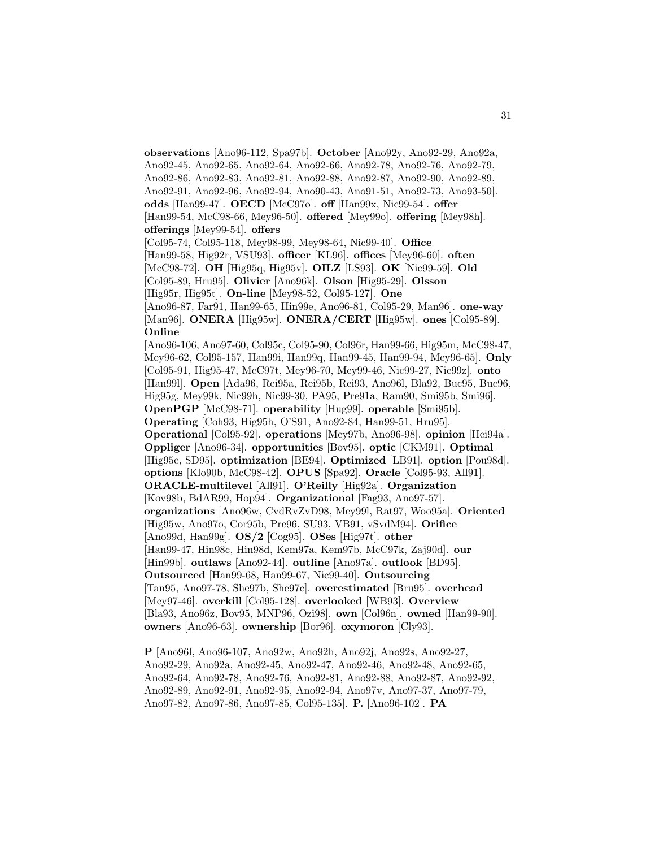**observations** [Ano96-112, Spa97b]. **October** [Ano92y, Ano92-29, Ano92a, Ano92-45, Ano92-65, Ano92-64, Ano92-66, Ano92-78, Ano92-76, Ano92-79, Ano92-86, Ano92-83, Ano92-81, Ano92-88, Ano92-87, Ano92-90, Ano92-89, Ano92-91, Ano92-96, Ano92-94, Ano90-43, Ano91-51, Ano92-73, Ano93-50]. **odds** [Han99-47]. **OECD** [McC97o]. **off** [Han99x, Nic99-54]. **offer** [Han99-54, McC98-66, Mey96-50]. **offered** [Mey99o]. **offering** [Mey98h]. **offerings** [Mey99-54]. **offers** [Col95-74, Col95-118, Mey98-99, Mey98-64, Nic99-40]. **Office** [Han99-58, Hig92r, VSU93]. **officer** [KL96]. **offices** [Mey96-60]. **often** [McC98-72]. **OH** [Hig95q, Hig95v]. **OILZ** [LS93]. **OK** [Nic99-59]. **Old** [Col95-89, Hru95]. **Olivier** [Ano96k]. **Olson** [Hig95-29]. **Olsson** [Hig95r, Hig95t]. **On-line** [Mey98-52, Col95-127]. **One** [Ano96-87, Far91, Han99-65, Hin99e, Ano96-81, Col95-29, Man96]. **one-way** [Man96]. **ONERA** [Hig95w]. **ONERA/CERT** [Hig95w]. **ones** [Col95-89]. **Online** [Ano96-106, Ano97-60, Col95c, Col95-90, Col96r, Han99-66, Hig95m, McC98-47, Mey96-62, Col95-157, Han99i, Han99q, Han99-45, Han99-94, Mey96-65]. **Only** [Col95-91, Hig95-47, McC97t, Mey96-70, Mey99-46, Nic99-27, Nic99z]. **onto** [Han99l]. **Open** [Ada96, Rei95a, Rei95b, Rei93, Ano96l, Bla92, Buc95, Buc96, Hig95g, Mey99k, Nic99h, Nic99-30, PA95, Pre91a, Ram90, Smi95b, Smi96]. **OpenPGP** [McC98-71]. **operability** [Hug99]. **operable** [Smi95b]. **Operating** [Coh93, Hig95h, O'S91, Ano92-84, Han99-51, Hru95]. **Operational** [Col95-92]. **operations** [Mey97b, Ano96-98]. **opinion** [Hei94a]. **Oppliger** [Ano96-34]. **opportunities** [Bov95]. **optic** [CKM91]. **Optimal** [Hig95c, SD95]. **optimization** [BE94]. **Optimized** [LB91]. **option** [Pou98d]. **options** [Klo90b, McC98-42]. **OPUS** [Spa92]. **Oracle** [Col95-93, All91]. **ORACLE-multilevel** [All91]. **O'Reilly** [Hig92a]. **Organization** [Kov98b, BdAR99, Hop94]. **Organizational** [Fag93, Ano97-57]. **organizations** [Ano96w, CvdRvZvD98, Mey99l, Rat97, Woo95a]. **Oriented** [Hig95w, Ano97o, Cor95b, Pre96, SU93, VB91, vSvdM94]. **Orifice** [Ano99d, Han99g]. **OS/2** [Cog95]. **OSes** [Hig97t]. **other** [Han99-47, Hin98c, Hin98d, Kem97a, Kem97b, McC97k, Zaj90d]. **our** [Hin99b]. **outlaws** [Ano92-44]. **outline** [Ano97a]. **outlook** [BD95]. **Outsourced** [Han99-68, Han99-67, Nic99-40]. **Outsourcing** [Tan95, Ano97-78, She97b, She97c]. **overestimated** [Bru95]. **overhead** [Mey97-46]. **overkill** [Col95-128]. **overlooked** [WB93]. **Overview** [Bla93, Ano96z, Bov95, MNP96, Ozi98]. **own** [Col96n]. **owned** [Han99-90]. **owners** [Ano96-63]. **ownership** [Bor96]. **oxymoron** [Cly93].

**P** [Ano96l, Ano96-107, Ano92w, Ano92h, Ano92j, Ano92s, Ano92-27, Ano92-29, Ano92a, Ano92-45, Ano92-47, Ano92-46, Ano92-48, Ano92-65, Ano92-64, Ano92-78, Ano92-76, Ano92-81, Ano92-88, Ano92-87, Ano92-92, Ano92-89, Ano92-91, Ano92-95, Ano92-94, Ano97v, Ano97-37, Ano97-79, Ano97-82, Ano97-86, Ano97-85, Col95-135]. **P.** [Ano96-102]. **PA**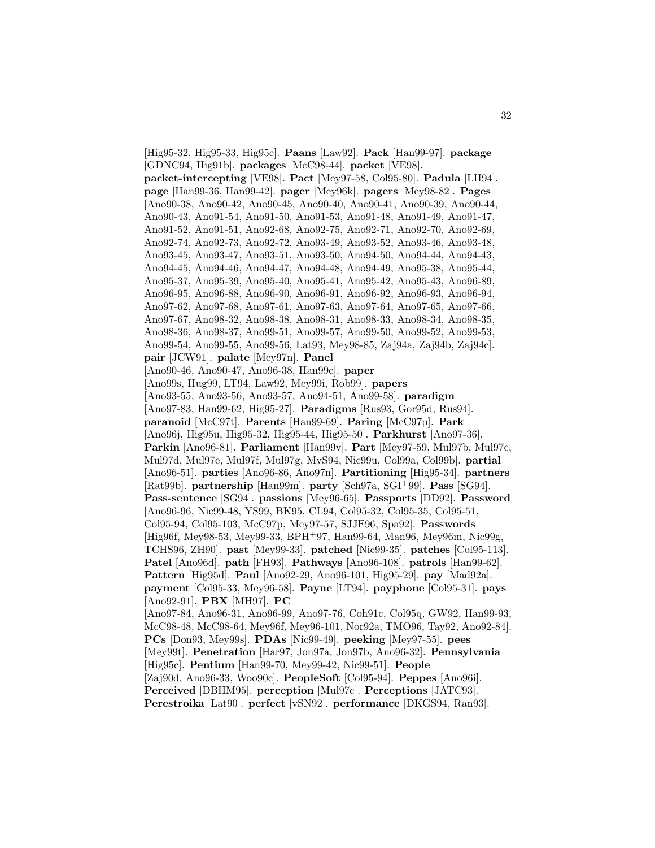[Hig95-32, Hig95-33, Hig95c]. **Paans** [Law92]. **Pack** [Han99-97]. **package** [GDNC94, Hig91b]. **packages** [McC98-44]. **packet** [VE98]. **packet-intercepting** [VE98]. **Pact** [Mey97-58, Col95-80]. **Padula** [LH94]. **page** [Han99-36, Han99-42]. **pager** [Mey96k]. **pagers** [Mey98-82]. **Pages** [Ano90-38, Ano90-42, Ano90-45, Ano90-40, Ano90-41, Ano90-39, Ano90-44, Ano90-43, Ano91-54, Ano91-50, Ano91-53, Ano91-48, Ano91-49, Ano91-47, Ano91-52, Ano91-51, Ano92-68, Ano92-75, Ano92-71, Ano92-70, Ano92-69, Ano92-74, Ano92-73, Ano92-72, Ano93-49, Ano93-52, Ano93-46, Ano93-48, Ano93-45, Ano93-47, Ano93-51, Ano93-50, Ano94-50, Ano94-44, Ano94-43, Ano94-45, Ano94-46, Ano94-47, Ano94-48, Ano94-49, Ano95-38, Ano95-44, Ano95-37, Ano95-39, Ano95-40, Ano95-41, Ano95-42, Ano95-43, Ano96-89, Ano96-95, Ano96-88, Ano96-90, Ano96-91, Ano96-92, Ano96-93, Ano96-94, Ano97-62, Ano97-68, Ano97-61, Ano97-63, Ano97-64, Ano97-65, Ano97-66, Ano97-67, Ano98-32, Ano98-38, Ano98-31, Ano98-33, Ano98-34, Ano98-35, Ano98-36, Ano98-37, Ano99-51, Ano99-57, Ano99-50, Ano99-52, Ano99-53, Ano99-54, Ano99-55, Ano99-56, Lat93, Mey98-85, Zaj94a, Zaj94b, Zaj94c]. **pair** [JCW91]. **palate** [Mey97n]. **Panel** [Ano90-46, Ano90-47, Ano96-38, Han99e]. **paper** [Ano99s, Hug99, LT94, Law92, Mey99i, Rob99]. **papers** [Ano93-55, Ano93-56, Ano93-57, Ano94-51, Ano99-58]. **paradigm** [Ano97-83, Han99-62, Hig95-27]. **Paradigms** [Rus93, Gor95d, Rus94]. **paranoid** [McC97t]. **Parents** [Han99-69]. **Paring** [McC97p]. **Park** [Ano96j, Hig95u, Hig95-32, Hig95-44, Hig95-50]. **Parkhurst** [Ano97-36]. **Parkin** [Ano96-81]. **Parliament** [Han99v]. **Part** [Mey97-59, Mul97b, Mul97c, Mul97d, Mul97e, Mul97f, Mul97g, MvS94, Nic99u, Col99a, Col99b]. **partial** [Ano96-51]. **parties** [Ano96-86, Ano97n]. **Partitioning** [Hig95-34]. **partners** [Rat99b]. **partnership** [Han99m]. **party** [Sch97a, SGI<sup>+</sup>99]. **Pass** [SG94]. **Pass-sentence** [SG94]. **passions** [Mey96-65]. **Passports** [DD92]. **Password** [Ano96-96, Nic99-48, YS99, BK95, CL94, Col95-32, Col95-35, Col95-51, Col95-94, Col95-103, McC97p, Mey97-57, SJJF96, Spa92]. **Passwords** [Hig96f, Mey98-53, Mey99-33, BPH<sup>+</sup>97, Han99-64, Man96, Mey96m, Nic99g, TCHS96, ZH90]. **past** [Mey99-33]. **patched** [Nic99-35]. **patches** [Col95-113]. **Patel** [Ano96d]. **path** [FH93]. **Pathways** [Ano96-108]. **patrols** [Han99-62]. **Pattern** [Hig95d]. **Paul** [Ano92-29, Ano96-101, Hig95-29]. **pay** [Mad92a]. **payment** [Col95-33, Mey96-58]. **Payne** [LT94]. **payphone** [Col95-31]. **pays** [Ano92-91]. **PBX** [MH97]. **PC** [Ano97-84, Ano96-31, Ano96-99, Ano97-76, Coh91c, Col95q, GW92, Han99-93, McC98-48, McC98-64, Mey96f, Mey96-101, Nor92a, TMO96, Tay92, Ano92-84]. **PCs** [Don93, Mey99s]. **PDAs** [Nic99-49]. **peeking** [Mey97-55]. **pees** [Mey99t]. **Penetration** [Har97, Jon97a, Jon97b, Ano96-32]. **Pennsylvania** [Hig95c]. **Pentium** [Han99-70, Mey99-42, Nic99-51]. **People** [Zaj90d, Ano96-33, Woo90c]. **PeopleSoft** [Col95-94]. **Peppes** [Ano96i]. **Perceived** [DBHM95]. **perception** [Mul97c]. **Perceptions** [JATC93]. **Perestroika** [Lat90]. **perfect** [vSN92]. **performance** [DKGS94, Ran93].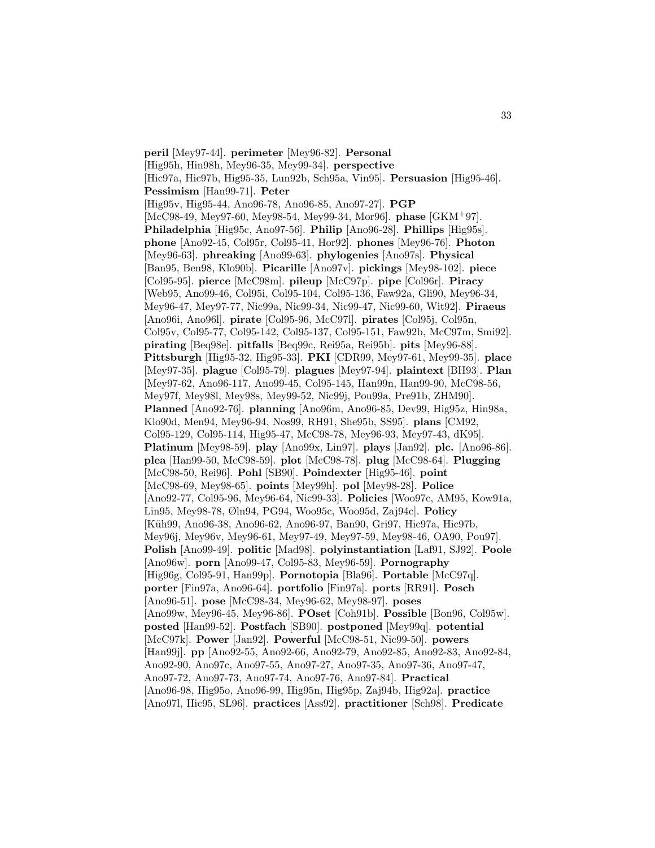**peril** [Mey97-44]. **perimeter** [Mey96-82]. **Personal** [Hig95h, Hin98h, Mey96-35, Mey99-34]. **perspective** [Hic97a, Hic97b, Hig95-35, Lun92b, Sch95a, Vin95]. **Persuasion** [Hig95-46]. **Pessimism** [Han99-71]. **Peter** [Hig95v, Hig95-44, Ano96-78, Ano96-85, Ano97-27]. **PGP** [McC98-49, Mey97-60, Mey98-54, Mey99-34, Mor96]. **phase** [GKM<sup>+</sup>97]. **Philadelphia** [Hig95c, Ano97-56]. **Philip** [Ano96-28]. **Phillips** [Hig95s]. **phone** [Ano92-45, Col95r, Col95-41, Hor92]. **phones** [Mey96-76]. **Photon** [Mey96-63]. **phreaking** [Ano99-63]. **phylogenies** [Ano97s]. **Physical** [Ban95, Ben98, Klo90b]. **Picarille** [Ano97v]. **pickings** [Mey98-102]. **piece** [Col95-95]. **pierce** [McC98m]. **pileup** [McC97p]. **pipe** [Col96r]. **Piracy** [Web95, Ano99-46, Col95i, Col95-104, Col95-136, Faw92a, Gli90, Mey96-34, Mey96-47, Mey97-77, Nic99a, Nic99-34, Nic99-47, Nic99-60, Wit92]. **Piraeus** [Ano96i, Ano96l]. **pirate** [Col95-96, McC97l]. **pirates** [Col95j, Col95n, Col95v, Col95-77, Col95-142, Col95-137, Col95-151, Faw92b, McC97m, Smi92]. **pirating** [Beq98e]. **pitfalls** [Beq99c, Rei95a, Rei95b]. **pits** [Mey96-88]. **Pittsburgh** [Hig95-32, Hig95-33]. **PKI** [CDR99, Mey97-61, Mey99-35]. **place** [Mey97-35]. **plague** [Col95-79]. **plagues** [Mey97-94]. **plaintext** [BH93]. **Plan** [Mey97-62, Ano96-117, Ano99-45, Col95-145, Han99n, Han99-90, McC98-56, Mey97f, Mey98l, Mey98s, Mey99-52, Nic99j, Pou99a, Pre91b, ZHM90]. **Planned** [Ano92-76]. **planning** [Ano96m, Ano96-85, Dev99, Hig95z, Hin98a, Klo90d, Men94, Mey96-94, Nos99, RH91, She95b, SS95]. **plans** [CM92, Col95-129, Col95-114, Hig95-47, McC98-78, Mey96-93, Mey97-43, dK95]. **Platinum** [Mey98-59]. **play** [Ano99x, Lin97]. **plays** [Jan92]. **plc.** [Ano96-86]. **plea** [Han99-50, McC98-59]. **plot** [McC98-78]. **plug** [McC98-64]. **Plugging** [McC98-50, Rei96]. **Pohl** [SB90]. **Poindexter** [Hig95-46]. **point** [McC98-69, Mey98-65]. **points** [Mey99h]. **pol** [Mey98-28]. **Police** [Ano92-77, Col95-96, Mey96-64, Nic99-33]. **Policies** [Woo97c, AM95, Kow91a, Lin95, Mey98-78, Øln94, PG94, Woo95c, Woo95d, Zaj94c]. **Policy** [Küh99, Ano96-38, Ano96-62, Ano96-97, Ban90, Gri97, Hic97a, Hic97b, Mey96j, Mey96v, Mey96-61, Mey97-49, Mey97-59, Mey98-46, OA90, Pou97]. **Polish** [Ano99-49]. **politic** [Mad98]. **polyinstantiation** [Laf91, SJ92]. **Poole** [Ano96w]. **porn** [Ano99-47, Col95-83, Mey96-59]. **Pornography** [Hig96g, Col95-91, Han99p]. **Pornotopia** [Bla96]. **Portable** [McC97q]. **porter** [Fin97a, Ano96-64]. **portfolio** [Fin97a]. **ports** [RR91]. **Posch** [Ano96-51]. **pose** [McC98-34, Mey96-62, Mey98-97]. **poses** [Ano99w, Mey96-45, Mey96-86]. **POset** [Coh91b]. **Possible** [Bon96, Col95w]. **posted** [Han99-52]. **Postfach** [SB90]. **postponed** [Mey99q]. **potential** [McC97k]. **Power** [Jan92]. **Powerful** [McC98-51, Nic99-50]. **powers** [Han99j]. **pp** [Ano92-55, Ano92-66, Ano92-79, Ano92-85, Ano92-83, Ano92-84, Ano92-90, Ano97c, Ano97-55, Ano97-27, Ano97-35, Ano97-36, Ano97-47, Ano97-72, Ano97-73, Ano97-74, Ano97-76, Ano97-84]. **Practical** [Ano96-98, Hig95o, Ano96-99, Hig95n, Hig95p, Zaj94b, Hig92a]. **practice** [Ano97l, Hic95, SL96]. **practices** [Ass92]. **practitioner** [Sch98]. **Predicate**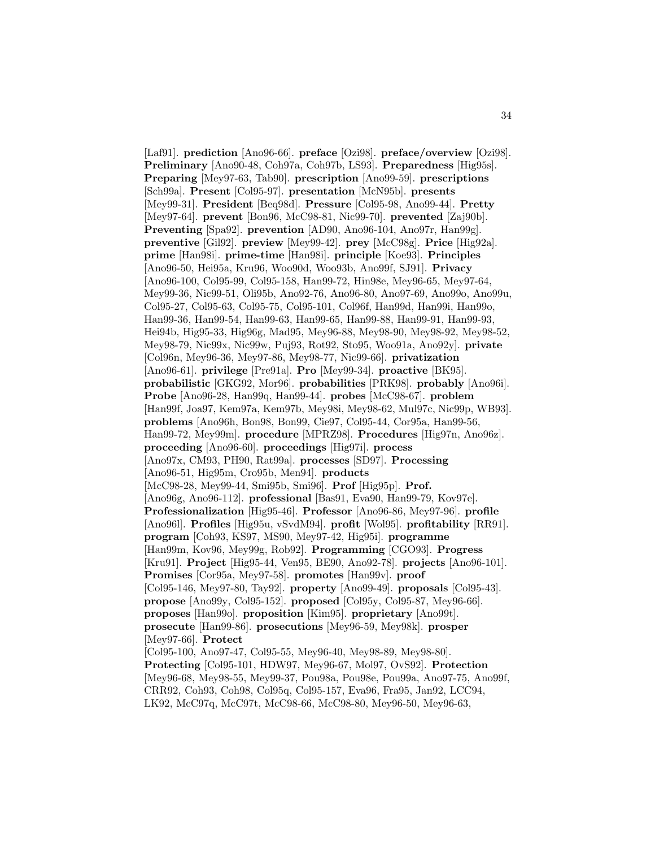[Laf91]. **prediction** [Ano96-66]. **preface** [Ozi98]. **preface/overview** [Ozi98]. **Preliminary** [Ano90-48, Coh97a, Coh97b, LS93]. **Preparedness** [Hig95s]. **Preparing** [Mey97-63, Tab90]. **prescription** [Ano99-59]. **prescriptions** [Sch99a]. **Present** [Col95-97]. **presentation** [McN95b]. **presents** [Mey99-31]. **President** [Beq98d]. **Pressure** [Col95-98, Ano99-44]. **Pretty** [Mey97-64]. **prevent** [Bon96, McC98-81, Nic99-70]. **prevented** [Zaj90b]. **Preventing** [Spa92]. **prevention** [AD90, Ano96-104, Ano97r, Han99g]. **preventive** [Gil92]. **preview** [Mey99-42]. **prey** [McC98g]. **Price** [Hig92a]. **prime** [Han98i]. **prime-time** [Han98i]. **principle** [Koe93]. **Principles** [Ano96-50, Hei95a, Kru96, Woo90d, Woo93b, Ano99f, SJ91]. **Privacy** [Ano96-100, Col95-99, Col95-158, Han99-72, Hin98e, Mey96-65, Mey97-64, Mey99-36, Nic99-51, Oli95b, Ano92-76, Ano96-80, Ano97-69, Ano99o, Ano99u, Col95-27, Col95-63, Col95-75, Col95-101, Col96f, Han99d, Han99i, Han99o, Han99-36, Han99-54, Han99-63, Han99-65, Han99-88, Han99-91, Han99-93, Hei94b, Hig95-33, Hig96g, Mad95, Mey96-88, Mey98-90, Mey98-92, Mey98-52, Mey98-79, Nic99x, Nic99w, Puj93, Rot92, Sto95, Woo91a, Ano92y]. **private** [Col96n, Mey96-36, Mey97-86, Mey98-77, Nic99-66]. **privatization** [Ano96-61]. **privilege** [Pre91a]. **Pro** [Mey99-34]. **proactive** [BK95]. **probabilistic** [GKG92, Mor96]. **probabilities** [PRK98]. **probably** [Ano96i]. **Probe** [Ano96-28, Han99q, Han99-44]. **probes** [McC98-67]. **problem** [Han99f, Joa97, Kem97a, Kem97b, Mey98i, Mey98-62, Mul97c, Nic99p, WB93]. **problems** [Ano96h, Bon98, Bon99, Cie97, Col95-44, Cor95a, Han99-56, Han99-72, Mey99m]. **procedure** [MPRZ98]. **Procedures** [Hig97n, Ano96z]. **proceeding** [Ano96-60]. **proceedings** [Hig97i]. **process** [Ano97x, CM93, PH90, Rat99a]. **processes** [SD97]. **Processing** [Ano96-51, Hig95m, Cro95b, Men94]. **products** [McC98-28, Mey99-44, Smi95b, Smi96]. **Prof** [Hig95p]. **Prof.** [Ano96g, Ano96-112]. **professional** [Bas91, Eva90, Han99-79, Kov97e]. **Professionalization** [Hig95-46]. **Professor** [Ano96-86, Mey97-96]. **profile** [Ano96l]. **Profiles** [Hig95u, vSvdM94]. **profit** [Wol95]. **profitability** [RR91]. **program** [Coh93, KS97, MS90, Mey97-42, Hig95i]. **programme** [Han99m, Kov96, Mey99g, Rob92]. **Programming** [CGO93]. **Progress** [Kru91]. **Project** [Hig95-44, Ven95, BE90, Ano92-78]. **projects** [Ano96-101]. **Promises** [Cor95a, Mey97-58]. **promotes** [Han99v]. **proof** [Col95-146, Mey97-80, Tay92]. **property** [Ano99-49]. **proposals** [Col95-43]. **propose** [Ano99y, Col95-152]. **proposed** [Col95y, Col95-87, Mey96-66]. **proposes** [Han99o]. **proposition** [Kim95]. **proprietary** [Ano99t]. **prosecute** [Han99-86]. **prosecutions** [Mey96-59, Mey98k]. **prosper** [Mey97-66]. **Protect** [Col95-100, Ano97-47, Col95-55, Mey96-40, Mey98-89, Mey98-80]. **Protecting** [Col95-101, HDW97, Mey96-67, Mol97, OvS92]. **Protection** [Mey96-68, Mey98-55, Mey99-37, Pou98a, Pou98e, Pou99a, Ano97-75, Ano99f, CRR92, Coh93, Coh98, Col95q, Col95-157, Eva96, Fra95, Jan92, LCC94,

LK92, McC97q, McC97t, McC98-66, McC98-80, Mey96-50, Mey96-63,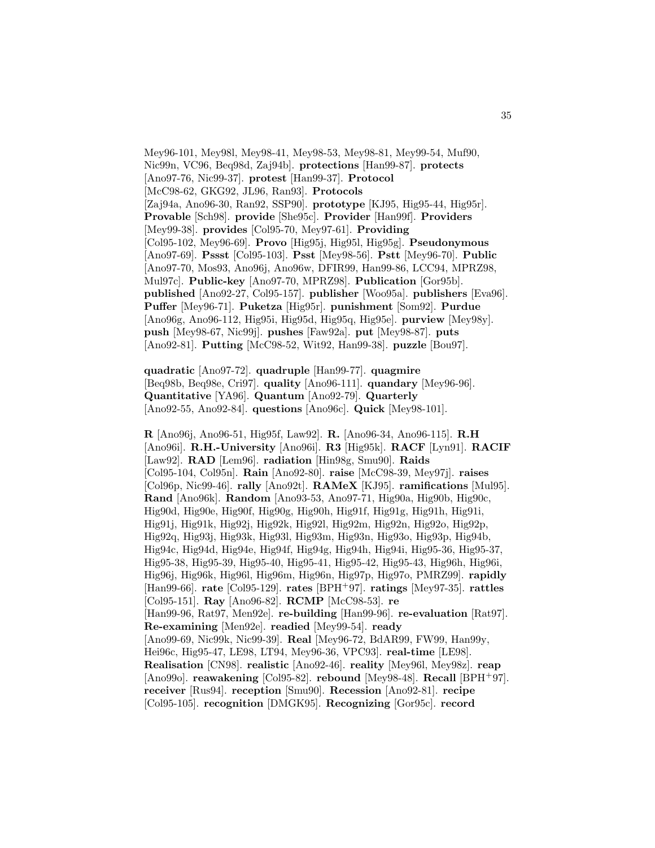Mey96-101, Mey98l, Mey98-41, Mey98-53, Mey98-81, Mey99-54, Muf90, Nic99n, VC96, Beq98d, Zaj94b]. **protections** [Han99-87]. **protects** [Ano97-76, Nic99-37]. **protest** [Han99-37]. **Protocol** [McC98-62, GKG92, JL96, Ran93]. **Protocols** [Zaj94a, Ano96-30, Ran92, SSP90]. **prototype** [KJ95, Hig95-44, Hig95r]. **Provable** [Sch98]. **provide** [She95c]. **Provider** [Han99f]. **Providers** [Mey99-38]. **provides** [Col95-70, Mey97-61]. **Providing** [Col95-102, Mey96-69]. **Provo** [Hig95j, Hig95l, Hig95g]. **Pseudonymous** [Ano97-69]. **Pssst** [Col95-103]. **Psst** [Mey98-56]. **Pstt** [Mey96-70]. **Public** [Ano97-70, Mos93, Ano96j, Ano96w, DFIR99, Han99-86, LCC94, MPRZ98, Mul97c]. **Public-key** [Ano97-70, MPRZ98]. **Publication** [Gor95b]. **published** [Ano92-27, Col95-157]. **publisher** [Woo95a]. **publishers** [Eva96]. **Puffer** [Mey96-71]. **Puketza** [Hig95r]. **punishment** [Som92]. **Purdue** [Ano96g, Ano96-112, Hig95i, Hig95d, Hig95q, Hig95e]. **purview** [Mey98y]. **push** [Mey98-67, Nic99j]. **pushes** [Faw92a]. **put** [Mey98-87]. **puts** [Ano92-81]. **Putting** [McC98-52, Wit92, Han99-38]. **puzzle** [Bou97].

**quadratic** [Ano97-72]. **quadruple** [Han99-77]. **quagmire** [Beq98b, Beq98e, Cri97]. **quality** [Ano96-111]. **quandary** [Mey96-96]. **Quantitative** [YA96]. **Quantum** [Ano92-79]. **Quarterly** [Ano92-55, Ano92-84]. **questions** [Ano96c]. **Quick** [Mey98-101].

**R** [Ano96j, Ano96-51, Hig95f, Law92]. **R.** [Ano96-34, Ano96-115]. **R.H** [Ano96i]. **R.H.-University** [Ano96i]. **R3** [Hig95k]. **RACF** [Lyn91]. **RACIF** [Law92]. **RAD** [Lem96]. **radiation** [Hin98g, Smu90]. **Raids** [Col95-104, Col95n]. **Rain** [Ano92-80]. **raise** [McC98-39, Mey97j]. **raises** [Col96p, Nic99-46]. **rally** [Ano92t]. **RAMeX** [KJ95]. **ramifications** [Mul95]. **Rand** [Ano96k]. **Random** [Ano93-53, Ano97-71, Hig90a, Hig90b, Hig90c, Hig90d, Hig90e, Hig90f, Hig90g, Hig90h, Hig91f, Hig91g, Hig91h, Hig91i, Hig91j, Hig91k, Hig92j, Hig92k, Hig92l, Hig92m, Hig92n, Hig92o, Hig92p, Hig92q, Hig93j, Hig93k, Hig93l, Hig93m, Hig93n, Hig93o, Hig93p, Hig94b, Hig94c, Hig94d, Hig94e, Hig94f, Hig94g, Hig94h, Hig94i, Hig95-36, Hig95-37, Hig95-38, Hig95-39, Hig95-40, Hig95-41, Hig95-42, Hig95-43, Hig96h, Hig96i, Hig96j, Hig96k, Hig96l, Hig96m, Hig96n, Hig97p, Hig97o, PMRZ99]. **rapidly** [Han99-66]. **rate** [Col95-129]. **rates** [BPH<sup>+</sup>97]. **ratings** [Mey97-35]. **rattles** [Col95-151]. **Ray** [Ano96-82]. **RCMP** [McC98-53]. **re** [Han99-96, Rat97, Men92e]. **re-building** [Han99-96]. **re-evaluation** [Rat97]. **Re-examining** [Men92e]. **readied** [Mey99-54]. **ready** [Ano99-69, Nic99k, Nic99-39]. **Real** [Mey96-72, BdAR99, FW99, Han99y, Hei96c, Hig95-47, LE98, LT94, Mey96-36, VPC93]. **real-time** [LE98]. **Realisation** [CN98]. **realistic** [Ano92-46]. **reality** [Mey96l, Mey98z]. **reap** [Ano99o]. **reawakening** [Col95-82]. **rebound** [Mey98-48]. **Recall** [BPH<sup>+</sup>97]. **receiver** [Rus94]. **reception** [Smu90]. **Recession** [Ano92-81]. **recipe** [Col95-105]. **recognition** [DMGK95]. **Recognizing** [Gor95c]. **record**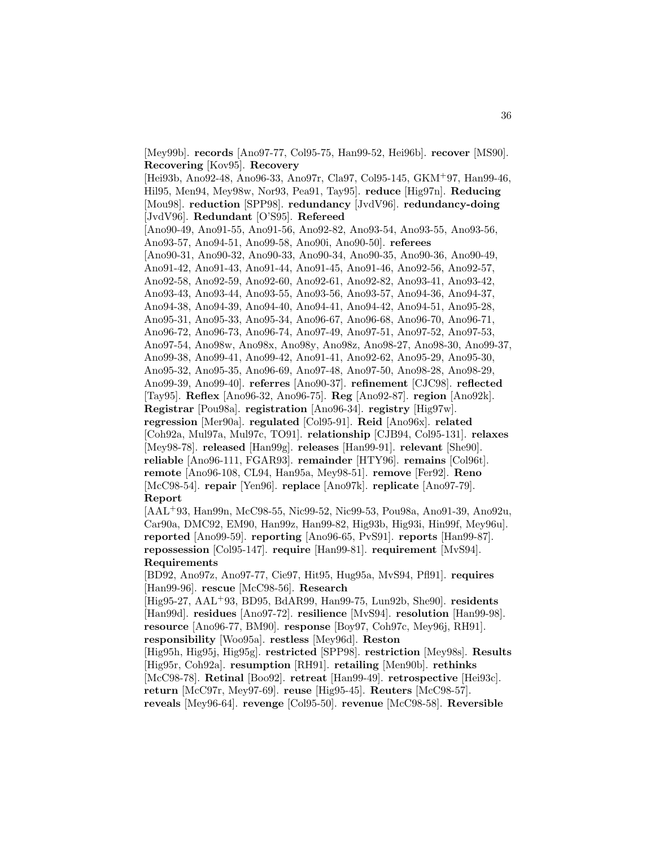[Mey99b]. **records** [Ano97-77, Col95-75, Han99-52, Hei96b]. **recover** [MS90]. **Recovering** [Kov95]. **Recovery** [Hei93b, Ano92-48, Ano96-33, Ano97r, Cla97, Col95-145, GKM<sup>+</sup>97, Han99-46, Hil95, Men94, Mey98w, Nor93, Pea91, Tay95]. **reduce** [Hig97n]. **Reducing** [Mou98]. **reduction** [SPP98]. **redundancy** [JvdV96]. **redundancy-doing** [JvdV96]. **Redundant** [O'S95]. **Refereed** [Ano90-49, Ano91-55, Ano91-56, Ano92-82, Ano93-54, Ano93-55, Ano93-56, Ano93-57, Ano94-51, Ano99-58, Ano90i, Ano90-50]. **referees** [Ano90-31, Ano90-32, Ano90-33, Ano90-34, Ano90-35, Ano90-36, Ano90-49, Ano91-42, Ano91-43, Ano91-44, Ano91-45, Ano91-46, Ano92-56, Ano92-57, Ano92-58, Ano92-59, Ano92-60, Ano92-61, Ano92-82, Ano93-41, Ano93-42, Ano93-43, Ano93-44, Ano93-55, Ano93-56, Ano93-57, Ano94-36, Ano94-37, Ano94-38, Ano94-39, Ano94-40, Ano94-41, Ano94-42, Ano94-51, Ano95-28, Ano95-31, Ano95-33, Ano95-34, Ano96-67, Ano96-68, Ano96-70, Ano96-71, Ano96-72, Ano96-73, Ano96-74, Ano97-49, Ano97-51, Ano97-52, Ano97-53, Ano97-54, Ano98w, Ano98x, Ano98y, Ano98z, Ano98-27, Ano98-30, Ano99-37, Ano99-38, Ano99-41, Ano99-42, Ano91-41, Ano92-62, Ano95-29, Ano95-30, Ano95-32, Ano95-35, Ano96-69, Ano97-48, Ano97-50, Ano98-28, Ano98-29, Ano99-39, Ano99-40]. **referres** [Ano90-37]. **refinement** [CJC98]. **reflected** [Tay95]. **Reflex** [Ano96-32, Ano96-75]. **Reg** [Ano92-87]. **region** [Ano92k]. **Registrar** [Pou98a]. **registration** [Ano96-34]. **registry** [Hig97w]. **regression** [Mer90a]. **regulated** [Col95-91]. **Reid** [Ano96x]. **related** [Coh92a, Mul97a, Mul97c, TO91]. **relationship** [CJB94, Col95-131]. **relaxes** [Mey98-78]. **released** [Han99g]. **releases** [Han99-91]. **relevant** [She90]. **reliable** [Ano96-111, FGAR93]. **remainder** [HTY96]. **remains** [Col96t]. **remote** [Ano96-108, CL94, Han95a, Mey98-51]. **remove** [Fer92]. **Reno** [McC98-54]. **repair** [Yen96]. **replace** [Ano97k]. **replicate** [Ano97-79]. **Report** [AAL<sup>+</sup>93, Han99n, McC98-55, Nic99-52, Nic99-53, Pou98a, Ano91-39, Ano92u,

Car90a, DMC92, EM90, Han99z, Han99-82, Hig93b, Hig93i, Hin99f, Mey96u]. **reported** [Ano99-59]. **reporting** [Ano96-65, PvS91]. **reports** [Han99-87]. **repossession** [Col95-147]. **require** [Han99-81]. **requirement** [MvS94]. **Requirements**

[BD92, Ano97z, Ano97-77, Cie97, Hit95, Hug95a, MvS94, Pfl91]. **requires** [Han99-96]. **rescue** [McC98-56]. **Research**

[Hig95-27, AAL<sup>+</sup>93, BD95, BdAR99, Han99-75, Lun92b, She90]. **residents** [Han99d]. **residues** [Ano97-72]. **resilience** [MvS94]. **resolution** [Han99-98]. **resource** [Ano96-77, BM90]. **response** [Boy97, Coh97c, Mey96j, RH91]. **responsibility** [Woo95a]. **restless** [Mey96d]. **Reston** [Hig95h, Hig95j, Hig95g]. **restricted** [SPP98]. **restriction** [Mey98s]. **Results** [Hig95r, Coh92a]. **resumption** [RH91]. **retailing** [Men90b]. **rethinks**

[McC98-78]. **Retinal** [Boo92]. **retreat** [Han99-49]. **retrospective** [Hei93c]. **return** [McC97r, Mey97-69]. **reuse** [Hig95-45]. **Reuters** [McC98-57].

**reveals** [Mey96-64]. **revenge** [Col95-50]. **revenue** [McC98-58]. **Reversible**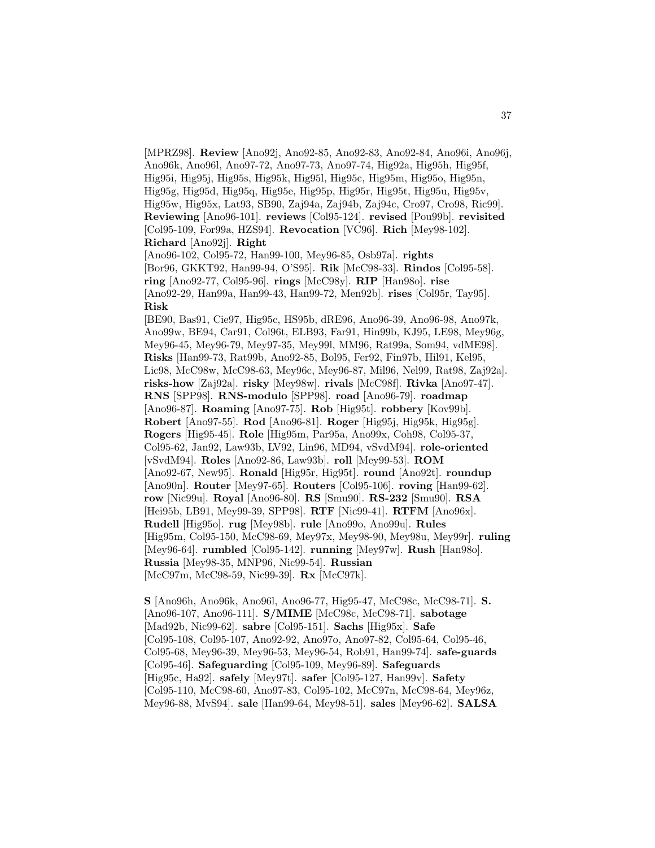[MPRZ98]. **Review** [Ano92j, Ano92-85, Ano92-83, Ano92-84, Ano96i, Ano96j, Ano96k, Ano96l, Ano97-72, Ano97-73, Ano97-74, Hig92a, Hig95h, Hig95f, Hig95i, Hig95j, Hig95s, Hig95k, Hig95l, Hig95c, Hig95m, Hig95o, Hig95n, Hig95g, Hig95d, Hig95q, Hig95e, Hig95p, Hig95r, Hig95t, Hig95u, Hig95v, Hig95w, Hig95x, Lat93, SB90, Zaj94a, Zaj94b, Zaj94c, Cro97, Cro98, Ric99]. **Reviewing** [Ano96-101]. **reviews** [Col95-124]. **revised** [Pou99b]. **revisited** [Col95-109, For99a, HZS94]. **Revocation** [VC96]. **Rich** [Mey98-102]. **Richard** [Ano92j]. **Right** [Ano96-102, Col95-72, Han99-100, Mey96-85, Osb97a]. **rights** [Bor96, GKKT92, Han99-94, O'S95]. **Rik** [McC98-33]. **Rindos** [Col95-58]. **ring** [Ano92-77, Col95-96]. **rings** [McC98y]. **RIP** [Han98o]. **rise** [Ano92-29, Han99a, Han99-43, Han99-72, Men92b]. **rises** [Col95r, Tay95]. **Risk** [BE90, Bas91, Cie97, Hig95c, HS95b, dRE96, Ano96-39, Ano96-98, Ano97k, Ano99w, BE94, Car91, Col96t, ELB93, Far91, Hin99b, KJ95, LE98, Mey96g, Mey96-45, Mey96-79, Mey97-35, Mey99l, MM96, Rat99a, Som94, vdME98]. **Risks** [Han99-73, Rat99b, Ano92-85, Bol95, Fer92, Fin97b, Hil91, Kel95, Lic98, McC98w, McC98-63, Mey96c, Mey96-87, Mil96, Nel99, Rat98, Zaj92a]. **risks-how** [Zaj92a]. **risky** [Mey98w]. **rivals** [McC98f]. **Rivka** [Ano97-47]. **RNS** [SPP98]. **RNS-modulo** [SPP98]. **road** [Ano96-79]. **roadmap** [Ano96-87]. **Roaming** [Ano97-75]. **Rob** [Hig95t]. **robbery** [Kov99b]. **Robert** [Ano97-55]. **Rod** [Ano96-81]. **Roger** [Hig95j, Hig95k, Hig95g]. **Rogers** [Hig95-45]. **Role** [Hig95m, Par95a, Ano99x, Coh98, Col95-37, Col95-62, Jan92, Law93b, LV92, Lin96, MD94, vSvdM94]. **role-oriented** [vSvdM94]. **Roles** [Ano92-86, Law93b]. **roll** [Mey99-53]. **ROM** [Ano92-67, New95]. **Ronald** [Hig95r, Hig95t]. **round** [Ano92t]. **roundup** [Ano90n]. **Router** [Mey97-65]. **Routers** [Col95-106]. **roving** [Han99-62]. **row** [Nic99u]. **Royal** [Ano96-80]. **RS** [Smu90]. **RS-232** [Smu90]. **RSA** [Hei95b, LB91, Mey99-39, SPP98]. **RTF** [Nic99-41]. **RTFM** [Ano96x]. **Rudell** [Hig95o]. **rug** [Mey98b]. **rule** [Ano99o, Ano99u]. **Rules** [Hig95m, Col95-150, McC98-69, Mey97x, Mey98-90, Mey98u, Mey99r]. **ruling** [Mey96-64]. **rumbled** [Col95-142]. **running** [Mey97w]. **Rush** [Han98o]. **Russia** [Mey98-35, MNP96, Nic99-54]. **Russian** [McC97m, McC98-59, Nic99-39]. **Rx** [McC97k].

**S** [Ano96h, Ano96k, Ano96l, Ano96-77, Hig95-47, McC98c, McC98-71]. **S.** [Ano96-107, Ano96-111]. **S/MIME** [McC98c, McC98-71]. **sabotage** [Mad92b, Nic99-62]. **sabre** [Col95-151]. **Sachs** [Hig95x]. **Safe** [Col95-108, Col95-107, Ano92-92, Ano97o, Ano97-82, Col95-64, Col95-46, Col95-68, Mey96-39, Mey96-53, Mey96-54, Rob91, Han99-74]. **safe-guards** [Col95-46]. **Safeguarding** [Col95-109, Mey96-89]. **Safeguards** [Hig95c, Ha92]. **safely** [Mey97t]. **safer** [Col95-127, Han99v]. **Safety** [Col95-110, McC98-60, Ano97-83, Col95-102, McC97n, McC98-64, Mey96z, Mey96-88, MvS94]. **sale** [Han99-64, Mey98-51]. **sales** [Mey96-62]. **SALSA**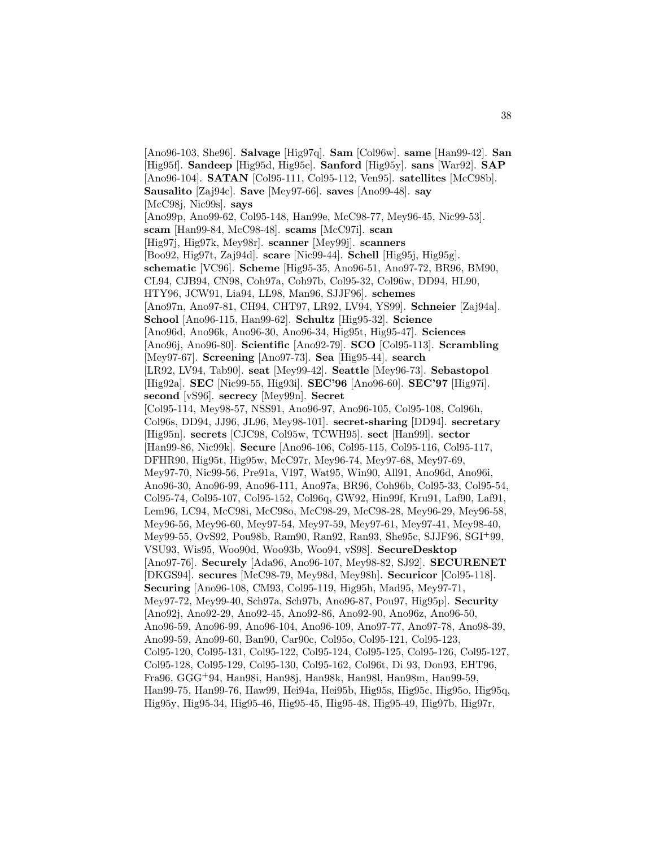[Ano96-103, She96]. **Salvage** [Hig97q]. **Sam** [Col96w]. **same** [Han99-42]. **San** [Hig95f]. **Sandeep** [Hig95d, Hig95e]. **Sanford** [Hig95y]. **sans** [War92]. **SAP** [Ano96-104]. **SATAN** [Col95-111, Col95-112, Ven95]. **satellites** [McC98b]. **Sausalito** [Zaj94c]. **Save** [Mey97-66]. **saves** [Ano99-48]. **say** [McC98j, Nic99s]. **says** [Ano99p, Ano99-62, Col95-148, Han99e, McC98-77, Mey96-45, Nic99-53]. **scam** [Han99-84, McC98-48]. **scams** [McC97i]. **scan** [Hig97j, Hig97k, Mey98r]. **scanner** [Mey99j]. **scanners** [Boo92, Hig97t, Zaj94d]. **scare** [Nic99-44]. **Schell** [Hig95j, Hig95g]. **schematic** [VC96]. **Scheme** [Hig95-35, Ano96-51, Ano97-72, BR96, BM90, CL94, CJB94, CN98, Coh97a, Coh97b, Col95-32, Col96w, DD94, HL90, HTY96, JCW91, Lia94, LL98, Man96, SJJF96]. **schemes** [Ano97n, Ano97-81, CH94, CHT97, LR92, LV94, YS99]. **Schneier** [Zaj94a]. **School** [Ano96-115, Han99-62]. **Schultz** [Hig95-32]. **Science** [Ano96d, Ano96k, Ano96-30, Ano96-34, Hig95t, Hig95-47]. **Sciences** [Ano96j, Ano96-80]. **Scientific** [Ano92-79]. **SCO** [Col95-113]. **Scrambling** [Mey97-67]. **Screening** [Ano97-73]. **Sea** [Hig95-44]. **search** [LR92, LV94, Tab90]. **seat** [Mey99-42]. **Seattle** [Mey96-73]. **Sebastopol** [Hig92a]. **SEC** [Nic99-55, Hig93i]. **SEC'96** [Ano96-60]. **SEC'97** [Hig97i]. **second** [vS96]. **secrecy** [Mey99n]. **Secret** [Col95-114, Mey98-57, NSS91, Ano96-97, Ano96-105, Col95-108, Col96h, Col96s, DD94, JJ96, JL96, Mey98-101]. **secret-sharing** [DD94]. **secretary** [Hig95n]. **secrets** [CJC98, Col95w, TCWH95]. **sect** [Han99l]. **sector** [Han99-86, Nic99k]. **Secure** [Ano96-106, Col95-115, Col95-116, Col95-117, DFHR90, Hig95t, Hig95w, McC97r, Mey96-74, Mey97-68, Mey97-69, Mey97-70, Nic99-56, Pre91a, VI97, Wat95, Win90, All91, Ano96d, Ano96i, Ano96-30, Ano96-99, Ano96-111, Ano97a, BR96, Coh96b, Col95-33, Col95-54, Col95-74, Col95-107, Col95-152, Col96q, GW92, Hin99f, Kru91, Laf90, Laf91, Lem96, LC94, McC98i, McC98o, McC98-29, McC98-28, Mey96-29, Mey96-58, Mey96-56, Mey96-60, Mey97-54, Mey97-59, Mey97-61, Mey97-41, Mey98-40, Mey99-55, OvS92, Pou98b, Ram90, Ran92, Ran93, She95c, SJJF96, SGI<sup>+</sup>99, VSU93, Wis95, Woo90d, Woo93b, Woo94, vS98]. **SecureDesktop** [Ano97-76]. **Securely** [Ada96, Ano96-107, Mey98-82, SJ92]. **SECURENET** [DKGS94]. **secures** [McC98-79, Mey98d, Mey98h]. **Securicor** [Col95-118]. **Securing** [Ano96-108, CM93, Col95-119, Hig95h, Mad95, Mey97-71, Mey97-72, Mey99-40, Sch97a, Sch97b, Ano96-87, Pou97, Hig95p]. **Security** [Ano92j, Ano92-29, Ano92-45, Ano92-86, Ano92-90, Ano96z, Ano96-50, Ano96-59, Ano96-99, Ano96-104, Ano96-109, Ano97-77, Ano97-78, Ano98-39, Ano99-59, Ano99-60, Ban90, Car90c, Col95o, Col95-121, Col95-123, Col95-120, Col95-131, Col95-122, Col95-124, Col95-125, Col95-126, Col95-127, Col95-128, Col95-129, Col95-130, Col95-162, Col96t, Di 93, Don93, EHT96, Fra96, GGG<sup>+</sup>94, Han98i, Han98j, Han98k, Han98l, Han98m, Han99-59, Han99-75, Han99-76, Haw99, Hei94a, Hei95b, Hig95s, Hig95c, Hig95o, Hig95q, Hig95y, Hig95-34, Hig95-46, Hig95-45, Hig95-48, Hig95-49, Hig97b, Hig97r,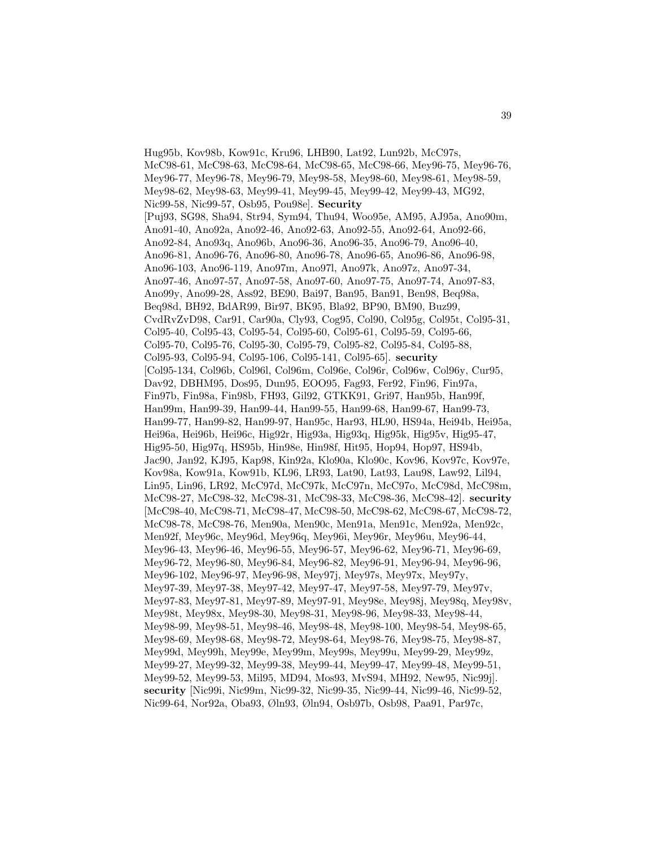Hug95b, Kov98b, Kow91c, Kru96, LHB90, Lat92, Lun92b, McC97s, McC98-61, McC98-63, McC98-64, McC98-65, McC98-66, Mey96-75, Mey96-76, Mey96-77, Mey96-78, Mey96-79, Mey98-58, Mey98-60, Mey98-61, Mey98-59, Mey98-62, Mey98-63, Mey99-41, Mey99-45, Mey99-42, Mey99-43, MG92, Nic99-58, Nic99-57, Osb95, Pou98e]. **Security** [Puj93, SG98, Sha94, Str94, Sym94, Thu94, Woo95e, AM95, AJ95a, Ano90m, Ano91-40, Ano92a, Ano92-46, Ano92-63, Ano92-55, Ano92-64, Ano92-66, Ano92-84, Ano93q, Ano96b, Ano96-36, Ano96-35, Ano96-79, Ano96-40, Ano96-81, Ano96-76, Ano96-80, Ano96-78, Ano96-65, Ano96-86, Ano96-98, Ano96-103, Ano96-119, Ano97m, Ano97l, Ano97k, Ano97z, Ano97-34, Ano97-46, Ano97-57, Ano97-58, Ano97-60, Ano97-75, Ano97-74, Ano97-83, Ano99y, Ano99-28, Ass92, BE90, Bai97, Ban95, Ban91, Ben98, Beq98a, Beq98d, BH92, BdAR99, Bir97, BK95, Bla92, BP90, BM90, Buz99, CvdRvZvD98, Car91, Car90a, Cly93, Cog95, Col90, Col95g, Col95t, Col95-31, Col95-40, Col95-43, Col95-54, Col95-60, Col95-61, Col95-59, Col95-66, Col95-70, Col95-76, Col95-30, Col95-79, Col95-82, Col95-84, Col95-88, Col95-93, Col95-94, Col95-106, Col95-141, Col95-65]. **security** [Col95-134, Col96b, Col96l, Col96m, Col96e, Col96r, Col96w, Col96y, Cur95, Dav92, DBHM95, Dos95, Dun95, EOO95, Fag93, Fer92, Fin96, Fin97a, Fin97b, Fin98a, Fin98b, FH93, Gil92, GTKK91, Gri97, Han95b, Han99f, Han99m, Han99-39, Han99-44, Han99-55, Han99-68, Han99-67, Han99-73, Han99-77, Han99-82, Han99-97, Han95c, Har93, HL90, HS94a, Hei94b, Hei95a, Hei96a, Hei96b, Hei96c, Hig92r, Hig93a, Hig93q, Hig95k, Hig95v, Hig95-47, Hig95-50, Hig97q, HS95b, Hin98e, Hin98f, Hit95, Hop94, Hop97, HS94b, Jac90, Jan92, KJ95, Kap98, Kin92a, Klo90a, Klo90c, Kov96, Kov97c, Kov97e, Kov98a, Kow91a, Kow91b, KL96, LR93, Lat90, Lat93, Lau98, Law92, Lil94, Lin95, Lin96, LR92, McC97d, McC97k, McC97n, McC97o, McC98d, McC98m, McC98-27, McC98-32, McC98-31, McC98-33, McC98-36, McC98-42]. **security** [McC98-40, McC98-71, McC98-47, McC98-50, McC98-62, McC98-67, McC98-72, McC98-78, McC98-76, Men90a, Men90c, Men91a, Men91c, Men92a, Men92c, Men92f, Mey96c, Mey96d, Mey96q, Mey96i, Mey96r, Mey96u, Mey96-44, Mey96-43, Mey96-46, Mey96-55, Mey96-57, Mey96-62, Mey96-71, Mey96-69, Mey96-72, Mey96-80, Mey96-84, Mey96-82, Mey96-91, Mey96-94, Mey96-96, Mey96-102, Mey96-97, Mey96-98, Mey97j, Mey97s, Mey97x, Mey97y, Mey97-39, Mey97-38, Mey97-42, Mey97-47, Mey97-58, Mey97-79, Mey97v, Mey97-83, Mey97-81, Mey97-89, Mey97-91, Mey98e, Mey98j, Mey98q, Mey98v, Mey98t, Mey98x, Mey98-30, Mey98-31, Mey98-96, Mey98-33, Mey98-44, Mey98-99, Mey98-51, Mey98-46, Mey98-48, Mey98-100, Mey98-54, Mey98-65, Mey98-69, Mey98-68, Mey98-72, Mey98-64, Mey98-76, Mey98-75, Mey98-87, Mey99d, Mey99h, Mey99e, Mey99m, Mey99s, Mey99u, Mey99-29, Mey99z, Mey99-27, Mey99-32, Mey99-38, Mey99-44, Mey99-47, Mey99-48, Mey99-51, Mey99-52, Mey99-53, Mil95, MD94, Mos93, MvS94, MH92, New95, Nic99j]. **security** [Nic99i, Nic99m, Nic99-32, Nic99-35, Nic99-44, Nic99-46, Nic99-52, Nic99-64, Nor92a, Oba93, Øln93, Øln94, Osb97b, Osb98, Paa91, Par97c,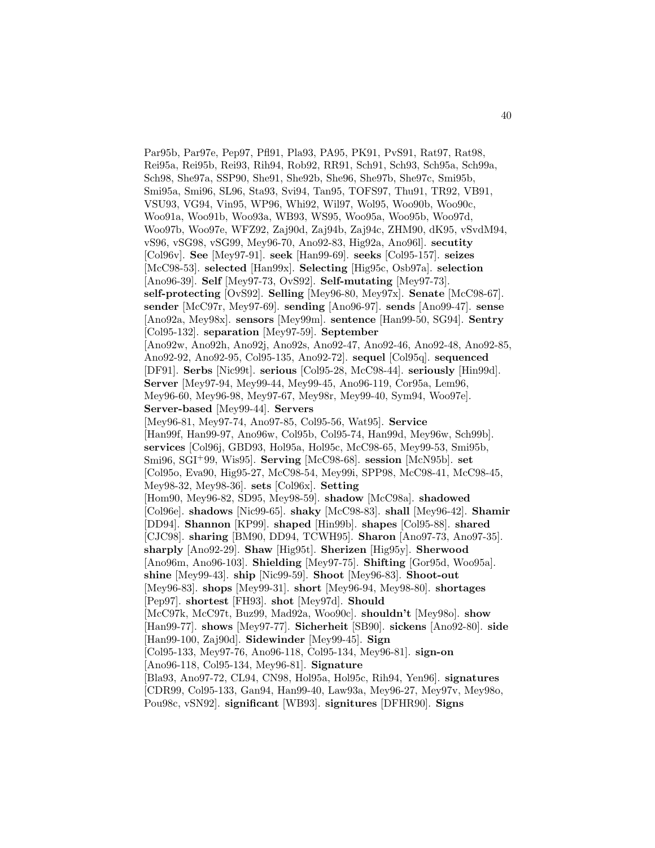Par95b, Par97e, Pep97, Pfl91, Pla93, PA95, PK91, PvS91, Rat97, Rat98, Rei95a, Rei95b, Rei93, Rih94, Rob92, RR91, Sch91, Sch93, Sch95a, Sch99a, Sch98, She97a, SSP90, She91, She92b, She96, She97b, She97c, Smi95b, Smi95a, Smi96, SL96, Sta93, Svi94, Tan95, TOFS97, Thu91, TR92, VB91, VSU93, VG94, Vin95, WP96, Whi92, Wil97, Wol95, Woo90b, Woo90c, Woo91a, Woo91b, Woo93a, WB93, WS95, Woo95a, Woo95b, Woo97d, Woo97b, Woo97e, WFZ92, Zaj90d, Zaj94b, Zaj94c, ZHM90, dK95, vSvdM94, vS96, vSG98, vSG99, Mey96-70, Ano92-83, Hig92a, Ano96l]. **secutity** [Col96v]. **See** [Mey97-91]. **seek** [Han99-69]. **seeks** [Col95-157]. **seizes** [McC98-53]. **selected** [Han99x]. **Selecting** [Hig95c, Osb97a]. **selection** [Ano96-39]. **Self** [Mey97-73, OvS92]. **Self-mutating** [Mey97-73]. **self-protecting** [OvS92]. **Selling** [Mey96-80, Mey97x]. **Senate** [McC98-67]. **sender** [McC97r, Mey97-69]. **sending** [Ano96-97]. **sends** [Ano99-47]. **sense** [Ano92a, Mey98x]. **sensors** [Mey99m]. **sentence** [Han99-50, SG94]. **Sentry** [Col95-132]. **separation** [Mey97-59]. **September** [Ano92w, Ano92h, Ano92j, Ano92s, Ano92-47, Ano92-46, Ano92-48, Ano92-85, Ano92-92, Ano92-95, Col95-135, Ano92-72]. **sequel** [Col95q]. **sequenced** [DF91]. **Serbs** [Nic99t]. **serious** [Col95-28, McC98-44]. **seriously** [Hin99d]. **Server** [Mey97-94, Mey99-44, Mey99-45, Ano96-119, Cor95a, Lem96, Mey96-60, Mey96-98, Mey97-67, Mey98r, Mey99-40, Sym94, Woo97e]. **Server-based** [Mey99-44]. **Servers** [Mey96-81, Mey97-74, Ano97-85, Col95-56, Wat95]. **Service** [Han99f, Han99-97, Ano96w, Col95b, Col95-74, Han99d, Mey96w, Sch99b]. **services** [Col96j, GBD93, Hol95a, Hol95c, McC98-65, Mey99-53, Smi95b, Smi96, SGI<sup>+</sup>99, Wis95]. **Serving** [McC98-68]. **session** [McN95b]. **set** [Col95o, Eva90, Hig95-27, McC98-54, Mey99i, SPP98, McC98-41, McC98-45, Mey98-32, Mey98-36]. **sets** [Col96x]. **Setting** [Hom90, Mey96-82, SD95, Mey98-59]. **shadow** [McC98a]. **shadowed** [Col96e]. **shadows** [Nic99-65]. **shaky** [McC98-83]. **shall** [Mey96-42]. **Shamir** [DD94]. **Shannon** [KP99]. **shaped** [Hin99b]. **shapes** [Col95-88]. **shared** [CJC98]. **sharing** [BM90, DD94, TCWH95]. **Sharon** [Ano97-73, Ano97-35]. **sharply** [Ano92-29]. **Shaw** [Hig95t]. **Sherizen** [Hig95y]. **Sherwood** [Ano96m, Ano96-103]. **Shielding** [Mey97-75]. **Shifting** [Gor95d, Woo95a]. **shine** [Mey99-43]. **ship** [Nic99-59]. **Shoot** [Mey96-83]. **Shoot-out** [Mey96-83]. **shops** [Mey99-31]. **short** [Mey96-94, Mey98-80]. **shortages** [Pep97]. **shortest** [FH93]. **shot** [Mey97d]. **Should** [McC97k, McC97t, Buz99, Mad92a, Woo90c]. **shouldn't** [Mey98o]. **show** [Han99-77]. **shows** [Mey97-77]. **Sicherheit** [SB90]. **sickens** [Ano92-80]. **side** [Han99-100, Zaj90d]. **Sidewinder** [Mey99-45]. **Sign** [Col95-133, Mey97-76, Ano96-118, Col95-134, Mey96-81]. **sign-on** [Ano96-118, Col95-134, Mey96-81]. **Signature** [Bla93, Ano97-72, CL94, CN98, Hol95a, Hol95c, Rih94, Yen96]. **signatures** [CDR99, Col95-133, Gan94, Han99-40, Law93a, Mey96-27, Mey97v, Mey98o, Pou98c, vSN92]. **significant** [WB93]. **signitures** [DFHR90]. **Signs**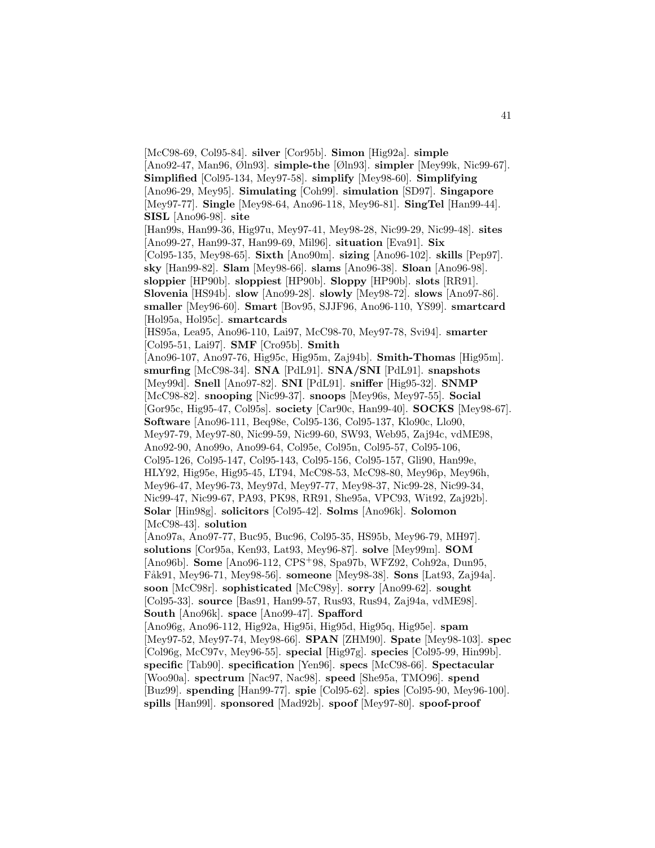[McC98-69, Col95-84]. **silver** [Cor95b]. **Simon** [Hig92a]. **simple** [Ano92-47, Man96, Øln93]. **simple-the** [Øln93]. **simpler** [Mey99k, Nic99-67]. **Simplified** [Col95-134, Mey97-58]. **simplify** [Mey98-60]. **Simplifying** [Ano96-29, Mey95]. **Simulating** [Coh99]. **simulation** [SD97]. **Singapore** [Mey97-77]. **Single** [Mey98-64, Ano96-118, Mey96-81]. **SingTel** [Han99-44]. **SISL** [Ano96-98]. **site** [Han99s, Han99-36, Hig97u, Mey97-41, Mey98-28, Nic99-29, Nic99-48]. **sites** [Ano99-27, Han99-37, Han99-69, Mil96]. **situation** [Eva91]. **Six** [Col95-135, Mey98-65]. **Sixth** [Ano90m]. **sizing** [Ano96-102]. **skills** [Pep97]. **sky** [Han99-82]. **Slam** [Mey98-66]. **slams** [Ano96-38]. **Sloan** [Ano96-98]. **sloppier** [HP90b]. **sloppiest** [HP90b]. **Sloppy** [HP90b]. **slots** [RR91]. **Slovenia** [HS94b]. **slow** [Ano99-28]. **slowly** [Mey98-72]. **slows** [Ano97-86]. **smaller** [Mey96-60]. **Smart** [Bov95, SJJF96, Ano96-110, YS99]. **smartcard** [Hol95a, Hol95c]. **smartcards** [HS95a, Lea95, Ano96-110, Lai97, McC98-70, Mey97-78, Svi94]. **smarter** [Col95-51, Lai97]. **SMF** [Cro95b]. **Smith** [Ano96-107, Ano97-76, Hig95c, Hig95m, Zaj94b]. **Smith-Thomas** [Hig95m]. **smurfing** [McC98-34]. **SNA** [PdL91]. **SNA/SNI** [PdL91]. **snapshots** [Mey99d]. **Snell** [Ano97-82]. **SNI** [PdL91]. **sniffer** [Hig95-32]. **SNMP** [McC98-82]. **snooping** [Nic99-37]. **snoops** [Mey96s, Mey97-55]. **Social** [Gor95c, Hig95-47, Col95s]. **society** [Car90c, Han99-40]. **SOCKS** [Mey98-67]. **Software** [Ano96-111, Beq98e, Col95-136, Col95-137, Klo90c, Llo90, Mey97-79, Mey97-80, Nic99-59, Nic99-60, SW93, Web95, Zaj94c, vdME98, Ano92-90, Ano99o, Ano99-64, Col95e, Col95n, Col95-57, Col95-106, Col95-126, Col95-147, Col95-143, Col95-156, Col95-157, Gli90, Han99e, HLY92, Hig95e, Hig95-45, LT94, McC98-53, McC98-80, Mey96p, Mey96h, Mey96-47, Mey96-73, Mey97d, Mey97-77, Mey98-37, Nic99-28, Nic99-34, Nic99-47, Nic99-67, PA93, PK98, RR91, She95a, VPC93, Wit92, Zaj92b]. **Solar** [Hin98g]. **solicitors** [Col95-42]. **Solms** [Ano96k]. **Solomon** [McC98-43]. **solution** [Ano97a, Ano97-77, Buc95, Buc96, Col95-35, HS95b, Mey96-79, MH97]. **solutions** [Cor95a, Ken93, Lat93, Mey96-87]. **solve** [Mey99m]. **SOM** [Ano96b]. **Some** [Ano96-112, CPS<sup>+</sup>98, Spa97b, WFZ92, Coh92a, Dun95, F˚ak91, Mey96-71, Mey98-56]. **someone** [Mey98-38]. **Sons** [Lat93, Zaj94a]. **soon** [McC98r]. **sophisticated** [McC98y]. **sorry** [Ano99-62]. **sought** [Col95-33]. **source** [Bas91, Han99-57, Rus93, Rus94, Zaj94a, vdME98]. **South** [Ano96k]. **space** [Ano99-47]. **Spafford** [Ano96g, Ano96-112, Hig92a, Hig95i, Hig95d, Hig95q, Hig95e]. **spam** [Mey97-52, Mey97-74, Mey98-66]. **SPAN** [ZHM90]. **Spate** [Mey98-103]. **spec** [Col96g, McC97v, Mey96-55]. **special** [Hig97g]. **species** [Col95-99, Hin99b]. **specific** [Tab90]. **specification** [Yen96]. **specs** [McC98-66]. **Spectacular** [Woo90a]. **spectrum** [Nac97, Nac98]. **speed** [She95a, TMO96]. **spend** [Buz99]. **spending** [Han99-77]. **spie** [Col95-62]. **spies** [Col95-90, Mey96-100]. **spills** [Han99l]. **sponsored** [Mad92b]. **spoof** [Mey97-80]. **spoof-proof**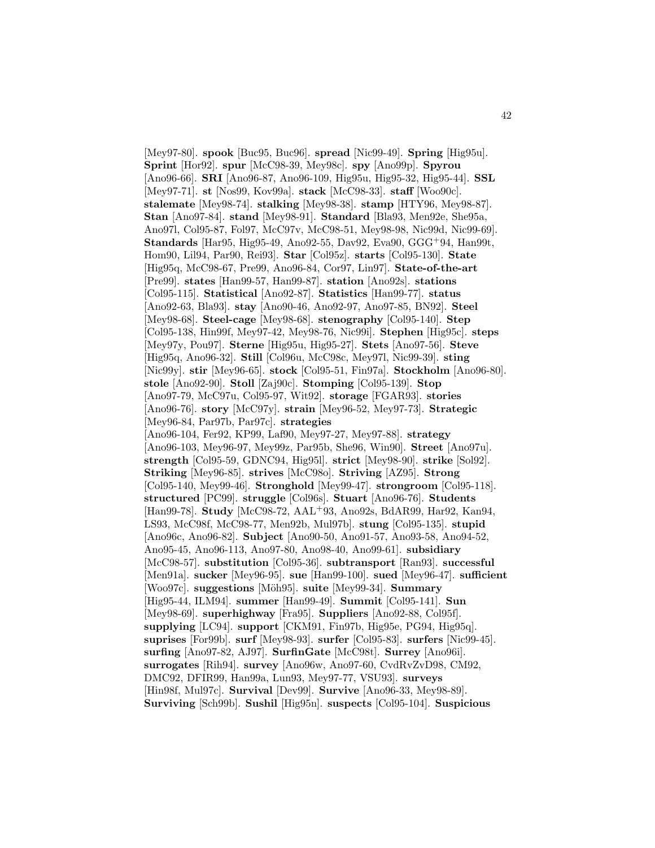[Mey97-80]. **spook** [Buc95, Buc96]. **spread** [Nic99-49]. **Spring** [Hig95u]. **Sprint** [Hor92]. **spur** [McC98-39, Mey98c]. **spy** [Ano99p]. **Spyrou** [Ano96-66]. **SRI** [Ano96-87, Ano96-109, Hig95u, Hig95-32, Hig95-44]. **SSL** [Mey97-71]. **st** [Nos99, Kov99a]. **stack** [McC98-33]. **staff** [Woo90c]. **stalemate** [Mey98-74]. **stalking** [Mey98-38]. **stamp** [HTY96, Mey98-87]. **Stan** [Ano97-84]. **stand** [Mey98-91]. **Standard** [Bla93, Men92e, She95a, Ano97l, Col95-87, Fol97, McC97v, McC98-51, Mey98-98, Nic99d, Nic99-69]. **Standards** [Har95, Hig95-49, Ano92-55, Dav92, Eva90, GGG<sup>+</sup>94, Han99t, Hom90, Lil94, Par90, Rei93]. **Star** [Col95z]. **starts** [Col95-130]. **State** [Hig95q, McC98-67, Pre99, Ano96-84, Cor97, Lin97]. **State-of-the-art** [Pre99]. **states** [Han99-57, Han99-87]. **station** [Ano92s]. **stations** [Col95-115]. **Statistical** [Ano92-87]. **Statistics** [Han99-77]. **status** [Ano92-63, Bla93]. **stay** [Ano90-46, Ano92-97, Ano97-85, BN92]. **Steel** [Mey98-68]. **Steel-cage** [Mey98-68]. **stenography** [Col95-140]. **Step** [Col95-138, Hin99f, Mey97-42, Mey98-76, Nic99i]. **Stephen** [Hig95c]. **steps** [Mey97y, Pou97]. **Sterne** [Hig95u, Hig95-27]. **Stets** [Ano97-56]. **Steve** [Hig95q, Ano96-32]. **Still** [Col96u, McC98c, Mey97l, Nic99-39]. **sting** [Nic99y]. **stir** [Mey96-65]. **stock** [Col95-51, Fin97a]. **Stockholm** [Ano96-80]. **stole** [Ano92-90]. **Stoll** [Zaj90c]. **Stomping** [Col95-139]. **Stop** [Ano97-79, McC97u, Col95-97, Wit92]. **storage** [FGAR93]. **stories** [Ano96-76]. **story** [McC97y]. **strain** [Mey96-52, Mey97-73]. **Strategic** [Mey96-84, Par97b, Par97c]. **strategies** [Ano96-104, Fer92, KP99, Laf90, Mey97-27, Mey97-88]. **strategy** [Ano96-103, Mey96-97, Mey99z, Par95b, She96, Win90]. **Street** [Ano97u]. **strength** [Col95-59, GDNC94, Hig95l]. **strict** [Mey98-90]. **strike** [Sol92]. **Striking** [Mey96-85]. **strives** [McC98o]. **Striving** [AZ95]. **Strong** [Col95-140, Mey99-46]. **Stronghold** [Mey99-47]. **strongroom** [Col95-118]. **structured** [PC99]. **struggle** [Col96s]. **Stuart** [Ano96-76]. **Students** [Han99-78]. **Study** [McC98-72, AAL<sup>+</sup>93, Ano92s, BdAR99, Har92, Kan94, LS93, McC98f, McC98-77, Men92b, Mul97b]. **stung** [Col95-135]. **stupid** [Ano96c, Ano96-82]. **Subject** [Ano90-50, Ano91-57, Ano93-58, Ano94-52, Ano95-45, Ano96-113, Ano97-80, Ano98-40, Ano99-61]. **subsidiary** [McC98-57]. **substitution** [Col95-36]. **subtransport** [Ran93]. **successful** [Men91a]. **sucker** [Mey96-95]. **sue** [Han99-100]. **sued** [Mey96-47]. **sufficient** [Woo97c]. **suggestions** [M¨oh95]. **suite** [Mey99-34]. **Summary** [Hig95-44, ILM94]. **summer** [Han99-49]. **Summit** [Col95-141]. **Sun** [Mey98-69]. **superhighway** [Fra95]. **Suppliers** [Ano92-88, Col95f]. **supplying** [LC94]. **support** [CKM91, Fin97b, Hig95e, PG94, Hig95q]. **suprises** [For99b]. **surf** [Mey98-93]. **surfer** [Col95-83]. **surfers** [Nic99-45]. **surfing** [Ano97-82, AJ97]. **SurfinGate** [McC98t]. **Surrey** [Ano96i]. **surrogates** [Rih94]. **survey** [Ano96w, Ano97-60, CvdRvZvD98, CM92, DMC92, DFIR99, Han99a, Lun93, Mey97-77, VSU93]. **surveys** [Hin98f, Mul97c]. **Survival** [Dev99]. **Survive** [Ano96-33, Mey98-89]. **Surviving** [Sch99b]. **Sushil** [Hig95n]. **suspects** [Col95-104]. **Suspicious**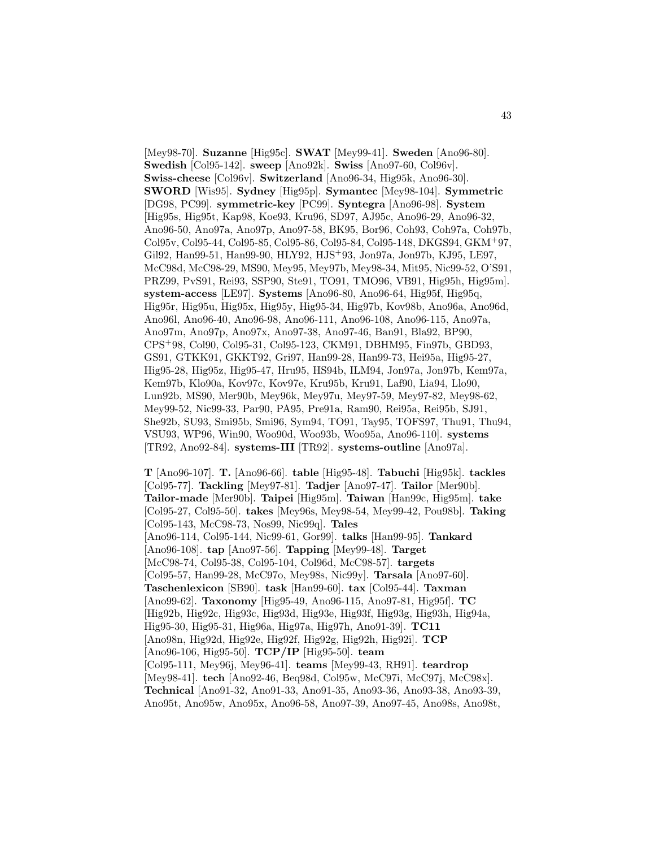[Mey98-70]. **Suzanne** [Hig95c]. **SWAT** [Mey99-41]. **Sweden** [Ano96-80]. **Swedish** [Col95-142]. **sweep** [Ano92k]. **Swiss** [Ano97-60, Col96v]. **Swiss-cheese** [Col96v]. **Switzerland** [Ano96-34, Hig95k, Ano96-30]. **SWORD** [Wis95]. **Sydney** [Hig95p]. **Symantec** [Mey98-104]. **Symmetric** [DG98, PC99]. **symmetric-key** [PC99]. **Syntegra** [Ano96-98]. **System** [Hig95s, Hig95t, Kap98, Koe93, Kru96, SD97, AJ95c, Ano96-29, Ano96-32, Ano96-50, Ano97a, Ano97p, Ano97-58, BK95, Bor96, Coh93, Coh97a, Coh97b, Col95v, Col95-44, Col95-85, Col95-86, Col95-84, Col95-148, DKGS94, GKM<sup>+</sup>97, Gil92, Han99-51, Han99-90, HLY92, HJS<sup>+</sup>93, Jon97a, Jon97b, KJ95, LE97, McC98d, McC98-29, MS90, Mey95, Mey97b, Mey98-34, Mit95, Nic99-52, O'S91, PRZ99, PvS91, Rei93, SSP90, Ste91, TO91, TMO96, VB91, Hig95h, Hig95m]. **system-access** [LE97]. **Systems** [Ano96-80, Ano96-64, Hig95f, Hig95q, Hig95r, Hig95u, Hig95x, Hig95y, Hig95-34, Hig97b, Kov98b, Ano96a, Ano96d, Ano96l, Ano96-40, Ano96-98, Ano96-111, Ano96-108, Ano96-115, Ano97a, Ano97m, Ano97p, Ano97x, Ano97-38, Ano97-46, Ban91, Bla92, BP90, CPS<sup>+</sup>98, Col90, Col95-31, Col95-123, CKM91, DBHM95, Fin97b, GBD93, GS91, GTKK91, GKKT92, Gri97, Han99-28, Han99-73, Hei95a, Hig95-27, Hig95-28, Hig95z, Hig95-47, Hru95, HS94b, ILM94, Jon97a, Jon97b, Kem97a, Kem97b, Klo90a, Kov97c, Kov97e, Kru95b, Kru91, Laf90, Lia94, Llo90, Lun92b, MS90, Mer90b, Mey96k, Mey97u, Mey97-59, Mey97-82, Mey98-62, Mey99-52, Nic99-33, Par90, PA95, Pre91a, Ram90, Rei95a, Rei95b, SJ91, She92b, SU93, Smi95b, Smi96, Sym94, TO91, Tay95, TOFS97, Thu91, Thu94, VSU93, WP96, Win90, Woo90d, Woo93b, Woo95a, Ano96-110]. **systems** [TR92, Ano92-84]. **systems-III** [TR92]. **systems-outline** [Ano97a].

**T** [Ano96-107]. **T.** [Ano96-66]. **table** [Hig95-48]. **Tabuchi** [Hig95k]. **tackles** [Col95-77]. **Tackling** [Mey97-81]. **Tadjer** [Ano97-47]. **Tailor** [Mer90b]. **Tailor-made** [Mer90b]. **Taipei** [Hig95m]. **Taiwan** [Han99c, Hig95m]. **take** [Col95-27, Col95-50]. **takes** [Mey96s, Mey98-54, Mey99-42, Pou98b]. **Taking** [Col95-143, McC98-73, Nos99, Nic99q]. **Tales** [Ano96-114, Col95-144, Nic99-61, Gor99]. **talks** [Han99-95]. **Tankard** [Ano96-108]. **tap** [Ano97-56]. **Tapping** [Mey99-48]. **Target** [McC98-74, Col95-38, Col95-104, Col96d, McC98-57]. **targets** [Col95-57, Han99-28, McC97o, Mey98s, Nic99y]. **Tarsala** [Ano97-60]. **Taschenlexicon** [SB90]. **task** [Han99-60]. **tax** [Col95-44]. **Taxman** [Ano99-62]. **Taxonomy** [Hig95-49, Ano96-115, Ano97-81, Hig95f]. **TC** [Hig92b, Hig92c, Hig93c, Hig93d, Hig93e, Hig93f, Hig93g, Hig93h, Hig94a, Hig95-30, Hig95-31, Hig96a, Hig97a, Hig97h, Ano91-39]. **TC11** [Ano98n, Hig92d, Hig92e, Hig92f, Hig92g, Hig92h, Hig92i]. **TCP** [Ano96-106, Hig95-50]. **TCP/IP** [Hig95-50]. **team** [Col95-111, Mey96j, Mey96-41]. **teams** [Mey99-43, RH91]. **teardrop** [Mey98-41]. **tech** [Ano92-46, Beq98d, Col95w, McC97i, McC97j, McC98x]. **Technical** [Ano91-32, Ano91-33, Ano91-35, Ano93-36, Ano93-38, Ano93-39, Ano95t, Ano95w, Ano95x, Ano96-58, Ano97-39, Ano97-45, Ano98s, Ano98t,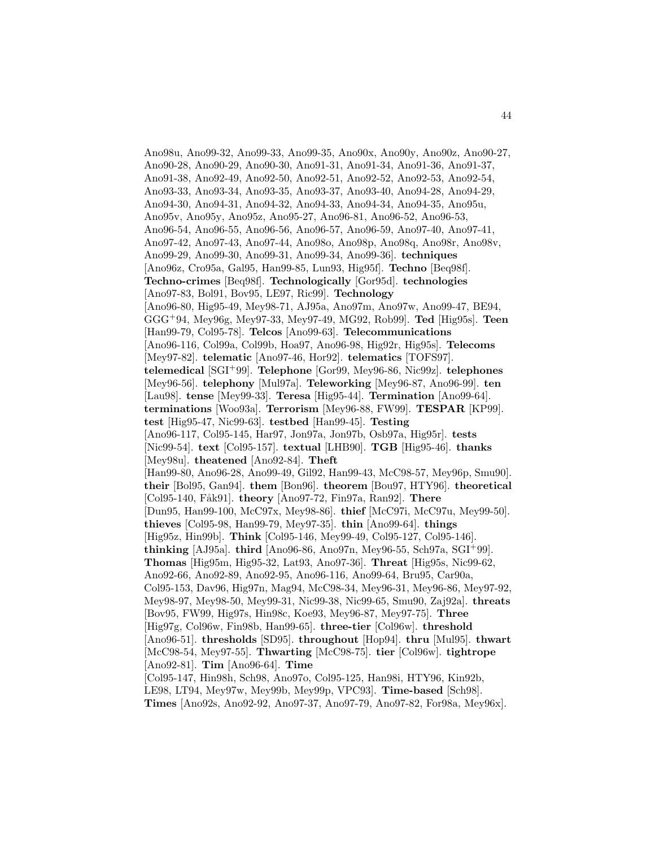Ano98u, Ano99-32, Ano99-33, Ano99-35, Ano90x, Ano90y, Ano90z, Ano90-27, Ano90-28, Ano90-29, Ano90-30, Ano91-31, Ano91-34, Ano91-36, Ano91-37, Ano91-38, Ano92-49, Ano92-50, Ano92-51, Ano92-52, Ano92-53, Ano92-54, Ano93-33, Ano93-34, Ano93-35, Ano93-37, Ano93-40, Ano94-28, Ano94-29, Ano94-30, Ano94-31, Ano94-32, Ano94-33, Ano94-34, Ano94-35, Ano95u, Ano95v, Ano95y, Ano95z, Ano95-27, Ano96-81, Ano96-52, Ano96-53, Ano96-54, Ano96-55, Ano96-56, Ano96-57, Ano96-59, Ano97-40, Ano97-41, Ano97-42, Ano97-43, Ano97-44, Ano98o, Ano98p, Ano98q, Ano98r, Ano98v, Ano99-29, Ano99-30, Ano99-31, Ano99-34, Ano99-36]. **techniques** [Ano96z, Cro95a, Gal95, Han99-85, Lun93, Hig95f]. **Techno** [Beq98f]. **Techno-crimes** [Beq98f]. **Technologically** [Gor95d]. **technologies** [Ano97-83, Bol91, Bov95, LE97, Ric99]. **Technology** [Ano96-80, Hig95-49, Mey98-71, AJ95a, Ano97m, Ano97w, Ano99-47, BE94, GGG<sup>+</sup>94, Mey96g, Mey97-33, Mey97-49, MG92, Rob99]. **Ted** [Hig95s]. **Teen** [Han99-79, Col95-78]. **Telcos** [Ano99-63]. **Telecommunications** [Ano96-116, Col99a, Col99b, Hoa97, Ano96-98, Hig92r, Hig95s]. **Telecoms** [Mey97-82]. **telematic** [Ano97-46, Hor92]. **telematics** [TOFS97]. **telemedical** [SGI<sup>+</sup>99]. **Telephone** [Gor99, Mey96-86, Nic99z]. **telephones** [Mey96-56]. **telephony** [Mul97a]. **Teleworking** [Mey96-87, Ano96-99]. **ten** [Lau98]. **tense** [Mey99-33]. **Teresa** [Hig95-44]. **Termination** [Ano99-64]. **terminations** [Woo93a]. **Terrorism** [Mey96-88, FW99]. **TESPAR** [KP99]. **test** [Hig95-47, Nic99-63]. **testbed** [Han99-45]. **Testing** [Ano96-117, Col95-145, Har97, Jon97a, Jon97b, Osb97a, Hig95r]. **tests** [Nic99-54]. **text** [Col95-157]. **textual** [LHB90]. **TGB** [Hig95-46]. **thanks** [Mey98u]. **theatened** [Ano92-84]. **Theft** [Han99-80, Ano96-28, Ano99-49, Gil92, Han99-43, McC98-57, Mey96p, Smu90]. **their** [Bol95, Gan94]. **them** [Bon96]. **theorem** [Bou97, HTY96]. **theoretical** [Col95-140, Fåk91]. **theory** [Ano97-72, Fin97a, Ran92]. **There** [Dun95, Han99-100, McC97x, Mey98-86]. **thief** [McC97i, McC97u, Mey99-50]. **thieves** [Col95-98, Han99-79, Mey97-35]. **thin** [Ano99-64]. **things** [Hig95z, Hin99b]. **Think** [Col95-146, Mey99-49, Col95-127, Col95-146]. **thinking** [AJ95a]. **third** [Ano96-86, Ano97n, Mey96-55, Sch97a, SGI<sup>+</sup>99]. **Thomas** [Hig95m, Hig95-32, Lat93, Ano97-36]. **Threat** [Hig95s, Nic99-62, Ano92-66, Ano92-89, Ano92-95, Ano96-116, Ano99-64, Bru95, Car90a, Col95-153, Dav96, Hig97n, Mag94, McC98-34, Mey96-31, Mey96-86, Mey97-92, Mey98-97, Mey98-50, Mey99-31, Nic99-38, Nic99-65, Smu90, Zaj92a]. **threats** [Bov95, FW99, Hig97s, Hin98c, Koe93, Mey96-87, Mey97-75]. **Three** [Hig97g, Col96w, Fin98b, Han99-65]. **three-tier** [Col96w]. **threshold** [Ano96-51]. **thresholds** [SD95]. **throughout** [Hop94]. **thru** [Mul95]. **thwart** [McC98-54, Mey97-55]. **Thwarting** [McC98-75]. **tier** [Col96w]. **tightrope** [Ano92-81]. **Tim** [Ano96-64]. **Time** [Col95-147, Hin98h, Sch98, Ano97o, Col95-125, Han98i, HTY96, Kin92b, LE98, LT94, Mey97w, Mey99b, Mey99p, VPC93]. **Time-based** [Sch98].

**Times** [Ano92s, Ano92-92, Ano97-37, Ano97-79, Ano97-82, For98a, Mey96x].

44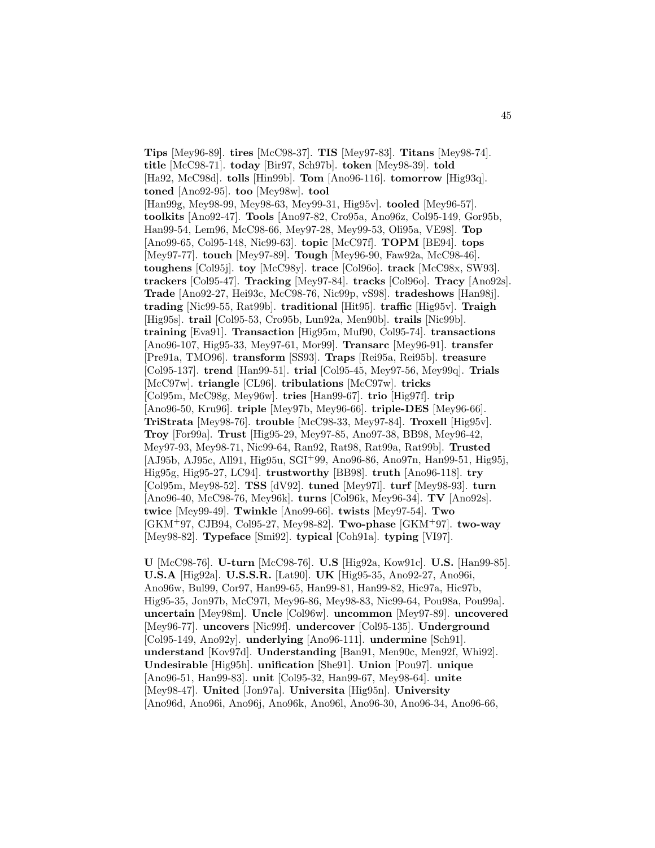**Tips** [Mey96-89]. **tires** [McC98-37]. **TIS** [Mey97-83]. **Titans** [Mey98-74]. **title** [McC98-71]. **today** [Bir97, Sch97b]. **token** [Mey98-39]. **told** [Ha92, McC98d]. **tolls** [Hin99b]. **Tom** [Ano96-116]. **tomorrow** [Hig93q]. **toned** [Ano92-95]. **too** [Mey98w]. **tool** [Han99g, Mey98-99, Mey98-63, Mey99-31, Hig95v]. **tooled** [Mey96-57]. **toolkits** [Ano92-47]. **Tools** [Ano97-82, Cro95a, Ano96z, Col95-149, Gor95b, Han99-54, Lem96, McC98-66, Mey97-28, Mey99-53, Oli95a, VE98]. **Top** [Ano99-65, Col95-148, Nic99-63]. **topic** [McC97f]. **TOPM** [BE94]. **tops** [Mey97-77]. **touch** [Mey97-89]. **Tough** [Mey96-90, Faw92a, McC98-46]. **toughens** [Col95j]. **toy** [McC98y]. **trace** [Col96o]. **track** [McC98x, SW93]. **trackers** [Col95-47]. **Tracking** [Mey97-84]. **tracks** [Col96o]. **Tracy** [Ano92s]. **Trade** [Ano92-27, Hei93c, McC98-76, Nic99p, vS98]. **tradeshows** [Han98j]. **trading** [Nic99-55, Rat99b]. **traditional** [Hit95]. **traffic** [Hig95v]. **Traigh** [Hig95s]. **trail** [Col95-53, Cro95b, Lun92a, Men90b]. **trails** [Nic99b]. **training** [Eva91]. **Transaction** [Hig95m, Muf90, Col95-74]. **transactions** [Ano96-107, Hig95-33, Mey97-61, Mor99]. **Transarc** [Mey96-91]. **transfer** [Pre91a, TMO96]. **transform** [SS93]. **Traps** [Rei95a, Rei95b]. **treasure** [Col95-137]. **trend** [Han99-51]. **trial** [Col95-45, Mey97-56, Mey99q]. **Trials** [McC97w]. **triangle** [CL96]. **tribulations** [McC97w]. **tricks** [Col95m, McC98g, Mey96w]. **tries** [Han99-67]. **trio** [Hig97f]. **trip** [Ano96-50, Kru96]. **triple** [Mey97b, Mey96-66]. **triple-DES** [Mey96-66]. **TriStrata** [Mey98-76]. **trouble** [McC98-33, Mey97-84]. **Troxell** [Hig95v]. **Troy** [For99a]. **Trust** [Hig95-29, Mey97-85, Ano97-38, BB98, Mey96-42, Mey97-93, Mey98-71, Nic99-64, Ran92, Rat98, Rat99a, Rat99b]. **Trusted** [AJ95b, AJ95c, All91, Hig95u, SGI<sup>+</sup>99, Ano96-86, Ano97n, Han99-51, Hig95j, Hig95g, Hig95-27, LC94]. **trustworthy** [BB98]. **truth** [Ano96-118]. **try** [Col95m, Mey98-52]. **TSS** [dV92]. **tuned** [Mey97l]. **turf** [Mey98-93]. **turn** [Ano96-40, McC98-76, Mey96k]. **turns** [Col96k, Mey96-34]. **TV** [Ano92s]. **twice** [Mey99-49]. **Twinkle** [Ano99-66]. **twists** [Mey97-54]. **Two** [GKM<sup>+</sup>97, CJB94, Col95-27, Mey98-82]. **Two-phase** [GKM<sup>+</sup>97]. **two-way** [Mey98-82]. **Typeface** [Smi92]. **typical** [Coh91a]. **typing** [VI97].

**U** [McC98-76]. **U-turn** [McC98-76]. **U.S** [Hig92a, Kow91c]. **U.S.** [Han99-85]. **U.S.A** [Hig92a]. **U.S.S.R.** [Lat90]. **UK** [Hig95-35, Ano92-27, Ano96i, Ano96w, Bul99, Cor97, Han99-65, Han99-81, Han99-82, Hic97a, Hic97b, Hig95-35, Jon97b, McC97l, Mey96-86, Mey98-83, Nic99-64, Pou98a, Pou99a]. **uncertain** [Mey98m]. **Uncle** [Col96w]. **uncommon** [Mey97-89]. **uncovered** [Mey96-77]. **uncovers** [Nic99f]. **undercover** [Col95-135]. **Underground** [Col95-149, Ano92y]. **underlying** [Ano96-111]. **undermine** [Sch91]. **understand** [Kov97d]. **Understanding** [Ban91, Men90c, Men92f, Whi92]. **Undesirable** [Hig95h]. **unification** [She91]. **Union** [Pou97]. **unique** [Ano96-51, Han99-83]. **unit** [Col95-32, Han99-67, Mey98-64]. **unite** [Mey98-47]. **United** [Jon97a]. **Universita** [Hig95n]. **University** [Ano96d, Ano96i, Ano96j, Ano96k, Ano96l, Ano96-30, Ano96-34, Ano96-66,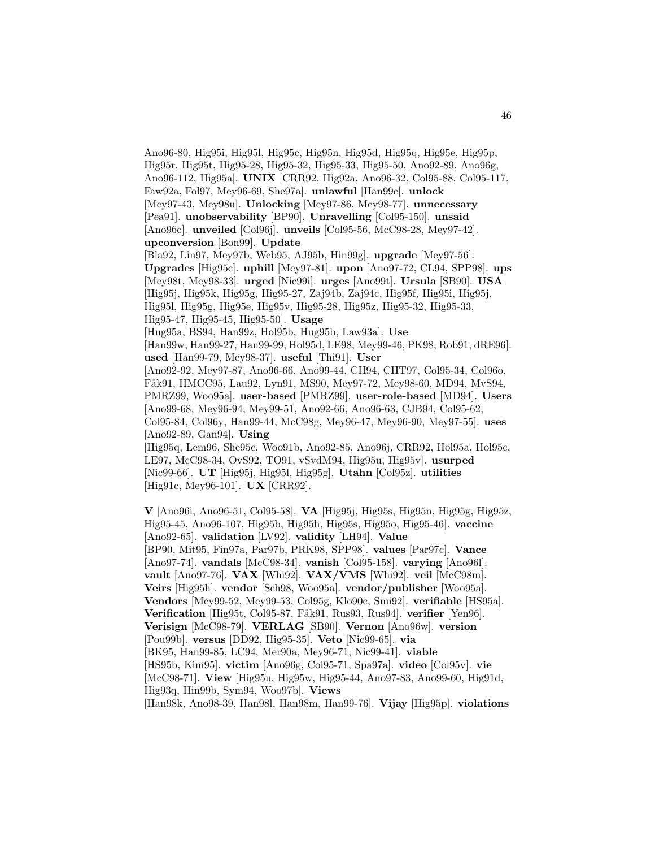Ano96-80, Hig95i, Hig95l, Hig95c, Hig95n, Hig95d, Hig95q, Hig95e, Hig95p, Hig95r, Hig95t, Hig95-28, Hig95-32, Hig95-33, Hig95-50, Ano92-89, Ano96g, Ano96-112, Hig95a]. **UNIX** [CRR92, Hig92a, Ano96-32, Col95-88, Col95-117, Faw92a, Fol97, Mey96-69, She97a]. **unlawful** [Han99e]. **unlock** [Mey97-43, Mey98u]. **Unlocking** [Mey97-86, Mey98-77]. **unnecessary** [Pea91]. **unobservability** [BP90]. **Unravelling** [Col95-150]. **unsaid** [Ano96c]. **unveiled** [Col96j]. **unveils** [Col95-56, McC98-28, Mey97-42]. **upconversion** [Bon99]. **Update** [Bla92, Lin97, Mey97b, Web95, AJ95b, Hin99g]. **upgrade** [Mey97-56]. **Upgrades** [Hig95c]. **uphill** [Mey97-81]. **upon** [Ano97-72, CL94, SPP98]. **ups** [Mey98t, Mey98-33]. **urged** [Nic99i]. **urges** [Ano99t]. **Ursula** [SB90]. **USA** [Hig95j, Hig95k, Hig95g, Hig95-27, Zaj94b, Zaj94c, Hig95f, Hig95i, Hig95j, Hig95l, Hig95g, Hig95e, Hig95v, Hig95-28, Hig95z, Hig95-32, Hig95-33, Hig95-47, Hig95-45, Hig95-50]. **Usage** [Hug95a, BS94, Han99z, Hol95b, Hug95b, Law93a]. **Use** [Han99w, Han99-27, Han99-99, Hol95d, LE98, Mey99-46, PK98, Rob91, dRE96]. **used** [Han99-79, Mey98-37]. **useful** [Thi91]. **User** [Ano92-92, Mey97-87, Ano96-66, Ano99-44, CH94, CHT97, Col95-34, Col96o, Fåk91, HMCC95, Lau92, Lyn91, MS90, Mey97-72, Mey98-60, MD94, MvS94, PMRZ99, Woo95a]. **user-based** [PMRZ99]. **user-role-based** [MD94]. **Users** [Ano99-68, Mey96-94, Mey99-51, Ano92-66, Ano96-63, CJB94, Col95-62, Col95-84, Col96y, Han99-44, McC98g, Mey96-47, Mey96-90, Mey97-55]. **uses** [Ano92-89, Gan94]. **Using** [Hig95q, Lem96, She95c, Woo91b, Ano92-85, Ano96j, CRR92, Hol95a, Hol95c, LE97, McC98-34, OvS92, TO91, vSvdM94, Hig95u, Hig95v]. **usurped** [Nic99-66]. **UT** [Hig95j, Hig95l, Hig95g]. **Utahn** [Col95z]. **utilities** [Hig91c, Mey96-101]. **UX** [CRR92].

**V** [Ano96i, Ano96-51, Col95-58]. **VA** [Hig95j, Hig95s, Hig95n, Hig95g, Hig95z, Hig95-45, Ano96-107, Hig95b, Hig95h, Hig95s, Hig95o, Hig95-46]. **vaccine** [Ano92-65]. **validation** [LV92]. **validity** [LH94]. **Value** [BP90, Mit95, Fin97a, Par97b, PRK98, SPP98]. **values** [Par97c]. **Vance** [Ano97-74]. **vandals** [McC98-34]. **vanish** [Col95-158]. **varying** [Ano96l]. **vault** [Ano97-76]. **VAX** [Whi92]. **VAX/VMS** [Whi92]. **veil** [McC98m]. **Veirs** [Hig95h]. **vendor** [Sch98, Woo95a]. **vendor/publisher** [Woo95a]. **Vendors** [Mey99-52, Mey99-53, Col95g, Klo90c, Smi92]. **verifiable** [HS95a]. **Verification** [Hig95t, Col95-87, Fåk91, Rus93, Rus94]. **verifier** [Yen96]. **Verisign** [McC98-79]. **VERLAG** [SB90]. **Vernon** [Ano96w]. **version** [Pou99b]. **versus** [DD92, Hig95-35]. **Veto** [Nic99-65]. **via** [BK95, Han99-85, LC94, Mer90a, Mey96-71, Nic99-41]. **viable** [HS95b, Kim95]. **victim** [Ano96g, Col95-71, Spa97a]. **video** [Col95v]. **vie** [McC98-71]. **View** [Hig95u, Hig95w, Hig95-44, Ano97-83, Ano99-60, Hig91d, Hig93q, Hin99b, Sym94, Woo97b]. **Views** [Han98k, Ano98-39, Han98l, Han98m, Han99-76]. **Vijay** [Hig95p]. **violations**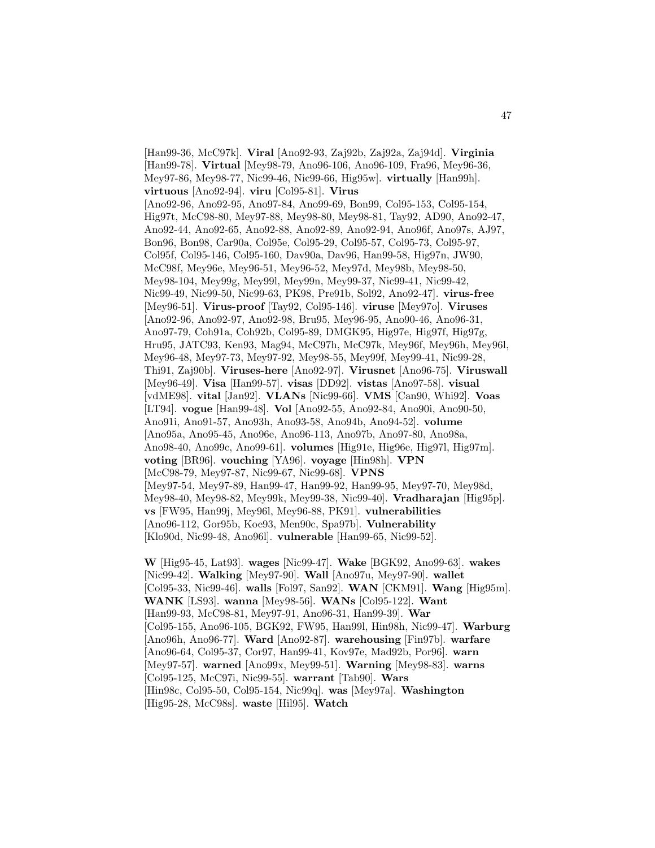[Han99-36, McC97k]. **Viral** [Ano92-93, Zaj92b, Zaj92a, Zaj94d]. **Virginia** [Han99-78]. **Virtual** [Mey98-79, Ano96-106, Ano96-109, Fra96, Mey96-36, Mey97-86, Mey98-77, Nic99-46, Nic99-66, Hig95w]. **virtually** [Han99h]. **virtuous** [Ano92-94]. **viru** [Col95-81]. **Virus** [Ano92-96, Ano92-95, Ano97-84, Ano99-69, Bon99, Col95-153, Col95-154, Hig97t, McC98-80, Mey97-88, Mey98-80, Mey98-81, Tay92, AD90, Ano92-47, Ano92-44, Ano92-65, Ano92-88, Ano92-89, Ano92-94, Ano96f, Ano97s, AJ97, Bon96, Bon98, Car90a, Col95e, Col95-29, Col95-57, Col95-73, Col95-97, Col95f, Col95-146, Col95-160, Dav90a, Dav96, Han99-58, Hig97n, JW90, McC98f, Mey96e, Mey96-51, Mey96-52, Mey97d, Mey98b, Mey98-50, Mey98-104, Mey99g, Mey99l, Mey99n, Mey99-37, Nic99-41, Nic99-42, Nic99-49, Nic99-50, Nic99-63, PK98, Pre91b, Sol92, Ano92-47]. **virus-free** [Mey96-51]. **Virus-proof** [Tay92, Col95-146]. **viruse** [Mey97o]. **Viruses** [Ano92-96, Ano92-97, Ano92-98, Bru95, Mey96-95, Ano90-46, Ano96-31, Ano97-79, Coh91a, Coh92b, Col95-89, DMGK95, Hig97e, Hig97f, Hig97g, Hru95, JATC93, Ken93, Mag94, McC97h, McC97k, Mey96f, Mey96h, Mey96l, Mey96-48, Mey97-73, Mey97-92, Mey98-55, Mey99f, Mey99-41, Nic99-28, Thi91, Zaj90b]. **Viruses-here** [Ano92-97]. **Virusnet** [Ano96-75]. **Viruswall** [Mey96-49]. **Visa** [Han99-57]. **visas** [DD92]. **vistas** [Ano97-58]. **visual** [vdME98]. **vital** [Jan92]. **VLANs** [Nic99-66]. **VMS** [Can90, Whi92]. **Voas** [LT94]. **vogue** [Han99-48]. **Vol** [Ano92-55, Ano92-84, Ano90i, Ano90-50, Ano91i, Ano91-57, Ano93h, Ano93-58, Ano94b, Ano94-52]. **volume** [Ano95a, Ano95-45, Ano96e, Ano96-113, Ano97b, Ano97-80, Ano98a, Ano98-40, Ano99c, Ano99-61]. **volumes** [Hig91e, Hig96e, Hig97l, Hig97m]. **voting** [BR96]. **vouching** [YA96]. **voyage** [Hin98h]. **VPN** [McC98-79, Mey97-87, Nic99-67, Nic99-68]. **VPNS** [Mey97-54, Mey97-89, Han99-47, Han99-92, Han99-95, Mey97-70, Mey98d, Mey98-40, Mey98-82, Mey99k, Mey99-38, Nic99-40]. **Vradharajan** [Hig95p]. **vs** [FW95, Han99j, Mey96l, Mey96-88, PK91]. **vulnerabilities** [Ano96-112, Gor95b, Koe93, Men90c, Spa97b]. **Vulnerability** [Klo90d, Nic99-48, Ano96l]. **vulnerable** [Han99-65, Nic99-52].

**W** [Hig95-45, Lat93]. **wages** [Nic99-47]. **Wake** [BGK92, Ano99-63]. **wakes** [Nic99-42]. **Walking** [Mey97-90]. **Wall** [Ano97u, Mey97-90]. **wallet** [Col95-33, Nic99-46]. **walls** [Fol97, San92]. **WAN** [CKM91]. **Wang** [Hig95m]. **WANK** [LS93]. **wanna** [Mey98-56]. **WANs** [Col95-122]. **Want** [Han99-93, McC98-81, Mey97-91, Ano96-31, Han99-39]. **War** [Col95-155, Ano96-105, BGK92, FW95, Han99l, Hin98h, Nic99-47]. **Warburg** [Ano96h, Ano96-77]. **Ward** [Ano92-87]. **warehousing** [Fin97b]. **warfare** [Ano96-64, Col95-37, Cor97, Han99-41, Kov97e, Mad92b, Por96]. **warn** [Mey97-57]. **warned** [Ano99x, Mey99-51]. **Warning** [Mey98-83]. **warns** [Col95-125, McC97i, Nic99-55]. **warrant** [Tab90]. **Wars** [Hin98c, Col95-50, Col95-154, Nic99q]. **was** [Mey97a]. **Washington** [Hig95-28, McC98s]. **waste** [Hil95]. **Watch**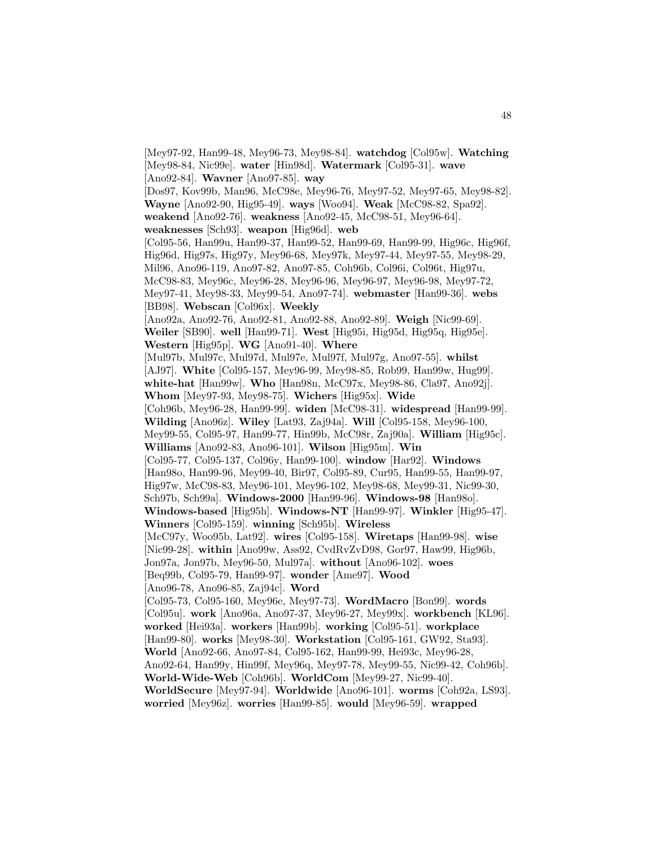[Mey97-92, Han99-48, Mey96-73, Mey98-84]. **watchdog** [Col95w]. **Watching** [Mey98-84, Nic99e]. **water** [Hin98d]. **Watermark** [Col95-31]. **wave** [Ano92-84]. **Wavner** [Ano97-85]. **way** [Dos97, Kov99b, Man96, McC98e, Mey96-76, Mey97-52, Mey97-65, Mey98-82]. **Wayne** [Ano92-90, Hig95-49]. **ways** [Woo94]. **Weak** [McC98-82, Spa92]. **weakend** [Ano92-76]. **weakness** [Ano92-45, McC98-51, Mey96-64]. **weaknesses** [Sch93]. **weapon** [Hig96d]. **web** [Col95-56, Han99u, Han99-37, Han99-52, Han99-69, Han99-99, Hig96c, Hig96f, Hig96d, Hig97s, Hig97y, Mey96-68, Mey97k, Mey97-44, Mey97-55, Mey98-29, Mil96, Ano96-119, Ano97-82, Ano97-85, Coh96b, Col96i, Col96t, Hig97u, McC98-83, Mey96c, Mey96-28, Mey96-96, Mey96-97, Mey96-98, Mey97-72, Mey97-41, Mey98-33, Mey99-54, Ano97-74]. **webmaster** [Han99-36]. **webs** [BB98]. **Webscan** [Col96x]. **Weekly** [Ano92a, Ano92-76, Ano92-81, Ano92-88, Ano92-89]. **Weigh** [Nic99-69]. **Weiler** [SB90]. **well** [Han99-71]. **West** [Hig95i, Hig95d, Hig95q, Hig95e]. **Western** [Hig95p]. **WG** [Ano91-40]. **Where** [Mul97b, Mul97c, Mul97d, Mul97e, Mul97f, Mul97g, Ano97-55]. **whilst** [AJ97]. **White** [Col95-157, Mey96-99, Mey98-85, Rob99, Han99w, Hug99]. **white-hat** [Han99w]. **Who** [Han98n, McC97x, Mey98-86, Cla97, Ano92j]. **Whom** [Mey97-93, Mey98-75]. **Wichers** [Hig95x]. **Wide** [Coh96b, Mey96-28, Han99-99]. **widen** [McC98-31]. **widespread** [Han99-99]. **Wilding** [Ano96z]. **Wiley** [Lat93, Zaj94a]. **Will** [Col95-158, Mey96-100, Mey99-55, Col95-97, Han99-77, Hin99b, McC98r, Zaj90a]. **William** [Hig95c]. **Williams** [Ano92-83, Ano96-101]. **Wilson** [Hig95m]. **Win** [Col95-77, Col95-137, Col96y, Han99-100]. **window** [Har92]. **Windows** [Han98o, Han99-96, Mey99-40, Bir97, Col95-89, Cur95, Han99-55, Han99-97, Hig97w, McC98-83, Mey96-101, Mey96-102, Mey98-68, Mey99-31, Nic99-30, Sch97b, Sch99a]. **Windows-2000** [Han99-96]. **Windows-98** [Han98o]. **Windows-based** [Hig95h]. **Windows-NT** [Han99-97]. **Winkler** [Hig95-47]. **Winners** [Col95-159]. **winning** [Sch95b]. **Wireless** [McC97y, Woo95b, Lat92]. **wires** [Col95-158]. **Wiretaps** [Han99-98]. **wise** [Nic99-28]. **within** [Ano99w, Ass92, CvdRvZvD98, Gor97, Haw99, Hig96b, Jon97a, Jon97b, Mey96-50, Mul97a]. **without** [Ano96-102]. **woes** [Beq99b, Col95-79, Han99-97]. **wonder** [Ame97]. **Wood** [Ano96-78, Ano96-85, Zaj94c]. **Word** [Col95-73, Col95-160, Mey96e, Mey97-73]. **WordMacro** [Bon99]. **words** [Col95u]. **work** [Ano96a, Ano97-37, Mey96-27, Mey99x]. **workbench** [KL96]. **worked** [Hei93a]. **workers** [Han99b]. **working** [Col95-51]. **workplace** [Han99-80]. **works** [Mey98-30]. **Workstation** [Col95-161, GW92, Sta93]. **World** [Ano92-66, Ano97-84, Col95-162, Han99-99, Hei93c, Mey96-28, Ano92-64, Han99y, Hin99f, Mey96q, Mey97-78, Mey99-55, Nic99-42, Coh96b]. **World-Wide-Web** [Coh96b]. **WorldCom** [Mey99-27, Nic99-40]. **WorldSecure** [Mey97-94]. **Worldwide** [Ano96-101]. **worms** [Coh92a, LS93]. **worried** [Mey96z]. **worries** [Han99-85]. **would** [Mey96-59]. **wrapped**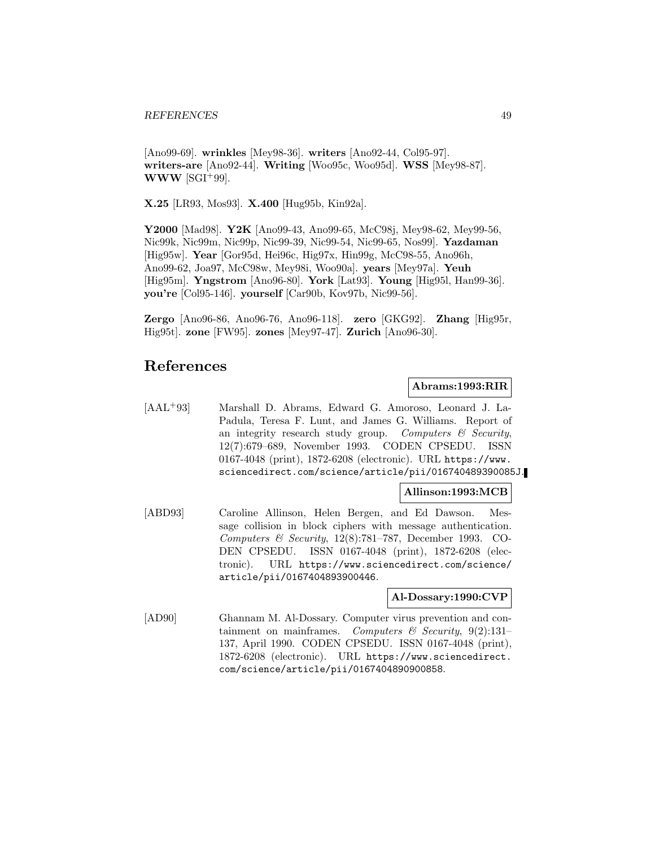[Ano99-69]. **wrinkles** [Mey98-36]. **writers** [Ano92-44, Col95-97]. **writers-are** [Ano92-44]. **Writing** [Woo95c, Woo95d]. **WSS** [Mey98-87]. **WWW** [SGI<sup>+99].</sup>

**X.25** [LR93, Mos93]. **X.400** [Hug95b, Kin92a].

**Y2000** [Mad98]. **Y2K** [Ano99-43, Ano99-65, McC98j, Mey98-62, Mey99-56, Nic99k, Nic99m, Nic99p, Nic99-39, Nic99-54, Nic99-65, Nos99]. **Yazdaman** [Hig95w]. **Year** [Gor95d, Hei96c, Hig97x, Hin99g, McC98-55, Ano96h, Ano99-62, Joa97, McC98w, Mey98i, Woo90a]. **years** [Mey97a]. **Yeuh** [Hig95m]. **Yngstrom** [Ano96-80]. **York** [Lat93]. **Young** [Hig95l, Han99-36]. **you're** [Col95-146]. **yourself** [Car90b, Kov97b, Nic99-56].

**Zergo** [Ano96-86, Ano96-76, Ano96-118]. **zero** [GKG92]. **Zhang** [Hig95r, Hig95t]. **zone** [FW95]. **zones** [Mey97-47]. **Zurich** [Ano96-30].

# **References**

## **Abrams:1993:RIR**

[AAL<sup>+</sup>93] Marshall D. Abrams, Edward G. Amoroso, Leonard J. La-Padula, Teresa F. Lunt, and James G. Williams. Report of an integrity research study group. Computers  $\mathcal C$  Security, 12(7):679–689, November 1993. CODEN CPSEDU. ISSN 0167-4048 (print), 1872-6208 (electronic). URL https://www. sciencedirect.com/science/article/pii/016740489390085J.

## **Allinson:1993:MCB**

[ABD93] Caroline Allinson, Helen Bergen, and Ed Dawson. Message collision in block ciphers with message authentication. Computers & Security, 12(8):781–787, December 1993. CO-DEN CPSEDU. ISSN 0167-4048 (print), 1872-6208 (electronic). URL https://www.sciencedirect.com/science/ article/pii/0167404893900446.

### **Al-Dossary:1990:CVP**

[AD90] Ghannam M. Al-Dossary. Computer virus prevention and containment on mainframes. Computers & Security,  $9(2):131-$ 137, April 1990. CODEN CPSEDU. ISSN 0167-4048 (print), 1872-6208 (electronic). URL https://www.sciencedirect. com/science/article/pii/0167404890900858.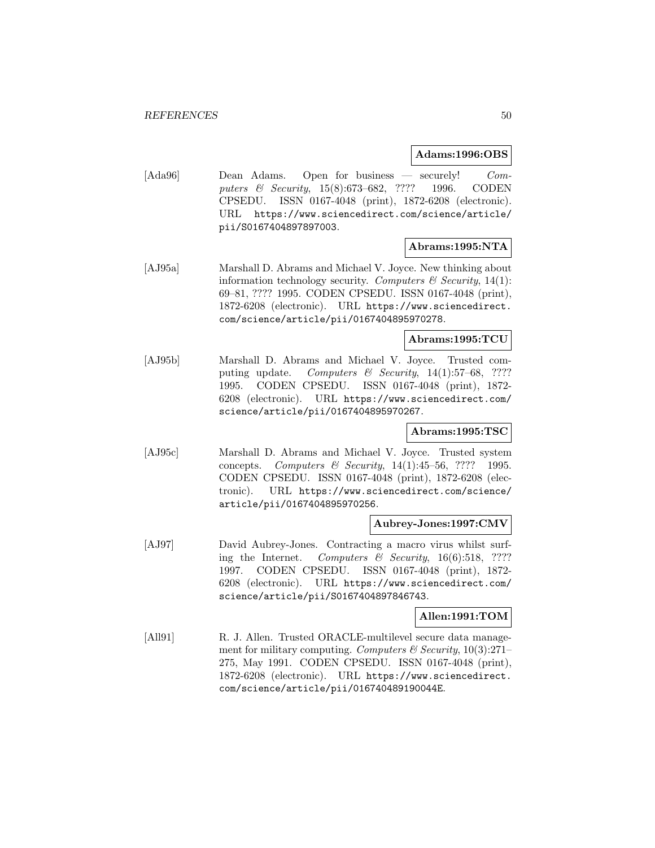**Adams:1996:OBS**

[Ada96] Dean Adams. Open for business — securely! Computers & Security, 15(8):673–682, ???? 1996. CODEN CPSEDU. ISSN 0167-4048 (print), 1872-6208 (electronic). URL https://www.sciencedirect.com/science/article/ pii/S0167404897897003.

## **Abrams:1995:NTA**

[AJ95a] Marshall D. Abrams and Michael V. Joyce. New thinking about information technology security. Computers  $\mathcal C$  Security, 14(1): 69–81, ???? 1995. CODEN CPSEDU. ISSN 0167-4048 (print), 1872-6208 (electronic). URL https://www.sciencedirect. com/science/article/pii/0167404895970278.

## **Abrams:1995:TCU**

[AJ95b] Marshall D. Abrams and Michael V. Joyce. Trusted computing update. Computers & Security,  $14(1):57-68$ , ???? 1995. CODEN CPSEDU. ISSN 0167-4048 (print), 1872- 6208 (electronic). URL https://www.sciencedirect.com/ science/article/pii/0167404895970267.

## **Abrams:1995:TSC**

[AJ95c] Marshall D. Abrams and Michael V. Joyce. Trusted system concepts. Computers & Security,  $14(1):45-56$ , ???? 1995. CODEN CPSEDU. ISSN 0167-4048 (print), 1872-6208 (electronic). URL https://www.sciencedirect.com/science/ article/pii/0167404895970256.

## **Aubrey-Jones:1997:CMV**

[AJ97] David Aubrey-Jones. Contracting a macro virus whilst surfing the Internet. Computers & Security,  $16(6):518$ , ???? 1997. CODEN CPSEDU. ISSN 0167-4048 (print), 1872- 6208 (electronic). URL https://www.sciencedirect.com/ science/article/pii/S0167404897846743.

## **Allen:1991:TOM**

[All91] R. J. Allen. Trusted ORACLE-multilevel secure data management for military computing. Computers & Security,  $10(3):271-$ 275, May 1991. CODEN CPSEDU. ISSN 0167-4048 (print), 1872-6208 (electronic). URL https://www.sciencedirect. com/science/article/pii/016740489190044E.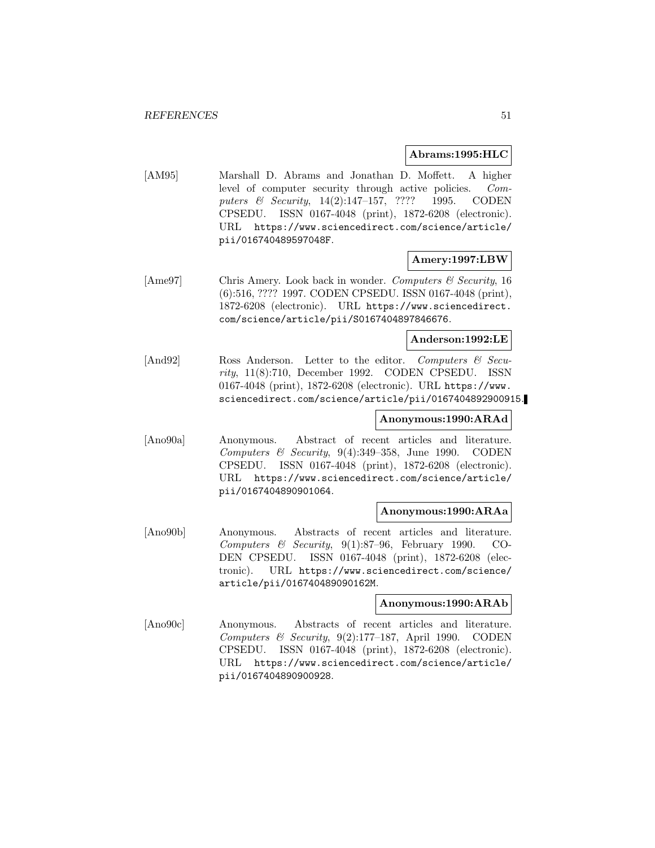### **Abrams:1995:HLC**

[AM95] Marshall D. Abrams and Jonathan D. Moffett. A higher level of computer security through active policies. Computers & Security, 14(2):147-157, ???? 1995. CODEN CPSEDU. ISSN 0167-4048 (print), 1872-6208 (electronic). URL https://www.sciencedirect.com/science/article/ pii/016740489597048F.

## **Amery:1997:LBW**

[Ame97] Chris Amery. Look back in wonder. Computers & Security, 16 (6):516, ???? 1997. CODEN CPSEDU. ISSN 0167-4048 (print), 1872-6208 (electronic). URL https://www.sciencedirect. com/science/article/pii/S0167404897846676.

### **Anderson:1992:LE**

[And92] Ross Anderson. Letter to the editor. Computers & Security, 11(8):710, December 1992. CODEN CPSEDU. ISSN 0167-4048 (print), 1872-6208 (electronic). URL https://www. sciencedirect.com/science/article/pii/0167404892900915.

## **Anonymous:1990:ARAd**

[Ano90a] Anonymous. Abstract of recent articles and literature. Computers & Security,  $9(4):349-358$ , June 1990. CODEN CPSEDU. ISSN 0167-4048 (print), 1872-6208 (electronic). URL https://www.sciencedirect.com/science/article/ pii/0167404890901064.

## **Anonymous:1990:ARAa**

[Ano90b] Anonymous. Abstracts of recent articles and literature. Computers & Security,  $9(1):87-96$ , February 1990. CO-DEN CPSEDU. ISSN 0167-4048 (print), 1872-6208 (electronic). URL https://www.sciencedirect.com/science/ article/pii/016740489090162M.

## **Anonymous:1990:ARAb**

[Ano90c] Anonymous. Abstracts of recent articles and literature. Computers & Security,  $9(2):177-187$ , April 1990. CODEN CPSEDU. ISSN 0167-4048 (print), 1872-6208 (electronic). URL https://www.sciencedirect.com/science/article/ pii/0167404890900928.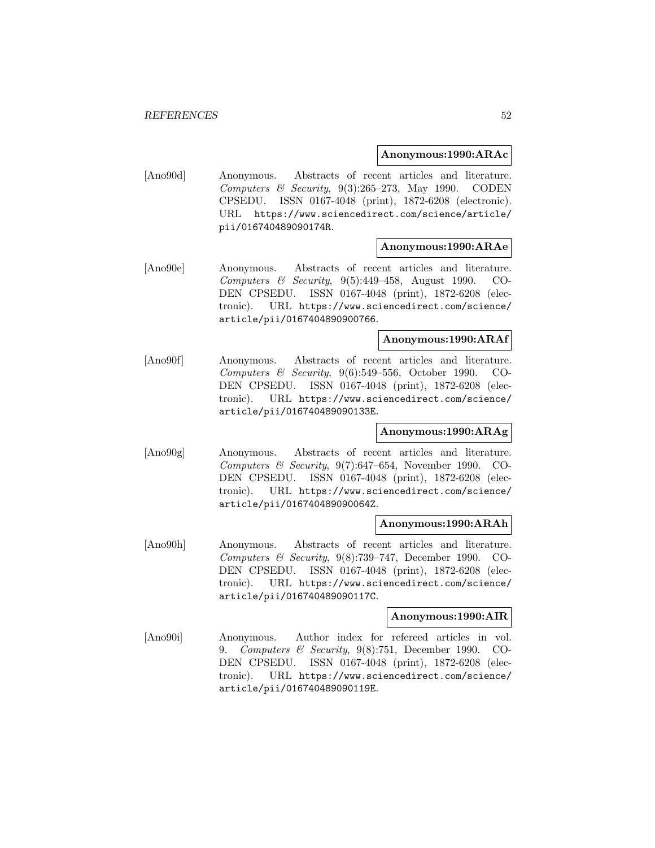#### **Anonymous:1990:ARAc**

[Ano90d] Anonymous. Abstracts of recent articles and literature. Computers & Security,  $9(3):265-273$ , May 1990. CODEN CPSEDU. ISSN 0167-4048 (print), 1872-6208 (electronic). URL https://www.sciencedirect.com/science/article/ pii/016740489090174R.

## **Anonymous:1990:ARAe**

[Ano90e] Anonymous. Abstracts of recent articles and literature. Computers & Security, 9(5):449–458, August 1990. CO-DEN CPSEDU. ISSN 0167-4048 (print), 1872-6208 (electronic). URL https://www.sciencedirect.com/science/ article/pii/0167404890900766.

## **Anonymous:1990:ARAf**

[Ano90f] Anonymous. Abstracts of recent articles and literature. Computers & Security, 9(6):549–556, October 1990. CO-DEN CPSEDU. ISSN 0167-4048 (print), 1872-6208 (electronic). URL https://www.sciencedirect.com/science/ article/pii/016740489090133E.

## **Anonymous:1990:ARAg**

[Ano90g] Anonymous. Abstracts of recent articles and literature. Computers & Security,  $9(7)$ :647–654, November 1990. CO-DEN CPSEDU. ISSN 0167-4048 (print), 1872-6208 (electronic). URL https://www.sciencedirect.com/science/ article/pii/016740489090064Z.

## **Anonymous:1990:ARAh**

[Ano90h] Anonymous. Abstracts of recent articles and literature. Computers & Security,  $9(8)$ :739-747, December 1990. CO-DEN CPSEDU. ISSN 0167-4048 (print), 1872-6208 (electronic). URL https://www.sciencedirect.com/science/ article/pii/016740489090117C.

### **Anonymous:1990:AIR**

[Ano90i] Anonymous. Author index for refereed articles in vol. 9. Computers & Security, 9(8):751, December 1990. CO-DEN CPSEDU. ISSN 0167-4048 (print), 1872-6208 (electronic). URL https://www.sciencedirect.com/science/ article/pii/016740489090119E.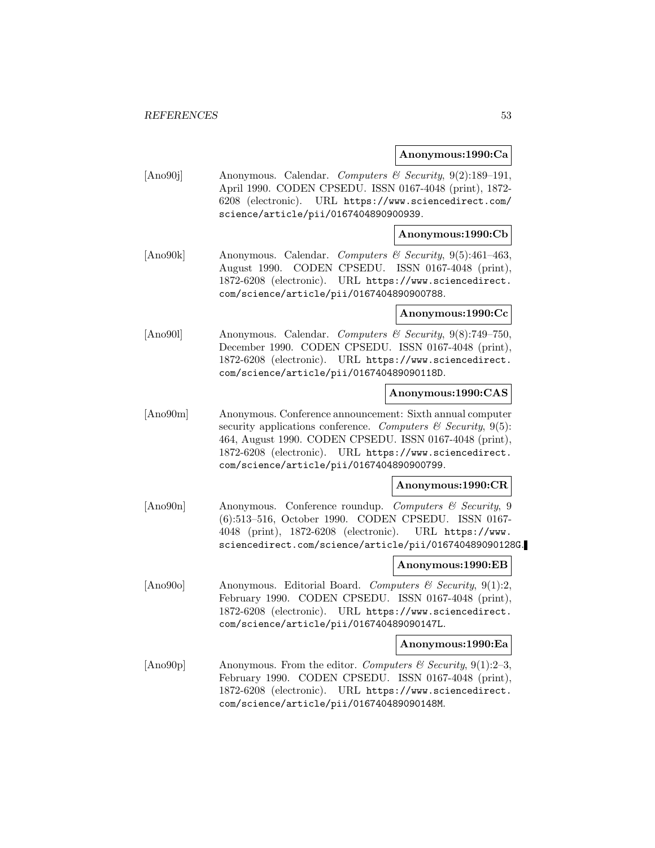### **Anonymous:1990:Ca**

[Ano90j] Anonymous. Calendar. Computers & Security, 9(2):189–191, April 1990. CODEN CPSEDU. ISSN 0167-4048 (print), 1872- 6208 (electronic). URL https://www.sciencedirect.com/ science/article/pii/0167404890900939.

## **Anonymous:1990:Cb**

[Ano90k] Anonymous. Calendar. Computers & Security, 9(5):461–463, August 1990. CODEN CPSEDU. ISSN 0167-4048 (print), 1872-6208 (electronic). URL https://www.sciencedirect. com/science/article/pii/0167404890900788.

### **Anonymous:1990:Cc**

[Ano90l] Anonymous. Calendar. Computers & Security, 9(8):749–750, December 1990. CODEN CPSEDU. ISSN 0167-4048 (print), 1872-6208 (electronic). URL https://www.sciencedirect. com/science/article/pii/016740489090118D.

## **Anonymous:1990:CAS**

[Ano90m] Anonymous. Conference announcement: Sixth annual computer security applications conference. Computers  $\mathcal B$  Security, 9(5): 464, August 1990. CODEN CPSEDU. ISSN 0167-4048 (print), 1872-6208 (electronic). URL https://www.sciencedirect. com/science/article/pii/0167404890900799.

#### **Anonymous:1990:CR**

[Ano90n] Anonymous. Conference roundup. Computers & Security, 9 (6):513–516, October 1990. CODEN CPSEDU. ISSN 0167- 4048 (print), 1872-6208 (electronic). URL https://www. sciencedirect.com/science/article/pii/016740489090128G.

## **Anonymous:1990:EB**

[Ano90o] Anonymous. Editorial Board. Computers  $\mathcal C$  Security, 9(1):2, February 1990. CODEN CPSEDU. ISSN 0167-4048 (print), 1872-6208 (electronic). URL https://www.sciencedirect. com/science/article/pii/016740489090147L.

#### **Anonymous:1990:Ea**

[Ano90p] Anonymous. From the editor. Computers & Security, 9(1):2-3, February 1990. CODEN CPSEDU. ISSN 0167-4048 (print), 1872-6208 (electronic). URL https://www.sciencedirect. com/science/article/pii/016740489090148M.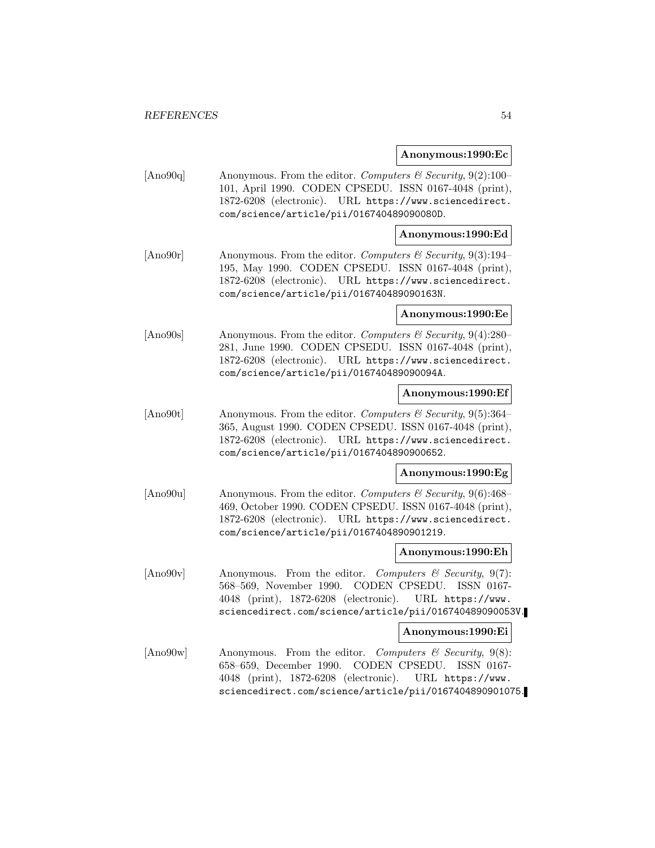#### **Anonymous:1990:Ec**

[Ano90q] Anonymous. From the editor. Computers & Security,  $9(2):100-$ 101, April 1990. CODEN CPSEDU. ISSN 0167-4048 (print), 1872-6208 (electronic). URL https://www.sciencedirect. com/science/article/pii/016740489090080D.

## **Anonymous:1990:Ed**

[Ano90r] Anonymous. From the editor. Computers & Security, 9(3):194– 195, May 1990. CODEN CPSEDU. ISSN 0167-4048 (print), 1872-6208 (electronic). URL https://www.sciencedirect. com/science/article/pii/016740489090163N.

#### **Anonymous:1990:Ee**

[Ano90s] Anonymous. From the editor. Computers & Security, 9(4):280– 281, June 1990. CODEN CPSEDU. ISSN 0167-4048 (print), 1872-6208 (electronic). URL https://www.sciencedirect. com/science/article/pii/016740489090094A.

### **Anonymous:1990:Ef**

[Ano90t] Anonymous. From the editor. Computers & Security, 9(5):364– 365, August 1990. CODEN CPSEDU. ISSN 0167-4048 (print), 1872-6208 (electronic). URL https://www.sciencedirect. com/science/article/pii/0167404890900652.

#### **Anonymous:1990:Eg**

[Ano90u] Anonymous. From the editor. Computers & Security, 9(6):468-469, October 1990. CODEN CPSEDU. ISSN 0167-4048 (print), 1872-6208 (electronic). URL https://www.sciencedirect. com/science/article/pii/0167404890901219.

#### **Anonymous:1990:Eh**

 $[\text{Ano}90v]$  Anonymous. From the editor. Computers & Security, 9(7): 568–569, November 1990. CODEN CPSEDU. ISSN 0167- 4048 (print), 1872-6208 (electronic). URL https://www. sciencedirect.com/science/article/pii/016740489090053V.

### **Anonymous:1990:Ei**

[Ano90w] Anonymous. From the editor. Computers & Security, 9(8): 658–659, December 1990. CODEN CPSEDU. ISSN 0167- 4048 (print), 1872-6208 (electronic). URL https://www. sciencedirect.com/science/article/pii/0167404890901075.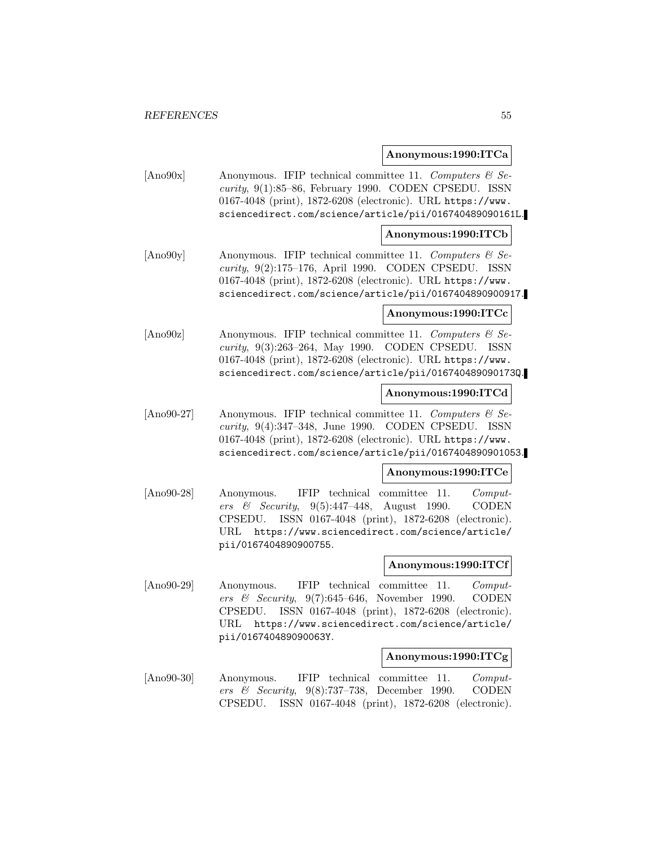## **Anonymous:1990:ITCa**

[Ano90x] Anonymous. IFIP technical committee 11. Computers & Se $curity, 9(1):85–86, February 1990. CODEN CPSEDU. ISSN$ 0167-4048 (print), 1872-6208 (electronic). URL https://www. sciencedirect.com/science/article/pii/016740489090161L.

## **Anonymous:1990:ITCb**

[Ano90y] Anonymous. IFIP technical committee 11. Computers  $\mathcal{C}$  Security, 9(2):175–176, April 1990. CODEN CPSEDU. ISSN 0167-4048 (print), 1872-6208 (electronic). URL https://www. sciencedirect.com/science/article/pii/0167404890900917.

## **Anonymous:1990:ITCc**

[Ano90z] Anonymous. IFIP technical committee 11. Computers  $\mathcal{B}$  Security, 9(3):263–264, May 1990. CODEN CPSEDU. ISSN 0167-4048 (print), 1872-6208 (electronic). URL https://www. sciencedirect.com/science/article/pii/016740489090173Q.

## **Anonymous:1990:ITCd**

[Ano90-27] Anonymous. IFIP technical committee 11. Computers  $\mathcal{B}$  Security, 9(4):347–348, June 1990. CODEN CPSEDU. ISSN 0167-4048 (print), 1872-6208 (electronic). URL https://www. sciencedirect.com/science/article/pii/0167404890901053.

## **Anonymous:1990:ITCe**

[Ano90-28] Anonymous. IFIP technical committee 11. Computers & Security, 9(5):447–448, August 1990. CODEN CPSEDU. ISSN 0167-4048 (print), 1872-6208 (electronic). URL https://www.sciencedirect.com/science/article/ pii/0167404890900755.

## **Anonymous:1990:ITCf**

[Ano90-29] Anonymous. IFIP technical committee 11. Computers & Security, 9(7):645–646, November 1990. CODEN CPSEDU. ISSN 0167-4048 (print), 1872-6208 (electronic). URL https://www.sciencedirect.com/science/article/ pii/016740489090063Y.

#### **Anonymous:1990:ITCg**

[Ano90-30] Anonymous. IFIP technical committee 11. Computers & Security, 9(8):737–738, December 1990. CODEN CPSEDU. ISSN 0167-4048 (print), 1872-6208 (electronic).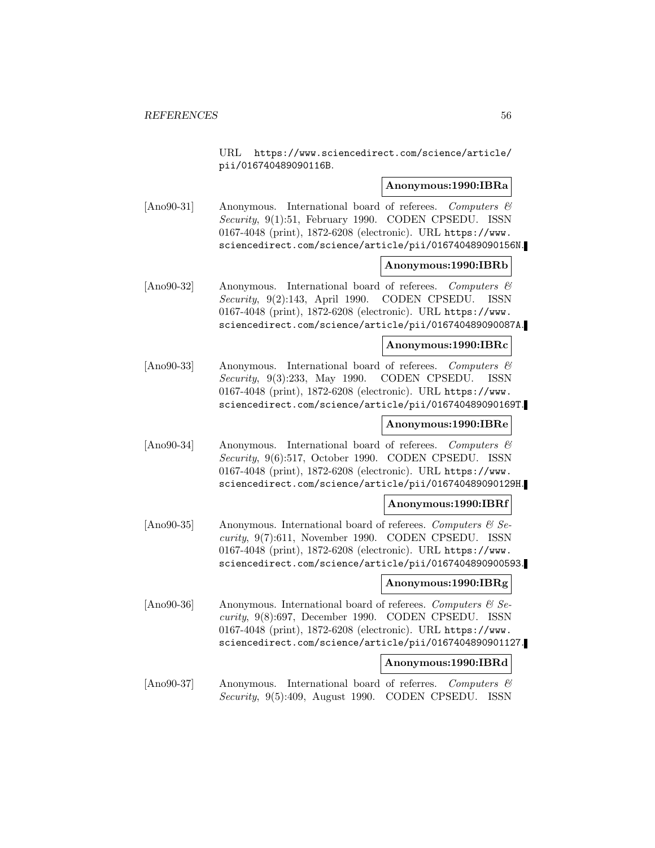URL https://www.sciencedirect.com/science/article/ pii/016740489090116B.

### **Anonymous:1990:IBRa**

[Ano90-31] Anonymous. International board of referees. Computers & Security, 9(1):51, February 1990. CODEN CPSEDU. ISSN 0167-4048 (print), 1872-6208 (electronic). URL https://www. sciencedirect.com/science/article/pii/016740489090156N.

### **Anonymous:1990:IBRb**

[Ano90-32] Anonymous. International board of referees. Computers & Security, 9(2):143, April 1990. CODEN CPSEDU. ISSN 0167-4048 (print), 1872-6208 (electronic). URL https://www. sciencedirect.com/science/article/pii/016740489090087A.

### **Anonymous:1990:IBRc**

[Ano90-33] Anonymous. International board of referees. Computers & Security, 9(3):233, May 1990. CODEN CPSEDU. ISSN 0167-4048 (print), 1872-6208 (electronic). URL https://www. sciencedirect.com/science/article/pii/016740489090169T.

## **Anonymous:1990:IBRe**

[Ano90-34] Anonymous. International board of referees. Computers & Security, 9(6):517, October 1990. CODEN CPSEDU. ISSN 0167-4048 (print), 1872-6208 (electronic). URL https://www. sciencedirect.com/science/article/pii/016740489090129H.

## **Anonymous:1990:IBRf**

[Ano90-35] Anonymous. International board of referees. Computers  $\mathcal{B}$  Security, 9(7):611, November 1990. CODEN CPSEDU. ISSN 0167-4048 (print), 1872-6208 (electronic). URL https://www. sciencedirect.com/science/article/pii/0167404890900593.

#### **Anonymous:1990:IBRg**

[Ano90-36] Anonymous. International board of referees. Computers  $\mathcal{C}$  Security, 9(8):697, December 1990. CODEN CPSEDU. ISSN 0167-4048 (print), 1872-6208 (electronic). URL https://www. sciencedirect.com/science/article/pii/0167404890901127.

#### **Anonymous:1990:IBRd**

[Ano90-37] Anonymous. International board of referres. Computers & Security, 9(5):409, August 1990. CODEN CPSEDU. ISSN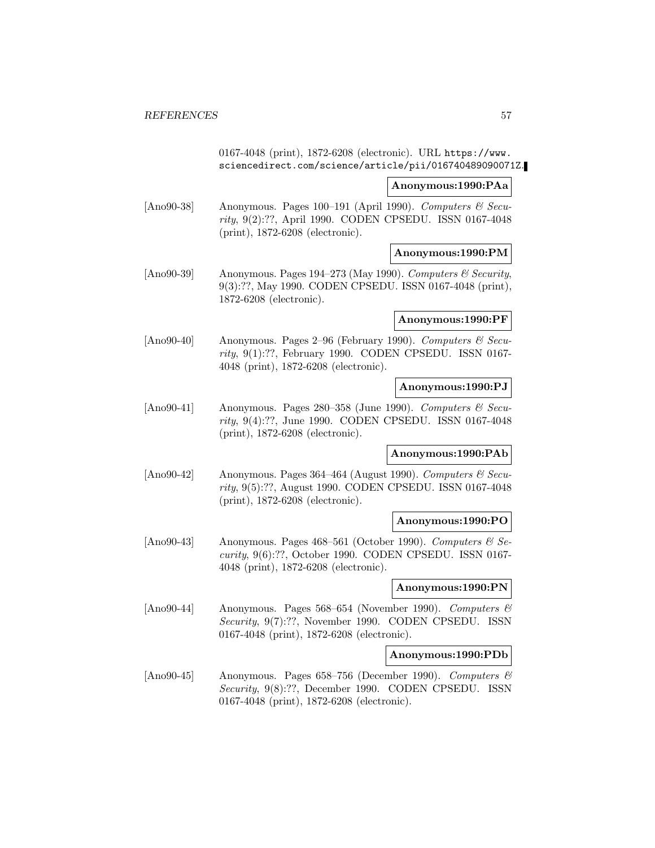0167-4048 (print), 1872-6208 (electronic). URL https://www. sciencedirect.com/science/article/pii/016740489090071Z.

### **Anonymous:1990:PAa**

[Ano90-38] Anonymous. Pages 100–191 (April 1990). Computers  $\mathcal C$  Security, 9(2):??, April 1990. CODEN CPSEDU. ISSN 0167-4048 (print), 1872-6208 (electronic).

## **Anonymous:1990:PM**

[Ano90-39] Anonymous. Pages 194–273 (May 1990). Computers  $\mathcal C$  Security, 9(3):??, May 1990. CODEN CPSEDU. ISSN 0167-4048 (print), 1872-6208 (electronic).

## **Anonymous:1990:PF**

[Ano90-40] Anonymous. Pages 2-96 (February 1990). Computers & Security, 9(1):??, February 1990. CODEN CPSEDU. ISSN 0167- 4048 (print), 1872-6208 (electronic).

## **Anonymous:1990:PJ**

[Ano90-41] Anonymous. Pages 280–358 (June 1990). Computers  $\mathcal{C}$  Security, 9(4):??, June 1990. CODEN CPSEDU. ISSN 0167-4048 (print), 1872-6208 (electronic).

## **Anonymous:1990:PAb**

[Ano90-42] Anonymous. Pages 364–464 (August 1990). Computers  $\mathcal{C}$  Security, 9(5):??, August 1990. CODEN CPSEDU. ISSN 0167-4048 (print), 1872-6208 (electronic).

#### **Anonymous:1990:PO**

[Ano90-43] Anonymous. Pages 468–561 (October 1990). Computers  $\mathcal{B}$  Security, 9(6):??, October 1990. CODEN CPSEDU. ISSN 0167- 4048 (print), 1872-6208 (electronic).

#### **Anonymous:1990:PN**

[Ano90-44] Anonymous. Pages 568–654 (November 1990). Computers & Security, 9(7):??, November 1990. CODEN CPSEDU. ISSN 0167-4048 (print), 1872-6208 (electronic).

#### **Anonymous:1990:PDb**

[Ano90-45] Anonymous. Pages 658–756 (December 1990). Computers & Security, 9(8):??, December 1990. CODEN CPSEDU. ISSN 0167-4048 (print), 1872-6208 (electronic).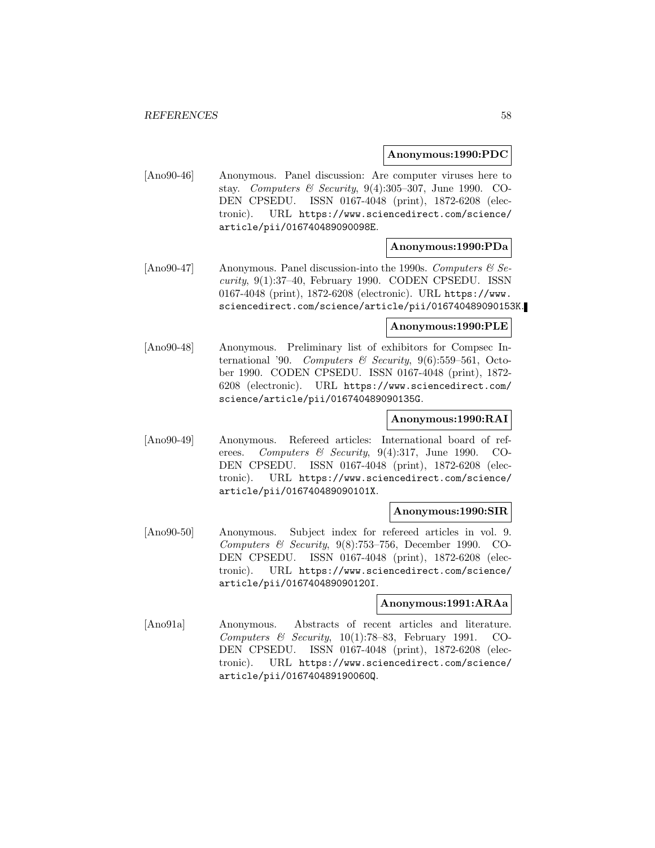### **Anonymous:1990:PDC**

[Ano90-46] Anonymous. Panel discussion: Are computer viruses here to stay. Computers & Security, 9(4):305–307, June 1990. CO-DEN CPSEDU. ISSN 0167-4048 (print), 1872-6208 (electronic). URL https://www.sciencedirect.com/science/ article/pii/016740489090098E.

## **Anonymous:1990:PDa**

[Ano90-47] Anonymous. Panel discussion-into the 1990s. Computers  $\mathcal{B}$  Security, 9(1):37–40, February 1990. CODEN CPSEDU. ISSN 0167-4048 (print), 1872-6208 (electronic). URL https://www. sciencedirect.com/science/article/pii/016740489090153K.

#### **Anonymous:1990:PLE**

[Ano90-48] Anonymous. Preliminary list of exhibitors for Compsec International '90. Computers  $\mathcal B$  Security, 9(6):559-561, October 1990. CODEN CPSEDU. ISSN 0167-4048 (print), 1872- 6208 (electronic). URL https://www.sciencedirect.com/ science/article/pii/016740489090135G.

### **Anonymous:1990:RAI**

[Ano90-49] Anonymous. Refereed articles: International board of referees. Computers & Security, 9(4):317, June 1990. CO-DEN CPSEDU. ISSN 0167-4048 (print), 1872-6208 (electronic). URL https://www.sciencedirect.com/science/ article/pii/016740489090101X.

### **Anonymous:1990:SIR**

[Ano90-50] Anonymous. Subject index for refereed articles in vol. 9. Computers & Security,  $9(8)$ :753–756, December 1990. CO-DEN CPSEDU. ISSN 0167-4048 (print), 1872-6208 (electronic). URL https://www.sciencedirect.com/science/ article/pii/016740489090120I.

## **Anonymous:1991:ARAa**

[Ano91a] Anonymous. Abstracts of recent articles and literature. Computers  $\&$  Security, 10(1):78–83, February 1991. CO-DEN CPSEDU. ISSN 0167-4048 (print), 1872-6208 (electronic). URL https://www.sciencedirect.com/science/ article/pii/016740489190060Q.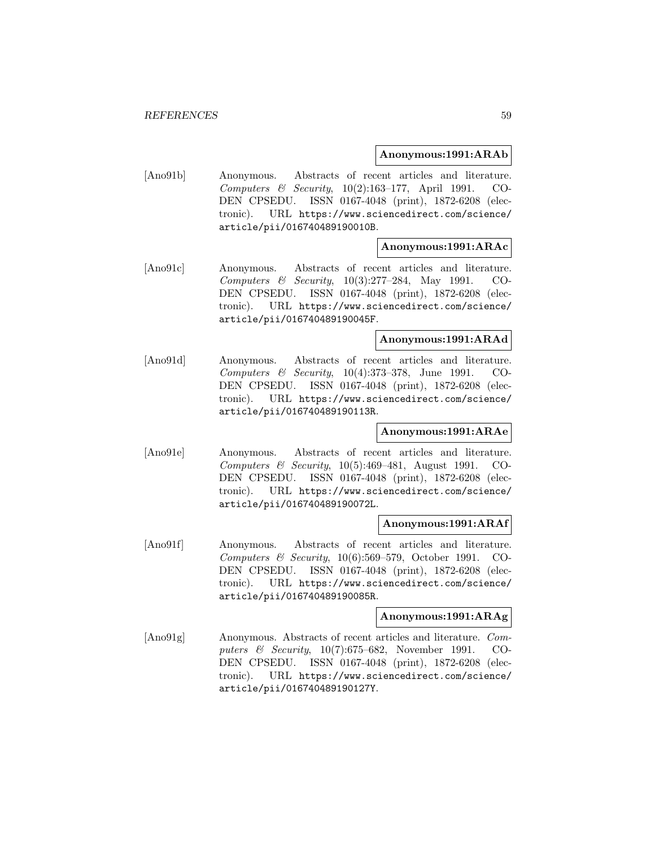### **Anonymous:1991:ARAb**

[Ano91b] Anonymous. Abstracts of recent articles and literature. Computers & Security, 10(2):163–177, April 1991. CO-DEN CPSEDU. ISSN 0167-4048 (print), 1872-6208 (electronic). URL https://www.sciencedirect.com/science/ article/pii/016740489190010B.

## **Anonymous:1991:ARAc**

[Ano91c] Anonymous. Abstracts of recent articles and literature. Computers & Security, 10(3):277–284, May 1991. CO-DEN CPSEDU. ISSN 0167-4048 (print), 1872-6208 (electronic). URL https://www.sciencedirect.com/science/ article/pii/016740489190045F.

## **Anonymous:1991:ARAd**

[Ano91d] Anonymous. Abstracts of recent articles and literature. Computers & Security, 10(4):373–378, June 1991. CO-DEN CPSEDU. ISSN 0167-4048 (print), 1872-6208 (electronic). URL https://www.sciencedirect.com/science/ article/pii/016740489190113R.

## **Anonymous:1991:ARAe**

[Ano91e] Anonymous. Abstracts of recent articles and literature. Computers & Security,  $10(5):469-481$ , August 1991. CO-DEN CPSEDU. ISSN 0167-4048 (print), 1872-6208 (electronic). URL https://www.sciencedirect.com/science/ article/pii/016740489190072L.

#### **Anonymous:1991:ARAf**

[Ano91f] Anonymous. Abstracts of recent articles and literature. Computers & Security, 10(6):569–579, October 1991. CO-DEN CPSEDU. ISSN 0167-4048 (print), 1872-6208 (electronic). URL https://www.sciencedirect.com/science/ article/pii/016740489190085R.

### **Anonymous:1991:ARAg**

[Ano91g] Anonymous. Abstracts of recent articles and literature. Computers & Security, 10(7):675–682, November 1991. CO-DEN CPSEDU. ISSN 0167-4048 (print), 1872-6208 (electronic). URL https://www.sciencedirect.com/science/ article/pii/016740489190127Y.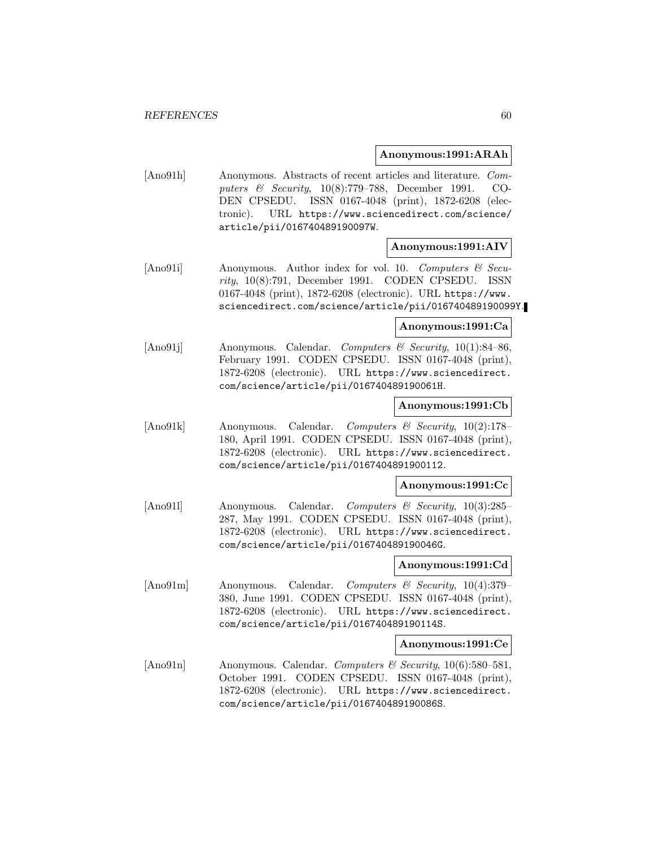### **Anonymous:1991:ARAh**

[Ano91h] Anonymous. Abstracts of recent articles and literature. Computers & Security, 10(8):779–788, December 1991. CO-DEN CPSEDU. ISSN 0167-4048 (print), 1872-6208 (electronic). URL https://www.sciencedirect.com/science/ article/pii/016740489190097W.

## **Anonymous:1991:AIV**

[Ano91i] Anonymous. Author index for vol. 10. Computers & Security, 10(8):791, December 1991. CODEN CPSEDU. ISSN 0167-4048 (print), 1872-6208 (electronic). URL https://www. sciencedirect.com/science/article/pii/016740489190099Y.

#### **Anonymous:1991:Ca**

[Ano91]] Anonymous. Calendar. Computers & Security, 10(1):84–86, February 1991. CODEN CPSEDU. ISSN 0167-4048 (print), 1872-6208 (electronic). URL https://www.sciencedirect. com/science/article/pii/016740489190061H.

#### **Anonymous:1991:Cb**

[Ano91k] Anonymous. Calendar. Computers & Security, 10(2):178– 180, April 1991. CODEN CPSEDU. ISSN 0167-4048 (print), 1872-6208 (electronic). URL https://www.sciencedirect. com/science/article/pii/0167404891900112.

#### **Anonymous:1991:Cc**

[Ano91l] Anonymous. Calendar. Computers & Security, 10(3):285– 287, May 1991. CODEN CPSEDU. ISSN 0167-4048 (print), 1872-6208 (electronic). URL https://www.sciencedirect. com/science/article/pii/016740489190046G.

#### **Anonymous:1991:Cd**

[Ano91m] Anonymous. Calendar. Computers & Security, 10(4):379– 380, June 1991. CODEN CPSEDU. ISSN 0167-4048 (print), 1872-6208 (electronic). URL https://www.sciencedirect. com/science/article/pii/016740489190114S.

#### **Anonymous:1991:Ce**

[Ano91n] Anonymous. Calendar. Computers & Security, 10(6):580-581, October 1991. CODEN CPSEDU. ISSN 0167-4048 (print), 1872-6208 (electronic). URL https://www.sciencedirect. com/science/article/pii/016740489190086S.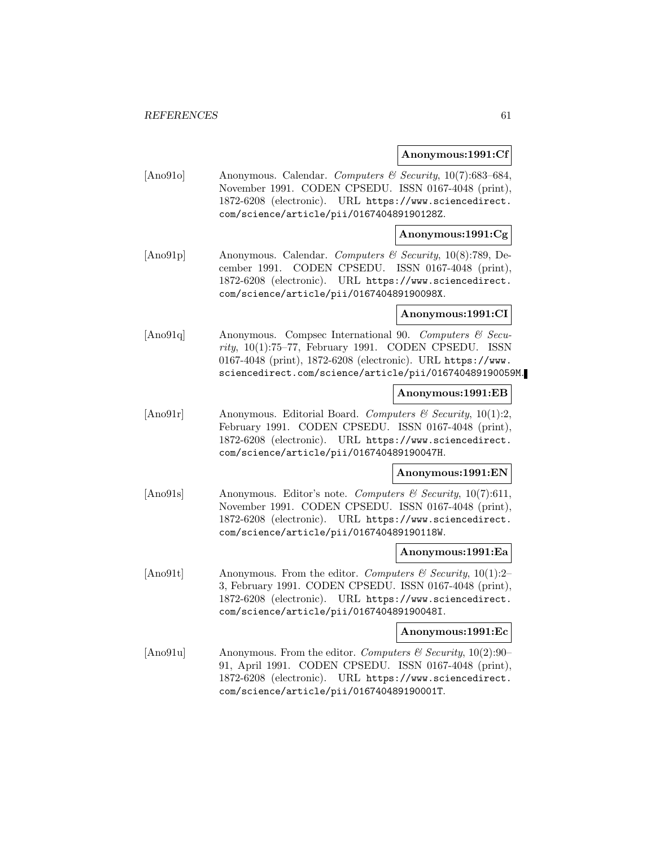#### **Anonymous:1991:Cf**

[Ano91o] Anonymous. Calendar. Computers & Security, 10(7):683-684, November 1991. CODEN CPSEDU. ISSN 0167-4048 (print), 1872-6208 (electronic). URL https://www.sciencedirect. com/science/article/pii/016740489190128Z.

## **Anonymous:1991:Cg**

[Ano91p] Anonymous. Calendar. Computers & Security, 10(8):789, December 1991. CODEN CPSEDU. ISSN 0167-4048 (print), 1872-6208 (electronic). URL https://www.sciencedirect. com/science/article/pii/016740489190098X.

### **Anonymous:1991:CI**

[Ano91q] Anonymous. Compsec International 90. Computers & Security, 10(1):75–77, February 1991. CODEN CPSEDU. ISSN 0167-4048 (print), 1872-6208 (electronic). URL https://www. sciencedirect.com/science/article/pii/016740489190059M.

### **Anonymous:1991:EB**

[Ano91r] Anonymous. Editorial Board. Computers & Security,  $10(1):2$ , February 1991. CODEN CPSEDU. ISSN 0167-4048 (print), 1872-6208 (electronic). URL https://www.sciencedirect. com/science/article/pii/016740489190047H.

#### **Anonymous:1991:EN**

[Ano91s] Anonymous. Editor's note. Computers & Security, 10(7):611, November 1991. CODEN CPSEDU. ISSN 0167-4048 (print), 1872-6208 (electronic). URL https://www.sciencedirect. com/science/article/pii/016740489190118W.

#### **Anonymous:1991:Ea**

[Ano91t] Anonymous. From the editor. Computers & Security, 10(1):2– 3, February 1991. CODEN CPSEDU. ISSN 0167-4048 (print), 1872-6208 (electronic). URL https://www.sciencedirect. com/science/article/pii/016740489190048I.

#### **Anonymous:1991:Ec**

[Ano91u] Anonymous. From the editor. Computers & Security,  $10(2):90-$ 91, April 1991. CODEN CPSEDU. ISSN 0167-4048 (print), 1872-6208 (electronic). URL https://www.sciencedirect. com/science/article/pii/016740489190001T.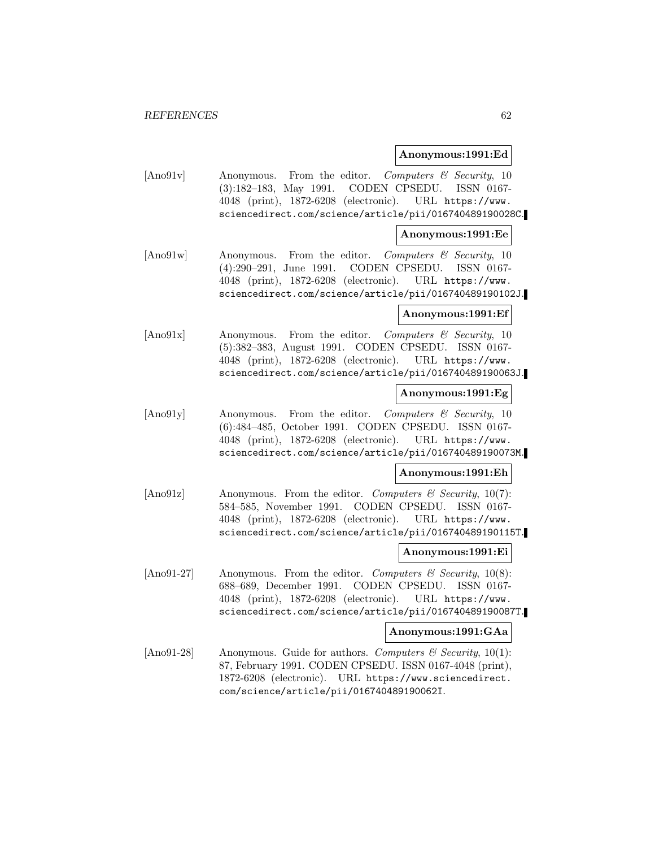#### **Anonymous:1991:Ed**

[Ano91v] Anonymous. From the editor. Computers & Security, 10 (3):182–183, May 1991. CODEN CPSEDU. ISSN 0167- 4048 (print), 1872-6208 (electronic). URL https://www. sciencedirect.com/science/article/pii/016740489190028C.

### **Anonymous:1991:Ee**

[Ano91w] Anonymous. From the editor. Computers & Security, 10 (4):290–291, June 1991. CODEN CPSEDU. ISSN 0167- 4048 (print), 1872-6208 (electronic). URL https://www. sciencedirect.com/science/article/pii/016740489190102J.

### **Anonymous:1991:Ef**

[Ano91x] Anonymous. From the editor. Computers & Security, 10 (5):382–383, August 1991. CODEN CPSEDU. ISSN 0167- 4048 (print), 1872-6208 (electronic). URL https://www. sciencedirect.com/science/article/pii/016740489190063J.

### **Anonymous:1991:Eg**

[Ano91y] Anonymous. From the editor. Computers & Security, 10 (6):484–485, October 1991. CODEN CPSEDU. ISSN 0167- 4048 (print), 1872-6208 (electronic). URL https://www. sciencedirect.com/science/article/pii/016740489190073M.

#### **Anonymous:1991:Eh**

[Ano91z] Anonymous. From the editor. Computers & Security, 10(7): 584–585, November 1991. CODEN CPSEDU. ISSN 0167- 4048 (print), 1872-6208 (electronic). URL https://www. sciencedirect.com/science/article/pii/016740489190115T.

### **Anonymous:1991:Ei**

[Ano91-27] Anonymous. From the editor. Computers  $\mathcal{C}$  Security, 10(8): 688–689, December 1991. CODEN CPSEDU. ISSN 0167- 4048 (print), 1872-6208 (electronic). URL https://www. sciencedirect.com/science/article/pii/016740489190087T.

#### **Anonymous:1991:GAa**

[Ano91-28] Anonymous. Guide for authors. Computers  $\mathcal C$  Security, 10(1): 87, February 1991. CODEN CPSEDU. ISSN 0167-4048 (print), 1872-6208 (electronic). URL https://www.sciencedirect. com/science/article/pii/016740489190062I.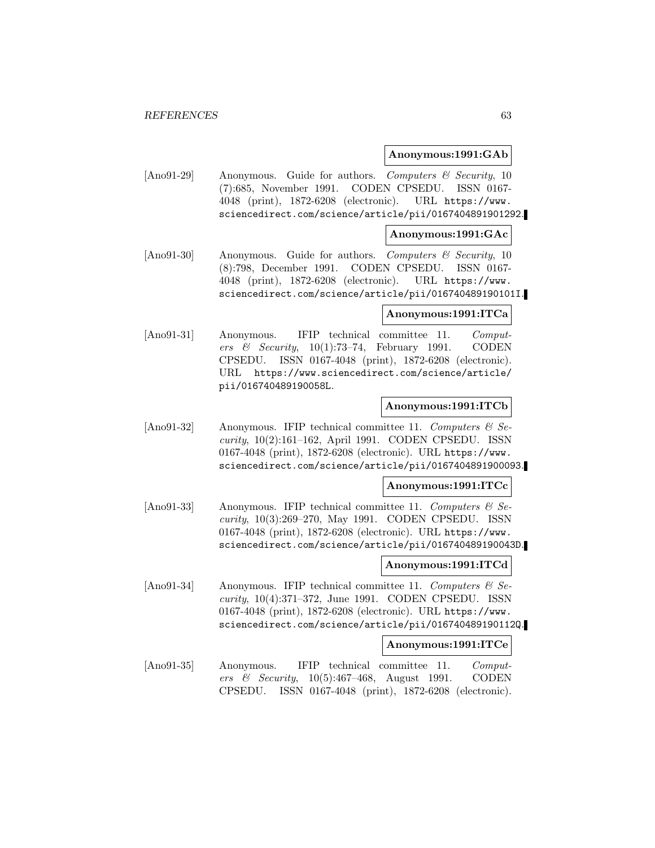#### **Anonymous:1991:GAb**

[Ano91-29] Anonymous. Guide for authors. Computers & Security, 10 (7):685, November 1991. CODEN CPSEDU. ISSN 0167- 4048 (print), 1872-6208 (electronic). URL https://www. sciencedirect.com/science/article/pii/0167404891901292.

## **Anonymous:1991:GAc**

[Ano91-30] Anonymous. Guide for authors. Computers & Security, 10 (8):798, December 1991. CODEN CPSEDU. ISSN 0167- 4048 (print), 1872-6208 (electronic). URL https://www. sciencedirect.com/science/article/pii/016740489190101I.

### **Anonymous:1991:ITCa**

[Ano91-31] Anonymous. IFIP technical committee 11. Computers & Security,  $10(1)$ :73-74, February 1991. CODEN CPSEDU. ISSN 0167-4048 (print), 1872-6208 (electronic). URL https://www.sciencedirect.com/science/article/ pii/016740489190058L.

### **Anonymous:1991:ITCb**

[Ano91-32] Anonymous. IFIP technical committee 11. Computers  $\mathcal{C}$  Security, 10(2):161–162, April 1991. CODEN CPSEDU. ISSN 0167-4048 (print), 1872-6208 (electronic). URL https://www. sciencedirect.com/science/article/pii/0167404891900093.

#### **Anonymous:1991:ITCc**

[Ano91-33] Anonymous. IFIP technical committee 11. Computers  $\mathcal{C}$  Security, 10(3):269–270, May 1991. CODEN CPSEDU. ISSN 0167-4048 (print), 1872-6208 (electronic). URL https://www. sciencedirect.com/science/article/pii/016740489190043D.

## **Anonymous:1991:ITCd**

[Ano91-34] Anonymous. IFIP technical committee 11. Computers  $\mathcal{B}$  Security, 10(4):371–372, June 1991. CODEN CPSEDU. ISSN 0167-4048 (print), 1872-6208 (electronic). URL https://www. sciencedirect.com/science/article/pii/016740489190112Q.

#### **Anonymous:1991:ITCe**

[Ano91-35] Anonymous. IFIP technical committee 11. Computers & Security,  $10(5):467-468$ , August 1991. CODEN CPSEDU. ISSN 0167-4048 (print), 1872-6208 (electronic).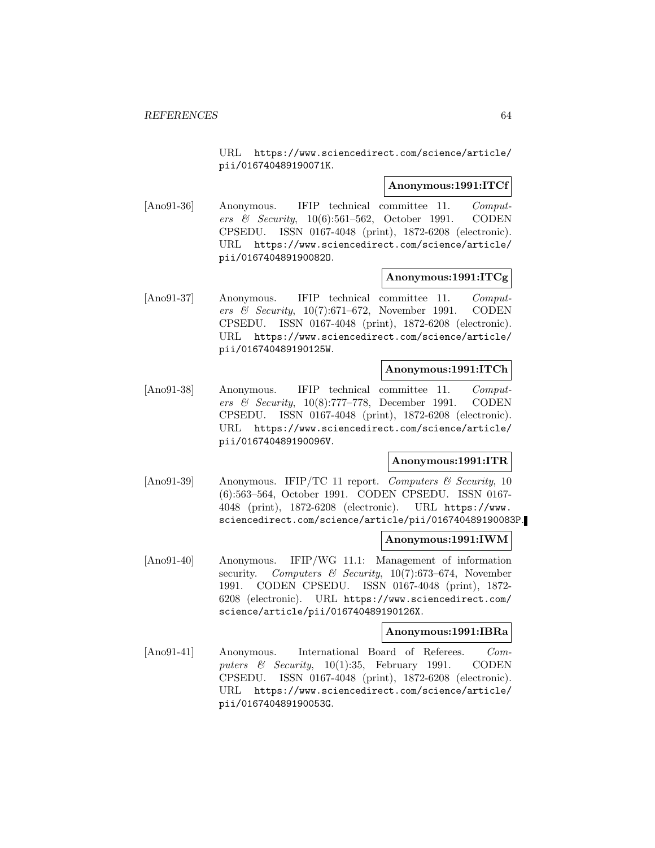URL https://www.sciencedirect.com/science/article/ pii/016740489190071K.

### **Anonymous:1991:ITCf**

[Ano91-36] Anonymous. IFIP technical committee 11. Computers & Security, 10(6):561–562, October 1991. CODEN CPSEDU. ISSN 0167-4048 (print), 1872-6208 (electronic). URL https://www.sciencedirect.com/science/article/ pii/016740489190082O.

### **Anonymous:1991:ITCg**

[Ano91-37] Anonymous. IFIP technical committee 11. Computers & Security,  $10(7):671-672$ , November 1991. CODEN CPSEDU. ISSN 0167-4048 (print), 1872-6208 (electronic). URL https://www.sciencedirect.com/science/article/ pii/016740489190125W.

## **Anonymous:1991:ITCh**

[Ano91-38] Anonymous. IFIP technical committee 11. Computers & Security, 10(8):777–778, December 1991. CODEN CPSEDU. ISSN 0167-4048 (print), 1872-6208 (electronic). URL https://www.sciencedirect.com/science/article/ pii/016740489190096V.

## **Anonymous:1991:ITR**

[Ano91-39] Anonymous. IFIP/TC 11 report. Computers  $\mathcal C$  Security, 10 (6):563–564, October 1991. CODEN CPSEDU. ISSN 0167- 4048 (print), 1872-6208 (electronic). URL https://www. sciencedirect.com/science/article/pii/016740489190083P.

#### **Anonymous:1991:IWM**

[Ano91-40] Anonymous. IFIP/WG 11.1: Management of information security. Computers & Security,  $10(7)$ :673–674, November 1991. CODEN CPSEDU. ISSN 0167-4048 (print), 1872- 6208 (electronic). URL https://www.sciencedirect.com/ science/article/pii/016740489190126X.

#### **Anonymous:1991:IBRa**

[Ano91-41] Anonymous. International Board of Referees. Computers & Security, 10(1):35, February 1991. CODEN CPSEDU. ISSN 0167-4048 (print), 1872-6208 (electronic). URL https://www.sciencedirect.com/science/article/ pii/016740489190053G.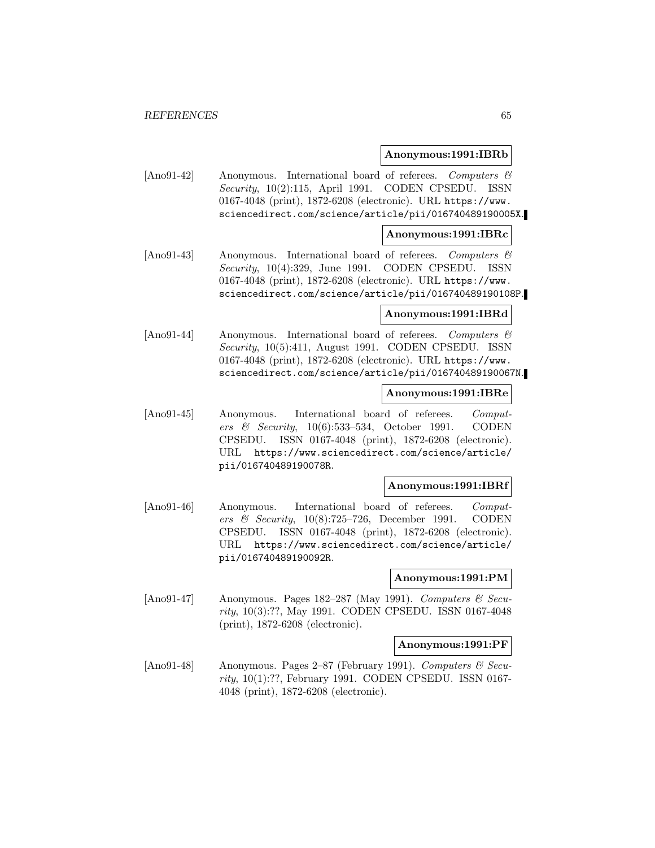#### **Anonymous:1991:IBRb**

[Ano91-42] Anonymous. International board of referees. Computers & Security, 10(2):115, April 1991. CODEN CPSEDU. ISSN 0167-4048 (print), 1872-6208 (electronic). URL https://www. sciencedirect.com/science/article/pii/016740489190005X.

## **Anonymous:1991:IBRc**

[Ano91-43] Anonymous. International board of referees. Computers & Security, 10(4):329, June 1991. CODEN CPSEDU. ISSN 0167-4048 (print), 1872-6208 (electronic). URL https://www. sciencedirect.com/science/article/pii/016740489190108P.

## **Anonymous:1991:IBRd**

[Ano91-44] Anonymous. International board of referees. Computers & Security, 10(5):411, August 1991. CODEN CPSEDU. ISSN 0167-4048 (print), 1872-6208 (electronic). URL https://www. sciencedirect.com/science/article/pii/016740489190067N.

### **Anonymous:1991:IBRe**

[Ano91-45] Anonymous. International board of referees. Computers & Security,  $10(6)$ :533–534, October 1991. CODEN CPSEDU. ISSN 0167-4048 (print), 1872-6208 (electronic). URL https://www.sciencedirect.com/science/article/ pii/016740489190078R.

#### **Anonymous:1991:IBRf**

[Ano91-46] Anonymous. International board of referees. Computers & Security, 10(8):725–726, December 1991. CODEN CPSEDU. ISSN 0167-4048 (print), 1872-6208 (electronic). URL https://www.sciencedirect.com/science/article/ pii/016740489190092R.

#### **Anonymous:1991:PM**

[Ano91-47] Anonymous. Pages 182–287 (May 1991). Computers & Security, 10(3):??, May 1991. CODEN CPSEDU. ISSN 0167-4048 (print), 1872-6208 (electronic).

#### **Anonymous:1991:PF**

[Ano91-48] Anonymous. Pages 2–87 (February 1991). Computers  $\mathcal{C}$  Security, 10(1):??, February 1991. CODEN CPSEDU. ISSN 0167- 4048 (print), 1872-6208 (electronic).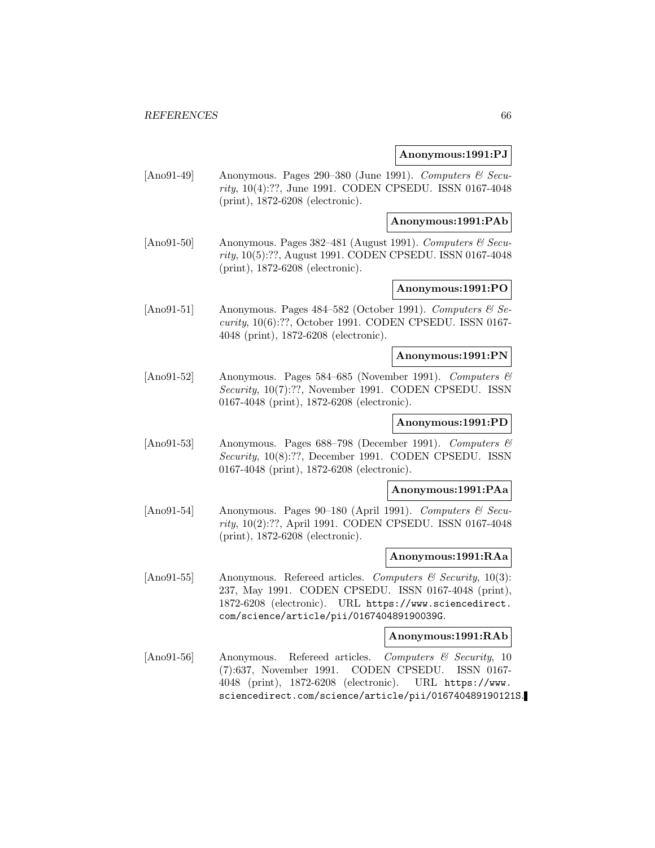### **Anonymous:1991:PJ**

[Ano91-49] Anonymous. Pages 290–380 (June 1991). Computers & Security, 10(4):??, June 1991. CODEN CPSEDU. ISSN 0167-4048 (print), 1872-6208 (electronic).

**Anonymous:1991:PAb**

[Ano91-50] Anonymous. Pages 382–481 (August 1991). Computers  $\mathcal{C}$  Security, 10(5):??, August 1991. CODEN CPSEDU. ISSN 0167-4048 (print), 1872-6208 (electronic).

## **Anonymous:1991:PO**

[Ano91-51] Anonymous. Pages 484–582 (October 1991). Computers  $\mathcal{B}$  Security, 10(6):??, October 1991. CODEN CPSEDU. ISSN 0167- 4048 (print), 1872-6208 (electronic).

#### **Anonymous:1991:PN**

[Ano91-52] Anonymous. Pages 584–685 (November 1991). Computers & Security, 10(7):??, November 1991. CODEN CPSEDU. ISSN 0167-4048 (print), 1872-6208 (electronic).

## **Anonymous:1991:PD**

[Ano91-53] Anonymous. Pages  $688-798$  (December 1991). Computers  $\mathcal{B}$ Security, 10(8):??, December 1991. CODEN CPSEDU. ISSN 0167-4048 (print), 1872-6208 (electronic).

### **Anonymous:1991:PAa**

[Ano91-54] Anonymous. Pages 90–180 (April 1991). Computers  $\mathcal C$  Security, 10(2):??, April 1991. CODEN CPSEDU. ISSN 0167-4048 (print), 1872-6208 (electronic).

#### **Anonymous:1991:RAa**

[Ano91-55] Anonymous. Refereed articles. Computers & Security, 10(3): 237, May 1991. CODEN CPSEDU. ISSN 0167-4048 (print), 1872-6208 (electronic). URL https://www.sciencedirect. com/science/article/pii/016740489190039G.

## **Anonymous:1991:RAb**

[Ano91-56] Anonymous. Refereed articles. Computers & Security, 10 (7):637, November 1991. CODEN CPSEDU. ISSN 0167- 4048 (print), 1872-6208 (electronic). URL https://www. sciencedirect.com/science/article/pii/016740489190121S.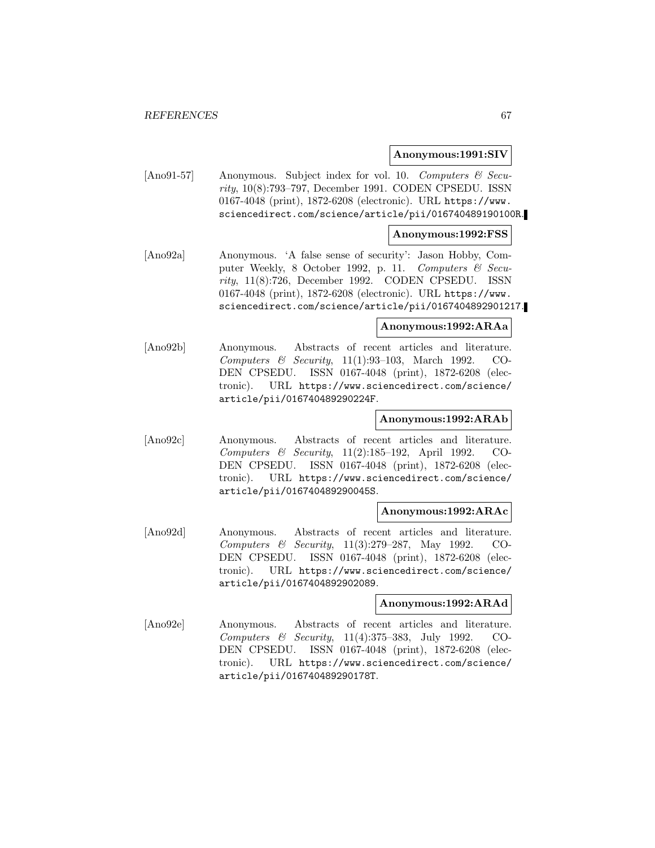### **Anonymous:1991:SIV**

[Ano91-57] Anonymous. Subject index for vol. 10. Computers & Security, 10(8):793–797, December 1991. CODEN CPSEDU. ISSN 0167-4048 (print), 1872-6208 (electronic). URL https://www. sciencedirect.com/science/article/pii/016740489190100R.

### **Anonymous:1992:FSS**

[Ano92a] Anonymous. 'A false sense of security': Jason Hobby, Computer Weekly, 8 October 1992, p. 11. Computers & Security, 11(8):726, December 1992. CODEN CPSEDU. ISSN 0167-4048 (print), 1872-6208 (electronic). URL https://www. sciencedirect.com/science/article/pii/0167404892901217.

### **Anonymous:1992:ARAa**

[Ano92b] Anonymous. Abstracts of recent articles and literature. Computers & Security, 11(1):93–103, March 1992. CO-DEN CPSEDU. ISSN 0167-4048 (print), 1872-6208 (electronic). URL https://www.sciencedirect.com/science/ article/pii/016740489290224F.

### **Anonymous:1992:ARAb**

[Ano92c] Anonymous. Abstracts of recent articles and literature. Computers & Security, 11(2):185–192, April 1992. CO-DEN CPSEDU. ISSN 0167-4048 (print), 1872-6208 (electronic). URL https://www.sciencedirect.com/science/ article/pii/016740489290045S.

### **Anonymous:1992:ARAc**

[Ano92d] Anonymous. Abstracts of recent articles and literature. Computers & Security, 11(3):279–287, May 1992. CO-DEN CPSEDU. ISSN 0167-4048 (print), 1872-6208 (electronic). URL https://www.sciencedirect.com/science/ article/pii/0167404892902089.

## **Anonymous:1992:ARAd**

[Ano92e] Anonymous. Abstracts of recent articles and literature. Computers & Security, 11(4):375–383, July 1992. CO-DEN CPSEDU. ISSN 0167-4048 (print), 1872-6208 (electronic). URL https://www.sciencedirect.com/science/ article/pii/016740489290178T.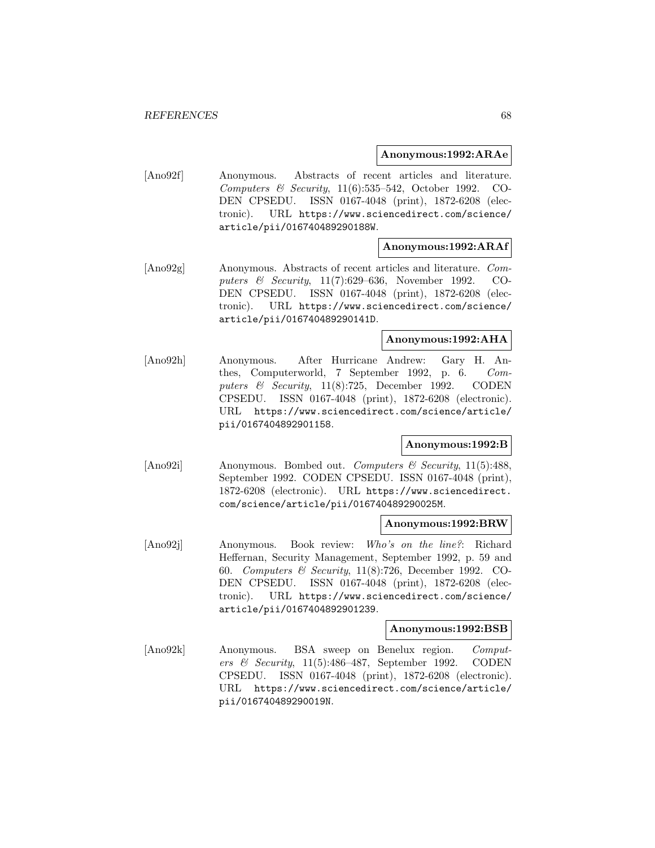### **Anonymous:1992:ARAe**

[Ano92f] Anonymous. Abstracts of recent articles and literature. Computers & Security, 11(6):535–542, October 1992. CO-DEN CPSEDU. ISSN 0167-4048 (print), 1872-6208 (electronic). URL https://www.sciencedirect.com/science/ article/pii/016740489290188W.

## **Anonymous:1992:ARAf**

[Ano92g] Anonymous. Abstracts of recent articles and literature. Computers & Security, 11(7):629–636, November 1992. CO-DEN CPSEDU. ISSN 0167-4048 (print), 1872-6208 (electronic). URL https://www.sciencedirect.com/science/ article/pii/016740489290141D.

### **Anonymous:1992:AHA**

[Ano92h] Anonymous. After Hurricane Andrew: Gary H. Anthes, Computerworld, 7 September 1992, p. 6. Computers  $\&$  Security, 11(8):725, December 1992. CODEN CPSEDU. ISSN 0167-4048 (print), 1872-6208 (electronic). URL https://www.sciencedirect.com/science/article/ pii/0167404892901158.

## **Anonymous:1992:B**

[Ano92i] Anonymous. Bombed out. Computers & Security, 11(5):488, September 1992. CODEN CPSEDU. ISSN 0167-4048 (print), 1872-6208 (electronic). URL https://www.sciencedirect. com/science/article/pii/016740489290025M.

#### **Anonymous:1992:BRW**

[Ano92j] Anonymous. Book review: Who's on the line?: Richard Heffernan, Security Management, September 1992, p. 59 and 60. Computers & Security, 11(8):726, December 1992. CO-DEN CPSEDU. ISSN 0167-4048 (print), 1872-6208 (electronic). URL https://www.sciencedirect.com/science/ article/pii/0167404892901239.

#### **Anonymous:1992:BSB**

[Ano92k] Anonymous. BSA sweep on Benelux region. Computers & Security, 11(5):486–487, September 1992. CODEN CPSEDU. ISSN 0167-4048 (print), 1872-6208 (electronic). URL https://www.sciencedirect.com/science/article/ pii/016740489290019N.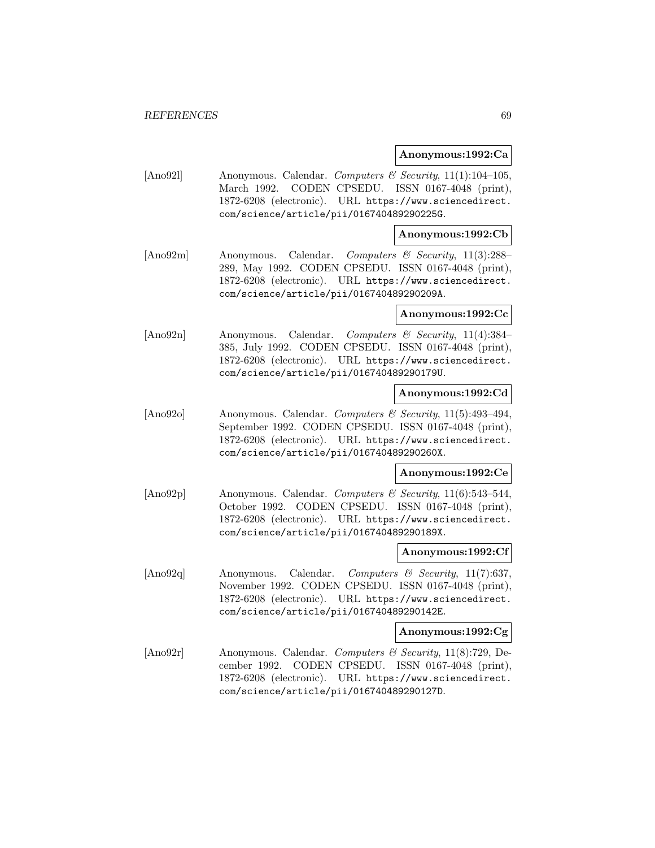### **Anonymous:1992:Ca**

[Ano921] Anonymous. Calendar. Computers & Security, 11(1):104-105, March 1992. CODEN CPSEDU. ISSN 0167-4048 (print), 1872-6208 (electronic). URL https://www.sciencedirect. com/science/article/pii/016740489290225G.

## **Anonymous:1992:Cb**

[Ano92m] Anonymous. Calendar. Computers & Security, 11(3):288– 289, May 1992. CODEN CPSEDU. ISSN 0167-4048 (print), 1872-6208 (electronic). URL https://www.sciencedirect. com/science/article/pii/016740489290209A.

#### **Anonymous:1992:Cc**

[Ano92n] Anonymous. Calendar. Computers & Security, 11(4):384– 385, July 1992. CODEN CPSEDU. ISSN 0167-4048 (print), 1872-6208 (electronic). URL https://www.sciencedirect. com/science/article/pii/016740489290179U.

## **Anonymous:1992:Cd**

[Ano92o] Anonymous. Calendar. Computers & Security, 11(5):493–494, September 1992. CODEN CPSEDU. ISSN 0167-4048 (print), 1872-6208 (electronic). URL https://www.sciencedirect. com/science/article/pii/016740489290260X.

#### **Anonymous:1992:Ce**

[Ano92p] Anonymous. Calendar. Computers & Security, 11(6):543–544, October 1992. CODEN CPSEDU. ISSN 0167-4048 (print), 1872-6208 (electronic). URL https://www.sciencedirect. com/science/article/pii/016740489290189X.

#### **Anonymous:1992:Cf**

[Ano92q] Anonymous. Calendar. Computers & Security, 11(7):637, November 1992. CODEN CPSEDU. ISSN 0167-4048 (print), 1872-6208 (electronic). URL https://www.sciencedirect. com/science/article/pii/016740489290142E.

#### **Anonymous:1992:Cg**

[Ano92r] Anonymous. Calendar. Computers & Security, 11(8):729, December 1992. CODEN CPSEDU. ISSN 0167-4048 (print), 1872-6208 (electronic). URL https://www.sciencedirect. com/science/article/pii/016740489290127D.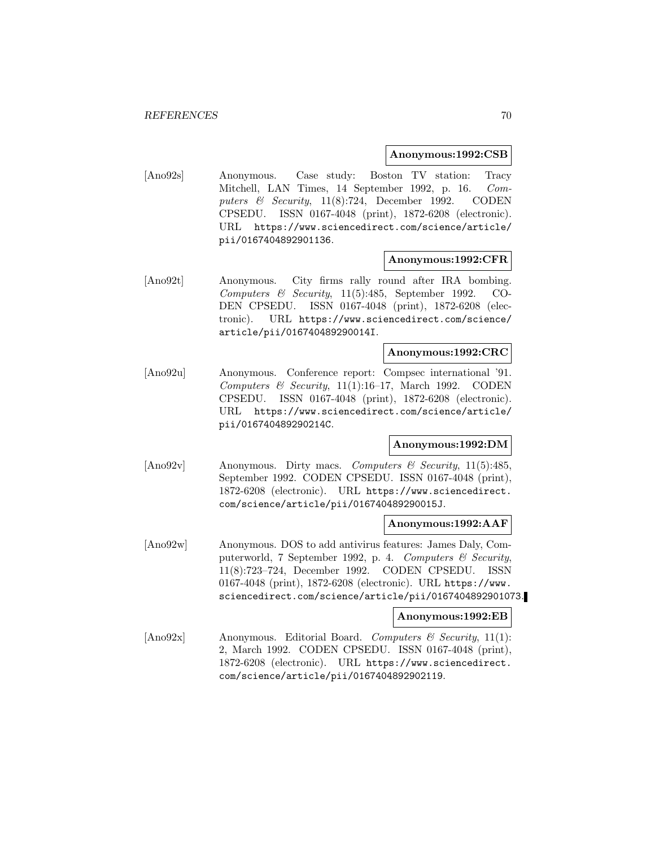### **Anonymous:1992:CSB**

[Ano92s] Anonymous. Case study: Boston TV station: Tracy Mitchell, LAN Times, 14 September 1992, p. 16. Computers & Security, 11(8):724, December 1992. CODEN CPSEDU. ISSN 0167-4048 (print), 1872-6208 (electronic). URL https://www.sciencedirect.com/science/article/ pii/0167404892901136.

### **Anonymous:1992:CFR**

[Ano92t] Anonymous. City firms rally round after IRA bombing. Computers & Security, 11(5):485, September 1992. CO-DEN CPSEDU. ISSN 0167-4048 (print), 1872-6208 (electronic). URL https://www.sciencedirect.com/science/ article/pii/016740489290014I.

## **Anonymous:1992:CRC**

[Ano92u] Anonymous. Conference report: Compsec international '91. Computers & Security, 11(1):16-17, March 1992. CODEN CPSEDU. ISSN 0167-4048 (print), 1872-6208 (electronic). URL https://www.sciencedirect.com/science/article/ pii/016740489290214C.

## **Anonymous:1992:DM**

 $[\text{Ano92v}]$  Anonymous. Dirty macs. Computers & Security, 11(5):485, September 1992. CODEN CPSEDU. ISSN 0167-4048 (print), 1872-6208 (electronic). URL https://www.sciencedirect. com/science/article/pii/016740489290015J.

### **Anonymous:1992:AAF**

[Ano92w] Anonymous. DOS to add antivirus features: James Daly, Computerworld, 7 September 1992, p. 4. Computers & Security, 11(8):723–724, December 1992. CODEN CPSEDU. ISSN 0167-4048 (print), 1872-6208 (electronic). URL https://www. sciencedirect.com/science/article/pii/0167404892901073.

## **Anonymous:1992:EB**

[Ano92x] Anonymous. Editorial Board. Computers & Security, 11(1): 2, March 1992. CODEN CPSEDU. ISSN 0167-4048 (print), 1872-6208 (electronic). URL https://www.sciencedirect. com/science/article/pii/0167404892902119.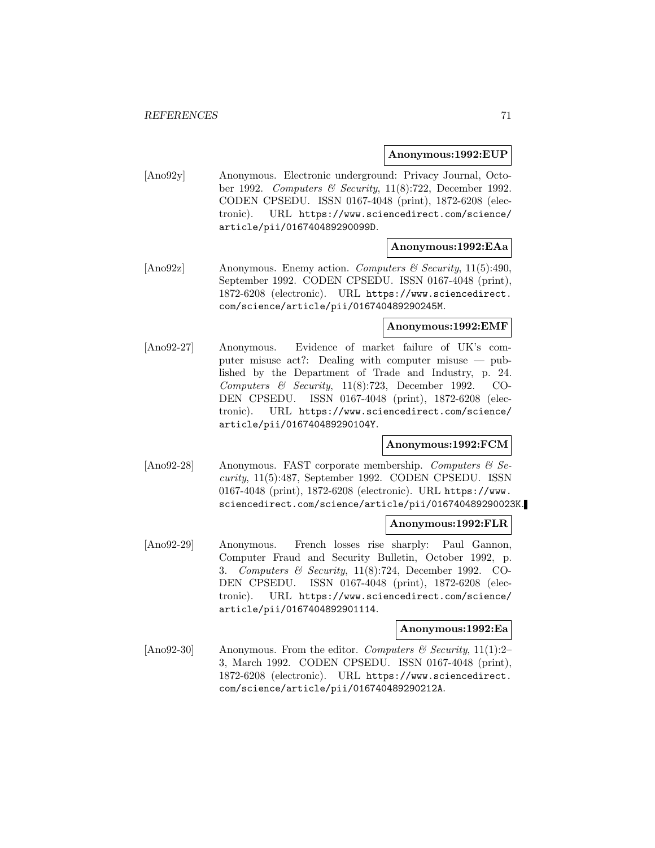### **Anonymous:1992:EUP**

[Ano92y] Anonymous. Electronic underground: Privacy Journal, October 1992. Computers & Security, 11(8):722, December 1992. CODEN CPSEDU. ISSN 0167-4048 (print), 1872-6208 (electronic). URL https://www.sciencedirect.com/science/ article/pii/016740489290099D.

## **Anonymous:1992:EAa**

[Ano92z] Anonymous. Enemy action. Computers & Security, 11(5):490, September 1992. CODEN CPSEDU. ISSN 0167-4048 (print), 1872-6208 (electronic). URL https://www.sciencedirect. com/science/article/pii/016740489290245M.

#### **Anonymous:1992:EMF**

[Ano92-27] Anonymous. Evidence of market failure of UK's computer misuse act?: Dealing with computer misuse — published by the Department of Trade and Industry, p. 24. Computers & Security, 11(8):723, December 1992. CO-DEN CPSEDU. ISSN 0167-4048 (print), 1872-6208 (electronic). URL https://www.sciencedirect.com/science/ article/pii/016740489290104Y.

## **Anonymous:1992:FCM**

[Ano92-28] Anonymous. FAST corporate membership. Computers & Security, 11(5):487, September 1992. CODEN CPSEDU. ISSN 0167-4048 (print), 1872-6208 (electronic). URL https://www. sciencedirect.com/science/article/pii/016740489290023K.

#### **Anonymous:1992:FLR**

[Ano92-29] Anonymous. French losses rise sharply: Paul Gannon, Computer Fraud and Security Bulletin, October 1992, p. 3. Computers & Security, 11(8):724, December 1992. CO-DEN CPSEDU. ISSN 0167-4048 (print), 1872-6208 (electronic). URL https://www.sciencedirect.com/science/ article/pii/0167404892901114.

#### **Anonymous:1992:Ea**

[Ano92-30] Anonymous. From the editor. Computers & Security, 11(1):2-3, March 1992. CODEN CPSEDU. ISSN 0167-4048 (print), 1872-6208 (electronic). URL https://www.sciencedirect. com/science/article/pii/016740489290212A.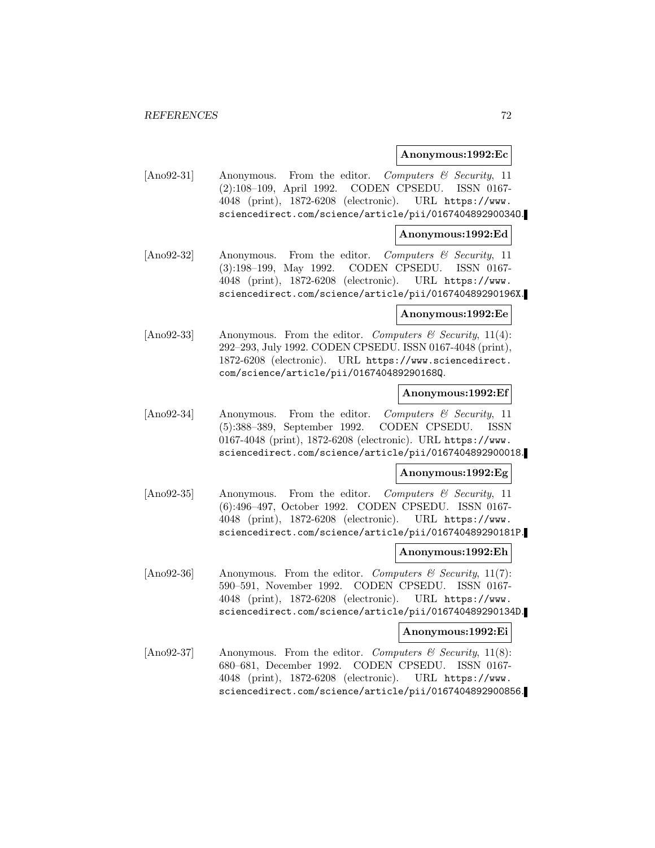#### **Anonymous:1992:Ec**

[Ano92-31] Anonymous. From the editor. Computers & Security, 11 (2):108–109, April 1992. CODEN CPSEDU. ISSN 0167- 4048 (print), 1872-6208 (electronic). URL https://www. sciencedirect.com/science/article/pii/016740489290034O.

#### **Anonymous:1992:Ed**

[Ano92-32] Anonymous. From the editor. Computers & Security, 11 (3):198–199, May 1992. CODEN CPSEDU. ISSN 0167- 4048 (print), 1872-6208 (electronic). URL https://www. sciencedirect.com/science/article/pii/016740489290196X.

## **Anonymous:1992:Ee**

[Ano92-33] Anonymous. From the editor. Computers & Security, 11(4): 292–293, July 1992. CODEN CPSEDU. ISSN 0167-4048 (print), 1872-6208 (electronic). URL https://www.sciencedirect. com/science/article/pii/016740489290168Q.

#### **Anonymous:1992:Ef**

[Ano92-34] Anonymous. From the editor. Computers & Security, 11 (5):388–389, September 1992. CODEN CPSEDU. ISSN 0167-4048 (print), 1872-6208 (electronic). URL https://www. sciencedirect.com/science/article/pii/0167404892900018.

#### **Anonymous:1992:Eg**

[Ano92-35] Anonymous. From the editor. Computers & Security, 11 (6):496–497, October 1992. CODEN CPSEDU. ISSN 0167- 4048 (print), 1872-6208 (electronic). URL https://www. sciencedirect.com/science/article/pii/016740489290181P.

## **Anonymous:1992:Eh**

[Ano92-36] Anonymous. From the editor. Computers & Security, 11(7): 590–591, November 1992. CODEN CPSEDU. ISSN 0167- 4048 (print), 1872-6208 (electronic). URL https://www. sciencedirect.com/science/article/pii/016740489290134D.

#### **Anonymous:1992:Ei**

[Ano92-37] Anonymous. From the editor. Computers & Security,  $11(8)$ : 680–681, December 1992. CODEN CPSEDU. ISSN 0167- 4048 (print), 1872-6208 (electronic). URL https://www. sciencedirect.com/science/article/pii/0167404892900856.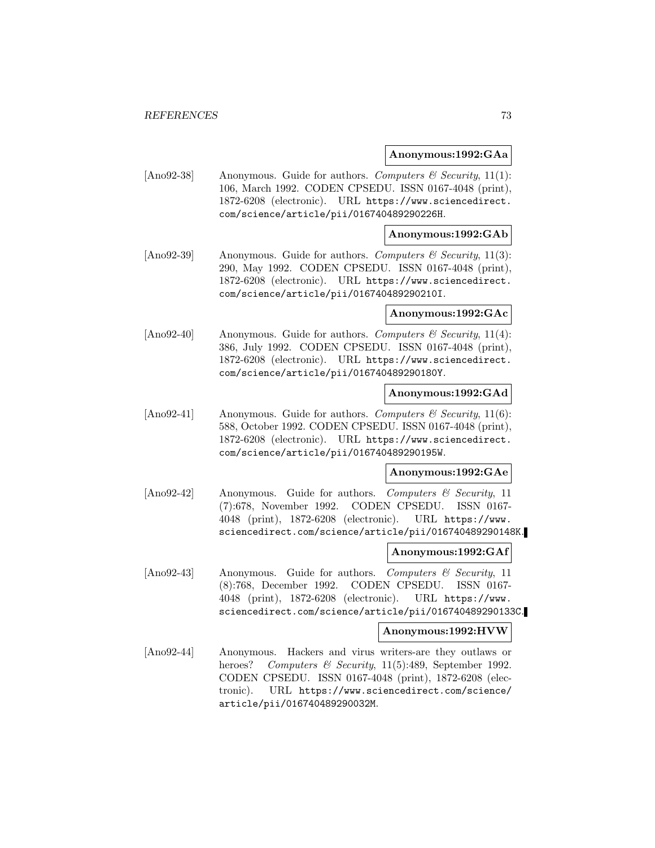### **Anonymous:1992:GAa**

[Ano92-38] Anonymous. Guide for authors. Computers & Security, 11(1): 106, March 1992. CODEN CPSEDU. ISSN 0167-4048 (print), 1872-6208 (electronic). URL https://www.sciencedirect. com/science/article/pii/016740489290226H.

## **Anonymous:1992:GAb**

[Ano92-39] Anonymous. Guide for authors. Computers  $\mathcal C$  Security, 11(3): 290, May 1992. CODEN CPSEDU. ISSN 0167-4048 (print), 1872-6208 (electronic). URL https://www.sciencedirect. com/science/article/pii/016740489290210I.

#### **Anonymous:1992:GAc**

[Ano92-40] Anonymous. Guide for authors. Computers  $\mathcal B$  Security, 11(4): 386, July 1992. CODEN CPSEDU. ISSN 0167-4048 (print), 1872-6208 (electronic). URL https://www.sciencedirect. com/science/article/pii/016740489290180Y.

### **Anonymous:1992:GAd**

[Ano92-41] Anonymous. Guide for authors. Computers  $\mathcal C$  Security, 11(6): 588, October 1992. CODEN CPSEDU. ISSN 0167-4048 (print), 1872-6208 (electronic). URL https://www.sciencedirect. com/science/article/pii/016740489290195W.

#### **Anonymous:1992:GAe**

[Ano92-42] Anonymous. Guide for authors. Computers & Security, 11 (7):678, November 1992. CODEN CPSEDU. ISSN 0167- 4048 (print), 1872-6208 (electronic). URL https://www. sciencedirect.com/science/article/pii/016740489290148K.

#### **Anonymous:1992:GAf**

 $[\text{Ano92-43}]$  Anonymous. Guide for authors. Computers & Security, 11 (8):768, December 1992. CODEN CPSEDU. ISSN 0167- 4048 (print), 1872-6208 (electronic). URL https://www. sciencedirect.com/science/article/pii/016740489290133C.

#### **Anonymous:1992:HVW**

[Ano92-44] Anonymous. Hackers and virus writers-are they outlaws or heroes? Computers & Security, 11(5):489, September 1992. CODEN CPSEDU. ISSN 0167-4048 (print), 1872-6208 (electronic). URL https://www.sciencedirect.com/science/ article/pii/016740489290032M.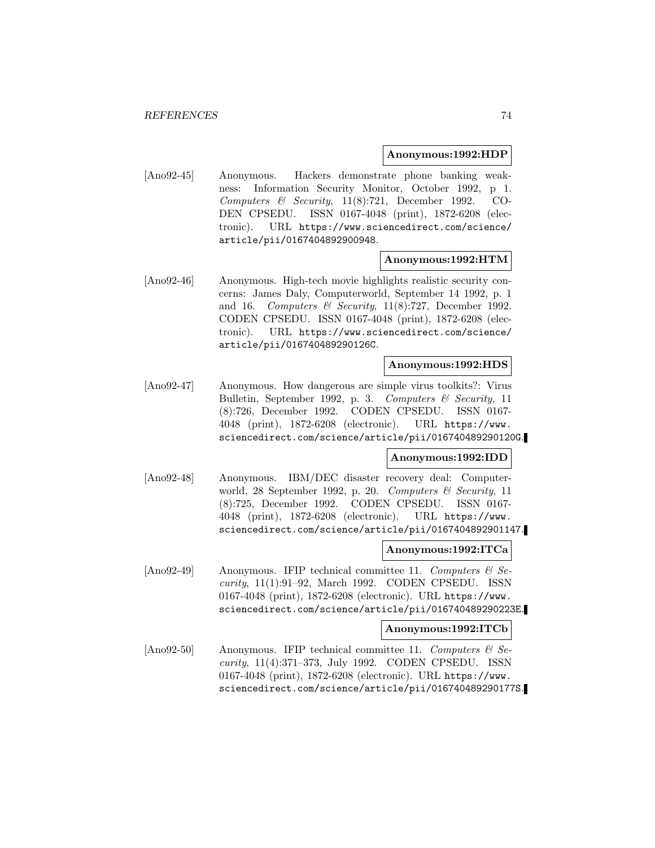### **Anonymous:1992:HDP**

[Ano92-45] Anonymous. Hackers demonstrate phone banking weakness: Information Security Monitor, October 1992, p 1. Computers & Security, 11(8):721, December 1992. CO-DEN CPSEDU. ISSN 0167-4048 (print), 1872-6208 (electronic). URL https://www.sciencedirect.com/science/ article/pii/0167404892900948.

### **Anonymous:1992:HTM**

[Ano92-46] Anonymous. High-tech movie highlights realistic security concerns: James Daly, Computerworld, September 14 1992, p. 1 and 16. Computers & Security,  $11(8)$ :727, December 1992. CODEN CPSEDU. ISSN 0167-4048 (print), 1872-6208 (electronic). URL https://www.sciencedirect.com/science/ article/pii/016740489290126C.

## **Anonymous:1992:HDS**

[Ano92-47] Anonymous. How dangerous are simple virus toolkits?: Virus Bulletin, September 1992, p. 3. Computers & Security, 11 (8):726, December 1992. CODEN CPSEDU. ISSN 0167- 4048 (print), 1872-6208 (electronic). URL https://www. sciencedirect.com/science/article/pii/016740489290120G.

### **Anonymous:1992:IDD**

[Ano92-48] Anonymous. IBM/DEC disaster recovery deal: Computerworld, 28 September 1992, p. 20. Computers  $\mathcal{C}$  Security, 11 (8):725, December 1992. CODEN CPSEDU. ISSN 0167- 4048 (print), 1872-6208 (electronic). URL https://www. sciencedirect.com/science/article/pii/0167404892901147.

#### **Anonymous:1992:ITCa**

[Ano92-49] Anonymous. IFIP technical committee 11. Computers  $\mathcal{B}$  Security, 11(1):91–92, March 1992. CODEN CPSEDU. ISSN 0167-4048 (print), 1872-6208 (electronic). URL https://www. sciencedirect.com/science/article/pii/016740489290223E.

#### **Anonymous:1992:ITCb**

[Ano92-50] Anonymous. IFIP technical committee 11. Computers  $\mathcal{B}$  Security, 11(4):371–373, July 1992. CODEN CPSEDU. ISSN 0167-4048 (print), 1872-6208 (electronic). URL https://www. sciencedirect.com/science/article/pii/016740489290177S.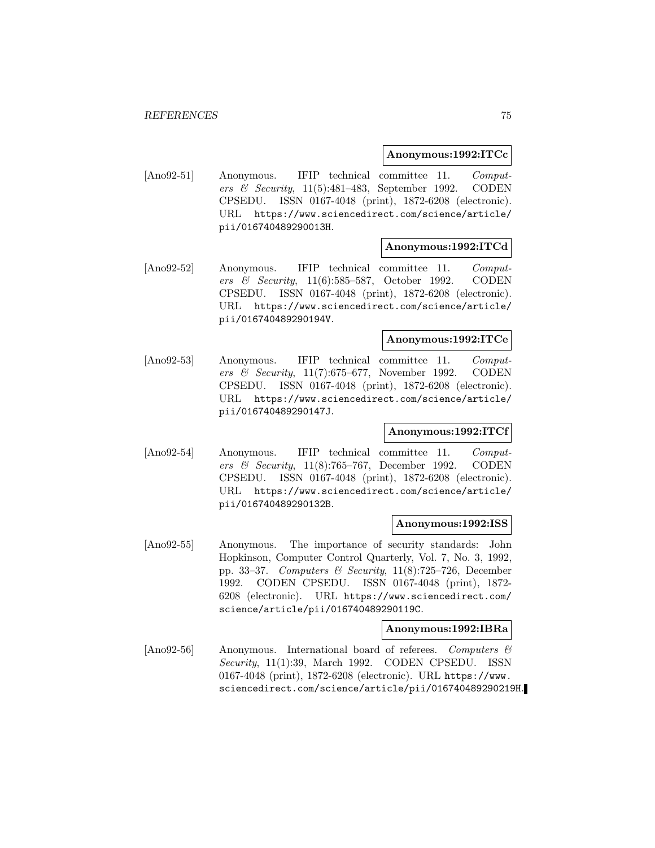### **Anonymous:1992:ITCc**

[Ano92-51] Anonymous. IFIP technical committee 11. Computers & Security, 11(5):481–483, September 1992. CODEN CPSEDU. ISSN 0167-4048 (print), 1872-6208 (electronic). URL https://www.sciencedirect.com/science/article/ pii/016740489290013H.

### **Anonymous:1992:ITCd**

[Ano92-52] Anonymous. IFIP technical committee 11. Computers & Security, 11(6):585–587, October 1992. CODEN CPSEDU. ISSN 0167-4048 (print), 1872-6208 (electronic). URL https://www.sciencedirect.com/science/article/ pii/016740489290194V.

## **Anonymous:1992:ITCe**

[Ano92-53] Anonymous. IFIP technical committee 11. Computers & Security, 11(7):675–677, November 1992. CODEN CPSEDU. ISSN 0167-4048 (print), 1872-6208 (electronic). URL https://www.sciencedirect.com/science/article/ pii/016740489290147J.

## **Anonymous:1992:ITCf**

[Ano92-54] Anonymous. IFIP technical committee 11. Computers & Security, 11(8):765–767, December 1992. CODEN CPSEDU. ISSN 0167-4048 (print), 1872-6208 (electronic). URL https://www.sciencedirect.com/science/article/ pii/016740489290132B.

#### **Anonymous:1992:ISS**

[Ano92-55] Anonymous. The importance of security standards: John Hopkinson, Computer Control Quarterly, Vol. 7, No. 3, 1992, pp. 33–37. Computers & Security,  $11(8)$ :725–726, December 1992. CODEN CPSEDU. ISSN 0167-4048 (print), 1872- 6208 (electronic). URL https://www.sciencedirect.com/ science/article/pii/016740489290119C.

#### **Anonymous:1992:IBRa**

[Ano92-56] Anonymous. International board of referees. Computers & Security, 11(1):39, March 1992. CODEN CPSEDU. ISSN 0167-4048 (print), 1872-6208 (electronic). URL https://www. sciencedirect.com/science/article/pii/016740489290219H.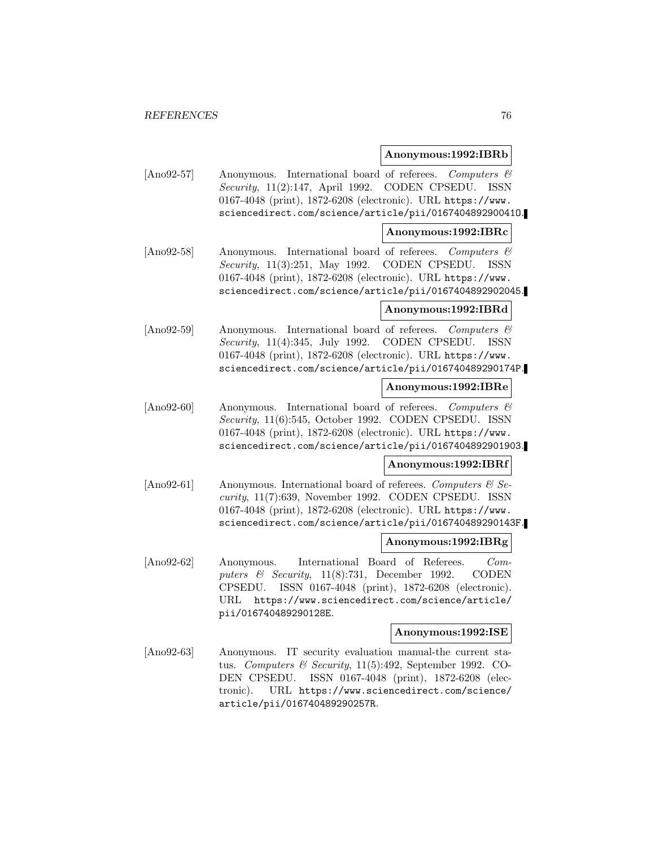### **Anonymous:1992:IBRb**

[Ano92-57] Anonymous. International board of referees. Computers & Security, 11(2):147, April 1992. CODEN CPSEDU. ISSN 0167-4048 (print), 1872-6208 (electronic). URL https://www. sciencedirect.com/science/article/pii/016740489290041O.

### **Anonymous:1992:IBRc**

[Ano92-58] Anonymous. International board of referees. Computers  $\mathcal{C}$ Security, 11(3):251, May 1992. CODEN CPSEDU. ISSN 0167-4048 (print), 1872-6208 (electronic). URL https://www. sciencedirect.com/science/article/pii/0167404892902045.

## **Anonymous:1992:IBRd**

[Ano92-59] Anonymous. International board of referees. Computers & Security, 11(4):345, July 1992. CODEN CPSEDU. ISSN 0167-4048 (print), 1872-6208 (electronic). URL https://www. sciencedirect.com/science/article/pii/016740489290174P.

## **Anonymous:1992:IBRe**

[Ano92-60] Anonymous. International board of referees. Computers & Security, 11(6):545, October 1992. CODEN CPSEDU. ISSN 0167-4048 (print), 1872-6208 (electronic). URL https://www. sciencedirect.com/science/article/pii/0167404892901903.

## **Anonymous:1992:IBRf**

[Ano92-61] Anonymous. International board of referees. Computers  $\mathcal{C}$  Security, 11(7):639, November 1992. CODEN CPSEDU. ISSN 0167-4048 (print), 1872-6208 (electronic). URL https://www. sciencedirect.com/science/article/pii/016740489290143F.

## **Anonymous:1992:IBRg**

[Ano92-62] Anonymous. International Board of Referees. Computers & Security, 11(8):731, December 1992. CODEN CPSEDU. ISSN 0167-4048 (print), 1872-6208 (electronic). URL https://www.sciencedirect.com/science/article/ pii/016740489290128E.

### **Anonymous:1992:ISE**

[Ano92-63] Anonymous. IT security evaluation manual-the current status. Computers & Security, 11(5):492, September 1992. CO-DEN CPSEDU. ISSN 0167-4048 (print), 1872-6208 (electronic). URL https://www.sciencedirect.com/science/ article/pii/016740489290257R.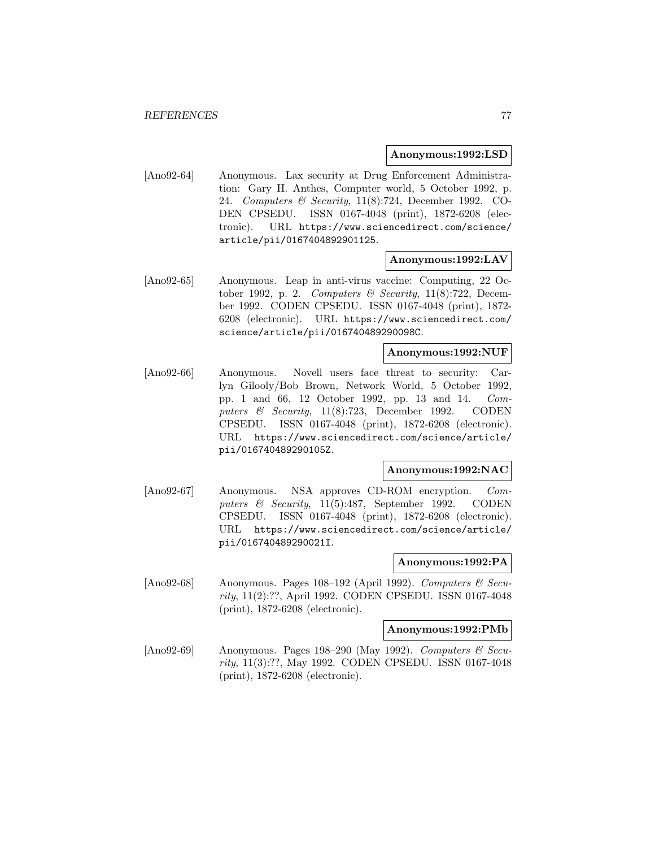### **Anonymous:1992:LSD**

[Ano92-64] Anonymous. Lax security at Drug Enforcement Administration: Gary H. Anthes, Computer world, 5 October 1992, p. 24. Computers & Security, 11(8):724, December 1992. CO-DEN CPSEDU. ISSN 0167-4048 (print), 1872-6208 (electronic). URL https://www.sciencedirect.com/science/ article/pii/0167404892901125.

## **Anonymous:1992:LAV**

[Ano92-65] Anonymous. Leap in anti-virus vaccine: Computing, 22 October 1992, p. 2. Computers & Security,  $11(8)$ :722, December 1992. CODEN CPSEDU. ISSN 0167-4048 (print), 1872- 6208 (electronic). URL https://www.sciencedirect.com/ science/article/pii/016740489290098C.

## **Anonymous:1992:NUF**

[Ano92-66] Anonymous. Novell users face threat to security: Carlyn Gilooly/Bob Brown, Network World, 5 October 1992, pp. 1 and 66, 12 October 1992, pp. 13 and 14. Computers & Security, 11(8):723, December 1992. CODEN CPSEDU. ISSN 0167-4048 (print), 1872-6208 (electronic). URL https://www.sciencedirect.com/science/article/ pii/016740489290105Z.

## **Anonymous:1992:NAC**

[Ano92-67] Anonymous. NSA approves CD-ROM encryption. Computers & Security, 11(5):487, September 1992. CODEN CPSEDU. ISSN 0167-4048 (print), 1872-6208 (electronic). URL https://www.sciencedirect.com/science/article/ pii/016740489290021I.

#### **Anonymous:1992:PA**

[Ano92-68] Anonymous. Pages 108–192 (April 1992). Computers  $\mathcal C$  Security, 11(2):??, April 1992. CODEN CPSEDU. ISSN 0167-4048 (print), 1872-6208 (electronic).

### **Anonymous:1992:PMb**

[Ano92-69] Anonymous. Pages 198–290 (May 1992). Computers & Security, 11(3):??, May 1992. CODEN CPSEDU. ISSN 0167-4048 (print), 1872-6208 (electronic).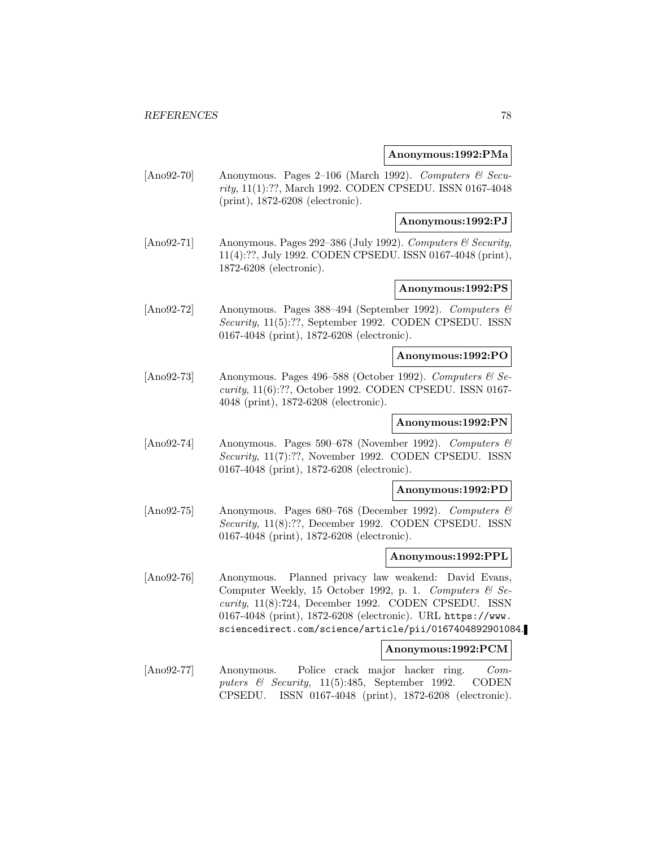### **Anonymous:1992:PMa**

[Ano92-70] Anonymous. Pages 2–106 (March 1992). Computers & Security, 11(1):??, March 1992. CODEN CPSEDU. ISSN 0167-4048 (print), 1872-6208 (electronic).

### **Anonymous:1992:PJ**

[Ano92-71] Anonymous. Pages 292–386 (July 1992). Computers & Security, 11(4):??, July 1992. CODEN CPSEDU. ISSN 0167-4048 (print), 1872-6208 (electronic).

## **Anonymous:1992:PS**

[Ano92-72] Anonymous. Pages 388–494 (September 1992). Computers & Security, 11(5):??, September 1992. CODEN CPSEDU. ISSN 0167-4048 (print), 1872-6208 (electronic).

### **Anonymous:1992:PO**

[Ano92-73] Anonymous. Pages 496–588 (October 1992). Computers  $\mathcal{C}$  Security, 11(6):??, October 1992. CODEN CPSEDU. ISSN 0167- 4048 (print), 1872-6208 (electronic).

## **Anonymous:1992:PN**

[Ano92-74] Anonymous. Pages 590–678 (November 1992). Computers & Security, 11(7):??, November 1992. CODEN CPSEDU. ISSN 0167-4048 (print), 1872-6208 (electronic).

### **Anonymous:1992:PD**

[Ano92-75] Anonymous. Pages 680–768 (December 1992). Computers & Security, 11(8):??, December 1992. CODEN CPSEDU. ISSN 0167-4048 (print), 1872-6208 (electronic).

#### **Anonymous:1992:PPL**

[Ano92-76] Anonymous. Planned privacy law weakend: David Evans, Computer Weekly, 15 October 1992, p. 1. Computers  $\mathcal{B}$  Security, 11(8):724, December 1992. CODEN CPSEDU. ISSN 0167-4048 (print), 1872-6208 (electronic). URL https://www. sciencedirect.com/science/article/pii/0167404892901084.

## **Anonymous:1992:PCM**

[Ano92-77] Anonymous. Police crack major hacker ring. Computers & Security, 11(5):485, September 1992. CODEN CPSEDU. ISSN 0167-4048 (print), 1872-6208 (electronic).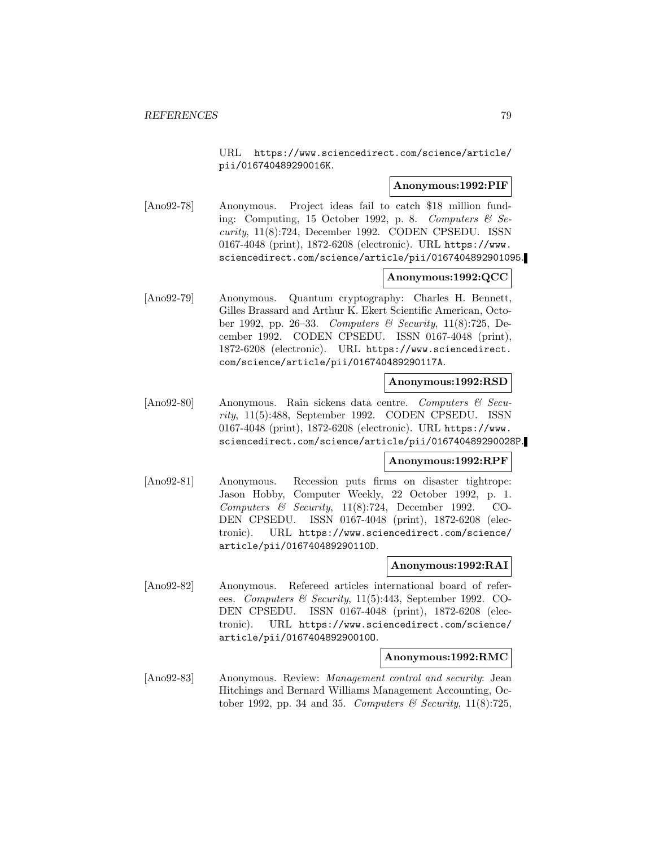URL https://www.sciencedirect.com/science/article/ pii/016740489290016K.

### **Anonymous:1992:PIF**

[Ano92-78] Anonymous. Project ideas fail to catch \$18 million funding: Computing, 15 October 1992, p. 8. Computers  $\mathcal{C}$  Security, 11(8):724, December 1992. CODEN CPSEDU. ISSN 0167-4048 (print), 1872-6208 (electronic). URL https://www. sciencedirect.com/science/article/pii/0167404892901095.

# **Anonymous:1992:QCC**

[Ano92-79] Anonymous. Quantum cryptography: Charles H. Bennett, Gilles Brassard and Arthur K. Ekert Scientific American, October 1992, pp. 26–33. Computers & Security, 11(8):725, December 1992. CODEN CPSEDU. ISSN 0167-4048 (print), 1872-6208 (electronic). URL https://www.sciencedirect. com/science/article/pii/016740489290117A.

### **Anonymous:1992:RSD**

[Ano92-80] Anonymous. Rain sickens data centre. Computers & Security, 11(5):488, September 1992. CODEN CPSEDU. ISSN 0167-4048 (print), 1872-6208 (electronic). URL https://www. sciencedirect.com/science/article/pii/016740489290028P.

## **Anonymous:1992:RPF**

[Ano92-81] Anonymous. Recession puts firms on disaster tightrope: Jason Hobby, Computer Weekly, 22 October 1992, p. 1. Computers & Security, 11(8):724, December 1992. CO-DEN CPSEDU. ISSN 0167-4048 (print), 1872-6208 (electronic). URL https://www.sciencedirect.com/science/ article/pii/016740489290110D.

## **Anonymous:1992:RAI**

[Ano92-82] Anonymous. Refereed articles international board of referees. Computers & Security, 11(5):443, September 1992. CO-DEN CPSEDU. ISSN 0167-4048 (print), 1872-6208 (electronic). URL https://www.sciencedirect.com/science/ article/pii/016740489290010O.

#### **Anonymous:1992:RMC**

[Ano92-83] Anonymous. Review: *Management control and security*: Jean Hitchings and Bernard Williams Management Accounting, October 1992, pp. 34 and 35. Computers  $\mathcal{B}$  Security, 11(8):725,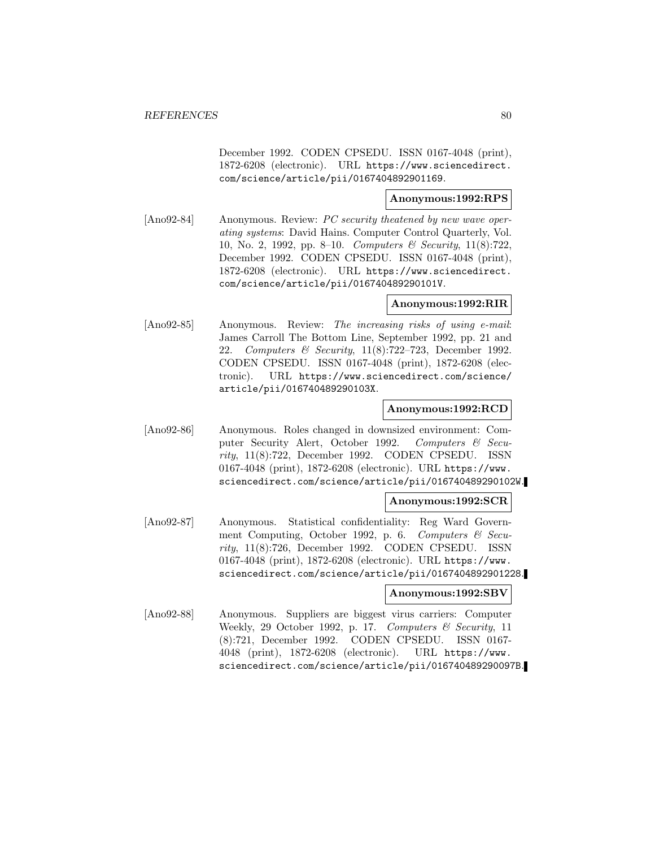December 1992. CODEN CPSEDU. ISSN 0167-4048 (print), 1872-6208 (electronic). URL https://www.sciencedirect. com/science/article/pii/0167404892901169.

## **Anonymous:1992:RPS**

[Ano92-84] Anonymous. Review: PC security theatened by new wave operating systems: David Hains. Computer Control Quarterly, Vol. 10, No. 2, 1992, pp. 8–10. Computers & Security, 11(8):722, December 1992. CODEN CPSEDU. ISSN 0167-4048 (print), 1872-6208 (electronic). URL https://www.sciencedirect. com/science/article/pii/016740489290101V.

## **Anonymous:1992:RIR**

[Ano92-85] Anonymous. Review: The increasing risks of using e-mail: James Carroll The Bottom Line, September 1992, pp. 21 and 22. Computers & Security, 11(8):722–723, December 1992. CODEN CPSEDU. ISSN 0167-4048 (print), 1872-6208 (electronic). URL https://www.sciencedirect.com/science/ article/pii/016740489290103X.

### **Anonymous:1992:RCD**

[Ano92-86] Anonymous. Roles changed in downsized environment: Computer Security Alert, October 1992. Computers & Security, 11(8):722, December 1992. CODEN CPSEDU. ISSN 0167-4048 (print), 1872-6208 (electronic). URL https://www. sciencedirect.com/science/article/pii/016740489290102W.

### **Anonymous:1992:SCR**

[Ano92-87] Anonymous. Statistical confidentiality: Reg Ward Government Computing, October 1992, p. 6. Computers & Security, 11(8):726, December 1992. CODEN CPSEDU. ISSN 0167-4048 (print), 1872-6208 (electronic). URL https://www. sciencedirect.com/science/article/pii/0167404892901228.

### **Anonymous:1992:SBV**

[Ano92-88] Anonymous. Suppliers are biggest virus carriers: Computer Weekly, 29 October 1992, p. 17. Computers & Security, 11 (8):721, December 1992. CODEN CPSEDU. ISSN 0167- 4048 (print), 1872-6208 (electronic). URL https://www. sciencedirect.com/science/article/pii/016740489290097B.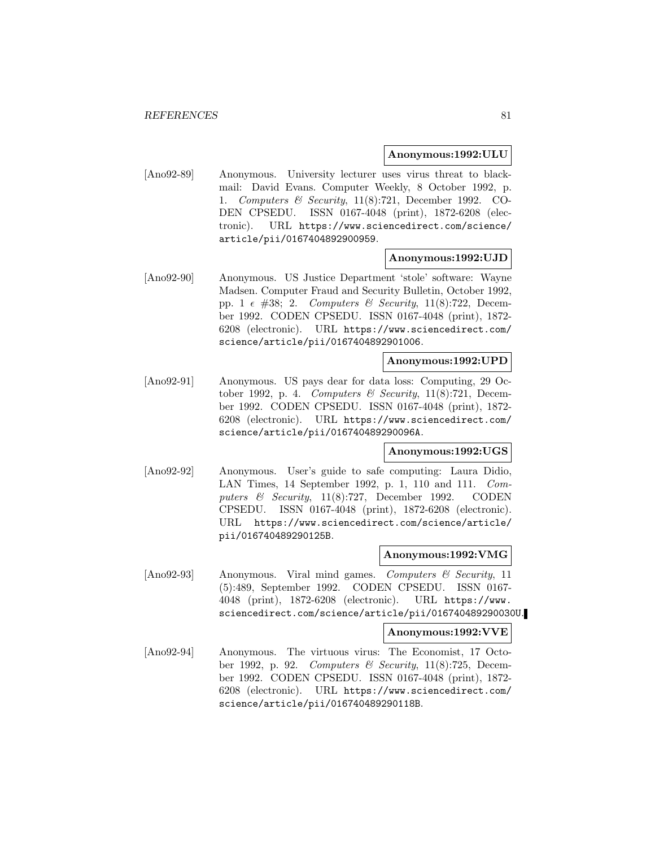## **Anonymous:1992:ULU**

[Ano92-89] Anonymous. University lecturer uses virus threat to blackmail: David Evans. Computer Weekly, 8 October 1992, p. 1. Computers & Security, 11(8):721, December 1992. CO-DEN CPSEDU. ISSN 0167-4048 (print), 1872-6208 (electronic). URL https://www.sciencedirect.com/science/ article/pii/0167404892900959.

## **Anonymous:1992:UJD**

[Ano92-90] Anonymous. US Justice Department 'stole' software: Wayne Madsen. Computer Fraud and Security Bulletin, October 1992, pp. 1  $\epsilon$  #38; 2. Computers & Security, 11(8):722, December 1992. CODEN CPSEDU. ISSN 0167-4048 (print), 1872- 6208 (electronic). URL https://www.sciencedirect.com/ science/article/pii/0167404892901006.

#### **Anonymous:1992:UPD**

[Ano92-91] Anonymous. US pays dear for data loss: Computing, 29 October 1992, p. 4. Computers & Security,  $11(8):721$ , December 1992. CODEN CPSEDU. ISSN 0167-4048 (print), 1872- 6208 (electronic). URL https://www.sciencedirect.com/ science/article/pii/016740489290096A.

#### **Anonymous:1992:UGS**

[Ano92-92] Anonymous. User's guide to safe computing: Laura Didio, LAN Times, 14 September 1992, p. 1, 110 and 111. Computers & Security, 11(8):727, December 1992. CODEN CPSEDU. ISSN 0167-4048 (print), 1872-6208 (electronic). URL https://www.sciencedirect.com/science/article/ pii/016740489290125B.

### **Anonymous:1992:VMG**

[Ano92-93] Anonymous. Viral mind games. Computers & Security, 11 (5):489, September 1992. CODEN CPSEDU. ISSN 0167- 4048 (print), 1872-6208 (electronic). URL https://www. sciencedirect.com/science/article/pii/016740489290030U.

#### **Anonymous:1992:VVE**

[Ano92-94] Anonymous. The virtuous virus: The Economist, 17 October 1992, p. 92. Computers & Security, 11(8):725, December 1992. CODEN CPSEDU. ISSN 0167-4048 (print), 1872- 6208 (electronic). URL https://www.sciencedirect.com/ science/article/pii/016740489290118B.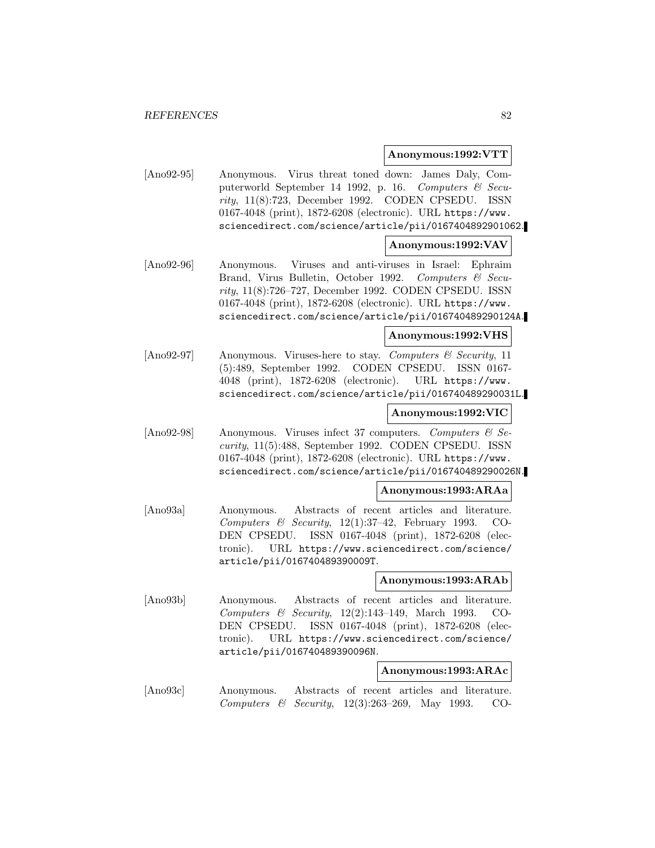### **Anonymous:1992:VTT**

[Ano92-95] Anonymous. Virus threat toned down: James Daly, Computerworld September 14 1992, p. 16. Computers & Security, 11(8):723, December 1992. CODEN CPSEDU. ISSN 0167-4048 (print), 1872-6208 (electronic). URL https://www. sciencedirect.com/science/article/pii/0167404892901062.

### **Anonymous:1992:VAV**

[Ano92-96] Anonymous. Viruses and anti-viruses in Israel: Ephraim Brand, Virus Bulletin, October 1992. Computers & Security, 11(8):726–727, December 1992. CODEN CPSEDU. ISSN 0167-4048 (print), 1872-6208 (electronic). URL https://www. sciencedirect.com/science/article/pii/016740489290124A.

## **Anonymous:1992:VHS**

 $[\text{Ano92-97}]$  Anonymous. Viruses-here to stay. Computers & Security, 11 (5):489, September 1992. CODEN CPSEDU. ISSN 0167- 4048 (print), 1872-6208 (electronic). URL https://www. sciencedirect.com/science/article/pii/016740489290031L.

## **Anonymous:1992:VIC**

[Ano92-98] Anonymous. Viruses infect 37 computers. Computers  $\mathcal{C}$  Security, 11(5):488, September 1992. CODEN CPSEDU. ISSN 0167-4048 (print), 1872-6208 (electronic). URL https://www. sciencedirect.com/science/article/pii/016740489290026N.

## **Anonymous:1993:ARAa**

[Ano93a] Anonymous. Abstracts of recent articles and literature. Computers & Security,  $12(1):37-42$ , February 1993. CO-DEN CPSEDU. ISSN 0167-4048 (print), 1872-6208 (electronic). URL https://www.sciencedirect.com/science/ article/pii/016740489390009T.

## **Anonymous:1993:ARAb**

[Ano93b] Anonymous. Abstracts of recent articles and literature. Computers & Security, 12(2):143–149, March 1993. CO-DEN CPSEDU. ISSN 0167-4048 (print), 1872-6208 (electronic). URL https://www.sciencedirect.com/science/ article/pii/016740489390096N.

### **Anonymous:1993:ARAc**

[Ano93c] Anonymous. Abstracts of recent articles and literature. Computers & Security, 12(3):263–269, May 1993. CO-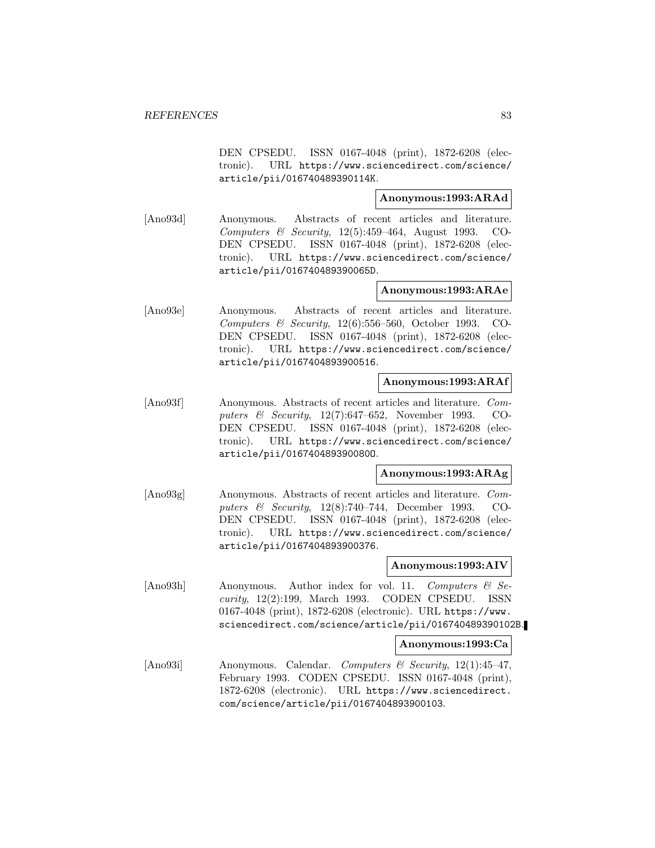DEN CPSEDU. ISSN 0167-4048 (print), 1872-6208 (electronic). URL https://www.sciencedirect.com/science/ article/pii/016740489390114K.

## **Anonymous:1993:ARAd**

[Ano93d] Anonymous. Abstracts of recent articles and literature. Computers & Security, 12(5):459–464, August 1993. CO-DEN CPSEDU. ISSN 0167-4048 (print), 1872-6208 (electronic). URL https://www.sciencedirect.com/science/ article/pii/016740489390065D.

## **Anonymous:1993:ARAe**

[Ano93e] Anonymous. Abstracts of recent articles and literature. Computers & Security, 12(6):556–560, October 1993. CO-DEN CPSEDU. ISSN 0167-4048 (print), 1872-6208 (electronic). URL https://www.sciencedirect.com/science/ article/pii/0167404893900516.

### **Anonymous:1993:ARAf**

[Ano93f] Anonymous. Abstracts of recent articles and literature. Computers & Security, 12(7):647–652, November 1993. CO-DEN CPSEDU. ISSN 0167-4048 (print), 1872-6208 (electronic). URL https://www.sciencedirect.com/science/ article/pii/016740489390080O.

## **Anonymous:1993:ARAg**

[Ano93g] Anonymous. Abstracts of recent articles and literature. Computers & Security, 12(8):740–744, December 1993. CO-DEN CPSEDU. ISSN 0167-4048 (print), 1872-6208 (electronic). URL https://www.sciencedirect.com/science/ article/pii/0167404893900376.

## **Anonymous:1993:AIV**

[Ano93h] Anonymous. Author index for vol. 11. Computers & Security, 12(2):199, March 1993. CODEN CPSEDU. ISSN 0167-4048 (print), 1872-6208 (electronic). URL https://www. sciencedirect.com/science/article/pii/016740489390102B.

#### **Anonymous:1993:Ca**

[Ano93i] Anonymous. Calendar. Computers & Security, 12(1):45–47, February 1993. CODEN CPSEDU. ISSN 0167-4048 (print), 1872-6208 (electronic). URL https://www.sciencedirect. com/science/article/pii/0167404893900103.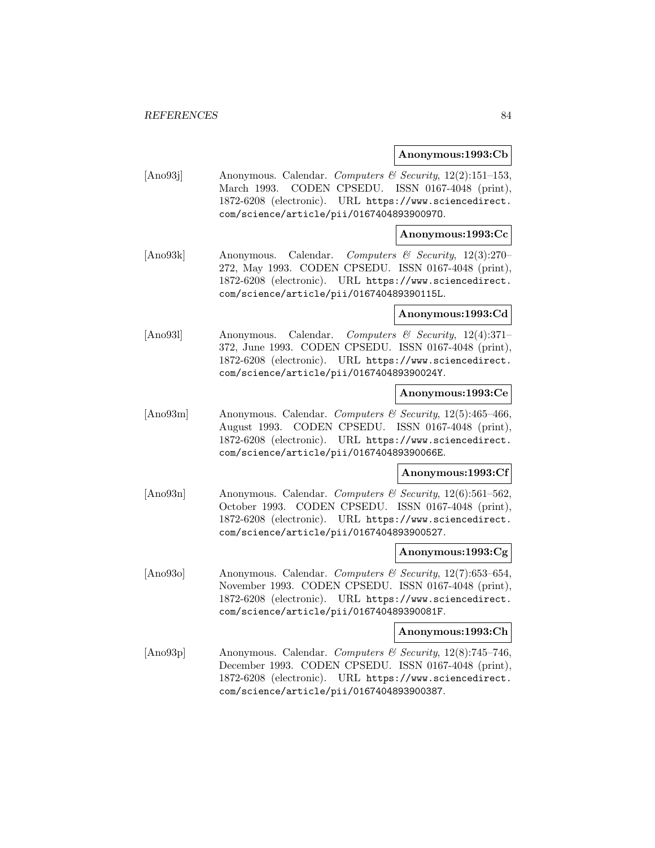### **Anonymous:1993:Cb**

[Ano93] Anonymous. Calendar. *Computers & Security*, 12(2):151-153, March 1993. CODEN CPSEDU. ISSN 0167-4048 (print), 1872-6208 (electronic). URL https://www.sciencedirect. com/science/article/pii/016740489390097O.

## **Anonymous:1993:Cc**

[Ano93k] Anonymous. Calendar. Computers & Security, 12(3):270– 272, May 1993. CODEN CPSEDU. ISSN 0167-4048 (print), 1872-6208 (electronic). URL https://www.sciencedirect. com/science/article/pii/016740489390115L.

### **Anonymous:1993:Cd**

[Ano93l] Anonymous. Calendar. Computers & Security, 12(4):371– 372, June 1993. CODEN CPSEDU. ISSN 0167-4048 (print), 1872-6208 (electronic). URL https://www.sciencedirect. com/science/article/pii/016740489390024Y.

### **Anonymous:1993:Ce**

[Ano93m] Anonymous. Calendar. Computers & Security, 12(5):465-466, August 1993. CODEN CPSEDU. ISSN 0167-4048 (print), 1872-6208 (electronic). URL https://www.sciencedirect. com/science/article/pii/016740489390066E.

#### **Anonymous:1993:Cf**

[Ano93n] Anonymous. Calendar. Computers & Security, 12(6):561-562, October 1993. CODEN CPSEDU. ISSN 0167-4048 (print), 1872-6208 (electronic). URL https://www.sciencedirect. com/science/article/pii/0167404893900527.

#### **Anonymous:1993:Cg**

[Ano93o] Anonymous. Calendar. *Computers & Security*, 12(7):653–654, November 1993. CODEN CPSEDU. ISSN 0167-4048 (print), 1872-6208 (electronic). URL https://www.sciencedirect. com/science/article/pii/016740489390081F.

#### **Anonymous:1993:Ch**

[Ano93p] Anonymous. Calendar. Computers & Security, 12(8):745–746, December 1993. CODEN CPSEDU. ISSN 0167-4048 (print), 1872-6208 (electronic). URL https://www.sciencedirect. com/science/article/pii/0167404893900387.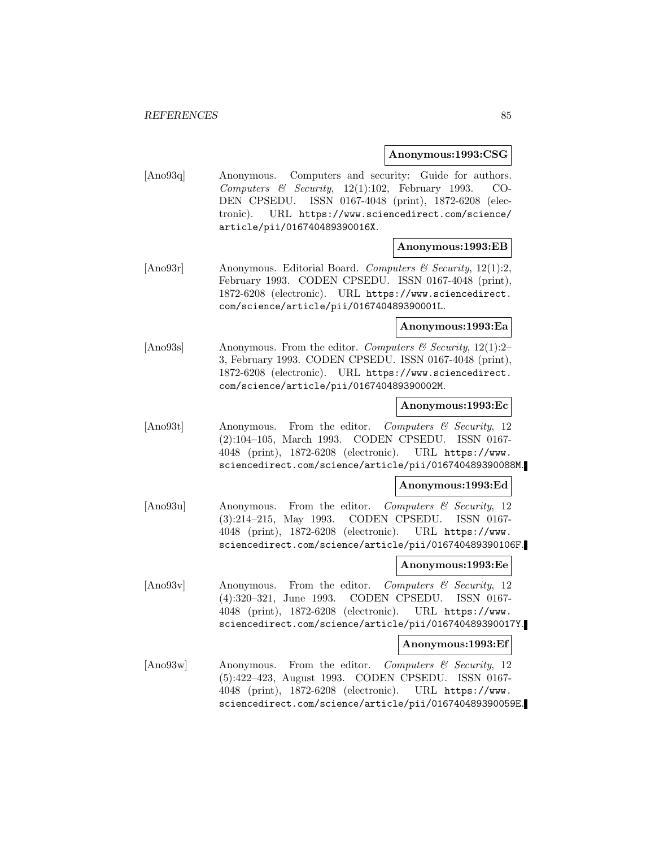### **Anonymous:1993:CSG**

[Ano93q] Anonymous. Computers and security: Guide for authors. Computers & Security, 12(1):102, February 1993. CO-DEN CPSEDU. ISSN 0167-4048 (print), 1872-6208 (electronic). URL https://www.sciencedirect.com/science/ article/pii/016740489390016X.

## **Anonymous:1993:EB**

[Ano93r] Anonymous. Editorial Board. Computers  $\mathcal{C}$  Security, 12(1):2, February 1993. CODEN CPSEDU. ISSN 0167-4048 (print), 1872-6208 (electronic). URL https://www.sciencedirect. com/science/article/pii/016740489390001L.

### **Anonymous:1993:Ea**

[Ano93s] Anonymous. From the editor. Computers & Security, 12(1):2-3, February 1993. CODEN CPSEDU. ISSN 0167-4048 (print), 1872-6208 (electronic). URL https://www.sciencedirect. com/science/article/pii/016740489390002M.

#### **Anonymous:1993:Ec**

[Ano93t] Anonymous. From the editor. Computers & Security, 12 (2):104–105, March 1993. CODEN CPSEDU. ISSN 0167- 4048 (print), 1872-6208 (electronic). URL https://www. sciencedirect.com/science/article/pii/016740489390088M.

#### **Anonymous:1993:Ed**

[Ano93u] Anonymous. From the editor. Computers & Security, 12 (3):214–215, May 1993. CODEN CPSEDU. ISSN 0167- 4048 (print), 1872-6208 (electronic). URL https://www. sciencedirect.com/science/article/pii/016740489390106F.

## **Anonymous:1993:Ee**

[Ano93v] Anonymous. From the editor. Computers & Security, 12 (4):320–321, June 1993. CODEN CPSEDU. ISSN 0167- 4048 (print), 1872-6208 (electronic). URL https://www. sciencedirect.com/science/article/pii/016740489390017Y.

#### **Anonymous:1993:Ef**

[Ano93w] Anonymous. From the editor. Computers & Security, 12 (5):422–423, August 1993. CODEN CPSEDU. ISSN 0167- 4048 (print), 1872-6208 (electronic). URL https://www. sciencedirect.com/science/article/pii/016740489390059E.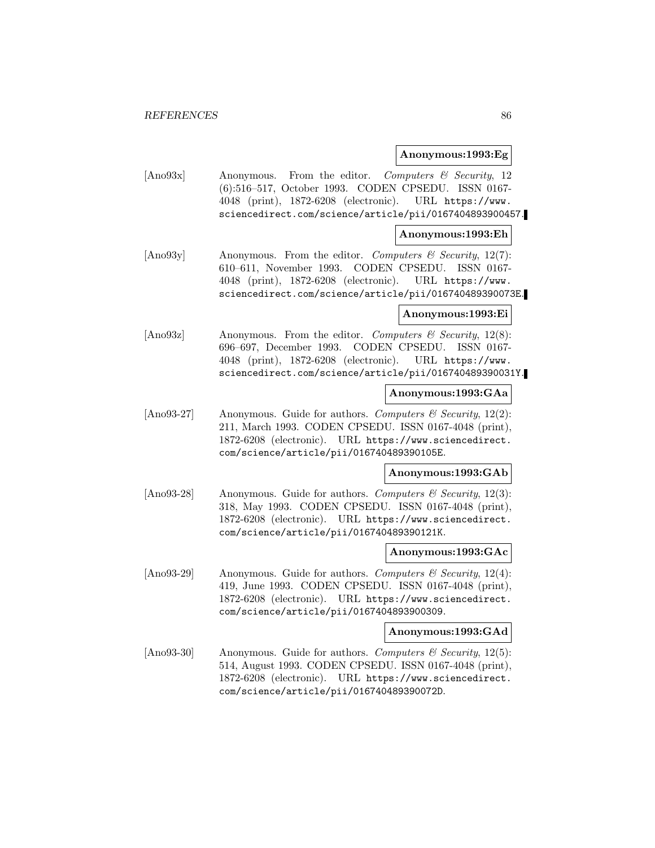### **Anonymous:1993:Eg**

[Ano93x] Anonymous. From the editor. Computers & Security, 12 (6):516–517, October 1993. CODEN CPSEDU. ISSN 0167- 4048 (print), 1872-6208 (electronic). URL https://www. sciencedirect.com/science/article/pii/0167404893900457.

### **Anonymous:1993:Eh**

[Ano93y] Anonymous. From the editor. Computers & Security, 12(7): 610–611, November 1993. CODEN CPSEDU. ISSN 0167- 4048 (print), 1872-6208 (electronic). URL https://www. sciencedirect.com/science/article/pii/016740489390073E.

## **Anonymous:1993:Ei**

[Ano93z] Anonymous. From the editor. Computers & Security,  $12(8)$ : 696–697, December 1993. CODEN CPSEDU. ISSN 0167- 4048 (print), 1872-6208 (electronic). URL https://www. sciencedirect.com/science/article/pii/016740489390031Y.

### **Anonymous:1993:GAa**

[Ano93-27] Anonymous. Guide for authors. Computers  $\mathcal C$  Security, 12(2): 211, March 1993. CODEN CPSEDU. ISSN 0167-4048 (print), 1872-6208 (electronic). URL https://www.sciencedirect. com/science/article/pii/016740489390105E.

#### **Anonymous:1993:GAb**

[Ano93-28] Anonymous. Guide for authors. Computers  $\mathcal C$  Security, 12(3): 318, May 1993. CODEN CPSEDU. ISSN 0167-4048 (print), 1872-6208 (electronic). URL https://www.sciencedirect. com/science/article/pii/016740489390121K.

#### **Anonymous:1993:GAc**

[Ano93-29] Anonymous. Guide for authors. Computers & Security, 12(4): 419, June 1993. CODEN CPSEDU. ISSN 0167-4048 (print), 1872-6208 (electronic). URL https://www.sciencedirect. com/science/article/pii/0167404893900309.

#### **Anonymous:1993:GAd**

[Ano93-30] Anonymous. Guide for authors. Computers  $\mathcal B$  Security, 12(5): 514, August 1993. CODEN CPSEDU. ISSN 0167-4048 (print), 1872-6208 (electronic). URL https://www.sciencedirect. com/science/article/pii/016740489390072D.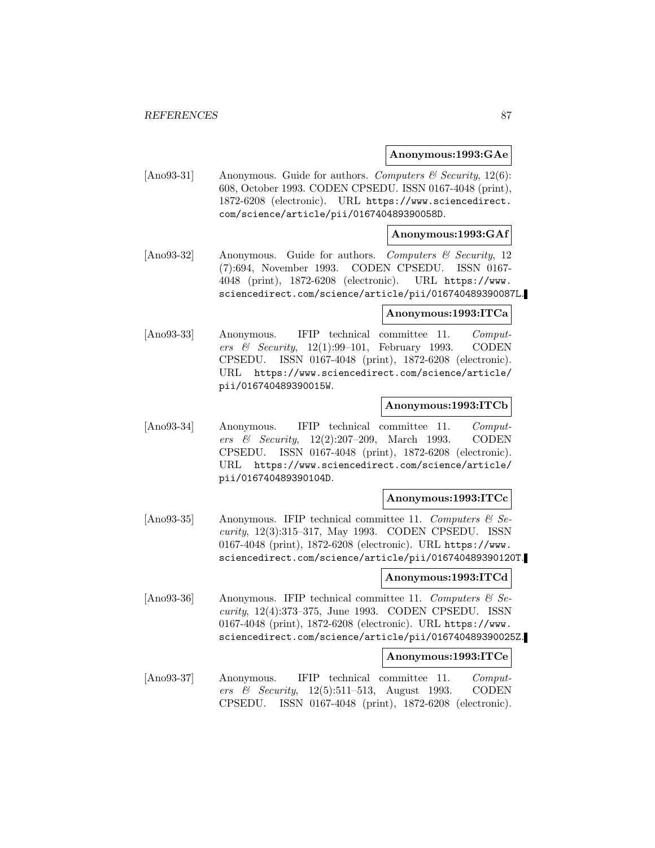### **Anonymous:1993:GAe**

[Ano93-31] Anonymous. Guide for authors. Computers & Security,  $12(6)$ : 608, October 1993. CODEN CPSEDU. ISSN 0167-4048 (print), 1872-6208 (electronic). URL https://www.sciencedirect. com/science/article/pii/016740489390058D.

## **Anonymous:1993:GAf**

[Ano93-32] Anonymous. Guide for authors. Computers & Security, 12 (7):694, November 1993. CODEN CPSEDU. ISSN 0167- 4048 (print), 1872-6208 (electronic). URL https://www. sciencedirect.com/science/article/pii/016740489390087L.

## **Anonymous:1993:ITCa**

[Ano93-33] Anonymous. IFIP technical committee 11. Computers & Security, 12(1):99–101, February 1993. CODEN CPSEDU. ISSN 0167-4048 (print), 1872-6208 (electronic). URL https://www.sciencedirect.com/science/article/ pii/016740489390015W.

### **Anonymous:1993:ITCb**

[Ano93-34] Anonymous. IFIP technical committee 11. Computers & Security, 12(2):207–209, March 1993. CODEN CPSEDU. ISSN 0167-4048 (print), 1872-6208 (electronic). URL https://www.sciencedirect.com/science/article/ pii/016740489390104D.

## **Anonymous:1993:ITCc**

 $[Ano93-35]$  Anonymous. IFIP technical committee 11. Computers & Security, 12(3):315–317, May 1993. CODEN CPSEDU. ISSN 0167-4048 (print), 1872-6208 (electronic). URL https://www. sciencedirect.com/science/article/pii/016740489390120T.

#### **Anonymous:1993:ITCd**

[Ano93-36] Anonymous. IFIP technical committee 11. Computers  $\mathcal{C}$  Security, 12(4):373–375, June 1993. CODEN CPSEDU. ISSN 0167-4048 (print), 1872-6208 (electronic). URL https://www. sciencedirect.com/science/article/pii/016740489390025Z.

### **Anonymous:1993:ITCe**

[Ano93-37] Anonymous. IFIP technical committee 11. Computers & Security, 12(5):511–513, August 1993. CODEN CPSEDU. ISSN 0167-4048 (print), 1872-6208 (electronic).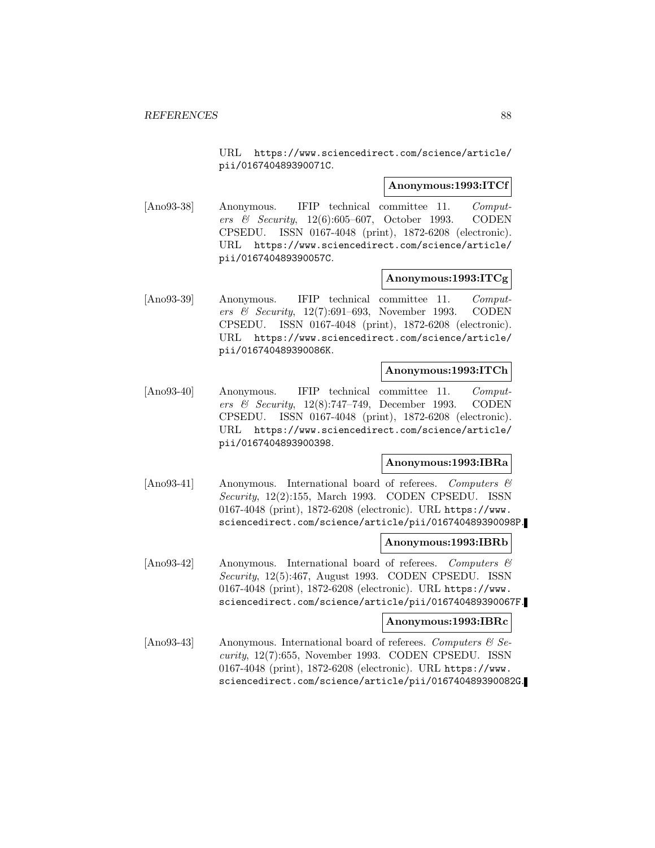URL https://www.sciencedirect.com/science/article/ pii/016740489390071C.

### **Anonymous:1993:ITCf**

[Ano93-38] Anonymous. IFIP technical committee 11. Computers & Security, 12(6):605–607, October 1993. CODEN CPSEDU. ISSN 0167-4048 (print), 1872-6208 (electronic). URL https://www.sciencedirect.com/science/article/ pii/016740489390057C.

### **Anonymous:1993:ITCg**

[Ano93-39] Anonymous. IFIP technical committee 11. Computers & Security, 12(7):691–693, November 1993. CODEN CPSEDU. ISSN 0167-4048 (print), 1872-6208 (electronic). URL https://www.sciencedirect.com/science/article/ pii/016740489390086K.

## **Anonymous:1993:ITCh**

[Ano93-40] Anonymous. IFIP technical committee 11. Computers & Security, 12(8):747–749, December 1993. CODEN CPSEDU. ISSN 0167-4048 (print), 1872-6208 (electronic). URL https://www.sciencedirect.com/science/article/ pii/0167404893900398.

## **Anonymous:1993:IBRa**

[Ano93-41] Anonymous. International board of referees. Computers & Security, 12(2):155, March 1993. CODEN CPSEDU. ISSN 0167-4048 (print), 1872-6208 (electronic). URL https://www. sciencedirect.com/science/article/pii/016740489390098P.

## **Anonymous:1993:IBRb**

[Ano93-42] Anonymous. International board of referees. Computers & Security, 12(5):467, August 1993. CODEN CPSEDU. ISSN 0167-4048 (print), 1872-6208 (electronic). URL https://www. sciencedirect.com/science/article/pii/016740489390067F.

#### **Anonymous:1993:IBRc**

[Ano93-43] Anonymous. International board of referees. Computers  $\&$  Security, 12(7):655, November 1993. CODEN CPSEDU. ISSN 0167-4048 (print), 1872-6208 (electronic). URL https://www. sciencedirect.com/science/article/pii/016740489390082G.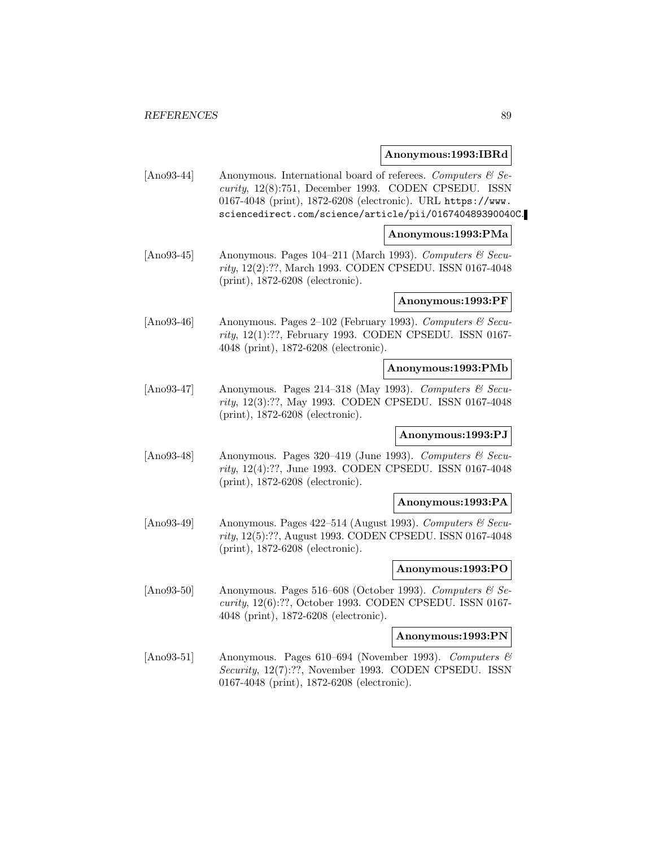### **Anonymous:1993:IBRd**

[Ano93-44] Anonymous. International board of referees. Computers  $\mathcal{C}$  Security, 12(8):751, December 1993. CODEN CPSEDU. ISSN 0167-4048 (print), 1872-6208 (electronic). URL https://www. sciencedirect.com/science/article/pii/016740489390040C.

### **Anonymous:1993:PMa**

[Ano93-45] Anonymous. Pages 104–211 (March 1993). Computers  $\mathcal C$  Security, 12(2):??, March 1993. CODEN CPSEDU. ISSN 0167-4048 (print), 1872-6208 (electronic).

### **Anonymous:1993:PF**

[Ano93-46] Anonymous. Pages 2–102 (February 1993). Computers & Security, 12(1):??, February 1993. CODEN CPSEDU. ISSN 0167- 4048 (print), 1872-6208 (electronic).

#### **Anonymous:1993:PMb**

[Ano93-47] Anonymous. Pages 214–318 (May 1993). Computers  $\mathcal{B}$  Security, 12(3):??, May 1993. CODEN CPSEDU. ISSN 0167-4048 (print), 1872-6208 (electronic).

## **Anonymous:1993:PJ**

[Ano93-48] Anonymous. Pages 320–419 (June 1993). Computers  $\mathcal{B}$  Security, 12(4):??, June 1993. CODEN CPSEDU. ISSN 0167-4048 (print), 1872-6208 (electronic).

#### **Anonymous:1993:PA**

[Ano93-49] Anonymous. Pages 422–514 (August 1993). Computers  $\mathcal{C}$  Security, 12(5):??, August 1993. CODEN CPSEDU. ISSN 0167-4048 (print), 1872-6208 (electronic).

#### **Anonymous:1993:PO**

[Ano93-50] Anonymous. Pages 516–608 (October 1993). Computers  $\mathcal{C}$  Security, 12(6):??, October 1993. CODEN CPSEDU. ISSN 0167- 4048 (print), 1872-6208 (electronic).

## **Anonymous:1993:PN**

 $[\text{Ano93-51}]$  Anonymous. Pages 610–694 (November 1993). Computers & Security, 12(7):??, November 1993. CODEN CPSEDU. ISSN 0167-4048 (print), 1872-6208 (electronic).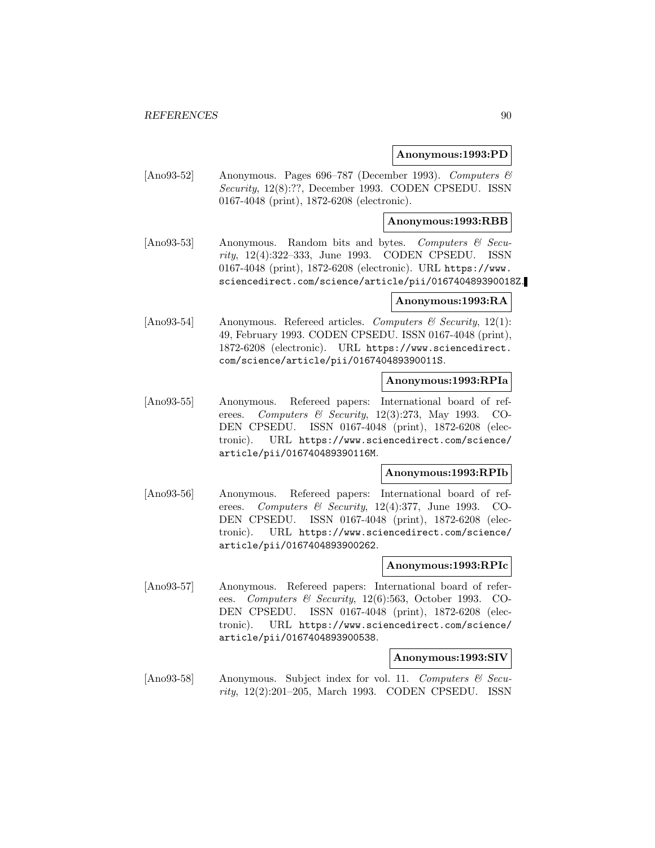## **Anonymous:1993:PD**

[Ano93-52] Anonymous. Pages 696–787 (December 1993). Computers & Security, 12(8):??, December 1993. CODEN CPSEDU. ISSN 0167-4048 (print), 1872-6208 (electronic).

## **Anonymous:1993:RBB**

[Ano93-53] Anonymous. Random bits and bytes. Computers & Security, 12(4):322–333, June 1993. CODEN CPSEDU. ISSN 0167-4048 (print), 1872-6208 (electronic). URL https://www. sciencedirect.com/science/article/pii/016740489390018Z.

### **Anonymous:1993:RA**

[Ano93-54] Anonymous. Referred articles. Computers & Security, 12(1): 49, February 1993. CODEN CPSEDU. ISSN 0167-4048 (print), 1872-6208 (electronic). URL https://www.sciencedirect. com/science/article/pii/016740489390011S.

### **Anonymous:1993:RPIa**

[Ano93-55] Anonymous. Refereed papers: International board of referees. Computers & Security, 12(3):273, May 1993. CO-DEN CPSEDU. ISSN 0167-4048 (print), 1872-6208 (electronic). URL https://www.sciencedirect.com/science/ article/pii/016740489390116M.

#### **Anonymous:1993:RPIb**

[Ano93-56] Anonymous. Refereed papers: International board of referees. Computers & Security, 12(4):377, June 1993. CO-DEN CPSEDU. ISSN 0167-4048 (print), 1872-6208 (electronic). URL https://www.sciencedirect.com/science/ article/pii/0167404893900262.

### **Anonymous:1993:RPIc**

[Ano93-57] Anonymous. Refereed papers: International board of referees. Computers & Security, 12(6):563, October 1993. CO-DEN CPSEDU. ISSN 0167-4048 (print), 1872-6208 (electronic). URL https://www.sciencedirect.com/science/ article/pii/0167404893900538.

### **Anonymous:1993:SIV**

[Ano93-58] Anonymous. Subject index for vol. 11. Computers  $\mathcal{C}$  Security, 12(2):201–205, March 1993. CODEN CPSEDU. ISSN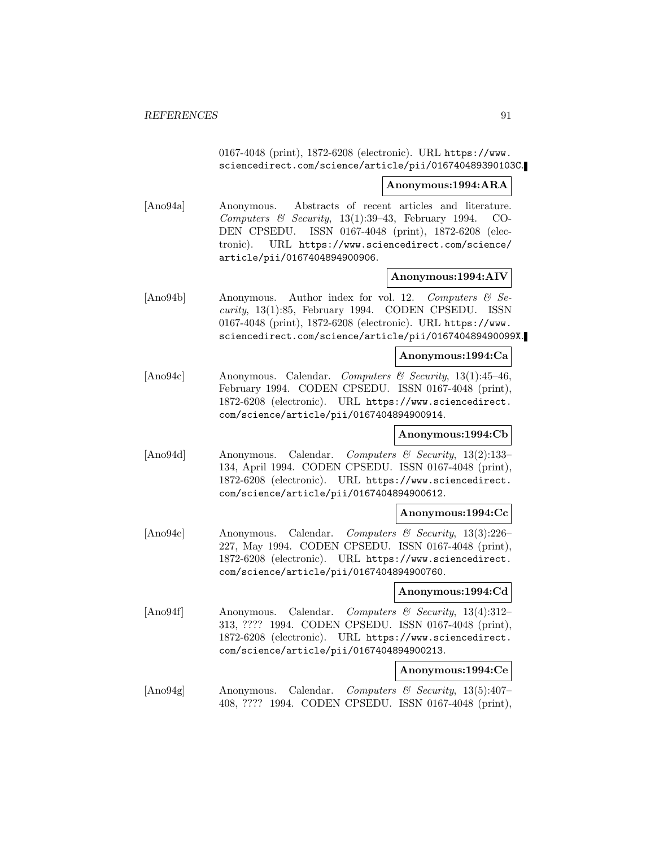0167-4048 (print), 1872-6208 (electronic). URL https://www. sciencedirect.com/science/article/pii/016740489390103C.

### **Anonymous:1994:ARA**

[Ano94a] Anonymous. Abstracts of recent articles and literature. Computers & Security,  $13(1):39-43$ , February 1994. CO-DEN CPSEDU. ISSN 0167-4048 (print), 1872-6208 (electronic). URL https://www.sciencedirect.com/science/ article/pii/0167404894900906.

### **Anonymous:1994:AIV**

[Ano94b] Anonymous. Author index for vol. 12. Computers & Security, 13(1):85, February 1994. CODEN CPSEDU. ISSN 0167-4048 (print), 1872-6208 (electronic). URL https://www. sciencedirect.com/science/article/pii/016740489490099X.

#### **Anonymous:1994:Ca**

[Ano94c] Anonymous. Calendar. Computers & Security, 13(1):45–46, February 1994. CODEN CPSEDU. ISSN 0167-4048 (print), 1872-6208 (electronic). URL https://www.sciencedirect. com/science/article/pii/0167404894900914.

#### **Anonymous:1994:Cb**

[Ano94d] Anonymous. Calendar. Computers & Security, 13(2):133– 134, April 1994. CODEN CPSEDU. ISSN 0167-4048 (print), 1872-6208 (electronic). URL https://www.sciencedirect. com/science/article/pii/0167404894900612.

### **Anonymous:1994:Cc**

[Ano94e] Anonymous. Calendar. Computers & Security, 13(3):226– 227, May 1994. CODEN CPSEDU. ISSN 0167-4048 (print), 1872-6208 (electronic). URL https://www.sciencedirect. com/science/article/pii/0167404894900760.

#### **Anonymous:1994:Cd**

[Ano94f] Anonymous. Calendar. Computers & Security, 13(4):312– 313, ???? 1994. CODEN CPSEDU. ISSN 0167-4048 (print), 1872-6208 (electronic). URL https://www.sciencedirect. com/science/article/pii/0167404894900213.

## **Anonymous:1994:Ce**

[Ano94g] Anonymous. Calendar. Computers & Security, 13(5):407– 408, ???? 1994. CODEN CPSEDU. ISSN 0167-4048 (print),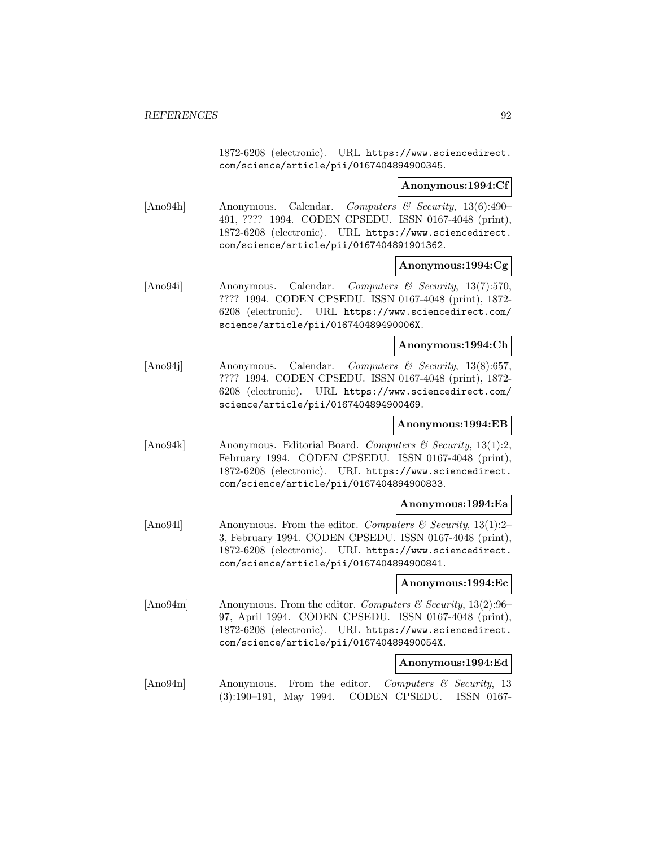1872-6208 (electronic). URL https://www.sciencedirect. com/science/article/pii/0167404894900345.

### **Anonymous:1994:Cf**

[Ano94h] Anonymous. Calendar. Computers & Security, 13(6):490– 491, ???? 1994. CODEN CPSEDU. ISSN 0167-4048 (print), 1872-6208 (electronic). URL https://www.sciencedirect. com/science/article/pii/0167404891901362.

#### **Anonymous:1994:Cg**

[Ano94i] Anonymous. Calendar. Computers & Security, 13(7):570, ???? 1994. CODEN CPSEDU. ISSN 0167-4048 (print), 1872- 6208 (electronic). URL https://www.sciencedirect.com/ science/article/pii/016740489490006X.

### **Anonymous:1994:Ch**

[Ano94j] Anonymous. Calendar. Computers & Security, 13(8):657, ???? 1994. CODEN CPSEDU. ISSN 0167-4048 (print), 1872- 6208 (electronic). URL https://www.sciencedirect.com/ science/article/pii/0167404894900469.

## **Anonymous:1994:EB**

[Ano94k] Anonymous. Editorial Board. Computers & Security, 13(1):2, February 1994. CODEN CPSEDU. ISSN 0167-4048 (print), 1872-6208 (electronic). URL https://www.sciencedirect. com/science/article/pii/0167404894900833.

#### **Anonymous:1994:Ea**

[Ano941] Anonymous. From the editor. Computers & Security, 13(1):2– 3, February 1994. CODEN CPSEDU. ISSN 0167-4048 (print), 1872-6208 (electronic). URL https://www.sciencedirect. com/science/article/pii/0167404894900841.

#### **Anonymous:1994:Ec**

[Ano94m] Anonymous. From the editor. Computers & Security,  $13(2):96-$ 97, April 1994. CODEN CPSEDU. ISSN 0167-4048 (print), 1872-6208 (electronic). URL https://www.sciencedirect. com/science/article/pii/016740489490054X.

#### **Anonymous:1994:Ed**

[Ano94n] Anonymous. From the editor. Computers & Security, 13 (3):190–191, May 1994. CODEN CPSEDU. ISSN 0167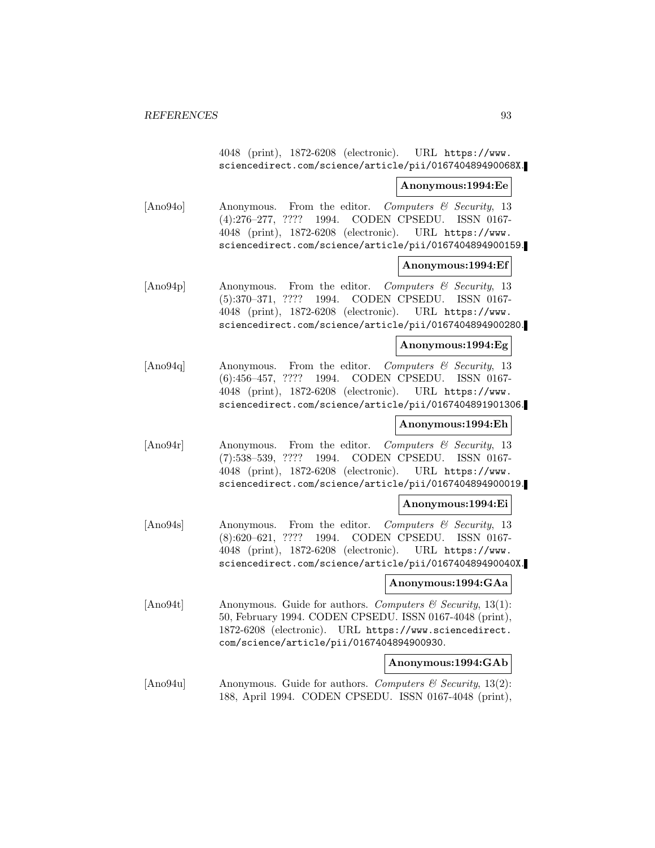4048 (print), 1872-6208 (electronic). URL https://www. sciencedirect.com/science/article/pii/016740489490068X.

**Anonymous:1994:Ee**

[Ano94o] Anonymous. From the editor. Computers & Security, 13 (4):276–277, ???? 1994. CODEN CPSEDU. ISSN 0167- 4048 (print), 1872-6208 (electronic). URL https://www. sciencedirect.com/science/article/pii/0167404894900159.

#### **Anonymous:1994:Ef**

[Ano94p] Anonymous. From the editor. Computers & Security, 13 (5):370–371, ???? 1994. CODEN CPSEDU. ISSN 0167- 4048 (print), 1872-6208 (electronic). URL https://www. sciencedirect.com/science/article/pii/0167404894900280.

#### **Anonymous:1994:Eg**

[Ano94q] Anonymous. From the editor. Computers & Security, 13 (6):456–457, ???? 1994. CODEN CPSEDU. ISSN 0167- 4048 (print), 1872-6208 (electronic). URL https://www. sciencedirect.com/science/article/pii/0167404891901306.

## **Anonymous:1994:Eh**

[Ano94r] Anonymous. From the editor. Computers & Security, 13 (7):538–539, ???? 1994. CODEN CPSEDU. ISSN 0167- 4048 (print), 1872-6208 (electronic). URL https://www. sciencedirect.com/science/article/pii/0167404894900019.

## **Anonymous:1994:Ei**

[Ano94s] Anonymous. From the editor. Computers & Security, 13 (8):620–621, ???? 1994. CODEN CPSEDU. ISSN 0167- 4048 (print), 1872-6208 (electronic). URL https://www. sciencedirect.com/science/article/pii/016740489490040X.

#### **Anonymous:1994:GAa**

[Ano94t] Anonymous. Guide for authors. Computers  $\mathcal{C}$  Security, 13(1): 50, February 1994. CODEN CPSEDU. ISSN 0167-4048 (print), 1872-6208 (electronic). URL https://www.sciencedirect. com/science/article/pii/0167404894900930.

#### **Anonymous:1994:GAb**

[Ano94u] Anonymous. Guide for authors. Computers & Security, 13(2): 188, April 1994. CODEN CPSEDU. ISSN 0167-4048 (print),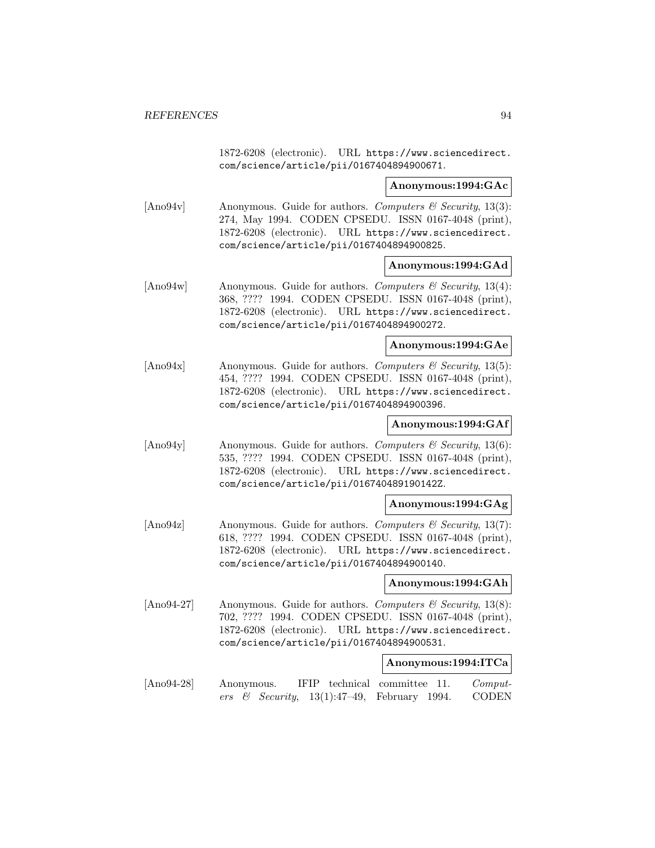1872-6208 (electronic). URL https://www.sciencedirect. com/science/article/pii/0167404894900671.

### **Anonymous:1994:GAc**

[Ano94v] Anonymous. Guide for authors. Computers  $\mathcal C$  Security, 13(3): 274, May 1994. CODEN CPSEDU. ISSN 0167-4048 (print), 1872-6208 (electronic). URL https://www.sciencedirect. com/science/article/pii/0167404894900825.

## **Anonymous:1994:GAd**

[Ano94w] Anonymous. Guide for authors. Computers & Security, 13(4): 368, ???? 1994. CODEN CPSEDU. ISSN 0167-4048 (print), 1872-6208 (electronic). URL https://www.sciencedirect. com/science/article/pii/0167404894900272.

**Anonymous:1994:GAe**

[Ano94x] Anonymous. Guide for authors. Computers  $\mathcal B$  Security, 13(5): 454, ???? 1994. CODEN CPSEDU. ISSN 0167-4048 (print), 1872-6208 (electronic). URL https://www.sciencedirect. com/science/article/pii/0167404894900396.

## **Anonymous:1994:GAf**

 $[\text{Ano94y}]$  Anonymous. Guide for authors. Computers & Security, 13(6): 535, ???? 1994. CODEN CPSEDU. ISSN 0167-4048 (print), 1872-6208 (electronic). URL https://www.sciencedirect. com/science/article/pii/016740489190142Z.

#### **Anonymous:1994:GAg**

[Ano94z] Anonymous. Guide for authors. Computers  $\mathcal{C}$  Security, 13(7): 618, ???? 1994. CODEN CPSEDU. ISSN 0167-4048 (print), 1872-6208 (electronic). URL https://www.sciencedirect. com/science/article/pii/0167404894900140.

**Anonymous:1994:GAh**

[Ano94-27] Anonymous. Guide for authors. Computers & Security, 13(8): 702, ???? 1994. CODEN CPSEDU. ISSN 0167-4048 (print), 1872-6208 (electronic). URL https://www.sciencedirect. com/science/article/pii/0167404894900531.

#### **Anonymous:1994:ITCa**

[Ano94-28] Anonymous. IFIP technical committee 11. Computers & Security,  $13(1):47-49$ , February 1994. CODEN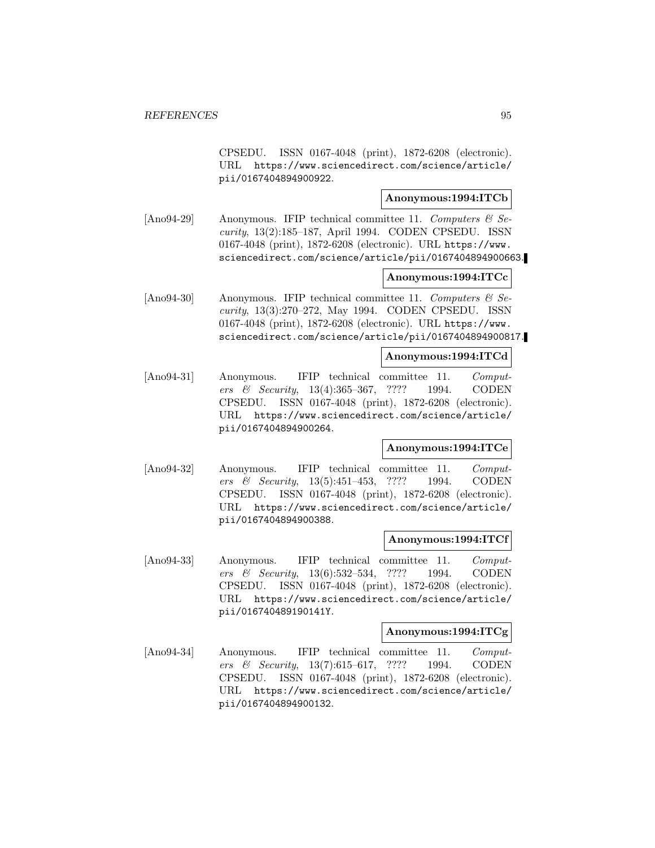CPSEDU. ISSN 0167-4048 (print), 1872-6208 (electronic). URL https://www.sciencedirect.com/science/article/ pii/0167404894900922.

## **Anonymous:1994:ITCb**

[Ano94-29] Anonymous. IFIP technical committee 11. Computers  $\mathcal{B}$  Security, 13(2):185–187, April 1994. CODEN CPSEDU. ISSN 0167-4048 (print), 1872-6208 (electronic). URL https://www. sciencedirect.com/science/article/pii/0167404894900663.

## **Anonymous:1994:ITCc**

[Ano94-30] Anonymous. IFIP technical committee 11. Computers  $\mathcal{C}$  Security, 13(3):270–272, May 1994. CODEN CPSEDU. ISSN 0167-4048 (print), 1872-6208 (electronic). URL https://www. sciencedirect.com/science/article/pii/0167404894900817.

### **Anonymous:1994:ITCd**

[Ano94-31] Anonymous. IFIP technical committee 11. Computers & Security, 13(4):365–367, ???? 1994. CODEN CPSEDU. ISSN 0167-4048 (print), 1872-6208 (electronic). URL https://www.sciencedirect.com/science/article/ pii/0167404894900264.

# **Anonymous:1994:ITCe**

[Ano94-32] Anonymous. IFIP technical committee 11. Computers & Security, 13(5):451–453, ???? 1994. CODEN CPSEDU. ISSN 0167-4048 (print), 1872-6208 (electronic). URL https://www.sciencedirect.com/science/article/ pii/0167404894900388.

#### **Anonymous:1994:ITCf**

[Ano94-33] Anonymous. IFIP technical committee 11. Computers & Security, 13(6):532–534, ???? 1994. CODEN CPSEDU. ISSN 0167-4048 (print), 1872-6208 (electronic). URL https://www.sciencedirect.com/science/article/ pii/016740489190141Y.

#### **Anonymous:1994:ITCg**

[Ano94-34] Anonymous. IFIP technical committee 11. Computers & Security, 13(7):615–617, ???? 1994. CODEN CPSEDU. ISSN 0167-4048 (print), 1872-6208 (electronic). URL https://www.sciencedirect.com/science/article/ pii/0167404894900132.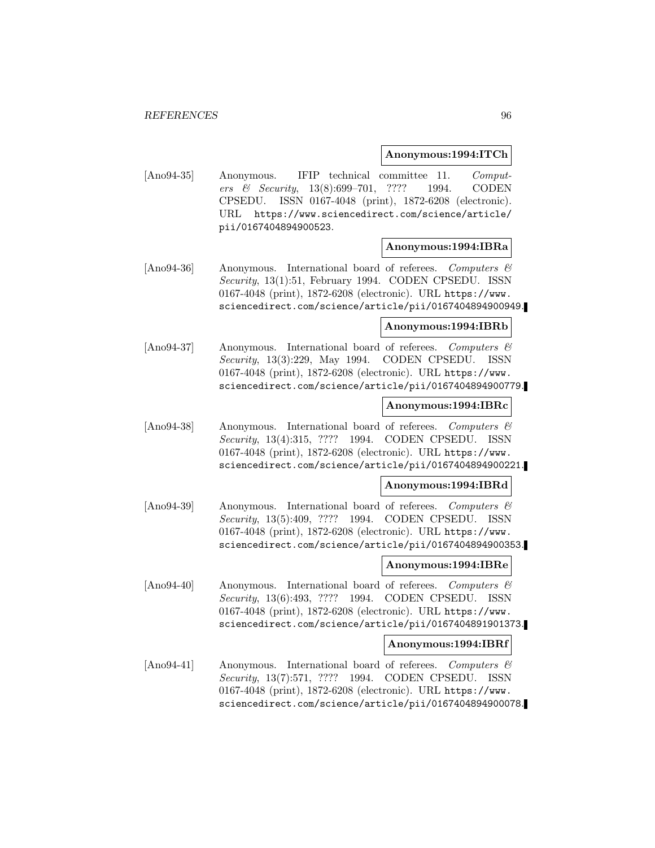### **Anonymous:1994:ITCh**

[Ano94-35] Anonymous. IFIP technical committee 11. Computers & Security, 13(8):699–701, ???? 1994. CODEN CPSEDU. ISSN 0167-4048 (print), 1872-6208 (electronic). URL https://www.sciencedirect.com/science/article/ pii/0167404894900523.

### **Anonymous:1994:IBRa**

[Ano94-36] Anonymous. International board of referees. Computers  $\mathcal{C}$ Security, 13(1):51, February 1994. CODEN CPSEDU. ISSN 0167-4048 (print), 1872-6208 (electronic). URL https://www. sciencedirect.com/science/article/pii/0167404894900949.

#### **Anonymous:1994:IBRb**

[Ano94-37] Anonymous. International board of referees. Computers & Security, 13(3):229, May 1994. CODEN CPSEDU. ISSN 0167-4048 (print), 1872-6208 (electronic). URL https://www. sciencedirect.com/science/article/pii/0167404894900779.

#### **Anonymous:1994:IBRc**

[Ano94-38] Anonymous. International board of referees. Computers & Security, 13(4):315, ???? 1994. CODEN CPSEDU. ISSN 0167-4048 (print), 1872-6208 (electronic). URL https://www. sciencedirect.com/science/article/pii/0167404894900221.

#### **Anonymous:1994:IBRd**

[Ano94-39] Anonymous. International board of referees. Computers & Security, 13(5):409, ???? 1994. CODEN CPSEDU. ISSN 0167-4048 (print), 1872-6208 (electronic). URL https://www. sciencedirect.com/science/article/pii/0167404894900353.

## **Anonymous:1994:IBRe**

[Ano94-40] Anonymous. International board of referees. Computers & Security, 13(6):493, ???? 1994. CODEN CPSEDU. ISSN 0167-4048 (print), 1872-6208 (electronic). URL https://www. sciencedirect.com/science/article/pii/0167404891901373.

#### **Anonymous:1994:IBRf**

[Ano94-41] Anonymous. International board of referees. Computers & Security, 13(7):571, ???? 1994. CODEN CPSEDU. ISSN 0167-4048 (print), 1872-6208 (electronic). URL https://www. sciencedirect.com/science/article/pii/0167404894900078.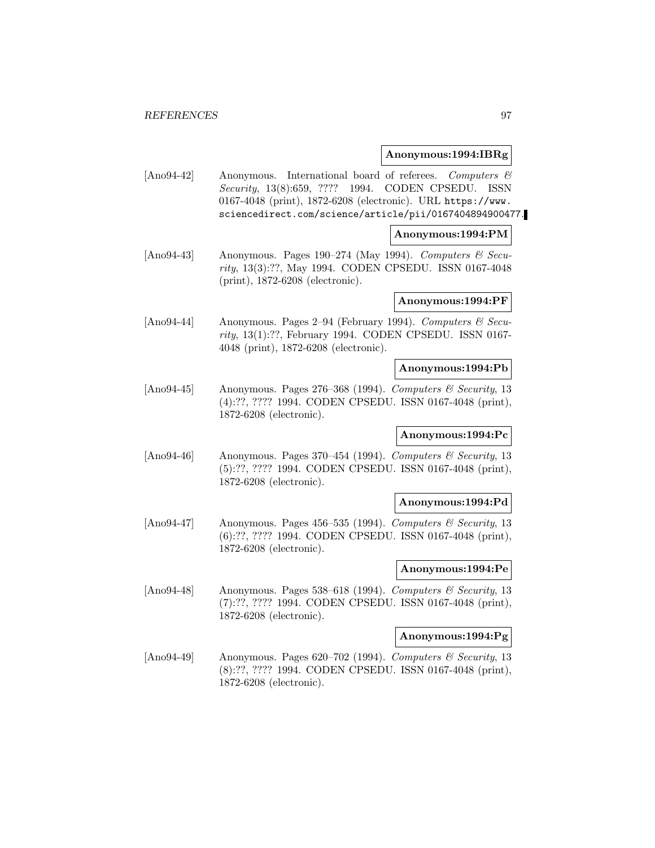### **Anonymous:1994:IBRg**

[Ano94-42] Anonymous. International board of referees. Computers & Security, 13(8):659, ???? 1994. CODEN CPSEDU. ISSN 0167-4048 (print), 1872-6208 (electronic). URL https://www. sciencedirect.com/science/article/pii/0167404894900477.

### **Anonymous:1994:PM**

[Ano94-43] Anonymous. Pages 190–274 (May 1994). Computers  $\mathcal{B}$  Security, 13(3):??, May 1994. CODEN CPSEDU. ISSN 0167-4048 (print), 1872-6208 (electronic).

### **Anonymous:1994:PF**

[Ano94-44] Anonymous. Pages 2–94 (February 1994). Computers & Security, 13(1):??, February 1994. CODEN CPSEDU. ISSN 0167- 4048 (print), 1872-6208 (electronic).

#### **Anonymous:1994:Pb**

[Ano94-45] Anonymous. Pages 276-368 (1994). Computers & Security, 13 (4):??, ???? 1994. CODEN CPSEDU. ISSN 0167-4048 (print), 1872-6208 (electronic).

## **Anonymous:1994:Pc**

[Ano94-46] Anonymous. Pages 370–454 (1994). Computers & Security, 13 (5):??, ???? 1994. CODEN CPSEDU. ISSN 0167-4048 (print), 1872-6208 (electronic).

#### **Anonymous:1994:Pd**

[Ano94-47] Anonymous. Pages 456–535 (1994). Computers & Security, 13 (6):??, ???? 1994. CODEN CPSEDU. ISSN 0167-4048 (print), 1872-6208 (electronic).

### **Anonymous:1994:Pe**

[Ano94-48] Anonymous. Pages 538–618 (1994). Computers & Security, 13 (7):??, ???? 1994. CODEN CPSEDU. ISSN 0167-4048 (print), 1872-6208 (electronic).

## **Anonymous:1994:Pg**

 $[\text{Ano94-49}]$  Anonymous. Pages 620–702 (1994). Computers & Security, 13 (8):??, ???? 1994. CODEN CPSEDU. ISSN 0167-4048 (print), 1872-6208 (electronic).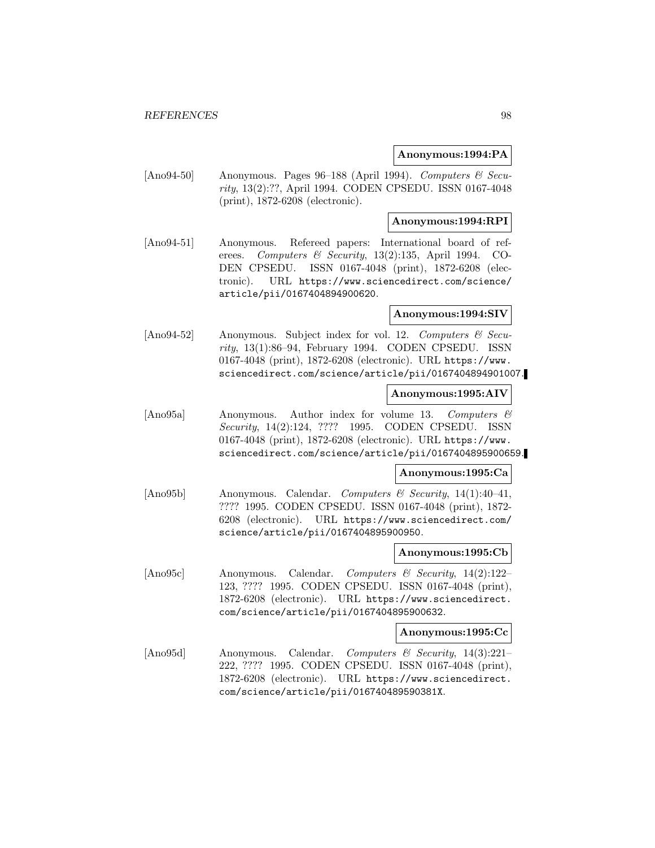## **Anonymous:1994:PA**

[Ano94-50] Anonymous. Pages 96–188 (April 1994). Computers & Security, 13(2):??, April 1994. CODEN CPSEDU. ISSN 0167-4048 (print), 1872-6208 (electronic).

## **Anonymous:1994:RPI**

[Ano94-51] Anonymous. Refereed papers: International board of referees. Computers & Security, 13(2):135, April 1994. CO-DEN CPSEDU. ISSN 0167-4048 (print), 1872-6208 (electronic). URL https://www.sciencedirect.com/science/ article/pii/0167404894900620.

### **Anonymous:1994:SIV**

[Ano94-52] Anonymous. Subject index for vol. 12. Computers & Security, 13(1):86–94, February 1994. CODEN CPSEDU. ISSN 0167-4048 (print), 1872-6208 (electronic). URL https://www. sciencedirect.com/science/article/pii/0167404894901007.

## **Anonymous:1995:AIV**

[Ano95a] Anonymous. Author index for volume 13. Computers & Security, 14(2):124, ???? 1995. CODEN CPSEDU. ISSN 0167-4048 (print), 1872-6208 (electronic). URL https://www. sciencedirect.com/science/article/pii/0167404895900659.

## **Anonymous:1995:Ca**

[Ano95b] Anonymous. Calendar. Computers & Security, 14(1):40–41, ???? 1995. CODEN CPSEDU. ISSN 0167-4048 (print), 1872- 6208 (electronic). URL https://www.sciencedirect.com/ science/article/pii/0167404895900950.

### **Anonymous:1995:Cb**

[Ano95c] Anonymous. Calendar. Computers & Security, 14(2):122– 123, ???? 1995. CODEN CPSEDU. ISSN 0167-4048 (print), 1872-6208 (electronic). URL https://www.sciencedirect. com/science/article/pii/0167404895900632.

### **Anonymous:1995:Cc**

[Ano95d] Anonymous. Calendar. Computers & Security, 14(3):221– 222, ???? 1995. CODEN CPSEDU. ISSN 0167-4048 (print), 1872-6208 (electronic). URL https://www.sciencedirect. com/science/article/pii/016740489590381X.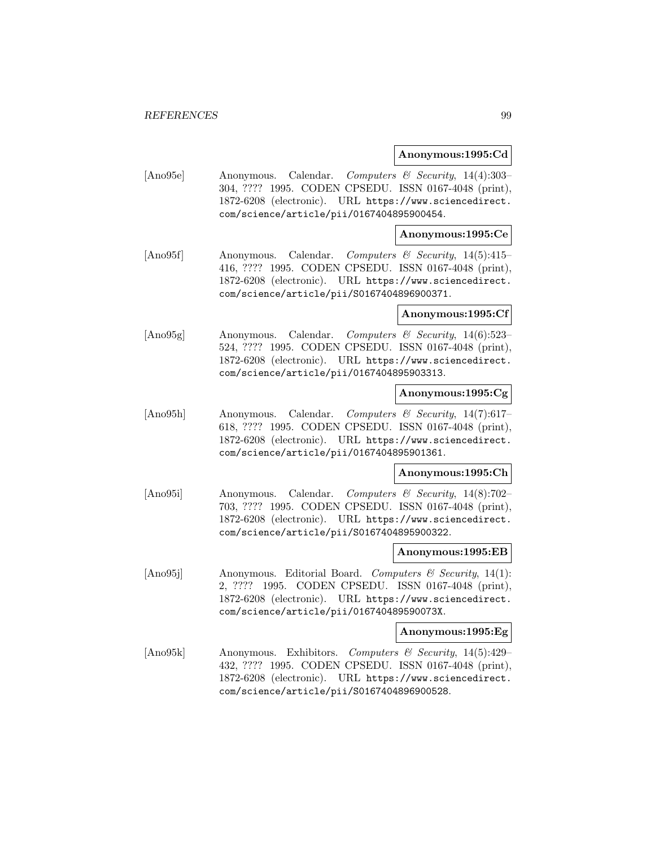### **Anonymous:1995:Cd**

[Ano95e] Anonymous. Calendar. Computers & Security, 14(4):303– 304, ???? 1995. CODEN CPSEDU. ISSN 0167-4048 (print), 1872-6208 (electronic). URL https://www.sciencedirect. com/science/article/pii/0167404895900454.

## **Anonymous:1995:Ce**

[Ano95f] Anonymous. Calendar. Computers & Security, 14(5):415– 416, ???? 1995. CODEN CPSEDU. ISSN 0167-4048 (print), 1872-6208 (electronic). URL https://www.sciencedirect. com/science/article/pii/S0167404896900371.

### **Anonymous:1995:Cf**

[Ano95g] Anonymous. Calendar. Computers & Security, 14(6):523– 524, ???? 1995. CODEN CPSEDU. ISSN 0167-4048 (print), 1872-6208 (electronic). URL https://www.sciencedirect. com/science/article/pii/0167404895903313.

## **Anonymous:1995:Cg**

[Ano95h] Anonymous. Calendar. Computers & Security, 14(7):617– 618, ???? 1995. CODEN CPSEDU. ISSN 0167-4048 (print), 1872-6208 (electronic). URL https://www.sciencedirect. com/science/article/pii/0167404895901361.

#### **Anonymous:1995:Ch**

[Ano95i] Anonymous. Calendar. Computers & Security, 14(8):702– 703, ???? 1995. CODEN CPSEDU. ISSN 0167-4048 (print), 1872-6208 (electronic). URL https://www.sciencedirect. com/science/article/pii/S0167404895900322.

### **Anonymous:1995:EB**

[Ano95] Anonymous. Editorial Board. Computers  $\mathcal{B}$  Security, 14(1): 2, ???? 1995. CODEN CPSEDU. ISSN 0167-4048 (print), 1872-6208 (electronic). URL https://www.sciencedirect. com/science/article/pii/016740489590073X.

### **Anonymous:1995:Eg**

[Ano95k] Anonymous. Exhibitors. Computers & Security, 14(5):429– 432, ???? 1995. CODEN CPSEDU. ISSN 0167-4048 (print), 1872-6208 (electronic). URL https://www.sciencedirect. com/science/article/pii/S0167404896900528.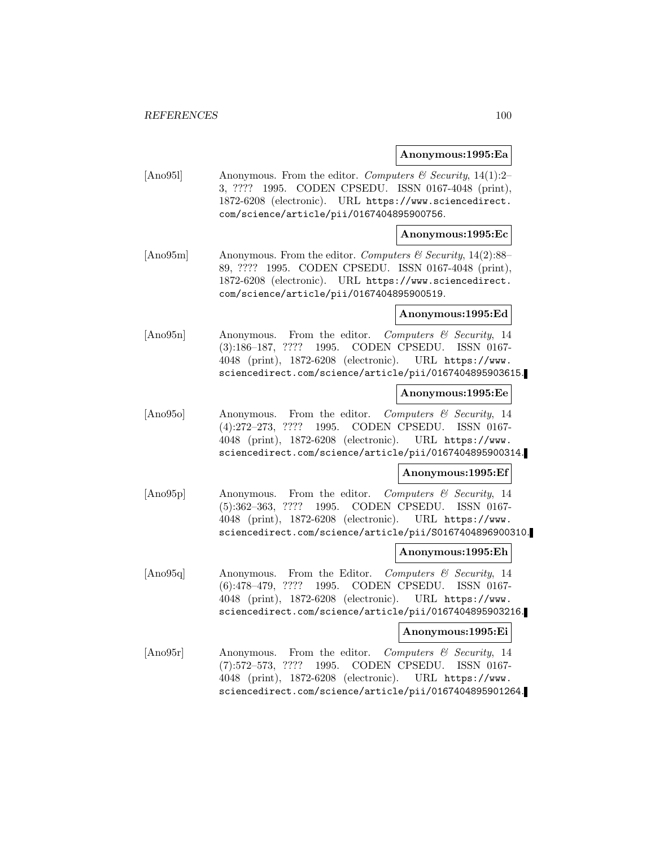### **Anonymous:1995:Ea**

[Ano951] Anonymous. From the editor. Computers & Security, 14(1):2-3, ???? 1995. CODEN CPSEDU. ISSN 0167-4048 (print), 1872-6208 (electronic). URL https://www.sciencedirect. com/science/article/pii/0167404895900756.

### **Anonymous:1995:Ec**

[Ano95m] Anonymous. From the editor. Computers  $\mathcal C$  Security, 14(2):88– 89, ???? 1995. CODEN CPSEDU. ISSN 0167-4048 (print), 1872-6208 (electronic). URL https://www.sciencedirect. com/science/article/pii/0167404895900519.

#### **Anonymous:1995:Ed**

[Ano95n] Anonymous. From the editor. Computers & Security, 14 (3):186–187, ???? 1995. CODEN CPSEDU. ISSN 0167- 4048 (print), 1872-6208 (electronic). URL https://www. sciencedirect.com/science/article/pii/0167404895903615.

### **Anonymous:1995:Ee**

[Ano95o] Anonymous. From the editor. Computers & Security, 14 (4):272–273, ???? 1995. CODEN CPSEDU. ISSN 0167- 4048 (print), 1872-6208 (electronic). URL https://www. sciencedirect.com/science/article/pii/0167404895900314.

## **Anonymous:1995:Ef**

[Ano95p] Anonymous. From the editor. Computers & Security, 14 (5):362–363, ???? 1995. CODEN CPSEDU. ISSN 0167- 4048 (print), 1872-6208 (electronic). URL https://www. sciencedirect.com/science/article/pii/S0167404896900310.

### **Anonymous:1995:Eh**

[Ano95q] Anonymous. From the Editor. Computers & Security, 14 (6):478–479, ???? 1995. CODEN CPSEDU. ISSN 0167- 4048 (print), 1872-6208 (electronic). URL https://www. sciencedirect.com/science/article/pii/0167404895903216.

## **Anonymous:1995:Ei**

[Ano95r] Anonymous. From the editor. Computers & Security, 14 (7):572–573, ???? 1995. CODEN CPSEDU. ISSN 0167- 4048 (print), 1872-6208 (electronic). URL https://www. sciencedirect.com/science/article/pii/0167404895901264.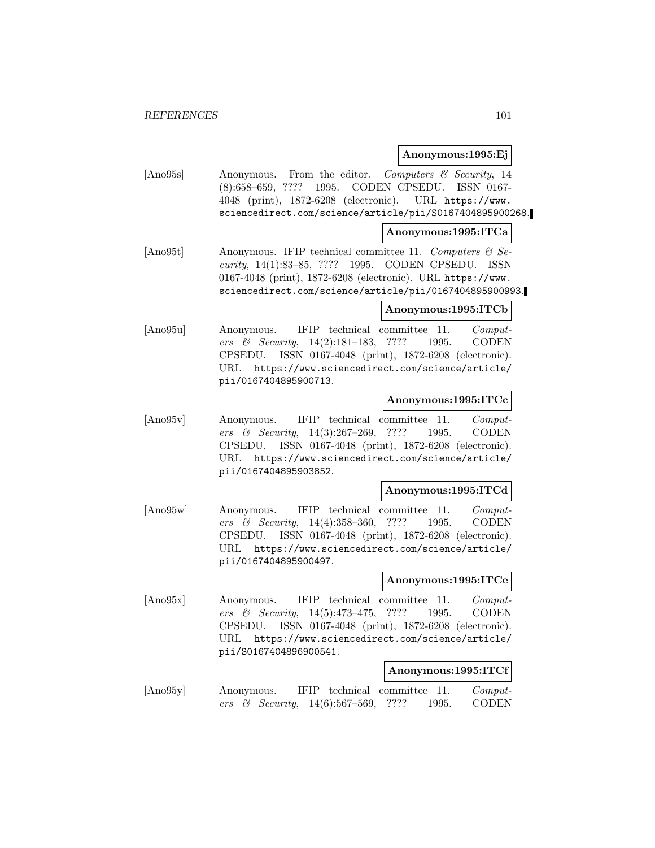### **Anonymous:1995:Ej**

[Ano95s] Anonymous. From the editor. Computers & Security, 14 (8):658–659, ???? 1995. CODEN CPSEDU. ISSN 0167- 4048 (print), 1872-6208 (electronic). URL https://www. sciencedirect.com/science/article/pii/S0167404895900268.

## **Anonymous:1995:ITCa**

[Ano95t] Anonymous. IFIP technical committee 11. Computers  $\mathcal{B}$  Security, 14(1):83–85, ???? 1995. CODEN CPSEDU. ISSN 0167-4048 (print), 1872-6208 (electronic). URL https://www. sciencedirect.com/science/article/pii/0167404895900993.

## **Anonymous:1995:ITCb**

[Ano95u] Anonymous. IFIP technical committee 11. Computers & Security, 14(2):181–183, ???? 1995. CODEN CPSEDU. ISSN 0167-4048 (print), 1872-6208 (electronic). URL https://www.sciencedirect.com/science/article/ pii/0167404895900713.

## **Anonymous:1995:ITCc**

[Ano95v] Anonymous. IFIP technical committee 11. Computers & Security, 14(3):267–269, ???? 1995. CODEN CPSEDU. ISSN 0167-4048 (print), 1872-6208 (electronic). URL https://www.sciencedirect.com/science/article/ pii/0167404895903852.

#### **Anonymous:1995:ITCd**

[Ano95w] Anonymous. IFIP technical committee 11. Computers & Security, 14(4):358–360, ???? 1995. CODEN CPSEDU. ISSN 0167-4048 (print), 1872-6208 (electronic). URL https://www.sciencedirect.com/science/article/ pii/0167404895900497.

#### **Anonymous:1995:ITCe**

[Ano95x] Anonymous. IFIP technical committee 11. Computers & Security, 14(5):473–475, ???? 1995. CODEN CPSEDU. ISSN 0167-4048 (print), 1872-6208 (electronic). URL https://www.sciencedirect.com/science/article/ pii/S0167404896900541.

## **Anonymous:1995:ITCf**

[Ano95y] Anonymous. IFIP technical committee 11. Computers & Security, 14(6):567–569, ???? 1995. CODEN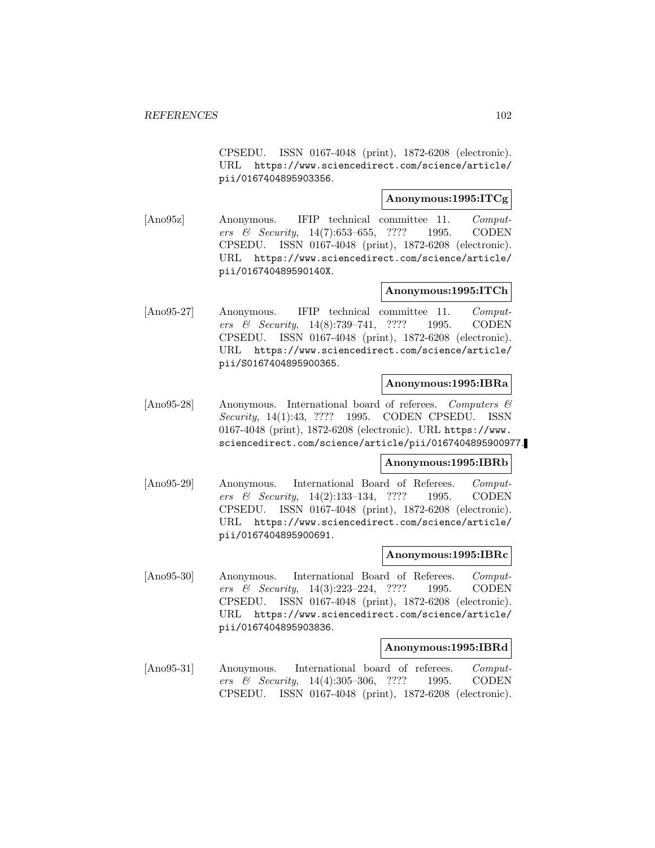CPSEDU. ISSN 0167-4048 (print), 1872-6208 (electronic). URL https://www.sciencedirect.com/science/article/ pii/0167404895903356.

## **Anonymous:1995:ITCg**

[Ano95z] Anonymous. IFIP technical committee 11. Computers & Security, 14(7):653–655, ???? 1995. CODEN CPSEDU. ISSN 0167-4048 (print), 1872-6208 (electronic). URL https://www.sciencedirect.com/science/article/ pii/016740489590140X.

## **Anonymous:1995:ITCh**

[Ano95-27] Anonymous. IFIP technical committee 11. Computers & Security, 14(8):739–741, ???? 1995. CODEN CPSEDU. ISSN 0167-4048 (print), 1872-6208 (electronic). URL https://www.sciencedirect.com/science/article/ pii/S0167404895900365.

#### **Anonymous:1995:IBRa**

[Ano95-28] Anonymous. International board of referees. Computers & Security, 14(1):43, ???? 1995. CODEN CPSEDU. ISSN 0167-4048 (print), 1872-6208 (electronic). URL https://www. sciencedirect.com/science/article/pii/0167404895900977.

## **Anonymous:1995:IBRb**

[Ano95-29] Anonymous. International Board of Referees. Computers & Security, 14(2):133–134, ???? 1995. CODEN CPSEDU. ISSN 0167-4048 (print), 1872-6208 (electronic). URL https://www.sciencedirect.com/science/article/ pii/0167404895900691.

#### **Anonymous:1995:IBRc**

[Ano95-30] Anonymous. International Board of Referees. Computers & Security, 14(3):223–224, ???? 1995. CODEN CPSEDU. ISSN 0167-4048 (print), 1872-6208 (electronic). URL https://www.sciencedirect.com/science/article/ pii/0167404895903836.

### **Anonymous:1995:IBRd**

[Ano95-31] Anonymous. International board of referees. *Comput*ers & Security, 14(4):305–306, ???? 1995. CODEN CPSEDU. ISSN 0167-4048 (print), 1872-6208 (electronic).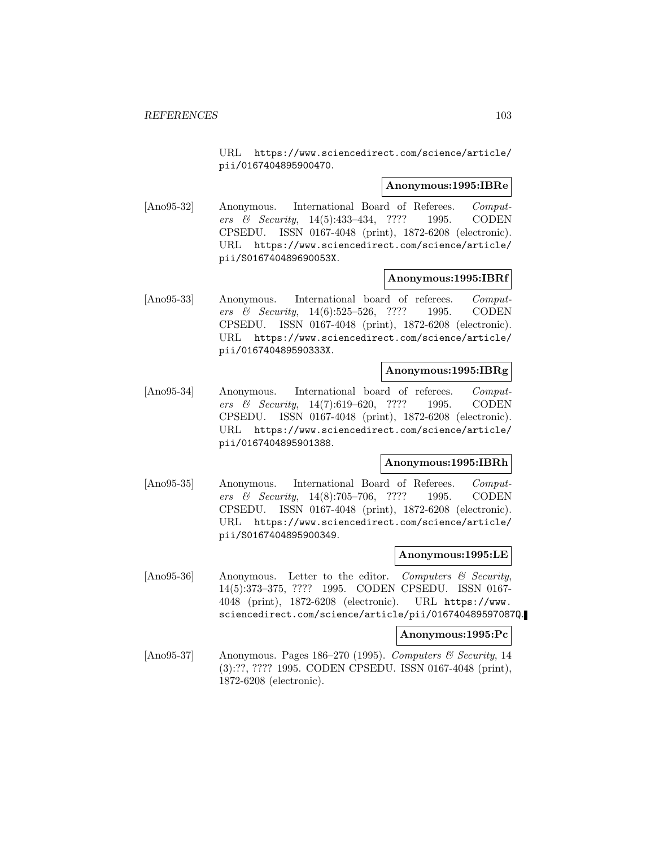URL https://www.sciencedirect.com/science/article/ pii/0167404895900470.

### **Anonymous:1995:IBRe**

[Ano95-32] Anonymous. International Board of Referees. Computers & Security, 14(5):433–434, ???? 1995. CODEN CPSEDU. ISSN 0167-4048 (print), 1872-6208 (electronic). URL https://www.sciencedirect.com/science/article/ pii/S016740489690053X.

### **Anonymous:1995:IBRf**

[Ano95-33] Anonymous. International board of referees. Computers & Security, 14(6):525–526, ???? 1995. CODEN CPSEDU. ISSN 0167-4048 (print), 1872-6208 (electronic). URL https://www.sciencedirect.com/science/article/ pii/016740489590333X.

## **Anonymous:1995:IBRg**

[Ano95-34] Anonymous. International board of referees. Computers & Security, 14(7):619–620, ???? 1995. CODEN CPSEDU. ISSN 0167-4048 (print), 1872-6208 (electronic). URL https://www.sciencedirect.com/science/article/ pii/0167404895901388.

## **Anonymous:1995:IBRh**

[Ano95-35] Anonymous. International Board of Referees. Computers & Security, 14(8):705–706, ???? 1995. CODEN CPSEDU. ISSN 0167-4048 (print), 1872-6208 (electronic). URL https://www.sciencedirect.com/science/article/ pii/S0167404895900349.

#### **Anonymous:1995:LE**

[Ano95-36] Anonymous. Letter to the editor. Computers & Security, 14(5):373–375, ???? 1995. CODEN CPSEDU. ISSN 0167- 4048 (print), 1872-6208 (electronic). URL https://www. sciencedirect.com/science/article/pii/016740489597087Q.

## **Anonymous:1995:Pc**

[Ano95-37] Anonymous. Pages 186–270 (1995). Computers  $\mathcal C$  Security, 14 (3):??, ???? 1995. CODEN CPSEDU. ISSN 0167-4048 (print), 1872-6208 (electronic).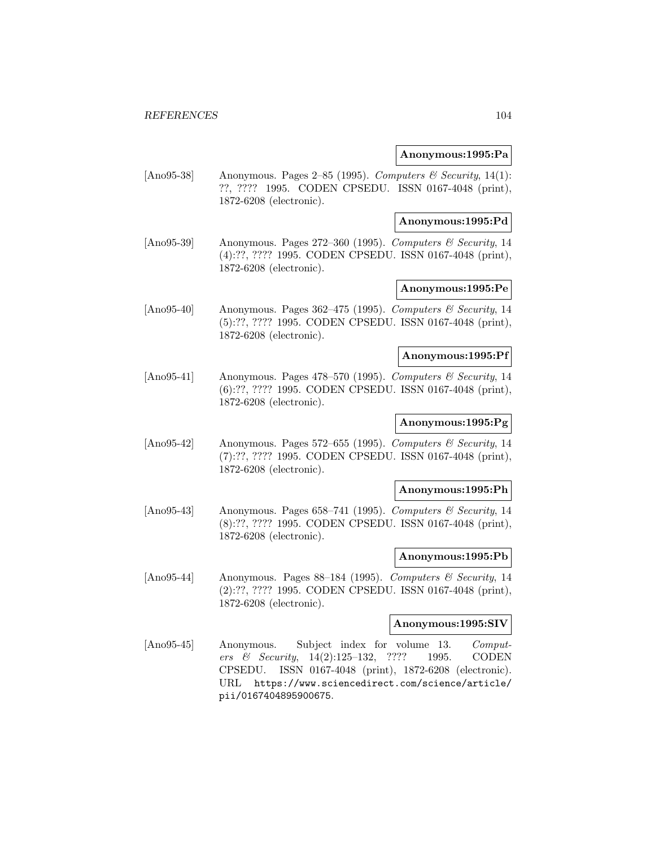## **Anonymous:1995:Pa**

[Ano95-38] Anonymous. Pages 2–85 (1995). Computers & Security, 14(1): ??, ???? 1995. CODEN CPSEDU. ISSN 0167-4048 (print), 1872-6208 (electronic).

### **Anonymous:1995:Pd**

[Ano95-39] Anonymous. Pages 272–360 (1995). Computers & Security, 14 (4):??, ???? 1995. CODEN CPSEDU. ISSN 0167-4048 (print), 1872-6208 (electronic).

## **Anonymous:1995:Pe**

[Ano95-40] Anonymous. Pages 362–475 (1995). Computers & Security, 14 (5):??, ???? 1995. CODEN CPSEDU. ISSN 0167-4048 (print), 1872-6208 (electronic).

### **Anonymous:1995:Pf**

[Ano95-41] Anonymous. Pages 478–570 (1995). Computers & Security, 14 (6):??, ???? 1995. CODEN CPSEDU. ISSN 0167-4048 (print), 1872-6208 (electronic).

## **Anonymous:1995:Pg**

[Ano95-42] Anonymous. Pages 572–655 (1995). Computers & Security, 14 (7):??, ???? 1995. CODEN CPSEDU. ISSN 0167-4048 (print), 1872-6208 (electronic).

## **Anonymous:1995:Ph**

[Ano95-43] Anonymous. Pages 658–741 (1995). Computers & Security, 14 (8):??, ???? 1995. CODEN CPSEDU. ISSN 0167-4048 (print), 1872-6208 (electronic).

#### **Anonymous:1995:Pb**

[Ano95-44] Anonymous. Pages 88–184 (1995). Computers & Security, 14 (2):??, ???? 1995. CODEN CPSEDU. ISSN 0167-4048 (print), 1872-6208 (electronic).

### **Anonymous:1995:SIV**

[Ano95-45] Anonymous. Subject index for volume 13. Computers & Security, 14(2):125–132, ???? 1995. CODEN CPSEDU. ISSN 0167-4048 (print), 1872-6208 (electronic). URL https://www.sciencedirect.com/science/article/ pii/0167404895900675.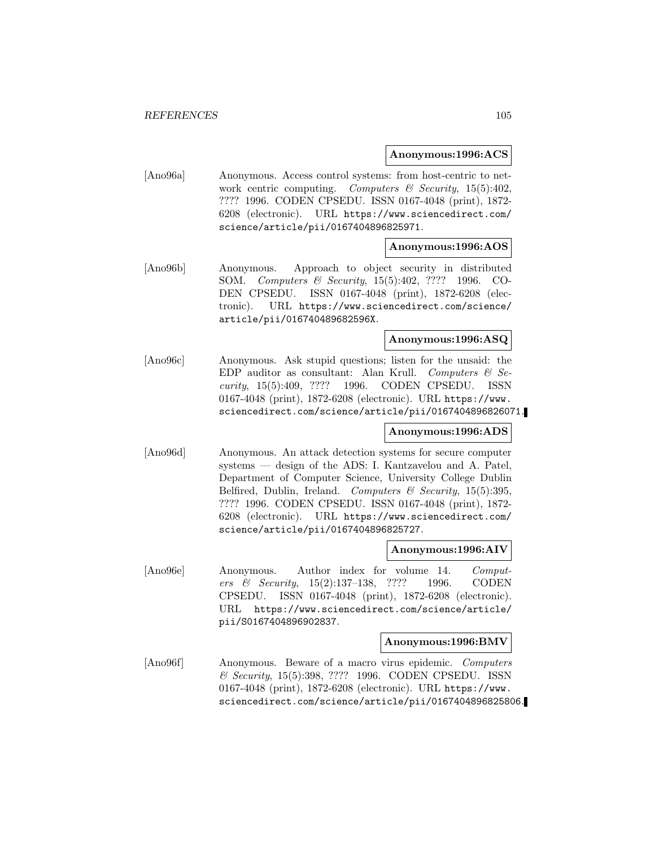## **Anonymous:1996:ACS**

[Ano96a] Anonymous. Access control systems: from host-centric to network centric computing. Computers  $\mathcal C$  Security, 15(5):402, ???? 1996. CODEN CPSEDU. ISSN 0167-4048 (print), 1872- 6208 (electronic). URL https://www.sciencedirect.com/ science/article/pii/0167404896825971.

## **Anonymous:1996:AOS**

[Ano96b] Anonymous. Approach to object security in distributed SOM. Computers & Security, 15(5):402, ???? 1996. CO-DEN CPSEDU. ISSN 0167-4048 (print), 1872-6208 (electronic). URL https://www.sciencedirect.com/science/ article/pii/016740489682596X.

## **Anonymous:1996:ASQ**

[Ano96c] Anonymous. Ask stupid questions; listen for the unsaid: the EDP auditor as consultant: Alan Krull. Computers  $\mathcal{B}$  Security, 15(5):409, ???? 1996. CODEN CPSEDU. ISSN 0167-4048 (print), 1872-6208 (electronic). URL https://www. sciencedirect.com/science/article/pii/0167404896826071.

**Anonymous:1996:ADS**

[Ano96d] Anonymous. An attack detection systems for secure computer systems — design of the ADS: I. Kantzavelou and A. Patel, Department of Computer Science, University College Dublin Belfired, Dublin, Ireland. Computers & Security,  $15(5):395$ , ???? 1996. CODEN CPSEDU. ISSN 0167-4048 (print), 1872- 6208 (electronic). URL https://www.sciencedirect.com/ science/article/pii/0167404896825727.

#### **Anonymous:1996:AIV**

[Ano96e] Anonymous. Author index for volume 14. Computers & Security, 15(2):137–138, ???? 1996. CODEN CPSEDU. ISSN 0167-4048 (print), 1872-6208 (electronic). URL https://www.sciencedirect.com/science/article/ pii/S0167404896902837.

### **Anonymous:1996:BMV**

[Ano96f] Anonymous. Beware of a macro virus epidemic. Computers & Security, 15(5):398, ???? 1996. CODEN CPSEDU. ISSN 0167-4048 (print), 1872-6208 (electronic). URL https://www. sciencedirect.com/science/article/pii/0167404896825806.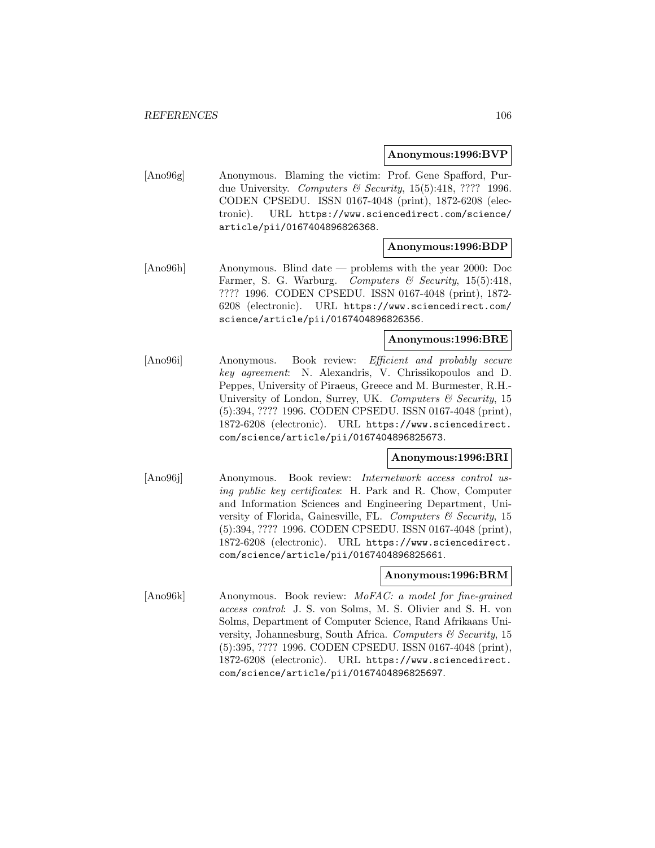### **Anonymous:1996:BVP**

[Ano96g] Anonymous. Blaming the victim: Prof. Gene Spafford, Purdue University. Computers & Security,  $15(5):418$ , ???? 1996. CODEN CPSEDU. ISSN 0167-4048 (print), 1872-6208 (electronic). URL https://www.sciencedirect.com/science/ article/pii/0167404896826368.

## **Anonymous:1996:BDP**

[Ano96h] Anonymous. Blind date — problems with the year 2000: Doc Farmer, S. G. Warburg. Computers & Security, 15(5):418, ???? 1996. CODEN CPSEDU. ISSN 0167-4048 (print), 1872- 6208 (electronic). URL https://www.sciencedirect.com/ science/article/pii/0167404896826356.

### **Anonymous:1996:BRE**

[Ano96i] Anonymous. Book review: Efficient and probably secure key agreement: N. Alexandris, V. Chrissikopoulos and D. Peppes, University of Piraeus, Greece and M. Burmester, R.H.- University of London, Surrey, UK. Computers & Security, 15 (5):394, ???? 1996. CODEN CPSEDU. ISSN 0167-4048 (print), 1872-6208 (electronic). URL https://www.sciencedirect. com/science/article/pii/0167404896825673.

### **Anonymous:1996:BRI**

[Ano96j] Anonymous. Book review: Internetwork access control using public key certificates: H. Park and R. Chow, Computer and Information Sciences and Engineering Department, University of Florida, Gainesville, FL. Computers  $\mathcal C$  Security, 15 (5):394, ???? 1996. CODEN CPSEDU. ISSN 0167-4048 (print), 1872-6208 (electronic). URL https://www.sciencedirect. com/science/article/pii/0167404896825661.

#### **Anonymous:1996:BRM**

[Ano96k] Anonymous. Book review: MoFAC: a model for fine-grained access control: J. S. von Solms, M. S. Olivier and S. H. von Solms, Department of Computer Science, Rand Afrikaans University, Johannesburg, South Africa. Computers & Security, 15 (5):395, ???? 1996. CODEN CPSEDU. ISSN 0167-4048 (print), 1872-6208 (electronic). URL https://www.sciencedirect. com/science/article/pii/0167404896825697.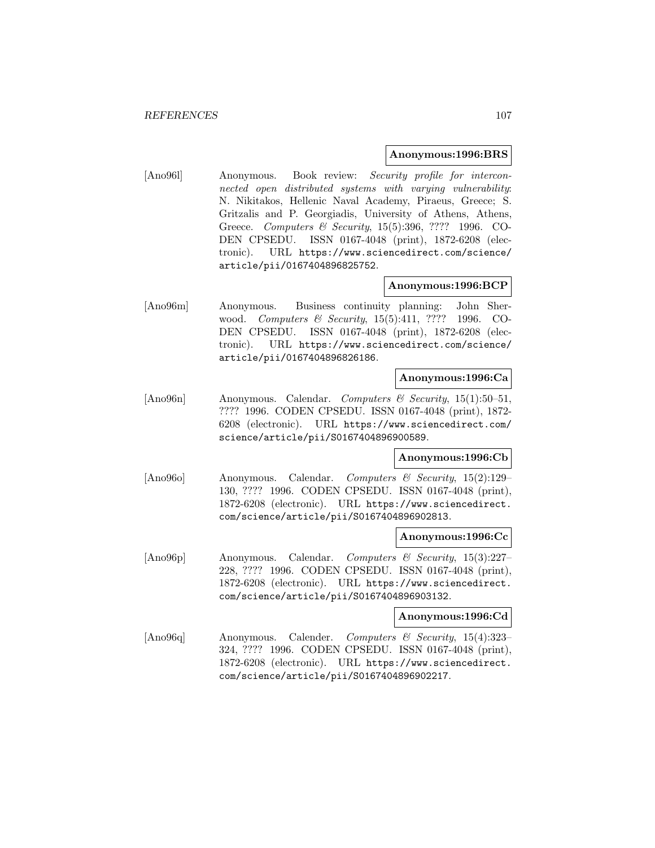### **Anonymous:1996:BRS**

[Ano96l] Anonymous. Book review: Security profile for interconnected open distributed systems with varying vulnerability: N. Nikitakos, Hellenic Naval Academy, Piraeus, Greece; S. Gritzalis and P. Georgiadis, University of Athens, Athens, Greece. Computers & Security, 15(5):396, ???? 1996. CO-DEN CPSEDU. ISSN 0167-4048 (print), 1872-6208 (electronic). URL https://www.sciencedirect.com/science/ article/pii/0167404896825752.

# **Anonymous:1996:BCP**

[Ano96m] Anonymous. Business continuity planning: John Sherwood. Computers & Security, 15(5):411, ???? 1996. CO-DEN CPSEDU. ISSN 0167-4048 (print), 1872-6208 (electronic). URL https://www.sciencedirect.com/science/ article/pii/0167404896826186.

## **Anonymous:1996:Ca**

[Ano96n] Anonymous. Calendar. Computers & Security, 15(1):50–51, ???? 1996. CODEN CPSEDU. ISSN 0167-4048 (print), 1872- 6208 (electronic). URL https://www.sciencedirect.com/ science/article/pii/S0167404896900589.

## **Anonymous:1996:Cb**

[Ano96o] Anonymous. Calendar. Computers & Security, 15(2):129– 130, ???? 1996. CODEN CPSEDU. ISSN 0167-4048 (print), 1872-6208 (electronic). URL https://www.sciencedirect. com/science/article/pii/S0167404896902813.

## **Anonymous:1996:Cc**

[Ano96p] Anonymous. Calendar. Computers & Security, 15(3):227– 228, ???? 1996. CODEN CPSEDU. ISSN 0167-4048 (print), 1872-6208 (electronic). URL https://www.sciencedirect. com/science/article/pii/S0167404896903132.

## **Anonymous:1996:Cd**

[Ano96q] Anonymous. Calender. Computers & Security, 15(4):323– 324, ???? 1996. CODEN CPSEDU. ISSN 0167-4048 (print), 1872-6208 (electronic). URL https://www.sciencedirect. com/science/article/pii/S0167404896902217.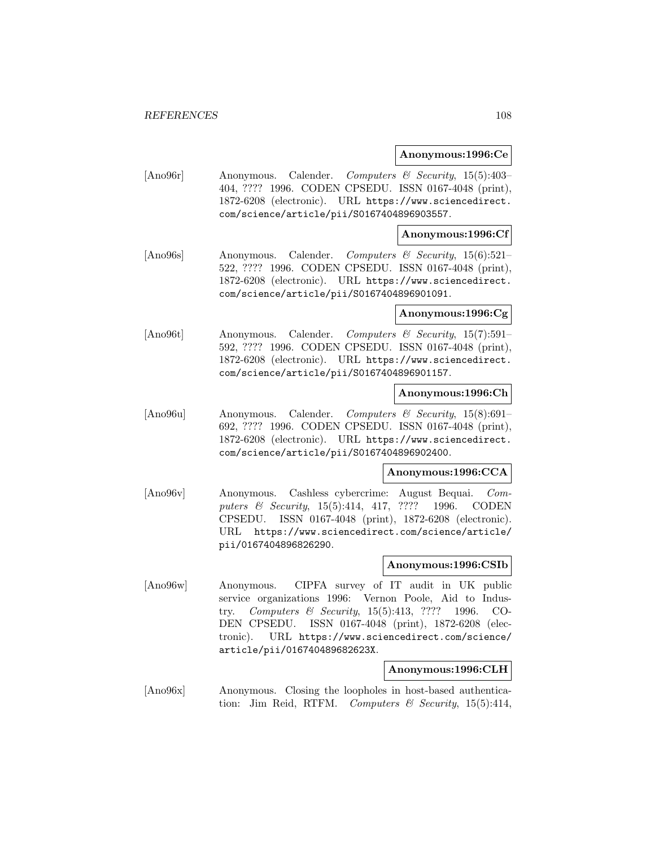### **Anonymous:1996:Ce**

[Ano96r] Anonymous. Calender. Computers & Security, 15(5):403– 404, ???? 1996. CODEN CPSEDU. ISSN 0167-4048 (print), 1872-6208 (electronic). URL https://www.sciencedirect. com/science/article/pii/S0167404896903557.

## **Anonymous:1996:Cf**

[Ano96s] Anonymous. Calender. Computers & Security, 15(6):521– 522, ???? 1996. CODEN CPSEDU. ISSN 0167-4048 (print), 1872-6208 (electronic). URL https://www.sciencedirect. com/science/article/pii/S0167404896901091.

### **Anonymous:1996:Cg**

[Ano96t] Anonymous. Calender. Computers & Security, 15(7):591– 592, ???? 1996. CODEN CPSEDU. ISSN 0167-4048 (print), 1872-6208 (electronic). URL https://www.sciencedirect. com/science/article/pii/S0167404896901157.

### **Anonymous:1996:Ch**

[Ano96u] Anonymous. Calender. Computers & Security, 15(8):691– 692, ???? 1996. CODEN CPSEDU. ISSN 0167-4048 (print), 1872-6208 (electronic). URL https://www.sciencedirect. com/science/article/pii/S0167404896902400.

#### **Anonymous:1996:CCA**

[Ano96v] Anonymous. Cashless cybercrime: August Bequai. Computers & Security, 15(5):414, 417, ???? 1996. CODEN CPSEDU. ISSN 0167-4048 (print), 1872-6208 (electronic). URL https://www.sciencedirect.com/science/article/ pii/0167404896826290.

## **Anonymous:1996:CSIb**

[Ano96w] Anonymous. CIPFA survey of IT audit in UK public service organizations 1996: Vernon Poole, Aid to Industry. Computers & Security, 15(5):413, ???? 1996. CO-DEN CPSEDU. ISSN 0167-4048 (print), 1872-6208 (electronic). URL https://www.sciencedirect.com/science/ article/pii/016740489682623X.

## **Anonymous:1996:CLH**

[Ano96x] Anonymous. Closing the loopholes in host-based authentication: Jim Reid, RTFM. Computers & Security, 15(5):414,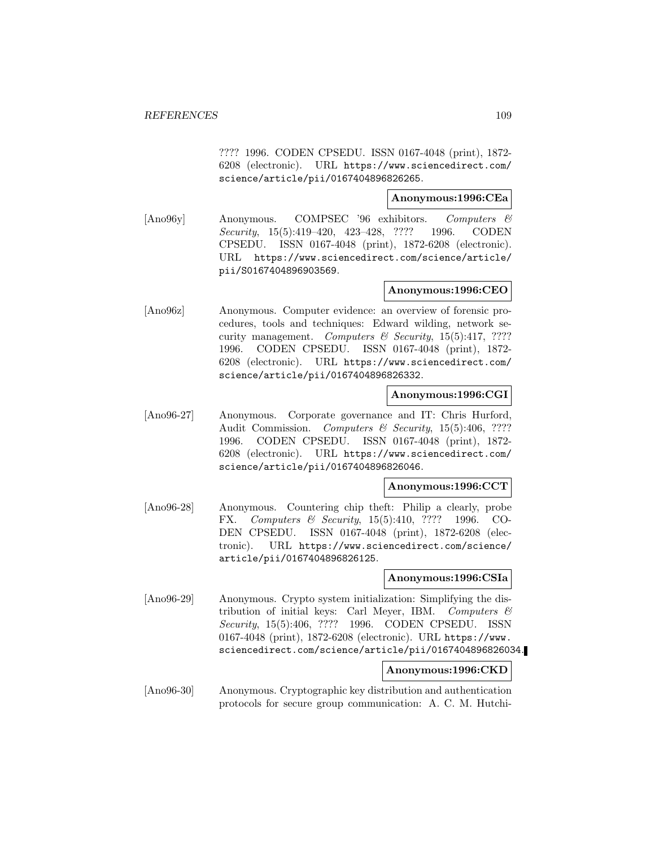???? 1996. CODEN CPSEDU. ISSN 0167-4048 (print), 1872- 6208 (electronic). URL https://www.sciencedirect.com/ science/article/pii/0167404896826265.

# **Anonymous:1996:CEa**

[Ano96y] Anonymous. COMPSEC '96 exhibitors. Computers & Security, 15(5):419–420, 423–428, ???? 1996. CODEN CPSEDU. ISSN 0167-4048 (print), 1872-6208 (electronic). URL https://www.sciencedirect.com/science/article/ pii/S0167404896903569.

# **Anonymous:1996:CEO**

[Ano96z] Anonymous. Computer evidence: an overview of forensic procedures, tools and techniques: Edward wilding, network security management. Computers  $\mathcal C$  Security, 15(5):417, ???? 1996. CODEN CPSEDU. ISSN 0167-4048 (print), 1872- 6208 (electronic). URL https://www.sciencedirect.com/ science/article/pii/0167404896826332.

# **Anonymous:1996:CGI**

[Ano96-27] Anonymous. Corporate governance and IT: Chris Hurford, Audit Commission. Computers & Security, 15(5):406, ???? 1996. CODEN CPSEDU. ISSN 0167-4048 (print), 1872- 6208 (electronic). URL https://www.sciencedirect.com/ science/article/pii/0167404896826046.

## **Anonymous:1996:CCT**

[Ano96-28] Anonymous. Countering chip theft: Philip a clearly, probe FX. Computers & Security, 15(5):410, ???? 1996. CO-DEN CPSEDU. ISSN 0167-4048 (print), 1872-6208 (electronic). URL https://www.sciencedirect.com/science/ article/pii/0167404896826125.

# **Anonymous:1996:CSIa**

[Ano96-29] Anonymous. Crypto system initialization: Simplifying the distribution of initial keys: Carl Meyer, IBM. Computers & Security, 15(5):406, ???? 1996. CODEN CPSEDU. ISSN 0167-4048 (print), 1872-6208 (electronic). URL https://www. sciencedirect.com/science/article/pii/0167404896826034.

# **Anonymous:1996:CKD**

[Ano96-30] Anonymous. Cryptographic key distribution and authentication protocols for secure group communication: A. C. M. Hutchi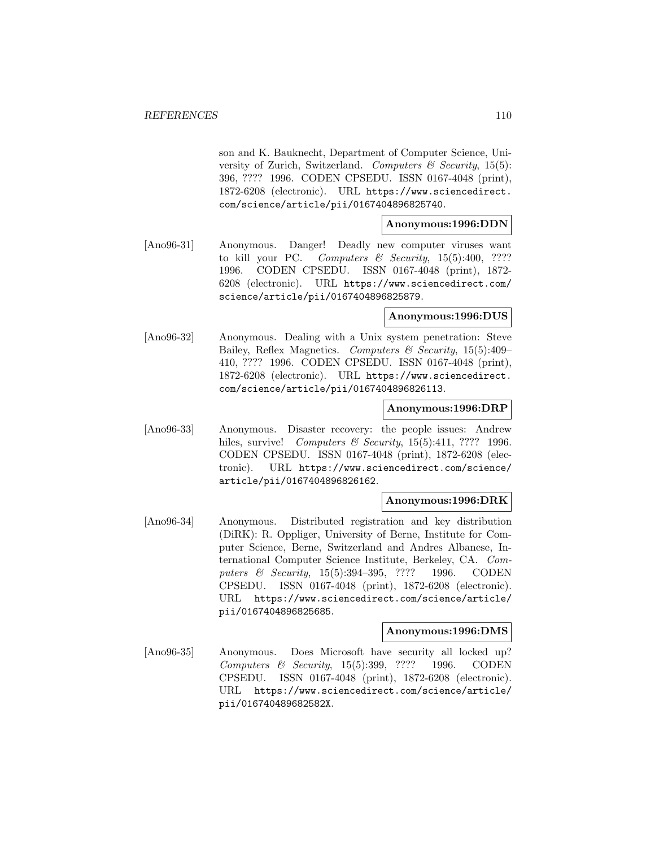son and K. Bauknecht, Department of Computer Science, University of Zurich, Switzerland. Computers  $\mathcal C$  Security, 15(5): 396, ???? 1996. CODEN CPSEDU. ISSN 0167-4048 (print), 1872-6208 (electronic). URL https://www.sciencedirect. com/science/article/pii/0167404896825740.

# **Anonymous:1996:DDN**

[Ano96-31] Anonymous. Danger! Deadly new computer viruses want to kill your PC. Computers & Security, 15(5):400, ???? 1996. CODEN CPSEDU. ISSN 0167-4048 (print), 1872- 6208 (electronic). URL https://www.sciencedirect.com/ science/article/pii/0167404896825879.

# **Anonymous:1996:DUS**

[Ano96-32] Anonymous. Dealing with a Unix system penetration: Steve Bailey, Reflex Magnetics. Computers & Security, 15(5):409– 410, ???? 1996. CODEN CPSEDU. ISSN 0167-4048 (print), 1872-6208 (electronic). URL https://www.sciencedirect. com/science/article/pii/0167404896826113.

#### **Anonymous:1996:DRP**

[Ano96-33] Anonymous. Disaster recovery: the people issues: Andrew hiles, survive! Computers & Security, 15(5):411, ???? 1996. CODEN CPSEDU. ISSN 0167-4048 (print), 1872-6208 (electronic). URL https://www.sciencedirect.com/science/ article/pii/0167404896826162.

# **Anonymous:1996:DRK**

[Ano96-34] Anonymous. Distributed registration and key distribution (DiRK): R. Oppliger, University of Berne, Institute for Computer Science, Berne, Switzerland and Andres Albanese, International Computer Science Institute, Berkeley, CA. Computers & Security, 15(5):394-395, ???? 1996. CODEN CPSEDU. ISSN 0167-4048 (print), 1872-6208 (electronic). URL https://www.sciencedirect.com/science/article/ pii/0167404896825685.

# **Anonymous:1996:DMS**

[Ano96-35] Anonymous. Does Microsoft have security all locked up? Computers & Security, 15(5):399, ???? 1996. CODEN CPSEDU. ISSN 0167-4048 (print), 1872-6208 (electronic). URL https://www.sciencedirect.com/science/article/ pii/016740489682582X.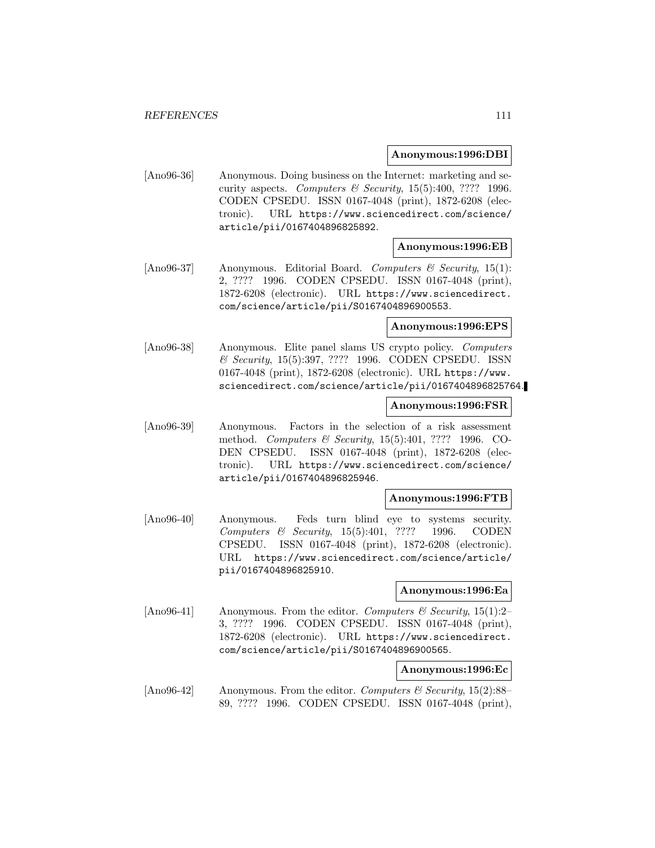### **Anonymous:1996:DBI**

[Ano96-36] Anonymous. Doing business on the Internet: marketing and security aspects. Computers & Security,  $15(5):400, ????$  1996. CODEN CPSEDU. ISSN 0167-4048 (print), 1872-6208 (electronic). URL https://www.sciencedirect.com/science/ article/pii/0167404896825892.

### **Anonymous:1996:EB**

 $[\text{Ano96-37}]$  Anonymous. Editorial Board. Computers & Security, 15(1): 2, ???? 1996. CODEN CPSEDU. ISSN 0167-4048 (print), 1872-6208 (electronic). URL https://www.sciencedirect. com/science/article/pii/S0167404896900553.

### **Anonymous:1996:EPS**

[Ano96-38] Anonymous. Elite panel slams US crypto policy. Computers & Security, 15(5):397, ???? 1996. CODEN CPSEDU. ISSN 0167-4048 (print), 1872-6208 (electronic). URL https://www. sciencedirect.com/science/article/pii/0167404896825764.

#### **Anonymous:1996:FSR**

[Ano96-39] Anonymous. Factors in the selection of a risk assessment method. Computers & Security, 15(5):401, ???? 1996. CO-DEN CPSEDU. ISSN 0167-4048 (print), 1872-6208 (electronic). URL https://www.sciencedirect.com/science/ article/pii/0167404896825946.

# **Anonymous:1996:FTB**

[Ano96-40] Anonymous. Feds turn blind eye to systems security. Computers & Security, 15(5):401, ???? 1996. CODEN CPSEDU. ISSN 0167-4048 (print), 1872-6208 (electronic). URL https://www.sciencedirect.com/science/article/ pii/0167404896825910.

#### **Anonymous:1996:Ea**

[Ano96-41] Anonymous. From the editor. Computers & Security, 15(1):2-3, ???? 1996. CODEN CPSEDU. ISSN 0167-4048 (print), 1872-6208 (electronic). URL https://www.sciencedirect. com/science/article/pii/S0167404896900565.

# **Anonymous:1996:Ec**

[Ano96-42] Anonymous. From the editor. Computers  $\mathcal{B}$  Security, 15(2):88– 89, ???? 1996. CODEN CPSEDU. ISSN 0167-4048 (print),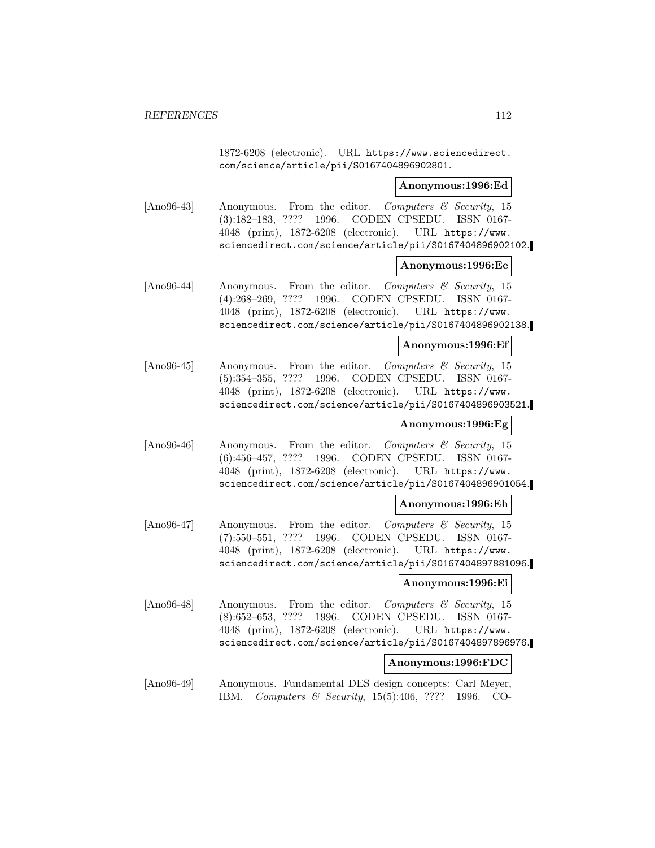1872-6208 (electronic). URL https://www.sciencedirect. com/science/article/pii/S0167404896902801.

#### **Anonymous:1996:Ed**

[Ano96-43] Anonymous. From the editor. Computers & Security, 15 (3):182–183, ???? 1996. CODEN CPSEDU. ISSN 0167- 4048 (print), 1872-6208 (electronic). URL https://www. sciencedirect.com/science/article/pii/S0167404896902102.

#### **Anonymous:1996:Ee**

[Ano96-44] Anonymous. From the editor. Computers & Security, 15 (4):268–269, ???? 1996. CODEN CPSEDU. ISSN 0167- 4048 (print), 1872-6208 (electronic). URL https://www. sciencedirect.com/science/article/pii/S0167404896902138.

#### **Anonymous:1996:Ef**

[Ano96-45] Anonymous. From the editor. Computers & Security, 15 (5):354–355, ???? 1996. CODEN CPSEDU. ISSN 0167- 4048 (print), 1872-6208 (electronic). URL https://www. sciencedirect.com/science/article/pii/S0167404896903521.

# **Anonymous:1996:Eg**

[Ano96-46] Anonymous. From the editor. Computers & Security, 15 (6):456–457, ???? 1996. CODEN CPSEDU. ISSN 0167- 4048 (print), 1872-6208 (electronic). URL https://www. sciencedirect.com/science/article/pii/S0167404896901054.

#### **Anonymous:1996:Eh**

[Ano96-47] Anonymous. From the editor. Computers & Security, 15 (7):550–551, ???? 1996. CODEN CPSEDU. ISSN 0167- 4048 (print), 1872-6208 (electronic). URL https://www. sciencedirect.com/science/article/pii/S0167404897881096.

# **Anonymous:1996:Ei**

[Ano96-48] Anonymous. From the editor. Computers  $\mathcal{C}$  Security, 15 (8):652–653, ???? 1996. CODEN CPSEDU. ISSN 0167- 4048 (print), 1872-6208 (electronic). URL https://www. sciencedirect.com/science/article/pii/S0167404897896976.

#### **Anonymous:1996:FDC**

[Ano96-49] Anonymous. Fundamental DES design concepts: Carl Meyer, IBM. Computers & Security, 15(5):406, ???? 1996. CO-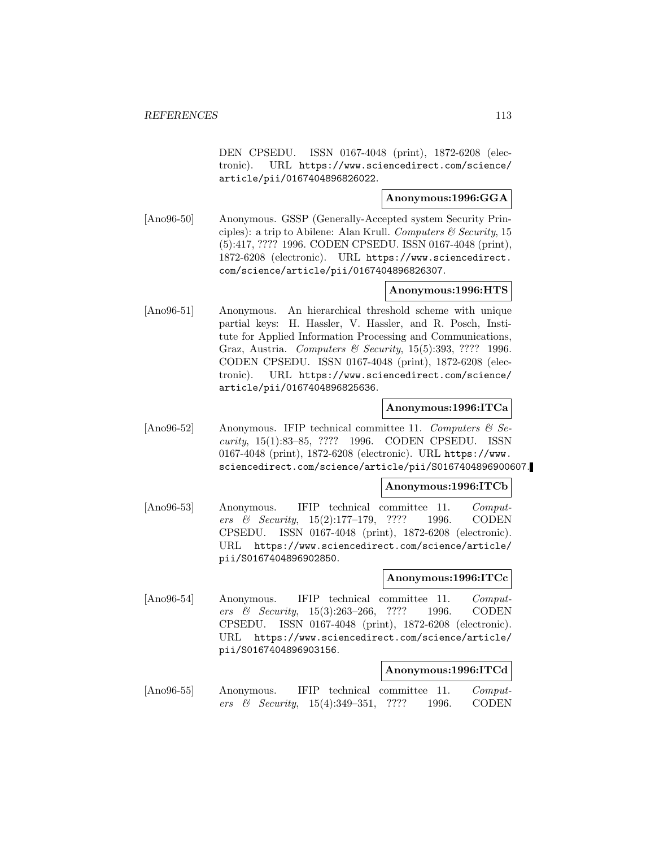DEN CPSEDU. ISSN 0167-4048 (print), 1872-6208 (electronic). URL https://www.sciencedirect.com/science/ article/pii/0167404896826022.

# **Anonymous:1996:GGA**

[Ano96-50] Anonymous. GSSP (Generally-Accepted system Security Principles): a trip to Abilene: Alan Krull. Computers  $\mathcal C$  Security, 15 (5):417, ???? 1996. CODEN CPSEDU. ISSN 0167-4048 (print), 1872-6208 (electronic). URL https://www.sciencedirect. com/science/article/pii/0167404896826307.

# **Anonymous:1996:HTS**

[Ano96-51] Anonymous. An hierarchical threshold scheme with unique partial keys: H. Hassler, V. Hassler, and R. Posch, Institute for Applied Information Processing and Communications, Graz, Austria. Computers & Security, 15(5):393, ???? 1996. CODEN CPSEDU. ISSN 0167-4048 (print), 1872-6208 (electronic). URL https://www.sciencedirect.com/science/ article/pii/0167404896825636.

# **Anonymous:1996:ITCa**

[Ano96-52] Anonymous. IFIP technical committee 11. Computers  $\mathcal{C}$  Security, 15(1):83–85, ???? 1996. CODEN CPSEDU. ISSN 0167-4048 (print), 1872-6208 (electronic). URL https://www. sciencedirect.com/science/article/pii/S0167404896900607.

# **Anonymous:1996:ITCb**

[Ano96-53] Anonymous. IFIP technical committee 11. Computers & Security, 15(2):177–179, ???? 1996. CODEN CPSEDU. ISSN 0167-4048 (print), 1872-6208 (electronic). URL https://www.sciencedirect.com/science/article/ pii/S0167404896902850.

# **Anonymous:1996:ITCc**

[Ano96-54] Anonymous. IFIP technical committee 11. Computers & Security, 15(3):263–266, ???? 1996. CODEN CPSEDU. ISSN 0167-4048 (print), 1872-6208 (electronic). URL https://www.sciencedirect.com/science/article/ pii/S0167404896903156.

#### **Anonymous:1996:ITCd**

[Ano96-55] Anonymous. IFIP technical committee 11. Computers & Security, 15(4):349–351, ???? 1996. CODEN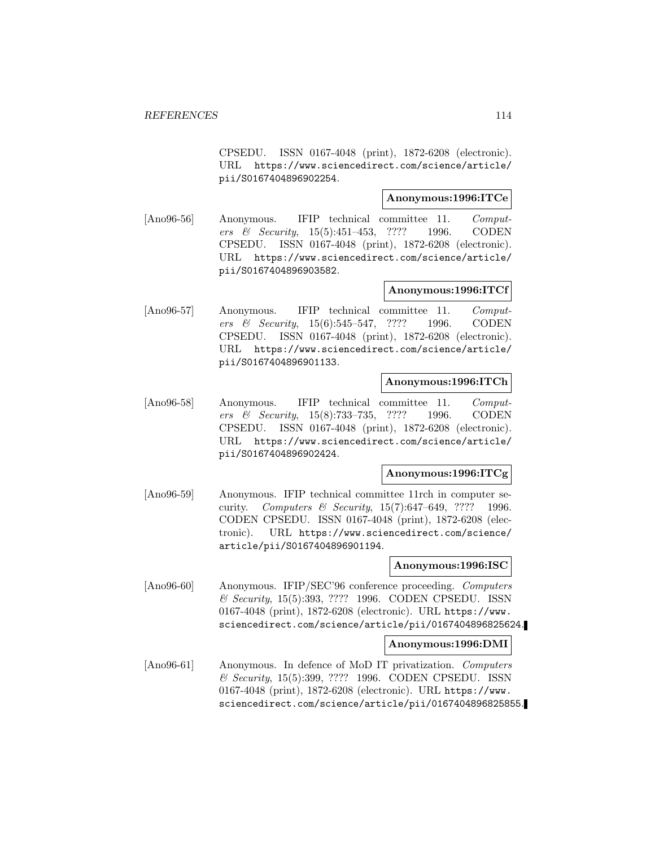CPSEDU. ISSN 0167-4048 (print), 1872-6208 (electronic). URL https://www.sciencedirect.com/science/article/ pii/S0167404896902254.

# **Anonymous:1996:ITCe**

[Ano96-56] Anonymous. IFIP technical committee 11. Computers & Security, 15(5):451–453, ???? 1996. CODEN CPSEDU. ISSN 0167-4048 (print), 1872-6208 (electronic). URL https://www.sciencedirect.com/science/article/ pii/S0167404896903582.

# **Anonymous:1996:ITCf**

[Ano96-57] Anonymous. IFIP technical committee 11. Computers & Security, 15(6):545–547, ???? 1996. CODEN CPSEDU. ISSN 0167-4048 (print), 1872-6208 (electronic). URL https://www.sciencedirect.com/science/article/ pii/S0167404896901133.

### **Anonymous:1996:ITCh**

[Ano96-58] Anonymous. IFIP technical committee 11. Computers & Security, 15(8):733–735, ???? 1996. CODEN CPSEDU. ISSN 0167-4048 (print), 1872-6208 (electronic). URL https://www.sciencedirect.com/science/article/ pii/S0167404896902424.

# **Anonymous:1996:ITCg**

[Ano96-59] Anonymous. IFIP technical committee 11rch in computer security. Computers & Security, 15(7):647–649, ???? 1996. CODEN CPSEDU. ISSN 0167-4048 (print), 1872-6208 (electronic). URL https://www.sciencedirect.com/science/ article/pii/S0167404896901194.

#### **Anonymous:1996:ISC**

[Ano96-60] Anonymous. IFIP/SEC'96 conference proceeding. Computers & Security, 15(5):393, ???? 1996. CODEN CPSEDU. ISSN 0167-4048 (print), 1872-6208 (electronic). URL https://www. sciencedirect.com/science/article/pii/0167404896825624.

#### **Anonymous:1996:DMI**

[Ano96-61] Anonymous. In defence of MoD IT privatization. Computers & Security, 15(5):399, ???? 1996. CODEN CPSEDU. ISSN 0167-4048 (print), 1872-6208 (electronic). URL https://www. sciencedirect.com/science/article/pii/0167404896825855.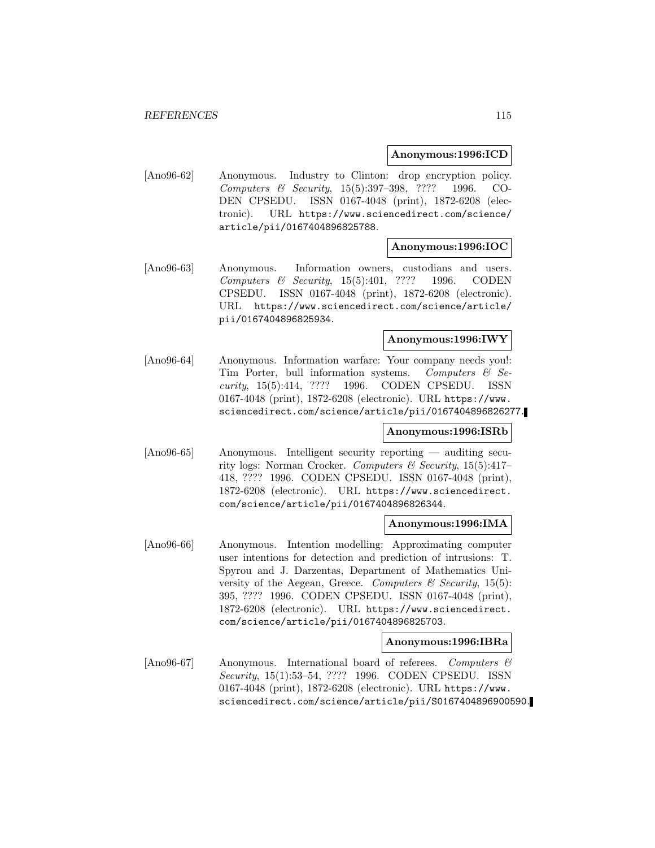# **Anonymous:1996:ICD**

[Ano96-62] Anonymous. Industry to Clinton: drop encryption policy. Computers & Security, 15(5):397–398, ???? 1996. CO-DEN CPSEDU. ISSN 0167-4048 (print), 1872-6208 (electronic). URL https://www.sciencedirect.com/science/ article/pii/0167404896825788.

# **Anonymous:1996:IOC**

[Ano96-63] Anonymous. Information owners, custodians and users. Computers & Security, 15(5):401, ???? 1996. CODEN CPSEDU. ISSN 0167-4048 (print), 1872-6208 (electronic). URL https://www.sciencedirect.com/science/article/ pii/0167404896825934.

## **Anonymous:1996:IWY**

[Ano96-64] Anonymous. Information warfare: Your company needs you!: Tim Porter, bull information systems. Computers  $\mathcal{C}$  Security, 15(5):414, ???? 1996. CODEN CPSEDU. ISSN 0167-4048 (print), 1872-6208 (electronic). URL https://www. sciencedirect.com/science/article/pii/0167404896826277.

# **Anonymous:1996:ISRb**

[Ano96-65] Anonymous. Intelligent security reporting — auditing security logs: Norman Crocker. Computers & Security,  $15(5):417-$ 418, ???? 1996. CODEN CPSEDU. ISSN 0167-4048 (print), 1872-6208 (electronic). URL https://www.sciencedirect. com/science/article/pii/0167404896826344.

## **Anonymous:1996:IMA**

[Ano96-66] Anonymous. Intention modelling: Approximating computer user intentions for detection and prediction of intrusions: T. Spyrou and J. Darzentas, Department of Mathematics University of the Aegean, Greece. Computers  $\mathcal C$  Security, 15(5): 395, ???? 1996. CODEN CPSEDU. ISSN 0167-4048 (print), 1872-6208 (electronic). URL https://www.sciencedirect. com/science/article/pii/0167404896825703.

# **Anonymous:1996:IBRa**

[Ano96-67] Anonymous. International board of referees. Computers & Security, 15(1):53–54, ???? 1996. CODEN CPSEDU. ISSN 0167-4048 (print), 1872-6208 (electronic). URL https://www. sciencedirect.com/science/article/pii/S0167404896900590.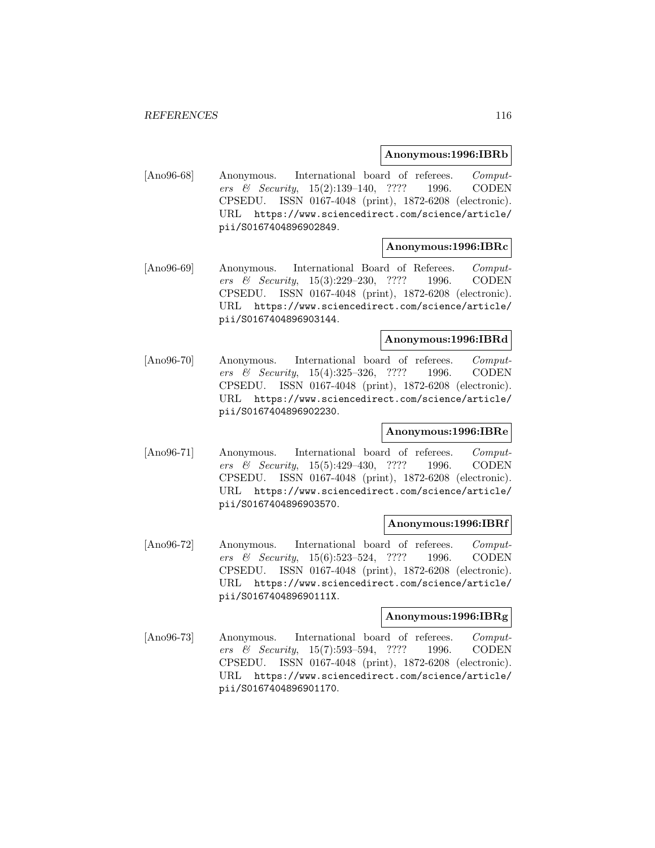#### **Anonymous:1996:IBRb**

[Ano96-68] Anonymous. International board of referees. Computers & Security, 15(2):139–140, ???? 1996. CODEN CPSEDU. ISSN 0167-4048 (print), 1872-6208 (electronic). URL https://www.sciencedirect.com/science/article/ pii/S0167404896902849.

# **Anonymous:1996:IBRc**

[Ano96-69] Anonymous. International Board of Referees. Computers & Security, 15(3):229–230, ???? 1996. CODEN CPSEDU. ISSN 0167-4048 (print), 1872-6208 (electronic). URL https://www.sciencedirect.com/science/article/ pii/S0167404896903144.

# **Anonymous:1996:IBRd**

[Ano96-70] Anonymous. International board of referees. Computers & Security, 15(4):325–326, ???? 1996. CODEN CPSEDU. ISSN 0167-4048 (print), 1872-6208 (electronic). URL https://www.sciencedirect.com/science/article/ pii/S0167404896902230.

# **Anonymous:1996:IBRe**

[Ano96-71] Anonymous. International board of referees. Computers & Security, 15(5):429–430, ???? 1996. CODEN CPSEDU. ISSN 0167-4048 (print), 1872-6208 (electronic). URL https://www.sciencedirect.com/science/article/ pii/S0167404896903570.

#### **Anonymous:1996:IBRf**

[Ano96-72] Anonymous. International board of referees. Computers & Security, 15(6):523–524, ???? 1996. CODEN CPSEDU. ISSN 0167-4048 (print), 1872-6208 (electronic). URL https://www.sciencedirect.com/science/article/ pii/S016740489690111X.

# **Anonymous:1996:IBRg**

[Ano96-73] Anonymous. International board of referees. Computers & Security, 15(7):593–594, ???? 1996. CODEN CPSEDU. ISSN 0167-4048 (print), 1872-6208 (electronic). URL https://www.sciencedirect.com/science/article/ pii/S0167404896901170.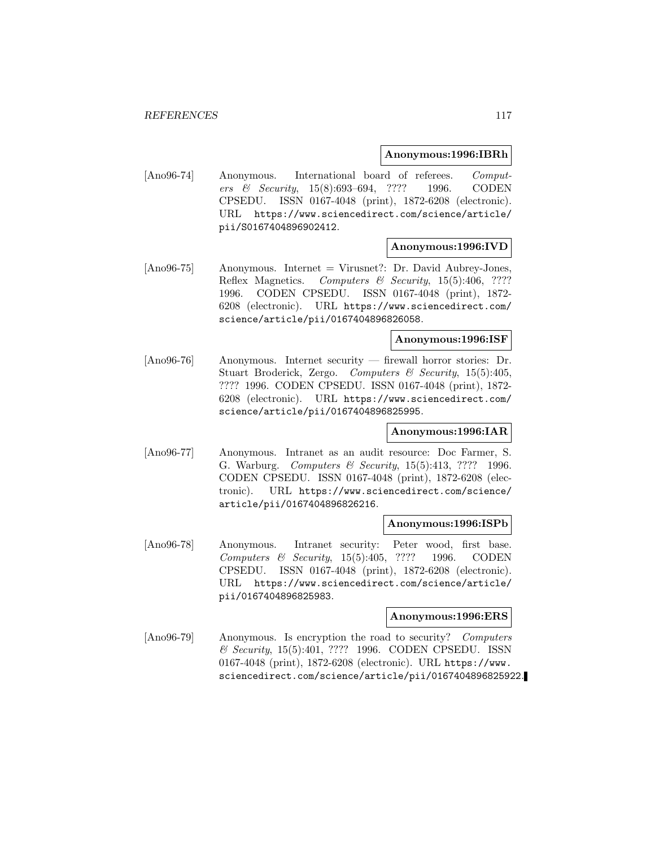#### **Anonymous:1996:IBRh**

[Ano96-74] Anonymous. International board of referees. Computers & Security, 15(8):693–694, ???? 1996. CODEN CPSEDU. ISSN 0167-4048 (print), 1872-6208 (electronic). URL https://www.sciencedirect.com/science/article/ pii/S0167404896902412.

# **Anonymous:1996:IVD**

[Ano96-75] Anonymous. Internet = Virusnet?: Dr. David Aubrey-Jones, Reflex Magnetics. Computers & Security, 15(5):406, ???? 1996. CODEN CPSEDU. ISSN 0167-4048 (print), 1872- 6208 (electronic). URL https://www.sciencedirect.com/ science/article/pii/0167404896826058.

#### **Anonymous:1996:ISF**

[Ano96-76] Anonymous. Internet security — firewall horror stories: Dr. Stuart Broderick, Zergo. Computers & Security, 15(5):405, ???? 1996. CODEN CPSEDU. ISSN 0167-4048 (print), 1872- 6208 (electronic). URL https://www.sciencedirect.com/ science/article/pii/0167404896825995.

# **Anonymous:1996:IAR**

[Ano96-77] Anonymous. Intranet as an audit resource: Doc Farmer, S. G. Warburg. Computers & Security, 15(5):413, ???? 1996. CODEN CPSEDU. ISSN 0167-4048 (print), 1872-6208 (electronic). URL https://www.sciencedirect.com/science/ article/pii/0167404896826216.

#### **Anonymous:1996:ISPb**

[Ano96-78] Anonymous. Intranet security: Peter wood, first base. Computers & Security, 15(5):405, ???? 1996. CODEN CPSEDU. ISSN 0167-4048 (print), 1872-6208 (electronic). URL https://www.sciencedirect.com/science/article/ pii/0167404896825983.

# **Anonymous:1996:ERS**

[Ano96-79] Anonymous. Is encryption the road to security? Computers & Security, 15(5):401, ???? 1996. CODEN CPSEDU. ISSN 0167-4048 (print), 1872-6208 (electronic). URL https://www. sciencedirect.com/science/article/pii/0167404896825922.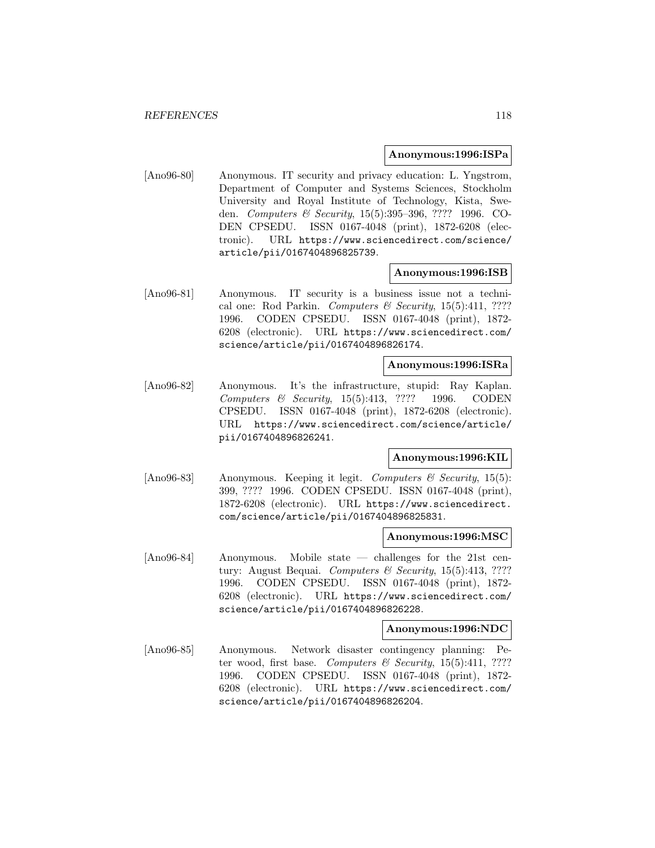#### **Anonymous:1996:ISPa**

[Ano96-80] Anonymous. IT security and privacy education: L. Yngstrom, Department of Computer and Systems Sciences, Stockholm University and Royal Institute of Technology, Kista, Sweden. Computers & Security, 15(5):395–396, ???? 1996. CO-DEN CPSEDU. ISSN 0167-4048 (print), 1872-6208 (electronic). URL https://www.sciencedirect.com/science/ article/pii/0167404896825739.

### **Anonymous:1996:ISB**

[Ano96-81] Anonymous. IT security is a business issue not a technical one: Rod Parkin. Computers & Security, 15(5):411, ???? 1996. CODEN CPSEDU. ISSN 0167-4048 (print), 1872- 6208 (electronic). URL https://www.sciencedirect.com/ science/article/pii/0167404896826174.

# **Anonymous:1996:ISRa**

[Ano96-82] Anonymous. It's the infrastructure, stupid: Ray Kaplan. Computers & Security, 15(5):413, ???? 1996. CODEN CPSEDU. ISSN 0167-4048 (print), 1872-6208 (electronic). URL https://www.sciencedirect.com/science/article/ pii/0167404896826241.

#### **Anonymous:1996:KIL**

[Ano96-83] Anonymous. Keeping it legit. Computers  $\mathcal C$  Security, 15(5): 399, ???? 1996. CODEN CPSEDU. ISSN 0167-4048 (print), 1872-6208 (electronic). URL https://www.sciencedirect. com/science/article/pii/0167404896825831.

#### **Anonymous:1996:MSC**

[Ano96-84] Anonymous. Mobile state — challenges for the 21st century: August Bequai. Computers & Security, 15(5):413, ???? 1996. CODEN CPSEDU. ISSN 0167-4048 (print), 1872- 6208 (electronic). URL https://www.sciencedirect.com/ science/article/pii/0167404896826228.

#### **Anonymous:1996:NDC**

[Ano96-85] Anonymous. Network disaster contingency planning: Peter wood, first base. Computers & Security,  $15(5):411$ , ???? 1996. CODEN CPSEDU. ISSN 0167-4048 (print), 1872- 6208 (electronic). URL https://www.sciencedirect.com/ science/article/pii/0167404896826204.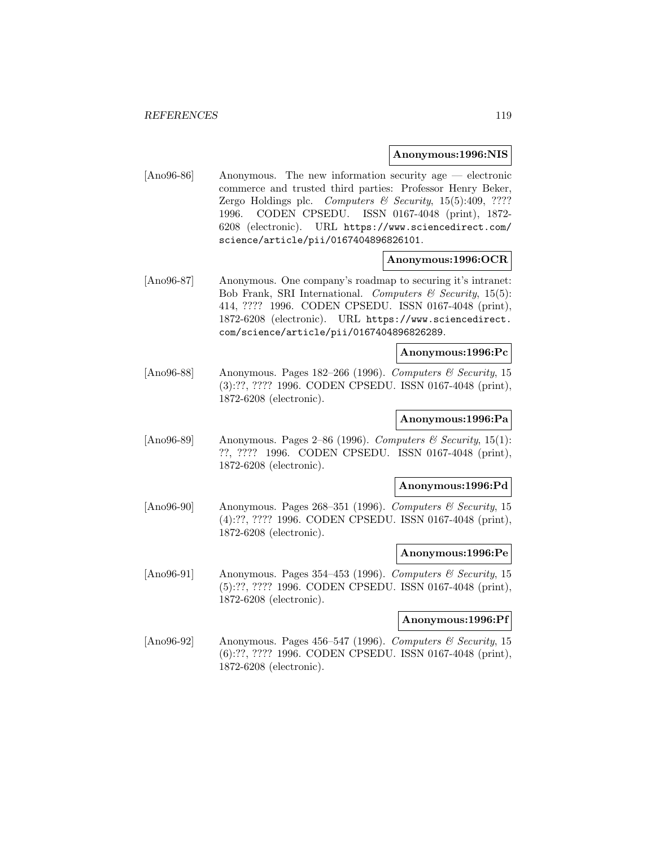### **Anonymous:1996:NIS**

[Ano96-86] Anonymous. The new information security age — electronic commerce and trusted third parties: Professor Henry Beker, Zergo Holdings plc. Computers & Security,  $15(5):409$ , ???? 1996. CODEN CPSEDU. ISSN 0167-4048 (print), 1872- 6208 (electronic). URL https://www.sciencedirect.com/ science/article/pii/0167404896826101.

# **Anonymous:1996:OCR**

[Ano96-87] Anonymous. One company's roadmap to securing it's intranet: Bob Frank, SRI International. Computers  $\mathcal C$  Security, 15(5): 414, ???? 1996. CODEN CPSEDU. ISSN 0167-4048 (print), 1872-6208 (electronic). URL https://www.sciencedirect. com/science/article/pii/0167404896826289.

# **Anonymous:1996:Pc**

[Ano96-88] Anonymous. Pages 182–266 (1996). Computers & Security, 15 (3):??, ???? 1996. CODEN CPSEDU. ISSN 0167-4048 (print), 1872-6208 (electronic).

## **Anonymous:1996:Pa**

[Ano96-89] Anonymous. Pages 2–86 (1996). Computers & Security, 15(1): ??, ???? 1996. CODEN CPSEDU. ISSN 0167-4048 (print), 1872-6208 (electronic).

#### **Anonymous:1996:Pd**

[Ano96-90] Anonymous. Pages 268–351 (1996). Computers & Security, 15 (4):??, ???? 1996. CODEN CPSEDU. ISSN 0167-4048 (print), 1872-6208 (electronic).

## **Anonymous:1996:Pe**

[Ano96-91] Anonymous. Pages 354-453 (1996). Computers & Security, 15 (5):??, ???? 1996. CODEN CPSEDU. ISSN 0167-4048 (print), 1872-6208 (electronic).

# **Anonymous:1996:Pf**

[Ano96-92] Anonymous. Pages 456–547 (1996). Computers & Security, 15 (6):??, ???? 1996. CODEN CPSEDU. ISSN 0167-4048 (print), 1872-6208 (electronic).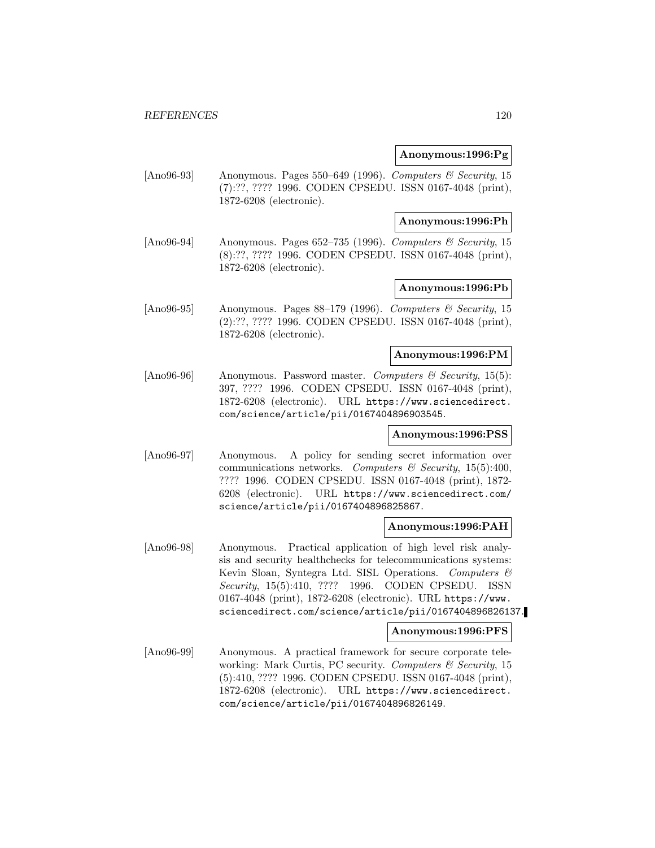# **Anonymous:1996:Pg**

[Ano96-93] Anonymous. Pages 550–649 (1996). Computers & Security, 15 (7):??, ???? 1996. CODEN CPSEDU. ISSN 0167-4048 (print), 1872-6208 (electronic).

### **Anonymous:1996:Ph**

[Ano96-94] Anonymous. Pages 652–735 (1996). Computers & Security, 15 (8):??, ???? 1996. CODEN CPSEDU. ISSN 0167-4048 (print), 1872-6208 (electronic).

# **Anonymous:1996:Pb**

[Ano96-95] Anonymous. Pages 88–179 (1996). Computers & Security, 15 (2):??, ???? 1996. CODEN CPSEDU. ISSN 0167-4048 (print), 1872-6208 (electronic).

# **Anonymous:1996:PM**

[Ano96-96] Anonymous. Password master. Computers  $\mathcal{C}$  Security, 15(5): 397, ???? 1996. CODEN CPSEDU. ISSN 0167-4048 (print), 1872-6208 (electronic). URL https://www.sciencedirect. com/science/article/pii/0167404896903545.

# **Anonymous:1996:PSS**

[Ano96-97] Anonymous. A policy for sending secret information over communications networks. Computers & Security, 15(5):400, ???? 1996. CODEN CPSEDU. ISSN 0167-4048 (print), 1872- 6208 (electronic). URL https://www.sciencedirect.com/ science/article/pii/0167404896825867.

#### **Anonymous:1996:PAH**

[Ano96-98] Anonymous. Practical application of high level risk analysis and security healthchecks for telecommunications systems: Kevin Sloan, Syntegra Ltd. SISL Operations. Computers & Security, 15(5):410, ???? 1996. CODEN CPSEDU. ISSN 0167-4048 (print), 1872-6208 (electronic). URL https://www. sciencedirect.com/science/article/pii/0167404896826137.

# **Anonymous:1996:PFS**

[Ano96-99] Anonymous. A practical framework for secure corporate teleworking: Mark Curtis, PC security. Computers  $\mathcal C$  Security, 15 (5):410, ???? 1996. CODEN CPSEDU. ISSN 0167-4048 (print), 1872-6208 (electronic). URL https://www.sciencedirect. com/science/article/pii/0167404896826149.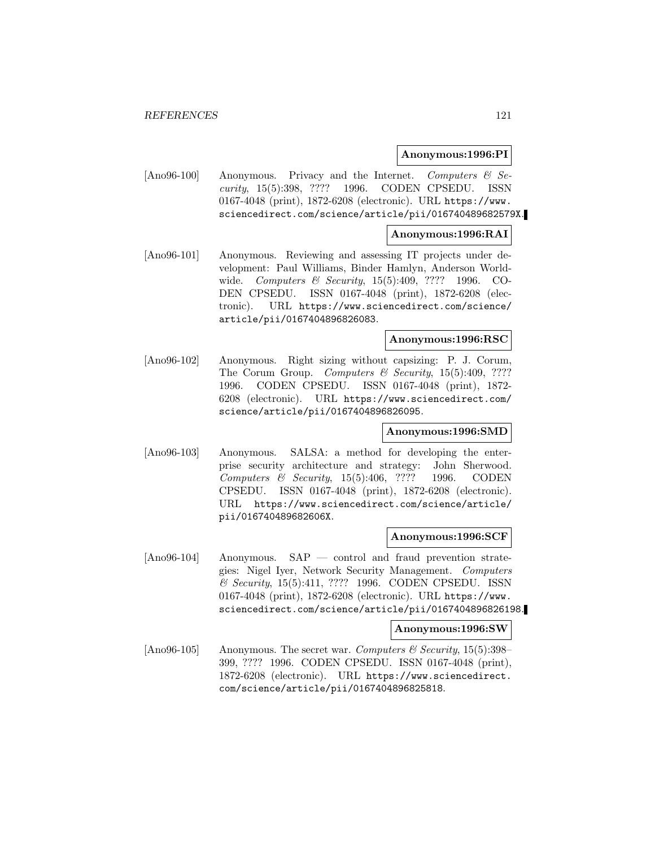### **Anonymous:1996:PI**

[Ano96-100] Anonymous. Privacy and the Internet. Computers & Security, 15(5):398, ???? 1996. CODEN CPSEDU. ISSN 0167-4048 (print), 1872-6208 (electronic). URL https://www. sciencedirect.com/science/article/pii/016740489682579X.

## **Anonymous:1996:RAI**

[Ano96-101] Anonymous. Reviewing and assessing IT projects under development: Paul Williams, Binder Hamlyn, Anderson Worldwide. Computers & Security, 15(5):409, ???? 1996. CO-DEN CPSEDU. ISSN 0167-4048 (print), 1872-6208 (electronic). URL https://www.sciencedirect.com/science/ article/pii/0167404896826083.

## **Anonymous:1996:RSC**

[Ano96-102] Anonymous. Right sizing without capsizing: P. J. Corum, The Corum Group. Computers  $\mathcal B$  Security, 15(5):409, ???? 1996. CODEN CPSEDU. ISSN 0167-4048 (print), 1872- 6208 (electronic). URL https://www.sciencedirect.com/ science/article/pii/0167404896826095.

# **Anonymous:1996:SMD**

[Ano96-103] Anonymous. SALSA: a method for developing the enterprise security architecture and strategy: John Sherwood. Computers & Security, 15(5):406, ???? 1996. CODEN CPSEDU. ISSN 0167-4048 (print), 1872-6208 (electronic). URL https://www.sciencedirect.com/science/article/ pii/016740489682606X.

#### **Anonymous:1996:SCF**

[Ano96-104] Anonymous. SAP — control and fraud prevention strategies: Nigel Iyer, Network Security Management. Computers & Security, 15(5):411, ???? 1996. CODEN CPSEDU. ISSN 0167-4048 (print), 1872-6208 (electronic). URL https://www. sciencedirect.com/science/article/pii/0167404896826198.

#### **Anonymous:1996:SW**

[Ano96-105] Anonymous. The secret war. Computers  $\mathcal{B}$  Security, 15(5):398– 399, ???? 1996. CODEN CPSEDU. ISSN 0167-4048 (print), 1872-6208 (electronic). URL https://www.sciencedirect. com/science/article/pii/0167404896825818.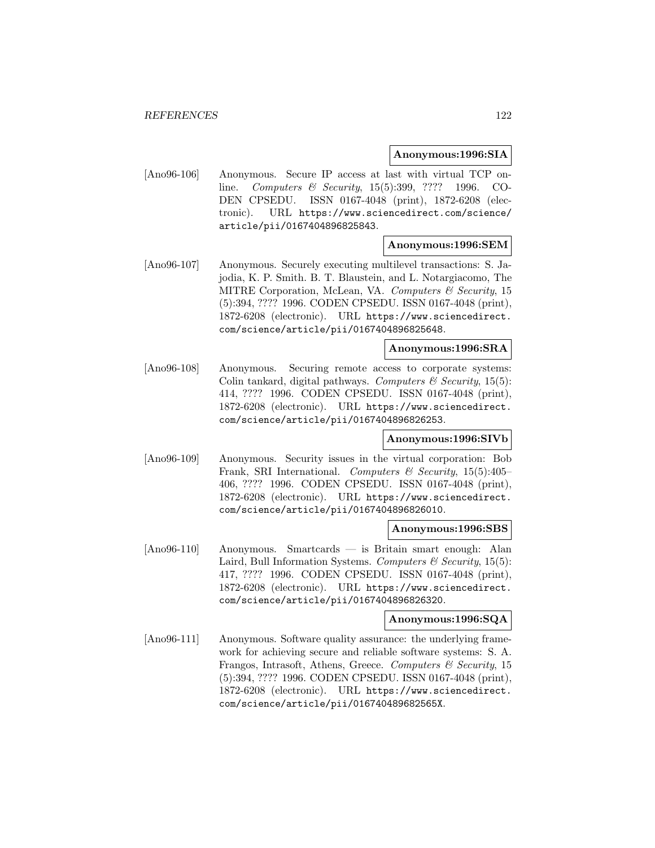## **Anonymous:1996:SIA**

[Ano96-106] Anonymous. Secure IP access at last with virtual TCP online. Computers & Security, 15(5):399, ???? 1996. CO-DEN CPSEDU. ISSN 0167-4048 (print), 1872-6208 (electronic). URL https://www.sciencedirect.com/science/ article/pii/0167404896825843.

### **Anonymous:1996:SEM**

[Ano96-107] Anonymous. Securely executing multilevel transactions: S. Jajodia, K. P. Smith. B. T. Blaustein, and L. Notargiacomo, The MITRE Corporation, McLean, VA. Computers & Security, 15 (5):394, ???? 1996. CODEN CPSEDU. ISSN 0167-4048 (print), 1872-6208 (electronic). URL https://www.sciencedirect. com/science/article/pii/0167404896825648.

## **Anonymous:1996:SRA**

[Ano96-108] Anonymous. Securing remote access to corporate systems: Colin tankard, digital pathways. Computers  $\mathcal C$  Security, 15(5): 414, ???? 1996. CODEN CPSEDU. ISSN 0167-4048 (print), 1872-6208 (electronic). URL https://www.sciencedirect. com/science/article/pii/0167404896826253.

# **Anonymous:1996:SIVb**

[Ano96-109] Anonymous. Security issues in the virtual corporation: Bob Frank, SRI International. Computers & Security, 15(5):405– 406, ???? 1996. CODEN CPSEDU. ISSN 0167-4048 (print), 1872-6208 (electronic). URL https://www.sciencedirect. com/science/article/pii/0167404896826010.

## **Anonymous:1996:SBS**

[Ano96-110] Anonymous. Smartcards — is Britain smart enough: Alan Laird, Bull Information Systems. Computers  $\mathcal B$  Security, 15(5): 417, ???? 1996. CODEN CPSEDU. ISSN 0167-4048 (print), 1872-6208 (electronic). URL https://www.sciencedirect. com/science/article/pii/0167404896826320.

## **Anonymous:1996:SQA**

[Ano96-111] Anonymous. Software quality assurance: the underlying framework for achieving secure and reliable software systems: S. A. Frangos, Intrasoft, Athens, Greece. Computers & Security, 15 (5):394, ???? 1996. CODEN CPSEDU. ISSN 0167-4048 (print), 1872-6208 (electronic). URL https://www.sciencedirect. com/science/article/pii/016740489682565X.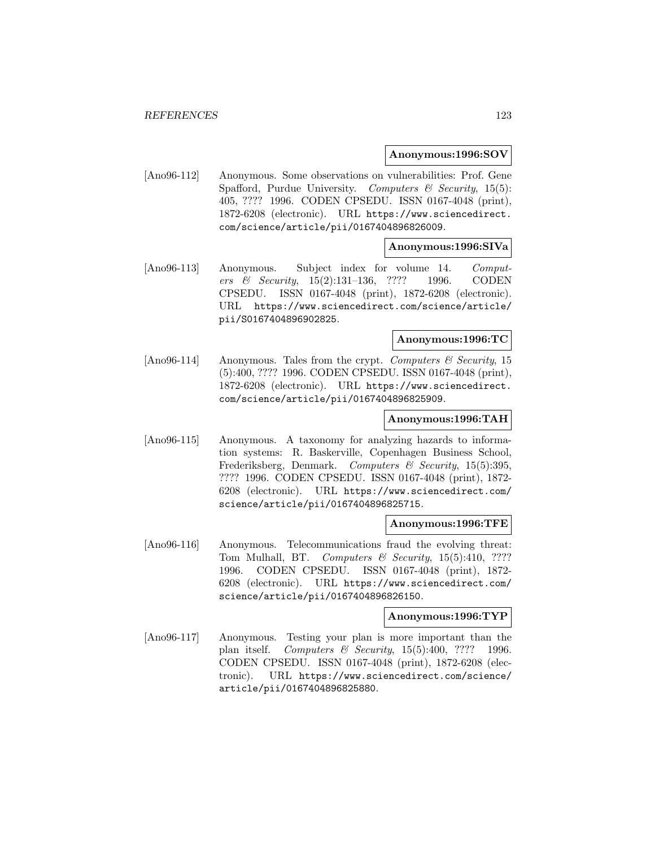### **Anonymous:1996:SOV**

[Ano96-112] Anonymous. Some observations on vulnerabilities: Prof. Gene Spafford, Purdue University. Computers  $\mathcal{B}$  Security, 15(5): 405, ???? 1996. CODEN CPSEDU. ISSN 0167-4048 (print), 1872-6208 (electronic). URL https://www.sciencedirect. com/science/article/pii/0167404896826009.

### **Anonymous:1996:SIVa**

[Ano96-113] Anonymous. Subject index for volume 14. Computers & Security, 15(2):131–136, ???? 1996. CODEN CPSEDU. ISSN 0167-4048 (print), 1872-6208 (electronic). URL https://www.sciencedirect.com/science/article/ pii/S0167404896902825.

## **Anonymous:1996:TC**

[Ano96-114] Anonymous. Tales from the crypt. Computers  $\mathcal C$  Security, 15 (5):400, ???? 1996. CODEN CPSEDU. ISSN 0167-4048 (print), 1872-6208 (electronic). URL https://www.sciencedirect. com/science/article/pii/0167404896825909.

# **Anonymous:1996:TAH**

[Ano96-115] Anonymous. A taxonomy for analyzing hazards to information systems: R. Baskerville, Copenhagen Business School, Frederiksberg, Denmark. Computers & Security, 15(5):395, ???? 1996. CODEN CPSEDU. ISSN 0167-4048 (print), 1872- 6208 (electronic). URL https://www.sciencedirect.com/ science/article/pii/0167404896825715.

## **Anonymous:1996:TFE**

[Ano96-116] Anonymous. Telecommunications fraud the evolving threat: Tom Mulhall, BT. Computers & Security, 15(5):410, ???? 1996. CODEN CPSEDU. ISSN 0167-4048 (print), 1872- 6208 (electronic). URL https://www.sciencedirect.com/ science/article/pii/0167404896826150.

## **Anonymous:1996:TYP**

[Ano96-117] Anonymous. Testing your plan is more important than the plan itself. Computers & Security,  $15(5):400, ????$  1996. CODEN CPSEDU. ISSN 0167-4048 (print), 1872-6208 (electronic). URL https://www.sciencedirect.com/science/ article/pii/0167404896825880.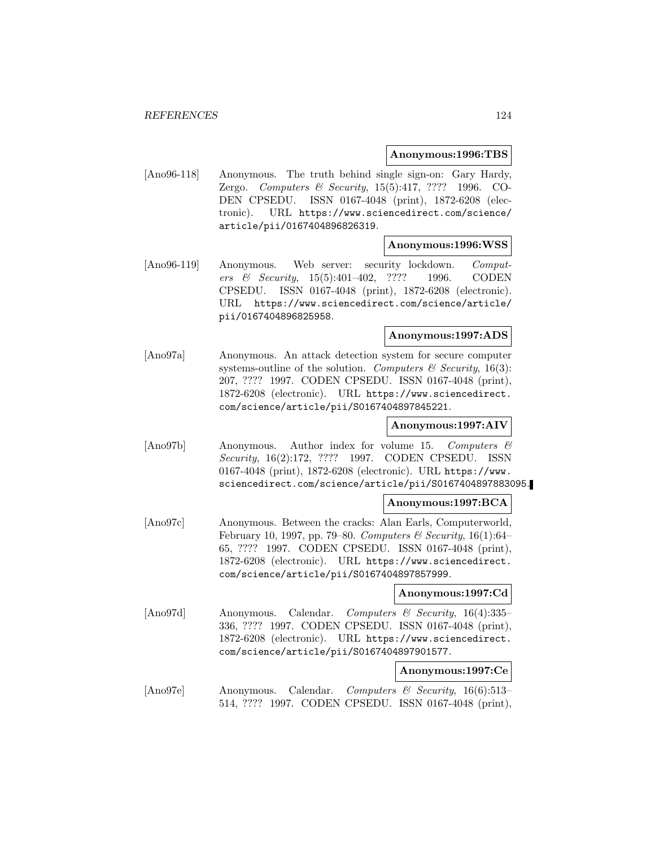## **Anonymous:1996:TBS**

[Ano96-118] Anonymous. The truth behind single sign-on: Gary Hardy, Zergo. Computers & Security, 15(5):417, ???? 1996. CO-DEN CPSEDU. ISSN 0167-4048 (print), 1872-6208 (electronic). URL https://www.sciencedirect.com/science/ article/pii/0167404896826319.

## **Anonymous:1996:WSS**

[Ano96-119] Anonymous. Web server: security lockdown. Computers & Security, 15(5):401–402, ???? 1996. CODEN CPSEDU. ISSN 0167-4048 (print), 1872-6208 (electronic). URL https://www.sciencedirect.com/science/article/ pii/0167404896825958.

#### **Anonymous:1997:ADS**

[Ano97a] Anonymous. An attack detection system for secure computer systems-outline of the solution. Computers  $\mathcal C$  Security, 16(3): 207, ???? 1997. CODEN CPSEDU. ISSN 0167-4048 (print), 1872-6208 (electronic). URL https://www.sciencedirect. com/science/article/pii/S0167404897845221.

# **Anonymous:1997:AIV**

[Ano97b] Anonymous. Author index for volume 15. Computers & Security, 16(2):172, ???? 1997. CODEN CPSEDU. ISSN 0167-4048 (print), 1872-6208 (electronic). URL https://www. sciencedirect.com/science/article/pii/S0167404897883095.

# **Anonymous:1997:BCA**

[Ano97c] Anonymous. Between the cracks: Alan Earls, Computerworld, February 10, 1997, pp. 79–80. Computers & Security, 16(1):64– 65, ???? 1997. CODEN CPSEDU. ISSN 0167-4048 (print), 1872-6208 (electronic). URL https://www.sciencedirect. com/science/article/pii/S0167404897857999.

#### **Anonymous:1997:Cd**

[Ano97d] Anonymous. Calendar. Computers & Security, 16(4):335– 336, ???? 1997. CODEN CPSEDU. ISSN 0167-4048 (print), 1872-6208 (electronic). URL https://www.sciencedirect. com/science/article/pii/S0167404897901577.

## **Anonymous:1997:Ce**

[Ano97e] Anonymous. Calendar. Computers & Security, 16(6):513– 514, ???? 1997. CODEN CPSEDU. ISSN 0167-4048 (print),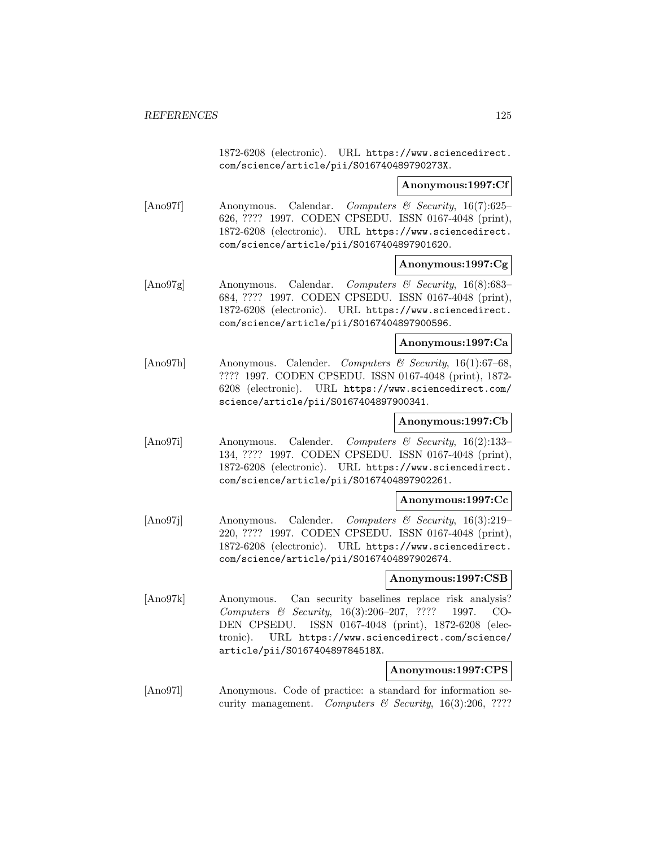1872-6208 (electronic). URL https://www.sciencedirect. com/science/article/pii/S016740489790273X.

### **Anonymous:1997:Cf**

[Ano97f] Anonymous. Calendar. Computers & Security, 16(7):625– 626, ???? 1997. CODEN CPSEDU. ISSN 0167-4048 (print), 1872-6208 (electronic). URL https://www.sciencedirect. com/science/article/pii/S0167404897901620.

# **Anonymous:1997:Cg**

[Ano97g] Anonymous. Calendar. Computers & Security, 16(8):683– 684, ???? 1997. CODEN CPSEDU. ISSN 0167-4048 (print), 1872-6208 (electronic). URL https://www.sciencedirect. com/science/article/pii/S0167404897900596.

## **Anonymous:1997:Ca**

[Ano97h] Anonymous. Calender. Computers & Security, 16(1):67–68, ???? 1997. CODEN CPSEDU. ISSN 0167-4048 (print), 1872- 6208 (electronic). URL https://www.sciencedirect.com/ science/article/pii/S0167404897900341.

# **Anonymous:1997:Cb**

[Ano97i] Anonymous. Calender. Computers & Security, 16(2):133– 134, ???? 1997. CODEN CPSEDU. ISSN 0167-4048 (print), 1872-6208 (electronic). URL https://www.sciencedirect. com/science/article/pii/S0167404897902261.

# **Anonymous:1997:Cc**

[Ano97j] Anonymous. Calender. Computers & Security, 16(3):219– 220, ???? 1997. CODEN CPSEDU. ISSN 0167-4048 (print), 1872-6208 (electronic). URL https://www.sciencedirect. com/science/article/pii/S0167404897902674.

# **Anonymous:1997:CSB**

[Ano97k] Anonymous. Can security baselines replace risk analysis? Computers & Security, 16(3):206–207, ???? 1997. CO-DEN CPSEDU. ISSN 0167-4048 (print), 1872-6208 (electronic). URL https://www.sciencedirect.com/science/ article/pii/S016740489784518X.

# **Anonymous:1997:CPS**

[Ano97l] Anonymous. Code of practice: a standard for information security management. Computers  $\mathcal B$  Security, 16(3):206, ????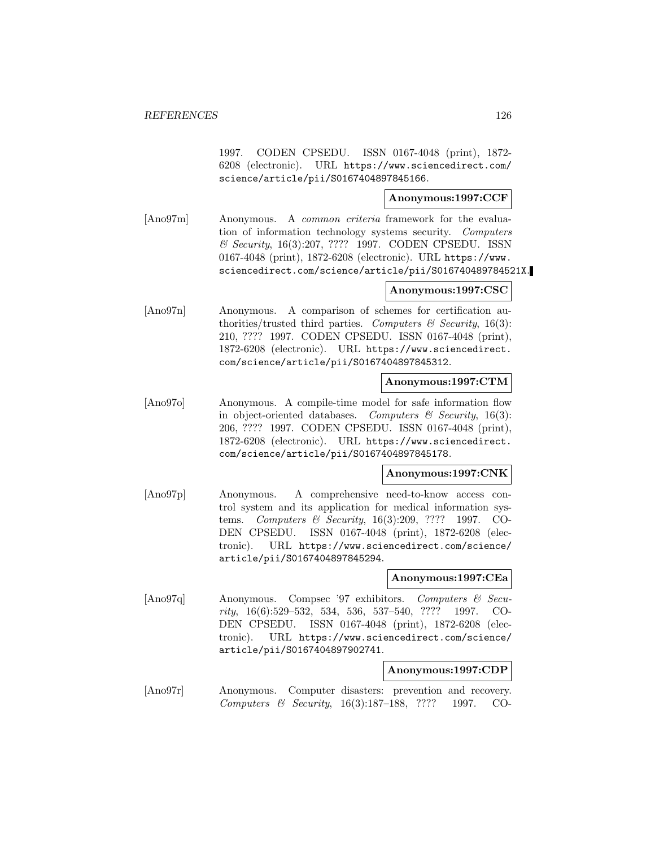1997. CODEN CPSEDU. ISSN 0167-4048 (print), 1872- 6208 (electronic). URL https://www.sciencedirect.com/ science/article/pii/S0167404897845166.

# **Anonymous:1997:CCF**

[Ano97m] Anonymous. A common criteria framework for the evaluation of information technology systems security. Computers & Security, 16(3):207, ???? 1997. CODEN CPSEDU. ISSN 0167-4048 (print), 1872-6208 (electronic). URL https://www. sciencedirect.com/science/article/pii/S016740489784521X.

# **Anonymous:1997:CSC**

[Ano97n] Anonymous. A comparison of schemes for certification authorities/trusted third parties. Computers  $\mathcal C$  Security, 16(3): 210, ???? 1997. CODEN CPSEDU. ISSN 0167-4048 (print), 1872-6208 (electronic). URL https://www.sciencedirect. com/science/article/pii/S0167404897845312.

### **Anonymous:1997:CTM**

[Ano97o] Anonymous. A compile-time model for safe information flow in object-oriented databases. Computers  $\mathcal B$  Security, 16(3): 206, ???? 1997. CODEN CPSEDU. ISSN 0167-4048 (print), 1872-6208 (electronic). URL https://www.sciencedirect. com/science/article/pii/S0167404897845178.

# **Anonymous:1997:CNK**

[Ano97p] Anonymous. A comprehensive need-to-know access control system and its application for medical information systems. Computers & Security, 16(3):209, ???? 1997. CO-DEN CPSEDU. ISSN 0167-4048 (print), 1872-6208 (electronic). URL https://www.sciencedirect.com/science/ article/pii/S0167404897845294.

#### **Anonymous:1997:CEa**

[Ano97q] Anonymous. Compsec '97 exhibitors. Computers & Security, 16(6):529–532, 534, 536, 537–540, ???? 1997. CO-DEN CPSEDU. ISSN 0167-4048 (print), 1872-6208 (electronic). URL https://www.sciencedirect.com/science/ article/pii/S0167404897902741.

# **Anonymous:1997:CDP**

[Ano97r] Anonymous. Computer disasters: prevention and recovery. Computers & Security, 16(3):187–188, ???? 1997. CO-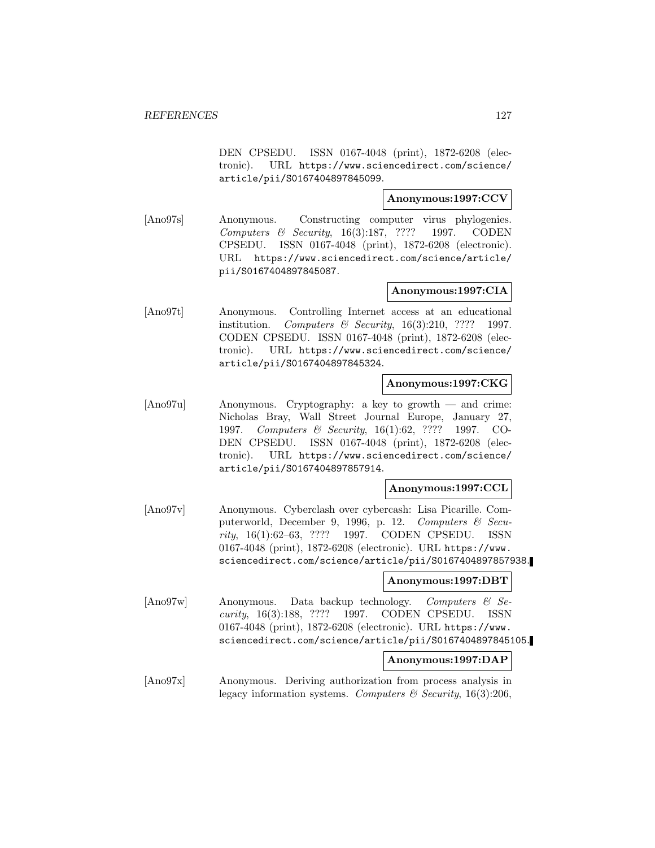DEN CPSEDU. ISSN 0167-4048 (print), 1872-6208 (electronic). URL https://www.sciencedirect.com/science/ article/pii/S0167404897845099.

# **Anonymous:1997:CCV**

[Ano97s] Anonymous. Constructing computer virus phylogenies. Computers & Security, 16(3):187, ???? 1997. CODEN CPSEDU. ISSN 0167-4048 (print), 1872-6208 (electronic). URL https://www.sciencedirect.com/science/article/ pii/S0167404897845087.

# **Anonymous:1997:CIA**

[Ano97t] Anonymous. Controlling Internet access at an educational institution. Computers & Security,  $16(3):210$ , ???? 1997. CODEN CPSEDU. ISSN 0167-4048 (print), 1872-6208 (electronic). URL https://www.sciencedirect.com/science/ article/pii/S0167404897845324.

# **Anonymous:1997:CKG**

[Ano97u] Anonymous. Cryptography: a key to growth — and crime: Nicholas Bray, Wall Street Journal Europe, January 27, 1997. Computers & Security, 16(1):62, ???? 1997. CO-DEN CPSEDU. ISSN 0167-4048 (print), 1872-6208 (electronic). URL https://www.sciencedirect.com/science/ article/pii/S0167404897857914.

## **Anonymous:1997:CCL**

[Ano97v] Anonymous. Cyberclash over cybercash: Lisa Picarille. Computerworld, December 9, 1996, p. 12. Computers & Security, 16(1):62–63, ???? 1997. CODEN CPSEDU. ISSN 0167-4048 (print), 1872-6208 (electronic). URL https://www. sciencedirect.com/science/article/pii/S0167404897857938.

#### **Anonymous:1997:DBT**

[Ano97w] Anonymous. Data backup technology. Computers & Security, 16(3):188, ???? 1997. CODEN CPSEDU. ISSN 0167-4048 (print), 1872-6208 (electronic). URL https://www. sciencedirect.com/science/article/pii/S0167404897845105.

## **Anonymous:1997:DAP**

[Ano97x] Anonymous. Deriving authorization from process analysis in legacy information systems. Computers  $\mathcal B$  Security, 16(3):206,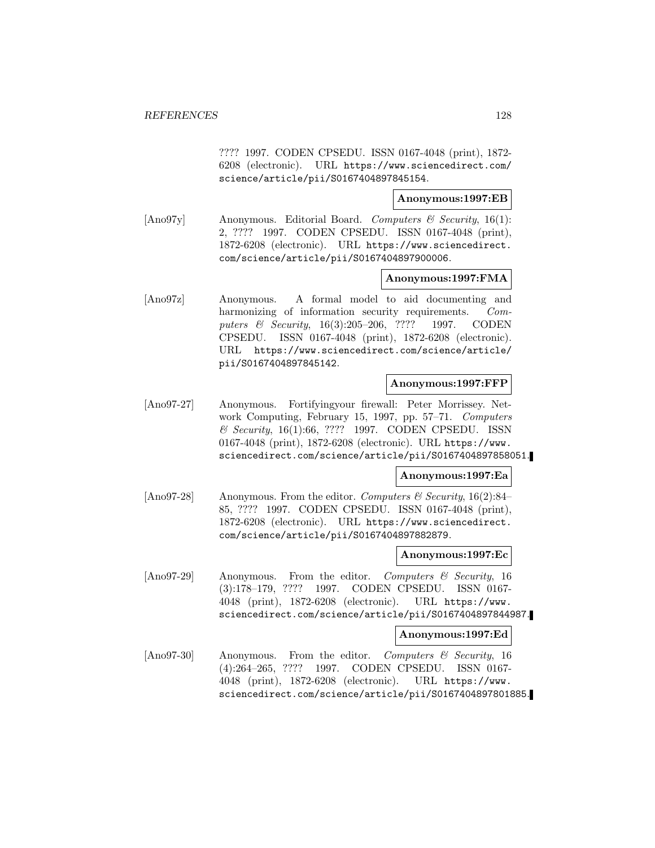???? 1997. CODEN CPSEDU. ISSN 0167-4048 (print), 1872- 6208 (electronic). URL https://www.sciencedirect.com/ science/article/pii/S0167404897845154.

## **Anonymous:1997:EB**

 $[\text{Ano97y}]$  Anonymous. Editorial Board. Computers & Security, 16(1): 2, ???? 1997. CODEN CPSEDU. ISSN 0167-4048 (print), 1872-6208 (electronic). URL https://www.sciencedirect. com/science/article/pii/S0167404897900006.

## **Anonymous:1997:FMA**

[Ano97z] Anonymous. A formal model to aid documenting and harmonizing of information security requirements. Computers & Security, 16(3):205-206, ???? 1997. CODEN CPSEDU. ISSN 0167-4048 (print), 1872-6208 (electronic). URL https://www.sciencedirect.com/science/article/ pii/S0167404897845142.

#### **Anonymous:1997:FFP**

[Ano97-27] Anonymous. Fortifyingyour firewall: Peter Morrissey. Network Computing, February 15, 1997, pp. 57–71. Computers & Security, 16(1):66, ???? 1997. CODEN CPSEDU. ISSN 0167-4048 (print), 1872-6208 (electronic). URL https://www. sciencedirect.com/science/article/pii/S0167404897858051.

## **Anonymous:1997:Ea**

 $[\text{Ano97-28}]$  Anonymous. From the editor. Computers & Security, 16(2):84– 85, ???? 1997. CODEN CPSEDU. ISSN 0167-4048 (print), 1872-6208 (electronic). URL https://www.sciencedirect. com/science/article/pii/S0167404897882879.

#### **Anonymous:1997:Ec**

[Ano97-29] Anonymous. From the editor. Computers & Security, 16 (3):178–179, ???? 1997. CODEN CPSEDU. ISSN 0167- 4048 (print), 1872-6208 (electronic). URL https://www. sciencedirect.com/science/article/pii/S0167404897844987.

#### **Anonymous:1997:Ed**

[Ano97-30] Anonymous. From the editor. Computers & Security, 16 (4):264–265, ???? 1997. CODEN CPSEDU. ISSN 0167- 4048 (print), 1872-6208 (electronic). URL https://www. sciencedirect.com/science/article/pii/S0167404897801885.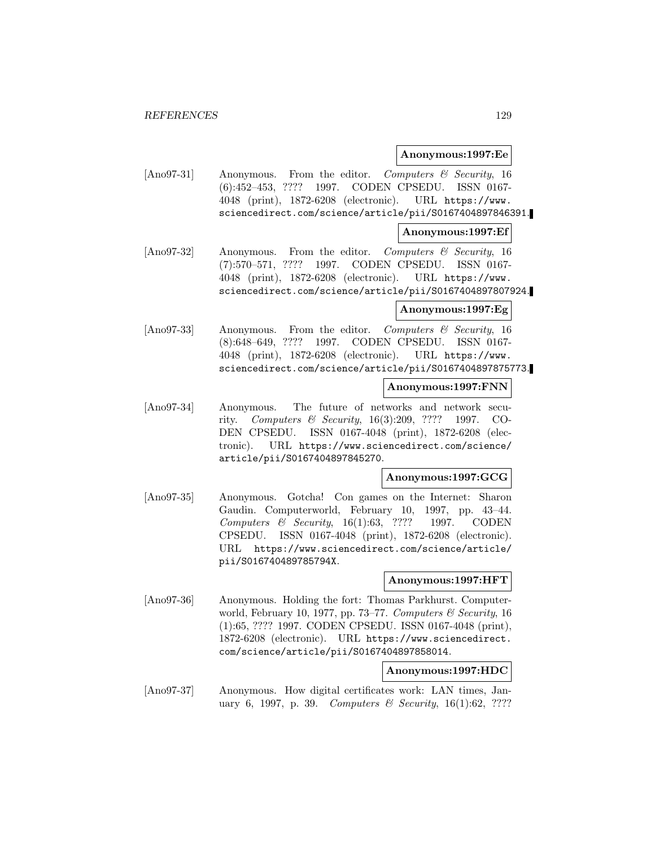### **Anonymous:1997:Ee**

[Ano97-31] Anonymous. From the editor. Computers & Security, 16 (6):452–453, ???? 1997. CODEN CPSEDU. ISSN 0167- 4048 (print), 1872-6208 (electronic). URL https://www. sciencedirect.com/science/article/pii/S0167404897846391.

### **Anonymous:1997:Ef**

[Ano97-32] Anonymous. From the editor. Computers & Security, 16 (7):570–571, ???? 1997. CODEN CPSEDU. ISSN 0167- 4048 (print), 1872-6208 (electronic). URL https://www. sciencedirect.com/science/article/pii/S0167404897807924.

### **Anonymous:1997:Eg**

[Ano97-33] Anonymous. From the editor. Computers & Security, 16 (8):648–649, ???? 1997. CODEN CPSEDU. ISSN 0167- 4048 (print), 1872-6208 (electronic). URL https://www. sciencedirect.com/science/article/pii/S0167404897875773.

# **Anonymous:1997:FNN**

[Ano97-34] Anonymous. The future of networks and network security. Computers & Security, 16(3):209, ???? 1997. CO-DEN CPSEDU. ISSN 0167-4048 (print), 1872-6208 (electronic). URL https://www.sciencedirect.com/science/ article/pii/S0167404897845270.

# **Anonymous:1997:GCG**

[Ano97-35] Anonymous. Gotcha! Con games on the Internet: Sharon Gaudin. Computerworld, February 10, 1997, pp. 43–44. Computers & Security, 16(1):63, ???? 1997. CODEN CPSEDU. ISSN 0167-4048 (print), 1872-6208 (electronic). URL https://www.sciencedirect.com/science/article/ pii/S016740489785794X.

# **Anonymous:1997:HFT**

[Ano97-36] Anonymous. Holding the fort: Thomas Parkhurst. Computerworld, February 10, 1977, pp. 73–77. Computers  $\mathcal C$  Security, 16 (1):65, ???? 1997. CODEN CPSEDU. ISSN 0167-4048 (print), 1872-6208 (electronic). URL https://www.sciencedirect. com/science/article/pii/S0167404897858014.

# **Anonymous:1997:HDC**

[Ano97-37] Anonymous. How digital certificates work: LAN times, January 6, 1997, p. 39. Computers & Security,  $16(1):62, ????$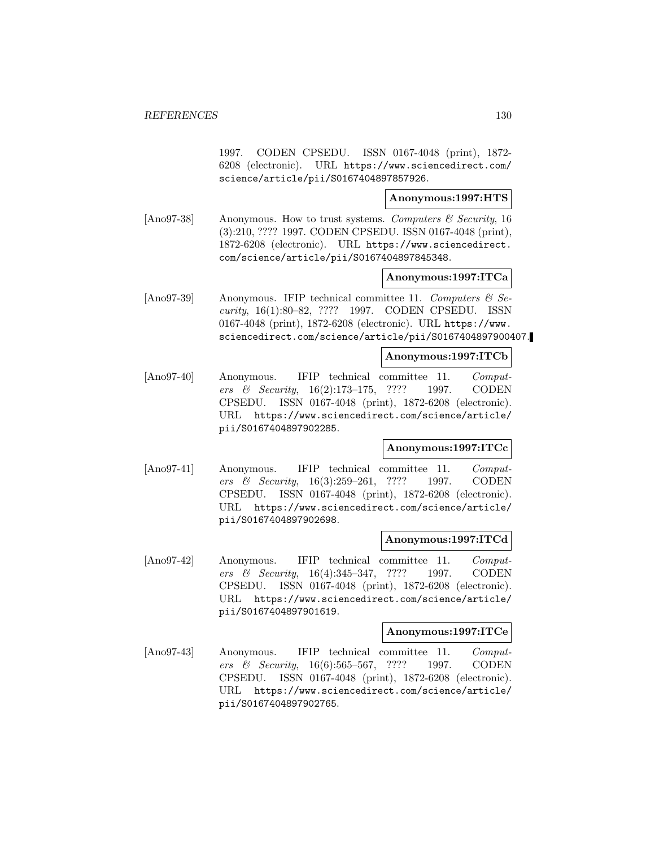1997. CODEN CPSEDU. ISSN 0167-4048 (print), 1872- 6208 (electronic). URL https://www.sciencedirect.com/ science/article/pii/S0167404897857926.

# **Anonymous:1997:HTS**

[Ano97-38] Anonymous. How to trust systems. Computers  $\mathscr$  Security, 16 (3):210, ???? 1997. CODEN CPSEDU. ISSN 0167-4048 (print), 1872-6208 (electronic). URL https://www.sciencedirect. com/science/article/pii/S0167404897845348.

# **Anonymous:1997:ITCa**

[Ano97-39] Anonymous. IFIP technical committee 11. Computers  $\mathcal{C}$  Security, 16(1):80–82, ???? 1997. CODEN CPSEDU. ISSN 0167-4048 (print), 1872-6208 (electronic). URL https://www. sciencedirect.com/science/article/pii/S0167404897900407.

# **Anonymous:1997:ITCb**

[Ano97-40] Anonymous. IFIP technical committee 11. Computers & Security, 16(2):173–175, ???? 1997. CODEN CPSEDU. ISSN 0167-4048 (print), 1872-6208 (electronic). URL https://www.sciencedirect.com/science/article/ pii/S0167404897902285.

# **Anonymous:1997:ITCc**

[Ano97-41] Anonymous. IFIP technical committee 11. Computers & Security, 16(3):259–261, ???? 1997. CODEN CPSEDU. ISSN 0167-4048 (print), 1872-6208 (electronic). URL https://www.sciencedirect.com/science/article/ pii/S0167404897902698.

# **Anonymous:1997:ITCd**

[Ano97-42] Anonymous. IFIP technical committee 11. Computers & Security, 16(4):345–347, ???? 1997. CODEN CPSEDU. ISSN 0167-4048 (print), 1872-6208 (electronic). URL https://www.sciencedirect.com/science/article/ pii/S0167404897901619.

#### **Anonymous:1997:ITCe**

[Ano97-43] Anonymous. IFIP technical committee 11. Computers & Security, 16(6):565–567, ???? 1997. CODEN CPSEDU. ISSN 0167-4048 (print), 1872-6208 (electronic). URL https://www.sciencedirect.com/science/article/ pii/S0167404897902765.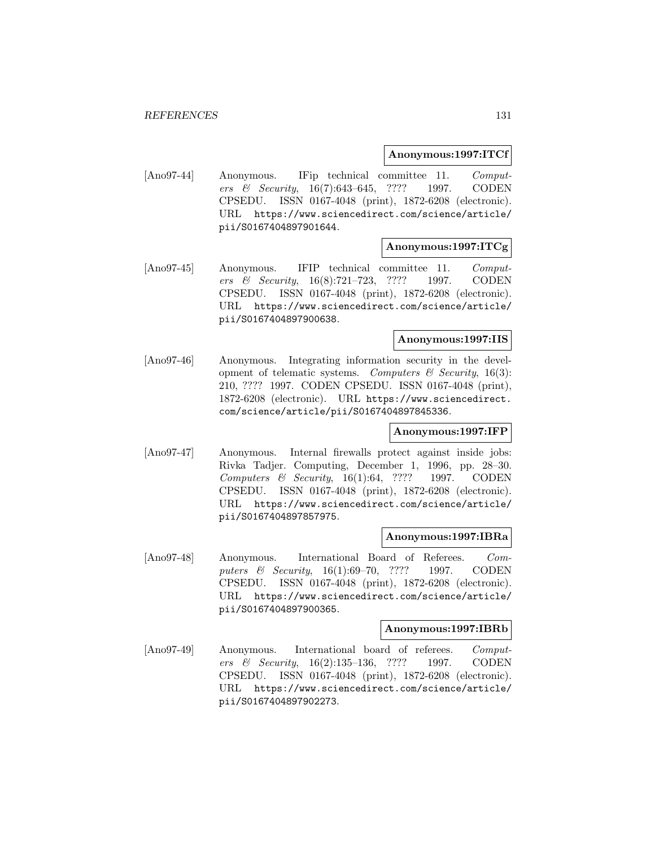## **Anonymous:1997:ITCf**

[Ano97-44] Anonymous. IFip technical committee 11. Computers & Security, 16(7):643–645, ???? 1997. CODEN CPSEDU. ISSN 0167-4048 (print), 1872-6208 (electronic). URL https://www.sciencedirect.com/science/article/ pii/S0167404897901644.

# **Anonymous:1997:ITCg**

[Ano97-45] Anonymous. IFIP technical committee 11. Computers & Security, 16(8):721–723, ???? 1997. CODEN CPSEDU. ISSN 0167-4048 (print), 1872-6208 (electronic). URL https://www.sciencedirect.com/science/article/ pii/S0167404897900638.

## **Anonymous:1997:IIS**

[Ano97-46] Anonymous. Integrating information security in the development of telematic systems. Computers  $\mathcal{C}$  Security, 16(3): 210, ???? 1997. CODEN CPSEDU. ISSN 0167-4048 (print), 1872-6208 (electronic). URL https://www.sciencedirect. com/science/article/pii/S0167404897845336.

# **Anonymous:1997:IFP**

[Ano97-47] Anonymous. Internal firewalls protect against inside jobs: Rivka Tadjer. Computing, December 1, 1996, pp. 28–30. Computers & Security, 16(1):64, ???? 1997. CODEN CPSEDU. ISSN 0167-4048 (print), 1872-6208 (electronic). URL https://www.sciencedirect.com/science/article/ pii/S0167404897857975.

#### **Anonymous:1997:IBRa**

[Ano97-48] Anonymous. International Board of Referees. Computers & Security, 16(1):69–70, ???? 1997. CODEN CPSEDU. ISSN 0167-4048 (print), 1872-6208 (electronic). URL https://www.sciencedirect.com/science/article/ pii/S0167404897900365.

#### **Anonymous:1997:IBRb**

[Ano97-49] Anonymous. International board of referees. Computers & Security, 16(2):135–136, ???? 1997. CODEN CPSEDU. ISSN 0167-4048 (print), 1872-6208 (electronic). URL https://www.sciencedirect.com/science/article/ pii/S0167404897902273.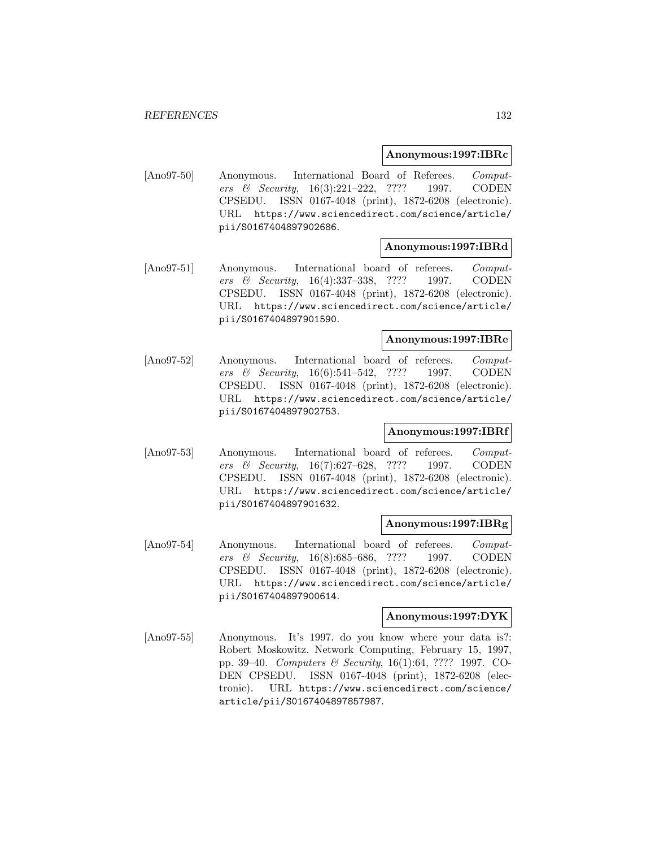## **Anonymous:1997:IBRc**

[Ano97-50] Anonymous. International Board of Referees. Computers & Security, 16(3):221–222, ???? 1997. CODEN CPSEDU. ISSN 0167-4048 (print), 1872-6208 (electronic). URL https://www.sciencedirect.com/science/article/ pii/S0167404897902686.

### **Anonymous:1997:IBRd**

[Ano97-51] Anonymous. International board of referees. Computers & Security, 16(4):337–338, ???? 1997. CODEN CPSEDU. ISSN 0167-4048 (print), 1872-6208 (electronic). URL https://www.sciencedirect.com/science/article/ pii/S0167404897901590.

## **Anonymous:1997:IBRe**

[Ano97-52] Anonymous. International board of referees. Computers & Security, 16(6):541–542, ???? 1997. CODEN CPSEDU. ISSN 0167-4048 (print), 1872-6208 (electronic). URL https://www.sciencedirect.com/science/article/ pii/S0167404897902753.

# **Anonymous:1997:IBRf**

[Ano97-53] Anonymous. International board of referees. Computers & Security, 16(7):627–628, ???? 1997. CODEN CPSEDU. ISSN 0167-4048 (print), 1872-6208 (electronic). URL https://www.sciencedirect.com/science/article/ pii/S0167404897901632.

## **Anonymous:1997:IBRg**

[Ano97-54] Anonymous. International board of referees. Computers & Security, 16(8):685–686, ???? 1997. CODEN CPSEDU. ISSN 0167-4048 (print), 1872-6208 (electronic). URL https://www.sciencedirect.com/science/article/ pii/S0167404897900614.

# **Anonymous:1997:DYK**

[Ano97-55] Anonymous. It's 1997. do you know where your data is?: Robert Moskowitz. Network Computing, February 15, 1997, pp. 39–40. Computers & Security, 16(1):64, ???? 1997. CO-DEN CPSEDU. ISSN 0167-4048 (print), 1872-6208 (electronic). URL https://www.sciencedirect.com/science/ article/pii/S0167404897857987.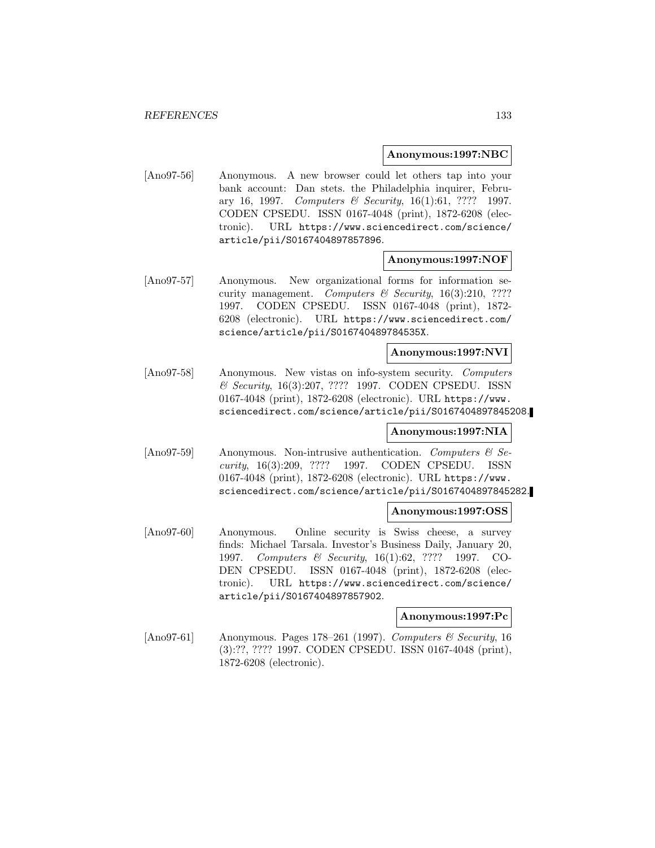### **Anonymous:1997:NBC**

[Ano97-56] Anonymous. A new browser could let others tap into your bank account: Dan stets. the Philadelphia inquirer, February 16, 1997. Computers & Security, 16(1):61, ???? 1997. CODEN CPSEDU. ISSN 0167-4048 (print), 1872-6208 (electronic). URL https://www.sciencedirect.com/science/ article/pii/S0167404897857896.

# **Anonymous:1997:NOF**

[Ano97-57] Anonymous. New organizational forms for information security management. Computers  $\mathcal C$  Security, 16(3):210, ???? 1997. CODEN CPSEDU. ISSN 0167-4048 (print), 1872- 6208 (electronic). URL https://www.sciencedirect.com/ science/article/pii/S016740489784535X.

# **Anonymous:1997:NVI**

[Ano97-58] Anonymous. New vistas on info-system security. Computers & Security, 16(3):207, ???? 1997. CODEN CPSEDU. ISSN 0167-4048 (print), 1872-6208 (electronic). URL https://www. sciencedirect.com/science/article/pii/S0167404897845208.

# **Anonymous:1997:NIA**

[Ano97-59] Anonymous. Non-intrusive authentication. Computers & Security, 16(3):209, ???? 1997. CODEN CPSEDU. ISSN 0167-4048 (print), 1872-6208 (electronic). URL https://www. sciencedirect.com/science/article/pii/S0167404897845282.

# **Anonymous:1997:OSS**

[Ano97-60] Anonymous. Online security is Swiss cheese, a survey finds: Michael Tarsala. Investor's Business Daily, January 20, 1997. Computers & Security, 16(1):62, ???? 1997. CO-DEN CPSEDU. ISSN 0167-4048 (print), 1872-6208 (electronic). URL https://www.sciencedirect.com/science/ article/pii/S0167404897857902.

# **Anonymous:1997:Pc**

[Ano97-61] Anonymous. Pages 178–261 (1997). Computers & Security, 16 (3):??, ???? 1997. CODEN CPSEDU. ISSN 0167-4048 (print), 1872-6208 (electronic).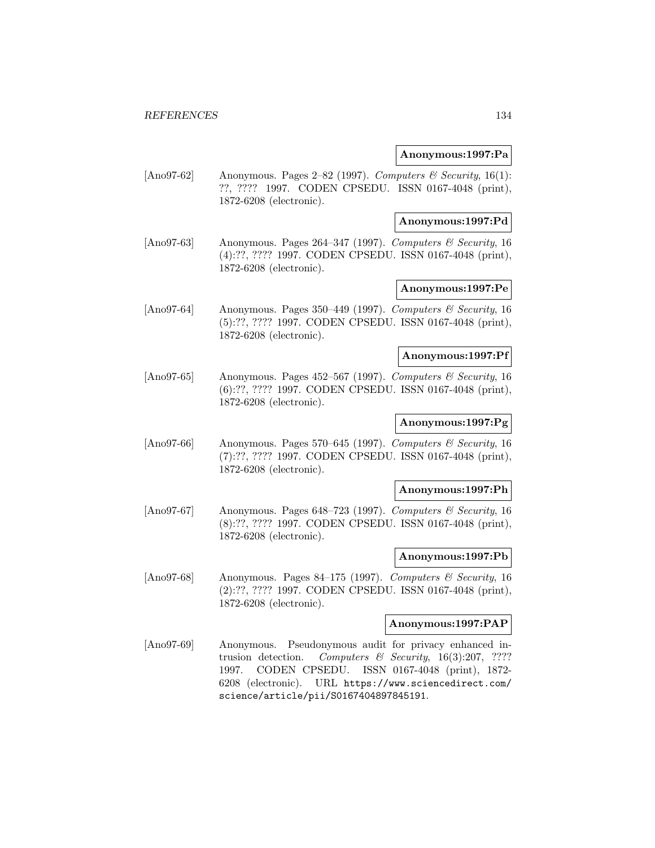## **Anonymous:1997:Pa**

[Ano97-62] Anonymous. Pages 2–82 (1997). Computers & Security, 16(1): ??, ???? 1997. CODEN CPSEDU. ISSN 0167-4048 (print), 1872-6208 (electronic).

### **Anonymous:1997:Pd**

[Ano97-63] Anonymous. Pages 264–347 (1997). Computers & Security, 16 (4):??, ???? 1997. CODEN CPSEDU. ISSN 0167-4048 (print), 1872-6208 (electronic).

# **Anonymous:1997:Pe**

[Ano97-64] Anonymous. Pages 350–449 (1997). Computers & Security, 16 (5):??, ???? 1997. CODEN CPSEDU. ISSN 0167-4048 (print), 1872-6208 (electronic).

## **Anonymous:1997:Pf**

[Ano97-65] Anonymous. Pages 452–567 (1997). Computers  $\mathcal{B}$  Security, 16 (6):??, ???? 1997. CODEN CPSEDU. ISSN 0167-4048 (print), 1872-6208 (electronic).

# **Anonymous:1997:Pg**

[Ano97-66] Anonymous. Pages 570–645 (1997). Computers & Security, 16 (7):??, ???? 1997. CODEN CPSEDU. ISSN 0167-4048 (print), 1872-6208 (electronic).

## **Anonymous:1997:Ph**

[Ano97-67] Anonymous. Pages 648–723 (1997). Computers & Security, 16 (8):??, ???? 1997. CODEN CPSEDU. ISSN 0167-4048 (print), 1872-6208 (electronic).

#### **Anonymous:1997:Pb**

[Ano97-68] Anonymous. Pages 84–175 (1997). Computers & Security, 16 (2):??, ???? 1997. CODEN CPSEDU. ISSN 0167-4048 (print), 1872-6208 (electronic).

# **Anonymous:1997:PAP**

[Ano97-69] Anonymous. Pseudonymous audit for privacy enhanced intrusion detection. Computers & Security,  $16(3):207$ , ???? 1997. CODEN CPSEDU. ISSN 0167-4048 (print), 1872- 6208 (electronic). URL https://www.sciencedirect.com/ science/article/pii/S0167404897845191.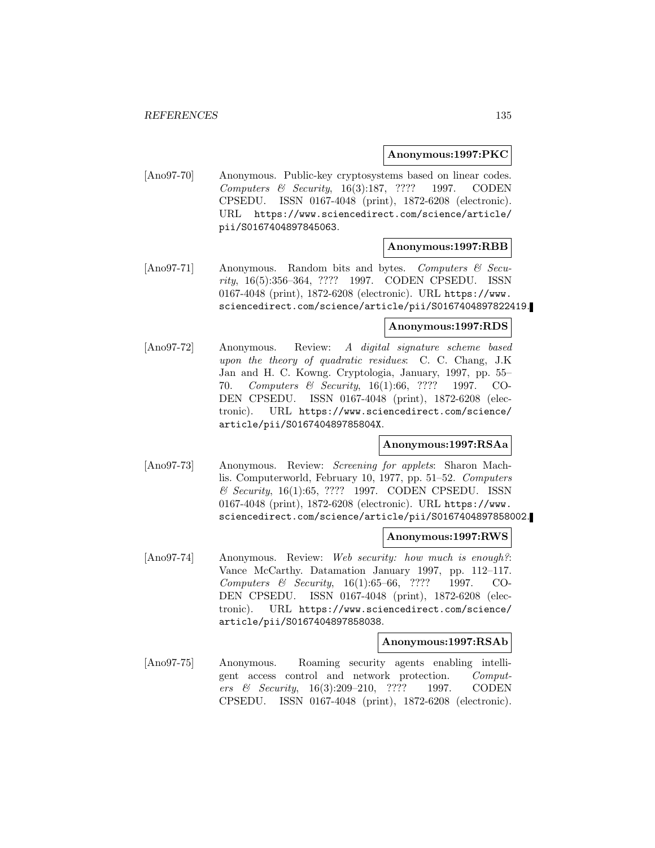## **Anonymous:1997:PKC**

[Ano97-70] Anonymous. Public-key cryptosystems based on linear codes. Computers & Security, 16(3):187, ???? 1997. CODEN CPSEDU. ISSN 0167-4048 (print), 1872-6208 (electronic). URL https://www.sciencedirect.com/science/article/ pii/S0167404897845063.

### **Anonymous:1997:RBB**

[Ano97-71] Anonymous. Random bits and bytes. Computers & Security, 16(5):356–364, ???? 1997. CODEN CPSEDU. ISSN 0167-4048 (print), 1872-6208 (electronic). URL https://www. sciencedirect.com/science/article/pii/S0167404897822419.

### **Anonymous:1997:RDS**

[Ano97-72] Anonymous. Review: A digital signature scheme based upon the theory of quadratic residues: C. C. Chang, J.K Jan and H. C. Kowng. Cryptologia, January, 1997, pp. 55– 70. Computers & Security, 16(1):66, ???? 1997. CO-DEN CPSEDU. ISSN 0167-4048 (print), 1872-6208 (electronic). URL https://www.sciencedirect.com/science/ article/pii/S016740489785804X.

# **Anonymous:1997:RSAa**

[Ano97-73] Anonymous. Review: Screening for applets: Sharon Machlis. Computerworld, February 10, 1977, pp. 51–52. Computers & Security, 16(1):65, ???? 1997. CODEN CPSEDU. ISSN 0167-4048 (print), 1872-6208 (electronic). URL https://www. sciencedirect.com/science/article/pii/S0167404897858002.

#### **Anonymous:1997:RWS**

[Ano97-74] Anonymous. Review: Web security: how much is enough?: Vance McCarthy. Datamation January 1997, pp. 112–117. Computers & Security, 16(1):65–66, ???? 1997. CO-DEN CPSEDU. ISSN 0167-4048 (print), 1872-6208 (electronic). URL https://www.sciencedirect.com/science/ article/pii/S0167404897858038.

#### **Anonymous:1997:RSAb**

[Ano97-75] Anonymous. Roaming security agents enabling intelligent access control and network protection. Computers & Security, 16(3):209–210, ???? 1997. CODEN CPSEDU. ISSN 0167-4048 (print), 1872-6208 (electronic).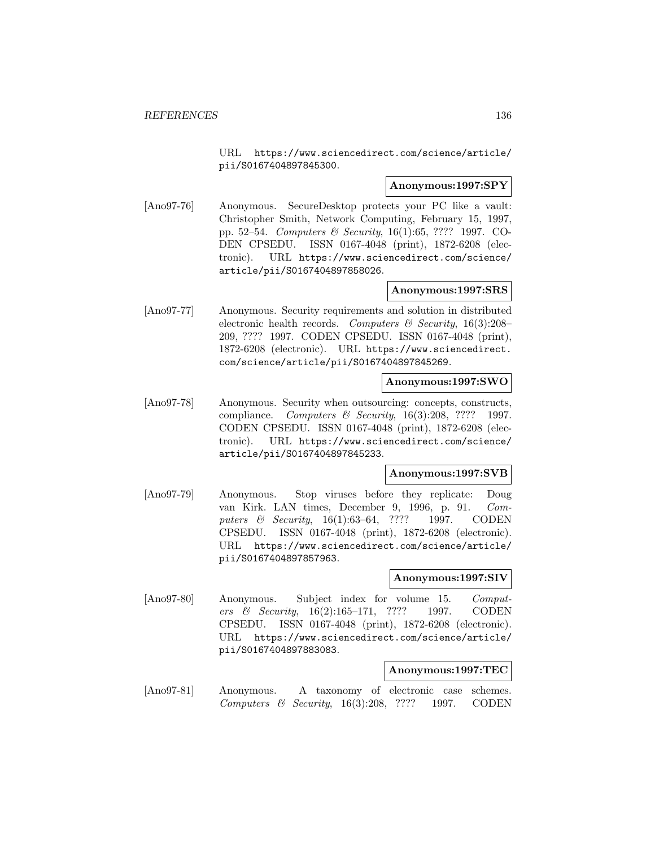URL https://www.sciencedirect.com/science/article/ pii/S0167404897845300.

# **Anonymous:1997:SPY**

[Ano97-76] Anonymous. SecureDesktop protects your PC like a vault: Christopher Smith, Network Computing, February 15, 1997, pp. 52–54. Computers & Security, 16(1):65, ???? 1997. CO-DEN CPSEDU. ISSN 0167-4048 (print), 1872-6208 (electronic). URL https://www.sciencedirect.com/science/ article/pii/S0167404897858026.

# **Anonymous:1997:SRS**

[Ano97-77] Anonymous. Security requirements and solution in distributed electronic health records. Computers  $\mathcal C$  Security, 16(3):208– 209, ???? 1997. CODEN CPSEDU. ISSN 0167-4048 (print), 1872-6208 (electronic). URL https://www.sciencedirect. com/science/article/pii/S0167404897845269.

### **Anonymous:1997:SWO**

[Ano97-78] Anonymous. Security when outsourcing: concepts, constructs, compliance. Computers & Security,  $16(3):208$ , ???? 1997. CODEN CPSEDU. ISSN 0167-4048 (print), 1872-6208 (electronic). URL https://www.sciencedirect.com/science/ article/pii/S0167404897845233.

#### **Anonymous:1997:SVB**

[Ano97-79] Anonymous. Stop viruses before they replicate: Doug van Kirk. LAN times, December 9, 1996, p. 91. Computers & Security, 16(1):63-64, ???? 1997. CODEN CPSEDU. ISSN 0167-4048 (print), 1872-6208 (electronic). URL https://www.sciencedirect.com/science/article/ pii/S0167404897857963.

#### **Anonymous:1997:SIV**

[Ano97-80] Anonymous. Subject index for volume 15. Computers & Security, 16(2):165–171, ???? 1997. CODEN CPSEDU. ISSN 0167-4048 (print), 1872-6208 (electronic). URL https://www.sciencedirect.com/science/article/ pii/S0167404897883083.

# **Anonymous:1997:TEC**

[Ano97-81] Anonymous. A taxonomy of electronic case schemes. Computers & Security, 16(3):208, ???? 1997. CODEN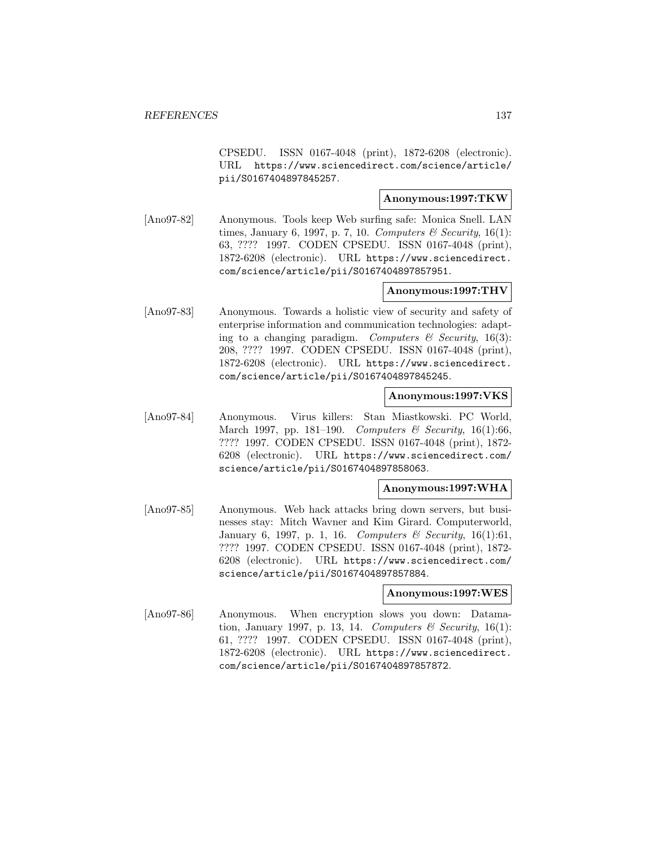CPSEDU. ISSN 0167-4048 (print), 1872-6208 (electronic). URL https://www.sciencedirect.com/science/article/ pii/S0167404897845257.

# **Anonymous:1997:TKW**

[Ano97-82] Anonymous. Tools keep Web surfing safe: Monica Snell. LAN times, January 6, 1997, p. 7, 10. Computers & Security, 16(1): 63, ???? 1997. CODEN CPSEDU. ISSN 0167-4048 (print), 1872-6208 (electronic). URL https://www.sciencedirect. com/science/article/pii/S0167404897857951.

# **Anonymous:1997:THV**

[Ano97-83] Anonymous. Towards a holistic view of security and safety of enterprise information and communication technologies: adapting to a changing paradigm. Computers  $\mathcal C$  Security, 16(3): 208, ???? 1997. CODEN CPSEDU. ISSN 0167-4048 (print), 1872-6208 (electronic). URL https://www.sciencedirect. com/science/article/pii/S0167404897845245.

# **Anonymous:1997:VKS**

[Ano97-84] Anonymous. Virus killers: Stan Miastkowski. PC World, March 1997, pp. 181–190. Computers & Security, 16(1):66, ???? 1997. CODEN CPSEDU. ISSN 0167-4048 (print), 1872- 6208 (electronic). URL https://www.sciencedirect.com/ science/article/pii/S0167404897858063.

## **Anonymous:1997:WHA**

[Ano97-85] Anonymous. Web hack attacks bring down servers, but businesses stay: Mitch Wavner and Kim Girard. Computerworld, January 6, 1997, p. 1, 16. Computers & Security, 16(1):61, ???? 1997. CODEN CPSEDU. ISSN 0167-4048 (print), 1872- 6208 (electronic). URL https://www.sciencedirect.com/ science/article/pii/S0167404897857884.

## **Anonymous:1997:WES**

[Ano97-86] Anonymous. When encryption slows you down: Datamation, January 1997, p. 13, 14. Computers  $\mathcal{B}$  Security, 16(1): 61, ???? 1997. CODEN CPSEDU. ISSN 0167-4048 (print), 1872-6208 (electronic). URL https://www.sciencedirect. com/science/article/pii/S0167404897857872.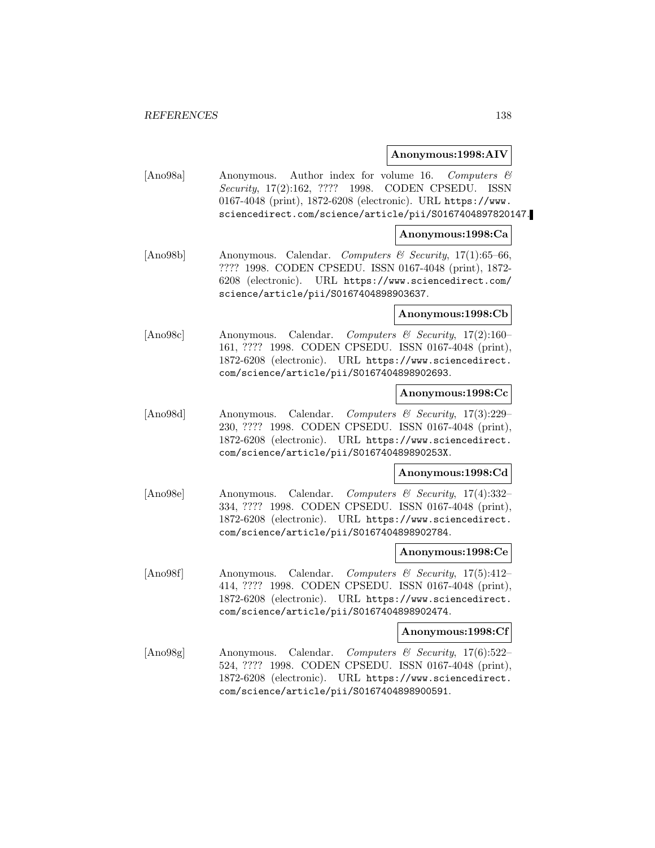### **Anonymous:1998:AIV**

[Ano98a] Anonymous. Author index for volume 16. Computers & Security, 17(2):162, ???? 1998. CODEN CPSEDU. ISSN 0167-4048 (print), 1872-6208 (electronic). URL https://www. sciencedirect.com/science/article/pii/S0167404897820147.

### **Anonymous:1998:Ca**

[Ano98b] Anonymous. Calendar. Computers & Security, 17(1):65–66, ???? 1998. CODEN CPSEDU. ISSN 0167-4048 (print), 1872- 6208 (electronic). URL https://www.sciencedirect.com/ science/article/pii/S0167404898903637.

### **Anonymous:1998:Cb**

[Ano98c] Anonymous. Calendar. Computers & Security, 17(2):160– 161, ???? 1998. CODEN CPSEDU. ISSN 0167-4048 (print), 1872-6208 (electronic). URL https://www.sciencedirect. com/science/article/pii/S0167404898902693.

### **Anonymous:1998:Cc**

[Ano98d] Anonymous. Calendar. Computers & Security, 17(3):229– 230, ???? 1998. CODEN CPSEDU. ISSN 0167-4048 (print), 1872-6208 (electronic). URL https://www.sciencedirect. com/science/article/pii/S016740489890253X.

# **Anonymous:1998:Cd**

[Ano98e] Anonymous. Calendar. Computers & Security, 17(4):332– 334, ???? 1998. CODEN CPSEDU. ISSN 0167-4048 (print), 1872-6208 (electronic). URL https://www.sciencedirect. com/science/article/pii/S0167404898902784.

#### **Anonymous:1998:Ce**

[Ano98f] Anonymous. Calendar. Computers & Security, 17(5):412– 414, ???? 1998. CODEN CPSEDU. ISSN 0167-4048 (print), 1872-6208 (electronic). URL https://www.sciencedirect. com/science/article/pii/S0167404898902474.

#### **Anonymous:1998:Cf**

[Ano98g] Anonymous. Calendar. Computers & Security, 17(6):522– 524, ???? 1998. CODEN CPSEDU. ISSN 0167-4048 (print), 1872-6208 (electronic). URL https://www.sciencedirect. com/science/article/pii/S0167404898900591.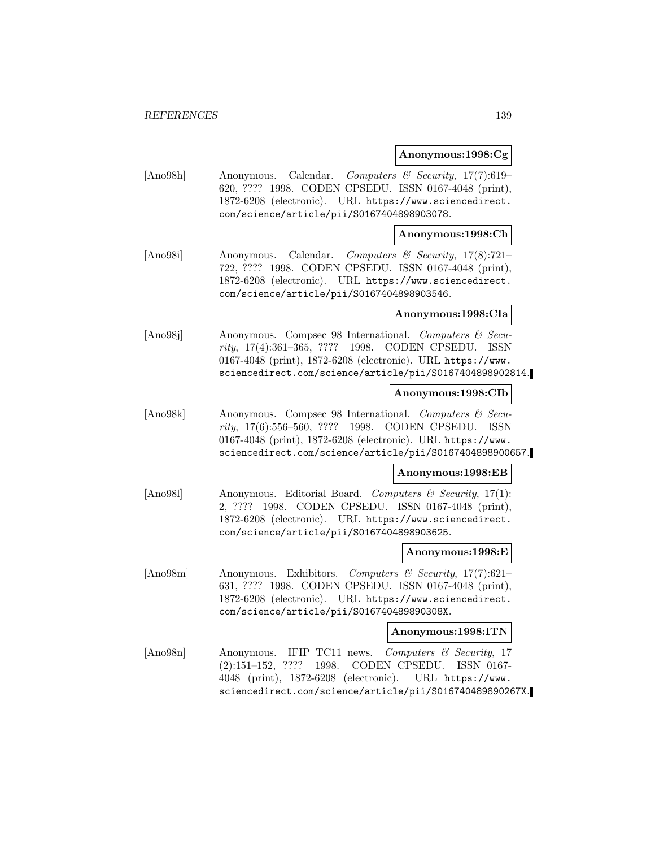### **Anonymous:1998:Cg**

[Ano98h] Anonymous. Calendar. Computers & Security, 17(7):619– 620, ???? 1998. CODEN CPSEDU. ISSN 0167-4048 (print), 1872-6208 (electronic). URL https://www.sciencedirect. com/science/article/pii/S0167404898903078.

## **Anonymous:1998:Ch**

[Ano98i] Anonymous. Calendar. Computers & Security, 17(8):721– 722, ???? 1998. CODEN CPSEDU. ISSN 0167-4048 (print), 1872-6208 (electronic). URL https://www.sciencedirect. com/science/article/pii/S0167404898903546.

#### **Anonymous:1998:CIa**

[Ano98j] Anonymous. Compsec 98 International. Computers & Security, 17(4):361–365, ???? 1998. CODEN CPSEDU. ISSN 0167-4048 (print), 1872-6208 (electronic). URL https://www. sciencedirect.com/science/article/pii/S0167404898902814.

## **Anonymous:1998:CIb**

[Ano98k] Anonymous. Compsec 98 International. Computers & Security, 17(6):556–560, ???? 1998. CODEN CPSEDU. ISSN 0167-4048 (print), 1872-6208 (electronic). URL https://www. sciencedirect.com/science/article/pii/S0167404898900657.

# **Anonymous:1998:EB**

[Ano981] Anonymous. Editorial Board. Computers & Security, 17(1): 2, ???? 1998. CODEN CPSEDU. ISSN 0167-4048 (print), 1872-6208 (electronic). URL https://www.sciencedirect. com/science/article/pii/S0167404898903625.

#### **Anonymous:1998:E**

[Ano98m] Anonymous. Exhibitors. Computers & Security, 17(7):621– 631, ???? 1998. CODEN CPSEDU. ISSN 0167-4048 (print), 1872-6208 (electronic). URL https://www.sciencedirect. com/science/article/pii/S016740489890308X.

#### **Anonymous:1998:ITN**

[Ano98n] Anonymous. IFIP TC11 news. Computers & Security, 17 (2):151–152, ???? 1998. CODEN CPSEDU. ISSN 0167- 4048 (print), 1872-6208 (electronic). URL https://www. sciencedirect.com/science/article/pii/S016740489890267X.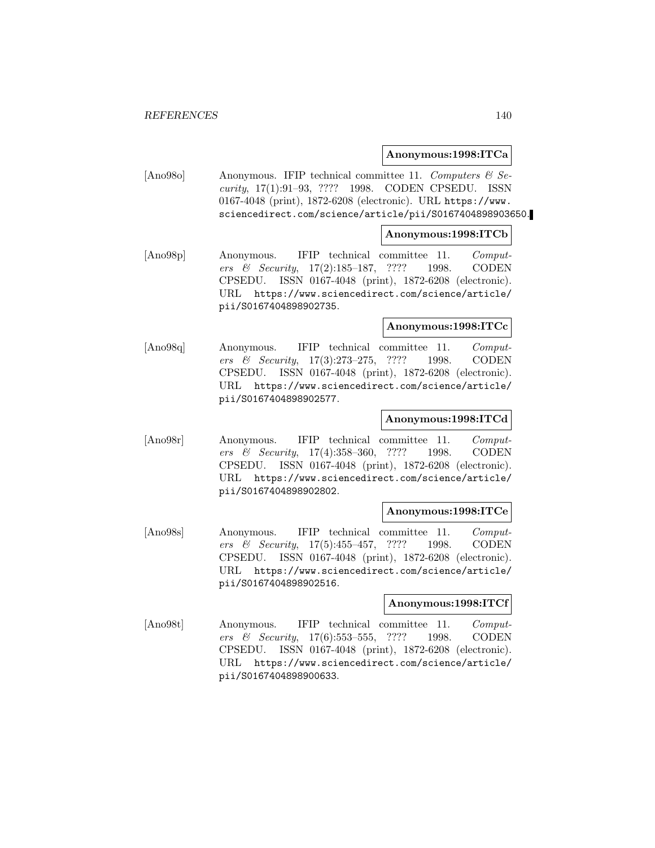# **Anonymous:1998:ITCa**

[Ano98o] Anonymous. IFIP technical committee 11. Computers  $\mathcal C$  Security, 17(1):91–93, ???? 1998. CODEN CPSEDU. ISSN 0167-4048 (print), 1872-6208 (electronic). URL https://www. sciencedirect.com/science/article/pii/S0167404898903650.

## **Anonymous:1998:ITCb**

[Ano98p] Anonymous. IFIP technical committee 11. Computers & Security, 17(2):185–187, ???? 1998. CODEN CPSEDU. ISSN 0167-4048 (print), 1872-6208 (electronic). URL https://www.sciencedirect.com/science/article/ pii/S0167404898902735.

### **Anonymous:1998:ITCc**

[Ano98q] Anonymous. IFIP technical committee 11. Computers & Security, 17(3):273–275, ???? 1998. CODEN CPSEDU. ISSN 0167-4048 (print), 1872-6208 (electronic). URL https://www.sciencedirect.com/science/article/ pii/S0167404898902577.

## **Anonymous:1998:ITCd**

[Ano98r] Anonymous. IFIP technical committee 11. Computers & Security, 17(4):358–360, ???? 1998. CODEN CPSEDU. ISSN 0167-4048 (print), 1872-6208 (electronic). URL https://www.sciencedirect.com/science/article/ pii/S0167404898902802.

# **Anonymous:1998:ITCe**

[Ano98s] Anonymous. IFIP technical committee 11. Computers & Security, 17(5):455–457, ???? 1998. CODEN CPSEDU. ISSN 0167-4048 (print), 1872-6208 (electronic). URL https://www.sciencedirect.com/science/article/ pii/S0167404898902516.

# **Anonymous:1998:ITCf**

[Ano98t] Anonymous. IFIP technical committee 11. Computers & Security, 17(6):553–555, ???? 1998. CODEN CPSEDU. ISSN 0167-4048 (print), 1872-6208 (electronic). URL https://www.sciencedirect.com/science/article/ pii/S0167404898900633.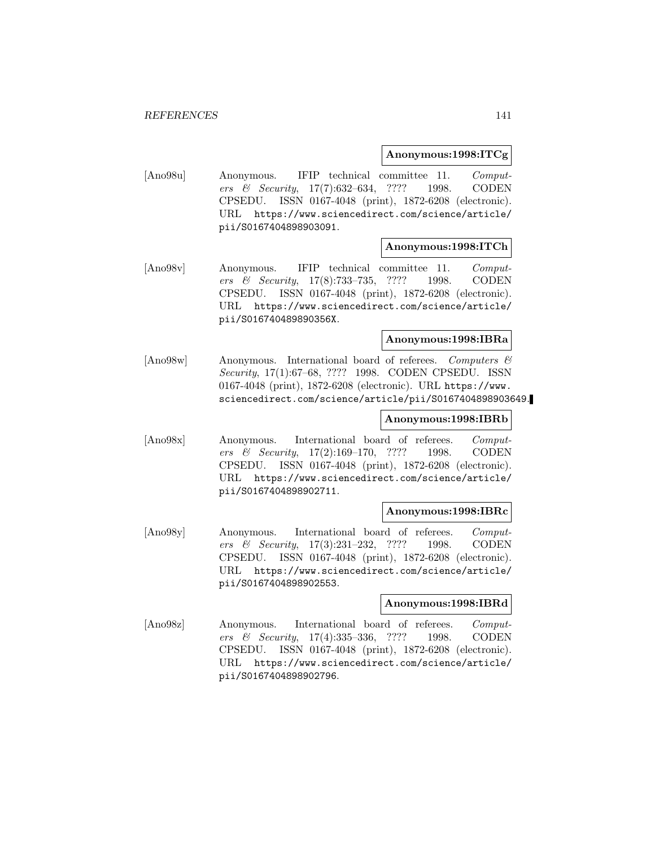# **Anonymous:1998:ITCg**

[Ano98u] Anonymous. IFIP technical committee 11. Computers & Security, 17(7):632–634, ???? 1998. CODEN CPSEDU. ISSN 0167-4048 (print), 1872-6208 (electronic). URL https://www.sciencedirect.com/science/article/ pii/S0167404898903091.

## **Anonymous:1998:ITCh**

[Ano98v] Anonymous. IFIP technical committee 11. Computers & Security, 17(8):733–735, ???? 1998. CODEN CPSEDU. ISSN 0167-4048 (print), 1872-6208 (electronic). URL https://www.sciencedirect.com/science/article/ pii/S016740489890356X.

# **Anonymous:1998:IBRa**

[Ano98w] Anonymous. International board of referees. Computers & Security, 17(1):67–68, ???? 1998. CODEN CPSEDU. ISSN 0167-4048 (print), 1872-6208 (electronic). URL https://www. sciencedirect.com/science/article/pii/S0167404898903649.

# **Anonymous:1998:IBRb**

[Ano98x] Anonymous. International board of referees. Computers & Security, 17(2):169–170, ???? 1998. CODEN CPSEDU. ISSN 0167-4048 (print), 1872-6208 (electronic). URL https://www.sciencedirect.com/science/article/ pii/S0167404898902711.

## **Anonymous:1998:IBRc**

[Ano98y] Anonymous. International board of referees. Computers & Security, 17(3):231–232, ???? 1998. CODEN CPSEDU. ISSN 0167-4048 (print), 1872-6208 (electronic). URL https://www.sciencedirect.com/science/article/ pii/S0167404898902553.

# **Anonymous:1998:IBRd**

[Ano98z] Anonymous. International board of referees. Computers & Security, 17(4):335–336, ???? 1998. CODEN CPSEDU. ISSN 0167-4048 (print), 1872-6208 (electronic). URL https://www.sciencedirect.com/science/article/ pii/S0167404898902796.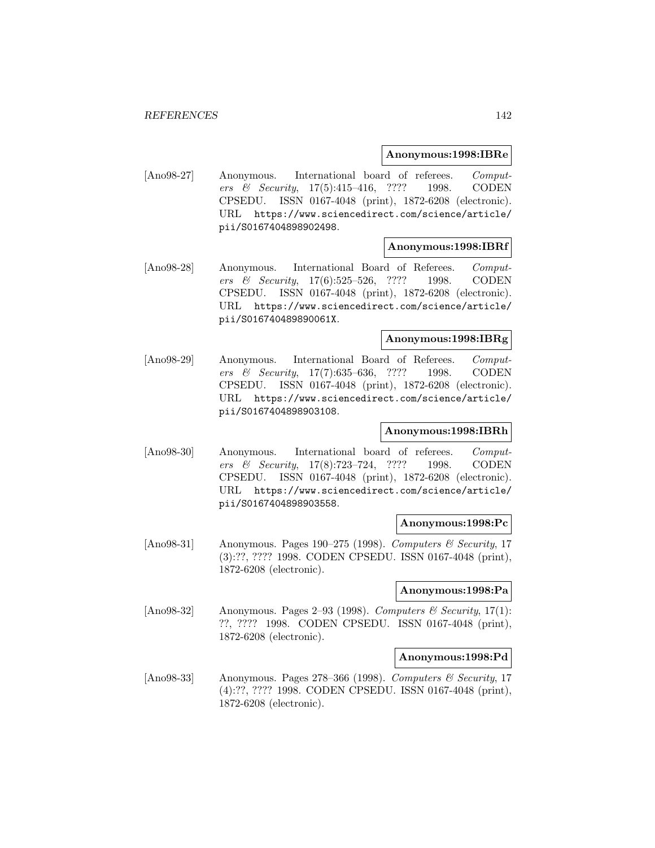## **Anonymous:1998:IBRe**

[Ano98-27] Anonymous. International board of referees. Computers & Security, 17(5):415–416, ???? 1998. CODEN CPSEDU. ISSN 0167-4048 (print), 1872-6208 (electronic). URL https://www.sciencedirect.com/science/article/ pii/S0167404898902498.

### **Anonymous:1998:IBRf**

[Ano98-28] Anonymous. International Board of Referees. Computers & Security, 17(6):525–526, ???? 1998. CODEN CPSEDU. ISSN 0167-4048 (print), 1872-6208 (electronic). URL https://www.sciencedirect.com/science/article/ pii/S016740489890061X.

## **Anonymous:1998:IBRg**

[Ano98-29] Anonymous. International Board of Referees. Computers & Security, 17(7):635–636, ???? 1998. CODEN CPSEDU. ISSN 0167-4048 (print), 1872-6208 (electronic). URL https://www.sciencedirect.com/science/article/ pii/S0167404898903108.

# **Anonymous:1998:IBRh**

[Ano98-30] Anonymous. International board of referees. Computers & Security, 17(8):723–724, ???? 1998. CODEN CPSEDU. ISSN 0167-4048 (print), 1872-6208 (electronic). URL https://www.sciencedirect.com/science/article/ pii/S0167404898903558.

## **Anonymous:1998:Pc**

[Ano98-31] Anonymous. Pages 190–275 (1998). Computers & Security, 17 (3):??, ???? 1998. CODEN CPSEDU. ISSN 0167-4048 (print), 1872-6208 (electronic).

#### **Anonymous:1998:Pa**

[Ano98-32] Anonymous. Pages 2–93 (1998). Computers & Security, 17(1): ??, ???? 1998. CODEN CPSEDU. ISSN 0167-4048 (print), 1872-6208 (electronic).

# **Anonymous:1998:Pd**

[Ano98-33] Anonymous. Pages 278–366 (1998). Computers & Security, 17 (4):??, ???? 1998. CODEN CPSEDU. ISSN 0167-4048 (print), 1872-6208 (electronic).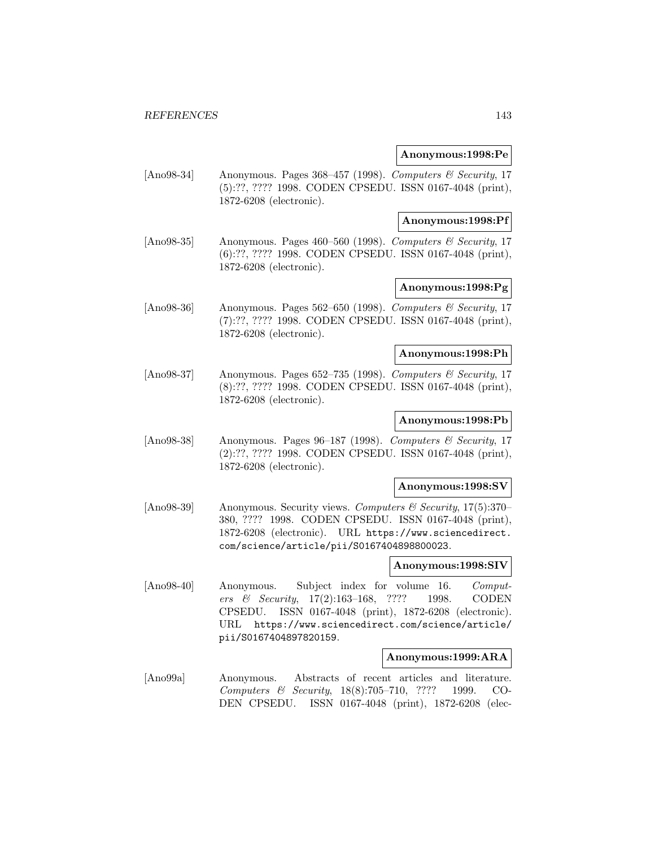### **Anonymous:1998:Pe**

[Ano98-34] Anonymous. Pages 368–457 (1998). Computers & Security, 17 (5):??, ???? 1998. CODEN CPSEDU. ISSN 0167-4048 (print), 1872-6208 (electronic).

## **Anonymous:1998:Pf**

[Ano98-35] Anonymous. Pages 460–560 (1998). Computers & Security, 17 (6):??, ???? 1998. CODEN CPSEDU. ISSN 0167-4048 (print), 1872-6208 (electronic).

# **Anonymous:1998:Pg**

[Ano98-36] Anonymous. Pages 562–650 (1998). Computers & Security, 17 (7):??, ???? 1998. CODEN CPSEDU. ISSN 0167-4048 (print), 1872-6208 (electronic).

# **Anonymous:1998:Ph**

[Ano98-37] Anonymous. Pages 652–735 (1998). Computers & Security, 17 (8):??, ???? 1998. CODEN CPSEDU. ISSN 0167-4048 (print), 1872-6208 (electronic).

### **Anonymous:1998:Pb**

[Ano98-38] Anonymous. Pages 96–187 (1998). Computers & Security, 17 (2):??, ???? 1998. CODEN CPSEDU. ISSN 0167-4048 (print), 1872-6208 (electronic).

#### **Anonymous:1998:SV**

[Ano98-39] Anonymous. Security views. Computers & Security, 17(5):370– 380, ???? 1998. CODEN CPSEDU. ISSN 0167-4048 (print), 1872-6208 (electronic). URL https://www.sciencedirect. com/science/article/pii/S0167404898800023.

# **Anonymous:1998:SIV**

[Ano98-40] Anonymous. Subject index for volume 16. Computers & Security, 17(2):163–168, ???? 1998. CODEN CPSEDU. ISSN 0167-4048 (print), 1872-6208 (electronic). URL https://www.sciencedirect.com/science/article/ pii/S0167404897820159.

#### **Anonymous:1999:ARA**

[Ano99a] Anonymous. Abstracts of recent articles and literature. Computers & Security, 18(8):705–710, ???? 1999. CO-DEN CPSEDU. ISSN 0167-4048 (print), 1872-6208 (elec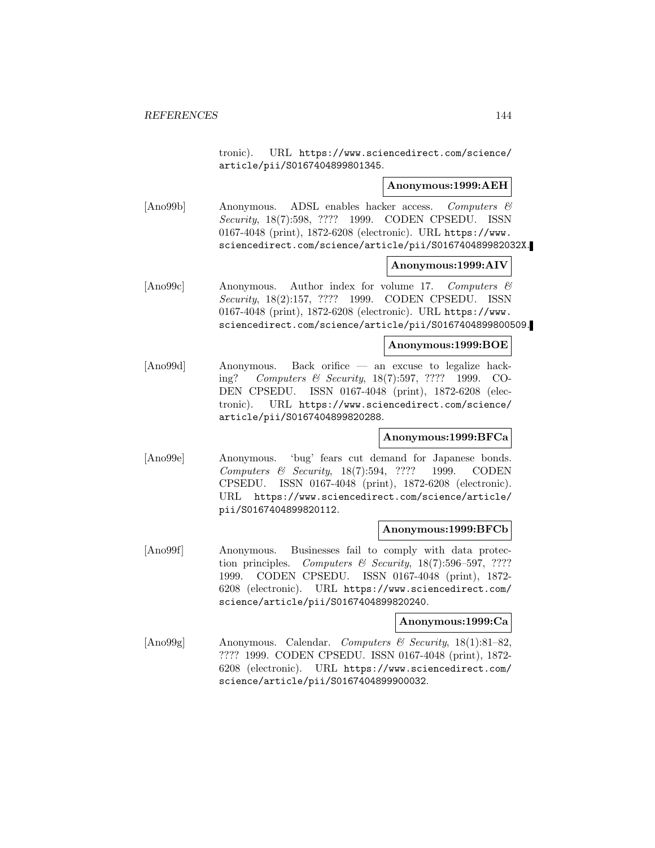tronic). URL https://www.sciencedirect.com/science/ article/pii/S0167404899801345.

### **Anonymous:1999:AEH**

[Ano99b] Anonymous. ADSL enables hacker access. Computers & Security, 18(7):598, ???? 1999. CODEN CPSEDU. ISSN 0167-4048 (print), 1872-6208 (electronic). URL https://www. sciencedirect.com/science/article/pii/S016740489982032X.

## **Anonymous:1999:AIV**

[Ano99c] Anonymous. Author index for volume 17. Computers & Security, 18(2):157, ???? 1999. CODEN CPSEDU. ISSN 0167-4048 (print), 1872-6208 (electronic). URL https://www. sciencedirect.com/science/article/pii/S0167404899800509.

### **Anonymous:1999:BOE**

[Ano99d] Anonymous. Back orifice — an excuse to legalize hacking? Computers & Security, 18(7):597, ???? 1999. CO-DEN CPSEDU. ISSN 0167-4048 (print), 1872-6208 (electronic). URL https://www.sciencedirect.com/science/ article/pii/S0167404899820288.

# **Anonymous:1999:BFCa**

[Ano99e] Anonymous. 'bug' fears cut demand for Japanese bonds. Computers & Security, 18(7):594, ???? 1999. CODEN CPSEDU. ISSN 0167-4048 (print), 1872-6208 (electronic). URL https://www.sciencedirect.com/science/article/ pii/S0167404899820112.

# **Anonymous:1999:BFCb**

[Ano99f] Anonymous. Businesses fail to comply with data protection principles. Computers & Security,  $18(7):596-597, ????$ 1999. CODEN CPSEDU. ISSN 0167-4048 (print), 1872- 6208 (electronic). URL https://www.sciencedirect.com/ science/article/pii/S0167404899820240.

#### **Anonymous:1999:Ca**

[Ano99g] Anonymous. Calendar. Computers & Security, 18(1):81–82, ???? 1999. CODEN CPSEDU. ISSN 0167-4048 (print), 1872- 6208 (electronic). URL https://www.sciencedirect.com/ science/article/pii/S0167404899900032.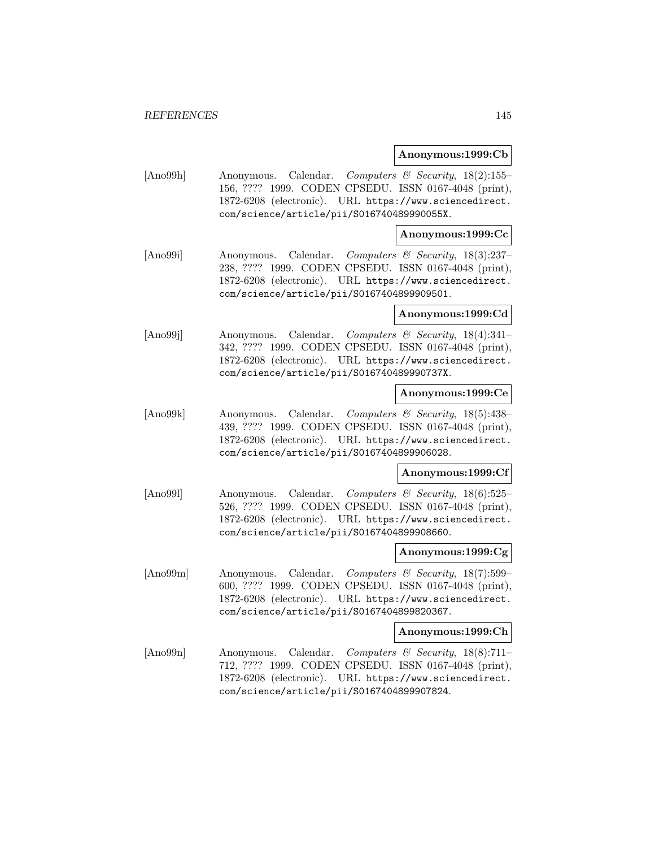## **Anonymous:1999:Cb**

[Ano99h] Anonymous. Calendar. Computers & Security, 18(2):155– 156, ???? 1999. CODEN CPSEDU. ISSN 0167-4048 (print), 1872-6208 (electronic). URL https://www.sciencedirect. com/science/article/pii/S016740489990055X.

# **Anonymous:1999:Cc**

[Ano99i] Anonymous. Calendar. Computers & Security, 18(3):237– 238, ???? 1999. CODEN CPSEDU. ISSN 0167-4048 (print), 1872-6208 (electronic). URL https://www.sciencedirect. com/science/article/pii/S0167404899909501.

## **Anonymous:1999:Cd**

[Ano99j] Anonymous. Calendar. Computers & Security, 18(4):341– 342, ???? 1999. CODEN CPSEDU. ISSN 0167-4048 (print), 1872-6208 (electronic). URL https://www.sciencedirect. com/science/article/pii/S016740489990737X.

## **Anonymous:1999:Ce**

[Ano99k] Anonymous. Calendar. Computers & Security, 18(5):438– 439, ???? 1999. CODEN CPSEDU. ISSN 0167-4048 (print), 1872-6208 (electronic). URL https://www.sciencedirect. com/science/article/pii/S0167404899906028.

### **Anonymous:1999:Cf**

[Ano99l] Anonymous. Calendar. Computers & Security, 18(6):525– 526, ???? 1999. CODEN CPSEDU. ISSN 0167-4048 (print), 1872-6208 (electronic). URL https://www.sciencedirect. com/science/article/pii/S0167404899908660.

## **Anonymous:1999:Cg**

[Ano99m] Anonymous. Calendar. Computers & Security, 18(7):599– 600, ???? 1999. CODEN CPSEDU. ISSN 0167-4048 (print), 1872-6208 (electronic). URL https://www.sciencedirect. com/science/article/pii/S0167404899820367.

### **Anonymous:1999:Ch**

[Ano99n] Anonymous. Calendar. Computers & Security, 18(8):711– 712, ???? 1999. CODEN CPSEDU. ISSN 0167-4048 (print), 1872-6208 (electronic). URL https://www.sciencedirect. com/science/article/pii/S0167404899907824.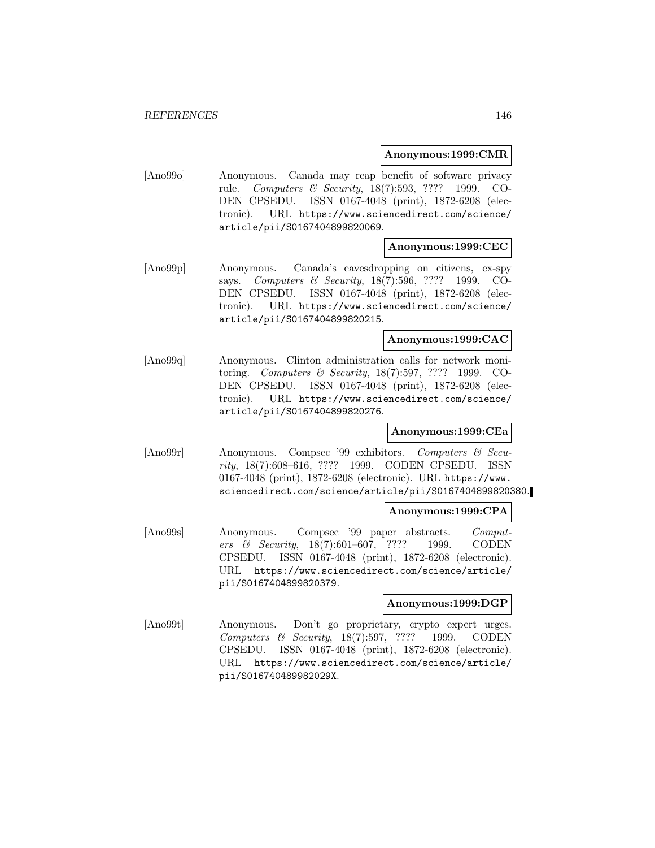## **Anonymous:1999:CMR**

[Ano99o] Anonymous. Canada may reap benefit of software privacy rule. Computers & Security, 18(7):593, ???? 1999. CO-DEN CPSEDU. ISSN 0167-4048 (print), 1872-6208 (electronic). URL https://www.sciencedirect.com/science/ article/pii/S0167404899820069.

# **Anonymous:1999:CEC**

[Ano99p] Anonymous. Canada's eavesdropping on citizens, ex-spy says. Computers & Security, 18(7):596, ???? 1999. CO-DEN CPSEDU. ISSN 0167-4048 (print), 1872-6208 (electronic). URL https://www.sciencedirect.com/science/ article/pii/S0167404899820215.

## **Anonymous:1999:CAC**

[Ano99q] Anonymous. Clinton administration calls for network monitoring. Computers & Security, 18(7):597, ???? 1999. CO-DEN CPSEDU. ISSN 0167-4048 (print), 1872-6208 (electronic). URL https://www.sciencedirect.com/science/ article/pii/S0167404899820276.

# **Anonymous:1999:CEa**

[Ano99r] Anonymous. Compsec '99 exhibitors. Computers & Security, 18(7):608–616, ???? 1999. CODEN CPSEDU. ISSN 0167-4048 (print), 1872-6208 (electronic). URL https://www. sciencedirect.com/science/article/pii/S0167404899820380.

## **Anonymous:1999:CPA**

[Ano99s] Anonymous. Compsec '99 paper abstracts. Computers & Security, 18(7):601–607, ???? 1999. CODEN CPSEDU. ISSN 0167-4048 (print), 1872-6208 (electronic). URL https://www.sciencedirect.com/science/article/ pii/S0167404899820379.

# **Anonymous:1999:DGP**

[Ano99t] Anonymous. Don't go proprietary, crypto expert urges. Computers & Security, 18(7):597, ???? 1999. CODEN CPSEDU. ISSN 0167-4048 (print), 1872-6208 (electronic). URL https://www.sciencedirect.com/science/article/ pii/S016740489982029X.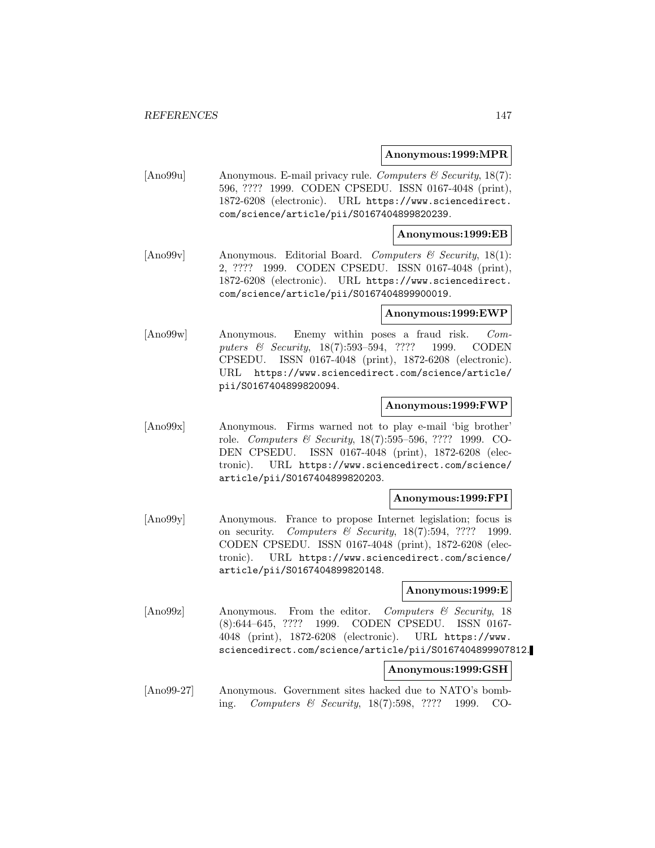### **Anonymous:1999:MPR**

[Ano99u] Anonymous. E-mail privacy rule. Computers & Security, 18(7): 596, ???? 1999. CODEN CPSEDU. ISSN 0167-4048 (print), 1872-6208 (electronic). URL https://www.sciencedirect. com/science/article/pii/S0167404899820239.

# **Anonymous:1999:EB**

[Ano99v] Anonymous. Editorial Board. Computers & Security, 18(1): 2, ???? 1999. CODEN CPSEDU. ISSN 0167-4048 (print), 1872-6208 (electronic). URL https://www.sciencedirect. com/science/article/pii/S0167404899900019.

### **Anonymous:1999:EWP**

[Ano99w] Anonymous. Enemy within poses a fraud risk. Computers & Security, 18(7):593–594, ???? 1999. CODEN CPSEDU. ISSN 0167-4048 (print), 1872-6208 (electronic). URL https://www.sciencedirect.com/science/article/ pii/S0167404899820094.

## **Anonymous:1999:FWP**

[Ano99x] Anonymous. Firms warned not to play e-mail 'big brother' role. Computers & Security, 18(7):595–596, ???? 1999. CO-DEN CPSEDU. ISSN 0167-4048 (print), 1872-6208 (electronic). URL https://www.sciencedirect.com/science/ article/pii/S0167404899820203.

# **Anonymous:1999:FPI**

[Ano99y] Anonymous. France to propose Internet legislation; focus is on security. Computers & Security,  $18(7):594$ , ???? 1999. CODEN CPSEDU. ISSN 0167-4048 (print), 1872-6208 (electronic). URL https://www.sciencedirect.com/science/ article/pii/S0167404899820148.

# **Anonymous:1999:E**

[Ano99z] Anonymous. From the editor. Computers & Security, 18 (8):644–645, ???? 1999. CODEN CPSEDU. ISSN 0167- 4048 (print), 1872-6208 (electronic). URL https://www. sciencedirect.com/science/article/pii/S0167404899907812.

# **Anonymous:1999:GSH**

[Ano99-27] Anonymous. Government sites hacked due to NATO's bombing. Computers & Security, 18(7):598, ???? 1999. CO-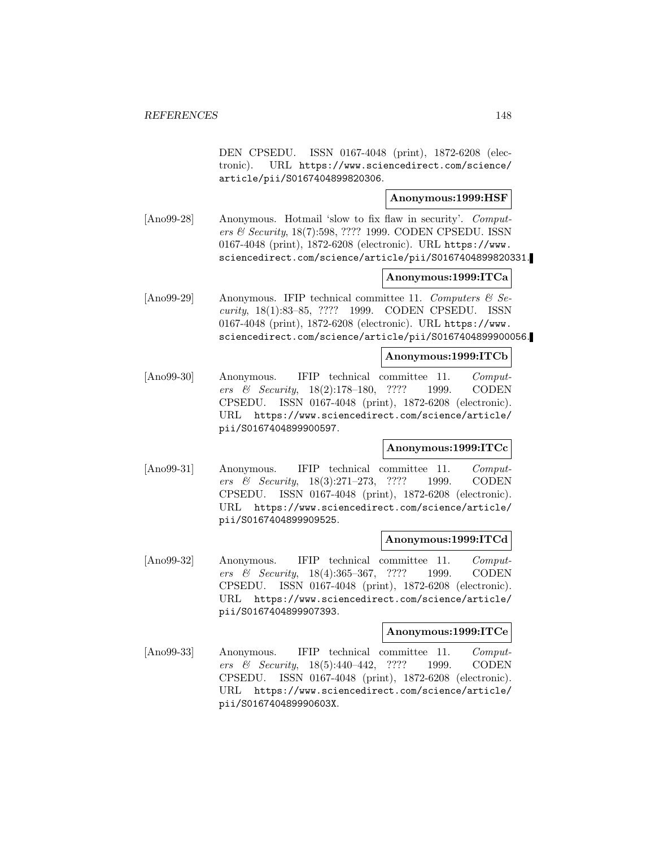DEN CPSEDU. ISSN 0167-4048 (print), 1872-6208 (electronic). URL https://www.sciencedirect.com/science/ article/pii/S0167404899820306.

# **Anonymous:1999:HSF**

[Ano99-28] Anonymous. Hotmail 'slow to fix flaw in security'. Computers & Security, 18(7):598, ???? 1999. CODEN CPSEDU. ISSN 0167-4048 (print), 1872-6208 (electronic). URL https://www. sciencedirect.com/science/article/pii/S0167404899820331.

# **Anonymous:1999:ITCa**

[Ano99-29] Anonymous. IFIP technical committee 11. Computers  $\mathcal{C}$  Security, 18(1):83–85, ???? 1999. CODEN CPSEDU. ISSN 0167-4048 (print), 1872-6208 (electronic). URL https://www. sciencedirect.com/science/article/pii/S0167404899900056.

# **Anonymous:1999:ITCb**

[Ano99-30] Anonymous. IFIP technical committee 11. Computers & Security, 18(2):178–180, ???? 1999. CODEN CPSEDU. ISSN 0167-4048 (print), 1872-6208 (electronic). URL https://www.sciencedirect.com/science/article/ pii/S0167404899900597.

# **Anonymous:1999:ITCc**

[Ano99-31] Anonymous. IFIP technical committee 11. Computers & Security, 18(3):271–273, ???? 1999. CODEN CPSEDU. ISSN 0167-4048 (print), 1872-6208 (electronic). URL https://www.sciencedirect.com/science/article/ pii/S0167404899909525.

### **Anonymous:1999:ITCd**

[Ano99-32] Anonymous. IFIP technical committee 11. Computers & Security, 18(4):365–367, ???? 1999. CODEN CPSEDU. ISSN 0167-4048 (print), 1872-6208 (electronic). URL https://www.sciencedirect.com/science/article/ pii/S0167404899907393.

### **Anonymous:1999:ITCe**

[Ano99-33] Anonymous. IFIP technical committee 11. Computers & Security, 18(5):440–442, ???? 1999. CODEN CPSEDU. ISSN 0167-4048 (print), 1872-6208 (electronic). URL https://www.sciencedirect.com/science/article/ pii/S016740489990603X.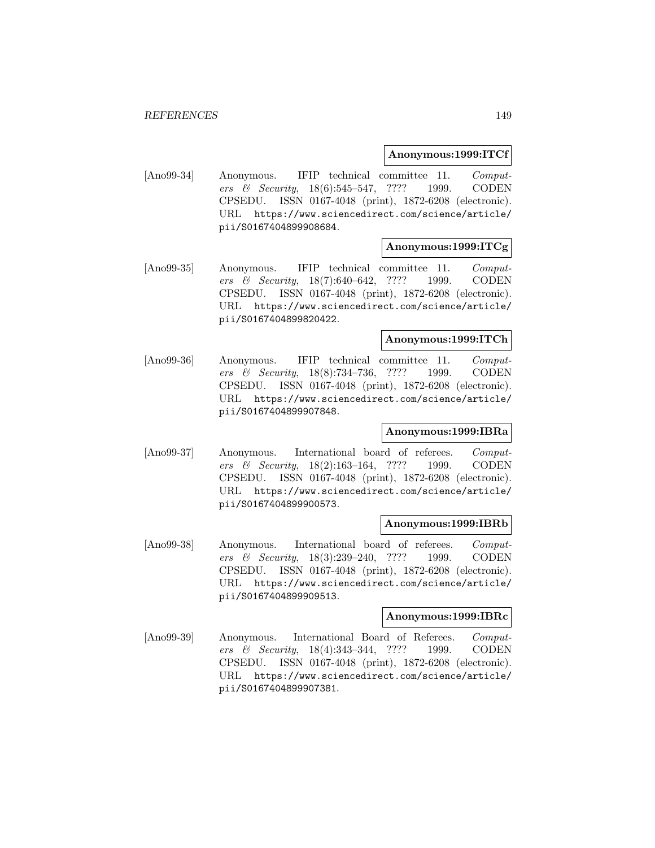## **Anonymous:1999:ITCf**

[Ano99-34] Anonymous. IFIP technical committee 11. Computers & Security, 18(6):545–547, ???? 1999. CODEN CPSEDU. ISSN 0167-4048 (print), 1872-6208 (electronic). URL https://www.sciencedirect.com/science/article/ pii/S0167404899908684.

# **Anonymous:1999:ITCg**

[Ano99-35] Anonymous. IFIP technical committee 11. Computers & Security, 18(7):640–642, ???? 1999. CODEN CPSEDU. ISSN 0167-4048 (print), 1872-6208 (electronic). URL https://www.sciencedirect.com/science/article/ pii/S0167404899820422.

## **Anonymous:1999:ITCh**

[Ano99-36] Anonymous. IFIP technical committee 11. Computers & Security, 18(8):734–736, ???? 1999. CODEN CPSEDU. ISSN 0167-4048 (print), 1872-6208 (electronic). URL https://www.sciencedirect.com/science/article/ pii/S0167404899907848.

# **Anonymous:1999:IBRa**

[Ano99-37] Anonymous. International board of referees. Computers & Security, 18(2):163–164, ???? 1999. CODEN CPSEDU. ISSN 0167-4048 (print), 1872-6208 (electronic). URL https://www.sciencedirect.com/science/article/ pii/S0167404899900573.

## **Anonymous:1999:IBRb**

[Ano99-38] Anonymous. International board of referees. Computers & Security, 18(3):239–240, ???? 1999. CODEN CPSEDU. ISSN 0167-4048 (print), 1872-6208 (electronic). URL https://www.sciencedirect.com/science/article/ pii/S0167404899909513.

# **Anonymous:1999:IBRc**

[Ano99-39] Anonymous. International Board of Referees. Computers & Security, 18(4):343–344, ???? 1999. CODEN CPSEDU. ISSN 0167-4048 (print), 1872-6208 (electronic). URL https://www.sciencedirect.com/science/article/ pii/S0167404899907381.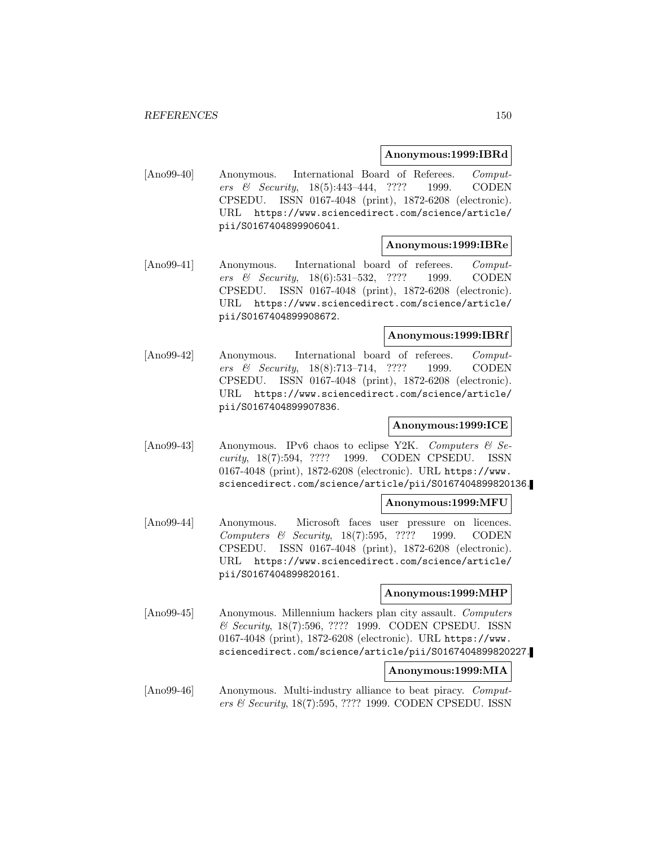## **Anonymous:1999:IBRd**

[Ano99-40] Anonymous. International Board of Referees. Computers & Security, 18(5):443–444, ???? 1999. CODEN CPSEDU. ISSN 0167-4048 (print), 1872-6208 (electronic). URL https://www.sciencedirect.com/science/article/ pii/S0167404899906041.

#### **Anonymous:1999:IBRe**

[Ano99-41] Anonymous. International board of referees. Computers & Security, 18(6):531–532, ???? 1999. CODEN CPSEDU. ISSN 0167-4048 (print), 1872-6208 (electronic). URL https://www.sciencedirect.com/science/article/ pii/S0167404899908672.

## **Anonymous:1999:IBRf**

[Ano99-42] Anonymous. International board of referees. Computers & Security, 18(8):713–714, ???? 1999. CODEN CPSEDU. ISSN 0167-4048 (print), 1872-6208 (electronic). URL https://www.sciencedirect.com/science/article/ pii/S0167404899907836.

# **Anonymous:1999:ICE**

[Ano99-43] Anonymous. IPv6 chaos to eclipse Y2K. Computers  $\mathcal{B}$  Security, 18(7):594, ???? 1999. CODEN CPSEDU. ISSN 0167-4048 (print), 1872-6208 (electronic). URL https://www. sciencedirect.com/science/article/pii/S0167404899820136.

### **Anonymous:1999:MFU**

[Ano99-44] Anonymous. Microsoft faces user pressure on licences. Computers & Security, 18(7):595, ???? 1999. CODEN CPSEDU. ISSN 0167-4048 (print), 1872-6208 (electronic). URL https://www.sciencedirect.com/science/article/ pii/S0167404899820161.

### **Anonymous:1999:MHP**

[Ano99-45] Anonymous. Millennium hackers plan city assault. Computers & Security, 18(7):596, ???? 1999. CODEN CPSEDU. ISSN 0167-4048 (print), 1872-6208 (electronic). URL https://www. sciencedirect.com/science/article/pii/S0167404899820227.

### **Anonymous:1999:MIA**

[Ano99-46] Anonymous. Multi-industry alliance to beat piracy. Computers & Security, 18(7):595, ???? 1999. CODEN CPSEDU. ISSN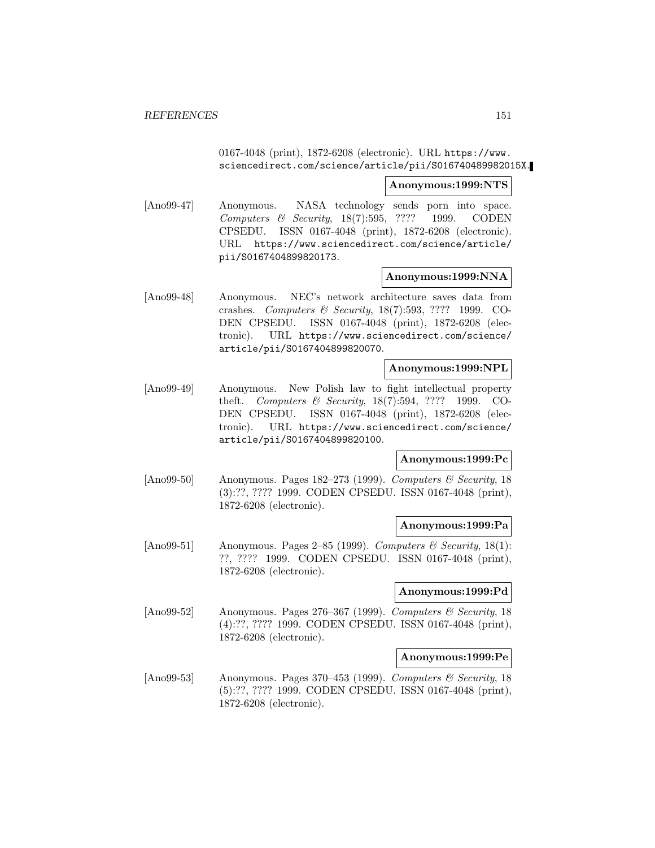0167-4048 (print), 1872-6208 (electronic). URL https://www. sciencedirect.com/science/article/pii/S016740489982015X.

**Anonymous:1999:NTS**

[Ano99-47] Anonymous. NASA technology sends porn into space. Computers & Security, 18(7):595, ???? 1999. CODEN CPSEDU. ISSN 0167-4048 (print), 1872-6208 (electronic). URL https://www.sciencedirect.com/science/article/ pii/S0167404899820173.

### **Anonymous:1999:NNA**

[Ano99-48] Anonymous. NEC's network architecture saves data from crashes. Computers & Security, 18(7):593, ???? 1999. CO-DEN CPSEDU. ISSN 0167-4048 (print), 1872-6208 (electronic). URL https://www.sciencedirect.com/science/ article/pii/S0167404899820070.

## **Anonymous:1999:NPL**

[Ano99-49] Anonymous. New Polish law to fight intellectual property theft. Computers & Security, 18(7):594, ???? 1999. CO-DEN CPSEDU. ISSN 0167-4048 (print), 1872-6208 (electronic). URL https://www.sciencedirect.com/science/ article/pii/S0167404899820100.

## **Anonymous:1999:Pc**

[Ano99-50] Anonymous. Pages 182–273 (1999). Computers & Security, 18 (3):??, ???? 1999. CODEN CPSEDU. ISSN 0167-4048 (print), 1872-6208 (electronic).

### **Anonymous:1999:Pa**

[Ano99-51] Anonymous. Pages 2–85 (1999). Computers & Security, 18(1): ??, ???? 1999. CODEN CPSEDU. ISSN 0167-4048 (print), 1872-6208 (electronic).

### **Anonymous:1999:Pd**

[Ano99-52] Anonymous. Pages 276–367 (1999). Computers & Security, 18 (4):??, ???? 1999. CODEN CPSEDU. ISSN 0167-4048 (print), 1872-6208 (electronic).

### **Anonymous:1999:Pe**

[Ano99-53] Anonymous. Pages 370–453 (1999). Computers & Security, 18 (5):??, ???? 1999. CODEN CPSEDU. ISSN 0167-4048 (print), 1872-6208 (electronic).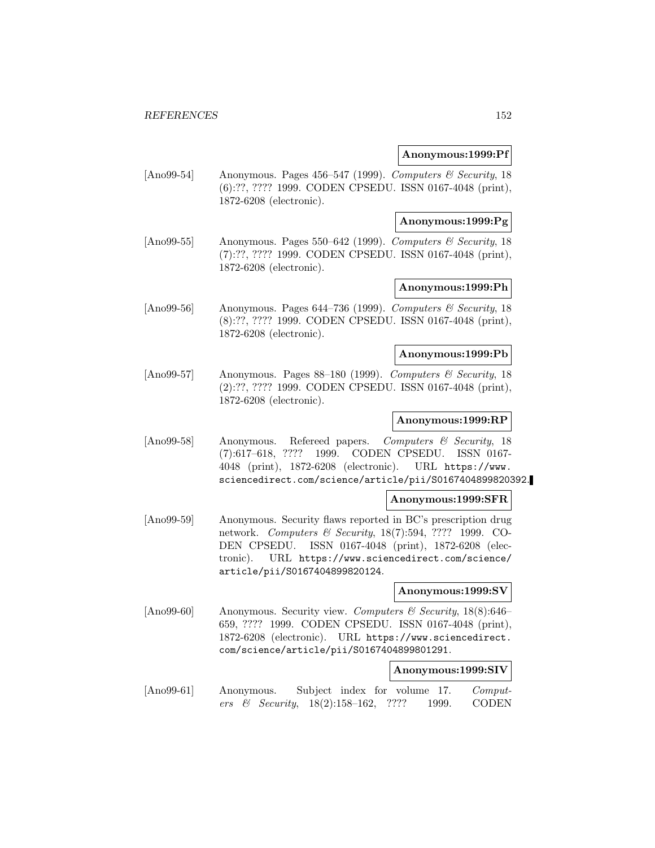## **Anonymous:1999:Pf**

[Ano99-54] Anonymous. Pages 456–547 (1999). Computers & Security, 18 (6):??, ???? 1999. CODEN CPSEDU. ISSN 0167-4048 (print), 1872-6208 (electronic).

# **Anonymous:1999:Pg**

[Ano99-55] Anonymous. Pages 550–642 (1999). Computers & Security, 18 (7):??, ???? 1999. CODEN CPSEDU. ISSN 0167-4048 (print), 1872-6208 (electronic).

# **Anonymous:1999:Ph**

[Ano99-56] Anonymous. Pages 644–736 (1999). Computers & Security, 18 (8):??, ???? 1999. CODEN CPSEDU. ISSN 0167-4048 (print), 1872-6208 (electronic).

# **Anonymous:1999:Pb**

[Ano99-57] Anonymous. Pages 88–180 (1999). Computers  $\mathcal C$  Security, 18 (2):??, ???? 1999. CODEN CPSEDU. ISSN 0167-4048 (print), 1872-6208 (electronic).

### **Anonymous:1999:RP**

[Ano99-58] Anonymous. Refereed papers. Computers & Security, 18 (7):617–618, ???? 1999. CODEN CPSEDU. ISSN 0167- 4048 (print), 1872-6208 (electronic). URL https://www. sciencedirect.com/science/article/pii/S0167404899820392.

### **Anonymous:1999:SFR**

[Ano99-59] Anonymous. Security flaws reported in BC's prescription drug network. *Computers & Security*, 18(7):594, ???? 1999. CO-DEN CPSEDU. ISSN 0167-4048 (print), 1872-6208 (electronic). URL https://www.sciencedirect.com/science/ article/pii/S0167404899820124.

## **Anonymous:1999:SV**

[Ano99-60] Anonymous. Security view. Computers & Security, 18(8):646– 659, ???? 1999. CODEN CPSEDU. ISSN 0167-4048 (print), 1872-6208 (electronic). URL https://www.sciencedirect. com/science/article/pii/S0167404899801291.

# **Anonymous:1999:SIV**

[Ano99-61] Anonymous. Subject index for volume 17. Computers & Security, 18(2):158–162, ???? 1999. CODEN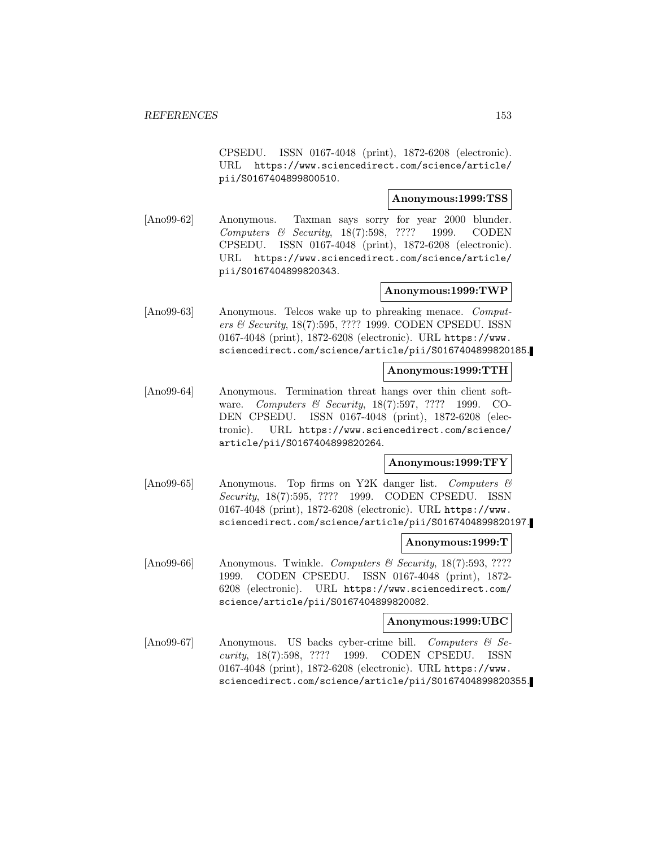CPSEDU. ISSN 0167-4048 (print), 1872-6208 (electronic). URL https://www.sciencedirect.com/science/article/ pii/S0167404899800510.

# **Anonymous:1999:TSS**

[Ano99-62] Anonymous. Taxman says sorry for year 2000 blunder. Computers & Security, 18(7):598, ???? 1999. CODEN CPSEDU. ISSN 0167-4048 (print), 1872-6208 (electronic). URL https://www.sciencedirect.com/science/article/ pii/S0167404899820343.

# **Anonymous:1999:TWP**

[Ano99-63] Anonymous. Telcos wake up to phreaking menace. Computers & Security, 18(7):595, ???? 1999. CODEN CPSEDU. ISSN 0167-4048 (print), 1872-6208 (electronic). URL https://www. sciencedirect.com/science/article/pii/S0167404899820185.

# **Anonymous:1999:TTH**

[Ano99-64] Anonymous. Termination threat hangs over thin client software. *Computers & Security*, 18(7):597, ???? 1999. CO-DEN CPSEDU. ISSN 0167-4048 (print), 1872-6208 (electronic). URL https://www.sciencedirect.com/science/ article/pii/S0167404899820264.

# **Anonymous:1999:TFY**

[Ano99-65] Anonymous. Top firms on Y2K danger list. Computers & Security, 18(7):595, ???? 1999. CODEN CPSEDU. ISSN 0167-4048 (print), 1872-6208 (electronic). URL https://www. sciencedirect.com/science/article/pii/S0167404899820197.

# **Anonymous:1999:T**

[Ano99-66] Anonymous. Twinkle. Computers & Security, 18(7):593, ???? 1999. CODEN CPSEDU. ISSN 0167-4048 (print), 1872- 6208 (electronic). URL https://www.sciencedirect.com/ science/article/pii/S0167404899820082.

# **Anonymous:1999:UBC**

[Ano99-67] Anonymous. US backs cyber-crime bill. Computers & Security, 18(7):598, ???? 1999. CODEN CPSEDU. ISSN 0167-4048 (print), 1872-6208 (electronic). URL https://www. sciencedirect.com/science/article/pii/S0167404899820355.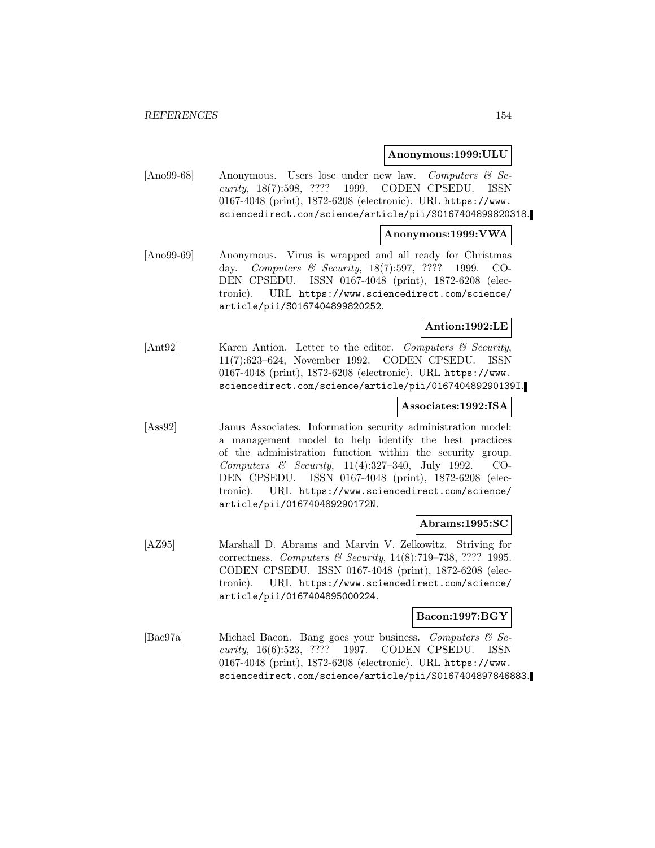## **Anonymous:1999:ULU**

[Ano99-68] Anonymous. Users lose under new law. Computers & Security, 18(7):598, ???? 1999. CODEN CPSEDU. ISSN 0167-4048 (print), 1872-6208 (electronic). URL https://www. sciencedirect.com/science/article/pii/S0167404899820318.

# **Anonymous:1999:VWA**

[Ano99-69] Anonymous. Virus is wrapped and all ready for Christmas day. Computers & Security, 18(7):597, ???? 1999. CO-DEN CPSEDU. ISSN 0167-4048 (print), 1872-6208 (electronic). URL https://www.sciencedirect.com/science/ article/pii/S0167404899820252.

# **Antion:1992:LE**

[Ant92] Karen Antion. Letter to the editor. Computers & Security, 11(7):623–624, November 1992. CODEN CPSEDU. ISSN 0167-4048 (print), 1872-6208 (electronic). URL https://www. sciencedirect.com/science/article/pii/016740489290139I.

### **Associates:1992:ISA**

[Ass92] Janus Associates. Information security administration model: a management model to help identify the best practices of the administration function within the security group. Computers & Security, 11(4):327–340, July 1992. CO-DEN CPSEDU. ISSN 0167-4048 (print), 1872-6208 (electronic). URL https://www.sciencedirect.com/science/ article/pii/016740489290172N.

### **Abrams:1995:SC**

[AZ95] Marshall D. Abrams and Marvin V. Zelkowitz. Striving for correctness. Computers & Security, 14(8):719–738, ???? 1995. CODEN CPSEDU. ISSN 0167-4048 (print), 1872-6208 (electronic). URL https://www.sciencedirect.com/science/ article/pii/0167404895000224.

## **Bacon:1997:BGY**

[Bac97a] Michael Bacon. Bang goes your business. Computers & Security, 16(6):523, ???? 1997. CODEN CPSEDU. ISSN 0167-4048 (print), 1872-6208 (electronic). URL https://www. sciencedirect.com/science/article/pii/S0167404897846883.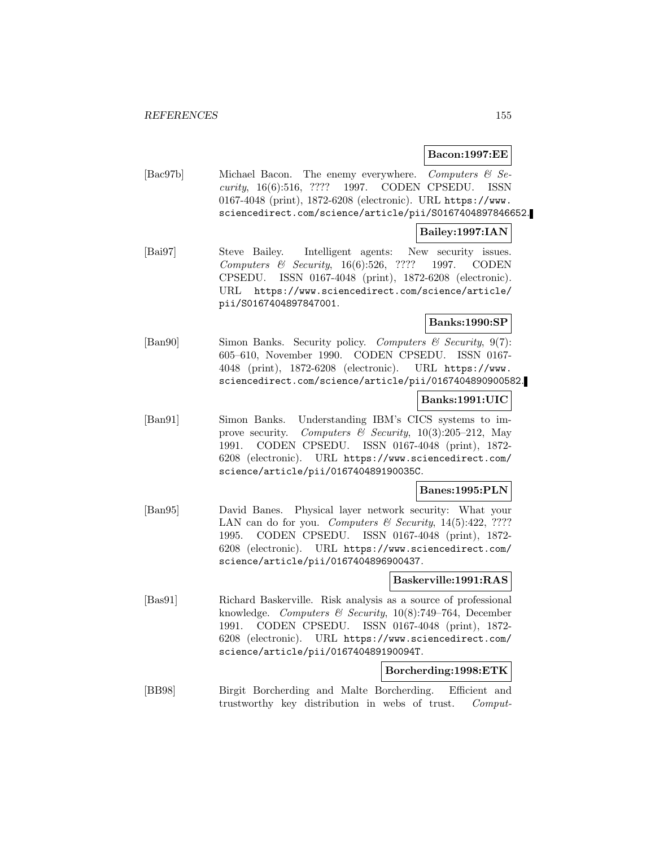**Bacon:1997:EE**

[Bac97b] Michael Bacon. The enemy everywhere. Computers & Security, 16(6):516, ???? 1997. CODEN CPSEDU. ISSN 0167-4048 (print), 1872-6208 (electronic). URL https://www. sciencedirect.com/science/article/pii/S0167404897846652.

# **Bailey:1997:IAN**

[Bai97] Steve Bailey. Intelligent agents: New security issues. Computers & Security, 16(6):526, ???? 1997. CODEN CPSEDU. ISSN 0167-4048 (print), 1872-6208 (electronic). URL https://www.sciencedirect.com/science/article/ pii/S0167404897847001.

**Banks:1990:SP**

[Ban90] Simon Banks. Security policy. Computers & Security, 9(7): 605–610, November 1990. CODEN CPSEDU. ISSN 0167- 4048 (print), 1872-6208 (electronic). URL https://www. sciencedirect.com/science/article/pii/0167404890900582.

# **Banks:1991:UIC**

[Ban91] Simon Banks. Understanding IBM's CICS systems to improve security. Computers  $\mathcal B$  Security, 10(3):205–212, May 1991. CODEN CPSEDU. ISSN 0167-4048 (print), 1872- 6208 (electronic). URL https://www.sciencedirect.com/ science/article/pii/016740489190035C.

### **Banes:1995:PLN**

[Ban95] David Banes. Physical layer network security: What your LAN can do for you. Computers & Security,  $14(5):422$ , ???? 1995. CODEN CPSEDU. ISSN 0167-4048 (print), 1872- 6208 (electronic). URL https://www.sciencedirect.com/ science/article/pii/0167404896900437.

# **Baskerville:1991:RAS**

[Bas91] Richard Baskerville. Risk analysis as a source of professional knowledge. Computers & Security, 10(8):749–764, December 1991. CODEN CPSEDU. ISSN 0167-4048 (print), 1872- 6208 (electronic). URL https://www.sciencedirect.com/ science/article/pii/016740489190094T.

## **Borcherding:1998:ETK**

[BB98] Birgit Borcherding and Malte Borcherding. Efficient and trustworthy key distribution in webs of trust. Comput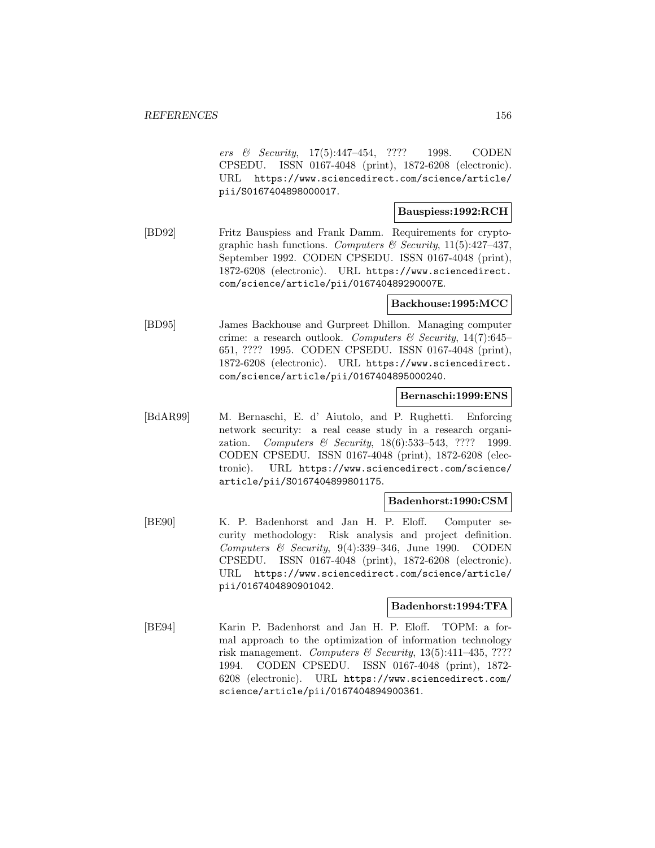ers & Security, 17(5):447–454, ???? 1998. CODEN CPSEDU. ISSN 0167-4048 (print), 1872-6208 (electronic). URL https://www.sciencedirect.com/science/article/ pii/S0167404898000017.

# **Bauspiess:1992:RCH**

[BD92] Fritz Bauspiess and Frank Damm. Requirements for cryptographic hash functions. Computers & Security,  $11(5):427-437$ , September 1992. CODEN CPSEDU. ISSN 0167-4048 (print), 1872-6208 (electronic). URL https://www.sciencedirect. com/science/article/pii/016740489290007E.

# **Backhouse:1995:MCC**

[BD95] James Backhouse and Gurpreet Dhillon. Managing computer crime: a research outlook. Computers  $\mathcal C$  Security, 14(7):645– 651, ???? 1995. CODEN CPSEDU. ISSN 0167-4048 (print), 1872-6208 (electronic). URL https://www.sciencedirect. com/science/article/pii/0167404895000240.

# **Bernaschi:1999:ENS**

[BdAR99] M. Bernaschi, E. d' Aiutolo, and P. Rughetti. Enforcing network security: a real cease study in a research organization. Computers & Security,  $18(6)$ :533-543, ???? 1999. CODEN CPSEDU. ISSN 0167-4048 (print), 1872-6208 (electronic). URL https://www.sciencedirect.com/science/ article/pii/S0167404899801175.

# **Badenhorst:1990:CSM**

[BE90] K. P. Badenhorst and Jan H. P. Eloff. Computer security methodology: Risk analysis and project definition. Computers  $\mathcal B$  Security, 9(4):339-346, June 1990. CODEN CPSEDU. ISSN 0167-4048 (print), 1872-6208 (electronic). URL https://www.sciencedirect.com/science/article/ pii/0167404890901042.

## **Badenhorst:1994:TFA**

[BE94] Karin P. Badenhorst and Jan H. P. Eloff. TOPM: a formal approach to the optimization of information technology risk management. Computers & Security,  $13(5):411-435$ , ???? 1994. CODEN CPSEDU. ISSN 0167-4048 (print), 1872- 6208 (electronic). URL https://www.sciencedirect.com/ science/article/pii/0167404894900361.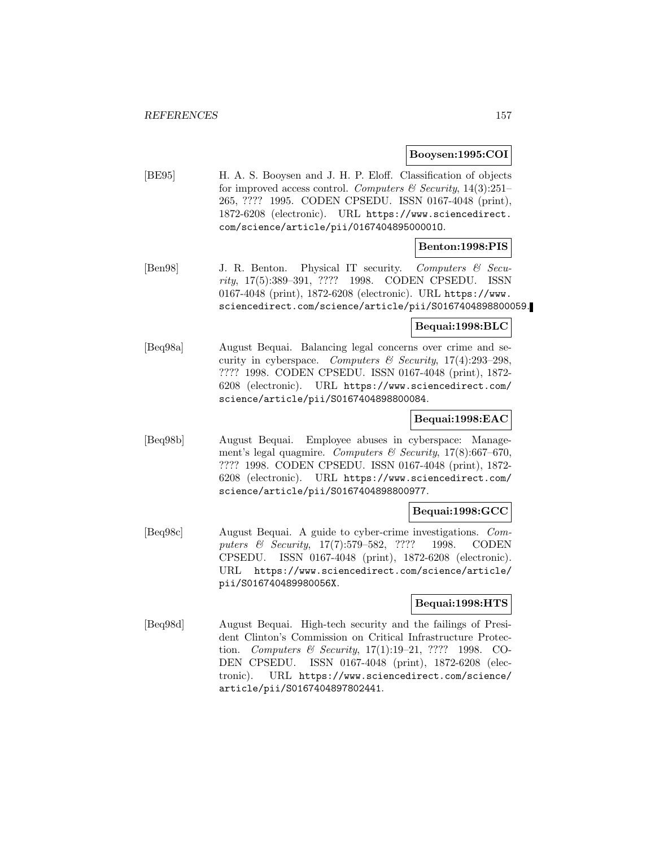## **Booysen:1995:COI**

[BE95] H. A. S. Booysen and J. H. P. Eloff. Classification of objects for improved access control. Computers & Security,  $14(3):251-$ 265, ???? 1995. CODEN CPSEDU. ISSN 0167-4048 (print), 1872-6208 (electronic). URL https://www.sciencedirect. com/science/article/pii/016740489500001O.

# **Benton:1998:PIS**

[Ben98] J. R. Benton. Physical IT security. Computers & Security, 17(5):389–391, ???? 1998. CODEN CPSEDU. ISSN 0167-4048 (print), 1872-6208 (electronic). URL https://www. sciencedirect.com/science/article/pii/S0167404898800059.

## **Bequai:1998:BLC**

[Beq98a] August Bequai. Balancing legal concerns over crime and security in cyberspace. Computers  $\mathcal{C}$  Security, 17(4):293-298, ???? 1998. CODEN CPSEDU. ISSN 0167-4048 (print), 1872- 6208 (electronic). URL https://www.sciencedirect.com/ science/article/pii/S0167404898800084.

# **Bequai:1998:EAC**

[Beq98b] August Bequai. Employee abuses in cyberspace: Management's legal quagmire. Computers & Security,  $17(8)$ :667-670, ???? 1998. CODEN CPSEDU. ISSN 0167-4048 (print), 1872- 6208 (electronic). URL https://www.sciencedirect.com/ science/article/pii/S0167404898800977.

## **Bequai:1998:GCC**

[Beq98c] August Bequai. A guide to cyber-crime investigations. Computers & Security, 17(7):579–582, ???? 1998. CODEN CPSEDU. ISSN 0167-4048 (print), 1872-6208 (electronic). URL https://www.sciencedirect.com/science/article/ pii/S016740489980056X.

# **Bequai:1998:HTS**

[Beq98d] August Bequai. High-tech security and the failings of President Clinton's Commission on Critical Infrastructure Protection. Computers & Security, 17(1):19–21, ???? 1998. CO-DEN CPSEDU. ISSN 0167-4048 (print), 1872-6208 (electronic). URL https://www.sciencedirect.com/science/ article/pii/S0167404897802441.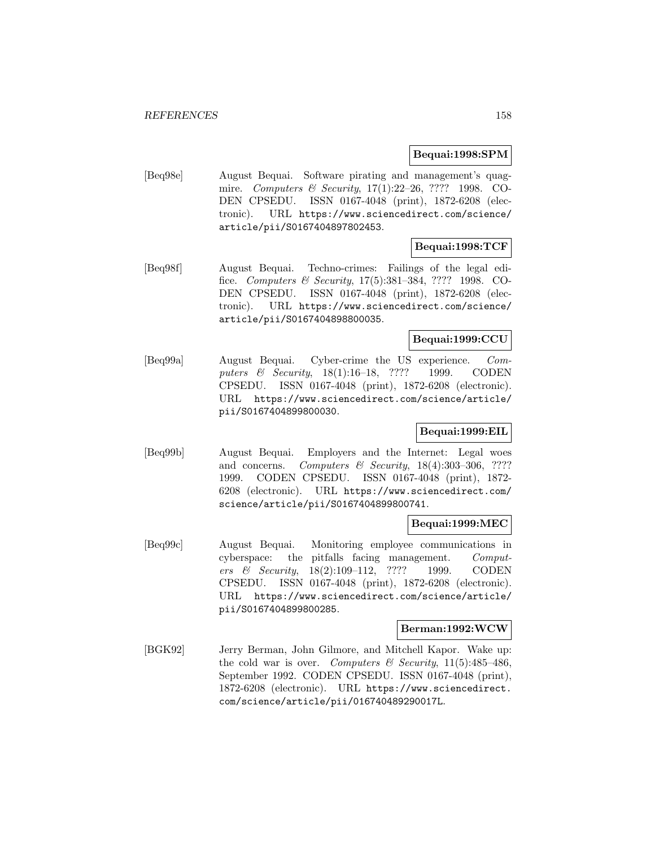# **Bequai:1998:SPM**

[Beq98e] August Bequai. Software pirating and management's quagmire. Computers & Security, 17(1):22–26, ???? 1998. CO-DEN CPSEDU. ISSN 0167-4048 (print), 1872-6208 (electronic). URL https://www.sciencedirect.com/science/ article/pii/S0167404897802453.

# **Bequai:1998:TCF**

[Beq98f] August Bequai. Techno-crimes: Failings of the legal edifice. Computers & Security, 17(5):381–384, ???? 1998. CO-DEN CPSEDU. ISSN 0167-4048 (print), 1872-6208 (electronic). URL https://www.sciencedirect.com/science/ article/pii/S0167404898800035.

# **Bequai:1999:CCU**

[Beq99a] August Bequai. Cyber-crime the US experience. Computers & Security, 18(1):16–18, ???? 1999. CODEN CPSEDU. ISSN 0167-4048 (print), 1872-6208 (electronic). URL https://www.sciencedirect.com/science/article/ pii/S0167404899800030.

# **Bequai:1999:EIL**

[Beq99b] August Bequai. Employers and the Internet: Legal woes and concerns. Computers & Security,  $18(4):303-306$ , ???? 1999. CODEN CPSEDU. ISSN 0167-4048 (print), 1872- 6208 (electronic). URL https://www.sciencedirect.com/ science/article/pii/S0167404899800741.

# **Bequai:1999:MEC**

[Beq99c] August Bequai. Monitoring employee communications in cyberspace: the pitfalls facing management. Computers & Security, 18(2):109–112, ???? 1999. CODEN CPSEDU. ISSN 0167-4048 (print), 1872-6208 (electronic). URL https://www.sciencedirect.com/science/article/ pii/S0167404899800285.

# **Berman:1992:WCW**

[BGK92] Jerry Berman, John Gilmore, and Mitchell Kapor. Wake up: the cold war is over. Computers  $\mathcal{B}$  Security, 11(5):485-486, September 1992. CODEN CPSEDU. ISSN 0167-4048 (print), 1872-6208 (electronic). URL https://www.sciencedirect. com/science/article/pii/016740489290017L.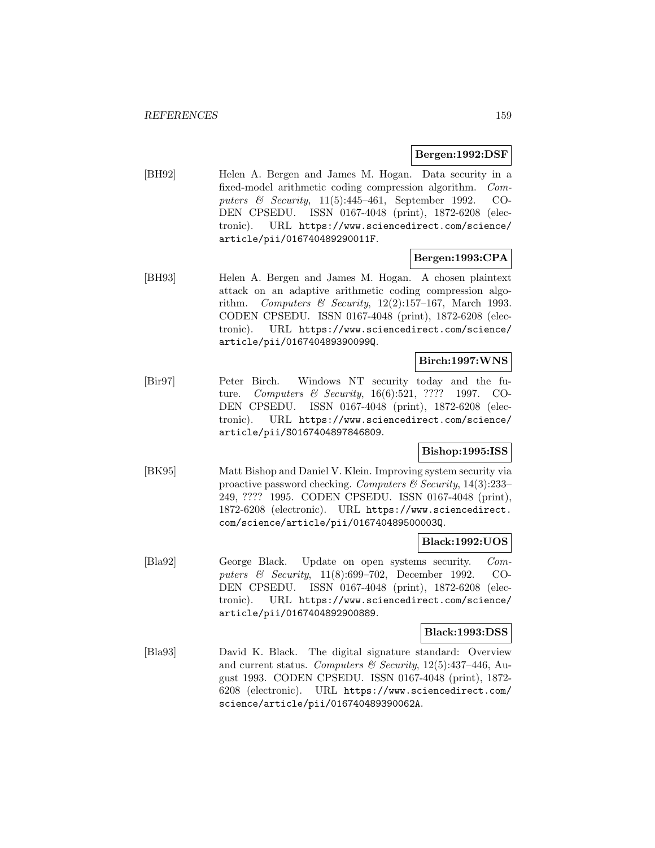## **Bergen:1992:DSF**

[BH92] Helen A. Bergen and James M. Hogan. Data security in a fixed-model arithmetic coding compression algorithm. Computers & Security, 11(5):445–461, September 1992. CO-DEN CPSEDU. ISSN 0167-4048 (print), 1872-6208 (electronic). URL https://www.sciencedirect.com/science/ article/pii/016740489290011F.

# **Bergen:1993:CPA**

[BH93] Helen A. Bergen and James M. Hogan. A chosen plaintext attack on an adaptive arithmetic coding compression algorithm. Computers & Security,  $12(2):157-167$ , March 1993. CODEN CPSEDU. ISSN 0167-4048 (print), 1872-6208 (electronic). URL https://www.sciencedirect.com/science/ article/pii/016740489390099Q.

## **Birch:1997:WNS**

[Bir97] Peter Birch. Windows NT security today and the future. Computers & Security, 16(6):521, ???? 1997. CO-DEN CPSEDU. ISSN 0167-4048 (print), 1872-6208 (electronic). URL https://www.sciencedirect.com/science/ article/pii/S0167404897846809.

# **Bishop:1995:ISS**

[BK95] Matt Bishop and Daniel V. Klein. Improving system security via proactive password checking. Computers  $\mathcal C$  Security, 14(3):233– 249, ???? 1995. CODEN CPSEDU. ISSN 0167-4048 (print), 1872-6208 (electronic). URL https://www.sciencedirect. com/science/article/pii/016740489500003Q.

# **Black:1992:UOS**

[Bla92] George Black. Update on open systems security. Computers & Security, 11(8):699–702, December 1992. CO-DEN CPSEDU. ISSN 0167-4048 (print), 1872-6208 (electronic). URL https://www.sciencedirect.com/science/ article/pii/0167404892900889.

### **Black:1993:DSS**

[Bla93] David K. Black. The digital signature standard: Overview and current status. Computers & Security,  $12(5):437-446$ , August 1993. CODEN CPSEDU. ISSN 0167-4048 (print), 1872- 6208 (electronic). URL https://www.sciencedirect.com/ science/article/pii/016740489390062A.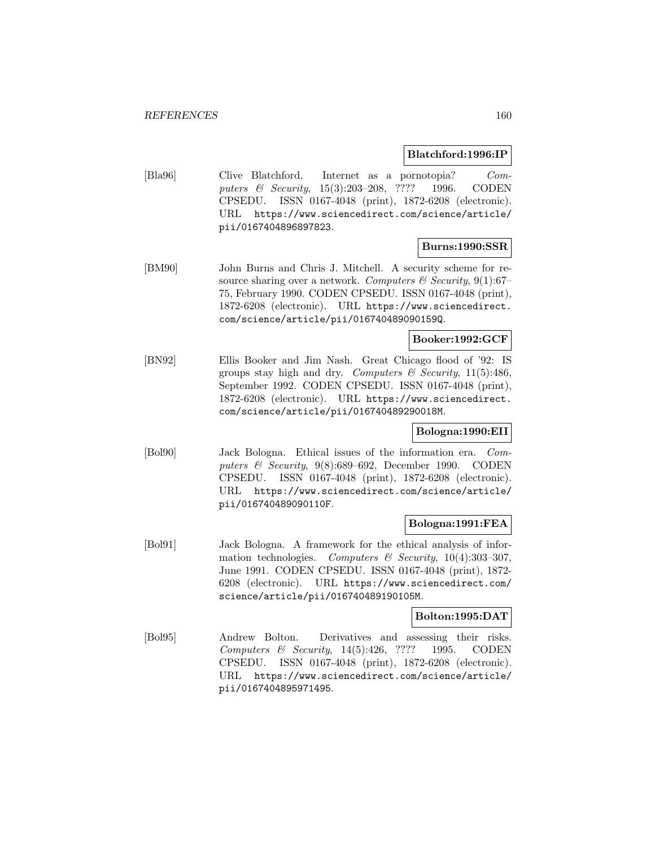# **Blatchford:1996:IP**

[Bla96] Clive Blatchford. Internet as a pornotopia? Computers & Security, 15(3):203–208, ???? 1996. CODEN CPSEDU. ISSN 0167-4048 (print), 1872-6208 (electronic). URL https://www.sciencedirect.com/science/article/ pii/0167404896897823.

# **Burns:1990:SSR**

[BM90] John Burns and Chris J. Mitchell. A security scheme for resource sharing over a network. Computers & Security, 9(1):67– 75, February 1990. CODEN CPSEDU. ISSN 0167-4048 (print), 1872-6208 (electronic). URL https://www.sciencedirect. com/science/article/pii/016740489090159Q.

# **Booker:1992:GCF**

[BN92] Ellis Booker and Jim Nash. Great Chicago flood of '92: IS groups stay high and dry. Computers & Security,  $11(5):486$ , September 1992. CODEN CPSEDU. ISSN 0167-4048 (print), 1872-6208 (electronic). URL https://www.sciencedirect. com/science/article/pii/016740489290018M.

# **Bologna:1990:EII**

[Bol90] Jack Bologna. Ethical issues of the information era. Computers  $\&$  Security, 9(8):689–692, December 1990. CODEN CPSEDU. ISSN 0167-4048 (print), 1872-6208 (electronic). URL https://www.sciencedirect.com/science/article/ pii/016740489090110F.

# **Bologna:1991:FEA**

[Bol91] Jack Bologna. A framework for the ethical analysis of information technologies. Computers & Security,  $10(4):303-307$ , June 1991. CODEN CPSEDU. ISSN 0167-4048 (print), 1872- 6208 (electronic). URL https://www.sciencedirect.com/ science/article/pii/016740489190105M.

# **Bolton:1995:DAT**

[Bol95] Andrew Bolton. Derivatives and assessing their risks. Computers & Security, 14(5):426, ???? 1995. CODEN CPSEDU. ISSN 0167-4048 (print), 1872-6208 (electronic). URL https://www.sciencedirect.com/science/article/ pii/0167404895971495.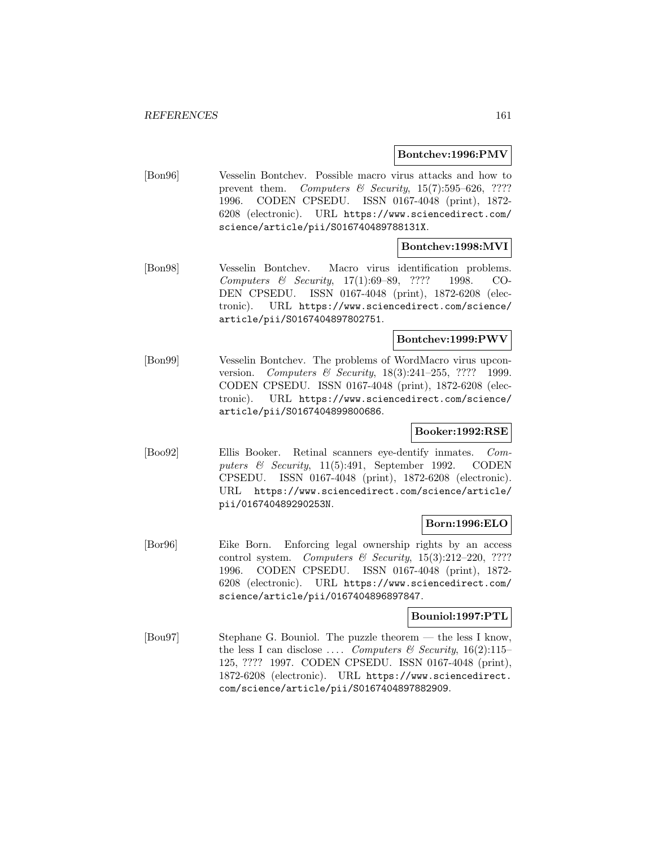## **Bontchev:1996:PMV**

[Bon96] Vesselin Bontchev. Possible macro virus attacks and how to prevent them. Computers & Security,  $15(7):595-626$ , ???? 1996. CODEN CPSEDU. ISSN 0167-4048 (print), 1872- 6208 (electronic). URL https://www.sciencedirect.com/ science/article/pii/S016740489788131X.

# **Bontchev:1998:MVI**

[Bon98] Vesselin Bontchev. Macro virus identification problems. Computers & Security, 17(1):69–89, ???? 1998. CO-DEN CPSEDU. ISSN 0167-4048 (print), 1872-6208 (electronic). URL https://www.sciencedirect.com/science/ article/pii/S0167404897802751.

# **Bontchev:1999:PWV**

[Bon99] Vesselin Bontchev. The problems of WordMacro virus upconversion. Computers & Security, 18(3):241-255, ???? 1999. CODEN CPSEDU. ISSN 0167-4048 (print), 1872-6208 (electronic). URL https://www.sciencedirect.com/science/ article/pii/S0167404899800686.

# **Booker:1992:RSE**

[Boo92] Ellis Booker. Retinal scanners eye-dentify inmates. Computers  $\&$  Security, 11(5):491, September 1992. CODEN CPSEDU. ISSN 0167-4048 (print), 1872-6208 (electronic). URL https://www.sciencedirect.com/science/article/ pii/016740489290253N.

# **Born:1996:ELO**

[Bor96] Eike Born. Enforcing legal ownership rights by an access control system. Computers  $\mathcal C$  Security, 15(3):212–220, ???? 1996. CODEN CPSEDU. ISSN 0167-4048 (print), 1872- 6208 (electronic). URL https://www.sciencedirect.com/ science/article/pii/0167404896897847.

# **Bouniol:1997:PTL**

[Bou97] Stephane G. Bouniol. The puzzle theorem — the less I know, the less I can disclose .... Computers & Security,  $16(2):115-$ 125, ???? 1997. CODEN CPSEDU. ISSN 0167-4048 (print), 1872-6208 (electronic). URL https://www.sciencedirect. com/science/article/pii/S0167404897882909.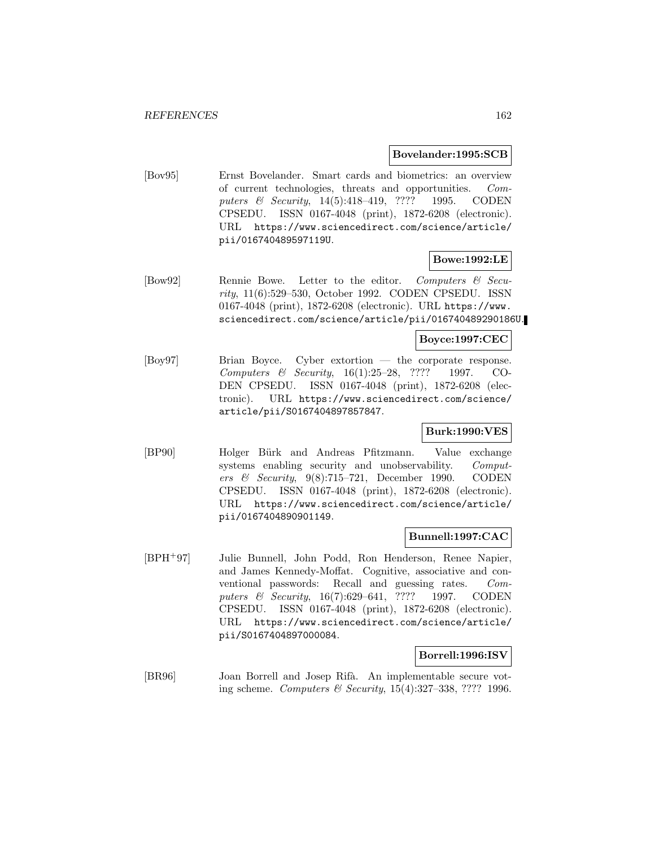# **Bovelander:1995:SCB**

[Bov95] Ernst Bovelander. Smart cards and biometrics: an overview of current technologies, threats and opportunities. Computers & Security, 14(5):418-419, ???? 1995. CODEN CPSEDU. ISSN 0167-4048 (print), 1872-6208 (electronic). URL https://www.sciencedirect.com/science/article/ pii/016740489597119U.

# **Bowe:1992:LE**

[Bow92] Rennie Bowe. Letter to the editor. Computers & Security, 11(6):529–530, October 1992. CODEN CPSEDU. ISSN 0167-4048 (print), 1872-6208 (electronic). URL https://www. sciencedirect.com/science/article/pii/016740489290186U.

# **Boyce:1997:CEC**

[Boy97] Brian Boyce. Cyber extortion — the corporate response. Computers & Security, 16(1):25–28, ???? 1997. CO-DEN CPSEDU. ISSN 0167-4048 (print), 1872-6208 (electronic). URL https://www.sciencedirect.com/science/ article/pii/S0167404897857847.

# **Burk:1990:VES**

[BP90] Holger Bürk and Andreas Pfitzmann. Value exchange systems enabling security and unobservability. Computers & Security,  $9(8)$ :715–721, December 1990. CODEN CPSEDU. ISSN 0167-4048 (print), 1872-6208 (electronic). URL https://www.sciencedirect.com/science/article/ pii/0167404890901149.

# **Bunnell:1997:CAC**

[BPH<sup>+</sup>97] Julie Bunnell, John Podd, Ron Henderson, Renee Napier, and James Kennedy-Moffat. Cognitive, associative and conventional passwords: Recall and guessing rates. Computers & Security, 16(7):629-641, ???? 1997. CODEN CPSEDU. ISSN 0167-4048 (print), 1872-6208 (electronic). URL https://www.sciencedirect.com/science/article/ pii/S0167404897000084.

## **Borrell:1996:ISV**

[BR96] Joan Borrell and Josep Rifà. An implementable secure voting scheme. Computers & Security, 15(4):327–338, ???? 1996.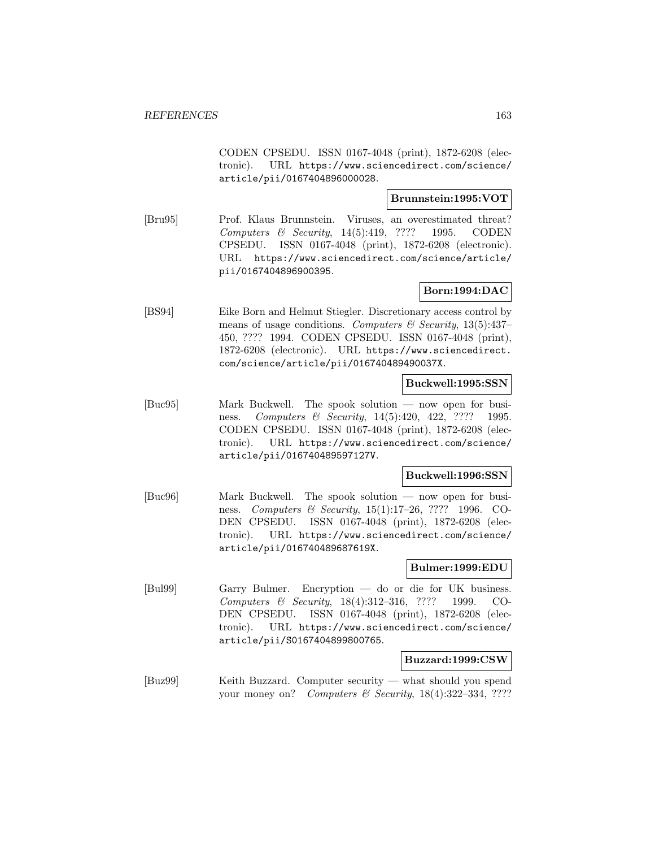CODEN CPSEDU. ISSN 0167-4048 (print), 1872-6208 (electronic). URL https://www.sciencedirect.com/science/ article/pii/0167404896000028.

# **Brunnstein:1995:VOT**

[Bru95] Prof. Klaus Brunnstein. Viruses, an overestimated threat? Computers & Security, 14(5):419, ???? 1995. CODEN CPSEDU. ISSN 0167-4048 (print), 1872-6208 (electronic). URL https://www.sciencedirect.com/science/article/ pii/0167404896900395.

# **Born:1994:DAC**

[BS94] Eike Born and Helmut Stiegler. Discretionary access control by means of usage conditions. Computers  $\mathcal C$  Security, 13(5):437– 450, ???? 1994. CODEN CPSEDU. ISSN 0167-4048 (print), 1872-6208 (electronic). URL https://www.sciencedirect. com/science/article/pii/016740489490037X.

## **Buckwell:1995:SSN**

[Buc95] Mark Buckwell. The spook solution — now open for business. Computers & Security, 14(5):420, 422, ???? 1995. CODEN CPSEDU. ISSN 0167-4048 (print), 1872-6208 (electronic). URL https://www.sciencedirect.com/science/ article/pii/016740489597127V.

# **Buckwell:1996:SSN**

[Buc96] Mark Buckwell. The spook solution — now open for business. Computers & Security, 15(1):17–26, ???? 1996. CO-DEN CPSEDU. ISSN 0167-4048 (print), 1872-6208 (electronic). URL https://www.sciencedirect.com/science/ article/pii/016740489687619X.

### **Bulmer:1999:EDU**

[Bul99] Garry Bulmer. Encryption — do or die for UK business. Computers & Security, 18(4):312–316, ???? 1999. CO-DEN CPSEDU. ISSN 0167-4048 (print), 1872-6208 (electronic). URL https://www.sciencedirect.com/science/ article/pii/S0167404899800765.

### **Buzzard:1999:CSW**

[Buz99] Keith Buzzard. Computer security — what should you spend your money on? Computers & Security,  $18(4):322-334, ????$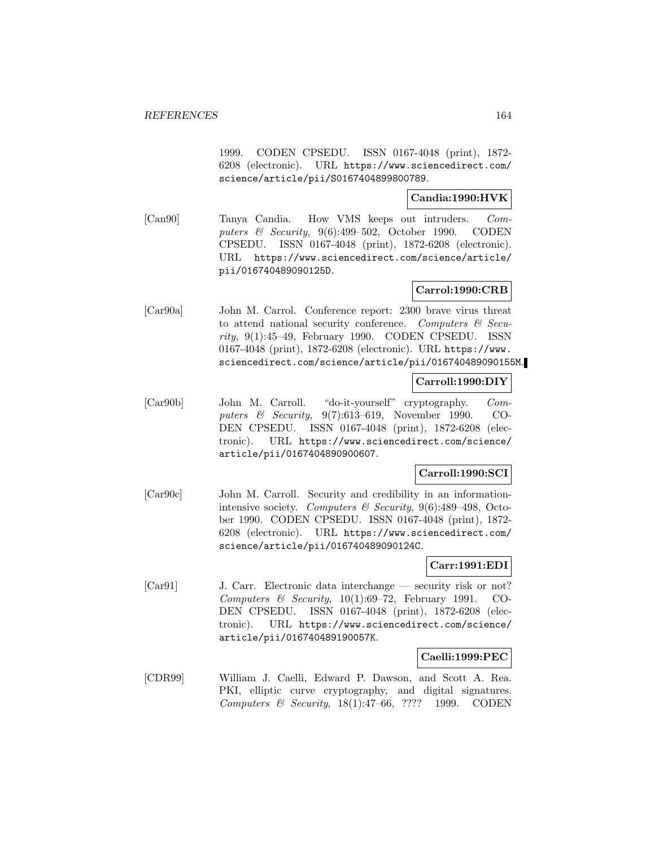1999. CODEN CPSEDU. ISSN 0167-4048 (print), 1872- 6208 (electronic). URL https://www.sciencedirect.com/ science/article/pii/S0167404899800789.

# **Candia:1990:HVK**

[Can90] Tanya Candia. How VMS keeps out intruders. Computers & Security, 9(6):499–502, October 1990. CODEN CPSEDU. ISSN 0167-4048 (print), 1872-6208 (electronic). URL https://www.sciencedirect.com/science/article/ pii/016740489090125D.

# **Carrol:1990:CRB**

[Car90a] John M. Carrol. Conference report: 2300 brave virus threat to attend national security conference. Computers  $\mathcal{C}$  Security, 9(1):45–49, February 1990. CODEN CPSEDU. ISSN 0167-4048 (print), 1872-6208 (electronic). URL https://www. sciencedirect.com/science/article/pii/016740489090155M.

# **Carroll:1990:DIY**

[Car90b] John M. Carroll. "do-it-yourself" cryptography. Computers & Security, 9(7):613–619, November 1990. CO-DEN CPSEDU. ISSN 0167-4048 (print), 1872-6208 (electronic). URL https://www.sciencedirect.com/science/ article/pii/0167404890900607.

# **Carroll:1990:SCI**

[Car90c] John M. Carroll. Security and credibility in an informationintensive society. Computers & Security,  $9(6)$ :489-498, October 1990. CODEN CPSEDU. ISSN 0167-4048 (print), 1872- 6208 (electronic). URL https://www.sciencedirect.com/ science/article/pii/016740489090124C.

# **Carr:1991:EDI**

[Car91] J. Carr. Electronic data interchange — security risk or not? Computers & Security,  $10(1):69-72$ , February 1991. CO-DEN CPSEDU. ISSN 0167-4048 (print), 1872-6208 (electronic). URL https://www.sciencedirect.com/science/ article/pii/016740489190057K.

# **Caelli:1999:PEC**

[CDR99] William J. Caelli, Edward P. Dawson, and Scott A. Rea. PKI, elliptic curve cryptography, and digital signatures. Computers & Security, 18(1):47–66, ???? 1999. CODEN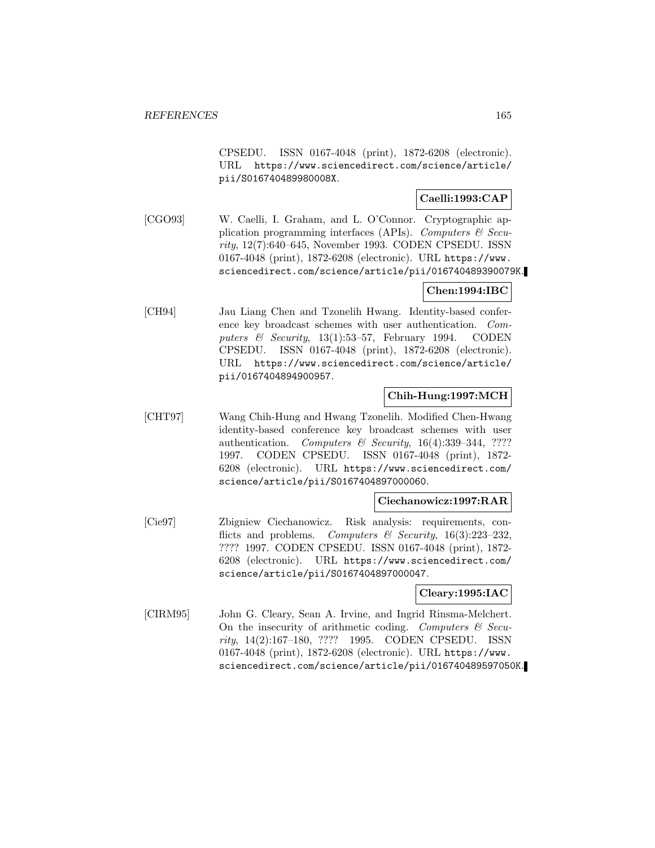CPSEDU. ISSN 0167-4048 (print), 1872-6208 (electronic). URL https://www.sciencedirect.com/science/article/ pii/S016740489980008X.

# **Caelli:1993:CAP**

[CGO93] W. Caelli, I. Graham, and L. O'Connor. Cryptographic application programming interfaces (APIs). Computers  $\mathcal C$  Security, 12(7):640–645, November 1993. CODEN CPSEDU. ISSN 0167-4048 (print), 1872-6208 (electronic). URL https://www. sciencedirect.com/science/article/pii/016740489390079K.

# **Chen:1994:IBC**

[CH94] Jau Liang Chen and Tzonelih Hwang. Identity-based conference key broadcast schemes with user authentication. Computers  $\&$  Security, 13(1):53–57, February 1994. CODEN CPSEDU. ISSN 0167-4048 (print), 1872-6208 (electronic). URL https://www.sciencedirect.com/science/article/ pii/0167404894900957.

# **Chih-Hung:1997:MCH**

[CHT97] Wang Chih-Hung and Hwang Tzonelih. Modified Chen-Hwang identity-based conference key broadcast schemes with user authentication. Computers & Security,  $16(4):339-344$ , ???? 1997. CODEN CPSEDU. ISSN 0167-4048 (print), 1872- 6208 (electronic). URL https://www.sciencedirect.com/ science/article/pii/S0167404897000060.

# **Ciechanowicz:1997:RAR**

[Cie97] Zbigniew Ciechanowicz. Risk analysis: requirements, conflicts and problems. Computers & Security,  $16(3):223-232$ , ???? 1997. CODEN CPSEDU. ISSN 0167-4048 (print), 1872- 6208 (electronic). URL https://www.sciencedirect.com/ science/article/pii/S0167404897000047.

# **Cleary:1995:IAC**

[CIRM95] John G. Cleary, Sean A. Irvine, and Ingrid Rinsma-Melchert. On the insecurity of arithmetic coding. Computers  $\mathcal{C}$  Security, 14(2):167–180, ???? 1995. CODEN CPSEDU. ISSN 0167-4048 (print), 1872-6208 (electronic). URL https://www. sciencedirect.com/science/article/pii/016740489597050K.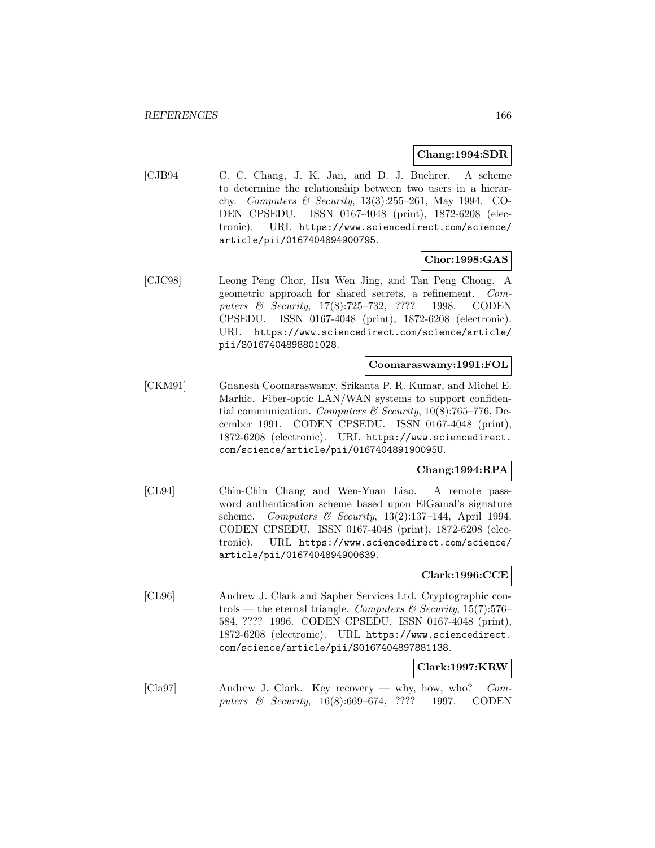## **Chang:1994:SDR**

[CJB94] C. C. Chang, J. K. Jan, and D. J. Buehrer. A scheme to determine the relationship between two users in a hierarchy. Computers & Security, 13(3):255–261, May 1994. CO-DEN CPSEDU. ISSN 0167-4048 (print), 1872-6208 (electronic). URL https://www.sciencedirect.com/science/ article/pii/0167404894900795.

# **Chor:1998:GAS**

[CJC98] Leong Peng Chor, Hsu Wen Jing, and Tan Peng Chong. A geometric approach for shared secrets, a refinement. Computers & Security, 17(8):725–732, ???? 1998. CODEN CPSEDU. ISSN 0167-4048 (print), 1872-6208 (electronic). URL https://www.sciencedirect.com/science/article/ pii/S0167404898801028.

# **Coomaraswamy:1991:FOL**

[CKM91] Gnanesh Coomaraswamy, Srikanta P. R. Kumar, and Michel E. Marhic. Fiber-optic LAN/WAN systems to support confidential communication. Computers & Security,  $10(8)$ :765–776, December 1991. CODEN CPSEDU. ISSN 0167-4048 (print), 1872-6208 (electronic). URL https://www.sciencedirect. com/science/article/pii/016740489190095U.

# **Chang:1994:RPA**

[CL94] Chin-Chin Chang and Wen-Yuan Liao. A remote password authentication scheme based upon ElGamal's signature scheme. Computers & Security,  $13(2):137-144$ , April 1994. CODEN CPSEDU. ISSN 0167-4048 (print), 1872-6208 (electronic). URL https://www.sciencedirect.com/science/ article/pii/0167404894900639.

# **Clark:1996:CCE**

[CL96] Andrew J. Clark and Sapher Services Ltd. Cryptographic controls — the eternal triangle. Computers & Security, 15(7):576– 584, ???? 1996. CODEN CPSEDU. ISSN 0167-4048 (print), 1872-6208 (electronic). URL https://www.sciencedirect. com/science/article/pii/S0167404897881138.

## **Clark:1997:KRW**

[Cla97] Andrew J. Clark. Key recovery — why, how, who? Computers & Security, 16(8):669–674, ???? 1997. CODEN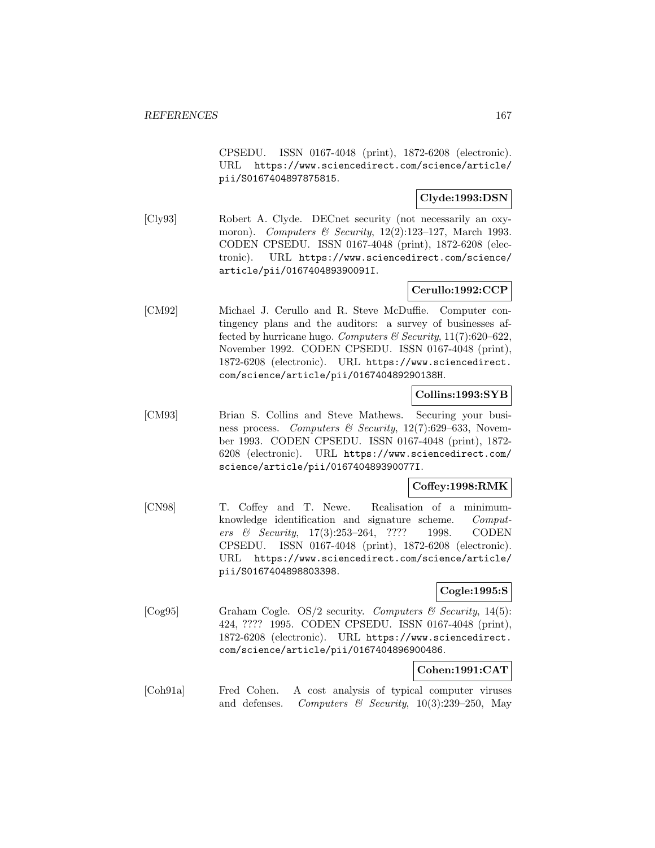CPSEDU. ISSN 0167-4048 (print), 1872-6208 (electronic). URL https://www.sciencedirect.com/science/article/ pii/S0167404897875815.

# **Clyde:1993:DSN**

[Cly93] Robert A. Clyde. DECnet security (not necessarily an oxymoron). Computers & Security,  $12(2):123-127$ , March 1993. CODEN CPSEDU. ISSN 0167-4048 (print), 1872-6208 (electronic). URL https://www.sciencedirect.com/science/ article/pii/016740489390091I.

# **Cerullo:1992:CCP**

[CM92] Michael J. Cerullo and R. Steve McDuffie. Computer contingency plans and the auditors: a survey of businesses affected by hurricane hugo. Computers & Security,  $11(7):620-622$ , November 1992. CODEN CPSEDU. ISSN 0167-4048 (print), 1872-6208 (electronic). URL https://www.sciencedirect. com/science/article/pii/016740489290138H.

# **Collins:1993:SYB**

[CM93] Brian S. Collins and Steve Mathews. Securing your business process. Computers & Security, 12(7):629–633, November 1993. CODEN CPSEDU. ISSN 0167-4048 (print), 1872- 6208 (electronic). URL https://www.sciencedirect.com/ science/article/pii/016740489390077I.

# **Coffey:1998:RMK**

[CN98] T. Coffey and T. Newe. Realisation of a minimumknowledge identification and signature scheme. Computers & Security, 17(3):253–264, ???? 1998. CODEN CPSEDU. ISSN 0167-4048 (print), 1872-6208 (electronic). URL https://www.sciencedirect.com/science/article/ pii/S0167404898803398.

# **Cogle:1995:S**

[Cog95] Graham Cogle. OS/2 security. Computers & Security, 14(5): 424, ???? 1995. CODEN CPSEDU. ISSN 0167-4048 (print), 1872-6208 (electronic). URL https://www.sciencedirect. com/science/article/pii/0167404896900486.

# **Cohen:1991:CAT**

[Coh91a] Fred Cohen. A cost analysis of typical computer viruses and defenses. Computers  $\mathcal B$  Security, 10(3):239–250, May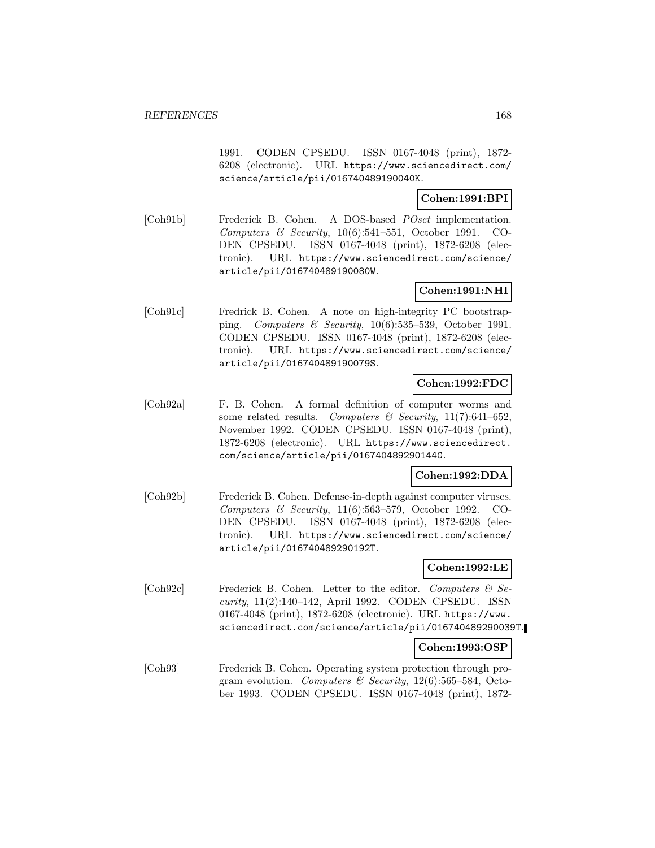1991. CODEN CPSEDU. ISSN 0167-4048 (print), 1872- 6208 (electronic). URL https://www.sciencedirect.com/ science/article/pii/016740489190040K.

# **Cohen:1991:BPI**

[Coh91b] Frederick B. Cohen. A DOS-based POset implementation. Computers & Security,  $10(6):541-551$ , October 1991. CO-DEN CPSEDU. ISSN 0167-4048 (print), 1872-6208 (electronic). URL https://www.sciencedirect.com/science/ article/pii/016740489190080W.

# **Cohen:1991:NHI**

[Coh91c] Fredrick B. Cohen. A note on high-integrity PC bootstrapping. Computers & Security,  $10(6)$ :535–539, October 1991. CODEN CPSEDU. ISSN 0167-4048 (print), 1872-6208 (electronic). URL https://www.sciencedirect.com/science/ article/pii/016740489190079S.

# **Cohen:1992:FDC**

[Coh92a] F. B. Cohen. A formal definition of computer worms and some related results. Computers & Security,  $11(7):641-652$ , November 1992. CODEN CPSEDU. ISSN 0167-4048 (print), 1872-6208 (electronic). URL https://www.sciencedirect. com/science/article/pii/016740489290144G.

# **Cohen:1992:DDA**

[Coh92b] Frederick B. Cohen. Defense-in-depth against computer viruses. Computers & Security, 11(6):563–579, October 1992. CO-DEN CPSEDU. ISSN 0167-4048 (print), 1872-6208 (electronic). URL https://www.sciencedirect.com/science/ article/pii/016740489290192T.

# **Cohen:1992:LE**

[Coh92c] Frederick B. Cohen. Letter to the editor. Computers & Security, 11(2):140–142, April 1992. CODEN CPSEDU. ISSN 0167-4048 (print), 1872-6208 (electronic). URL https://www. sciencedirect.com/science/article/pii/016740489290039T.

# **Cohen:1993:OSP**

[Coh93] Frederick B. Cohen. Operating system protection through program evolution. Computers  $\mathcal C$  Security, 12(6):565–584, October 1993. CODEN CPSEDU. ISSN 0167-4048 (print), 1872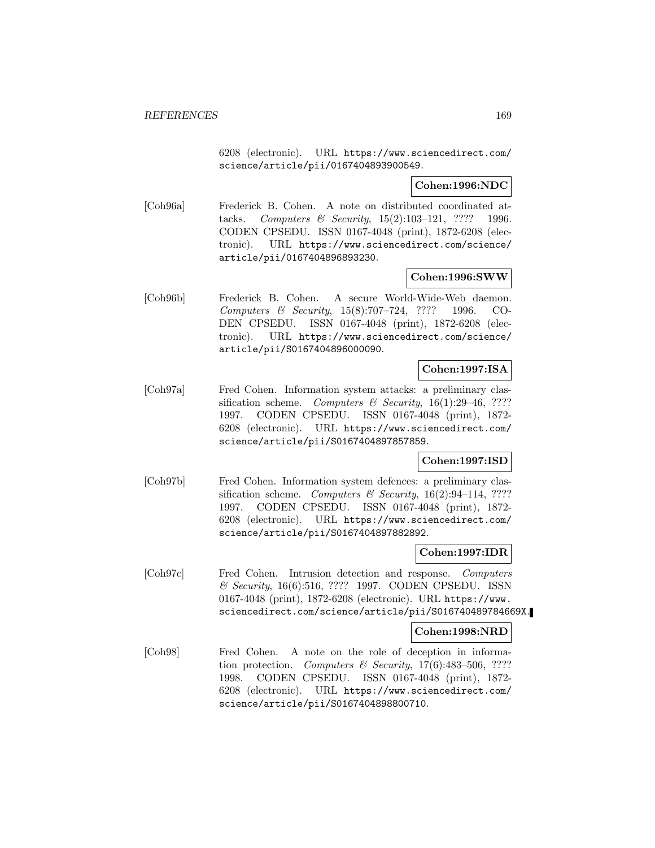6208 (electronic). URL https://www.sciencedirect.com/ science/article/pii/0167404893900549.

# **Cohen:1996:NDC**

[Coh96a] Frederick B. Cohen. A note on distributed coordinated attacks. Computers & Security, 15(2):103–121, ???? 1996. CODEN CPSEDU. ISSN 0167-4048 (print), 1872-6208 (electronic). URL https://www.sciencedirect.com/science/ article/pii/0167404896893230.

# **Cohen:1996:SWW**

[Coh96b] Frederick B. Cohen. A secure World-Wide-Web daemon. Computers & Security, 15(8):707–724, ???? 1996. CO-DEN CPSEDU. ISSN 0167-4048 (print), 1872-6208 (electronic). URL https://www.sciencedirect.com/science/ article/pii/S0167404896000090.

# **Cohen:1997:ISA**

[Coh97a] Fred Cohen. Information system attacks: a preliminary classification scheme. Computers & Security,  $16(1):29-46$ , ???? 1997. CODEN CPSEDU. ISSN 0167-4048 (print), 1872- 6208 (electronic). URL https://www.sciencedirect.com/ science/article/pii/S0167404897857859.

# **Cohen:1997:ISD**

[Coh97b] Fred Cohen. Information system defences: a preliminary classification scheme. Computers & Security,  $16(2):94-114$ , ???? 1997. CODEN CPSEDU. ISSN 0167-4048 (print), 1872- 6208 (electronic). URL https://www.sciencedirect.com/ science/article/pii/S0167404897882892.

# **Cohen:1997:IDR**

[Coh97c] Fred Cohen. Intrusion detection and response. Computers & Security, 16(6):516, ???? 1997. CODEN CPSEDU. ISSN 0167-4048 (print), 1872-6208 (electronic). URL https://www. sciencedirect.com/science/article/pii/S016740489784669X.

# **Cohen:1998:NRD**

[Coh98] Fred Cohen. A note on the role of deception in information protection. Computers & Security,  $17(6)$ :483-506, ???? 1998. CODEN CPSEDU. ISSN 0167-4048 (print), 1872- 6208 (electronic). URL https://www.sciencedirect.com/ science/article/pii/S0167404898800710.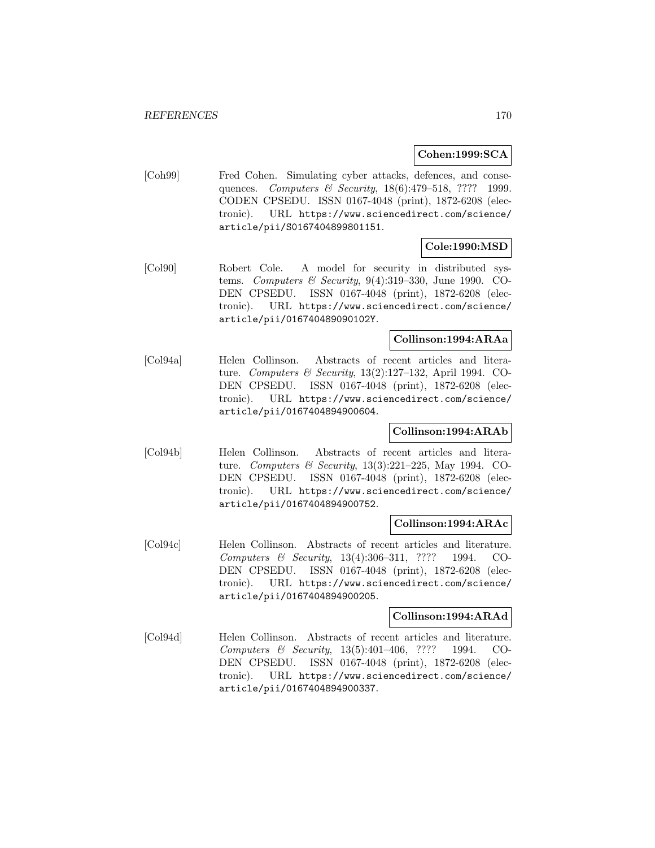# **Cohen:1999:SCA**

[Coh99] Fred Cohen. Simulating cyber attacks, defences, and consequences. Computers & Security, 18(6):479–518, ???? 1999. CODEN CPSEDU. ISSN 0167-4048 (print), 1872-6208 (electronic). URL https://www.sciencedirect.com/science/ article/pii/S0167404899801151.

# **Cole:1990:MSD**

[Col90] Robert Cole. A model for security in distributed systems. Computers & Security,  $9(4):319-330$ , June 1990. CO-DEN CPSEDU. ISSN 0167-4048 (print), 1872-6208 (electronic). URL https://www.sciencedirect.com/science/ article/pii/016740489090102Y.

# **Collinson:1994:ARAa**

[Col94a] Helen Collinson. Abstracts of recent articles and literature. Computers & Security, 13(2):127–132, April 1994. CO-DEN CPSEDU. ISSN 0167-4048 (print), 1872-6208 (electronic). URL https://www.sciencedirect.com/science/ article/pii/0167404894900604.

# **Collinson:1994:ARAb**

[Col94b] Helen Collinson. Abstracts of recent articles and literature. Computers & Security, 13(3):221–225, May 1994. CO-DEN CPSEDU. ISSN 0167-4048 (print), 1872-6208 (electronic). URL https://www.sciencedirect.com/science/ article/pii/0167404894900752.

# **Collinson:1994:ARAc**

[Col94c] Helen Collinson. Abstracts of recent articles and literature. Computers & Security, 13(4):306–311, ???? 1994. CO-DEN CPSEDU. ISSN 0167-4048 (print), 1872-6208 (electronic). URL https://www.sciencedirect.com/science/ article/pii/0167404894900205.

# **Collinson:1994:ARAd**

[Col94d] Helen Collinson. Abstracts of recent articles and literature. Computers & Security, 13(5):401–406, ???? 1994. CO-DEN CPSEDU. ISSN 0167-4048 (print), 1872-6208 (electronic). URL https://www.sciencedirect.com/science/ article/pii/0167404894900337.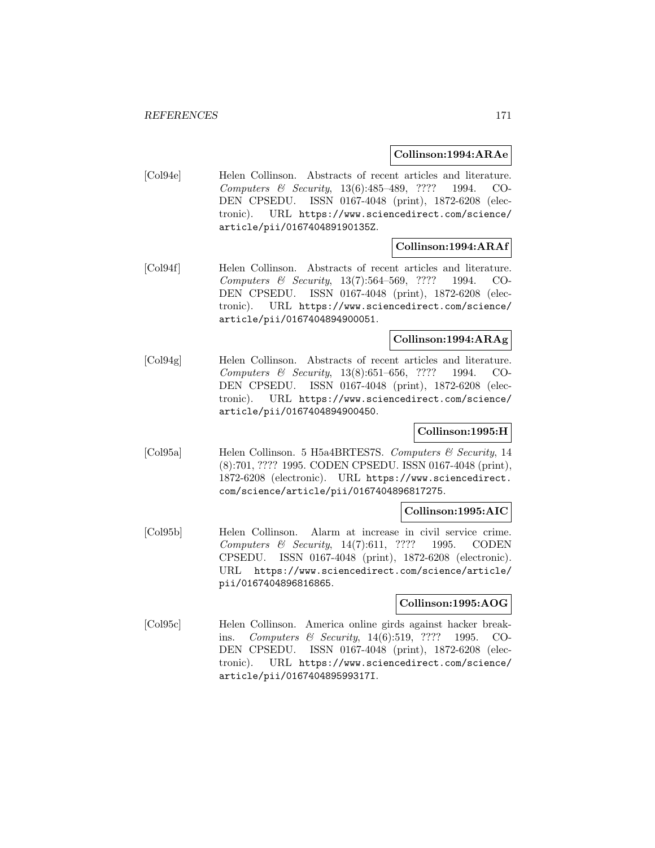# **Collinson:1994:ARAe**

[Col94e] Helen Collinson. Abstracts of recent articles and literature. Computers & Security, 13(6):485–489, ???? 1994. CO-DEN CPSEDU. ISSN 0167-4048 (print), 1872-6208 (electronic). URL https://www.sciencedirect.com/science/ article/pii/016740489190135Z.

# **Collinson:1994:ARAf**

[Col94f] Helen Collinson. Abstracts of recent articles and literature. Computers & Security, 13(7):564–569, ???? 1994. CO-DEN CPSEDU. ISSN 0167-4048 (print), 1872-6208 (electronic). URL https://www.sciencedirect.com/science/ article/pii/0167404894900051.

# **Collinson:1994:ARAg**

[Col94g] Helen Collinson. Abstracts of recent articles and literature. Computers & Security, 13(8):651–656, ???? 1994. CO-DEN CPSEDU. ISSN 0167-4048 (print), 1872-6208 (electronic). URL https://www.sciencedirect.com/science/ article/pii/0167404894900450.

# **Collinson:1995:H**

[Col95a] Helen Collinson. 5 H5a4BRTES7S. Computers & Security, 14 (8):701, ???? 1995. CODEN CPSEDU. ISSN 0167-4048 (print), 1872-6208 (electronic). URL https://www.sciencedirect. com/science/article/pii/0167404896817275.

# **Collinson:1995:AIC**

[Col95b] Helen Collinson. Alarm at increase in civil service crime. Computers & Security, 14(7):611, ???? 1995. CODEN CPSEDU. ISSN 0167-4048 (print), 1872-6208 (electronic). URL https://www.sciencedirect.com/science/article/ pii/0167404896816865.

# **Collinson:1995:AOG**

[Col95c] Helen Collinson. America online girds against hacker breakins. Computers & Security, 14(6):519, ???? 1995. CO-DEN CPSEDU. ISSN 0167-4048 (print), 1872-6208 (electronic). URL https://www.sciencedirect.com/science/ article/pii/016740489599317I.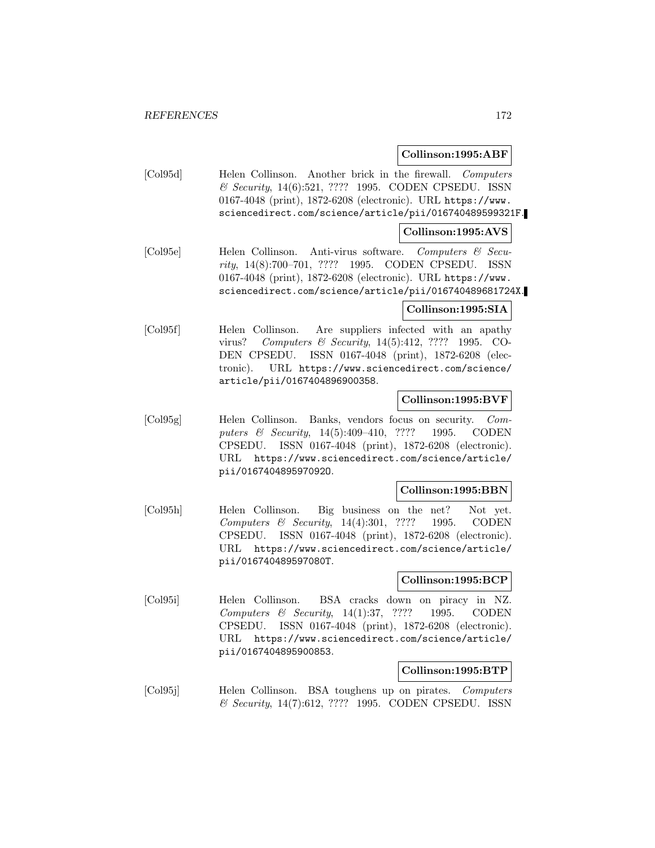# **Collinson:1995:ABF**

[Col95d] Helen Collinson. Another brick in the firewall. Computers & Security, 14(6):521, ???? 1995. CODEN CPSEDU. ISSN 0167-4048 (print), 1872-6208 (electronic). URL https://www. sciencedirect.com/science/article/pii/016740489599321F.

# **Collinson:1995:AVS**

[Col95e] Helen Collinson. Anti-virus software. Computers & Security, 14(8):700–701, ???? 1995. CODEN CPSEDU. ISSN 0167-4048 (print), 1872-6208 (electronic). URL https://www. sciencedirect.com/science/article/pii/016740489681724X.

# **Collinson:1995:SIA**

[Col95f] Helen Collinson. Are suppliers infected with an apathy virus? Computers & Security, 14(5):412, ???? 1995. CO-DEN CPSEDU. ISSN 0167-4048 (print), 1872-6208 (electronic). URL https://www.sciencedirect.com/science/ article/pii/0167404896900358.

# **Collinson:1995:BVF**

[Col95g] Helen Collinson. Banks, vendors focus on security. Computers & Security, 14(5):409-410, ???? 1995. CODEN CPSEDU. ISSN 0167-4048 (print), 1872-6208 (electronic). URL https://www.sciencedirect.com/science/article/ pii/016740489597092O.

### **Collinson:1995:BBN**

[Col95h] Helen Collinson. Big business on the net? Not yet. Computers & Security, 14(4):301, ???? 1995. CODEN CPSEDU. ISSN 0167-4048 (print), 1872-6208 (electronic). URL https://www.sciencedirect.com/science/article/ pii/016740489597080T.

# **Collinson:1995:BCP**

[Col95i] Helen Collinson. BSA cracks down on piracy in NZ. Computers & Security, 14(1):37, ???? 1995. CODEN CPSEDU. ISSN 0167-4048 (print), 1872-6208 (electronic). URL https://www.sciencedirect.com/science/article/ pii/0167404895900853.

# **Collinson:1995:BTP**

[Col95j] Helen Collinson. BSA toughens up on pirates. Computers & Security, 14(7):612, ???? 1995. CODEN CPSEDU. ISSN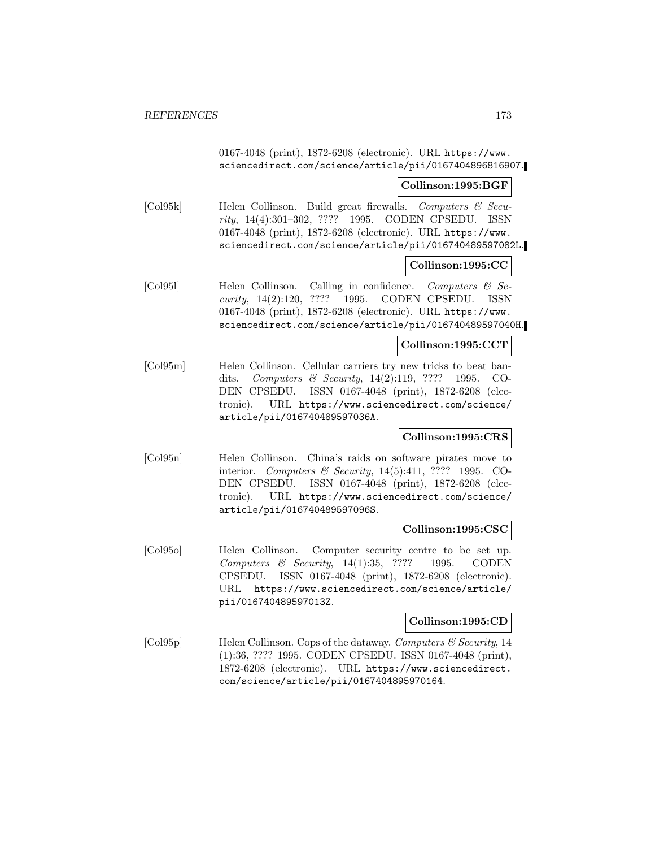0167-4048 (print), 1872-6208 (electronic). URL https://www. sciencedirect.com/science/article/pii/0167404896816907.

## **Collinson:1995:BGF**

[Col95k] Helen Collinson. Build great firewalls. Computers & Security, 14(4):301–302, ???? 1995. CODEN CPSEDU. ISSN 0167-4048 (print), 1872-6208 (electronic). URL https://www. sciencedirect.com/science/article/pii/016740489597082L.

# **Collinson:1995:CC**

[Col95l] Helen Collinson. Calling in confidence. Computers & Security, 14(2):120, ???? 1995. CODEN CPSEDU. ISSN 0167-4048 (print), 1872-6208 (electronic). URL https://www. sciencedirect.com/science/article/pii/016740489597040H.

# **Collinson:1995:CCT**

[Col95m] Helen Collinson. Cellular carriers try new tricks to beat bandits. Computers & Security, 14(2):119, ???? 1995. CO-DEN CPSEDU. ISSN 0167-4048 (print), 1872-6208 (electronic). URL https://www.sciencedirect.com/science/ article/pii/016740489597036A.

# **Collinson:1995:CRS**

[Col95n] Helen Collinson. China's raids on software pirates move to interior. Computers & Security, 14(5):411, ???? 1995. CO-DEN CPSEDU. ISSN 0167-4048 (print), 1872-6208 (electronic). URL https://www.sciencedirect.com/science/ article/pii/016740489597096S.

# **Collinson:1995:CSC**

[Col95o] Helen Collinson. Computer security centre to be set up. Computers & Security, 14(1):35, ???? 1995. CODEN CPSEDU. ISSN 0167-4048 (print), 1872-6208 (electronic). URL https://www.sciencedirect.com/science/article/ pii/016740489597013Z.

# **Collinson:1995:CD**

[Col95p] Helen Collinson. Cops of the dataway. Computers & Security, 14 (1):36, ???? 1995. CODEN CPSEDU. ISSN 0167-4048 (print), 1872-6208 (electronic). URL https://www.sciencedirect. com/science/article/pii/0167404895970164.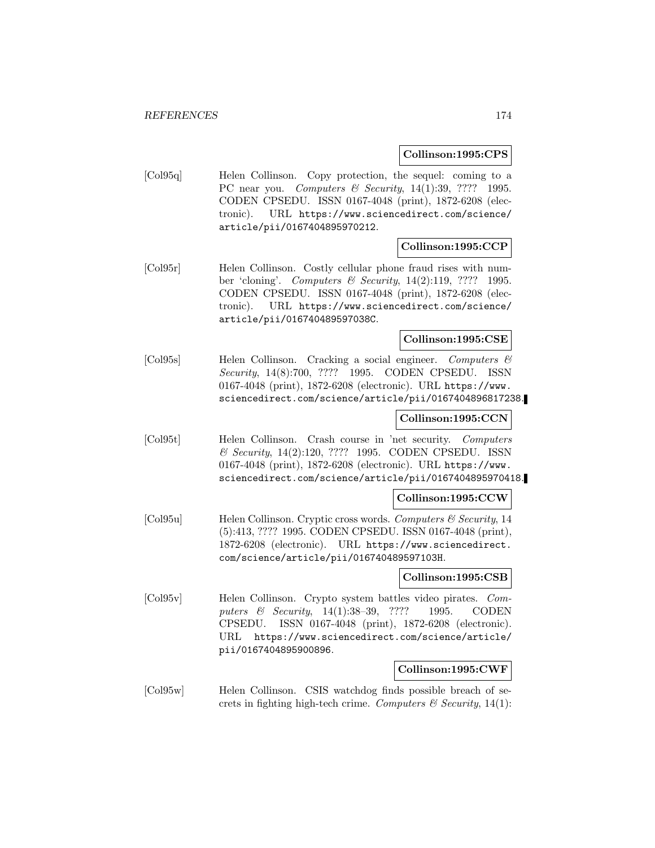## **Collinson:1995:CPS**

[Col95q] Helen Collinson. Copy protection, the sequel: coming to a PC near you. Computers & Security, 14(1):39, ???? 1995. CODEN CPSEDU. ISSN 0167-4048 (print), 1872-6208 (electronic). URL https://www.sciencedirect.com/science/ article/pii/0167404895970212.

# **Collinson:1995:CCP**

[Col95r] Helen Collinson. Costly cellular phone fraud rises with number 'cloning'. Computers & Security, 14(2):119, ???? 1995. CODEN CPSEDU. ISSN 0167-4048 (print), 1872-6208 (electronic). URL https://www.sciencedirect.com/science/ article/pii/016740489597038C.

## **Collinson:1995:CSE**

[Col95s] Helen Collinson. Cracking a social engineer. Computers & Security, 14(8):700, ???? 1995. CODEN CPSEDU. ISSN 0167-4048 (print), 1872-6208 (electronic). URL https://www. sciencedirect.com/science/article/pii/0167404896817238.

# **Collinson:1995:CCN**

[Col95t] Helen Collinson. Crash course in 'net security. Computers & Security, 14(2):120, ???? 1995. CODEN CPSEDU. ISSN 0167-4048 (print), 1872-6208 (electronic). URL https://www. sciencedirect.com/science/article/pii/0167404895970418.

### **Collinson:1995:CCW**

 $\text{[Col95u]}$  Helen Collinson. Cryptic cross words. Computers & Security, 14 (5):413, ???? 1995. CODEN CPSEDU. ISSN 0167-4048 (print), 1872-6208 (electronic). URL https://www.sciencedirect. com/science/article/pii/016740489597103H.

## **Collinson:1995:CSB**

[Col95v] Helen Collinson. Crypto system battles video pirates. Computers & Security, 14(1):38-39, ???? 1995. CODEN CPSEDU. ISSN 0167-4048 (print), 1872-6208 (electronic). URL https://www.sciencedirect.com/science/article/ pii/0167404895900896.

## **Collinson:1995:CWF**

[Col95w] Helen Collinson. CSIS watchdog finds possible breach of secrets in fighting high-tech crime. Computers  $\mathcal C$  Security, 14(1):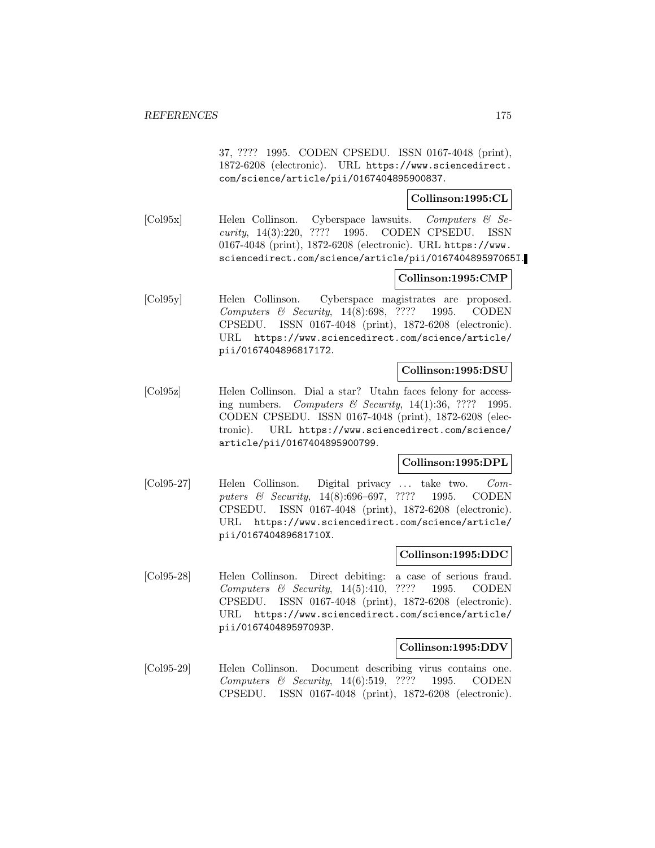37, ???? 1995. CODEN CPSEDU. ISSN 0167-4048 (print), 1872-6208 (electronic). URL https://www.sciencedirect. com/science/article/pii/0167404895900837.

# **Collinson:1995:CL**

[Col95x] Helen Collinson. Cyberspace lawsuits. Computers & Security, 14(3):220, ???? 1995. CODEN CPSEDU. ISSN 0167-4048 (print), 1872-6208 (electronic). URL https://www. sciencedirect.com/science/article/pii/016740489597065I.

# **Collinson:1995:CMP**

[Col95y] Helen Collinson. Cyberspace magistrates are proposed. Computers & Security, 14(8):698, ???? 1995. CODEN CPSEDU. ISSN 0167-4048 (print), 1872-6208 (electronic). URL https://www.sciencedirect.com/science/article/ pii/0167404896817172.

# **Collinson:1995:DSU**

[Col95z] Helen Collinson. Dial a star? Utahn faces felony for accessing numbers. Computers & Security,  $14(1):36$ , ???? 1995. CODEN CPSEDU. ISSN 0167-4048 (print), 1872-6208 (electronic). URL https://www.sciencedirect.com/science/ article/pii/0167404895900799.

# **Collinson:1995:DPL**

[Col95-27] Helen Collinson. Digital privacy ... take two. Computers & Security, 14(8):696–697, ???? 1995. CODEN CPSEDU. ISSN 0167-4048 (print), 1872-6208 (electronic). URL https://www.sciencedirect.com/science/article/ pii/016740489681710X.

### **Collinson:1995:DDC**

[Col95-28] Helen Collinson. Direct debiting: a case of serious fraud. Computers & Security, 14(5):410, ???? 1995. CODEN CPSEDU. ISSN 0167-4048 (print), 1872-6208 (electronic). URL https://www.sciencedirect.com/science/article/ pii/016740489597093P.

# **Collinson:1995:DDV**

[Col95-29] Helen Collinson. Document describing virus contains one. Computers & Security, 14(6):519, ???? 1995. CODEN CPSEDU. ISSN 0167-4048 (print), 1872-6208 (electronic).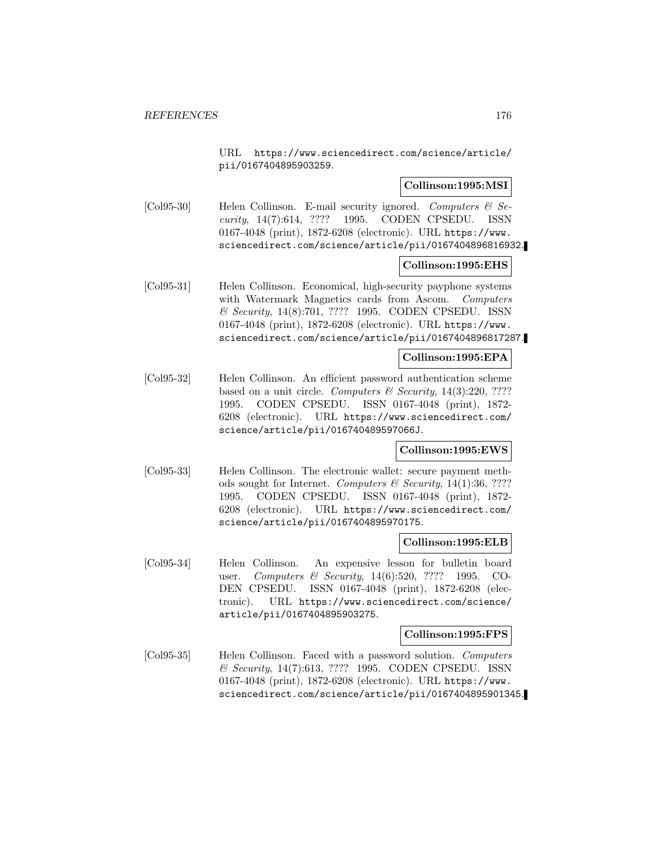URL https://www.sciencedirect.com/science/article/ pii/0167404895903259.

# **Collinson:1995:MSI**

[Col95-30] Helen Collinson. E-mail security ignored. Computers & Security, 14(7):614, ???? 1995. CODEN CPSEDU. ISSN 0167-4048 (print), 1872-6208 (electronic). URL https://www. sciencedirect.com/science/article/pii/0167404896816932.

## **Collinson:1995:EHS**

[Col95-31] Helen Collinson. Economical, high-security payphone systems with Watermark Magnetics cards from Ascom. Computers & Security, 14(8):701, ???? 1995. CODEN CPSEDU. ISSN 0167-4048 (print), 1872-6208 (electronic). URL https://www. sciencedirect.com/science/article/pii/0167404896817287.

## **Collinson:1995:EPA**

[Col95-32] Helen Collinson. An efficient password authentication scheme based on a unit circle. Computers  $\mathcal B$  Security, 14(3):220, ???? 1995. CODEN CPSEDU. ISSN 0167-4048 (print), 1872- 6208 (electronic). URL https://www.sciencedirect.com/ science/article/pii/016740489597066J.

# **Collinson:1995:EWS**

[Col95-33] Helen Collinson. The electronic wallet: secure payment methods sought for Internet. Computers  $\mathcal C$  Security, 14(1):36, ???? 1995. CODEN CPSEDU. ISSN 0167-4048 (print), 1872- 6208 (electronic). URL https://www.sciencedirect.com/ science/article/pii/0167404895970175.

### **Collinson:1995:ELB**

[Col95-34] Helen Collinson. An expensive lesson for bulletin board user. Computers & Security, 14(6):520, ???? 1995. CO-DEN CPSEDU. ISSN 0167-4048 (print), 1872-6208 (electronic). URL https://www.sciencedirect.com/science/ article/pii/0167404895903275.

# **Collinson:1995:FPS**

[Col95-35] Helen Collinson. Faced with a password solution. Computers & Security, 14(7):613, ???? 1995. CODEN CPSEDU. ISSN 0167-4048 (print), 1872-6208 (electronic). URL https://www. sciencedirect.com/science/article/pii/0167404895901345.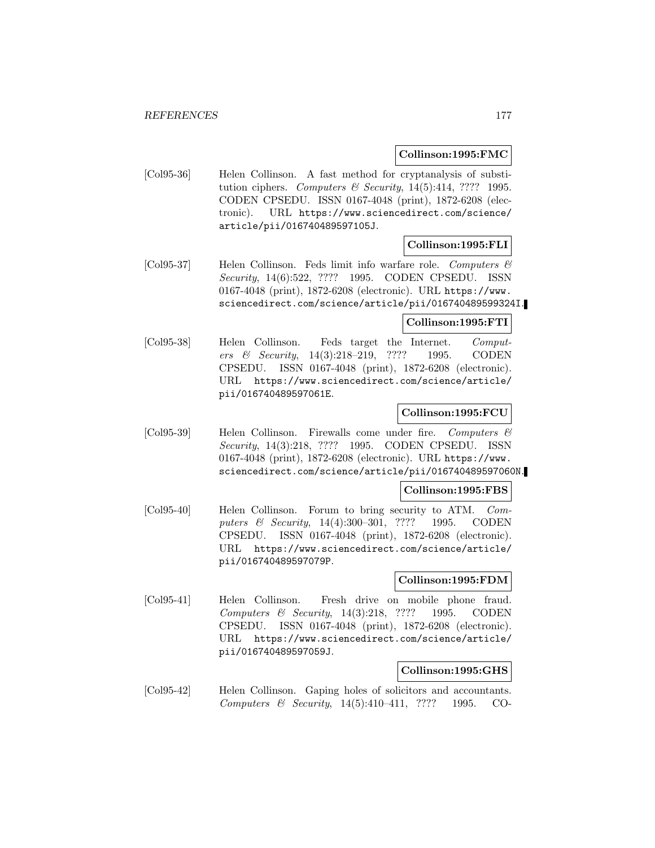## **Collinson:1995:FMC**

[Col95-36] Helen Collinson. A fast method for cryptanalysis of substitution ciphers. Computers & Security,  $14(5):414$ , ???? 1995. CODEN CPSEDU. ISSN 0167-4048 (print), 1872-6208 (electronic). URL https://www.sciencedirect.com/science/ article/pii/016740489597105J.

# **Collinson:1995:FLI**

[Col95-37] Helen Collinson. Feds limit info warfare role. Computers & Security, 14(6):522, ???? 1995. CODEN CPSEDU. ISSN 0167-4048 (print), 1872-6208 (electronic). URL https://www. sciencedirect.com/science/article/pii/016740489599324I.

## **Collinson:1995:FTI**

[Col95-38] Helen Collinson. Feds target the Internet. Computers & Security, 14(3):218–219, ???? 1995. CODEN CPSEDU. ISSN 0167-4048 (print), 1872-6208 (electronic). URL https://www.sciencedirect.com/science/article/ pii/016740489597061E.

# **Collinson:1995:FCU**

[Col95-39] Helen Collinson. Firewalls come under fire. Computers & Security, 14(3):218, ???? 1995. CODEN CPSEDU. ISSN 0167-4048 (print), 1872-6208 (electronic). URL https://www. sciencedirect.com/science/article/pii/016740489597060N.

## **Collinson:1995:FBS**

[Col95-40] Helen Collinson. Forum to bring security to ATM. Computers & Security, 14(4):300–301, ???? 1995. CODEN CPSEDU. ISSN 0167-4048 (print), 1872-6208 (electronic). URL https://www.sciencedirect.com/science/article/ pii/016740489597079P.

### **Collinson:1995:FDM**

[Col95-41] Helen Collinson. Fresh drive on mobile phone fraud. Computers & Security, 14(3):218, ???? 1995. CODEN CPSEDU. ISSN 0167-4048 (print), 1872-6208 (electronic). URL https://www.sciencedirect.com/science/article/ pii/016740489597059J.

### **Collinson:1995:GHS**

[Col95-42] Helen Collinson. Gaping holes of solicitors and accountants. Computers & Security, 14(5):410–411, ???? 1995. CO-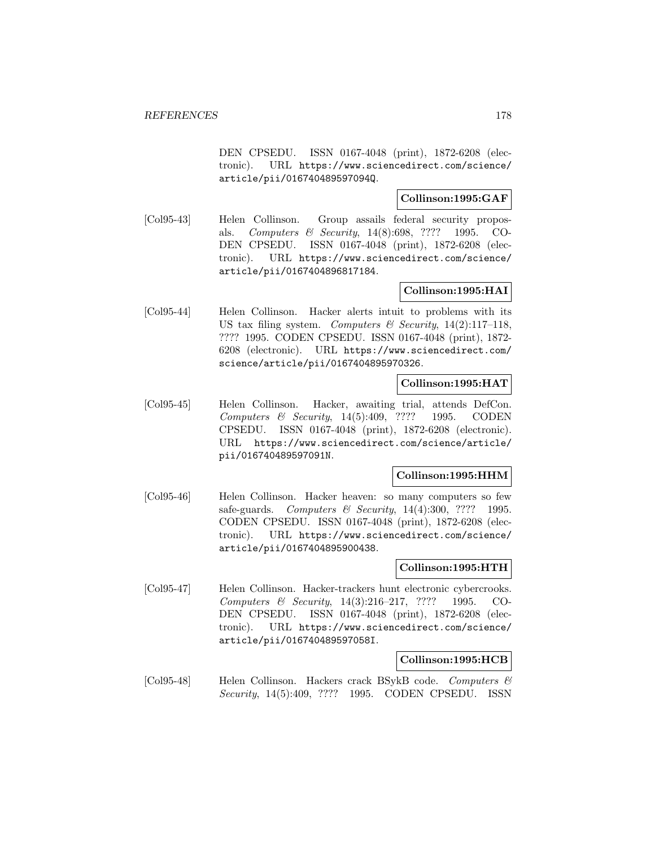DEN CPSEDU. ISSN 0167-4048 (print), 1872-6208 (electronic). URL https://www.sciencedirect.com/science/ article/pii/016740489597094Q.

# **Collinson:1995:GAF**

[Col95-43] Helen Collinson. Group assails federal security proposals. Computers & Security, 14(8):698, ???? 1995. CO-DEN CPSEDU. ISSN 0167-4048 (print), 1872-6208 (electronic). URL https://www.sciencedirect.com/science/ article/pii/0167404896817184.

# **Collinson:1995:HAI**

[Col95-44] Helen Collinson. Hacker alerts intuit to problems with its US tax filing system. Computers  $\mathcal C$  Security, 14(2):117–118, ???? 1995. CODEN CPSEDU. ISSN 0167-4048 (print), 1872- 6208 (electronic). URL https://www.sciencedirect.com/ science/article/pii/0167404895970326.

## **Collinson:1995:HAT**

[Col95-45] Helen Collinson. Hacker, awaiting trial, attends DefCon. Computers & Security, 14(5):409, ???? 1995. CODEN CPSEDU. ISSN 0167-4048 (print), 1872-6208 (electronic). URL https://www.sciencedirect.com/science/article/ pii/016740489597091N.

# **Collinson:1995:HHM**

[Col95-46] Helen Collinson. Hacker heaven: so many computers so few safe-guards. *Computers & Security*, 14(4):300, ???? 1995. CODEN CPSEDU. ISSN 0167-4048 (print), 1872-6208 (electronic). URL https://www.sciencedirect.com/science/ article/pii/0167404895900438.

# **Collinson:1995:HTH**

[Col95-47] Helen Collinson. Hacker-trackers hunt electronic cybercrooks. Computers & Security, 14(3):216–217, ???? 1995. CO-DEN CPSEDU. ISSN 0167-4048 (print), 1872-6208 (electronic). URL https://www.sciencedirect.com/science/ article/pii/016740489597058I.

## **Collinson:1995:HCB**

[Col95-48] Helen Collinson. Hackers crack BSvkB code. Computers & Security, 14(5):409, ???? 1995. CODEN CPSEDU. ISSN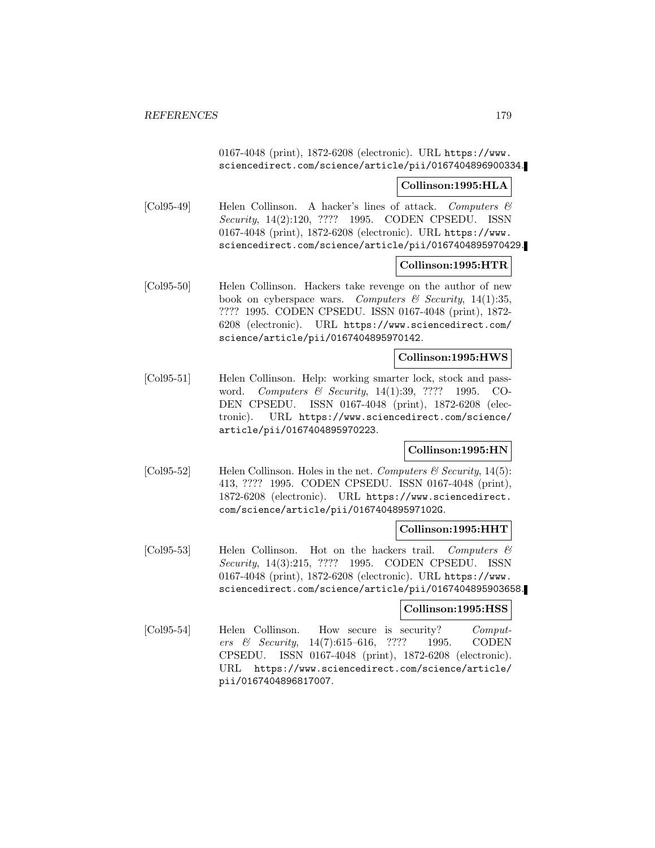0167-4048 (print), 1872-6208 (electronic). URL https://www. sciencedirect.com/science/article/pii/0167404896900334.

### **Collinson:1995:HLA**

[Col95-49] Helen Collinson. A hacker's lines of attack. Computers  $\mathcal C$ Security, 14(2):120, ???? 1995. CODEN CPSEDU. ISSN 0167-4048 (print), 1872-6208 (electronic). URL https://www. sciencedirect.com/science/article/pii/0167404895970429.

## **Collinson:1995:HTR**

[Col95-50] Helen Collinson. Hackers take revenge on the author of new book on cyberspace wars. Computers  $\mathcal B$  Security, 14(1):35, ???? 1995. CODEN CPSEDU. ISSN 0167-4048 (print), 1872- 6208 (electronic). URL https://www.sciencedirect.com/ science/article/pii/0167404895970142.

## **Collinson:1995:HWS**

[Col95-51] Helen Collinson. Help: working smarter lock, stock and password. Computers & Security, 14(1):39, ???? 1995. CO-DEN CPSEDU. ISSN 0167-4048 (print), 1872-6208 (electronic). URL https://www.sciencedirect.com/science/ article/pii/0167404895970223.

# **Collinson:1995:HN**

[Col95-52] Helen Collinson. Holes in the net. Computers & Security, 14(5): 413, ???? 1995. CODEN CPSEDU. ISSN 0167-4048 (print), 1872-6208 (electronic). URL https://www.sciencedirect. com/science/article/pii/016740489597102G.

### **Collinson:1995:HHT**

[Col95-53] Helen Collinson. Hot on the hackers trail. Computers  $\mathcal{B}$ Security, 14(3):215, ???? 1995. CODEN CPSEDU. ISSN 0167-4048 (print), 1872-6208 (electronic). URL https://www. sciencedirect.com/science/article/pii/0167404895903658.

### **Collinson:1995:HSS**

[Col95-54] Helen Collinson. How secure is security? Computers & Security, 14(7):615–616, ???? 1995. CODEN CPSEDU. ISSN 0167-4048 (print), 1872-6208 (electronic). URL https://www.sciencedirect.com/science/article/ pii/0167404896817007.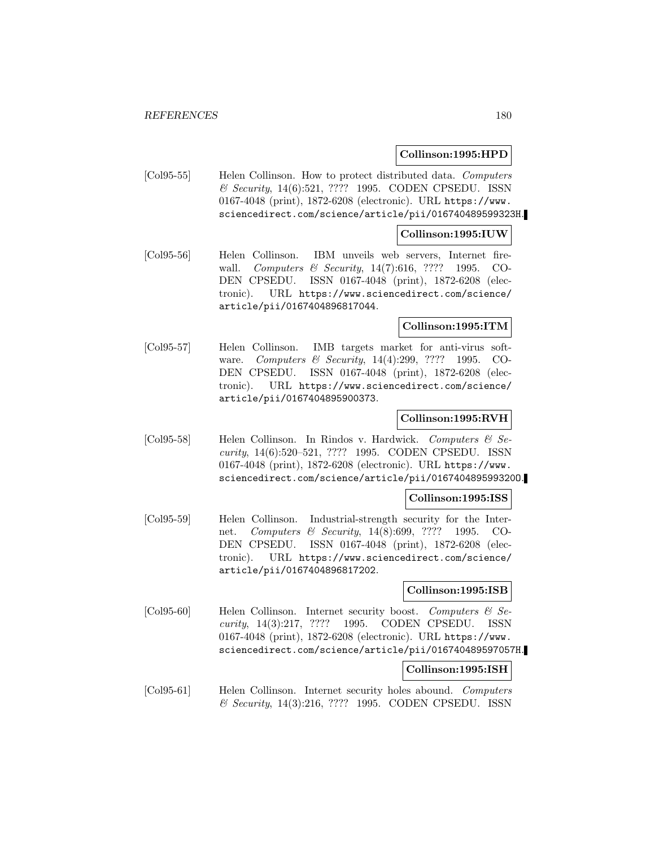## **Collinson:1995:HPD**

[Col95-55] Helen Collinson. How to protect distributed data. Computers & Security, 14(6):521, ???? 1995. CODEN CPSEDU. ISSN 0167-4048 (print), 1872-6208 (electronic). URL https://www. sciencedirect.com/science/article/pii/016740489599323H.

### **Collinson:1995:IUW**

[Col95-56] Helen Collinson. IBM unveils web servers, Internet firewall. *Computers & Security*, 14(7):616, ???? 1995. CO-DEN CPSEDU. ISSN 0167-4048 (print), 1872-6208 (electronic). URL https://www.sciencedirect.com/science/ article/pii/0167404896817044.

## **Collinson:1995:ITM**

[Col95-57] Helen Collinson. IMB targets market for anti-virus software. Computers & Security, 14(4):299, ???? 1995. CO-DEN CPSEDU. ISSN 0167-4048 (print), 1872-6208 (electronic). URL https://www.sciencedirect.com/science/ article/pii/0167404895900373.

## **Collinson:1995:RVH**

[Col95-58] Helen Collinson. In Rindos v. Hardwick. Computers & Security, 14(6):520–521, ???? 1995. CODEN CPSEDU. ISSN 0167-4048 (print), 1872-6208 (electronic). URL https://www. sciencedirect.com/science/article/pii/016740489599320O.

### **Collinson:1995:ISS**

[Col95-59] Helen Collinson. Industrial-strength security for the Internet. Computers & Security, 14(8):699, ???? 1995. CO-DEN CPSEDU. ISSN 0167-4048 (print), 1872-6208 (electronic). URL https://www.sciencedirect.com/science/ article/pii/0167404896817202.

## **Collinson:1995:ISB**

[Col95-60] Helen Collinson. Internet security boost. Computers  $\mathcal{C}$  Security, 14(3):217, ???? 1995. CODEN CPSEDU. ISSN 0167-4048 (print), 1872-6208 (electronic). URL https://www. sciencedirect.com/science/article/pii/016740489597057H.

### **Collinson:1995:ISH**

[Col95-61] Helen Collinson. Internet security holes abound. Computers & Security, 14(3):216, ???? 1995. CODEN CPSEDU. ISSN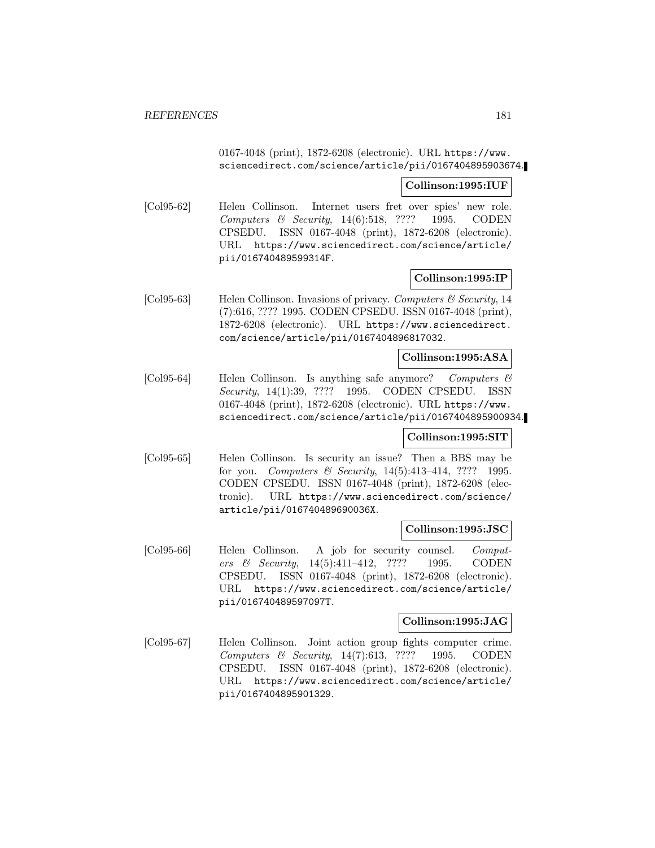0167-4048 (print), 1872-6208 (electronic). URL https://www. sciencedirect.com/science/article/pii/0167404895903674.

#### **Collinson:1995:IUF**

[Col95-62] Helen Collinson. Internet users fret over spies' new role. Computers & Security, 14(6):518, ???? 1995. CODEN CPSEDU. ISSN 0167-4048 (print), 1872-6208 (electronic). URL https://www.sciencedirect.com/science/article/ pii/016740489599314F.

#### **Collinson:1995:IP**

[Col95-63] Helen Collinson. Invasions of privacy. Computers & Security, 14 (7):616, ???? 1995. CODEN CPSEDU. ISSN 0167-4048 (print), 1872-6208 (electronic). URL https://www.sciencedirect. com/science/article/pii/0167404896817032.

#### **Collinson:1995:ASA**

[Col95-64] Helen Collinson. Is anything safe anymore? Computers & Security, 14(1):39, ???? 1995. CODEN CPSEDU. ISSN 0167-4048 (print), 1872-6208 (electronic). URL https://www. sciencedirect.com/science/article/pii/0167404895900934.

#### **Collinson:1995:SIT**

[Col95-65] Helen Collinson. Is security an issue? Then a BBS may be for you. Computers & Security, 14(5):413–414, ???? 1995. CODEN CPSEDU. ISSN 0167-4048 (print), 1872-6208 (electronic). URL https://www.sciencedirect.com/science/ article/pii/016740489690036X.

#### **Collinson:1995:JSC**

[Col95-66] Helen Collinson. A job for security counsel. Computers & Security, 14(5):411–412, ???? 1995. CODEN CPSEDU. ISSN 0167-4048 (print), 1872-6208 (electronic). URL https://www.sciencedirect.com/science/article/ pii/016740489597097T.

### **Collinson:1995:JAG**

[Col95-67] Helen Collinson. Joint action group fights computer crime. Computers & Security, 14(7):613, ???? 1995. CODEN CPSEDU. ISSN 0167-4048 (print), 1872-6208 (electronic). URL https://www.sciencedirect.com/science/article/ pii/0167404895901329.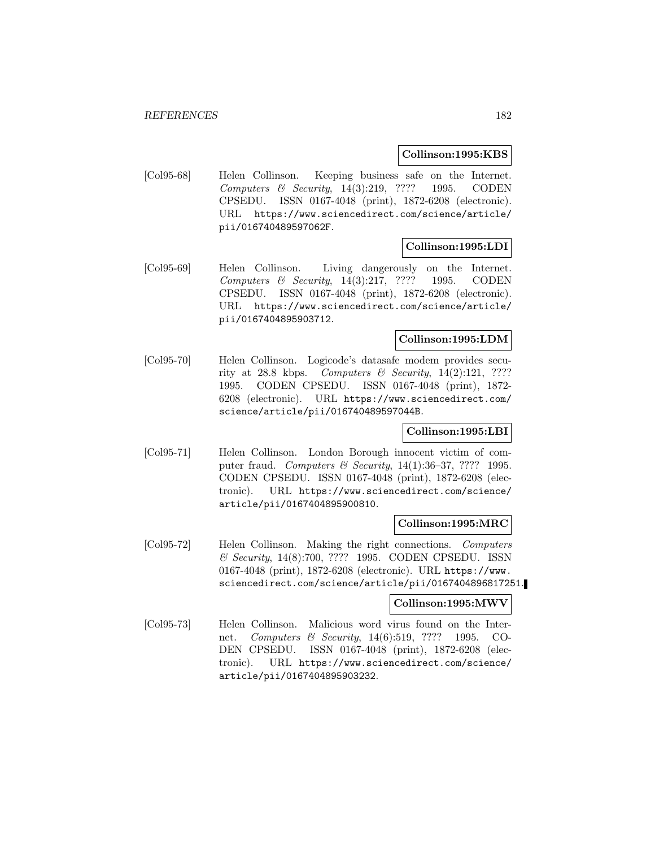#### **Collinson:1995:KBS**

[Col95-68] Helen Collinson. Keeping business safe on the Internet. Computers & Security, 14(3):219, ???? 1995. CODEN CPSEDU. ISSN 0167-4048 (print), 1872-6208 (electronic). URL https://www.sciencedirect.com/science/article/ pii/016740489597062F.

## **Collinson:1995:LDI**

[Col95-69] Helen Collinson. Living dangerously on the Internet. Computers & Security, 14(3):217, ???? 1995. CODEN CPSEDU. ISSN 0167-4048 (print), 1872-6208 (electronic). URL https://www.sciencedirect.com/science/article/ pii/0167404895903712.

## **Collinson:1995:LDM**

[Col95-70] Helen Collinson. Logicode's datasafe modem provides security at 28.8 kbps. Computers & Security,  $14(2):121$ , ???? 1995. CODEN CPSEDU. ISSN 0167-4048 (print), 1872- 6208 (electronic). URL https://www.sciencedirect.com/ science/article/pii/016740489597044B.

### **Collinson:1995:LBI**

[Col95-71] Helen Collinson. London Borough innocent victim of computer fraud. Computers  $\mathcal B$  Security, 14(1):36-37, ???? 1995. CODEN CPSEDU. ISSN 0167-4048 (print), 1872-6208 (electronic). URL https://www.sciencedirect.com/science/ article/pii/0167404895900810.

#### **Collinson:1995:MRC**

[Col95-72] Helen Collinson. Making the right connections. Computers & Security, 14(8):700, ???? 1995. CODEN CPSEDU. ISSN 0167-4048 (print), 1872-6208 (electronic). URL https://www. sciencedirect.com/science/article/pii/0167404896817251.

### **Collinson:1995:MWV**

[Col95-73] Helen Collinson. Malicious word virus found on the Internet. Computers & Security, 14(6):519, ???? 1995. CO-DEN CPSEDU. ISSN 0167-4048 (print), 1872-6208 (electronic). URL https://www.sciencedirect.com/science/ article/pii/0167404895903232.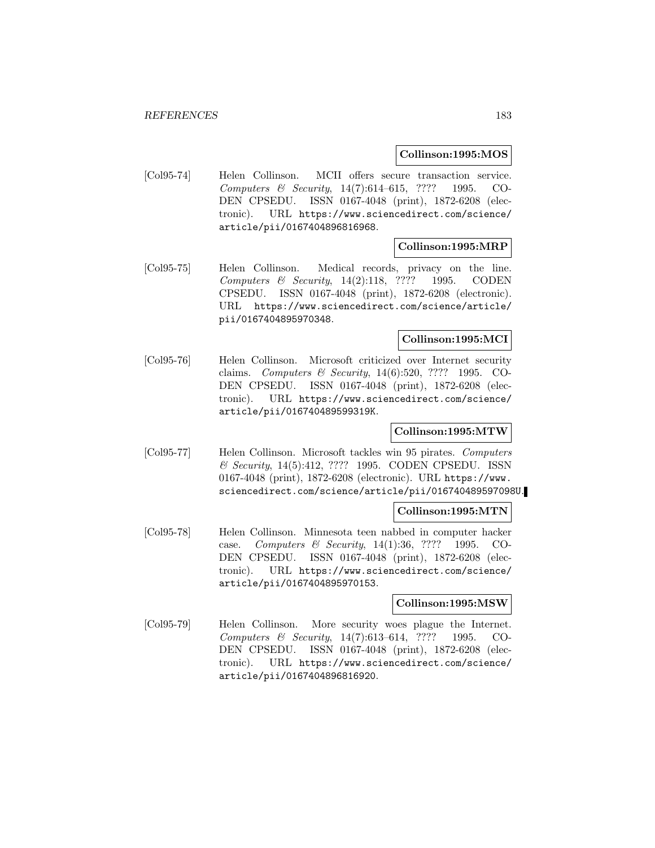#### **Collinson:1995:MOS**

[Col95-74] Helen Collinson. MCII offers secure transaction service. Computers & Security, 14(7):614–615, ???? 1995. CO-DEN CPSEDU. ISSN 0167-4048 (print), 1872-6208 (electronic). URL https://www.sciencedirect.com/science/ article/pii/0167404896816968.

### **Collinson:1995:MRP**

[Col95-75] Helen Collinson. Medical records, privacy on the line. Computers & Security, 14(2):118, ???? 1995. CODEN CPSEDU. ISSN 0167-4048 (print), 1872-6208 (electronic). URL https://www.sciencedirect.com/science/article/ pii/0167404895970348.

## **Collinson:1995:MCI**

[Col95-76] Helen Collinson. Microsoft criticized over Internet security claims. Computers & Security, 14(6):520, ???? 1995. CO-DEN CPSEDU. ISSN 0167-4048 (print), 1872-6208 (electronic). URL https://www.sciencedirect.com/science/ article/pii/016740489599319K.

## **Collinson:1995:MTW**

[Col95-77] Helen Collinson. Microsoft tackles win 95 pirates. Computers & Security, 14(5):412, ???? 1995. CODEN CPSEDU. ISSN 0167-4048 (print), 1872-6208 (electronic). URL https://www. sciencedirect.com/science/article/pii/016740489597098U.

#### **Collinson:1995:MTN**

[Col95-78] Helen Collinson. Minnesota teen nabbed in computer hacker case. Computers & Security, 14(1):36, ???? 1995. CO-DEN CPSEDU. ISSN 0167-4048 (print), 1872-6208 (electronic). URL https://www.sciencedirect.com/science/ article/pii/0167404895970153.

#### **Collinson:1995:MSW**

[Col95-79] Helen Collinson. More security woes plague the Internet. Computers & Security, 14(7):613–614, ???? 1995. CO-DEN CPSEDU. ISSN 0167-4048 (print), 1872-6208 (electronic). URL https://www.sciencedirect.com/science/ article/pii/0167404896816920.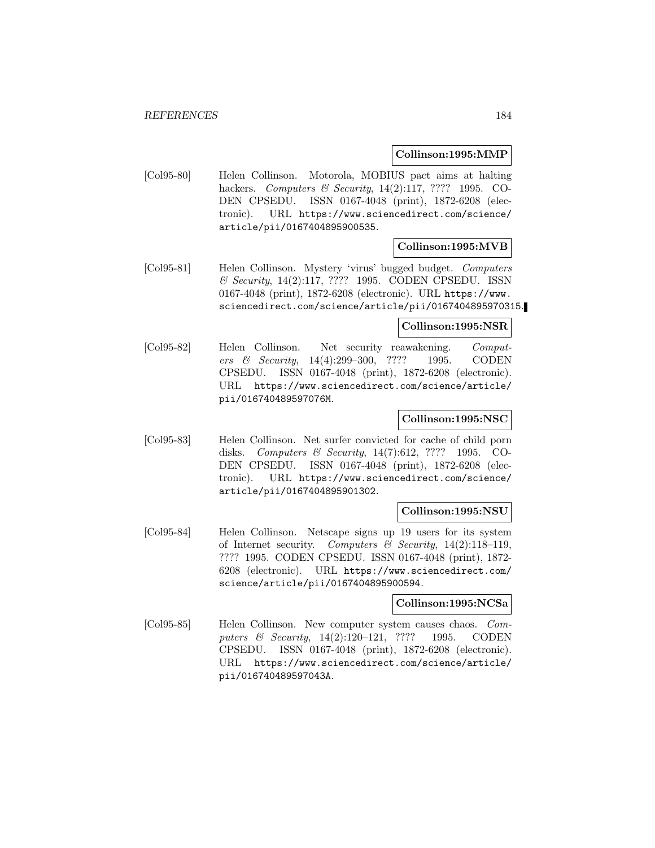### **Collinson:1995:MMP**

[Col95-80] Helen Collinson. Motorola, MOBIUS pact aims at halting hackers. *Computers & Security*, 14(2):117, ???? 1995. CO-DEN CPSEDU. ISSN 0167-4048 (print), 1872-6208 (electronic). URL https://www.sciencedirect.com/science/ article/pii/0167404895900535.

### **Collinson:1995:MVB**

[Col95-81] Helen Collinson. Mystery 'virus' bugged budget. Computers & Security, 14(2):117, ???? 1995. CODEN CPSEDU. ISSN 0167-4048 (print), 1872-6208 (electronic). URL https://www. sciencedirect.com/science/article/pii/0167404895970315.

#### **Collinson:1995:NSR**

[Col95-82] Helen Collinson. Net security reawakening. Computers & Security, 14(4):299–300, ???? 1995. CODEN CPSEDU. ISSN 0167-4048 (print), 1872-6208 (electronic). URL https://www.sciencedirect.com/science/article/ pii/016740489597076M.

#### **Collinson:1995:NSC**

[Col95-83] Helen Collinson. Net surfer convicted for cache of child porn disks. Computers & Security, 14(7):612, ???? 1995. CO-DEN CPSEDU. ISSN 0167-4048 (print), 1872-6208 (electronic). URL https://www.sciencedirect.com/science/ article/pii/0167404895901302.

#### **Collinson:1995:NSU**

[Col95-84] Helen Collinson. Netscape signs up 19 users for its system of Internet security. Computers  $\mathcal B$  Security, 14(2):118–119, ???? 1995. CODEN CPSEDU. ISSN 0167-4048 (print), 1872- 6208 (electronic). URL https://www.sciencedirect.com/ science/article/pii/0167404895900594.

#### **Collinson:1995:NCSa**

[Col95-85] Helen Collinson. New computer system causes chaos. Computers & Security, 14(2):120–121, ???? 1995. CODEN CPSEDU. ISSN 0167-4048 (print), 1872-6208 (electronic). URL https://www.sciencedirect.com/science/article/ pii/016740489597043A.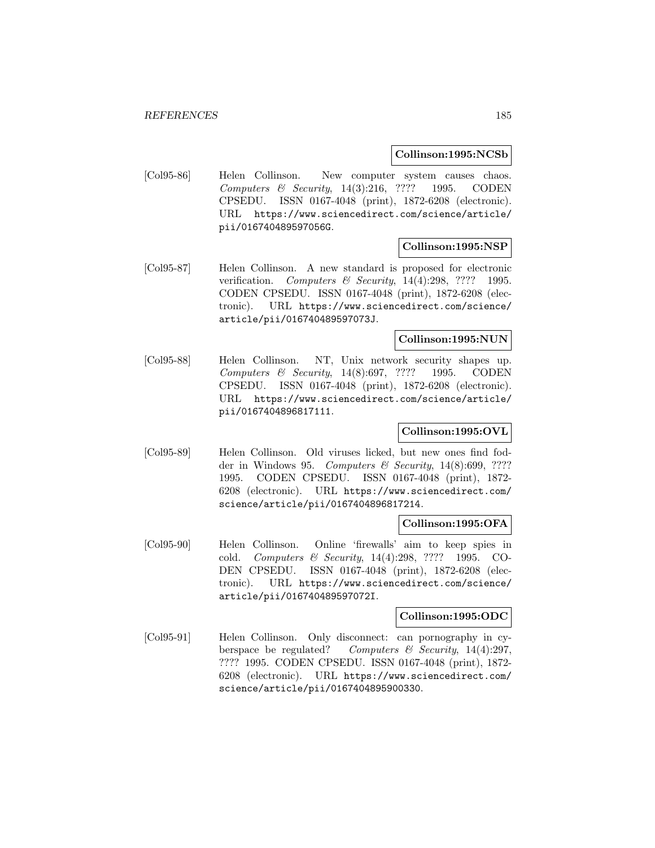#### **Collinson:1995:NCSb**

[Col95-86] Helen Collinson. New computer system causes chaos. Computers & Security, 14(3):216, ???? 1995. CODEN CPSEDU. ISSN 0167-4048 (print), 1872-6208 (electronic). URL https://www.sciencedirect.com/science/article/ pii/016740489597056G.

### **Collinson:1995:NSP**

[Col95-87] Helen Collinson. A new standard is proposed for electronic verification. Computers & Security, 14(4):298, ???? 1995. CODEN CPSEDU. ISSN 0167-4048 (print), 1872-6208 (electronic). URL https://www.sciencedirect.com/science/ article/pii/016740489597073J.

## **Collinson:1995:NUN**

[Col95-88] Helen Collinson. NT, Unix network security shapes up. Computers & Security, 14(8):697, ???? 1995. CODEN CPSEDU. ISSN 0167-4048 (print), 1872-6208 (electronic). URL https://www.sciencedirect.com/science/article/ pii/0167404896817111.

## **Collinson:1995:OVL**

[Col95-89] Helen Collinson. Old viruses licked, but new ones find fodder in Windows 95. Computers & Security,  $14(8):699,$  ???? 1995. CODEN CPSEDU. ISSN 0167-4048 (print), 1872- 6208 (electronic). URL https://www.sciencedirect.com/ science/article/pii/0167404896817214.

### **Collinson:1995:OFA**

[Col95-90] Helen Collinson. Online 'firewalls' aim to keep spies in cold. Computers & Security, 14(4):298, ???? 1995. CO-DEN CPSEDU. ISSN 0167-4048 (print), 1872-6208 (electronic). URL https://www.sciencedirect.com/science/ article/pii/016740489597072I.

#### **Collinson:1995:ODC**

[Col95-91] Helen Collinson. Only disconnect: can pornography in cyberspace be regulated? Computers & Security, 14(4):297, ???? 1995. CODEN CPSEDU. ISSN 0167-4048 (print), 1872- 6208 (electronic). URL https://www.sciencedirect.com/ science/article/pii/0167404895900330.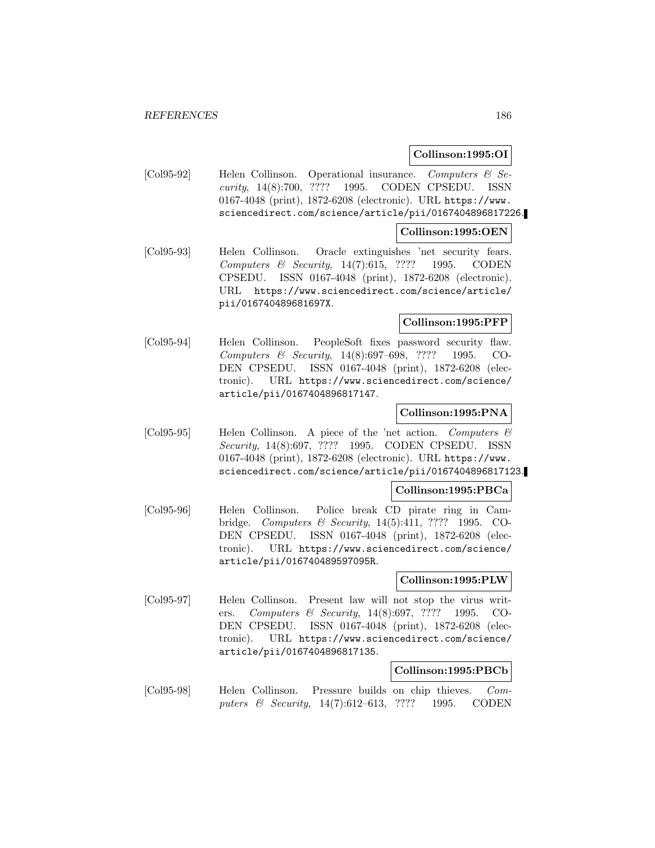### **Collinson:1995:OI**

[Col95-92] Helen Collinson. Operational insurance. Computers & Security, 14(8):700, ???? 1995. CODEN CPSEDU. ISSN 0167-4048 (print), 1872-6208 (electronic). URL https://www. sciencedirect.com/science/article/pii/0167404896817226.

#### **Collinson:1995:OEN**

[Col95-93] Helen Collinson. Oracle extinguishes 'net security fears. Computers & Security, 14(7):615, ???? 1995. CODEN CPSEDU. ISSN 0167-4048 (print), 1872-6208 (electronic). URL https://www.sciencedirect.com/science/article/ pii/016740489681697X.

### **Collinson:1995:PFP**

[Col95-94] Helen Collinson. PeopleSoft fixes password security flaw. Computers & Security, 14(8):697–698, ???? 1995. CO-DEN CPSEDU. ISSN 0167-4048 (print), 1872-6208 (electronic). URL https://www.sciencedirect.com/science/ article/pii/0167404896817147.

## **Collinson:1995:PNA**

[Col95-95] Helen Collinson. A piece of the 'net action. Computers  $\mathcal C$ Security, 14(8):697, ???? 1995. CODEN CPSEDU. ISSN 0167-4048 (print), 1872-6208 (electronic). URL https://www. sciencedirect.com/science/article/pii/0167404896817123.

### **Collinson:1995:PBCa**

[Col95-96] Helen Collinson. Police break CD pirate ring in Cambridge. Computers & Security, 14(5):411, ???? 1995. CO-DEN CPSEDU. ISSN 0167-4048 (print), 1872-6208 (electronic). URL https://www.sciencedirect.com/science/ article/pii/016740489597095R.

### **Collinson:1995:PLW**

[Col95-97] Helen Collinson. Present law will not stop the virus writers. Computers & Security, 14(8):697, ???? 1995. CO-DEN CPSEDU. ISSN 0167-4048 (print), 1872-6208 (electronic). URL https://www.sciencedirect.com/science/ article/pii/0167404896817135.

### **Collinson:1995:PBCb**

[Col95-98] Helen Collinson. Pressure builds on chip thieves. Computers & Security, 14(7):612–613, ???? 1995. CODEN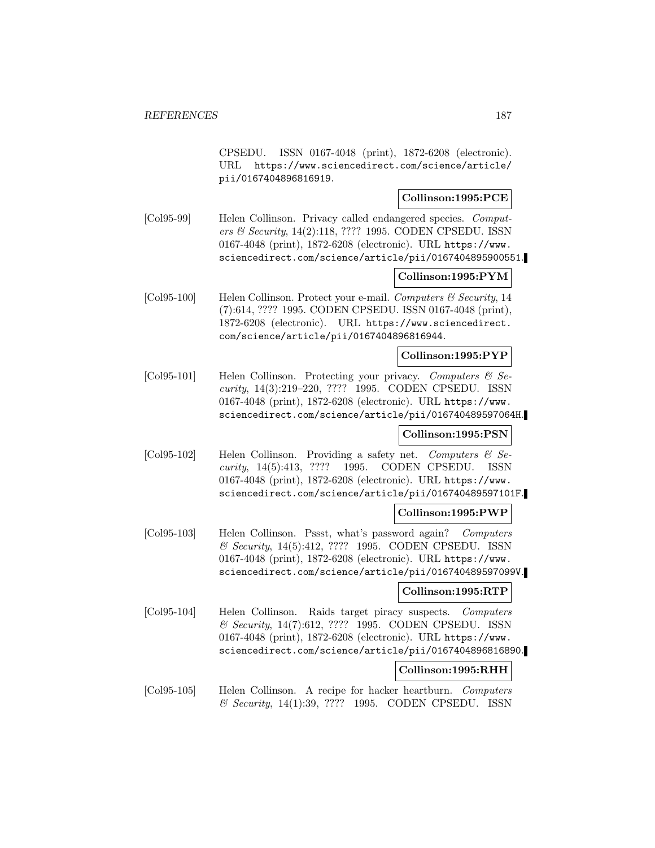CPSEDU. ISSN 0167-4048 (print), 1872-6208 (electronic). URL https://www.sciencedirect.com/science/article/ pii/0167404896816919.

## **Collinson:1995:PCE**

[Col95-99] Helen Collinson. Privacy called endangered species. Computers & Security, 14(2):118, ???? 1995. CODEN CPSEDU. ISSN 0167-4048 (print), 1872-6208 (electronic). URL https://www. sciencedirect.com/science/article/pii/0167404895900551.

## **Collinson:1995:PYM**

[Col95-100] Helen Collinson. Protect your e-mail. Computers & Security, 14 (7):614, ???? 1995. CODEN CPSEDU. ISSN 0167-4048 (print), 1872-6208 (electronic). URL https://www.sciencedirect. com/science/article/pii/0167404896816944.

### **Collinson:1995:PYP**

[Col95-101] Helen Collinson. Protecting your privacy. Computers  $\mathcal{C}$  Security, 14(3):219–220, ???? 1995. CODEN CPSEDU. ISSN 0167-4048 (print), 1872-6208 (electronic). URL https://www. sciencedirect.com/science/article/pii/016740489597064H.

### **Collinson:1995:PSN**

[Col95-102] Helen Collinson. Providing a safety net. Computers & Security, 14(5):413, ???? 1995. CODEN CPSEDU. ISSN 0167-4048 (print), 1872-6208 (electronic). URL https://www. sciencedirect.com/science/article/pii/016740489597101F.

#### **Collinson:1995:PWP**

[Col95-103] Helen Collinson. Pssst, what's password again? Computers & Security, 14(5):412, ???? 1995. CODEN CPSEDU. ISSN 0167-4048 (print), 1872-6208 (electronic). URL https://www. sciencedirect.com/science/article/pii/016740489597099V.

## **Collinson:1995:RTP**

[Col95-104] Helen Collinson. Raids target piracy suspects. Computers & Security, 14(7):612, ???? 1995. CODEN CPSEDU. ISSN 0167-4048 (print), 1872-6208 (electronic). URL https://www. sciencedirect.com/science/article/pii/0167404896816890.

### **Collinson:1995:RHH**

[Col95-105] Helen Collinson. A recipe for hacker heartburn. Computers & Security, 14(1):39, ???? 1995. CODEN CPSEDU. ISSN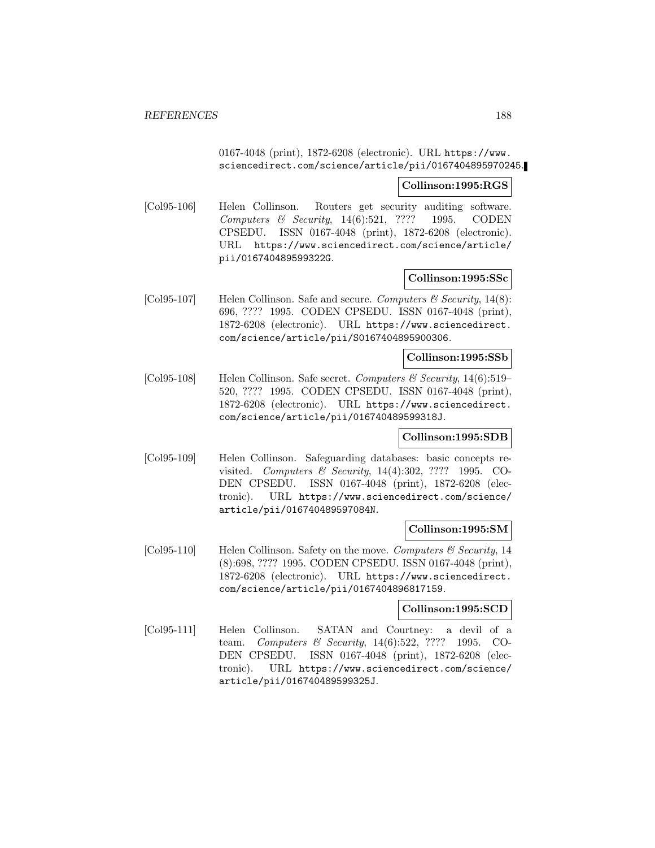## 0167-4048 (print), 1872-6208 (electronic). URL https://www. sciencedirect.com/science/article/pii/0167404895970245.

#### **Collinson:1995:RGS**

[Col95-106] Helen Collinson. Routers get security auditing software. Computers & Security, 14(6):521, ???? 1995. CODEN CPSEDU. ISSN 0167-4048 (print), 1872-6208 (electronic). URL https://www.sciencedirect.com/science/article/ pii/016740489599322G.

#### **Collinson:1995:SSc**

[Col95-107] Helen Collinson. Safe and secure. Computers  $\mathcal C$  Security, 14(8): 696, ???? 1995. CODEN CPSEDU. ISSN 0167-4048 (print), 1872-6208 (electronic). URL https://www.sciencedirect. com/science/article/pii/S0167404895900306.

#### **Collinson:1995:SSb**

[Col95-108] Helen Collinson. Safe secret. Computers & Security, 14(6):519– 520, ???? 1995. CODEN CPSEDU. ISSN 0167-4048 (print), 1872-6208 (electronic). URL https://www.sciencedirect. com/science/article/pii/016740489599318J.

### **Collinson:1995:SDB**

[Col95-109] Helen Collinson. Safeguarding databases: basic concepts revisited. Computers & Security, 14(4):302, ???? 1995. CO-DEN CPSEDU. ISSN 0167-4048 (print), 1872-6208 (electronic). URL https://www.sciencedirect.com/science/ article/pii/016740489597084N.

### **Collinson:1995:SM**

[Col95-110] Helen Collinson. Safety on the move. Computers  $\mathcal{C}$  Security, 14 (8):698, ???? 1995. CODEN CPSEDU. ISSN 0167-4048 (print), 1872-6208 (electronic). URL https://www.sciencedirect. com/science/article/pii/0167404896817159.

#### **Collinson:1995:SCD**

[Col95-111] Helen Collinson. SATAN and Courtney: a devil of a team. Computers & Security, 14(6):522, ???? 1995. CO-DEN CPSEDU. ISSN 0167-4048 (print), 1872-6208 (electronic). URL https://www.sciencedirect.com/science/ article/pii/016740489599325J.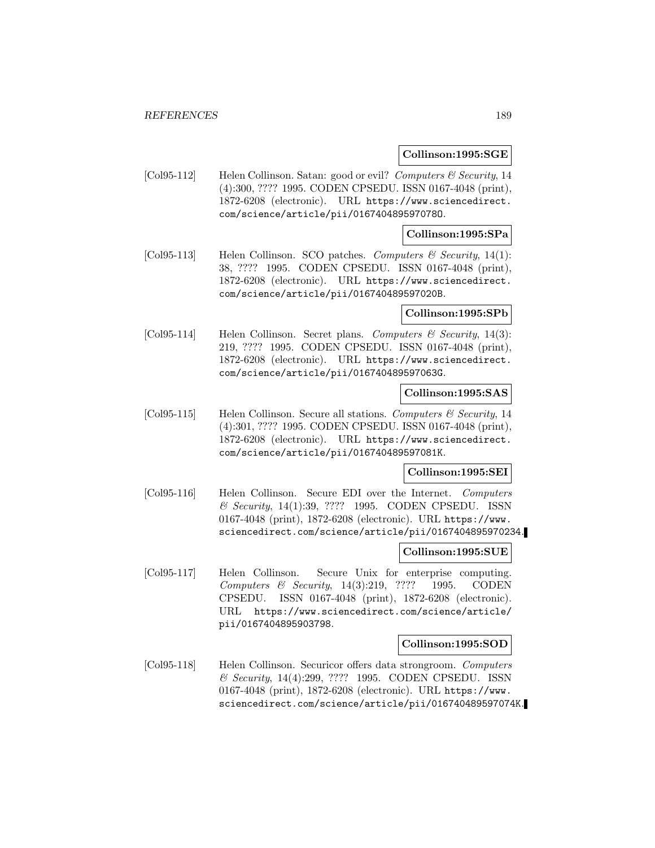#### **Collinson:1995:SGE**

[Col95-112] Helen Collinson. Satan: good or evil? Computers & Security, 14 (4):300, ???? 1995. CODEN CPSEDU. ISSN 0167-4048 (print), 1872-6208 (electronic). URL https://www.sciencedirect. com/science/article/pii/016740489597078O.

#### **Collinson:1995:SPa**

[Col95-113] Helen Collinson. SCO patches. Computers & Security, 14(1): 38, ???? 1995. CODEN CPSEDU. ISSN 0167-4048 (print), 1872-6208 (electronic). URL https://www.sciencedirect. com/science/article/pii/016740489597020B.

#### **Collinson:1995:SPb**

[Col95-114] Helen Collinson. Secret plans. Computers & Security, 14(3): 219, ???? 1995. CODEN CPSEDU. ISSN 0167-4048 (print), 1872-6208 (electronic). URL https://www.sciencedirect. com/science/article/pii/016740489597063G.

#### **Collinson:1995:SAS**

 $\text{[Col95-115]}$  Helen Collinson. Secure all stations. Computers & Security, 14 (4):301, ???? 1995. CODEN CPSEDU. ISSN 0167-4048 (print), 1872-6208 (electronic). URL https://www.sciencedirect. com/science/article/pii/016740489597081K.

### **Collinson:1995:SEI**

[Col95-116] Helen Collinson. Secure EDI over the Internet. Computers & Security, 14(1):39, ???? 1995. CODEN CPSEDU. ISSN 0167-4048 (print), 1872-6208 (electronic). URL https://www. sciencedirect.com/science/article/pii/0167404895970234.

#### **Collinson:1995:SUE**

[Col95-117] Helen Collinson. Secure Unix for enterprise computing. Computers & Security, 14(3):219, ???? 1995. CODEN CPSEDU. ISSN 0167-4048 (print), 1872-6208 (electronic). URL https://www.sciencedirect.com/science/article/ pii/0167404895903798.

#### **Collinson:1995:SOD**

[Col95-118] Helen Collinson. Securicor offers data strongroom. Computers & Security, 14(4):299, ???? 1995. CODEN CPSEDU. ISSN 0167-4048 (print), 1872-6208 (electronic). URL https://www. sciencedirect.com/science/article/pii/016740489597074K.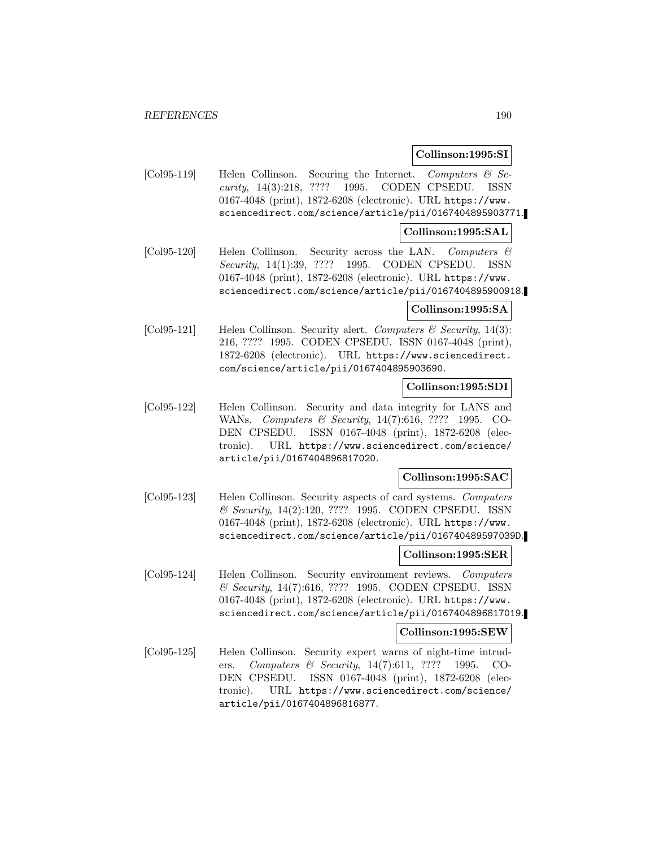## **Collinson:1995:SI**

[Col95-119] Helen Collinson. Securing the Internet. Computers  $\mathcal{C}$  Security, 14(3):218, ???? 1995. CODEN CPSEDU. ISSN 0167-4048 (print), 1872-6208 (electronic). URL https://www. sciencedirect.com/science/article/pii/0167404895903771.

## **Collinson:1995:SAL**

[Col95-120] Helen Collinson. Security across the LAN. Computers & Security, 14(1):39, ???? 1995. CODEN CPSEDU. ISSN 0167-4048 (print), 1872-6208 (electronic). URL https://www. sciencedirect.com/science/article/pii/0167404895900918.

## **Collinson:1995:SA**

[Col95-121] Helen Collinson. Security alert. Computers & Security, 14(3): 216, ???? 1995. CODEN CPSEDU. ISSN 0167-4048 (print), 1872-6208 (electronic). URL https://www.sciencedirect. com/science/article/pii/0167404895903690.

## **Collinson:1995:SDI**

[Col95-122] Helen Collinson. Security and data integrity for LANS and WANs. Computers & Security, 14(7):616, ???? 1995. CO-DEN CPSEDU. ISSN 0167-4048 (print), 1872-6208 (electronic). URL https://www.sciencedirect.com/science/ article/pii/0167404896817020.

### **Collinson:1995:SAC**

[Col95-123] Helen Collinson. Security aspects of card systems. Computers & Security, 14(2):120, ???? 1995. CODEN CPSEDU. ISSN 0167-4048 (print), 1872-6208 (electronic). URL https://www. sciencedirect.com/science/article/pii/016740489597039D.

### **Collinson:1995:SER**

[Col95-124] Helen Collinson. Security environment reviews. Computers & Security, 14(7):616, ???? 1995. CODEN CPSEDU. ISSN 0167-4048 (print), 1872-6208 (electronic). URL https://www. sciencedirect.com/science/article/pii/0167404896817019.

### **Collinson:1995:SEW**

[Col95-125] Helen Collinson. Security expert warns of night-time intruders. Computers & Security, 14(7):611, ???? 1995. CO-DEN CPSEDU. ISSN 0167-4048 (print), 1872-6208 (electronic). URL https://www.sciencedirect.com/science/ article/pii/0167404896816877.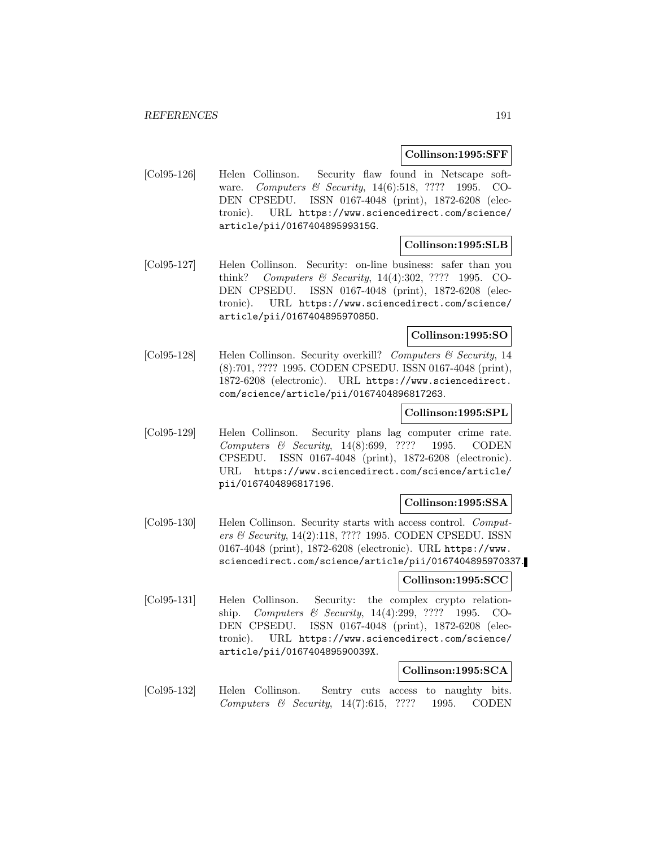#### **Collinson:1995:SFF**

[Col95-126] Helen Collinson. Security flaw found in Netscape software. Computers & Security, 14(6):518, ???? 1995. CO-DEN CPSEDU. ISSN 0167-4048 (print), 1872-6208 (electronic). URL https://www.sciencedirect.com/science/ article/pii/016740489599315G.

### **Collinson:1995:SLB**

[Col95-127] Helen Collinson. Security: on-line business: safer than you think? Computers & Security, 14(4):302, ???? 1995. CO-DEN CPSEDU. ISSN 0167-4048 (print), 1872-6208 (electronic). URL https://www.sciencedirect.com/science/ article/pii/016740489597085O.

### **Collinson:1995:SO**

[Col95-128] Helen Collinson. Security overkill? Computers & Security, 14 (8):701, ???? 1995. CODEN CPSEDU. ISSN 0167-4048 (print), 1872-6208 (electronic). URL https://www.sciencedirect. com/science/article/pii/0167404896817263.

#### **Collinson:1995:SPL**

[Col95-129] Helen Collinson. Security plans lag computer crime rate. Computers & Security, 14(8):699, ???? 1995. CODEN CPSEDU. ISSN 0167-4048 (print), 1872-6208 (electronic). URL https://www.sciencedirect.com/science/article/ pii/0167404896817196.

### **Collinson:1995:SSA**

[Col95-130] Helen Collinson. Security starts with access control. Computers & Security, 14(2):118, ???? 1995. CODEN CPSEDU. ISSN 0167-4048 (print), 1872-6208 (electronic). URL https://www. sciencedirect.com/science/article/pii/0167404895970337.

#### **Collinson:1995:SCC**

[Col95-131] Helen Collinson. Security: the complex crypto relationship. Computers & Security, 14(4):299, ???? 1995. CO-DEN CPSEDU. ISSN 0167-4048 (print), 1872-6208 (electronic). URL https://www.sciencedirect.com/science/ article/pii/016740489590039X.

## **Collinson:1995:SCA**

[Col95-132] Helen Collinson. Sentry cuts access to naughty bits. Computers & Security, 14(7):615, ???? 1995. CODEN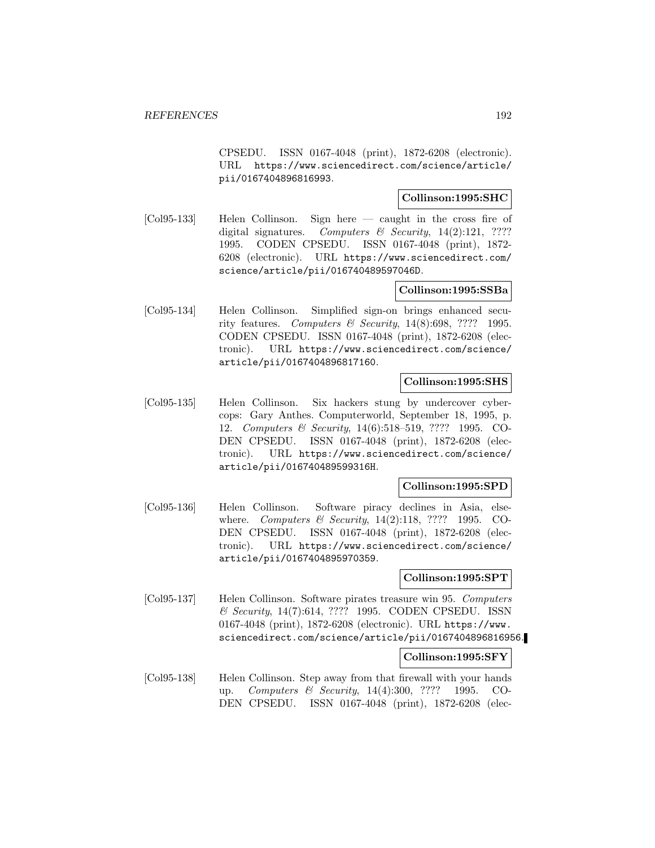CPSEDU. ISSN 0167-4048 (print), 1872-6208 (electronic). URL https://www.sciencedirect.com/science/article/ pii/0167404896816993.

## **Collinson:1995:SHC**

[Col95-133] Helen Collinson. Sign here — caught in the cross fire of digital signatures. Computers  $\mathcal B$  Security, 14(2):121, ???? 1995. CODEN CPSEDU. ISSN 0167-4048 (print), 1872- 6208 (electronic). URL https://www.sciencedirect.com/ science/article/pii/016740489597046D.

#### **Collinson:1995:SSBa**

[Col95-134] Helen Collinson. Simplified sign-on brings enhanced security features. Computers & Security,  $14(8):698, ???? 1995$ . CODEN CPSEDU. ISSN 0167-4048 (print), 1872-6208 (electronic). URL https://www.sciencedirect.com/science/ article/pii/0167404896817160.

#### **Collinson:1995:SHS**

[Col95-135] Helen Collinson. Six hackers stung by undercover cybercops: Gary Anthes. Computerworld, September 18, 1995, p. 12. Computers & Security, 14(6):518–519, ???? 1995. CO-DEN CPSEDU. ISSN 0167-4048 (print), 1872-6208 (electronic). URL https://www.sciencedirect.com/science/ article/pii/016740489599316H.

#### **Collinson:1995:SPD**

[Col95-136] Helen Collinson. Software piracy declines in Asia, elsewhere. *Computers & Security*, 14(2):118, ???? 1995. CO-DEN CPSEDU. ISSN 0167-4048 (print), 1872-6208 (electronic). URL https://www.sciencedirect.com/science/ article/pii/0167404895970359.

#### **Collinson:1995:SPT**

[Col95-137] Helen Collinson. Software pirates treasure win 95. Computers & Security, 14(7):614, ???? 1995. CODEN CPSEDU. ISSN 0167-4048 (print), 1872-6208 (electronic). URL https://www. sciencedirect.com/science/article/pii/0167404896816956.

#### **Collinson:1995:SFY**

[Col95-138] Helen Collinson. Step away from that firewall with your hands up. Computers & Security, 14(4):300, ???? 1995. CO-DEN CPSEDU. ISSN 0167-4048 (print), 1872-6208 (elec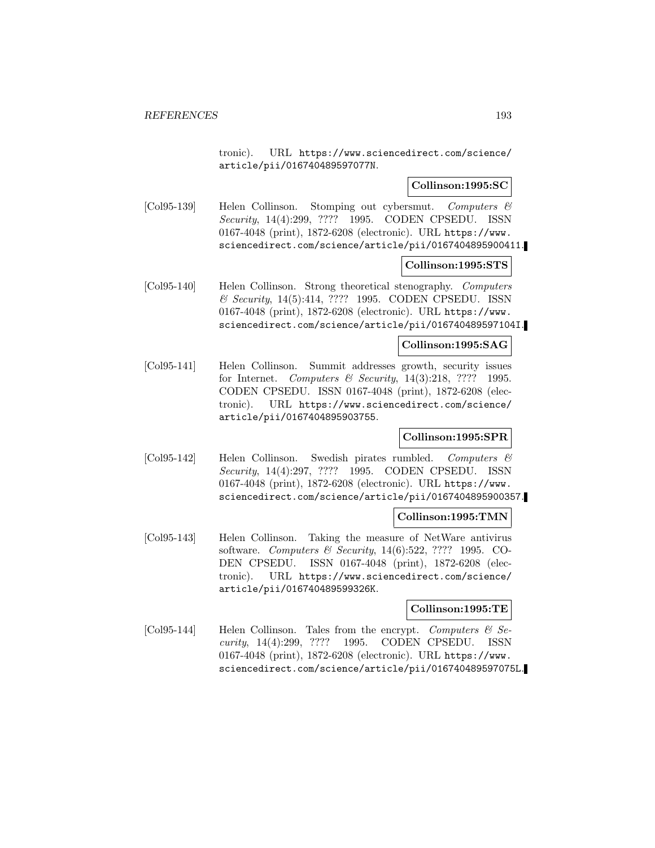tronic). URL https://www.sciencedirect.com/science/ article/pii/016740489597077N.

### **Collinson:1995:SC**

[Col95-139] Helen Collinson. Stomping out cybersmut. Computers & Security, 14(4):299, ???? 1995. CODEN CPSEDU. ISSN 0167-4048 (print), 1872-6208 (electronic). URL https://www. sciencedirect.com/science/article/pii/0167404895900411.

#### **Collinson:1995:STS**

[Col95-140] Helen Collinson. Strong theoretical stenography. Computers & Security, 14(5):414, ???? 1995. CODEN CPSEDU. ISSN 0167-4048 (print), 1872-6208 (electronic). URL https://www. sciencedirect.com/science/article/pii/016740489597104I.

#### **Collinson:1995:SAG**

[Col95-141] Helen Collinson. Summit addresses growth, security issues for Internet. Computers & Security, 14(3):218, ???? 1995. CODEN CPSEDU. ISSN 0167-4048 (print), 1872-6208 (electronic). URL https://www.sciencedirect.com/science/ article/pii/0167404895903755.

### **Collinson:1995:SPR**

[Col95-142] Helen Collinson. Swedish pirates rumbled. Computers & Security, 14(4):297, ???? 1995. CODEN CPSEDU. ISSN 0167-4048 (print), 1872-6208 (electronic). URL https://www. sciencedirect.com/science/article/pii/0167404895900357.

#### **Collinson:1995:TMN**

[Col95-143] Helen Collinson. Taking the measure of NetWare antivirus software. Computers & Security, 14(6):522, ???? 1995. CO-DEN CPSEDU. ISSN 0167-4048 (print), 1872-6208 (electronic). URL https://www.sciencedirect.com/science/ article/pii/016740489599326K.

### **Collinson:1995:TE**

[Col95-144] Helen Collinson. Tales from the encrypt. Computers  $\mathcal{B}$  Security, 14(4):299, ???? 1995. CODEN CPSEDU. ISSN 0167-4048 (print), 1872-6208 (electronic). URL https://www. sciencedirect.com/science/article/pii/016740489597075L.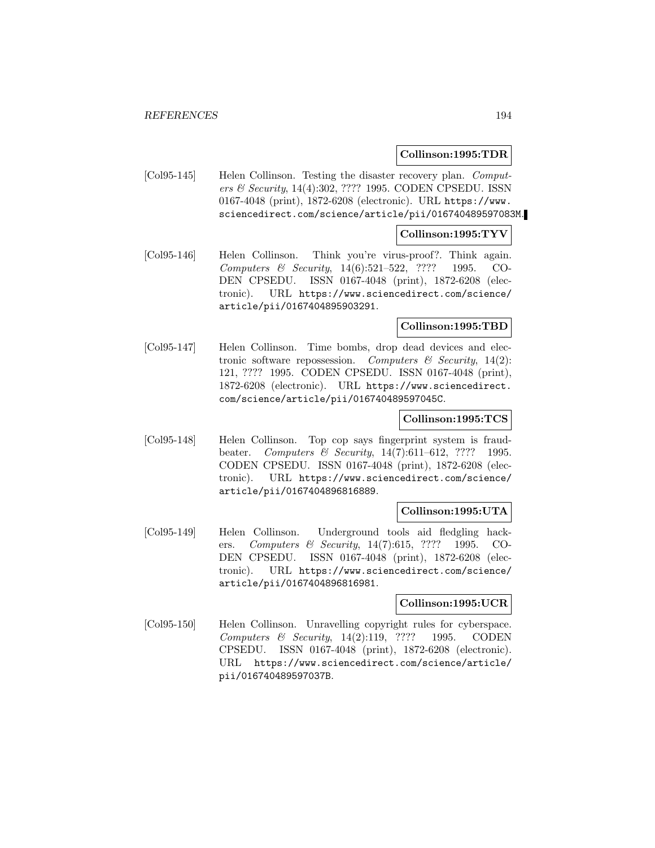#### **Collinson:1995:TDR**

[Col95-145] Helen Collinson. Testing the disaster recovery plan. Computers & Security, 14(4):302, ???? 1995. CODEN CPSEDU. ISSN 0167-4048 (print), 1872-6208 (electronic). URL https://www. sciencedirect.com/science/article/pii/016740489597083M.

### **Collinson:1995:TYV**

[Col95-146] Helen Collinson. Think you're virus-proof?. Think again. Computers & Security, 14(6):521–522, ???? 1995. CO-DEN CPSEDU. ISSN 0167-4048 (print), 1872-6208 (electronic). URL https://www.sciencedirect.com/science/ article/pii/0167404895903291.

#### **Collinson:1995:TBD**

[Col95-147] Helen Collinson. Time bombs, drop dead devices and electronic software repossession. Computers  $\mathcal B$  Security, 14(2): 121, ???? 1995. CODEN CPSEDU. ISSN 0167-4048 (print), 1872-6208 (electronic). URL https://www.sciencedirect. com/science/article/pii/016740489597045C.

#### **Collinson:1995:TCS**

[Col95-148] Helen Collinson. Top cop says fingerprint system is fraudbeater. Computers & Security, 14(7):611–612, ???? 1995. CODEN CPSEDU. ISSN 0167-4048 (print), 1872-6208 (electronic). URL https://www.sciencedirect.com/science/ article/pii/0167404896816889.

#### **Collinson:1995:UTA**

[Col95-149] Helen Collinson. Underground tools aid fledgling hackers. Computers & Security, 14(7):615, ???? 1995. CO-DEN CPSEDU. ISSN 0167-4048 (print), 1872-6208 (electronic). URL https://www.sciencedirect.com/science/ article/pii/0167404896816981.

#### **Collinson:1995:UCR**

[Col95-150] Helen Collinson. Unravelling copyright rules for cyberspace. Computers & Security, 14(2):119, ???? 1995. CODEN CPSEDU. ISSN 0167-4048 (print), 1872-6208 (electronic). URL https://www.sciencedirect.com/science/article/ pii/016740489597037B.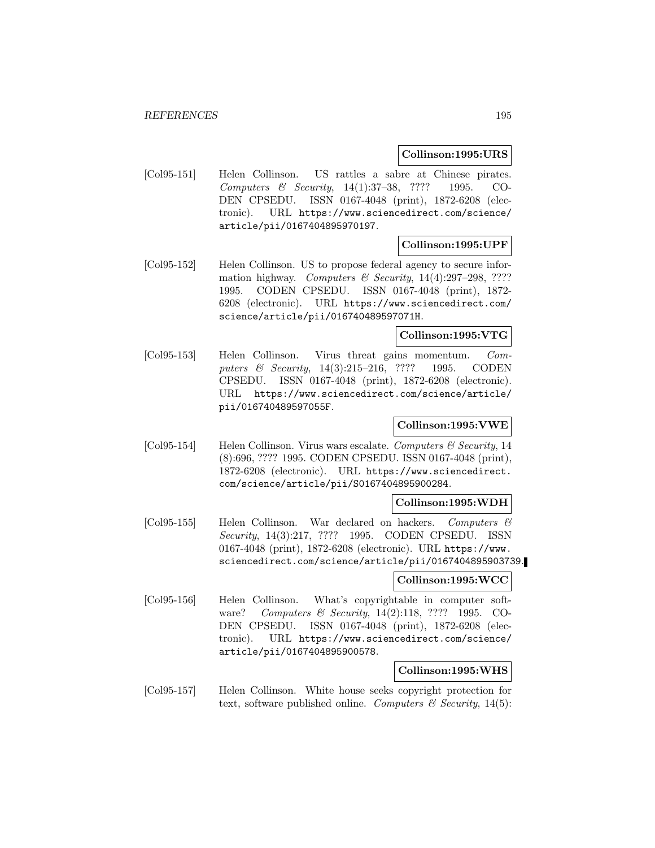#### **Collinson:1995:URS**

[Col95-151] Helen Collinson. US rattles a sabre at Chinese pirates. Computers & Security, 14(1):37–38, ???? 1995. CO-DEN CPSEDU. ISSN 0167-4048 (print), 1872-6208 (electronic). URL https://www.sciencedirect.com/science/ article/pii/0167404895970197.

## **Collinson:1995:UPF**

[Col95-152] Helen Collinson. US to propose federal agency to secure information highway. Computers & Security,  $14(4):297-298$ , ???? 1995. CODEN CPSEDU. ISSN 0167-4048 (print), 1872- 6208 (electronic). URL https://www.sciencedirect.com/ science/article/pii/016740489597071H.

## **Collinson:1995:VTG**

[Col95-153] Helen Collinson. Virus threat gains momentum. Computers & Security, 14(3):215–216, ???? 1995. CODEN CPSEDU. ISSN 0167-4048 (print), 1872-6208 (electronic). URL https://www.sciencedirect.com/science/article/ pii/016740489597055F.

# **Collinson:1995:VWE**

[Col95-154] Helen Collinson. Virus wars escalate. Computers  $\mathcal{C}$  Security, 14 (8):696, ???? 1995. CODEN CPSEDU. ISSN 0167-4048 (print), 1872-6208 (electronic). URL https://www.sciencedirect. com/science/article/pii/S0167404895900284.

### **Collinson:1995:WDH**

[Col95-155] Helen Collinson. War declared on hackers. Computers & Security, 14(3):217, ???? 1995. CODEN CPSEDU. ISSN 0167-4048 (print), 1872-6208 (electronic). URL https://www. sciencedirect.com/science/article/pii/0167404895903739.

#### **Collinson:1995:WCC**

[Col95-156] Helen Collinson. What's copyrightable in computer software? Computers & Security, 14(2):118, ???? 1995. CO-DEN CPSEDU. ISSN 0167-4048 (print), 1872-6208 (electronic). URL https://www.sciencedirect.com/science/ article/pii/0167404895900578.

## **Collinson:1995:WHS**

[Col95-157] Helen Collinson. White house seeks copyright protection for text, software published online. Computers  $\mathcal C$  Security, 14(5):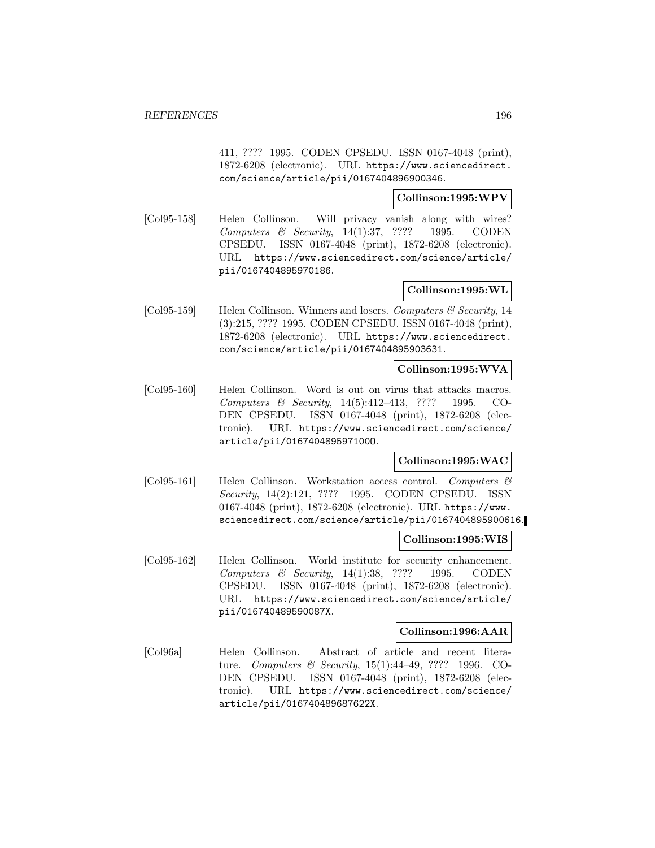411, ???? 1995. CODEN CPSEDU. ISSN 0167-4048 (print), 1872-6208 (electronic). URL https://www.sciencedirect. com/science/article/pii/0167404896900346.

### **Collinson:1995:WPV**

[Col95-158] Helen Collinson. Will privacy vanish along with wires? Computers & Security, 14(1):37, ???? 1995. CODEN CPSEDU. ISSN 0167-4048 (print), 1872-6208 (electronic). URL https://www.sciencedirect.com/science/article/ pii/0167404895970186.

# **Collinson:1995:WL**

[Col95-159] Helen Collinson. Winners and losers. Computers & Security, 14 (3):215, ???? 1995. CODEN CPSEDU. ISSN 0167-4048 (print), 1872-6208 (electronic). URL https://www.sciencedirect. com/science/article/pii/0167404895903631.

## **Collinson:1995:WVA**

[Col95-160] Helen Collinson. Word is out on virus that attacks macros. Computers & Security, 14(5):412–413, ???? 1995. CO-DEN CPSEDU. ISSN 0167-4048 (print), 1872-6208 (electronic). URL https://www.sciencedirect.com/science/ article/pii/016740489597100O.

## **Collinson:1995:WAC**

[Col95-161] Helen Collinson. Workstation access control. Computers & Security, 14(2):121, ???? 1995. CODEN CPSEDU. ISSN 0167-4048 (print), 1872-6208 (electronic). URL https://www. sciencedirect.com/science/article/pii/0167404895900616.

### **Collinson:1995:WIS**

[Col95-162] Helen Collinson. World institute for security enhancement. Computers & Security,  $14(1):38$ , ???? 1995. CODEN CPSEDU. ISSN 0167-4048 (print), 1872-6208 (electronic). URL https://www.sciencedirect.com/science/article/ pii/016740489590087X.

### **Collinson:1996:AAR**

[Col96a] Helen Collinson. Abstract of article and recent literature. Computers & Security, 15(1):44–49, ???? 1996. CO-DEN CPSEDU. ISSN 0167-4048 (print), 1872-6208 (electronic). URL https://www.sciencedirect.com/science/ article/pii/016740489687622X.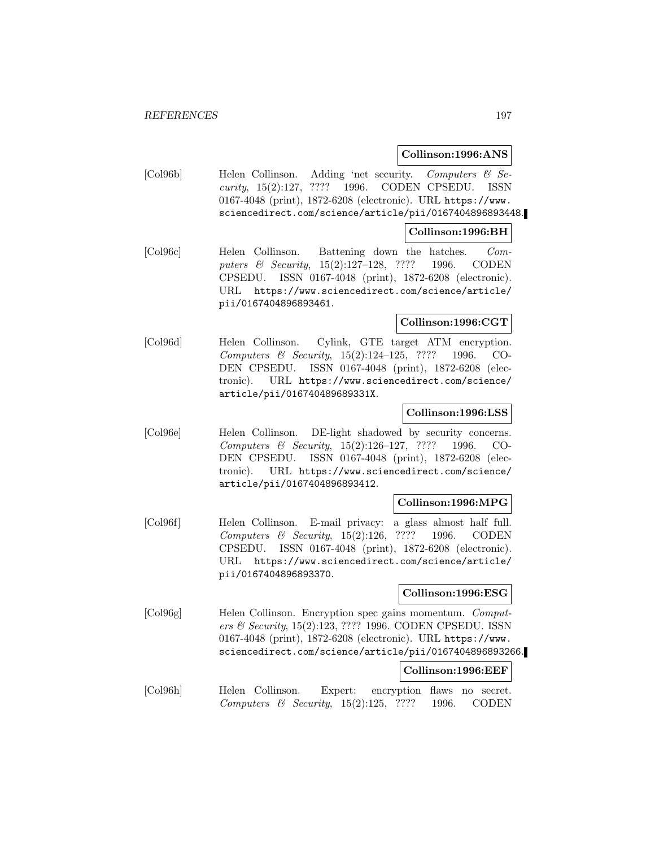#### **Collinson:1996:ANS**

[Col96b] Helen Collinson. Adding 'net security. Computers & Security, 15(2):127, ???? 1996. CODEN CPSEDU. ISSN 0167-4048 (print), 1872-6208 (electronic). URL https://www. sciencedirect.com/science/article/pii/0167404896893448.

#### **Collinson:1996:BH**

[Col96c] Helen Collinson. Battening down the hatches. Computers & Security, 15(2):127–128, ???? 1996. CODEN CPSEDU. ISSN 0167-4048 (print), 1872-6208 (electronic). URL https://www.sciencedirect.com/science/article/ pii/0167404896893461.

## **Collinson:1996:CGT**

[Col96d] Helen Collinson. Cylink, GTE target ATM encryption. Computers & Security, 15(2):124–125, ???? 1996. CO-DEN CPSEDU. ISSN 0167-4048 (print), 1872-6208 (electronic). URL https://www.sciencedirect.com/science/ article/pii/016740489689331X.

#### **Collinson:1996:LSS**

[Col96e] Helen Collinson. DE-light shadowed by security concerns. Computers & Security, 15(2):126–127, ???? 1996. CO-DEN CPSEDU. ISSN 0167-4048 (print), 1872-6208 (electronic). URL https://www.sciencedirect.com/science/ article/pii/0167404896893412.

### **Collinson:1996:MPG**

[Col96f] Helen Collinson. E-mail privacy: a glass almost half full. Computers & Security, 15(2):126, ???? 1996. CODEN CPSEDU. ISSN 0167-4048 (print), 1872-6208 (electronic). URL https://www.sciencedirect.com/science/article/ pii/0167404896893370.

### **Collinson:1996:ESG**

[Col96g] Helen Collinson. Encryption spec gains momentum. Computers & Security, 15(2):123, ???? 1996. CODEN CPSEDU. ISSN 0167-4048 (print), 1872-6208 (electronic). URL https://www. sciencedirect.com/science/article/pii/0167404896893266.

#### **Collinson:1996:EEF**

[Col96h] Helen Collinson. Expert: encryption flaws no secret. Computers  $\&$  Security, 15(2):125, ???? 1996. CODEN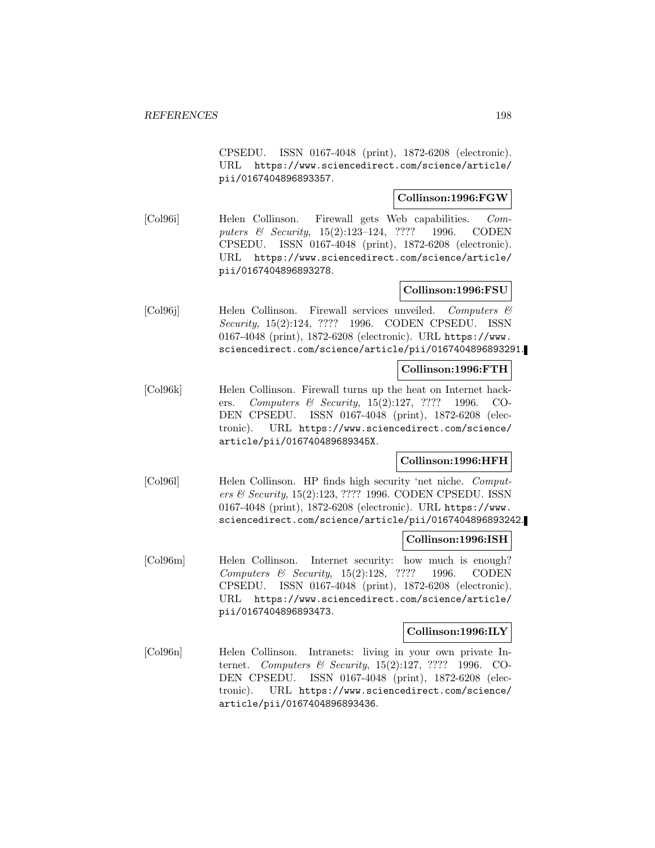CPSEDU. ISSN 0167-4048 (print), 1872-6208 (electronic). URL https://www.sciencedirect.com/science/article/ pii/0167404896893357.

# **Collinson:1996:FGW**

[Col96i] Helen Collinson. Firewall gets Web capabilities. Computers & Security, 15(2):123–124, ???? 1996. CODEN CPSEDU. ISSN 0167-4048 (print), 1872-6208 (electronic). URL https://www.sciencedirect.com/science/article/ pii/0167404896893278.

## **Collinson:1996:FSU**

[Col96j] Helen Collinson. Firewall services unveiled. Computers & Security, 15(2):124, ???? 1996. CODEN CPSEDU. ISSN 0167-4048 (print), 1872-6208 (electronic). URL https://www. sciencedirect.com/science/article/pii/0167404896893291.

### **Collinson:1996:FTH**

[Col96k] Helen Collinson. Firewall turns up the heat on Internet hackers. Computers & Security, 15(2):127, ???? 1996. CO-DEN CPSEDU. ISSN 0167-4048 (print), 1872-6208 (electronic). URL https://www.sciencedirect.com/science/ article/pii/016740489689345X.

## **Collinson:1996:HFH**

[Col96l] Helen Collinson. HP finds high security 'net niche. Computers & Security, 15(2):123, ???? 1996. CODEN CPSEDU. ISSN 0167-4048 (print), 1872-6208 (electronic). URL https://www. sciencedirect.com/science/article/pii/0167404896893242.

### **Collinson:1996:ISH**

[Col96m] Helen Collinson. Internet security: how much is enough? Computers & Security, 15(2):128, ???? 1996. CODEN CPSEDU. ISSN 0167-4048 (print), 1872-6208 (electronic). URL https://www.sciencedirect.com/science/article/ pii/0167404896893473.

### **Collinson:1996:ILY**

[Col96n] Helen Collinson. Intranets: living in your own private Internet. Computers & Security, 15(2):127, ???? 1996. CO-DEN CPSEDU. ISSN 0167-4048 (print), 1872-6208 (electronic). URL https://www.sciencedirect.com/science/ article/pii/0167404896893436.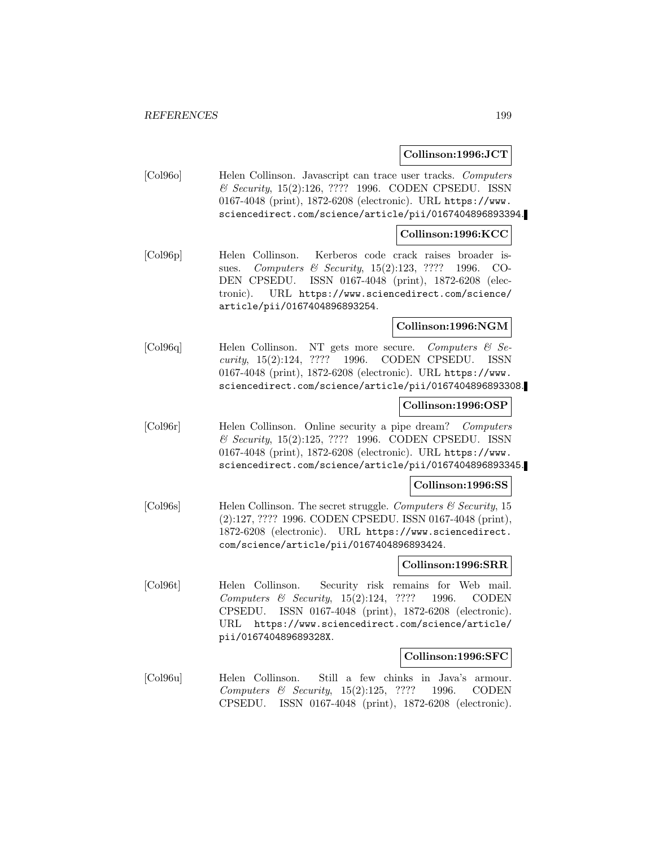**Collinson:1996:JCT**

[Col96o] Helen Collinson. Javascript can trace user tracks. Computers & Security, 15(2):126, ???? 1996. CODEN CPSEDU. ISSN 0167-4048 (print), 1872-6208 (electronic). URL https://www. sciencedirect.com/science/article/pii/0167404896893394.

#### **Collinson:1996:KCC**

[Col96p] Helen Collinson. Kerberos code crack raises broader issues. Computers & Security, 15(2):123, ???? 1996. CO-DEN CPSEDU. ISSN 0167-4048 (print), 1872-6208 (electronic). URL https://www.sciencedirect.com/science/ article/pii/0167404896893254.

#### **Collinson:1996:NGM**

[Col96q] Helen Collinson. NT gets more secure. Computers & Security, 15(2):124, ???? 1996. CODEN CPSEDU. ISSN 0167-4048 (print), 1872-6208 (electronic). URL https://www. sciencedirect.com/science/article/pii/0167404896893308.

#### **Collinson:1996:OSP**

[Col96r] Helen Collinson. Online security a pipe dream? Computers & Security, 15(2):125, ???? 1996. CODEN CPSEDU. ISSN 0167-4048 (print), 1872-6208 (electronic). URL https://www. sciencedirect.com/science/article/pii/0167404896893345.

#### **Collinson:1996:SS**

[Col96s] Helen Collinson. The secret struggle. Computers & Security, 15 (2):127, ???? 1996. CODEN CPSEDU. ISSN 0167-4048 (print), 1872-6208 (electronic). URL https://www.sciencedirect. com/science/article/pii/0167404896893424.

### **Collinson:1996:SRR**

[Col96t] Helen Collinson. Security risk remains for Web mail. Computers & Security, 15(2):124, ???? 1996. CODEN CPSEDU. ISSN 0167-4048 (print), 1872-6208 (electronic). URL https://www.sciencedirect.com/science/article/ pii/016740489689328X.

### **Collinson:1996:SFC**

[Col96u] Helen Collinson. Still a few chinks in Java's armour. Computers & Security, 15(2):125, ???? 1996. CODEN CPSEDU. ISSN 0167-4048 (print), 1872-6208 (electronic).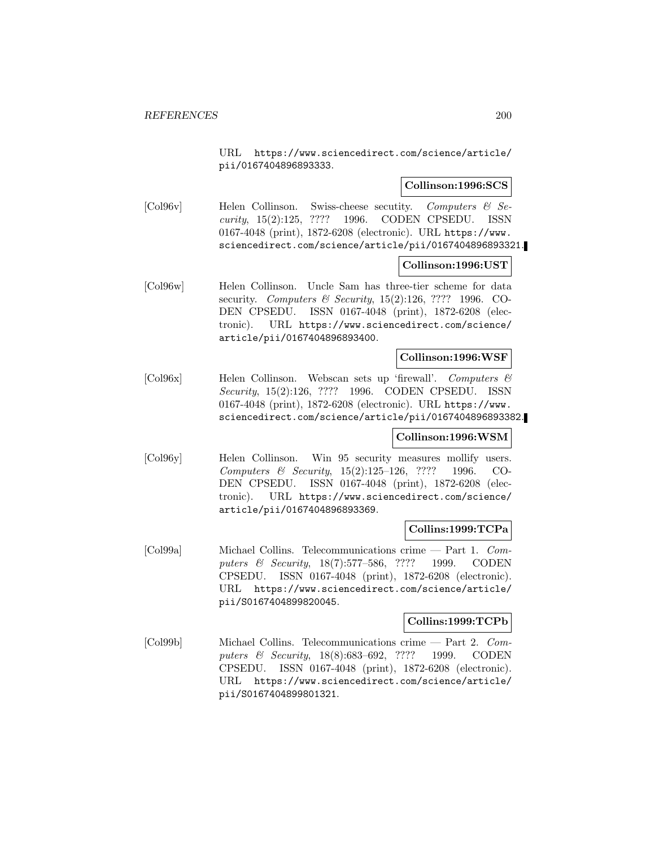URL https://www.sciencedirect.com/science/article/ pii/0167404896893333.

### **Collinson:1996:SCS**

[Col96v] Helen Collinson. Swiss-cheese secutity. Computers & Security, 15(2):125, ???? 1996. CODEN CPSEDU. ISSN 0167-4048 (print), 1872-6208 (electronic). URL https://www. sciencedirect.com/science/article/pii/0167404896893321.

### **Collinson:1996:UST**

[Col96w] Helen Collinson. Uncle Sam has three-tier scheme for data security. Computers & Security, 15(2):126, ???? 1996. CO-DEN CPSEDU. ISSN 0167-4048 (print), 1872-6208 (electronic). URL https://www.sciencedirect.com/science/ article/pii/0167404896893400.

#### **Collinson:1996:WSF**

[Col96x] Helen Collinson. Webscan sets up 'firewall'. Computers & Security, 15(2):126, ???? 1996. CODEN CPSEDU. ISSN 0167-4048 (print), 1872-6208 (electronic). URL https://www. sciencedirect.com/science/article/pii/0167404896893382.

#### **Collinson:1996:WSM**

[Col96y] Helen Collinson. Win 95 security measures mollify users. Computers & Security, 15(2):125–126, ???? 1996. CO-DEN CPSEDU. ISSN 0167-4048 (print), 1872-6208 (electronic). URL https://www.sciencedirect.com/science/ article/pii/0167404896893369.

### **Collins:1999:TCPa**

[Col99a] Michael Collins. Telecommunications crime — Part 1. Computers & Security, 18(7):577–586, ???? 1999. CODEN CPSEDU. ISSN 0167-4048 (print), 1872-6208 (electronic). URL https://www.sciencedirect.com/science/article/ pii/S0167404899820045.

### **Collins:1999:TCPb**

[Col99b] Michael Collins. Telecommunications crime — Part 2. Computers & Security, 18(8):683–692, ???? 1999. CODEN CPSEDU. ISSN 0167-4048 (print), 1872-6208 (electronic). URL https://www.sciencedirect.com/science/article/ pii/S0167404899801321.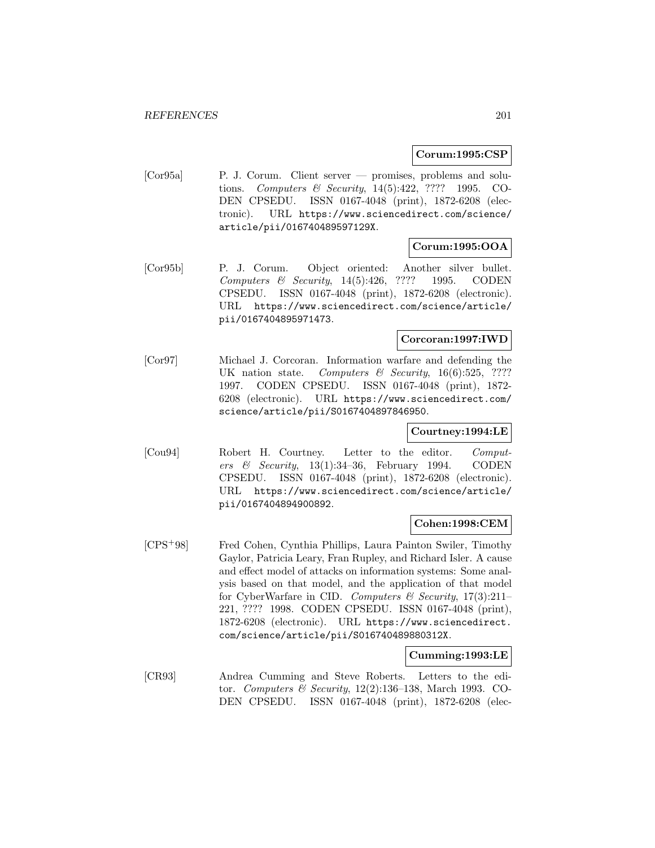#### **Corum:1995:CSP**

[Cor95a] P. J. Corum. Client server — promises, problems and solutions. Computers & Security, 14(5):422, ???? 1995. CO-DEN CPSEDU. ISSN 0167-4048 (print), 1872-6208 (electronic). URL https://www.sciencedirect.com/science/ article/pii/016740489597129X.

## **Corum:1995:OOA**

[Cor95b] P. J. Corum. Object oriented: Another silver bullet. Computers & Security, 14(5):426, ???? 1995. CODEN CPSEDU. ISSN 0167-4048 (print), 1872-6208 (electronic). URL https://www.sciencedirect.com/science/article/ pii/0167404895971473.

### **Corcoran:1997:IWD**

[Cor97] Michael J. Corcoran. Information warfare and defending the UK nation state. Computers & Security,  $16(6):525$ , ???? 1997. CODEN CPSEDU. ISSN 0167-4048 (print), 1872- 6208 (electronic). URL https://www.sciencedirect.com/ science/article/pii/S0167404897846950.

### **Courtney:1994:LE**

[Cou94] Robert H. Courtney. Letter to the editor. Computers & Security,  $13(1):34-36$ , February 1994. CODEN CPSEDU. ISSN 0167-4048 (print), 1872-6208 (electronic). URL https://www.sciencedirect.com/science/article/ pii/0167404894900892.

#### **Cohen:1998:CEM**

[CPS<sup>+</sup>98] Fred Cohen, Cynthia Phillips, Laura Painton Swiler, Timothy Gaylor, Patricia Leary, Fran Rupley, and Richard Isler. A cause and effect model of attacks on information systems: Some analysis based on that model, and the application of that model for CyberWarfare in CID. Computers & Security,  $17(3):211-$ 221, ???? 1998. CODEN CPSEDU. ISSN 0167-4048 (print), 1872-6208 (electronic). URL https://www.sciencedirect. com/science/article/pii/S016740489880312X.

#### **Cumming:1993:LE**

[CR93] Andrea Cumming and Steve Roberts. Letters to the editor. Computers & Security, 12(2):136–138, March 1993. CO-DEN CPSEDU. ISSN 0167-4048 (print), 1872-6208 (elec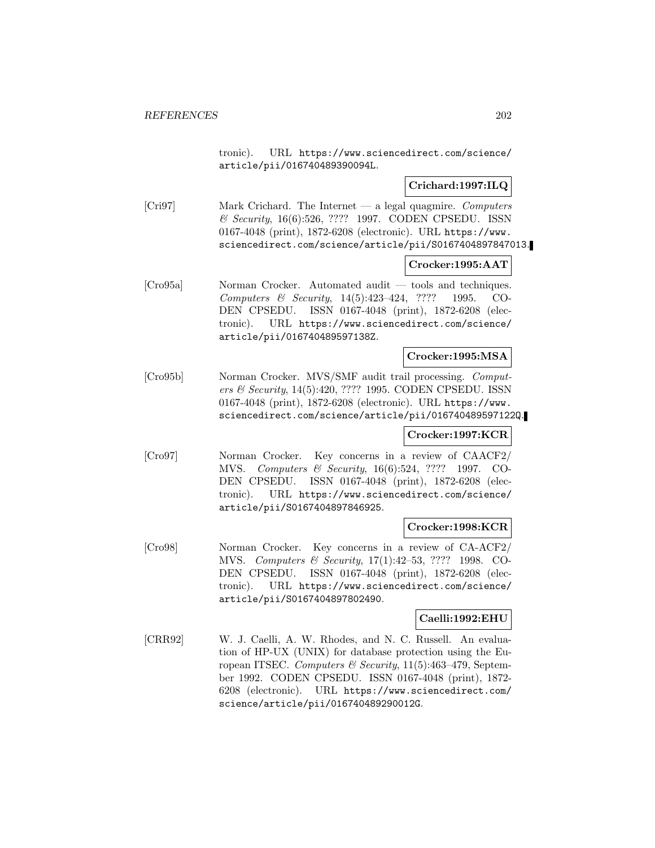tronic). URL https://www.sciencedirect.com/science/ article/pii/016740489390094L.

## **Crichard:1997:ILQ**

[Cri97] Mark Crichard. The Internet — a legal quagmire. Computers & Security, 16(6):526, ???? 1997. CODEN CPSEDU. ISSN 0167-4048 (print), 1872-6208 (electronic). URL https://www. sciencedirect.com/science/article/pii/S0167404897847013.

### **Crocker:1995:AAT**

[Cro95a] Norman Crocker. Automated audit — tools and techniques. Computers & Security, 14(5):423–424, ???? 1995. CO-DEN CPSEDU. ISSN 0167-4048 (print), 1872-6208 (electronic). URL https://www.sciencedirect.com/science/ article/pii/016740489597138Z.

#### **Crocker:1995:MSA**

[Cro95b] Norman Crocker. MVS/SMF audit trail processing. Computers & Security, 14(5):420, ???? 1995. CODEN CPSEDU. ISSN 0167-4048 (print), 1872-6208 (electronic). URL https://www. sciencedirect.com/science/article/pii/016740489597122Q.

#### **Crocker:1997:KCR**

[Cro97] Norman Crocker. Key concerns in a review of CAACF2/ MVS. Computers & Security, 16(6):524, ???? 1997. CO-DEN CPSEDU. ISSN 0167-4048 (print), 1872-6208 (electronic). URL https://www.sciencedirect.com/science/ article/pii/S0167404897846925.

#### **Crocker:1998:KCR**

[Cro98] Norman Crocker. Key concerns in a review of CA-ACF2/ MVS. Computers & Security, 17(1):42–53, ???? 1998. CO-DEN CPSEDU. ISSN 0167-4048 (print), 1872-6208 (electronic). URL https://www.sciencedirect.com/science/ article/pii/S0167404897802490.

### **Caelli:1992:EHU**

[CRR92] W. J. Caelli, A. W. Rhodes, and N. C. Russell. An evaluation of HP-UX (UNIX) for database protection using the European ITSEC. Computers & Security, 11(5):463–479, September 1992. CODEN CPSEDU. ISSN 0167-4048 (print), 1872- 6208 (electronic). URL https://www.sciencedirect.com/ science/article/pii/016740489290012G.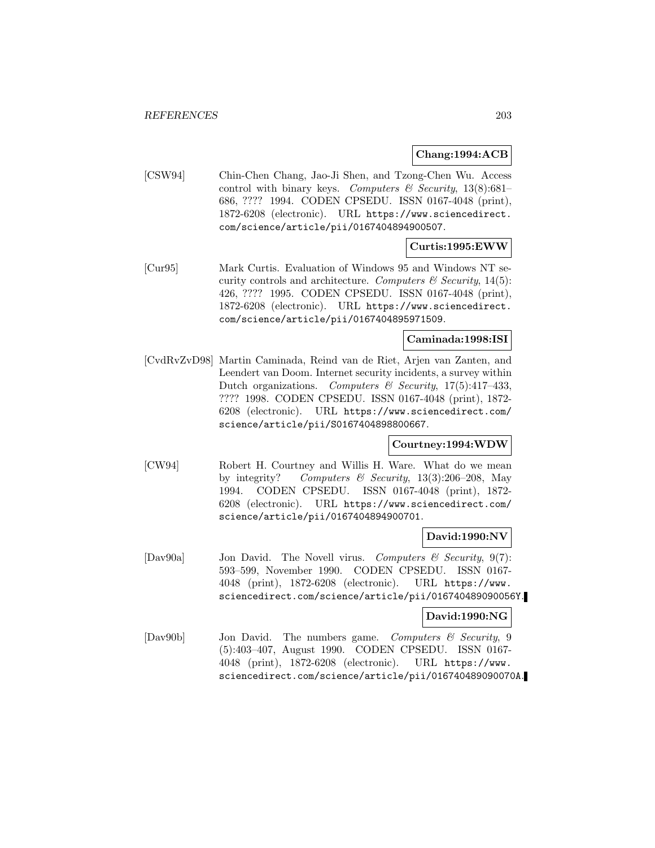#### **Chang:1994:ACB**

[CSW94] Chin-Chen Chang, Jao-Ji Shen, and Tzong-Chen Wu. Access control with binary keys. Computers  $\mathcal C$  Security, 13(8):681– 686, ???? 1994. CODEN CPSEDU. ISSN 0167-4048 (print), 1872-6208 (electronic). URL https://www.sciencedirect. com/science/article/pii/0167404894900507.

## **Curtis:1995:EWW**

[Cur95] Mark Curtis. Evaluation of Windows 95 and Windows NT security controls and architecture. Computers  $\mathcal C$  Security, 14(5): 426, ???? 1995. CODEN CPSEDU. ISSN 0167-4048 (print), 1872-6208 (electronic). URL https://www.sciencedirect. com/science/article/pii/0167404895971509.

### **Caminada:1998:ISI**

[CvdRvZvD98] Martin Caminada, Reind van de Riet, Arjen van Zanten, and Leendert van Doom. Internet security incidents, a survey within Dutch organizations. Computers  $\mathcal B$  Security, 17(5):417-433, ???? 1998. CODEN CPSEDU. ISSN 0167-4048 (print), 1872- 6208 (electronic). URL https://www.sciencedirect.com/ science/article/pii/S0167404898800667.

### **Courtney:1994:WDW**

[CW94] Robert H. Courtney and Willis H. Ware. What do we mean by integrity? Computers & Security,  $13(3):206-208$ , May 1994. CODEN CPSEDU. ISSN 0167-4048 (print), 1872- 6208 (electronic). URL https://www.sciencedirect.com/ science/article/pii/0167404894900701.

### **David:1990:NV**

[Dav90a] Jon David. The Novell virus. Computers & Security, 9(7): 593–599, November 1990. CODEN CPSEDU. ISSN 0167- 4048 (print), 1872-6208 (electronic). URL https://www. sciencedirect.com/science/article/pii/016740489090056Y.

# **David:1990:NG**

[Dav90b] Jon David. The numbers game. Computers & Security, 9 (5):403–407, August 1990. CODEN CPSEDU. ISSN 0167- 4048 (print), 1872-6208 (electronic). URL https://www. sciencedirect.com/science/article/pii/016740489090070A.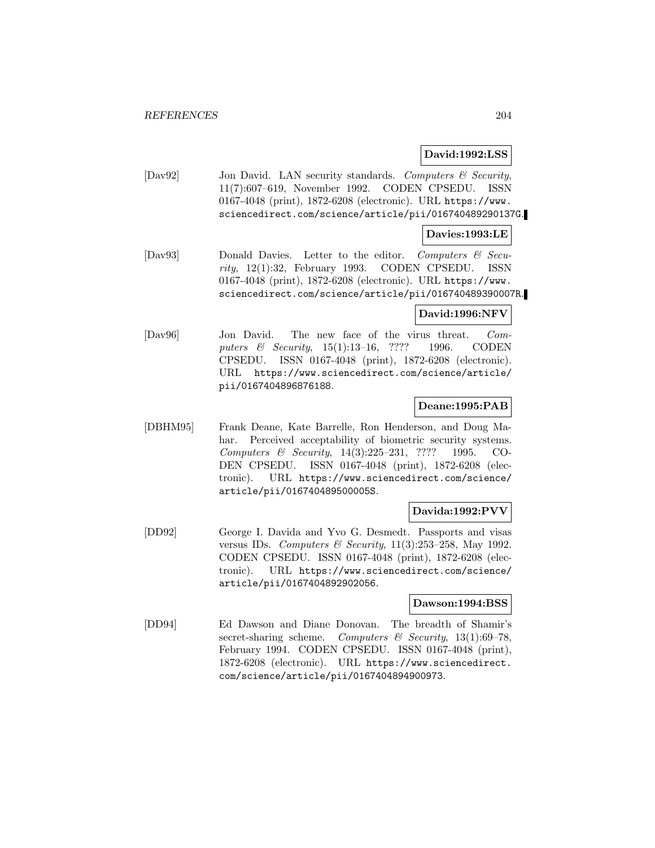### **David:1992:LSS**

[Dav92] Jon David. LAN security standards. Computers & Security, 11(7):607–619, November 1992. CODEN CPSEDU. ISSN 0167-4048 (print), 1872-6208 (electronic). URL https://www. sciencedirect.com/science/article/pii/016740489290137G.

#### **Davies:1993:LE**

[Dav93] Donald Davies. Letter to the editor. Computers & Security, 12(1):32, February 1993. CODEN CPSEDU. ISSN 0167-4048 (print), 1872-6208 (electronic). URL https://www. sciencedirect.com/science/article/pii/016740489390007R.

### **David:1996:NFV**

[Dav96] Jon David. The new face of the virus threat. Computers & Security, 15(1):13–16, ???? 1996. CODEN CPSEDU. ISSN 0167-4048 (print), 1872-6208 (electronic). URL https://www.sciencedirect.com/science/article/ pii/0167404896876188.

## **Deane:1995:PAB**

[DBHM95] Frank Deane, Kate Barrelle, Ron Henderson, and Doug Mahar. Perceived acceptability of biometric security systems. Computers & Security, 14(3):225–231, ???? 1995. CO-DEN CPSEDU. ISSN 0167-4048 (print), 1872-6208 (electronic). URL https://www.sciencedirect.com/science/ article/pii/016740489500005S.

### **Davida:1992:PVV**

[DD92] George I. Davida and Yvo G. Desmedt. Passports and visas versus IDs. Computers & Security,  $11(3):253-258$ , May 1992. CODEN CPSEDU. ISSN 0167-4048 (print), 1872-6208 (electronic). URL https://www.sciencedirect.com/science/ article/pii/0167404892902056.

#### **Dawson:1994:BSS**

[DD94] Ed Dawson and Diane Donovan. The breadth of Shamir's secret-sharing scheme. Computers  $\mathscr B$  Security, 13(1):69–78, February 1994. CODEN CPSEDU. ISSN 0167-4048 (print), 1872-6208 (electronic). URL https://www.sciencedirect. com/science/article/pii/0167404894900973.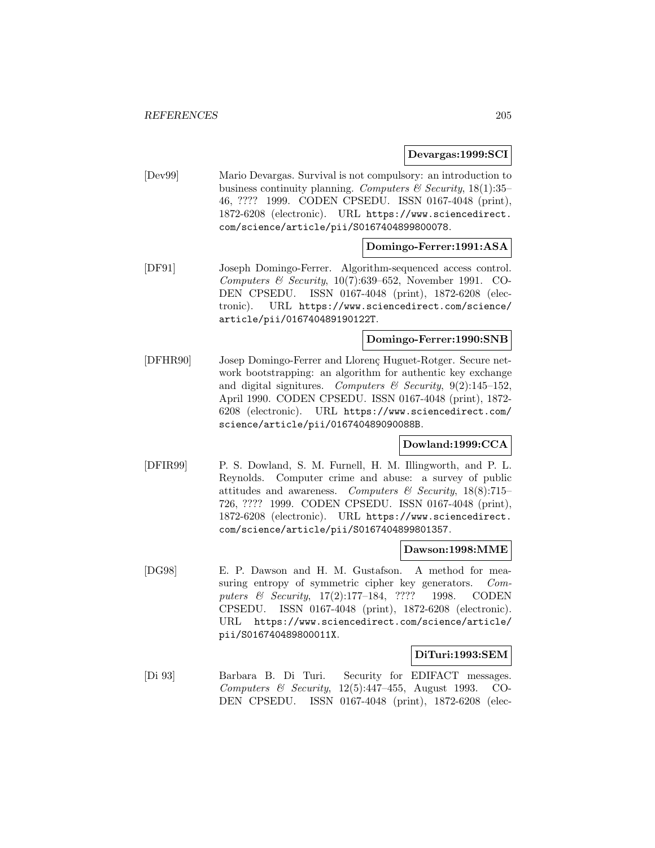#### **Devargas:1999:SCI**

[Dev99] Mario Devargas. Survival is not compulsory: an introduction to business continuity planning. Computers  $\mathcal C$  Security, 18(1):35– 46, ???? 1999. CODEN CPSEDU. ISSN 0167-4048 (print), 1872-6208 (electronic). URL https://www.sciencedirect. com/science/article/pii/S0167404899800078.

### **Domingo-Ferrer:1991:ASA**

[DF91] Joseph Domingo-Ferrer. Algorithm-sequenced access control. Computers & Security,  $10(7):639-652$ , November 1991. CO-DEN CPSEDU. ISSN 0167-4048 (print), 1872-6208 (electronic). URL https://www.sciencedirect.com/science/ article/pii/016740489190122T.

### **Domingo-Ferrer:1990:SNB**

[DFHR90] Josep Domingo-Ferrer and Llorenç Huguet-Rotger. Secure network bootstrapping: an algorithm for authentic key exchange and digital signitures. Computers & Security,  $9(2):145-152$ , April 1990. CODEN CPSEDU. ISSN 0167-4048 (print), 1872- 6208 (electronic). URL https://www.sciencedirect.com/ science/article/pii/016740489090088B.

### **Dowland:1999:CCA**

[DFIR99] P. S. Dowland, S. M. Furnell, H. M. Illingworth, and P. L. Reynolds. Computer crime and abuse: a survey of public attitudes and awareness. Computers & Security,  $18(8)$ :715– 726, ???? 1999. CODEN CPSEDU. ISSN 0167-4048 (print), 1872-6208 (electronic). URL https://www.sciencedirect. com/science/article/pii/S0167404899801357.

#### **Dawson:1998:MME**

[DG98] E. P. Dawson and H. M. Gustafson. A method for measuring entropy of symmetric cipher key generators. Computers & Security, 17(2):177-184, ???? 1998. CODEN CPSEDU. ISSN 0167-4048 (print), 1872-6208 (electronic). URL https://www.sciencedirect.com/science/article/ pii/S016740489800011X.

#### **DiTuri:1993:SEM**

[Di 93] Barbara B. Di Turi. Security for EDIFACT messages. Computers & Security,  $12(5):447-455$ , August 1993. CO-DEN CPSEDU. ISSN 0167-4048 (print), 1872-6208 (elec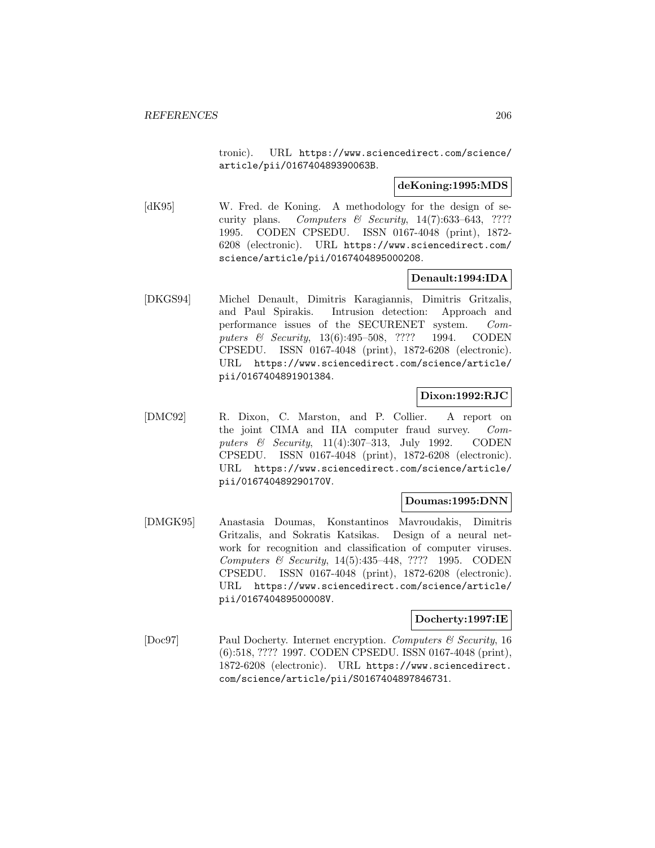tronic). URL https://www.sciencedirect.com/science/ article/pii/016740489390063B.

### **deKoning:1995:MDS**

[dK95] W. Fred. de Koning. A methodology for the design of security plans. Computers  $\mathcal B$  Security, 14(7):633-643, ???? 1995. CODEN CPSEDU. ISSN 0167-4048 (print), 1872- 6208 (electronic). URL https://www.sciencedirect.com/ science/article/pii/0167404895000208.

## **Denault:1994:IDA**

[DKGS94] Michel Denault, Dimitris Karagiannis, Dimitris Gritzalis, and Paul Spirakis. Intrusion detection: Approach and performance issues of the SECURENET system. Computers & Security, 13(6):495-508, ???? 1994. CODEN CPSEDU. ISSN 0167-4048 (print), 1872-6208 (electronic). URL https://www.sciencedirect.com/science/article/ pii/0167404891901384.

## **Dixon:1992:RJC**

[DMC92] R. Dixon, C. Marston, and P. Collier. A report on the joint CIMA and IIA computer fraud survey. Computers & Security, 11(4):307-313, July 1992. CODEN CPSEDU. ISSN 0167-4048 (print), 1872-6208 (electronic). URL https://www.sciencedirect.com/science/article/ pii/016740489290170V.

### **Doumas:1995:DNN**

[DMGK95] Anastasia Doumas, Konstantinos Mavroudakis, Dimitris Gritzalis, and Sokratis Katsikas. Design of a neural network for recognition and classification of computer viruses. Computers & Security, 14(5):435–448, ???? 1995. CODEN CPSEDU. ISSN 0167-4048 (print), 1872-6208 (electronic). URL https://www.sciencedirect.com/science/article/ pii/016740489500008V.

## **Docherty:1997:IE**

[Doc97] Paul Docherty. Internet encryption. Computers & Security, 16 (6):518, ???? 1997. CODEN CPSEDU. ISSN 0167-4048 (print), 1872-6208 (electronic). URL https://www.sciencedirect. com/science/article/pii/S0167404897846731.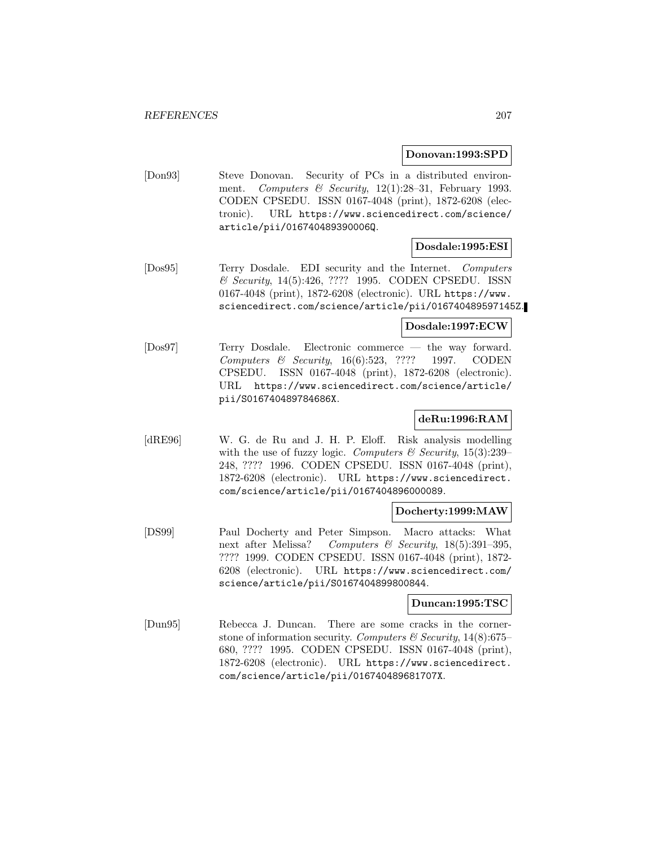#### **Donovan:1993:SPD**

[Don93] Steve Donovan. Security of PCs in a distributed environment. Computers & Security, 12(1):28-31, February 1993. CODEN CPSEDU. ISSN 0167-4048 (print), 1872-6208 (electronic). URL https://www.sciencedirect.com/science/ article/pii/016740489390006Q.

## **Dosdale:1995:ESI**

[Dos95] Terry Dosdale. EDI security and the Internet. Computers & Security, 14(5):426, ???? 1995. CODEN CPSEDU. ISSN 0167-4048 (print), 1872-6208 (electronic). URL https://www. sciencedirect.com/science/article/pii/016740489597145Z.

#### **Dosdale:1997:ECW**

[Dos97] Terry Dosdale. Electronic commerce — the way forward. Computers & Security, 16(6):523, ???? 1997. CODEN CPSEDU. ISSN 0167-4048 (print), 1872-6208 (electronic). URL https://www.sciencedirect.com/science/article/ pii/S016740489784686X.

### **deRu:1996:RAM**

[dRE96] W. G. de Ru and J. H. P. Eloff. Risk analysis modelling with the use of fuzzy logic. Computers & Security,  $15(3):239-$ 248, ???? 1996. CODEN CPSEDU. ISSN 0167-4048 (print), 1872-6208 (electronic). URL https://www.sciencedirect. com/science/article/pii/0167404896000089.

### **Docherty:1999:MAW**

[DS99] Paul Docherty and Peter Simpson. Macro attacks: What next after Melissa? Computers & Security,  $18(5):391-395$ , ???? 1999. CODEN CPSEDU. ISSN 0167-4048 (print), 1872- 6208 (electronic). URL https://www.sciencedirect.com/ science/article/pii/S0167404899800844.

#### **Duncan:1995:TSC**

[Dun95] Rebecca J. Duncan. There are some cracks in the cornerstone of information security. Computers  $\mathcal C$  Security, 14(8):675– 680, ???? 1995. CODEN CPSEDU. ISSN 0167-4048 (print), 1872-6208 (electronic). URL https://www.sciencedirect. com/science/article/pii/016740489681707X.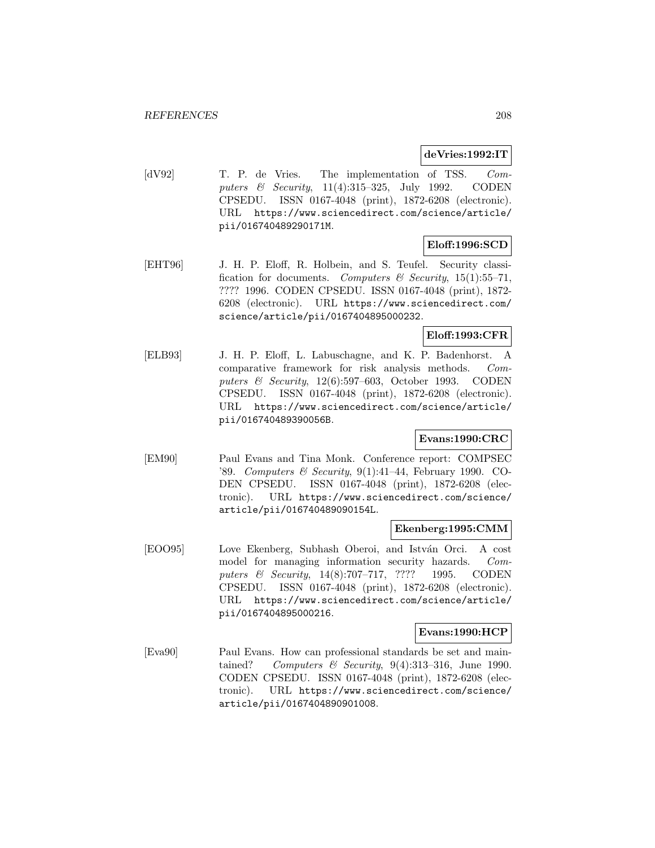#### **deVries:1992:IT**

[dV92] T. P. de Vries. The implementation of TSS. Computers & Security, 11(4):315–325, July 1992. CODEN CPSEDU. ISSN 0167-4048 (print), 1872-6208 (electronic). URL https://www.sciencedirect.com/science/article/ pii/016740489290171M.

## **Eloff:1996:SCD**

[EHT96] J. H. P. Eloff, R. Holbein, and S. Teufel. Security classification for documents. Computers & Security, 15(1):55-71, ???? 1996. CODEN CPSEDU. ISSN 0167-4048 (print), 1872- 6208 (electronic). URL https://www.sciencedirect.com/ science/article/pii/0167404895000232.

## **Eloff:1993:CFR**

[ELB93] J. H. P. Eloff, L. Labuschagne, and K. P. Badenhorst. A comparative framework for risk analysis methods. Computers  $\&$  Security, 12(6):597–603, October 1993. CODEN CPSEDU. ISSN 0167-4048 (print), 1872-6208 (electronic). URL https://www.sciencedirect.com/science/article/ pii/016740489390056B.

## **Evans:1990:CRC**

[EM90] Paul Evans and Tina Monk. Conference report: COMPSEC '89. Computers & Security, 9(1):41–44, February 1990. CO-DEN CPSEDU. ISSN 0167-4048 (print), 1872-6208 (electronic). URL https://www.sciencedirect.com/science/ article/pii/016740489090154L.

### **Ekenberg:1995:CMM**

[EOO95] Love Ekenberg, Subhash Oberoi, and István Orci. A cost model for managing information security hazards. Computers & Security, 14(8):707–717, ???? 1995. CODEN CPSEDU. ISSN 0167-4048 (print), 1872-6208 (electronic). URL https://www.sciencedirect.com/science/article/ pii/0167404895000216.

#### **Evans:1990:HCP**

[Eva90] Paul Evans. How can professional standards be set and maintained? Computers & Security,  $9(4):313-316$ , June 1990. CODEN CPSEDU. ISSN 0167-4048 (print), 1872-6208 (electronic). URL https://www.sciencedirect.com/science/ article/pii/0167404890901008.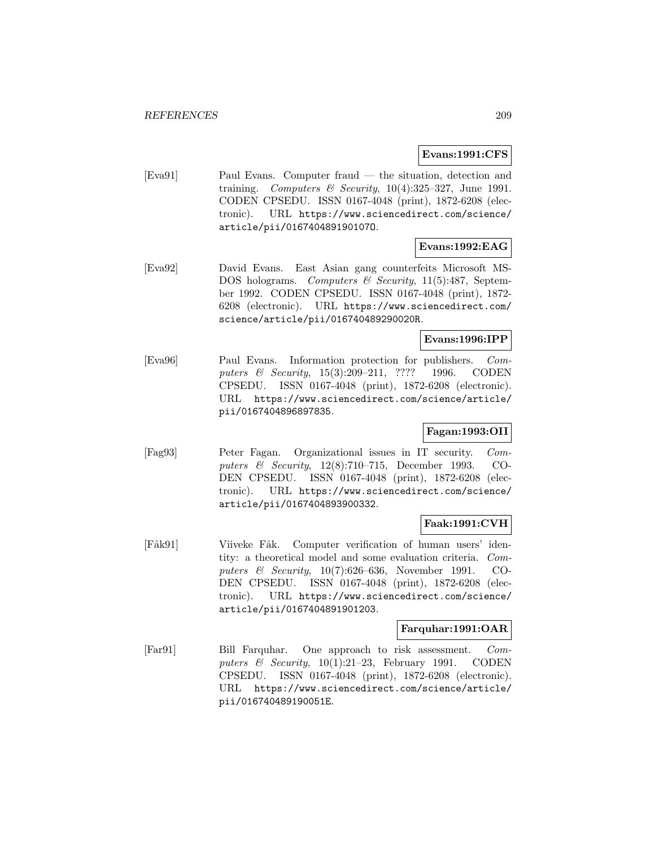### **Evans:1991:CFS**

[Eva91] Paul Evans. Computer fraud — the situation, detection and training. Computers & Security,  $10(4):325-327$ , June 1991. CODEN CPSEDU. ISSN 0167-4048 (print), 1872-6208 (electronic). URL https://www.sciencedirect.com/science/ article/pii/016740489190107O.

# **Evans:1992:EAG**

[Eva92] David Evans. East Asian gang counterfeits Microsoft MS-DOS holograms. Computers & Security, 11(5):487, September 1992. CODEN CPSEDU. ISSN 0167-4048 (print), 1872- 6208 (electronic). URL https://www.sciencedirect.com/ science/article/pii/016740489290020R.

## **Evans:1996:IPP**

[Eva96] Paul Evans. Information protection for publishers. Computers & Security, 15(3):209–211, ???? 1996. CODEN CPSEDU. ISSN 0167-4048 (print), 1872-6208 (electronic). URL https://www.sciencedirect.com/science/article/ pii/0167404896897835.

# **Fagan:1993:OII**

[Fag93] Peter Fagan. Organizational issues in IT security. Computers & Security, 12(8):710–715, December 1993. CO-DEN CPSEDU. ISSN 0167-4048 (print), 1872-6208 (electronic). URL https://www.sciencedirect.com/science/ article/pii/0167404893900332.

## **Faak:1991:CVH**

[Fåk91] Viiveke Fåk. Computer verification of human users' identity: a theoretical model and some evaluation criteria. Computers & Security, 10(7):626–636, November 1991. CO-DEN CPSEDU. ISSN 0167-4048 (print), 1872-6208 (electronic). URL https://www.sciencedirect.com/science/ article/pii/0167404891901203.

### **Farquhar:1991:OAR**

[Far91] Bill Farquhar. One approach to risk assessment. Computers  $\&$  Security, 10(1):21–23, February 1991. CODEN CPSEDU. ISSN 0167-4048 (print), 1872-6208 (electronic). URL https://www.sciencedirect.com/science/article/ pii/016740489190051E.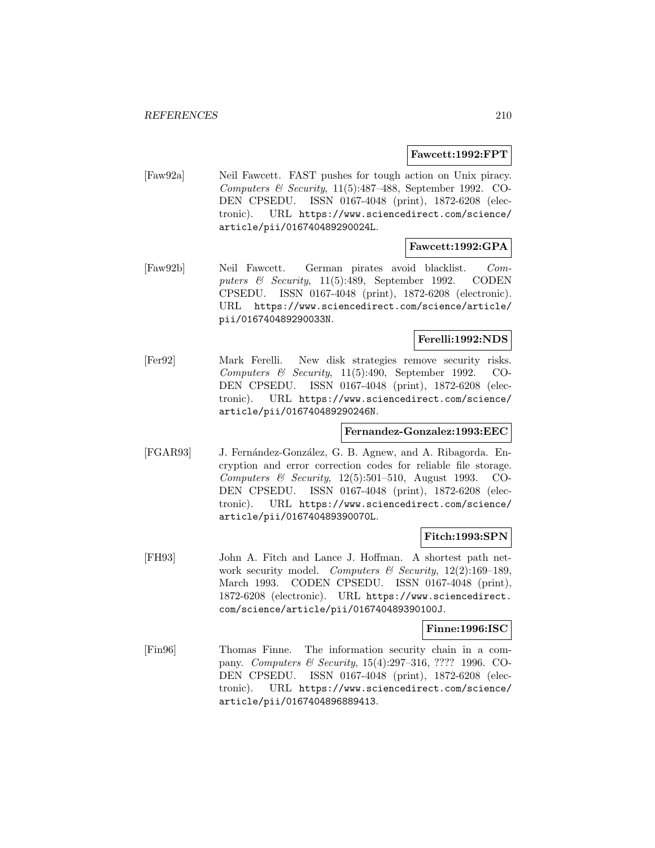#### **Fawcett:1992:FPT**

[Faw92a] Neil Fawcett. FAST pushes for tough action on Unix piracy. Computers & Security, 11(5):487–488, September 1992. CO-DEN CPSEDU. ISSN 0167-4048 (print), 1872-6208 (electronic). URL https://www.sciencedirect.com/science/ article/pii/016740489290024L.

## **Fawcett:1992:GPA**

[Faw92b] Neil Fawcett. German pirates avoid blacklist. Computers & Security, 11(5):489, September 1992. CODEN CPSEDU. ISSN 0167-4048 (print), 1872-6208 (electronic). URL https://www.sciencedirect.com/science/article/ pii/016740489290033N.

## **Ferelli:1992:NDS**

[Fer92] Mark Ferelli. New disk strategies remove security risks. Computers & Security, 11(5):490, September 1992. CO-DEN CPSEDU. ISSN 0167-4048 (print), 1872-6208 (electronic). URL https://www.sciencedirect.com/science/ article/pii/016740489290246N.

### **Fernandez-Gonzalez:1993:EEC**

[FGAR93] J. Fernández-González, G. B. Agnew, and A. Ribagorda. Encryption and error correction codes for reliable file storage. Computers & Security, 12(5):501–510, August 1993. CO-DEN CPSEDU. ISSN 0167-4048 (print), 1872-6208 (electronic). URL https://www.sciencedirect.com/science/ article/pii/016740489390070L.

#### **Fitch:1993:SPN**

[FH93] John A. Fitch and Lance J. Hoffman. A shortest path network security model. Computers & Security,  $12(2):169-189$ , March 1993. CODEN CPSEDU. ISSN 0167-4048 (print), 1872-6208 (electronic). URL https://www.sciencedirect. com/science/article/pii/016740489390100J.

#### **Finne:1996:ISC**

[Fin96] Thomas Finne. The information security chain in a company. Computers & Security, 15(4):297–316, ???? 1996. CO-DEN CPSEDU. ISSN 0167-4048 (print), 1872-6208 (electronic). URL https://www.sciencedirect.com/science/ article/pii/0167404896889413.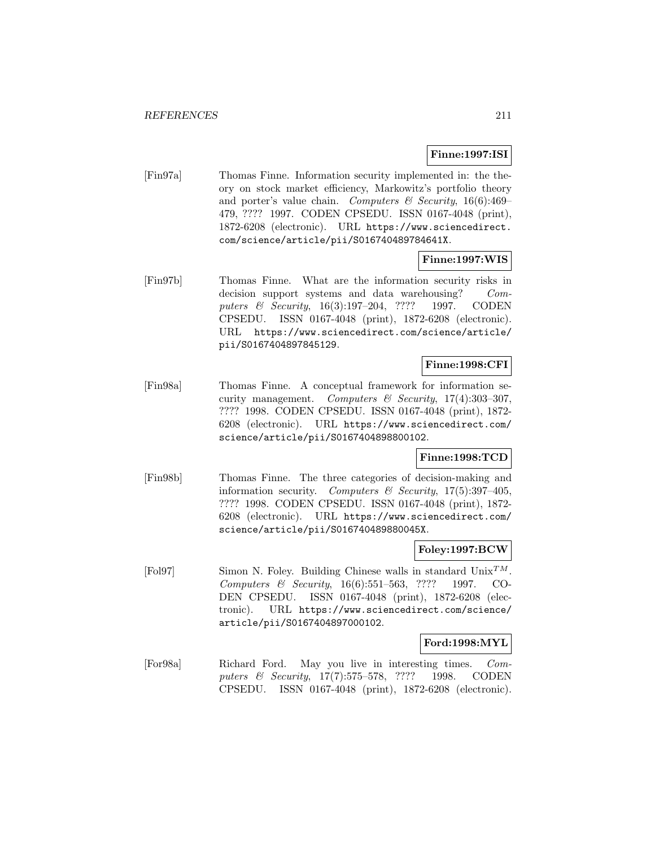## **Finne:1997:ISI**

[Fin97a] Thomas Finne. Information security implemented in: the theory on stock market efficiency, Markowitz's portfolio theory and porter's value chain. Computers  $\mathcal C$  Security, 16(6):469– 479, ???? 1997. CODEN CPSEDU. ISSN 0167-4048 (print), 1872-6208 (electronic). URL https://www.sciencedirect. com/science/article/pii/S016740489784641X.

## **Finne:1997:WIS**

[Fin97b] Thomas Finne. What are the information security risks in decision support systems and data warehousing? Computers & Security, 16(3):197–204, ???? 1997. CODEN CPSEDU. ISSN 0167-4048 (print), 1872-6208 (electronic). URL https://www.sciencedirect.com/science/article/ pii/S0167404897845129.

## **Finne:1998:CFI**

[Fin98a] Thomas Finne. A conceptual framework for information security management. Computers & Security,  $17(4):303-307$ , ???? 1998. CODEN CPSEDU. ISSN 0167-4048 (print), 1872- 6208 (electronic). URL https://www.sciencedirect.com/ science/article/pii/S0167404898800102.

### **Finne:1998:TCD**

[Fin98b] Thomas Finne. The three categories of decision-making and information security. Computers & Security,  $17(5):397-405$ , ???? 1998. CODEN CPSEDU. ISSN 0167-4048 (print), 1872- 6208 (electronic). URL https://www.sciencedirect.com/ science/article/pii/S016740489880045X.

#### **Foley:1997:BCW**

[Fol97] Simon N. Foley. Building Chinese walls in standard  $\text{Unix}^{TM}$ Computers & Security, 16(6):551–563, ???? 1997. CO-DEN CPSEDU. ISSN 0167-4048 (print), 1872-6208 (electronic). URL https://www.sciencedirect.com/science/ article/pii/S0167404897000102.

### **Ford:1998:MYL**

[For98a] Richard Ford. May you live in interesting times. Computers & Security, 17(7):575–578, ???? 1998. CODEN CPSEDU. ISSN 0167-4048 (print), 1872-6208 (electronic).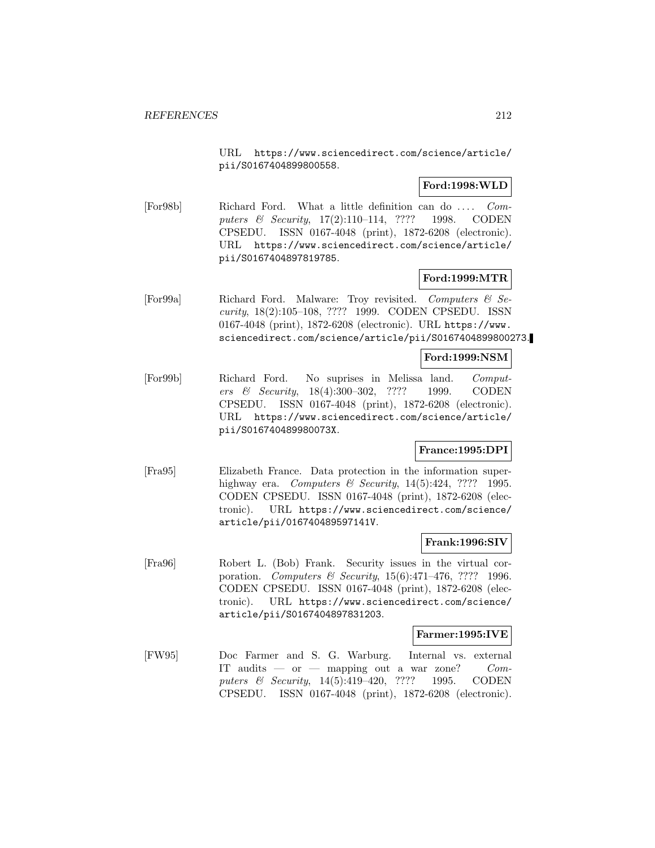URL https://www.sciencedirect.com/science/article/ pii/S0167404899800558.

## **Ford:1998:WLD**

[For98b] Richard Ford. What a little definition can do ... . Computers & Security, 17(2):110-114, ???? 1998. CODEN CPSEDU. ISSN 0167-4048 (print), 1872-6208 (electronic). URL https://www.sciencedirect.com/science/article/ pii/S0167404897819785.

### **Ford:1999:MTR**

[For99a] Richard Ford. Malware: Troy revisited. Computers & Security, 18(2):105–108, ???? 1999. CODEN CPSEDU. ISSN 0167-4048 (print), 1872-6208 (electronic). URL https://www. sciencedirect.com/science/article/pii/S0167404899800273.

#### **Ford:1999:NSM**

[For99b] Richard Ford. No suprises in Melissa land. Computers & Security, 18(4):300–302, ???? 1999. CODEN CPSEDU. ISSN 0167-4048 (print), 1872-6208 (electronic). URL https://www.sciencedirect.com/science/article/ pii/S016740489980073X.

### **France:1995:DPI**

[Fra95] Elizabeth France. Data protection in the information superhighway era. Computers & Security,  $14(5):424$ , ???? 1995. CODEN CPSEDU. ISSN 0167-4048 (print), 1872-6208 (electronic). URL https://www.sciencedirect.com/science/ article/pii/016740489597141V.

### **Frank:1996:SIV**

[Fra96] Robert L. (Bob) Frank. Security issues in the virtual corporation. Computers & Security, 15(6):471–476, ???? 1996. CODEN CPSEDU. ISSN 0167-4048 (print), 1872-6208 (electronic). URL https://www.sciencedirect.com/science/ article/pii/S0167404897831203.

### **Farmer:1995:IVE**

[FW95] Doc Farmer and S. G. Warburg. Internal vs. external IT audits — or — mapping out a war zone? Computers & Security, 14(5):419-420, ???? 1995. CODEN CPSEDU. ISSN 0167-4048 (print), 1872-6208 (electronic).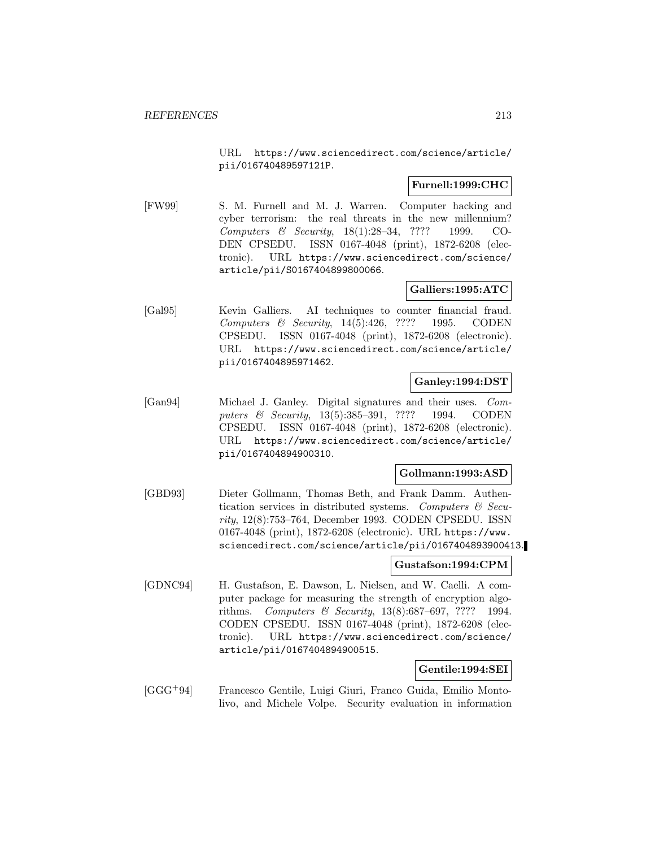URL https://www.sciencedirect.com/science/article/ pii/016740489597121P.

### **Furnell:1999:CHC**

[FW99] S. M. Furnell and M. J. Warren. Computer hacking and cyber terrorism: the real threats in the new millennium? Computers & Security, 18(1):28–34, ???? 1999. CO-DEN CPSEDU. ISSN 0167-4048 (print), 1872-6208 (electronic). URL https://www.sciencedirect.com/science/ article/pii/S0167404899800066.

# **Galliers:1995:ATC**

[Gal95] Kevin Galliers. AI techniques to counter financial fraud. Computers & Security, 14(5):426, ???? 1995. CODEN CPSEDU. ISSN 0167-4048 (print), 1872-6208 (electronic). URL https://www.sciencedirect.com/science/article/ pii/0167404895971462.

## **Ganley:1994:DST**

[Gan94] Michael J. Ganley. Digital signatures and their uses. Computers & Security, 13(5):385-391, ???? 1994. CODEN CPSEDU. ISSN 0167-4048 (print), 1872-6208 (electronic). URL https://www.sciencedirect.com/science/article/ pii/0167404894900310.

### **Gollmann:1993:ASD**

[GBD93] Dieter Gollmann, Thomas Beth, and Frank Damm. Authentication services in distributed systems. Computers  $\mathcal{C}$  Security, 12(8):753–764, December 1993. CODEN CPSEDU. ISSN 0167-4048 (print), 1872-6208 (electronic). URL https://www. sciencedirect.com/science/article/pii/0167404893900413.

## **Gustafson:1994:CPM**

[GDNC94] H. Gustafson, E. Dawson, L. Nielsen, and W. Caelli. A computer package for measuring the strength of encryption algorithms. Computers & Security, 13(8):687–697, ???? 1994. CODEN CPSEDU. ISSN 0167-4048 (print), 1872-6208 (electronic). URL https://www.sciencedirect.com/science/ article/pii/0167404894900515.

### **Gentile:1994:SEI**

[GGG<sup>+</sup>94] Francesco Gentile, Luigi Giuri, Franco Guida, Emilio Montolivo, and Michele Volpe. Security evaluation in information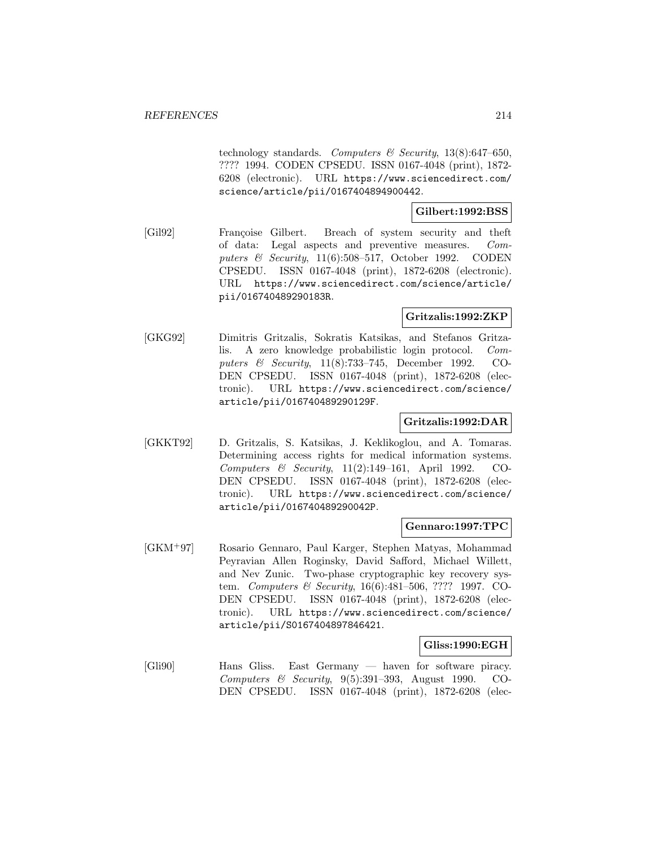technology standards. Computers  $\mathcal B$  Security, 13(8):647–650, ???? 1994. CODEN CPSEDU. ISSN 0167-4048 (print), 1872- 6208 (electronic). URL https://www.sciencedirect.com/ science/article/pii/0167404894900442.

## **Gilbert:1992:BSS**

[Gil92] Françoise Gilbert. Breach of system security and theft of data: Legal aspects and preventive measures. Computers & Security, 11(6):508–517, October 1992. CODEN CPSEDU. ISSN 0167-4048 (print), 1872-6208 (electronic). URL https://www.sciencedirect.com/science/article/ pii/016740489290183R.

# **Gritzalis:1992:ZKP**

[GKG92] Dimitris Gritzalis, Sokratis Katsikas, and Stefanos Gritzalis. A zero knowledge probabilistic login protocol. Computers & Security, 11(8):733–745, December 1992. CO-DEN CPSEDU. ISSN 0167-4048 (print), 1872-6208 (electronic). URL https://www.sciencedirect.com/science/ article/pii/016740489290129F.

### **Gritzalis:1992:DAR**

[GKKT92] D. Gritzalis, S. Katsikas, J. Keklikoglou, and A. Tomaras. Determining access rights for medical information systems. Computers & Security, 11(2):149–161, April 1992. CO-DEN CPSEDU. ISSN 0167-4048 (print), 1872-6208 (electronic). URL https://www.sciencedirect.com/science/ article/pii/016740489290042P.

#### **Gennaro:1997:TPC**

[GKM<sup>+</sup>97] Rosario Gennaro, Paul Karger, Stephen Matyas, Mohammad Peyravian Allen Roginsky, David Safford, Michael Willett, and Nev Zunic. Two-phase cryptographic key recovery system. Computers & Security, 16(6):481–506, ???? 1997. CO-DEN CPSEDU. ISSN 0167-4048 (print), 1872-6208 (electronic). URL https://www.sciencedirect.com/science/ article/pii/S0167404897846421.

### **Gliss:1990:EGH**

[Gli90] Hans Gliss. East Germany — haven for software piracy. Computers & Security, 9(5):391–393, August 1990. CO-DEN CPSEDU. ISSN 0167-4048 (print), 1872-6208 (elec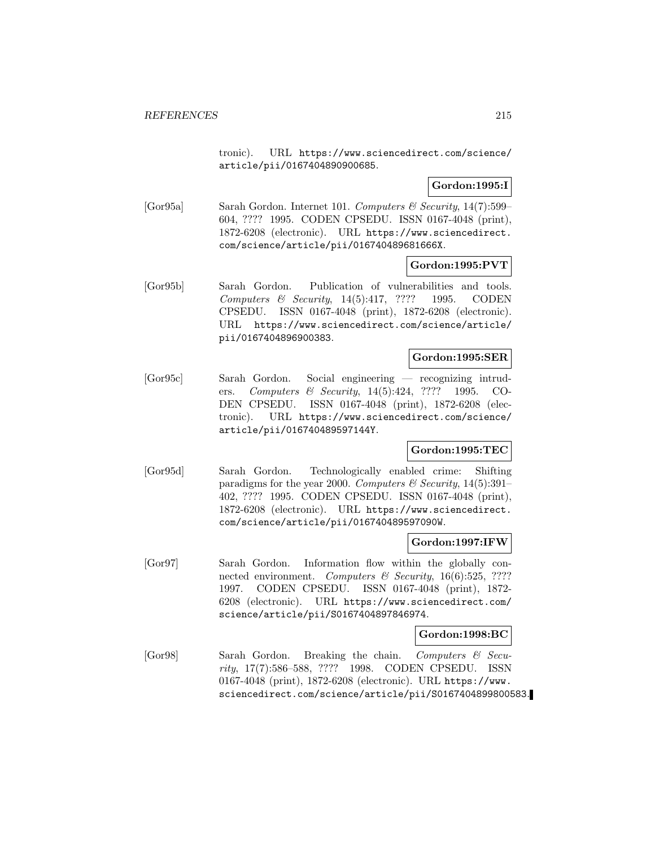tronic). URL https://www.sciencedirect.com/science/ article/pii/0167404890900685.

## **Gordon:1995:I**

[Gor95a] Sarah Gordon. Internet 101. Computers & Security, 14(7):599– 604, ???? 1995. CODEN CPSEDU. ISSN 0167-4048 (print), 1872-6208 (electronic). URL https://www.sciencedirect. com/science/article/pii/016740489681666X.

### **Gordon:1995:PVT**

[Gor95b] Sarah Gordon. Publication of vulnerabilities and tools. Computers & Security, 14(5):417, ???? 1995. CODEN CPSEDU. ISSN 0167-4048 (print), 1872-6208 (electronic). URL https://www.sciencedirect.com/science/article/ pii/0167404896900383.

#### **Gordon:1995:SER**

[Gor95c] Sarah Gordon. Social engineering — recognizing intruders. Computers & Security, 14(5):424, ???? 1995. CO-DEN CPSEDU. ISSN 0167-4048 (print), 1872-6208 (electronic). URL https://www.sciencedirect.com/science/ article/pii/016740489597144Y.

## **Gordon:1995:TEC**

[Gor95d] Sarah Gordon. Technologically enabled crime: Shifting paradigms for the year 2000. Computers & Security,  $14(5):391-$ 402, ???? 1995. CODEN CPSEDU. ISSN 0167-4048 (print), 1872-6208 (electronic). URL https://www.sciencedirect. com/science/article/pii/016740489597090W.

### **Gordon:1997:IFW**

[Gor97] Sarah Gordon. Information flow within the globally connected environment. Computers & Security,  $16(6):525$ , ???? 1997. CODEN CPSEDU. ISSN 0167-4048 (print), 1872- 6208 (electronic). URL https://www.sciencedirect.com/ science/article/pii/S0167404897846974.

### **Gordon:1998:BC**

[Gor98] Sarah Gordon. Breaking the chain. Computers & Security, 17(7):586–588, ???? 1998. CODEN CPSEDU. ISSN 0167-4048 (print), 1872-6208 (electronic). URL https://www. sciencedirect.com/science/article/pii/S0167404899800583.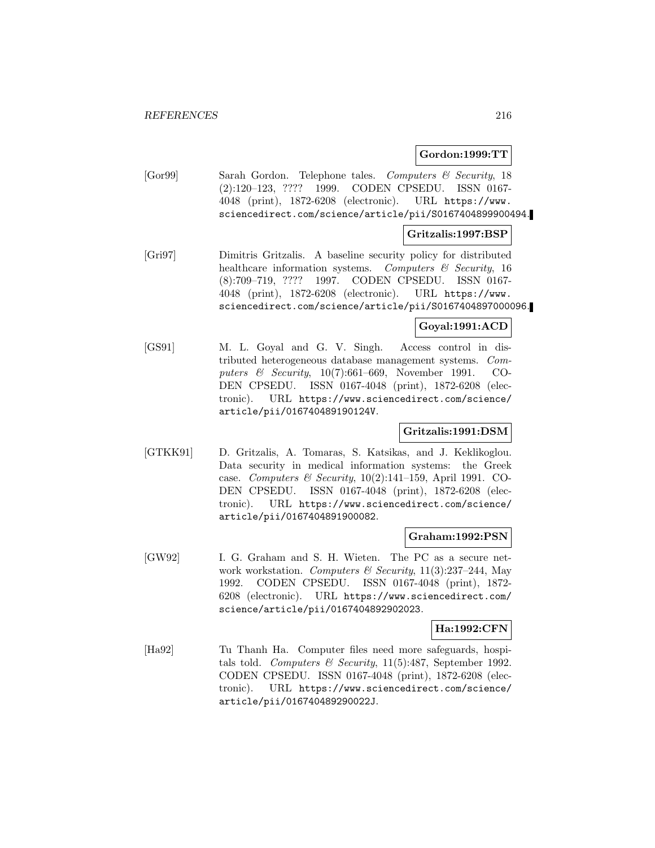#### **Gordon:1999:TT**

[Gor99] Sarah Gordon. Telephone tales. Computers & Security, 18 (2):120–123, ???? 1999. CODEN CPSEDU. ISSN 0167- 4048 (print), 1872-6208 (electronic). URL https://www. sciencedirect.com/science/article/pii/S0167404899900494.

#### **Gritzalis:1997:BSP**

[Gri97] Dimitris Gritzalis. A baseline security policy for distributed healthcare information systems. Computers  $\mathcal C$  Security, 16 (8):709–719, ???? 1997. CODEN CPSEDU. ISSN 0167- 4048 (print), 1872-6208 (electronic). URL https://www. sciencedirect.com/science/article/pii/S0167404897000096.

### **Goyal:1991:ACD**

[GS91] M. L. Goyal and G. V. Singh. Access control in distributed heterogeneous database management systems. Computers & Security, 10(7):661–669, November 1991. CO-DEN CPSEDU. ISSN 0167-4048 (print), 1872-6208 (electronic). URL https://www.sciencedirect.com/science/ article/pii/016740489190124V.

### **Gritzalis:1991:DSM**

[GTKK91] D. Gritzalis, A. Tomaras, S. Katsikas, and J. Keklikoglou. Data security in medical information systems: the Greek case. Computers & Security,  $10(2):141-159$ , April 1991. CO-DEN CPSEDU. ISSN 0167-4048 (print), 1872-6208 (electronic). URL https://www.sciencedirect.com/science/ article/pii/0167404891900082.

#### **Graham:1992:PSN**

[GW92] I. G. Graham and S. H. Wieten. The PC as a secure network workstation. Computers & Security,  $11(3):237-244$ , May 1992. CODEN CPSEDU. ISSN 0167-4048 (print), 1872- 6208 (electronic). URL https://www.sciencedirect.com/ science/article/pii/0167404892902023.

#### **Ha:1992:CFN**

[Ha92] Tu Thanh Ha. Computer files need more safeguards, hospitals told. Computers & Security, 11(5):487, September 1992. CODEN CPSEDU. ISSN 0167-4048 (print), 1872-6208 (electronic). URL https://www.sciencedirect.com/science/ article/pii/016740489290022J.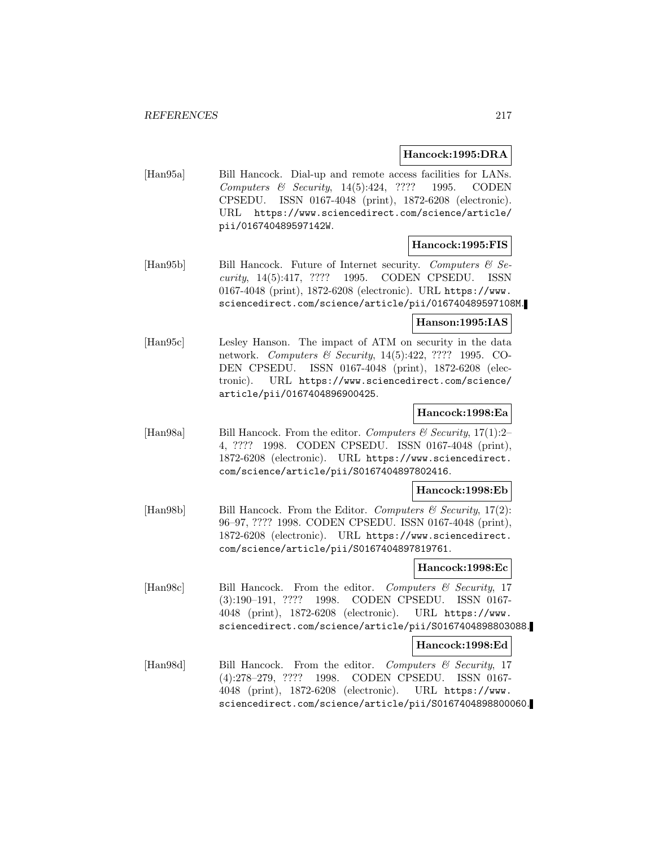## **Hancock:1995:DRA**

[Han95a] Bill Hancock. Dial-up and remote access facilities for LANs. Computers & Security, 14(5):424, ???? 1995. CODEN CPSEDU. ISSN 0167-4048 (print), 1872-6208 (electronic). URL https://www.sciencedirect.com/science/article/ pii/016740489597142W.

#### **Hancock:1995:FIS**

[Hang5b] Bill Hancock. Future of Internet security. Computers  $\mathcal{B}$  Security, 14(5):417, ???? 1995. CODEN CPSEDU. ISSN 0167-4048 (print), 1872-6208 (electronic). URL https://www. sciencedirect.com/science/article/pii/016740489597108M.

#### **Hanson:1995:IAS**

[Han95c] Lesley Hanson. The impact of ATM on security in the data network. *Computers & Security*, 14(5):422, ???? 1995. CO-DEN CPSEDU. ISSN 0167-4048 (print), 1872-6208 (electronic). URL https://www.sciencedirect.com/science/ article/pii/0167404896900425.

# **Hancock:1998:Ea**

[Han98a] Bill Hancock. From the editor. Computers  $\mathcal{C}$  Security, 17(1):2– 4, ???? 1998. CODEN CPSEDU. ISSN 0167-4048 (print), 1872-6208 (electronic). URL https://www.sciencedirect. com/science/article/pii/S0167404897802416.

#### **Hancock:1998:Eb**

[Han98b] Bill Hancock. From the Editor. Computers  $\mathcal C$  Security, 17(2): 96–97, ???? 1998. CODEN CPSEDU. ISSN 0167-4048 (print), 1872-6208 (electronic). URL https://www.sciencedirect. com/science/article/pii/S0167404897819761.

## **Hancock:1998:Ec**

[Han98c] Bill Hancock. From the editor. Computers & Security, 17 (3):190–191, ???? 1998. CODEN CPSEDU. ISSN 0167- 4048 (print), 1872-6208 (electronic). URL https://www. sciencedirect.com/science/article/pii/S0167404898803088.

#### **Hancock:1998:Ed**

[Han98d] Bill Hancock. From the editor. Computers & Security, 17 (4):278–279, ???? 1998. CODEN CPSEDU. ISSN 0167- 4048 (print), 1872-6208 (electronic). URL https://www. sciencedirect.com/science/article/pii/S0167404898800060.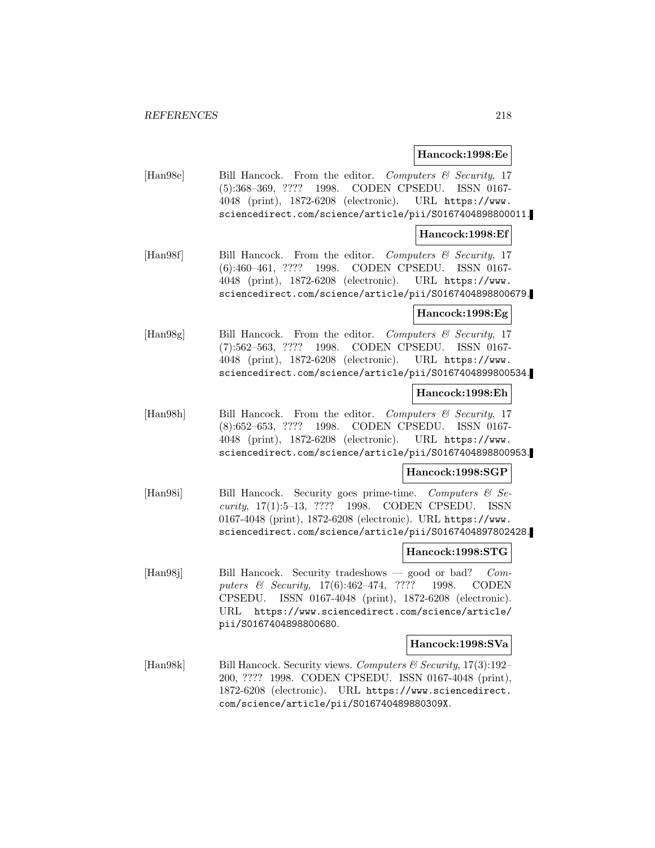#### **Hancock:1998:Ee**

[Han98e] Bill Hancock. From the editor. Computers & Security, 17 (5):368–369, ???? 1998. CODEN CPSEDU. ISSN 0167- 4048 (print), 1872-6208 (electronic). URL https://www. sciencedirect.com/science/article/pii/S0167404898800011.

#### **Hancock:1998:Ef**

[Han98f] Bill Hancock. From the editor. Computers & Security, 17 (6):460–461, ???? 1998. CODEN CPSEDU. ISSN 0167- 4048 (print), 1872-6208 (electronic). URL https://www. sciencedirect.com/science/article/pii/S0167404898800679.

## **Hancock:1998:Eg**

[Han98g] Bill Hancock. From the editor. Computers & Security, 17 (7):562–563, ???? 1998. CODEN CPSEDU. ISSN 0167- 4048 (print), 1872-6208 (electronic). URL https://www. sciencedirect.com/science/article/pii/S0167404899800534.

#### **Hancock:1998:Eh**

[Han98h] Bill Hancock. From the editor. Computers & Security, 17 (8):652–653, ???? 1998. CODEN CPSEDU. ISSN 0167- 4048 (print), 1872-6208 (electronic). URL https://www. sciencedirect.com/science/article/pii/S0167404898800953.

# **Hancock:1998:SGP**

[Han98i] Bill Hancock. Security goes prime-time. Computers & Security, 17(1):5–13, ???? 1998. CODEN CPSEDU. ISSN 0167-4048 (print), 1872-6208 (electronic). URL https://www. sciencedirect.com/science/article/pii/S0167404897802428.

## **Hancock:1998:STG**

[Han98j] Bill Hancock. Security tradeshows — good or bad? Computers & Security, 17(6):462–474, ???? 1998. CODEN CPSEDU. ISSN 0167-4048 (print), 1872-6208 (electronic). URL https://www.sciencedirect.com/science/article/ pii/S0167404898800680.

#### **Hancock:1998:SVa**

[Han98k] Bill Hancock. Security views. Computers & Security, 17(3):192-200, ???? 1998. CODEN CPSEDU. ISSN 0167-4048 (print), 1872-6208 (electronic). URL https://www.sciencedirect. com/science/article/pii/S016740489880309X.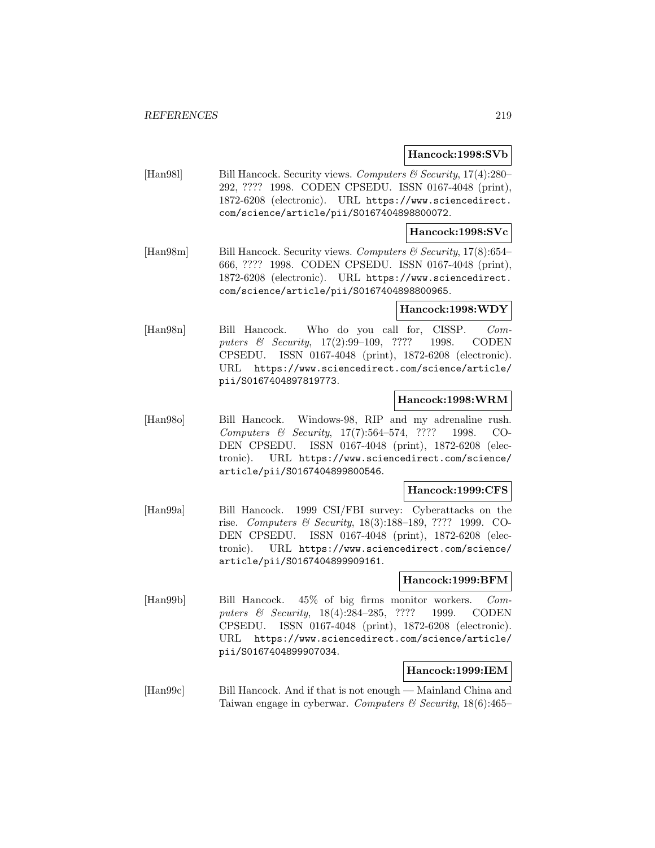#### **Hancock:1998:SVb**

[Han98l] Bill Hancock. Security views. Computers  $\mathcal{B}$  Security, 17(4):280– 292, ???? 1998. CODEN CPSEDU. ISSN 0167-4048 (print), 1872-6208 (electronic). URL https://www.sciencedirect. com/science/article/pii/S0167404898800072.

#### **Hancock:1998:SVc**

[Han98m] Bill Hancock. Security views. Computers & Security, 17(8):654– 666, ???? 1998. CODEN CPSEDU. ISSN 0167-4048 (print), 1872-6208 (electronic). URL https://www.sciencedirect. com/science/article/pii/S0167404898800965.

#### **Hancock:1998:WDY**

[Han98n] Bill Hancock. Who do you call for, CISSP. Computers & Security, 17(2):99–109, ???? 1998. CODEN CPSEDU. ISSN 0167-4048 (print), 1872-6208 (electronic). URL https://www.sciencedirect.com/science/article/ pii/S0167404897819773.

## **Hancock:1998:WRM**

[Han98o] Bill Hancock. Windows-98, RIP and my adrenaline rush. Computers & Security, 17(7):564–574, ???? 1998. CO-DEN CPSEDU. ISSN 0167-4048 (print), 1872-6208 (electronic). URL https://www.sciencedirect.com/science/ article/pii/S0167404899800546.

#### **Hancock:1999:CFS**

[Han99a] Bill Hancock. 1999 CSI/FBI survey: Cyberattacks on the rise. Computers & Security, 18(3):188–189, ???? 1999. CO-DEN CPSEDU. ISSN 0167-4048 (print), 1872-6208 (electronic). URL https://www.sciencedirect.com/science/ article/pii/S0167404899909161.

#### **Hancock:1999:BFM**

[Han99b] Bill Hancock. 45% of big firms monitor workers. Computers & Security, 18(4):284–285, ???? 1999. CODEN CPSEDU. ISSN 0167-4048 (print), 1872-6208 (electronic). URL https://www.sciencedirect.com/science/article/ pii/S0167404899907034.

#### **Hancock:1999:IEM**

[Han99c] Bill Hancock. And if that is not enough — Mainland China and Taiwan engage in cyberwar. Computers & Security,  $18(6)$ :465–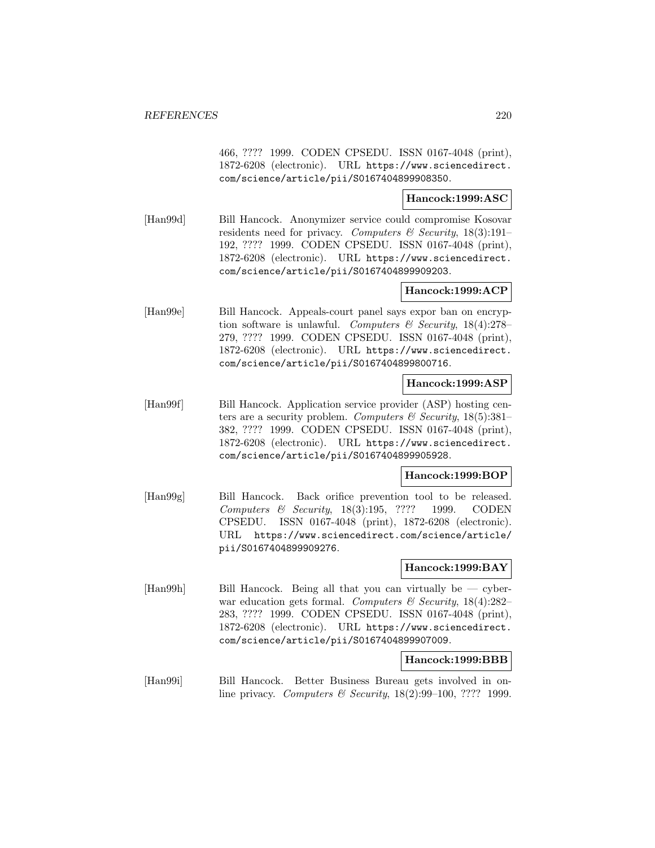466, ???? 1999. CODEN CPSEDU. ISSN 0167-4048 (print), 1872-6208 (electronic). URL https://www.sciencedirect. com/science/article/pii/S0167404899908350.

## **Hancock:1999:ASC**

[Han99d] Bill Hancock. Anonymizer service could compromise Kosovar residents need for privacy. Computers  $\mathcal C$  Security, 18(3):191– 192, ???? 1999. CODEN CPSEDU. ISSN 0167-4048 (print), 1872-6208 (electronic). URL https://www.sciencedirect. com/science/article/pii/S0167404899909203.

## **Hancock:1999:ACP**

[Han99e] Bill Hancock. Appeals-court panel says expor ban on encryption software is unlawful. Computers  $\mathcal{B}$  Security, 18(4):278– 279, ???? 1999. CODEN CPSEDU. ISSN 0167-4048 (print), 1872-6208 (electronic). URL https://www.sciencedirect. com/science/article/pii/S0167404899800716.

#### **Hancock:1999:ASP**

[Han99f] Bill Hancock. Application service provider (ASP) hosting centers are a security problem. Computers & Security,  $18(5):381-$ 382, ???? 1999. CODEN CPSEDU. ISSN 0167-4048 (print), 1872-6208 (electronic). URL https://www.sciencedirect. com/science/article/pii/S0167404899905928.

# **Hancock:1999:BOP**

[Han99g] Bill Hancock. Back orifice prevention tool to be released. Computers & Security, 18(3):195, ???? 1999. CODEN CPSEDU. ISSN 0167-4048 (print), 1872-6208 (electronic). URL https://www.sciencedirect.com/science/article/ pii/S0167404899909276.

## **Hancock:1999:BAY**

[Han99h] Bill Hancock. Being all that you can virtually be — cyberwar education gets formal. Computers & Security,  $18(4):282-$ 283, ???? 1999. CODEN CPSEDU. ISSN 0167-4048 (print), 1872-6208 (electronic). URL https://www.sciencedirect. com/science/article/pii/S0167404899907009.

## **Hancock:1999:BBB**

[Han99i] Bill Hancock. Better Business Bureau gets involved in online privacy. Computers & Security, 18(2):99–100, ???? 1999.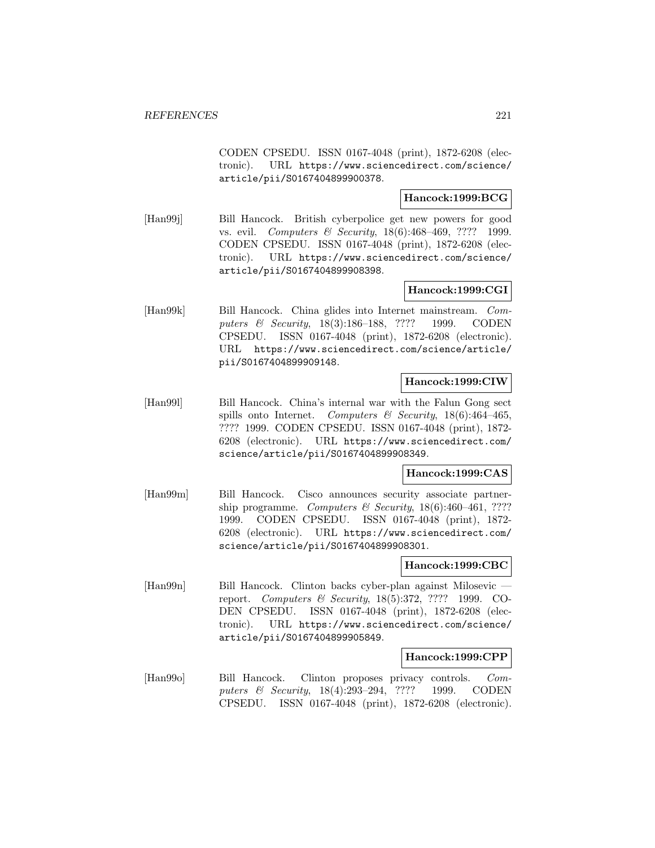CODEN CPSEDU. ISSN 0167-4048 (print), 1872-6208 (electronic). URL https://www.sciencedirect.com/science/ article/pii/S0167404899900378.

# **Hancock:1999:BCG**

[Han99j] Bill Hancock. British cyberpolice get new powers for good vs. evil. Computers & Security, 18(6):468–469, ???? 1999. CODEN CPSEDU. ISSN 0167-4048 (print), 1872-6208 (electronic). URL https://www.sciencedirect.com/science/ article/pii/S0167404899908398.

# **Hancock:1999:CGI**

[Han99k] Bill Hancock. China glides into Internet mainstream. Computers & Security, 18(3):186–188, ???? 1999. CODEN CPSEDU. ISSN 0167-4048 (print), 1872-6208 (electronic). URL https://www.sciencedirect.com/science/article/ pii/S0167404899909148.

#### **Hancock:1999:CIW**

[Han99l] Bill Hancock. China's internal war with the Falun Gong sect spills onto Internet. Computers & Security, 18(6):464-465, ???? 1999. CODEN CPSEDU. ISSN 0167-4048 (print), 1872- 6208 (electronic). URL https://www.sciencedirect.com/ science/article/pii/S0167404899908349.

## **Hancock:1999:CAS**

[Han99m] Bill Hancock. Cisco announces security associate partnership programme. Computers & Security,  $18(6):460-461$ , ???? 1999. CODEN CPSEDU. ISSN 0167-4048 (print), 1872- 6208 (electronic). URL https://www.sciencedirect.com/ science/article/pii/S0167404899908301.

## **Hancock:1999:CBC**

[Han99n] Bill Hancock. Clinton backs cyber-plan against Milosevic report. Computers & Security, 18(5):372, ???? 1999. CO-DEN CPSEDU. ISSN 0167-4048 (print), 1872-6208 (electronic). URL https://www.sciencedirect.com/science/ article/pii/S0167404899905849.

## **Hancock:1999:CPP**

[Han99o] Bill Hancock. Clinton proposes privacy controls. Computers & Security, 18(4):293–294, ???? 1999. CODEN CPSEDU. ISSN 0167-4048 (print), 1872-6208 (electronic).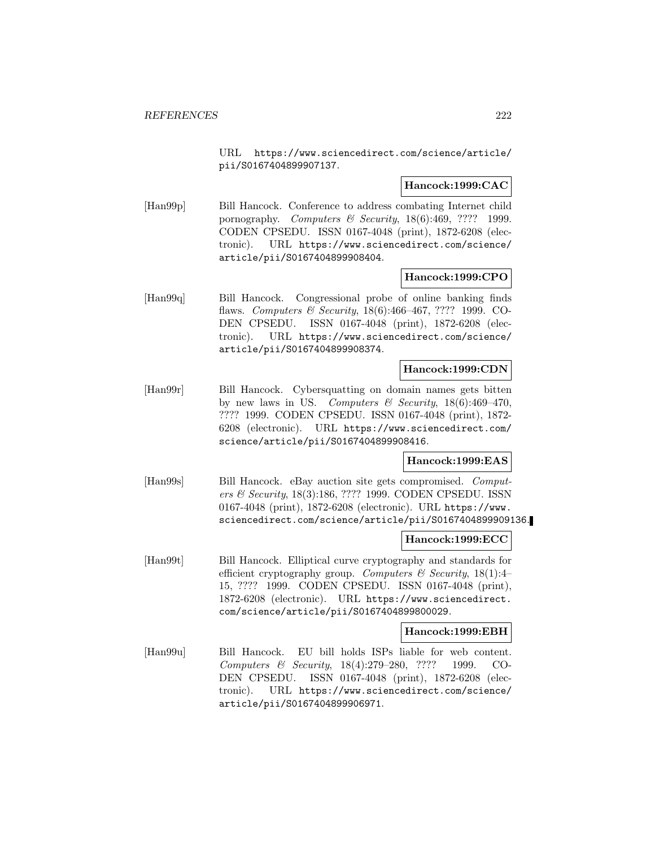URL https://www.sciencedirect.com/science/article/ pii/S0167404899907137.

## **Hancock:1999:CAC**

[Han99p] Bill Hancock. Conference to address combating Internet child pornography. Computers & Security, 18(6):469, ???? 1999. CODEN CPSEDU. ISSN 0167-4048 (print), 1872-6208 (electronic). URL https://www.sciencedirect.com/science/ article/pii/S0167404899908404.

## **Hancock:1999:CPO**

[Han99q] Bill Hancock. Congressional probe of online banking finds flaws. Computers & Security, 18(6):466–467, ???? 1999. CO-DEN CPSEDU. ISSN 0167-4048 (print), 1872-6208 (electronic). URL https://www.sciencedirect.com/science/ article/pii/S0167404899908374.

# **Hancock:1999:CDN**

[Han99r] Bill Hancock. Cybersquatting on domain names gets bitten by new laws in US. Computers  $\mathcal B$  Security, 18(6):469-470, ???? 1999. CODEN CPSEDU. ISSN 0167-4048 (print), 1872- 6208 (electronic). URL https://www.sciencedirect.com/ science/article/pii/S0167404899908416.

## **Hancock:1999:EAS**

[Han99s] Bill Hancock. eBay auction site gets compromised. Computers & Security, 18(3):186, ???? 1999. CODEN CPSEDU. ISSN 0167-4048 (print), 1872-6208 (electronic). URL https://www. sciencedirect.com/science/article/pii/S0167404899909136.

## **Hancock:1999:ECC**

[Han99t] Bill Hancock. Elliptical curve cryptography and standards for efficient cryptography group. Computers & Security, 18(1):4-15, ???? 1999. CODEN CPSEDU. ISSN 0167-4048 (print), 1872-6208 (electronic). URL https://www.sciencedirect. com/science/article/pii/S0167404899800029.

#### **Hancock:1999:EBH**

[Han99u] Bill Hancock. EU bill holds ISPs liable for web content. Computers & Security, 18(4):279–280, ???? 1999. CO-DEN CPSEDU. ISSN 0167-4048 (print), 1872-6208 (electronic). URL https://www.sciencedirect.com/science/ article/pii/S0167404899906971.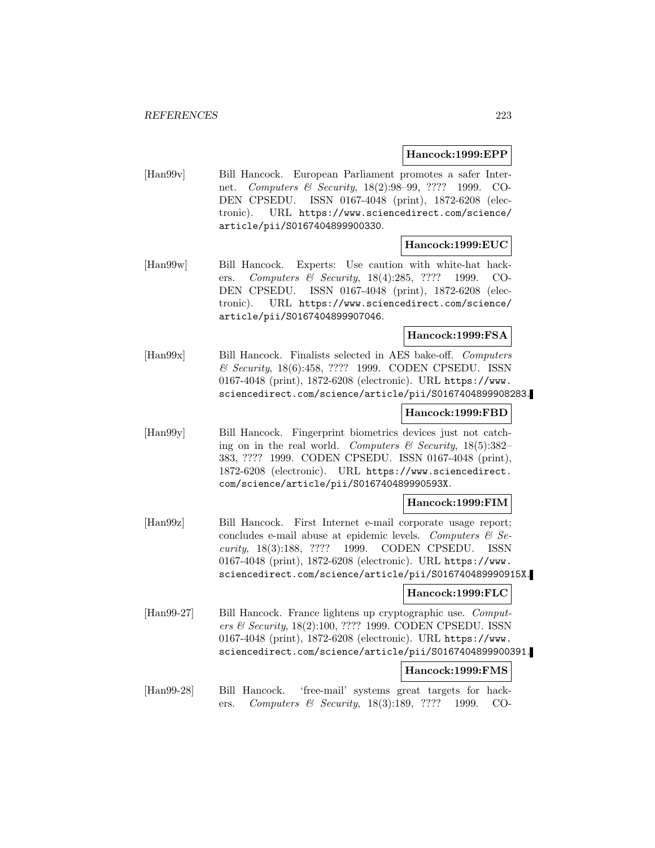## **Hancock:1999:EPP**

[Han99v] Bill Hancock. European Parliament promotes a safer Internet. Computers & Security, 18(2):98–99, ???? 1999. CO-DEN CPSEDU. ISSN 0167-4048 (print), 1872-6208 (electronic). URL https://www.sciencedirect.com/science/ article/pii/S0167404899900330.

## **Hancock:1999:EUC**

[Han99w] Bill Hancock. Experts: Use caution with white-hat hackers. Computers & Security, 18(4):285, ???? 1999. CO-DEN CPSEDU. ISSN 0167-4048 (print), 1872-6208 (electronic). URL https://www.sciencedirect.com/science/ article/pii/S0167404899907046.

## **Hancock:1999:FSA**

[Han99x] Bill Hancock. Finalists selected in AES bake-off. Computers & Security, 18(6):458, ???? 1999. CODEN CPSEDU. ISSN 0167-4048 (print), 1872-6208 (electronic). URL https://www. sciencedirect.com/science/article/pii/S0167404899908283.

#### **Hancock:1999:FBD**

[Han99y] Bill Hancock. Fingerprint biometrics devices just not catching on in the real world. Computers  $\mathcal C$  Security, 18(5):382– 383, ???? 1999. CODEN CPSEDU. ISSN 0167-4048 (print), 1872-6208 (electronic). URL https://www.sciencedirect. com/science/article/pii/S016740489990593X.

## **Hancock:1999:FIM**

[Han99z] Bill Hancock. First Internet e-mail corporate usage report; concludes e-mail abuse at epidemic levels. Computers  $\mathcal{C}$  Security, 18(3):188, ???? 1999. CODEN CPSEDU. ISSN 0167-4048 (print), 1872-6208 (electronic). URL https://www. sciencedirect.com/science/article/pii/S016740489990915X.

## **Hancock:1999:FLC**

[Han99-27] Bill Hancock. France lightens up cryptographic use. Computers & Security, 18(2):100, ???? 1999. CODEN CPSEDU. ISSN 0167-4048 (print), 1872-6208 (electronic). URL https://www. sciencedirect.com/science/article/pii/S0167404899900391.

## **Hancock:1999:FMS**

[Han99-28] Bill Hancock. 'free-mail' systems great targets for hackers. Computers & Security, 18(3):189, ???? 1999. CO-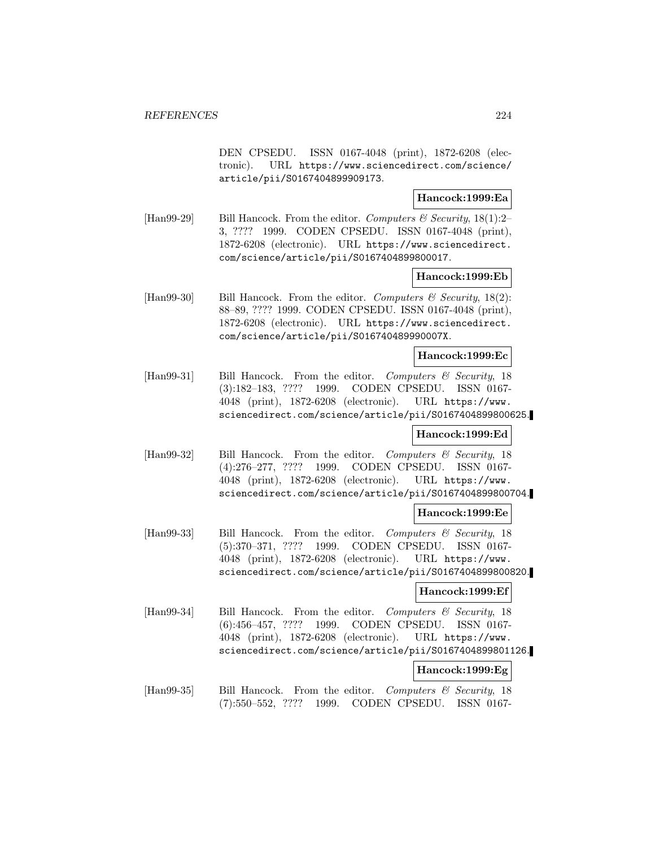DEN CPSEDU. ISSN 0167-4048 (print), 1872-6208 (electronic). URL https://www.sciencedirect.com/science/ article/pii/S0167404899909173.

## **Hancock:1999:Ea**

[Han99-29] Bill Hancock. From the editor. Computers & Security,  $18(1)$ :2– 3, ???? 1999. CODEN CPSEDU. ISSN 0167-4048 (print), 1872-6208 (electronic). URL https://www.sciencedirect. com/science/article/pii/S0167404899800017.

#### **Hancock:1999:Eb**

[Han99-30] Bill Hancock. From the editor. Computers  $\mathcal C$  Security, 18(2): 88–89, ???? 1999. CODEN CPSEDU. ISSN 0167-4048 (print), 1872-6208 (electronic). URL https://www.sciencedirect. com/science/article/pii/S016740489990007X.

#### **Hancock:1999:Ec**

[Han99-31] Bill Hancock. From the editor. Computers & Security, 18 (3):182–183, ???? 1999. CODEN CPSEDU. ISSN 0167- 4048 (print), 1872-6208 (electronic). URL https://www. sciencedirect.com/science/article/pii/S0167404899800625.

#### **Hancock:1999:Ed**

[Han99-32] Bill Hancock. From the editor. Computers & Security, 18 (4):276–277, ???? 1999. CODEN CPSEDU. ISSN 0167- 4048 (print), 1872-6208 (electronic). URL https://www. sciencedirect.com/science/article/pii/S0167404899800704.

#### **Hancock:1999:Ee**

[Han99-33] Bill Hancock. From the editor. Computers & Security, 18 (5):370–371, ???? 1999. CODEN CPSEDU. ISSN 0167- 4048 (print), 1872-6208 (electronic). URL https://www. sciencedirect.com/science/article/pii/S0167404899800820.

#### **Hancock:1999:Ef**

[Han99-34] Bill Hancock. From the editor. Computers & Security, 18 (6):456–457, ???? 1999. CODEN CPSEDU. ISSN 0167- 4048 (print), 1872-6208 (electronic). URL https://www. sciencedirect.com/science/article/pii/S0167404899801126.

## **Hancock:1999:Eg**

[Han99-35] Bill Hancock. From the editor. Computers & Security, 18 (7):550–552, ???? 1999. CODEN CPSEDU. ISSN 0167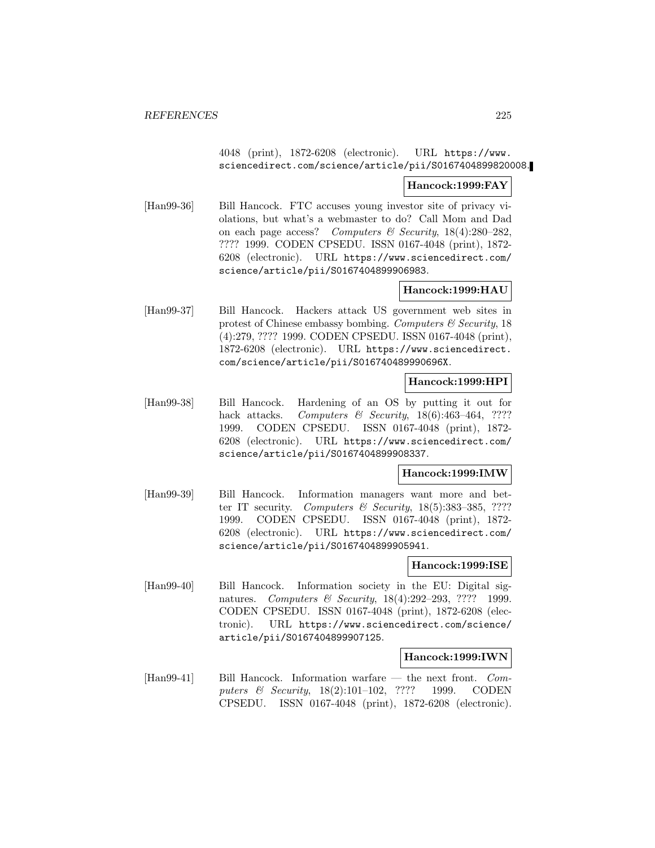4048 (print), 1872-6208 (electronic). URL https://www. sciencedirect.com/science/article/pii/S0167404899820008.

#### **Hancock:1999:FAY**

[Han99-36] Bill Hancock. FTC accuses young investor site of privacy violations, but what's a webmaster to do? Call Mom and Dad on each page access? Computers  $\mathcal{C}$  Security, 18(4):280–282, ???? 1999. CODEN CPSEDU. ISSN 0167-4048 (print), 1872- 6208 (electronic). URL https://www.sciencedirect.com/ science/article/pii/S0167404899906983.

#### **Hancock:1999:HAU**

[Han99-37] Bill Hancock. Hackers attack US government web sites in protest of Chinese embassy bombing. Computers  $\mathcal C$  Security, 18 (4):279, ???? 1999. CODEN CPSEDU. ISSN 0167-4048 (print), 1872-6208 (electronic). URL https://www.sciencedirect. com/science/article/pii/S016740489990696X.

#### **Hancock:1999:HPI**

[Han99-38] Bill Hancock. Hardening of an OS by putting it out for hack attacks. Computers  $\mathcal B$  Security, 18(6):463-464, ???? 1999. CODEN CPSEDU. ISSN 0167-4048 (print), 1872- 6208 (electronic). URL https://www.sciencedirect.com/ science/article/pii/S0167404899908337.

#### **Hancock:1999:IMW**

[Han99-39] Bill Hancock. Information managers want more and better IT security. Computers & Security,  $18(5)$ :383-385, ???? 1999. CODEN CPSEDU. ISSN 0167-4048 (print), 1872- 6208 (electronic). URL https://www.sciencedirect.com/ science/article/pii/S0167404899905941.

#### **Hancock:1999:ISE**

[Han99-40] Bill Hancock. Information society in the EU: Digital signatures. Computers & Security, 18(4):292-293, ???? 1999. CODEN CPSEDU. ISSN 0167-4048 (print), 1872-6208 (electronic). URL https://www.sciencedirect.com/science/ article/pii/S0167404899907125.

## **Hancock:1999:IWN**

[Han99-41] Bill Hancock. Information warfare — the next front. Computers & Security, 18(2):101–102, ???? 1999. CODEN CPSEDU. ISSN 0167-4048 (print), 1872-6208 (electronic).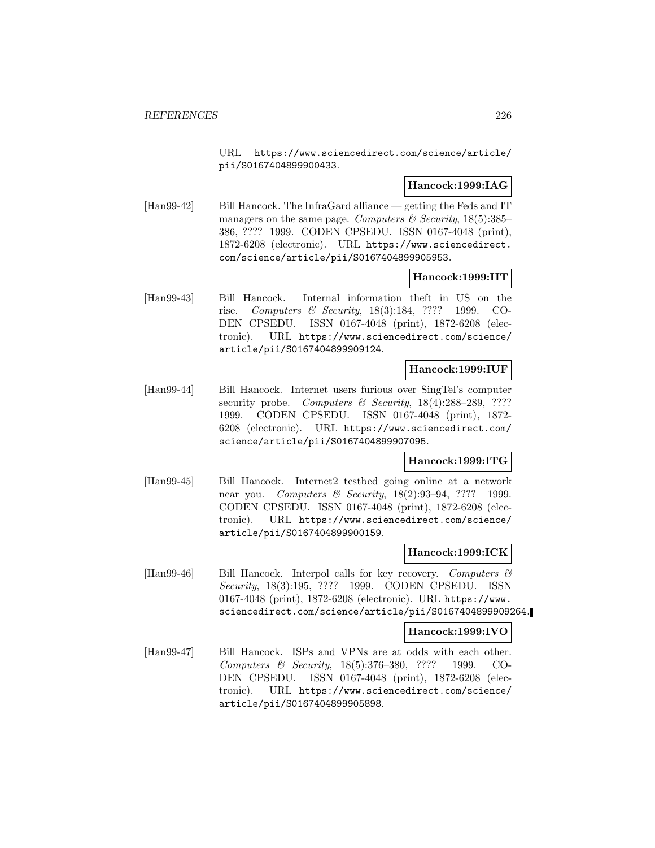URL https://www.sciencedirect.com/science/article/ pii/S0167404899900433.

# **Hancock:1999:IAG**

[Han99-42] Bill Hancock. The InfraGard alliance — getting the Feds and IT managers on the same page. Computers & Security,  $18(5):385-$ 386, ???? 1999. CODEN CPSEDU. ISSN 0167-4048 (print), 1872-6208 (electronic). URL https://www.sciencedirect. com/science/article/pii/S0167404899905953.

#### **Hancock:1999:IIT**

[Han99-43] Bill Hancock. Internal information theft in US on the rise. Computers & Security, 18(3):184, ???? 1999. CO-DEN CPSEDU. ISSN 0167-4048 (print), 1872-6208 (electronic). URL https://www.sciencedirect.com/science/ article/pii/S0167404899909124.

## **Hancock:1999:IUF**

[Han99-44] Bill Hancock. Internet users furious over SingTel's computer security probe. Computers  $\mathcal C$  Security, 18(4):288–289, ???? 1999. CODEN CPSEDU. ISSN 0167-4048 (print), 1872- 6208 (electronic). URL https://www.sciencedirect.com/ science/article/pii/S0167404899907095.

#### **Hancock:1999:ITG**

[Han99-45] Bill Hancock. Internet2 testbed going online at a network near you. Computers & Security, 18(2):93–94, ???? 1999. CODEN CPSEDU. ISSN 0167-4048 (print), 1872-6208 (electronic). URL https://www.sciencedirect.com/science/ article/pii/S0167404899900159.

#### **Hancock:1999:ICK**

[Han99-46] Bill Hancock. Interpol calls for key recovery. Computers  $\mathcal{C}$ Security, 18(3):195, ???? 1999. CODEN CPSEDU. ISSN 0167-4048 (print), 1872-6208 (electronic). URL https://www. sciencedirect.com/science/article/pii/S0167404899909264.

## **Hancock:1999:IVO**

[Han99-47] Bill Hancock. ISPs and VPNs are at odds with each other. Computers & Security, 18(5):376–380, ???? 1999. CO-DEN CPSEDU. ISSN 0167-4048 (print), 1872-6208 (electronic). URL https://www.sciencedirect.com/science/ article/pii/S0167404899905898.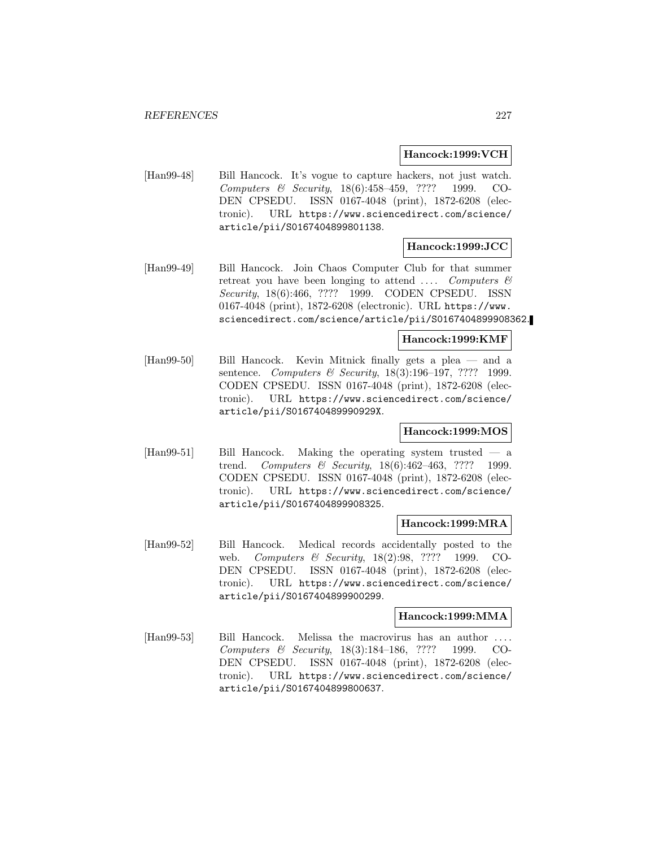## **Hancock:1999:VCH**

[Han99-48] Bill Hancock. It's vogue to capture hackers, not just watch. Computers & Security, 18(6):458–459, ???? 1999. CO-DEN CPSEDU. ISSN 0167-4048 (print), 1872-6208 (electronic). URL https://www.sciencedirect.com/science/ article/pii/S0167404899801138.

# **Hancock:1999:JCC**

[Han99-49] Bill Hancock. Join Chaos Computer Club for that summer retreat you have been longing to attend  $\ldots$  Computers  $\mathcal C$ Security, 18(6):466, ???? 1999. CODEN CPSEDU. ISSN 0167-4048 (print), 1872-6208 (electronic). URL https://www. sciencedirect.com/science/article/pii/S0167404899908362.

## **Hancock:1999:KMF**

[Han99-50] Bill Hancock. Kevin Mitnick finally gets a plea — and a sentence. Computers & Security, 18(3):196-197, ???? 1999. CODEN CPSEDU. ISSN 0167-4048 (print), 1872-6208 (electronic). URL https://www.sciencedirect.com/science/ article/pii/S016740489990929X.

## **Hancock:1999:MOS**

[Han99-51] Bill Hancock. Making the operating system trusted — a trend. Computers & Security, 18(6):462–463, ???? 1999. CODEN CPSEDU. ISSN 0167-4048 (print), 1872-6208 (electronic). URL https://www.sciencedirect.com/science/ article/pii/S0167404899908325.

#### **Hancock:1999:MRA**

[Han99-52] Bill Hancock. Medical records accidentally posted to the web. Computers & Security, 18(2):98, ???? 1999. CO-DEN CPSEDU. ISSN 0167-4048 (print), 1872-6208 (electronic). URL https://www.sciencedirect.com/science/ article/pii/S0167404899900299.

## **Hancock:1999:MMA**

[Han99-53] Bill Hancock. Melissa the macrovirus has an author Computers & Security, 18(3):184–186, ???? 1999. CO-DEN CPSEDU. ISSN 0167-4048 (print), 1872-6208 (electronic). URL https://www.sciencedirect.com/science/ article/pii/S0167404899800637.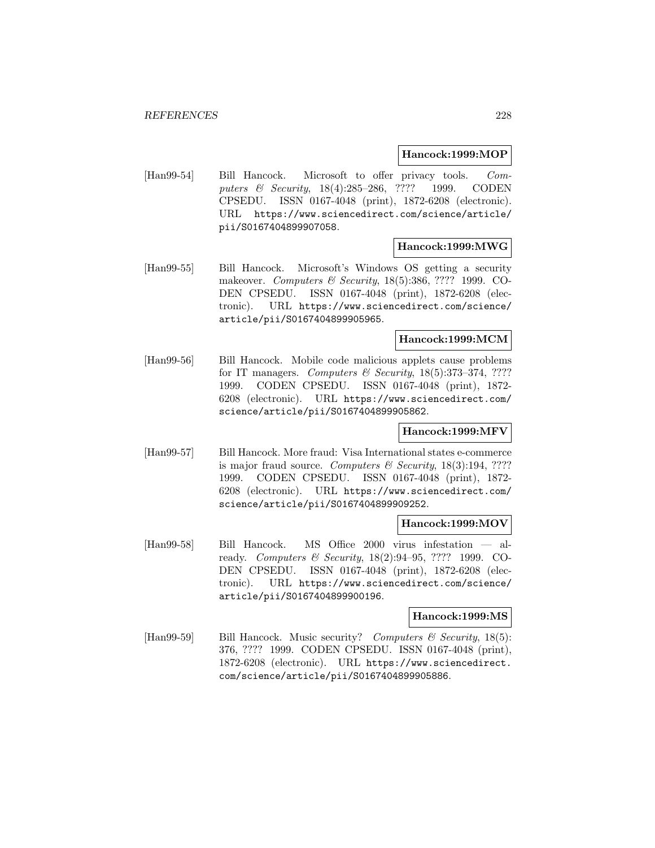#### **Hancock:1999:MOP**

[Han99-54] Bill Hancock. Microsoft to offer privacy tools. Computers & Security, 18(4):285–286, ???? 1999. CODEN CPSEDU. ISSN 0167-4048 (print), 1872-6208 (electronic). URL https://www.sciencedirect.com/science/article/ pii/S0167404899907058.

## **Hancock:1999:MWG**

[Han99-55] Bill Hancock. Microsoft's Windows OS getting a security makeover. Computers & Security, 18(5):386, ???? 1999. CO-DEN CPSEDU. ISSN 0167-4048 (print), 1872-6208 (electronic). URL https://www.sciencedirect.com/science/ article/pii/S0167404899905965.

## **Hancock:1999:MCM**

[Han99-56] Bill Hancock. Mobile code malicious applets cause problems for IT managers. Computers & Security,  $18(5):373-374$ , ???? 1999. CODEN CPSEDU. ISSN 0167-4048 (print), 1872- 6208 (electronic). URL https://www.sciencedirect.com/ science/article/pii/S0167404899905862.

# **Hancock:1999:MFV**

[Han99-57] Bill Hancock. More fraud: Visa International states e-commerce is major fraud source. Computers  $\mathcal C$  Security, 18(3):194, ???? 1999. CODEN CPSEDU. ISSN 0167-4048 (print), 1872- 6208 (electronic). URL https://www.sciencedirect.com/ science/article/pii/S0167404899909252.

#### **Hancock:1999:MOV**

[Han99-58] Bill Hancock. MS Office 2000 virus infestation — already. Computers & Security, 18(2):94–95, ???? 1999. CO-DEN CPSEDU. ISSN 0167-4048 (print), 1872-6208 (electronic). URL https://www.sciencedirect.com/science/ article/pii/S0167404899900196.

## **Hancock:1999:MS**

[Han99-59] Bill Hancock. Music security? Computers  $\mathcal C$  Security, 18(5): 376, ???? 1999. CODEN CPSEDU. ISSN 0167-4048 (print), 1872-6208 (electronic). URL https://www.sciencedirect. com/science/article/pii/S0167404899905886.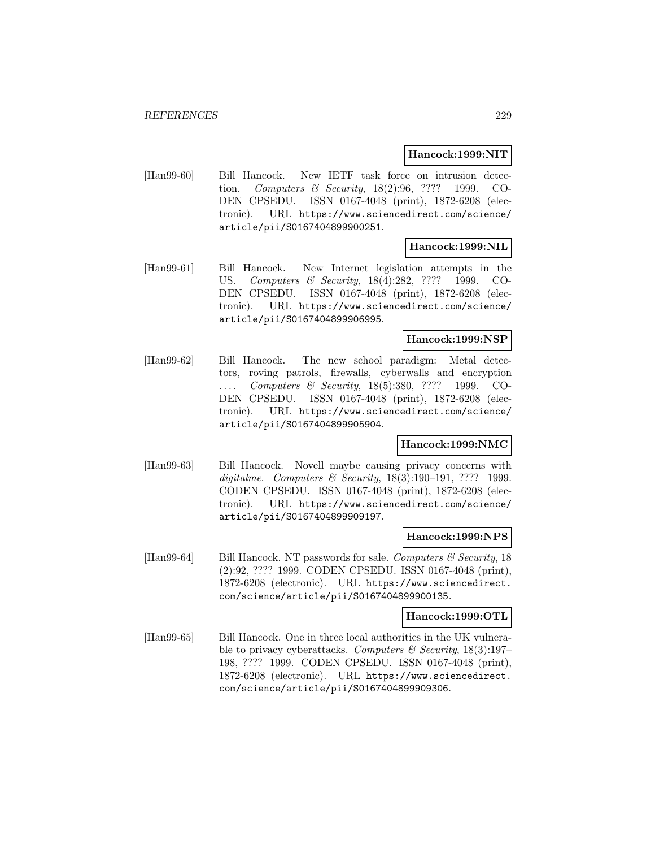## **Hancock:1999:NIT**

[Han99-60] Bill Hancock. New IETF task force on intrusion detection. Computers & Security, 18(2):96, ???? 1999. CO-DEN CPSEDU. ISSN 0167-4048 (print), 1872-6208 (electronic). URL https://www.sciencedirect.com/science/ article/pii/S0167404899900251.

# **Hancock:1999:NIL**

[Han99-61] Bill Hancock. New Internet legislation attempts in the US. Computers & Security, 18(4):282, ???? 1999. CO-DEN CPSEDU. ISSN 0167-4048 (print), 1872-6208 (electronic). URL https://www.sciencedirect.com/science/ article/pii/S0167404899906995.

## **Hancock:1999:NSP**

[Han99-62] Bill Hancock. The new school paradigm: Metal detectors, roving patrols, firewalls, cyberwalls and encryption Computers & Security, 18(5):380, ???? 1999. CO-DEN CPSEDU. ISSN 0167-4048 (print), 1872-6208 (electronic). URL https://www.sciencedirect.com/science/ article/pii/S0167404899905904.

## **Hancock:1999:NMC**

[Han99-63] Bill Hancock. Novell maybe causing privacy concerns with digitalme. Computers & Security, 18(3):190–191, ???? 1999. CODEN CPSEDU. ISSN 0167-4048 (print), 1872-6208 (electronic). URL https://www.sciencedirect.com/science/ article/pii/S0167404899909197.

## **Hancock:1999:NPS**

[Han99-64] Bill Hancock. NT passwords for sale. Computers  $\mathcal C$  Security, 18 (2):92, ???? 1999. CODEN CPSEDU. ISSN 0167-4048 (print), 1872-6208 (electronic). URL https://www.sciencedirect. com/science/article/pii/S0167404899900135.

# **Hancock:1999:OTL**

[Han99-65] Bill Hancock. One in three local authorities in the UK vulnerable to privacy cyberattacks. Computers & Security,  $18(3):197-$ 198, ???? 1999. CODEN CPSEDU. ISSN 0167-4048 (print), 1872-6208 (electronic). URL https://www.sciencedirect. com/science/article/pii/S0167404899909306.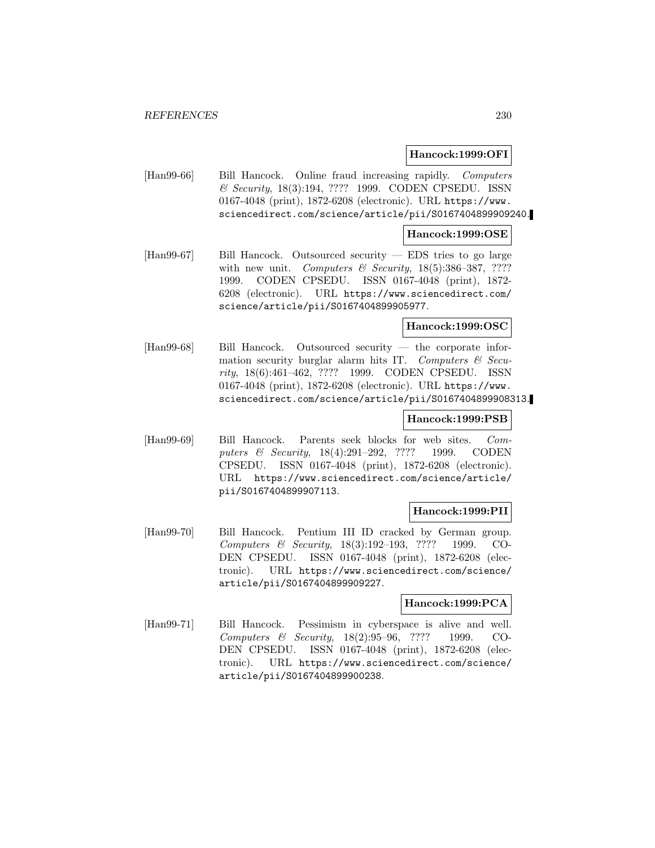#### **Hancock:1999:OFI**

[Han99-66] Bill Hancock. Online fraud increasing rapidly. Computers & Security, 18(3):194, ???? 1999. CODEN CPSEDU. ISSN 0167-4048 (print), 1872-6208 (electronic). URL https://www. sciencedirect.com/science/article/pii/S0167404899909240.

#### **Hancock:1999:OSE**

[Han99-67] Bill Hancock. Outsourced security — EDS tries to go large with new unit. Computers  $\mathcal B$  Security, 18(5):386-387, ???? 1999. CODEN CPSEDU. ISSN 0167-4048 (print), 1872- 6208 (electronic). URL https://www.sciencedirect.com/ science/article/pii/S0167404899905977.

## **Hancock:1999:OSC**

[Han99-68] Bill Hancock. Outsourced security — the corporate information security burglar alarm hits IT. Computers  $\mathcal{B}$  Security, 18(6):461–462, ???? 1999. CODEN CPSEDU. ISSN 0167-4048 (print), 1872-6208 (electronic). URL https://www. sciencedirect.com/science/article/pii/S0167404899908313.

## **Hancock:1999:PSB**

[Han99-69] Bill Hancock. Parents seek blocks for web sites. Computers & Security, 18(4):291–292, ???? 1999. CODEN CPSEDU. ISSN 0167-4048 (print), 1872-6208 (electronic). URL https://www.sciencedirect.com/science/article/ pii/S0167404899907113.

## **Hancock:1999:PII**

[Han99-70] Bill Hancock. Pentium III ID cracked by German group. Computers & Security, 18(3):192–193, ???? 1999. CO-DEN CPSEDU. ISSN 0167-4048 (print), 1872-6208 (electronic). URL https://www.sciencedirect.com/science/ article/pii/S0167404899909227.

## **Hancock:1999:PCA**

[Han99-71] Bill Hancock. Pessimism in cyberspace is alive and well. Computers & Security, 18(2):95–96, ???? 1999. CO-DEN CPSEDU. ISSN 0167-4048 (print), 1872-6208 (electronic). URL https://www.sciencedirect.com/science/ article/pii/S0167404899900238.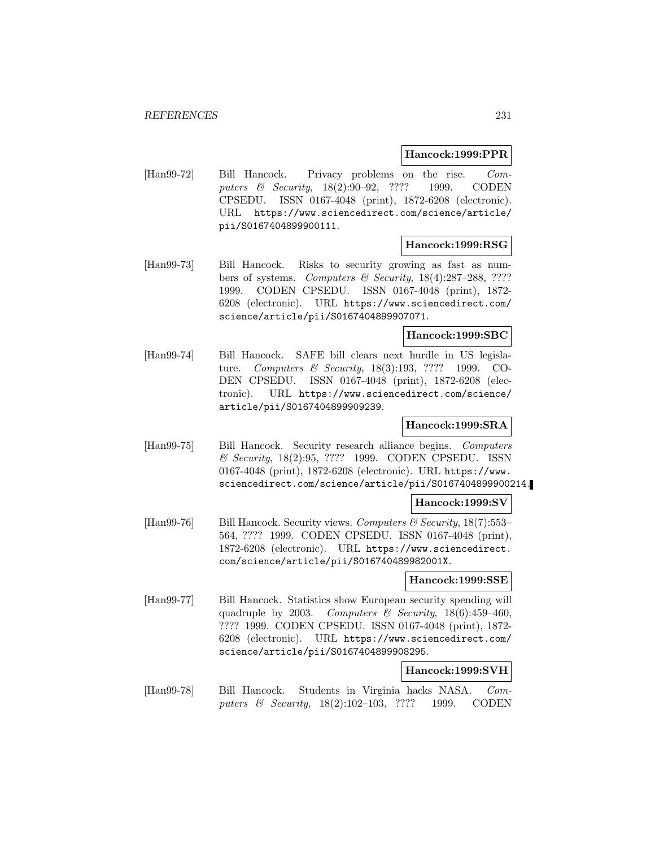#### **Hancock:1999:PPR**

[Han99-72] Bill Hancock. Privacy problems on the rise. Computers & Security, 18(2):90-92, ???? 1999. CODEN CPSEDU. ISSN 0167-4048 (print), 1872-6208 (electronic). URL https://www.sciencedirect.com/science/article/ pii/S0167404899900111.

## **Hancock:1999:RSG**

[Han99-73] Bill Hancock. Risks to security growing as fast as numbers of systems. Computers & Security, 18(4):287–288, ???? 1999. CODEN CPSEDU. ISSN 0167-4048 (print), 1872- 6208 (electronic). URL https://www.sciencedirect.com/ science/article/pii/S0167404899907071.

## **Hancock:1999:SBC**

[Han99-74] Bill Hancock. SAFE bill clears next hurdle in US legislature. Computers & Security, 18(3):193, ???? 1999. CO-DEN CPSEDU. ISSN 0167-4048 (print), 1872-6208 (electronic). URL https://www.sciencedirect.com/science/ article/pii/S0167404899909239.

# **Hancock:1999:SRA**

[Han99-75] Bill Hancock. Security research alliance begins. Computers & Security, 18(2):95, ???? 1999. CODEN CPSEDU. ISSN 0167-4048 (print), 1872-6208 (electronic). URL https://www. sciencedirect.com/science/article/pii/S0167404899900214.

## **Hancock:1999:SV**

[Han99-76] Bill Hancock. Security views. Computers  $\mathcal{B}$  Security, 18(7):553– 564, ???? 1999. CODEN CPSEDU. ISSN 0167-4048 (print), 1872-6208 (electronic). URL https://www.sciencedirect. com/science/article/pii/S016740489982001X.

#### **Hancock:1999:SSE**

[Han99-77] Bill Hancock. Statistics show European security spending will quadruple by 2003. Computers & Security,  $18(6):459-460$ , ???? 1999. CODEN CPSEDU. ISSN 0167-4048 (print), 1872- 6208 (electronic). URL https://www.sciencedirect.com/ science/article/pii/S0167404899908295.

## **Hancock:1999:SVH**

[Han99-78] Bill Hancock. Students in Virginia hacks NASA. Computers & Security, 18(2):102–103, ???? 1999. CODEN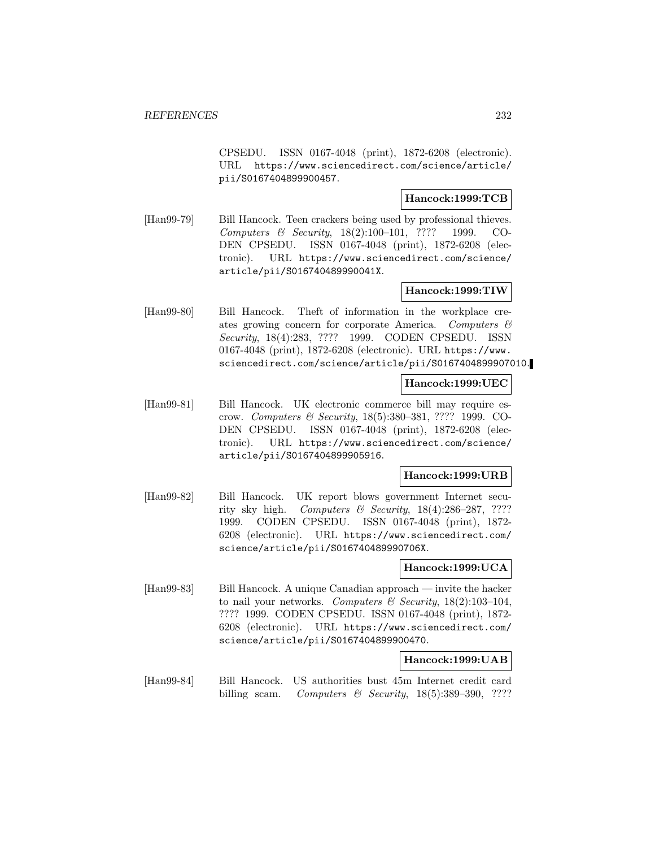CPSEDU. ISSN 0167-4048 (print), 1872-6208 (electronic). URL https://www.sciencedirect.com/science/article/ pii/S0167404899900457.

## **Hancock:1999:TCB**

[Han99-79] Bill Hancock. Teen crackers being used by professional thieves. Computers & Security, 18(2):100–101, ???? 1999. CO-DEN CPSEDU. ISSN 0167-4048 (print), 1872-6208 (electronic). URL https://www.sciencedirect.com/science/ article/pii/S016740489990041X.

## **Hancock:1999:TIW**

[Han99-80] Bill Hancock. Theft of information in the workplace creates growing concern for corporate America. Computers & Security, 18(4):283, ???? 1999. CODEN CPSEDU. ISSN 0167-4048 (print), 1872-6208 (electronic). URL https://www. sciencedirect.com/science/article/pii/S0167404899907010.

## **Hancock:1999:UEC**

[Han99-81] Bill Hancock. UK electronic commerce bill may require escrow. Computers & Security, 18(5):380–381, ???? 1999. CO-DEN CPSEDU. ISSN 0167-4048 (print), 1872-6208 (electronic). URL https://www.sciencedirect.com/science/ article/pii/S0167404899905916.

# **Hancock:1999:URB**

[Han99-82] Bill Hancock. UK report blows government Internet security sky high. Computers & Security,  $18(4):286-287, ????$ 1999. CODEN CPSEDU. ISSN 0167-4048 (print), 1872- 6208 (electronic). URL https://www.sciencedirect.com/ science/article/pii/S016740489990706X.

# **Hancock:1999:UCA**

[Han99-83] Bill Hancock. A unique Canadian approach — invite the hacker to nail your networks. Computers & Security,  $18(2):103-104$ , ???? 1999. CODEN CPSEDU. ISSN 0167-4048 (print), 1872- 6208 (electronic). URL https://www.sciencedirect.com/ science/article/pii/S0167404899900470.

## **Hancock:1999:UAB**

[Han99-84] Bill Hancock. US authorities bust 45m Internet credit card billing scam. Computers  $\mathcal B$  Security, 18(5):389-390, ????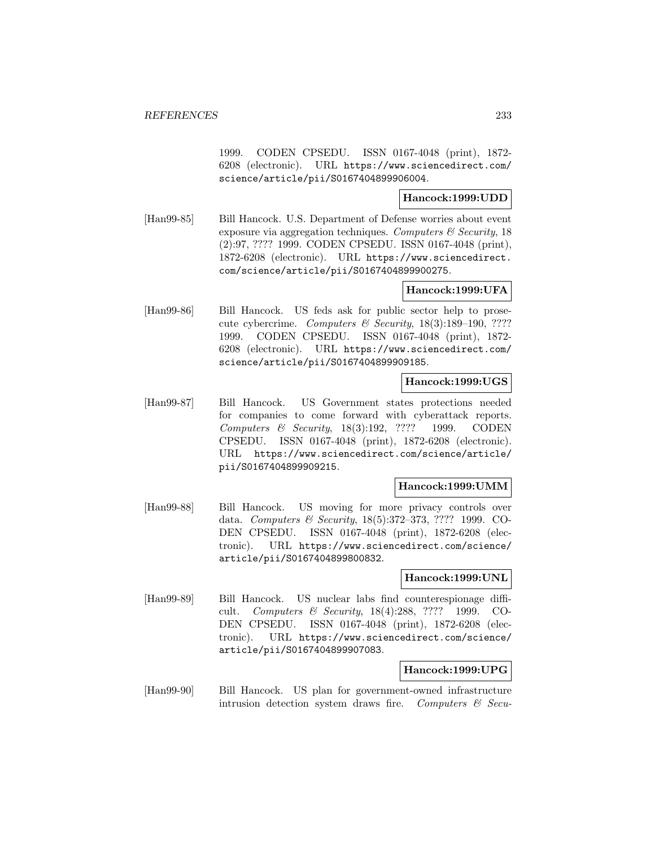1999. CODEN CPSEDU. ISSN 0167-4048 (print), 1872- 6208 (electronic). URL https://www.sciencedirect.com/ science/article/pii/S0167404899906004.

## **Hancock:1999:UDD**

[Han99-85] Bill Hancock. U.S. Department of Defense worries about event exposure via aggregation techniques. Computers  $\mathcal{C}$  Security, 18 (2):97, ???? 1999. CODEN CPSEDU. ISSN 0167-4048 (print), 1872-6208 (electronic). URL https://www.sciencedirect. com/science/article/pii/S0167404899900275.

## **Hancock:1999:UFA**

[Han99-86] Bill Hancock. US feds ask for public sector help to prosecute cybercrime. Computers & Security,  $18(3):189-190$ , ???? 1999. CODEN CPSEDU. ISSN 0167-4048 (print), 1872- 6208 (electronic). URL https://www.sciencedirect.com/ science/article/pii/S0167404899909185.

## **Hancock:1999:UGS**

[Han99-87] Bill Hancock. US Government states protections needed for companies to come forward with cyberattack reports. Computers & Security, 18(3):192, ???? 1999. CODEN CPSEDU. ISSN 0167-4048 (print), 1872-6208 (electronic). URL https://www.sciencedirect.com/science/article/ pii/S0167404899909215.

#### **Hancock:1999:UMM**

[Han99-88] Bill Hancock. US moving for more privacy controls over data. Computers & Security, 18(5):372–373, ???? 1999. CO-DEN CPSEDU. ISSN 0167-4048 (print), 1872-6208 (electronic). URL https://www.sciencedirect.com/science/ article/pii/S0167404899800832.

#### **Hancock:1999:UNL**

[Han99-89] Bill Hancock. US nuclear labs find counterespionage difficult. Computers & Security, 18(4):288, ???? 1999. CO-DEN CPSEDU. ISSN 0167-4048 (print), 1872-6208 (electronic). URL https://www.sciencedirect.com/science/ article/pii/S0167404899907083.

# **Hancock:1999:UPG**

[Han99-90] Bill Hancock. US plan for government-owned infrastructure intrusion detection system draws fire. Computers  $\mathcal{B}$  Secu-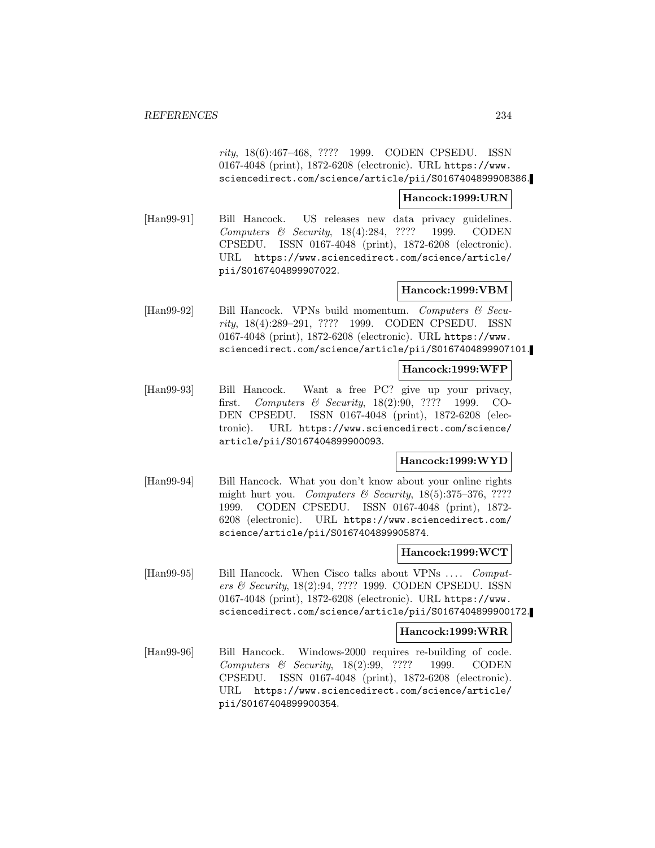rity, 18(6):467–468, ???? 1999. CODEN CPSEDU. ISSN 0167-4048 (print), 1872-6208 (electronic). URL https://www. sciencedirect.com/science/article/pii/S0167404899908386.

#### **Hancock:1999:URN**

[Han99-91] Bill Hancock. US releases new data privacy guidelines. Computers & Security, 18(4):284, ???? 1999. CODEN CPSEDU. ISSN 0167-4048 (print), 1872-6208 (electronic). URL https://www.sciencedirect.com/science/article/ pii/S0167404899907022.

## **Hancock:1999:VBM**

[Han99-92] Bill Hancock. VPNs build momentum. Computers & Security, 18(4):289–291, ???? 1999. CODEN CPSEDU. ISSN 0167-4048 (print), 1872-6208 (electronic). URL https://www. sciencedirect.com/science/article/pii/S0167404899907101.

#### **Hancock:1999:WFP**

[Han99-93] Bill Hancock. Want a free PC? give up your privacy, first. Computers & Security, 18(2):90, ???? 1999. CO-DEN CPSEDU. ISSN 0167-4048 (print), 1872-6208 (electronic). URL https://www.sciencedirect.com/science/ article/pii/S0167404899900093.

## **Hancock:1999:WYD**

[Han99-94] Bill Hancock. What you don't know about your online rights might hurt you. Computers & Security,  $18(5):375-376, ????$ 1999. CODEN CPSEDU. ISSN 0167-4048 (print), 1872- 6208 (electronic). URL https://www.sciencedirect.com/ science/article/pii/S0167404899905874.

# **Hancock:1999:WCT**

[Han99-95] Bill Hancock. When Cisco talks about VPNs ... . Computers & Security, 18(2):94, ???? 1999. CODEN CPSEDU. ISSN 0167-4048 (print), 1872-6208 (electronic). URL https://www. sciencedirect.com/science/article/pii/S0167404899900172.

## **Hancock:1999:WRR**

[Han99-96] Bill Hancock. Windows-2000 requires re-building of code. Computers & Security, 18(2):99, ???? 1999. CODEN CPSEDU. ISSN 0167-4048 (print), 1872-6208 (electronic). URL https://www.sciencedirect.com/science/article/ pii/S0167404899900354.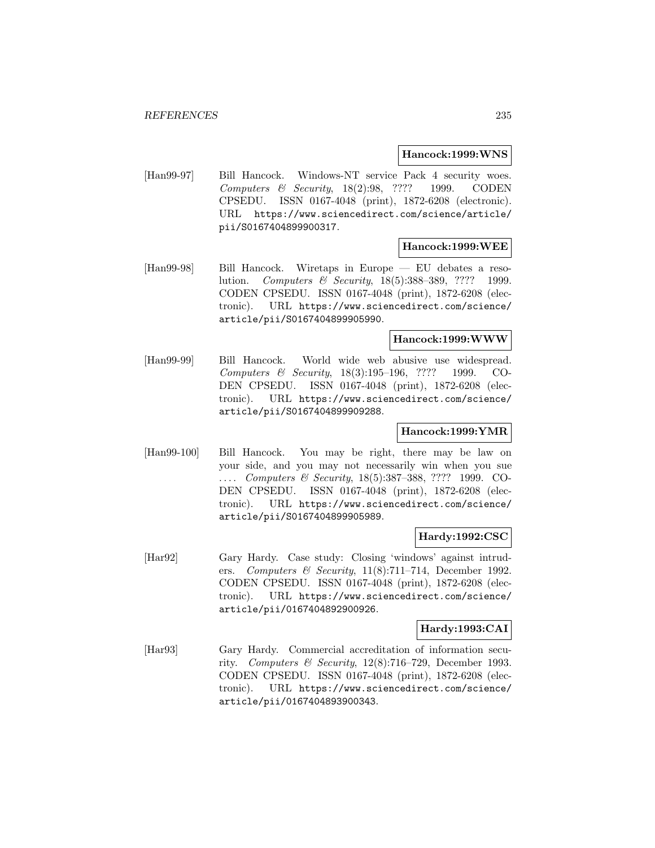#### **Hancock:1999:WNS**

[Han99-97] Bill Hancock. Windows-NT service Pack 4 security woes. Computers & Security, 18(2):98, ???? 1999. CODEN CPSEDU. ISSN 0167-4048 (print), 1872-6208 (electronic). URL https://www.sciencedirect.com/science/article/ pii/S0167404899900317.

## **Hancock:1999:WEE**

[Han99-98] Bill Hancock. Wiretaps in Europe — EU debates a resolution. Computers & Security, 18(5):388–389, ???? 1999. CODEN CPSEDU. ISSN 0167-4048 (print), 1872-6208 (electronic). URL https://www.sciencedirect.com/science/ article/pii/S0167404899905990.

## **Hancock:1999:WWW**

[Han99-99] Bill Hancock. World wide web abusive use widespread. Computers & Security, 18(3):195–196, ???? 1999. CO-DEN CPSEDU. ISSN 0167-4048 (print), 1872-6208 (electronic). URL https://www.sciencedirect.com/science/ article/pii/S0167404899909288.

## **Hancock:1999:YMR**

[Han99-100] Bill Hancock. You may be right, there may be law on your side, and you may not necessarily win when you sue ... Computers & Security, 18(5):387-388, ???? 1999. CO-DEN CPSEDU. ISSN 0167-4048 (print), 1872-6208 (electronic). URL https://www.sciencedirect.com/science/ article/pii/S0167404899905989.

#### **Hardy:1992:CSC**

[Har92] Gary Hardy. Case study: Closing 'windows' against intruders. Computers & Security,  $11(8)$ :711–714, December 1992. CODEN CPSEDU. ISSN 0167-4048 (print), 1872-6208 (electronic). URL https://www.sciencedirect.com/science/ article/pii/0167404892900926.

## **Hardy:1993:CAI**

[Har93] Gary Hardy. Commercial accreditation of information security. Computers & Security, 12(8):716–729, December 1993. CODEN CPSEDU. ISSN 0167-4048 (print), 1872-6208 (electronic). URL https://www.sciencedirect.com/science/ article/pii/0167404893900343.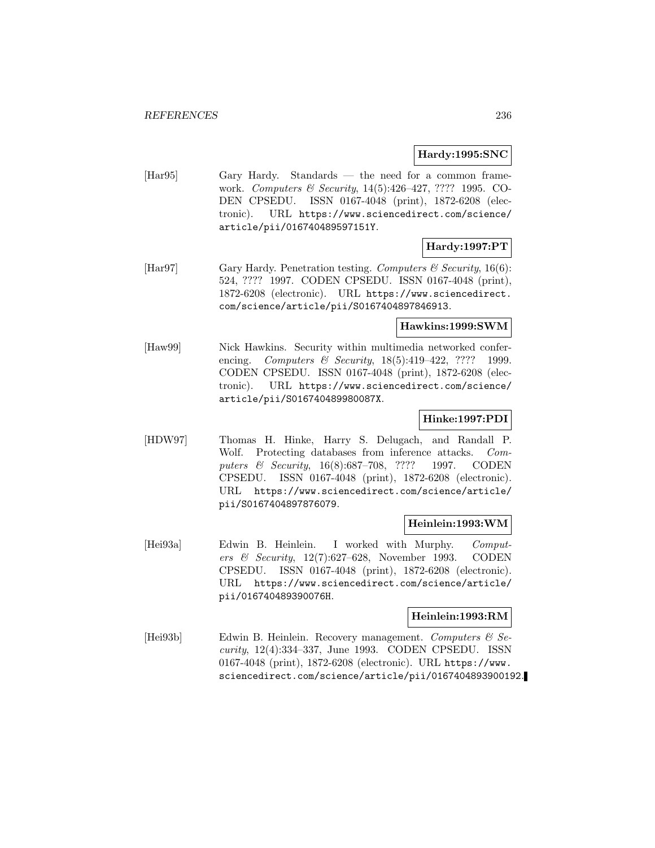# **Hardy:1995:SNC**

[Har95] Gary Hardy. Standards — the need for a common framework. Computers & Security, 14(5):426–427, ???? 1995. CO-DEN CPSEDU. ISSN 0167-4048 (print), 1872-6208 (electronic). URL https://www.sciencedirect.com/science/ article/pii/016740489597151Y.

# **Hardy:1997:PT**

[Har97] Gary Hardy. Penetration testing. Computers  $\mathcal C$  Security, 16(6): 524, ???? 1997. CODEN CPSEDU. ISSN 0167-4048 (print), 1872-6208 (electronic). URL https://www.sciencedirect. com/science/article/pii/S0167404897846913.

## **Hawkins:1999:SWM**

[Haw99] Nick Hawkins. Security within multimedia networked conferencing. Computers & Security, 18(5):419-422, ???? 1999. CODEN CPSEDU. ISSN 0167-4048 (print), 1872-6208 (electronic). URL https://www.sciencedirect.com/science/ article/pii/S016740489980087X.

# **Hinke:1997:PDI**

[HDW97] Thomas H. Hinke, Harry S. Delugach, and Randall P. Wolf. Protecting databases from inference attacks. Computers & Security, 16(8):687-708, ???? 1997. CODEN CPSEDU. ISSN 0167-4048 (print), 1872-6208 (electronic). URL https://www.sciencedirect.com/science/article/ pii/S0167404897876079.

## **Heinlein:1993:WM**

[Hei93a] Edwin B. Heinlein. I worked with Murphy. Computers & Security, 12(7):627–628, November 1993. CODEN CPSEDU. ISSN 0167-4048 (print), 1872-6208 (electronic). URL https://www.sciencedirect.com/science/article/ pii/016740489390076H.

# **Heinlein:1993:RM**

[Hei93b] Edwin B. Heinlein. Recovery management. Computers & Security, 12(4):334–337, June 1993. CODEN CPSEDU. ISSN 0167-4048 (print), 1872-6208 (electronic). URL https://www. sciencedirect.com/science/article/pii/0167404893900192.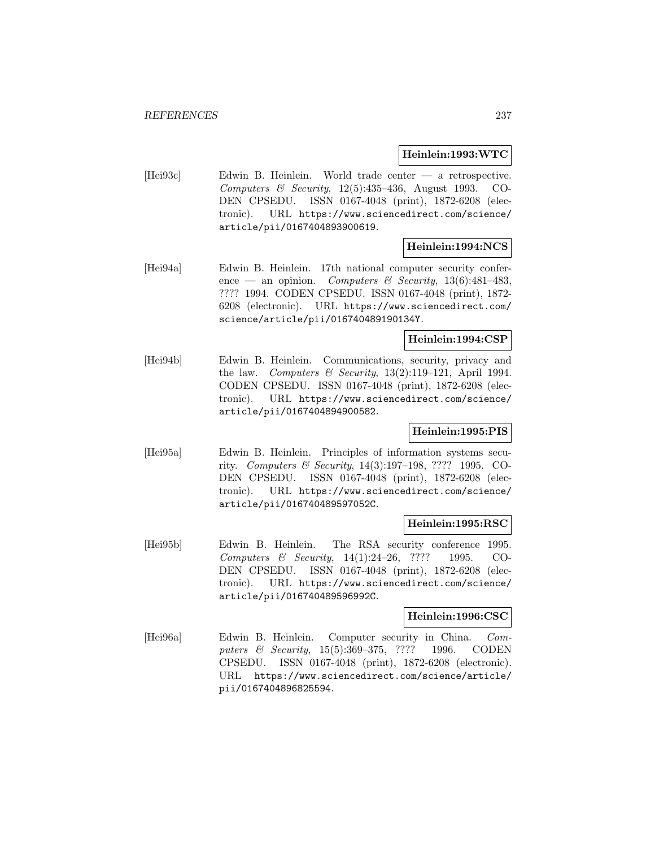#### **Heinlein:1993:WTC**

[Hei93c] Edwin B. Heinlein. World trade center — a retrospective. Computers & Security,  $12(5):435-436$ , August 1993. CO-DEN CPSEDU. ISSN 0167-4048 (print), 1872-6208 (electronic). URL https://www.sciencedirect.com/science/ article/pii/0167404893900619.

# **Heinlein:1994:NCS**

[Hei94a] Edwin B. Heinlein. 17th national computer security conference — an opinion. Computers & Security,  $13(6):481-483$ , ???? 1994. CODEN CPSEDU. ISSN 0167-4048 (print), 1872- 6208 (electronic). URL https://www.sciencedirect.com/ science/article/pii/016740489190134Y.

## **Heinlein:1994:CSP**

[Hei94b] Edwin B. Heinlein. Communications, security, privacy and the law. Computers & Security,  $13(2):119-121$ , April 1994. CODEN CPSEDU. ISSN 0167-4048 (print), 1872-6208 (electronic). URL https://www.sciencedirect.com/science/ article/pii/0167404894900582.

## **Heinlein:1995:PIS**

[Hei95a] Edwin B. Heinlein. Principles of information systems security. Computers & Security, 14(3):197–198, ???? 1995. CO-DEN CPSEDU. ISSN 0167-4048 (print), 1872-6208 (electronic). URL https://www.sciencedirect.com/science/ article/pii/016740489597052C.

#### **Heinlein:1995:RSC**

[Hei95b] Edwin B. Heinlein. The RSA security conference 1995. Computers & Security, 14(1):24–26, ???? 1995. CO-DEN CPSEDU. ISSN 0167-4048 (print), 1872-6208 (electronic). URL https://www.sciencedirect.com/science/ article/pii/016740489596992C.

# **Heinlein:1996:CSC**

[Hei96a] Edwin B. Heinlein. Computer security in China. Computers & Security, 15(5):369–375, ???? 1996. CODEN CPSEDU. ISSN 0167-4048 (print), 1872-6208 (electronic). URL https://www.sciencedirect.com/science/article/ pii/0167404896825594.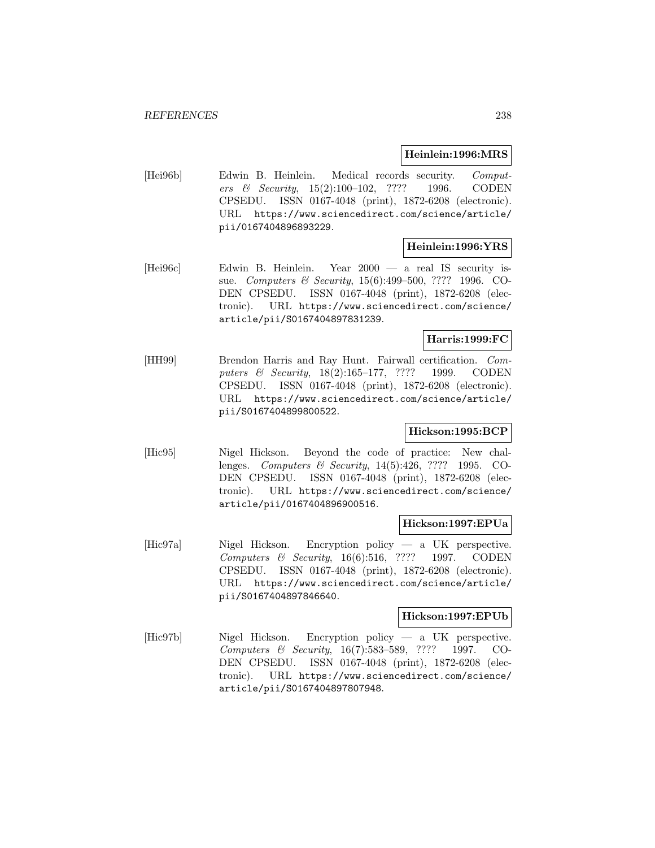#### **Heinlein:1996:MRS**

[Hei96b] Edwin B. Heinlein. Medical records security. Computers & Security, 15(2):100–102, ???? 1996. CODEN CPSEDU. ISSN 0167-4048 (print), 1872-6208 (electronic). URL https://www.sciencedirect.com/science/article/ pii/0167404896893229.

## **Heinlein:1996:YRS**

[Hei96c] Edwin B. Heinlein. Year 2000 — a real IS security issue. Computers & Security, 15(6):499–500, ???? 1996. CO-DEN CPSEDU. ISSN 0167-4048 (print), 1872-6208 (electronic). URL https://www.sciencedirect.com/science/ article/pii/S0167404897831239.

## **Harris:1999:FC**

[HH99] Brendon Harris and Ray Hunt. Fairwall certification. Computers & Security, 18(2):165–177, ???? 1999. CODEN CPSEDU. ISSN 0167-4048 (print), 1872-6208 (electronic). URL https://www.sciencedirect.com/science/article/ pii/S0167404899800522.

# **Hickson:1995:BCP**

[Hic95] Nigel Hickson. Beyond the code of practice: New challenges. Computers & Security, 14(5):426, ???? 1995. CO-DEN CPSEDU. ISSN 0167-4048 (print), 1872-6208 (electronic). URL https://www.sciencedirect.com/science/ article/pii/0167404896900516.

#### **Hickson:1997:EPUa**

[Hic97a] Nigel Hickson. Encryption policy — a UK perspective. Computers & Security, 16(6):516, ???? 1997. CODEN CPSEDU. ISSN 0167-4048 (print), 1872-6208 (electronic). URL https://www.sciencedirect.com/science/article/ pii/S0167404897846640.

## **Hickson:1997:EPUb**

[Hic97b] Nigel Hickson. Encryption policy — a UK perspective. Computers & Security, 16(7):583–589, ???? 1997. CO-DEN CPSEDU. ISSN 0167-4048 (print), 1872-6208 (electronic). URL https://www.sciencedirect.com/science/ article/pii/S0167404897807948.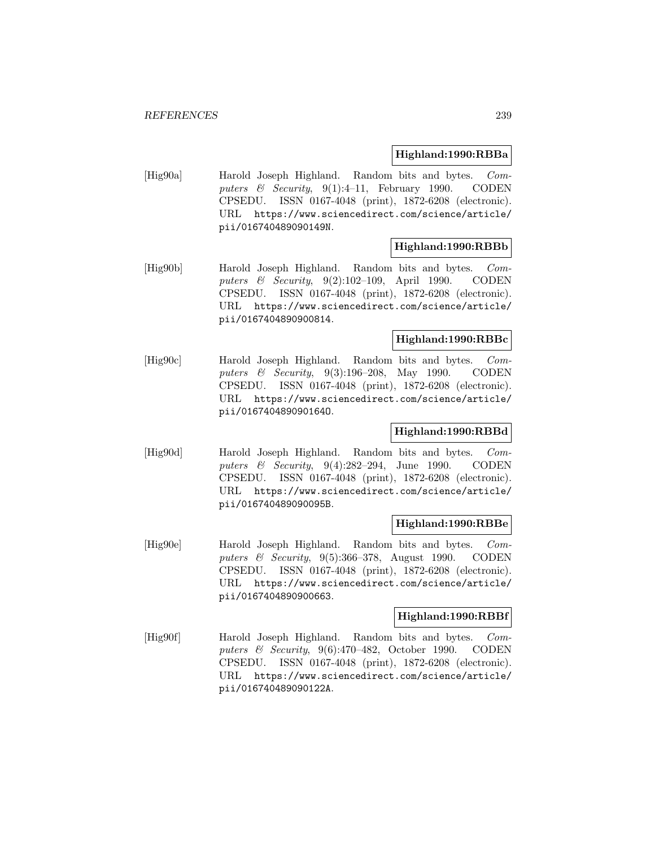## **Highland:1990:RBBa**

[Hig90a] Harold Joseph Highland. Random bits and bytes. Computers & Security,  $9(1):4-11$ , February 1990. CODEN CPSEDU. ISSN 0167-4048 (print), 1872-6208 (electronic). URL https://www.sciencedirect.com/science/article/ pii/016740489090149N.

## **Highland:1990:RBBb**

[Hig90b] Harold Joseph Highland. Random bits and bytes. Computers & Security, 9(2):102–109, April 1990. CODEN CPSEDU. ISSN 0167-4048 (print), 1872-6208 (electronic). URL https://www.sciencedirect.com/science/article/ pii/0167404890900814.

# **Highland:1990:RBBc**

[Hig90c] Harold Joseph Highland. Random bits and bytes. Computers & Security, 9(3):196–208, May 1990. CODEN CPSEDU. ISSN 0167-4048 (print), 1872-6208 (electronic). URL https://www.sciencedirect.com/science/article/ pii/016740489090164O.

# **Highland:1990:RBBd**

[Hig90d] Harold Joseph Highland. Random bits and bytes. Computers & Security, 9(4):282–294, June 1990. CODEN CPSEDU. ISSN 0167-4048 (print), 1872-6208 (electronic). URL https://www.sciencedirect.com/science/article/ pii/016740489090095B.

## **Highland:1990:RBBe**

[Hig90e] Harold Joseph Highland. Random bits and bytes. Computers & Security, 9(5):366-378, August 1990. CODEN CPSEDU. ISSN 0167-4048 (print), 1872-6208 (electronic). URL https://www.sciencedirect.com/science/article/ pii/0167404890900663.

#### **Highland:1990:RBBf**

[Hig90f] Harold Joseph Highland. Random bits and bytes. Computers & Security, 9(6):470–482, October 1990. CODEN CPSEDU. ISSN 0167-4048 (print), 1872-6208 (electronic). URL https://www.sciencedirect.com/science/article/ pii/016740489090122A.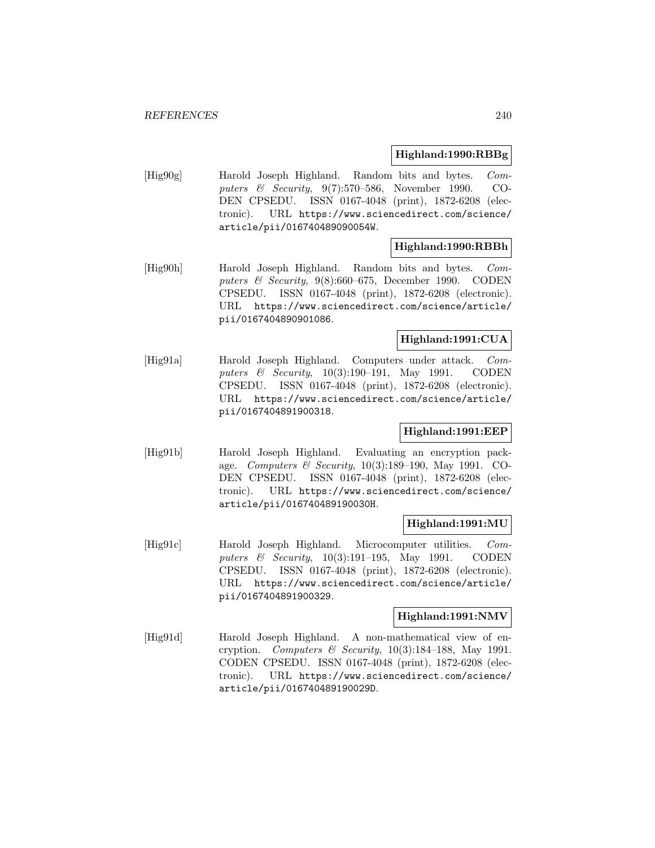## **Highland:1990:RBBg**

[Hig90g] Harold Joseph Highland. Random bits and bytes. Computers & Security, 9(7):570–586, November 1990. CO-DEN CPSEDU. ISSN 0167-4048 (print), 1872-6208 (electronic). URL https://www.sciencedirect.com/science/ article/pii/016740489090054W.

# **Highland:1990:RBBh**

[Hig90h] Harold Joseph Highland. Random bits and bytes. Computers & Security, 9(8):660–675, December 1990. CODEN CPSEDU. ISSN 0167-4048 (print), 1872-6208 (electronic). URL https://www.sciencedirect.com/science/article/ pii/0167404890901086.

# **Highland:1991:CUA**

[Hig91a] Harold Joseph Highland. Computers under attack. Computers & Security, 10(3):190–191, May 1991. CODEN CPSEDU. ISSN 0167-4048 (print), 1872-6208 (electronic). URL https://www.sciencedirect.com/science/article/ pii/0167404891900318.

# **Highland:1991:EEP**

[Hig91b] Harold Joseph Highland. Evaluating an encryption package. Computers & Security,  $10(3):189-190$ , May 1991. CO-DEN CPSEDU. ISSN 0167-4048 (print), 1872-6208 (electronic). URL https://www.sciencedirect.com/science/ article/pii/016740489190030H.

## **Highland:1991:MU**

[Hig91c] Harold Joseph Highland. Microcomputer utilities. Computers & Security, 10(3):191–195, May 1991. CODEN CPSEDU. ISSN 0167-4048 (print), 1872-6208 (electronic). URL https://www.sciencedirect.com/science/article/ pii/0167404891900329.

## **Highland:1991:NMV**

[Hig91d] Harold Joseph Highland. A non-mathematical view of encryption. Computers & Security,  $10(3):184-188$ , May 1991. CODEN CPSEDU. ISSN 0167-4048 (print), 1872-6208 (electronic). URL https://www.sciencedirect.com/science/ article/pii/016740489190029D.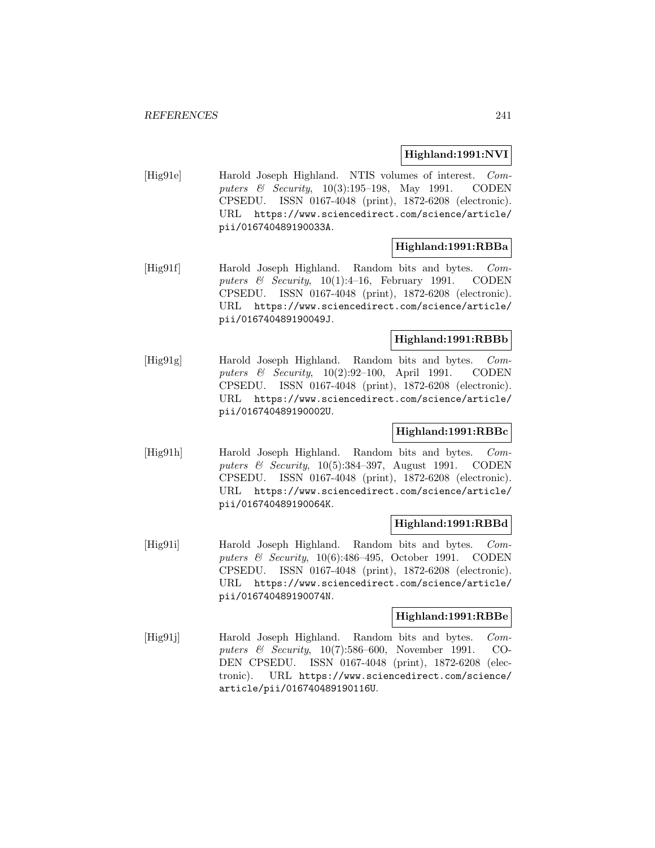## **Highland:1991:NVI**

[Hig91e] Harold Joseph Highland. NTIS volumes of interest. Computers & Security, 10(3):195–198, May 1991. CODEN CPSEDU. ISSN 0167-4048 (print), 1872-6208 (electronic). URL https://www.sciencedirect.com/science/article/ pii/016740489190033A.

## **Highland:1991:RBBa**

[Hig91f] Harold Joseph Highland. Random bits and bytes. Computers & Security,  $10(1):4-16$ , February 1991. CODEN CPSEDU. ISSN 0167-4048 (print), 1872-6208 (electronic). URL https://www.sciencedirect.com/science/article/ pii/016740489190049J.

# **Highland:1991:RBBb**

[Hig91g] Harold Joseph Highland. Random bits and bytes. Computers & Security, 10(2):92–100, April 1991. CODEN CPSEDU. ISSN 0167-4048 (print), 1872-6208 (electronic). URL https://www.sciencedirect.com/science/article/ pii/016740489190002U.

# **Highland:1991:RBBc**

[Hig91h] Harold Joseph Highland. Random bits and bytes. Computers  $\&$  Security, 10(5):384–397, August 1991. CODEN CPSEDU. ISSN 0167-4048 (print), 1872-6208 (electronic). URL https://www.sciencedirect.com/science/article/ pii/016740489190064K.

## **Highland:1991:RBBd**

[Hig91i] Harold Joseph Highland. Random bits and bytes. Computers & Security, 10(6):486–495, October 1991. CODEN CPSEDU. ISSN 0167-4048 (print), 1872-6208 (electronic). URL https://www.sciencedirect.com/science/article/ pii/016740489190074N.

## **Highland:1991:RBBe**

[Hig91j] Harold Joseph Highland. Random bits and bytes. Computers & Security, 10(7):586–600, November 1991. CO-DEN CPSEDU. ISSN 0167-4048 (print), 1872-6208 (electronic). URL https://www.sciencedirect.com/science/ article/pii/016740489190116U.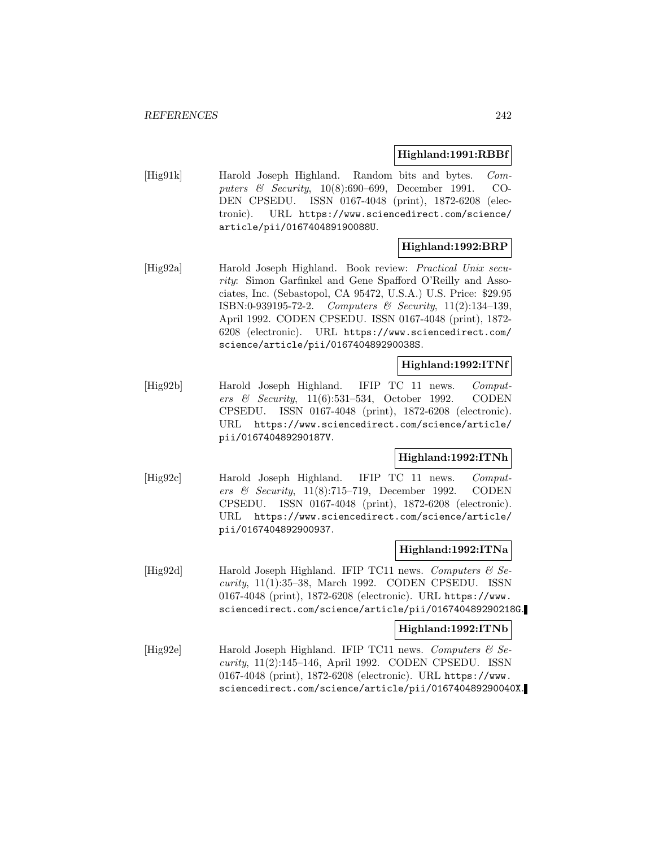#### **Highland:1991:RBBf**

[Hig91k] Harold Joseph Highland. Random bits and bytes. Computers & Security, 10(8):690–699, December 1991. CO-DEN CPSEDU. ISSN 0167-4048 (print), 1872-6208 (electronic). URL https://www.sciencedirect.com/science/ article/pii/016740489190088U.

# **Highland:1992:BRP**

[Hig92a] Harold Joseph Highland. Book review: Practical Unix security: Simon Garfinkel and Gene Spafford O'Reilly and Associates, Inc. (Sebastopol, CA 95472, U.S.A.) U.S. Price: \$29.95 ISBN:0-939195-72-2. Computers & Security, 11(2):134–139, April 1992. CODEN CPSEDU. ISSN 0167-4048 (print), 1872- 6208 (electronic). URL https://www.sciencedirect.com/ science/article/pii/016740489290038S.

## **Highland:1992:ITNf**

[Hig92b] Harold Joseph Highland. IFIP TC 11 news. Computers & Security, 11(6):531–534, October 1992. CODEN CPSEDU. ISSN 0167-4048 (print), 1872-6208 (electronic). URL https://www.sciencedirect.com/science/article/ pii/016740489290187V.

## **Highland:1992:ITNh**

[Hig92c] Harold Joseph Highland. IFIP TC 11 news. Computers & Security,  $11(8):715-719$ , December 1992. CODEN CPSEDU. ISSN 0167-4048 (print), 1872-6208 (electronic). URL https://www.sciencedirect.com/science/article/ pii/0167404892900937.

## **Highland:1992:ITNa**

[Hig92d] Harold Joseph Highland. IFIP TC11 news. Computers  $\mathcal{C}$  Security, 11(1):35–38, March 1992. CODEN CPSEDU. ISSN 0167-4048 (print), 1872-6208 (electronic). URL https://www. sciencedirect.com/science/article/pii/016740489290218G.

#### **Highland:1992:ITNb**

[Hig92e] Harold Joseph Highland. IFIP TC11 news. Computers  $\mathcal{C}$  Security, 11(2):145–146, April 1992. CODEN CPSEDU. ISSN 0167-4048 (print), 1872-6208 (electronic). URL https://www. sciencedirect.com/science/article/pii/016740489290040X.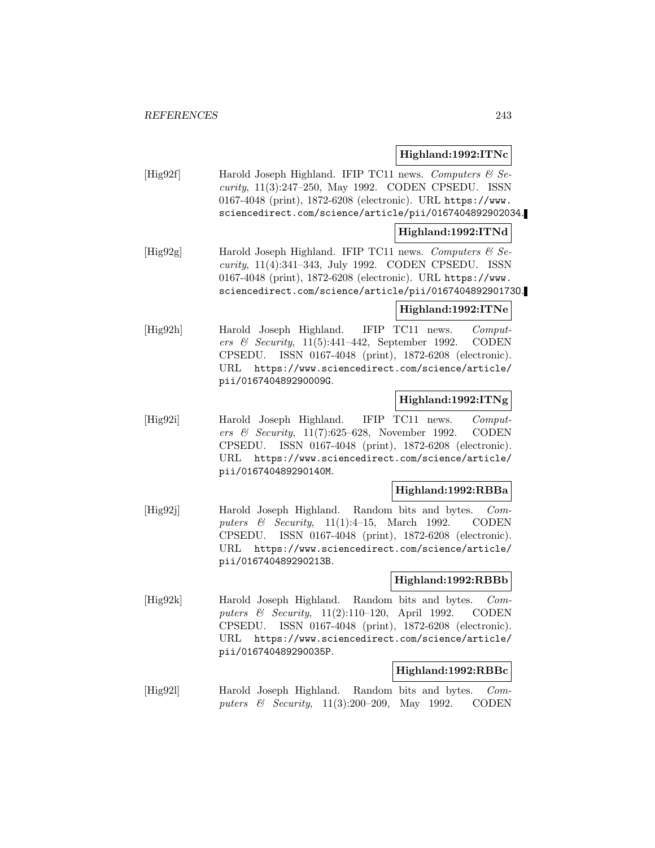# **Highland:1992:ITNc**

[Hig92f] Harold Joseph Highland. IFIP TC11 news. Computers  $\mathcal{C}$  Security, 11(3):247–250, May 1992. CODEN CPSEDU. ISSN 0167-4048 (print), 1872-6208 (electronic). URL https://www. sciencedirect.com/science/article/pii/0167404892902034.

## **Highland:1992:ITNd**

[Hig92g] Harold Joseph Highland. IFIP TC11 news. Computers  $\mathcal{C}$  Security, 11(4):341–343, July 1992. CODEN CPSEDU. ISSN 0167-4048 (print), 1872-6208 (electronic). URL https://www. sciencedirect.com/science/article/pii/016740489290173O.

## **Highland:1992:ITNe**

[Hig92h] Harold Joseph Highland. IFIP TC11 news. Computers & Security,  $11(5):441-442$ , September 1992. CODEN CPSEDU. ISSN 0167-4048 (print), 1872-6208 (electronic). URL https://www.sciencedirect.com/science/article/ pii/016740489290009G.

## **Highland:1992:ITNg**

[Hig92i] Harold Joseph Highland. IFIP TC11 news. Computers & Security, 11(7):625–628, November 1992. CODEN CPSEDU. ISSN 0167-4048 (print), 1872-6208 (electronic). URL https://www.sciencedirect.com/science/article/ pii/016740489290140M.

## **Highland:1992:RBBa**

[Hig92j] Harold Joseph Highland. Random bits and bytes. Computers  $\&$  Security, 11(1):4-15, March 1992. CODEN CPSEDU. ISSN 0167-4048 (print), 1872-6208 (electronic). URL https://www.sciencedirect.com/science/article/ pii/016740489290213B.

## **Highland:1992:RBBb**

[Hig92k] Harold Joseph Highland. Random bits and bytes. Computers & Security, 11(2):110–120, April 1992. CODEN CPSEDU. ISSN 0167-4048 (print), 1872-6208 (electronic). URL https://www.sciencedirect.com/science/article/ pii/016740489290035P.

## **Highland:1992:RBBc**

[Hig92l] Harold Joseph Highland. Random bits and bytes. Computers & Security, 11(3):200–209, May 1992. CODEN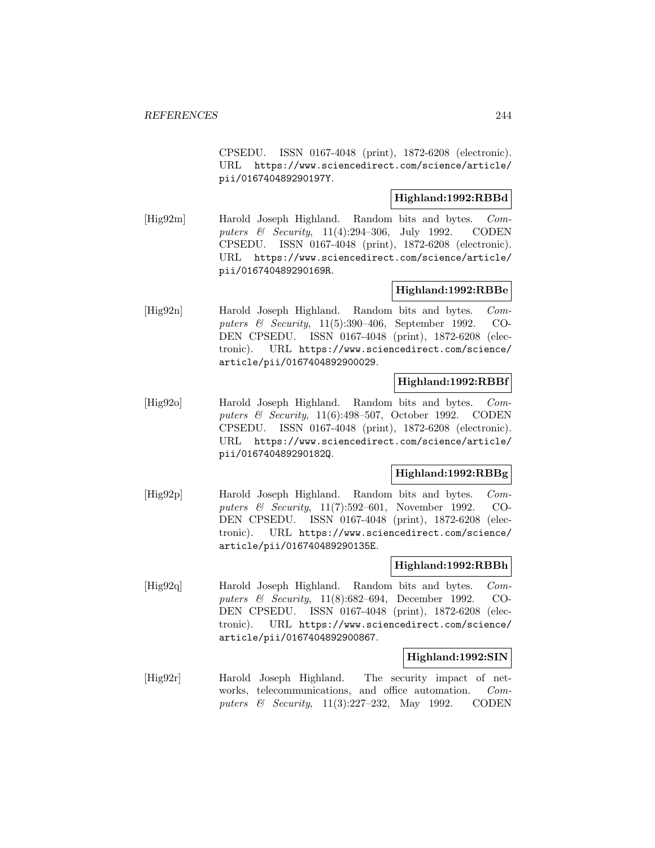CPSEDU. ISSN 0167-4048 (print), 1872-6208 (electronic). URL https://www.sciencedirect.com/science/article/ pii/016740489290197Y.

# **Highland:1992:RBBd**

[Hig92m] Harold Joseph Highland. Random bits and bytes. Computers & Security, 11(4):294–306, July 1992. CODEN CPSEDU. ISSN 0167-4048 (print), 1872-6208 (electronic). URL https://www.sciencedirect.com/science/article/ pii/016740489290169R.

# **Highland:1992:RBBe**

[Hig92n] Harold Joseph Highland. Random bits and bytes. Computers & Security, 11(5):390–406, September 1992. CO-DEN CPSEDU. ISSN 0167-4048 (print), 1872-6208 (electronic). URL https://www.sciencedirect.com/science/ article/pii/0167404892900029.

## **Highland:1992:RBBf**

[Hig92o] Harold Joseph Highland. Random bits and bytes. Computers & Security, 11(6):498–507, October 1992. CODEN CPSEDU. ISSN 0167-4048 (print), 1872-6208 (electronic). URL https://www.sciencedirect.com/science/article/ pii/016740489290182Q.

## **Highland:1992:RBBg**

[Hig92p] Harold Joseph Highland. Random bits and bytes. Computers & Security, 11(7):592–601, November 1992. CO-DEN CPSEDU. ISSN 0167-4048 (print), 1872-6208 (electronic). URL https://www.sciencedirect.com/science/ article/pii/016740489290135E.

## **Highland:1992:RBBh**

[Hig92q] Harold Joseph Highland. Random bits and bytes. Computers & Security, 11(8):682–694, December 1992. CO-DEN CPSEDU. ISSN 0167-4048 (print), 1872-6208 (electronic). URL https://www.sciencedirect.com/science/ article/pii/0167404892900867.

## **Highland:1992:SIN**

[Hig92r] Harold Joseph Highland. The security impact of networks, telecommunications, and office automation. Computers & Security, 11(3):227–232, May 1992. CODEN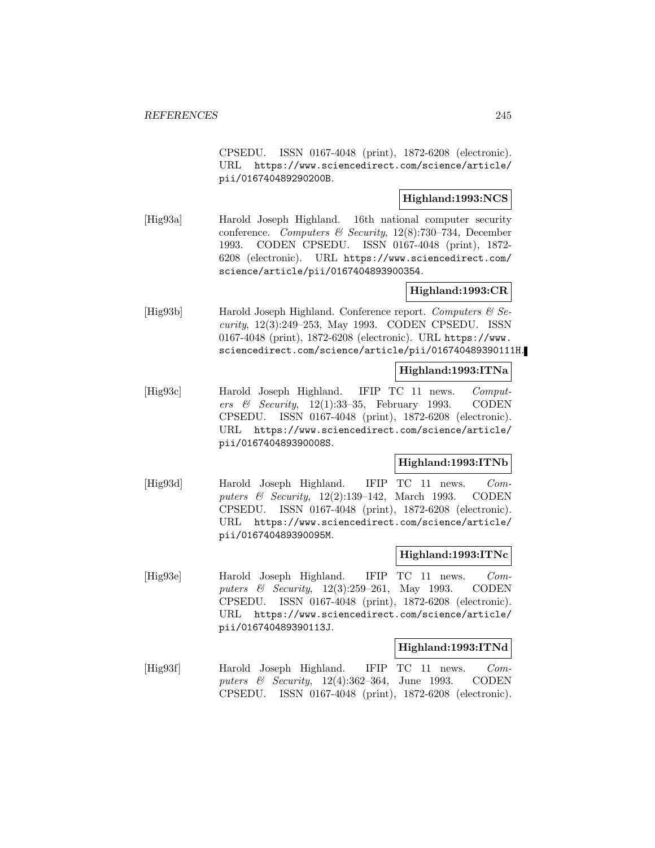CPSEDU. ISSN 0167-4048 (print), 1872-6208 (electronic). URL https://www.sciencedirect.com/science/article/ pii/016740489290200B.

# **Highland:1993:NCS**

[Hig93a] Harold Joseph Highland. 16th national computer security conference. Computers & Security, 12(8):730–734, December 1993. CODEN CPSEDU. ISSN 0167-4048 (print), 1872- 6208 (electronic). URL https://www.sciencedirect.com/ science/article/pii/0167404893900354.

# **Highland:1993:CR**

[Hig93b] Harold Joseph Highland. Conference report. Computers  $\mathcal{C}$  Security, 12(3):249–253, May 1993. CODEN CPSEDU. ISSN 0167-4048 (print), 1872-6208 (electronic). URL https://www. sciencedirect.com/science/article/pii/016740489390111H.

## **Highland:1993:ITNa**

[Hig93c] Harold Joseph Highland. IFIP TC 11 news. Computers & Security, 12(1):33–35, February 1993. CODEN CPSEDU. ISSN 0167-4048 (print), 1872-6208 (electronic). URL https://www.sciencedirect.com/science/article/ pii/016740489390008S.

# **Highland:1993:ITNb**

[Hig93d] Harold Joseph Highland. IFIP TC 11 news. Computers & Security, 12(2):139–142, March 1993. CODEN CPSEDU. ISSN 0167-4048 (print), 1872-6208 (electronic). URL https://www.sciencedirect.com/science/article/ pii/016740489390095M.

#### **Highland:1993:ITNc**

[Hig93e] Harold Joseph Highland. IFIP TC 11 news. Computers & Security, 12(3):259–261, May 1993. CODEN CPSEDU. ISSN 0167-4048 (print), 1872-6208 (electronic). URL https://www.sciencedirect.com/science/article/ pii/016740489390113J.

#### **Highland:1993:ITNd**

[Hig93f] Harold Joseph Highland. IFIP TC 11 news. Computers & Security, 12(4):362–364, June 1993. CODEN CPSEDU. ISSN 0167-4048 (print), 1872-6208 (electronic).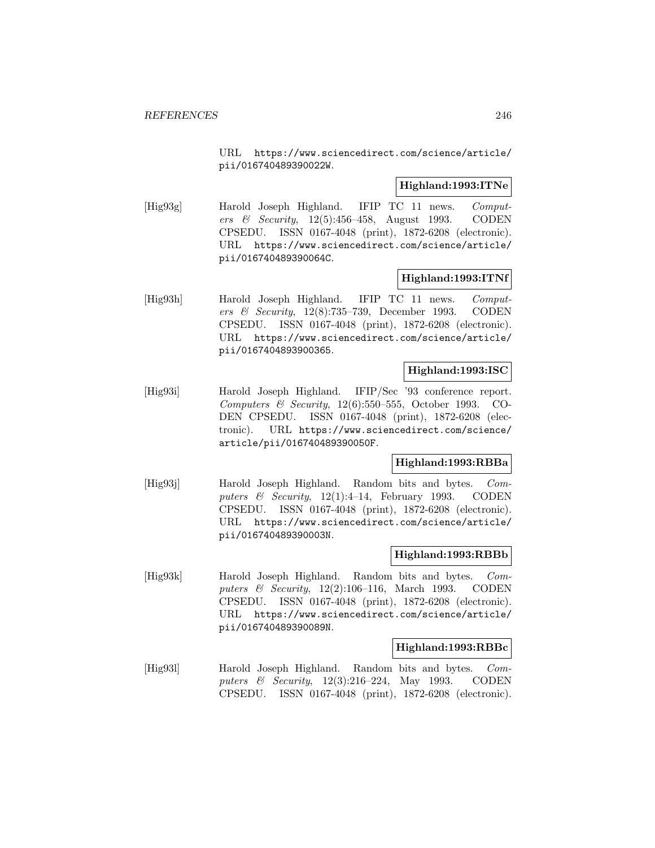URL https://www.sciencedirect.com/science/article/ pii/016740489390022W.

## **Highland:1993:ITNe**

[Hig93g] Harold Joseph Highland. IFIP TC 11 news. Computers & Security,  $12(5):456-458$ , August 1993. CODEN CPSEDU. ISSN 0167-4048 (print), 1872-6208 (electronic). URL https://www.sciencedirect.com/science/article/ pii/016740489390064C.

## **Highland:1993:ITNf**

[Hig93h] Harold Joseph Highland. IFIP TC 11 news. Computers & Security, 12(8):735–739, December 1993. CODEN CPSEDU. ISSN 0167-4048 (print), 1872-6208 (electronic). URL https://www.sciencedirect.com/science/article/ pii/0167404893900365.

## **Highland:1993:ISC**

[Hig93i] Harold Joseph Highland. IFIP/Sec '93 conference report. Computers & Security, 12(6):550–555, October 1993. CO-DEN CPSEDU. ISSN 0167-4048 (print), 1872-6208 (electronic). URL https://www.sciencedirect.com/science/ article/pii/016740489390050F.

# **Highland:1993:RBBa**

[Hig93j] Harold Joseph Highland. Random bits and bytes. Computers & Security,  $12(1):4-14$ , February 1993. CODEN CPSEDU. ISSN 0167-4048 (print), 1872-6208 (electronic). URL https://www.sciencedirect.com/science/article/ pii/016740489390003N.

## **Highland:1993:RBBb**

[Hig93k] Harold Joseph Highland. Random bits and bytes. Computers & Security, 12(2):106–116, March 1993. CODEN CPSEDU. ISSN 0167-4048 (print), 1872-6208 (electronic). URL https://www.sciencedirect.com/science/article/ pii/016740489390089N.

## **Highland:1993:RBBc**

[Hig931] Harold Joseph Highland. Random bits and bytes. Computers & Security, 12(3):216–224, May 1993. CODEN CPSEDU. ISSN 0167-4048 (print), 1872-6208 (electronic).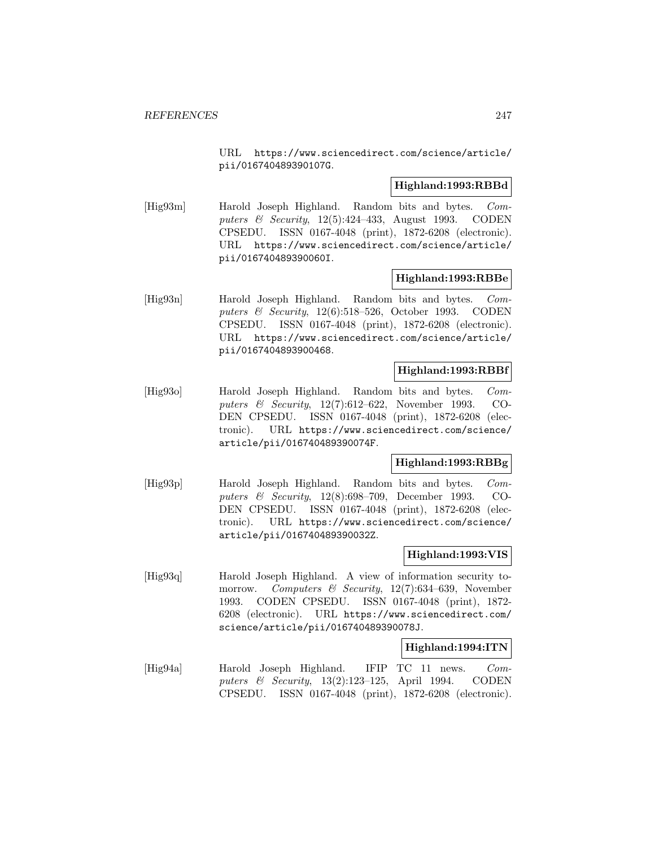URL https://www.sciencedirect.com/science/article/ pii/016740489390107G.

## **Highland:1993:RBBd**

[Hig93m] Harold Joseph Highland. Random bits and bytes. Computers & Security, 12(5):424-433, August 1993. CODEN CPSEDU. ISSN 0167-4048 (print), 1872-6208 (electronic). URL https://www.sciencedirect.com/science/article/ pii/016740489390060I.

## **Highland:1993:RBBe**

[Hig93n] Harold Joseph Highland. Random bits and bytes. Computers & Security, 12(6):518–526, October 1993. CODEN CPSEDU. ISSN 0167-4048 (print), 1872-6208 (electronic). URL https://www.sciencedirect.com/science/article/ pii/0167404893900468.

## **Highland:1993:RBBf**

[Hig93o] Harold Joseph Highland. Random bits and bytes. Computers & Security, 12(7):612–622, November 1993. CO-DEN CPSEDU. ISSN 0167-4048 (print), 1872-6208 (electronic). URL https://www.sciencedirect.com/science/ article/pii/016740489390074F.

# **Highland:1993:RBBg**

[Hig93p] Harold Joseph Highland. Random bits and bytes. Computers & Security, 12(8):698–709, December 1993. CO-DEN CPSEDU. ISSN 0167-4048 (print), 1872-6208 (electronic). URL https://www.sciencedirect.com/science/ article/pii/016740489390032Z.

# **Highland:1993:VIS**

[Hig93q] Harold Joseph Highland. A view of information security tomorrow. Computers & Security, 12(7):634–639, November 1993. CODEN CPSEDU. ISSN 0167-4048 (print), 1872- 6208 (electronic). URL https://www.sciencedirect.com/ science/article/pii/016740489390078J.

## **Highland:1994:ITN**

[Hig94a] Harold Joseph Highland. IFIP TC 11 news. Computers & Security, 13(2):123–125, April 1994. CODEN CPSEDU. ISSN 0167-4048 (print), 1872-6208 (electronic).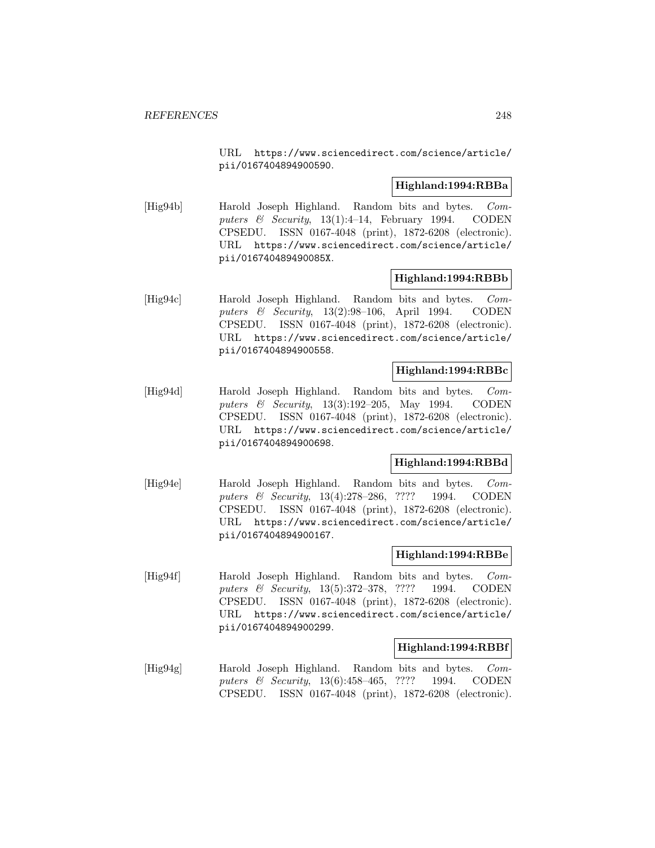URL https://www.sciencedirect.com/science/article/ pii/0167404894900590.

## **Highland:1994:RBBa**

[Hig94b] Harold Joseph Highland. Random bits and bytes. Computers  $\&$  Security, 13(1):4-14, February 1994. CODEN CPSEDU. ISSN 0167-4048 (print), 1872-6208 (electronic). URL https://www.sciencedirect.com/science/article/ pii/016740489490085X.

## **Highland:1994:RBBb**

[Hig94c] Harold Joseph Highland. Random bits and bytes. Computers & Security, 13(2):98–106, April 1994. CODEN CPSEDU. ISSN 0167-4048 (print), 1872-6208 (electronic). URL https://www.sciencedirect.com/science/article/ pii/0167404894900558.

## **Highland:1994:RBBc**

[Hig94d] Harold Joseph Highland. Random bits and bytes. Computers & Security, 13(3):192-205, May 1994. CODEN CPSEDU. ISSN 0167-4048 (print), 1872-6208 (electronic). URL https://www.sciencedirect.com/science/article/ pii/0167404894900698.

# **Highland:1994:RBBd**

[Hig94e] Harold Joseph Highland. Random bits and bytes. Computers & Security, 13(4):278–286, ???? 1994. CODEN CPSEDU. ISSN 0167-4048 (print), 1872-6208 (electronic). URL https://www.sciencedirect.com/science/article/ pii/0167404894900167.

## **Highland:1994:RBBe**

[Hig94f] Harold Joseph Highland. Random bits and bytes. Computers & Security, 13(5):372–378, ???? 1994. CODEN CPSEDU. ISSN 0167-4048 (print), 1872-6208 (electronic). URL https://www.sciencedirect.com/science/article/ pii/0167404894900299.

## **Highland:1994:RBBf**

[Hig94g] Harold Joseph Highland. Random bits and bytes. Computers & Security, 13(6):458–465, ???? 1994. CODEN CPSEDU. ISSN 0167-4048 (print), 1872-6208 (electronic).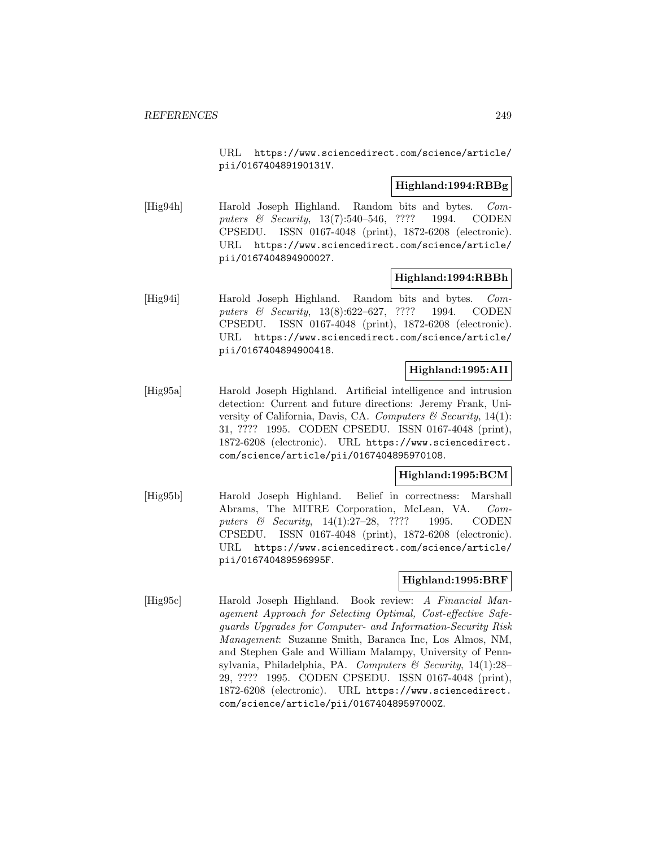URL https://www.sciencedirect.com/science/article/ pii/016740489190131V.

## **Highland:1994:RBBg**

[Hig94h] Harold Joseph Highland. Random bits and bytes. Computers & Security, 13(7):540–546, ???? 1994. CODEN CPSEDU. ISSN 0167-4048 (print), 1872-6208 (electronic). URL https://www.sciencedirect.com/science/article/ pii/0167404894900027.

## **Highland:1994:RBBh**

[Hig94i] Harold Joseph Highland. Random bits and bytes. Computers & Security, 13(8):622–627, ???? 1994. CODEN CPSEDU. ISSN 0167-4048 (print), 1872-6208 (electronic). URL https://www.sciencedirect.com/science/article/ pii/0167404894900418.

# **Highland:1995:AII**

[Hig95a] Harold Joseph Highland. Artificial intelligence and intrusion detection: Current and future directions: Jeremy Frank, University of California, Davis, CA. Computers  $\mathcal C$  Security, 14(1): 31, ???? 1995. CODEN CPSEDU. ISSN 0167-4048 (print), 1872-6208 (electronic). URL https://www.sciencedirect. com/science/article/pii/0167404895970108.

# **Highland:1995:BCM**

[Hig95b] Harold Joseph Highland. Belief in correctness: Marshall Abrams, The MITRE Corporation, McLean, VA. Computers & Security, 14(1):27–28, ???? 1995. CODEN CPSEDU. ISSN 0167-4048 (print), 1872-6208 (electronic). URL https://www.sciencedirect.com/science/article/ pii/016740489596995F.

# **Highland:1995:BRF**

[Hig95c] Harold Joseph Highland. Book review: A Financial Management Approach for Selecting Optimal, Cost-effective Safeguards Upgrades for Computer- and Information-Security Risk Management: Suzanne Smith, Baranca Inc, Los Almos, NM, and Stephen Gale and William Malampy, University of Pennsylvania, Philadelphia, PA. Computers & Security,  $14(1):28-$ 29, ???? 1995. CODEN CPSEDU. ISSN 0167-4048 (print), 1872-6208 (electronic). URL https://www.sciencedirect. com/science/article/pii/016740489597000Z.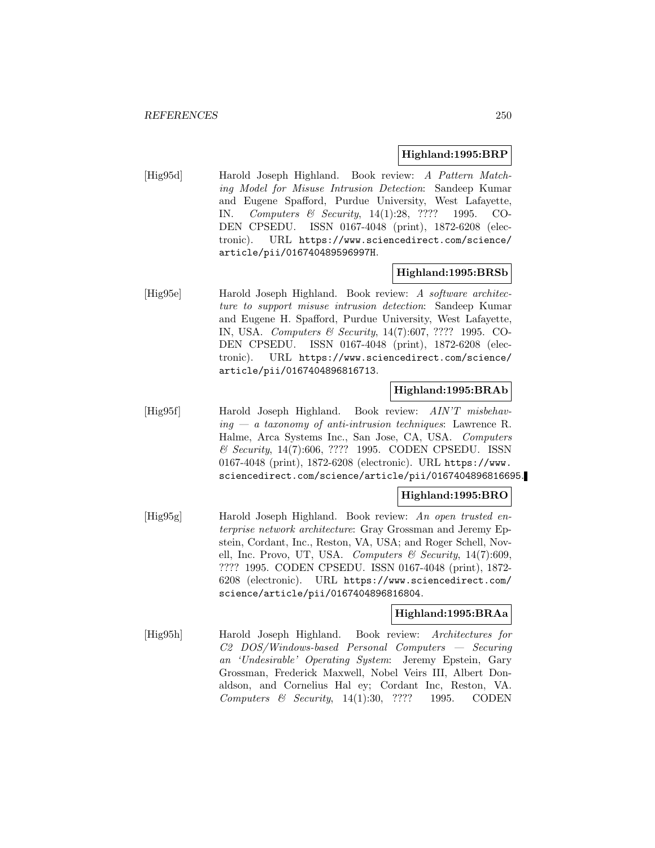#### **Highland:1995:BRP**

[Hig95d] Harold Joseph Highland. Book review: A Pattern Matching Model for Misuse Intrusion Detection: Sandeep Kumar and Eugene Spafford, Purdue University, West Lafayette, IN. Computers & Security, 14(1):28, ???? 1995. CO-DEN CPSEDU. ISSN 0167-4048 (print), 1872-6208 (electronic). URL https://www.sciencedirect.com/science/ article/pii/016740489596997H.

#### **Highland:1995:BRSb**

[Hig95e] Harold Joseph Highland. Book review: A software architecture to support misuse intrusion detection: Sandeep Kumar and Eugene H. Spafford, Purdue University, West Lafayette, IN, USA. Computers & Security, 14(7):607, ???? 1995. CO-DEN CPSEDU. ISSN 0167-4048 (print), 1872-6208 (electronic). URL https://www.sciencedirect.com/science/ article/pii/0167404896816713.

# **Highland:1995:BRAb**

[Hig95f] Harold Joseph Highland. Book review: AIN'T misbehav $ing - a$  taxonomy of anti-intrusion techniques: Lawrence R. Halme, Arca Systems Inc., San Jose, CA, USA. Computers & Security, 14(7):606, ???? 1995. CODEN CPSEDU. ISSN 0167-4048 (print), 1872-6208 (electronic). URL https://www. sciencedirect.com/science/article/pii/0167404896816695.

## **Highland:1995:BRO**

[Hig95g] Harold Joseph Highland. Book review: An open trusted enterprise network architecture: Gray Grossman and Jeremy Epstein, Cordant, Inc., Reston, VA, USA; and Roger Schell, Novell, Inc. Provo, UT, USA. Computers & Security,  $14(7)$ :609, ???? 1995. CODEN CPSEDU. ISSN 0167-4048 (print), 1872- 6208 (electronic). URL https://www.sciencedirect.com/ science/article/pii/0167404896816804.

## **Highland:1995:BRAa**

[Hig95h] Harold Joseph Highland. Book review: Architectures for C2 DOS/Windows-based Personal Computers — Securing an 'Undesirable' Operating System: Jeremy Epstein, Gary Grossman, Frederick Maxwell, Nobel Veirs III, Albert Donaldson, and Cornelius Hal ey; Cordant Inc, Reston, VA. Computers & Security, 14(1):30, ???? 1995. CODEN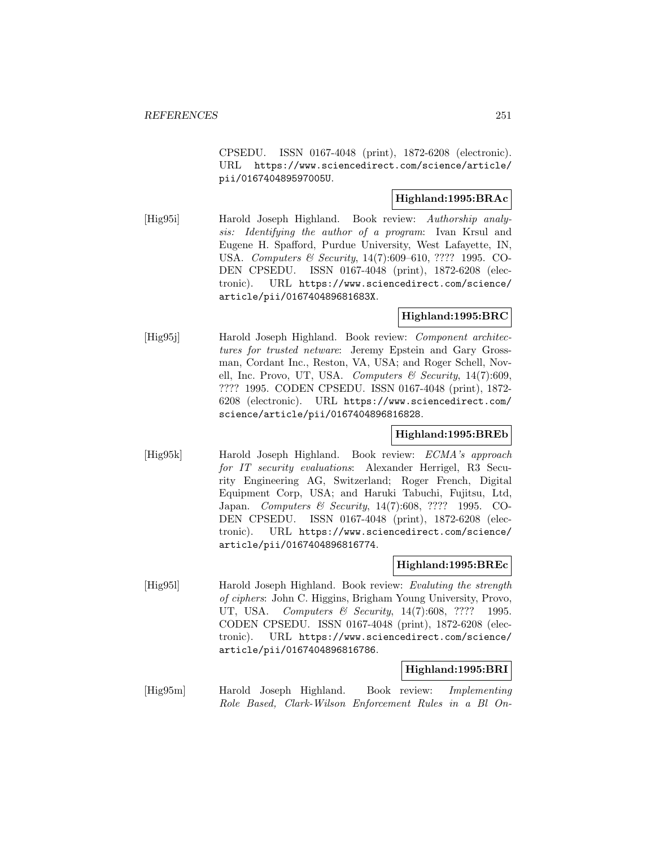CPSEDU. ISSN 0167-4048 (print), 1872-6208 (electronic). URL https://www.sciencedirect.com/science/article/ pii/016740489597005U.

# **Highland:1995:BRAc**

[Hig95i] Harold Joseph Highland. Book review: Authorship analysis: Identifying the author of a program: Ivan Krsul and Eugene H. Spafford, Purdue University, West Lafayette, IN, USA. Computers & Security, 14(7):609–610, ???? 1995. CO-DEN CPSEDU. ISSN 0167-4048 (print), 1872-6208 (electronic). URL https://www.sciencedirect.com/science/ article/pii/016740489681683X.

# **Highland:1995:BRC**

[Hig95j] Harold Joseph Highland. Book review: *Component architec*tures for trusted netware: Jeremy Epstein and Gary Grossman, Cordant Inc., Reston, VA, USA; and Roger Schell, Novell, Inc. Provo, UT, USA. Computers & Security,  $14(7):609$ , ???? 1995. CODEN CPSEDU. ISSN 0167-4048 (print), 1872- 6208 (electronic). URL https://www.sciencedirect.com/ science/article/pii/0167404896816828.

## **Highland:1995:BREb**

[Hig95k] Harold Joseph Highland. Book review: ECMA's approach for IT security evaluations: Alexander Herrigel, R3 Security Engineering AG, Switzerland; Roger French, Digital Equipment Corp, USA; and Haruki Tabuchi, Fujitsu, Ltd, Japan. Computers & Security, 14(7):608, ???? 1995. CO-DEN CPSEDU. ISSN 0167-4048 (print), 1872-6208 (electronic). URL https://www.sciencedirect.com/science/ article/pii/0167404896816774.

## **Highland:1995:BREc**

[Hig951] Harold Joseph Highland. Book review: Evaluting the strength of ciphers: John C. Higgins, Brigham Young University, Provo, UT, USA. Computers & Security, 14(7):608, ???? 1995. CODEN CPSEDU. ISSN 0167-4048 (print), 1872-6208 (electronic). URL https://www.sciencedirect.com/science/ article/pii/0167404896816786.

## **Highland:1995:BRI**

[Hig95m] Harold Joseph Highland. Book review: Implementing Role Based, Clark-Wilson Enforcement Rules in a Bl On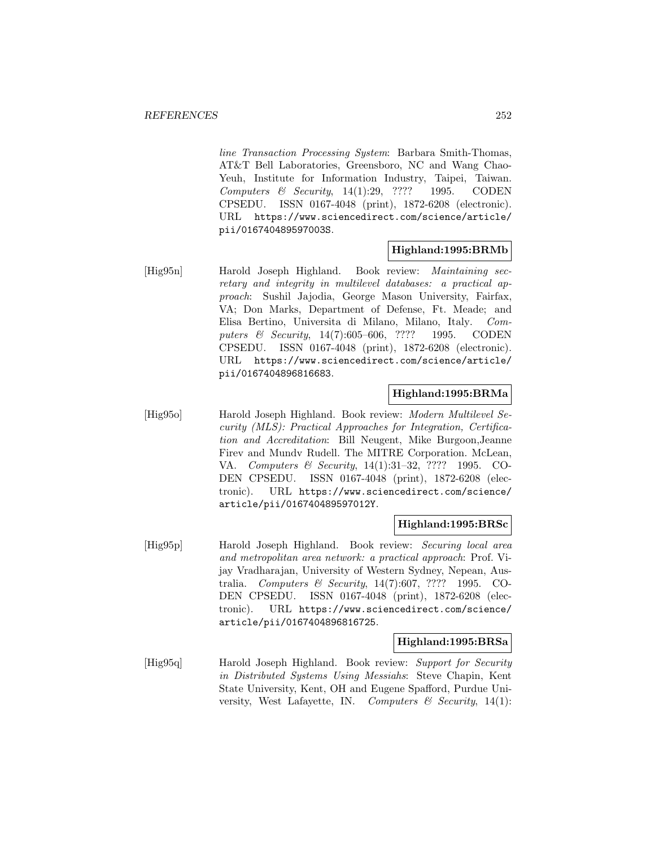line Transaction Processing System: Barbara Smith-Thomas, AT&T Bell Laboratories, Greensboro, NC and Wang Chao-Yeuh, Institute for Information Industry, Taipei, Taiwan. Computers  $\&$  Security, 14(1):29, ???? 1995. CODEN CPSEDU. ISSN 0167-4048 (print), 1872-6208 (electronic). URL https://www.sciencedirect.com/science/article/ pii/016740489597003S.

## **Highland:1995:BRMb**

[Hig95n] Harold Joseph Highland. Book review: Maintaining secretary and integrity in multilevel databases: a practical approach: Sushil Jajodia, George Mason University, Fairfax, VA; Don Marks, Department of Defense, Ft. Meade; and Elisa Bertino, Universita di Milano, Milano, Italy. Computers & Security, 14(7):605-606, ???? 1995. CODEN CPSEDU. ISSN 0167-4048 (print), 1872-6208 (electronic). URL https://www.sciencedirect.com/science/article/ pii/0167404896816683.

# **Highland:1995:BRMa**

[Hig95o] Harold Joseph Highland. Book review: Modern Multilevel Security (MLS): Practical Approaches for Integration, Certification and Accreditation: Bill Neugent, Mike Burgoon,Jeanne Firev and Mundv Rudell. The MITRE Corporation. McLean, VA. Computers & Security, 14(1):31–32, ???? 1995. CO-DEN CPSEDU. ISSN 0167-4048 (print), 1872-6208 (electronic). URL https://www.sciencedirect.com/science/ article/pii/016740489597012Y.

## **Highland:1995:BRSc**

[Hig95p] Harold Joseph Highland. Book review: Securing local area and metropolitan area network: a practical approach: Prof. Vijay Vradharajan, University of Western Sydney, Nepean, Australia. Computers & Security, 14(7):607, ???? 1995. CO-DEN CPSEDU. ISSN 0167-4048 (print), 1872-6208 (electronic). URL https://www.sciencedirect.com/science/ article/pii/0167404896816725.

## **Highland:1995:BRSa**

[Hig95q] Harold Joseph Highland. Book review: Support for Security in Distributed Systems Using Messiahs: Steve Chapin, Kent State University, Kent, OH and Eugene Spafford, Purdue University, West Lafayette, IN. Computers  $\mathcal C$  Security, 14(1):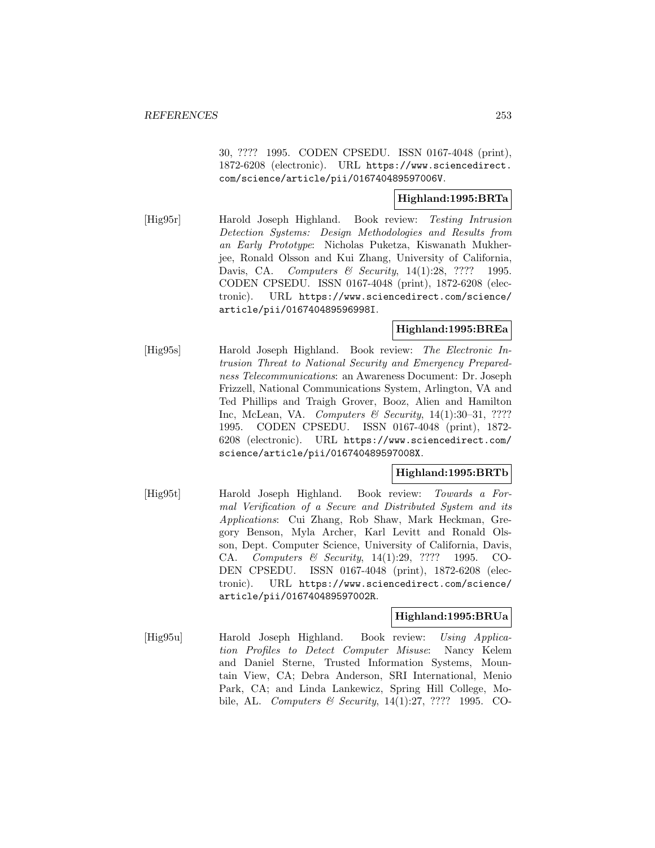30, ???? 1995. CODEN CPSEDU. ISSN 0167-4048 (print), 1872-6208 (electronic). URL https://www.sciencedirect. com/science/article/pii/016740489597006V.

### **Highland:1995:BRTa**

[Hig95r] Harold Joseph Highland. Book review: Testing Intrusion Detection Systems: Design Methodologies and Results from an Early Prototype: Nicholas Puketza, Kiswanath Mukherjee, Ronald Olsson and Kui Zhang, University of California, Davis, CA. *Computers & Security*, 14(1):28, ???? 1995. CODEN CPSEDU. ISSN 0167-4048 (print), 1872-6208 (electronic). URL https://www.sciencedirect.com/science/ article/pii/016740489596998I.

#### **Highland:1995:BREa**

[Hig95s] Harold Joseph Highland. Book review: The Electronic Intrusion Threat to National Security and Emergency Preparedness Telecommunications: an Awareness Document: Dr. Joseph Frizzell, National Communications System, Arlington, VA and Ted Phillips and Traigh Grover, Booz, Alien and Hamilton Inc, McLean, VA. Computers & Security, 14(1):30–31, ???? 1995. CODEN CPSEDU. ISSN 0167-4048 (print), 1872- 6208 (electronic). URL https://www.sciencedirect.com/ science/article/pii/016740489597008X.

### **Highland:1995:BRTb**

[Hig95t] Harold Joseph Highland. Book review: Towards a Formal Verification of a Secure and Distributed System and its Applications: Cui Zhang, Rob Shaw, Mark Heckman, Gregory Benson, Myla Archer, Karl Levitt and Ronald Olsson, Dept. Computer Science, University of California, Davis, CA. Computers & Security, 14(1):29, ???? 1995. CO-DEN CPSEDU. ISSN 0167-4048 (print), 1872-6208 (electronic). URL https://www.sciencedirect.com/science/ article/pii/016740489597002R.

#### **Highland:1995:BRUa**

[Hig95u] Harold Joseph Highland. Book review: Using Application Profiles to Detect Computer Misuse: Nancy Kelem and Daniel Sterne, Trusted Information Systems, Mountain View, CA; Debra Anderson, SRI International, Menio Park, CA; and Linda Lankewicz, Spring Hill College, Mobile, AL. Computers & Security, 14(1):27, ???? 1995. CO-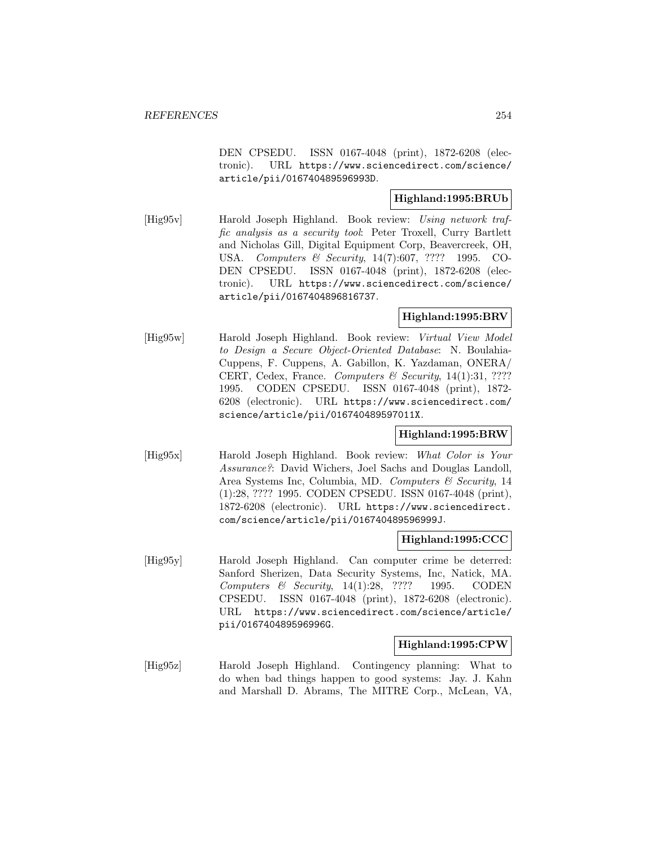DEN CPSEDU. ISSN 0167-4048 (print), 1872-6208 (electronic). URL https://www.sciencedirect.com/science/ article/pii/016740489596993D.

# **Highland:1995:BRUb**

[Hig95v] Harold Joseph Highland. Book review: Using network traffic analysis as a security tool: Peter Troxell, Curry Bartlett and Nicholas Gill, Digital Equipment Corp, Beavercreek, OH, USA. Computers & Security, 14(7):607, ???? 1995. CO-DEN CPSEDU. ISSN 0167-4048 (print), 1872-6208 (electronic). URL https://www.sciencedirect.com/science/ article/pii/0167404896816737.

## **Highland:1995:BRV**

[Hig95w] Harold Joseph Highland. Book review: Virtual View Model to Design a Secure Object-Oriented Database: N. Boulahia-Cuppens, F. Cuppens, A. Gabillon, K. Yazdaman, ONERA/ CERT, Cedex, France. Computers  $\mathcal B$  Security, 14(1):31, ???? 1995. CODEN CPSEDU. ISSN 0167-4048 (print), 1872- 6208 (electronic). URL https://www.sciencedirect.com/ science/article/pii/016740489597011X.

### **Highland:1995:BRW**

[Hig95x] Harold Joseph Highland. Book review: What Color is Your Assurance?: David Wichers, Joel Sachs and Douglas Landoll, Area Systems Inc, Columbia, MD. Computers & Security, 14 (1):28, ???? 1995. CODEN CPSEDU. ISSN 0167-4048 (print), 1872-6208 (electronic). URL https://www.sciencedirect. com/science/article/pii/016740489596999J.

### **Highland:1995:CCC**

[Hig95y] Harold Joseph Highland. Can computer crime be deterred: Sanford Sherizen, Data Security Systems, Inc, Natick, MA. Computers  $\&$  Security, 14(1):28, ???? 1995. CODEN CPSEDU. ISSN 0167-4048 (print), 1872-6208 (electronic). URL https://www.sciencedirect.com/science/article/ pii/016740489596996G.

### **Highland:1995:CPW**

[Hig95z] Harold Joseph Highland. Contingency planning: What to do when bad things happen to good systems: Jay. J. Kahn and Marshall D. Abrams, The MITRE Corp., McLean, VA,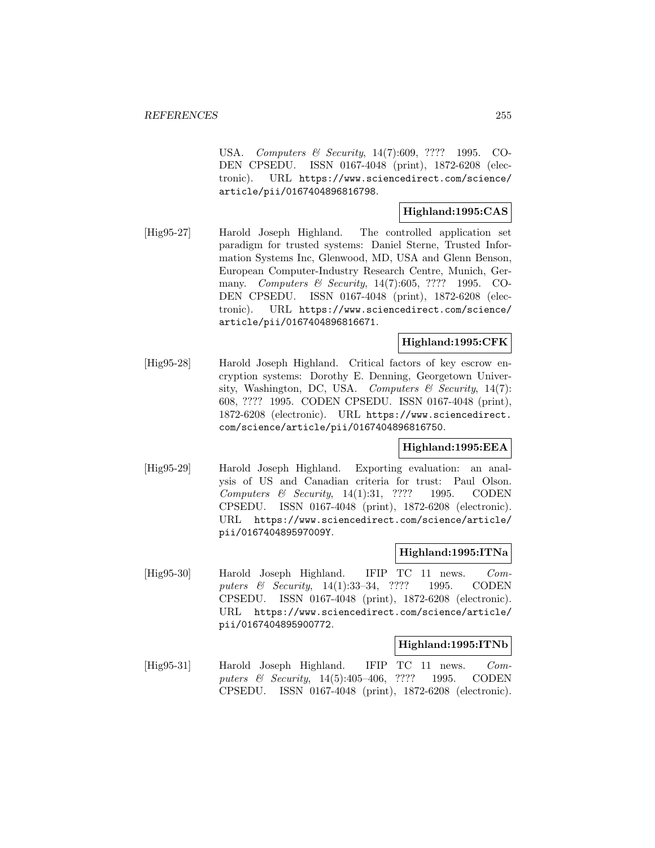USA. Computers & Security, 14(7):609, ???? 1995. CO-DEN CPSEDU. ISSN 0167-4048 (print), 1872-6208 (electronic). URL https://www.sciencedirect.com/science/ article/pii/0167404896816798.

## **Highland:1995:CAS**

[Hig95-27] Harold Joseph Highland. The controlled application set paradigm for trusted systems: Daniel Sterne, Trusted Information Systems Inc, Glenwood, MD, USA and Glenn Benson, European Computer-Industry Research Centre, Munich, Germany. Computers & Security, 14(7):605, ???? 1995. CO-DEN CPSEDU. ISSN 0167-4048 (print), 1872-6208 (electronic). URL https://www.sciencedirect.com/science/ article/pii/0167404896816671.

### **Highland:1995:CFK**

[Hig95-28] Harold Joseph Highland. Critical factors of key escrow encryption systems: Dorothy E. Denning, Georgetown University, Washington, DC, USA. Computers  $\mathcal C$  Security, 14(7): 608, ???? 1995. CODEN CPSEDU. ISSN 0167-4048 (print), 1872-6208 (electronic). URL https://www.sciencedirect. com/science/article/pii/0167404896816750.

### **Highland:1995:EEA**

[Hig95-29] Harold Joseph Highland. Exporting evaluation: an analysis of US and Canadian criteria for trust: Paul Olson. Computers & Security, 14(1):31, ???? 1995. CODEN CPSEDU. ISSN 0167-4048 (print), 1872-6208 (electronic). URL https://www.sciencedirect.com/science/article/ pii/016740489597009Y.

### **Highland:1995:ITNa**

[Hig95-30] Harold Joseph Highland. IFIP TC 11 news. Computers & Security, 14(1):33-34, ???? 1995. CODEN CPSEDU. ISSN 0167-4048 (print), 1872-6208 (electronic). URL https://www.sciencedirect.com/science/article/ pii/0167404895900772.

#### **Highland:1995:ITNb**

[Hig95-31] Harold Joseph Highland. IFIP TC 11 news. Computers & Security, 14(5):405-406, ???? 1995. CODEN CPSEDU. ISSN 0167-4048 (print), 1872-6208 (electronic).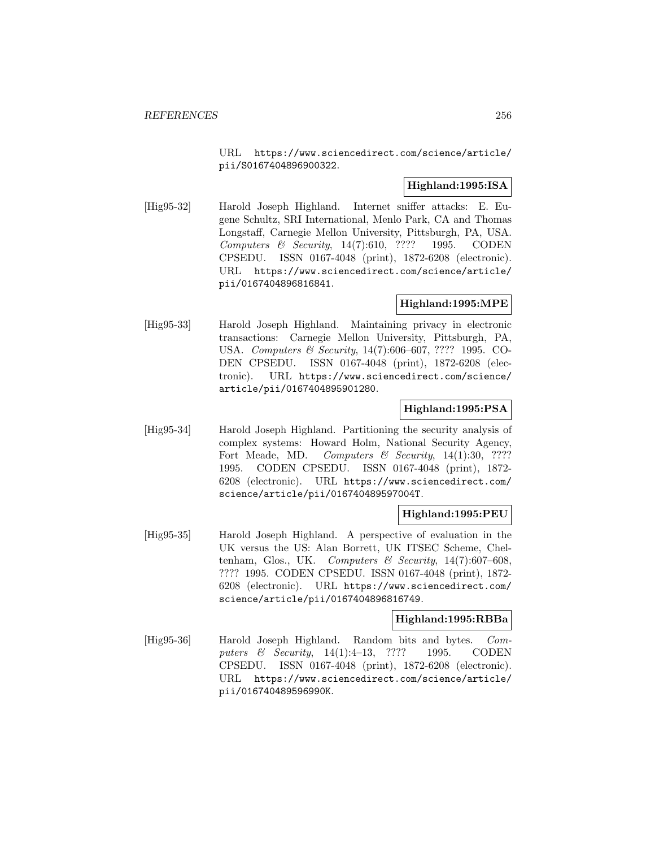URL https://www.sciencedirect.com/science/article/ pii/S0167404896900322.

# **Highland:1995:ISA**

[Hig95-32] Harold Joseph Highland. Internet sniffer attacks: E. Eugene Schultz, SRI International, Menlo Park, CA and Thomas Longstaff, Carnegie Mellon University, Pittsburgh, PA, USA. Computers & Security,  $14(7):610$ , ???? 1995. CODEN CPSEDU. ISSN 0167-4048 (print), 1872-6208 (electronic). URL https://www.sciencedirect.com/science/article/ pii/0167404896816841.

## **Highland:1995:MPE**

[Hig95-33] Harold Joseph Highland. Maintaining privacy in electronic transactions: Carnegie Mellon University, Pittsburgh, PA, USA. Computers & Security, 14(7):606–607, ???? 1995. CO-DEN CPSEDU. ISSN 0167-4048 (print), 1872-6208 (electronic). URL https://www.sciencedirect.com/science/ article/pii/0167404895901280.

### **Highland:1995:PSA**

[Hig95-34] Harold Joseph Highland. Partitioning the security analysis of complex systems: Howard Holm, National Security Agency, Fort Meade, MD. Computers & Security,  $14(1):30, ????$ 1995. CODEN CPSEDU. ISSN 0167-4048 (print), 1872- 6208 (electronic). URL https://www.sciencedirect.com/ science/article/pii/016740489597004T.

### **Highland:1995:PEU**

[Hig95-35] Harold Joseph Highland. A perspective of evaluation in the UK versus the US: Alan Borrett, UK ITSEC Scheme, Cheltenham, Glos., UK. Computers & Security,  $14(7):607-608$ , ???? 1995. CODEN CPSEDU. ISSN 0167-4048 (print), 1872- 6208 (electronic). URL https://www.sciencedirect.com/ science/article/pii/0167404896816749.

### **Highland:1995:RBBa**

[Hig95-36] Harold Joseph Highland. Random bits and bytes. Computers & Security, 14(1):4-13, ???? 1995. CODEN CPSEDU. ISSN 0167-4048 (print), 1872-6208 (electronic). URL https://www.sciencedirect.com/science/article/ pii/016740489596990K.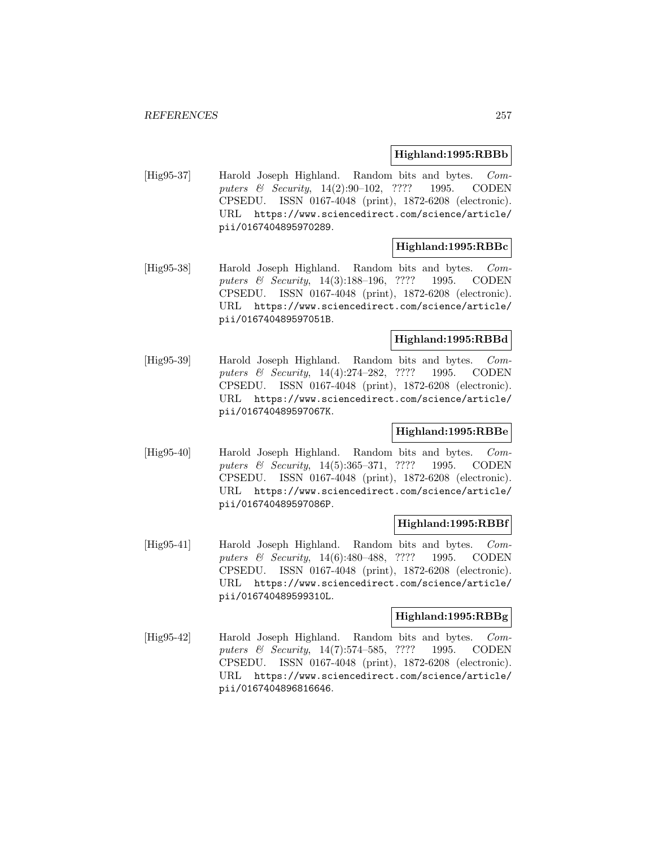### **Highland:1995:RBBb**

[Hig95-37] Harold Joseph Highland. Random bits and bytes. Computers & Security, 14(2):90–102, ???? 1995. CODEN CPSEDU. ISSN 0167-4048 (print), 1872-6208 (electronic). URL https://www.sciencedirect.com/science/article/ pii/0167404895970289.

### **Highland:1995:RBBc**

[Hig95-38] Harold Joseph Highland. Random bits and bytes. Computers & Security, 14(3):188–196, ???? 1995. CODEN CPSEDU. ISSN 0167-4048 (print), 1872-6208 (electronic). URL https://www.sciencedirect.com/science/article/ pii/016740489597051B.

### **Highland:1995:RBBd**

[Hig95-39] Harold Joseph Highland. Random bits and bytes. Computers & Security, 14(4):274–282, ???? 1995. CODEN CPSEDU. ISSN 0167-4048 (print), 1872-6208 (electronic). URL https://www.sciencedirect.com/science/article/ pii/016740489597067K.

# **Highland:1995:RBBe**

[Hig95-40] Harold Joseph Highland. Random bits and bytes. Computers & Security, 14(5):365-371, ???? 1995. CODEN CPSEDU. ISSN 0167-4048 (print), 1872-6208 (electronic). URL https://www.sciencedirect.com/science/article/ pii/016740489597086P.

### **Highland:1995:RBBf**

[Hig95-41] Harold Joseph Highland. Random bits and bytes. Computers & Security, 14(6):480–488, ???? 1995. CODEN CPSEDU. ISSN 0167-4048 (print), 1872-6208 (electronic). URL https://www.sciencedirect.com/science/article/ pii/016740489599310L.

### **Highland:1995:RBBg**

[Hig95-42] Harold Joseph Highland. Random bits and bytes. Computers & Security, 14(7):574-585, ???? 1995. CODEN CPSEDU. ISSN 0167-4048 (print), 1872-6208 (electronic). URL https://www.sciencedirect.com/science/article/ pii/0167404896816646.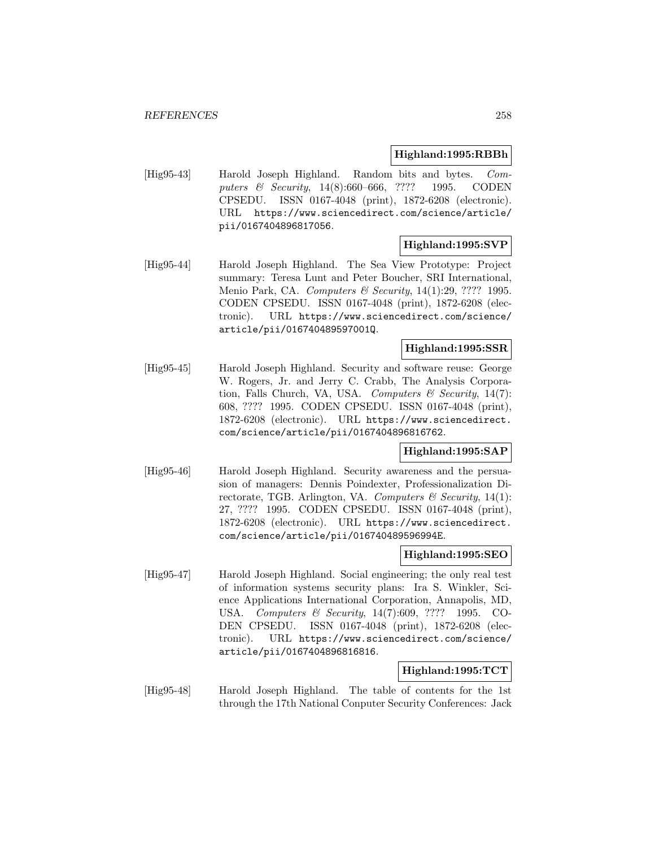### **Highland:1995:RBBh**

[Hig95-43] Harold Joseph Highland. Random bits and bytes. Computers & Security, 14(8):660–666, ???? 1995. CODEN CPSEDU. ISSN 0167-4048 (print), 1872-6208 (electronic). URL https://www.sciencedirect.com/science/article/ pii/0167404896817056.

### **Highland:1995:SVP**

[Hig95-44] Harold Joseph Highland. The Sea View Prototype: Project summary: Teresa Lunt and Peter Boucher, SRI International, Menio Park, CA. *Computers & Security*, 14(1):29, ???? 1995. CODEN CPSEDU. ISSN 0167-4048 (print), 1872-6208 (electronic). URL https://www.sciencedirect.com/science/ article/pii/016740489597001Q.

### **Highland:1995:SSR**

[Hig95-45] Harold Joseph Highland. Security and software reuse: George W. Rogers, Jr. and Jerry C. Crabb, The Analysis Corporation, Falls Church, VA, USA. Computers  $\mathcal C$  Security, 14(7): 608, ???? 1995. CODEN CPSEDU. ISSN 0167-4048 (print), 1872-6208 (electronic). URL https://www.sciencedirect. com/science/article/pii/0167404896816762.

### **Highland:1995:SAP**

[Hig95-46] Harold Joseph Highland. Security awareness and the persuasion of managers: Dennis Poindexter, Professionalization Directorate, TGB. Arlington, VA. Computers  $\mathcal C$  Security, 14(1): 27, ???? 1995. CODEN CPSEDU. ISSN 0167-4048 (print), 1872-6208 (electronic). URL https://www.sciencedirect. com/science/article/pii/016740489596994E.

#### **Highland:1995:SEO**

[Hig95-47] Harold Joseph Highland. Social engineering; the only real test of information systems security plans: Ira S. Winkler, Science Applications International Corporation, Annapolis, MD, USA. Computers & Security, 14(7):609, ???? 1995. CO-DEN CPSEDU. ISSN 0167-4048 (print), 1872-6208 (electronic). URL https://www.sciencedirect.com/science/ article/pii/0167404896816816.

### **Highland:1995:TCT**

[Hig95-48] Harold Joseph Highland. The table of contents for the 1st through the 17th National Conputer Security Conferences: Jack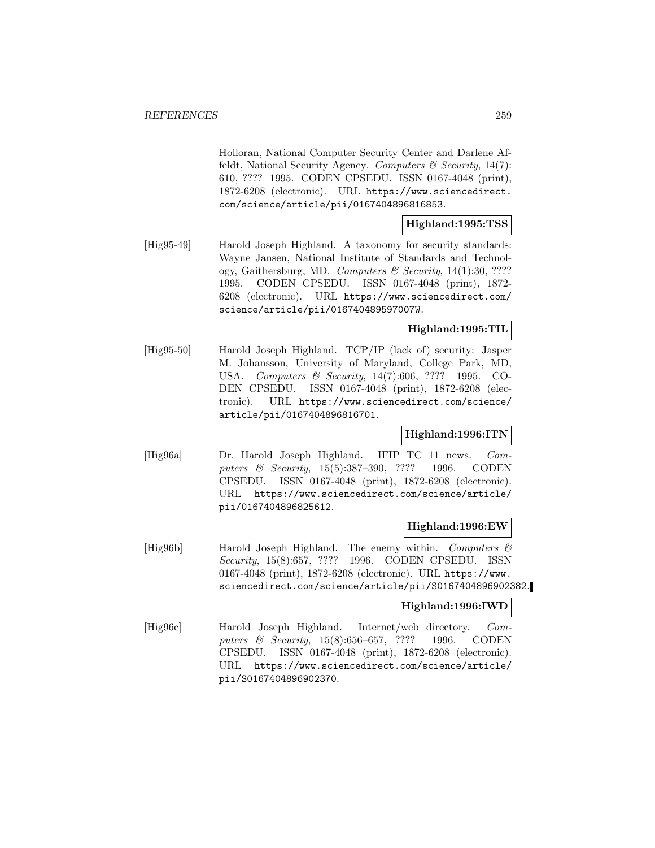Holloran, National Computer Security Center and Darlene Affeldt, National Security Agency. Computers  $\mathcal C$  Security, 14(7): 610, ???? 1995. CODEN CPSEDU. ISSN 0167-4048 (print), 1872-6208 (electronic). URL https://www.sciencedirect. com/science/article/pii/0167404896816853.

# **Highland:1995:TSS**

[Hig95-49] Harold Joseph Highland. A taxonomy for security standards: Wayne Jansen, National Institute of Standards and Technology, Gaithersburg, MD. Computers & Security, 14(1):30, ???? 1995. CODEN CPSEDU. ISSN 0167-4048 (print), 1872- 6208 (electronic). URL https://www.sciencedirect.com/ science/article/pii/016740489597007W.

### **Highland:1995:TIL**

[Hig95-50] Harold Joseph Highland. TCP/IP (lack of) security: Jasper M. Johansson, University of Maryland, College Park, MD, USA. Computers & Security, 14(7):606, ???? 1995. CO-DEN CPSEDU. ISSN 0167-4048 (print), 1872-6208 (electronic). URL https://www.sciencedirect.com/science/ article/pii/0167404896816701.

## **Highland:1996:ITN**

[Hig96a] Dr. Harold Joseph Highland. IFIP TC 11 news. Computers & Security, 15(5):387-390, ???? 1996. CODEN CPSEDU. ISSN 0167-4048 (print), 1872-6208 (electronic). URL https://www.sciencedirect.com/science/article/ pii/0167404896825612.

### **Highland:1996:EW**

[Hig96b] Harold Joseph Highland. The enemy within. Computers & Security, 15(8):657, ???? 1996. CODEN CPSEDU. ISSN 0167-4048 (print), 1872-6208 (electronic). URL https://www. sciencedirect.com/science/article/pii/S0167404896902382.

## **Highland:1996:IWD**

[Hig96c] Harold Joseph Highland. Internet/web directory. Computers & Security, 15(8):656-657, ???? 1996. CODEN CPSEDU. ISSN 0167-4048 (print), 1872-6208 (electronic). URL https://www.sciencedirect.com/science/article/ pii/S0167404896902370.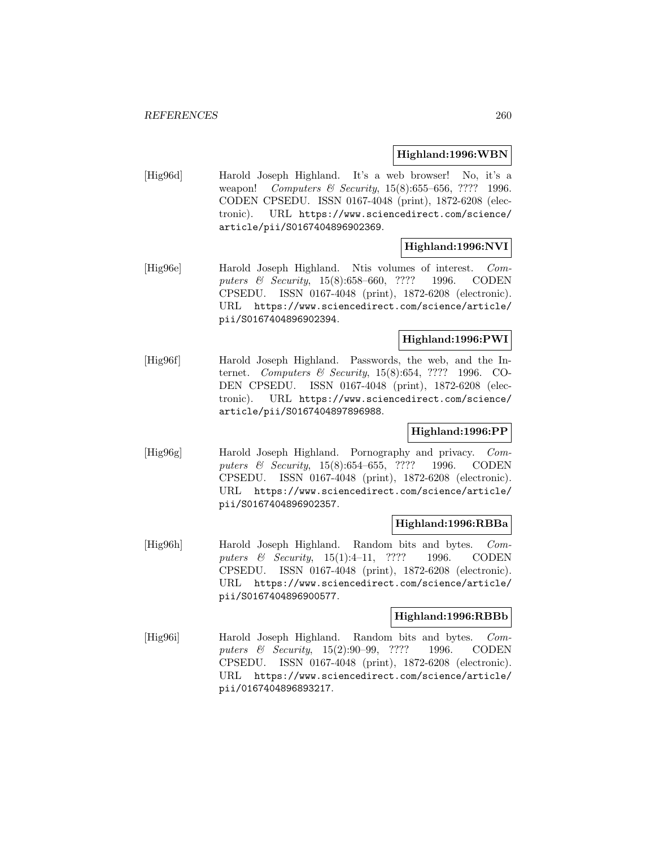### **Highland:1996:WBN**

[Hig96d] Harold Joseph Highland. It's a web browser! No, it's a weapon! Computers & Security, 15(8):655-656, ???? 1996. CODEN CPSEDU. ISSN 0167-4048 (print), 1872-6208 (electronic). URL https://www.sciencedirect.com/science/ article/pii/S0167404896902369.

# **Highland:1996:NVI**

[Hig96e] Harold Joseph Highland. Ntis volumes of interest. Computers & Security, 15(8):658–660, ???? 1996. CODEN CPSEDU. ISSN 0167-4048 (print), 1872-6208 (electronic). URL https://www.sciencedirect.com/science/article/ pii/S0167404896902394.

# **Highland:1996:PWI**

[Hig96f] Harold Joseph Highland. Passwords, the web, and the Internet. Computers & Security, 15(8):654, ???? 1996. CO-DEN CPSEDU. ISSN 0167-4048 (print), 1872-6208 (electronic). URL https://www.sciencedirect.com/science/ article/pii/S0167404897896988.

# **Highland:1996:PP**

[Hig96g] Harold Joseph Highland. Pornography and privacy. Computers & Security, 15(8):654–655, ???? 1996. CODEN CPSEDU. ISSN 0167-4048 (print), 1872-6208 (electronic). URL https://www.sciencedirect.com/science/article/ pii/S0167404896902357.

## **Highland:1996:RBBa**

[Hig96h] Harold Joseph Highland. Random bits and bytes. Computers & Security, 15(1):4-11, ???? 1996. CODEN CPSEDU. ISSN 0167-4048 (print), 1872-6208 (electronic). URL https://www.sciencedirect.com/science/article/ pii/S0167404896900577.

### **Highland:1996:RBBb**

[Hig96i] Harold Joseph Highland. Random bits and bytes. Computers & Security, 15(2):90–99, ???? 1996. CODEN CPSEDU. ISSN 0167-4048 (print), 1872-6208 (electronic). URL https://www.sciencedirect.com/science/article/ pii/0167404896893217.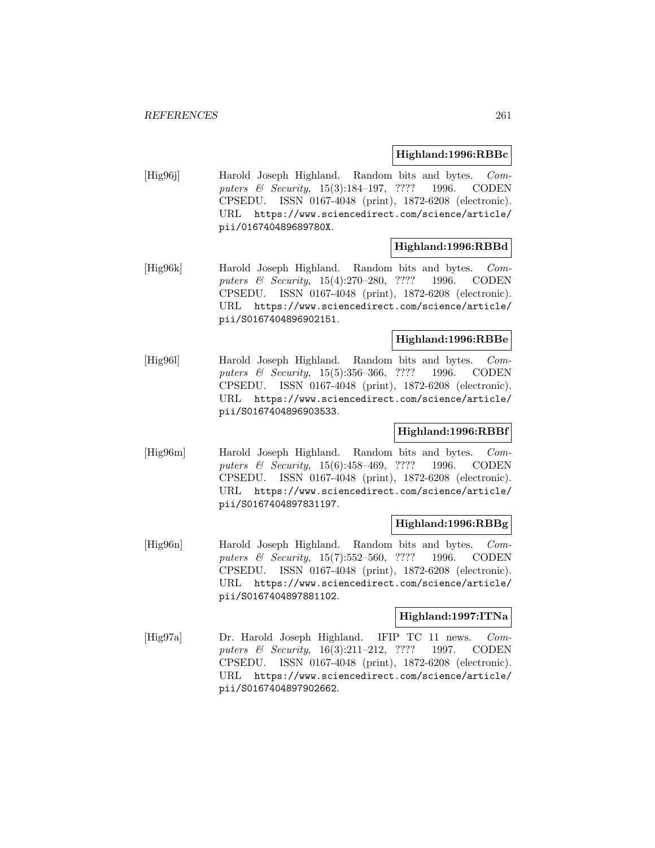#### **Highland:1996:RBBc**

[Hig96j] Harold Joseph Highland. Random bits and bytes. Computers & Security, 15(3):184-197, ???? 1996. CODEN CPSEDU. ISSN 0167-4048 (print), 1872-6208 (electronic). URL https://www.sciencedirect.com/science/article/ pii/016740489689780X.

### **Highland:1996:RBBd**

[Hig96k] Harold Joseph Highland. Random bits and bytes. Computers & Security, 15(4):270–280, ???? 1996. CODEN CPSEDU. ISSN 0167-4048 (print), 1872-6208 (electronic). URL https://www.sciencedirect.com/science/article/ pii/S0167404896902151.

### **Highland:1996:RBBe**

[Hig96l] Harold Joseph Highland. Random bits and bytes. Computers & Security, 15(5):356–366, ???? 1996. CODEN CPSEDU. ISSN 0167-4048 (print), 1872-6208 (electronic). URL https://www.sciencedirect.com/science/article/ pii/S0167404896903533.

## **Highland:1996:RBBf**

[Hig96m] Harold Joseph Highland. Random bits and bytes. Computers & Security, 15(6):458–469, ???? 1996. CODEN CPSEDU. ISSN 0167-4048 (print), 1872-6208 (electronic). URL https://www.sciencedirect.com/science/article/ pii/S0167404897831197.

#### **Highland:1996:RBBg**

[Hig96n] Harold Joseph Highland. Random bits and bytes. Computers & Security, 15(7):552-560, ???? 1996. CODEN CPSEDU. ISSN 0167-4048 (print), 1872-6208 (electronic). URL https://www.sciencedirect.com/science/article/ pii/S0167404897881102.

### **Highland:1997:ITNa**

[Hig97a] Dr. Harold Joseph Highland. IFIP TC 11 news. Computers & Security, 16(3):211-212, ???? 1997. CODEN CPSEDU. ISSN 0167-4048 (print), 1872-6208 (electronic). URL https://www.sciencedirect.com/science/article/ pii/S0167404897902662.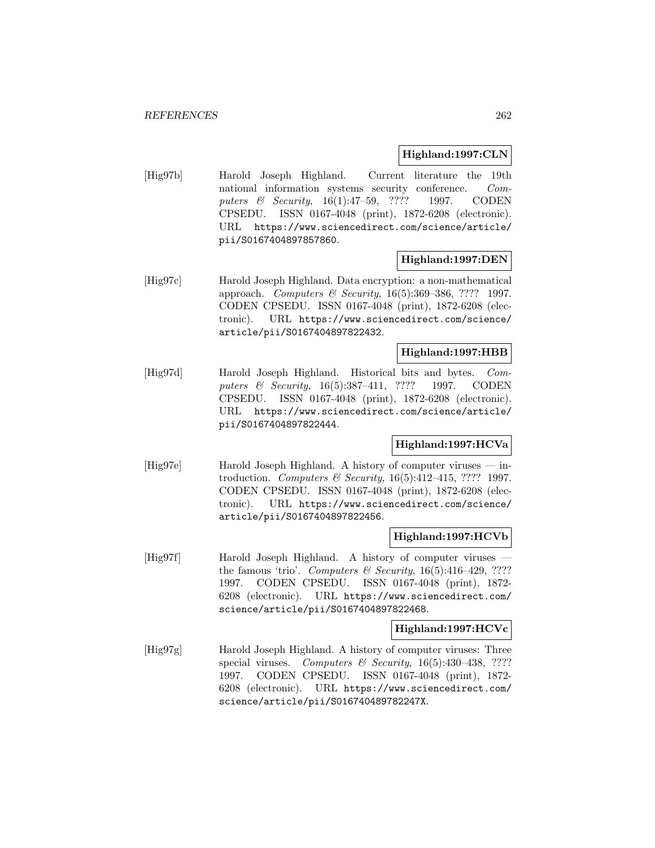## **Highland:1997:CLN**

[Hig97b] Harold Joseph Highland. Current literature the 19th national information systems security conference. Computers & Security, 16(1):47-59, ???? 1997. CODEN CPSEDU. ISSN 0167-4048 (print), 1872-6208 (electronic). URL https://www.sciencedirect.com/science/article/ pii/S0167404897857860.

## **Highland:1997:DEN**

[Hig97c] Harold Joseph Highland. Data encryption: a non-mathematical approach. Computers & Security, 16(5):369–386, ???? 1997. CODEN CPSEDU. ISSN 0167-4048 (print), 1872-6208 (electronic). URL https://www.sciencedirect.com/science/ article/pii/S0167404897822432.

# **Highland:1997:HBB**

[Hig97d] Harold Joseph Highland. Historical bits and bytes. Computers & Security, 16(5):387–411, ???? 1997. CODEN CPSEDU. ISSN 0167-4048 (print), 1872-6208 (electronic). URL https://www.sciencedirect.com/science/article/ pii/S0167404897822444.

# **Highland:1997:HCVa**

[Hig97e] Harold Joseph Highland. A history of computer viruses — introduction. Computers  $\mathcal B$  Security, 16(5):412-415, ???? 1997. CODEN CPSEDU. ISSN 0167-4048 (print), 1872-6208 (electronic). URL https://www.sciencedirect.com/science/ article/pii/S0167404897822456.

## **Highland:1997:HCVb**

[Hig97f] Harold Joseph Highland. A history of computer viruses the famous 'trio'. Computers & Security,  $16(5):416-429$ , ???? 1997. CODEN CPSEDU. ISSN 0167-4048 (print), 1872- 6208 (electronic). URL https://www.sciencedirect.com/ science/article/pii/S0167404897822468.

### **Highland:1997:HCVc**

[Hig97g] Harold Joseph Highland. A history of computer viruses: Three special viruses. Computers & Security,  $16(5):430-438$ , ???? 1997. CODEN CPSEDU. ISSN 0167-4048 (print), 1872- 6208 (electronic). URL https://www.sciencedirect.com/ science/article/pii/S016740489782247X.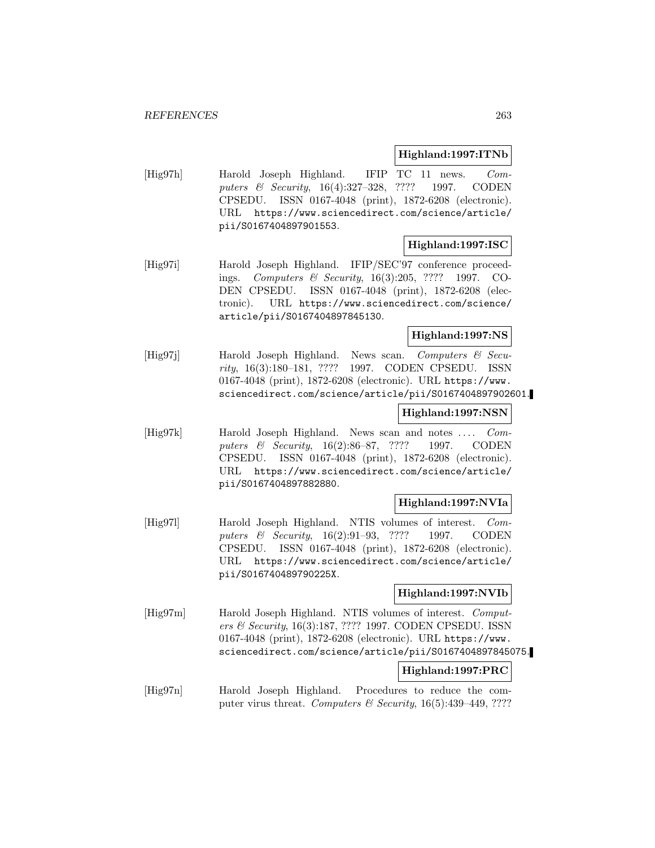### **Highland:1997:ITNb**

[Hig97h] Harold Joseph Highland. IFIP TC 11 news. Computers & Security, 16(4):327–328, ???? 1997. CODEN CPSEDU. ISSN 0167-4048 (print), 1872-6208 (electronic). URL https://www.sciencedirect.com/science/article/ pii/S0167404897901553.

## **Highland:1997:ISC**

[Hig97i] Harold Joseph Highland. IFIP/SEC'97 conference proceedings. Computers & Security, 16(3):205, ???? 1997. CO-DEN CPSEDU. ISSN 0167-4048 (print), 1872-6208 (electronic). URL https://www.sciencedirect.com/science/ article/pii/S0167404897845130.

### **Highland:1997:NS**

[Hig97j] Harold Joseph Highland. News scan. Computers & Security, 16(3):180–181, ???? 1997. CODEN CPSEDU. ISSN 0167-4048 (print), 1872-6208 (electronic). URL https://www. sciencedirect.com/science/article/pii/S0167404897902601.

### **Highland:1997:NSN**

[Hig97k] Harold Joseph Highland. News scan and notes .... Computers & Security, 16(2):86–87, ???? 1997. CODEN CPSEDU. ISSN 0167-4048 (print), 1872-6208 (electronic). URL https://www.sciencedirect.com/science/article/ pii/S0167404897882880.

### **Highland:1997:NVIa**

[Hig97l] Harold Joseph Highland. NTIS volumes of interest. Computers & Security, 16(2):91-93, ???? 1997. CODEN CPSEDU. ISSN 0167-4048 (print), 1872-6208 (electronic). URL https://www.sciencedirect.com/science/article/ pii/S016740489790225X.

## **Highland:1997:NVIb**

[Hig97m] Harold Joseph Highland. NTIS volumes of interest. Computers & Security, 16(3):187, ???? 1997. CODEN CPSEDU. ISSN 0167-4048 (print), 1872-6208 (electronic). URL https://www. sciencedirect.com/science/article/pii/S0167404897845075.

### **Highland:1997:PRC**

[Hig97n] Harold Joseph Highland. Procedures to reduce the computer virus threat. Computers & Security,  $16(5):439-449,$  ????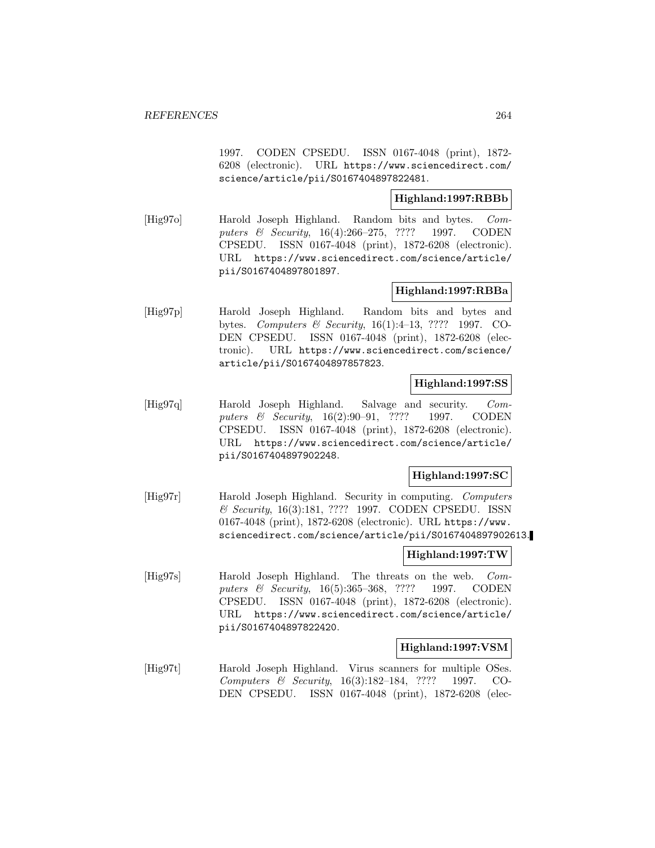1997. CODEN CPSEDU. ISSN 0167-4048 (print), 1872- 6208 (electronic). URL https://www.sciencedirect.com/ science/article/pii/S0167404897822481.

### **Highland:1997:RBBb**

[Hig97o] Harold Joseph Highland. Random bits and bytes. Computers & Security, 16(4):266–275, ???? 1997. CODEN CPSEDU. ISSN 0167-4048 (print), 1872-6208 (electronic). URL https://www.sciencedirect.com/science/article/ pii/S0167404897801897.

## **Highland:1997:RBBa**

[Hig97p] Harold Joseph Highland. Random bits and bytes and bytes. Computers & Security, 16(1):4–13, ???? 1997. CO-DEN CPSEDU. ISSN 0167-4048 (print), 1872-6208 (electronic). URL https://www.sciencedirect.com/science/ article/pii/S0167404897857823.

### **Highland:1997:SS**

[Hig97q] Harold Joseph Highland. Salvage and security. Computers & Security, 16(2):90-91, ???? 1997. CODEN CPSEDU. ISSN 0167-4048 (print), 1872-6208 (electronic). URL https://www.sciencedirect.com/science/article/ pii/S0167404897902248.

# **Highland:1997:SC**

[Hig97r] Harold Joseph Highland. Security in computing. Computers & Security, 16(3):181, ???? 1997. CODEN CPSEDU. ISSN 0167-4048 (print), 1872-6208 (electronic). URL https://www. sciencedirect.com/science/article/pii/S0167404897902613.

## **Highland:1997:TW**

[Hig97s] Harold Joseph Highland. The threats on the web. Computers & Security, 16(5):365-368, ???? 1997. CODEN CPSEDU. ISSN 0167-4048 (print), 1872-6208 (electronic). URL https://www.sciencedirect.com/science/article/ pii/S0167404897822420.

## **Highland:1997:VSM**

[Hig97t] Harold Joseph Highland. Virus scanners for multiple OSes. Computers & Security, 16(3):182–184, ???? 1997. CO-DEN CPSEDU. ISSN 0167-4048 (print), 1872-6208 (elec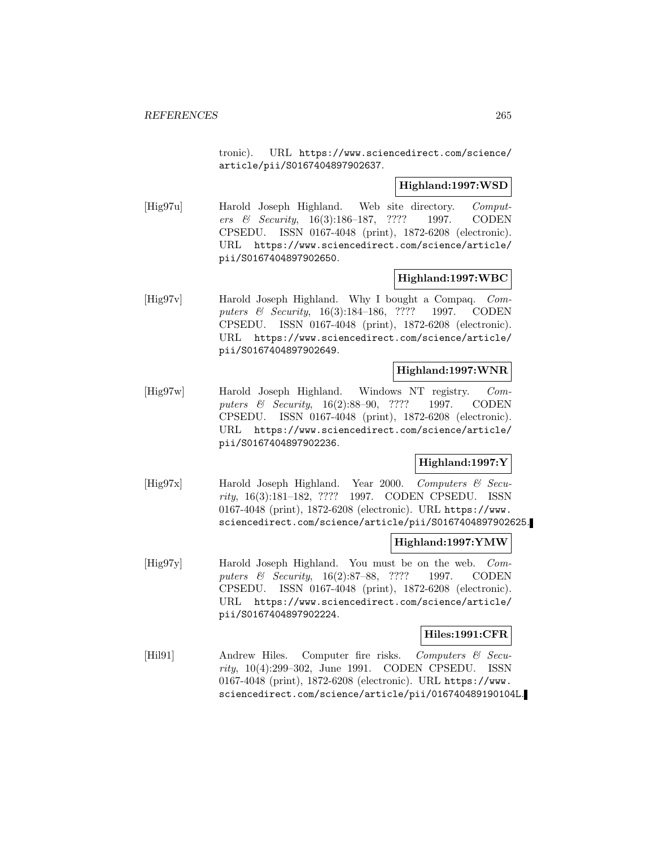tronic). URL https://www.sciencedirect.com/science/ article/pii/S0167404897902637.

### **Highland:1997:WSD**

[Hig97u] Harold Joseph Highland. Web site directory. Computers & Security, 16(3):186–187, ???? 1997. CODEN CPSEDU. ISSN 0167-4048 (print), 1872-6208 (electronic). URL https://www.sciencedirect.com/science/article/ pii/S0167404897902650.

### **Highland:1997:WBC**

[Hig97v] Harold Joseph Highland. Why I bought a Compaq. Computers & Security, 16(3):184-186, ???? 1997. CODEN CPSEDU. ISSN 0167-4048 (print), 1872-6208 (electronic). URL https://www.sciencedirect.com/science/article/ pii/S0167404897902649.

### **Highland:1997:WNR**

[Hig97w] Harold Joseph Highland. Windows NT registry. Computers & Security, 16(2):88-90, ???? 1997. CODEN CPSEDU. ISSN 0167-4048 (print), 1872-6208 (electronic). URL https://www.sciencedirect.com/science/article/ pii/S0167404897902236.

## **Highland:1997:Y**

[Hig97x] Harold Joseph Highland. Year 2000. Computers & Security, 16(3):181–182, ???? 1997. CODEN CPSEDU. ISSN 0167-4048 (print), 1872-6208 (electronic). URL https://www. sciencedirect.com/science/article/pii/S0167404897902625.

## **Highland:1997:YMW**

[Hig97y] Harold Joseph Highland. You must be on the web. Computers & Security, 16(2):87–88, ???? 1997. CODEN CPSEDU. ISSN 0167-4048 (print), 1872-6208 (electronic). URL https://www.sciencedirect.com/science/article/ pii/S0167404897902224.

## **Hiles:1991:CFR**

[Hil91] Andrew Hiles. Computer fire risks. Computers & Security, 10(4):299–302, June 1991. CODEN CPSEDU. ISSN 0167-4048 (print), 1872-6208 (electronic). URL https://www. sciencedirect.com/science/article/pii/016740489190104L.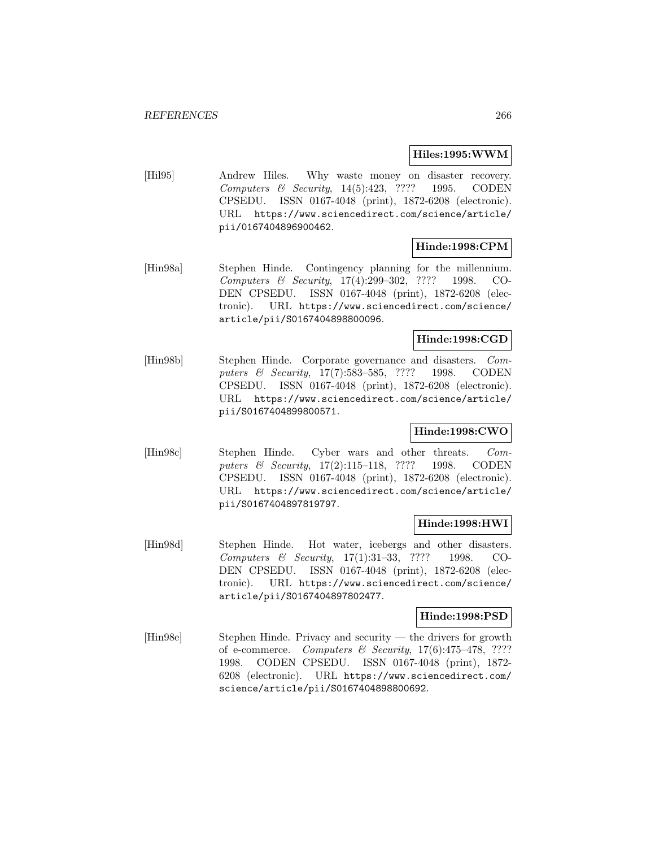#### **Hiles:1995:WWM**

[Hil95] Andrew Hiles. Why waste money on disaster recovery. Computers  $\&$  Security, 14(5):423, ???? 1995. CODEN CPSEDU. ISSN 0167-4048 (print), 1872-6208 (electronic). URL https://www.sciencedirect.com/science/article/ pii/0167404896900462.

### **Hinde:1998:CPM**

[Hin98a] Stephen Hinde. Contingency planning for the millennium. Computers & Security, 17(4):299–302, ???? 1998. CO-DEN CPSEDU. ISSN 0167-4048 (print), 1872-6208 (electronic). URL https://www.sciencedirect.com/science/ article/pii/S0167404898800096.

### **Hinde:1998:CGD**

[Hin98b] Stephen Hinde. Corporate governance and disasters. Computers & Security, 17(7):583–585, ???? 1998. CODEN CPSEDU. ISSN 0167-4048 (print), 1872-6208 (electronic). URL https://www.sciencedirect.com/science/article/ pii/S0167404899800571.

## **Hinde:1998:CWO**

[Hin98c] Stephen Hinde. Cyber wars and other threats. Computers & Security, 17(2):115-118, ???? 1998. CODEN CPSEDU. ISSN 0167-4048 (print), 1872-6208 (electronic). URL https://www.sciencedirect.com/science/article/ pii/S0167404897819797.

### **Hinde:1998:HWI**

[Hin98d] Stephen Hinde. Hot water, icebergs and other disasters. Computers & Security, 17(1):31–33, ???? 1998. CO-DEN CPSEDU. ISSN 0167-4048 (print), 1872-6208 (electronic). URL https://www.sciencedirect.com/science/ article/pii/S0167404897802477.

### **Hinde:1998:PSD**

[Hin98e] Stephen Hinde. Privacy and security — the drivers for growth of e-commerce. Computers & Security, 17(6):475–478, ???? 1998. CODEN CPSEDU. ISSN 0167-4048 (print), 1872- 6208 (electronic). URL https://www.sciencedirect.com/ science/article/pii/S0167404898800692.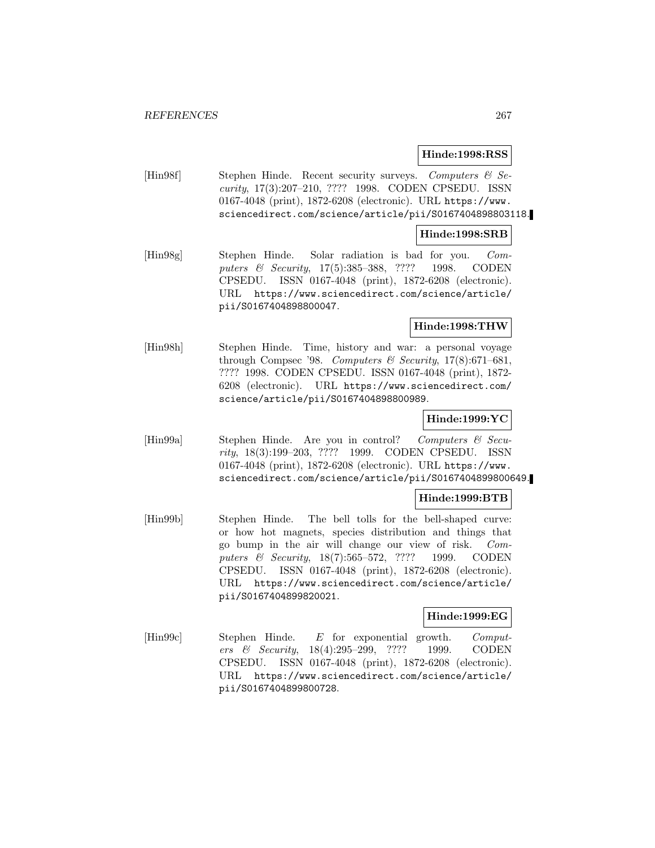### **Hinde:1998:RSS**

[Hin98f] Stephen Hinde. Recent security surveys. Computers & Security, 17(3):207–210, ???? 1998. CODEN CPSEDU. ISSN 0167-4048 (print), 1872-6208 (electronic). URL https://www. sciencedirect.com/science/article/pii/S0167404898803118.

#### **Hinde:1998:SRB**

[Hin98g] Stephen Hinde. Solar radiation is bad for you. Computers & Security, 17(5):385-388, ???? 1998. CODEN CPSEDU. ISSN 0167-4048 (print), 1872-6208 (electronic). URL https://www.sciencedirect.com/science/article/ pii/S0167404898800047.

### **Hinde:1998:THW**

[Hin98h] Stephen Hinde. Time, history and war: a personal voyage through Compsec '98. Computers & Security,  $17(8):671-681$ , ???? 1998. CODEN CPSEDU. ISSN 0167-4048 (print), 1872- 6208 (electronic). URL https://www.sciencedirect.com/ science/article/pii/S0167404898800989.

### **Hinde:1999:YC**

[Hin99a] Stephen Hinde. Are you in control? Computers & Security, 18(3):199–203, ???? 1999. CODEN CPSEDU. ISSN 0167-4048 (print), 1872-6208 (electronic). URL https://www. sciencedirect.com/science/article/pii/S0167404899800649.

## **Hinde:1999:BTB**

[Hin99b] Stephen Hinde. The bell tolls for the bell-shaped curve: or how hot magnets, species distribution and things that go bump in the air will change our view of risk. Computers & Security, 18(7):565–572, ???? 1999. CODEN CPSEDU. ISSN 0167-4048 (print), 1872-6208 (electronic). URL https://www.sciencedirect.com/science/article/ pii/S0167404899820021.

#### **Hinde:1999:EG**

[Hin99c] Stephen Hinde. E for exponential growth. Computers & Security, 18(4):295–299, ???? 1999. CODEN CPSEDU. ISSN 0167-4048 (print), 1872-6208 (electronic). URL https://www.sciencedirect.com/science/article/ pii/S0167404899800728.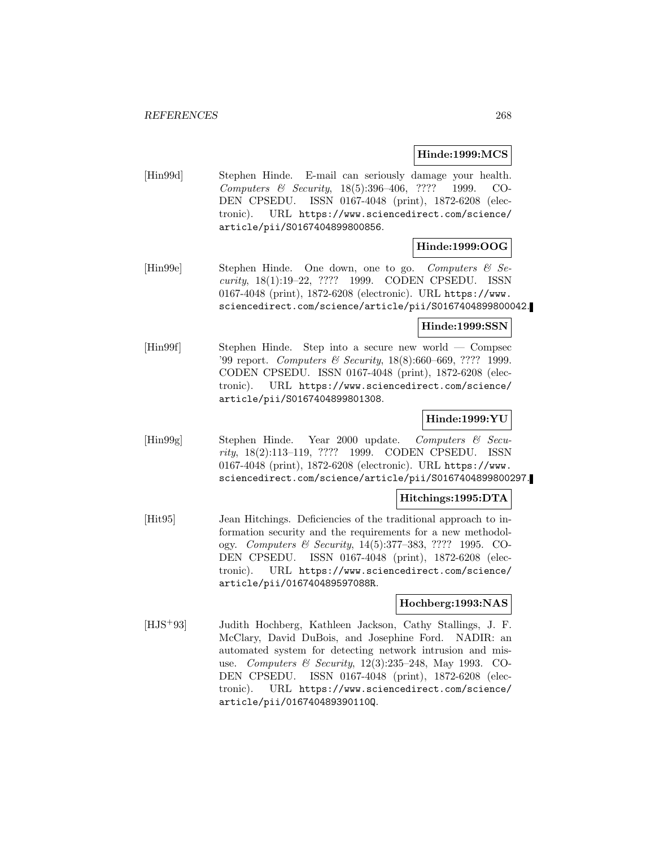### **Hinde:1999:MCS**

[Hin99d] Stephen Hinde. E-mail can seriously damage your health. Computers & Security, 18(5):396–406, ???? 1999. CO-DEN CPSEDU. ISSN 0167-4048 (print), 1872-6208 (electronic). URL https://www.sciencedirect.com/science/ article/pii/S0167404899800856.

# **Hinde:1999:OOG**

[Hin99e] Stephen Hinde. One down, one to go. Computers & Security, 18(1):19–22, ???? 1999. CODEN CPSEDU. ISSN 0167-4048 (print), 1872-6208 (electronic). URL https://www. sciencedirect.com/science/article/pii/S0167404899800042.

## **Hinde:1999:SSN**

[Hin99f] Stephen Hinde. Step into a secure new world — Compsec '99 report. Computers & Security, 18(8):660–669, ???? 1999. CODEN CPSEDU. ISSN 0167-4048 (print), 1872-6208 (electronic). URL https://www.sciencedirect.com/science/ article/pii/S0167404899801308.

### **Hinde:1999:YU**

[Hin99g] Stephen Hinde. Year 2000 update. Computers & Security, 18(2):113–119, ???? 1999. CODEN CPSEDU. ISSN 0167-4048 (print), 1872-6208 (electronic). URL https://www. sciencedirect.com/science/article/pii/S0167404899800297.

## **Hitchings:1995:DTA**

[Hit95] Jean Hitchings. Deficiencies of the traditional approach to information security and the requirements for a new methodology. Computers & Security, 14(5):377–383, ???? 1995. CO-DEN CPSEDU. ISSN 0167-4048 (print), 1872-6208 (electronic). URL https://www.sciencedirect.com/science/ article/pii/016740489597088R.

### **Hochberg:1993:NAS**

[HJS<sup>+</sup>93] Judith Hochberg, Kathleen Jackson, Cathy Stallings, J. F. McClary, David DuBois, and Josephine Ford. NADIR: an automated system for detecting network intrusion and misuse. *Computers & Security*, 12(3):235–248, May 1993. CO-DEN CPSEDU. ISSN 0167-4048 (print), 1872-6208 (electronic). URL https://www.sciencedirect.com/science/ article/pii/016740489390110Q.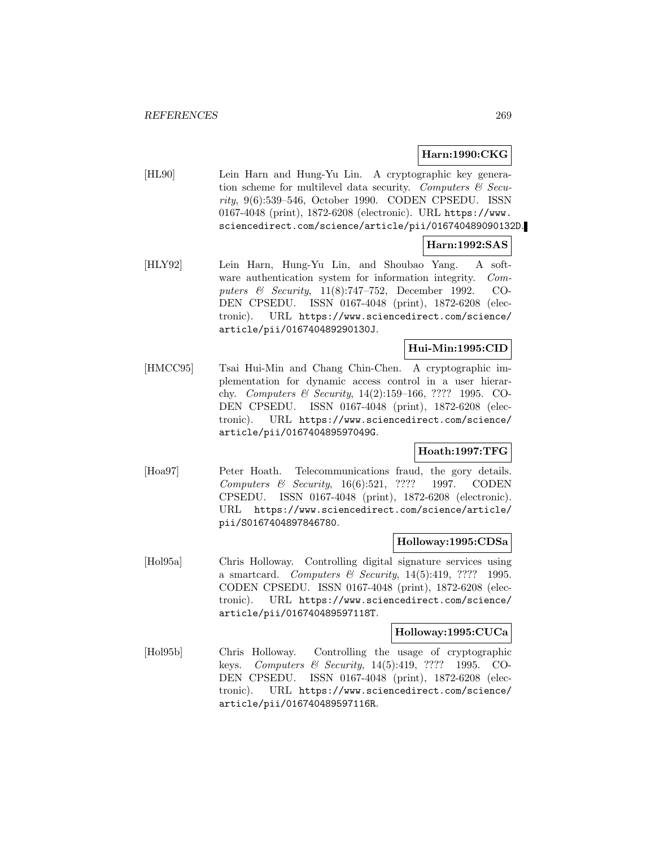### **Harn:1990:CKG**

[HL90] Lein Harn and Hung-Yu Lin. A cryptographic key generation scheme for multilevel data security. Computers  $\mathcal{C}$  Security, 9(6):539–546, October 1990. CODEN CPSEDU. ISSN 0167-4048 (print), 1872-6208 (electronic). URL https://www. sciencedirect.com/science/article/pii/016740489090132D.

### **Harn:1992:SAS**

[HLY92] Lein Harn, Hung-Yu Lin, and Shoubao Yang. A software authentication system for information integrity. Computers & Security, 11(8):747–752, December 1992. CO-DEN CPSEDU. ISSN 0167-4048 (print), 1872-6208 (electronic). URL https://www.sciencedirect.com/science/ article/pii/016740489290130J.

### **Hui-Min:1995:CID**

[HMCC95] Tsai Hui-Min and Chang Chin-Chen. A cryptographic implementation for dynamic access control in a user hierarchy. Computers & Security, 14(2):159–166, ???? 1995. CO-DEN CPSEDU. ISSN 0167-4048 (print), 1872-6208 (electronic). URL https://www.sciencedirect.com/science/ article/pii/016740489597049G.

## **Hoath:1997:TFG**

[Hoa97] Peter Hoath. Telecommunications fraud, the gory details. Computers & Security, 16(6):521, ???? 1997. CODEN CPSEDU. ISSN 0167-4048 (print), 1872-6208 (electronic). URL https://www.sciencedirect.com/science/article/ pii/S0167404897846780.

### **Holloway:1995:CDSa**

[Hol95a] Chris Holloway. Controlling digital signature services using a smartcard. Computers & Security,  $14(5):419$ , ???? 1995. CODEN CPSEDU. ISSN 0167-4048 (print), 1872-6208 (electronic). URL https://www.sciencedirect.com/science/ article/pii/016740489597118T.

#### **Holloway:1995:CUCa**

[Hol95b] Chris Holloway. Controlling the usage of cryptographic keys. Computers & Security, 14(5):419, ???? 1995. CO-DEN CPSEDU. ISSN 0167-4048 (print), 1872-6208 (electronic). URL https://www.sciencedirect.com/science/ article/pii/016740489597116R.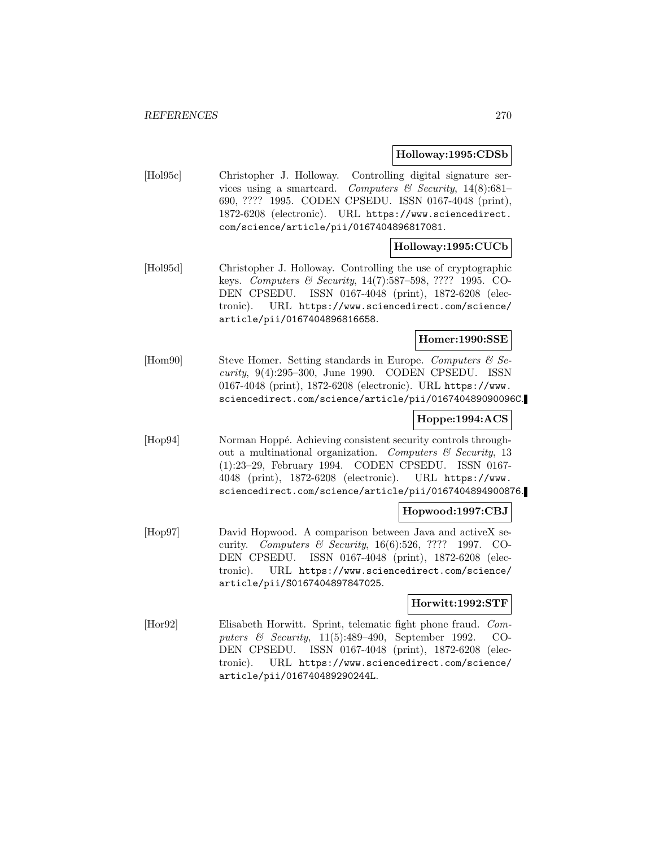#### **Holloway:1995:CDSb**

[Hol95c] Christopher J. Holloway. Controlling digital signature services using a smartcard. Computers & Security,  $14(8):681-$ 690, ???? 1995. CODEN CPSEDU. ISSN 0167-4048 (print), 1872-6208 (electronic). URL https://www.sciencedirect. com/science/article/pii/0167404896817081.

## **Holloway:1995:CUCb**

[Hol95d] Christopher J. Holloway. Controlling the use of cryptographic keys. Computers & Security, 14(7):587–598, ???? 1995. CO-DEN CPSEDU. ISSN 0167-4048 (print), 1872-6208 (electronic). URL https://www.sciencedirect.com/science/ article/pii/0167404896816658.

### **Homer:1990:SSE**

[Hom90] Steve Homer. Setting standards in Europe. Computers  $\mathcal{C}$  Security, 9(4):295–300, June 1990. CODEN CPSEDU. ISSN 0167-4048 (print), 1872-6208 (electronic). URL https://www. sciencedirect.com/science/article/pii/016740489090096C.

# **Hoppe:1994:ACS**

[Hop94] Norman Hoppé. Achieving consistent security controls throughout a multinational organization. Computers  $\mathcal{C}$  Security, 13 (1):23–29, February 1994. CODEN CPSEDU. ISSN 0167- 4048 (print), 1872-6208 (electronic). URL https://www. sciencedirect.com/science/article/pii/0167404894900876.

### **Hopwood:1997:CBJ**

[Hop97] David Hopwood. A comparison between Java and activeX security. Computers & Security,  $16(6):526$ , ???? 1997. CO-DEN CPSEDU. ISSN 0167-4048 (print), 1872-6208 (electronic). URL https://www.sciencedirect.com/science/ article/pii/S0167404897847025.

### **Horwitt:1992:STF**

[Hor92] Elisabeth Horwitt. Sprint, telematic fight phone fraud. Computers & Security, 11(5):489–490, September 1992. CO-DEN CPSEDU. ISSN 0167-4048 (print), 1872-6208 (electronic). URL https://www.sciencedirect.com/science/ article/pii/016740489290244L.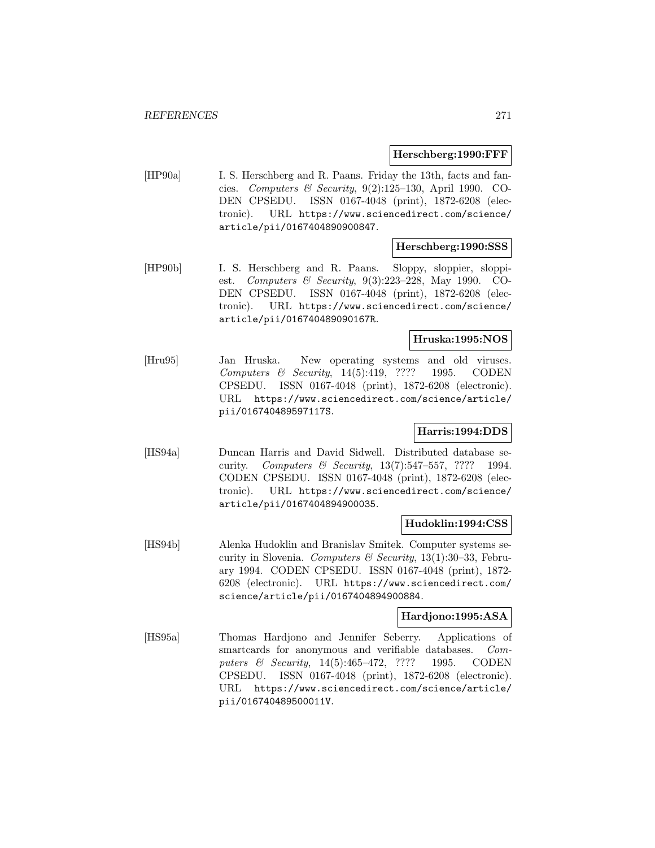### **Herschberg:1990:FFF**

[HP90a] I. S. Herschberg and R. Paans. Friday the 13th, facts and fancies. Computers & Security,  $9(2):125-130$ , April 1990. CO-DEN CPSEDU. ISSN 0167-4048 (print), 1872-6208 (electronic). URL https://www.sciencedirect.com/science/ article/pii/0167404890900847.

### **Herschberg:1990:SSS**

[HP90b] I. S. Herschberg and R. Paans. Sloppy, sloppier, sloppiest. Computers & Security, 9(3):223–228, May 1990. CO-DEN CPSEDU. ISSN 0167-4048 (print), 1872-6208 (electronic). URL https://www.sciencedirect.com/science/ article/pii/016740489090167R.

#### **Hruska:1995:NOS**

[Hru95] Jan Hruska. New operating systems and old viruses. Computers & Security, 14(5):419, ???? 1995. CODEN CPSEDU. ISSN 0167-4048 (print), 1872-6208 (electronic). URL https://www.sciencedirect.com/science/article/ pii/016740489597117S.

## **Harris:1994:DDS**

[HS94a] Duncan Harris and David Sidwell. Distributed database security. Computers & Security, 13(7):547–557, ???? 1994. CODEN CPSEDU. ISSN 0167-4048 (print), 1872-6208 (electronic). URL https://www.sciencedirect.com/science/ article/pii/0167404894900035.

#### **Hudoklin:1994:CSS**

[HS94b] Alenka Hudoklin and Branislav Smitek. Computer systems security in Slovenia. Computers & Security,  $13(1):30-33$ , February 1994. CODEN CPSEDU. ISSN 0167-4048 (print), 1872- 6208 (electronic). URL https://www.sciencedirect.com/ science/article/pii/0167404894900884.

### **Hardjono:1995:ASA**

[HS95a] Thomas Hardjono and Jennifer Seberry. Applications of smartcards for anonymous and verifiable databases. Computers & Security, 14(5):465-472, ???? 1995. CODEN CPSEDU. ISSN 0167-4048 (print), 1872-6208 (electronic). URL https://www.sciencedirect.com/science/article/ pii/016740489500011V.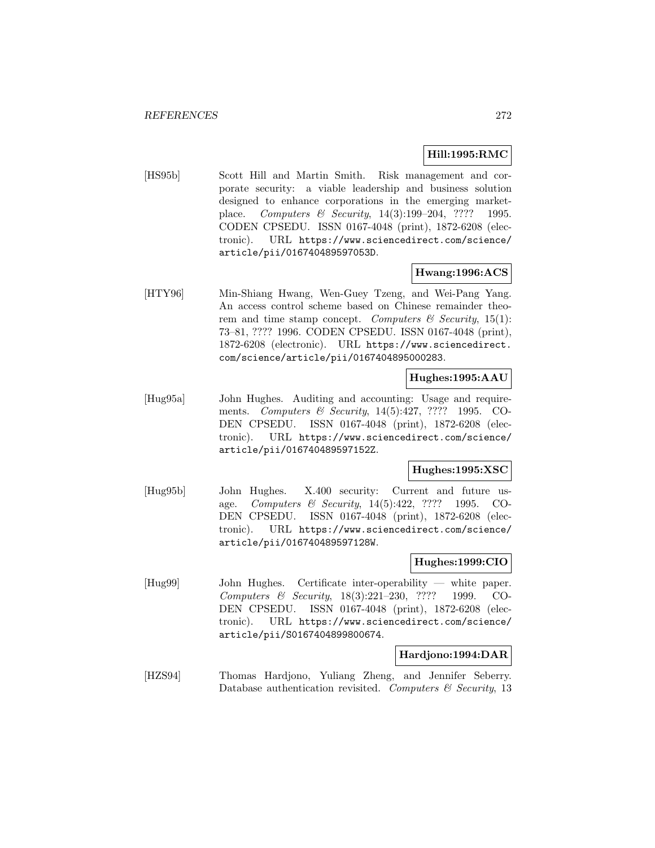### **Hill:1995:RMC**

[HS95b] Scott Hill and Martin Smith. Risk management and corporate security: a viable leadership and business solution designed to enhance corporations in the emerging marketplace. Computers & Security, 14(3):199–204, ???? 1995. CODEN CPSEDU. ISSN 0167-4048 (print), 1872-6208 (electronic). URL https://www.sciencedirect.com/science/ article/pii/016740489597053D.

### **Hwang:1996:ACS**

[HTY96] Min-Shiang Hwang, Wen-Guey Tzeng, and Wei-Pang Yang. An access control scheme based on Chinese remainder theorem and time stamp concept. Computers  $\mathcal C$  Security, 15(1): 73–81, ???? 1996. CODEN CPSEDU. ISSN 0167-4048 (print), 1872-6208 (electronic). URL https://www.sciencedirect. com/science/article/pii/0167404895000283.

#### **Hughes:1995:AAU**

[Hug95a] John Hughes. Auditing and accounting: Usage and requirements. Computers & Security, 14(5):427, ???? 1995. CO-DEN CPSEDU. ISSN 0167-4048 (print), 1872-6208 (electronic). URL https://www.sciencedirect.com/science/ article/pii/016740489597152Z.

### **Hughes:1995:XSC**

[Hug95b] John Hughes. X.400 security: Current and future usage. Computers & Security, 14(5):422, ???? 1995. CO-DEN CPSEDU. ISSN 0167-4048 (print), 1872-6208 (electronic). URL https://www.sciencedirect.com/science/ article/pii/016740489597128W.

#### **Hughes:1999:CIO**

[Hug99] John Hughes. Certificate inter-operability — white paper. Computers & Security, 18(3):221–230, ???? 1999. CO-DEN CPSEDU. ISSN 0167-4048 (print), 1872-6208 (electronic). URL https://www.sciencedirect.com/science/ article/pii/S0167404899800674.

#### **Hardjono:1994:DAR**

[HZS94] Thomas Hardjono, Yuliang Zheng, and Jennifer Seberry. Database authentication revisited. Computers  $\mathcal C$  Security, 13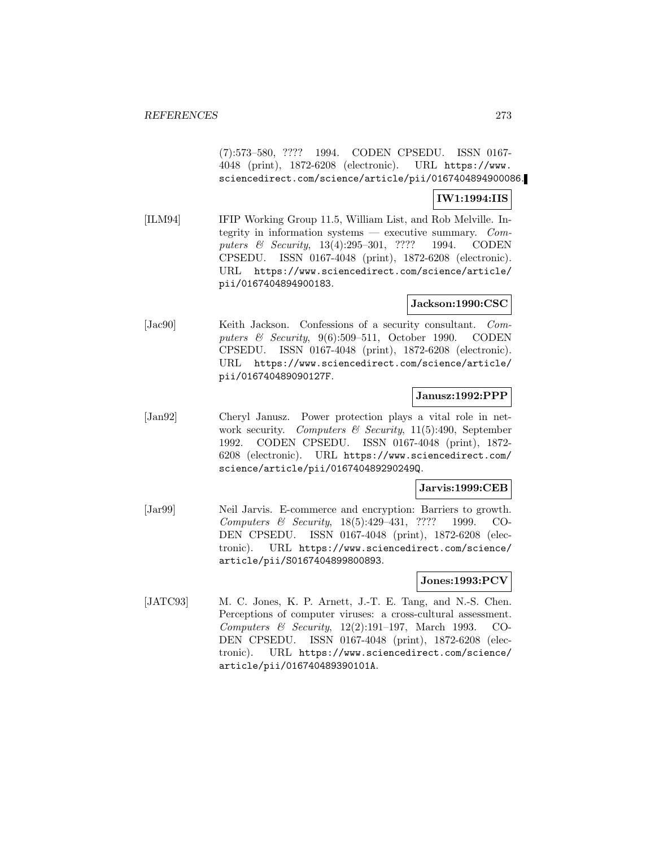(7):573–580, ???? 1994. CODEN CPSEDU. ISSN 0167- 4048 (print), 1872-6208 (electronic). URL https://www. sciencedirect.com/science/article/pii/0167404894900086.

### **IW1:1994:IIS**

[ILM94] IFIP Working Group 11.5, William List, and Rob Melville. Integrity in information systems — executive summary.  $Com$ puters & Security, 13(4):295-301, ???? 1994. CODEN CPSEDU. ISSN 0167-4048 (print), 1872-6208 (electronic). URL https://www.sciencedirect.com/science/article/ pii/0167404894900183.

### **Jackson:1990:CSC**

[Jac90] Keith Jackson. Confessions of a security consultant. Computers & Security, 9(6):509–511, October 1990. CODEN CPSEDU. ISSN 0167-4048 (print), 1872-6208 (electronic). URL https://www.sciencedirect.com/science/article/ pii/016740489090127F.

### **Janusz:1992:PPP**

[Jan92] Cheryl Janusz. Power protection plays a vital role in network security. Computers  $\mathcal C$  Security, 11(5):490, September 1992. CODEN CPSEDU. ISSN 0167-4048 (print), 1872- 6208 (electronic). URL https://www.sciencedirect.com/ science/article/pii/016740489290249Q.

### **Jarvis:1999:CEB**

[Jar99] Neil Jarvis. E-commerce and encryption: Barriers to growth. Computers & Security, 18(5):429–431, ???? 1999. CO-DEN CPSEDU. ISSN 0167-4048 (print), 1872-6208 (electronic). URL https://www.sciencedirect.com/science/ article/pii/S0167404899800893.

## **Jones:1993:PCV**

[JATC93] M. C. Jones, K. P. Arnett, J.-T. E. Tang, and N.-S. Chen. Perceptions of computer viruses: a cross-cultural assessment. Computers & Security, 12(2):191–197, March 1993. CO-DEN CPSEDU. ISSN 0167-4048 (print), 1872-6208 (electronic). URL https://www.sciencedirect.com/science/ article/pii/016740489390101A.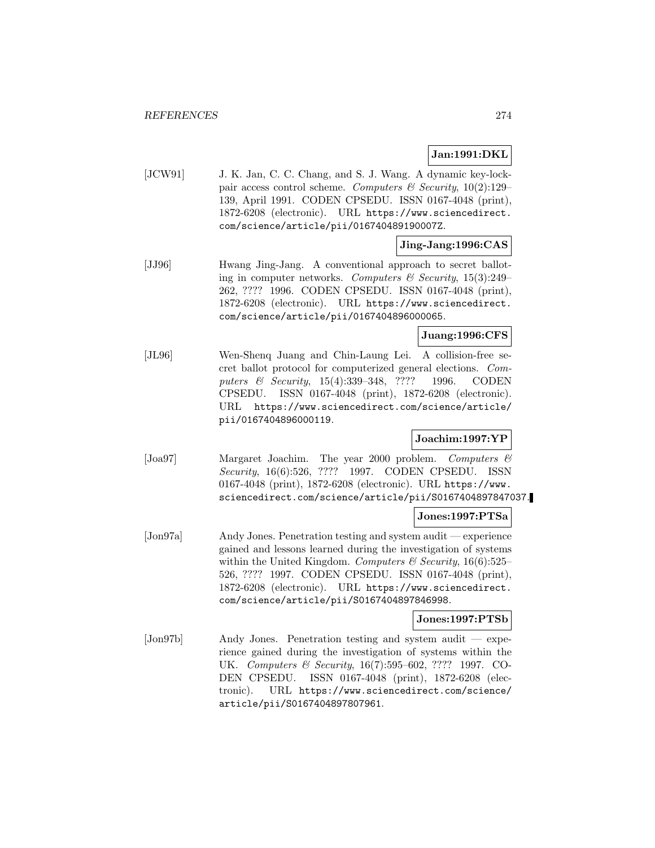# **Jan:1991:DKL**

[JCW91] J. K. Jan, C. C. Chang, and S. J. Wang. A dynamic key-lockpair access control scheme. Computers  $\mathcal C$  Security, 10(2):129– 139, April 1991. CODEN CPSEDU. ISSN 0167-4048 (print), 1872-6208 (electronic). URL https://www.sciencedirect. com/science/article/pii/016740489190007Z.

### **Jing-Jang:1996:CAS**

[JJ96] Hwang Jing-Jang. A conventional approach to secret balloting in computer networks. Computers & Security,  $15(3):249-$ 262, ???? 1996. CODEN CPSEDU. ISSN 0167-4048 (print), 1872-6208 (electronic). URL https://www.sciencedirect. com/science/article/pii/0167404896000065.

## **Juang:1996:CFS**

[JL96] Wen-Shenq Juang and Chin-Laung Lei. A collision-free secret ballot protocol for computerized general elections. Computers & Security, 15(4):339-348, ???? 1996. CODEN CPSEDU. ISSN 0167-4048 (print), 1872-6208 (electronic). URL https://www.sciencedirect.com/science/article/ pii/0167404896000119.

## **Joachim:1997:YP**

[Joa97] Margaret Joachim. The year 2000 problem. Computers & Security, 16(6):526, ???? 1997. CODEN CPSEDU. ISSN 0167-4048 (print), 1872-6208 (electronic). URL https://www. sciencedirect.com/science/article/pii/S0167404897847037.

### **Jones:1997:PTSa**

[Jon97a] Andy Jones. Penetration testing and system audit — experience gained and lessons learned during the investigation of systems within the United Kingdom. Computers  $\mathcal B$  Security, 16(6):525– 526, ???? 1997. CODEN CPSEDU. ISSN 0167-4048 (print), 1872-6208 (electronic). URL https://www.sciencedirect. com/science/article/pii/S0167404897846998.

### **Jones:1997:PTSb**

[Jon97b] Andy Jones. Penetration testing and system audit — experience gained during the investigation of systems within the UK. Computers & Security, 16(7):595–602, ???? 1997. CO-DEN CPSEDU. ISSN 0167-4048 (print), 1872-6208 (electronic). URL https://www.sciencedirect.com/science/ article/pii/S0167404897807961.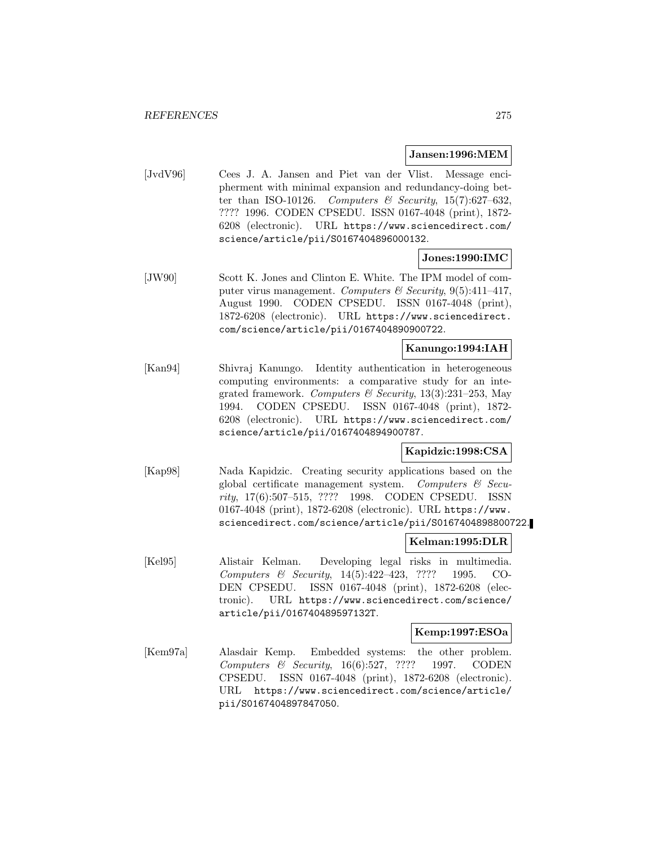### **Jansen:1996:MEM**

[JvdV96] Cees J. A. Jansen and Piet van der Vlist. Message encipherment with minimal expansion and redundancy-doing better than ISO-10126. Computers & Security, 15(7):627-632, ???? 1996. CODEN CPSEDU. ISSN 0167-4048 (print), 1872- 6208 (electronic). URL https://www.sciencedirect.com/ science/article/pii/S0167404896000132.

# **Jones:1990:IMC**

[JW90] Scott K. Jones and Clinton E. White. The IPM model of computer virus management. Computers & Security, 9(5):411-417, August 1990. CODEN CPSEDU. ISSN 0167-4048 (print), 1872-6208 (electronic). URL https://www.sciencedirect. com/science/article/pii/0167404890900722.

# **Kanungo:1994:IAH**

[Kan94] Shivraj Kanungo. Identity authentication in heterogeneous computing environments: a comparative study for an integrated framework. Computers & Security,  $13(3):231-253$ , May 1994. CODEN CPSEDU. ISSN 0167-4048 (print), 1872- 6208 (electronic). URL https://www.sciencedirect.com/ science/article/pii/0167404894900787.

## **Kapidzic:1998:CSA**

[Kap98] Nada Kapidzic. Creating security applications based on the global certificate management system. Computers & Security, 17(6):507–515, ???? 1998. CODEN CPSEDU. ISSN 0167-4048 (print), 1872-6208 (electronic). URL https://www. sciencedirect.com/science/article/pii/S0167404898800722.

## **Kelman:1995:DLR**

[Kel95] Alistair Kelman. Developing legal risks in multimedia. Computers & Security, 14(5):422–423, ???? 1995. CO-DEN CPSEDU. ISSN 0167-4048 (print), 1872-6208 (electronic). URL https://www.sciencedirect.com/science/ article/pii/016740489597132T.

### **Kemp:1997:ESOa**

[Kem97a] Alasdair Kemp. Embedded systems: the other problem. Computers & Security, 16(6):527, ???? 1997. CODEN CPSEDU. ISSN 0167-4048 (print), 1872-6208 (electronic). URL https://www.sciencedirect.com/science/article/ pii/S0167404897847050.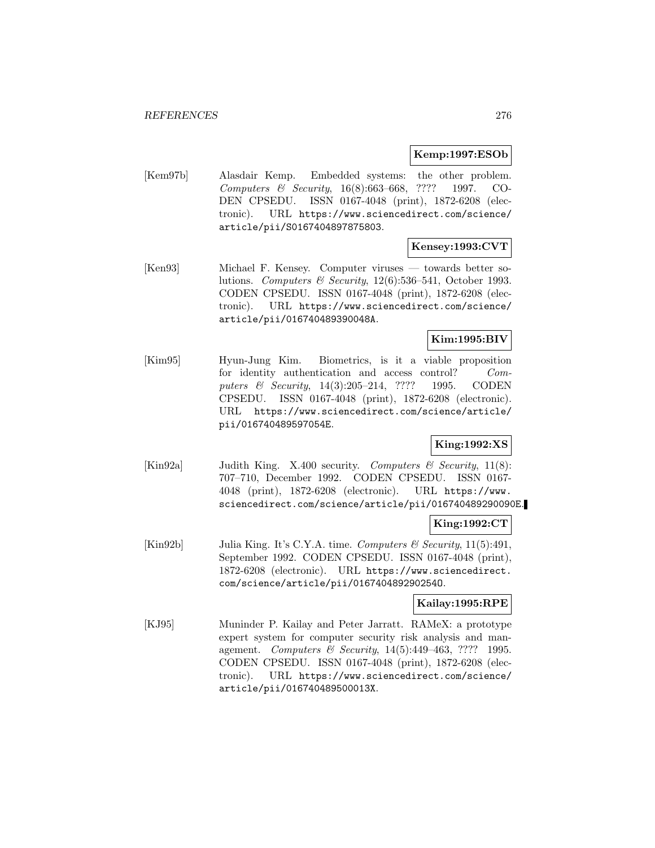### **Kemp:1997:ESOb**

[Kem97b] Alasdair Kemp. Embedded systems: the other problem. Computers & Security, 16(8):663–668, ???? 1997. CO-DEN CPSEDU. ISSN 0167-4048 (print), 1872-6208 (electronic). URL https://www.sciencedirect.com/science/ article/pii/S0167404897875803.

### **Kensey:1993:CVT**

[Ken93] Michael F. Kensey. Computer viruses — towards better solutions. Computers & Security,  $12(6)$ :536-541, October 1993. CODEN CPSEDU. ISSN 0167-4048 (print), 1872-6208 (electronic). URL https://www.sciencedirect.com/science/ article/pii/016740489390048A.

### **Kim:1995:BIV**

[Kim95] Hyun-Jung Kim. Biometrics, is it a viable proposition for identity authentication and access control? Computers & Security, 14(3):205-214, ???? 1995. CODEN CPSEDU. ISSN 0167-4048 (print), 1872-6208 (electronic). URL https://www.sciencedirect.com/science/article/ pii/016740489597054E.

# **King:1992:XS**

[Kin92a] Judith King. X.400 security. Computers & Security,  $11(8)$ : 707–710, December 1992. CODEN CPSEDU. ISSN 0167- 4048 (print), 1872-6208 (electronic). URL https://www. sciencedirect.com/science/article/pii/016740489290090E.

### **King:1992:CT**

[Kin92b] Julia King. It's C.Y.A. time. Computers & Security, 11(5):491, September 1992. CODEN CPSEDU. ISSN 0167-4048 (print), 1872-6208 (electronic). URL https://www.sciencedirect. com/science/article/pii/016740489290254O.

### **Kailay:1995:RPE**

[KJ95] Muninder P. Kailay and Peter Jarratt. RAMeX: a prototype expert system for computer security risk analysis and management. Computers & Security, 14(5):449–463, ???? 1995. CODEN CPSEDU. ISSN 0167-4048 (print), 1872-6208 (electronic). URL https://www.sciencedirect.com/science/ article/pii/016740489500013X.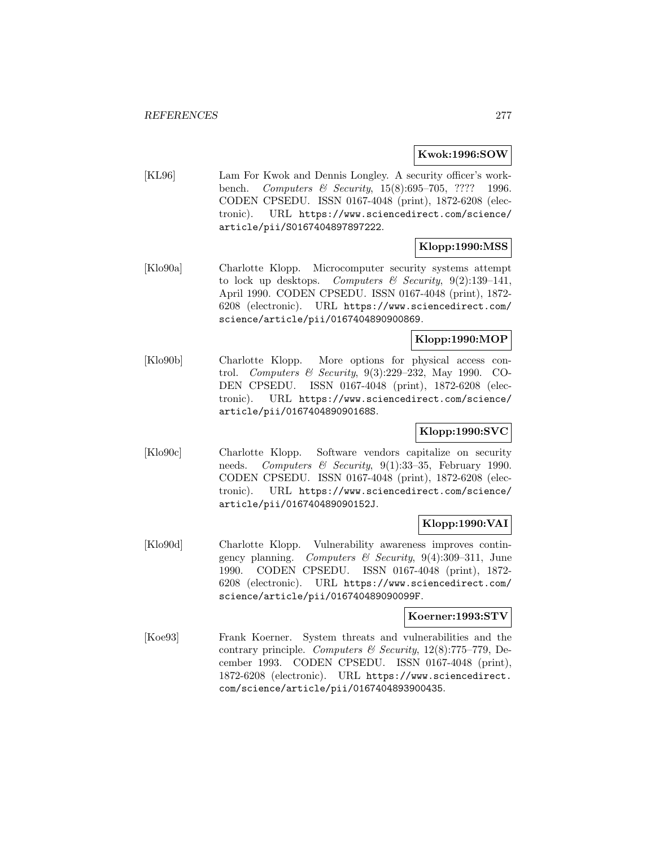### **Kwok:1996:SOW**

[KL96] Lam For Kwok and Dennis Longley. A security officer's workbench. Computers & Security, 15(8):695–705, ???? 1996. CODEN CPSEDU. ISSN 0167-4048 (print), 1872-6208 (electronic). URL https://www.sciencedirect.com/science/ article/pii/S0167404897897222.

# **Klopp:1990:MSS**

[Klo90a] Charlotte Klopp. Microcomputer security systems attempt to lock up desktops. Computers & Security,  $9(2):139-141$ , April 1990. CODEN CPSEDU. ISSN 0167-4048 (print), 1872- 6208 (electronic). URL https://www.sciencedirect.com/ science/article/pii/0167404890900869.

# **Klopp:1990:MOP**

[Klo90b] Charlotte Klopp. More options for physical access control. Computers & Security, 9(3):229–232, May 1990. CO-DEN CPSEDU. ISSN 0167-4048 (print), 1872-6208 (electronic). URL https://www.sciencedirect.com/science/ article/pii/016740489090168S.

# **Klopp:1990:SVC**

[Klo90c] Charlotte Klopp. Software vendors capitalize on security needs. Computers & Security,  $9(1):33-35$ , February 1990. CODEN CPSEDU. ISSN 0167-4048 (print), 1872-6208 (electronic). URL https://www.sciencedirect.com/science/ article/pii/016740489090152J.

## **Klopp:1990:VAI**

[Klo90d] Charlotte Klopp. Vulnerability awareness improves contingency planning. Computers & Security,  $9(4):309-311$ , June 1990. CODEN CPSEDU. ISSN 0167-4048 (print), 1872- 6208 (electronic). URL https://www.sciencedirect.com/ science/article/pii/016740489090099F.

### **Koerner:1993:STV**

[Koe93] Frank Koerner. System threats and vulnerabilities and the contrary principle. Computers & Security, 12(8):775-779, December 1993. CODEN CPSEDU. ISSN 0167-4048 (print), 1872-6208 (electronic). URL https://www.sciencedirect. com/science/article/pii/0167404893900435.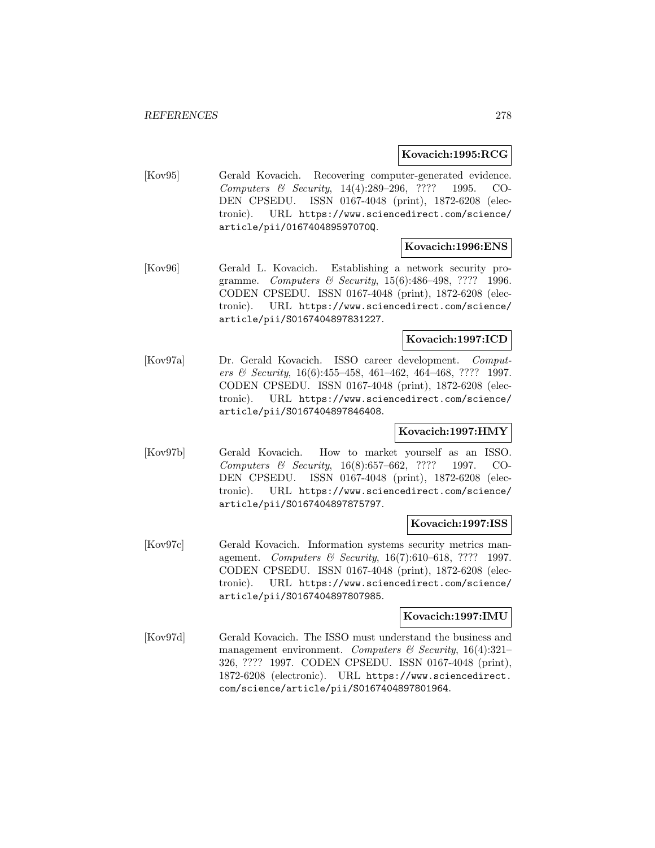### **Kovacich:1995:RCG**

[Kov95] Gerald Kovacich. Recovering computer-generated evidence. Computers & Security, 14(4):289–296, ???? 1995. CO-DEN CPSEDU. ISSN 0167-4048 (print), 1872-6208 (electronic). URL https://www.sciencedirect.com/science/ article/pii/016740489597070Q.

## **Kovacich:1996:ENS**

[Kov96] Gerald L. Kovacich. Establishing a network security programme. Computers & Security, 15(6):486–498, ???? 1996. CODEN CPSEDU. ISSN 0167-4048 (print), 1872-6208 (electronic). URL https://www.sciencedirect.com/science/ article/pii/S0167404897831227.

### **Kovacich:1997:ICD**

[Kov97a] Dr. Gerald Kovacich. ISSO career development. Computers & Security, 16(6):455–458, 461–462, 464–468, ???? 1997. CODEN CPSEDU. ISSN 0167-4048 (print), 1872-6208 (electronic). URL https://www.sciencedirect.com/science/ article/pii/S0167404897846408.

## **Kovacich:1997:HMY**

[Kov97b] Gerald Kovacich. How to market yourself as an ISSO. Computers & Security, 16(8):657–662, ???? 1997. CO-DEN CPSEDU. ISSN 0167-4048 (print), 1872-6208 (electronic). URL https://www.sciencedirect.com/science/ article/pii/S0167404897875797.

#### **Kovacich:1997:ISS**

[Kov97c] Gerald Kovacich. Information systems security metrics management. Computers & Security, 16(7):610–618, ???? 1997. CODEN CPSEDU. ISSN 0167-4048 (print), 1872-6208 (electronic). URL https://www.sciencedirect.com/science/ article/pii/S0167404897807985.

### **Kovacich:1997:IMU**

[Kov97d] Gerald Kovacich. The ISSO must understand the business and management environment. Computers & Security,  $16(4):321-$ 326, ???? 1997. CODEN CPSEDU. ISSN 0167-4048 (print), 1872-6208 (electronic). URL https://www.sciencedirect. com/science/article/pii/S0167404897801964.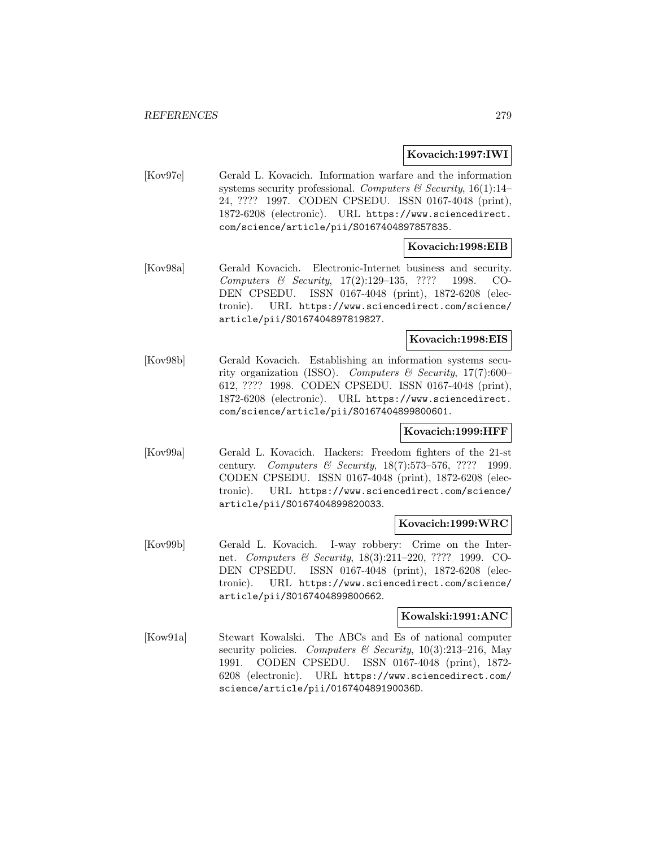### **Kovacich:1997:IWI**

[Kov97e] Gerald L. Kovacich. Information warfare and the information systems security professional. Computers  $\mathcal C$  Security, 16(1):14– 24, ???? 1997. CODEN CPSEDU. ISSN 0167-4048 (print), 1872-6208 (electronic). URL https://www.sciencedirect. com/science/article/pii/S0167404897857835.

## **Kovacich:1998:EIB**

[Kov98a] Gerald Kovacich. Electronic-Internet business and security. Computers & Security, 17(2):129–135, ???? 1998. CO-DEN CPSEDU. ISSN 0167-4048 (print), 1872-6208 (electronic). URL https://www.sciencedirect.com/science/ article/pii/S0167404897819827.

### **Kovacich:1998:EIS**

[Kov98b] Gerald Kovacich. Establishing an information systems security organization (ISSO). Computers & Security,  $17(7):600-$ 612, ???? 1998. CODEN CPSEDU. ISSN 0167-4048 (print), 1872-6208 (electronic). URL https://www.sciencedirect. com/science/article/pii/S0167404899800601.

## **Kovacich:1999:HFF**

[Kov99a] Gerald L. Kovacich. Hackers: Freedom fighters of the 21-st century. Computers & Security,  $18(7):573-576$ , ???? 1999. CODEN CPSEDU. ISSN 0167-4048 (print), 1872-6208 (electronic). URL https://www.sciencedirect.com/science/ article/pii/S0167404899820033.

#### **Kovacich:1999:WRC**

[Kov99b] Gerald L. Kovacich. I-way robbery: Crime on the Internet. Computers & Security, 18(3):211–220, ???? 1999. CO-DEN CPSEDU. ISSN 0167-4048 (print), 1872-6208 (electronic). URL https://www.sciencedirect.com/science/ article/pii/S0167404899800662.

#### **Kowalski:1991:ANC**

[Kow91a] Stewart Kowalski. The ABCs and Es of national computer security policies. Computers & Security,  $10(3):213-216$ , May 1991. CODEN CPSEDU. ISSN 0167-4048 (print), 1872- 6208 (electronic). URL https://www.sciencedirect.com/ science/article/pii/016740489190036D.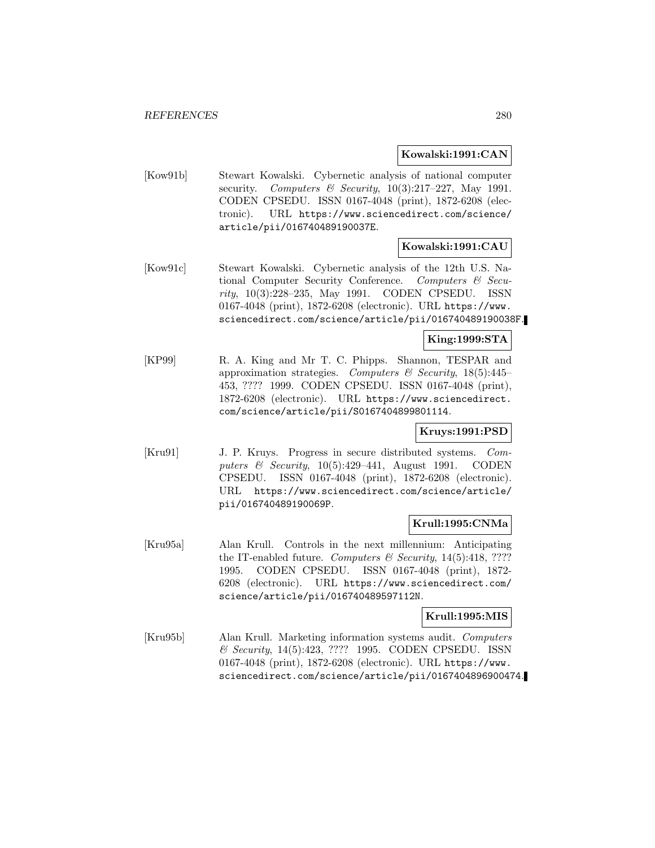### **Kowalski:1991:CAN**

[Kow91b] Stewart Kowalski. Cybernetic analysis of national computer security. Computers & Security,  $10(3):217-227$ , May 1991. CODEN CPSEDU. ISSN 0167-4048 (print), 1872-6208 (electronic). URL https://www.sciencedirect.com/science/ article/pii/016740489190037E.

# **Kowalski:1991:CAU**

[Kow91c] Stewart Kowalski. Cybernetic analysis of the 12th U.S. National Computer Security Conference. Computers & Security, 10(3):228–235, May 1991. CODEN CPSEDU. ISSN 0167-4048 (print), 1872-6208 (electronic). URL https://www. sciencedirect.com/science/article/pii/016740489190038F.

### **King:1999:STA**

[KP99] R. A. King and Mr T. C. Phipps. Shannon, TESPAR and approximation strategies. Computers  $\mathcal B$  Security, 18(5):445– 453, ???? 1999. CODEN CPSEDU. ISSN 0167-4048 (print), 1872-6208 (electronic). URL https://www.sciencedirect. com/science/article/pii/S0167404899801114.

## **Kruys:1991:PSD**

[Kru91] J. P. Kruys. Progress in secure distributed systems. Computers  $\&$  Security, 10(5):429–441, August 1991. CODEN CPSEDU. ISSN 0167-4048 (print), 1872-6208 (electronic). URL https://www.sciencedirect.com/science/article/ pii/016740489190069P.

### **Krull:1995:CNMa**

[Kru95a] Alan Krull. Controls in the next millennium: Anticipating the IT-enabled future. Computers  $\mathcal C$  Security, 14(5):418, ???? 1995. CODEN CPSEDU. ISSN 0167-4048 (print), 1872- 6208 (electronic). URL https://www.sciencedirect.com/ science/article/pii/016740489597112N.

### **Krull:1995:MIS**

[Kru95b] Alan Krull. Marketing information systems audit. Computers & Security, 14(5):423, ???? 1995. CODEN CPSEDU. ISSN 0167-4048 (print), 1872-6208 (electronic). URL https://www. sciencedirect.com/science/article/pii/0167404896900474.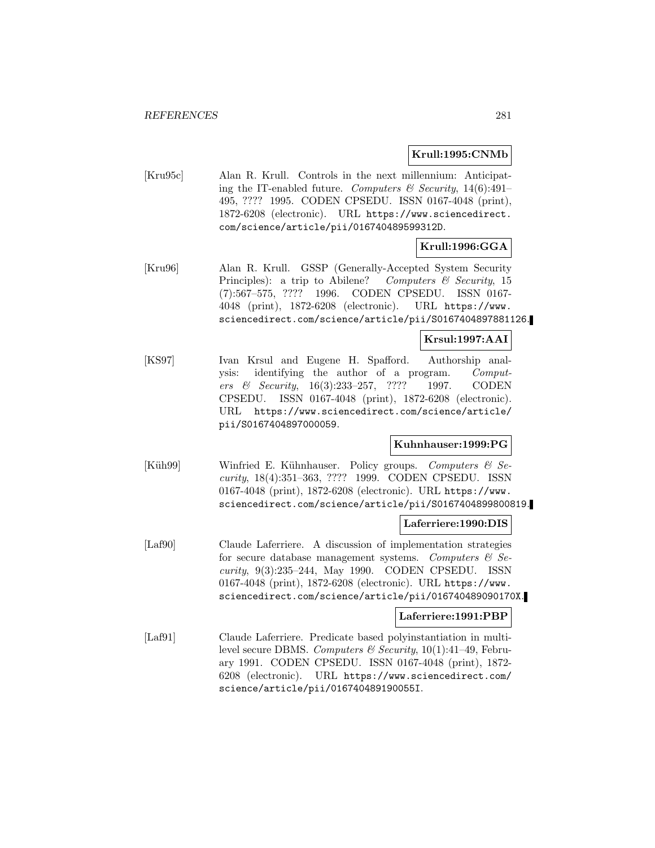#### **Krull:1995:CNMb**

[Kru95c] Alan R. Krull. Controls in the next millennium: Anticipating the IT-enabled future. Computers & Security,  $14(6):491-$ 495, ???? 1995. CODEN CPSEDU. ISSN 0167-4048 (print), 1872-6208 (electronic). URL https://www.sciencedirect. com/science/article/pii/016740489599312D.

## **Krull:1996:GGA**

[Kru96] Alan R. Krull. GSSP (Generally-Accepted System Security Principles): a trip to Abilene? Computers  $\mathcal B$  Security, 15 (7):567–575, ???? 1996. CODEN CPSEDU. ISSN 0167- 4048 (print), 1872-6208 (electronic). URL https://www. sciencedirect.com/science/article/pii/S0167404897881126.

### **Krsul:1997:AAI**

[KS97] Ivan Krsul and Eugene H. Spafford. Authorship analysis: identifying the author of a program. Computers & Security, 16(3):233–257, ???? 1997. CODEN CPSEDU. ISSN 0167-4048 (print), 1872-6208 (electronic). URL https://www.sciencedirect.com/science/article/ pii/S0167404897000059.

### **Kuhnhauser:1999:PG**

[Küh99] Winfried E. Kühnhauser. Policy groups. Computers  $\mathcal{C}$  Security, 18(4):351–363, ???? 1999. CODEN CPSEDU. ISSN 0167-4048 (print), 1872-6208 (electronic). URL https://www. sciencedirect.com/science/article/pii/S0167404899800819.

### **Laferriere:1990:DIS**

[Laf90] Claude Laferriere. A discussion of implementation strategies for secure database management systems. Computers  $\mathcal{C}$  Security, 9(3):235–244, May 1990. CODEN CPSEDU. ISSN 0167-4048 (print), 1872-6208 (electronic). URL https://www. sciencedirect.com/science/article/pii/016740489090170X.

#### **Laferriere:1991:PBP**

[Laf91] Claude Laferriere. Predicate based polyinstantiation in multilevel secure DBMS. Computers & Security,  $10(1):41-49$ , February 1991. CODEN CPSEDU. ISSN 0167-4048 (print), 1872- 6208 (electronic). URL https://www.sciencedirect.com/ science/article/pii/016740489190055I.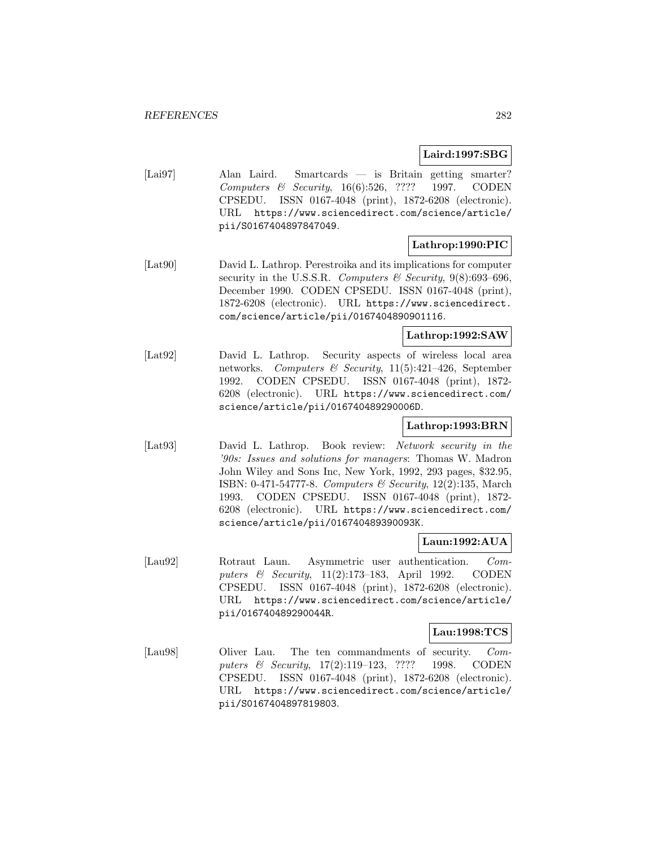## **Laird:1997:SBG**

[Lai97] Alan Laird. Smartcards — is Britain getting smarter? Computers & Security, 16(6):526, ???? 1997. CODEN CPSEDU. ISSN 0167-4048 (print), 1872-6208 (electronic). URL https://www.sciencedirect.com/science/article/ pii/S0167404897847049.

## **Lathrop:1990:PIC**

[Lat90] David L. Lathrop. Perestroika and its implications for computer security in the U.S.S.R. Computers & Security,  $9(8)$ :693–696, December 1990. CODEN CPSEDU. ISSN 0167-4048 (print), 1872-6208 (electronic). URL https://www.sciencedirect. com/science/article/pii/0167404890901116.

### **Lathrop:1992:SAW**

[Lat92] David L. Lathrop. Security aspects of wireless local area networks. Computers & Security,  $11(5):421-426$ , September 1992. CODEN CPSEDU. ISSN 0167-4048 (print), 1872- 6208 (electronic). URL https://www.sciencedirect.com/ science/article/pii/016740489290006D.

# **Lathrop:1993:BRN**

[Lat93] David L. Lathrop. Book review: Network security in the '90s: Issues and solutions for managers: Thomas W. Madron John Wiley and Sons Inc, New York, 1992, 293 pages, \$32.95, ISBN: 0-471-54777-8. Computers & Security, 12(2):135, March 1993. CODEN CPSEDU. ISSN 0167-4048 (print), 1872- 6208 (electronic). URL https://www.sciencedirect.com/ science/article/pii/016740489390093K.

## **Laun:1992:AUA**

[Lau92] Rotraut Laun. Asymmetric user authentication. Computers & Security, 11(2):173–183, April 1992. CODEN CPSEDU. ISSN 0167-4048 (print), 1872-6208 (electronic). URL https://www.sciencedirect.com/science/article/ pii/016740489290044R.

### **Lau:1998:TCS**

[Lau98] Oliver Lau. The ten commandments of security. Computers & Security, 17(2):119–123, ???? 1998. CODEN CPSEDU. ISSN 0167-4048 (print), 1872-6208 (electronic). URL https://www.sciencedirect.com/science/article/ pii/S0167404897819803.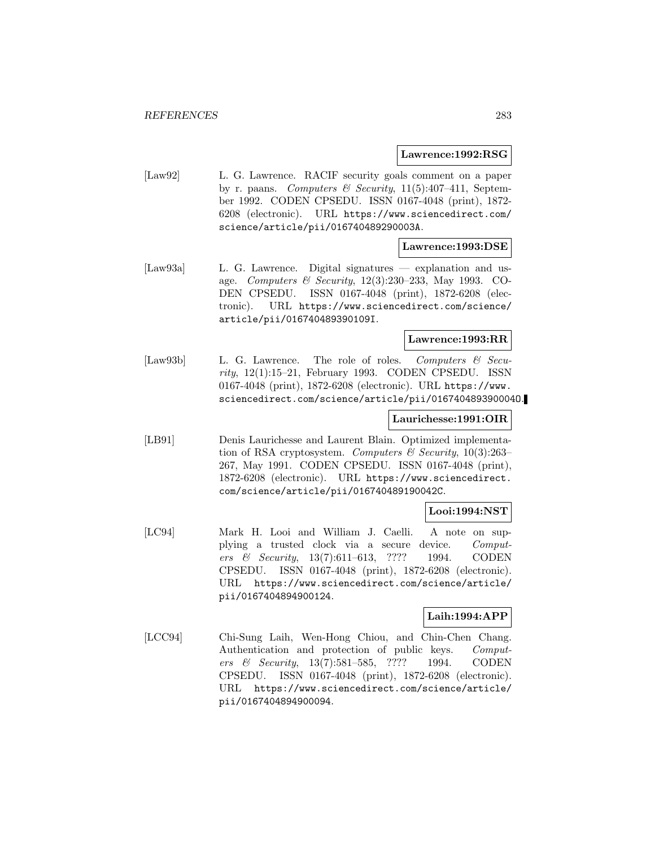#### **Lawrence:1992:RSG**

[Law92] L. G. Lawrence. RACIF security goals comment on a paper by r. paans. Computers & Security,  $11(5):407-411$ , September 1992. CODEN CPSEDU. ISSN 0167-4048 (print), 1872- 6208 (electronic). URL https://www.sciencedirect.com/ science/article/pii/016740489290003A.

### **Lawrence:1993:DSE**

[Law93a] L. G. Lawrence. Digital signatures — explanation and usage. Computers & Security, 12(3):230–233, May 1993. CO-DEN CPSEDU. ISSN 0167-4048 (print), 1872-6208 (electronic). URL https://www.sciencedirect.com/science/ article/pii/016740489390109I.

#### **Lawrence:1993:RR**

[Law93b] L. G. Lawrence. The role of roles. Computers & Secu $rity$ , 12(1):15–21, February 1993. CODEN CPSEDU. ISSN 0167-4048 (print), 1872-6208 (electronic). URL https://www. sciencedirect.com/science/article/pii/016740489390004O.

### **Laurichesse:1991:OIR**

[LB91] Denis Laurichesse and Laurent Blain. Optimized implementation of RSA cryptosystem. Computers & Security,  $10(3):263-$ 267, May 1991. CODEN CPSEDU. ISSN 0167-4048 (print), 1872-6208 (electronic). URL https://www.sciencedirect. com/science/article/pii/016740489190042C.

## **Looi:1994:NST**

[LC94] Mark H. Looi and William J. Caelli. A note on supplying a trusted clock via a secure device. Computers & Security, 13(7):611–613, ???? 1994. CODEN CPSEDU. ISSN 0167-4048 (print), 1872-6208 (electronic). URL https://www.sciencedirect.com/science/article/ pii/0167404894900124.

#### **Laih:1994:APP**

[LCC94] Chi-Sung Laih, Wen-Hong Chiou, and Chin-Chen Chang. Authentication and protection of public keys. Computers & Security, 13(7):581–585, ???? 1994. CODEN CPSEDU. ISSN 0167-4048 (print), 1872-6208 (electronic). URL https://www.sciencedirect.com/science/article/ pii/0167404894900094.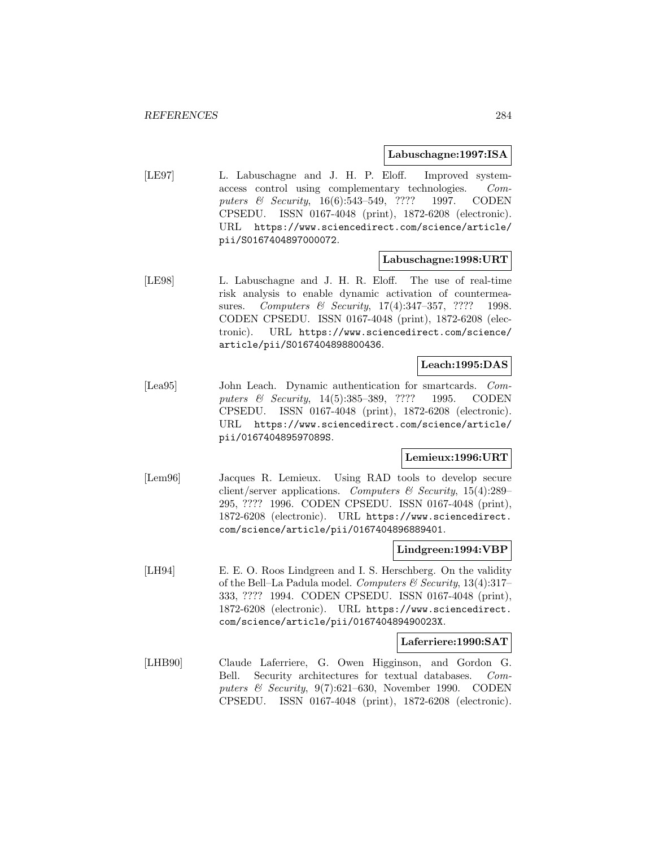#### **Labuschagne:1997:ISA**

[LE97] L. Labuschagne and J. H. P. Eloff. Improved systemaccess control using complementary technologies. Computers & Security, 16(6):543–549, ???? 1997. CODEN CPSEDU. ISSN 0167-4048 (print), 1872-6208 (electronic). URL https://www.sciencedirect.com/science/article/ pii/S0167404897000072.

#### **Labuschagne:1998:URT**

[LE98] L. Labuschagne and J. H. R. Eloff. The use of real-time risk analysis to enable dynamic activation of countermeasures. Computers & Security, 17(4):347-357, ???? 1998. CODEN CPSEDU. ISSN 0167-4048 (print), 1872-6208 (electronic). URL https://www.sciencedirect.com/science/ article/pii/S0167404898800436.

### **Leach:1995:DAS**

[Lea95] John Leach. Dynamic authentication for smartcards. Computers & Security, 14(5):385–389, ???? 1995. CODEN CPSEDU. ISSN 0167-4048 (print), 1872-6208 (electronic). URL https://www.sciencedirect.com/science/article/ pii/016740489597089S.

### **Lemieux:1996:URT**

[Lem96] Jacques R. Lemieux. Using RAD tools to develop secure client/server applications. Computers  $\mathscr$  Security, 15(4):289– 295, ???? 1996. CODEN CPSEDU. ISSN 0167-4048 (print), 1872-6208 (electronic). URL https://www.sciencedirect. com/science/article/pii/0167404896889401.

### **Lindgreen:1994:VBP**

[LH94] E. E. O. Roos Lindgreen and I. S. Herschberg. On the validity of the Bell–La Padula model. Computers & Security,  $13(4):317-$ 333, ???? 1994. CODEN CPSEDU. ISSN 0167-4048 (print), 1872-6208 (electronic). URL https://www.sciencedirect. com/science/article/pii/016740489490023X.

### **Laferriere:1990:SAT**

[LHB90] Claude Laferriere, G. Owen Higginson, and Gordon G. Bell. Security architectures for textual databases. Computers & Security, 9(7):621–630, November 1990. CODEN CPSEDU. ISSN 0167-4048 (print), 1872-6208 (electronic).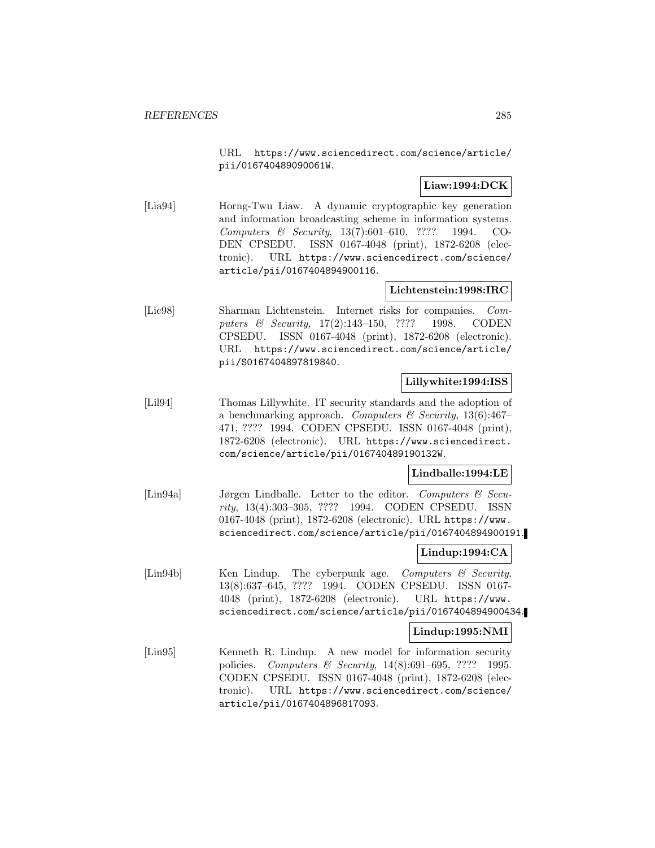URL https://www.sciencedirect.com/science/article/ pii/016740489090061W.

# **Liaw:1994:DCK**

[Lia94] Horng-Twu Liaw. A dynamic cryptographic key generation and information broadcasting scheme in information systems. Computers & Security, 13(7):601–610, ???? 1994. CO-DEN CPSEDU. ISSN 0167-4048 (print), 1872-6208 (electronic). URL https://www.sciencedirect.com/science/ article/pii/0167404894900116.

# **Lichtenstein:1998:IRC**

[Lic98] Sharman Lichtenstein. Internet risks for companies. Computers & Security, 17(2):143–150, ???? 1998. CODEN CPSEDU. ISSN 0167-4048 (print), 1872-6208 (electronic). URL https://www.sciencedirect.com/science/article/ pii/S0167404897819840.

### **Lillywhite:1994:ISS**

[Lil94] Thomas Lillywhite. IT security standards and the adoption of a benchmarking approach. Computers & Security, 13(6):467– 471, ???? 1994. CODEN CPSEDU. ISSN 0167-4048 (print), 1872-6208 (electronic). URL https://www.sciencedirect. com/science/article/pii/016740489190132W.

### **Lindballe:1994:LE**

[Lin94a] Jørgen Lindballe. Letter to the editor. Computers & Security, 13(4):303–305, ???? 1994. CODEN CPSEDU. ISSN 0167-4048 (print), 1872-6208 (electronic). URL https://www. sciencedirect.com/science/article/pii/0167404894900191.

### **Lindup:1994:CA**

[Ling4b] Ken Lindup. The cyberpunk age. *Computers & Security*, 13(8):637–645, ???? 1994. CODEN CPSEDU. ISSN 0167- 4048 (print), 1872-6208 (electronic). URL https://www. sciencedirect.com/science/article/pii/0167404894900434.

### **Lindup:1995:NMI**

[Lin95] Kenneth R. Lindup. A new model for information security policies. Computers & Security, 14(8):691–695, ???? 1995. CODEN CPSEDU. ISSN 0167-4048 (print), 1872-6208 (electronic). URL https://www.sciencedirect.com/science/ article/pii/0167404896817093.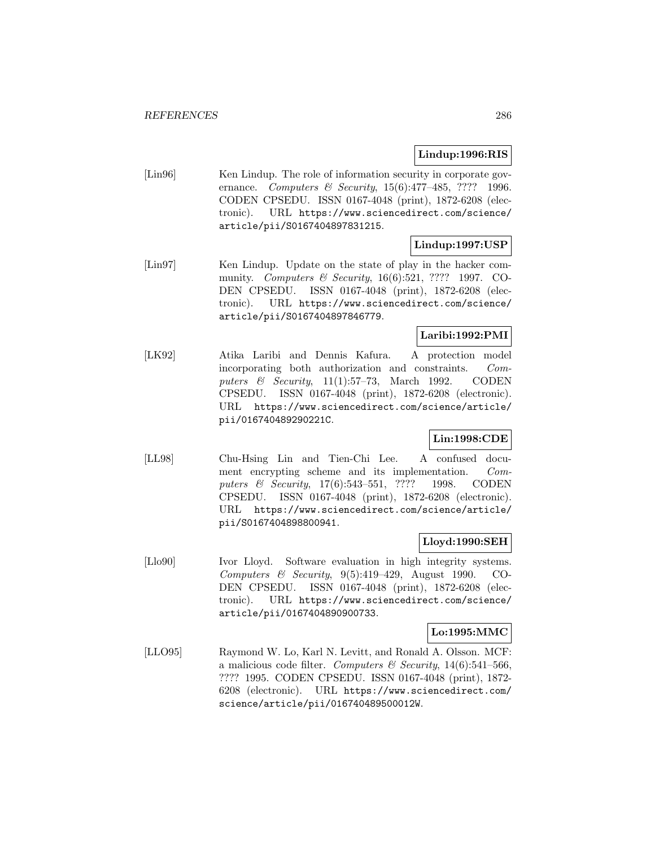## **Lindup:1996:RIS**

[Lin96] Ken Lindup. The role of information security in corporate governance. Computers & Security, 15(6):477–485, ???? 1996. CODEN CPSEDU. ISSN 0167-4048 (print), 1872-6208 (electronic). URL https://www.sciencedirect.com/science/ article/pii/S0167404897831215.

# **Lindup:1997:USP**

[Lin97] Ken Lindup. Update on the state of play in the hacker community. Computers & Security, 16(6):521, ???? 1997. CO-DEN CPSEDU. ISSN 0167-4048 (print), 1872-6208 (electronic). URL https://www.sciencedirect.com/science/ article/pii/S0167404897846779.

# **Laribi:1992:PMI**

[LK92] Atika Laribi and Dennis Kafura. A protection model incorporating both authorization and constraints. Computers  $\&$  Security, 11(1):57–73, March 1992. CODEN CPSEDU. ISSN 0167-4048 (print), 1872-6208 (electronic). URL https://www.sciencedirect.com/science/article/ pii/016740489290221C.

# **Lin:1998:CDE**

[LL98] Chu-Hsing Lin and Tien-Chi Lee. A confused document encrypting scheme and its implementation. Computers & Security, 17(6):543–551, ???? 1998. CODEN CPSEDU. ISSN 0167-4048 (print), 1872-6208 (electronic). URL https://www.sciencedirect.com/science/article/ pii/S0167404898800941.

## **Lloyd:1990:SEH**

[Llo90] Ivor Lloyd. Software evaluation in high integrity systems. Computers & Security, 9(5):419–429, August 1990. CO-DEN CPSEDU. ISSN 0167-4048 (print), 1872-6208 (electronic). URL https://www.sciencedirect.com/science/ article/pii/0167404890900733.

## **Lo:1995:MMC**

[LLO95] Raymond W. Lo, Karl N. Levitt, and Ronald A. Olsson. MCF: a malicious code filter. Computers & Security,  $14(6)$ :541–566, ???? 1995. CODEN CPSEDU. ISSN 0167-4048 (print), 1872- 6208 (electronic). URL https://www.sciencedirect.com/ science/article/pii/016740489500012W.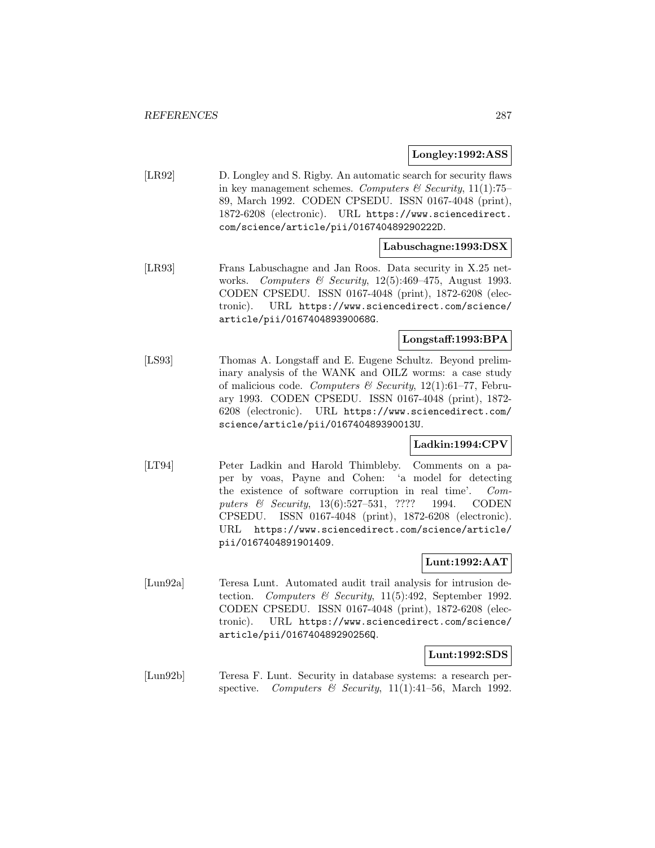#### **Longley:1992:ASS**

[LR92] D. Longley and S. Rigby. An automatic search for security flaws in key management schemes. Computers & Security, 11(1):75– 89, March 1992. CODEN CPSEDU. ISSN 0167-4048 (print), 1872-6208 (electronic). URL https://www.sciencedirect. com/science/article/pii/016740489290222D.

### **Labuschagne:1993:DSX**

[LR93] Frans Labuschagne and Jan Roos. Data security in X.25 networks. Computers & Security,  $12(5):469-475$ , August 1993. CODEN CPSEDU. ISSN 0167-4048 (print), 1872-6208 (electronic). URL https://www.sciencedirect.com/science/ article/pii/016740489390068G.

### **Longstaff:1993:BPA**

[LS93] Thomas A. Longstaff and E. Eugene Schultz. Beyond preliminary analysis of the WANK and OILZ worms: a case study of malicious code. Computers & Security,  $12(1):61-77$ , February 1993. CODEN CPSEDU. ISSN 0167-4048 (print), 1872- 6208 (electronic). URL https://www.sciencedirect.com/ science/article/pii/016740489390013U.

# **Ladkin:1994:CPV**

[LT94] Peter Ladkin and Harold Thimbleby. Comments on a paper by voas, Payne and Cohen: 'a model for detecting the existence of software corruption in real time'. Computers & Security, 13(6):527–531, ???? 1994. CODEN CPSEDU. ISSN 0167-4048 (print), 1872-6208 (electronic). URL https://www.sciencedirect.com/science/article/ pii/0167404891901409.

### **Lunt:1992:AAT**

[Lun92a] Teresa Lunt. Automated audit trail analysis for intrusion detection. Computers & Security, 11(5):492, September 1992. CODEN CPSEDU. ISSN 0167-4048 (print), 1872-6208 (electronic). URL https://www.sciencedirect.com/science/ article/pii/016740489290256Q.

#### **Lunt:1992:SDS**

[Lun92b] Teresa F. Lunt. Security in database systems: a research perspective. Computers & Security,  $11(1):41-56$ , March 1992.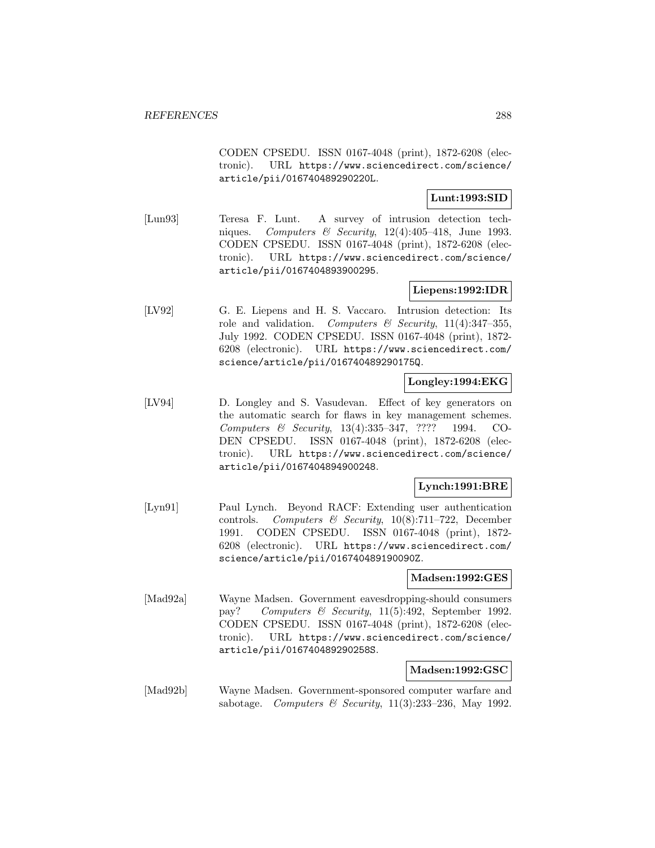CODEN CPSEDU. ISSN 0167-4048 (print), 1872-6208 (electronic). URL https://www.sciencedirect.com/science/ article/pii/016740489290220L.

### **Lunt:1993:SID**

[Lun93] Teresa F. Lunt. A survey of intrusion detection techniques. Computers & Security,  $12(4):405-418$ , June 1993. CODEN CPSEDU. ISSN 0167-4048 (print), 1872-6208 (electronic). URL https://www.sciencedirect.com/science/ article/pii/0167404893900295.

### **Liepens:1992:IDR**

[LV92] G. E. Liepens and H. S. Vaccaro. Intrusion detection: Its role and validation. Computers & Security,  $11(4):347-355$ , July 1992. CODEN CPSEDU. ISSN 0167-4048 (print), 1872- 6208 (electronic). URL https://www.sciencedirect.com/ science/article/pii/016740489290175Q.

### **Longley:1994:EKG**

[LV94] D. Longley and S. Vasudevan. Effect of key generators on the automatic search for flaws in key management schemes. Computers & Security, 13(4):335–347, ???? 1994. CO-DEN CPSEDU. ISSN 0167-4048 (print), 1872-6208 (electronic). URL https://www.sciencedirect.com/science/ article/pii/0167404894900248.

## **Lynch:1991:BRE**

[Lyn91] Paul Lynch. Beyond RACF: Extending user authentication controls. Computers & Security,  $10(8)$ :711–722, December 1991. CODEN CPSEDU. ISSN 0167-4048 (print), 1872- 6208 (electronic). URL https://www.sciencedirect.com/ science/article/pii/016740489190090Z.

### **Madsen:1992:GES**

[Mad92a] Wayne Madsen. Government eavesdropping-should consumers pay? Computers & Security, 11(5):492, September 1992. CODEN CPSEDU. ISSN 0167-4048 (print), 1872-6208 (electronic). URL https://www.sciencedirect.com/science/ article/pii/016740489290258S.

#### **Madsen:1992:GSC**

[Mad92b] Wayne Madsen. Government-sponsored computer warfare and sabotage. Computers & Security,  $11(3):233-236$ , May 1992.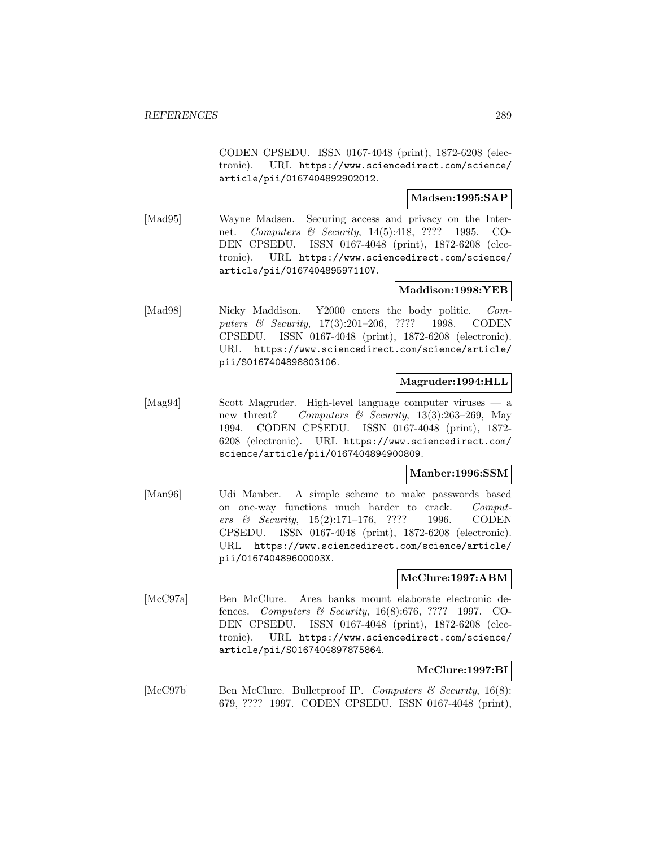CODEN CPSEDU. ISSN 0167-4048 (print), 1872-6208 (electronic). URL https://www.sciencedirect.com/science/ article/pii/0167404892902012.

## **Madsen:1995:SAP**

[Mad95] Wayne Madsen. Securing access and privacy on the Internet. Computers & Security, 14(5):418, ???? 1995. CO-DEN CPSEDU. ISSN 0167-4048 (print), 1872-6208 (electronic). URL https://www.sciencedirect.com/science/ article/pii/016740489597110V.

# **Maddison:1998:YEB**

[Mad98] Nicky Maddison. Y2000 enters the body politic. Computers & Security, 17(3):201–206, ???? 1998. CODEN CPSEDU. ISSN 0167-4048 (print), 1872-6208 (electronic). URL https://www.sciencedirect.com/science/article/ pii/S0167404898803106.

### **Magruder:1994:HLL**

[Mag94] Scott Magruder. High-level language computer viruses — a new threat? Computers & Security, 13(3):263-269, May 1994. CODEN CPSEDU. ISSN 0167-4048 (print), 1872- 6208 (electronic). URL https://www.sciencedirect.com/ science/article/pii/0167404894900809.

### **Manber:1996:SSM**

[Man96] Udi Manber. A simple scheme to make passwords based on one-way functions much harder to crack. Computers & Security, 15(2):171–176, ???? 1996. CODEN CPSEDU. ISSN 0167-4048 (print), 1872-6208 (electronic). URL https://www.sciencedirect.com/science/article/ pii/016740489600003X.

### **McClure:1997:ABM**

[McC97a] Ben McClure. Area banks mount elaborate electronic defences. Computers & Security, 16(8):676, ???? 1997. CO-DEN CPSEDU. ISSN 0167-4048 (print), 1872-6208 (electronic). URL https://www.sciencedirect.com/science/ article/pii/S0167404897875864.

# **McClure:1997:BI**

[McC97b] Ben McClure. Bulletproof IP. Computers & Security,  $16(8)$ : 679, ???? 1997. CODEN CPSEDU. ISSN 0167-4048 (print),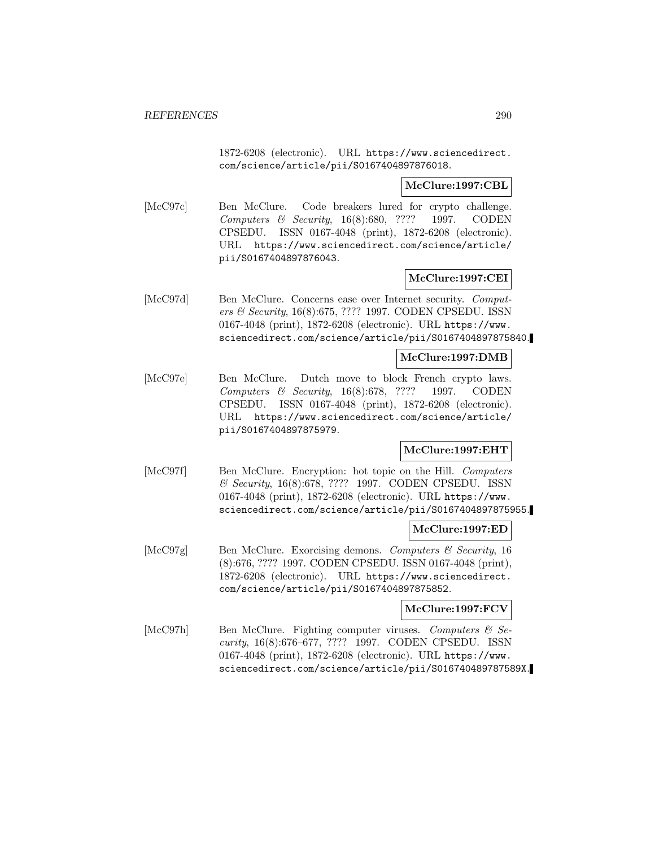1872-6208 (electronic). URL https://www.sciencedirect. com/science/article/pii/S0167404897876018.

### **McClure:1997:CBL**

[McC97c] Ben McClure. Code breakers lured for crypto challenge. Computers & Security, 16(8):680, ???? 1997. CODEN CPSEDU. ISSN 0167-4048 (print), 1872-6208 (electronic). URL https://www.sciencedirect.com/science/article/ pii/S0167404897876043.

### **McClure:1997:CEI**

[McC97d] Ben McClure. Concerns ease over Internet security. Computers & Security, 16(8):675, ???? 1997. CODEN CPSEDU. ISSN 0167-4048 (print), 1872-6208 (electronic). URL https://www. sciencedirect.com/science/article/pii/S0167404897875840.

#### **McClure:1997:DMB**

[McC97e] Ben McClure. Dutch move to block French crypto laws. Computers & Security, 16(8):678, ???? 1997. CODEN CPSEDU. ISSN 0167-4048 (print), 1872-6208 (electronic). URL https://www.sciencedirect.com/science/article/ pii/S0167404897875979.

# **McClure:1997:EHT**

[McC97f] Ben McClure. Encryption: hot topic on the Hill. Computers & Security, 16(8):678, ???? 1997. CODEN CPSEDU. ISSN 0167-4048 (print), 1872-6208 (electronic). URL https://www. sciencedirect.com/science/article/pii/S0167404897875955.

#### **McClure:1997:ED**

[McC97g] Ben McClure. Exorcising demons. Computers & Security, 16 (8):676, ???? 1997. CODEN CPSEDU. ISSN 0167-4048 (print), 1872-6208 (electronic). URL https://www.sciencedirect. com/science/article/pii/S0167404897875852.

### **McClure:1997:FCV**

[McC97h] Ben McClure. Fighting computer viruses. Computers & Security, 16(8):676–677, ???? 1997. CODEN CPSEDU. ISSN 0167-4048 (print), 1872-6208 (electronic). URL https://www. sciencedirect.com/science/article/pii/S016740489787589X.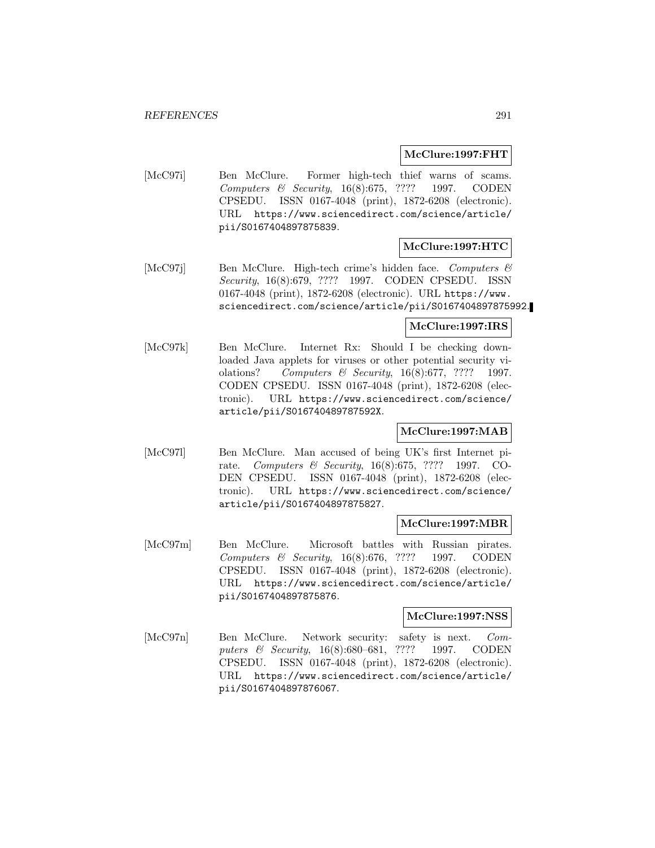## **McClure:1997:FHT**

[McC97i] Ben McClure. Former high-tech thief warns of scams. Computers & Security, 16(8):675, ???? 1997. CODEN CPSEDU. ISSN 0167-4048 (print), 1872-6208 (electronic). URL https://www.sciencedirect.com/science/article/ pii/S0167404897875839.

# **McClure:1997:HTC**

[McC97j] Ben McClure. High-tech crime's hidden face. Computers & Security, 16(8):679, ???? 1997. CODEN CPSEDU. ISSN 0167-4048 (print), 1872-6208 (electronic). URL https://www. sciencedirect.com/science/article/pii/S0167404897875992.

# **McClure:1997:IRS**

[McC97k] Ben McClure. Internet Rx: Should I be checking downloaded Java applets for viruses or other potential security violations? Computers & Security, 16(8):677, ???? 1997. CODEN CPSEDU. ISSN 0167-4048 (print), 1872-6208 (electronic). URL https://www.sciencedirect.com/science/ article/pii/S016740489787592X.

# **McClure:1997:MAB**

[McC97l] Ben McClure. Man accused of being UK's first Internet pirate. Computers & Security, 16(8):675, ???? 1997. CO-DEN CPSEDU. ISSN 0167-4048 (print), 1872-6208 (electronic). URL https://www.sciencedirect.com/science/ article/pii/S0167404897875827.

### **McClure:1997:MBR**

[McC97m] Ben McClure. Microsoft battles with Russian pirates. Computers & Security, 16(8):676, ???? 1997. CODEN CPSEDU. ISSN 0167-4048 (print), 1872-6208 (electronic). URL https://www.sciencedirect.com/science/article/ pii/S0167404897875876.

# **McClure:1997:NSS**

[McC97n] Ben McClure. Network security: safety is next. Computers & Security, 16(8):680–681, ???? 1997. CODEN CPSEDU. ISSN 0167-4048 (print), 1872-6208 (electronic). URL https://www.sciencedirect.com/science/article/ pii/S0167404897876067.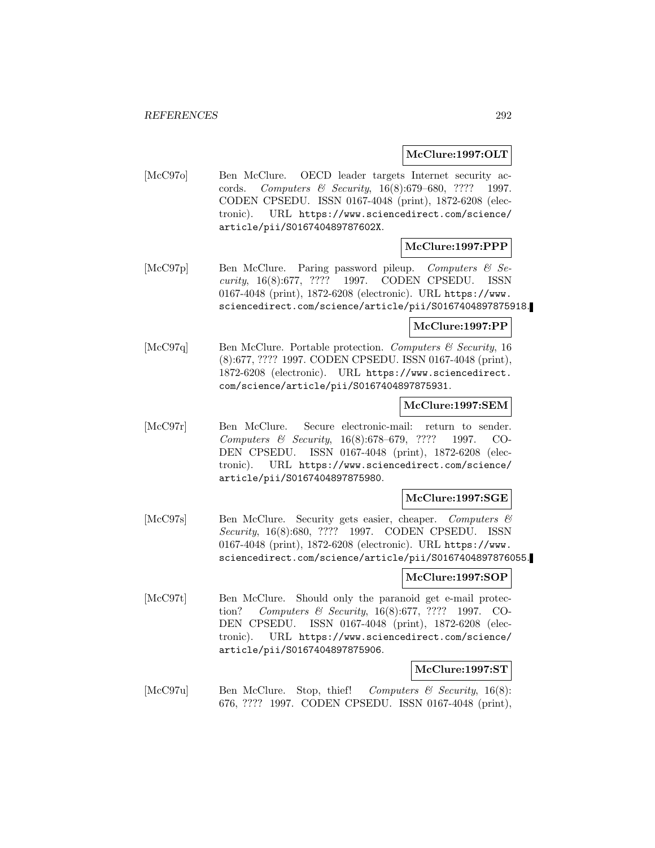## **McClure:1997:OLT**

[McC97o] Ben McClure. OECD leader targets Internet security accords. Computers & Security, 16(8):679–680, ???? 1997. CODEN CPSEDU. ISSN 0167-4048 (print), 1872-6208 (electronic). URL https://www.sciencedirect.com/science/ article/pii/S016740489787602X.

# **McClure:1997:PPP**

[McC97p] Ben McClure. Paring password pileup. Computers & Security, 16(8):677, ???? 1997. CODEN CPSEDU. ISSN 0167-4048 (print), 1872-6208 (electronic). URL https://www. sciencedirect.com/science/article/pii/S0167404897875918.

### **McClure:1997:PP**

[McC97q] Ben McClure. Portable protection. Computers & Security, 16 (8):677, ???? 1997. CODEN CPSEDU. ISSN 0167-4048 (print), 1872-6208 (electronic). URL https://www.sciencedirect. com/science/article/pii/S0167404897875931.

### **McClure:1997:SEM**

[McC97r] Ben McClure. Secure electronic-mail: return to sender. Computers & Security, 16(8):678–679, ???? 1997. CO-DEN CPSEDU. ISSN 0167-4048 (print), 1872-6208 (electronic). URL https://www.sciencedirect.com/science/ article/pii/S0167404897875980.

### **McClure:1997:SGE**

[McC97s] Ben McClure. Security gets easier, cheaper. Computers & Security, 16(8):680, ???? 1997. CODEN CPSEDU. ISSN 0167-4048 (print), 1872-6208 (electronic). URL https://www. sciencedirect.com/science/article/pii/S0167404897876055.

#### **McClure:1997:SOP**

[McC97t] Ben McClure. Should only the paranoid get e-mail protection? Computers & Security, 16(8):677, ???? 1997. CO-DEN CPSEDU. ISSN 0167-4048 (print), 1872-6208 (electronic). URL https://www.sciencedirect.com/science/ article/pii/S0167404897875906.

### **McClure:1997:ST**

[McC97u] Ben McClure. Stop, thief! Computers  $\mathcal B$  Security, 16(8): 676, ???? 1997. CODEN CPSEDU. ISSN 0167-4048 (print),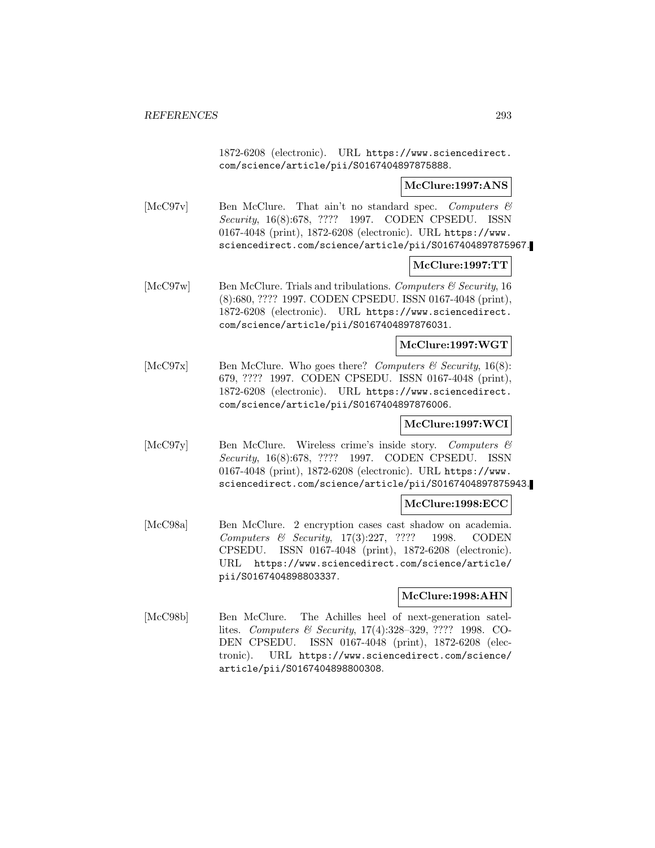1872-6208 (electronic). URL https://www.sciencedirect. com/science/article/pii/S0167404897875888.

### **McClure:1997:ANS**

[McC97v] Ben McClure. That ain't no standard spec. Computers & Security, 16(8):678, ???? 1997. CODEN CPSEDU. ISSN 0167-4048 (print), 1872-6208 (electronic). URL https://www. sciencedirect.com/science/article/pii/S0167404897875967.

### **McClure:1997:TT**

[McC97w] Ben McClure. Trials and tribulations. Computers  $\mathcal{C}$  Security, 16 (8):680, ???? 1997. CODEN CPSEDU. ISSN 0167-4048 (print), 1872-6208 (electronic). URL https://www.sciencedirect. com/science/article/pii/S0167404897876031.

# **McClure:1997:WGT**

[McC97x] Ben McClure. Who goes there? Computers  $\mathcal{B}$  Security, 16(8): 679, ???? 1997. CODEN CPSEDU. ISSN 0167-4048 (print), 1872-6208 (electronic). URL https://www.sciencedirect. com/science/article/pii/S0167404897876006.

# **McClure:1997:WCI**

[McC97y] Ben McClure. Wireless crime's inside story. Computers & Security, 16(8):678, ???? 1997. CODEN CPSEDU. ISSN 0167-4048 (print), 1872-6208 (electronic). URL https://www. sciencedirect.com/science/article/pii/S0167404897875943.

### **McClure:1998:ECC**

[McC98a] Ben McClure. 2 encryption cases cast shadow on academia. Computers & Security, 17(3):227, ???? 1998. CODEN CPSEDU. ISSN 0167-4048 (print), 1872-6208 (electronic). URL https://www.sciencedirect.com/science/article/ pii/S0167404898803337.

### **McClure:1998:AHN**

[McC98b] Ben McClure. The Achilles heel of next-generation satellites. Computers & Security, 17(4):328–329, ???? 1998. CO-DEN CPSEDU. ISSN 0167-4048 (print), 1872-6208 (electronic). URL https://www.sciencedirect.com/science/ article/pii/S0167404898800308.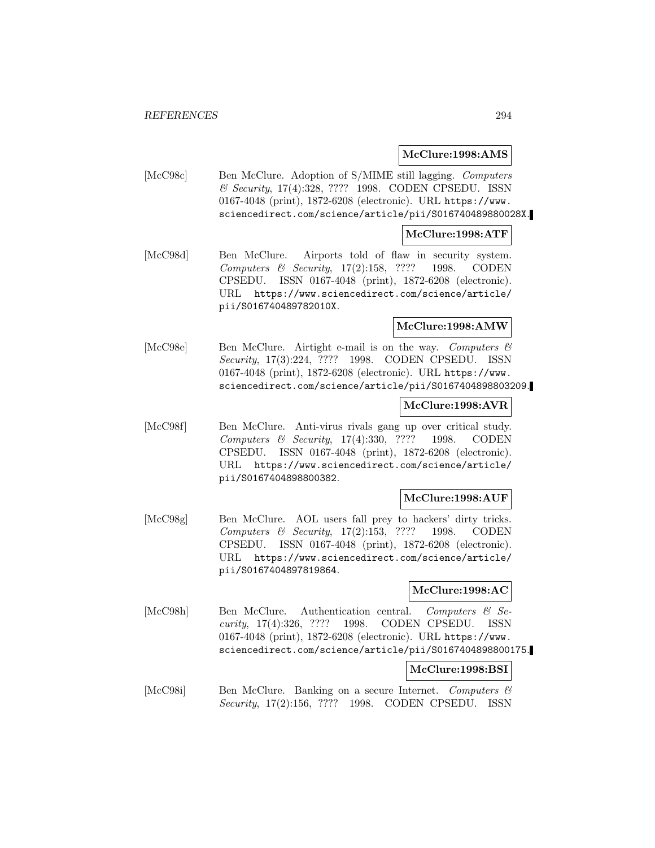#### **McClure:1998:AMS**

[McC98c] Ben McClure. Adoption of S/MIME still lagging. Computers & Security, 17(4):328, ???? 1998. CODEN CPSEDU. ISSN 0167-4048 (print), 1872-6208 (electronic). URL https://www. sciencedirect.com/science/article/pii/S016740489880028X.

#### **McClure:1998:ATF**

[McC98d] Ben McClure. Airports told of flaw in security system. Computers & Security, 17(2):158, ???? 1998. CODEN CPSEDU. ISSN 0167-4048 (print), 1872-6208 (electronic). URL https://www.sciencedirect.com/science/article/ pii/S016740489782010X.

#### **McClure:1998:AMW**

[McC98e] Ben McClure. Airtight e-mail is on the way. Computers  $\mathcal{B}$ Security, 17(3):224, ???? 1998. CODEN CPSEDU. ISSN 0167-4048 (print), 1872-6208 (electronic). URL https://www. sciencedirect.com/science/article/pii/S0167404898803209.

#### **McClure:1998:AVR**

[McC98f] Ben McClure. Anti-virus rivals gang up over critical study. Computers & Security, 17(4):330, ???? 1998. CODEN CPSEDU. ISSN 0167-4048 (print), 1872-6208 (electronic). URL https://www.sciencedirect.com/science/article/ pii/S0167404898800382.

### **McClure:1998:AUF**

[McC98g] Ben McClure. AOL users fall prey to hackers' dirty tricks. Computers & Security, 17(2):153, ???? 1998. CODEN CPSEDU. ISSN 0167-4048 (print), 1872-6208 (electronic). URL https://www.sciencedirect.com/science/article/ pii/S0167404897819864.

#### **McClure:1998:AC**

[McC98h] Ben McClure. Authentication central. Computers & Security, 17(4):326, ???? 1998. CODEN CPSEDU. ISSN 0167-4048 (print), 1872-6208 (electronic). URL https://www. sciencedirect.com/science/article/pii/S0167404898800175.

#### **McClure:1998:BSI**

[McC98i] Ben McClure. Banking on a secure Internet. Computers & Security, 17(2):156, ???? 1998. CODEN CPSEDU. ISSN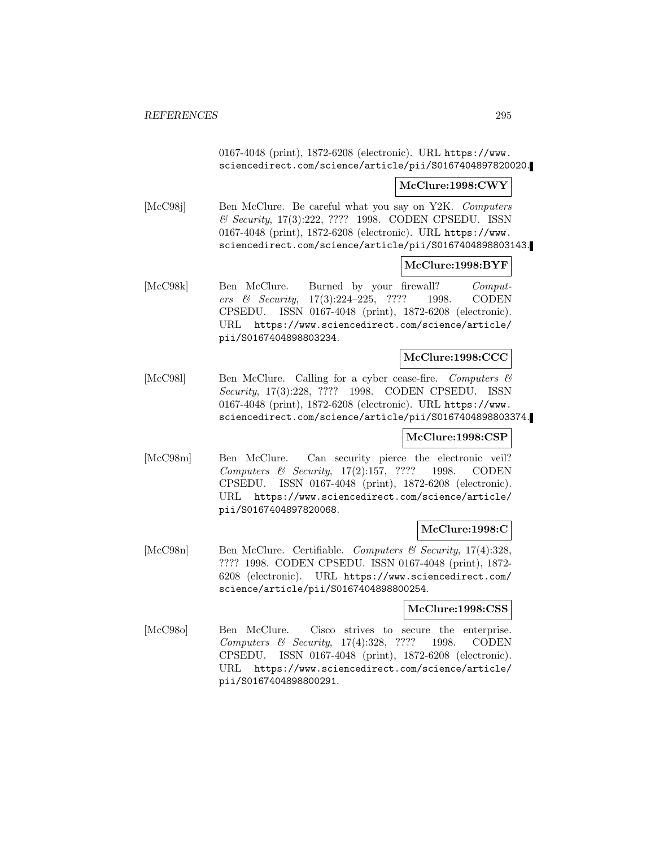0167-4048 (print), 1872-6208 (electronic). URL https://www. sciencedirect.com/science/article/pii/S0167404897820020.

#### **McClure:1998:CWY**

[McC98j] Ben McClure. Be careful what you say on Y2K. Computers & Security, 17(3):222, ???? 1998. CODEN CPSEDU. ISSN 0167-4048 (print), 1872-6208 (electronic). URL https://www. sciencedirect.com/science/article/pii/S0167404898803143.

#### **McClure:1998:BYF**

[McC98k] Ben McClure. Burned by your firewall? Computers & Security, 17(3):224–225, ???? 1998. CODEN CPSEDU. ISSN 0167-4048 (print), 1872-6208 (electronic). URL https://www.sciencedirect.com/science/article/ pii/S0167404898803234.

#### **McClure:1998:CCC**

[McC981] Ben McClure. Calling for a cyber cease-fire. Computers & Security, 17(3):228, ???? 1998. CODEN CPSEDU. ISSN 0167-4048 (print), 1872-6208 (electronic). URL https://www. sciencedirect.com/science/article/pii/S0167404898803374.

#### **McClure:1998:CSP**

[McC98m] Ben McClure. Can security pierce the electronic veil? Computers & Security, 17(2):157, ???? 1998. CODEN CPSEDU. ISSN 0167-4048 (print), 1872-6208 (electronic). URL https://www.sciencedirect.com/science/article/ pii/S0167404897820068.

# **McClure:1998:C**

[McC98n] Ben McClure. Certifiable. Computers & Security, 17(4):328, ???? 1998. CODEN CPSEDU. ISSN 0167-4048 (print), 1872- 6208 (electronic). URL https://www.sciencedirect.com/ science/article/pii/S0167404898800254.

#### **McClure:1998:CSS**

[McC98o] Ben McClure. Cisco strives to secure the enterprise. Computers & Security, 17(4):328, ???? 1998. CODEN CPSEDU. ISSN 0167-4048 (print), 1872-6208 (electronic). URL https://www.sciencedirect.com/science/article/ pii/S0167404898800291.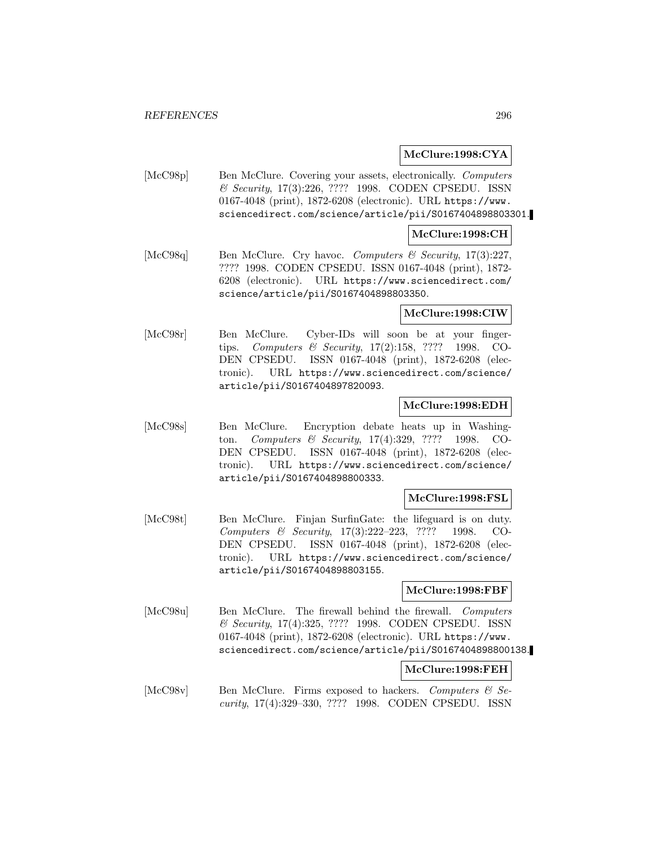# **McClure:1998:CYA**

[McC98p] Ben McClure. Covering your assets, electronically. Computers & Security, 17(3):226, ???? 1998. CODEN CPSEDU. ISSN 0167-4048 (print), 1872-6208 (electronic). URL https://www. sciencedirect.com/science/article/pii/S0167404898803301.

## **McClure:1998:CH**

[McC98q] Ben McClure. Cry havoc. Computers & Security, 17(3):227, ???? 1998. CODEN CPSEDU. ISSN 0167-4048 (print), 1872- 6208 (electronic). URL https://www.sciencedirect.com/ science/article/pii/S0167404898803350.

### **McClure:1998:CIW**

[McC98r] Ben McClure. Cyber-IDs will soon be at your fingertips. Computers & Security, 17(2):158, ???? 1998. CO-DEN CPSEDU. ISSN 0167-4048 (print), 1872-6208 (electronic). URL https://www.sciencedirect.com/science/ article/pii/S0167404897820093.

## **McClure:1998:EDH**

[McC98s] Ben McClure. Encryption debate heats up in Washington. Computers & Security, 17(4):329, ???? 1998. CO-DEN CPSEDU. ISSN 0167-4048 (print), 1872-6208 (electronic). URL https://www.sciencedirect.com/science/ article/pii/S0167404898800333.

### **McClure:1998:FSL**

[McC98t] Ben McClure. Finjan SurfinGate: the lifeguard is on duty. Computers & Security, 17(3):222–223, ???? 1998. CO-DEN CPSEDU. ISSN 0167-4048 (print), 1872-6208 (electronic). URL https://www.sciencedirect.com/science/ article/pii/S0167404898803155.

### **McClure:1998:FBF**

[McC98u] Ben McClure. The firewall behind the firewall. Computers & Security, 17(4):325, ???? 1998. CODEN CPSEDU. ISSN 0167-4048 (print), 1872-6208 (electronic). URL https://www. sciencedirect.com/science/article/pii/S0167404898800138.

### **McClure:1998:FEH**

[McC98v] Ben McClure. Firms exposed to hackers. Computers & Security, 17(4):329–330, ???? 1998. CODEN CPSEDU. ISSN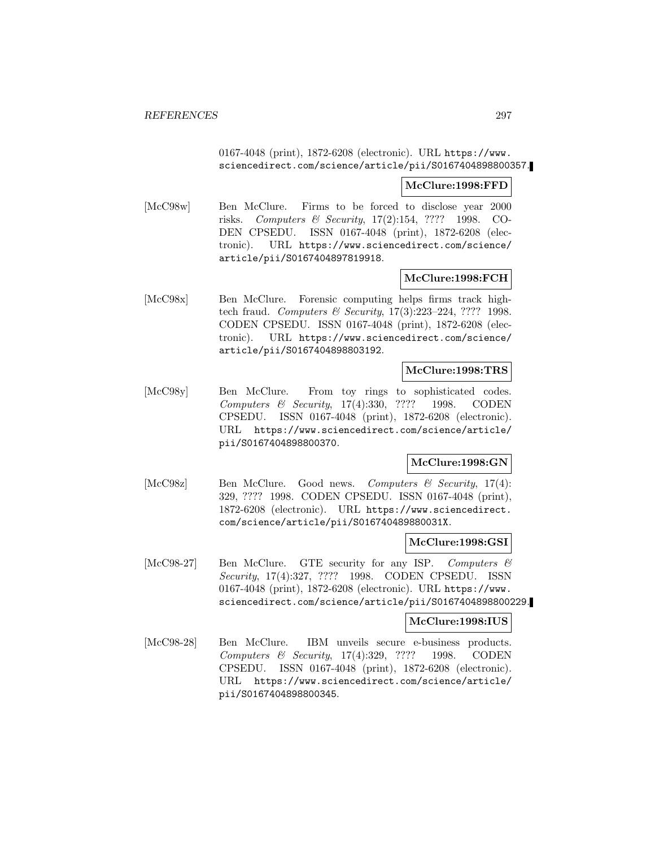# 0167-4048 (print), 1872-6208 (electronic). URL https://www. sciencedirect.com/science/article/pii/S0167404898800357.

#### **McClure:1998:FFD**

[McC98w] Ben McClure. Firms to be forced to disclose year 2000 risks. Computers & Security, 17(2):154, ???? 1998. CO-DEN CPSEDU. ISSN 0167-4048 (print), 1872-6208 (electronic). URL https://www.sciencedirect.com/science/ article/pii/S0167404897819918.

### **McClure:1998:FCH**

[McC98x] Ben McClure. Forensic computing helps firms track hightech fraud. Computers & Security, 17(3):223–224, ???? 1998. CODEN CPSEDU. ISSN 0167-4048 (print), 1872-6208 (electronic). URL https://www.sciencedirect.com/science/ article/pii/S0167404898803192.

## **McClure:1998:TRS**

[McC98y] Ben McClure. From toy rings to sophisticated codes. Computers & Security, 17(4):330, ???? 1998. CODEN CPSEDU. ISSN 0167-4048 (print), 1872-6208 (electronic). URL https://www.sciencedirect.com/science/article/ pii/S0167404898800370.

## **McClure:1998:GN**

[McC98z] Ben McClure. Good news. Computers & Security, 17(4): 329, ???? 1998. CODEN CPSEDU. ISSN 0167-4048 (print), 1872-6208 (electronic). URL https://www.sciencedirect. com/science/article/pii/S016740489880031X.

#### **McClure:1998:GSI**

[McC98-27] Ben McClure. GTE security for any ISP. Computers & Security, 17(4):327, ???? 1998. CODEN CPSEDU. ISSN 0167-4048 (print), 1872-6208 (electronic). URL https://www. sciencedirect.com/science/article/pii/S0167404898800229.

### **McClure:1998:IUS**

[McC98-28] Ben McClure. IBM unveils secure e-business products. Computers & Security, 17(4):329, ???? 1998. CODEN CPSEDU. ISSN 0167-4048 (print), 1872-6208 (electronic). URL https://www.sciencedirect.com/science/article/ pii/S0167404898800345.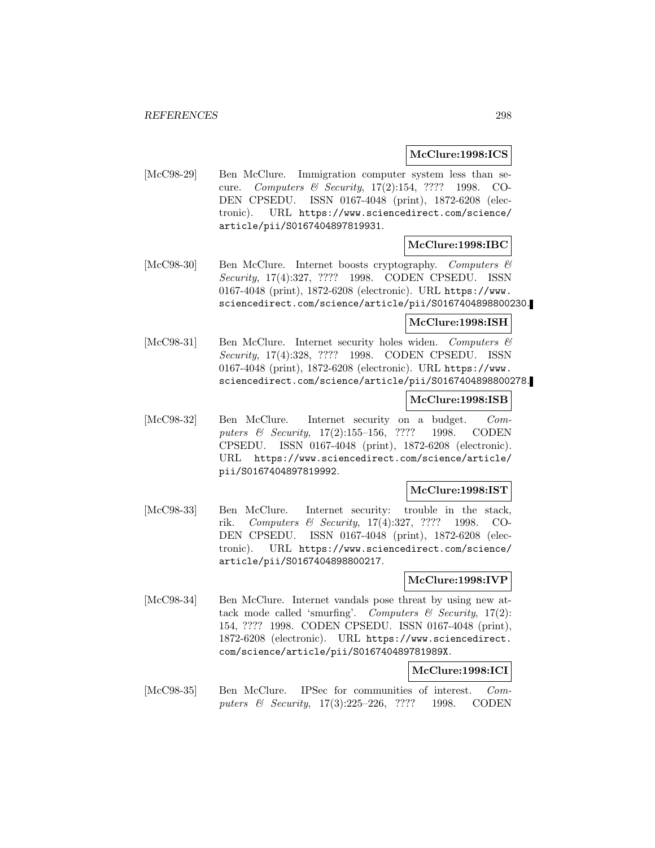## **McClure:1998:ICS**

[McC98-29] Ben McClure. Immigration computer system less than secure. Computers & Security, 17(2):154, ???? 1998. CO-DEN CPSEDU. ISSN 0167-4048 (print), 1872-6208 (electronic). URL https://www.sciencedirect.com/science/ article/pii/S0167404897819931.

### **McClure:1998:IBC**

[McC98-30] Ben McClure. Internet boosts cryptography. Computers & Security, 17(4):327, ???? 1998. CODEN CPSEDU. ISSN 0167-4048 (print), 1872-6208 (electronic). URL https://www. sciencedirect.com/science/article/pii/S0167404898800230.

#### **McClure:1998:ISH**

[McC98-31] Ben McClure. Internet security holes widen. Computers & Security, 17(4):328, ???? 1998. CODEN CPSEDU. ISSN 0167-4048 (print), 1872-6208 (electronic). URL https://www. sciencedirect.com/science/article/pii/S0167404898800278.

## **McClure:1998:ISB**

[McC98-32] Ben McClure. Internet security on a budget. Computers & Security, 17(2):155-156, ???? 1998. CODEN CPSEDU. ISSN 0167-4048 (print), 1872-6208 (electronic). URL https://www.sciencedirect.com/science/article/ pii/S0167404897819992.

### **McClure:1998:IST**

[McC98-33] Ben McClure. Internet security: trouble in the stack, rik. Computers & Security, 17(4):327, ???? 1998. CO-DEN CPSEDU. ISSN 0167-4048 (print), 1872-6208 (electronic). URL https://www.sciencedirect.com/science/ article/pii/S0167404898800217.

# **McClure:1998:IVP**

[McC98-34] Ben McClure. Internet vandals pose threat by using new attack mode called 'smurfing'. Computers  $\mathcal C$  Security, 17(2): 154, ???? 1998. CODEN CPSEDU. ISSN 0167-4048 (print), 1872-6208 (electronic). URL https://www.sciencedirect. com/science/article/pii/S016740489781989X.

# **McClure:1998:ICI**

[McC98-35] Ben McClure. IPSec for communities of interest. Computers & Security, 17(3):225–226, ???? 1998. CODEN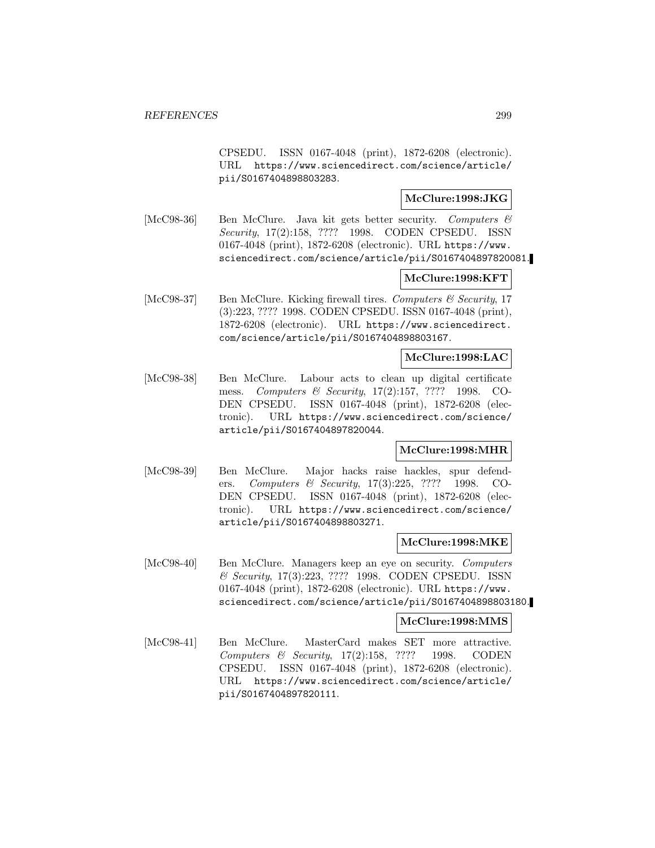CPSEDU. ISSN 0167-4048 (print), 1872-6208 (electronic). URL https://www.sciencedirect.com/science/article/ pii/S0167404898803283.

# **McClure:1998:JKG**

[McC98-36] Ben McClure. Java kit gets better security. Computers  $\mathcal{B}$ Security, 17(2):158, ???? 1998. CODEN CPSEDU. ISSN 0167-4048 (print), 1872-6208 (electronic). URL https://www. sciencedirect.com/science/article/pii/S0167404897820081.

## **McClure:1998:KFT**

[McC98-37] Ben McClure. Kicking firewall tires. Computers & Security, 17 (3):223, ???? 1998. CODEN CPSEDU. ISSN 0167-4048 (print), 1872-6208 (electronic). URL https://www.sciencedirect. com/science/article/pii/S0167404898803167.

#### **McClure:1998:LAC**

[McC98-38] Ben McClure. Labour acts to clean up digital certificate mess. Computers & Security, 17(2):157, ???? 1998. CO-DEN CPSEDU. ISSN 0167-4048 (print), 1872-6208 (electronic). URL https://www.sciencedirect.com/science/ article/pii/S0167404897820044.

# **McClure:1998:MHR**

[McC98-39] Ben McClure. Major hacks raise hackles, spur defenders. Computers & Security, 17(3):225, ???? 1998. CO-DEN CPSEDU. ISSN 0167-4048 (print), 1872-6208 (electronic). URL https://www.sciencedirect.com/science/ article/pii/S0167404898803271.

#### **McClure:1998:MKE**

[McC98-40] Ben McClure. Managers keep an eye on security. Computers & Security, 17(3):223, ???? 1998. CODEN CPSEDU. ISSN 0167-4048 (print), 1872-6208 (electronic). URL https://www. sciencedirect.com/science/article/pii/S0167404898803180.

### **McClure:1998:MMS**

[McC98-41] Ben McClure. MasterCard makes SET more attractive. Computers & Security, 17(2):158, ???? 1998. CODEN CPSEDU. ISSN 0167-4048 (print), 1872-6208 (electronic). URL https://www.sciencedirect.com/science/article/ pii/S0167404897820111.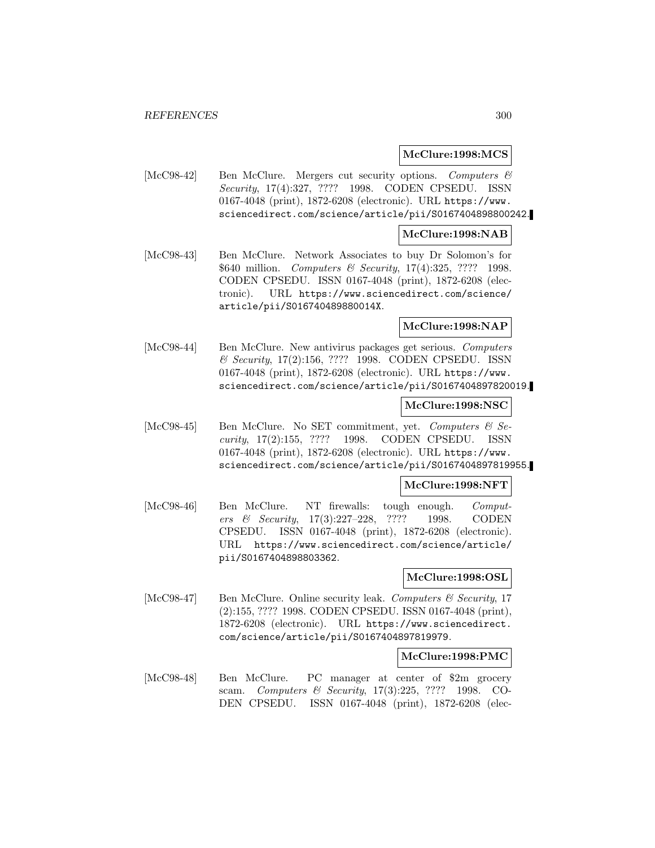#### **McClure:1998:MCS**

[McC98-42] Ben McClure. Mergers cut security options. Computers & Security, 17(4):327, ???? 1998. CODEN CPSEDU. ISSN 0167-4048 (print), 1872-6208 (electronic). URL https://www. sciencedirect.com/science/article/pii/S0167404898800242.

#### **McClure:1998:NAB**

[McC98-43] Ben McClure. Network Associates to buy Dr Solomon's for \$640 million. *Computers & Security*, 17(4):325, ???? 1998. CODEN CPSEDU. ISSN 0167-4048 (print), 1872-6208 (electronic). URL https://www.sciencedirect.com/science/ article/pii/S016740489880014X.

### **McClure:1998:NAP**

[McC98-44] Ben McClure. New antivirus packages get serious. Computers & Security, 17(2):156, ???? 1998. CODEN CPSEDU. ISSN 0167-4048 (print), 1872-6208 (electronic). URL https://www. sciencedirect.com/science/article/pii/S0167404897820019.

## **McClure:1998:NSC**

[McC98-45] Ben McClure. No SET commitment, yet. Computers & Security, 17(2):155, ???? 1998. CODEN CPSEDU. ISSN 0167-4048 (print), 1872-6208 (electronic). URL https://www. sciencedirect.com/science/article/pii/S0167404897819955.

### **McClure:1998:NFT**

[McC98-46] Ben McClure. NT firewalls: tough enough. Computers & Security, 17(3):227–228, ???? 1998. CODEN CPSEDU. ISSN 0167-4048 (print), 1872-6208 (electronic). URL https://www.sciencedirect.com/science/article/ pii/S0167404898803362.

### **McClure:1998:OSL**

[McC98-47] Ben McClure. Online security leak. Computers  $\mathcal{C}'$  Security, 17 (2):155, ???? 1998. CODEN CPSEDU. ISSN 0167-4048 (print), 1872-6208 (electronic). URL https://www.sciencedirect. com/science/article/pii/S0167404897819979.

#### **McClure:1998:PMC**

[McC98-48] Ben McClure. PC manager at center of \$2m grocery scam. Computers & Security, 17(3):225, ???? 1998. CO-DEN CPSEDU. ISSN 0167-4048 (print), 1872-6208 (elec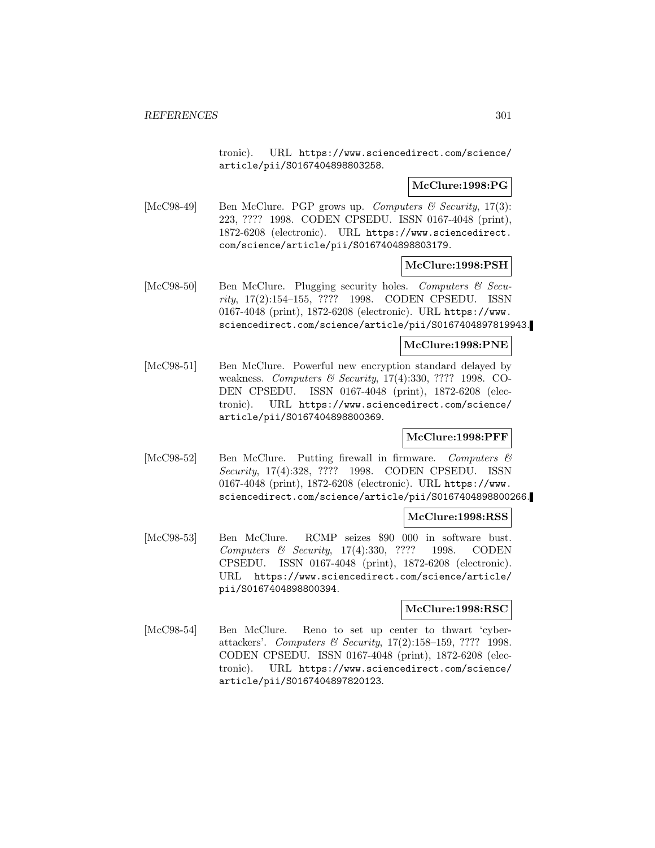tronic). URL https://www.sciencedirect.com/science/ article/pii/S0167404898803258.

### **McClure:1998:PG**

[McC98-49] Ben McClure. PGP grows up. Computers  $\mathcal{B}$  Security, 17(3): 223, ???? 1998. CODEN CPSEDU. ISSN 0167-4048 (print), 1872-6208 (electronic). URL https://www.sciencedirect. com/science/article/pii/S0167404898803179.

#### **McClure:1998:PSH**

[McC98-50] Ben McClure. Plugging security holes. Computers & Security, 17(2):154–155, ???? 1998. CODEN CPSEDU. ISSN 0167-4048 (print), 1872-6208 (electronic). URL https://www. sciencedirect.com/science/article/pii/S0167404897819943.

# **McClure:1998:PNE**

[McC98-51] Ben McClure. Powerful new encryption standard delayed by weakness. Computers & Security, 17(4):330, ???? 1998. CO-DEN CPSEDU. ISSN 0167-4048 (print), 1872-6208 (electronic). URL https://www.sciencedirect.com/science/ article/pii/S0167404898800369.

### **McClure:1998:PFF**

[McC98-52] Ben McClure. Putting firewall in firmware. Computers & Security, 17(4):328, ???? 1998. CODEN CPSEDU. ISSN 0167-4048 (print), 1872-6208 (electronic). URL https://www. sciencedirect.com/science/article/pii/S0167404898800266.

### **McClure:1998:RSS**

[McC98-53] Ben McClure. RCMP seizes \$90 000 in software bust. Computers & Security, 17(4):330, ???? 1998. CODEN CPSEDU. ISSN 0167-4048 (print), 1872-6208 (electronic). URL https://www.sciencedirect.com/science/article/ pii/S0167404898800394.

### **McClure:1998:RSC**

[McC98-54] Ben McClure. Reno to set up center to thwart 'cyberattackers'. Computers & Security, 17(2):158–159, ???? 1998. CODEN CPSEDU. ISSN 0167-4048 (print), 1872-6208 (electronic). URL https://www.sciencedirect.com/science/ article/pii/S0167404897820123.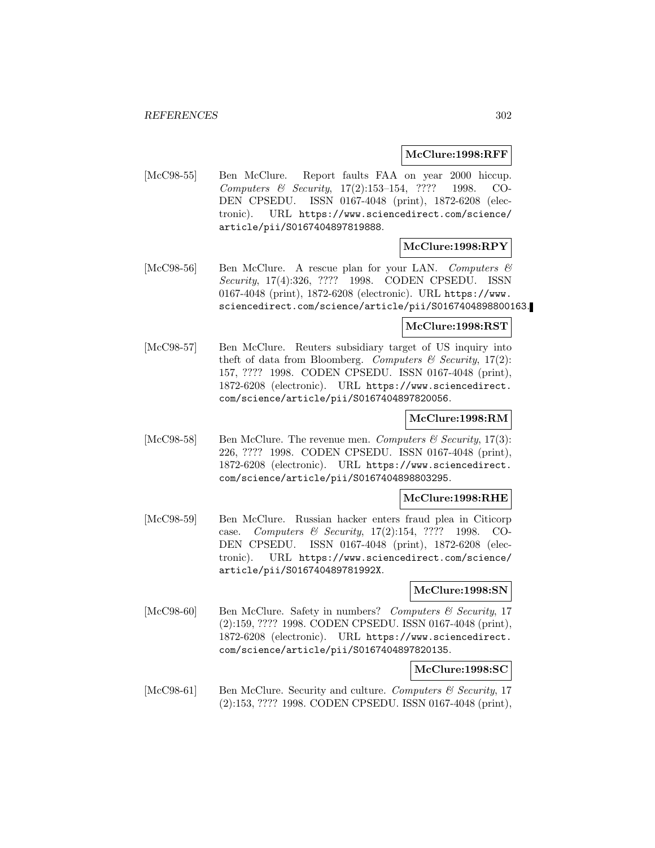### **McClure:1998:RFF**

[McC98-55] Ben McClure. Report faults FAA on year 2000 hiccup. Computers & Security, 17(2):153–154, ???? 1998. CO-DEN CPSEDU. ISSN 0167-4048 (print), 1872-6208 (electronic). URL https://www.sciencedirect.com/science/ article/pii/S0167404897819888.

## **McClure:1998:RPY**

[McC98-56] Ben McClure. A rescue plan for your LAN. Computers  $\mathcal{B}$ Security, 17(4):326, ???? 1998. CODEN CPSEDU. ISSN 0167-4048 (print), 1872-6208 (electronic). URL https://www. sciencedirect.com/science/article/pii/S0167404898800163.

### **McClure:1998:RST**

[McC98-57] Ben McClure. Reuters subsidiary target of US inquiry into theft of data from Bloomberg. Computers  $\mathcal C$  Security, 17(2): 157, ???? 1998. CODEN CPSEDU. ISSN 0167-4048 (print), 1872-6208 (electronic). URL https://www.sciencedirect. com/science/article/pii/S0167404897820056.

#### **McClure:1998:RM**

[McC98-58] Ben McClure. The revenue men. Computers  $\mathcal C$  Security, 17(3): 226, ???? 1998. CODEN CPSEDU. ISSN 0167-4048 (print), 1872-6208 (electronic). URL https://www.sciencedirect. com/science/article/pii/S0167404898803295.

# **McClure:1998:RHE**

[McC98-59] Ben McClure. Russian hacker enters fraud plea in Citicorp case. Computers & Security, 17(2):154, ???? 1998. CO-DEN CPSEDU. ISSN 0167-4048 (print), 1872-6208 (electronic). URL https://www.sciencedirect.com/science/ article/pii/S016740489781992X.

### **McClure:1998:SN**

[McC98-60] Ben McClure. Safety in numbers? Computers & Security, 17 (2):159, ???? 1998. CODEN CPSEDU. ISSN 0167-4048 (print), 1872-6208 (electronic). URL https://www.sciencedirect. com/science/article/pii/S0167404897820135.

### **McClure:1998:SC**

[McC98-61] Ben McClure. Security and culture. Computers & Security, 17 (2):153, ???? 1998. CODEN CPSEDU. ISSN 0167-4048 (print),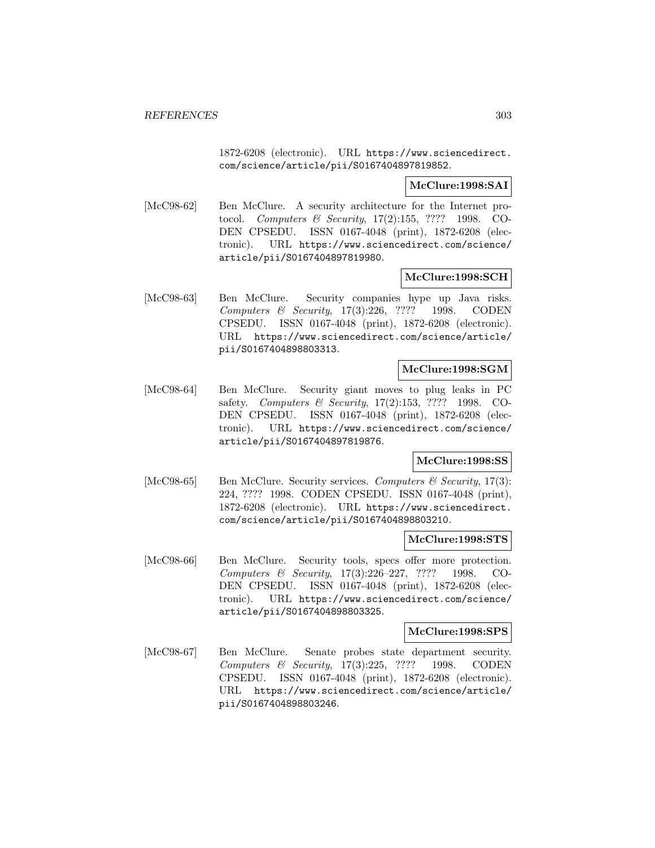1872-6208 (electronic). URL https://www.sciencedirect. com/science/article/pii/S0167404897819852.

## **McClure:1998:SAI**

[McC98-62] Ben McClure. A security architecture for the Internet protocol. Computers & Security, 17(2):155, ???? 1998. CO-DEN CPSEDU. ISSN 0167-4048 (print), 1872-6208 (electronic). URL https://www.sciencedirect.com/science/ article/pii/S0167404897819980.

## **McClure:1998:SCH**

[McC98-63] Ben McClure. Security companies hype up Java risks. Computers & Security, 17(3):226, ???? 1998. CODEN CPSEDU. ISSN 0167-4048 (print), 1872-6208 (electronic). URL https://www.sciencedirect.com/science/article/ pii/S0167404898803313.

## **McClure:1998:SGM**

[McC98-64] Ben McClure. Security giant moves to plug leaks in PC safety. Computers & Security, 17(2):153, ???? 1998. CO-DEN CPSEDU. ISSN 0167-4048 (print), 1872-6208 (electronic). URL https://www.sciencedirect.com/science/ article/pii/S0167404897819876.

# **McClure:1998:SS**

[McC98-65] Ben McClure. Security services. Computers  $\mathcal C$  Security, 17(3): 224, ???? 1998. CODEN CPSEDU. ISSN 0167-4048 (print), 1872-6208 (electronic). URL https://www.sciencedirect. com/science/article/pii/S0167404898803210.

### **McClure:1998:STS**

[McC98-66] Ben McClure. Security tools, specs offer more protection. Computers & Security, 17(3):226–227, ???? 1998. CO-DEN CPSEDU. ISSN 0167-4048 (print), 1872-6208 (electronic). URL https://www.sciencedirect.com/science/ article/pii/S0167404898803325.

#### **McClure:1998:SPS**

[McC98-67] Ben McClure. Senate probes state department security. Computers & Security, 17(3):225, ???? 1998. CODEN CPSEDU. ISSN 0167-4048 (print), 1872-6208 (electronic). URL https://www.sciencedirect.com/science/article/ pii/S0167404898803246.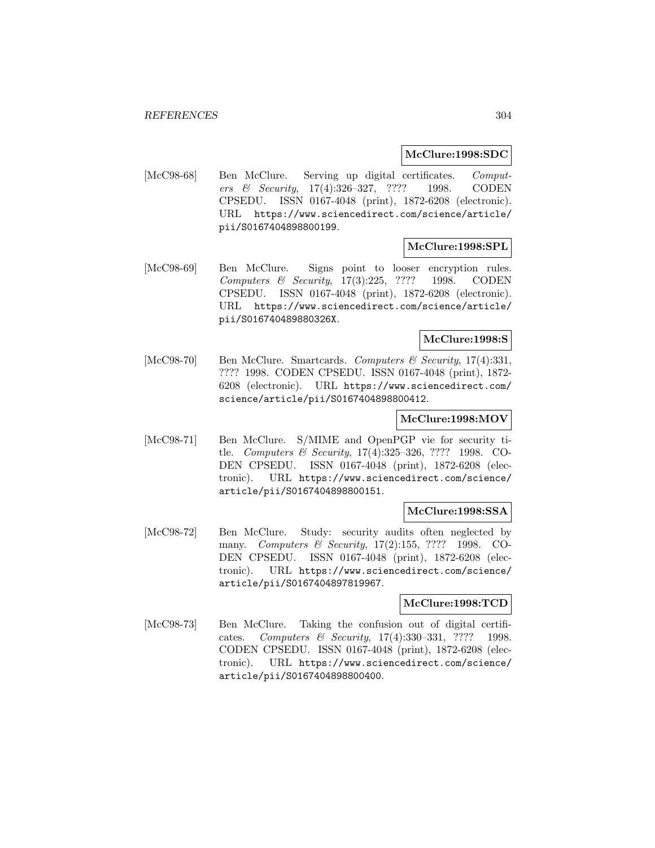#### **McClure:1998:SDC**

[McC98-68] Ben McClure. Serving up digital certificates. Computers & Security, 17(4):326–327, ???? 1998. CODEN CPSEDU. ISSN 0167-4048 (print), 1872-6208 (electronic). URL https://www.sciencedirect.com/science/article/ pii/S0167404898800199.

## **McClure:1998:SPL**

[McC98-69] Ben McClure. Signs point to looser encryption rules. Computers & Security, 17(3):225, ???? 1998. CODEN CPSEDU. ISSN 0167-4048 (print), 1872-6208 (electronic). URL https://www.sciencedirect.com/science/article/ pii/S016740489880326X.

## **McClure:1998:S**

[McC98-70] Ben McClure. Smartcards. Computers & Security, 17(4):331, ???? 1998. CODEN CPSEDU. ISSN 0167-4048 (print), 1872- 6208 (electronic). URL https://www.sciencedirect.com/ science/article/pii/S0167404898800412.

#### **McClure:1998:MOV**

[McC98-71] Ben McClure. S/MIME and OpenPGP vie for security title. Computers & Security, 17(4):325–326, ???? 1998. CO-DEN CPSEDU. ISSN 0167-4048 (print), 1872-6208 (electronic). URL https://www.sciencedirect.com/science/ article/pii/S0167404898800151.

### **McClure:1998:SSA**

[McC98-72] Ben McClure. Study: security audits often neglected by many. *Computers & Security*, 17(2):155, ???? 1998. CO-DEN CPSEDU. ISSN 0167-4048 (print), 1872-6208 (electronic). URL https://www.sciencedirect.com/science/ article/pii/S0167404897819967.

# **McClure:1998:TCD**

[McC98-73] Ben McClure. Taking the confusion out of digital certificates. Computers & Security, 17(4):330–331, ???? 1998. CODEN CPSEDU. ISSN 0167-4048 (print), 1872-6208 (electronic). URL https://www.sciencedirect.com/science/ article/pii/S0167404898800400.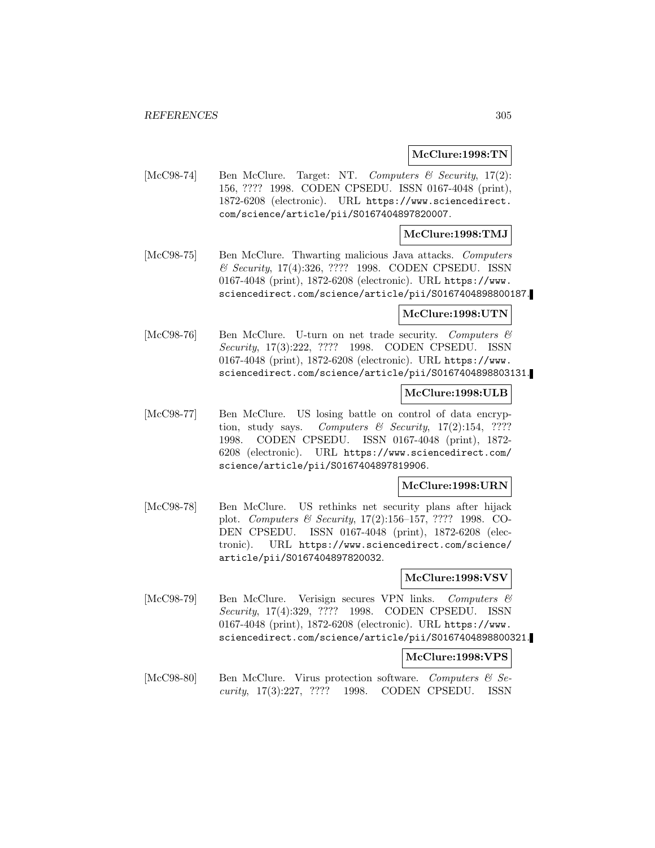#### **McClure:1998:TN**

[McC98-74] Ben McClure. Target: NT. Computers & Security, 17(2): 156, ???? 1998. CODEN CPSEDU. ISSN 0167-4048 (print), 1872-6208 (electronic). URL https://www.sciencedirect. com/science/article/pii/S0167404897820007.

## **McClure:1998:TMJ**

[McC98-75] Ben McClure. Thwarting malicious Java attacks. Computers & Security, 17(4):326, ???? 1998. CODEN CPSEDU. ISSN 0167-4048 (print), 1872-6208 (electronic). URL https://www. sciencedirect.com/science/article/pii/S0167404898800187.

## **McClure:1998:UTN**

[McC98-76] Ben McClure. U-turn on net trade security. Computers & Security, 17(3):222, ???? 1998. CODEN CPSEDU. ISSN 0167-4048 (print), 1872-6208 (electronic). URL https://www. sciencedirect.com/science/article/pii/S0167404898803131.

# **McClure:1998:ULB**

[McC98-77] Ben McClure. US losing battle on control of data encryption, study says. Computers  $\mathcal B$  Security, 17(2):154, ???? 1998. CODEN CPSEDU. ISSN 0167-4048 (print), 1872- 6208 (electronic). URL https://www.sciencedirect.com/ science/article/pii/S0167404897819906.

### **McClure:1998:URN**

[McC98-78] Ben McClure. US rethinks net security plans after hijack plot. Computers & Security, 17(2):156–157, ???? 1998. CO-DEN CPSEDU. ISSN 0167-4048 (print), 1872-6208 (electronic). URL https://www.sciencedirect.com/science/ article/pii/S0167404897820032.

#### **McClure:1998:VSV**

[McC98-79] Ben McClure. Verisign secures VPN links. Computers & Security, 17(4):329, ???? 1998. CODEN CPSEDU. ISSN 0167-4048 (print), 1872-6208 (electronic). URL https://www. sciencedirect.com/science/article/pii/S0167404898800321.

# **McClure:1998:VPS**

[McC98-80] Ben McClure. Virus protection software. Computers  $\mathcal{C}$  Security, 17(3):227, ???? 1998. CODEN CPSEDU. ISSN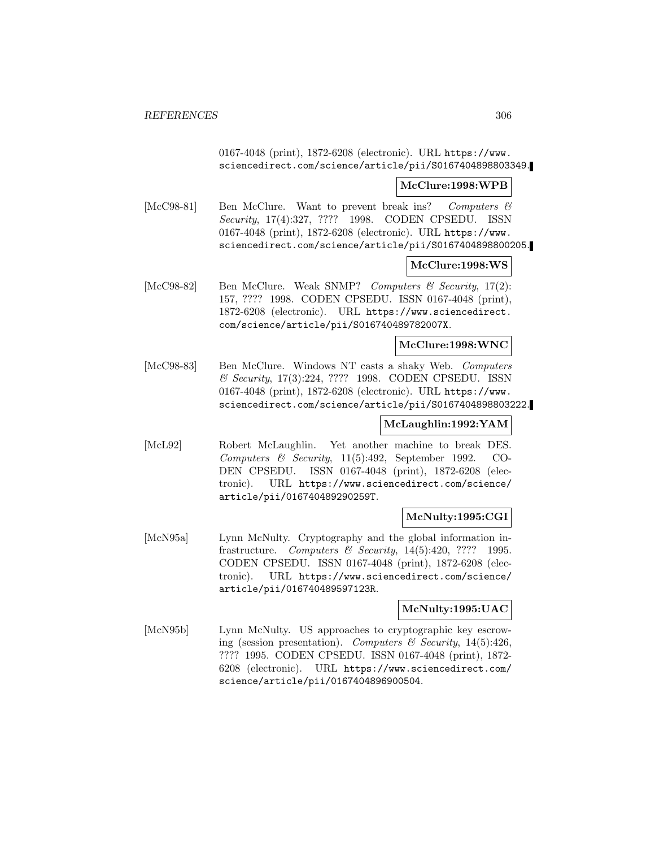0167-4048 (print), 1872-6208 (electronic). URL https://www. sciencedirect.com/science/article/pii/S0167404898803349.

## **McClure:1998:WPB**

[McC98-81] Ben McClure. Want to prevent break ins? Computers & Security, 17(4):327, ???? 1998. CODEN CPSEDU. ISSN 0167-4048 (print), 1872-6208 (electronic). URL https://www. sciencedirect.com/science/article/pii/S0167404898800205.

## **McClure:1998:WS**

[McC98-82] Ben McClure. Weak SNMP? Computers & Security, 17(2): 157, ???? 1998. CODEN CPSEDU. ISSN 0167-4048 (print), 1872-6208 (electronic). URL https://www.sciencedirect. com/science/article/pii/S016740489782007X.

### **McClure:1998:WNC**

[McC98-83] Ben McClure. Windows NT casts a shaky Web. Computers & Security, 17(3):224, ???? 1998. CODEN CPSEDU. ISSN 0167-4048 (print), 1872-6208 (electronic). URL https://www. sciencedirect.com/science/article/pii/S0167404898803222.

# **McLaughlin:1992:YAM**

[McL92] Robert McLaughlin. Yet another machine to break DES. Computers & Security, 11(5):492, September 1992. CO-DEN CPSEDU. ISSN 0167-4048 (print), 1872-6208 (electronic). URL https://www.sciencedirect.com/science/ article/pii/016740489290259T.

# **McNulty:1995:CGI**

[McN95a] Lynn McNulty. Cryptography and the global information infrastructure. Computers & Security,  $14(5):420, ???? 1995.$ CODEN CPSEDU. ISSN 0167-4048 (print), 1872-6208 (electronic). URL https://www.sciencedirect.com/science/ article/pii/016740489597123R.

# **McNulty:1995:UAC**

[McN95b] Lynn McNulty. US approaches to cryptographic key escrowing (session presentation). Computers & Security, 14(5):426, ???? 1995. CODEN CPSEDU. ISSN 0167-4048 (print), 1872- 6208 (electronic). URL https://www.sciencedirect.com/ science/article/pii/0167404896900504.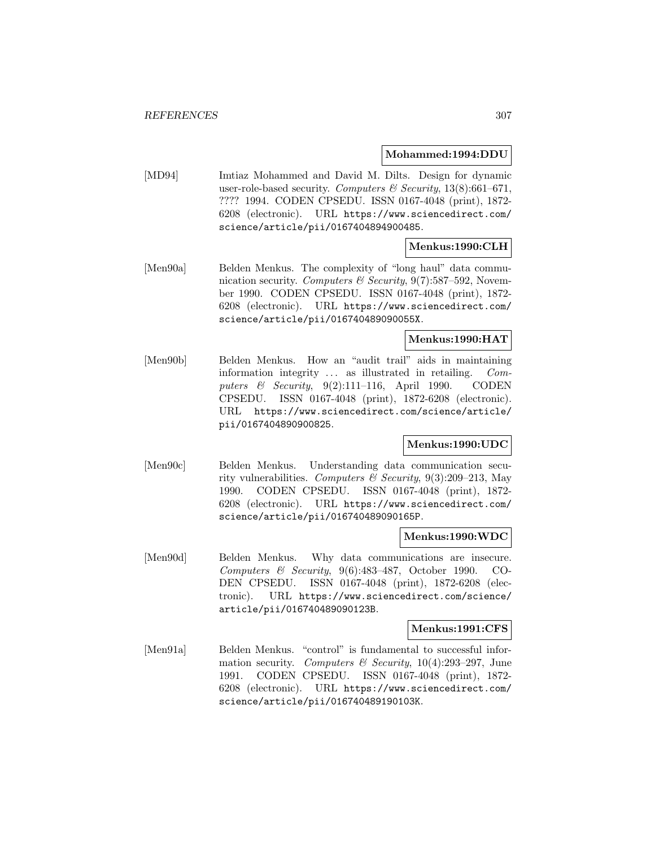#### **Mohammed:1994:DDU**

[MD94] Imtiaz Mohammed and David M. Dilts. Design for dynamic user-role-based security. Computers & Security,  $13(8):661-671$ , ???? 1994. CODEN CPSEDU. ISSN 0167-4048 (print), 1872- 6208 (electronic). URL https://www.sciencedirect.com/ science/article/pii/0167404894900485.

# **Menkus:1990:CLH**

[Men90a] Belden Menkus. The complexity of "long haul" data communication security. Computers & Security,  $9(7)$ :587–592, November 1990. CODEN CPSEDU. ISSN 0167-4048 (print), 1872- 6208 (electronic). URL https://www.sciencedirect.com/ science/article/pii/016740489090055X.

## **Menkus:1990:HAT**

[Men90b] Belden Menkus. How an "audit trail" aids in maintaining information integrity ... as illustrated in retailing. Computers & Security,  $9(2):111-116$ , April 1990. CODEN CPSEDU. ISSN 0167-4048 (print), 1872-6208 (electronic). URL https://www.sciencedirect.com/science/article/ pii/0167404890900825.

### **Menkus:1990:UDC**

[Men90c] Belden Menkus. Understanding data communication security vulnerabilities. Computers & Security, 9(3):209–213, May 1990. CODEN CPSEDU. ISSN 0167-4048 (print), 1872- 6208 (electronic). URL https://www.sciencedirect.com/ science/article/pii/016740489090165P.

#### **Menkus:1990:WDC**

[Men90d] Belden Menkus. Why data communications are insecure. Computers & Security, 9(6):483–487, October 1990. CO-DEN CPSEDU. ISSN 0167-4048 (print), 1872-6208 (electronic). URL https://www.sciencedirect.com/science/ article/pii/016740489090123B.

#### **Menkus:1991:CFS**

[Men91a] Belden Menkus. "control" is fundamental to successful information security. Computers & Security,  $10(4):293-297$ , June 1991. CODEN CPSEDU. ISSN 0167-4048 (print), 1872- 6208 (electronic). URL https://www.sciencedirect.com/ science/article/pii/016740489190103K.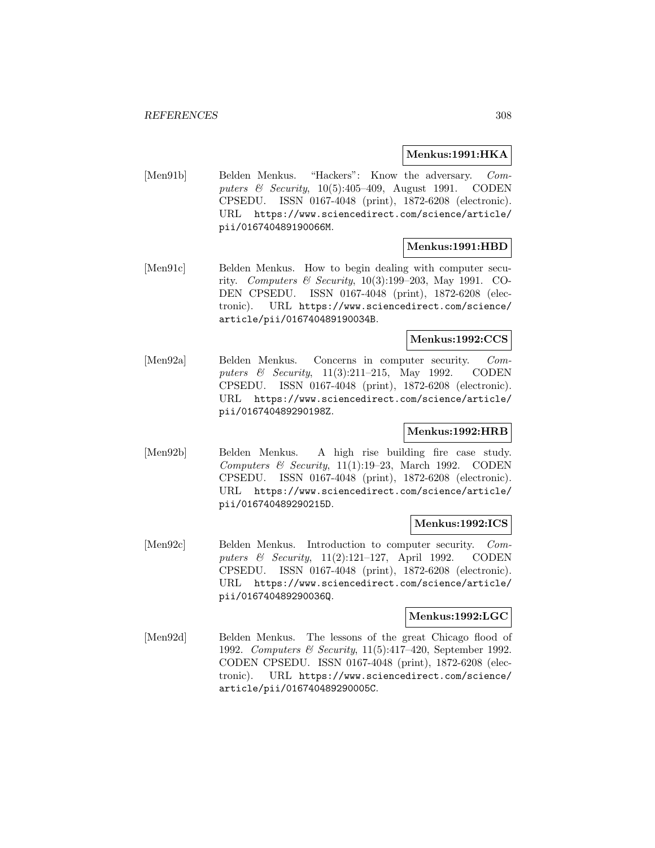### **Menkus:1991:HKA**

[Men91b] Belden Menkus. "Hackers": Know the adversary. Computers & Security, 10(5):405–409, August 1991. CODEN CPSEDU. ISSN 0167-4048 (print), 1872-6208 (electronic). URL https://www.sciencedirect.com/science/article/ pii/016740489190066M.

### **Menkus:1991:HBD**

[Men91c] Belden Menkus. How to begin dealing with computer security. Computers & Security,  $10(3):199-203$ , May 1991. CO-DEN CPSEDU. ISSN 0167-4048 (print), 1872-6208 (electronic). URL https://www.sciencedirect.com/science/ article/pii/016740489190034B.

### **Menkus:1992:CCS**

[Men92a] Belden Menkus. Concerns in computer security. Computers & Security, 11(3):211–215, May 1992. CODEN CPSEDU. ISSN 0167-4048 (print), 1872-6208 (electronic). URL https://www.sciencedirect.com/science/article/ pii/016740489290198Z.

### **Menkus:1992:HRB**

[Men92b] Belden Menkus. A high rise building fire case study. Computers & Security, 11(1):19–23, March 1992. CODEN CPSEDU. ISSN 0167-4048 (print), 1872-6208 (electronic). URL https://www.sciencedirect.com/science/article/ pii/016740489290215D.

### **Menkus:1992:ICS**

[Men92c] Belden Menkus. Introduction to computer security. Computers & Security, 11(2):121–127, April 1992. CODEN CPSEDU. ISSN 0167-4048 (print), 1872-6208 (electronic). URL https://www.sciencedirect.com/science/article/ pii/016740489290036Q.

### **Menkus:1992:LGC**

[Men92d] Belden Menkus. The lessons of the great Chicago flood of 1992. Computers & Security, 11(5):417–420, September 1992. CODEN CPSEDU. ISSN 0167-4048 (print), 1872-6208 (electronic). URL https://www.sciencedirect.com/science/ article/pii/016740489290005C.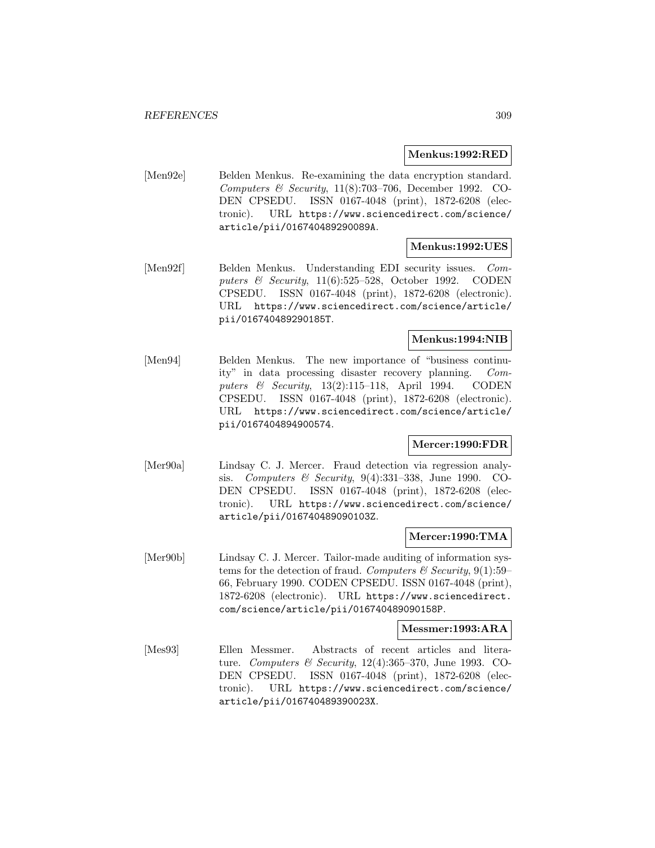#### **Menkus:1992:RED**

[Men92e] Belden Menkus. Re-examining the data encryption standard. Computers & Security, 11(8):703–706, December 1992. CO-DEN CPSEDU. ISSN 0167-4048 (print), 1872-6208 (electronic). URL https://www.sciencedirect.com/science/ article/pii/016740489290089A.

## **Menkus:1992:UES**

[Men92f] Belden Menkus. Understanding EDI security issues. Computers & Security, 11(6):525–528, October 1992. CODEN CPSEDU. ISSN 0167-4048 (print), 1872-6208 (electronic). URL https://www.sciencedirect.com/science/article/ pii/016740489290185T.

### **Menkus:1994:NIB**

[Men94] Belden Menkus. The new importance of "business continuity" in data processing disaster recovery planning. Computers & Security,  $13(2):115-118$ , April 1994. CODEN CPSEDU. ISSN 0167-4048 (print), 1872-6208 (electronic). URL https://www.sciencedirect.com/science/article/ pii/0167404894900574.

# **Mercer:1990:FDR**

[Mer90a] Lindsay C. J. Mercer. Fraud detection via regression analysis. Computers & Security, 9(4):331–338, June 1990. CO-DEN CPSEDU. ISSN 0167-4048 (print), 1872-6208 (electronic). URL https://www.sciencedirect.com/science/ article/pii/016740489090103Z.

### **Mercer:1990:TMA**

[Mer90b] Lindsay C. J. Mercer. Tailor-made auditing of information systems for the detection of fraud. Computers & Security,  $9(1):59-$ 66, February 1990. CODEN CPSEDU. ISSN 0167-4048 (print), 1872-6208 (electronic). URL https://www.sciencedirect. com/science/article/pii/016740489090158P.

#### **Messmer:1993:ARA**

[Mes93] Ellen Messmer. Abstracts of recent articles and literature. Computers & Security, 12(4):365–370, June 1993. CO-DEN CPSEDU. ISSN 0167-4048 (print), 1872-6208 (electronic). URL https://www.sciencedirect.com/science/ article/pii/016740489390023X.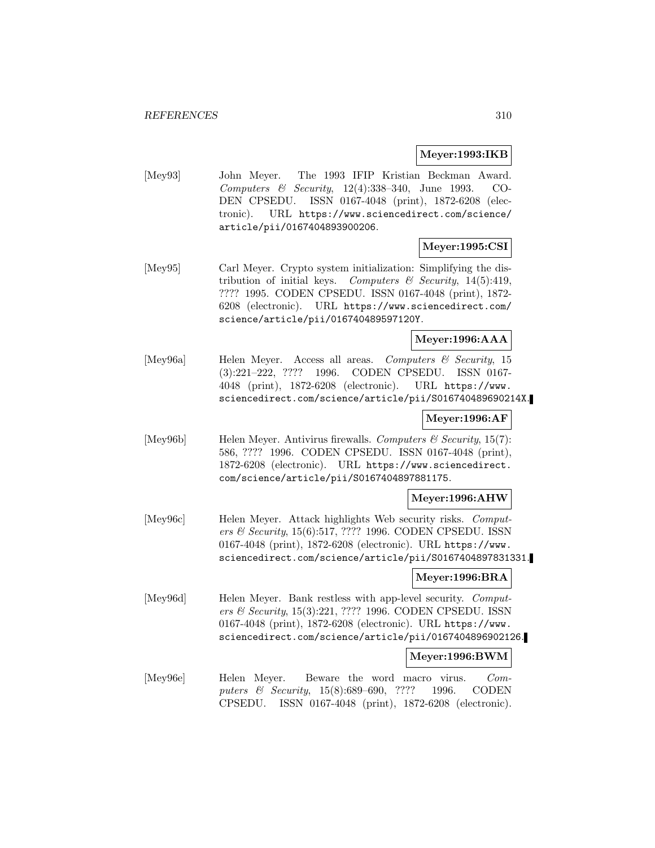## **Meyer:1993:IKB**

[Mey93] John Meyer. The 1993 IFIP Kristian Beckman Award. Computers & Security,  $12(4):338-340$ , June 1993. CO-DEN CPSEDU. ISSN 0167-4048 (print), 1872-6208 (electronic). URL https://www.sciencedirect.com/science/ article/pii/0167404893900206.

# **Meyer:1995:CSI**

[Mey95] Carl Meyer. Crypto system initialization: Simplifying the distribution of initial keys. Computers & Security, 14(5):419, ???? 1995. CODEN CPSEDU. ISSN 0167-4048 (print), 1872- 6208 (electronic). URL https://www.sciencedirect.com/ science/article/pii/016740489597120Y.

### **Meyer:1996:AAA**

[Mey96a] Helen Meyer. Access all areas. Computers & Security, 15 (3):221–222, ???? 1996. CODEN CPSEDU. ISSN 0167- 4048 (print), 1872-6208 (electronic). URL https://www. sciencedirect.com/science/article/pii/S016740489690214X.

# **Meyer:1996:AF**

[Mey96b] Helen Meyer. Antivirus firewalls. Computers  $\mathcal C$  Security, 15(7): 586, ???? 1996. CODEN CPSEDU. ISSN 0167-4048 (print), 1872-6208 (electronic). URL https://www.sciencedirect. com/science/article/pii/S0167404897881175.

### **Meyer:1996:AHW**

[Mey96c] Helen Meyer. Attack highlights Web security risks. Computers & Security, 15(6):517, ???? 1996. CODEN CPSEDU. ISSN 0167-4048 (print), 1872-6208 (electronic). URL https://www. sciencedirect.com/science/article/pii/S0167404897831331.

### **Meyer:1996:BRA**

[Mey96d] Helen Meyer. Bank restless with app-level security. Computers & Security, 15(3):221, ???? 1996. CODEN CPSEDU. ISSN 0167-4048 (print), 1872-6208 (electronic). URL https://www. sciencedirect.com/science/article/pii/0167404896902126.

### **Meyer:1996:BWM**

[Mey96e] Helen Meyer. Beware the word macro virus. Computers & Security, 15(8):689–690, ???? 1996. CODEN CPSEDU. ISSN 0167-4048 (print), 1872-6208 (electronic).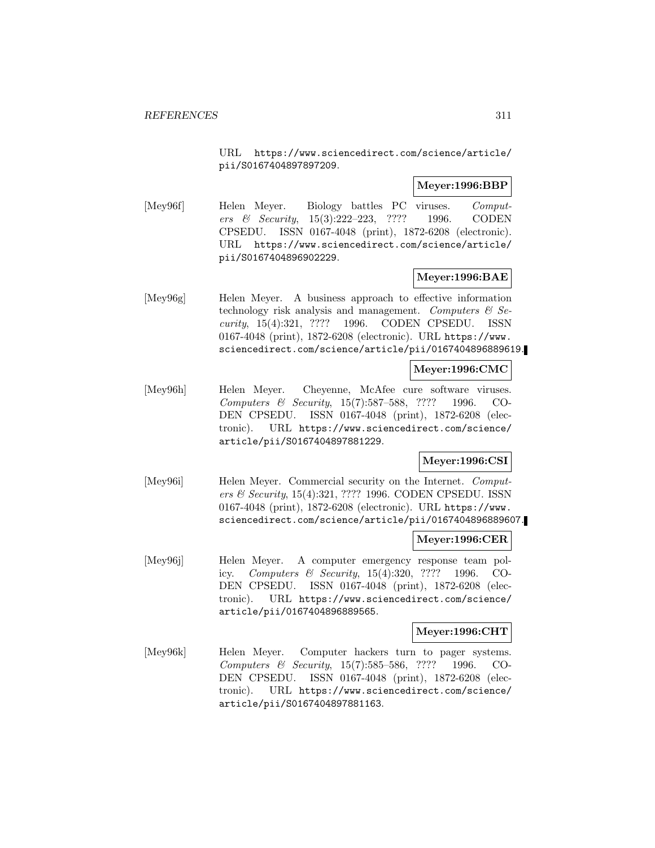URL https://www.sciencedirect.com/science/article/ pii/S0167404897897209.

# **Meyer:1996:BBP**

[Mey96f] Helen Meyer. Biology battles PC viruses. Computers & Security, 15(3):222–223, ???? 1996. CODEN CPSEDU. ISSN 0167-4048 (print), 1872-6208 (electronic). URL https://www.sciencedirect.com/science/article/ pii/S0167404896902229.

## **Meyer:1996:BAE**

[Mey96g] Helen Meyer. A business approach to effective information technology risk analysis and management. Computers  $\mathcal{C}$  Security, 15(4):321, ???? 1996. CODEN CPSEDU. ISSN 0167-4048 (print), 1872-6208 (electronic). URL https://www. sciencedirect.com/science/article/pii/0167404896889619.

## **Meyer:1996:CMC**

[Mey96h] Helen Meyer. Cheyenne, McAfee cure software viruses. Computers & Security, 15(7):587–588, ???? 1996. CO-DEN CPSEDU. ISSN 0167-4048 (print), 1872-6208 (electronic). URL https://www.sciencedirect.com/science/ article/pii/S0167404897881229.

# **Meyer:1996:CSI**

[Mey96i] Helen Meyer. Commercial security on the Internet. Computers & Security, 15(4):321, ???? 1996. CODEN CPSEDU. ISSN 0167-4048 (print), 1872-6208 (electronic). URL https://www. sciencedirect.com/science/article/pii/0167404896889607.

### **Meyer:1996:CER**

[Mey96j] Helen Meyer. A computer emergency response team policy. Computers & Security, 15(4):320, ???? 1996. CO-DEN CPSEDU. ISSN 0167-4048 (print), 1872-6208 (electronic). URL https://www.sciencedirect.com/science/ article/pii/0167404896889565.

#### **Meyer:1996:CHT**

[Mey96k] Helen Meyer. Computer hackers turn to pager systems. Computers & Security, 15(7):585–586, ???? 1996. CO-DEN CPSEDU. ISSN 0167-4048 (print), 1872-6208 (electronic). URL https://www.sciencedirect.com/science/ article/pii/S0167404897881163.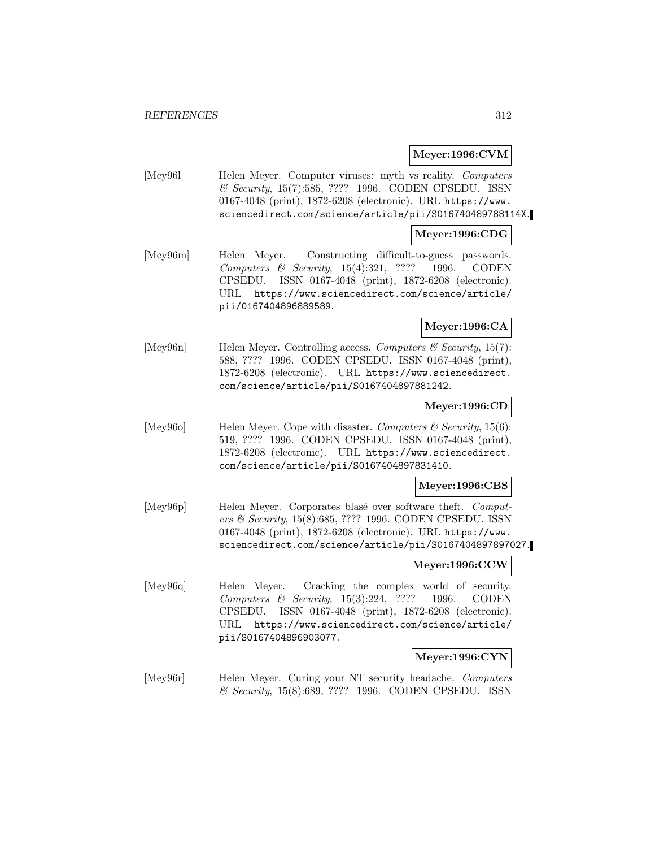### **Meyer:1996:CVM**

[Mey961] Helen Meyer. Computer viruses: myth vs reality. Computers & Security, 15(7):585, ???? 1996. CODEN CPSEDU. ISSN 0167-4048 (print), 1872-6208 (electronic). URL https://www. sciencedirect.com/science/article/pii/S016740489788114X.

#### **Meyer:1996:CDG**

[Mey96m] Helen Meyer. Constructing difficult-to-guess passwords. Computers & Security, 15(4):321, ???? 1996. CODEN CPSEDU. ISSN 0167-4048 (print), 1872-6208 (electronic). URL https://www.sciencedirect.com/science/article/ pii/0167404896889589.

## **Meyer:1996:CA**

[Mey96n] Helen Meyer. Controlling access. Computers  $\mathcal C$  Security, 15(7): 588, ???? 1996. CODEN CPSEDU. ISSN 0167-4048 (print), 1872-6208 (electronic). URL https://www.sciencedirect. com/science/article/pii/S0167404897881242.

#### **Meyer:1996:CD**

[Mey96o] Helen Meyer. Cope with disaster. Computers  $\mathcal{C}$  Security, 15(6): 519, ???? 1996. CODEN CPSEDU. ISSN 0167-4048 (print), 1872-6208 (electronic). URL https://www.sciencedirect. com/science/article/pii/S0167404897831410.

#### **Meyer:1996:CBS**

[Mey96p] Helen Meyer. Corporates blasé over software theft. Computers & Security, 15(8):685, ???? 1996. CODEN CPSEDU. ISSN 0167-4048 (print), 1872-6208 (electronic). URL https://www. sciencedirect.com/science/article/pii/S0167404897897027.

### **Meyer:1996:CCW**

[Mey96q] Helen Meyer. Cracking the complex world of security. Computers & Security, 15(3):224, ???? 1996. CODEN CPSEDU. ISSN 0167-4048 (print), 1872-6208 (electronic). URL https://www.sciencedirect.com/science/article/ pii/S0167404896903077.

### **Meyer:1996:CYN**

[Mey96r] Helen Meyer. Curing your NT security headache. Computers & Security, 15(8):689, ???? 1996. CODEN CPSEDU. ISSN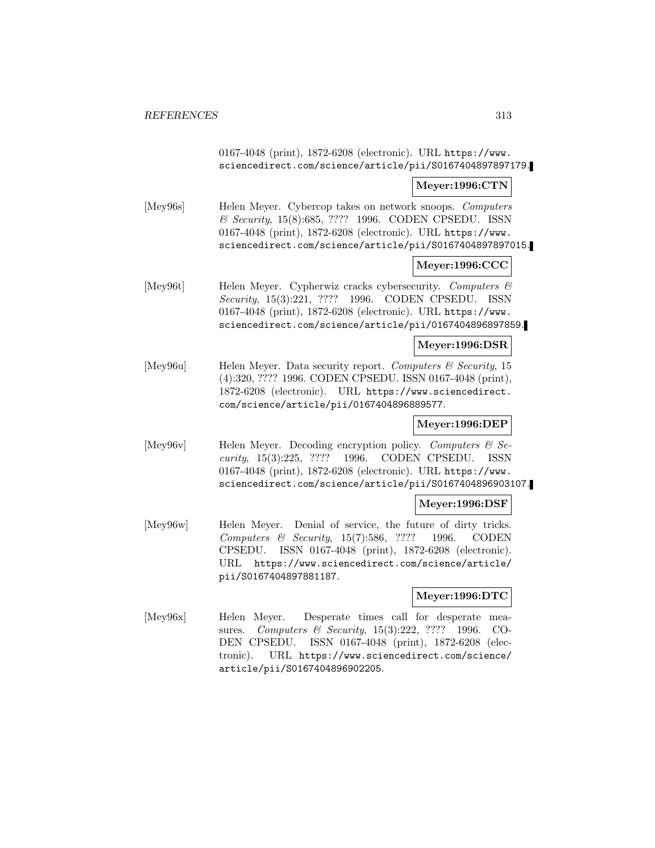0167-4048 (print), 1872-6208 (electronic). URL https://www. sciencedirect.com/science/article/pii/S0167404897897179. **Meyer:1996:CTN** [Mey96s] Helen Meyer. Cybercop takes on network snoops. Computers & Security, 15(8):685, ???? 1996. CODEN CPSEDU. ISSN 0167-4048 (print), 1872-6208 (electronic). URL https://www. sciencedirect.com/science/article/pii/S0167404897897015. **Meyer:1996:CCC** [Mey96t] Helen Meyer. Cypherwiz cracks cybersecurity. Computers & Security, 15(3):221, ???? 1996. CODEN CPSEDU. ISSN 0167-4048 (print), 1872-6208 (electronic). URL https://www. sciencedirect.com/science/article/pii/0167404896897859. **Meyer:1996:DSR** [Mey96u] Helen Meyer. Data security report. Computers & Security, 15 (4):320, ???? 1996. CODEN CPSEDU. ISSN 0167-4048 (print), 1872-6208 (electronic). URL https://www.sciencedirect. com/science/article/pii/0167404896889577. **Meyer:1996:DEP** [Mey96v] Helen Meyer. Decoding encryption policy. Computers  $\mathcal{C}$  Security, 15(3):225, ???? 1996. CODEN CPSEDU. ISSN 0167-4048 (print), 1872-6208 (electronic). URL https://www. sciencedirect.com/science/article/pii/S0167404896903107. **Meyer:1996:DSF** [Mey96w] Helen Meyer. Denial of service, the future of dirty tricks. Computers & Security, 15(7):586, ???? 1996. CODEN CPSEDU. ISSN 0167-4048 (print), 1872-6208 (electronic). URL https://www.sciencedirect.com/science/article/ pii/S0167404897881187. **Meyer:1996:DTC** [Mey96x] Helen Meyer. Desperate times call for desperate measures. Computers & Security, 15(3):222, ???? 1996. CO-DEN CPSEDU. ISSN 0167-4048 (print), 1872-6208 (electronic). URL https://www.sciencedirect.com/science/ article/pii/S0167404896902205.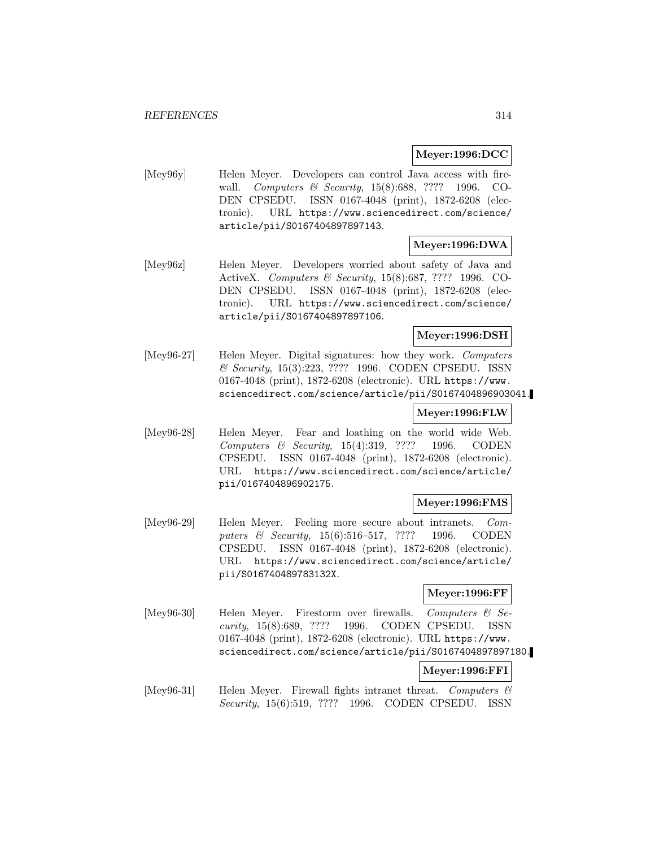## **Meyer:1996:DCC**

[Mey96y] Helen Meyer. Developers can control Java access with firewall. Computers & Security, 15(8):688, ???? 1996. CO-DEN CPSEDU. ISSN 0167-4048 (print), 1872-6208 (electronic). URL https://www.sciencedirect.com/science/ article/pii/S0167404897897143.

## **Meyer:1996:DWA**

[Mey96z] Helen Meyer. Developers worried about safety of Java and ActiveX. Computers & Security, 15(8):687, ???? 1996. CO-DEN CPSEDU. ISSN 0167-4048 (print), 1872-6208 (electronic). URL https://www.sciencedirect.com/science/ article/pii/S0167404897897106.

## **Meyer:1996:DSH**

[Mey96-27] Helen Meyer. Digital signatures: how they work. Computers & Security, 15(3):223, ???? 1996. CODEN CPSEDU. ISSN 0167-4048 (print), 1872-6208 (electronic). URL https://www. sciencedirect.com/science/article/pii/S0167404896903041.

### **Meyer:1996:FLW**

[Mey96-28] Helen Meyer. Fear and loathing on the world wide Web. Computers & Security, 15(4):319, ???? 1996. CODEN CPSEDU. ISSN 0167-4048 (print), 1872-6208 (electronic). URL https://www.sciencedirect.com/science/article/ pii/0167404896902175.

### **Meyer:1996:FMS**

[Mey96-29] Helen Meyer. Feeling more secure about intranets. Computers & Security, 15(6):516–517, ???? 1996. CODEN CPSEDU. ISSN 0167-4048 (print), 1872-6208 (electronic). URL https://www.sciencedirect.com/science/article/ pii/S016740489783132X.

### **Meyer:1996:FF**

[Mey96-30] Helen Meyer. Firestorm over firewalls. Computers & Security, 15(8):689, ???? 1996. CODEN CPSEDU. ISSN 0167-4048 (print), 1872-6208 (electronic). URL https://www. sciencedirect.com/science/article/pii/S0167404897897180.

### **Meyer:1996:FFI**

[Mey96-31] Helen Meyer. Firewall fights intranet threat. Computers  $\mathcal{C}$ Security, 15(6):519, ???? 1996. CODEN CPSEDU. ISSN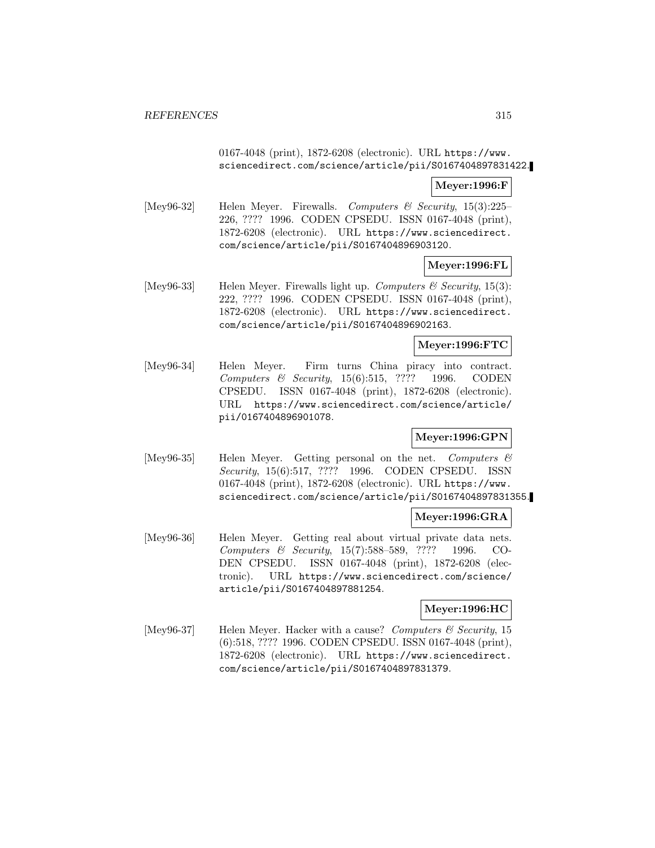0167-4048 (print), 1872-6208 (electronic). URL https://www. sciencedirect.com/science/article/pii/S0167404897831422.

## **Meyer:1996:F**

[Mey96-32] Helen Meyer. Firewalls. Computers & Security,  $15(3):225-$ 226, ???? 1996. CODEN CPSEDU. ISSN 0167-4048 (print), 1872-6208 (electronic). URL https://www.sciencedirect. com/science/article/pii/S0167404896903120.

**Meyer:1996:FL**

[Mey96-33] Helen Meyer. Firewalls light up. *Computers & Security*, 15(3): 222, ???? 1996. CODEN CPSEDU. ISSN 0167-4048 (print), 1872-6208 (electronic). URL https://www.sciencedirect. com/science/article/pii/S0167404896902163.

# **Meyer:1996:FTC**

[Mey96-34] Helen Meyer. Firm turns China piracy into contract. Computers & Security, 15(6):515, ???? 1996. CODEN CPSEDU. ISSN 0167-4048 (print), 1872-6208 (electronic). URL https://www.sciencedirect.com/science/article/ pii/0167404896901078.

### **Meyer:1996:GPN**

[Mey96-35] Helen Meyer. Getting personal on the net. Computers & Security, 15(6):517, ???? 1996. CODEN CPSEDU. ISSN 0167-4048 (print), 1872-6208 (electronic). URL https://www. sciencedirect.com/science/article/pii/S0167404897831355.

### **Meyer:1996:GRA**

[Mey96-36] Helen Meyer. Getting real about virtual private data nets. Computers & Security, 15(7):588–589, ???? 1996. CO-DEN CPSEDU. ISSN 0167-4048 (print), 1872-6208 (electronic). URL https://www.sciencedirect.com/science/ article/pii/S0167404897881254.

### **Meyer:1996:HC**

[Mey96-37] Helen Meyer. Hacker with a cause? Computers  $\mathcal C$  Security, 15 (6):518, ???? 1996. CODEN CPSEDU. ISSN 0167-4048 (print), 1872-6208 (electronic). URL https://www.sciencedirect. com/science/article/pii/S0167404897831379.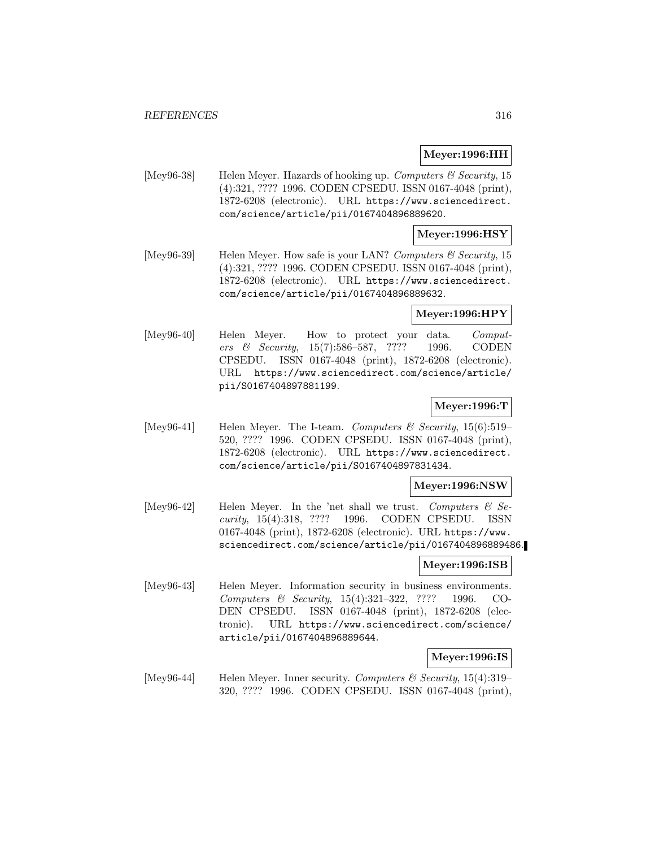#### **Meyer:1996:HH**

[Mey96-38] Helen Meyer. Hazards of hooking up. Computers  $\mathcal C$  Security, 15 (4):321, ???? 1996. CODEN CPSEDU. ISSN 0167-4048 (print), 1872-6208 (electronic). URL https://www.sciencedirect. com/science/article/pii/0167404896889620.

## **Meyer:1996:HSY**

[Mey96-39] Helen Meyer. How safe is your LAN? Computers & Security, 15 (4):321, ???? 1996. CODEN CPSEDU. ISSN 0167-4048 (print), 1872-6208 (electronic). URL https://www.sciencedirect. com/science/article/pii/0167404896889632.

#### **Meyer:1996:HPY**

[Mey96-40] Helen Meyer. How to protect your data. Computers & Security, 15(7):586–587, ???? 1996. CODEN CPSEDU. ISSN 0167-4048 (print), 1872-6208 (electronic). URL https://www.sciencedirect.com/science/article/ pii/S0167404897881199.

# **Meyer:1996:T**

[Mey96-41] Helen Meyer. The I-team. Computers & Security,  $15(6):519-$ 520, ???? 1996. CODEN CPSEDU. ISSN 0167-4048 (print), 1872-6208 (electronic). URL https://www.sciencedirect. com/science/article/pii/S0167404897831434.

### **Meyer:1996:NSW**

[Mey96-42] Helen Meyer. In the 'net shall we trust. Computers  $\mathcal{C}$  Security, 15(4):318, ???? 1996. CODEN CPSEDU. ISSN 0167-4048 (print), 1872-6208 (electronic). URL https://www. sciencedirect.com/science/article/pii/0167404896889486.

### **Meyer:1996:ISB**

[Mey96-43] Helen Meyer. Information security in business environments. Computers & Security, 15(4):321–322, ???? 1996. CO-DEN CPSEDU. ISSN 0167-4048 (print), 1872-6208 (electronic). URL https://www.sciencedirect.com/science/ article/pii/0167404896889644.

### **Meyer:1996:IS**

[Mey96-44] Helen Meyer. Inner security. Computers & Security, 15(4):319– 320, ???? 1996. CODEN CPSEDU. ISSN 0167-4048 (print),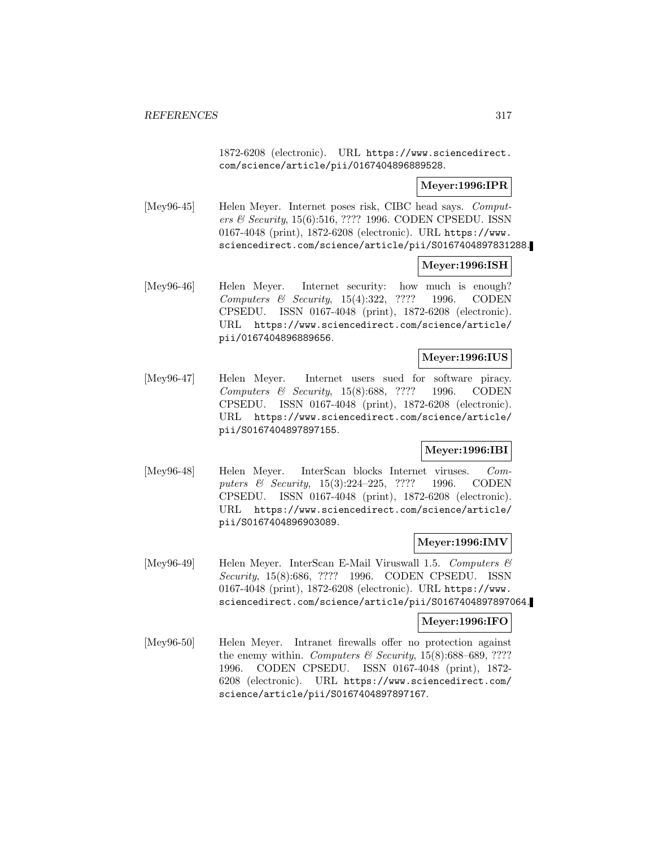1872-6208 (electronic). URL https://www.sciencedirect. com/science/article/pii/0167404896889528.

# **Meyer:1996:IPR**

[Mey96-45] Helen Meyer. Internet poses risk, CIBC head says. Computers & Security, 15(6):516, ???? 1996. CODEN CPSEDU. ISSN 0167-4048 (print), 1872-6208 (electronic). URL https://www. sciencedirect.com/science/article/pii/S0167404897831288.

## **Meyer:1996:ISH**

[Mey96-46] Helen Meyer. Internet security: how much is enough? Computers & Security, 15(4):322, ???? 1996. CODEN CPSEDU. ISSN 0167-4048 (print), 1872-6208 (electronic). URL https://www.sciencedirect.com/science/article/ pii/0167404896889656.

### **Meyer:1996:IUS**

[Mey96-47] Helen Meyer. Internet users sued for software piracy. Computers & Security, 15(8):688, ???? 1996. CODEN CPSEDU. ISSN 0167-4048 (print), 1872-6208 (electronic). URL https://www.sciencedirect.com/science/article/ pii/S0167404897897155.

# **Meyer:1996:IBI**

[Mey96-48] Helen Meyer. InterScan blocks Internet viruses. Computers & Security, 15(3):224–225, ???? 1996. CODEN CPSEDU. ISSN 0167-4048 (print), 1872-6208 (electronic). URL https://www.sciencedirect.com/science/article/ pii/S0167404896903089.

### **Meyer:1996:IMV**

[Mey96-49] Helen Meyer. InterScan E-Mail Viruswall 1.5. Computers  $\mathcal{B}$ Security, 15(8):686, ???? 1996. CODEN CPSEDU. ISSN 0167-4048 (print), 1872-6208 (electronic). URL https://www. sciencedirect.com/science/article/pii/S0167404897897064.

### **Meyer:1996:IFO**

[Mey96-50] Helen Meyer. Intranet firewalls offer no protection against the enemy within. Computers  $\mathcal B$  Security, 15(8):688–689, ???? 1996. CODEN CPSEDU. ISSN 0167-4048 (print), 1872- 6208 (electronic). URL https://www.sciencedirect.com/ science/article/pii/S0167404897897167.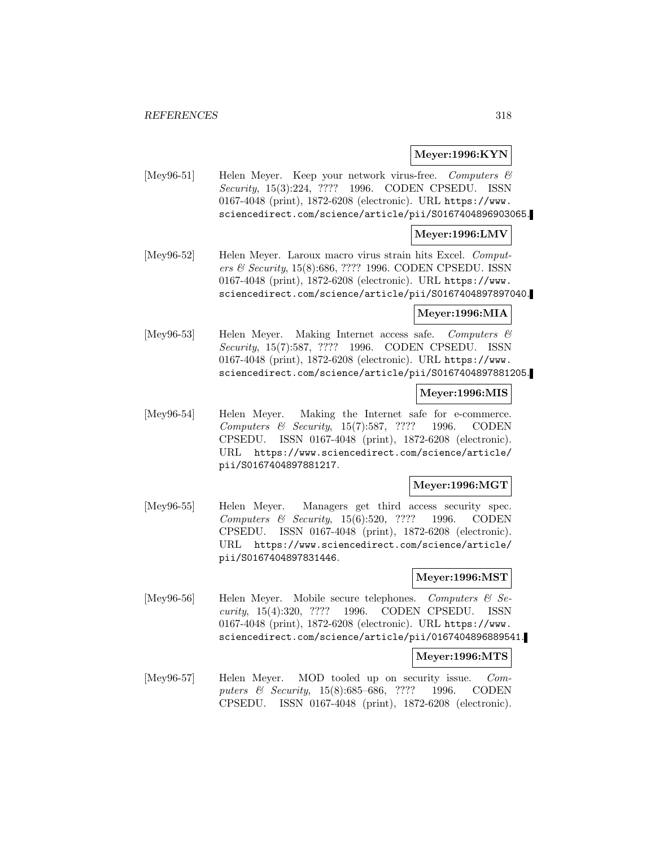## **Meyer:1996:KYN**

[Mey96-51] Helen Meyer. Keep your network virus-free. Computers & Security, 15(3):224, ???? 1996. CODEN CPSEDU. ISSN 0167-4048 (print), 1872-6208 (electronic). URL https://www. sciencedirect.com/science/article/pii/S0167404896903065.

### **Meyer:1996:LMV**

[Mey96-52] Helen Meyer. Laroux macro virus strain hits Excel. Computers & Security, 15(8):686, ???? 1996. CODEN CPSEDU. ISSN 0167-4048 (print), 1872-6208 (electronic). URL https://www. sciencedirect.com/science/article/pii/S0167404897897040.

## **Meyer:1996:MIA**

[Mey96-53] Helen Meyer. Making Internet access safe. Computers & Security, 15(7):587, ???? 1996. CODEN CPSEDU. ISSN 0167-4048 (print), 1872-6208 (electronic). URL https://www. sciencedirect.com/science/article/pii/S0167404897881205.

#### **Meyer:1996:MIS**

[Mey96-54] Helen Meyer. Making the Internet safe for e-commerce. Computers & Security, 15(7):587, ???? 1996. CODEN CPSEDU. ISSN 0167-4048 (print), 1872-6208 (electronic). URL https://www.sciencedirect.com/science/article/ pii/S0167404897881217.

### **Meyer:1996:MGT**

[Mey96-55] Helen Meyer. Managers get third access security spec. Computers & Security, 15(6):520, ???? 1996. CODEN CPSEDU. ISSN 0167-4048 (print), 1872-6208 (electronic). URL https://www.sciencedirect.com/science/article/ pii/S0167404897831446.

### **Meyer:1996:MST**

[Mey96-56] Helen Meyer. Mobile secure telephones. Computers & Security, 15(4):320, ???? 1996. CODEN CPSEDU. ISSN 0167-4048 (print), 1872-6208 (electronic). URL https://www. sciencedirect.com/science/article/pii/0167404896889541.

# **Meyer:1996:MTS**

[Mey96-57] Helen Meyer. MOD tooled up on security issue. Computers & Security, 15(8):685–686, ???? 1996. CODEN CPSEDU. ISSN 0167-4048 (print), 1872-6208 (electronic).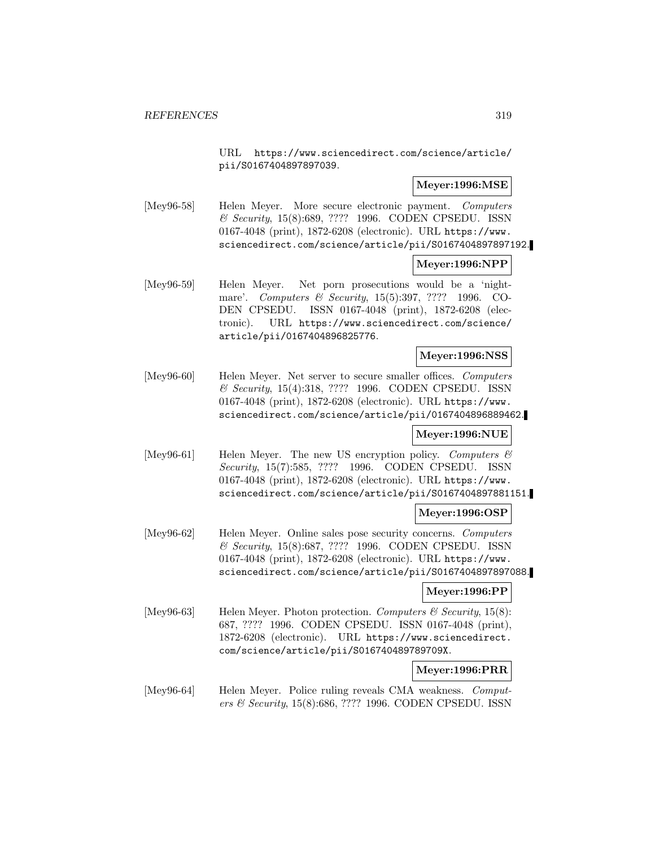URL https://www.sciencedirect.com/science/article/ pii/S0167404897897039.

## **Meyer:1996:MSE**

[Mey96-58] Helen Meyer. More secure electronic payment. Computers & Security, 15(8):689, ???? 1996. CODEN CPSEDU. ISSN 0167-4048 (print), 1872-6208 (electronic). URL https://www. sciencedirect.com/science/article/pii/S0167404897897192.

## **Meyer:1996:NPP**

[Mey96-59] Helen Meyer. Net porn prosecutions would be a 'nightmare'. Computers & Security, 15(5):397, ???? 1996. CO-DEN CPSEDU. ISSN 0167-4048 (print), 1872-6208 (electronic). URL https://www.sciencedirect.com/science/ article/pii/0167404896825776.

### **Meyer:1996:NSS**

[Mey96-60] Helen Meyer. Net server to secure smaller offices. Computers & Security, 15(4):318, ???? 1996. CODEN CPSEDU. ISSN 0167-4048 (print), 1872-6208 (electronic). URL https://www. sciencedirect.com/science/article/pii/0167404896889462.

### **Meyer:1996:NUE**

[Mey96-61] Helen Meyer. The new US encryption policy. Computers  $\mathcal{C}$ Security, 15(7):585, ???? 1996. CODEN CPSEDU. ISSN 0167-4048 (print), 1872-6208 (electronic). URL https://www. sciencedirect.com/science/article/pii/S0167404897881151.

### **Meyer:1996:OSP**

[Mey96-62] Helen Meyer. Online sales pose security concerns. Computers & Security, 15(8):687, ???? 1996. CODEN CPSEDU. ISSN 0167-4048 (print), 1872-6208 (electronic). URL https://www. sciencedirect.com/science/article/pii/S0167404897897088.

### **Meyer:1996:PP**

[Mey96-63] Helen Meyer. Photon protection. Computers  $\mathcal C$  Security, 15(8): 687, ???? 1996. CODEN CPSEDU. ISSN 0167-4048 (print), 1872-6208 (electronic). URL https://www.sciencedirect. com/science/article/pii/S016740489789709X.

### **Meyer:1996:PRR**

[Mey96-64] Helen Meyer. Police ruling reveals CMA weakness. Computers & Security, 15(8):686, ???? 1996. CODEN CPSEDU. ISSN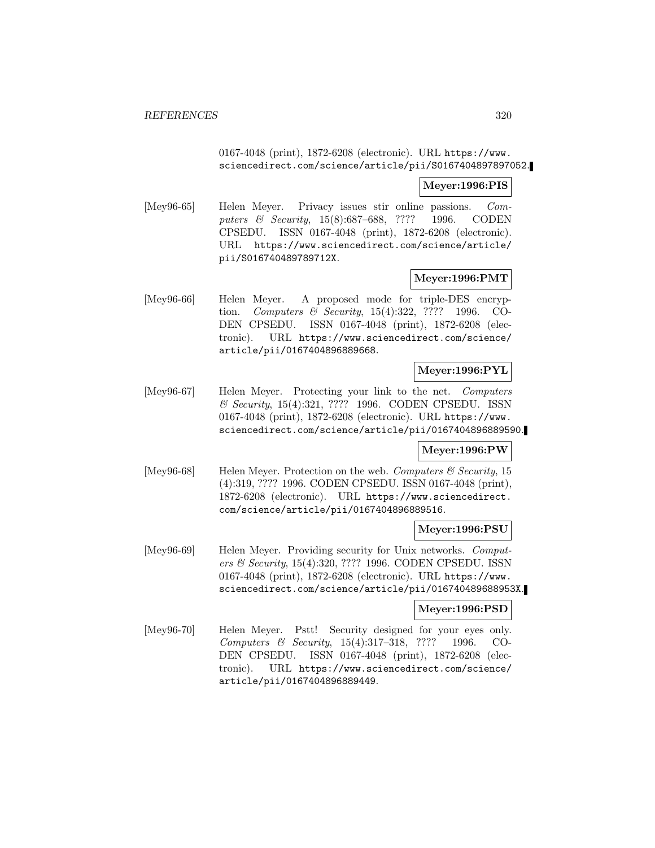# 0167-4048 (print), 1872-6208 (electronic). URL https://www. sciencedirect.com/science/article/pii/S0167404897897052.

## **Meyer:1996:PIS**

[Mey96-65] Helen Meyer. Privacy issues stir online passions. Computers & Security, 15(8):687–688, ???? 1996. CODEN CPSEDU. ISSN 0167-4048 (print), 1872-6208 (electronic). URL https://www.sciencedirect.com/science/article/ pii/S016740489789712X.

## **Meyer:1996:PMT**

[Mey96-66] Helen Meyer. A proposed mode for triple-DES encryption. Computers & Security, 15(4):322, ???? 1996. CO-DEN CPSEDU. ISSN 0167-4048 (print), 1872-6208 (electronic). URL https://www.sciencedirect.com/science/ article/pii/0167404896889668.

# **Meyer:1996:PYL**

[Mey96-67] Helen Meyer. Protecting your link to the net. Computers & Security, 15(4):321, ???? 1996. CODEN CPSEDU. ISSN 0167-4048 (print), 1872-6208 (electronic). URL https://www. sciencedirect.com/science/article/pii/0167404896889590.

### **Meyer:1996:PW**

[Mey96-68] Helen Meyer. Protection on the web. Computers  $\mathcal C$  Security, 15 (4):319, ???? 1996. CODEN CPSEDU. ISSN 0167-4048 (print), 1872-6208 (electronic). URL https://www.sciencedirect. com/science/article/pii/0167404896889516.

### **Meyer:1996:PSU**

[Mey96-69] Helen Meyer. Providing security for Unix networks. Computers & Security, 15(4):320, ???? 1996. CODEN CPSEDU. ISSN 0167-4048 (print), 1872-6208 (electronic). URL https://www. sciencedirect.com/science/article/pii/016740489688953X.

### **Meyer:1996:PSD**

[Mey96-70] Helen Meyer. Pstt! Security designed for your eyes only. Computers & Security, 15(4):317–318, ???? 1996. CO-DEN CPSEDU. ISSN 0167-4048 (print), 1872-6208 (electronic). URL https://www.sciencedirect.com/science/ article/pii/0167404896889449.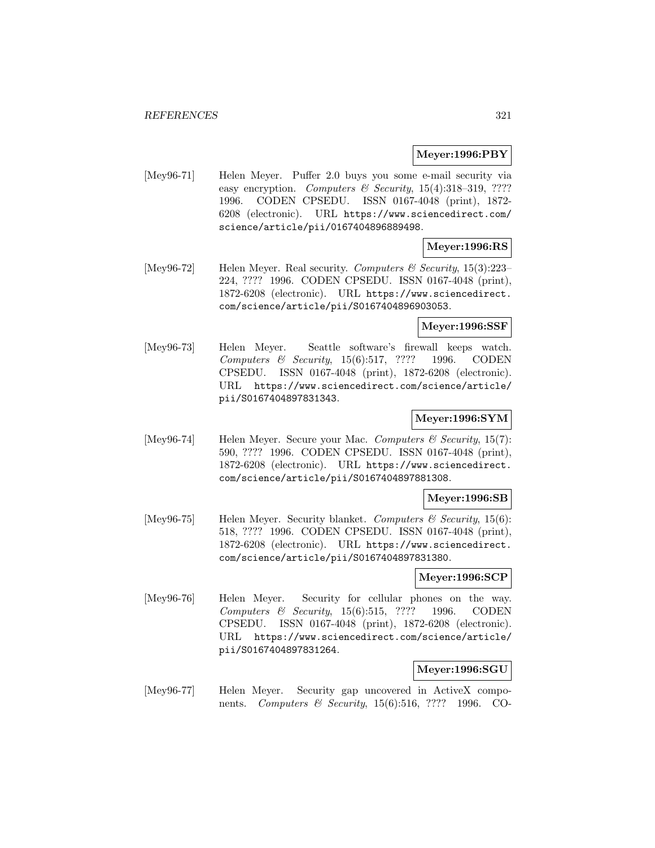### **Meyer:1996:PBY**

[Mey96-71] Helen Meyer. Puffer 2.0 buys you some e-mail security via easy encryption. Computers & Security,  $15(4):318-319$ , ???? 1996. CODEN CPSEDU. ISSN 0167-4048 (print), 1872- 6208 (electronic). URL https://www.sciencedirect.com/ science/article/pii/0167404896889498.

### **Meyer:1996:RS**

[Mey96-72] Helen Meyer. Real security. Computers & Security,  $15(3):223-$ 224, ???? 1996. CODEN CPSEDU. ISSN 0167-4048 (print), 1872-6208 (electronic). URL https://www.sciencedirect. com/science/article/pii/S0167404896903053.

### **Meyer:1996:SSF**

[Mey96-73] Helen Meyer. Seattle software's firewall keeps watch. Computers & Security, 15(6):517, ???? 1996. CODEN CPSEDU. ISSN 0167-4048 (print), 1872-6208 (electronic). URL https://www.sciencedirect.com/science/article/ pii/S0167404897831343.

# **Meyer:1996:SYM**

[Mey96-74] Helen Meyer. Secure your Mac. Computers  $\mathcal C$  Security, 15(7): 590, ???? 1996. CODEN CPSEDU. ISSN 0167-4048 (print), 1872-6208 (electronic). URL https://www.sciencedirect. com/science/article/pii/S0167404897881308.

#### **Meyer:1996:SB**

[Mey96-75] Helen Meyer. Security blanket. Computers  $\mathcal{B}$  Security, 15(6): 518, ???? 1996. CODEN CPSEDU. ISSN 0167-4048 (print), 1872-6208 (electronic). URL https://www.sciencedirect. com/science/article/pii/S0167404897831380.

#### **Meyer:1996:SCP**

[Mey96-76] Helen Meyer. Security for cellular phones on the way. Computers & Security, 15(6):515, ???? 1996. CODEN CPSEDU. ISSN 0167-4048 (print), 1872-6208 (electronic). URL https://www.sciencedirect.com/science/article/ pii/S0167404897831264.

### **Meyer:1996:SGU**

[Mey96-77] Helen Meyer. Security gap uncovered in ActiveX components. *Computers & Security*, 15(6):516, ???? 1996. CO-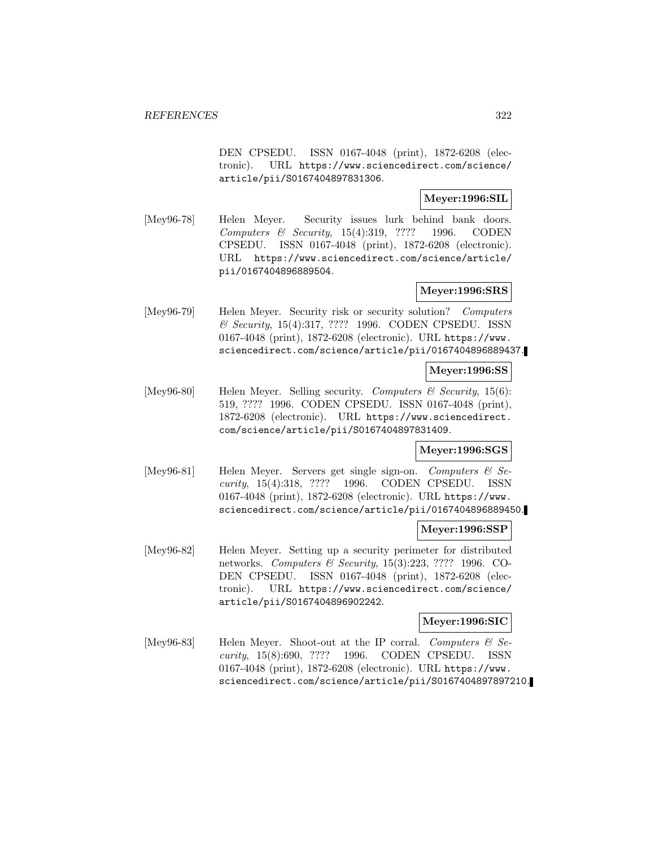DEN CPSEDU. ISSN 0167-4048 (print), 1872-6208 (electronic). URL https://www.sciencedirect.com/science/ article/pii/S0167404897831306.

## **Meyer:1996:SIL**

[Mey96-78] Helen Meyer. Security issues lurk behind bank doors. Computers & Security, 15(4):319, ???? 1996. CODEN CPSEDU. ISSN 0167-4048 (print), 1872-6208 (electronic). URL https://www.sciencedirect.com/science/article/ pii/0167404896889504.

# **Meyer:1996:SRS**

[Mey96-79] Helen Meyer. Security risk or security solution? Computers & Security, 15(4):317, ???? 1996. CODEN CPSEDU. ISSN 0167-4048 (print), 1872-6208 (electronic). URL https://www. sciencedirect.com/science/article/pii/0167404896889437.

# **Meyer:1996:SS**

[Mey96-80] Helen Meyer. Selling security. Computers & Security, 15(6): 519, ???? 1996. CODEN CPSEDU. ISSN 0167-4048 (print), 1872-6208 (electronic). URL https://www.sciencedirect. com/science/article/pii/S0167404897831409.

# **Meyer:1996:SGS**

[Mey96-81] Helen Meyer. Servers get single sign-on. Computers & Security, 15(4):318, ???? 1996. CODEN CPSEDU. ISSN 0167-4048 (print), 1872-6208 (electronic). URL https://www. sciencedirect.com/science/article/pii/0167404896889450.

# **Meyer:1996:SSP**

[Mey96-82] Helen Meyer. Setting up a security perimeter for distributed networks. Computers & Security, 15(3):223, ???? 1996. CO-DEN CPSEDU. ISSN 0167-4048 (print), 1872-6208 (electronic). URL https://www.sciencedirect.com/science/ article/pii/S0167404896902242.

### **Meyer:1996:SIC**

[Mey96-83] Helen Meyer. Shoot-out at the IP corral. Computers  $\mathcal{C}$  Security, 15(8):690, ???? 1996. CODEN CPSEDU. ISSN 0167-4048 (print), 1872-6208 (electronic). URL https://www. sciencedirect.com/science/article/pii/S0167404897897210.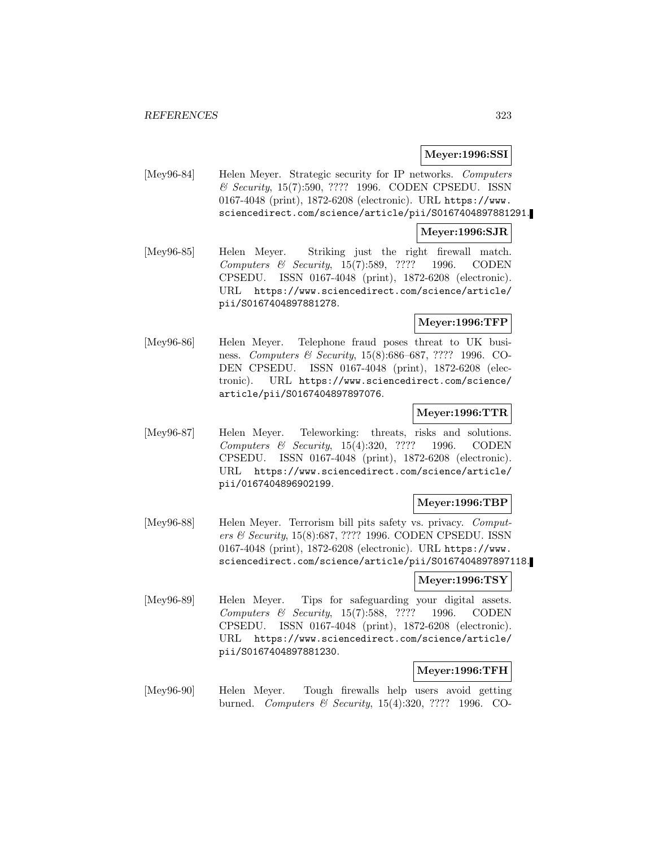## **Meyer:1996:SSI**

[Mey96-84] Helen Meyer. Strategic security for IP networks. Computers & Security, 15(7):590, ???? 1996. CODEN CPSEDU. ISSN 0167-4048 (print), 1872-6208 (electronic). URL https://www. sciencedirect.com/science/article/pii/S0167404897881291.

### **Meyer:1996:SJR**

[Mey96-85] Helen Meyer. Striking just the right firewall match. Computers & Security, 15(7):589, ???? 1996. CODEN CPSEDU. ISSN 0167-4048 (print), 1872-6208 (electronic). URL https://www.sciencedirect.com/science/article/ pii/S0167404897881278.

# **Meyer:1996:TFP**

[Mey96-86] Helen Meyer. Telephone fraud poses threat to UK business. Computers & Security, 15(8):686–687, ???? 1996. CO-DEN CPSEDU. ISSN 0167-4048 (print), 1872-6208 (electronic). URL https://www.sciencedirect.com/science/ article/pii/S0167404897897076.

# **Meyer:1996:TTR**

[Mey96-87] Helen Meyer. Teleworking: threats, risks and solutions. Computers & Security, 15(4):320, ???? 1996. CODEN CPSEDU. ISSN 0167-4048 (print), 1872-6208 (electronic). URL https://www.sciencedirect.com/science/article/ pii/0167404896902199.

### **Meyer:1996:TBP**

[Mey96-88] Helen Meyer. Terrorism bill pits safety vs. privacy. Computers & Security, 15(8):687, ???? 1996. CODEN CPSEDU. ISSN 0167-4048 (print), 1872-6208 (electronic). URL https://www. sciencedirect.com/science/article/pii/S0167404897897118.

# **Meyer:1996:TSY**

[Mey96-89] Helen Meyer. Tips for safeguarding your digital assets. Computers & Security, 15(7):588, ???? 1996. CODEN CPSEDU. ISSN 0167-4048 (print), 1872-6208 (electronic). URL https://www.sciencedirect.com/science/article/ pii/S0167404897881230.

### **Meyer:1996:TFH**

[Mey96-90] Helen Meyer. Tough firewalls help users avoid getting burned. Computers & Security, 15(4):320, ???? 1996. CO-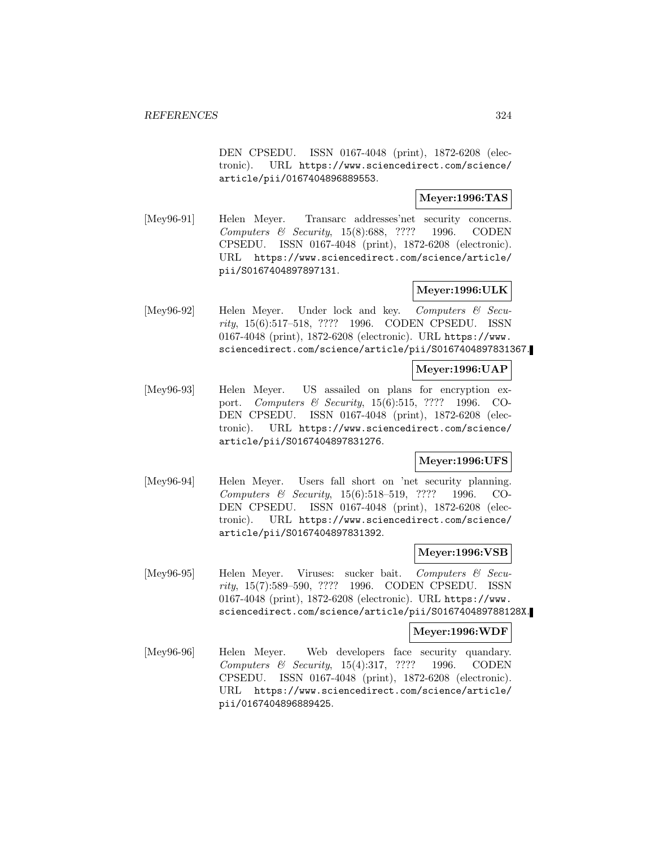DEN CPSEDU. ISSN 0167-4048 (print), 1872-6208 (electronic). URL https://www.sciencedirect.com/science/ article/pii/0167404896889553.

# **Meyer:1996:TAS**

[Mey96-91] Helen Meyer. Transarc addresses'net security concerns. Computers & Security, 15(8):688, ???? 1996. CODEN CPSEDU. ISSN 0167-4048 (print), 1872-6208 (electronic). URL https://www.sciencedirect.com/science/article/ pii/S0167404897897131.

# **Meyer:1996:ULK**

[Mey96-92] Helen Meyer. Under lock and key. Computers & Security, 15(6):517–518, ???? 1996. CODEN CPSEDU. ISSN 0167-4048 (print), 1872-6208 (electronic). URL https://www. sciencedirect.com/science/article/pii/S0167404897831367.

### **Meyer:1996:UAP**

[Mey96-93] Helen Meyer. US assailed on plans for encryption export. Computers & Security, 15(6):515, ???? 1996. CO-DEN CPSEDU. ISSN 0167-4048 (print), 1872-6208 (electronic). URL https://www.sciencedirect.com/science/ article/pii/S0167404897831276.

# **Meyer:1996:UFS**

[Mey96-94] Helen Meyer. Users fall short on 'net security planning. Computers & Security, 15(6):518–519, ???? 1996. CO-DEN CPSEDU. ISSN 0167-4048 (print), 1872-6208 (electronic). URL https://www.sciencedirect.com/science/ article/pii/S0167404897831392.

## **Meyer:1996:VSB**

[Mey96-95] Helen Meyer. Viruses: sucker bait. Computers & Security, 15(7):589–590, ???? 1996. CODEN CPSEDU. ISSN 0167-4048 (print), 1872-6208 (electronic). URL https://www. sciencedirect.com/science/article/pii/S016740489788128X.

### **Meyer:1996:WDF**

[Mey96-96] Helen Meyer. Web developers face security quandary. Computers & Security, 15(4):317, ???? 1996. CODEN CPSEDU. ISSN 0167-4048 (print), 1872-6208 (electronic). URL https://www.sciencedirect.com/science/article/ pii/0167404896889425.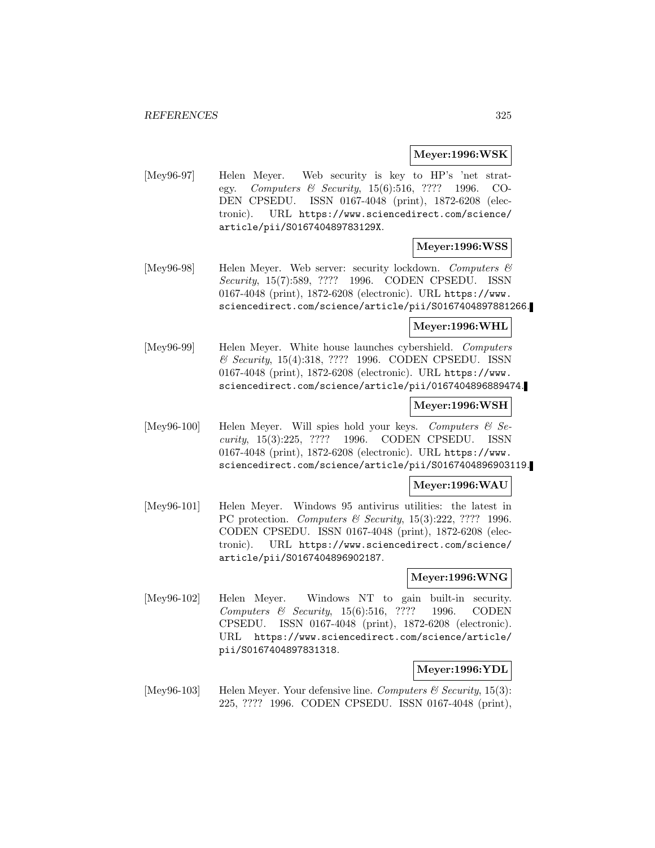#### **Meyer:1996:WSK**

[Mey96-97] Helen Meyer. Web security is key to HP's 'net strategy. Computers & Security, 15(6):516, ???? 1996. CO-DEN CPSEDU. ISSN 0167-4048 (print), 1872-6208 (electronic). URL https://www.sciencedirect.com/science/ article/pii/S016740489783129X.

# **Meyer:1996:WSS**

[Mey96-98] Helen Meyer. Web server: security lockdown. Computers & Security, 15(7):589, ???? 1996. CODEN CPSEDU. ISSN 0167-4048 (print), 1872-6208 (electronic). URL https://www. sciencedirect.com/science/article/pii/S0167404897881266.

### **Meyer:1996:WHL**

[Mey96-99] Helen Meyer. White house launches cybershield. Computers & Security, 15(4):318, ???? 1996. CODEN CPSEDU. ISSN 0167-4048 (print), 1872-6208 (electronic). URL https://www. sciencedirect.com/science/article/pii/0167404896889474.

### **Meyer:1996:WSH**

[Mey96-100] Helen Meyer. Will spies hold your keys. Computers  $\mathcal C$  Security, 15(3):225, ???? 1996. CODEN CPSEDU. ISSN 0167-4048 (print), 1872-6208 (electronic). URL https://www. sciencedirect.com/science/article/pii/S0167404896903119.

### **Meyer:1996:WAU**

[Mey96-101] Helen Meyer. Windows 95 antivirus utilities: the latest in PC protection. Computers & Security, 15(3):222, ???? 1996. CODEN CPSEDU. ISSN 0167-4048 (print), 1872-6208 (electronic). URL https://www.sciencedirect.com/science/ article/pii/S0167404896902187.

### **Meyer:1996:WNG**

[Mey96-102] Helen Meyer. Windows NT to gain built-in security. Computers & Security, 15(6):516, ???? 1996. CODEN CPSEDU. ISSN 0167-4048 (print), 1872-6208 (electronic). URL https://www.sciencedirect.com/science/article/ pii/S0167404897831318.

### **Meyer:1996:YDL**

[Mey96-103] Helen Meyer. Your defensive line. Computers  $\mathcal C$  Security, 15(3): 225, ???? 1996. CODEN CPSEDU. ISSN 0167-4048 (print),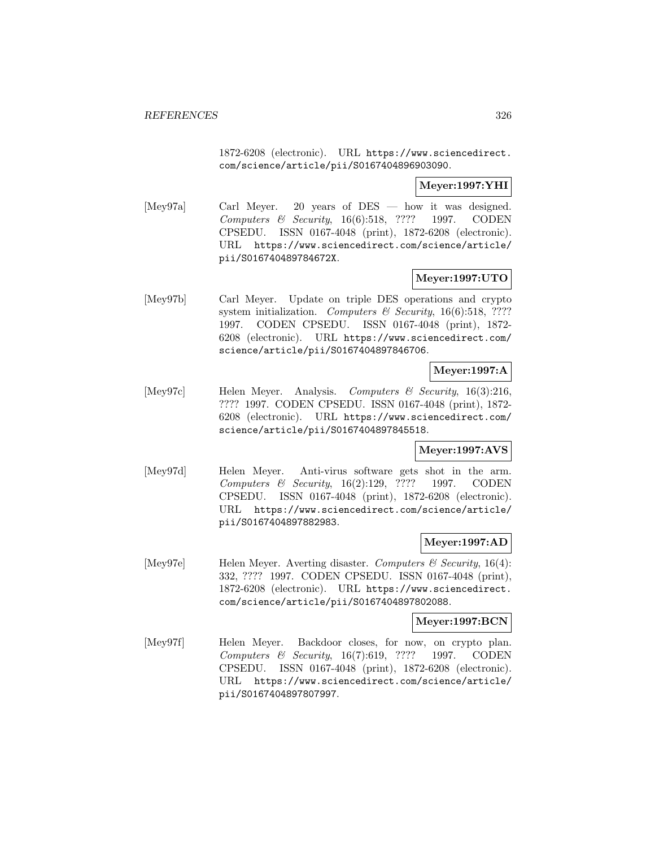1872-6208 (electronic). URL https://www.sciencedirect. com/science/article/pii/S0167404896903090.

## **Meyer:1997:YHI**

[Mey97a] Carl Meyer. 20 years of DES — how it was designed. Computers & Security, 16(6):518, ???? 1997. CODEN CPSEDU. ISSN 0167-4048 (print), 1872-6208 (electronic). URL https://www.sciencedirect.com/science/article/ pii/S016740489784672X.

# **Meyer:1997:UTO**

[Mey97b] Carl Meyer. Update on triple DES operations and crypto system initialization. Computers & Security, 16(6):518, ???? 1997. CODEN CPSEDU. ISSN 0167-4048 (print), 1872- 6208 (electronic). URL https://www.sciencedirect.com/ science/article/pii/S0167404897846706.

# **Meyer:1997:A**

[Mey97c] Helen Meyer. Analysis. Computers & Security, 16(3):216, ???? 1997. CODEN CPSEDU. ISSN 0167-4048 (print), 1872- 6208 (electronic). URL https://www.sciencedirect.com/ science/article/pii/S0167404897845518.

### **Meyer:1997:AVS**

[Mey97d] Helen Meyer. Anti-virus software gets shot in the arm. Computers & Security, 16(2):129, ???? 1997. CODEN CPSEDU. ISSN 0167-4048 (print), 1872-6208 (electronic). URL https://www.sciencedirect.com/science/article/ pii/S0167404897882983.

### **Meyer:1997:AD**

[Mey97e] Helen Meyer. Averting disaster. Computers  $\mathcal C$  Security, 16(4): 332, ???? 1997. CODEN CPSEDU. ISSN 0167-4048 (print), 1872-6208 (electronic). URL https://www.sciencedirect. com/science/article/pii/S0167404897802088.

#### **Meyer:1997:BCN**

[Mey97f] Helen Meyer. Backdoor closes, for now, on crypto plan. Computers & Security, 16(7):619, ???? 1997. CODEN CPSEDU. ISSN 0167-4048 (print), 1872-6208 (electronic). URL https://www.sciencedirect.com/science/article/ pii/S0167404897807997.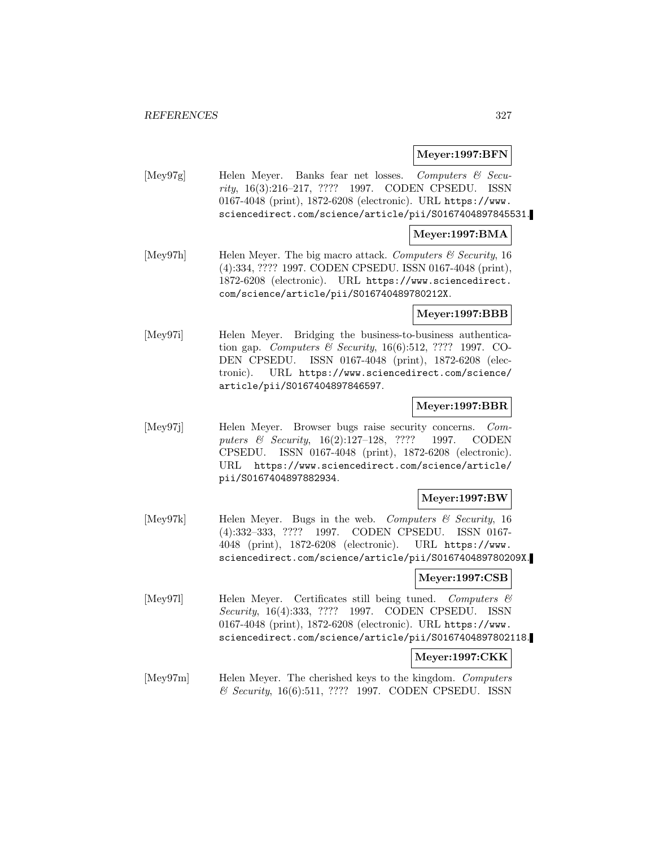## **Meyer:1997:BFN**

[Mey97g] Helen Meyer. Banks fear net losses. Computers & Security, 16(3):216–217, ???? 1997. CODEN CPSEDU. ISSN 0167-4048 (print), 1872-6208 (electronic). URL https://www. sciencedirect.com/science/article/pii/S0167404897845531.

## **Meyer:1997:BMA**

[Mey97h] Helen Meyer. The big macro attack. Computers  $\mathcal C$  Security, 16 (4):334, ???? 1997. CODEN CPSEDU. ISSN 0167-4048 (print), 1872-6208 (electronic). URL https://www.sciencedirect. com/science/article/pii/S016740489780212X.

## **Meyer:1997:BBB**

[Mey97i] Helen Meyer. Bridging the business-to-business authentication gap. Computers & Security, 16(6):512, ???? 1997. CO-DEN CPSEDU. ISSN 0167-4048 (print), 1872-6208 (electronic). URL https://www.sciencedirect.com/science/ article/pii/S0167404897846597.

# **Meyer:1997:BBR**

[Mey97j] Helen Meyer. Browser bugs raise security concerns. Computers & Security, 16(2):127–128, ???? 1997. CODEN CPSEDU. ISSN 0167-4048 (print), 1872-6208 (electronic). URL https://www.sciencedirect.com/science/article/ pii/S0167404897882934.

# **Meyer:1997:BW**

[Mey97k] Helen Meyer. Bugs in the web. Computers & Security, 16 (4):332–333, ???? 1997. CODEN CPSEDU. ISSN 0167- 4048 (print), 1872-6208 (electronic). URL https://www. sciencedirect.com/science/article/pii/S016740489780209X.

### **Meyer:1997:CSB**

[Mey971] Helen Meyer. Certificates still being tuned. Computers & Security, 16(4):333, ???? 1997. CODEN CPSEDU. ISSN 0167-4048 (print), 1872-6208 (electronic). URL https://www. sciencedirect.com/science/article/pii/S0167404897802118.

### **Meyer:1997:CKK**

[Mey97m] Helen Meyer. The cherished keys to the kingdom. Computers & Security, 16(6):511, ???? 1997. CODEN CPSEDU. ISSN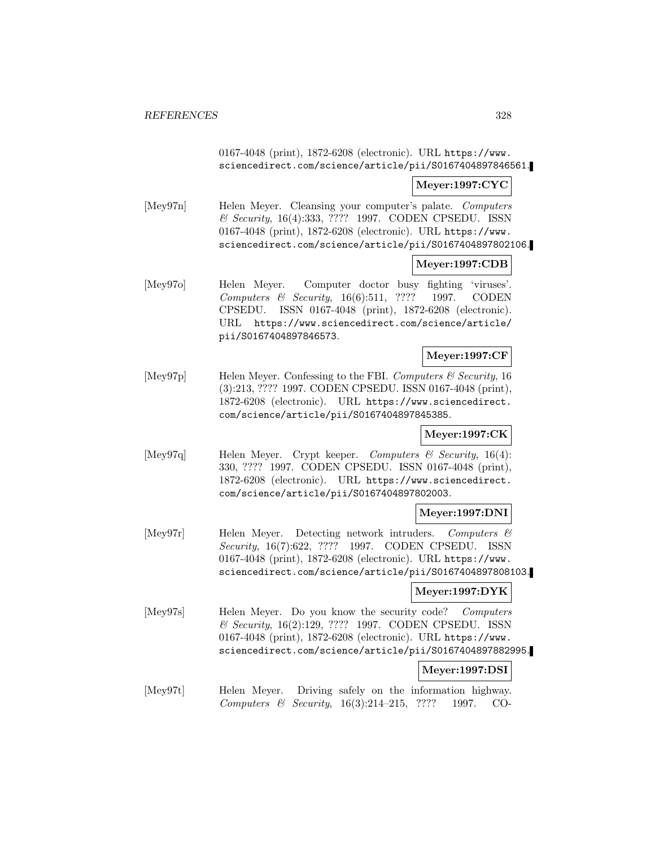0167-4048 (print), 1872-6208 (electronic). URL https://www. sciencedirect.com/science/article/pii/S0167404897846561.

### **Meyer:1997:CYC**

[Mey97n] Helen Meyer. Cleansing your computer's palate. Computers & Security, 16(4):333, ???? 1997. CODEN CPSEDU. ISSN 0167-4048 (print), 1872-6208 (electronic). URL https://www. sciencedirect.com/science/article/pii/S0167404897802106.

### **Meyer:1997:CDB**

[Mey97o] Helen Meyer. Computer doctor busy fighting 'viruses'. Computers & Security, 16(6):511, ???? 1997. CODEN CPSEDU. ISSN 0167-4048 (print), 1872-6208 (electronic). URL https://www.sciencedirect.com/science/article/ pii/S0167404897846573.

### **Meyer:1997:CF**

[Mey97p] Helen Meyer. Confessing to the FBI. Computers & Security, 16 (3):213, ???? 1997. CODEN CPSEDU. ISSN 0167-4048 (print), 1872-6208 (electronic). URL https://www.sciencedirect. com/science/article/pii/S0167404897845385.

### **Meyer:1997:CK**

[Mey97q] Helen Meyer. Crypt keeper. Computers & Security, 16(4): 330, ???? 1997. CODEN CPSEDU. ISSN 0167-4048 (print), 1872-6208 (electronic). URL https://www.sciencedirect. com/science/article/pii/S0167404897802003.

### **Meyer:1997:DNI**

[Mey97r] Helen Meyer. Detecting network intruders. Computers & Security, 16(7):622, ???? 1997. CODEN CPSEDU. ISSN 0167-4048 (print), 1872-6208 (electronic). URL https://www. sciencedirect.com/science/article/pii/S0167404897808103.

### **Meyer:1997:DYK**

[Mey97s] Helen Meyer. Do you know the security code? Computers & Security, 16(2):129, ???? 1997. CODEN CPSEDU. ISSN 0167-4048 (print), 1872-6208 (electronic). URL https://www. sciencedirect.com/science/article/pii/S0167404897882995.

#### **Meyer:1997:DSI**

[Mey97t] Helen Meyer. Driving safely on the information highway. Computers & Security, 16(3):214–215, ???? 1997. CO-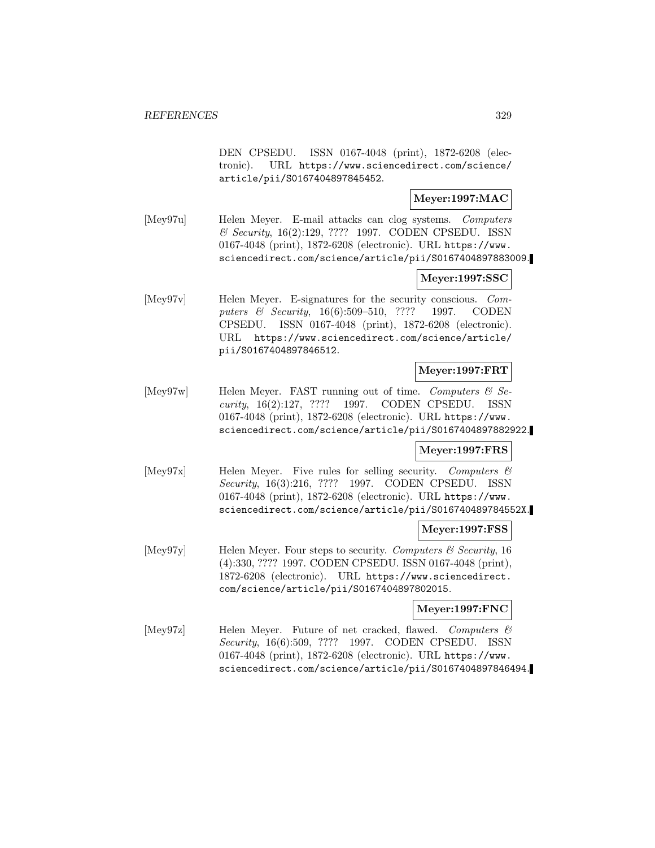DEN CPSEDU. ISSN 0167-4048 (print), 1872-6208 (electronic). URL https://www.sciencedirect.com/science/ article/pii/S0167404897845452.

## **Meyer:1997:MAC**

[Mey97u] Helen Meyer. E-mail attacks can clog systems. Computers & Security, 16(2):129, ???? 1997. CODEN CPSEDU. ISSN 0167-4048 (print), 1872-6208 (electronic). URL https://www. sciencedirect.com/science/article/pii/S0167404897883009.

# **Meyer:1997:SSC**

[Mey97v] Helen Meyer. E-signatures for the security conscious. Computers & Security, 16(6):509–510, ???? 1997. CODEN CPSEDU. ISSN 0167-4048 (print), 1872-6208 (electronic). URL https://www.sciencedirect.com/science/article/ pii/S0167404897846512.

# **Meyer:1997:FRT**

 $[\text{Mey97w}]$  Helen Meyer. FAST running out of time. Computers & Security, 16(2):127, ???? 1997. CODEN CPSEDU. ISSN 0167-4048 (print), 1872-6208 (electronic). URL https://www. sciencedirect.com/science/article/pii/S0167404897882922.

### **Meyer:1997:FRS**

[Mey97x] Helen Meyer. Five rules for selling security. Computers & Security, 16(3):216, ???? 1997. CODEN CPSEDU. ISSN 0167-4048 (print), 1872-6208 (electronic). URL https://www. sciencedirect.com/science/article/pii/S016740489784552X.

### **Meyer:1997:FSS**

[Mey97y] Helen Meyer. Four steps to security. Computers  $\mathcal{C}$  Security, 16 (4):330, ???? 1997. CODEN CPSEDU. ISSN 0167-4048 (print), 1872-6208 (electronic). URL https://www.sciencedirect. com/science/article/pii/S0167404897802015.

### **Meyer:1997:FNC**

[Mey97z] Helen Meyer. Future of net cracked, flawed. Computers & Security, 16(6):509, ???? 1997. CODEN CPSEDU. ISSN 0167-4048 (print), 1872-6208 (electronic). URL https://www. sciencedirect.com/science/article/pii/S0167404897846494.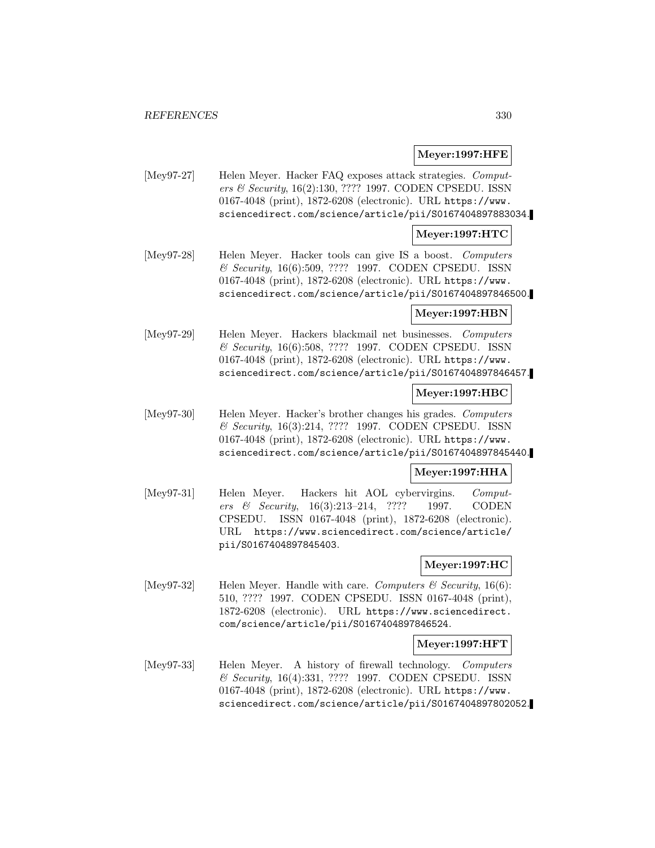### **Meyer:1997:HFE**

[Mey97-27] Helen Meyer. Hacker FAQ exposes attack strategies. Computers & Security, 16(2):130, ???? 1997. CODEN CPSEDU. ISSN 0167-4048 (print), 1872-6208 (electronic). URL https://www. sciencedirect.com/science/article/pii/S0167404897883034.

### **Meyer:1997:HTC**

[Mey97-28] Helen Meyer. Hacker tools can give IS a boost. Computers & Security, 16(6):509, ???? 1997. CODEN CPSEDU. ISSN 0167-4048 (print), 1872-6208 (electronic). URL https://www. sciencedirect.com/science/article/pii/S0167404897846500.

## **Meyer:1997:HBN**

[Mey97-29] Helen Meyer. Hackers blackmail net businesses. Computers & Security, 16(6):508, ???? 1997. CODEN CPSEDU. ISSN 0167-4048 (print), 1872-6208 (electronic). URL https://www. sciencedirect.com/science/article/pii/S0167404897846457.

### **Meyer:1997:HBC**

[Mey97-30] Helen Meyer. Hacker's brother changes his grades. Computers & Security, 16(3):214, ???? 1997. CODEN CPSEDU. ISSN 0167-4048 (print), 1872-6208 (electronic). URL https://www. sciencedirect.com/science/article/pii/S0167404897845440.

# **Meyer:1997:HHA**

[Mey97-31] Helen Meyer. Hackers hit AOL cybervirgins. Computers & Security, 16(3):213–214, ???? 1997. CODEN CPSEDU. ISSN 0167-4048 (print), 1872-6208 (electronic). URL https://www.sciencedirect.com/science/article/ pii/S0167404897845403.

# **Meyer:1997:HC**

[Mey97-32] Helen Meyer. Handle with care. Computers  $\mathcal C$  Security, 16(6): 510, ???? 1997. CODEN CPSEDU. ISSN 0167-4048 (print), 1872-6208 (electronic). URL https://www.sciencedirect. com/science/article/pii/S0167404897846524.

### **Meyer:1997:HFT**

[Mey97-33] Helen Meyer. A history of firewall technology. Computers & Security, 16(4):331, ???? 1997. CODEN CPSEDU. ISSN 0167-4048 (print), 1872-6208 (electronic). URL https://www. sciencedirect.com/science/article/pii/S0167404897802052.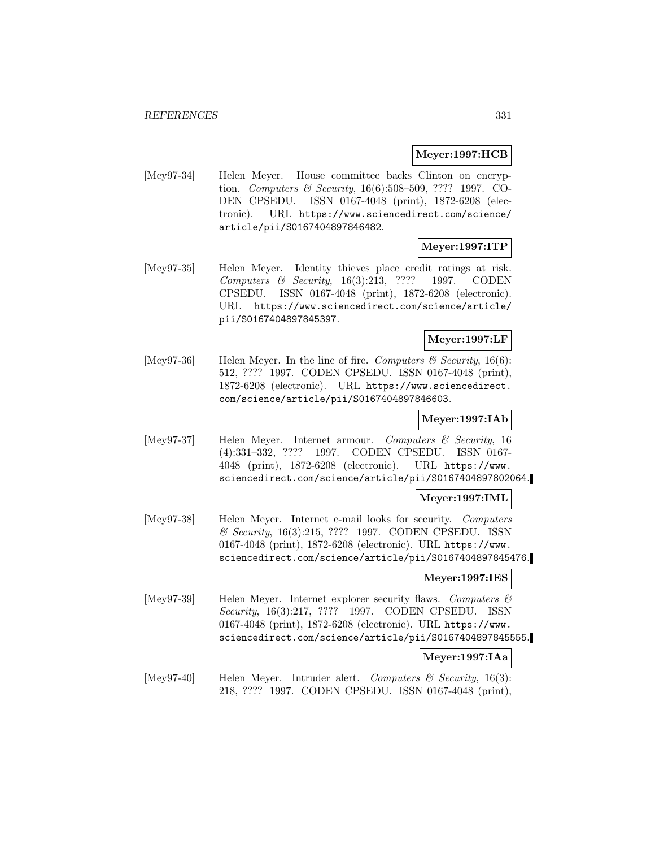## **Meyer:1997:HCB**

[Mey97-34] Helen Meyer. House committee backs Clinton on encryption. Computers & Security, 16(6):508-509, ???? 1997. CO-DEN CPSEDU. ISSN 0167-4048 (print), 1872-6208 (electronic). URL https://www.sciencedirect.com/science/ article/pii/S0167404897846482.

# **Meyer:1997:ITP**

[Mey97-35] Helen Meyer. Identity thieves place credit ratings at risk. Computers & Security, 16(3):213, ???? 1997. CODEN CPSEDU. ISSN 0167-4048 (print), 1872-6208 (electronic). URL https://www.sciencedirect.com/science/article/ pii/S0167404897845397.

## **Meyer:1997:LF**

[Mey97-36] Helen Meyer. In the line of fire. Computers  $\mathcal C$  Security, 16(6): 512, ???? 1997. CODEN CPSEDU. ISSN 0167-4048 (print), 1872-6208 (electronic). URL https://www.sciencedirect. com/science/article/pii/S0167404897846603.

## **Meyer:1997:IAb**

[Mey97-37] Helen Meyer. Internet armour. Computers & Security, 16 (4):331–332, ???? 1997. CODEN CPSEDU. ISSN 0167- 4048 (print), 1872-6208 (electronic). URL https://www. sciencedirect.com/science/article/pii/S0167404897802064.

### **Meyer:1997:IML**

[Mey97-38] Helen Meyer. Internet e-mail looks for security. Computers & Security, 16(3):215, ???? 1997. CODEN CPSEDU. ISSN 0167-4048 (print), 1872-6208 (electronic). URL https://www. sciencedirect.com/science/article/pii/S0167404897845476.

### **Meyer:1997:IES**

[Mey97-39] Helen Meyer. Internet explorer security flaws. Computers & Security, 16(3):217, ???? 1997. CODEN CPSEDU. ISSN 0167-4048 (print), 1872-6208 (electronic). URL https://www. sciencedirect.com/science/article/pii/S0167404897845555.

### **Meyer:1997:IAa**

[Mey97-40] Helen Meyer. Intruder alert. Computers & Security, 16(3): 218, ???? 1997. CODEN CPSEDU. ISSN 0167-4048 (print),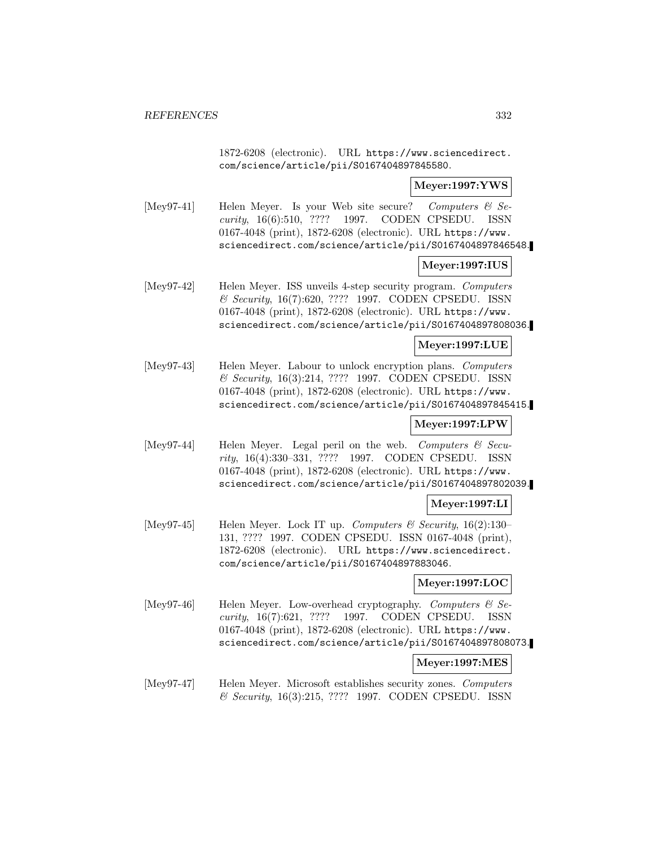1872-6208 (electronic). URL https://www.sciencedirect. com/science/article/pii/S0167404897845580.

## **Meyer:1997:YWS**

[Mey97-41] Helen Meyer. Is your Web site secure? Computers  $\mathcal{C}$  Security, 16(6):510, ???? 1997. CODEN CPSEDU. ISSN 0167-4048 (print), 1872-6208 (electronic). URL https://www. sciencedirect.com/science/article/pii/S0167404897846548.

## **Meyer:1997:IUS**

[Mey97-42] Helen Meyer. ISS unveils 4-step security program. Computers & Security, 16(7):620, ???? 1997. CODEN CPSEDU. ISSN 0167-4048 (print), 1872-6208 (electronic). URL https://www. sciencedirect.com/science/article/pii/S0167404897808036.

## **Meyer:1997:LUE**

[Mey97-43] Helen Meyer. Labour to unlock encryption plans. Computers & Security, 16(3):214, ???? 1997. CODEN CPSEDU. ISSN 0167-4048 (print), 1872-6208 (electronic). URL https://www. sciencedirect.com/science/article/pii/S0167404897845415.

# **Meyer:1997:LPW**

[Mey97-44] Helen Meyer. Legal peril on the web. Computers  $\mathcal{C}$  Security, 16(4):330–331, ???? 1997. CODEN CPSEDU. ISSN 0167-4048 (print), 1872-6208 (electronic). URL https://www. sciencedirect.com/science/article/pii/S0167404897802039.

# **Meyer:1997:LI**

[Mey97-45] Helen Meyer. Lock IT up. Computers & Security,  $16(2):130-$ 131, ???? 1997. CODEN CPSEDU. ISSN 0167-4048 (print), 1872-6208 (electronic). URL https://www.sciencedirect. com/science/article/pii/S0167404897883046.

# **Meyer:1997:LOC**

[Mey97-46] Helen Meyer. Low-overhead cryptography. Computers  $\mathcal{C}$  Security, 16(7):621, ???? 1997. CODEN CPSEDU. ISSN 0167-4048 (print), 1872-6208 (electronic). URL https://www. sciencedirect.com/science/article/pii/S0167404897808073.

### **Meyer:1997:MES**

[Mey97-47] Helen Meyer. Microsoft establishes security zones. Computers & Security, 16(3):215, ???? 1997. CODEN CPSEDU. ISSN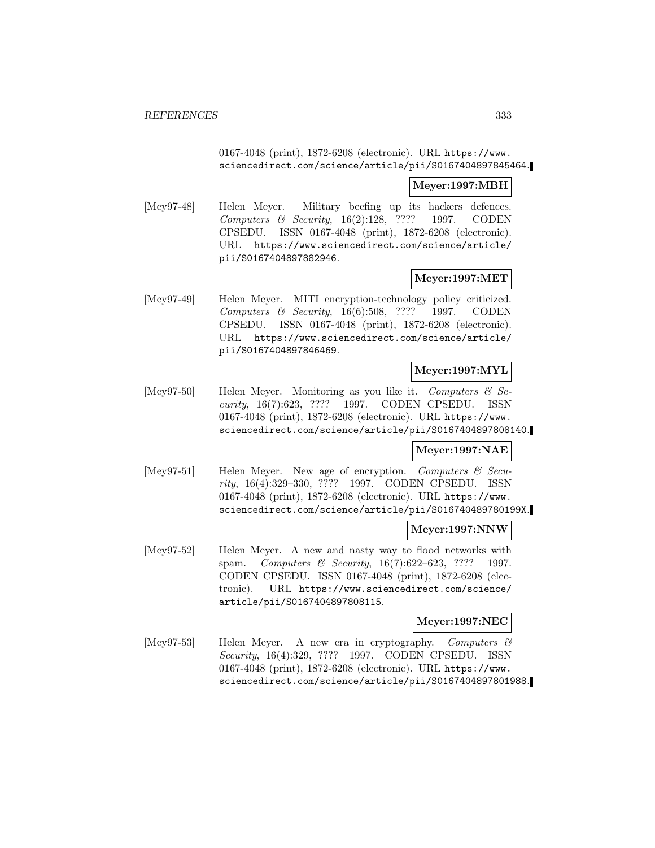## 0167-4048 (print), 1872-6208 (electronic). URL https://www. sciencedirect.com/science/article/pii/S0167404897845464.

### **Meyer:1997:MBH**

[Mey97-48] Helen Meyer. Military beefing up its hackers defences. Computers & Security, 16(2):128, ???? 1997. CODEN CPSEDU. ISSN 0167-4048 (print), 1872-6208 (electronic). URL https://www.sciencedirect.com/science/article/ pii/S0167404897882946.

## **Meyer:1997:MET**

[Mey97-49] Helen Meyer. MITI encryption-technology policy criticized. Computers & Security, 16(6):508, ???? 1997. CODEN CPSEDU. ISSN 0167-4048 (print), 1872-6208 (electronic). URL https://www.sciencedirect.com/science/article/ pii/S0167404897846469.

# **Meyer:1997:MYL**

[Mey97-50] Helen Meyer. Monitoring as you like it. Computers  $\mathcal{C}$  Security, 16(7):623, ???? 1997. CODEN CPSEDU. ISSN 0167-4048 (print), 1872-6208 (electronic). URL https://www. sciencedirect.com/science/article/pii/S0167404897808140.

# **Meyer:1997:NAE**

[Mey97-51] Helen Meyer. New age of encryption. Computers & Security, 16(4):329–330, ???? 1997. CODEN CPSEDU. ISSN 0167-4048 (print), 1872-6208 (electronic). URL https://www. sciencedirect.com/science/article/pii/S016740489780199X.

### **Meyer:1997:NNW**

[Mey97-52] Helen Meyer. A new and nasty way to flood networks with spam. Computers & Security, 16(7):622-623, ???? 1997. CODEN CPSEDU. ISSN 0167-4048 (print), 1872-6208 (electronic). URL https://www.sciencedirect.com/science/ article/pii/S0167404897808115.

### **Meyer:1997:NEC**

[Mey97-53] Helen Meyer. A new era in cryptography. Computers & Security, 16(4):329, ???? 1997. CODEN CPSEDU. ISSN 0167-4048 (print), 1872-6208 (electronic). URL https://www. sciencedirect.com/science/article/pii/S0167404897801988.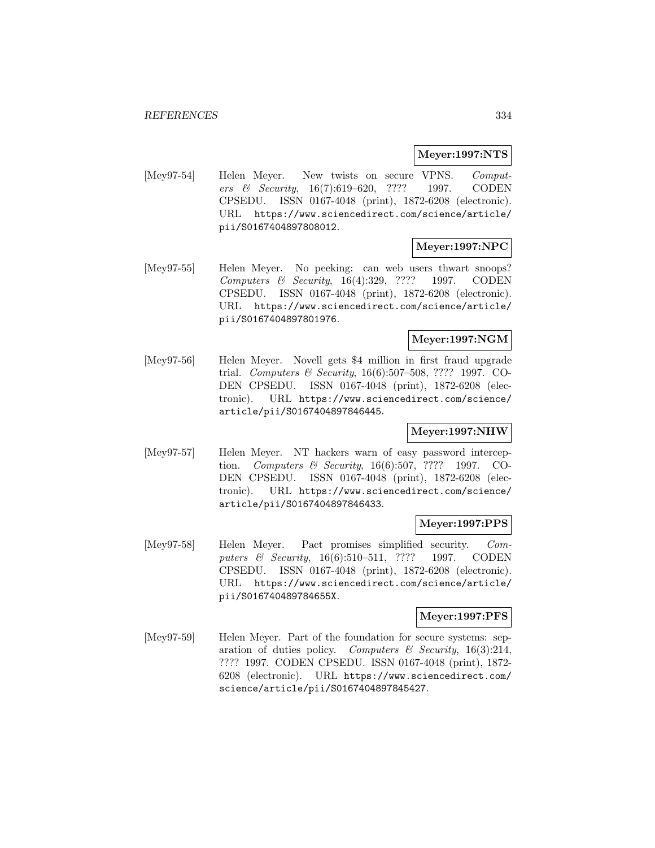#### **Meyer:1997:NTS**

[Mey97-54] Helen Meyer. New twists on secure VPNS. Computers & Security, 16(7):619–620, ???? 1997. CODEN CPSEDU. ISSN 0167-4048 (print), 1872-6208 (electronic). URL https://www.sciencedirect.com/science/article/ pii/S0167404897808012.

# **Meyer:1997:NPC**

[Mey97-55] Helen Meyer. No peeking: can web users thwart snoops? Computers & Security, 16(4):329, ???? 1997. CODEN CPSEDU. ISSN 0167-4048 (print), 1872-6208 (electronic). URL https://www.sciencedirect.com/science/article/ pii/S0167404897801976.

## **Meyer:1997:NGM**

[Mey97-56] Helen Meyer. Novell gets \$4 million in first fraud upgrade trial. Computers & Security, 16(6):507–508, ???? 1997. CO-DEN CPSEDU. ISSN 0167-4048 (print), 1872-6208 (electronic). URL https://www.sciencedirect.com/science/ article/pii/S0167404897846445.

# **Meyer:1997:NHW**

[Mey97-57] Helen Meyer. NT hackers warn of easy password interception. Computers & Security, 16(6):507, ???? 1997. CO-DEN CPSEDU. ISSN 0167-4048 (print), 1872-6208 (electronic). URL https://www.sciencedirect.com/science/ article/pii/S0167404897846433.

### **Meyer:1997:PPS**

[Mey97-58] Helen Meyer. Pact promises simplified security. Computers & Security, 16(6):510-511, ???? 1997. CODEN CPSEDU. ISSN 0167-4048 (print), 1872-6208 (electronic). URL https://www.sciencedirect.com/science/article/ pii/S016740489784655X.

## **Meyer:1997:PFS**

[Mey97-59] Helen Meyer. Part of the foundation for secure systems: separation of duties policy. Computers & Security,  $16(3):214$ , ???? 1997. CODEN CPSEDU. ISSN 0167-4048 (print), 1872- 6208 (electronic). URL https://www.sciencedirect.com/ science/article/pii/S0167404897845427.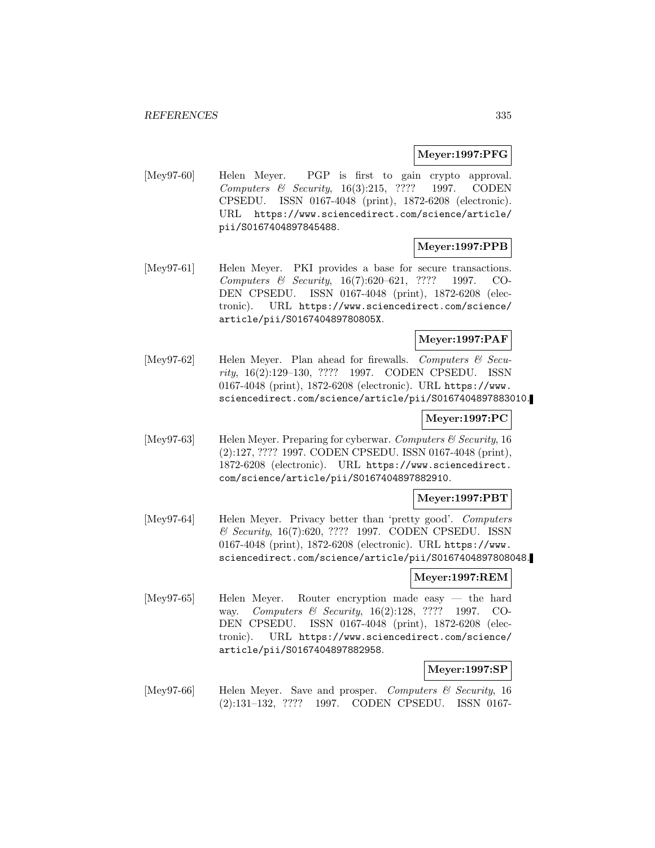### **Meyer:1997:PFG**

[Mey97-60] Helen Meyer. PGP is first to gain crypto approval. Computers & Security, 16(3):215, ???? 1997. CODEN CPSEDU. ISSN 0167-4048 (print), 1872-6208 (electronic). URL https://www.sciencedirect.com/science/article/ pii/S0167404897845488.

# **Meyer:1997:PPB**

[Mey97-61] Helen Meyer. PKI provides a base for secure transactions. Computers & Security, 16(7):620–621, ???? 1997. CO-DEN CPSEDU. ISSN 0167-4048 (print), 1872-6208 (electronic). URL https://www.sciencedirect.com/science/ article/pii/S016740489780805X.

# **Meyer:1997:PAF**

[Mey97-62] Helen Meyer. Plan ahead for firewalls. Computers & Security, 16(2):129–130, ???? 1997. CODEN CPSEDU. ISSN 0167-4048 (print), 1872-6208 (electronic). URL https://www. sciencedirect.com/science/article/pii/S0167404897883010.

### **Meyer:1997:PC**

[Mey97-63] Helen Meyer. Preparing for cyberwar. Computers & Security, 16 (2):127, ???? 1997. CODEN CPSEDU. ISSN 0167-4048 (print), 1872-6208 (electronic). URL https://www.sciencedirect. com/science/article/pii/S0167404897882910.

### **Meyer:1997:PBT**

[Mey97-64] Helen Meyer. Privacy better than 'pretty good'. Computers & Security, 16(7):620, ???? 1997. CODEN CPSEDU. ISSN 0167-4048 (print), 1872-6208 (electronic). URL https://www. sciencedirect.com/science/article/pii/S0167404897808048.

#### **Meyer:1997:REM**

[Mey97-65] Helen Meyer. Router encryption made easy — the hard way. Computers & Security, 16(2):128, ???? 1997. CO-DEN CPSEDU. ISSN 0167-4048 (print), 1872-6208 (electronic). URL https://www.sciencedirect.com/science/ article/pii/S0167404897882958.

# **Meyer:1997:SP**

[Mey97-66] Helen Meyer. Save and prosper. Computers & Security, 16 (2):131–132, ???? 1997. CODEN CPSEDU. ISSN 0167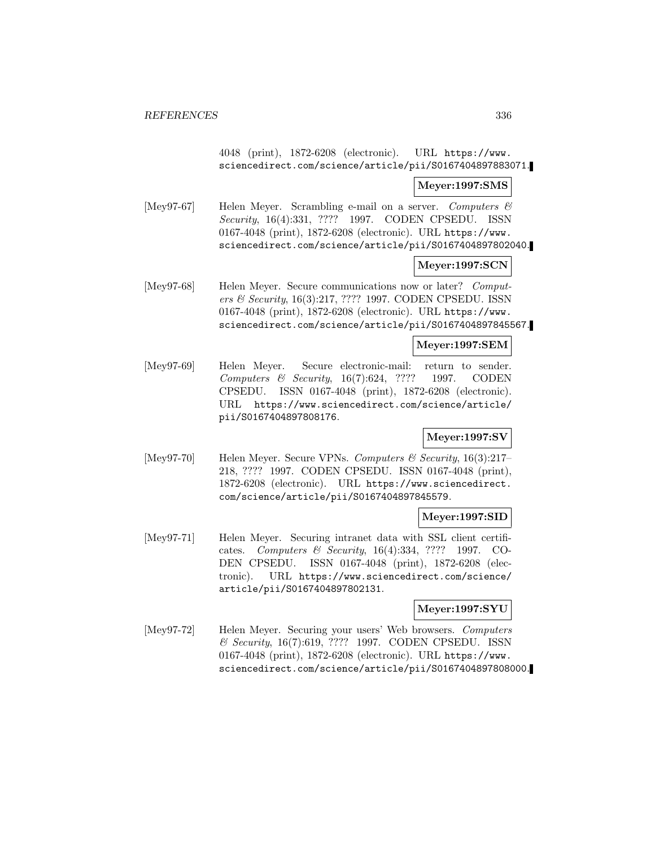4048 (print), 1872-6208 (electronic). URL https://www. sciencedirect.com/science/article/pii/S0167404897883071.

#### **Meyer:1997:SMS**

[Mey97-67] Helen Meyer. Scrambling e-mail on a server. Computers & Security, 16(4):331, ???? 1997. CODEN CPSEDU. ISSN 0167-4048 (print), 1872-6208 (electronic). URL https://www. sciencedirect.com/science/article/pii/S0167404897802040.

### **Meyer:1997:SCN**

[Mey97-68] Helen Meyer. Secure communications now or later? Computers & Security, 16(3):217, ???? 1997. CODEN CPSEDU. ISSN 0167-4048 (print), 1872-6208 (electronic). URL https://www. sciencedirect.com/science/article/pii/S0167404897845567.

### **Meyer:1997:SEM**

[Mey97-69] Helen Meyer. Secure electronic-mail: return to sender. Computers & Security, 16(7):624, ???? 1997. CODEN CPSEDU. ISSN 0167-4048 (print), 1872-6208 (electronic). URL https://www.sciencedirect.com/science/article/ pii/S0167404897808176.

# **Meyer:1997:SV**

[Mey97-70] Helen Meyer. Secure VPNs. Computers & Security, 16(3):217– 218, ???? 1997. CODEN CPSEDU. ISSN 0167-4048 (print), 1872-6208 (electronic). URL https://www.sciencedirect. com/science/article/pii/S0167404897845579.

### **Meyer:1997:SID**

[Mey97-71] Helen Meyer. Securing intranet data with SSL client certificates. Computers & Security, 16(4):334, ???? 1997. CO-DEN CPSEDU. ISSN 0167-4048 (print), 1872-6208 (electronic). URL https://www.sciencedirect.com/science/ article/pii/S0167404897802131.

### **Meyer:1997:SYU**

[Mey97-72] Helen Meyer. Securing your users' Web browsers. Computers & Security, 16(7):619, ???? 1997. CODEN CPSEDU. ISSN 0167-4048 (print), 1872-6208 (electronic). URL https://www. sciencedirect.com/science/article/pii/S0167404897808000.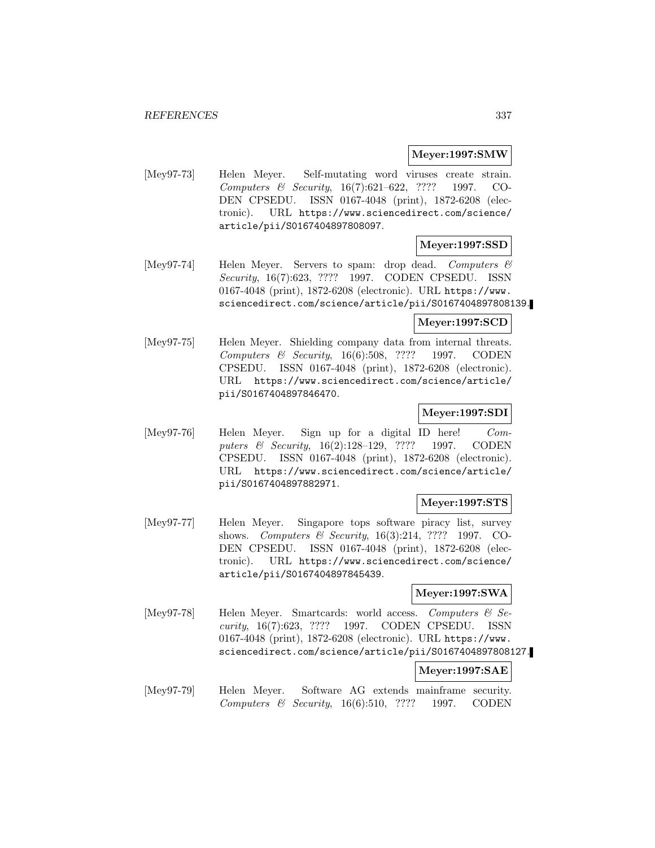#### **Meyer:1997:SMW**

[Mey97-73] Helen Meyer. Self-mutating word viruses create strain. Computers & Security, 16(7):621–622, ???? 1997. CO-DEN CPSEDU. ISSN 0167-4048 (print), 1872-6208 (electronic). URL https://www.sciencedirect.com/science/ article/pii/S0167404897808097.

## **Meyer:1997:SSD**

[Mey97-74] Helen Meyer. Servers to spam: drop dead. Computers & Security, 16(7):623, ???? 1997. CODEN CPSEDU. ISSN 0167-4048 (print), 1872-6208 (electronic). URL https://www. sciencedirect.com/science/article/pii/S0167404897808139.

**Meyer:1997:SCD**

[Mey97-75] Helen Meyer. Shielding company data from internal threats. Computers & Security, 16(6):508, ???? 1997. CODEN CPSEDU. ISSN 0167-4048 (print), 1872-6208 (electronic). URL https://www.sciencedirect.com/science/article/ pii/S0167404897846470.

### **Meyer:1997:SDI**

[Mey97-76] Helen Meyer. Sign up for a digital ID here! Computers & Security, 16(2):128–129, ???? 1997. CODEN CPSEDU. ISSN 0167-4048 (print), 1872-6208 (electronic). URL https://www.sciencedirect.com/science/article/ pii/S0167404897882971.

### **Meyer:1997:STS**

[Mey97-77] Helen Meyer. Singapore tops software piracy list, survey shows. Computers & Security, 16(3):214, ???? 1997. CO-DEN CPSEDU. ISSN 0167-4048 (print), 1872-6208 (electronic). URL https://www.sciencedirect.com/science/ article/pii/S0167404897845439.

### **Meyer:1997:SWA**

[Mey97-78] Helen Meyer. Smartcards: world access. Computers & Security, 16(7):623, ???? 1997. CODEN CPSEDU. ISSN 0167-4048 (print), 1872-6208 (electronic). URL https://www. sciencedirect.com/science/article/pii/S0167404897808127.

## **Meyer:1997:SAE**

[Mey97-79] Helen Meyer. Software AG extends mainframe security. Computers & Security, 16(6):510, ???? 1997. CODEN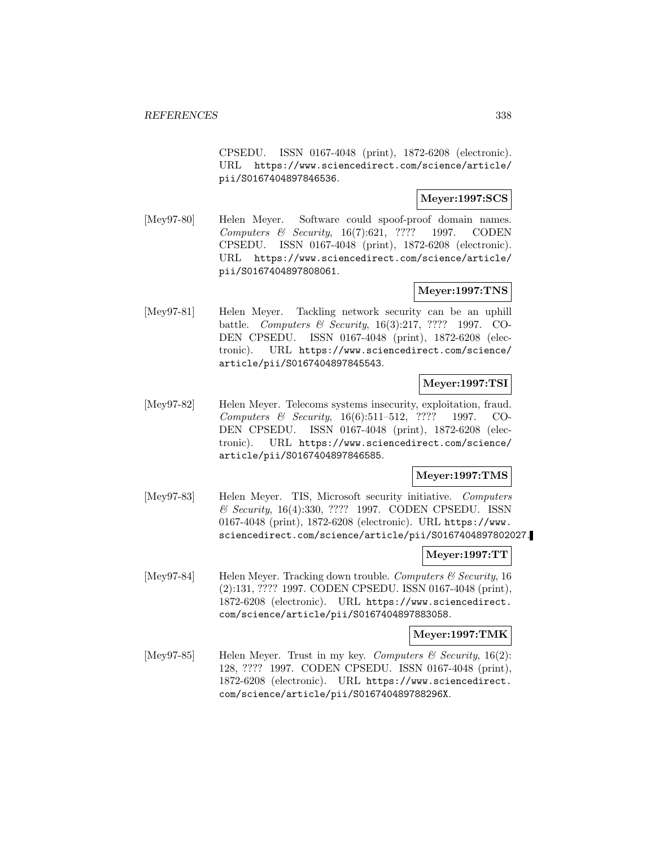CPSEDU. ISSN 0167-4048 (print), 1872-6208 (electronic). URL https://www.sciencedirect.com/science/article/ pii/S0167404897846536.

## **Meyer:1997:SCS**

[Mey97-80] Helen Meyer. Software could spoof-proof domain names. Computers & Security, 16(7):621, ???? 1997. CODEN CPSEDU. ISSN 0167-4048 (print), 1872-6208 (electronic). URL https://www.sciencedirect.com/science/article/ pii/S0167404897808061.

# **Meyer:1997:TNS**

[Mey97-81] Helen Meyer. Tackling network security can be an uphill battle. Computers & Security, 16(3):217, ???? 1997. CO-DEN CPSEDU. ISSN 0167-4048 (print), 1872-6208 (electronic). URL https://www.sciencedirect.com/science/ article/pii/S0167404897845543.

### **Meyer:1997:TSI**

[Mey97-82] Helen Meyer. Telecoms systems insecurity, exploitation, fraud. Computers & Security, 16(6):511–512, ???? 1997. CO-DEN CPSEDU. ISSN 0167-4048 (print), 1872-6208 (electronic). URL https://www.sciencedirect.com/science/ article/pii/S0167404897846585.

# **Meyer:1997:TMS**

[Mey97-83] Helen Meyer. TIS, Microsoft security initiative. Computers & Security, 16(4):330, ???? 1997. CODEN CPSEDU. ISSN 0167-4048 (print), 1872-6208 (electronic). URL https://www. sciencedirect.com/science/article/pii/S0167404897802027.

### **Meyer:1997:TT**

[Mey97-84] Helen Meyer. Tracking down trouble. Computers & Security, 16 (2):131, ???? 1997. CODEN CPSEDU. ISSN 0167-4048 (print), 1872-6208 (electronic). URL https://www.sciencedirect. com/science/article/pii/S0167404897883058.

### **Meyer:1997:TMK**

[Mey97-85] Helen Meyer. Trust in my key. Computers  $\mathcal{C}$  Security, 16(2): 128, ???? 1997. CODEN CPSEDU. ISSN 0167-4048 (print), 1872-6208 (electronic). URL https://www.sciencedirect. com/science/article/pii/S016740489788296X.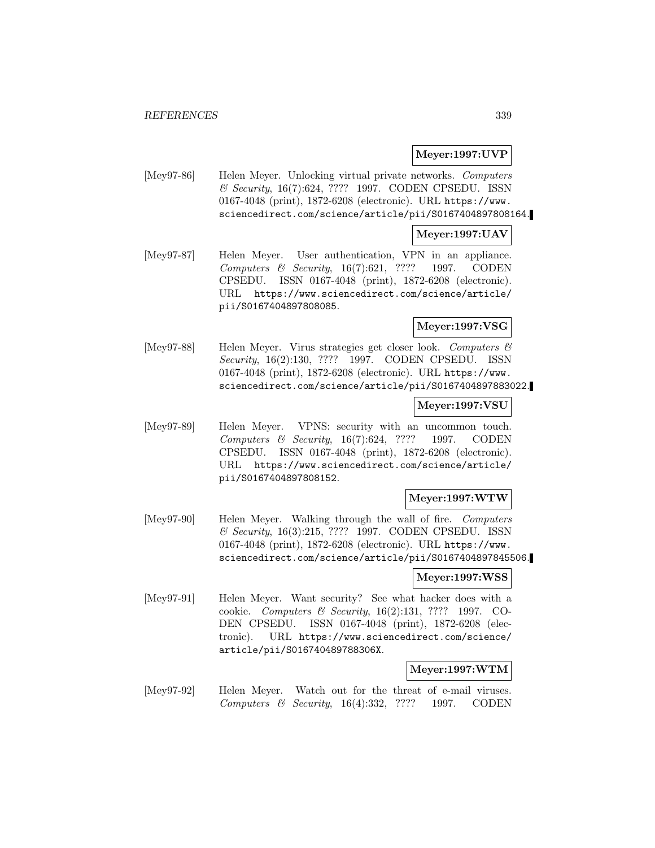### **Meyer:1997:UVP**

[Mey97-86] Helen Meyer. Unlocking virtual private networks. Computers & Security, 16(7):624, ???? 1997. CODEN CPSEDU. ISSN 0167-4048 (print), 1872-6208 (electronic). URL https://www. sciencedirect.com/science/article/pii/S0167404897808164.

### **Meyer:1997:UAV**

[Mey97-87] Helen Meyer. User authentication, VPN in an appliance. Computers & Security, 16(7):621, ???? 1997. CODEN CPSEDU. ISSN 0167-4048 (print), 1872-6208 (electronic). URL https://www.sciencedirect.com/science/article/ pii/S0167404897808085.

## **Meyer:1997:VSG**

[Mey97-88] Helen Meyer. Virus strategies get closer look. Computers  $\mathcal{C}$ Security, 16(2):130, ???? 1997. CODEN CPSEDU. ISSN 0167-4048 (print), 1872-6208 (electronic). URL https://www. sciencedirect.com/science/article/pii/S0167404897883022.

### **Meyer:1997:VSU**

[Mey97-89] Helen Meyer. VPNS: security with an uncommon touch. Computers & Security, 16(7):624, ???? 1997. CODEN CPSEDU. ISSN 0167-4048 (print), 1872-6208 (electronic). URL https://www.sciencedirect.com/science/article/ pii/S0167404897808152.

### **Meyer:1997:WTW**

[Mey97-90] Helen Meyer. Walking through the wall of fire. Computers & Security, 16(3):215, ???? 1997. CODEN CPSEDU. ISSN 0167-4048 (print), 1872-6208 (electronic). URL https://www. sciencedirect.com/science/article/pii/S0167404897845506.

#### **Meyer:1997:WSS**

[Mey97-91] Helen Meyer. Want security? See what hacker does with a cookie. Computers & Security, 16(2):131, ???? 1997. CO-DEN CPSEDU. ISSN 0167-4048 (print), 1872-6208 (electronic). URL https://www.sciencedirect.com/science/ article/pii/S016740489788306X.

#### **Meyer:1997:WTM**

[Mey97-92] Helen Meyer. Watch out for the threat of e-mail viruses. Computers & Security, 16(4):332, ???? 1997. CODEN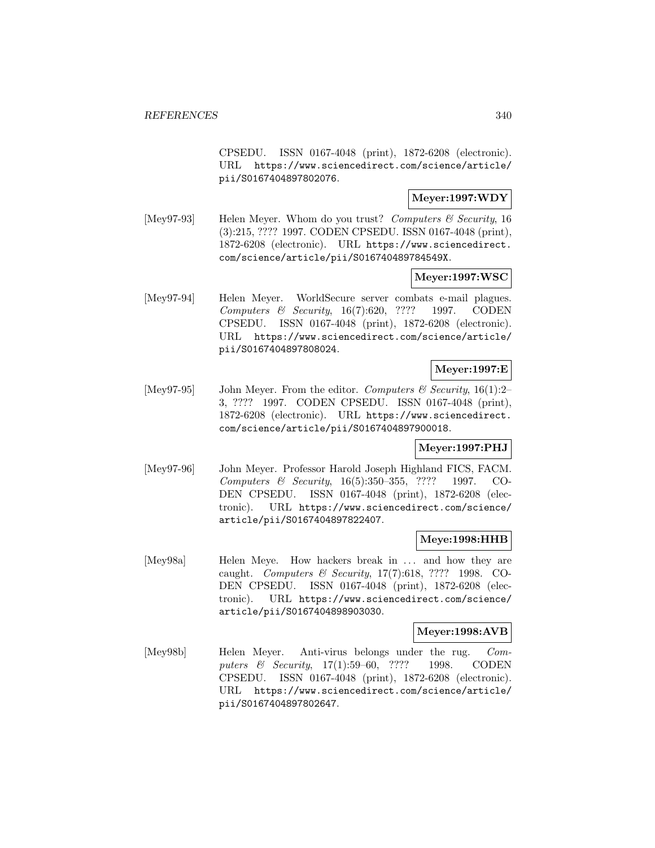CPSEDU. ISSN 0167-4048 (print), 1872-6208 (electronic). URL https://www.sciencedirect.com/science/article/ pii/S0167404897802076.

# **Meyer:1997:WDY**

[Mey97-93] Helen Meyer. Whom do you trust? Computers & Security, 16 (3):215, ???? 1997. CODEN CPSEDU. ISSN 0167-4048 (print), 1872-6208 (electronic). URL https://www.sciencedirect. com/science/article/pii/S016740489784549X.

## **Meyer:1997:WSC**

[Mey97-94] Helen Meyer. WorldSecure server combats e-mail plagues. Computers & Security, 16(7):620, ???? 1997. CODEN CPSEDU. ISSN 0167-4048 (print), 1872-6208 (electronic). URL https://www.sciencedirect.com/science/article/ pii/S0167404897808024.

## **Meyer:1997:E**

[Mey97-95] John Meyer. From the editor. Computers & Security, 16(1):2– 3, ???? 1997. CODEN CPSEDU. ISSN 0167-4048 (print), 1872-6208 (electronic). URL https://www.sciencedirect. com/science/article/pii/S0167404897900018.

### **Meyer:1997:PHJ**

[Mey97-96] John Meyer. Professor Harold Joseph Highland FICS, FACM. Computers & Security, 16(5):350–355, ???? 1997. CO-DEN CPSEDU. ISSN 0167-4048 (print), 1872-6208 (electronic). URL https://www.sciencedirect.com/science/ article/pii/S0167404897822407.

# **Meye:1998:HHB**

[Mey98a] Helen Meye. How hackers break in ... and how they are caught. Computers & Security, 17(7):618, ???? 1998. CO-DEN CPSEDU. ISSN 0167-4048 (print), 1872-6208 (electronic). URL https://www.sciencedirect.com/science/ article/pii/S0167404898903030.

### **Meyer:1998:AVB**

[Mey98b] Helen Meyer. Anti-virus belongs under the rug. Computers & Security, 17(1):59–60, ???? 1998. CODEN CPSEDU. ISSN 0167-4048 (print), 1872-6208 (electronic). URL https://www.sciencedirect.com/science/article/ pii/S0167404897802647.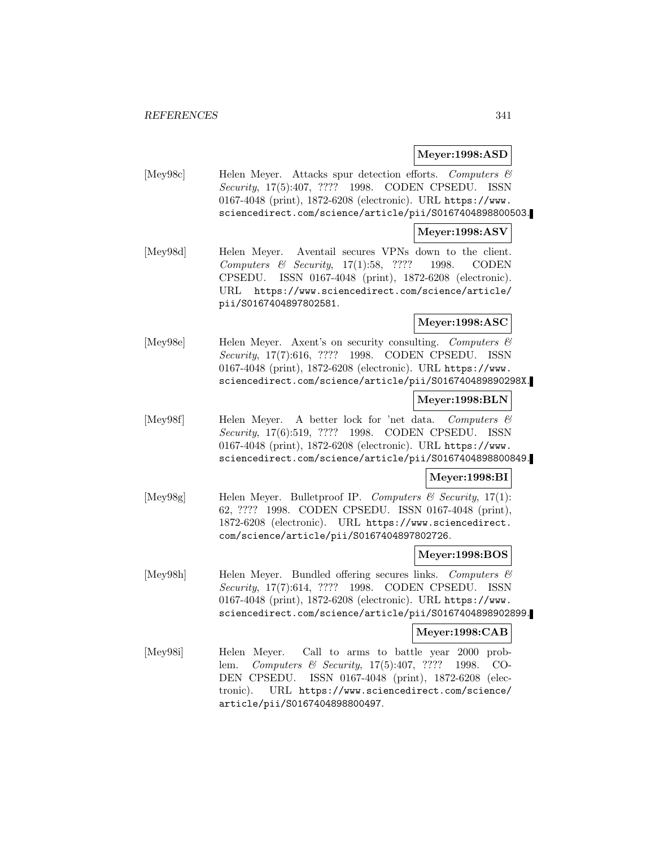#### **Meyer:1998:ASD**

[Mey98c] Helen Meyer. Attacks spur detection efforts. Computers & Security, 17(5):407, ???? 1998. CODEN CPSEDU. ISSN 0167-4048 (print), 1872-6208 (electronic). URL https://www. sciencedirect.com/science/article/pii/S0167404898800503.

#### **Meyer:1998:ASV**

[Mey98d] Helen Meyer. Aventail secures VPNs down to the client. Computers & Security, 17(1):58, ???? 1998. CODEN CPSEDU. ISSN 0167-4048 (print), 1872-6208 (electronic). URL https://www.sciencedirect.com/science/article/ pii/S0167404897802581.

## **Meyer:1998:ASC**

[Mey98e] Helen Meyer. Axent's on security consulting. Computers & Security, 17(7):616, ???? 1998. CODEN CPSEDU. ISSN 0167-4048 (print), 1872-6208 (electronic). URL https://www. sciencedirect.com/science/article/pii/S016740489890298X.

## **Meyer:1998:BLN**

[Mey98f] Helen Meyer. A better lock for 'net data. Computers & Security, 17(6):519, ???? 1998. CODEN CPSEDU. ISSN 0167-4048 (print), 1872-6208 (electronic). URL https://www. sciencedirect.com/science/article/pii/S0167404898800849.

### **Meyer:1998:BI**

 $[\text{Mey98g}]$  Helen Meyer. Bulletproof IP. Computers & Security, 17(1): 62, ???? 1998. CODEN CPSEDU. ISSN 0167-4048 (print), 1872-6208 (electronic). URL https://www.sciencedirect. com/science/article/pii/S0167404897802726.

### **Meyer:1998:BOS**

[Mey98h] Helen Meyer. Bundled offering secures links. Computers & Security, 17(7):614, ???? 1998. CODEN CPSEDU. ISSN 0167-4048 (print), 1872-6208 (electronic). URL https://www. sciencedirect.com/science/article/pii/S0167404898902899.

### **Meyer:1998:CAB**

[Mey98i] Helen Meyer. Call to arms to battle year 2000 problem. Computers & Security, 17(5):407, ???? 1998. CO-DEN CPSEDU. ISSN 0167-4048 (print), 1872-6208 (electronic). URL https://www.sciencedirect.com/science/ article/pii/S0167404898800497.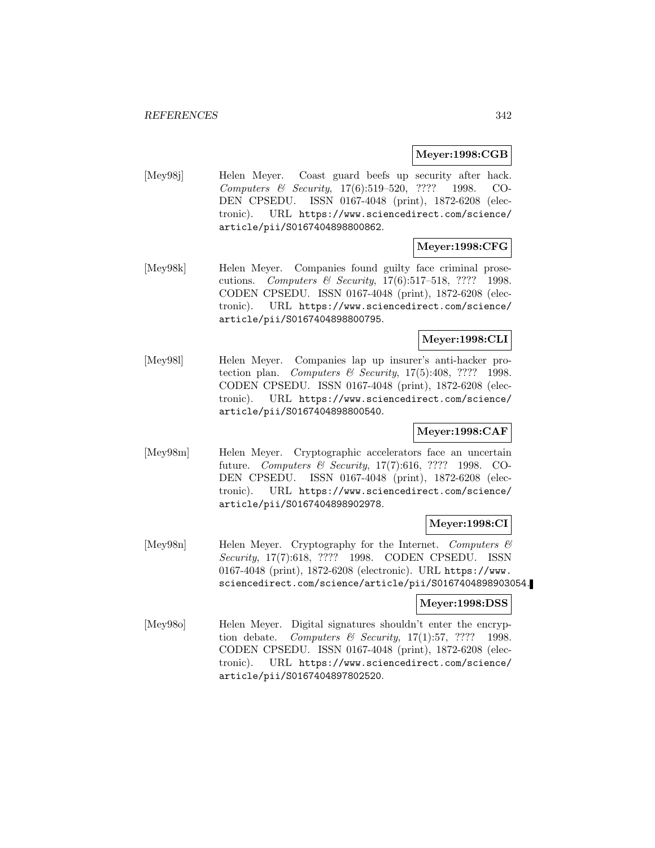### **Meyer:1998:CGB**

[Mey98j] Helen Meyer. Coast guard beefs up security after hack. Computers & Security, 17(6):519–520, ???? 1998. CO-DEN CPSEDU. ISSN 0167-4048 (print), 1872-6208 (electronic). URL https://www.sciencedirect.com/science/ article/pii/S0167404898800862.

# **Meyer:1998:CFG**

[Mey98k] Helen Meyer. Companies found guilty face criminal prosecutions. Computers & Security, 17(6):517–518, ???? 1998. CODEN CPSEDU. ISSN 0167-4048 (print), 1872-6208 (electronic). URL https://www.sciencedirect.com/science/ article/pii/S0167404898800795.

# **Meyer:1998:CLI**

[Mey98l] Helen Meyer. Companies lap up insurer's anti-hacker protection plan. Computers & Security,  $17(5):408$ , ???? 1998. CODEN CPSEDU. ISSN 0167-4048 (print), 1872-6208 (electronic). URL https://www.sciencedirect.com/science/ article/pii/S0167404898800540.

# **Meyer:1998:CAF**

[Mey98m] Helen Meyer. Cryptographic accelerators face an uncertain future. Computers & Security, 17(7):616, ???? 1998. CO-DEN CPSEDU. ISSN 0167-4048 (print), 1872-6208 (electronic). URL https://www.sciencedirect.com/science/ article/pii/S0167404898902978.

### **Meyer:1998:CI**

[Mey98n] Helen Meyer. Cryptography for the Internet. Computers  $\mathcal{C}$ Security, 17(7):618, ???? 1998. CODEN CPSEDU. ISSN 0167-4048 (print), 1872-6208 (electronic). URL https://www. sciencedirect.com/science/article/pii/S0167404898903054.

### **Meyer:1998:DSS**

[Mey98o] Helen Meyer. Digital signatures shouldn't enter the encryption debate. Computers  $\mathcal B$  Security, 17(1):57, ???? 1998. CODEN CPSEDU. ISSN 0167-4048 (print), 1872-6208 (electronic). URL https://www.sciencedirect.com/science/ article/pii/S0167404897802520.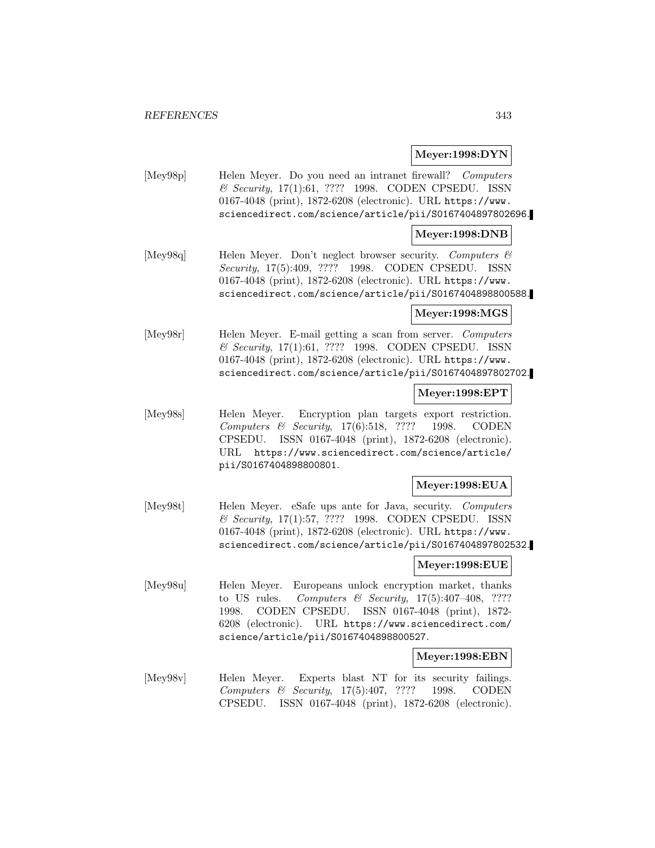### **Meyer:1998:DYN**

[Mey98p] Helen Meyer. Do you need an intranet firewall? Computers & Security, 17(1):61, ???? 1998. CODEN CPSEDU. ISSN 0167-4048 (print), 1872-6208 (electronic). URL https://www. sciencedirect.com/science/article/pii/S0167404897802696.

#### **Meyer:1998:DNB**

[Mey98q] Helen Meyer. Don't neglect browser security. Computers & Security, 17(5):409, ???? 1998. CODEN CPSEDU. ISSN 0167-4048 (print), 1872-6208 (electronic). URL https://www. sciencedirect.com/science/article/pii/S0167404898800588.

#### **Meyer:1998:MGS**

[Mey98r] Helen Meyer. E-mail getting a scan from server. Computers & Security, 17(1):61, ???? 1998. CODEN CPSEDU. ISSN 0167-4048 (print), 1872-6208 (electronic). URL https://www. sciencedirect.com/science/article/pii/S0167404897802702.

#### **Meyer:1998:EPT**

[Mey98s] Helen Meyer. Encryption plan targets export restriction. Computers & Security, 17(6):518, ???? 1998. CODEN CPSEDU. ISSN 0167-4048 (print), 1872-6208 (electronic). URL https://www.sciencedirect.com/science/article/ pii/S0167404898800801.

### **Meyer:1998:EUA**

[Mey98t] Helen Meyer. eSafe ups ante for Java, security. Computers & Security, 17(1):57, ???? 1998. CODEN CPSEDU. ISSN 0167-4048 (print), 1872-6208 (electronic). URL https://www. sciencedirect.com/science/article/pii/S0167404897802532.

# **Meyer:1998:EUE**

[Mey98u] Helen Meyer. Europeans unlock encryption market, thanks to US rules. Computers & Security,  $17(5):407-408$ , ???? 1998. CODEN CPSEDU. ISSN 0167-4048 (print), 1872- 6208 (electronic). URL https://www.sciencedirect.com/ science/article/pii/S0167404898800527.

#### **Meyer:1998:EBN**

[Mey98v] Helen Meyer. Experts blast NT for its security failings. Computers & Security, 17(5):407, ???? 1998. CODEN CPSEDU. ISSN 0167-4048 (print), 1872-6208 (electronic).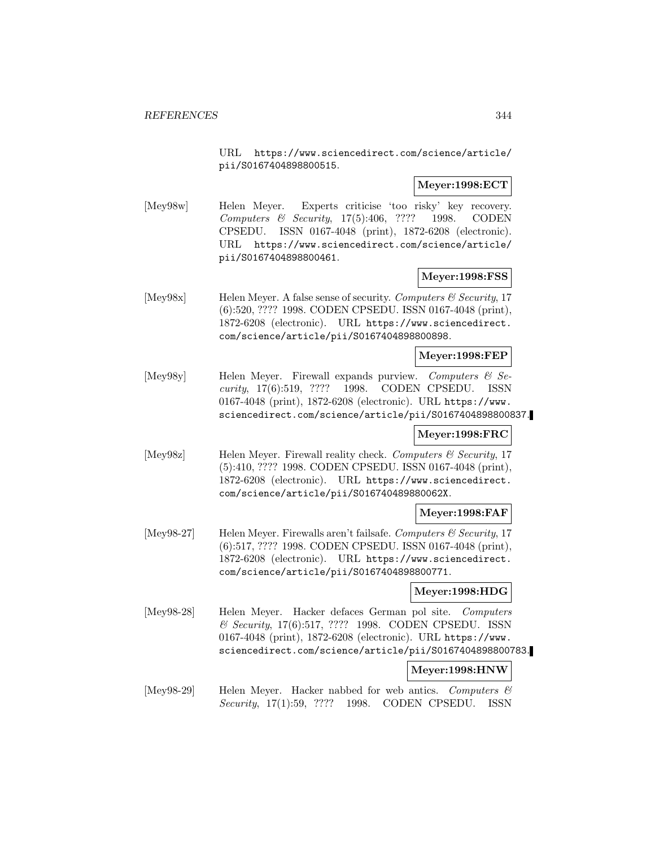URL https://www.sciencedirect.com/science/article/ pii/S0167404898800515.

# **Meyer:1998:ECT**

[Mey98w] Helen Meyer. Experts criticise 'too risky' key recovery. Computers & Security, 17(5):406, ???? 1998. CODEN CPSEDU. ISSN 0167-4048 (print), 1872-6208 (electronic). URL https://www.sciencedirect.com/science/article/ pii/S0167404898800461.

### **Meyer:1998:FSS**

 $[\text{Mey98x}]$  Helen Meyer. A false sense of security. Computers & Security, 17 (6):520, ???? 1998. CODEN CPSEDU. ISSN 0167-4048 (print), 1872-6208 (electronic). URL https://www.sciencedirect. com/science/article/pii/S0167404898800898.

#### **Meyer:1998:FEP**

[Mey98y] Helen Meyer. Firewall expands purview. Computers & Security, 17(6):519, ???? 1998. CODEN CPSEDU. ISSN 0167-4048 (print), 1872-6208 (electronic). URL https://www. sciencedirect.com/science/article/pii/S0167404898800837.

#### **Meyer:1998:FRC**

[Mey98z] Helen Meyer. Firewall reality check. Computers & Security, 17 (5):410, ???? 1998. CODEN CPSEDU. ISSN 0167-4048 (print), 1872-6208 (electronic). URL https://www.sciencedirect. com/science/article/pii/S016740489880062X.

### **Meyer:1998:FAF**

[Mey98-27] Helen Meyer. Firewalls aren't failsafe. Computers  $\mathcal C$  Security, 17 (6):517, ???? 1998. CODEN CPSEDU. ISSN 0167-4048 (print), 1872-6208 (electronic). URL https://www.sciencedirect. com/science/article/pii/S0167404898800771.

# **Meyer:1998:HDG**

[Mey98-28] Helen Meyer. Hacker defaces German pol site. Computers & Security, 17(6):517, ???? 1998. CODEN CPSEDU. ISSN 0167-4048 (print), 1872-6208 (electronic). URL https://www. sciencedirect.com/science/article/pii/S0167404898800783.

### **Meyer:1998:HNW**

[Mey98-29] Helen Meyer. Hacker nabbed for web antics. Computers & Security, 17(1):59, ???? 1998. CODEN CPSEDU. ISSN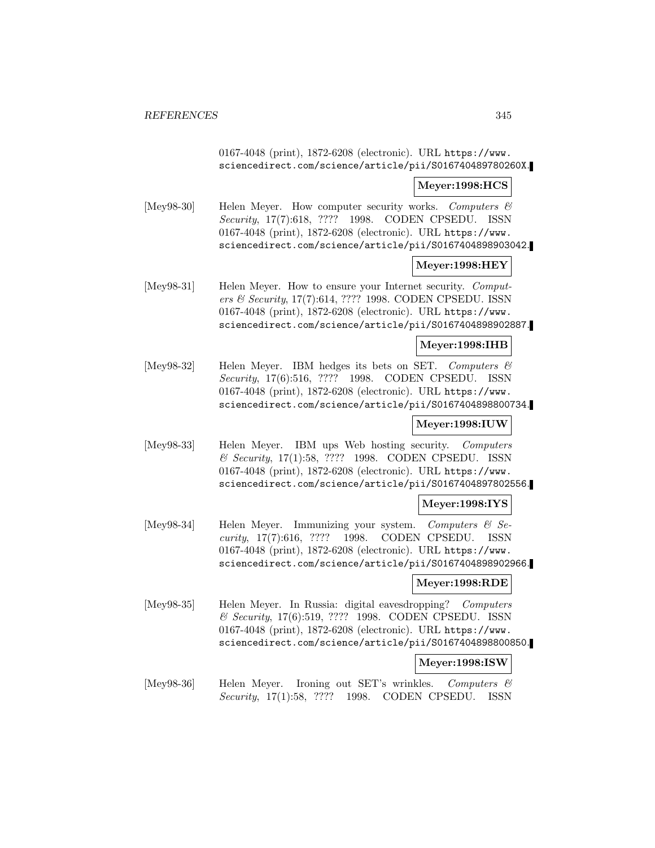0167-4048 (print), 1872-6208 (electronic). URL https://www. sciencedirect.com/science/article/pii/S016740489780260X.

#### **Meyer:1998:HCS**

[Mey98-30] Helen Meyer. How computer security works. Computers  $\mathcal C$ Security, 17(7):618, ???? 1998. CODEN CPSEDU. ISSN 0167-4048 (print), 1872-6208 (electronic). URL https://www. sciencedirect.com/science/article/pii/S0167404898903042.

### **Meyer:1998:HEY**

[Mey98-31] Helen Meyer. How to ensure your Internet security. Computers & Security, 17(7):614, ???? 1998. CODEN CPSEDU. ISSN 0167-4048 (print), 1872-6208 (electronic). URL https://www. sciencedirect.com/science/article/pii/S0167404898902887.

### **Meyer:1998:IHB**

[Mey98-32] Helen Meyer. IBM hedges its bets on SET. Computers & Security, 17(6):516, ???? 1998. CODEN CPSEDU. ISSN 0167-4048 (print), 1872-6208 (electronic). URL https://www. sciencedirect.com/science/article/pii/S0167404898800734.

# **Meyer:1998:IUW**

[Mey98-33] Helen Meyer. IBM ups Web hosting security. Computers & Security, 17(1):58, ???? 1998. CODEN CPSEDU. ISSN 0167-4048 (print), 1872-6208 (electronic). URL https://www. sciencedirect.com/science/article/pii/S0167404897802556.

### **Meyer:1998:IYS**

[Mey98-34] Helen Meyer. Immunizing your system. Computers & Security, 17(7):616, ???? 1998. CODEN CPSEDU. ISSN 0167-4048 (print), 1872-6208 (electronic). URL https://www. sciencedirect.com/science/article/pii/S0167404898902966.

### **Meyer:1998:RDE**

[Mey98-35] Helen Meyer. In Russia: digital eavesdropping? Computers & Security, 17(6):519, ???? 1998. CODEN CPSEDU. ISSN 0167-4048 (print), 1872-6208 (electronic). URL https://www. sciencedirect.com/science/article/pii/S0167404898800850.

### **Meyer:1998:ISW**

[Mey98-36] Helen Meyer. Ironing out SET's wrinkles. Computers & Security, 17(1):58, ???? 1998. CODEN CPSEDU. ISSN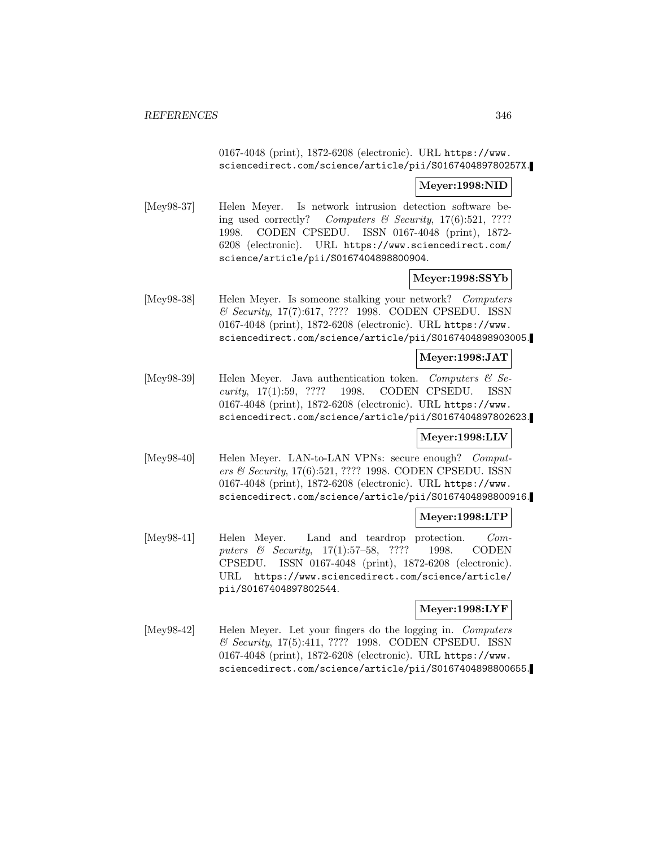## 0167-4048 (print), 1872-6208 (electronic). URL https://www. sciencedirect.com/science/article/pii/S016740489780257X.

#### **Meyer:1998:NID**

[Mey98-37] Helen Meyer. Is network intrusion detection software being used correctly? Computers  $\mathcal B$  Security, 17(6):521, ???? 1998. CODEN CPSEDU. ISSN 0167-4048 (print), 1872- 6208 (electronic). URL https://www.sciencedirect.com/ science/article/pii/S0167404898800904.

### **Meyer:1998:SSYb**

[Mey98-38] Helen Meyer. Is someone stalking your network? Computers & Security, 17(7):617, ???? 1998. CODEN CPSEDU. ISSN 0167-4048 (print), 1872-6208 (electronic). URL https://www. sciencedirect.com/science/article/pii/S0167404898903005.

#### **Meyer:1998:JAT**

[Mey98-39] Helen Meyer. Java authentication token. Computers  $\mathcal{C}$  Security, 17(1):59, ???? 1998. CODEN CPSEDU. ISSN 0167-4048 (print), 1872-6208 (electronic). URL https://www. sciencedirect.com/science/article/pii/S0167404897802623.

### **Meyer:1998:LLV**

[Mey98-40] Helen Meyer. LAN-to-LAN VPNs: secure enough? Computers & Security, 17(6):521, ???? 1998. CODEN CPSEDU. ISSN 0167-4048 (print), 1872-6208 (electronic). URL https://www. sciencedirect.com/science/article/pii/S0167404898800916.

#### **Meyer:1998:LTP**

[Mey98-41] Helen Meyer. Land and teardrop protection. Computers & Security, 17(1):57–58, ???? 1998. CODEN CPSEDU. ISSN 0167-4048 (print), 1872-6208 (electronic). URL https://www.sciencedirect.com/science/article/ pii/S0167404897802544.

### **Meyer:1998:LYF**

[Mey98-42] Helen Meyer. Let your fingers do the logging in. Computers & Security, 17(5):411, ???? 1998. CODEN CPSEDU. ISSN 0167-4048 (print), 1872-6208 (electronic). URL https://www. sciencedirect.com/science/article/pii/S0167404898800655.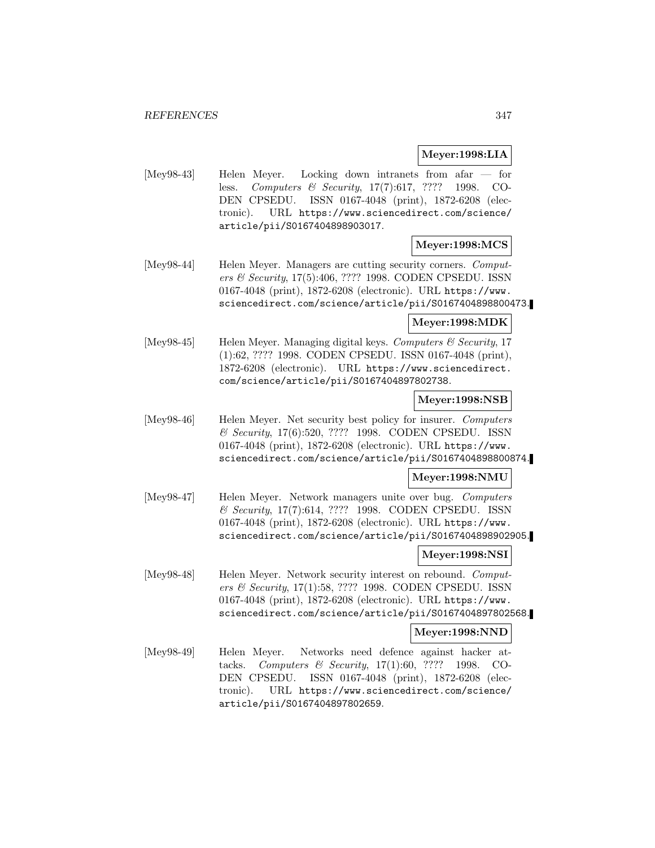# **Meyer:1998:LIA**

[Mey98-43] Helen Meyer. Locking down intranets from afar — for less. Computers & Security, 17(7):617, ???? 1998. CO-DEN CPSEDU. ISSN 0167-4048 (print), 1872-6208 (electronic). URL https://www.sciencedirect.com/science/ article/pii/S0167404898903017.

# **Meyer:1998:MCS**

[Mey98-44] Helen Meyer. Managers are cutting security corners. *Comput*ers & Security, 17(5):406, ???? 1998. CODEN CPSEDU. ISSN 0167-4048 (print), 1872-6208 (electronic). URL https://www. sciencedirect.com/science/article/pii/S0167404898800473.

#### **Meyer:1998:MDK**

[Mey98-45] Helen Meyer. Managing digital keys. Computers & Security, 17 (1):62, ???? 1998. CODEN CPSEDU. ISSN 0167-4048 (print), 1872-6208 (electronic). URL https://www.sciencedirect. com/science/article/pii/S0167404897802738.

### **Meyer:1998:NSB**

[Mey98-46] Helen Meyer. Net security best policy for insurer. Computers & Security, 17(6):520, ???? 1998. CODEN CPSEDU. ISSN 0167-4048 (print), 1872-6208 (electronic). URL https://www. sciencedirect.com/science/article/pii/S0167404898800874.

### **Meyer:1998:NMU**

[Mey98-47] Helen Meyer. Network managers unite over bug. Computers & Security, 17(7):614, ???? 1998. CODEN CPSEDU. ISSN 0167-4048 (print), 1872-6208 (electronic). URL https://www. sciencedirect.com/science/article/pii/S0167404898902905.

### **Meyer:1998:NSI**

[Mey98-48] Helen Meyer. Network security interest on rebound. Computers & Security, 17(1):58, ???? 1998. CODEN CPSEDU. ISSN 0167-4048 (print), 1872-6208 (electronic). URL https://www. sciencedirect.com/science/article/pii/S0167404897802568.

### **Meyer:1998:NND**

[Mey98-49] Helen Meyer. Networks need defence against hacker attacks. Computers & Security, 17(1):60, ???? 1998. CO-DEN CPSEDU. ISSN 0167-4048 (print), 1872-6208 (electronic). URL https://www.sciencedirect.com/science/ article/pii/S0167404897802659.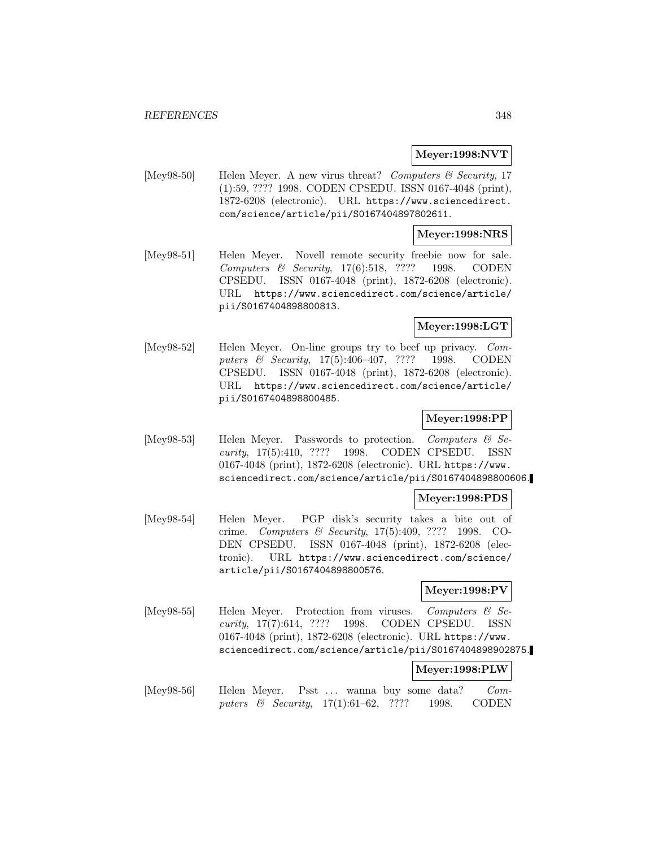### **Meyer:1998:NVT**

[Mey98-50] Helen Meyer. A new virus threat? Computers  $\mathcal C$  Security, 17 (1):59, ???? 1998. CODEN CPSEDU. ISSN 0167-4048 (print), 1872-6208 (electronic). URL https://www.sciencedirect. com/science/article/pii/S0167404897802611.

### **Meyer:1998:NRS**

[Mey98-51] Helen Meyer. Novell remote security freebie now for sale. Computers & Security, 17(6):518, ???? 1998. CODEN CPSEDU. ISSN 0167-4048 (print), 1872-6208 (electronic). URL https://www.sciencedirect.com/science/article/ pii/S0167404898800813.

## **Meyer:1998:LGT**

[Mey98-52] Helen Meyer. On-line groups try to beef up privacy. Computers & Security, 17(5):406–407, ???? 1998. CODEN CPSEDU. ISSN 0167-4048 (print), 1872-6208 (electronic). URL https://www.sciencedirect.com/science/article/ pii/S0167404898800485.

#### **Meyer:1998:PP**

[Mey98-53] Helen Meyer. Passwords to protection. Computers & Security, 17(5):410, ???? 1998. CODEN CPSEDU. ISSN 0167-4048 (print), 1872-6208 (electronic). URL https://www. sciencedirect.com/science/article/pii/S0167404898800606.

#### **Meyer:1998:PDS**

[Mey98-54] Helen Meyer. PGP disk's security takes a bite out of crime. Computers & Security, 17(5):409, ???? 1998. CO-DEN CPSEDU. ISSN 0167-4048 (print), 1872-6208 (electronic). URL https://www.sciencedirect.com/science/ article/pii/S0167404898800576.

#### **Meyer:1998:PV**

[Mey98-55] Helen Meyer. Protection from viruses. Computers & Security, 17(7):614, ???? 1998. CODEN CPSEDU. ISSN 0167-4048 (print), 1872-6208 (electronic). URL https://www. sciencedirect.com/science/article/pii/S0167404898902875.

### **Meyer:1998:PLW**

[Mey98-56] Helen Meyer. Psst ... wanna buy some data? Computers & Security, 17(1):61–62, ???? 1998. CODEN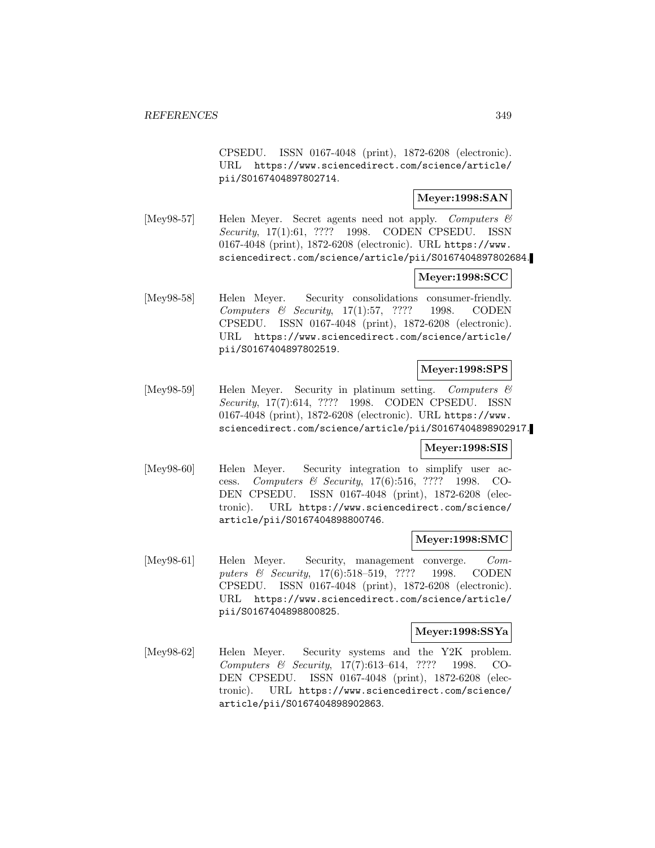CPSEDU. ISSN 0167-4048 (print), 1872-6208 (electronic). URL https://www.sciencedirect.com/science/article/ pii/S0167404897802714.

# **Meyer:1998:SAN**

[Mey98-57] Helen Meyer. Secret agents need not apply. Computers & Security, 17(1):61, ???? 1998. CODEN CPSEDU. ISSN 0167-4048 (print), 1872-6208 (electronic). URL https://www. sciencedirect.com/science/article/pii/S0167404897802684.

## **Meyer:1998:SCC**

[Mey98-58] Helen Meyer. Security consolidations consumer-friendly. Computers & Security, 17(1):57, ???? 1998. CODEN CPSEDU. ISSN 0167-4048 (print), 1872-6208 (electronic). URL https://www.sciencedirect.com/science/article/ pii/S0167404897802519.

## **Meyer:1998:SPS**

[Mey98-59] Helen Meyer. Security in platinum setting. Computers & Security, 17(7):614, ???? 1998. CODEN CPSEDU. ISSN 0167-4048 (print), 1872-6208 (electronic). URL https://www. sciencedirect.com/science/article/pii/S0167404898902917.

### **Meyer:1998:SIS**

[Mey98-60] Helen Meyer. Security integration to simplify user access. Computers & Security, 17(6):516, ???? 1998. CO-DEN CPSEDU. ISSN 0167-4048 (print), 1872-6208 (electronic). URL https://www.sciencedirect.com/science/ article/pii/S0167404898800746.

### **Meyer:1998:SMC**

[Mey98-61] Helen Meyer. Security, management converge. Computers & Security, 17(6):518-519, ???? 1998. CODEN CPSEDU. ISSN 0167-4048 (print), 1872-6208 (electronic). URL https://www.sciencedirect.com/science/article/ pii/S0167404898800825.

#### **Meyer:1998:SSYa**

[Mey98-62] Helen Meyer. Security systems and the Y2K problem. Computers & Security, 17(7):613–614, ???? 1998. CO-DEN CPSEDU. ISSN 0167-4048 (print), 1872-6208 (electronic). URL https://www.sciencedirect.com/science/ article/pii/S0167404898902863.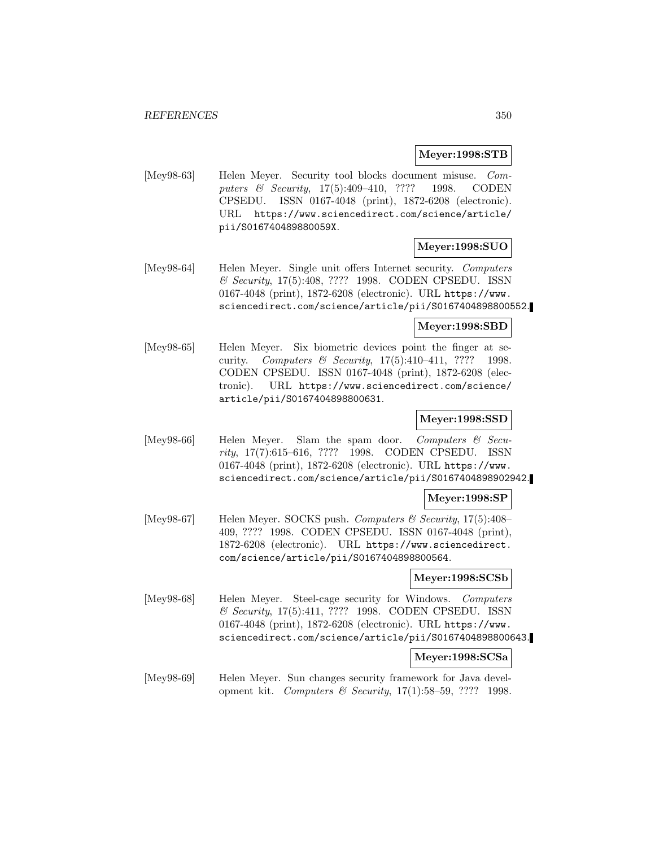#### **Meyer:1998:STB**

[Mey98-63] Helen Meyer. Security tool blocks document misuse. Computers & Security, 17(5):409–410, ???? 1998. CODEN CPSEDU. ISSN 0167-4048 (print), 1872-6208 (electronic). URL https://www.sciencedirect.com/science/article/ pii/S016740489880059X.

# **Meyer:1998:SUO**

[Mey98-64] Helen Meyer. Single unit offers Internet security. Computers & Security, 17(5):408, ???? 1998. CODEN CPSEDU. ISSN 0167-4048 (print), 1872-6208 (electronic). URL https://www. sciencedirect.com/science/article/pii/S0167404898800552.

### **Meyer:1998:SBD**

[Mey98-65] Helen Meyer. Six biometric devices point the finger at security. Computers & Security, 17(5):410–411, ???? 1998. CODEN CPSEDU. ISSN 0167-4048 (print), 1872-6208 (electronic). URL https://www.sciencedirect.com/science/ article/pii/S0167404898800631.

### **Meyer:1998:SSD**

[Mey98-66] Helen Meyer. Slam the spam door. Computers & Security, 17(7):615–616, ???? 1998. CODEN CPSEDU. ISSN 0167-4048 (print), 1872-6208 (electronic). URL https://www. sciencedirect.com/science/article/pii/S0167404898902942.

#### **Meyer:1998:SP**

[Mey98-67] Helen Meyer. SOCKS push. Computers & Security, 17(5):408– 409, ???? 1998. CODEN CPSEDU. ISSN 0167-4048 (print), 1872-6208 (electronic). URL https://www.sciencedirect. com/science/article/pii/S0167404898800564.

#### **Meyer:1998:SCSb**

[Mey98-68] Helen Meyer. Steel-cage security for Windows. Computers & Security, 17(5):411, ???? 1998. CODEN CPSEDU. ISSN 0167-4048 (print), 1872-6208 (electronic). URL https://www. sciencedirect.com/science/article/pii/S0167404898800643.

#### **Meyer:1998:SCSa**

[Mey98-69] Helen Meyer. Sun changes security framework for Java development kit. Computers & Security, 17(1):58–59, ???? 1998.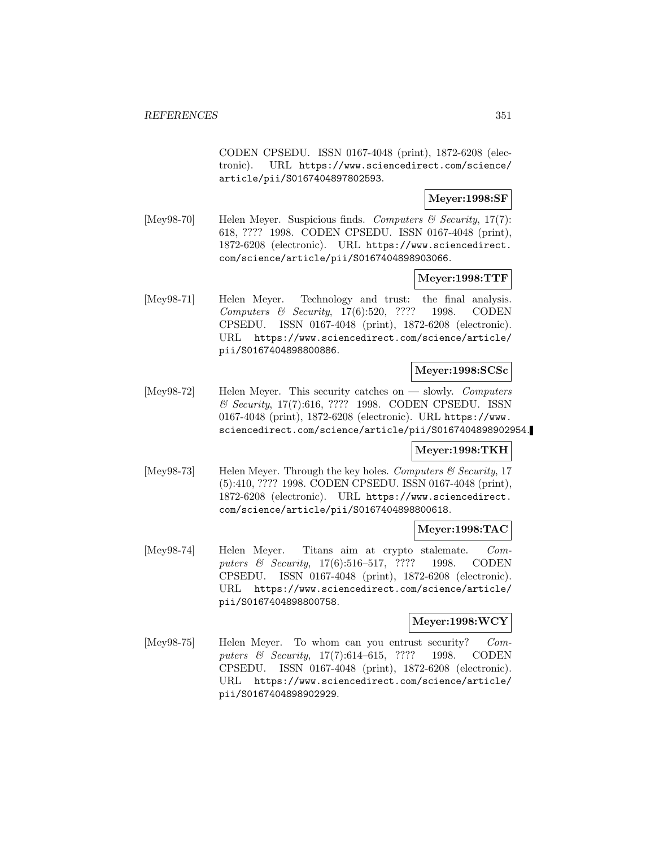CODEN CPSEDU. ISSN 0167-4048 (print), 1872-6208 (electronic). URL https://www.sciencedirect.com/science/ article/pii/S0167404897802593.

### **Meyer:1998:SF**

[Mey98-70] Helen Meyer. Suspicious finds. Computers & Security, 17(7): 618, ???? 1998. CODEN CPSEDU. ISSN 0167-4048 (print), 1872-6208 (electronic). URL https://www.sciencedirect. com/science/article/pii/S0167404898903066.

# **Meyer:1998:TTF**

[Mey98-71] Helen Meyer. Technology and trust: the final analysis. Computers & Security, 17(6):520, ???? 1998. CODEN CPSEDU. ISSN 0167-4048 (print), 1872-6208 (electronic). URL https://www.sciencedirect.com/science/article/ pii/S0167404898800886.

# **Meyer:1998:SCSc**

[Mey98-72] Helen Meyer. This security catches on — slowly. Computers & Security, 17(7):616, ???? 1998. CODEN CPSEDU. ISSN 0167-4048 (print), 1872-6208 (electronic). URL https://www. sciencedirect.com/science/article/pii/S0167404898902954.

# **Meyer:1998:TKH**

[Mey98-73] Helen Meyer. Through the key holes. Computers  $\mathcal C$  Security, 17 (5):410, ???? 1998. CODEN CPSEDU. ISSN 0167-4048 (print), 1872-6208 (electronic). URL https://www.sciencedirect. com/science/article/pii/S0167404898800618.

# **Meyer:1998:TAC**

[Mey98-74] Helen Meyer. Titans aim at crypto stalemate. Computers & Security, 17(6):516–517, ???? 1998. CODEN CPSEDU. ISSN 0167-4048 (print), 1872-6208 (electronic). URL https://www.sciencedirect.com/science/article/ pii/S0167404898800758.

## **Meyer:1998:WCY**

[Mey98-75] Helen Meyer. To whom can you entrust security? Computers & Security, 17(7):614-615, ???? 1998. CODEN CPSEDU. ISSN 0167-4048 (print), 1872-6208 (electronic). URL https://www.sciencedirect.com/science/article/ pii/S0167404898902929.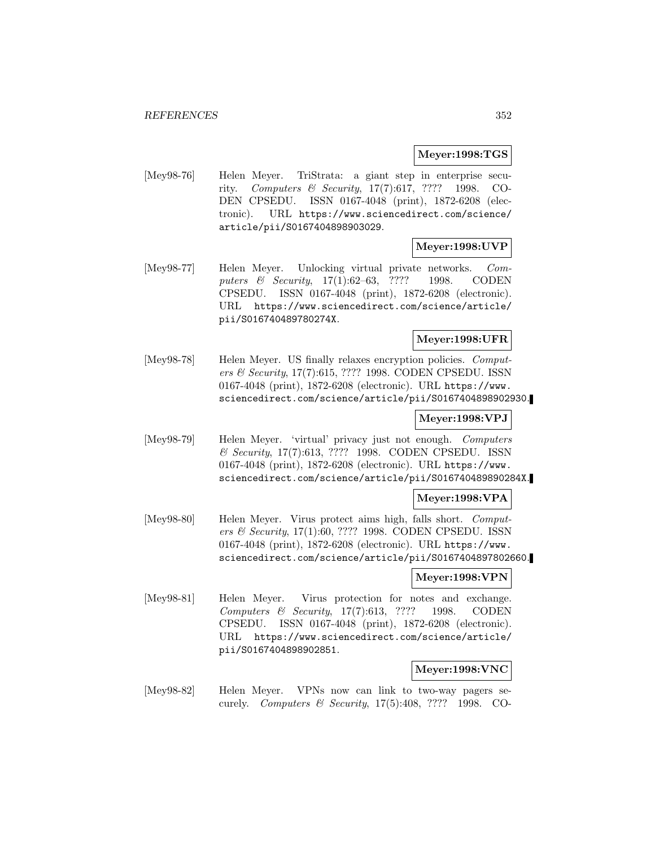### **Meyer:1998:TGS**

[Mey98-76] Helen Meyer. TriStrata: a giant step in enterprise security. Computers & Security, 17(7):617, ???? 1998. CO-DEN CPSEDU. ISSN 0167-4048 (print), 1872-6208 (electronic). URL https://www.sciencedirect.com/science/ article/pii/S0167404898903029.

## **Meyer:1998:UVP**

[Mey98-77] Helen Meyer. Unlocking virtual private networks. Computers & Security, 17(1):62–63, ???? 1998. CODEN CPSEDU. ISSN 0167-4048 (print), 1872-6208 (electronic). URL https://www.sciencedirect.com/science/article/ pii/S016740489780274X.

# **Meyer:1998:UFR**

[Mey98-78] Helen Meyer. US finally relaxes encryption policies. Computers & Security, 17(7):615, ???? 1998. CODEN CPSEDU. ISSN 0167-4048 (print), 1872-6208 (electronic). URL https://www. sciencedirect.com/science/article/pii/S0167404898902930.

### **Meyer:1998:VPJ**

[Mey98-79] Helen Meyer. 'virtual' privacy just not enough. Computers & Security, 17(7):613, ???? 1998. CODEN CPSEDU. ISSN 0167-4048 (print), 1872-6208 (electronic). URL https://www. sciencedirect.com/science/article/pii/S016740489890284X.

### **Meyer:1998:VPA**

[Mey98-80] Helen Meyer. Virus protect aims high, falls short. Computers & Security, 17(1):60, ???? 1998. CODEN CPSEDU. ISSN 0167-4048 (print), 1872-6208 (electronic). URL https://www. sciencedirect.com/science/article/pii/S0167404897802660.

#### **Meyer:1998:VPN**

[Mey98-81] Helen Meyer. Virus protection for notes and exchange. Computers & Security, 17(7):613, ???? 1998. CODEN CPSEDU. ISSN 0167-4048 (print), 1872-6208 (electronic). URL https://www.sciencedirect.com/science/article/ pii/S0167404898902851.

#### **Meyer:1998:VNC**

[Mey98-82] Helen Meyer. VPNs now can link to two-way pagers securely. Computers & Security, 17(5):408, ???? 1998. CO-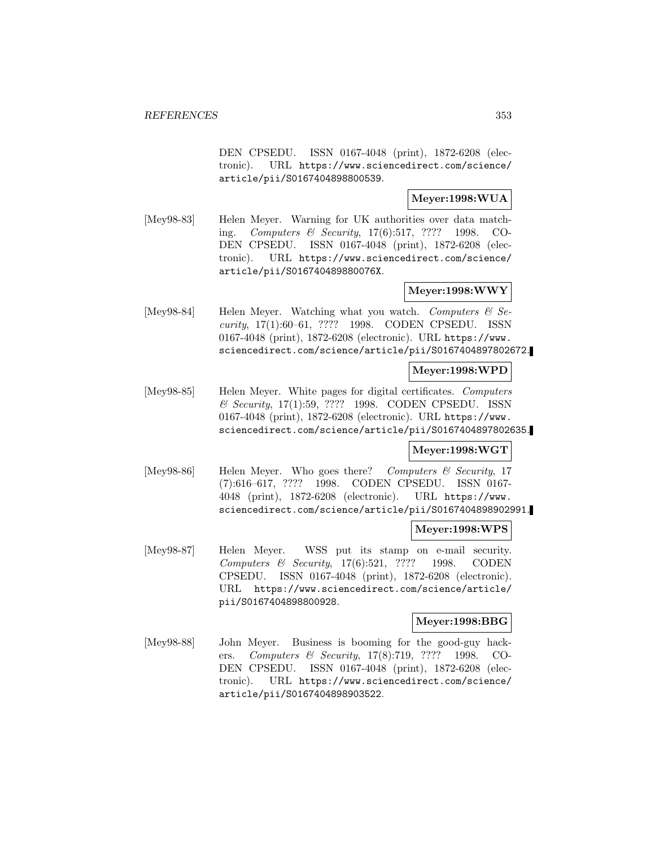DEN CPSEDU. ISSN 0167-4048 (print), 1872-6208 (electronic). URL https://www.sciencedirect.com/science/ article/pii/S0167404898800539.

## **Meyer:1998:WUA**

[Mey98-83] Helen Meyer. Warning for UK authorities over data matching. Computers & Security, 17(6):517, ???? 1998. CO-DEN CPSEDU. ISSN 0167-4048 (print), 1872-6208 (electronic). URL https://www.sciencedirect.com/science/ article/pii/S016740489880076X.

# **Meyer:1998:WWY**

[Mey98-84] Helen Meyer. Watching what you watch. Computers  $\mathcal{C}$  Security, 17(1):60–61, ???? 1998. CODEN CPSEDU. ISSN 0167-4048 (print), 1872-6208 (electronic). URL https://www. sciencedirect.com/science/article/pii/S0167404897802672.

# **Meyer:1998:WPD**

[Mey98-85] Helen Meyer. White pages for digital certificates. Computers & Security, 17(1):59, ???? 1998. CODEN CPSEDU. ISSN 0167-4048 (print), 1872-6208 (electronic). URL https://www. sciencedirect.com/science/article/pii/S0167404897802635.

### **Meyer:1998:WGT**

[Mey98-86] Helen Meyer. Who goes there? Computers & Security, 17 (7):616–617, ???? 1998. CODEN CPSEDU. ISSN 0167- 4048 (print), 1872-6208 (electronic). URL https://www. sciencedirect.com/science/article/pii/S0167404898902991.

# **Meyer:1998:WPS**

[Mey98-87] Helen Meyer. WSS put its stamp on e-mail security. Computers & Security, 17(6):521, ???? 1998. CODEN CPSEDU. ISSN 0167-4048 (print), 1872-6208 (electronic). URL https://www.sciencedirect.com/science/article/ pii/S0167404898800928.

## **Meyer:1998:BBG**

[Mey98-88] John Meyer. Business is booming for the good-guy hackers. Computers & Security, 17(8):719, ???? 1998. CO-DEN CPSEDU. ISSN 0167-4048 (print), 1872-6208 (electronic). URL https://www.sciencedirect.com/science/ article/pii/S0167404898903522.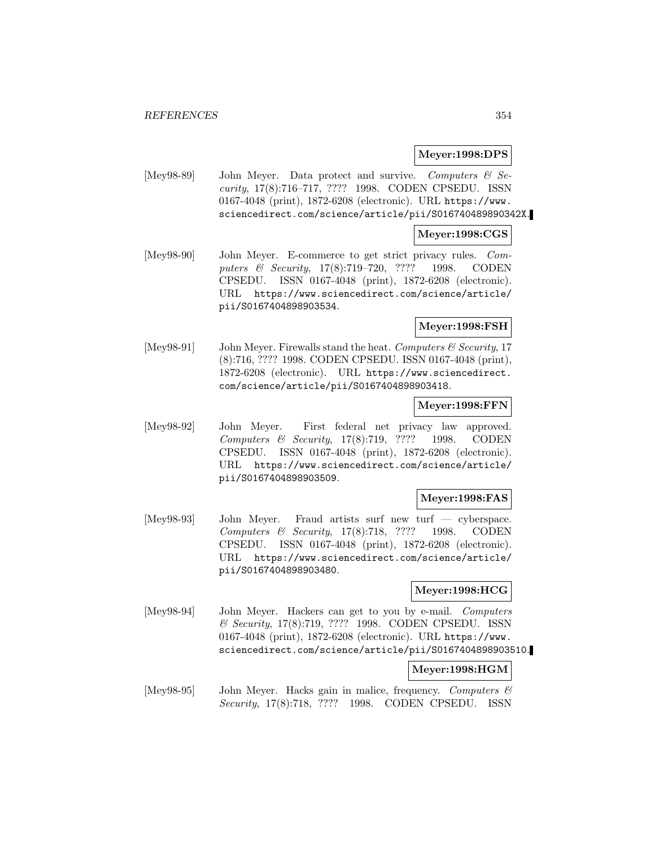#### **Meyer:1998:DPS**

[Mey98-89] John Meyer. Data protect and survive. Computers & Security, 17(8):716–717, ???? 1998. CODEN CPSEDU. ISSN 0167-4048 (print), 1872-6208 (electronic). URL https://www. sciencedirect.com/science/article/pii/S016740489890342X.

#### **Meyer:1998:CGS**

[Mey98-90] John Meyer. E-commerce to get strict privacy rules. Computers & Security, 17(8):719–720, ???? 1998. CODEN CPSEDU. ISSN 0167-4048 (print), 1872-6208 (electronic). URL https://www.sciencedirect.com/science/article/ pii/S0167404898903534.

### **Meyer:1998:FSH**

[Mey98-91] John Meyer. Firewalls stand the heat. Computers & Security, 17 (8):716, ???? 1998. CODEN CPSEDU. ISSN 0167-4048 (print), 1872-6208 (electronic). URL https://www.sciencedirect. com/science/article/pii/S0167404898903418.

### **Meyer:1998:FFN**

[Mey98-92] John Meyer. First federal net privacy law approved. Computers & Security, 17(8):719, ???? 1998. CODEN CPSEDU. ISSN 0167-4048 (print), 1872-6208 (electronic). URL https://www.sciencedirect.com/science/article/ pii/S0167404898903509.

### **Meyer:1998:FAS**

[Mey98-93] John Meyer. Fraud artists surf new turf — cyberspace. Computers & Security, 17(8):718, ???? 1998. CODEN CPSEDU. ISSN 0167-4048 (print), 1872-6208 (electronic). URL https://www.sciencedirect.com/science/article/ pii/S0167404898903480.

### **Meyer:1998:HCG**

[Mey98-94] John Meyer. Hackers can get to you by e-mail. Computers & Security, 17(8):719, ???? 1998. CODEN CPSEDU. ISSN 0167-4048 (print), 1872-6208 (electronic). URL https://www. sciencedirect.com/science/article/pii/S0167404898903510.

#### **Meyer:1998:HGM**

[Mey98-95] John Meyer. Hacks gain in malice, frequency. Computers  $\mathcal C$ Security, 17(8):718, ???? 1998. CODEN CPSEDU. ISSN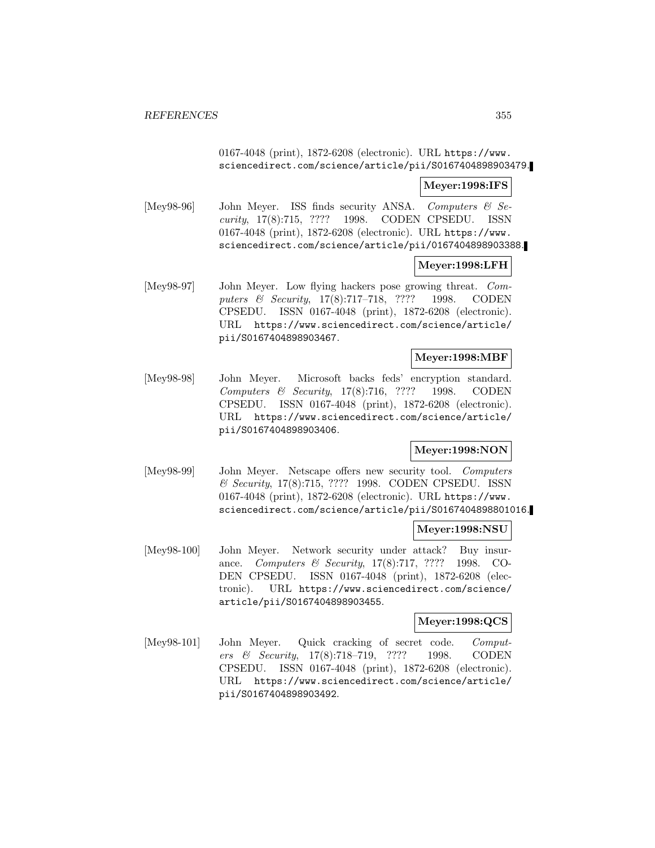## 0167-4048 (print), 1872-6208 (electronic). URL https://www. sciencedirect.com/science/article/pii/S0167404898903479.

### **Meyer:1998:IFS**

[Mey98-96] John Meyer. ISS finds security ANSA. Computers & Security, 17(8):715, ???? 1998. CODEN CPSEDU. ISSN 0167-4048 (print), 1872-6208 (electronic). URL https://www. sciencedirect.com/science/article/pii/0167404898903388.

### **Meyer:1998:LFH**

[Mey98-97] John Meyer. Low flying hackers pose growing threat. Computers & Security, 17(8):717–718, ???? 1998. CODEN CPSEDU. ISSN 0167-4048 (print), 1872-6208 (electronic). URL https://www.sciencedirect.com/science/article/ pii/S0167404898903467.

### **Meyer:1998:MBF**

[Mey98-98] John Meyer. Microsoft backs feds' encryption standard. Computers & Security, 17(8):716, ???? 1998. CODEN CPSEDU. ISSN 0167-4048 (print), 1872-6208 (electronic). URL https://www.sciencedirect.com/science/article/ pii/S0167404898903406.

# **Meyer:1998:NON**

[Mey98-99] John Meyer. Netscape offers new security tool. Computers & Security, 17(8):715, ???? 1998. CODEN CPSEDU. ISSN 0167-4048 (print), 1872-6208 (electronic). URL https://www. sciencedirect.com/science/article/pii/S0167404898801016.

## **Meyer:1998:NSU**

[Mey98-100] John Meyer. Network security under attack? Buy insurance. Computers & Security, 17(8):717, ???? 1998. CO-DEN CPSEDU. ISSN 0167-4048 (print), 1872-6208 (electronic). URL https://www.sciencedirect.com/science/ article/pii/S0167404898903455.

#### **Meyer:1998:QCS**

[Mey98-101] John Meyer. Quick cracking of secret code. Computers & Security, 17(8):718–719, ???? 1998. CODEN CPSEDU. ISSN 0167-4048 (print), 1872-6208 (electronic). URL https://www.sciencedirect.com/science/article/ pii/S0167404898903492.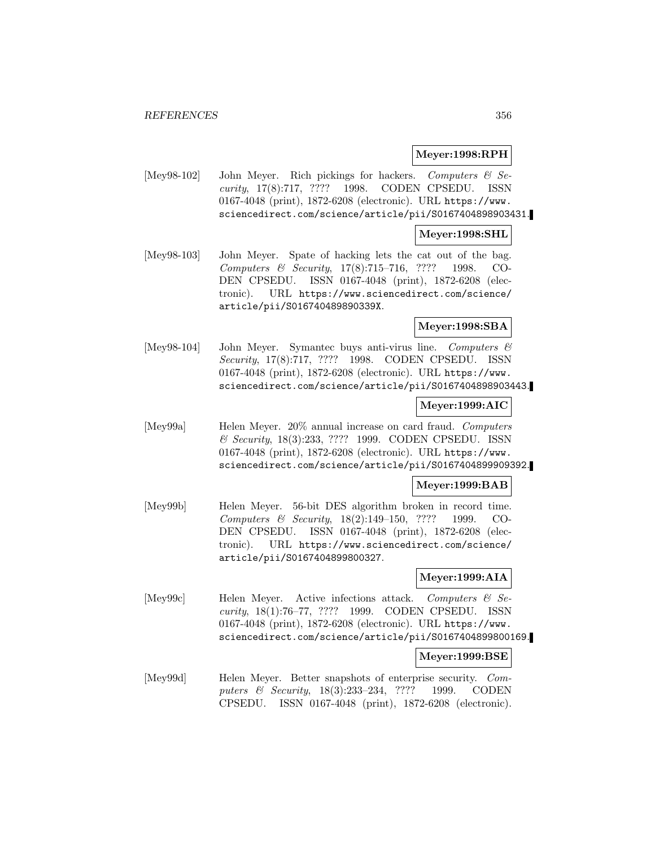### **Meyer:1998:RPH**

[Mey98-102] John Meyer. Rich pickings for hackers. Computers & Security, 17(8):717, ???? 1998. CODEN CPSEDU. ISSN 0167-4048 (print), 1872-6208 (electronic). URL https://www. sciencedirect.com/science/article/pii/S0167404898903431.

#### **Meyer:1998:SHL**

[Mey98-103] John Meyer. Spate of hacking lets the cat out of the bag. Computers & Security, 17(8):715–716, ???? 1998. CO-DEN CPSEDU. ISSN 0167-4048 (print), 1872-6208 (electronic). URL https://www.sciencedirect.com/science/ article/pii/S016740489890339X.

## **Meyer:1998:SBA**

[Mey98-104] John Meyer. Symantec buys anti-virus line. Computers & Security, 17(8):717, ???? 1998. CODEN CPSEDU. ISSN 0167-4048 (print), 1872-6208 (electronic). URL https://www. sciencedirect.com/science/article/pii/S0167404898903443.

### **Meyer:1999:AIC**

[Mey99a] Helen Meyer. 20% annual increase on card fraud. Computers & Security, 18(3):233, ???? 1999. CODEN CPSEDU. ISSN 0167-4048 (print), 1872-6208 (electronic). URL https://www. sciencedirect.com/science/article/pii/S0167404899909392.

### **Meyer:1999:BAB**

[Mey99b] Helen Meyer. 56-bit DES algorithm broken in record time. Computers & Security, 18(2):149–150, ???? 1999. CO-DEN CPSEDU. ISSN 0167-4048 (print), 1872-6208 (electronic). URL https://www.sciencedirect.com/science/ article/pii/S0167404899800327.

### **Meyer:1999:AIA**

[Mey99c] Helen Meyer. Active infections attack. Computers & Security, 18(1):76–77, ???? 1999. CODEN CPSEDU. ISSN 0167-4048 (print), 1872-6208 (electronic). URL https://www. sciencedirect.com/science/article/pii/S0167404899800169.

#### **Meyer:1999:BSE**

[Mey99d] Helen Meyer. Better snapshots of enterprise security. Computers & Security, 18(3):233–234, ???? 1999. CODEN CPSEDU. ISSN 0167-4048 (print), 1872-6208 (electronic).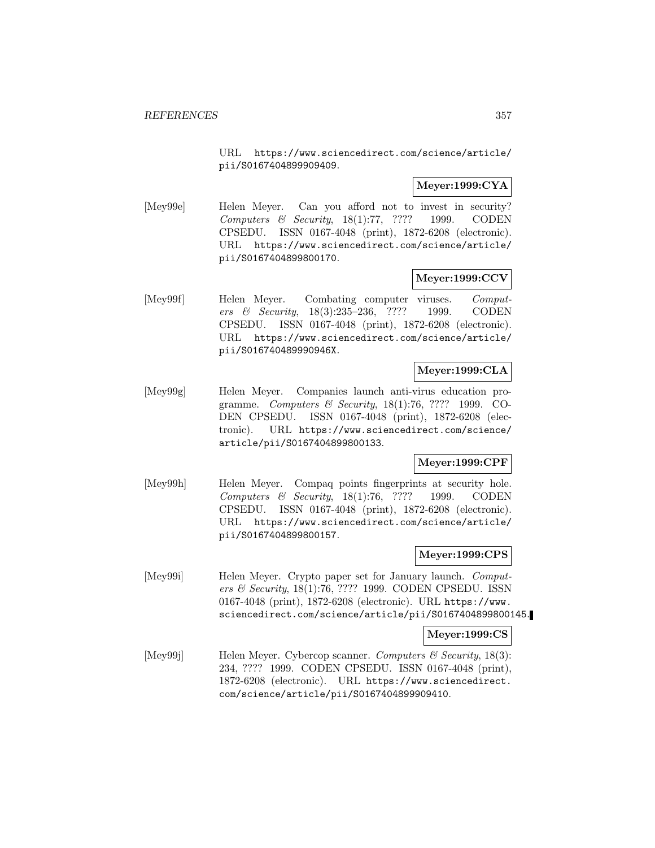URL https://www.sciencedirect.com/science/article/ pii/S0167404899909409.

# **Meyer:1999:CYA**

[Mey99e] Helen Meyer. Can you afford not to invest in security? Computers & Security,  $18(1):77$ , ???? 1999. CODEN CPSEDU. ISSN 0167-4048 (print), 1872-6208 (electronic). URL https://www.sciencedirect.com/science/article/ pii/S0167404899800170.

## **Meyer:1999:CCV**

[Mey99f] Helen Meyer. Combating computer viruses. Computers & Security, 18(3):235–236, ???? 1999. CODEN CPSEDU. ISSN 0167-4048 (print), 1872-6208 (electronic). URL https://www.sciencedirect.com/science/article/ pii/S016740489990946X.

# **Meyer:1999:CLA**

[Mey99g] Helen Meyer. Companies launch anti-virus education programme. Computers & Security, 18(1):76, ???? 1999. CO-DEN CPSEDU. ISSN 0167-4048 (print), 1872-6208 (electronic). URL https://www.sciencedirect.com/science/ article/pii/S0167404899800133.

# **Meyer:1999:CPF**

[Mey99h] Helen Meyer. Compaq points fingerprints at security hole. Computers & Security, 18(1):76, ???? 1999. CODEN CPSEDU. ISSN 0167-4048 (print), 1872-6208 (electronic). URL https://www.sciencedirect.com/science/article/ pii/S0167404899800157.

### **Meyer:1999:CPS**

[Mey99i] Helen Meyer. Crypto paper set for January launch. Computers & Security, 18(1):76, ???? 1999. CODEN CPSEDU. ISSN 0167-4048 (print), 1872-6208 (electronic). URL https://www. sciencedirect.com/science/article/pii/S0167404899800145.

### **Meyer:1999:CS**

[Mey99j] Helen Meyer. Cybercop scanner. Computers & Security, 18(3): 234, ???? 1999. CODEN CPSEDU. ISSN 0167-4048 (print), 1872-6208 (electronic). URL https://www.sciencedirect. com/science/article/pii/S0167404899909410.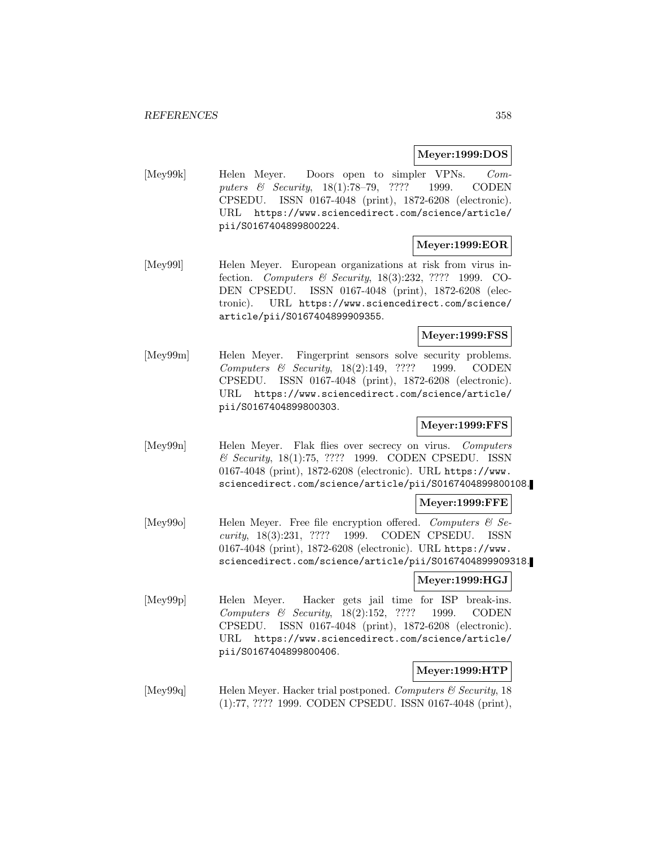### **Meyer:1999:DOS**

[Mey99k] Helen Meyer. Doors open to simpler VPNs. Computers & Security, 18(1):78–79, ???? 1999. CODEN CPSEDU. ISSN 0167-4048 (print), 1872-6208 (electronic). URL https://www.sciencedirect.com/science/article/ pii/S0167404899800224.

### **Meyer:1999:EOR**

[Mey991] Helen Meyer. European organizations at risk from virus infection. Computers & Security, 18(3):232, ???? 1999. CO-DEN CPSEDU. ISSN 0167-4048 (print), 1872-6208 (electronic). URL https://www.sciencedirect.com/science/ article/pii/S0167404899909355.

## **Meyer:1999:FSS**

[Mey99m] Helen Meyer. Fingerprint sensors solve security problems. Computers & Security, 18(2):149, ???? 1999. CODEN CPSEDU. ISSN 0167-4048 (print), 1872-6208 (electronic). URL https://www.sciencedirect.com/science/article/ pii/S0167404899800303.

# **Meyer:1999:FFS**

[Mey99n] Helen Meyer. Flak flies over secrecy on virus. Computers & Security, 18(1):75, ???? 1999. CODEN CPSEDU. ISSN 0167-4048 (print), 1872-6208 (electronic). URL https://www. sciencedirect.com/science/article/pii/S0167404899800108.

### **Meyer:1999:FFE**

[Mey99o] Helen Meyer. Free file encryption offered. Computers  $\mathcal{C}$  Security, 18(3):231, ???? 1999. CODEN CPSEDU. ISSN 0167-4048 (print), 1872-6208 (electronic). URL https://www. sciencedirect.com/science/article/pii/S0167404899909318.

### **Meyer:1999:HGJ**

[Mey99p] Helen Meyer. Hacker gets jail time for ISP break-ins. Computers & Security, 18(2):152, ???? 1999. CODEN CPSEDU. ISSN 0167-4048 (print), 1872-6208 (electronic). URL https://www.sciencedirect.com/science/article/ pii/S0167404899800406.

# **Meyer:1999:HTP**

[Mey99q] Helen Meyer. Hacker trial postponed. Computers & Security, 18 (1):77, ???? 1999. CODEN CPSEDU. ISSN 0167-4048 (print),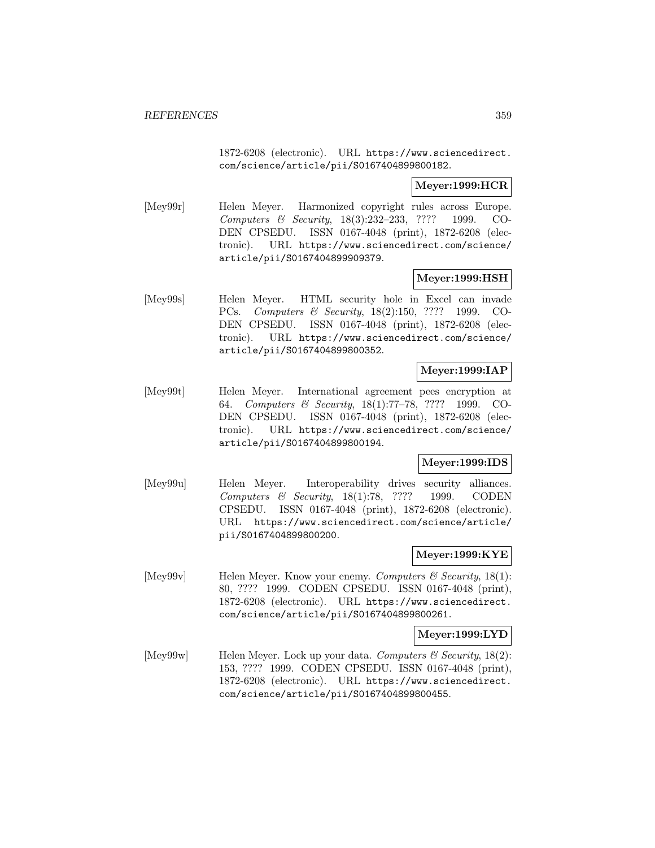1872-6208 (electronic). URL https://www.sciencedirect. com/science/article/pii/S0167404899800182.

## **Meyer:1999:HCR**

[Mey99r] Helen Meyer. Harmonized copyright rules across Europe. Computers & Security, 18(3):232–233, ???? 1999. CO-DEN CPSEDU. ISSN 0167-4048 (print), 1872-6208 (electronic). URL https://www.sciencedirect.com/science/ article/pii/S0167404899909379.

# **Meyer:1999:HSH**

[Mey99s] Helen Meyer. HTML security hole in Excel can invade PCs. Computers & Security, 18(2):150, ???? 1999. CO-DEN CPSEDU. ISSN 0167-4048 (print), 1872-6208 (electronic). URL https://www.sciencedirect.com/science/ article/pii/S0167404899800352.

# **Meyer:1999:IAP**

[Mey99t] Helen Meyer. International agreement pees encryption at 64. Computers & Security, 18(1):77–78, ???? 1999. CO-DEN CPSEDU. ISSN 0167-4048 (print), 1872-6208 (electronic). URL https://www.sciencedirect.com/science/ article/pii/S0167404899800194.

### **Meyer:1999:IDS**

[Mey99u] Helen Meyer. Interoperability drives security alliances. Computers & Security, 18(1):78, ???? 1999. CODEN CPSEDU. ISSN 0167-4048 (print), 1872-6208 (electronic). URL https://www.sciencedirect.com/science/article/ pii/S0167404899800200.

### **Meyer:1999:KYE**

[Mey99v] Helen Meyer. Know your enemy. Computers  $\mathcal C$  Security, 18(1): 80, ???? 1999. CODEN CPSEDU. ISSN 0167-4048 (print), 1872-6208 (electronic). URL https://www.sciencedirect. com/science/article/pii/S0167404899800261.

### **Meyer:1999:LYD**

[Mey99w] Helen Meyer. Lock up your data. Computers & Security, 18(2): 153, ???? 1999. CODEN CPSEDU. ISSN 0167-4048 (print), 1872-6208 (electronic). URL https://www.sciencedirect. com/science/article/pii/S0167404899800455.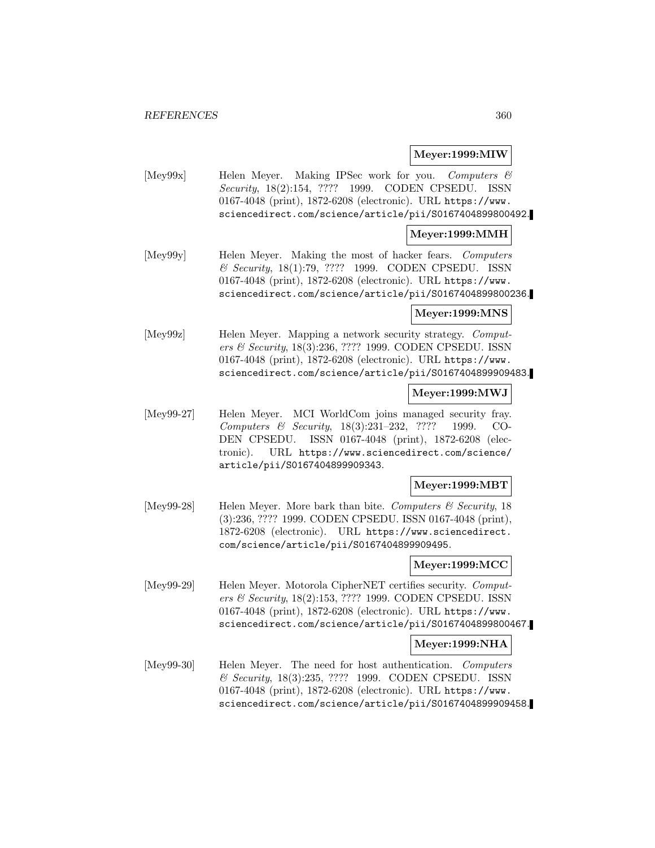### **Meyer:1999:MIW**

[Mey99x] Helen Meyer. Making IPSec work for you. Computers & Security, 18(2):154, ???? 1999. CODEN CPSEDU. ISSN 0167-4048 (print), 1872-6208 (electronic). URL https://www. sciencedirect.com/science/article/pii/S0167404899800492.

#### **Meyer:1999:MMH**

[Mey99y] Helen Meyer. Making the most of hacker fears. Computers & Security, 18(1):79, ???? 1999. CODEN CPSEDU. ISSN 0167-4048 (print), 1872-6208 (electronic). URL https://www. sciencedirect.com/science/article/pii/S0167404899800236.

### **Meyer:1999:MNS**

[Mey99z] Helen Meyer. Mapping a network security strategy. Computers & Security, 18(3):236, ???? 1999. CODEN CPSEDU. ISSN 0167-4048 (print), 1872-6208 (electronic). URL https://www. sciencedirect.com/science/article/pii/S0167404899909483.

#### **Meyer:1999:MWJ**

[Mey99-27] Helen Meyer. MCI WorldCom joins managed security fray. Computers & Security, 18(3):231–232, ???? 1999. CO-DEN CPSEDU. ISSN 0167-4048 (print), 1872-6208 (electronic). URL https://www.sciencedirect.com/science/ article/pii/S0167404899909343.

### **Meyer:1999:MBT**

[Mey99-28] Helen Meyer. More bark than bite. Computers & Security, 18 (3):236, ???? 1999. CODEN CPSEDU. ISSN 0167-4048 (print), 1872-6208 (electronic). URL https://www.sciencedirect. com/science/article/pii/S0167404899909495.

### **Meyer:1999:MCC**

[Mey99-29] Helen Meyer. Motorola CipherNET certifies security. Computers & Security, 18(2):153, ???? 1999. CODEN CPSEDU. ISSN 0167-4048 (print), 1872-6208 (electronic). URL https://www. sciencedirect.com/science/article/pii/S0167404899800467.

### **Meyer:1999:NHA**

[Mey99-30] Helen Meyer. The need for host authentication. Computers & Security, 18(3):235, ???? 1999. CODEN CPSEDU. ISSN 0167-4048 (print), 1872-6208 (electronic). URL https://www. sciencedirect.com/science/article/pii/S0167404899909458.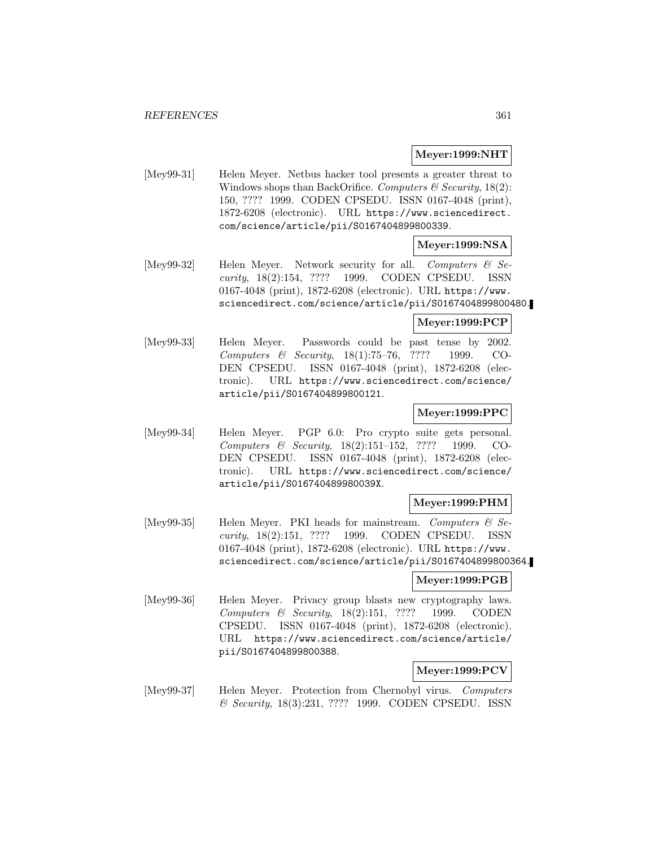# **Meyer:1999:NHT**

[Mey99-31] Helen Meyer. Netbus hacker tool presents a greater threat to Windows shops than BackOrifice. Computers  $\mathcal C$  Security, 18(2): 150, ???? 1999. CODEN CPSEDU. ISSN 0167-4048 (print), 1872-6208 (electronic). URL https://www.sciencedirect. com/science/article/pii/S0167404899800339.

# **Meyer:1999:NSA**

[Mey99-32] Helen Meyer. Network security for all. Computers & Security, 18(2):154, ???? 1999. CODEN CPSEDU. ISSN 0167-4048 (print), 1872-6208 (electronic). URL https://www. sciencedirect.com/science/article/pii/S0167404899800480.

#### **Meyer:1999:PCP**

[Mey99-33] Helen Meyer. Passwords could be past tense by 2002. Computers & Security, 18(1):75–76, ???? 1999. CO-DEN CPSEDU. ISSN 0167-4048 (print), 1872-6208 (electronic). URL https://www.sciencedirect.com/science/ article/pii/S0167404899800121.

# **Meyer:1999:PPC**

[Mey99-34] Helen Meyer. PGP 6.0: Pro crypto suite gets personal. Computers & Security, 18(2):151–152, ???? 1999. CO-DEN CPSEDU. ISSN 0167-4048 (print), 1872-6208 (electronic). URL https://www.sciencedirect.com/science/ article/pii/S016740489980039X.

# **Meyer:1999:PHM**

[Mey99-35] Helen Meyer. PKI heads for mainstream. Computers  $\mathcal{B}$  Security, 18(2):151, ???? 1999. CODEN CPSEDU. ISSN 0167-4048 (print), 1872-6208 (electronic). URL https://www. sciencedirect.com/science/article/pii/S0167404899800364.

# **Meyer:1999:PGB**

[Mey99-36] Helen Meyer. Privacy group blasts new cryptography laws. Computers & Security, 18(2):151, ???? 1999. CODEN CPSEDU. ISSN 0167-4048 (print), 1872-6208 (electronic). URL https://www.sciencedirect.com/science/article/ pii/S0167404899800388.

# **Meyer:1999:PCV**

[Mey99-37] Helen Meyer. Protection from Chernobyl virus. Computers & Security, 18(3):231, ???? 1999. CODEN CPSEDU. ISSN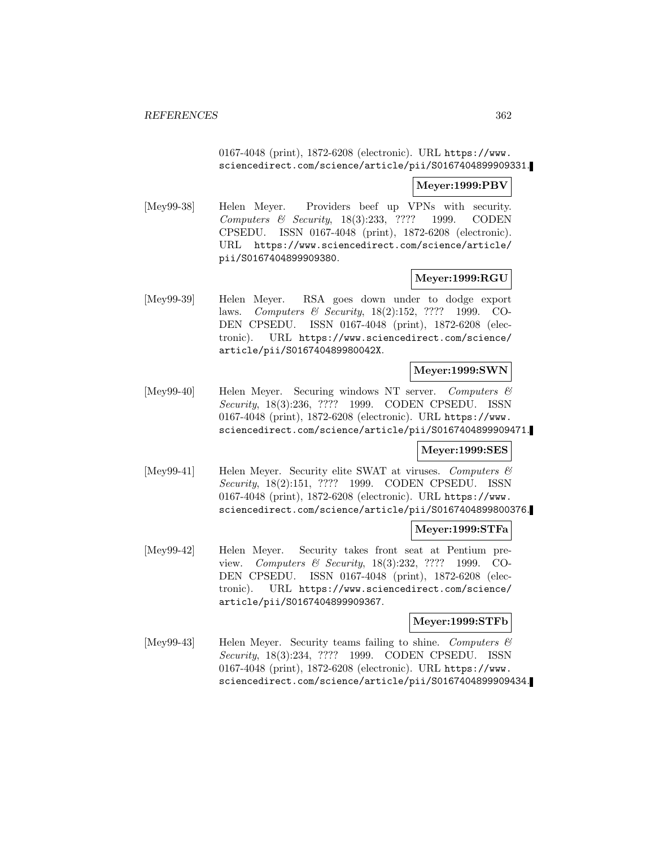# 0167-4048 (print), 1872-6208 (electronic). URL https://www. sciencedirect.com/science/article/pii/S0167404899909331.

# **Meyer:1999:PBV**

[Mey99-38] Helen Meyer. Providers beef up VPNs with security. Computers & Security, 18(3):233, ???? 1999. CODEN CPSEDU. ISSN 0167-4048 (print), 1872-6208 (electronic). URL https://www.sciencedirect.com/science/article/ pii/S0167404899909380.

# **Meyer:1999:RGU**

[Mey99-39] Helen Meyer. RSA goes down under to dodge export laws. Computers & Security, 18(2):152, ???? 1999. CO-DEN CPSEDU. ISSN 0167-4048 (print), 1872-6208 (electronic). URL https://www.sciencedirect.com/science/ article/pii/S016740489980042X.

# **Meyer:1999:SWN**

[Mey99-40] Helen Meyer. Securing windows NT server. Computers & Security, 18(3):236, ???? 1999. CODEN CPSEDU. ISSN 0167-4048 (print), 1872-6208 (electronic). URL https://www. sciencedirect.com/science/article/pii/S0167404899909471.

# **Meyer:1999:SES**

[Mey99-41] Helen Meyer. Security elite SWAT at viruses. Computers  $\mathcal{C}$ Security, 18(2):151, ???? 1999. CODEN CPSEDU. ISSN 0167-4048 (print), 1872-6208 (electronic). URL https://www. sciencedirect.com/science/article/pii/S0167404899800376.

# **Meyer:1999:STFa**

[Mey99-42] Helen Meyer. Security takes front seat at Pentium preview. Computers & Security, 18(3):232, ???? 1999. CO-DEN CPSEDU. ISSN 0167-4048 (print), 1872-6208 (electronic). URL https://www.sciencedirect.com/science/ article/pii/S0167404899909367.

### **Meyer:1999:STFb**

[Mey99-43] Helen Meyer. Security teams failing to shine. Computers  $\mathcal{C}$ Security, 18(3):234, ???? 1999. CODEN CPSEDU. ISSN 0167-4048 (print), 1872-6208 (electronic). URL https://www. sciencedirect.com/science/article/pii/S0167404899909434.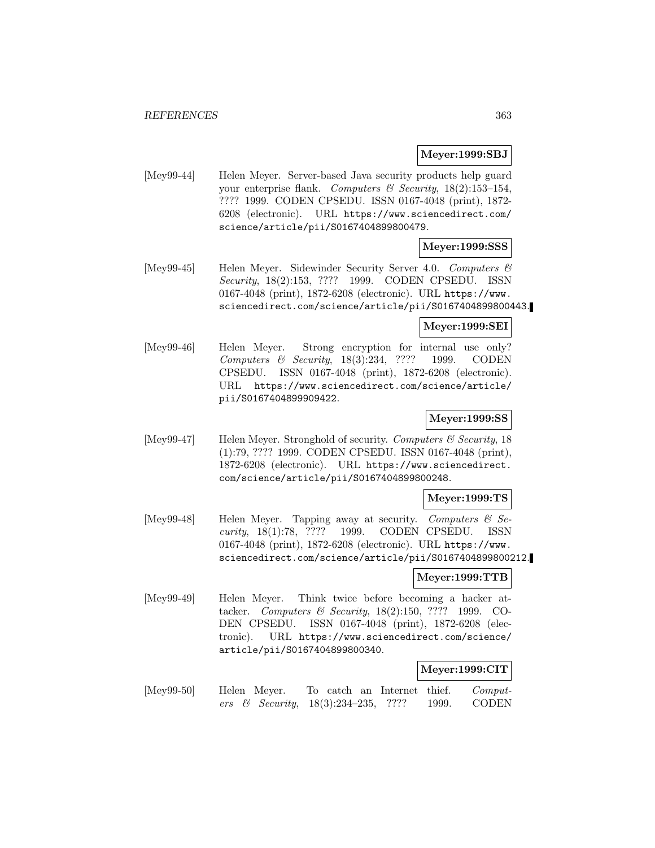# **Meyer:1999:SBJ**

[Mey99-44] Helen Meyer. Server-based Java security products help guard your enterprise flank. Computers & Security,  $18(2):153-154$ , ???? 1999. CODEN CPSEDU. ISSN 0167-4048 (print), 1872- 6208 (electronic). URL https://www.sciencedirect.com/ science/article/pii/S0167404899800479.

# **Meyer:1999:SSS**

[Mey99-45] Helen Meyer. Sidewinder Security Server 4.0. Computers & Security, 18(2):153, ???? 1999. CODEN CPSEDU. ISSN 0167-4048 (print), 1872-6208 (electronic). URL https://www. sciencedirect.com/science/article/pii/S0167404899800443.

#### **Meyer:1999:SEI**

[Mey99-46] Helen Meyer. Strong encryption for internal use only? Computers & Security, 18(3):234, ???? 1999. CODEN CPSEDU. ISSN 0167-4048 (print), 1872-6208 (electronic). URL https://www.sciencedirect.com/science/article/ pii/S0167404899909422.

# **Meyer:1999:SS**

[Mey99-47] Helen Meyer. Stronghold of security. Computers  $\mathcal C$  Security, 18 (1):79, ???? 1999. CODEN CPSEDU. ISSN 0167-4048 (print), 1872-6208 (electronic). URL https://www.sciencedirect. com/science/article/pii/S0167404899800248.

#### **Meyer:1999:TS**

[Mey99-48] Helen Meyer. Tapping away at security. Computers  $\mathcal{C}$  Security, 18(1):78, ???? 1999. CODEN CPSEDU. ISSN 0167-4048 (print), 1872-6208 (electronic). URL https://www. sciencedirect.com/science/article/pii/S0167404899800212.

#### **Meyer:1999:TTB**

[Mey99-49] Helen Meyer. Think twice before becoming a hacker attacker. Computers & Security, 18(2):150, ???? 1999. CO-DEN CPSEDU. ISSN 0167-4048 (print), 1872-6208 (electronic). URL https://www.sciencedirect.com/science/ article/pii/S0167404899800340.

# **Meyer:1999:CIT**

[Mey99-50] Helen Meyer. To catch an Internet thief. Computers & Security, 18(3):234–235, ???? 1999. CODEN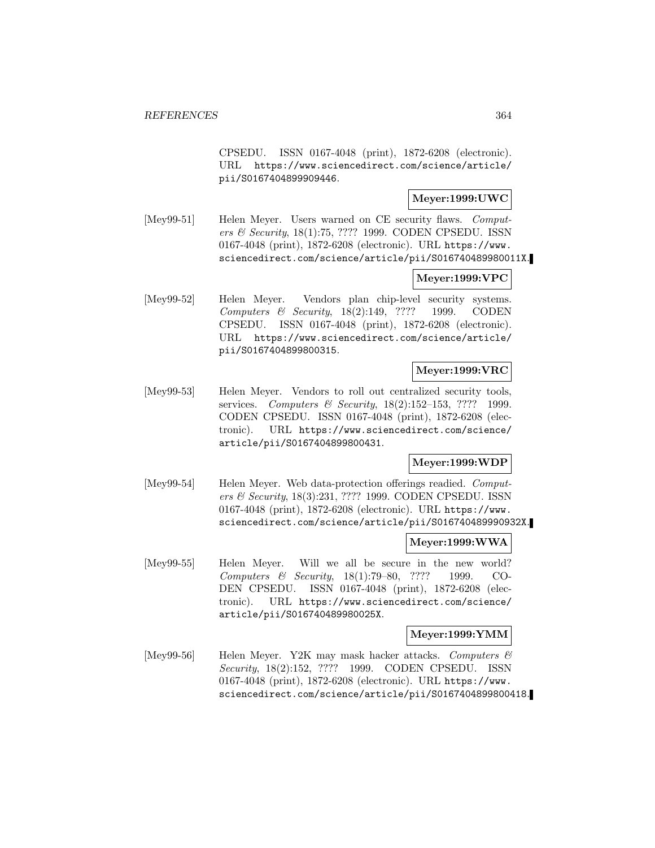CPSEDU. ISSN 0167-4048 (print), 1872-6208 (electronic). URL https://www.sciencedirect.com/science/article/ pii/S0167404899909446.

# **Meyer:1999:UWC**

[Mey99-51] Helen Meyer. Users warned on CE security flaws. Computers & Security, 18(1):75, ???? 1999. CODEN CPSEDU. ISSN 0167-4048 (print), 1872-6208 (electronic). URL https://www. sciencedirect.com/science/article/pii/S016740489980011X.

# **Meyer:1999:VPC**

[Mey99-52] Helen Meyer. Vendors plan chip-level security systems. Computers & Security, 18(2):149, ???? 1999. CODEN CPSEDU. ISSN 0167-4048 (print), 1872-6208 (electronic). URL https://www.sciencedirect.com/science/article/ pii/S0167404899800315.

# **Meyer:1999:VRC**

[Mey99-53] Helen Meyer. Vendors to roll out centralized security tools, services. Computers & Security, 18(2):152-153, ???? 1999. CODEN CPSEDU. ISSN 0167-4048 (print), 1872-6208 (electronic). URL https://www.sciencedirect.com/science/ article/pii/S0167404899800431.

# **Meyer:1999:WDP**

[Mey99-54] Helen Meyer. Web data-protection offerings readied. Computers & Security, 18(3):231, ???? 1999. CODEN CPSEDU. ISSN 0167-4048 (print), 1872-6208 (electronic). URL https://www. sciencedirect.com/science/article/pii/S016740489990932X.

# **Meyer:1999:WWA**

[Mey99-55] Helen Meyer. Will we all be secure in the new world? Computers & Security, 18(1):79–80, ???? 1999. CO-DEN CPSEDU. ISSN 0167-4048 (print), 1872-6208 (electronic). URL https://www.sciencedirect.com/science/ article/pii/S016740489980025X.

# **Meyer:1999:YMM**

[Mey99-56] Helen Meyer. Y2K may mask hacker attacks. Computers  $\mathcal{C}$ Security, 18(2):152, ???? 1999. CODEN CPSEDU. ISSN 0167-4048 (print), 1872-6208 (electronic). URL https://www. sciencedirect.com/science/article/pii/S0167404899800418.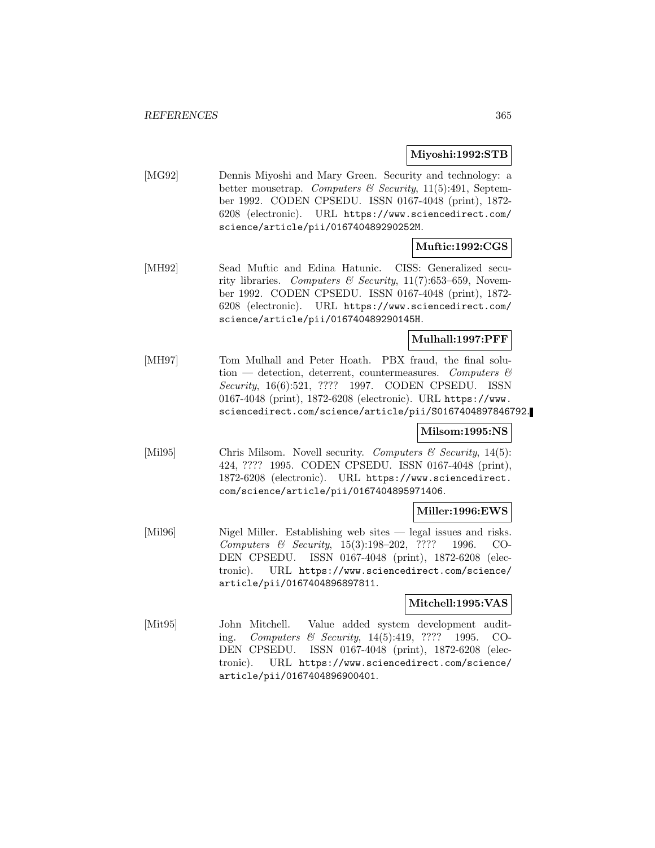### **Miyoshi:1992:STB**

[MG92] Dennis Miyoshi and Mary Green. Security and technology: a better mousetrap. Computers & Security, 11(5):491, September 1992. CODEN CPSEDU. ISSN 0167-4048 (print), 1872- 6208 (electronic). URL https://www.sciencedirect.com/ science/article/pii/016740489290252M.

# **Muftic:1992:CGS**

[MH92] Sead Muftic and Edina Hatunic. CISS: Generalized security libraries. Computers & Security,  $11(7)$ :653-659, November 1992. CODEN CPSEDU. ISSN 0167-4048 (print), 1872- 6208 (electronic). URL https://www.sciencedirect.com/ science/article/pii/016740489290145H.

# **Mulhall:1997:PFF**

[MH97] Tom Mulhall and Peter Hoath. PBX fraud, the final solution — detection, deterrent, countermeasures. Computers  $\mathcal{B}$ Security, 16(6):521, ???? 1997. CODEN CPSEDU. ISSN 0167-4048 (print), 1872-6208 (electronic). URL https://www. sciencedirect.com/science/article/pii/S0167404897846792.

# **Milsom:1995:NS**

[Mil95] Chris Milsom. Novell security. Computers & Security, 14(5): 424, ???? 1995. CODEN CPSEDU. ISSN 0167-4048 (print), 1872-6208 (electronic). URL https://www.sciencedirect. com/science/article/pii/0167404895971406.

# **Miller:1996:EWS**

[Mil96] Nigel Miller. Establishing web sites — legal issues and risks. Computers & Security, 15(3):198–202, ???? 1996. CO-DEN CPSEDU. ISSN 0167-4048 (print), 1872-6208 (electronic). URL https://www.sciencedirect.com/science/ article/pii/0167404896897811.

# **Mitchell:1995:VAS**

[Mit95] John Mitchell. Value added system development auditing. Computers & Security, 14(5):419, ???? 1995. CO-DEN CPSEDU. ISSN 0167-4048 (print), 1872-6208 (electronic). URL https://www.sciencedirect.com/science/ article/pii/0167404896900401.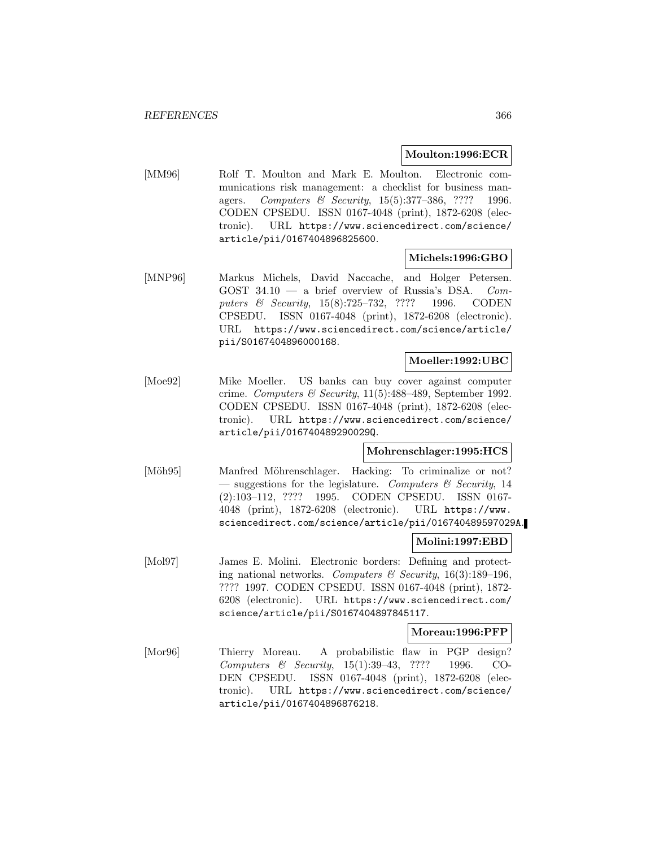### **Moulton:1996:ECR**

[MM96] Rolf T. Moulton and Mark E. Moulton. Electronic communications risk management: a checklist for business managers. Computers & Security, 15(5):377–386, ???? 1996. CODEN CPSEDU. ISSN 0167-4048 (print), 1872-6208 (electronic). URL https://www.sciencedirect.com/science/ article/pii/0167404896825600.

# **Michels:1996:GBO**

[MNP96] Markus Michels, David Naccache, and Holger Petersen. GOST  $34.10 - a$  brief overview of Russia's DSA. Computers & Security, 15(8):725–732, ???? 1996. CODEN CPSEDU. ISSN 0167-4048 (print), 1872-6208 (electronic). URL https://www.sciencedirect.com/science/article/ pii/S0167404896000168.

# **Moeller:1992:UBC**

[Moe92] Mike Moeller. US banks can buy cover against computer crime. Computers & Security,  $11(5):488-489$ , September 1992. CODEN CPSEDU. ISSN 0167-4048 (print), 1872-6208 (electronic). URL https://www.sciencedirect.com/science/ article/pii/016740489290029Q.

# **Mohrenschlager:1995:HCS**

[Möh95] Manfred Möhrenschlager. Hacking: To criminalize or not? — suggestions for the legislature. Computers  $\mathcal{C}$  Security, 14 (2):103–112, ???? 1995. CODEN CPSEDU. ISSN 0167- 4048 (print), 1872-6208 (electronic). URL https://www. sciencedirect.com/science/article/pii/016740489597029A.

# **Molini:1997:EBD**

[Mol97] James E. Molini. Electronic borders: Defining and protecting national networks. Computers & Security,  $16(3):189-196$ , ???? 1997. CODEN CPSEDU. ISSN 0167-4048 (print), 1872- 6208 (electronic). URL https://www.sciencedirect.com/ science/article/pii/S0167404897845117.

#### **Moreau:1996:PFP**

[Mor96] Thierry Moreau. A probabilistic flaw in PGP design? Computers & Security, 15(1):39–43, ???? 1996. CO-DEN CPSEDU. ISSN 0167-4048 (print), 1872-6208 (electronic). URL https://www.sciencedirect.com/science/ article/pii/0167404896876218.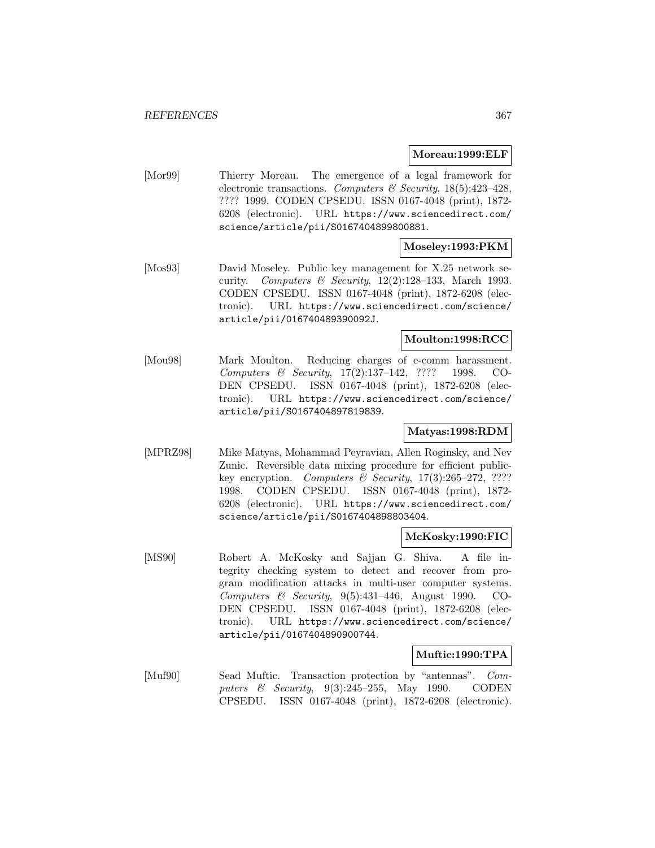#### **Moreau:1999:ELF**

[Mor99] Thierry Moreau. The emergence of a legal framework for electronic transactions. Computers & Security,  $18(5):423-428$ , ???? 1999. CODEN CPSEDU. ISSN 0167-4048 (print), 1872- 6208 (electronic). URL https://www.sciencedirect.com/ science/article/pii/S0167404899800881.

# **Moseley:1993:PKM**

[Mos93] David Moseley. Public key management for X.25 network security. Computers & Security,  $12(2):128-133$ , March 1993. CODEN CPSEDU. ISSN 0167-4048 (print), 1872-6208 (electronic). URL https://www.sciencedirect.com/science/ article/pii/016740489390092J.

# **Moulton:1998:RCC**

[Mou98] Mark Moulton. Reducing charges of e-comm harassment. Computers & Security, 17(2):137–142, ???? 1998. CO-DEN CPSEDU. ISSN 0167-4048 (print), 1872-6208 (electronic). URL https://www.sciencedirect.com/science/ article/pii/S0167404897819839.

# **Matyas:1998:RDM**

[MPRZ98] Mike Matyas, Mohammad Peyravian, Allen Roginsky, and Nev Zunic. Reversible data mixing procedure for efficient publickey encryption. Computers  $\mathcal B$  Security, 17(3):265-272, ???? 1998. CODEN CPSEDU. ISSN 0167-4048 (print), 1872- 6208 (electronic). URL https://www.sciencedirect.com/ science/article/pii/S0167404898803404.

#### **McKosky:1990:FIC**

[MS90] Robert A. McKosky and Sajjan G. Shiva. A file integrity checking system to detect and recover from program modification attacks in multi-user computer systems. Computers & Security,  $9(5):431-446$ , August 1990. CO-DEN CPSEDU. ISSN 0167-4048 (print), 1872-6208 (electronic). URL https://www.sciencedirect.com/science/ article/pii/0167404890900744.

#### **Muftic:1990:TPA**

[Muf90] Sead Muftic. Transaction protection by "antennas". Computers & Security, 9(3):245–255, May 1990. CODEN CPSEDU. ISSN 0167-4048 (print), 1872-6208 (electronic).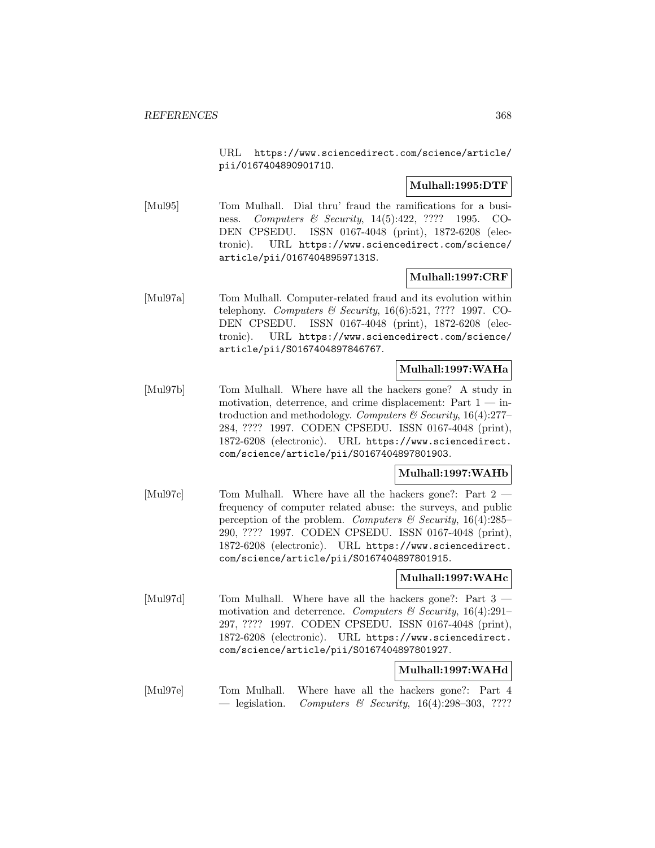URL https://www.sciencedirect.com/science/article/ pii/016740489090171O.

# **Mulhall:1995:DTF**

[Mul95] Tom Mulhall. Dial thru' fraud the ramifications for a business. Computers & Security, 14(5):422, ???? 1995. CO-DEN CPSEDU. ISSN 0167-4048 (print), 1872-6208 (electronic). URL https://www.sciencedirect.com/science/ article/pii/016740489597131S.

# **Mulhall:1997:CRF**

[Mul97a] Tom Mulhall. Computer-related fraud and its evolution within telephony. Computers & Security, 16(6):521, ???? 1997. CO-DEN CPSEDU. ISSN 0167-4048 (print), 1872-6208 (electronic). URL https://www.sciencedirect.com/science/ article/pii/S0167404897846767.

# **Mulhall:1997:WAHa**

[Mul97b] Tom Mulhall. Where have all the hackers gone? A study in motivation, deterrence, and crime displacement: Part  $1 - in$ troduction and methodology. Computers  $\mathcal C$  Security, 16(4):277– 284, ???? 1997. CODEN CPSEDU. ISSN 0167-4048 (print), 1872-6208 (electronic). URL https://www.sciencedirect. com/science/article/pii/S0167404897801903.

#### **Mulhall:1997:WAHb**

[Mul97c] Tom Mulhall. Where have all the hackers gone?: Part 2 frequency of computer related abuse: the surveys, and public perception of the problem. Computers  $\mathcal C$  Security, 16(4):285– 290, ???? 1997. CODEN CPSEDU. ISSN 0167-4048 (print), 1872-6208 (electronic). URL https://www.sciencedirect. com/science/article/pii/S0167404897801915.

# **Mulhall:1997:WAHc**

[Mul97d] Tom Mulhall. Where have all the hackers gone?: Part 3 motivation and deterrence. Computers & Security,  $16(4):291-$ 297, ???? 1997. CODEN CPSEDU. ISSN 0167-4048 (print), 1872-6208 (electronic). URL https://www.sciencedirect. com/science/article/pii/S0167404897801927.

# **Mulhall:1997:WAHd**

[Mul97e] Tom Mulhall. Where have all the hackers gone?: Part 4 — legislation. Computers & Security,  $16(4):298-303$ , ????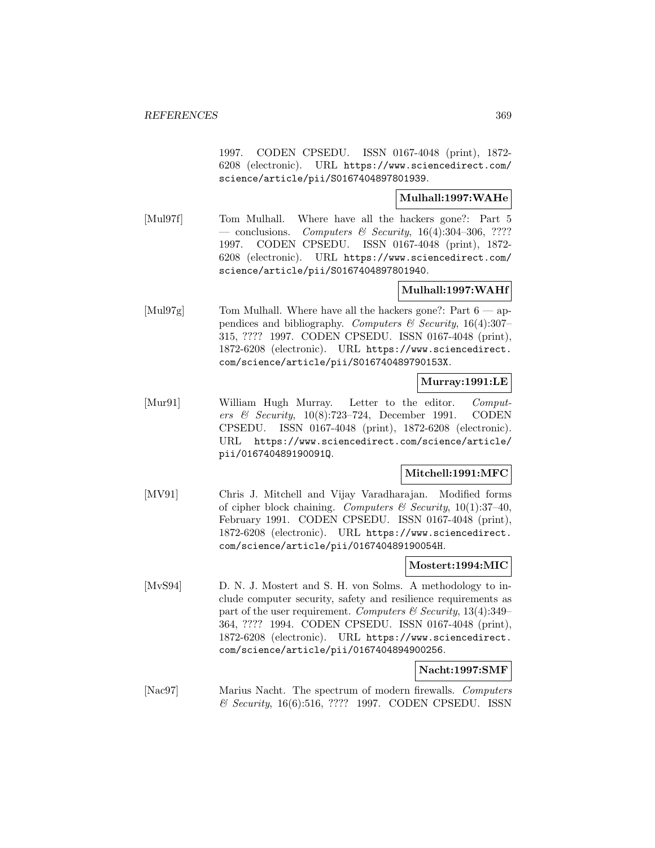1997. CODEN CPSEDU. ISSN 0167-4048 (print), 1872- 6208 (electronic). URL https://www.sciencedirect.com/ science/article/pii/S0167404897801939.

# **Mulhall:1997:WAHe**

[Mul97f] Tom Mulhall. Where have all the hackers gone?: Part 5 — conclusions. Computers & Security,  $16(4):304-306, ????$ 1997. CODEN CPSEDU. ISSN 0167-4048 (print), 1872- 6208 (electronic). URL https://www.sciencedirect.com/ science/article/pii/S0167404897801940.

# **Mulhall:1997:WAHf**

[Mul97g] Tom Mulhall. Where have all the hackers gone?: Part  $6 \rightarrow$  appendices and bibliography. Computers & Security,  $16(4):307-$ 315, ???? 1997. CODEN CPSEDU. ISSN 0167-4048 (print), 1872-6208 (electronic). URL https://www.sciencedirect. com/science/article/pii/S016740489790153X.

# **Murray:1991:LE**

[Mur91] William Hugh Murray. Letter to the editor. Computers & Security, 10(8):723–724, December 1991. CODEN CPSEDU. ISSN 0167-4048 (print), 1872-6208 (electronic). URL https://www.sciencedirect.com/science/article/ pii/016740489190091Q.

# **Mitchell:1991:MFC**

[MV91] Chris J. Mitchell and Vijay Varadharajan. Modified forms of cipher block chaining. Computers & Security,  $10(1):37-40$ , February 1991. CODEN CPSEDU. ISSN 0167-4048 (print), 1872-6208 (electronic). URL https://www.sciencedirect. com/science/article/pii/016740489190054H.

# **Mostert:1994:MIC**

[MvS94] D. N. J. Mostert and S. H. von Solms. A methodology to include computer security, safety and resilience requirements as part of the user requirement. Computers  $\mathcal C$  Security, 13(4):349– 364, ???? 1994. CODEN CPSEDU. ISSN 0167-4048 (print), 1872-6208 (electronic). URL https://www.sciencedirect. com/science/article/pii/0167404894900256.

# **Nacht:1997:SMF**

[Nac97] Marius Nacht. The spectrum of modern firewalls. Computers & Security, 16(6):516, ???? 1997. CODEN CPSEDU. ISSN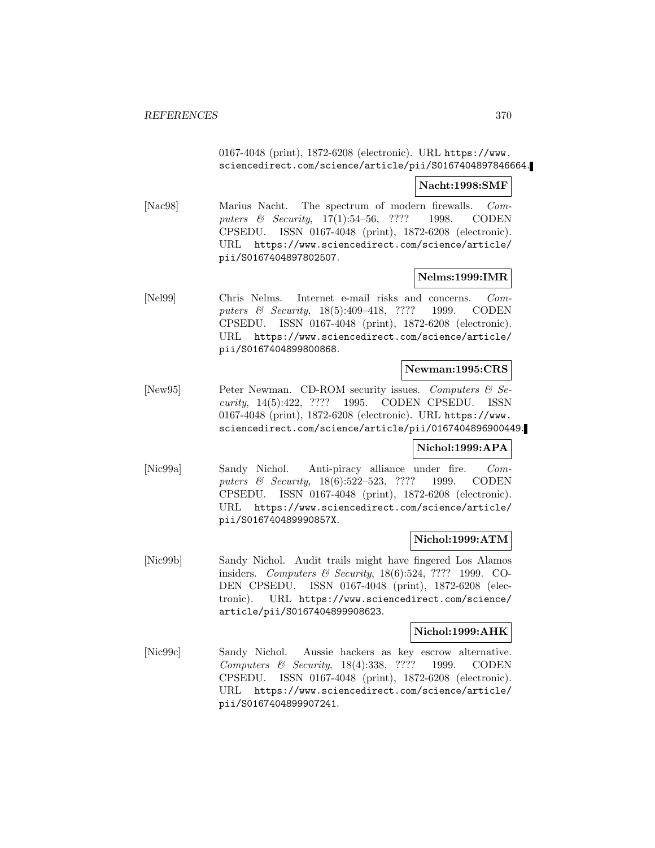0167-4048 (print), 1872-6208 (electronic). URL https://www. sciencedirect.com/science/article/pii/S0167404897846664.

### **Nacht:1998:SMF**

[Nac98] Marius Nacht. The spectrum of modern firewalls. Computers & Security, 17(1):54–56, ???? 1998. CODEN CPSEDU. ISSN 0167-4048 (print), 1872-6208 (electronic). URL https://www.sciencedirect.com/science/article/ pii/S0167404897802507.

# **Nelms:1999:IMR**

[Nel99] Chris Nelms. Internet e-mail risks and concerns. Computers & Security, 18(5):409–418, ???? 1999. CODEN CPSEDU. ISSN 0167-4048 (print), 1872-6208 (electronic). URL https://www.sciencedirect.com/science/article/ pii/S0167404899800868.

# **Newman:1995:CRS**

[New95] Peter Newman. CD-ROM security issues. Computers & Security, 14(5):422, ???? 1995. CODEN CPSEDU. ISSN 0167-4048 (print), 1872-6208 (electronic). URL https://www. sciencedirect.com/science/article/pii/0167404896900449.

#### **Nichol:1999:APA**

[Nic99a] Sandy Nichol. Anti-piracy alliance under fire. Computers & Security, 18(6):522–523, ???? 1999. CODEN CPSEDU. ISSN 0167-4048 (print), 1872-6208 (electronic). URL https://www.sciencedirect.com/science/article/ pii/S016740489990857X.

# **Nichol:1999:ATM**

[Nic99b] Sandy Nichol. Audit trails might have fingered Los Alamos insiders. Computers & Security, 18(6):524, ???? 1999. CO-DEN CPSEDU. ISSN 0167-4048 (print), 1872-6208 (electronic). URL https://www.sciencedirect.com/science/ article/pii/S0167404899908623.

#### **Nichol:1999:AHK**

[Nic99c] Sandy Nichol. Aussie hackers as key escrow alternative. Computers & Security, 18(4):338, ???? 1999. CODEN CPSEDU. ISSN 0167-4048 (print), 1872-6208 (electronic). URL https://www.sciencedirect.com/science/article/ pii/S0167404899907241.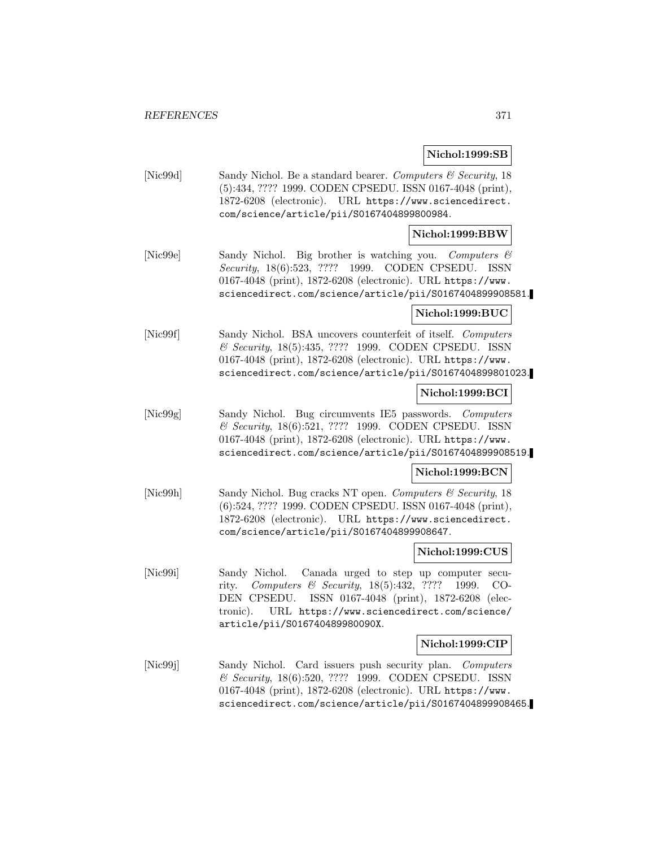# **Nichol:1999:SB**

[Nic99d] Sandy Nichol. Be a standard bearer. Computers & Security, 18 (5):434, ???? 1999. CODEN CPSEDU. ISSN 0167-4048 (print), 1872-6208 (electronic). URL https://www.sciencedirect. com/science/article/pii/S0167404899800984.

# **Nichol:1999:BBW**

[Nic99e] Sandy Nichol. Big brother is watching you. Computers & Security, 18(6):523, ???? 1999. CODEN CPSEDU. ISSN 0167-4048 (print), 1872-6208 (electronic). URL https://www. sciencedirect.com/science/article/pii/S0167404899908581.

# **Nichol:1999:BUC**

[Nic99f] Sandy Nichol. BSA uncovers counterfeit of itself. Computers & Security, 18(5):435, ???? 1999. CODEN CPSEDU. ISSN 0167-4048 (print), 1872-6208 (electronic). URL https://www. sciencedirect.com/science/article/pii/S0167404899801023.

# **Nichol:1999:BCI**

[Nic99g] Sandy Nichol. Bug circumvents IE5 passwords. Computers & Security, 18(6):521, ???? 1999. CODEN CPSEDU. ISSN 0167-4048 (print), 1872-6208 (electronic). URL https://www. sciencedirect.com/science/article/pii/S0167404899908519.

# **Nichol:1999:BCN**

[Nic99h] Sandy Nichol. Bug cracks NT open. Computers & Security, 18 (6):524, ???? 1999. CODEN CPSEDU. ISSN 0167-4048 (print), 1872-6208 (electronic). URL https://www.sciencedirect. com/science/article/pii/S0167404899908647.

# **Nichol:1999:CUS**

[Nic99i] Sandy Nichol. Canada urged to step up computer security. Computers & Security, 18(5):432, ???? 1999. CO-DEN CPSEDU. ISSN 0167-4048 (print), 1872-6208 (electronic). URL https://www.sciencedirect.com/science/ article/pii/S016740489980090X.

# **Nichol:1999:CIP**

[Nic99j] Sandy Nichol. Card issuers push security plan. Computers & Security, 18(6):520, ???? 1999. CODEN CPSEDU. ISSN 0167-4048 (print), 1872-6208 (electronic). URL https://www. sciencedirect.com/science/article/pii/S0167404899908465.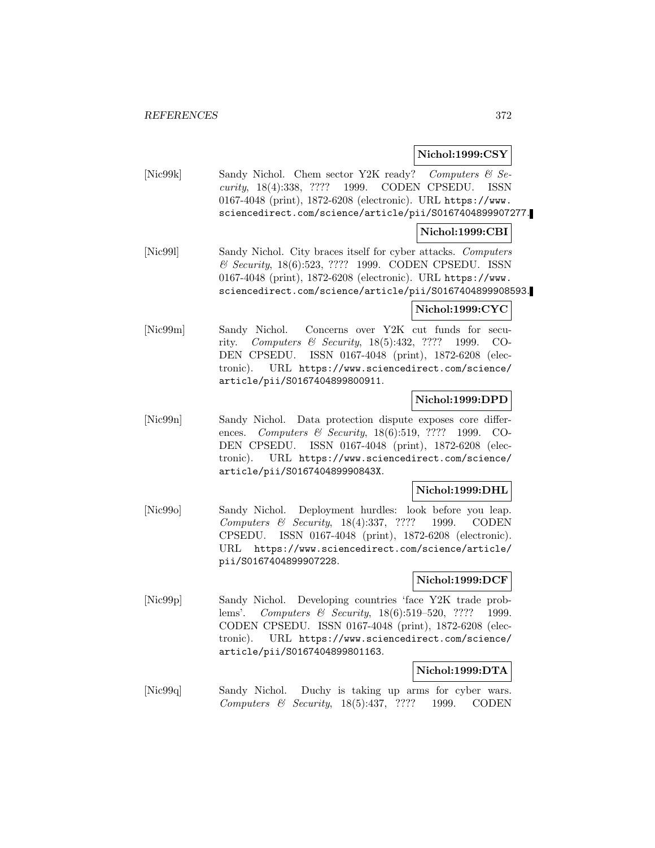# **Nichol:1999:CSY**

[Nic99k] Sandy Nichol. Chem sector Y2K ready? Computers & Security, 18(4):338, ???? 1999. CODEN CPSEDU. ISSN 0167-4048 (print), 1872-6208 (electronic). URL https://www. sciencedirect.com/science/article/pii/S0167404899907277.

# **Nichol:1999:CBI**

[Nic99l] Sandy Nichol. City braces itself for cyber attacks. Computers & Security, 18(6):523, ???? 1999. CODEN CPSEDU. ISSN 0167-4048 (print), 1872-6208 (electronic). URL https://www. sciencedirect.com/science/article/pii/S0167404899908593.

# **Nichol:1999:CYC**

[Nic99m] Sandy Nichol. Concerns over Y2K cut funds for security. Computers & Security, 18(5):432, ???? 1999. CO-DEN CPSEDU. ISSN 0167-4048 (print), 1872-6208 (electronic). URL https://www.sciencedirect.com/science/ article/pii/S0167404899800911.

# **Nichol:1999:DPD**

[Nic99n] Sandy Nichol. Data protection dispute exposes core differences. *Computers & Security*, 18(6):519, ???? 1999. CO-DEN CPSEDU. ISSN 0167-4048 (print), 1872-6208 (electronic). URL https://www.sciencedirect.com/science/ article/pii/S016740489990843X.

# **Nichol:1999:DHL**

[Nic99o] Sandy Nichol. Deployment hurdles: look before you leap. Computers & Security, 18(4):337, ???? 1999. CODEN CPSEDU. ISSN 0167-4048 (print), 1872-6208 (electronic). URL https://www.sciencedirect.com/science/article/ pii/S0167404899907228.

# **Nichol:1999:DCF**

[Nic99p] Sandy Nichol. Developing countries 'face Y2K trade problems'. Computers & Security, 18(6):519–520, ???? 1999. CODEN CPSEDU. ISSN 0167-4048 (print), 1872-6208 (electronic). URL https://www.sciencedirect.com/science/ article/pii/S0167404899801163.

# **Nichol:1999:DTA**

[Nic99q] Sandy Nichol. Duchy is taking up arms for cyber wars. Computers & Security, 18(5):437, ???? 1999. CODEN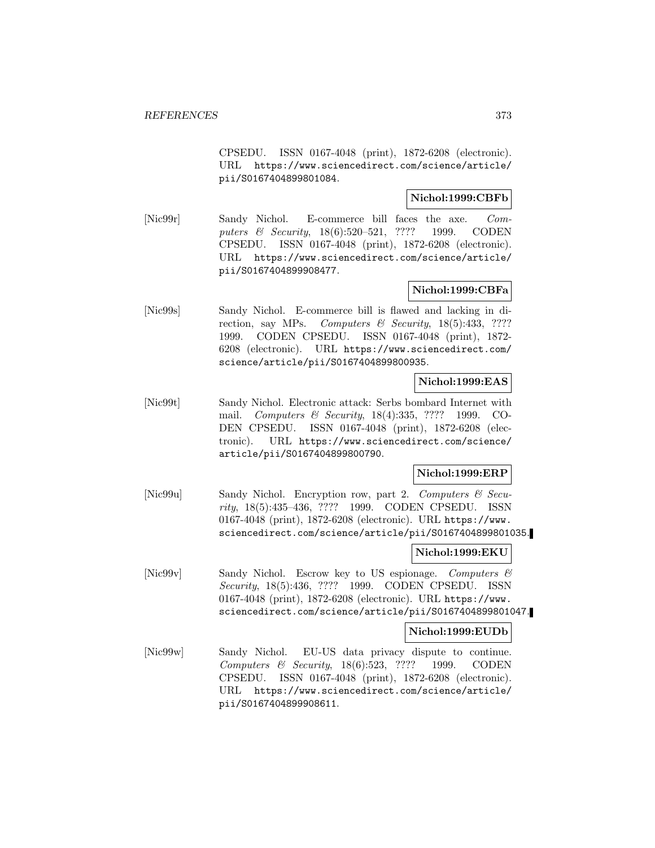CPSEDU. ISSN 0167-4048 (print), 1872-6208 (electronic). URL https://www.sciencedirect.com/science/article/ pii/S0167404899801084.

# **Nichol:1999:CBFb**

[Nic99r] Sandy Nichol. E-commerce bill faces the axe. Computers & Security, 18(6):520–521, ???? 1999. CODEN CPSEDU. ISSN 0167-4048 (print), 1872-6208 (electronic). URL https://www.sciencedirect.com/science/article/ pii/S0167404899908477.

# **Nichol:1999:CBFa**

[Nic99s] Sandy Nichol. E-commerce bill is flawed and lacking in direction, say MPs. Computers  $\mathcal B$  Security, 18(5):433, ???? 1999. CODEN CPSEDU. ISSN 0167-4048 (print), 1872- 6208 (electronic). URL https://www.sciencedirect.com/ science/article/pii/S0167404899800935.

# **Nichol:1999:EAS**

[Nic99t] Sandy Nichol. Electronic attack: Serbs bombard Internet with mail. Computers & Security, 18(4):335, ???? 1999. CO-DEN CPSEDU. ISSN 0167-4048 (print), 1872-6208 (electronic). URL https://www.sciencedirect.com/science/ article/pii/S0167404899800790.

# **Nichol:1999:ERP**

[Nic99u] Sandy Nichol. Encryption row, part 2. Computers & Security, 18(5):435–436, ???? 1999. CODEN CPSEDU. ISSN 0167-4048 (print), 1872-6208 (electronic). URL https://www. sciencedirect.com/science/article/pii/S0167404899801035.

# **Nichol:1999:EKU**

[Nic99v] Sandy Nichol. Escrow key to US espionage. Computers & Security, 18(5):436, ???? 1999. CODEN CPSEDU. ISSN 0167-4048 (print), 1872-6208 (electronic). URL https://www. sciencedirect.com/science/article/pii/S0167404899801047.

# **Nichol:1999:EUDb**

[Nic99w] Sandy Nichol. EU-US data privacy dispute to continue. Computers & Security, 18(6):523, ???? 1999. CODEN CPSEDU. ISSN 0167-4048 (print), 1872-6208 (electronic). URL https://www.sciencedirect.com/science/article/ pii/S0167404899908611.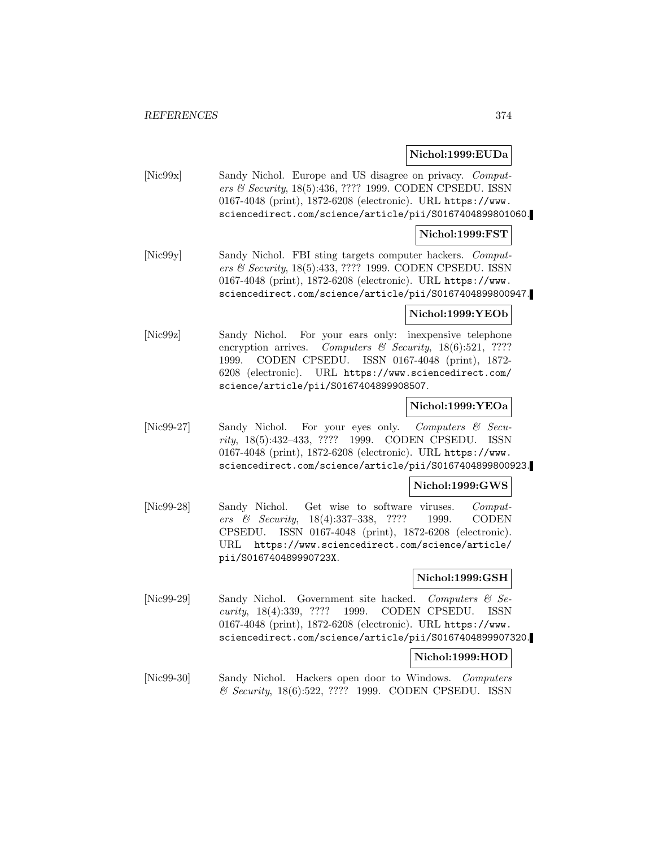# **Nichol:1999:EUDa**

[Nic99x] Sandy Nichol. Europe and US disagree on privacy. Computers & Security, 18(5):436, ???? 1999. CODEN CPSEDU. ISSN 0167-4048 (print), 1872-6208 (electronic). URL https://www. sciencedirect.com/science/article/pii/S0167404899801060.

#### **Nichol:1999:FST**

[Nic99y] Sandy Nichol. FBI sting targets computer hackers. Computers & Security, 18(5):433, ???? 1999. CODEN CPSEDU. ISSN 0167-4048 (print), 1872-6208 (electronic). URL https://www. sciencedirect.com/science/article/pii/S0167404899800947.

# **Nichol:1999:YEOb**

[Nic99z] Sandy Nichol. For your ears only: inexpensive telephone encryption arrives. Computers & Security,  $18(6):521$ , ???? 1999. CODEN CPSEDU. ISSN 0167-4048 (print), 1872- 6208 (electronic). URL https://www.sciencedirect.com/ science/article/pii/S0167404899908507.

#### **Nichol:1999:YEOa**

[Nic99-27] Sandy Nichol. For your eyes only. Computers & Security, 18(5):432–433, ???? 1999. CODEN CPSEDU. ISSN 0167-4048 (print), 1872-6208 (electronic). URL https://www. sciencedirect.com/science/article/pii/S0167404899800923.

# **Nichol:1999:GWS**

[Nic99-28] Sandy Nichol. Get wise to software viruses. Computers & Security, 18(4):337–338, ???? 1999. CODEN CPSEDU. ISSN 0167-4048 (print), 1872-6208 (electronic). URL https://www.sciencedirect.com/science/article/ pii/S016740489990723X.

#### **Nichol:1999:GSH**

[Nic99-29] Sandy Nichol. Government site hacked. Computers & Security, 18(4):339, ???? 1999. CODEN CPSEDU. ISSN 0167-4048 (print), 1872-6208 (electronic). URL https://www. sciencedirect.com/science/article/pii/S0167404899907320.

#### **Nichol:1999:HOD**

[Nic99-30] Sandy Nichol. Hackers open door to Windows. Computers & Security, 18(6):522, ???? 1999. CODEN CPSEDU. ISSN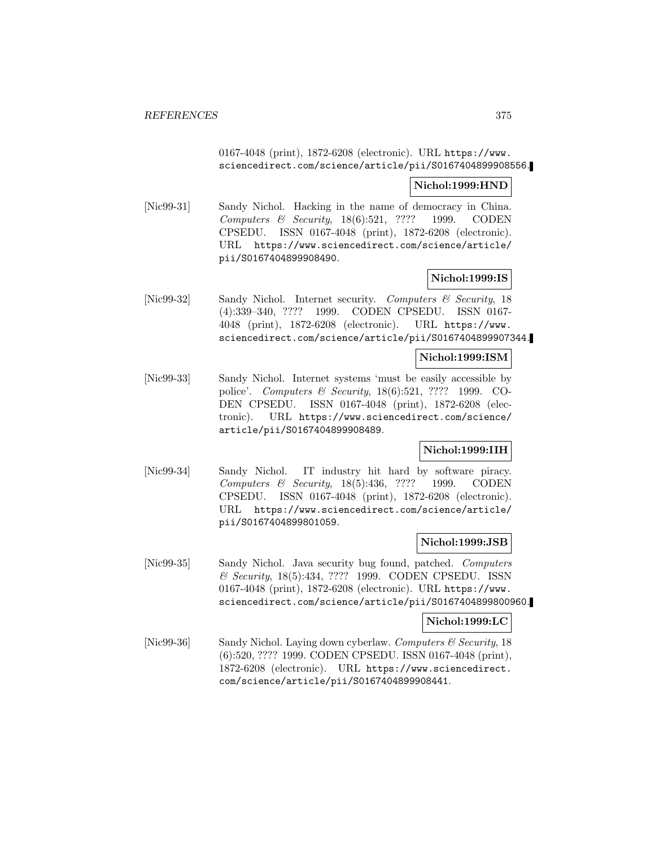# 0167-4048 (print), 1872-6208 (electronic). URL https://www. sciencedirect.com/science/article/pii/S0167404899908556.

# **Nichol:1999:HND**

[Nic99-31] Sandy Nichol. Hacking in the name of democracy in China. Computers & Security, 18(6):521, ???? 1999. CODEN CPSEDU. ISSN 0167-4048 (print), 1872-6208 (electronic). URL https://www.sciencedirect.com/science/article/ pii/S0167404899908490.

# **Nichol:1999:IS**

[Nic99-32] Sandy Nichol. Internet security. Computers & Security, 18 (4):339–340, ???? 1999. CODEN CPSEDU. ISSN 0167- 4048 (print), 1872-6208 (electronic). URL https://www. sciencedirect.com/science/article/pii/S0167404899907344.

#### **Nichol:1999:ISM**

[Nic99-33] Sandy Nichol. Internet systems 'must be easily accessible by police'. Computers & Security, 18(6):521, ???? 1999. CO-DEN CPSEDU. ISSN 0167-4048 (print), 1872-6208 (electronic). URL https://www.sciencedirect.com/science/ article/pii/S0167404899908489.

# **Nichol:1999:IIH**

[Nic99-34] Sandy Nichol. IT industry hit hard by software piracy. Computers & Security, 18(5):436, ???? 1999. CODEN CPSEDU. ISSN 0167-4048 (print), 1872-6208 (electronic). URL https://www.sciencedirect.com/science/article/ pii/S0167404899801059.

# **Nichol:1999:JSB**

[Nic99-35] Sandy Nichol. Java security bug found, patched. Computers & Security, 18(5):434, ???? 1999. CODEN CPSEDU. ISSN 0167-4048 (print), 1872-6208 (electronic). URL https://www. sciencedirect.com/science/article/pii/S0167404899800960.

#### **Nichol:1999:LC**

[Nic99-36] Sandy Nichol. Laying down cyberlaw. Computers  $\mathcal{C}$  Security, 18 (6):520, ???? 1999. CODEN CPSEDU. ISSN 0167-4048 (print), 1872-6208 (electronic). URL https://www.sciencedirect. com/science/article/pii/S0167404899908441.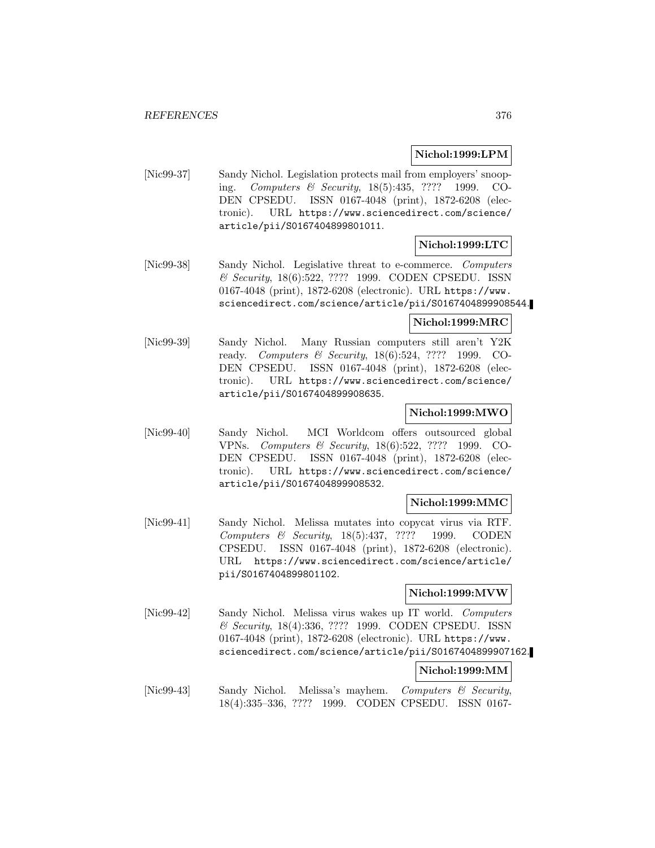# **Nichol:1999:LPM**

[Nic99-37] Sandy Nichol. Legislation protects mail from employers' snooping. Computers & Security, 18(5):435, ???? 1999. CO-DEN CPSEDU. ISSN 0167-4048 (print), 1872-6208 (electronic). URL https://www.sciencedirect.com/science/ article/pii/S0167404899801011.

# **Nichol:1999:LTC**

[Nic99-38] Sandy Nichol. Legislative threat to e-commerce. Computers & Security, 18(6):522, ???? 1999. CODEN CPSEDU. ISSN 0167-4048 (print), 1872-6208 (electronic). URL https://www. sciencedirect.com/science/article/pii/S0167404899908544.

#### **Nichol:1999:MRC**

[Nic99-39] Sandy Nichol. Many Russian computers still aren't Y2K ready. Computers & Security, 18(6):524, ???? 1999. CO-DEN CPSEDU. ISSN 0167-4048 (print), 1872-6208 (electronic). URL https://www.sciencedirect.com/science/ article/pii/S0167404899908635.

# **Nichol:1999:MWO**

[Nic99-40] Sandy Nichol. MCI Worldcom offers outsourced global VPNs. Computers & Security, 18(6):522, ???? 1999. CO-DEN CPSEDU. ISSN 0167-4048 (print), 1872-6208 (electronic). URL https://www.sciencedirect.com/science/ article/pii/S0167404899908532.

# **Nichol:1999:MMC**

[Nic99-41] Sandy Nichol. Melissa mutates into copycat virus via RTF. Computers & Security, 18(5):437, ???? 1999. CODEN CPSEDU. ISSN 0167-4048 (print), 1872-6208 (electronic). URL https://www.sciencedirect.com/science/article/ pii/S0167404899801102.

# **Nichol:1999:MVW**

[Nic99-42] Sandy Nichol. Melissa virus wakes up IT world. Computers & Security, 18(4):336, ???? 1999. CODEN CPSEDU. ISSN 0167-4048 (print), 1872-6208 (electronic). URL https://www. sciencedirect.com/science/article/pii/S0167404899907162.

# **Nichol:1999:MM**

[Nic99-43] Sandy Nichol. Melissa's mayhem. Computers & Security, 18(4):335–336, ???? 1999. CODEN CPSEDU. ISSN 0167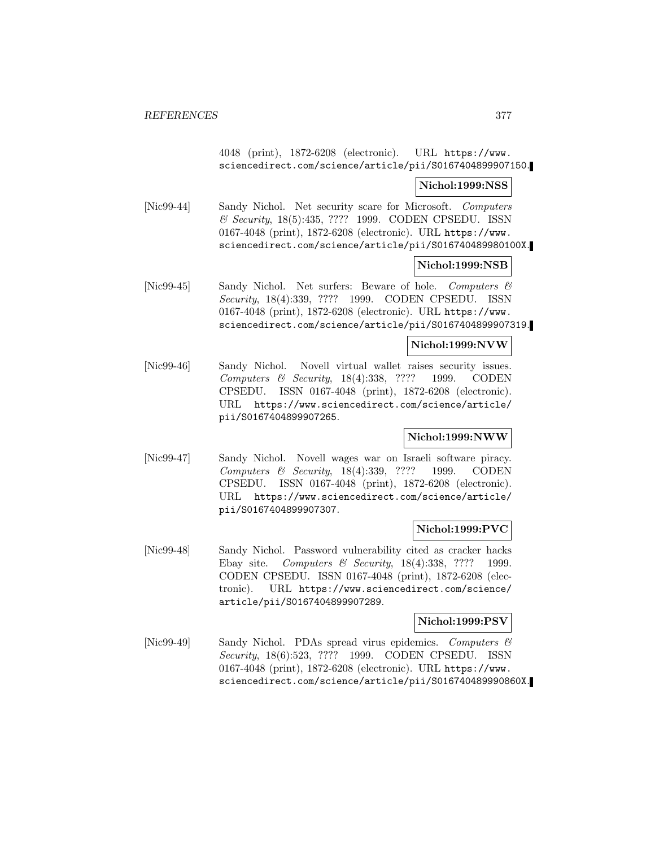4048 (print), 1872-6208 (electronic). URL https://www. sciencedirect.com/science/article/pii/S0167404899907150.

# **Nichol:1999:NSS**

[Nic99-44] Sandy Nichol. Net security scare for Microsoft. Computers & Security, 18(5):435, ???? 1999. CODEN CPSEDU. ISSN 0167-4048 (print), 1872-6208 (electronic). URL https://www. sciencedirect.com/science/article/pii/S016740489980100X.

# **Nichol:1999:NSB**

[Nic99-45] Sandy Nichol. Net surfers: Beware of hole. Computers & Security, 18(4):339, ???? 1999. CODEN CPSEDU. ISSN 0167-4048 (print), 1872-6208 (electronic). URL https://www. sciencedirect.com/science/article/pii/S0167404899907319.

**Nichol:1999:NVW**

[Nic99-46] Sandy Nichol. Novell virtual wallet raises security issues. Computers & Security, 18(4):338, ???? 1999. CODEN CPSEDU. ISSN 0167-4048 (print), 1872-6208 (electronic). URL https://www.sciencedirect.com/science/article/ pii/S0167404899907265.

# **Nichol:1999:NWW**

[Nic99-47] Sandy Nichol. Novell wages war on Israeli software piracy. Computers & Security, 18(4):339, ???? 1999. CODEN CPSEDU. ISSN 0167-4048 (print), 1872-6208 (electronic). URL https://www.sciencedirect.com/science/article/ pii/S0167404899907307.

# **Nichol:1999:PVC**

[Nic99-48] Sandy Nichol. Password vulnerability cited as cracker hacks Ebay site. Computers & Security, 18(4):338, ???? 1999. CODEN CPSEDU. ISSN 0167-4048 (print), 1872-6208 (electronic). URL https://www.sciencedirect.com/science/ article/pii/S0167404899907289.

# **Nichol:1999:PSV**

[Nic99-49] Sandy Nichol. PDAs spread virus epidemics. Computers & Security, 18(6):523, ???? 1999. CODEN CPSEDU. ISSN 0167-4048 (print), 1872-6208 (electronic). URL https://www. sciencedirect.com/science/article/pii/S016740489990860X.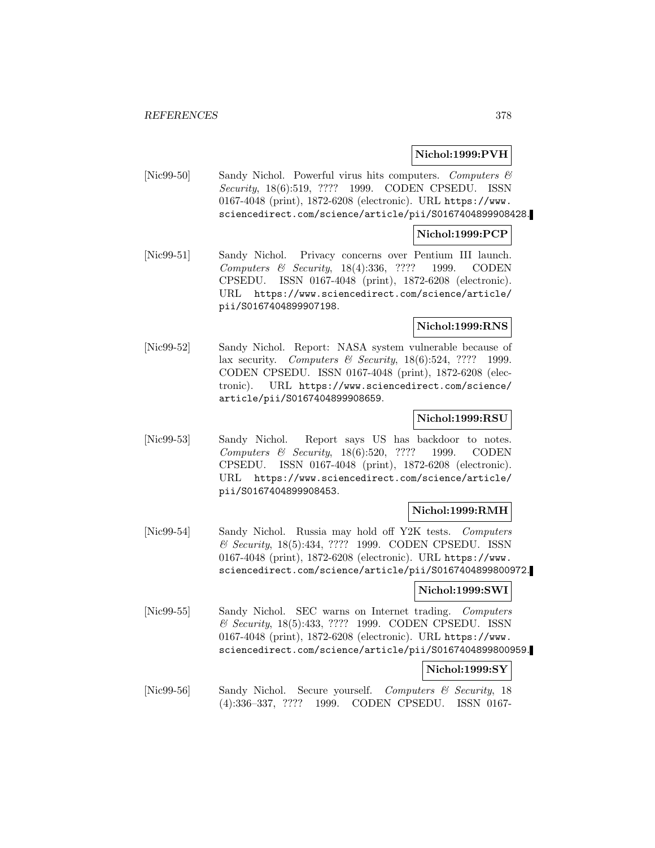# **Nichol:1999:PVH**

[Nic99-50] Sandy Nichol. Powerful virus hits computers. Computers  $\mathcal{C}$ Security, 18(6):519, ???? 1999. CODEN CPSEDU. ISSN 0167-4048 (print), 1872-6208 (electronic). URL https://www. sciencedirect.com/science/article/pii/S0167404899908428.

#### **Nichol:1999:PCP**

[Nic99-51] Sandy Nichol. Privacy concerns over Pentium III launch. Computers & Security, 18(4):336, ???? 1999. CODEN CPSEDU. ISSN 0167-4048 (print), 1872-6208 (electronic). URL https://www.sciencedirect.com/science/article/ pii/S0167404899907198.

# **Nichol:1999:RNS**

[Nic99-52] Sandy Nichol. Report: NASA system vulnerable because of lax security. Computers & Security, 18(6):524, ???? 1999. CODEN CPSEDU. ISSN 0167-4048 (print), 1872-6208 (electronic). URL https://www.sciencedirect.com/science/ article/pii/S0167404899908659.

# **Nichol:1999:RSU**

[Nic99-53] Sandy Nichol. Report says US has backdoor to notes. Computers & Security, 18(6):520, ???? 1999. CODEN CPSEDU. ISSN 0167-4048 (print), 1872-6208 (electronic). URL https://www.sciencedirect.com/science/article/ pii/S0167404899908453.

#### **Nichol:1999:RMH**

[Nic99-54] Sandy Nichol. Russia may hold off Y2K tests. Computers & Security, 18(5):434, ???? 1999. CODEN CPSEDU. ISSN 0167-4048 (print), 1872-6208 (electronic). URL https://www. sciencedirect.com/science/article/pii/S0167404899800972.

#### **Nichol:1999:SWI**

[Nic99-55] Sandy Nichol. SEC warns on Internet trading. Computers & Security, 18(5):433, ???? 1999. CODEN CPSEDU. ISSN 0167-4048 (print), 1872-6208 (electronic). URL https://www. sciencedirect.com/science/article/pii/S0167404899800959.

# **Nichol:1999:SY**

[Nic99-56] Sandy Nichol. Secure yourself. Computers & Security, 18 (4):336–337, ???? 1999. CODEN CPSEDU. ISSN 0167-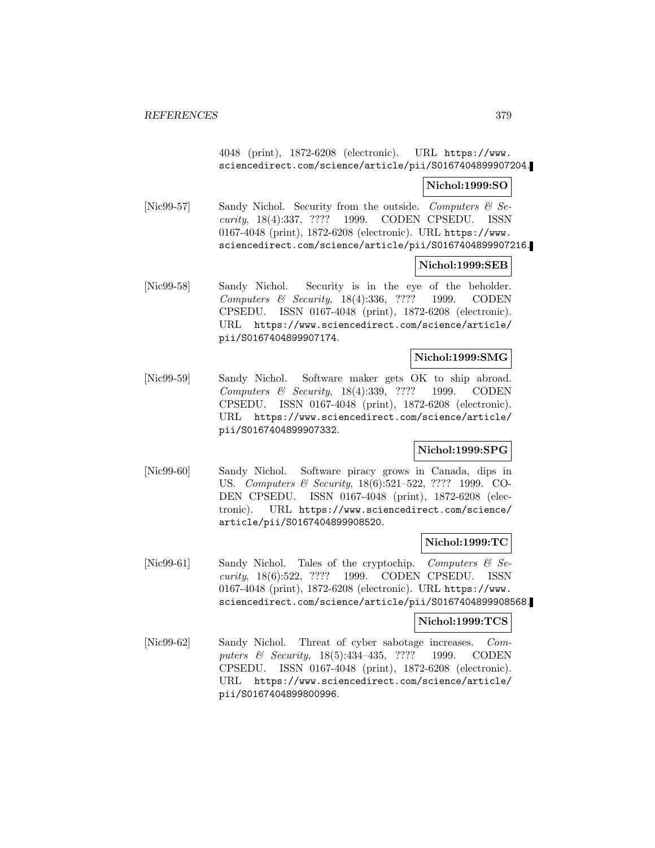# 4048 (print), 1872-6208 (electronic). URL https://www. sciencedirect.com/science/article/pii/S0167404899907204.

# **Nichol:1999:SO**

[Nic99-57] Sandy Nichol. Security from the outside. Computers  $\mathcal{C}$  Security, 18(4):337, ???? 1999. CODEN CPSEDU. ISSN 0167-4048 (print), 1872-6208 (electronic). URL https://www. sciencedirect.com/science/article/pii/S0167404899907216.

#### **Nichol:1999:SEB**

[Nic99-58] Sandy Nichol. Security is in the eye of the beholder. Computers & Security, 18(4):336, ???? 1999. CODEN CPSEDU. ISSN 0167-4048 (print), 1872-6208 (electronic). URL https://www.sciencedirect.com/science/article/ pii/S0167404899907174.

#### **Nichol:1999:SMG**

[Nic99-59] Sandy Nichol. Software maker gets OK to ship abroad. Computers & Security, 18(4):339, ???? 1999. CODEN CPSEDU. ISSN 0167-4048 (print), 1872-6208 (electronic). URL https://www.sciencedirect.com/science/article/ pii/S0167404899907332.

# **Nichol:1999:SPG**

[Nic99-60] Sandy Nichol. Software piracy grows in Canada, dips in US. Computers & Security, 18(6):521–522, ???? 1999. CO-DEN CPSEDU. ISSN 0167-4048 (print), 1872-6208 (electronic). URL https://www.sciencedirect.com/science/ article/pii/S0167404899908520.

# **Nichol:1999:TC**

[Nic99-61] Sandy Nichol. Tales of the cryptochip. Computers & Security, 18(6):522, ???? 1999. CODEN CPSEDU. ISSN 0167-4048 (print), 1872-6208 (electronic). URL https://www. sciencedirect.com/science/article/pii/S0167404899908568.

# **Nichol:1999:TCS**

[Nic99-62] Sandy Nichol. Threat of cyber sabotage increases. Computers & Security, 18(5):434-435, ???? 1999. CODEN CPSEDU. ISSN 0167-4048 (print), 1872-6208 (electronic). URL https://www.sciencedirect.com/science/article/ pii/S0167404899800996.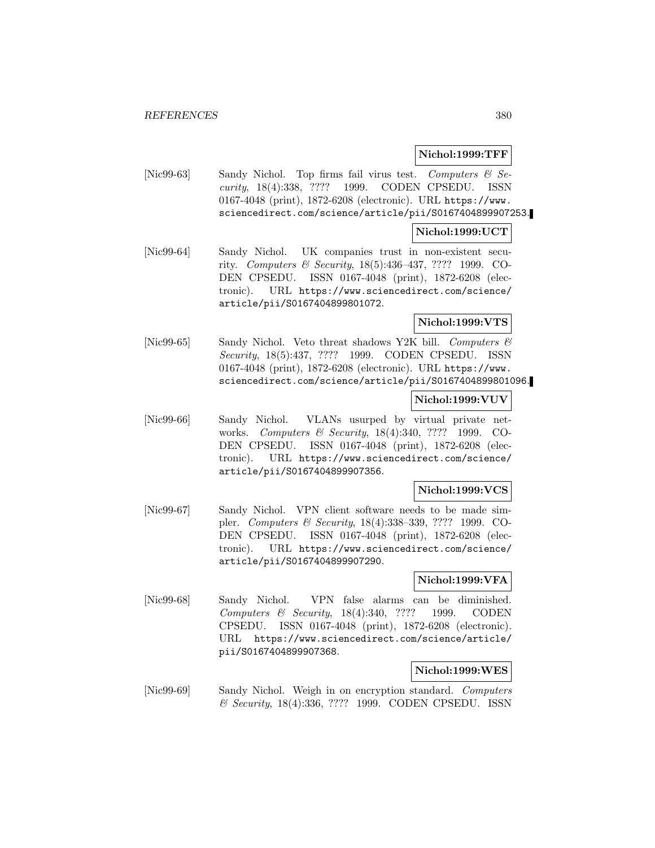# **Nichol:1999:TFF**

[Nic99-63] Sandy Nichol. Top firms fail virus test. Computers  $\mathcal{B}$  Security, 18(4):338, ???? 1999. CODEN CPSEDU. ISSN 0167-4048 (print), 1872-6208 (electronic). URL https://www. sciencedirect.com/science/article/pii/S0167404899907253.

# **Nichol:1999:UCT**

[Nic99-64] Sandy Nichol. UK companies trust in non-existent security. Computers & Security, 18(5):436–437, ???? 1999. CO-DEN CPSEDU. ISSN 0167-4048 (print), 1872-6208 (electronic). URL https://www.sciencedirect.com/science/ article/pii/S0167404899801072.

# **Nichol:1999:VTS**

[Nic99-65] Sandy Nichol. Veto threat shadows Y2K bill. Computers & Security, 18(5):437, ???? 1999. CODEN CPSEDU. ISSN 0167-4048 (print), 1872-6208 (electronic). URL https://www. sciencedirect.com/science/article/pii/S0167404899801096.

# **Nichol:1999:VUV**

[Nic99-66] Sandy Nichol. VLANs usurped by virtual private networks. Computers & Security, 18(4):340, ???? 1999. CO-DEN CPSEDU. ISSN 0167-4048 (print), 1872-6208 (electronic). URL https://www.sciencedirect.com/science/ article/pii/S0167404899907356.

# **Nichol:1999:VCS**

[Nic99-67] Sandy Nichol. VPN client software needs to be made simpler. Computers & Security, 18(4):338–339, ???? 1999. CO-DEN CPSEDU. ISSN 0167-4048 (print), 1872-6208 (electronic). URL https://www.sciencedirect.com/science/ article/pii/S0167404899907290.

# **Nichol:1999:VFA**

[Nic99-68] Sandy Nichol. VPN false alarms can be diminished. Computers & Security, 18(4):340, ???? 1999. CODEN CPSEDU. ISSN 0167-4048 (print), 1872-6208 (electronic). URL https://www.sciencedirect.com/science/article/ pii/S0167404899907368.

#### **Nichol:1999:WES**

[Nic99-69] Sandy Nichol. Weigh in on encryption standard. Computers & Security, 18(4):336, ???? 1999. CODEN CPSEDU. ISSN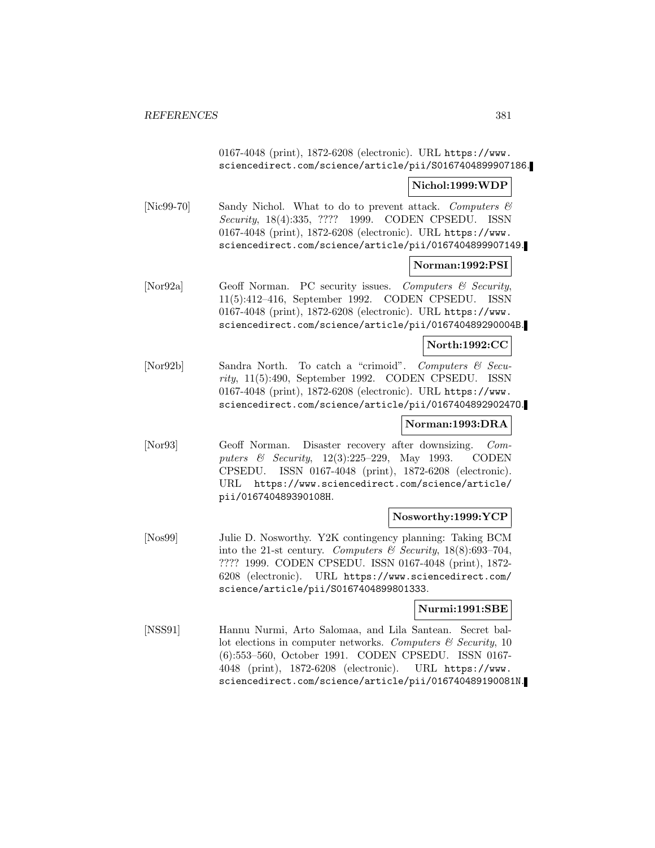0167-4048 (print), 1872-6208 (electronic). URL https://www. sciencedirect.com/science/article/pii/S0167404899907186.

#### **Nichol:1999:WDP**

[Nic99-70] Sandy Nichol. What to do to prevent attack. Computers  $\mathcal{B}$ Security, 18(4):335, ???? 1999. CODEN CPSEDU. ISSN 0167-4048 (print), 1872-6208 (electronic). URL https://www. sciencedirect.com/science/article/pii/0167404899907149.

# **Norman:1992:PSI**

[Nor92a] Geoff Norman. PC security issues. Computers & Security, 11(5):412–416, September 1992. CODEN CPSEDU. ISSN 0167-4048 (print), 1872-6208 (electronic). URL https://www. sciencedirect.com/science/article/pii/016740489290004B.

# **North:1992:CC**

[Nor92b] Sandra North. To catch a "crimoid". Computers & Security, 11(5):490, September 1992. CODEN CPSEDU. ISSN 0167-4048 (print), 1872-6208 (electronic). URL https://www. sciencedirect.com/science/article/pii/016740489290247O.

# **Norman:1993:DRA**

[Nor93] Geoff Norman. Disaster recovery after downsizing. Computers & Security, 12(3):225–229, May 1993. CODEN CPSEDU. ISSN 0167-4048 (print), 1872-6208 (electronic). URL https://www.sciencedirect.com/science/article/ pii/016740489390108H.

# **Nosworthy:1999:YCP**

[Nos99] Julie D. Nosworthy. Y2K contingency planning: Taking BCM into the 21-st century. Computers & Security, 18(8):693-704, ???? 1999. CODEN CPSEDU. ISSN 0167-4048 (print), 1872- 6208 (electronic). URL https://www.sciencedirect.com/ science/article/pii/S0167404899801333.

# **Nurmi:1991:SBE**

[NSS91] Hannu Nurmi, Arto Salomaa, and Lila Santean. Secret ballot elections in computer networks. Computers  $\mathcal C$  Security, 10 (6):553–560, October 1991. CODEN CPSEDU. ISSN 0167- 4048 (print), 1872-6208 (electronic). URL https://www. sciencedirect.com/science/article/pii/016740489190081N.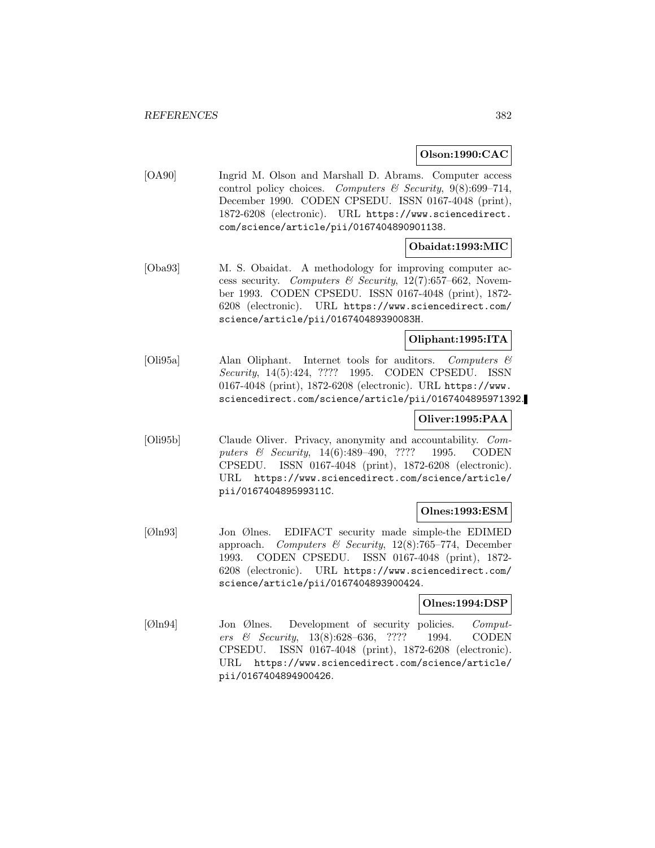# **Olson:1990:CAC**

[OA90] Ingrid M. Olson and Marshall D. Abrams. Computer access control policy choices. Computers & Security,  $9(8):699-714$ , December 1990. CODEN CPSEDU. ISSN 0167-4048 (print), 1872-6208 (electronic). URL https://www.sciencedirect. com/science/article/pii/0167404890901138.

# **Obaidat:1993:MIC**

[Oba93] M. S. Obaidat. A methodology for improving computer access security. Computers & Security,  $12(7)$ :657-662, November 1993. CODEN CPSEDU. ISSN 0167-4048 (print), 1872- 6208 (electronic). URL https://www.sciencedirect.com/ science/article/pii/016740489390083H.

# **Oliphant:1995:ITA**

[Oli95a] Alan Oliphant. Internet tools for auditors. Computers & Security, 14(5):424, ???? 1995. CODEN CPSEDU. ISSN 0167-4048 (print), 1872-6208 (electronic). URL https://www. sciencedirect.com/science/article/pii/0167404895971392.

# **Oliver:1995:PAA**

[Oli95b] Claude Oliver. Privacy, anonymity and accountability. Computers & Security, 14(6):489–490, ???? 1995. CODEN CPSEDU. ISSN 0167-4048 (print), 1872-6208 (electronic). URL https://www.sciencedirect.com/science/article/ pii/016740489599311C.

# **Olnes:1993:ESM**

[Øln93] Jon Ølnes. EDIFACT security made simple-the EDIMED approach. Computers & Security,  $12(8)$ :765–774, December 1993. CODEN CPSEDU. ISSN 0167-4048 (print), 1872- 6208 (electronic). URL https://www.sciencedirect.com/ science/article/pii/0167404893900424.

# **Olnes:1994:DSP**

[Øln94] Jon Ølnes. Development of security policies. Computers & Security, 13(8):628–636, ???? 1994. CODEN CPSEDU. ISSN 0167-4048 (print), 1872-6208 (electronic). URL https://www.sciencedirect.com/science/article/ pii/0167404894900426.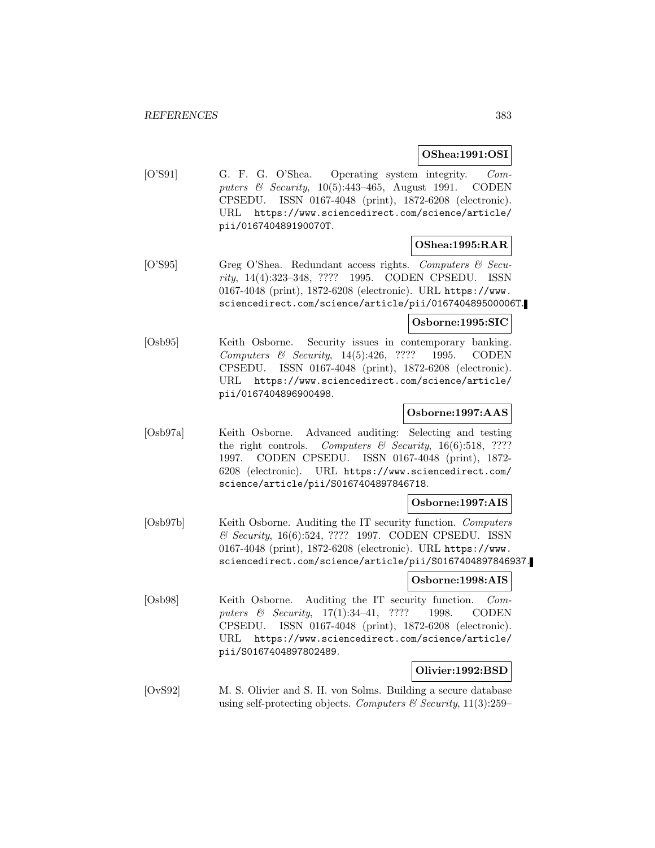# **OShea:1991:OSI**

[O'S91] G. F. G. O'Shea. Operating system integrity. Computers & Security, 10(5):443–465, August 1991. CODEN CPSEDU. ISSN 0167-4048 (print), 1872-6208 (electronic). URL https://www.sciencedirect.com/science/article/ pii/016740489190070T.

# **OShea:1995:RAR**

[O'S95] Greg O'Shea. Redundant access rights. Computers & Security, 14(4):323–348, ???? 1995. CODEN CPSEDU. ISSN 0167-4048 (print), 1872-6208 (electronic). URL https://www. sciencedirect.com/science/article/pii/016740489500006T.

# **Osborne:1995:SIC**

[Osb95] Keith Osborne. Security issues in contemporary banking. Computers & Security, 14(5):426, ???? 1995. CODEN CPSEDU. ISSN 0167-4048 (print), 1872-6208 (electronic). URL https://www.sciencedirect.com/science/article/ pii/0167404896900498.

# **Osborne:1997:AAS**

[Osb97a] Keith Osborne. Advanced auditing: Selecting and testing the right controls. Computers  $\mathcal C$  Security, 16(6):518, ???? 1997. CODEN CPSEDU. ISSN 0167-4048 (print), 1872- 6208 (electronic). URL https://www.sciencedirect.com/ science/article/pii/S0167404897846718.

# **Osborne:1997:AIS**

[Osb97b] Keith Osborne. Auditing the IT security function. Computers & Security, 16(6):524, ???? 1997. CODEN CPSEDU. ISSN 0167-4048 (print), 1872-6208 (electronic). URL https://www. sciencedirect.com/science/article/pii/S0167404897846937.

# **Osborne:1998:AIS**

[Osb98] Keith Osborne. Auditing the IT security function. Computers & Security, 17(1):34-41, ???? 1998. CODEN CPSEDU. ISSN 0167-4048 (print), 1872-6208 (electronic). URL https://www.sciencedirect.com/science/article/ pii/S0167404897802489.

# **Olivier:1992:BSD**

[OvS92] M. S. Olivier and S. H. von Solms. Building a secure database using self-protecting objects. Computers  $\mathcal B$  Security, 11(3):259–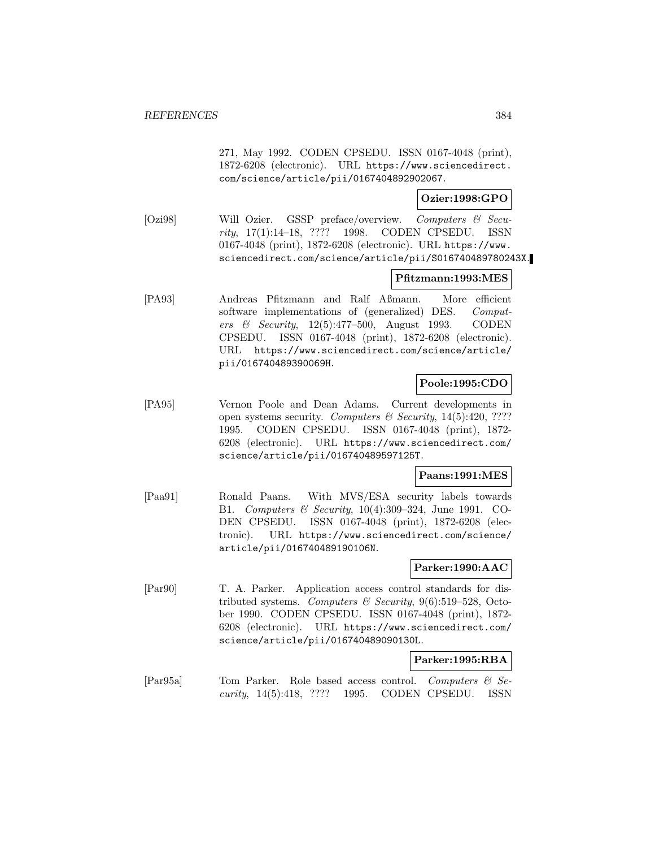271, May 1992. CODEN CPSEDU. ISSN 0167-4048 (print), 1872-6208 (electronic). URL https://www.sciencedirect. com/science/article/pii/0167404892902067.

# **Ozier:1998:GPO**

[Ozi98] Will Ozier. GSSP preface/overview. Computers & Security, 17(1):14–18, ???? 1998. CODEN CPSEDU. ISSN 0167-4048 (print), 1872-6208 (electronic). URL https://www. sciencedirect.com/science/article/pii/S016740489780243X.

# **Pfitzmann:1993:MES**

[PA93] Andreas Pfitzmann and Ralf Aßmann. More efficient software implementations of (generalized) DES. Computers & Security, 12(5):477–500, August 1993. CODEN CPSEDU. ISSN 0167-4048 (print), 1872-6208 (electronic). URL https://www.sciencedirect.com/science/article/ pii/016740489390069H.

# **Poole:1995:CDO**

[PA95] Vernon Poole and Dean Adams. Current developments in open systems security. Computers  $\mathcal C$  Security, 14(5):420, ???? 1995. CODEN CPSEDU. ISSN 0167-4048 (print), 1872- 6208 (electronic). URL https://www.sciencedirect.com/ science/article/pii/016740489597125T.

# **Paans:1991:MES**

[Paa91] Ronald Paans. With MVS/ESA security labels towards B1. Computers & Security, 10(4):309–324, June 1991. CO-DEN CPSEDU. ISSN 0167-4048 (print), 1872-6208 (electronic). URL https://www.sciencedirect.com/science/ article/pii/016740489190106N.

# **Parker:1990:AAC**

[Par90] T. A. Parker. Application access control standards for distributed systems. Computers & Security,  $9(6):519-528$ , October 1990. CODEN CPSEDU. ISSN 0167-4048 (print), 1872- 6208 (electronic). URL https://www.sciencedirect.com/ science/article/pii/016740489090130L.

#### **Parker:1995:RBA**

[Par95a] Tom Parker. Role based access control. Computers & Security, 14(5):418, ???? 1995. CODEN CPSEDU. ISSN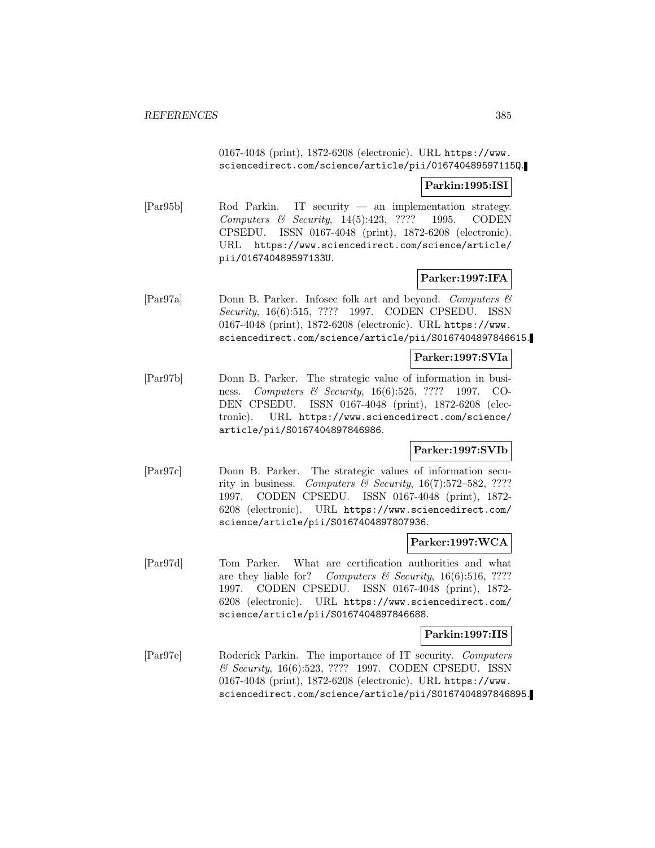0167-4048 (print), 1872-6208 (electronic). URL https://www. sciencedirect.com/science/article/pii/016740489597115Q.

# **Parkin:1995:ISI**

[Par95b] Rod Parkin. IT security — an implementation strategy. Computers & Security, 14(5):423, ???? 1995. CODEN CPSEDU. ISSN 0167-4048 (print), 1872-6208 (electronic). URL https://www.sciencedirect.com/science/article/ pii/016740489597133U.

# **Parker:1997:IFA**

[Par97a] Donn B. Parker. Infosec folk art and beyond. Computers & Security, 16(6):515, ???? 1997. CODEN CPSEDU. ISSN 0167-4048 (print), 1872-6208 (electronic). URL https://www. sciencedirect.com/science/article/pii/S0167404897846615.

#### **Parker:1997:SVIa**

[Par97b] Donn B. Parker. The strategic value of information in business. *Computers & Security*, 16(6):525, ???? 1997. CO-DEN CPSEDU. ISSN 0167-4048 (print), 1872-6208 (electronic). URL https://www.sciencedirect.com/science/ article/pii/S0167404897846986.

# **Parker:1997:SVIb**

[Par97c] Donn B. Parker. The strategic values of information security in business. Computers & Security,  $16(7):572-582$ , ???? 1997. CODEN CPSEDU. ISSN 0167-4048 (print), 1872- 6208 (electronic). URL https://www.sciencedirect.com/ science/article/pii/S0167404897807936.

# **Parker:1997:WCA**

[Par97d] Tom Parker. What are certification authorities and what are they liable for? Computers  $\mathcal C$  Security, 16(6):516, ???? 1997. CODEN CPSEDU. ISSN 0167-4048 (print), 1872- 6208 (electronic). URL https://www.sciencedirect.com/ science/article/pii/S0167404897846688.

# **Parkin:1997:IIS**

[Par97e] Roderick Parkin. The importance of IT security. Computers & Security, 16(6):523, ???? 1997. CODEN CPSEDU. ISSN 0167-4048 (print), 1872-6208 (electronic). URL https://www. sciencedirect.com/science/article/pii/S0167404897846895.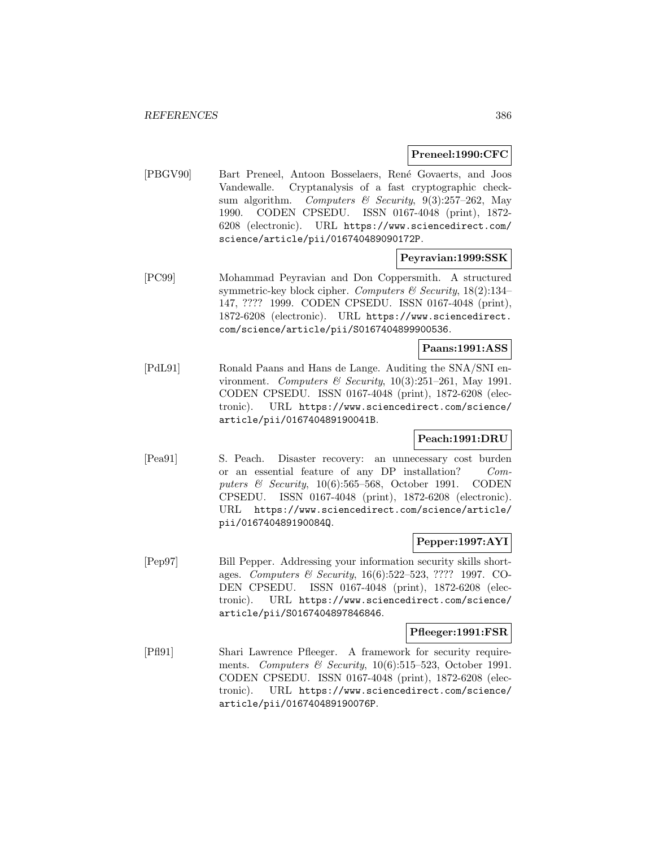### **Preneel:1990:CFC**

[PBGV90] Bart Preneel, Antoon Bosselaers, Ren´e Govaerts, and Joos Vandewalle. Cryptanalysis of a fast cryptographic checksum algorithm. Computers & Security,  $9(3):257-262$ , May 1990. CODEN CPSEDU. ISSN 0167-4048 (print), 1872- 6208 (electronic). URL https://www.sciencedirect.com/ science/article/pii/016740489090172P.

# **Peyravian:1999:SSK**

[PC99] Mohammad Peyravian and Don Coppersmith. A structured symmetric-key block cipher. Computers  $\mathcal B$  Security, 18(2):134– 147, ???? 1999. CODEN CPSEDU. ISSN 0167-4048 (print), 1872-6208 (electronic). URL https://www.sciencedirect. com/science/article/pii/S0167404899900536.

# **Paans:1991:ASS**

[PdL91] Ronald Paans and Hans de Lange. Auditing the SNA/SNI environment. Computers & Security,  $10(3):251-261$ , May 1991. CODEN CPSEDU. ISSN 0167-4048 (print), 1872-6208 (electronic). URL https://www.sciencedirect.com/science/ article/pii/016740489190041B.

# **Peach:1991:DRU**

[Pea91] S. Peach. Disaster recovery: an unnecessary cost burden or an essential feature of any DP installation? Computers & Security,  $10(6)$ :565–568, October 1991. CODEN CPSEDU. ISSN 0167-4048 (print), 1872-6208 (electronic). URL https://www.sciencedirect.com/science/article/ pii/016740489190084Q.

# **Pepper:1997:AYI**

[Pep97] Bill Pepper. Addressing your information security skills shortages. Computers & Security, 16(6):522–523, ???? 1997. CO-DEN CPSEDU. ISSN 0167-4048 (print), 1872-6208 (electronic). URL https://www.sciencedirect.com/science/ article/pii/S0167404897846846.

#### **Pfleeger:1991:FSR**

[Pfl91] Shari Lawrence Pfleeger. A framework for security requirements. Computers & Security, 10(6):515–523, October 1991. CODEN CPSEDU. ISSN 0167-4048 (print), 1872-6208 (electronic). URL https://www.sciencedirect.com/science/ article/pii/016740489190076P.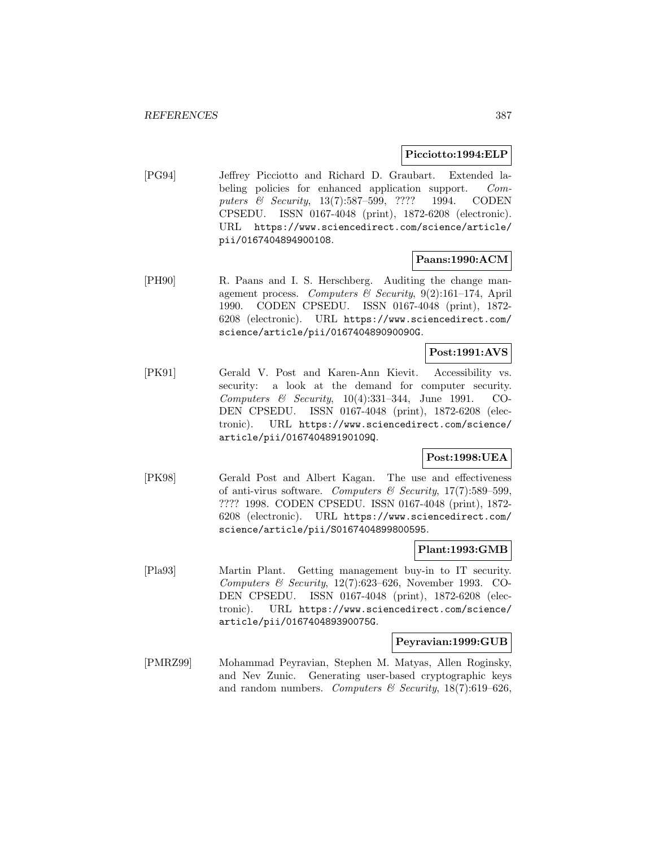### **Picciotto:1994:ELP**

[PG94] Jeffrey Picciotto and Richard D. Graubart. Extended labeling policies for enhanced application support. Computers & Security, 13(7):587-599, ???? 1994. CODEN CPSEDU. ISSN 0167-4048 (print), 1872-6208 (electronic). URL https://www.sciencedirect.com/science/article/ pii/0167404894900108.

# **Paans:1990:ACM**

[PH90] R. Paans and I. S. Herschberg. Auditing the change management process. Computers & Security, 9(2):161-174, April 1990. CODEN CPSEDU. ISSN 0167-4048 (print), 1872- 6208 (electronic). URL https://www.sciencedirect.com/ science/article/pii/016740489090090G.

# **Post:1991:AVS**

[PK91] Gerald V. Post and Karen-Ann Kievit. Accessibility vs. security: a look at the demand for computer security. Computers & Security,  $10(4):331-344$ , June 1991. CO-DEN CPSEDU. ISSN 0167-4048 (print), 1872-6208 (electronic). URL https://www.sciencedirect.com/science/ article/pii/016740489190109Q.

# **Post:1998:UEA**

[PK98] Gerald Post and Albert Kagan. The use and effectiveness of anti-virus software. Computers & Security,  $17(7)$ :589-599, ???? 1998. CODEN CPSEDU. ISSN 0167-4048 (print), 1872- 6208 (electronic). URL https://www.sciencedirect.com/ science/article/pii/S0167404899800595.

#### **Plant:1993:GMB**

[Pla93] Martin Plant. Getting management buy-in to IT security. Computers & Security,  $12(7)$ :623-626, November 1993. CO-DEN CPSEDU. ISSN 0167-4048 (print), 1872-6208 (electronic). URL https://www.sciencedirect.com/science/ article/pii/016740489390075G.

# **Peyravian:1999:GUB**

[PMRZ99] Mohammad Peyravian, Stephen M. Matyas, Allen Roginsky, and Nev Zunic. Generating user-based cryptographic keys and random numbers. Computers & Security,  $18(7):619-626$ ,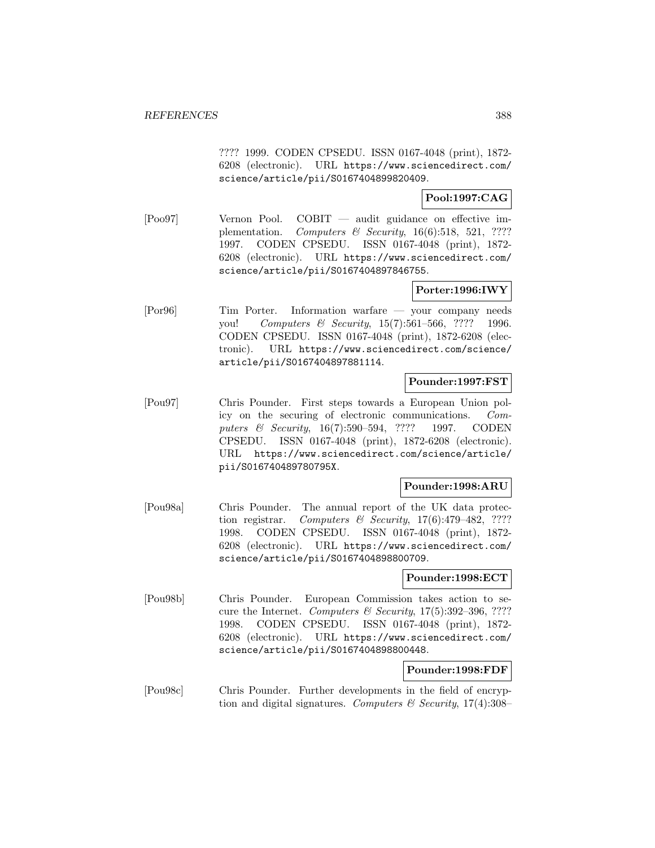???? 1999. CODEN CPSEDU. ISSN 0167-4048 (print), 1872- 6208 (electronic). URL https://www.sciencedirect.com/ science/article/pii/S0167404899820409.

# **Pool:1997:CAG**

[Poo97] Vernon Pool. COBIT — audit guidance on effective implementation. Computers & Security,  $16(6):518$ , 521, ???? 1997. CODEN CPSEDU. ISSN 0167-4048 (print), 1872- 6208 (electronic). URL https://www.sciencedirect.com/ science/article/pii/S0167404897846755.

# **Porter:1996:IWY**

[Por96] Tim Porter. Information warfare — your company needs you! Computers & Security, 15(7):561-566, ???? 1996. CODEN CPSEDU. ISSN 0167-4048 (print), 1872-6208 (electronic). URL https://www.sciencedirect.com/science/ article/pii/S0167404897881114.

# **Pounder:1997:FST**

[Pou97] Chris Pounder. First steps towards a European Union policy on the securing of electronic communications. Computers & Security, 16(7):590–594, ???? 1997. CODEN CPSEDU. ISSN 0167-4048 (print), 1872-6208 (electronic). URL https://www.sciencedirect.com/science/article/ pii/S016740489780795X.

# **Pounder:1998:ARU**

[Pou98a] Chris Pounder. The annual report of the UK data protection registrar. Computers & Security,  $17(6)$ :479-482, ???? 1998. CODEN CPSEDU. ISSN 0167-4048 (print), 1872- 6208 (electronic). URL https://www.sciencedirect.com/ science/article/pii/S0167404898800709.

# **Pounder:1998:ECT**

[Pou98b] Chris Pounder. European Commission takes action to secure the Internet. Computers & Security,  $17(5):392-396, ????$ 1998. CODEN CPSEDU. ISSN 0167-4048 (print), 1872- 6208 (electronic). URL https://www.sciencedirect.com/ science/article/pii/S0167404898800448.

# **Pounder:1998:FDF**

[Pou98c] Chris Pounder. Further developments in the field of encryption and digital signatures. Computers  $\mathcal C$  Security, 17(4):308–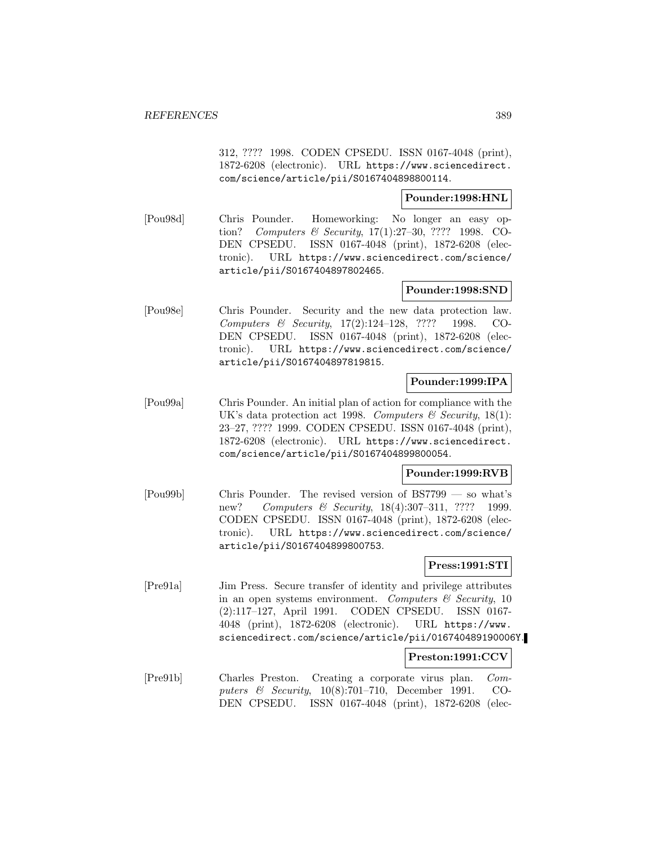312, ???? 1998. CODEN CPSEDU. ISSN 0167-4048 (print), 1872-6208 (electronic). URL https://www.sciencedirect. com/science/article/pii/S0167404898800114.

# **Pounder:1998:HNL**

[Pou98d] Chris Pounder. Homeworking: No longer an easy option? Computers & Security, 17(1):27–30, ???? 1998. CO-DEN CPSEDU. ISSN 0167-4048 (print), 1872-6208 (electronic). URL https://www.sciencedirect.com/science/ article/pii/S0167404897802465.

# **Pounder:1998:SND**

[Pou98e] Chris Pounder. Security and the new data protection law. Computers & Security, 17(2):124–128, ???? 1998. CO-DEN CPSEDU. ISSN 0167-4048 (print), 1872-6208 (electronic). URL https://www.sciencedirect.com/science/ article/pii/S0167404897819815.

# **Pounder:1999:IPA**

[Pou99a] Chris Pounder. An initial plan of action for compliance with the UK's data protection act 1998. Computers  $\mathcal C$  Security, 18(1): 23–27, ???? 1999. CODEN CPSEDU. ISSN 0167-4048 (print), 1872-6208 (electronic). URL https://www.sciencedirect. com/science/article/pii/S0167404899800054.

# **Pounder:1999:RVB**

[Pou99b] Chris Pounder. The revised version of BS7799 — so what's new? Computers & Security, 18(4):307-311, ???? 1999. CODEN CPSEDU. ISSN 0167-4048 (print), 1872-6208 (electronic). URL https://www.sciencedirect.com/science/ article/pii/S0167404899800753.

# **Press:1991:STI**

[Pre91a] Jim Press. Secure transfer of identity and privilege attributes in an open systems environment. Computers  $\mathcal{C}$  Security, 10 (2):117–127, April 1991. CODEN CPSEDU. ISSN 0167- 4048 (print), 1872-6208 (electronic). URL https://www. sciencedirect.com/science/article/pii/016740489190006Y.

#### **Preston:1991:CCV**

[Pre91b] Charles Preston. Creating a corporate virus plan. Computers & Security, 10(8):701–710, December 1991. CO-DEN CPSEDU. ISSN 0167-4048 (print), 1872-6208 (elec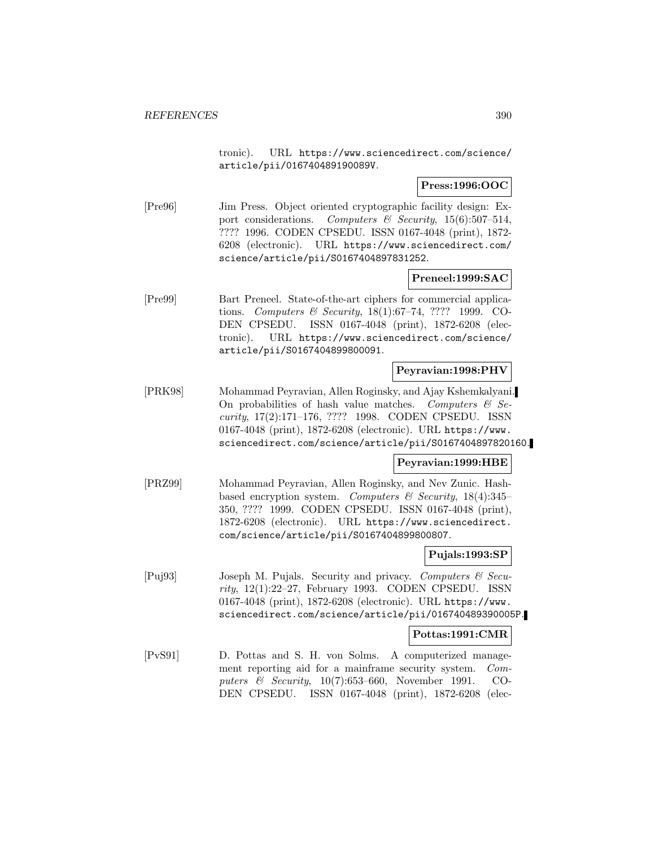tronic). URL https://www.sciencedirect.com/science/ article/pii/016740489190089V.

# **Press:1996:OOC**

[Pre96] Jim Press. Object oriented cryptographic facility design: Export considerations. Computers  $\mathcal B$  Security, 15(6):507-514, ???? 1996. CODEN CPSEDU. ISSN 0167-4048 (print), 1872- 6208 (electronic). URL https://www.sciencedirect.com/ science/article/pii/S0167404897831252.

# **Preneel:1999:SAC**

[Pre99] Bart Preneel. State-of-the-art ciphers for commercial applications. Computers & Security, 18(1):67–74, ???? 1999. CO-DEN CPSEDU. ISSN 0167-4048 (print), 1872-6208 (electronic). URL https://www.sciencedirect.com/science/ article/pii/S0167404899800091.

# **Peyravian:1998:PHV**

[PRK98] Mohammad Peyravian, Allen Roginsky, and Ajay Kshemkalyani. On probabilities of hash value matches. Computers  $\mathcal{C}$  Security, 17(2):171–176, ???? 1998. CODEN CPSEDU. ISSN 0167-4048 (print), 1872-6208 (electronic). URL https://www. sciencedirect.com/science/article/pii/S0167404897820160.

# **Peyravian:1999:HBE**

[PRZ99] Mohammad Peyravian, Allen Roginsky, and Nev Zunic. Hashbased encryption system. Computers  $\mathcal C$  Security, 18(4):345– 350, ???? 1999. CODEN CPSEDU. ISSN 0167-4048 (print), 1872-6208 (electronic). URL https://www.sciencedirect. com/science/article/pii/S0167404899800807.

# **Pujals:1993:SP**

[Puj93] Joseph M. Pujals. Security and privacy. Computers & Security, 12(1):22–27, February 1993. CODEN CPSEDU. ISSN 0167-4048 (print), 1872-6208 (electronic). URL https://www. sciencedirect.com/science/article/pii/016740489390005P.

# **Pottas:1991:CMR**

[PvS91] D. Pottas and S. H. von Solms. A computerized management reporting aid for a mainframe security system. Computers & Security, 10(7):653–660, November 1991. CO-DEN CPSEDU. ISSN 0167-4048 (print), 1872-6208 (elec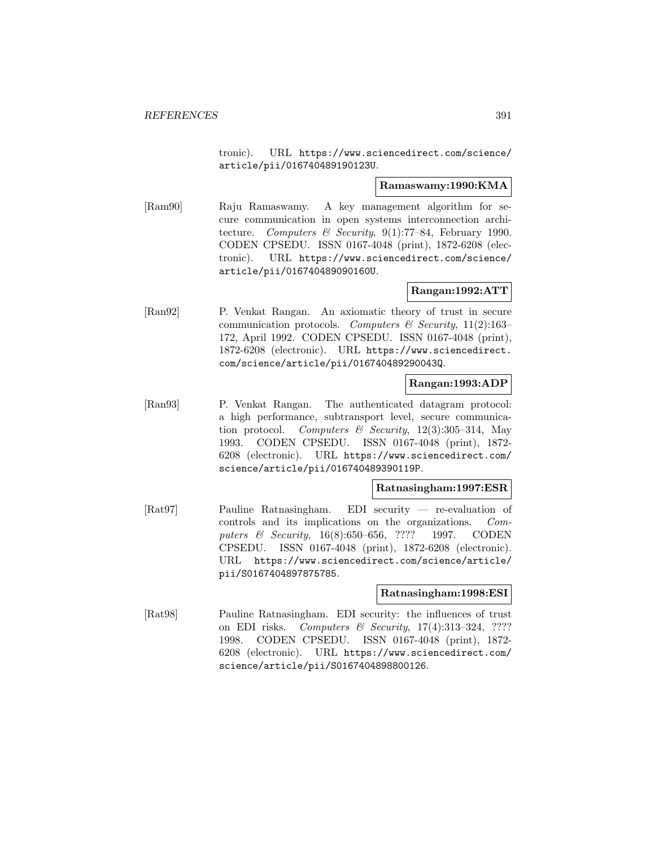tronic). URL https://www.sciencedirect.com/science/ article/pii/016740489190123U.

### **Ramaswamy:1990:KMA**

[Ram90] Raju Ramaswamy. A key management algorithm for secure communication in open systems interconnection architecture. Computers & Security, 9(1):77-84, February 1990. CODEN CPSEDU. ISSN 0167-4048 (print), 1872-6208 (electronic). URL https://www.sciencedirect.com/science/ article/pii/016740489090160U.

# **Rangan:1992:ATT**

[Ran92] P. Venkat Rangan. An axiomatic theory of trust in secure communication protocols. Computers & Security, 11(2):163-172, April 1992. CODEN CPSEDU. ISSN 0167-4048 (print), 1872-6208 (electronic). URL https://www.sciencedirect. com/science/article/pii/016740489290043Q.

#### **Rangan:1993:ADP**

[Ran93] P. Venkat Rangan. The authenticated datagram protocol: a high performance, subtransport level, secure communication protocol. Computers & Security,  $12(3):305-314$ , May 1993. CODEN CPSEDU. ISSN 0167-4048 (print), 1872- 6208 (electronic). URL https://www.sciencedirect.com/ science/article/pii/016740489390119P.

#### **Ratnasingham:1997:ESR**

[Rat97] Pauline Ratnasingham. EDI security — re-evaluation of controls and its implications on the organizations. Computers & Security, 16(8):650–656, ???? 1997. CODEN CPSEDU. ISSN 0167-4048 (print), 1872-6208 (electronic). URL https://www.sciencedirect.com/science/article/ pii/S0167404897875785.

#### **Ratnasingham:1998:ESI**

[Rat98] Pauline Ratnasingham. EDI security: the influences of trust on EDI risks. Computers & Security, 17(4):313–324, ???? 1998. CODEN CPSEDU. ISSN 0167-4048 (print), 1872- 6208 (electronic). URL https://www.sciencedirect.com/ science/article/pii/S0167404898800126.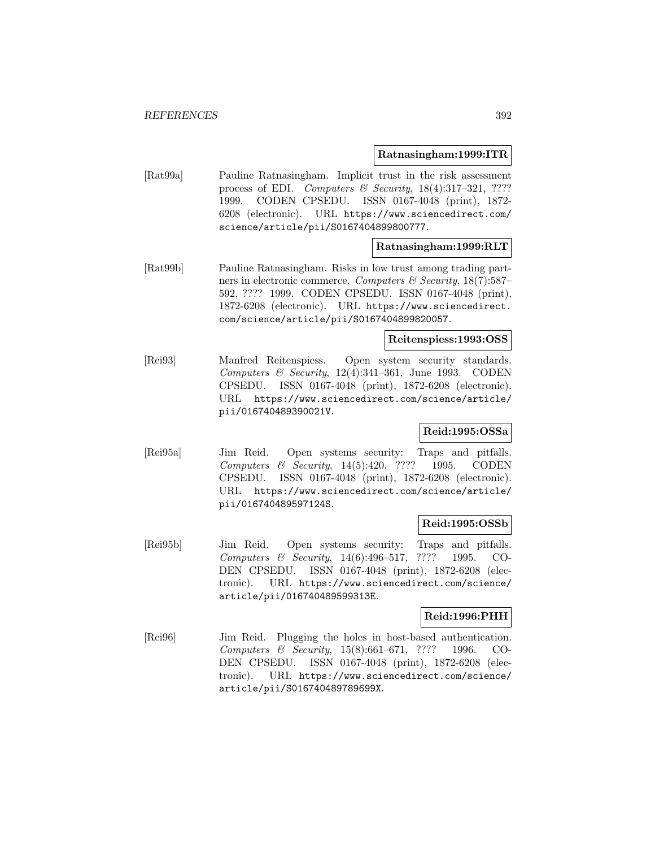#### **Ratnasingham:1999:ITR**

[Rat99a] Pauline Ratnasingham. Implicit trust in the risk assessment process of EDI. Computers & Security,  $18(4):317-321$ , ???? 1999. CODEN CPSEDU. ISSN 0167-4048 (print), 1872- 6208 (electronic). URL https://www.sciencedirect.com/ science/article/pii/S0167404899800777.

# **Ratnasingham:1999:RLT**

[Rat99b] Pauline Ratnasingham. Risks in low trust among trading partners in electronic commerce. Computers & Security,  $18(7):587-$ 592, ???? 1999. CODEN CPSEDU. ISSN 0167-4048 (print), 1872-6208 (electronic). URL https://www.sciencedirect. com/science/article/pii/S0167404899820057.

#### **Reitenspiess:1993:OSS**

[Rei93] Manfred Reitenspiess. Open system security standards. Computers & Security,  $12(4):341-361$ , June 1993. CODEN CPSEDU. ISSN 0167-4048 (print), 1872-6208 (electronic). URL https://www.sciencedirect.com/science/article/ pii/016740489390021V.

# **Reid:1995:OSSa**

[Rei95a] Jim Reid. Open systems security: Traps and pitfalls. Computers & Security, 14(5):420, ???? 1995. CODEN CPSEDU. ISSN 0167-4048 (print), 1872-6208 (electronic). URL https://www.sciencedirect.com/science/article/ pii/016740489597124S.

# **Reid:1995:OSSb**

[Rei95b] Jim Reid. Open systems security: Traps and pitfalls. Computers & Security, 14(6):496–517, ???? 1995. CO-DEN CPSEDU. ISSN 0167-4048 (print), 1872-6208 (electronic). URL https://www.sciencedirect.com/science/ article/pii/016740489599313E.

#### **Reid:1996:PHH**

[Rei96] Jim Reid. Plugging the holes in host-based authentication. Computers & Security, 15(8):661–671, ???? 1996. CO-DEN CPSEDU. ISSN 0167-4048 (print), 1872-6208 (electronic). URL https://www.sciencedirect.com/science/ article/pii/S016740489789699X.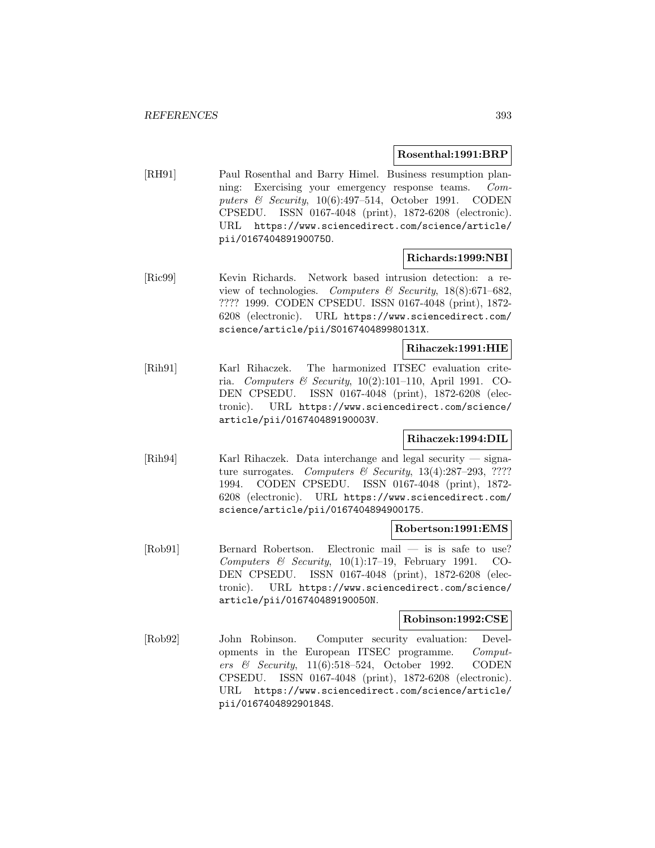# **Rosenthal:1991:BRP**

[RH91] Paul Rosenthal and Barry Himel. Business resumption planning: Exercising your emergency response teams. Computers  $\&$  Security, 10(6):497–514, October 1991. CODEN CPSEDU. ISSN 0167-4048 (print), 1872-6208 (electronic). URL https://www.sciencedirect.com/science/article/ pii/016740489190075O.

# **Richards:1999:NBI**

[Ric99] Kevin Richards. Network based intrusion detection: a review of technologies. Computers & Security,  $18(8):671-682$ , ???? 1999. CODEN CPSEDU. ISSN 0167-4048 (print), 1872- 6208 (electronic). URL https://www.sciencedirect.com/ science/article/pii/S016740489980131X.

# **Rihaczek:1991:HIE**

[Rih91] Karl Rihaczek. The harmonized ITSEC evaluation criteria. Computers & Security, 10(2):101–110, April 1991. CO-DEN CPSEDU. ISSN 0167-4048 (print), 1872-6208 (electronic). URL https://www.sciencedirect.com/science/ article/pii/016740489190003V.

# **Rihaczek:1994:DIL**

[Rih94] Karl Rihaczek. Data interchange and legal security — signature surrogates. Computers & Security,  $13(4):287-293$ , ???? 1994. CODEN CPSEDU. ISSN 0167-4048 (print), 1872- 6208 (electronic). URL https://www.sciencedirect.com/ science/article/pii/0167404894900175.

# **Robertson:1991:EMS**

[Rob91] Bernard Robertson. Electronic mail — is is safe to use? Computers & Security,  $10(1):17-19$ , February 1991. CO-DEN CPSEDU. ISSN 0167-4048 (print), 1872-6208 (electronic). URL https://www.sciencedirect.com/science/ article/pii/016740489190050N.

# **Robinson:1992:CSE**

[Rob92] John Robinson. Computer security evaluation: Developments in the European ITSEC programme. Computers & Security, 11(6):518–524, October 1992. CODEN CPSEDU. ISSN 0167-4048 (print), 1872-6208 (electronic). URL https://www.sciencedirect.com/science/article/ pii/016740489290184S.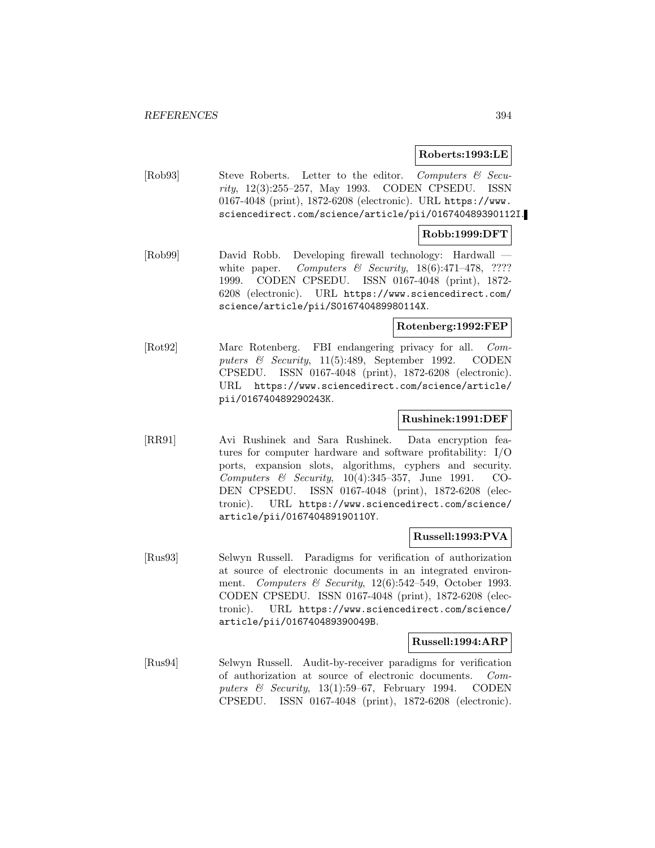#### **Roberts:1993:LE**

[Rob93] Steve Roberts. Letter to the editor. Computers & Security, 12(3):255–257, May 1993. CODEN CPSEDU. ISSN 0167-4048 (print), 1872-6208 (electronic). URL https://www. sciencedirect.com/science/article/pii/016740489390112I.

# **Robb:1999:DFT**

[Rob99] David Robb. Developing firewall technology: Hardwall white paper. Computers & Security,  $18(6):471-478$ , ???? 1999. CODEN CPSEDU. ISSN 0167-4048 (print), 1872- 6208 (electronic). URL https://www.sciencedirect.com/ science/article/pii/S016740489980114X.

# **Rotenberg:1992:FEP**

[Rot92] Marc Rotenberg. FBI endangering privacy for all. Computers & Security, 11(5):489, September 1992. CODEN CPSEDU. ISSN 0167-4048 (print), 1872-6208 (electronic). URL https://www.sciencedirect.com/science/article/ pii/016740489290243K.

# **Rushinek:1991:DEF**

[RR91] Avi Rushinek and Sara Rushinek. Data encryption features for computer hardware and software profitability: I/O ports, expansion slots, algorithms, cyphers and security. Computers & Security, 10(4):345–357, June 1991. CO-DEN CPSEDU. ISSN 0167-4048 (print), 1872-6208 (electronic). URL https://www.sciencedirect.com/science/ article/pii/016740489190110Y.

#### **Russell:1993:PVA**

[Rus93] Selwyn Russell. Paradigms for verification of authorization at source of electronic documents in an integrated environment. Computers & Security,  $12(6)$ :542-549, October 1993. CODEN CPSEDU. ISSN 0167-4048 (print), 1872-6208 (electronic). URL https://www.sciencedirect.com/science/ article/pii/016740489390049B.

# **Russell:1994:ARP**

[Rus94] Selwyn Russell. Audit-by-receiver paradigms for verification of authorization at source of electronic documents. Computers  $\&$  Security, 13(1):59–67, February 1994. CODEN CPSEDU. ISSN 0167-4048 (print), 1872-6208 (electronic).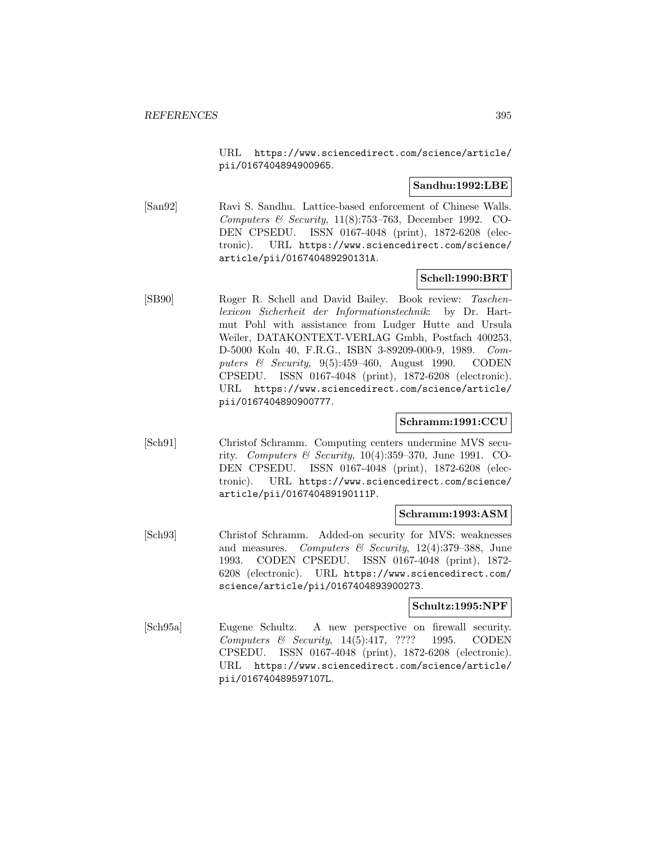URL https://www.sciencedirect.com/science/article/ pii/0167404894900965.

# **Sandhu:1992:LBE**

[San92] Ravi S. Sandhu. Lattice-based enforcement of Chinese Walls. Computers & Security,  $11(8)$ :753-763, December 1992. CO-DEN CPSEDU. ISSN 0167-4048 (print), 1872-6208 (electronic). URL https://www.sciencedirect.com/science/ article/pii/016740489290131A.

# **Schell:1990:BRT**

[SB90] Roger R. Schell and David Bailey. Book review: Taschenlexicon Sicherheit der Informationstechnik: by Dr. Hartmut Pohl with assistance from Ludger Hutte and Ursula Weiler, DATAKONTEXT-VERLAG Gmbh, Postfach 400253, D-5000 Koln 40, F.R.G., ISBN 3-89209-000-9, 1989. Computers  $\&$  Security, 9(5):459–460, August 1990. CODEN CPSEDU. ISSN 0167-4048 (print), 1872-6208 (electronic). URL https://www.sciencedirect.com/science/article/ pii/0167404890900777.

# **Schramm:1991:CCU**

[Sch91] Christof Schramm. Computing centers undermine MVS security. Computers & Security,  $10(4):359-370$ , June 1991. CO-DEN CPSEDU. ISSN 0167-4048 (print), 1872-6208 (electronic). URL https://www.sciencedirect.com/science/ article/pii/016740489190111P.

# **Schramm:1993:ASM**

[Sch93] Christof Schramm. Added-on security for MVS: weaknesses and measures. Computers  $\mathcal{B}$  Security, 12(4):379–388, June 1993. CODEN CPSEDU. ISSN 0167-4048 (print), 1872- 6208 (electronic). URL https://www.sciencedirect.com/ science/article/pii/0167404893900273.

#### **Schultz:1995:NPF**

[Sch95a] Eugene Schultz. A new perspective on firewall security. Computers & Security, 14(5):417, ???? 1995. CODEN CPSEDU. ISSN 0167-4048 (print), 1872-6208 (electronic). URL https://www.sciencedirect.com/science/article/ pii/016740489597107L.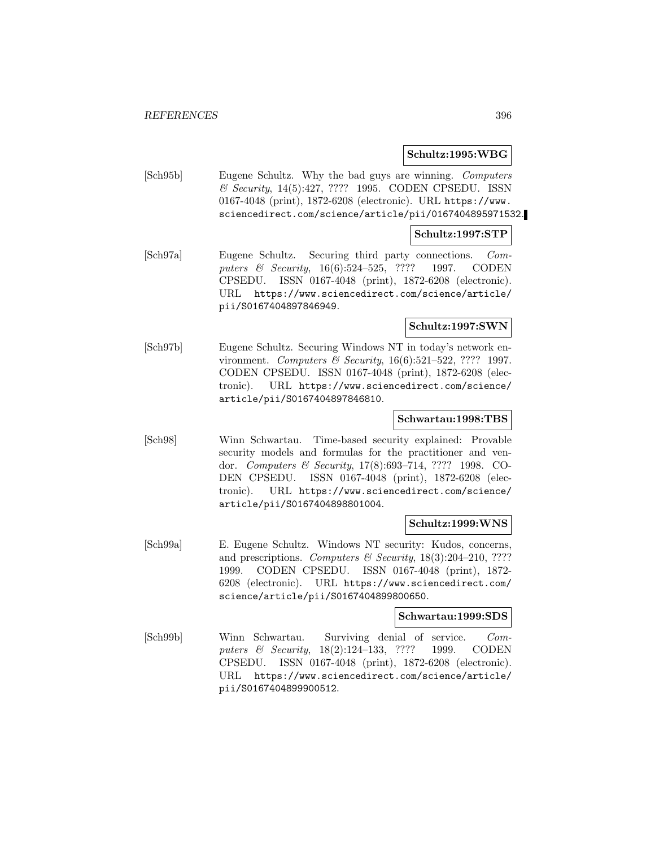# **Schultz:1995:WBG**

[Sch95b] Eugene Schultz. Why the bad guys are winning. Computers & Security, 14(5):427, ???? 1995. CODEN CPSEDU. ISSN 0167-4048 (print), 1872-6208 (electronic). URL https://www. sciencedirect.com/science/article/pii/0167404895971532.

#### **Schultz:1997:STP**

[Sch97a] Eugene Schultz. Securing third party connections. Computers & Security, 16(6):524-525, ???? 1997. CODEN CPSEDU. ISSN 0167-4048 (print), 1872-6208 (electronic). URL https://www.sciencedirect.com/science/article/ pii/S0167404897846949.

# **Schultz:1997:SWN**

[Sch97b] Eugene Schultz. Securing Windows NT in today's network environment. Computers & Security, 16(6):521-522, ???? 1997. CODEN CPSEDU. ISSN 0167-4048 (print), 1872-6208 (electronic). URL https://www.sciencedirect.com/science/ article/pii/S0167404897846810.

# **Schwartau:1998:TBS**

[Sch98] Winn Schwartau. Time-based security explained: Provable security models and formulas for the practitioner and vendor. Computers & Security, 17(8):693–714, ???? 1998. CO-DEN CPSEDU. ISSN 0167-4048 (print), 1872-6208 (electronic). URL https://www.sciencedirect.com/science/ article/pii/S0167404898801004.

#### **Schultz:1999:WNS**

[Sch99a] E. Eugene Schultz. Windows NT security: Kudos, concerns, and prescriptions. Computers & Security,  $18(3):204-210$ , ???? 1999. CODEN CPSEDU. ISSN 0167-4048 (print), 1872- 6208 (electronic). URL https://www.sciencedirect.com/ science/article/pii/S0167404899800650.

# **Schwartau:1999:SDS**

[Sch99b] Winn Schwartau. Surviving denial of service. Computers & Security, 18(2):124-133, ???? 1999. CODEN CPSEDU. ISSN 0167-4048 (print), 1872-6208 (electronic). URL https://www.sciencedirect.com/science/article/ pii/S0167404899900512.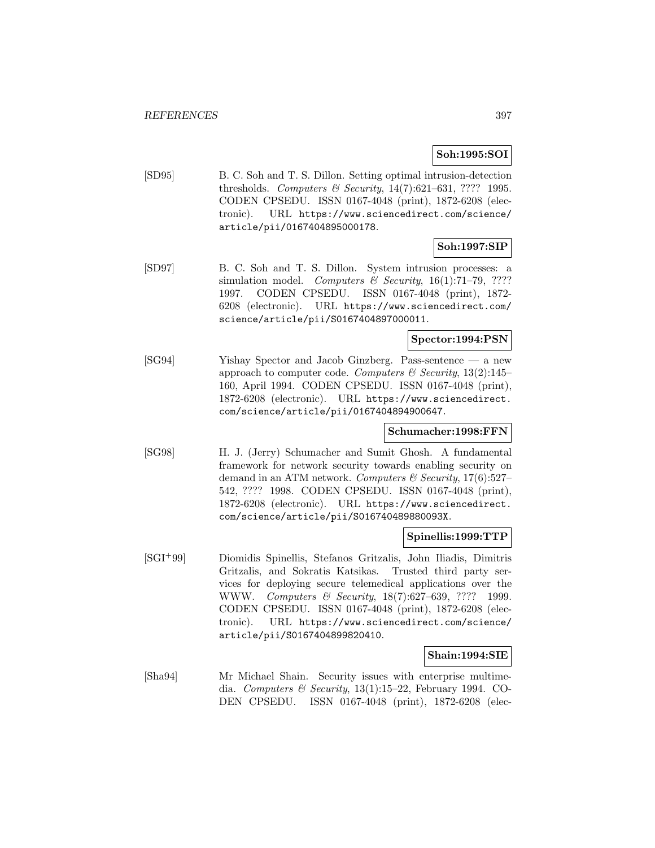## **Soh:1995:SOI**

[SD95] B. C. Soh and T. S. Dillon. Setting optimal intrusion-detection thresholds. Computers & Security,  $14(7):621-631$ , ???? 1995. CODEN CPSEDU. ISSN 0167-4048 (print), 1872-6208 (electronic). URL https://www.sciencedirect.com/science/ article/pii/0167404895000178.

## **Soh:1997:SIP**

[SD97] B. C. Soh and T. S. Dillon. System intrusion processes: a simulation model. Computers & Security,  $16(1)$ :71-79, ???? 1997. CODEN CPSEDU. ISSN 0167-4048 (print), 1872- 6208 (electronic). URL https://www.sciencedirect.com/ science/article/pii/S0167404897000011.

## **Spector:1994:PSN**

[SG94] Yishay Spector and Jacob Ginzberg. Pass-sentence — a new approach to computer code. Computers & Security,  $13(2):145-$ 160, April 1994. CODEN CPSEDU. ISSN 0167-4048 (print), 1872-6208 (electronic). URL https://www.sciencedirect. com/science/article/pii/0167404894900647.

## **Schumacher:1998:FFN**

[SG98] H. J. (Jerry) Schumacher and Sumit Ghosh. A fundamental framework for network security towards enabling security on demand in an ATM network. Computers & Security,  $17(6):527-$ 542, ???? 1998. CODEN CPSEDU. ISSN 0167-4048 (print), 1872-6208 (electronic). URL https://www.sciencedirect. com/science/article/pii/S016740489880093X.

## **Spinellis:1999:TTP**

[SGI<sup>+</sup>99] Diomidis Spinellis, Stefanos Gritzalis, John Iliadis, Dimitris Gritzalis, and Sokratis Katsikas. Trusted third party services for deploying secure telemedical applications over the WWW. Computers & Security, 18(7):627–639, ???? 1999. CODEN CPSEDU. ISSN 0167-4048 (print), 1872-6208 (electronic). URL https://www.sciencedirect.com/science/ article/pii/S0167404899820410.

## **Shain:1994:SIE**

[Sha94] Mr Michael Shain. Security issues with enterprise multimedia. Computers & Security, 13(1):15–22, February 1994. CO-DEN CPSEDU. ISSN 0167-4048 (print), 1872-6208 (elec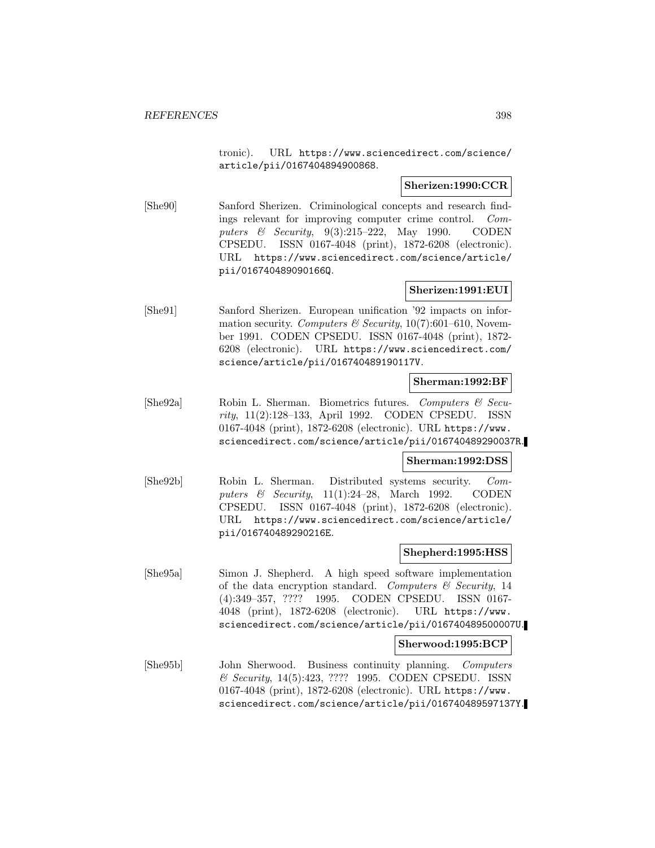tronic). URL https://www.sciencedirect.com/science/ article/pii/0167404894900868.

## **Sherizen:1990:CCR**

[She90] Sanford Sherizen. Criminological concepts and research findings relevant for improving computer crime control. Computers & Security, 9(3):215–222, May 1990. CODEN CPSEDU. ISSN 0167-4048 (print), 1872-6208 (electronic). URL https://www.sciencedirect.com/science/article/ pii/016740489090166Q.

## **Sherizen:1991:EUI**

[She91] Sanford Sherizen. European unification '92 impacts on information security. Computers & Security,  $10(7)$ :601–610, November 1991. CODEN CPSEDU. ISSN 0167-4048 (print), 1872- 6208 (electronic). URL https://www.sciencedirect.com/ science/article/pii/016740489190117V.

### **Sherman:1992:BF**

[She92a] Robin L. Sherman. Biometrics futures. Computers & Security, 11(2):128–133, April 1992. CODEN CPSEDU. ISSN 0167-4048 (print), 1872-6208 (electronic). URL https://www. sciencedirect.com/science/article/pii/016740489290037R.

## **Sherman:1992:DSS**

[She92b] Robin L. Sherman. Distributed systems security. Computers & Security,  $11(1):24-28$ , March 1992. CODEN CPSEDU. ISSN 0167-4048 (print), 1872-6208 (electronic). URL https://www.sciencedirect.com/science/article/ pii/016740489290216E.

## **Shepherd:1995:HSS**

[She95a] Simon J. Shepherd. A high speed software implementation of the data encryption standard. Computers  $\mathcal C$  Security, 14 (4):349–357, ???? 1995. CODEN CPSEDU. ISSN 0167- 4048 (print), 1872-6208 (electronic). URL https://www. sciencedirect.com/science/article/pii/016740489500007U.

#### **Sherwood:1995:BCP**

[She95b] John Sherwood. Business continuity planning. Computers & Security, 14(5):423, ???? 1995. CODEN CPSEDU. ISSN 0167-4048 (print), 1872-6208 (electronic). URL https://www. sciencedirect.com/science/article/pii/016740489597137Y.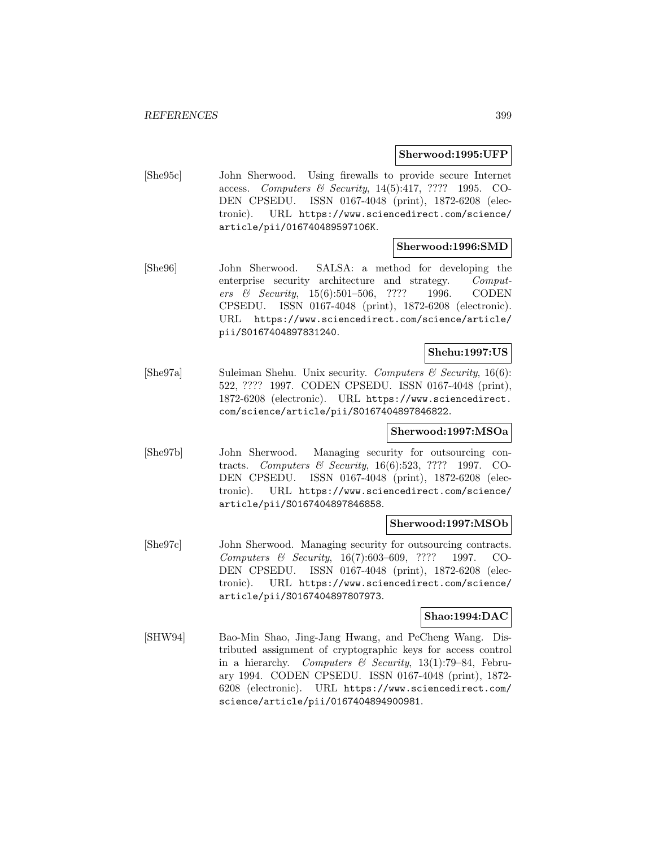#### **Sherwood:1995:UFP**

[She95c] John Sherwood. Using firewalls to provide secure Internet access. Computers & Security, 14(5):417, ???? 1995. CO-DEN CPSEDU. ISSN 0167-4048 (print), 1872-6208 (electronic). URL https://www.sciencedirect.com/science/ article/pii/016740489597106K.

## **Sherwood:1996:SMD**

[She96] John Sherwood. SALSA: a method for developing the enterprise security architecture and strategy. Computers & Security, 15(6):501–506, ???? 1996. CODEN CPSEDU. ISSN 0167-4048 (print), 1872-6208 (electronic). URL https://www.sciencedirect.com/science/article/ pii/S0167404897831240.

## **Shehu:1997:US**

[She97a] Suleiman Shehu. Unix security. Computers  $\mathcal C$  Security, 16(6): 522, ???? 1997. CODEN CPSEDU. ISSN 0167-4048 (print), 1872-6208 (electronic). URL https://www.sciencedirect. com/science/article/pii/S0167404897846822.

## **Sherwood:1997:MSOa**

[She97b] John Sherwood. Managing security for outsourcing contracts. Computers & Security, 16(6):523, ???? 1997. CO-DEN CPSEDU. ISSN 0167-4048 (print), 1872-6208 (electronic). URL https://www.sciencedirect.com/science/ article/pii/S0167404897846858.

#### **Sherwood:1997:MSOb**

[She97c] John Sherwood. Managing security for outsourcing contracts. Computers & Security, 16(7):603–609, ???? 1997. CO-DEN CPSEDU. ISSN 0167-4048 (print), 1872-6208 (electronic). URL https://www.sciencedirect.com/science/ article/pii/S0167404897807973.

#### **Shao:1994:DAC**

[SHW94] Bao-Min Shao, Jing-Jang Hwang, and PeCheng Wang. Distributed assignment of cryptographic keys for access control in a hierarchy. Computers & Security, 13(1):79-84, February 1994. CODEN CPSEDU. ISSN 0167-4048 (print), 1872- 6208 (electronic). URL https://www.sciencedirect.com/ science/article/pii/0167404894900981.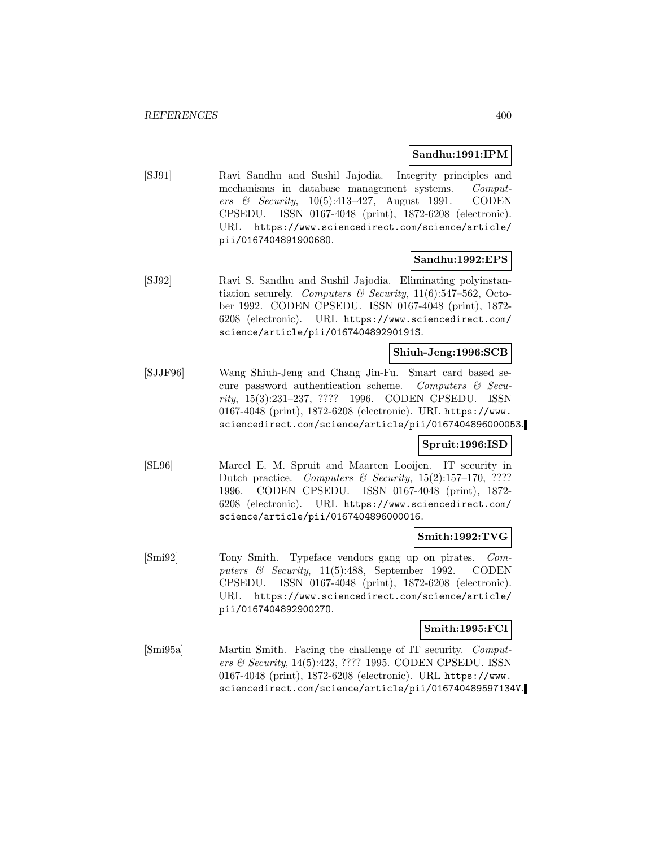## **Sandhu:1991:IPM**

[SJ91] Ravi Sandhu and Sushil Jajodia. Integrity principles and mechanisms in database management systems. Computers & Security, 10(5):413–427, August 1991. CODEN CPSEDU. ISSN 0167-4048 (print), 1872-6208 (electronic). URL https://www.sciencedirect.com/science/article/ pii/016740489190068O.

## **Sandhu:1992:EPS**

[SJ92] Ravi S. Sandhu and Sushil Jajodia. Eliminating polyinstantiation securely. Computers & Security,  $11(6):547-562$ , October 1992. CODEN CPSEDU. ISSN 0167-4048 (print), 1872- 6208 (electronic). URL https://www.sciencedirect.com/ science/article/pii/016740489290191S.

## **Shiuh-Jeng:1996:SCB**

[SJJF96] Wang Shiuh-Jeng and Chang Jin-Fu. Smart card based secure password authentication scheme. Computers  $\mathcal{C}$  Security, 15(3):231–237, ???? 1996. CODEN CPSEDU. ISSN 0167-4048 (print), 1872-6208 (electronic). URL https://www. sciencedirect.com/science/article/pii/0167404896000053.

## **Spruit:1996:ISD**

[SL96] Marcel E. M. Spruit and Maarten Looijen. IT security in Dutch practice. Computers  $\mathcal B$  Security, 15(2):157-170, ???? 1996. CODEN CPSEDU. ISSN 0167-4048 (print), 1872- 6208 (electronic). URL https://www.sciencedirect.com/ science/article/pii/0167404896000016.

## **Smith:1992:TVG**

[Smi92] Tony Smith. Typeface vendors gang up on pirates. Computers & Security, 11(5):488, September 1992. CODEN CPSEDU. ISSN 0167-4048 (print), 1872-6208 (electronic). URL https://www.sciencedirect.com/science/article/ pii/016740489290027O.

## **Smith:1995:FCI**

[Smi95a] Martin Smith. Facing the challenge of IT security. Computers & Security, 14(5):423, ???? 1995. CODEN CPSEDU. ISSN 0167-4048 (print), 1872-6208 (electronic). URL https://www. sciencedirect.com/science/article/pii/016740489597134V.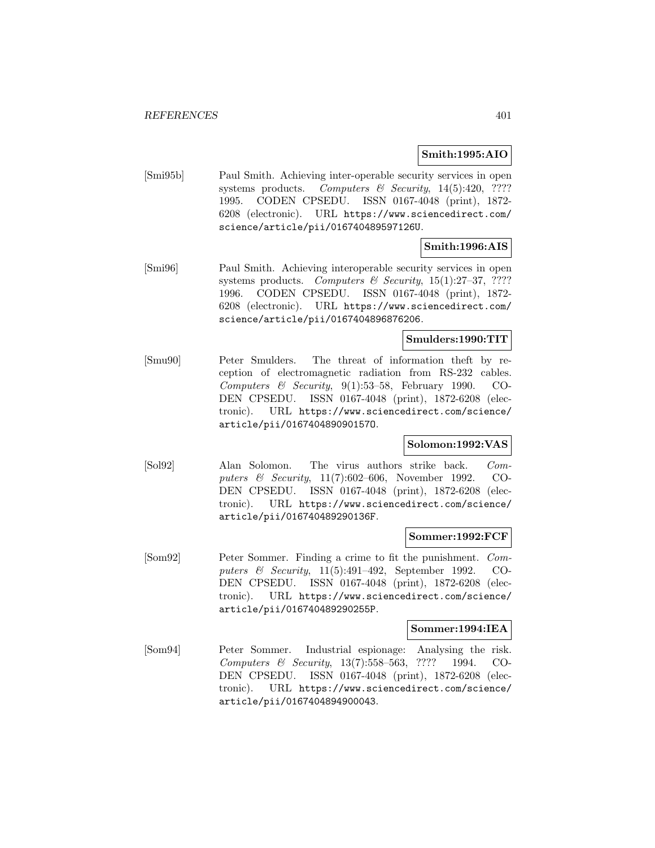## **Smith:1995:AIO**

[Smi95b] Paul Smith. Achieving inter-operable security services in open systems products. Computers & Security, 14(5):420, ???? 1995. CODEN CPSEDU. ISSN 0167-4048 (print), 1872- 6208 (electronic). URL https://www.sciencedirect.com/ science/article/pii/016740489597126U.

## **Smith:1996:AIS**

[Smi96] Paul Smith. Achieving interoperable security services in open systems products. Computers & Security,  $15(1):27-37$ , ???? 1996. CODEN CPSEDU. ISSN 0167-4048 (print), 1872- 6208 (electronic). URL https://www.sciencedirect.com/ science/article/pii/0167404896876206.

## **Smulders:1990:TIT**

[Smu90] Peter Smulders. The threat of information theft by reception of electromagnetic radiation from RS-232 cables. Computers & Security,  $9(1):53-58$ , February 1990. CO-DEN CPSEDU. ISSN 0167-4048 (print), 1872-6208 (electronic). URL https://www.sciencedirect.com/science/ article/pii/016740489090157O.

## **Solomon:1992:VAS**

[Sol92] Alan Solomon. The virus authors strike back. Computers & Security, 11(7):602–606, November 1992. CO-DEN CPSEDU. ISSN 0167-4048 (print), 1872-6208 (electronic). URL https://www.sciencedirect.com/science/ article/pii/016740489290136F.

#### **Sommer:1992:FCF**

[Som92] Peter Sommer. Finding a crime to fit the punishment. Computers & Security, 11(5):491–492, September 1992. CO-DEN CPSEDU. ISSN 0167-4048 (print), 1872-6208 (electronic). URL https://www.sciencedirect.com/science/ article/pii/016740489290255P.

#### **Sommer:1994:IEA**

[Som94] Peter Sommer. Industrial espionage: Analysing the risk. Computers & Security, 13(7):558–563, ???? 1994. CO-DEN CPSEDU. ISSN 0167-4048 (print), 1872-6208 (electronic). URL https://www.sciencedirect.com/science/ article/pii/0167404894900043.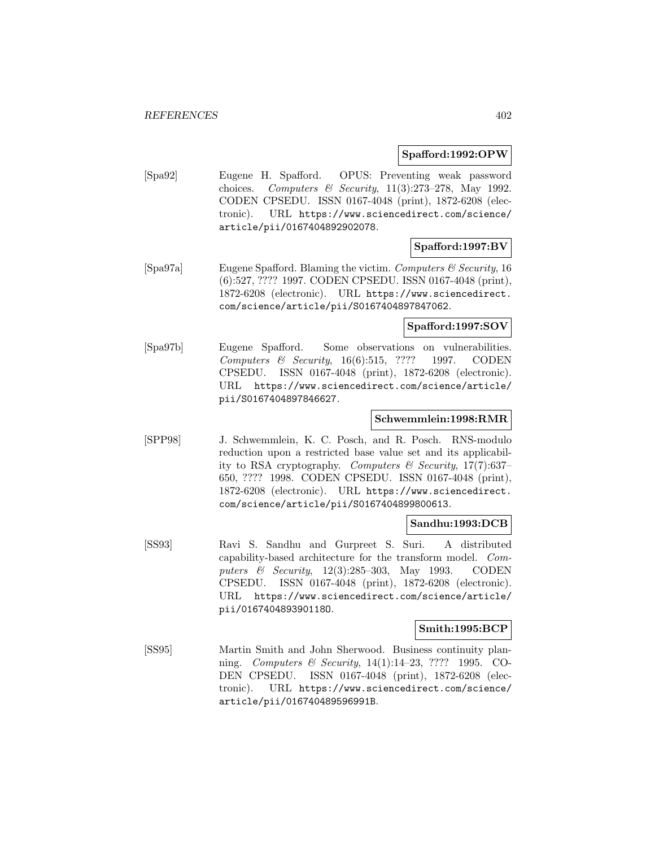#### **Spafford:1992:OPW**

[Spa92] Eugene H. Spafford. OPUS: Preventing weak password choices. Computers & Security,  $11(3):273-278$ , May 1992. CODEN CPSEDU. ISSN 0167-4048 (print), 1872-6208 (electronic). URL https://www.sciencedirect.com/science/ article/pii/0167404892902078.

## **Spafford:1997:BV**

[Spa97a] Eugene Spafford. Blaming the victim. Computers  $\mathcal{C}$  Security, 16 (6):527, ???? 1997. CODEN CPSEDU. ISSN 0167-4048 (print), 1872-6208 (electronic). URL https://www.sciencedirect. com/science/article/pii/S0167404897847062.

## **Spafford:1997:SOV**

[Spa97b] Eugene Spafford. Some observations on vulnerabilities. Computers & Security, 16(6):515, ???? 1997. CODEN CPSEDU. ISSN 0167-4048 (print), 1872-6208 (electronic). URL https://www.sciencedirect.com/science/article/ pii/S0167404897846627.

## **Schwemmlein:1998:RMR**

[SPP98] J. Schwemmlein, K. C. Posch, and R. Posch. RNS-modulo reduction upon a restricted base value set and its applicability to RSA cryptography. Computers  $\mathscr$  Security, 17(7):637– 650, ???? 1998. CODEN CPSEDU. ISSN 0167-4048 (print), 1872-6208 (electronic). URL https://www.sciencedirect. com/science/article/pii/S0167404899800613.

## **Sandhu:1993:DCB**

[SS93] Ravi S. Sandhu and Gurpreet S. Suri. A distributed capability-based architecture for the transform model. Computers & Security, 12(3):285–303, May 1993. CODEN CPSEDU. ISSN 0167-4048 (print), 1872-6208 (electronic). URL https://www.sciencedirect.com/science/article/ pii/016740489390118O.

#### **Smith:1995:BCP**

[SS95] Martin Smith and John Sherwood. Business continuity planning. *Computers & Security*, 14(1):14–23, ???? 1995. CO-DEN CPSEDU. ISSN 0167-4048 (print), 1872-6208 (electronic). URL https://www.sciencedirect.com/science/ article/pii/016740489596991B.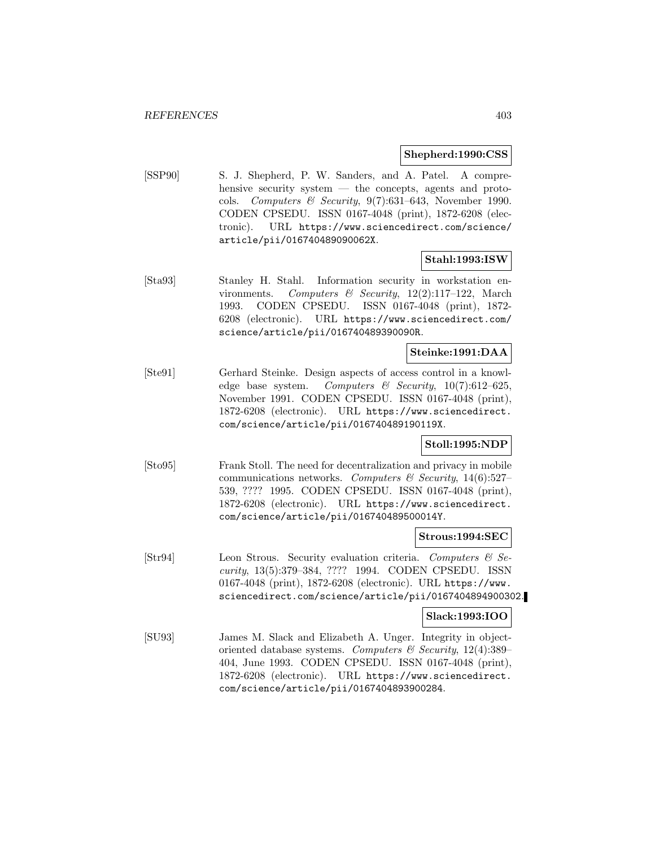#### **Shepherd:1990:CSS**

[SSP90] S. J. Shepherd, P. W. Sanders, and A. Patel. A comprehensive security system — the concepts, agents and protocols. Computers & Security,  $9(7):631-643$ , November 1990. CODEN CPSEDU. ISSN 0167-4048 (print), 1872-6208 (electronic). URL https://www.sciencedirect.com/science/ article/pii/016740489090062X.

## **Stahl:1993:ISW**

[Sta93] Stanley H. Stahl. Information security in workstation environments. Computers & Security,  $12(2):117-122$ , March 1993. CODEN CPSEDU. ISSN 0167-4048 (print), 1872- 6208 (electronic). URL https://www.sciencedirect.com/ science/article/pii/016740489390090R.

## **Steinke:1991:DAA**

[Ste91] Gerhard Steinke. Design aspects of access control in a knowledge base system. Computers & Security,  $10(7):612-625$ , November 1991. CODEN CPSEDU. ISSN 0167-4048 (print), 1872-6208 (electronic). URL https://www.sciencedirect. com/science/article/pii/016740489190119X.

## **Stoll:1995:NDP**

[Sto95] Frank Stoll. The need for decentralization and privacy in mobile communications networks. Computers & Security,  $14(6):527-$ 539, ???? 1995. CODEN CPSEDU. ISSN 0167-4048 (print), 1872-6208 (electronic). URL https://www.sciencedirect. com/science/article/pii/016740489500014Y.

## **Strous:1994:SEC**

[Str94] Leon Strous. Security evaluation criteria. Computers & Security, 13(5):379–384, ???? 1994. CODEN CPSEDU. ISSN 0167-4048 (print), 1872-6208 (electronic). URL https://www. sciencedirect.com/science/article/pii/0167404894900302.

## **Slack:1993:IOO**

[SU93] James M. Slack and Elizabeth A. Unger. Integrity in objectoriented database systems. Computers & Security,  $12(4):389-$ 404, June 1993. CODEN CPSEDU. ISSN 0167-4048 (print), 1872-6208 (electronic). URL https://www.sciencedirect. com/science/article/pii/0167404893900284.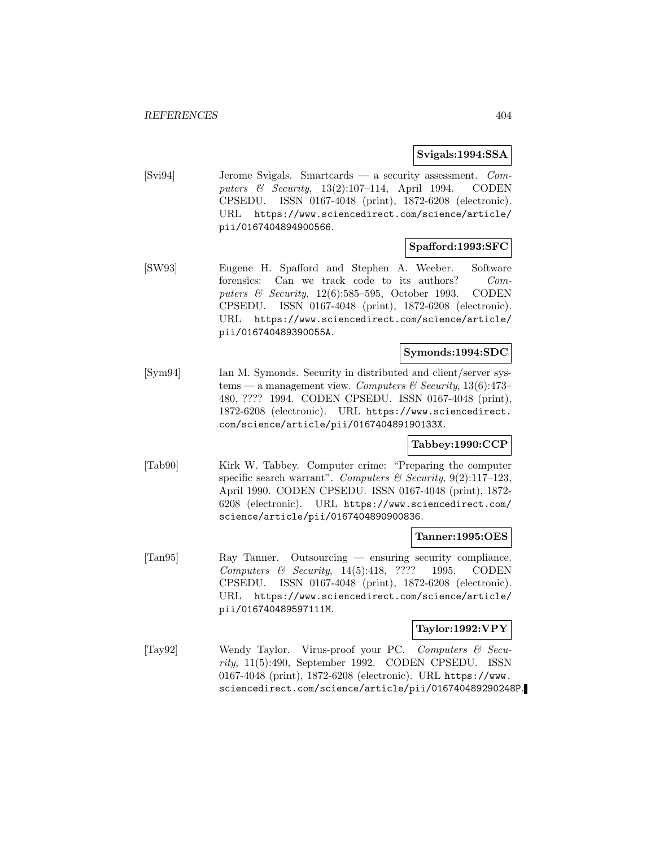**Svigals:1994:SSA**

[Svi94] Jerome Svigals. Smartcards — a security assessment. Computers & Security, 13(2):107–114, April 1994. CODEN CPSEDU. ISSN 0167-4048 (print), 1872-6208 (electronic). URL https://www.sciencedirect.com/science/article/ pii/0167404894900566.

## **Spafford:1993:SFC**

[SW93] Eugene H. Spafford and Stephen A. Weeber. Software forensics: Can we track code to its authors? Computers & Security, 12(6):585–595, October 1993. CODEN CPSEDU. ISSN 0167-4048 (print), 1872-6208 (electronic). URL https://www.sciencedirect.com/science/article/ pii/016740489390055A.

## **Symonds:1994:SDC**

[Sym94] Ian M. Symonds. Security in distributed and client/server systems — a management view. Computers & Security, 13(6):473– 480, ???? 1994. CODEN CPSEDU. ISSN 0167-4048 (print), 1872-6208 (electronic). URL https://www.sciencedirect. com/science/article/pii/016740489190133X.

## **Tabbey:1990:CCP**

[Tab90] Kirk W. Tabbey. Computer crime: "Preparing the computer specific search warrant". Computers & Security,  $9(2):117-123$ , April 1990. CODEN CPSEDU. ISSN 0167-4048 (print), 1872- 6208 (electronic). URL https://www.sciencedirect.com/ science/article/pii/0167404890900836.

#### **Tanner:1995:OES**

[Tan95] Ray Tanner. Outsourcing — ensuring security compliance. Computers & Security, 14(5):418, ???? 1995. CODEN CPSEDU. ISSN 0167-4048 (print), 1872-6208 (electronic). URL https://www.sciencedirect.com/science/article/ pii/016740489597111M.

#### **Taylor:1992:VPY**

[Tay92] Wendy Taylor. Virus-proof your PC. Computers & Security, 11(5):490, September 1992. CODEN CPSEDU. ISSN 0167-4048 (print), 1872-6208 (electronic). URL https://www. sciencedirect.com/science/article/pii/016740489290248P.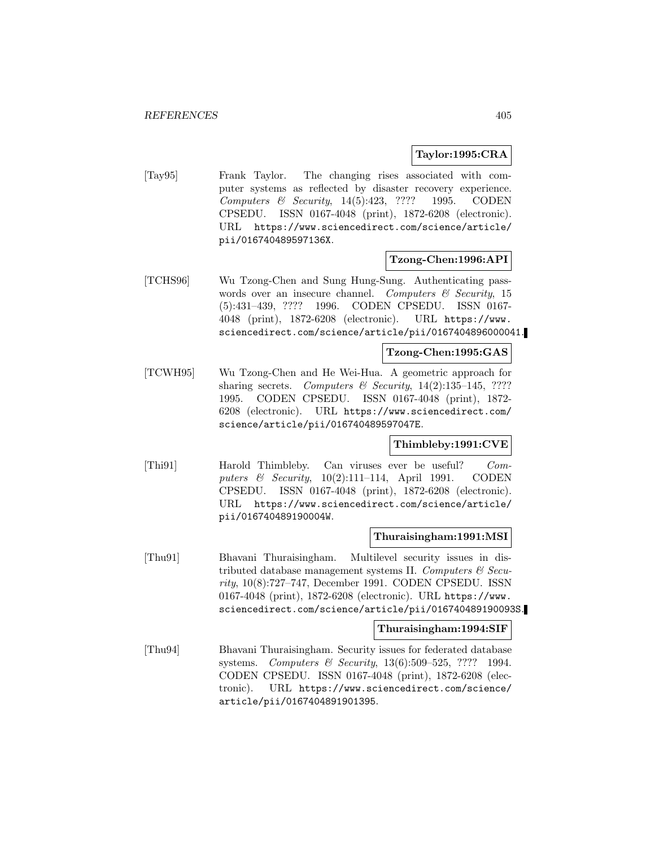## **Taylor:1995:CRA**

[Tay95] Frank Taylor. The changing rises associated with computer systems as reflected by disaster recovery experience. Computers & Security, 14(5):423, ???? 1995. CODEN CPSEDU. ISSN 0167-4048 (print), 1872-6208 (electronic). URL https://www.sciencedirect.com/science/article/ pii/016740489597136X.

## **Tzong-Chen:1996:API**

[TCHS96] Wu Tzong-Chen and Sung Hung-Sung. Authenticating passwords over an insecure channel. Computers  $\mathcal{C}$  Security, 15 (5):431–439, ???? 1996. CODEN CPSEDU. ISSN 0167- 4048 (print), 1872-6208 (electronic). URL https://www. sciencedirect.com/science/article/pii/0167404896000041.

## **Tzong-Chen:1995:GAS**

[TCWH95] Wu Tzong-Chen and He Wei-Hua. A geometric approach for sharing secrets. Computers  $\mathcal B$  Security, 14(2):135–145, ???? 1995. CODEN CPSEDU. ISSN 0167-4048 (print), 1872- 6208 (electronic). URL https://www.sciencedirect.com/ science/article/pii/016740489597047E.

## **Thimbleby:1991:CVE**

[Thi91] Harold Thimbleby. Can viruses ever be useful? Computers & Security,  $10(2):111-114$ , April 1991. CODEN CPSEDU. ISSN 0167-4048 (print), 1872-6208 (electronic). URL https://www.sciencedirect.com/science/article/ pii/016740489190004W.

## **Thuraisingham:1991:MSI**

[Thu91] Bhavani Thuraisingham. Multilevel security issues in distributed database management systems II. Computers  $\mathcal{C}$  Security, 10(8):727–747, December 1991. CODEN CPSEDU. ISSN 0167-4048 (print), 1872-6208 (electronic). URL https://www. sciencedirect.com/science/article/pii/016740489190093S.

## **Thuraisingham:1994:SIF**

[Thu94] Bhavani Thuraisingham. Security issues for federated database systems. Computers & Security, 13(6):509-525, ???? 1994. CODEN CPSEDU. ISSN 0167-4048 (print), 1872-6208 (electronic). URL https://www.sciencedirect.com/science/ article/pii/0167404891901395.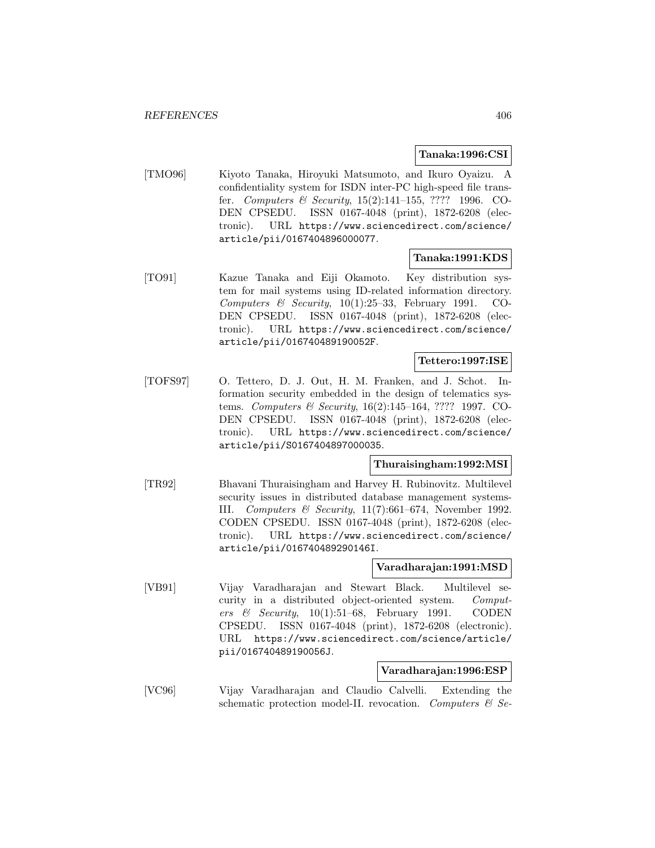## **Tanaka:1996:CSI**

[TMO96] Kiyoto Tanaka, Hiroyuki Matsumoto, and Ikuro Oyaizu. A confidentiality system for ISDN inter-PC high-speed file transfer. Computers & Security, 15(2):141–155, ???? 1996. CO-DEN CPSEDU. ISSN 0167-4048 (print), 1872-6208 (electronic). URL https://www.sciencedirect.com/science/ article/pii/0167404896000077.

## **Tanaka:1991:KDS**

[TO91] Kazue Tanaka and Eiji Okamoto. Key distribution system for mail systems using ID-related information directory. Computers & Security,  $10(1):25-33$ , February 1991. CO-DEN CPSEDU. ISSN 0167-4048 (print), 1872-6208 (electronic). URL https://www.sciencedirect.com/science/ article/pii/016740489190052F.

## **Tettero:1997:ISE**

[TOFS97] O. Tettero, D. J. Out, H. M. Franken, and J. Schot. Information security embedded in the design of telematics systems. Computers & Security, 16(2):145–164, ???? 1997. CO-DEN CPSEDU. ISSN 0167-4048 (print), 1872-6208 (electronic). URL https://www.sciencedirect.com/science/ article/pii/S0167404897000035.

### **Thuraisingham:1992:MSI**

[TR92] Bhavani Thuraisingham and Harvey H. Rubinovitz. Multilevel security issues in distributed database management systems-III. Computers & Security, 11(7):661–674, November 1992. CODEN CPSEDU. ISSN 0167-4048 (print), 1872-6208 (electronic). URL https://www.sciencedirect.com/science/ article/pii/016740489290146I.

## **Varadharajan:1991:MSD**

[VB91] Vijay Varadharajan and Stewart Black. Multilevel security in a distributed object-oriented system. Computers & Security,  $10(1):51-68$ , February 1991. CODEN CPSEDU. ISSN 0167-4048 (print), 1872-6208 (electronic). URL https://www.sciencedirect.com/science/article/ pii/016740489190056J.

#### **Varadharajan:1996:ESP**

[VC96] Vijay Varadharajan and Claudio Calvelli. Extending the schematic protection model-II. revocation. Computers  $\mathcal{C}$  Se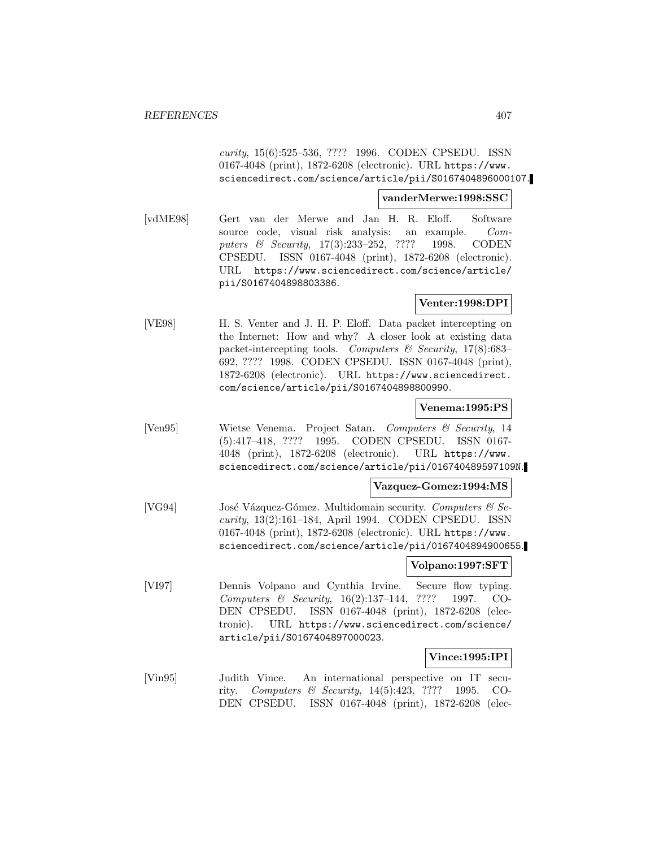curity, 15(6):525–536, ???? 1996. CODEN CPSEDU. ISSN 0167-4048 (print), 1872-6208 (electronic). URL https://www. sciencedirect.com/science/article/pii/S0167404896000107.

**vanderMerwe:1998:SSC**

[vdME98] Gert van der Merwe and Jan H. R. Eloff. Software source code, visual risk analysis: an example. Computers & Security, 17(3):233-252, ???? 1998. CODEN CPSEDU. ISSN 0167-4048 (print), 1872-6208 (electronic). URL https://www.sciencedirect.com/science/article/ pii/S0167404898803386.

## **Venter:1998:DPI**

[VE98] H. S. Venter and J. H. P. Eloff. Data packet intercepting on the Internet: How and why? A closer look at existing data packet-intercepting tools. Computers  $\mathcal C$  Security, 17(8):683– 692, ???? 1998. CODEN CPSEDU. ISSN 0167-4048 (print), 1872-6208 (electronic). URL https://www.sciencedirect. com/science/article/pii/S0167404898800990.

## **Venema:1995:PS**

[Ven95] Wietse Venema. Project Satan. Computers & Security, 14 (5):417–418, ???? 1995. CODEN CPSEDU. ISSN 0167- 4048 (print), 1872-6208 (electronic). URL https://www. sciencedirect.com/science/article/pii/016740489597109N.

**Vazquez-Gomez:1994:MS**

[VG94] José Vázquez-Gómez. Multidomain security. Computers  $\mathcal{C}$  Security, 13(2):161–184, April 1994. CODEN CPSEDU. ISSN 0167-4048 (print), 1872-6208 (electronic). URL https://www. sciencedirect.com/science/article/pii/0167404894900655.

## **Volpano:1997:SFT**

[VI97] Dennis Volpano and Cynthia Irvine. Secure flow typing. Computers & Security, 16(2):137–144, ???? 1997. CO-DEN CPSEDU. ISSN 0167-4048 (print), 1872-6208 (electronic). URL https://www.sciencedirect.com/science/ article/pii/S0167404897000023.

## **Vince:1995:IPI**

[Vin95] Judith Vince. An international perspective on IT security. Computers & Security, 14(5):423, ???? 1995. CO-DEN CPSEDU. ISSN 0167-4048 (print), 1872-6208 (elec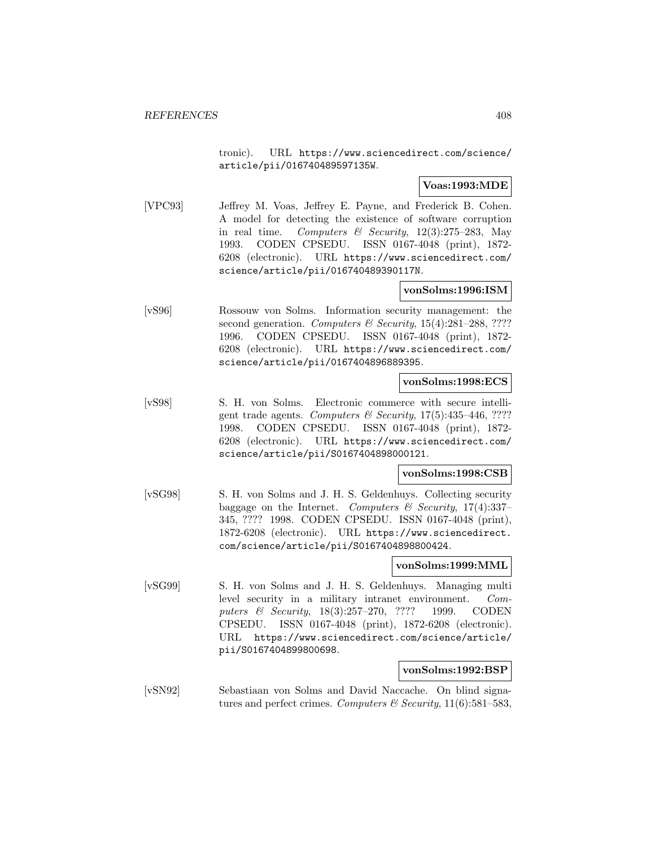tronic). URL https://www.sciencedirect.com/science/ article/pii/016740489597135W.

## **Voas:1993:MDE**

[VPC93] Jeffrey M. Voas, Jeffrey E. Payne, and Frederick B. Cohen. A model for detecting the existence of software corruption in real time. Computers & Security,  $12(3):275-283$ , May 1993. CODEN CPSEDU. ISSN 0167-4048 (print), 1872- 6208 (electronic). URL https://www.sciencedirect.com/ science/article/pii/016740489390117N.

## **vonSolms:1996:ISM**

[vS96] Rossouw von Solms. Information security management: the second generation. Computers & Security, 15(4):281-288, ???? 1996. CODEN CPSEDU. ISSN 0167-4048 (print), 1872- 6208 (electronic). URL https://www.sciencedirect.com/ science/article/pii/0167404896889395.

### **vonSolms:1998:ECS**

[vS98] S. H. von Solms. Electronic commerce with secure intelligent trade agents. Computers & Security,  $17(5):435-446,$  ???? 1998. CODEN CPSEDU. ISSN 0167-4048 (print), 1872- 6208 (electronic). URL https://www.sciencedirect.com/ science/article/pii/S0167404898000121.

#### **vonSolms:1998:CSB**

[vSG98] S. H. von Solms and J. H. S. Geldenhuys. Collecting security baggage on the Internet. Computers & Security, 17(4):337-345, ???? 1998. CODEN CPSEDU. ISSN 0167-4048 (print), 1872-6208 (electronic). URL https://www.sciencedirect. com/science/article/pii/S0167404898800424.

## **vonSolms:1999:MML**

[vSG99] S. H. von Solms and J. H. S. Geldenhuys. Managing multi level security in a military intranet environment. Computers & Security, 18(3):257–270, ???? 1999. CODEN CPSEDU. ISSN 0167-4048 (print), 1872-6208 (electronic). URL https://www.sciencedirect.com/science/article/ pii/S0167404899800698.

#### **vonSolms:1992:BSP**

[vSN92] Sebastiaan von Solms and David Naccache. On blind signatures and perfect crimes. Computers & Security,  $11(6):581-583$ ,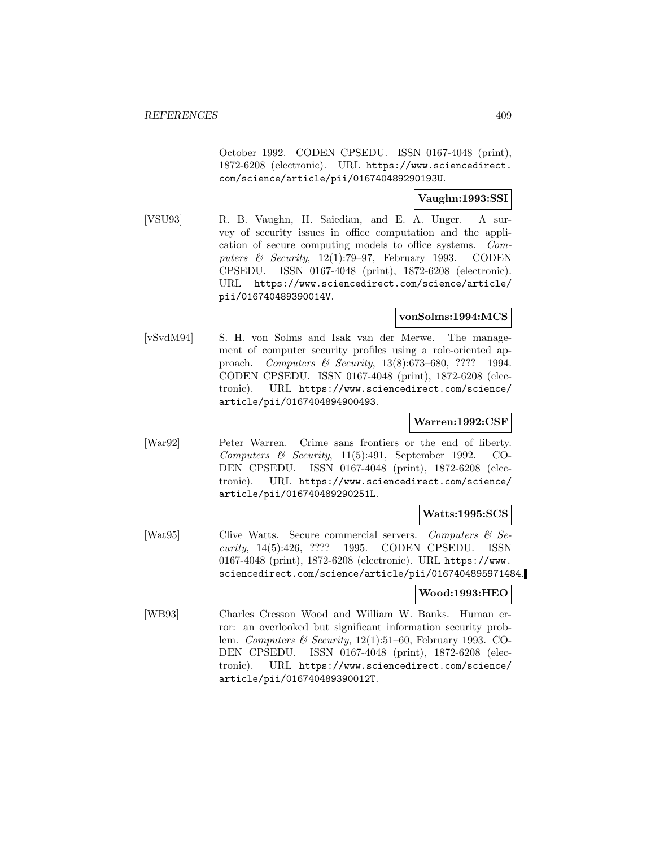October 1992. CODEN CPSEDU. ISSN 0167-4048 (print), 1872-6208 (electronic). URL https://www.sciencedirect. com/science/article/pii/016740489290193U.

## **Vaughn:1993:SSI**

[VSU93] R. B. Vaughn, H. Saiedian, and E. A. Unger. A survey of security issues in office computation and the application of secure computing models to office systems. Computers & Security, 12(1):79-97, February 1993. CODEN CPSEDU. ISSN 0167-4048 (print), 1872-6208 (electronic). URL https://www.sciencedirect.com/science/article/ pii/016740489390014V.

## **vonSolms:1994:MCS**

[vSvdM94] S. H. von Solms and Isak van der Merwe. The management of computer security profiles using a role-oriented approach. Computers & Security, 13(8):673–680, ???? 1994. CODEN CPSEDU. ISSN 0167-4048 (print), 1872-6208 (electronic). URL https://www.sciencedirect.com/science/ article/pii/0167404894900493.

## **Warren:1992:CSF**

[War92] Peter Warren. Crime sans frontiers or the end of liberty. Computers & Security, 11(5):491, September 1992. CO-DEN CPSEDU. ISSN 0167-4048 (print), 1872-6208 (electronic). URL https://www.sciencedirect.com/science/ article/pii/016740489290251L.

## **Watts:1995:SCS**

[Wat95] Clive Watts. Secure commercial servers. Computers & Security, 14(5):426, ???? 1995. CODEN CPSEDU. ISSN 0167-4048 (print), 1872-6208 (electronic). URL https://www. sciencedirect.com/science/article/pii/0167404895971484.

## **Wood:1993:HEO**

[WB93] Charles Cresson Wood and William W. Banks. Human error: an overlooked but significant information security problem. Computers & Security, 12(1):51–60, February 1993. CO-DEN CPSEDU. ISSN 0167-4048 (print), 1872-6208 (electronic). URL https://www.sciencedirect.com/science/ article/pii/016740489390012T.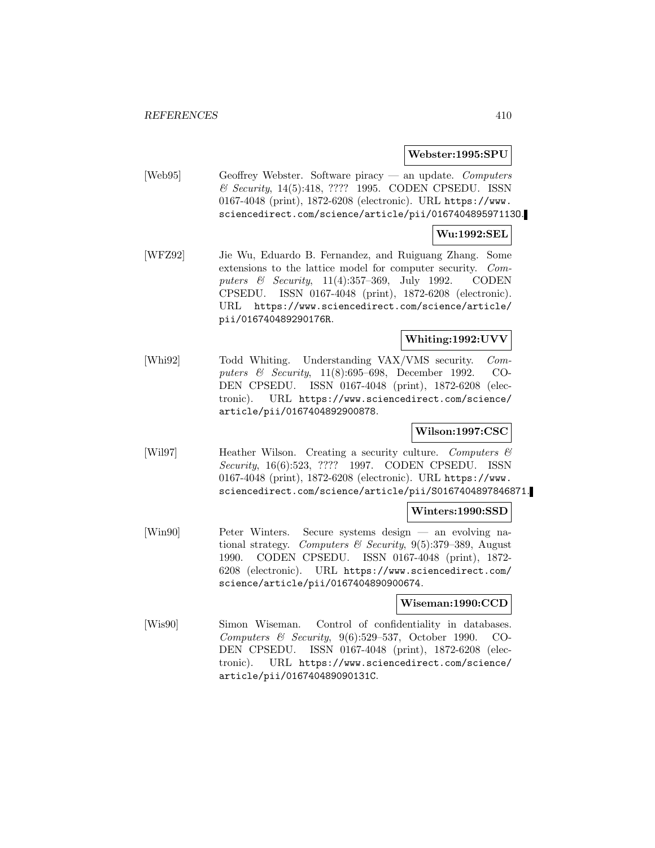#### **Webster:1995:SPU**

[Web95] Geoffrey Webster. Software piracy — an update. Computers & Security, 14(5):418, ???? 1995. CODEN CPSEDU. ISSN 0167-4048 (print), 1872-6208 (electronic). URL https://www. sciencedirect.com/science/article/pii/016740489597113O.

#### **Wu:1992:SEL**

[WFZ92] Jie Wu, Eduardo B. Fernandez, and Ruiguang Zhang. Some extensions to the lattice model for computer security. Computers & Security, 11(4):357–369, July 1992. CODEN CPSEDU. ISSN 0167-4048 (print), 1872-6208 (electronic). URL https://www.sciencedirect.com/science/article/ pii/016740489290176R.

## **Whiting:1992:UVV**

[Whi92] Todd Whiting. Understanding VAX/VMS security. Computers & Security, 11(8):695–698, December 1992. CO-DEN CPSEDU. ISSN 0167-4048 (print), 1872-6208 (electronic). URL https://www.sciencedirect.com/science/ article/pii/0167404892900878.

## **Wilson:1997:CSC**

[Wil97] Heather Wilson. Creating a security culture. Computers & Security, 16(6):523, ???? 1997. CODEN CPSEDU. ISSN 0167-4048 (print), 1872-6208 (electronic). URL https://www. sciencedirect.com/science/article/pii/S0167404897846871.

#### **Winters:1990:SSD**

[Win90] Peter Winters. Secure systems design — an evolving national strategy. Computers & Security,  $9(5):379-389$ , August 1990. CODEN CPSEDU. ISSN 0167-4048 (print), 1872- 6208 (electronic). URL https://www.sciencedirect.com/ science/article/pii/0167404890900674.

## **Wiseman:1990:CCD**

[Wis90] Simon Wiseman. Control of confidentiality in databases. Computers & Security, 9(6):529–537, October 1990. CO-DEN CPSEDU. ISSN 0167-4048 (print), 1872-6208 (electronic). URL https://www.sciencedirect.com/science/ article/pii/016740489090131C.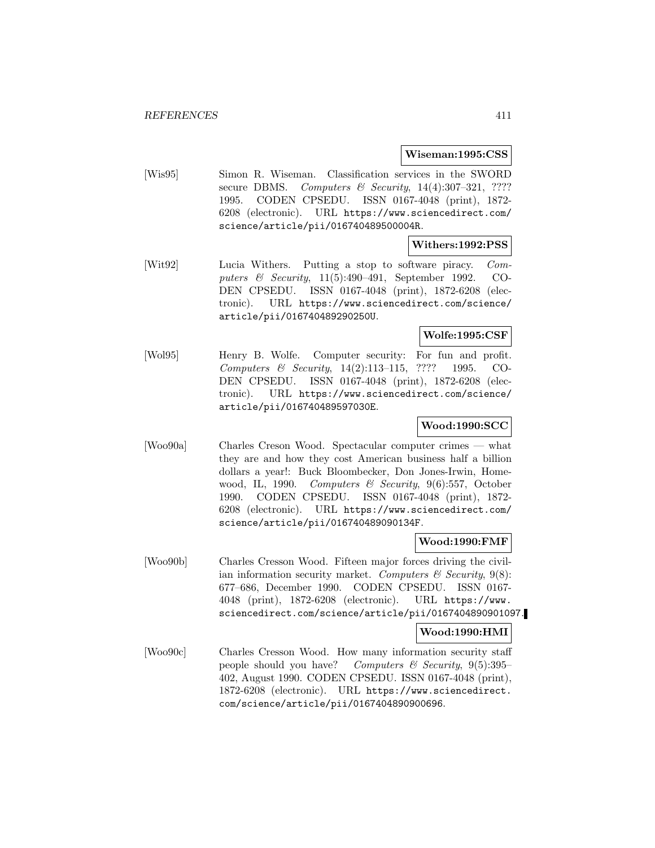#### **Wiseman:1995:CSS**

[Wis95] Simon R. Wiseman. Classification services in the SWORD secure DBMS. Computers & Security,  $14(4):307-321$ , ???? 1995. CODEN CPSEDU. ISSN 0167-4048 (print), 1872- 6208 (electronic). URL https://www.sciencedirect.com/ science/article/pii/016740489500004R.

#### **Withers:1992:PSS**

[Wit92] Lucia Withers. Putting a stop to software piracy. Computers & Security, 11(5):490–491, September 1992. CO-DEN CPSEDU. ISSN 0167-4048 (print), 1872-6208 (electronic). URL https://www.sciencedirect.com/science/ article/pii/016740489290250U.

## **Wolfe:1995:CSF**

[Wol95] Henry B. Wolfe. Computer security: For fun and profit. Computers & Security, 14(2):113–115, ???? 1995. CO-DEN CPSEDU. ISSN 0167-4048 (print), 1872-6208 (electronic). URL https://www.sciencedirect.com/science/ article/pii/016740489597030E.

# **Wood:1990:SCC**

[Woo90a] Charles Creson Wood. Spectacular computer crimes — what they are and how they cost American business half a billion dollars a year!: Buck Bloombecker, Don Jones-Irwin, Homewood, IL, 1990. Computers & Security, 9(6):557, October 1990. CODEN CPSEDU. ISSN 0167-4048 (print), 1872- 6208 (electronic). URL https://www.sciencedirect.com/ science/article/pii/016740489090134F.

## **Wood:1990:FMF**

[Woo90b] Charles Cresson Wood. Fifteen major forces driving the civilian information security market. Computers  $\mathcal C$  Security, 9(8): 677–686, December 1990. CODEN CPSEDU. ISSN 0167- 4048 (print), 1872-6208 (electronic). URL https://www. sciencedirect.com/science/article/pii/0167404890901097.

## **Wood:1990:HMI**

[Woo90c] Charles Cresson Wood. How many information security staff people should you have? Computers  $\mathcal C$  Security, 9(5):395– 402, August 1990. CODEN CPSEDU. ISSN 0167-4048 (print), 1872-6208 (electronic). URL https://www.sciencedirect. com/science/article/pii/0167404890900696.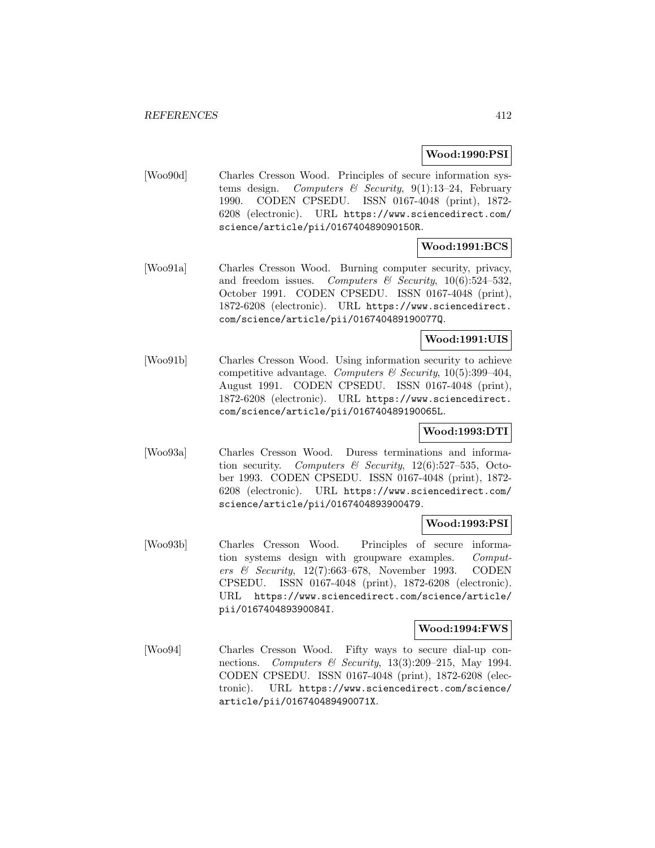### **Wood:1990:PSI**

[Woo90d] Charles Cresson Wood. Principles of secure information systems design. Computers  $\mathcal C$  Security, 9(1):13-24, February 1990. CODEN CPSEDU. ISSN 0167-4048 (print), 1872- 6208 (electronic). URL https://www.sciencedirect.com/ science/article/pii/016740489090150R.

## **Wood:1991:BCS**

[Woo91a] Charles Cresson Wood. Burning computer security, privacy, and freedom issues. Computers & Security,  $10(6):524-532$ , October 1991. CODEN CPSEDU. ISSN 0167-4048 (print), 1872-6208 (electronic). URL https://www.sciencedirect. com/science/article/pii/016740489190077Q.

## **Wood:1991:UIS**

[Woo91b] Charles Cresson Wood. Using information security to achieve competitive advantage. Computers & Security,  $10(5):399-404$ , August 1991. CODEN CPSEDU. ISSN 0167-4048 (print), 1872-6208 (electronic). URL https://www.sciencedirect. com/science/article/pii/016740489190065L.

## **Wood:1993:DTI**

[Woo93a] Charles Cresson Wood. Duress terminations and information security. Computers & Security,  $12(6)$ :527–535, October 1993. CODEN CPSEDU. ISSN 0167-4048 (print), 1872- 6208 (electronic). URL https://www.sciencedirect.com/ science/article/pii/0167404893900479.

## **Wood:1993:PSI**

[Woo93b] Charles Cresson Wood. Principles of secure information systems design with groupware examples. Computers & Security, 12(7):663–678, November 1993. CODEN CPSEDU. ISSN 0167-4048 (print), 1872-6208 (electronic). URL https://www.sciencedirect.com/science/article/ pii/016740489390084I.

## **Wood:1994:FWS**

[Woo94] Charles Cresson Wood. Fifty ways to secure dial-up connections. Computers & Security, 13(3):209–215, May 1994. CODEN CPSEDU. ISSN 0167-4048 (print), 1872-6208 (electronic). URL https://www.sciencedirect.com/science/ article/pii/016740489490071X.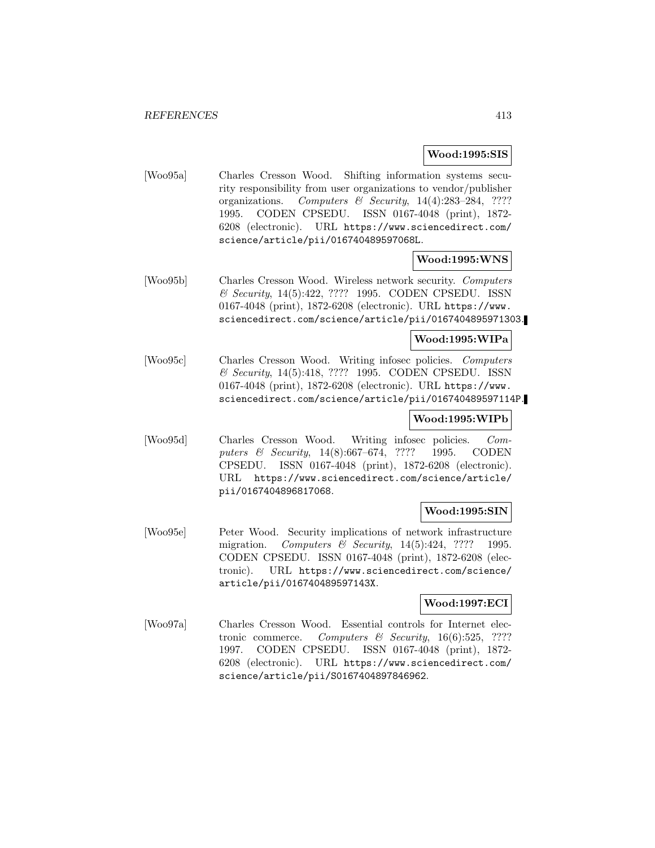## **Wood:1995:SIS**

[Woo95a] Charles Cresson Wood. Shifting information systems security responsibility from user organizations to vendor/publisher organizations. Computers & Security, 14(4):283–284, ???? 1995. CODEN CPSEDU. ISSN 0167-4048 (print), 1872- 6208 (electronic). URL https://www.sciencedirect.com/ science/article/pii/016740489597068L.

## **Wood:1995:WNS**

[Woo95b] Charles Cresson Wood. Wireless network security. Computers & Security, 14(5):422, ???? 1995. CODEN CPSEDU. ISSN 0167-4048 (print), 1872-6208 (electronic). URL https://www. sciencedirect.com/science/article/pii/0167404895971303.

#### **Wood:1995:WIPa**

[Woo95c] Charles Cresson Wood. Writing infosec policies. Computers & Security, 14(5):418, ???? 1995. CODEN CPSEDU. ISSN 0167-4048 (print), 1872-6208 (electronic). URL https://www. sciencedirect.com/science/article/pii/016740489597114P.

## **Wood:1995:WIPb**

[Woo95d] Charles Cresson Wood. Writing infosec policies. Computers & Security, 14(8):667–674, ???? 1995. CODEN CPSEDU. ISSN 0167-4048 (print), 1872-6208 (electronic). URL https://www.sciencedirect.com/science/article/ pii/0167404896817068.

## **Wood:1995:SIN**

[Woo95e] Peter Wood. Security implications of network infrastructure migration. Computers  $\mathcal B$  Security, 14(5):424, ???? 1995. CODEN CPSEDU. ISSN 0167-4048 (print), 1872-6208 (electronic). URL https://www.sciencedirect.com/science/ article/pii/016740489597143X.

## **Wood:1997:ECI**

[Woo97a] Charles Cresson Wood. Essential controls for Internet electronic commerce. Computers  $\mathcal B$  Security, 16(6):525, ???? 1997. CODEN CPSEDU. ISSN 0167-4048 (print), 1872- 6208 (electronic). URL https://www.sciencedirect.com/ science/article/pii/S0167404897846962.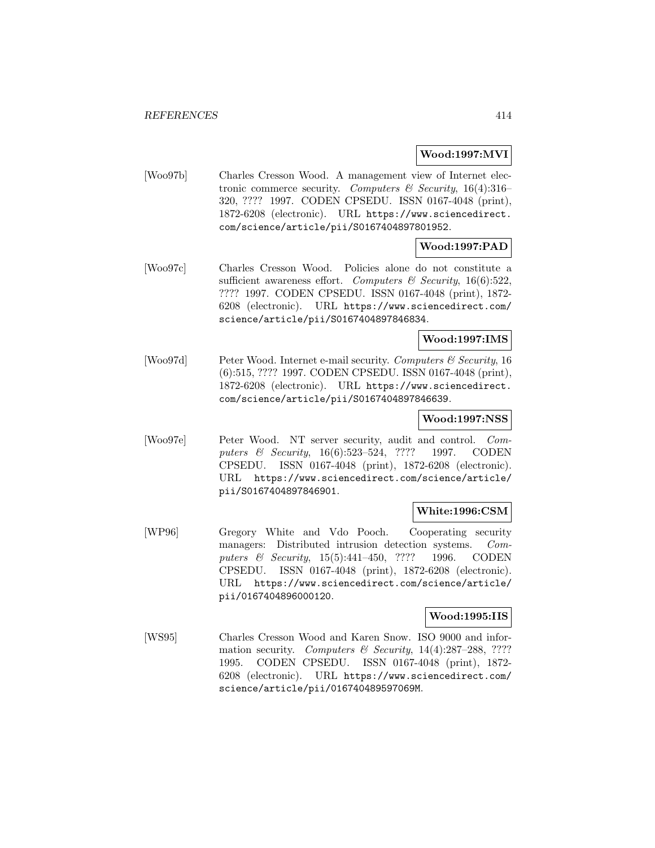## **Wood:1997:MVI**

[Woo97b] Charles Cresson Wood. A management view of Internet electronic commerce security. Computers & Security, 16(4):316– 320, ???? 1997. CODEN CPSEDU. ISSN 0167-4048 (print), 1872-6208 (electronic). URL https://www.sciencedirect. com/science/article/pii/S0167404897801952.

## **Wood:1997:PAD**

[Woo97c] Charles Cresson Wood. Policies alone do not constitute a sufficient awareness effort. Computers & Security, 16(6):522, ???? 1997. CODEN CPSEDU. ISSN 0167-4048 (print), 1872- 6208 (electronic). URL https://www.sciencedirect.com/ science/article/pii/S0167404897846834.

## **Wood:1997:IMS**

[Woo97d] Peter Wood. Internet e-mail security. Computers & Security, 16 (6):515, ???? 1997. CODEN CPSEDU. ISSN 0167-4048 (print), 1872-6208 (electronic). URL https://www.sciencedirect. com/science/article/pii/S0167404897846639.

## **Wood:1997:NSS**

[Woo97e] Peter Wood. NT server security, audit and control. Computers & Security, 16(6):523–524, ???? 1997. CODEN CPSEDU. ISSN 0167-4048 (print), 1872-6208 (electronic). URL https://www.sciencedirect.com/science/article/ pii/S0167404897846901.

## **White:1996:CSM**

[WP96] Gregory White and Vdo Pooch. Cooperating security managers: Distributed intrusion detection systems. Computers & Security, 15(5):441-450, ???? 1996. CODEN CPSEDU. ISSN 0167-4048 (print), 1872-6208 (electronic). URL https://www.sciencedirect.com/science/article/ pii/0167404896000120.

## **Wood:1995:IIS**

[WS95] Charles Cresson Wood and Karen Snow. ISO 9000 and information security. Computers & Security,  $14(4):287-288$ , ???? 1995. CODEN CPSEDU. ISSN 0167-4048 (print), 1872- 6208 (electronic). URL https://www.sciencedirect.com/ science/article/pii/016740489597069M.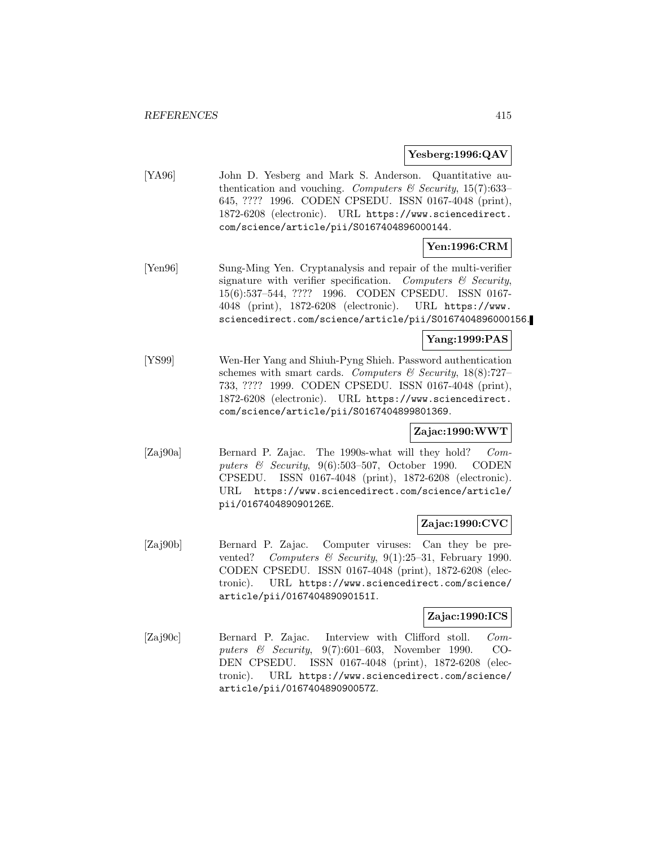## **Yesberg:1996:QAV**

[YA96] John D. Yesberg and Mark S. Anderson. Quantitative authentication and vouching. Computers  $\mathcal C$  Security, 15(7):633– 645, ???? 1996. CODEN CPSEDU. ISSN 0167-4048 (print), 1872-6208 (electronic). URL https://www.sciencedirect. com/science/article/pii/S0167404896000144.

## **Yen:1996:CRM**

[Yen96] Sung-Ming Yen. Cryptanalysis and repair of the multi-verifier signature with verifier specification. Computers  $\mathcal C$  Security, 15(6):537–544, ???? 1996. CODEN CPSEDU. ISSN 0167- 4048 (print), 1872-6208 (electronic). URL https://www. sciencedirect.com/science/article/pii/S0167404896000156.

## **Yang:1999:PAS**

[YS99] Wen-Her Yang and Shiuh-Pyng Shieh. Password authentication schemes with smart cards. Computers  $\mathcal C$  Security, 18(8):727-733, ???? 1999. CODEN CPSEDU. ISSN 0167-4048 (print), 1872-6208 (electronic). URL https://www.sciencedirect. com/science/article/pii/S0167404899801369.

# **Zajac:1990:WWT**

[Zaj90a] Bernard P. Zajac. The 1990s-what will they hold? Computers  $\&$  Security, 9(6):503-507, October 1990. CODEN CPSEDU. ISSN 0167-4048 (print), 1872-6208 (electronic). URL https://www.sciencedirect.com/science/article/ pii/016740489090126E.

## **Zajac:1990:CVC**

[Zaj90b] Bernard P. Zajac. Computer viruses: Can they be prevented? Computers & Security, 9(1):25-31, February 1990. CODEN CPSEDU. ISSN 0167-4048 (print), 1872-6208 (electronic). URL https://www.sciencedirect.com/science/ article/pii/016740489090151I.

## **Zajac:1990:ICS**

[Zaj90c] Bernard P. Zajac. Interview with Clifford stoll. Computers & Security, 9(7):601–603, November 1990. CO-DEN CPSEDU. ISSN 0167-4048 (print), 1872-6208 (electronic). URL https://www.sciencedirect.com/science/ article/pii/016740489090057Z.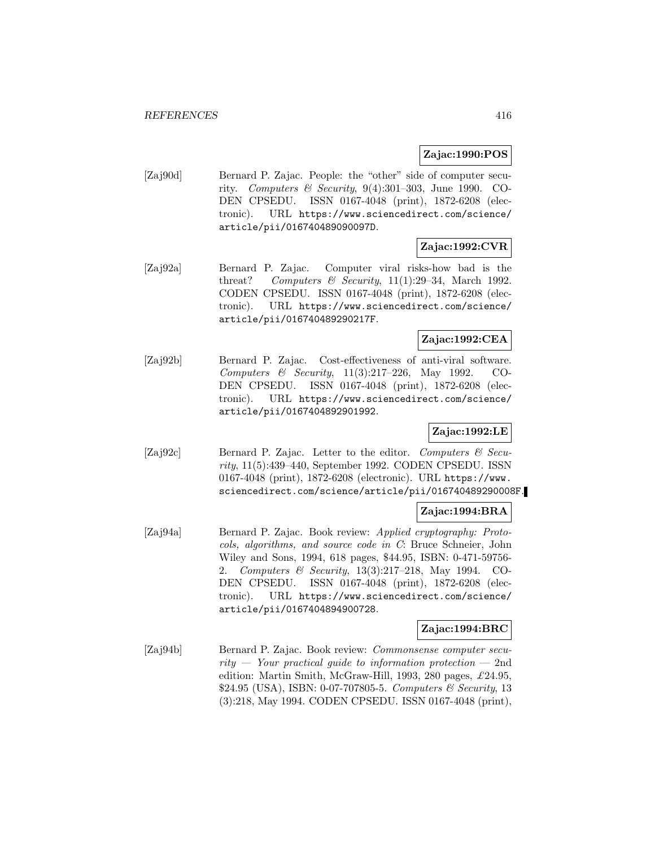## **Zajac:1990:POS**

[Zaj90d] Bernard P. Zajac. People: the "other" side of computer security. Computers & Security,  $9(4):301-303$ , June 1990. CO-DEN CPSEDU. ISSN 0167-4048 (print), 1872-6208 (electronic). URL https://www.sciencedirect.com/science/ article/pii/016740489090097D.

# **Zajac:1992:CVR**

[Zaj92a] Bernard P. Zajac. Computer viral risks-how bad is the threat? Computers & Security,  $11(1):29-34$ , March 1992. CODEN CPSEDU. ISSN 0167-4048 (print), 1872-6208 (electronic). URL https://www.sciencedirect.com/science/ article/pii/016740489290217F.

## **Zajac:1992:CEA**

[Zaj92b] Bernard P. Zajac. Cost-effectiveness of anti-viral software. Computers & Security, 11(3):217–226, May 1992. CO-DEN CPSEDU. ISSN 0167-4048 (print), 1872-6208 (electronic). URL https://www.sciencedirect.com/science/ article/pii/0167404892901992.

## **Zajac:1992:LE**

[Zaj92c] Bernard P. Zajac. Letter to the editor. Computers & Security, 11(5):439–440, September 1992. CODEN CPSEDU. ISSN 0167-4048 (print), 1872-6208 (electronic). URL https://www. sciencedirect.com/science/article/pii/016740489290008F.

## **Zajac:1994:BRA**

[Zaj94a] Bernard P. Zajac. Book review: Applied cryptography: Protocols, algorithms, and source code in C: Bruce Schneier, John Wiley and Sons, 1994, 618 pages, \$44.95, ISBN: 0-471-59756- 2. Computers & Security, 13(3):217–218, May 1994. CO-DEN CPSEDU. ISSN 0167-4048 (print), 1872-6208 (electronic). URL https://www.sciencedirect.com/science/ article/pii/0167404894900728.

## **Zajac:1994:BRC**

[Zaj94b] Bernard P. Zajac. Book review: Commonsense computer security  $\rightarrow$  Your practical guide to information protection  $\rightarrow$  2nd edition: Martin Smith, McGraw-Hill, 1993, 280 pages,  $\pounds 24.95$ , \$24.95 (USA), ISBN: 0-07-707805-5. Computers & Security, 13 (3):218, May 1994. CODEN CPSEDU. ISSN 0167-4048 (print),